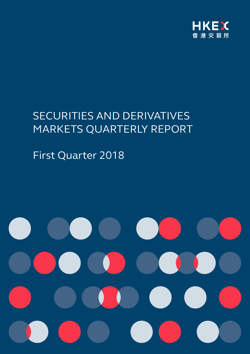

# SECURITIES AND DERIVATIVES MARKETS QUARTERLY REPORT

# First Quarter 2018

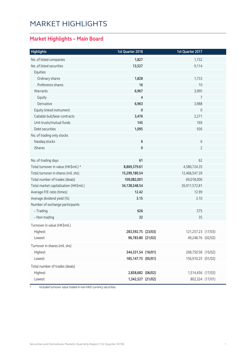# MARKET HIGHLIGHTS

### **Market Highlights – Main Board**

| No. of listed companies<br>1,827<br>1,732<br>No. of listed securities<br>13,527<br>9,114<br>Equities<br>Ordinary shares<br>1,828<br>1,733<br>Preference shares<br>16<br>10<br>6,967<br>3,995<br>Warrants<br>Equity<br>4<br>7<br>6,963<br>3,988<br>Derivative<br>Equity linked instrument<br>$\mathbf 0$<br>0<br>3,476<br>2,271<br>Callable bull/bear contracts<br>Unit trusts/mutual funds<br>145<br>169<br>Debt securities<br>1,095<br>936<br>No. of trading only stocks<br>6<br>6<br>Nasdaq stocks<br>0<br>$\overline{2}$<br><b>iShares</b><br>No. of trading days<br>61<br>62<br>Total turnover in value (HK\$mil.) *<br>8,869,379.61<br>4,580,724.35<br>Total turnover in shares (mil. shs)<br>15,299,180.54<br>12,466,547.39<br>Total number of trades (deals)<br>109,082,001<br>69,018,006<br>34, 138, 548. 54<br>26,911,572.81<br>Total market capitalisation (HK\$mil.)<br>12.99<br>Average P/E ratio (times)<br>12.42<br>Average dividend yield (%)<br>3.15<br>3.10<br>Number of exchange participants<br>- Trading<br>626<br>575<br>32<br>35<br>- Non-trading<br>Turnover in value (HK\$mil.)<br>Highest<br>283,592.75 (23/03)<br>121,257.23 (17/03)<br>96,783.80 (21/02)<br>49,248.76 (02/02)<br>Lowest<br>Turnover in shares (mil. shs)<br>Highest<br>344,331.54 (16/01)<br>268,750.58 (15/02)<br>156,910.25 (01/02)<br>Lowest<br>185, 147. 75 (05/01)<br>Total number of trades (deals)<br>Highest<br>2,858,682 (06/02)<br>1,514,456 (17/03)<br>1,342,527 (21/02)<br>802,324 (17/01) | <b>Highlights</b> | 1st Quarter 2018 | 1st Quarter 2017 |  |
|---------------------------------------------------------------------------------------------------------------------------------------------------------------------------------------------------------------------------------------------------------------------------------------------------------------------------------------------------------------------------------------------------------------------------------------------------------------------------------------------------------------------------------------------------------------------------------------------------------------------------------------------------------------------------------------------------------------------------------------------------------------------------------------------------------------------------------------------------------------------------------------------------------------------------------------------------------------------------------------------------------------------------------------------------------------------------------------------------------------------------------------------------------------------------------------------------------------------------------------------------------------------------------------------------------------------------------------------------------------------------------------------------------------------------------------------------------------------------------------------------|-------------------|------------------|------------------|--|
|                                                                                                                                                                                                                                                                                                                                                                                                                                                                                                                                                                                                                                                                                                                                                                                                                                                                                                                                                                                                                                                                                                                                                                                                                                                                                                                                                                                                                                                                                                   |                   |                  |                  |  |
|                                                                                                                                                                                                                                                                                                                                                                                                                                                                                                                                                                                                                                                                                                                                                                                                                                                                                                                                                                                                                                                                                                                                                                                                                                                                                                                                                                                                                                                                                                   |                   |                  |                  |  |
|                                                                                                                                                                                                                                                                                                                                                                                                                                                                                                                                                                                                                                                                                                                                                                                                                                                                                                                                                                                                                                                                                                                                                                                                                                                                                                                                                                                                                                                                                                   |                   |                  |                  |  |
|                                                                                                                                                                                                                                                                                                                                                                                                                                                                                                                                                                                                                                                                                                                                                                                                                                                                                                                                                                                                                                                                                                                                                                                                                                                                                                                                                                                                                                                                                                   |                   |                  |                  |  |
|                                                                                                                                                                                                                                                                                                                                                                                                                                                                                                                                                                                                                                                                                                                                                                                                                                                                                                                                                                                                                                                                                                                                                                                                                                                                                                                                                                                                                                                                                                   |                   |                  |                  |  |
|                                                                                                                                                                                                                                                                                                                                                                                                                                                                                                                                                                                                                                                                                                                                                                                                                                                                                                                                                                                                                                                                                                                                                                                                                                                                                                                                                                                                                                                                                                   |                   |                  |                  |  |
|                                                                                                                                                                                                                                                                                                                                                                                                                                                                                                                                                                                                                                                                                                                                                                                                                                                                                                                                                                                                                                                                                                                                                                                                                                                                                                                                                                                                                                                                                                   |                   |                  |                  |  |
|                                                                                                                                                                                                                                                                                                                                                                                                                                                                                                                                                                                                                                                                                                                                                                                                                                                                                                                                                                                                                                                                                                                                                                                                                                                                                                                                                                                                                                                                                                   |                   |                  |                  |  |
|                                                                                                                                                                                                                                                                                                                                                                                                                                                                                                                                                                                                                                                                                                                                                                                                                                                                                                                                                                                                                                                                                                                                                                                                                                                                                                                                                                                                                                                                                                   |                   |                  |                  |  |
|                                                                                                                                                                                                                                                                                                                                                                                                                                                                                                                                                                                                                                                                                                                                                                                                                                                                                                                                                                                                                                                                                                                                                                                                                                                                                                                                                                                                                                                                                                   |                   |                  |                  |  |
|                                                                                                                                                                                                                                                                                                                                                                                                                                                                                                                                                                                                                                                                                                                                                                                                                                                                                                                                                                                                                                                                                                                                                                                                                                                                                                                                                                                                                                                                                                   |                   |                  |                  |  |
|                                                                                                                                                                                                                                                                                                                                                                                                                                                                                                                                                                                                                                                                                                                                                                                                                                                                                                                                                                                                                                                                                                                                                                                                                                                                                                                                                                                                                                                                                                   |                   |                  |                  |  |
|                                                                                                                                                                                                                                                                                                                                                                                                                                                                                                                                                                                                                                                                                                                                                                                                                                                                                                                                                                                                                                                                                                                                                                                                                                                                                                                                                                                                                                                                                                   |                   |                  |                  |  |
|                                                                                                                                                                                                                                                                                                                                                                                                                                                                                                                                                                                                                                                                                                                                                                                                                                                                                                                                                                                                                                                                                                                                                                                                                                                                                                                                                                                                                                                                                                   |                   |                  |                  |  |
|                                                                                                                                                                                                                                                                                                                                                                                                                                                                                                                                                                                                                                                                                                                                                                                                                                                                                                                                                                                                                                                                                                                                                                                                                                                                                                                                                                                                                                                                                                   |                   |                  |                  |  |
|                                                                                                                                                                                                                                                                                                                                                                                                                                                                                                                                                                                                                                                                                                                                                                                                                                                                                                                                                                                                                                                                                                                                                                                                                                                                                                                                                                                                                                                                                                   |                   |                  |                  |  |
|                                                                                                                                                                                                                                                                                                                                                                                                                                                                                                                                                                                                                                                                                                                                                                                                                                                                                                                                                                                                                                                                                                                                                                                                                                                                                                                                                                                                                                                                                                   |                   |                  |                  |  |
|                                                                                                                                                                                                                                                                                                                                                                                                                                                                                                                                                                                                                                                                                                                                                                                                                                                                                                                                                                                                                                                                                                                                                                                                                                                                                                                                                                                                                                                                                                   |                   |                  |                  |  |
|                                                                                                                                                                                                                                                                                                                                                                                                                                                                                                                                                                                                                                                                                                                                                                                                                                                                                                                                                                                                                                                                                                                                                                                                                                                                                                                                                                                                                                                                                                   |                   |                  |                  |  |
|                                                                                                                                                                                                                                                                                                                                                                                                                                                                                                                                                                                                                                                                                                                                                                                                                                                                                                                                                                                                                                                                                                                                                                                                                                                                                                                                                                                                                                                                                                   |                   |                  |                  |  |
|                                                                                                                                                                                                                                                                                                                                                                                                                                                                                                                                                                                                                                                                                                                                                                                                                                                                                                                                                                                                                                                                                                                                                                                                                                                                                                                                                                                                                                                                                                   |                   |                  |                  |  |
|                                                                                                                                                                                                                                                                                                                                                                                                                                                                                                                                                                                                                                                                                                                                                                                                                                                                                                                                                                                                                                                                                                                                                                                                                                                                                                                                                                                                                                                                                                   |                   |                  |                  |  |
|                                                                                                                                                                                                                                                                                                                                                                                                                                                                                                                                                                                                                                                                                                                                                                                                                                                                                                                                                                                                                                                                                                                                                                                                                                                                                                                                                                                                                                                                                                   |                   |                  |                  |  |
|                                                                                                                                                                                                                                                                                                                                                                                                                                                                                                                                                                                                                                                                                                                                                                                                                                                                                                                                                                                                                                                                                                                                                                                                                                                                                                                                                                                                                                                                                                   |                   |                  |                  |  |
|                                                                                                                                                                                                                                                                                                                                                                                                                                                                                                                                                                                                                                                                                                                                                                                                                                                                                                                                                                                                                                                                                                                                                                                                                                                                                                                                                                                                                                                                                                   |                   |                  |                  |  |
|                                                                                                                                                                                                                                                                                                                                                                                                                                                                                                                                                                                                                                                                                                                                                                                                                                                                                                                                                                                                                                                                                                                                                                                                                                                                                                                                                                                                                                                                                                   |                   |                  |                  |  |
|                                                                                                                                                                                                                                                                                                                                                                                                                                                                                                                                                                                                                                                                                                                                                                                                                                                                                                                                                                                                                                                                                                                                                                                                                                                                                                                                                                                                                                                                                                   |                   |                  |                  |  |
|                                                                                                                                                                                                                                                                                                                                                                                                                                                                                                                                                                                                                                                                                                                                                                                                                                                                                                                                                                                                                                                                                                                                                                                                                                                                                                                                                                                                                                                                                                   |                   |                  |                  |  |
|                                                                                                                                                                                                                                                                                                                                                                                                                                                                                                                                                                                                                                                                                                                                                                                                                                                                                                                                                                                                                                                                                                                                                                                                                                                                                                                                                                                                                                                                                                   |                   |                  |                  |  |
|                                                                                                                                                                                                                                                                                                                                                                                                                                                                                                                                                                                                                                                                                                                                                                                                                                                                                                                                                                                                                                                                                                                                                                                                                                                                                                                                                                                                                                                                                                   |                   |                  |                  |  |
|                                                                                                                                                                                                                                                                                                                                                                                                                                                                                                                                                                                                                                                                                                                                                                                                                                                                                                                                                                                                                                                                                                                                                                                                                                                                                                                                                                                                                                                                                                   |                   |                  |                  |  |
|                                                                                                                                                                                                                                                                                                                                                                                                                                                                                                                                                                                                                                                                                                                                                                                                                                                                                                                                                                                                                                                                                                                                                                                                                                                                                                                                                                                                                                                                                                   |                   |                  |                  |  |
|                                                                                                                                                                                                                                                                                                                                                                                                                                                                                                                                                                                                                                                                                                                                                                                                                                                                                                                                                                                                                                                                                                                                                                                                                                                                                                                                                                                                                                                                                                   |                   |                  |                  |  |
|                                                                                                                                                                                                                                                                                                                                                                                                                                                                                                                                                                                                                                                                                                                                                                                                                                                                                                                                                                                                                                                                                                                                                                                                                                                                                                                                                                                                                                                                                                   |                   |                  |                  |  |
|                                                                                                                                                                                                                                                                                                                                                                                                                                                                                                                                                                                                                                                                                                                                                                                                                                                                                                                                                                                                                                                                                                                                                                                                                                                                                                                                                                                                                                                                                                   | Lowest            |                  |                  |  |

\* Included turnover value traded in non-HKD currency securities.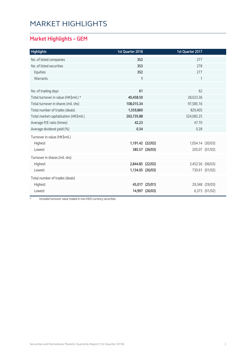# MARKET HIGHLIGHTS

### **Market Highlights – GEM**

| <b>Highlights</b>                      | 1st Quarter 2018 |                | 1st Quarter 2017 |                |
|----------------------------------------|------------------|----------------|------------------|----------------|
| No. of listed companies                | 352              |                | 277              |                |
| No. of listed securities               | 353              |                | 278              |                |
| Equities                               | 352              |                | 277              |                |
| Warrants                               | $\mathbf{1}$     |                | 1                |                |
|                                        |                  |                |                  |                |
| No. of trading days                    | 61               |                | 62               |                |
| Total turnover in value (HK\$mil.) *   | 40,458.50        |                | 28,023.36        |                |
| Total turnover in shares (mil. shs)    | 108,015.34       |                | 97,585.16        |                |
| Total number of trades (deals)         | 1,559,860        |                | 829,405          |                |
| Total market capitalisation (HK\$mil.) | 263,735.88       |                | 324,082.25       |                |
| Average P/E ratio (times)              | 42.23            |                | 47.70            |                |
| Average dividend yield (%)             | 0.34             |                | 0.28             |                |
| Turnover in value (HK\$mil.)           |                  |                |                  |                |
| Highest                                | 1,191.42 (22/02) |                | 1,054.14 (30/03) |                |
| Lowest                                 |                  | 385.57 (26/03) |                  | 205.07 (01/02) |
| Turnover in shares (mil. shs)          |                  |                |                  |                |
| Highest                                | 2,844.85 (22/02) |                | 3,452.56 (06/03) |                |
| Lowest                                 | 1,134.05 (26/03) |                |                  | 730.61 (01/02) |
| Total number of trades (deals)         |                  |                |                  |                |
| Highest                                |                  | 45,017 (25/01) |                  | 29,348 (29/03) |
| Lowest                                 |                  | 14,997 (26/03) |                  | 6,373 (01/02)  |

\* Included turnover value traded in non-HKD currency securities.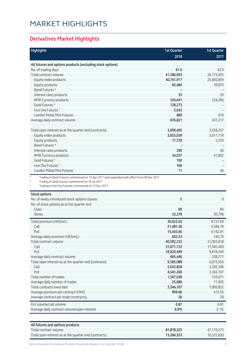# MARKET HIGHLIGHTS

#### **Derivatives Market Highlights**

| 2018<br>2017<br>All futures and options products (excluding stock options)<br>No. of trading days<br>61.0<br>62.0<br>41,286,093<br>Total contract volume<br>26,115,455<br>40,761,917<br>25,850,859<br>Equity index products<br>39,870<br>65,484<br>Equity products<br>Bond Futures *<br>55<br>20<br>Interest rates products<br>326,641<br>224,296<br>RMB Currency products<br>Gold Futures <sup>#</sup><br>128,273<br>Iron Ore Futures <sup>^</sup><br>3,043<br>680<br><b>London Metal Mini Futures</b><br>410<br>676,821<br>421,217<br>Average daily contract volume<br>Total open interest as at the quarter end (contracts)<br>3,699,465<br>3,658,257<br>3,653,039<br>3,611,119<br>Equity index products<br>Equity products<br>11,729<br>5,250<br>Bond Futures *<br>290<br>40<br>Interest rates products<br>RMB Currency products<br>34,037<br>41,802<br>Gold Futures <sup>#</sup><br>190<br>Iron Ore Futures <sup>^</sup><br>169<br>London Metal Mini Futures<br>11<br>46<br>Trading in Bond Futures commenced on 10 Apr 2017 and suspended with effect from 08 Dec 2017<br>Trading in Gold Futures commenced on 10 Jul 2017<br>Trading in Iron Ore Futures commenced on 13 Nov 2017<br><b>Stock options</b><br>No. of newly introduced stock options classes<br>5<br>$\overline{0}$<br>No. of stock options as at the quarter end<br>Class<br>89<br>84<br><b>Series</b><br>33,278<br>30,708<br>Total premium (HK\$mil.)<br>36,925.03<br>8,727.09<br>Call<br>21,481.36<br>4,584.19<br>15,443.66<br>4,142.91<br>Put<br>140.76<br>Average daily premium (HK\$mil.)<br>605.33<br>Total contract volume<br>40,592,232<br>21,003,818<br>Call<br>21,671,733<br>11,585,469<br>Put<br>18,920,499<br>9,418,349<br>Average daily contract volume<br>665,446<br>338,771<br>Total open interest as at the quarter end (contracts)<br>6,673,563<br>9,585,088<br>Call<br>5,043,828<br>3,330,396<br>Put<br>4,541,260<br>3,343,167<br>Total number of trades<br>1,567,038<br>743,671<br>Average daily number of trades<br>25,689<br>11,995<br>Total contracts exercised<br>3,346,767<br>1,909,852 | <b>Highlights</b> | <b>1st Quarter</b> | <b>1st Quarter</b> |
|---------------------------------------------------------------------------------------------------------------------------------------------------------------------------------------------------------------------------------------------------------------------------------------------------------------------------------------------------------------------------------------------------------------------------------------------------------------------------------------------------------------------------------------------------------------------------------------------------------------------------------------------------------------------------------------------------------------------------------------------------------------------------------------------------------------------------------------------------------------------------------------------------------------------------------------------------------------------------------------------------------------------------------------------------------------------------------------------------------------------------------------------------------------------------------------------------------------------------------------------------------------------------------------------------------------------------------------------------------------------------------------------------------------------------------------------------------------------------------------------------------------------------------------------------------------------------------------------------------------------------------------------------------------------------------------------------------------------------------------------------------------------------------------------------------------------------------------------------------------------------------------------------------------------------------------------------------------------------------------------------------------------------------------------------------------------------------------|-------------------|--------------------|--------------------|
|                                                                                                                                                                                                                                                                                                                                                                                                                                                                                                                                                                                                                                                                                                                                                                                                                                                                                                                                                                                                                                                                                                                                                                                                                                                                                                                                                                                                                                                                                                                                                                                                                                                                                                                                                                                                                                                                                                                                                                                                                                                                                       |                   |                    |                    |
|                                                                                                                                                                                                                                                                                                                                                                                                                                                                                                                                                                                                                                                                                                                                                                                                                                                                                                                                                                                                                                                                                                                                                                                                                                                                                                                                                                                                                                                                                                                                                                                                                                                                                                                                                                                                                                                                                                                                                                                                                                                                                       |                   |                    |                    |
|                                                                                                                                                                                                                                                                                                                                                                                                                                                                                                                                                                                                                                                                                                                                                                                                                                                                                                                                                                                                                                                                                                                                                                                                                                                                                                                                                                                                                                                                                                                                                                                                                                                                                                                                                                                                                                                                                                                                                                                                                                                                                       |                   |                    |                    |
|                                                                                                                                                                                                                                                                                                                                                                                                                                                                                                                                                                                                                                                                                                                                                                                                                                                                                                                                                                                                                                                                                                                                                                                                                                                                                                                                                                                                                                                                                                                                                                                                                                                                                                                                                                                                                                                                                                                                                                                                                                                                                       |                   |                    |                    |
|                                                                                                                                                                                                                                                                                                                                                                                                                                                                                                                                                                                                                                                                                                                                                                                                                                                                                                                                                                                                                                                                                                                                                                                                                                                                                                                                                                                                                                                                                                                                                                                                                                                                                                                                                                                                                                                                                                                                                                                                                                                                                       |                   |                    |                    |
|                                                                                                                                                                                                                                                                                                                                                                                                                                                                                                                                                                                                                                                                                                                                                                                                                                                                                                                                                                                                                                                                                                                                                                                                                                                                                                                                                                                                                                                                                                                                                                                                                                                                                                                                                                                                                                                                                                                                                                                                                                                                                       |                   |                    |                    |
|                                                                                                                                                                                                                                                                                                                                                                                                                                                                                                                                                                                                                                                                                                                                                                                                                                                                                                                                                                                                                                                                                                                                                                                                                                                                                                                                                                                                                                                                                                                                                                                                                                                                                                                                                                                                                                                                                                                                                                                                                                                                                       |                   |                    |                    |
|                                                                                                                                                                                                                                                                                                                                                                                                                                                                                                                                                                                                                                                                                                                                                                                                                                                                                                                                                                                                                                                                                                                                                                                                                                                                                                                                                                                                                                                                                                                                                                                                                                                                                                                                                                                                                                                                                                                                                                                                                                                                                       |                   |                    |                    |
|                                                                                                                                                                                                                                                                                                                                                                                                                                                                                                                                                                                                                                                                                                                                                                                                                                                                                                                                                                                                                                                                                                                                                                                                                                                                                                                                                                                                                                                                                                                                                                                                                                                                                                                                                                                                                                                                                                                                                                                                                                                                                       |                   |                    |                    |
|                                                                                                                                                                                                                                                                                                                                                                                                                                                                                                                                                                                                                                                                                                                                                                                                                                                                                                                                                                                                                                                                                                                                                                                                                                                                                                                                                                                                                                                                                                                                                                                                                                                                                                                                                                                                                                                                                                                                                                                                                                                                                       |                   |                    |                    |
|                                                                                                                                                                                                                                                                                                                                                                                                                                                                                                                                                                                                                                                                                                                                                                                                                                                                                                                                                                                                                                                                                                                                                                                                                                                                                                                                                                                                                                                                                                                                                                                                                                                                                                                                                                                                                                                                                                                                                                                                                                                                                       |                   |                    |                    |
|                                                                                                                                                                                                                                                                                                                                                                                                                                                                                                                                                                                                                                                                                                                                                                                                                                                                                                                                                                                                                                                                                                                                                                                                                                                                                                                                                                                                                                                                                                                                                                                                                                                                                                                                                                                                                                                                                                                                                                                                                                                                                       |                   |                    |                    |
|                                                                                                                                                                                                                                                                                                                                                                                                                                                                                                                                                                                                                                                                                                                                                                                                                                                                                                                                                                                                                                                                                                                                                                                                                                                                                                                                                                                                                                                                                                                                                                                                                                                                                                                                                                                                                                                                                                                                                                                                                                                                                       |                   |                    |                    |
|                                                                                                                                                                                                                                                                                                                                                                                                                                                                                                                                                                                                                                                                                                                                                                                                                                                                                                                                                                                                                                                                                                                                                                                                                                                                                                                                                                                                                                                                                                                                                                                                                                                                                                                                                                                                                                                                                                                                                                                                                                                                                       |                   |                    |                    |
|                                                                                                                                                                                                                                                                                                                                                                                                                                                                                                                                                                                                                                                                                                                                                                                                                                                                                                                                                                                                                                                                                                                                                                                                                                                                                                                                                                                                                                                                                                                                                                                                                                                                                                                                                                                                                                                                                                                                                                                                                                                                                       |                   |                    |                    |
|                                                                                                                                                                                                                                                                                                                                                                                                                                                                                                                                                                                                                                                                                                                                                                                                                                                                                                                                                                                                                                                                                                                                                                                                                                                                                                                                                                                                                                                                                                                                                                                                                                                                                                                                                                                                                                                                                                                                                                                                                                                                                       |                   |                    |                    |
|                                                                                                                                                                                                                                                                                                                                                                                                                                                                                                                                                                                                                                                                                                                                                                                                                                                                                                                                                                                                                                                                                                                                                                                                                                                                                                                                                                                                                                                                                                                                                                                                                                                                                                                                                                                                                                                                                                                                                                                                                                                                                       |                   |                    |                    |
|                                                                                                                                                                                                                                                                                                                                                                                                                                                                                                                                                                                                                                                                                                                                                                                                                                                                                                                                                                                                                                                                                                                                                                                                                                                                                                                                                                                                                                                                                                                                                                                                                                                                                                                                                                                                                                                                                                                                                                                                                                                                                       |                   |                    |                    |
|                                                                                                                                                                                                                                                                                                                                                                                                                                                                                                                                                                                                                                                                                                                                                                                                                                                                                                                                                                                                                                                                                                                                                                                                                                                                                                                                                                                                                                                                                                                                                                                                                                                                                                                                                                                                                                                                                                                                                                                                                                                                                       |                   |                    |                    |
|                                                                                                                                                                                                                                                                                                                                                                                                                                                                                                                                                                                                                                                                                                                                                                                                                                                                                                                                                                                                                                                                                                                                                                                                                                                                                                                                                                                                                                                                                                                                                                                                                                                                                                                                                                                                                                                                                                                                                                                                                                                                                       |                   |                    |                    |
|                                                                                                                                                                                                                                                                                                                                                                                                                                                                                                                                                                                                                                                                                                                                                                                                                                                                                                                                                                                                                                                                                                                                                                                                                                                                                                                                                                                                                                                                                                                                                                                                                                                                                                                                                                                                                                                                                                                                                                                                                                                                                       |                   |                    |                    |
|                                                                                                                                                                                                                                                                                                                                                                                                                                                                                                                                                                                                                                                                                                                                                                                                                                                                                                                                                                                                                                                                                                                                                                                                                                                                                                                                                                                                                                                                                                                                                                                                                                                                                                                                                                                                                                                                                                                                                                                                                                                                                       |                   |                    |                    |
|                                                                                                                                                                                                                                                                                                                                                                                                                                                                                                                                                                                                                                                                                                                                                                                                                                                                                                                                                                                                                                                                                                                                                                                                                                                                                                                                                                                                                                                                                                                                                                                                                                                                                                                                                                                                                                                                                                                                                                                                                                                                                       |                   |                    |                    |
|                                                                                                                                                                                                                                                                                                                                                                                                                                                                                                                                                                                                                                                                                                                                                                                                                                                                                                                                                                                                                                                                                                                                                                                                                                                                                                                                                                                                                                                                                                                                                                                                                                                                                                                                                                                                                                                                                                                                                                                                                                                                                       |                   |                    |                    |
|                                                                                                                                                                                                                                                                                                                                                                                                                                                                                                                                                                                                                                                                                                                                                                                                                                                                                                                                                                                                                                                                                                                                                                                                                                                                                                                                                                                                                                                                                                                                                                                                                                                                                                                                                                                                                                                                                                                                                                                                                                                                                       |                   |                    |                    |
|                                                                                                                                                                                                                                                                                                                                                                                                                                                                                                                                                                                                                                                                                                                                                                                                                                                                                                                                                                                                                                                                                                                                                                                                                                                                                                                                                                                                                                                                                                                                                                                                                                                                                                                                                                                                                                                                                                                                                                                                                                                                                       |                   |                    |                    |
|                                                                                                                                                                                                                                                                                                                                                                                                                                                                                                                                                                                                                                                                                                                                                                                                                                                                                                                                                                                                                                                                                                                                                                                                                                                                                                                                                                                                                                                                                                                                                                                                                                                                                                                                                                                                                                                                                                                                                                                                                                                                                       |                   |                    |                    |
|                                                                                                                                                                                                                                                                                                                                                                                                                                                                                                                                                                                                                                                                                                                                                                                                                                                                                                                                                                                                                                                                                                                                                                                                                                                                                                                                                                                                                                                                                                                                                                                                                                                                                                                                                                                                                                                                                                                                                                                                                                                                                       |                   |                    |                    |
|                                                                                                                                                                                                                                                                                                                                                                                                                                                                                                                                                                                                                                                                                                                                                                                                                                                                                                                                                                                                                                                                                                                                                                                                                                                                                                                                                                                                                                                                                                                                                                                                                                                                                                                                                                                                                                                                                                                                                                                                                                                                                       |                   |                    |                    |
|                                                                                                                                                                                                                                                                                                                                                                                                                                                                                                                                                                                                                                                                                                                                                                                                                                                                                                                                                                                                                                                                                                                                                                                                                                                                                                                                                                                                                                                                                                                                                                                                                                                                                                                                                                                                                                                                                                                                                                                                                                                                                       |                   |                    |                    |
|                                                                                                                                                                                                                                                                                                                                                                                                                                                                                                                                                                                                                                                                                                                                                                                                                                                                                                                                                                                                                                                                                                                                                                                                                                                                                                                                                                                                                                                                                                                                                                                                                                                                                                                                                                                                                                                                                                                                                                                                                                                                                       |                   |                    |                    |
|                                                                                                                                                                                                                                                                                                                                                                                                                                                                                                                                                                                                                                                                                                                                                                                                                                                                                                                                                                                                                                                                                                                                                                                                                                                                                                                                                                                                                                                                                                                                                                                                                                                                                                                                                                                                                                                                                                                                                                                                                                                                                       |                   |                    |                    |
|                                                                                                                                                                                                                                                                                                                                                                                                                                                                                                                                                                                                                                                                                                                                                                                                                                                                                                                                                                                                                                                                                                                                                                                                                                                                                                                                                                                                                                                                                                                                                                                                                                                                                                                                                                                                                                                                                                                                                                                                                                                                                       |                   |                    |                    |
|                                                                                                                                                                                                                                                                                                                                                                                                                                                                                                                                                                                                                                                                                                                                                                                                                                                                                                                                                                                                                                                                                                                                                                                                                                                                                                                                                                                                                                                                                                                                                                                                                                                                                                                                                                                                                                                                                                                                                                                                                                                                                       |                   |                    |                    |
|                                                                                                                                                                                                                                                                                                                                                                                                                                                                                                                                                                                                                                                                                                                                                                                                                                                                                                                                                                                                                                                                                                                                                                                                                                                                                                                                                                                                                                                                                                                                                                                                                                                                                                                                                                                                                                                                                                                                                                                                                                                                                       |                   |                    |                    |
|                                                                                                                                                                                                                                                                                                                                                                                                                                                                                                                                                                                                                                                                                                                                                                                                                                                                                                                                                                                                                                                                                                                                                                                                                                                                                                                                                                                                                                                                                                                                                                                                                                                                                                                                                                                                                                                                                                                                                                                                                                                                                       |                   |                    |                    |
|                                                                                                                                                                                                                                                                                                                                                                                                                                                                                                                                                                                                                                                                                                                                                                                                                                                                                                                                                                                                                                                                                                                                                                                                                                                                                                                                                                                                                                                                                                                                                                                                                                                                                                                                                                                                                                                                                                                                                                                                                                                                                       |                   |                    |                    |
|                                                                                                                                                                                                                                                                                                                                                                                                                                                                                                                                                                                                                                                                                                                                                                                                                                                                                                                                                                                                                                                                                                                                                                                                                                                                                                                                                                                                                                                                                                                                                                                                                                                                                                                                                                                                                                                                                                                                                                                                                                                                                       |                   |                    |                    |
|                                                                                                                                                                                                                                                                                                                                                                                                                                                                                                                                                                                                                                                                                                                                                                                                                                                                                                                                                                                                                                                                                                                                                                                                                                                                                                                                                                                                                                                                                                                                                                                                                                                                                                                                                                                                                                                                                                                                                                                                                                                                                       |                   |                    |                    |
|                                                                                                                                                                                                                                                                                                                                                                                                                                                                                                                                                                                                                                                                                                                                                                                                                                                                                                                                                                                                                                                                                                                                                                                                                                                                                                                                                                                                                                                                                                                                                                                                                                                                                                                                                                                                                                                                                                                                                                                                                                                                                       |                   |                    |                    |
|                                                                                                                                                                                                                                                                                                                                                                                                                                                                                                                                                                                                                                                                                                                                                                                                                                                                                                                                                                                                                                                                                                                                                                                                                                                                                                                                                                                                                                                                                                                                                                                                                                                                                                                                                                                                                                                                                                                                                                                                                                                                                       |                   |                    |                    |
|                                                                                                                                                                                                                                                                                                                                                                                                                                                                                                                                                                                                                                                                                                                                                                                                                                                                                                                                                                                                                                                                                                                                                                                                                                                                                                                                                                                                                                                                                                                                                                                                                                                                                                                                                                                                                                                                                                                                                                                                                                                                                       |                   |                    |                    |
|                                                                                                                                                                                                                                                                                                                                                                                                                                                                                                                                                                                                                                                                                                                                                                                                                                                                                                                                                                                                                                                                                                                                                                                                                                                                                                                                                                                                                                                                                                                                                                                                                                                                                                                                                                                                                                                                                                                                                                                                                                                                                       |                   |                    |                    |

Average premium per contract (HK\$) **909.66** 415.50 Average contract per trade (contracts) **26** 28 Put volume/call volume **0.81** 0.81 Average daily contract volume/open interest **6.9%** 5.1%

| All futures and options products                      |            |            |
|-------------------------------------------------------|------------|------------|
| $\top$ otal contract volume $\top$                    | 81.878.325 | 47.119.273 |
| Total open interest as at the quarter end (contracts) | 13,284,553 | 10.331.820 |

Securities and Derivatives Markets Quarterly Report (1st Quarter 2018) 33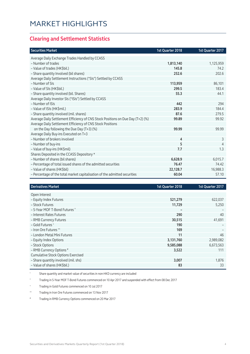#### **Clearing and Settlement Statistics**

| <b>Securities Market</b>                                                        | 1st Quarter 2018 | 1st Quarter 2017 |
|---------------------------------------------------------------------------------|------------------|------------------|
| Average Daily Exchange Trades Handled by CCASS                                  |                  |                  |
| - Number of trades                                                              | 1,813,140        | 1,125,959        |
| - Value of trades (HK\$bil.)                                                    | 145.8            | 74.2             |
| - Share quantity Involved (bil shares)                                          | 252.6            | 202.6            |
| Average Daily Settlement Instructions ("SIs") Settled by CCASS                  |                  |                  |
| - Number of SIs                                                                 | 113,959          | 86,101           |
| - Value of SIs (HK\$bil.)                                                       | 299.5            | 183.4            |
| - Share quantity involved (bil. Shares)                                         | 55.3             | 44.1             |
| Average Daily Investor SIs ("ISIs") Settled by CCASS                            |                  |                  |
| - Number of ISIs                                                                | 442              | 294              |
| - Value of ISIs (HK\$mil.)                                                      | 283.9            | 184.4            |
| - Share quantity involved (mil. shares)                                         | 87.6             | 279.5            |
| Average Daily Settlement Efficiency of CNS Stock Positions on Due Day (T+2) (%) | 99.89            | 99.92            |
| Average Daily Settlement Efficiency of CNS Stock Positions                      |                  |                  |
| on the Day following the Due Day (T+3) (%)                                      | 99.99            | 99.99            |
| Average Daily Buy-ins Executed on T+3                                           |                  |                  |
| - Number of brokers involved                                                    | 4                | 3                |
| - Number of buy-ins                                                             | 5                | 4                |
| - Value of buy-ins (HK\$mil)                                                    | 7.7              | 1.3              |
| Shares Deposited in the CCASS Depository *                                      |                  |                  |
| - Number of shares (bil shares)                                                 | 6,628.9          | 6,015.7          |
| - Percentage of total issued shares of the admitted securities                  | 76.47            | 74.42            |
| - Value of shares (HK\$bil)                                                     | 22,128.7         | 16,988.3         |
| - Percentage of the total market capitalisation of the admitted securities      | 60.04            | 57.10            |

| <b>Derivatives Market</b>                 | 1st Quarter 2018 | 1st Quarter 2017 |
|-------------------------------------------|------------------|------------------|
| Open Interest                             |                  |                  |
| - Equity Index Futures                    | 521,279          | 622,037          |
| - Stock Futures                           |                  |                  |
|                                           | 11,729           | 5,250            |
| - 5-Year MOF T-Bond Futures ^             | -                |                  |
| - Interest Rates Futures                  | 290              | 40               |
| - RMB Currency Futures                    | 30,515           | 41,691           |
| - Gold Futures +                          | 190              |                  |
| - Iron Ore Futures <sup>M</sup>           | 169              |                  |
| - London Metal Mini Futures               | 11               | 46               |
| - Equity Index Options                    | 3,131,760        | 2,989,082        |
| - Stock Options                           | 9,585,088        | 6,673,563        |
| - RMB Currency Options #                  | 3,522            | 111              |
| <b>Cumulative Stock Options Exercised</b> |                  |                  |
| - Share quantity involved (mil. shs)      | 3,007            | 1,876            |
| - Value of shares (HK\$bil.)              | 83               | 33               |

\* Share quantity and market value of securities in non-HKD currency are included

^ Trading in 5-Year MOF T-Bond Futures commenced on 10 Apr 2017 and suspended with effect from 08 Dec 2017

+ Trading in Gold Futures commenced on 10 Jul 2017

^^ Trading in Iron Ore Futures commenced on 13 Nov 2017

# Trading in RMB Currency Options commenced on 20 Mar 2017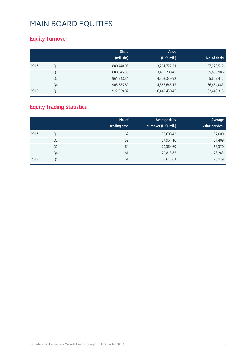### **Equity Turnover**

|      |                | <b>Share</b> | Value        |              |
|------|----------------|--------------|--------------|--------------|
|      |                | (mil. shs)   | (HK\$ mil.)  | No. of deals |
| 2017 | Q1             | 880,448.96   | 3,261,722.31 | 57,223,517   |
|      | Q <sub>2</sub> | 888,545.35   | 3,419,708.45 | 55,686,986   |
|      | Q3             | 961,543.54   | 4,503,339.92 | 65,867,472   |
|      | Q4             | 905,785.89   | 4,868,645.15 | 66,454,083   |
| 2018 | Q1             | 922,529.87   | 6,442,430.45 | 82,448,315   |

### **Equity Trading Statistics**

|      |                | No. of<br>trading days | Average daily<br>turnover (HK\$ mil.) | Average<br>value per deal |
|------|----------------|------------------------|---------------------------------------|---------------------------|
| 2017 | Q1             | 62                     | 52,608.42                             | 57,000                    |
|      | Q <sub>2</sub> | 59                     | 57,961.16                             | 61,409                    |
|      | Q <sub>3</sub> | 64                     | 70,364.69                             | 68,370                    |
|      | Q4             | 61                     | 79,813.85                             | 73,263                    |
| 2018 | Q1             | 61                     | 105,613.61                            | 78,139                    |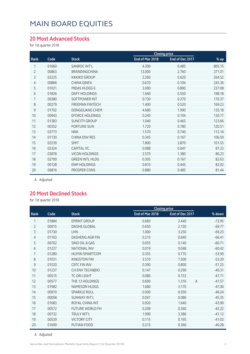#### **20 Most Advanced Stocks**

for 1st quarter 2018

|                |       |                        | <b>Closing price</b> |                 |        |
|----------------|-------|------------------------|----------------------|-----------------|--------|
| Rank           | Code  | <b>Stock</b>           | End of Mar 2018      | End of Dec 2017 | % up   |
|                | 01660 | SANROC INT'L           | 4.390                | 0.485           | 805.15 |
| $\overline{2}$ | 00863 | <b>BRANDINGCHINA</b>   | 13.000               | 2.760           | 371.01 |
| 3              | 02225 | <b>KAKIKO GROUP</b>    | 2.260                | 0.620           | 264.52 |
| $\overline{4}$ | 00866 | CHINA QINFA            | 0.670                | 0.194           | 245.36 |
| 5              | 01021 | MIDAS HLDGS-S          | 3.000                | 0.890           | 237.08 |
| 6              | 01826 | <b>DAFY HOLDINGS</b>   | 1.640                | 0.550           | 198.18 |
| 7              | 00380 | <b>SOFTPOWER INT</b>   | 0.730                | 0.270           | 170.37 |
| 8              | 00279 | <b>FREEMAN FINTECH</b> | 1.400                | 0.520           | 169.23 |
| 9              | 01702 | <b>DONGGUANG CHEM</b>  | 4.680                | 1.990           | 135.18 |
| 10             | 00943 | <b>EFORCE HOLDINGS</b> | 0.240                | 0.104           | 130.77 |
| 11             | 01383 | <b>SUNCITY GROUP</b>   | 1.040                | 0.465           | 123.66 |
| 12             | 00352 | <b>FORTUNE SUN</b>     | 1.720                | 0.780           | 120.51 |
| 13             | 03773 | <b>NNK</b>             | 1.570                | 0.740           | 112.16 |
| 14             | 01130 | <b>CHINA ENV RES</b>   | 0.345                | 0.167           | 106.59 |
| 15             | 02239 | <b>SMIT</b>            | 7.800                | 3.870           | 101.55 |
| 16             | 02324 | <b>CAPITAL VC</b>      | 0.088                | 0.047           | 87.23  |
| 17             | 03878 | <b>VICON HOLDINGS</b>  | 2.570                | 1.380           | 86.23  |
| 18             | 02700 | <b>GREEN INTL HLDG</b> | 0.305                | 0.167           | 82.63  |
| 19             | 00128 | <b>ENM HOLDINGS</b>    | 0.810                | 0.445           | 82.02  |
| 20             | 06816 | PROSPER CONS           | 0.880                | 0.485           | 81.44  |
|                |       |                        |                      |                 |        |

A Adjusted

#### **20 Most Declined Stocks**

for 1st quarter 2018

|                |       |                        | <b>Closing price</b> |                         |          |
|----------------|-------|------------------------|----------------------|-------------------------|----------|
| Rank           | Code  | <b>Stock</b>           | End of Mar 2018      | End of Dec 2017         | % down   |
| 1              | 01884 | <b>EPRINT GROUP</b>    | 0.660                | 2.440                   | $-72.95$ |
| $\overline{2}$ | 00915 | <b>DAOHE GLOBAL</b>    | 0.650                | 2.150                   | $-69.77$ |
| 3              | 01730 | <b>LHN</b>             | 1.000                | 3.250                   | $-69.23$ |
| 4              | 01103 | DASHENG AGR FIN        | 0.215                | 0.640                   | $-66.41$ |
| 5              | 00702 | SINO OIL & GAS         | 0.055                | 0.140                   | $-60.71$ |
| 6              | 01227 | <b>NATIONAL INV</b>    | 0.019                | 0.048                   | $-60.42$ |
| 7              | 01280 | <b>HUIYIN SMARTCOM</b> | 0.355                | 0.770                   | $-53.90$ |
| 8              | 01031 | <b>KINGSTON FIN</b>    | 3.510                | 7.500                   | $-53.20$ |
| 9              | 01520 | <b>CEFC FIN INV</b>    | 0.390                | 0.800                   | $-51.25$ |
| 10             | 01237 | CH ENV TECH&BIO        | 0.147                | 0.290                   | $-49.31$ |
| 11             | 00515 | <b>TC ORI LIGHT</b>    | 0.080                | 0.153                   | $-47.71$ |
| 12             | 00577 | THE 13 HOLDINGS        | 0.690                | 1.316<br>$\overline{A}$ | $-47.57$ |
| 13             | 01982 | <b>NAMESON HLDGS</b>   | 1.680                | 3.170                   | $-47.00$ |
| 14             | 00970 | <b>SPARKLE ROLL</b>    | 0.500                | 0.930                   | $-46.24$ |
| 15             | 00058 | <b>SUNWAY INT'L</b>    | 0.047                | 0.086                   | $-45.35$ |
| 16             | 01683 | ROYAL CHINA INT        | 0.920                | 1.640                   | $-43.90$ |
| 17             | 00572 | <b>FUTURE WORLD FH</b> | 0.208                | 0.360                   | $-42.22$ |
| 18             | 00732 | TRULY INT'L            | 1.990                | 3.380                   | $-41.12$ |
| 19             | 00539 | <b>VICTORY CITY</b>    | 0.115                | 0.195                   | $-41.03$ |
| 20             | 01699 | PUTIAN FOOD            | 0.215                | 0.360                   | $-40.28$ |

A Adjusted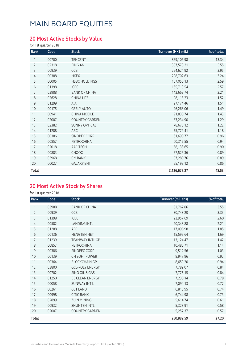### **20 Most Active Stocks by Value**

for 1st quarter 2018

| Rank           | Code  | <b>Stock</b>          | Turnover (HK\$ mil.) | % of total |
|----------------|-------|-----------------------|----------------------|------------|
| 1              | 00700 | <b>TENCENT</b>        | 859,106.98           | 13.34      |
| $\overline{2}$ | 02318 | PING AN               | 357,578.21           | 5.55       |
| 3              | 00939 | CCB                   | 254,624.92           | 3.95       |
| 4              | 00388 | <b>HKEX</b>           | 208,702.63           | 3.24       |
| 5              | 00005 | <b>HSBC HOLDINGS</b>  | 167,056.13           | 2.59       |
| 6              | 01398 | <b>ICBC</b>           | 165,713.54           | 2.57       |
| 7              | 03988 | <b>BANK OF CHINA</b>  | 142,663.74           | 2.21       |
| 8              | 02628 | CHINA LIFE            | 98,113.23            | 1.52       |
| 9              | 01299 | AIA                   | 97,174.46            | 1.51       |
| 10             | 00175 | <b>GEELY AUTO</b>     | 96,268.06            | 1.49       |
| 11             | 00941 | <b>CHINA MOBILE</b>   | 91,830.74            | 1.43       |
| 12             | 02007 | <b>COUNTRY GARDEN</b> | 83,234.90            | 1.29       |
| 13             | 02382 | <b>SUNNY OPTICAL</b>  | 78,678.12            | 1.22       |
| 14             | 01288 | ABC                   | 75,779.41            | 1.18       |
| 15             | 00386 | SINOPEC CORP          | 61,690.77            | 0.96       |
| 16             | 00857 | PETROCHINA            | 60,317.55            | 0.94       |
| 17             | 02018 | AAC TECH              | 58,138.65            | 0.90       |
| 18             | 00883 | <b>CNOOC</b>          | 57,525.36            | 0.89       |
| 19             | 03968 | <b>CM BANK</b>        | 57,280.76            | 0.89       |
| 20             | 00027 | <b>GALAXY ENT</b>     | 55,199.12            | 0.86       |
| Total          |       |                       | 3,126,677.27         | 48.53      |

### **20 Most Active Stock by Shares**

for 1st quarter 2018

| Rank           | Code  | <b>Stock</b>           | Turnover (mil. shs) | % of total |
|----------------|-------|------------------------|---------------------|------------|
|                | 03988 | <b>BANK OF CHINA</b>   | 32,762.86           | 3.55       |
| $\overline{2}$ | 00939 | CCB                    | 30,748.20           | 3.33       |
| 3              | 01398 | <b>ICBC</b>            | 23,957.69           | 2.60       |
| 4              | 00582 | <b>LANDING INTL</b>    | 20,348.88           | 2.21       |
| 5              | 01288 | ABC                    | 17,096.98           | 1.85       |
| 6              | 00136 | <b>HENGTEN NET</b>     | 15,599.64           | 1.69       |
| 7              | 01239 | <b>TEAMWAY INTL GP</b> | 13,124.47           | 1.42       |
| 8              | 00857 | PETROCHINA             | 10,486.71           | 1.14       |
| 9              | 00386 | SINOPEC CORP           | 9,512.56            | 1.03       |
| 10             | 00139 | CH SOFT POWER          | 8,947.96            | 0.97       |
| 11             | 00364 | <b>BLOCKCHAIN GP</b>   | 8,659.20            | 0.94       |
| 12             | 03800 | <b>GCL-POLY ENERGY</b> | 7,789.07            | 0.84       |
| 13             | 00702 | SINO OIL & GAS         | 7,776.15            | 0.84       |
| 14             | 01250 | <b>BE CLEAN ENERGY</b> | 7,230.14            | 0.78       |
| 15             | 00058 | <b>SUNWAY INT'L</b>    | 7,094.13            | 0.77       |
| 16             | 00261 | <b>CCT LAND</b>        | 6,813.95            | 0.74       |
| 17             | 00998 | <b>CITIC BANK</b>      | 6,744.98            | 0.73       |
| 18             | 02899 | <b>ZIJIN MINING</b>    | 5,614.74            | 0.61       |
| 19             | 00932 | <b>SHUNTEN INTL</b>    | 5,323.91            | 0.58       |
| 20             | 02007 | <b>COUNTRY GARDEN</b>  | 5,257.37            | 0.57       |
| Total          |       |                        | 250,889.59          | 27.20      |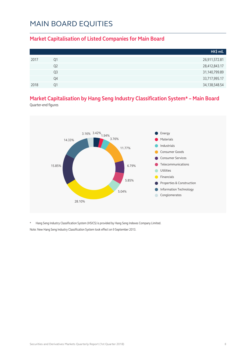#### **Market Capitalisation of Listed Companies for Main Board**

|      |    | HK\$ mil.        |
|------|----|------------------|
| 2017 | Q1 | 26,911,572.81    |
|      | Q2 | 28,412,843.17    |
|      | Q3 | 31,140,799.89    |
|      | Q4 | 33,717,995.17    |
| 2018 | 01 | 34, 138, 548. 54 |

### **Market Capitalisation by Hang Seng Industry Classification System\* – Main Board**

Quarter-end figures



\* Hang Seng Industry Classification System (HSICS) is provided by Hang Seng Indexes Company Limited. Note: New Hang Seng Industry Classification System took effect on 9 September 2013.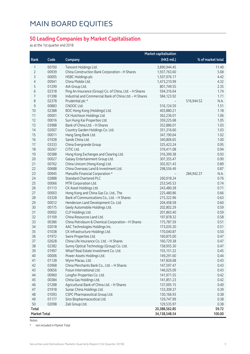#### **50 Leading Companies by Market Capitalisation**

as at the 1st quarter end 2018

|                     |       | <b>Market capitalisation</b>                            |                  |                    |  |
|---------------------|-------|---------------------------------------------------------|------------------|--------------------|--|
| Rank                | Code  | Company                                                 | (HK\$ mil.)      | % of market total  |  |
| 1                   | 00700 | Tencent Holdings Ltd.                                   | 3,890,944.45     | 11.40              |  |
| $\overline{2}$      | 00939 | China Construction Bank Corporation - H Shares          | 1,937,763.60     | 5.68               |  |
| 3                   | 00005 | <b>HSBC Holdings plc</b>                                | 1,507,976.17     | 4.42               |  |
| $\overline{4}$      | 00941 | China Mobile Ltd.                                       | 1,473,210.99     | 4.32               |  |
| 5                   | 01299 | AIA Group Ltd.                                          | 801,749.55       | 2.35               |  |
| 6                   | 02318 | Ping An Insurance (Group) Co. of China, Ltd. - H Shares | 594,316.64       | 1.74               |  |
| 7                   | 01398 | Industrial and Commercial Bank of China Ltd. - H Shares | 584,123.92       | 1.71               |  |
| 8                   | 02378 | Prudential plc *                                        |                  | 516,944.52<br>N.A. |  |
| $\mathsf 9$         | 00883 | CNOOC Ltd.                                              | 516,124.59       | 1.51               |  |
| 10                  | 02388 | BOC Hong Kong (Holdings) Ltd.                           | 403,880.21       | 1.18               |  |
| 11                  | 00001 | CK Hutchison Holdings Ltd.                              | 362,236.01       | 1.06               |  |
| 12                  | 00016 | Sun Hung Kai Properties Ltd.                            | 359,225.68       | 1.05               |  |
| 13                  | 03988 | Bank of China Ltd. - H Shares                           | 352,886.01       | 1.03               |  |
| 14                  | 02007 | Country Garden Holdings Co. Ltd.                        | 351,316.60       | 1.03               |  |
| 15                  | 00011 | Hang Seng Bank Ltd.                                     | 347,190.64       | 1.02               |  |
| 16                  | 01928 | Sands China Ltd.                                        | 340,806.65       | 1.00               |  |
| 17                  | 03333 | China Evergrande Group                                  | 325,423.24       | 0.95               |  |
| 18                  | 00267 | CITIC Ltd.                                              | 319,411.08       | 0.94               |  |
| 19                  | 00388 | Hong Kong Exchanges and Clearing Ltd.                   | 316,399.38       | 0.93               |  |
| 20                  | 00027 | Galaxy Entertainment Group Ltd.                         | 307,355.47       | 0.90               |  |
| 21                  | 00762 | China Unicom (Hong Kong) Ltd.                           | 302,921.43       | 0.89               |  |
| 22                  | 00688 | China Overseas Land & Investment Ltd.                   | 298,556.49       | 0.87               |  |
| 23                  | 00945 | Manulife Financial Corporation *                        |                  | 284,942.37<br>N.A. |  |
| 24                  | 02888 | <b>Standard Chartered PLC</b>                           | 260,918.24       | 0.76               |  |
| 25                  | 00066 | MTR Corporation Ltd.                                    | 253,545.53       | 0.74               |  |
| 26                  | 01113 | CK Asset Holdings Ltd.                                  | 243,480.28       | 0.71               |  |
| 27                  | 00003 | Hong Kong and China Gas Co. Ltd., The                   | 225,480.86       | 0.66               |  |
| 28                  | 03328 | Bank of Communications Co., Ltd. - H Shares             | 215,322.96       | 0.63               |  |
| 29                  | 00012 | Henderson Land Development Co. Ltd.                     | 204,458.58       | 0.60               |  |
| 30                  | 00175 | Geely Automobile Holdings Ltd.                          | 202,802.29       | 0.59               |  |
| 31                  | 00002 | CLP Holdings Ltd.                                       | 201,863.40       | 0.59               |  |
| 32                  | 01109 | China Resources Land Ltd.                               | 197,878.32       | 0.58               |  |
| 33                  | 00386 | China Petroleum & Chemical Corporation - H Shares       | 175,787.59       | 0.51               |  |
| 34                  | 02018 | AAC Technologies Holdings Inc.                          | 173,035.20       | 0.51               |  |
| 35                  | 01038 | CK Infrastructure Holdings Ltd.                         | 170,040.87       | 0.50               |  |
| 36                  | 01972 | Swire Properties Ltd.                                   | 160,875.00       | 0.47               |  |
| 37                  | 02628 | China Life Insurance Co. Ltd. - H Shares                | 160,729.38       | 0.47               |  |
| 38                  | 02382 | Sunny Optical Technology (Group) Co. Ltd.               | 158,955.30       | 0.47               |  |
| 39                  | 01997 | Wharf Real Estate Investment Co. Ltd.                   | 155,151.22       | 0.45               |  |
| 40                  | 00006 | Power Assets Holdings Ltd.                              | 149,291.60       | 0.44               |  |
| 41                  | 01128 | Wynn Macau, Ltd.                                        | 147,826.68       | 0.43               |  |
| 42                  | 03968 | China Merchants Bank Co., Ltd. - H Shares               | 147,597.47       | 0.43               |  |
| 43                  | 00656 | Fosun International Ltd.                                | 146,025.09       | 0.43               |  |
| 44                  | 00960 | Longfor Properties Co. Ltd.                             | 141,971.55       | 0.42               |  |
| 45                  | 00384 | China Gas Holdings Ltd.                                 | 141,851.23       | 0.42               |  |
| 46                  | 01288 | Agricultural Bank of China Ltd. - H Shares              | 137,095.15       | 0.40               |  |
| 47                  | 01918 | Sunac China Holdings Ltd.                               | 133,309.37       | 0.39               |  |
| 48                  | 01093 | CSPC Pharmaceutical Group Ltd.                          | 130,166.93       | 0.38               |  |
| 49                  | 01177 | Sino Biopharmaceutical Ltd.                             | 129,747.99       | 0.38               |  |
| 50                  | 02098 | Zall Group Ltd.                                         | 129,535.97       | 0.38               |  |
| Total               |       |                                                         | 20,388,562.85    | 59.72              |  |
| <b>Market Total</b> |       |                                                         | 34, 138, 548. 54 | 100.00             |  |
|                     |       |                                                         |                  |                    |  |

Notes:

\* not included in Market Total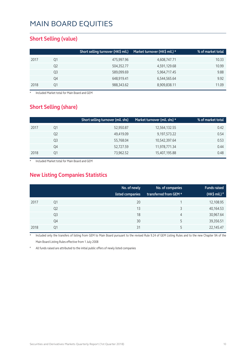#### **Short Selling (value)**

|      |    | Short selling turnover (HK\$ mil.) | Market turnover (HK\$ mil.) * | % of market total |
|------|----|------------------------------------|-------------------------------|-------------------|
| 2017 | Q1 | 475,997.96                         | 4,608,747.71                  | 10.33             |
|      | Q2 | 504,352.77                         | 4,591,129.68                  | 10.99             |
|      | Q3 | 589,099.69                         | 5,964,717.45                  | 9.88              |
|      | Q4 | 648,919.41                         | 6,544,565.64                  | 9.92              |
| 2018 | 01 | 988,343.62                         | 8,909,838.11                  | 11.09             |

**Included Market total for Main Board and GEM** 

#### **Short Selling (share)**

|      |    | Short selling turnover (mil. shs) | Market turnover (mil. shs) * | % of market total |
|------|----|-----------------------------------|------------------------------|-------------------|
| 2017 | Q1 | 52,950.87                         | 12,564,132.55                | 0.42              |
|      | Q2 | 49,419.09                         | 9,197,573.22                 | 0.54              |
|      | Q3 | 55,768.04                         | 10,542,397.64                | 0.53              |
|      | Q4 | 52,727.59                         | 11,978,771.34                | 0.44              |
| 2018 | Ο1 | 73,962.52                         | 15,407,195.88                | 0.48              |

Included Market total for Main Board and GEM

### **New Listing Companies Statistics**

|      |                | No. of newly<br>listed companies | No. of companies<br>transferred from GEM * | <b>Funds raised</b><br>(HK\$ mil.) $*$ |
|------|----------------|----------------------------------|--------------------------------------------|----------------------------------------|
| 2017 | Q1             | 20                               |                                            | 12,108.95                              |
|      | Q <sub>2</sub> | 13                               | 3                                          | 40,164.53                              |
|      | Q <sub>3</sub> | 18                               | 4                                          | 30,967.64                              |
|      | Q4             | 30                               | 5                                          | 39,356.51                              |
| 2018 | Q1             | 31                               |                                            | 22,145.47                              |

Included only the transfers of listing from GEM to Main Board pursuant to the revised Rule 9.24 of GEM Listing Rules and to the new Chapter 9A of the Main Board Listing Rules effective from 1 July 2008

All funds raised are attributed to the initial public offers of newly listed companies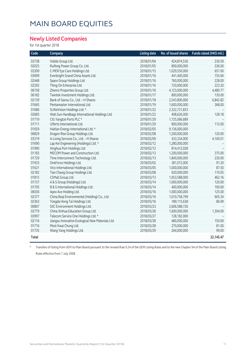#### **Newly Listed Companies**

for 1st quarter 2018

| Code  | Company                                          | <b>Listing date</b> | No. of issued shares | Funds raised (HK\$ mil.) |
|-------|--------------------------------------------------|---------------------|----------------------|--------------------------|
| 03738 | Vobile Group Ltd.                                | 2018/01/04          | 424,874,536          | 236.59                   |
| 02025 | Ruifeng Power Group Co. Ltd.                     | 2018/01/05          | 800,000,000          | 336.00                   |
| 03309 | C-MER Eye Care Holdings Ltd.                     | 2018/01/15          | 1,029,550,000        | 657.00                   |
| 03699 | Everbright Grand China Assets Ltd.               | 2018/01/16          | 441,400,000          | 155.66                   |
| 02448 | Space Group Holdings Ltd.                        | 2018/01/16          | 760,000,000          | 228.00                   |
| 02292 | Thing On Enterprise Ltd.                         | 2018/01/16          | 720,000,000          | 223.20                   |
| 06158 | Zhenro Properties Group Ltd.                     | 2018/01/16          | 4,123,000,000        | 4,480.77                 |
| 06182 | Twintek Investment Holdings Ltd.                 | 2018/01/17          | 800,000,000          | 130.00                   |
| 02139 | Bank of Gansu Co., Ltd. - H Shares               | 2018/01/18          | 2,543,800,000        | 6,842.82                 |
| 01665 | Pentamaster International Ltd.                   | 2018/01/19          | 1,600,000,000        | 368.00                   |
| 01686 | SUNeVision Holdings Ltd. *                       | 2018/01/22          | 2,322,721,833        |                          |
| 02683 | Wah Sun Handbags International Holdings Ltd.     | 2018/01/22          | 408,626,000          | 128.18                   |
| 01719 | CIG Yangtze Ports PLC *                          | 2018/01/29          | 1,725,066,689        |                          |
| 01711 | Ulferts International Ltd.                       | 2018/01/29          | 800,000,000          | 112.00                   |
| 01659 | Haitian Energy International Ltd. *              | 2018/02/05          | 9,136,000,000        |                          |
| 06829 | Dragon Rise Group Holdings Ltd.                  | 2018/02/08          | 1,200,000,000        | 120.00                   |
| 03319 | A-Living Services Co., Ltd. - H Shares           | 2018/02/09          | 433,334,000          | 4,100.01                 |
| 01690 | Lap Kei Engineering (Holdings) Ltd. *            | 2018/02/12          | 1,280,000,000        |                          |
| 01990 | Xinghua Port Holdings Ltd.                       | 2018/02/12          | 814,412,028          |                          |
| 01183 | MECOM Power and Construction Ltd.                | 2018/02/13          | 1,200,000,000        | 375.00                   |
| 01729 | Time Interconnect Technology Ltd.                | 2018/02/13          | 1,840,000,000        | 230.00                   |
| 01933 | OneForce Holdings Ltd.                           | 2018/03/02          | 381,072,000          | 91.20                    |
| 01621 | Vico International Holdings Ltd.                 | 2018/03/05          | 1,000,000,000        | 87.50                    |
| 02182 | Tian Chang Group Holdings Ltd.                   | 2018/03/08          | 620,000,000          | 110.05                   |
| 01815 | CSMall Group Ltd.                                | 2018/03/13          | 1,053,588,000        | 462.16                   |
| 01737 | A & S Group (Holdings) Ltd.                      | 2018/03/14          | 1,000,000,000        | 120.00                   |
| 01705 | B & S International Holdings Ltd.                | 2018/03/14          | 400,000,000          | 100.00                   |
| 06036 | Apex Ace Holding Ltd.                            | 2018/03/16          | 1,000,000,000        | 125.00                   |
| 02377 | China Boqi Environmental (Holding) Co., Ltd.     | 2018/03/16          | 1,010,758,799        | 605.34                   |
| 02363 | Tongda Hong Tai Holdings Ltd.                    | 2018/03/16          | 189,115,638          | 86.99                    |
| 00807 | SIIC Environment Holdings Ltd.                   | 2018/03/23          | 2,606,588,726        |                          |
| 02779 | China Xinhua Education Group Ltd.                | 2018/03/26          | 1,600,000,000        | 1,304.00                 |
| 03997 | Telecom Service One Holdings Ltd. *              | 2018/03/27          | 128,182,000          |                          |
| 02116 | Jiangsu Innovative Ecological New Materials Ltd. | 2018/03/28          | 480,000,000          | 150.00                   |
| 01716 | Most Kwai Chung Ltd.                             | 2018/03/28          | 270,000,000          | 81.00                    |
| 01735 | Wang Yang Holdings Ltd.                          | 2018/03/29          | 264,000,000          | 99.00                    |
| Total |                                                  |                     |                      | 22,145.47                |

\* Transfers of listing from GEM to Main Board pursuant to the revised Rule 9.24 of the GEM Listing Rules and to the new Chapter 9A of the Main Board Listing Rules effective from 1 July 2008.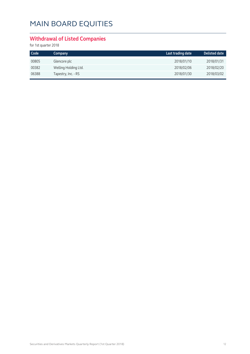### **Withdrawal of Listed Companies**

for 1st quarter 2018

| Code  | Company              | Last trading date | <b>Delisted date</b> |
|-------|----------------------|-------------------|----------------------|
| 00805 | Glencore plc         | 2018/01/10        | 2018/01/31           |
| 00382 | Welling Holding Ltd. | 2018/02/06        | 2018/02/20           |
| 06388 | Tapestry, Inc. - RS  | 2018/01/30        | 2018/03/02           |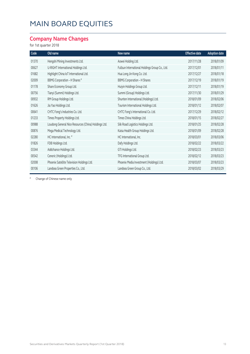### **Company Name Changes**

for 1st quarter 2018

| Code  | Old name                                             | New name                                       | <b>Effective date</b> | <b>Adoption date</b> |
|-------|------------------------------------------------------|------------------------------------------------|-----------------------|----------------------|
| 01370 | Hengshi Mining Investments Ltd.                      | Aowei Holding Ltd.                             | 2017/11/28            | 2018/01/09           |
| 00627 | U-RIGHT International Holdings Ltd.                  | Fullsun International Holdings Group Co., Ltd. | 2017/12/01            | 2018/01/11           |
| 01682 | Highlight China IoT International Ltd.               | Hua Long Jin Kong Co. Ltd.                     | 2017/12/27            | 2018/01/18           |
| 02009 | <b>BBMG Corporation - H Shares</b> #                 | <b>BBMG Corporation - H Shares</b>             | 2017/12/19            | 2018/01/19           |
| 01178 | Share Economy Group Ltd.                             | Huiyin Holdings Group Ltd.                     | 2017/12/11            | 2018/01/19           |
| 00756 | Tianyi (Summi) Holdings Ltd.                         | Summi (Group) Holdings Ltd.                    | 2017/11/30            | 2018/01/29           |
| 00932 | RM Group Holdings Ltd.                               | Shunten International (Holdings) Ltd.          | 2018/01/09            | 2018/02/06           |
| 01626 | Jia Yao Holdings Ltd.                                | Tourism International Holdings Ltd.            | 2018/01/12            | 2018/02/07           |
| 00641 | CHTC Fong's Industries Co. Ltd.                      | CHTC Fong's International Co. Ltd.             | 2017/12/29            | 2018/02/12           |
| 01233 | Times Property Holdings Ltd.                         | Times China Holdings Ltd.                      | 2018/01/15            | 2018/02/27           |
| 00988 | Loudong General Nice Resources (China) Holdings Ltd. | Silk Road Logistics Holdings Ltd.              | 2018/01/25            | 2018/02/28           |
| 00876 | Mega Medical Technology Ltd.                         | Kaisa Health Group Holdings Ltd.               | 2018/01/09            | 2018/02/28           |
| 02280 | HC International, Inc. #                             | HC International, Inc.                         | 2018/03/01            | 2018/03/06           |
| 01826 | FDB Holdings Ltd.                                    | Dafy Holdings Ltd.                             | 2018/02/22            | 2018/03/22           |
| 03344 | Addchance Holdings Ltd.                              | GTI Holdings Ltd.                              | 2018/02/23            | 2018/03/23           |
| 00542 | Ceneric (Holdings) Ltd.                              | TFG International Group Ltd.                   | 2018/02/12            | 2018/03/23           |
| 02008 | Phoenix Satellite Television Holdings Ltd.           | Phoenix Media Investment (Holdings) Ltd.       | 2018/03/07            | 2018/03/23           |
| 00106 | Landsea Green Properties Co., Ltd.                   | Landsea Green Group Co., Ltd.                  | 2018/03/02            | 2018/03/29           |

# Change of Chinese name only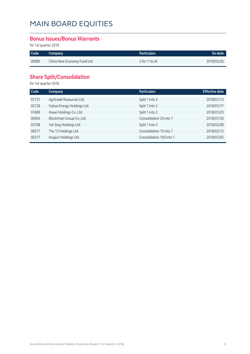#### **Bonus Issues/Bonus Warrants**

for 1st quarter 2018

| Code  | Company                     | <b>Particulars</b> | Ex-date    |
|-------|-----------------------------|--------------------|------------|
| 00080 | China New Economy Fund Ltd. | 3 for 1 rts sh     | 2018/02/26 |

### **Share Split/Consolidation**

for 1st quarter 2018

| Code  | Company                    | <b>Particulars</b>       | <b>Effective date</b> |
|-------|----------------------------|--------------------------|-----------------------|
| 01131 | Agritrade Resources Ltd.   | Split 1 into 4           | 2018/01/12            |
| 02728 | Yuhua Energy Holdings Ltd. | Split 1 into 2           | 2018/01/17            |
| 01689 | Huaxi Holdings Co. Ltd.    | Split 1 into 2           | 2018/01/25            |
| 00364 | Blockchain Group Co. Ltd.  | Consolidation 20 into 1  | 2018/01/30            |
| 03708 | Yat Sing Holdings Ltd.     | Split 1 into 5           | 2018/02/08            |
| 00577 | The 13 Holdings Ltd.       | Consolidation 10 into 1  | 2018/02/12            |
| 00377 | Huajun Holdings Ltd.       | Consolidation 100 into 1 | 2018/03/05            |
|       |                            |                          |                       |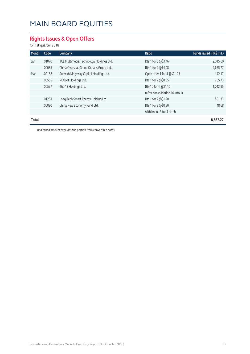### **Rights Issues & Open Offers**

for 1st quarter 2018

| Month        | Code  | Company                                 | Ratio                           | Funds raised (HK\$ mil.) |
|--------------|-------|-----------------------------------------|---------------------------------|--------------------------|
| Jan          | 01070 | TCL Multimedia Technology Holdings Ltd. | Rts 1 for 3 @\$3.46             | 2,015.60                 |
|              | 00081 | China Overseas Grand Oceans Group Ltd.  | Rts 1 for 2 @\$4.08             | 4,655.77                 |
| Mar          | 00188 | Sunwah Kingsway Capital Holdings Ltd.   | Open offer 1 for 4 @\$0.103     | 142.17                   |
|              | 00555 | REXLot Holdings Ltd.                    | Rts 1 for 2 @\$0.051            | 255.73                   |
|              | 00577 | The 13 Holdings Ltd.                    | Rts 10 for 1 @\$1.10            | 1,012.95                 |
|              |       |                                         | (after consolidation 10 into 1) |                          |
|              | 01281 | LongiTech Smart Energy Holding Ltd.     | Rts 1 for 2 @\$1.20             | 551.37                   |
|              | 00080 | China New Economy Fund Ltd.             | Rts 1 for 8 @\$0.50             | 48.68                    |
|              |       |                                         | with bonus 3 for 1 rts sh       |                          |
| <b>Total</b> |       |                                         |                                 | 8,682.27                 |

\* Fund raised amount excludes the portion from convertible notes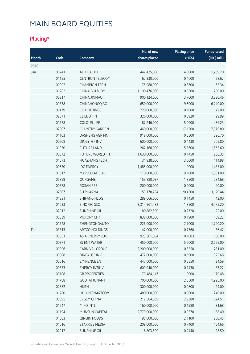### **Placing\***

|       |       |                        | No. of new    | <b>Placing price</b> | <b>Funds raised</b> |
|-------|-------|------------------------|---------------|----------------------|---------------------|
| Month | Code  | Company                | shares placed | (HK\$)               | (HK\$ mil.)         |
| 2018  |       |                        |               |                      |                     |
| Jan   | 00241 | ALI HEALTH             | 442,425,000   | 4.0000               | 1,769.70            |
|       | 01155 | <b>CENTRON TELECOM</b> | 62,330,000    | 0.4600               | 28.67               |
|       | 00092 | <b>CHAMPION TECH</b>   | 75,980,000    | 0.8600               | 65.34               |
|       | 01282 | CHINA GOLDJOY          | 1,190,476,000 | 0.6300               | 750.00              |
|       | 00817 | CHINA JINMAO           | 900,124,000   | 3.7000               | 3,330.46            |
|       | 01378 | CHINAHONGQIAO          | 650,000,000   | 9.6000               | 6,240.00            |
|       | 00479 | <b>CIL HOLDINGS</b>    | 720,000,000   | 0.1000               | 72.00               |
|       | 02371 | CL EDU FIN             | 326,000,000   | 0.0920               | 29.99               |
|       | 01778 | <b>COLOUR LIFE</b>     | 87,246,000    | 5.0000               | 436.23              |
|       | 02007 | <b>COUNTRY GARDEN</b>  | 460,000,000   | 17.1300              | 7,879.80            |
|       | 01103 | DASHENG AGR FIN        | 918,000,000   | 0.6500               | 596.70              |
|       | 00508 | <b>DINGYI GP INV</b>   | 600,000,000   | 0.4430               | 265.80              |
|       | 01030 | <b>FUTURE LAND</b>     | 267,168,000   | 5.8600               | 1,565.60            |
|       | 00572 | <b>FUTURE WORLD FH</b> | 1,630,000,000 | 0.1450               | 236.35              |
|       | 01673 | <b>HUAZHANG TECH</b>   | 31,938,000    | 3.6000               | 114.98              |
|       | 00650 | <b>IDG ENERGY</b>      | 1,485,000,000 | 1.0000               | 1,485.00            |
|       | 01317 | MAPLELEAF EDU          | 110,000,000   | 9.1000               | 1,001.00            |
|       | 06899 | OURGAME                | 153,880,037   | 1.8500               | 284.68              |
|       | 00578 | <b>ROSAN RES</b>       | 200,000,000   | 0.2000               | 40.00               |
|       | 02607 | <b>SH PHARMA</b>       | 153,178,784   | 20.4300              | 3,129.44            |
|       | 01831 | <b>SHIFANG HLDG</b>    | 289,666,000   | 0.1450               | 42.00               |
|       | 01033 | SINOPEC SSC            | 3,314,961,482 | 1.3500               | 4,475.20            |
|       | 02012 | <b>SUNSHINE OIL</b>    | 80,882,500    | 0.2720               | 22.00               |
|       | 00539 | <b>VICTORY CITY</b>    | 838,000,000   | 0.1900               | 159.22              |
|       | 01728 | ZHENGTONGAUTO          | 226,000,000   | 7.7000               | 1,740.20            |
| Feb   | 03313 | ARTGO HOLDINGS         | 47,000,000    | 0.7760               | 36.47               |
|       | 00351 | ASIA ENERGY LOG        | 923,361,034   | 0.1083               | 100.00              |
|       | 00371 | <b>BJ ENT WATER</b>    | 450,000,000   | 5.9000               | 2,655.00            |
|       | 00996 | CARNIVAL GROUP         | 2,200,000,000 | 0.3550               | 781.00              |
|       | 00508 | <b>DINGYI GP INV</b>   | 472,000,000   | 0.6900               | 325.68              |
|       | 00616 | <b>EMINENCE ENT</b>    | 447,000,000   | 0.0550               | 24.59               |
|       | 00353 | <b>ENERGY INTINV</b>   | 609,940,000   | 0.1430               | 87.22               |
|       | 00108 | <b>GR PROPERTIES</b>   | 179,484,147   | 1.0000               | 179.48              |
|       | 01788 | <b>GUOTAI JUNAN I</b>  | 700,000,000   | 2.8500               | 1,995.00            |
|       | 02882 | <b>HKRH</b>            | 300,000,000   | 0.0800               | 24.00               |
|       | 01280 | <b>HUIYIN SMARTCOM</b> | 480,000,000   | 0.5000               | 240.00              |
|       | 00095 | LVGEM CHINA            | 212,564,669   | 2.9380               | 624.51              |
|       | 01247 | MIKO INTL              | 160,000,000   | 0.1980               | 31.68               |
|       | 01194 | MUNSUN CAPITAL         | 2,779,000,000 | 0.0570               | 158.40              |
|       | 01583 | QINQIN FOODS           | 95,000,000    | 2.1100               | 200.45              |
|       | 01616 | <b>STARRISE MEDIA</b>  | 209,000,000   | 0.7400               | 154.66              |
|       | 02012 | SUNSHINE OIL           | 116,803,500   | 0.2440               | 28.50               |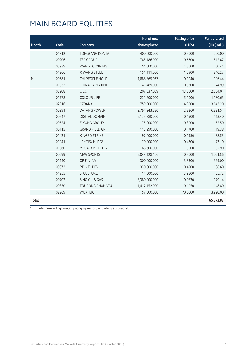|       |       |                        | No. of new    | <b>Placing price</b> | <b>Funds raised</b> |
|-------|-------|------------------------|---------------|----------------------|---------------------|
| Month | Code  | Company                | shares placed | (HK\$)               | (HK\$ mil.)         |
|       | 01312 | <b>TONGFANG KONTA</b>  | 400,000,000   | 0.5000               | 200.00              |
|       | 00206 | <b>TSC GROUP</b>       | 765,186,000   | 0.6700               | 512.67              |
|       | 03939 | <b>WANGUO MINING</b>   | 54,000,000    | 1.8600               | 100.44              |
|       | 01266 | <b>XIWANG STEEL</b>    | 151,111,000   | 1.5900               | 240.27              |
| Mar   | 00681 | CHI PEOPLE HOLD        | 1,888,865,067 | 0.1040               | 196.44              |
|       | 01532 | CHINA PARTYTIME        | 141,489,000   | 0.5300               | 74.99               |
|       | 03908 | <b>CICC</b>            | 207,537,059   | 13.8000              | 2,864.01            |
|       | 01778 | <b>COLOUR LIFE</b>     | 231,500,000   | 5.1000               | 1,180.65            |
|       | 02016 | <b>CZBANK</b>          | 759,000,000   | 4.8000               | 3,643.20            |
|       | 00991 | <b>DATANG POWER</b>    | 2,794,943,820 | 2.2260               | 6,221.54            |
|       | 00547 | <b>DIGITAL DOMAIN</b>  | 2,175,780,000 | 0.1900               | 413.40              |
|       | 00524 | <b>E-KONG GROUP</b>    | 175,000,000   | 0.3000               | 52.50               |
|       | 00115 | <b>GRAND FIELD GP</b>  | 113,990,000   | 0.1700               | 19.38               |
|       | 01421 | KINGBO STRIKE          | 197,600,000   | 0.1950               | 38.53               |
|       | 01041 | <b>LAMTEX HLDGS</b>    | 170,000,000   | 0.4300               | 73.10               |
|       | 01360 | MEGAEXPO HLDG          | 68,600,000    | 1.5000               | 102.90              |
|       | 00299 | <b>NEW SPORTS</b>      | 2,043,128,106 | 0.5000               | 1,021.56            |
|       | 01140 | OP FIN INV             | 300,000,000   | 3.3300               | 999.00              |
|       | 00372 | PT INTL DEV            | 330,000,000   | 0.4200               | 138.60              |
|       | 01255 | S. CULTURE             | 14,000,000    | 3.9800               | 55.72               |
|       | 00702 | SINO OIL & GAS         | 3,380,000,000 | 0.0530               | 179.14              |
|       | 00850 | <b>TOURONG CHANGFU</b> | 1,417,152,000 | 0.1050               | 148.80              |
|       | 02269 | <b>WUXI BIO</b>        | 57,000,000    | 70.0000              | 3,990.00            |
| Total |       |                        |               |                      | 65,873.87           |

\* Due to the reporting time-lag, placing figures for the quarter are provisional.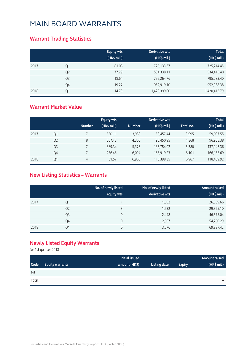### **Warrant Trading Statistics**

|      |                | <b>Equity wts</b><br>(HK\$ mil.) | Derivative wts<br>(HK\$ mil.) | <b>Total</b><br>(HK\$ mil.) |
|------|----------------|----------------------------------|-------------------------------|-----------------------------|
| 2017 | Q1             | 81.08                            | 725,133.37                    | 725,214.45                  |
|      | Q <sub>2</sub> | 77.29                            | 534,338.11                    | 534,415.40                  |
|      | Q <sub>3</sub> | 18.64                            | 795,264.76                    | 795,283.40                  |
|      | Q4             | 19.27                            | 952,919.10                    | 952,938.38                  |
| 2018 | Q1             | 14.79                            | 1,420,399.00                  | 1,420,413.79                |

#### **Warrant Market Value**

|      |                |               | <b>Equity wts</b> |               | Derivative wts |            | <b>Total</b> |
|------|----------------|---------------|-------------------|---------------|----------------|------------|--------------|
|      |                | <b>Number</b> | (HK\$ mil.)       | <b>Number</b> | (HK\$ mil.)    | Total no.' | (HK\$ mil.)  |
| 2017 | Q1             |               | 550.11            | 3,988         | 58,457.44      | 3,995      | 59,007.55    |
|      | Q <sub>2</sub> | 8             | 507.43            | 4.360         | 96,450.95      | 4,368      | 96,958.38    |
|      | Q <sub>3</sub> |               | 389.34            | 5,373         | 136,754.02     | 5,380      | 137, 143. 36 |
|      | Q4             |               | 236.46            | 6,094         | 165,919.23     | 6,101      | 166,155.69   |
| 2018 | Q1             | 4             | 61.57             | 6.963         | 118,398.35     | 6,967      | 118,459.92   |

### **New Listing Statistics – Warrants**

|      |                | No. of newly listed<br>equity wts | No. of newly listed<br>derivative wts | Amount raised<br>(HK\$ mil.) |
|------|----------------|-----------------------------------|---------------------------------------|------------------------------|
| 2017 | Q1             |                                   | 1,502                                 | 26,809.66                    |
|      | Q <sub>2</sub> | 3                                 | 1,532                                 | 29,325.10                    |
|      | Q <sub>3</sub> | 0                                 | 2,448                                 | 46,575.04                    |
|      | Q4             | 0                                 | 2,507                                 | 54,250.29                    |
| 2018 | Q1             | 0                                 | 3,076                                 | 69,887.42                    |

### **Newly Listed Equity Warrants**

for 1st quarter 2018

|       |                        | Initial issued |              |               | Amount raised |
|-------|------------------------|----------------|--------------|---------------|---------------|
| Code  | <b>Equity warrants</b> | amount (HK\$)  | Listing date | <b>Expiry</b> | (HK\$ mil.)   |
| Nil   |                        |                |              |               |               |
| Total |                        |                |              |               | $\equiv$      |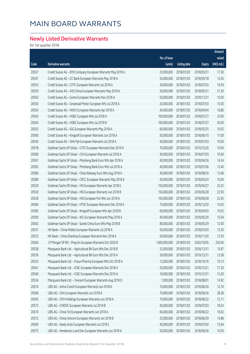### **Newly Listed Derivative Warrants**

for 1st quarter 2018

|       |                                                              |               |                     |               | Amount      |
|-------|--------------------------------------------------------------|---------------|---------------------|---------------|-------------|
|       |                                                              | No. of issue  |                     |               | raised      |
| Code  | Derivative warrants                                          | (units)       | <b>Listing date</b> | <b>Expiry</b> | (HK\$ mil.) |
| 20557 | Credit Suisse AG - BYD Company European Warrants May 2018 A  | 25,000,000    | 2018/01/02          | 2018/05/31    | 17.50       |
| 20547 | Credit Suisse AG - CC Bank European Warrants May 2018 A      | 50,000,000    | 2018/01/02          | 2018/05/18    | 12.50       |
| 20553 | Credit Suisse AG - CITIC European Warrants Jul 2018 A        | 30,000,000    | 2018/01/02          | 2018/07/03    | 16.50       |
| 20559 | Credit Suisse AG - A50 China European Warrants May 2018 A    | 50,000,000    | 2018/01/02          | 2018/05/31    | 21.50       |
| 20563 | Credit Suisse AG - Gome European Warrants Nov 2018 A         | 50,000,000    | 2018/01/02          | 2018/11/21    | 10.00       |
| 20556 | Credit Suisse AG - Greatwall Motor European Wts Jul 2018 A   | 20,000,000    | 2018/01/02          | 2018/07/03    | 15.00       |
| 20554 | Credit Suisse AG - HKEX European Warrants Apr 2018 A         | 40,000,000    | 2018/01/02          | 2018/04/04    | 16.80       |
| 20543 | Credit Suisse AG - HSBC European Wts Jul 2018 A              | 100,000,000   | 2018/01/02          | 2018/07/27    | 33.00       |
| 20544 | Credit Suisse AG - HSBC European Wts Jul 2018 B              | 100,000,000   | 2018/01/02          | 2018/07/27    | 20.00       |
| 20555 | Credit Suisse AG - IGG European Warrants May 2018 A          | 60,000,000    | 2018/01/02          | 2018/05/25    | 10.02       |
| 20560 | Credit Suisse AG - Kingsoft European Warrants Jun 2018 A     | 50,000,000    | 2018/01/02          | 2018/06/15    | 11.00       |
| 20545 | Credit Suisse AG - SHK Ppt European Warrants Jul 2018 A      | 40,000,000    | 2018/01/02          | 2018/07/03    | 10.00       |
| 20578 | Goldman Sachs SP (Asia) - CITIC European Warrants Dec 2019 A | 70,000,000    | 2018/01/02          | 2019/12/20    | 10.50       |
| 20580 | Goldman Sachs SP (Asia) - CKA European Warrants Jul 2018 A   | 40,000,000    | 2018/01/02          | 2018/07/03    | 10.00       |
| 20591 | Goldman Sachs SP (Asia) - Minsheng Bank Euro Wts Apr 2018 A  | 40,000,000    | 2018/01/02          | 2018/04/26    | 14.24       |
| 20592 | Goldman Sachs SP (Asia) - Minsheng Bank Euro Wts Jul 2018 A  | 40,000,000    | 2018/01/02          | 2018/07/06    | 12.40       |
| 20586 | Goldman Sachs SP (Asia) - China Railway Euro Wts Aug 2018 A  | 40,000,000    | 2018/01/02          | 2018/08/30    | 12.68       |
| 20589 | Goldman Sachs SP (Asia) - CRCC European Warrants May 2018 A  | 40,000,000    | 2018/01/02          | 2018/05/24    | 10.00       |
| 20529 | Goldman Sachs SP (Asia) - HSI European Warrants Apr 2018 E   | 150,000,000   | 2018/01/02          | 2018/04/27    | 23.25       |
| 20530 | Goldman Sachs SP (Asia) - HSI European Warrants Jun 2018 B   | 150,000,000   | 2018/01/02          | 2018/06/28    | 22.50       |
| 20528 | Goldman Sachs SP (Asia) - HSI European Put Wts Jun 2018 A    | 150,000,000   | 2018/01/02          | 2018/06/28    | 22.50       |
| 20584 | Goldman Sachs SP (Asia) - HTSC European Warrants Dec 2018 A  | 70,000,000    | 2018/01/02          | 2018/12/20    | 10.50       |
| 20583 | Goldman Sachs SP (Asia) - Kingsoft European Wts Apr 2018 B   | 60,000,000    | 2018/01/02          | 2018/04/03    | 10.02       |
| 20590 | Goldman Sachs SP (Asia) - NCI European Warrants May 2018 A   | 40,000,000    | 2018/01/02          | 2018/05/29    | 15.04       |
| 20582 | Goldman Sachs SP (Asia) - Sands China Euro Wts May 2018 B    | 80,000,000    | 2018/01/02          | 2018/05/29    | 12.00       |
| 20531 | HK Bank - China Mobile European Warrants Jul 2018 A          | 50,000,000    | 2018/01/02          | 2018/07/03    | 12.50       |
| 20533 | HK Bank - China Shenhua European Warrants Nov 2018 A         | 50,000,000    | 2018/01/02          | 2018/11/30    | 12.50       |
| 20564 | J P Morgan SP BV - Ping An European Warrants Oct 2020 B      | 1,000,000,000 | 2018/01/02          | 2020/10/05    | 250.00      |
| 20538 | Macquarie Bank Ltd. - Agricultural Bk Euro Wts Dec 2018 B    | 32,000,000    | 2018/01/02          | 2018/12/31    | 15.87       |
| 20539 | Macquarie Bank Ltd. - Agricultural Bk Euro Wts Dec 2019 A    | 28,000,000    | 2018/01/02          | 2019/12/31    | 13.58       |
| 20535 | Macquarie Bank Ltd. - Fosun Pharma European Wts Oct 2018 A   | 12,000,000    | 2018/01/02          | 2018/10/16    | 10.13       |
| 20541 | Macquarie Bank Ltd. - ICBC European Warrants Dec 2018 A      | 20,000,000    | 2018/01/02          | 2018/12/31    | 17.30       |
| 20540 | Macquarie Bank Ltd. - ICBC European Warrants Dec 2019 A      | 16,000,000    | 2018/01/02          | 2019/12/31    | 13.20       |
| 20534 | Macquarie Bank Ltd. - Tencent European Warrants Aug 2018 D   | 7,000,000     | 2018/01/02          | 2018/08/01    | 14.92       |
| 20574 | UBS AG - Anhui Conch European Warrants Jun 2018 A            | 70,000,000    | 2018/01/02          | 2018/06/26    | 12.74       |
| 20568 | UBS AG - CKA European Warrants Jun 2018 A                    | 70,000,000    | 2018/01/02          | 2018/06/26    | 28.28       |
| 20565 | UBS AG - CKH Holdings European Warrants Jun 2018 A           | 70,000,000    | 2018/01/02          | 2018/06/22    | 12.11       |
| 20573 | UBS AG - CNOOC European Warrants Jul 2018 B                  | 40,000,000    | 2018/01/02          | 2018/07/03    | 18.24       |
| 20570 | UBS AG - China Tel European Warrants Jun 2018 A              | 60,000,000    | 2018/01/02          | 2018/06/22    | 10.62       |
| 20572 | UBS AG - China Unicom European Warrants Jun 2018 B           | 25,000,000    | 2018/01/02          | 2018/06/29    | 14.88       |
| 20569 | UBS AG - Geely Auto European Warrants Jul 2018 C             | 40,000,000    | 2018/01/02          | 2018/07/04    | 13.04       |
| 20575 | UBS AG - Henderson Land Dev European Warrants Jun 2018 A     | 50,000,000    | 2018/01/02          | 2018/06/26    | 10.50       |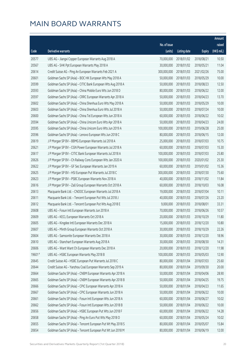|        |                                                              |              |                       |               | Amount      |
|--------|--------------------------------------------------------------|--------------|-----------------------|---------------|-------------|
|        |                                                              | No. of issue |                       |               | raised      |
| Code   | <b>Derivative warrants</b>                                   | (units)      | <b>Listing date</b>   | <b>Expiry</b> | (HK\$ mil.) |
| 20577  | UBS AG - Jiangxi Copper European Warrants Aug 2018 A         | 70,000,000   | 2018/01/02            | 2018/08/21    | 10.50       |
| 20567  | UBS AG - SHK Ppt European Warrants May 2018 A                | 30,000,000   | 2018/01/02            | 2018/05/21    | 11.04       |
| 20614  | Credit Suisse AG - Ping An European Warrants Feb 2021 A      | 300,000,000  | 2018/01/03            | 2021/02/26    | 75.00       |
| 20601  | Goldman Sachs SP (Asia) - BOC HK European Wts May 2018 A     | 50,000,000   | 2018/01/03            | 2018/05/29    | 10.00       |
| 20599  | Goldman Sachs SP (Asia) - CITIC Bank European Wts Aug 2018 A | 50,000,000   | 2018/01/03            | 2018/08/23    | 12.50       |
| 20593  | Goldman Sachs SP (Asia) - China Mobile Euro Wts Jun 2018 D   | 80,000,000   | 2018/01/03            | 2018/06/22    | 12.00       |
| 20597  | Goldman Sachs SP (Asia) - CRRC European Warrants Apr 2018 A  | 50,000,000   | 2018/01/03            | 2018/04/23    | 13.70       |
| 20602  | Goldman Sachs SP (Asia) - China Shenhua Euro Wts May 2018 A  | 50,000,000   | 2018/01/03            | 2018/05/29    | 10.00       |
| 20603  | Goldman Sachs SP (Asia) - China Shenhua Euro Wts Jul 2018 A  | 50,000,000   | 2018/01/03            | 2018/07/24    | 10.00       |
| 20600  | Goldman Sachs SP (Asia) - China Tel European Wts Jun 2018 A  | 60,000,000   | 2018/01/03            | 2018/06/22    | 10.02       |
| 20594  | Goldman Sachs SP (Asia) - China Unicom Euro Wts Apr 2018 A   | 50,000,000   | 2018/01/03            | 2018/04/23    | 24.00       |
| 20595  | Goldman Sachs SP (Asia) - China Unicom Euro Wts Jun 2019 A   | 100,000,000  | 2018/01/03            | 2019/06/28    | 25.00       |
| 20596  | Goldman Sachs SP (Asia) - Lenovo European Wts Jun 2018 C     | 80,000,000   | 2018/01/03            | 2018/06/15    | 12.00       |
| 20619  | J P Morgan SP BV - BBMG European Warrants Jul 2018 A         | 25,000,000   | 2018/01/03            | 2018/07/03    | 10.75       |
| 20621  | J P Morgan SP BV - CGN Power European Warrants Jul 2018 A    | 60,000,000   | 2018/01/03            | 2018/07/03    | 15.30       |
| 20617  | J P Morgan SP BV - CITIC Bank European Warrants Jul 2018 A   | 100,000,000  | 2018/01/03            | 2018/07/03    | 25.80       |
| 20626  | J P Morgan SP BV - Ch Railway Cons European Wts Jan 2020 A   | 100,000,000  | 2018/01/03            | 2020/01/02    | 25.30       |
| 20622  | J P Morgan SP BV - GF Sec European Warrants Jan 2019 A       | 60,000,000   | 2018/01/03            | 2019/01/02    | 15.36       |
| 20625  | J P Morgan SP BV - HSI European Put Warrants Jul 2018 C      | 300,000,000  | 2018/01/03            | 2018/07/30    | 75.60       |
| 20623  | J P Morgan SP BV - PSBC European Warrants Nov 2018 A         | 40,000,000   | 2018/01/03            | 2018/11/02    | 11.84       |
| 20616  | J P Morgan SP BV - Zall Group European Warrants Oct 2018 A   | 60,000,000   | 2018/01/03            | 2018/10/03    | 16.08       |
| 20613  | Macquarie Bank Ltd. - CNOOC European Warrants Jul 2018 A     | 19,000,000   | 2018/01/03            | 2018/07/04    | 10.11       |
| 20611  | Macquarie Bank Ltd. - Tencent European Put Wts Jul 2018 J    | 40,000,000   | 2018/01/03            | 2018/07/26    | 23.20       |
| 20612  | Macquarie Bank Ltd. - Tencent European Put Wts Aug 2018 E    | 9,000,000    | 2018/01/03            | 2018/08/01    | 33.31       |
| 20608  | UBS AG - Fosun Intl European Warrants Jun 2018 A             | 70,000,000   | 2018/01/03            | 2018/06/26    | 10.57       |
| 20609  | UBS AG - KECL European Warrants Oct 2018 A                   | 20,000,000   | 2018/01/03            | 2018/10/29    | 11.80       |
| 20605  | UBS AG - Kingdee Intl European Warrants Dec 2018 A           |              | 15,000,000 2018/01/03 | 2018/12/20    | 10.80       |
| 20607  | UBS AG - Minth Group European Warrants Oct 2018 A            | 30,000,000   | 2018/01/03            | 2018/10/29    | 22.26       |
| 20604  | UBS AG - Samsonite European Warrants Dec 2018 A              | 30,000,000   | 2018/01/03            | 2018/12/20    | 18.96       |
| 20610  | UBS AG - Stanchart European Warrants Aug 2018 A              | 30,000,000   | 2018/01/03            | 2018/08/30    | 14.31       |
| 20606  | UBS AG - Want Want Ch European Warrants Dec 2018 A           | 20,000,000   | 2018/01/03            | 2018/12/20    | 11.98       |
| 19601# | UBS AG - HSBC European Warrants May 2018 B                   | 100,000,000  | 2018/01/03            | 2018/05/03    | 12.90       |
| 20645  | Credit Suisse AG - HSBC European Put Warrants Jul 2018 C     | 80,000,000   | 2018/01/04            | 2018/07/03    | 25.60       |
| 20644  | Credit Suisse AG - Yanzhou Coal European Warrants Sep 2019 A | 80,000,000   | 2018/01/04            | 2019/09/30    | 20.00       |
| 20664  | Goldman Sachs SP (Asia) - CNBM European Warrants Apr 2018 A  | 50,000,000   | 2018/01/04            | 2018/04/06    | 28.90       |
| 20665  | Goldman Sachs SP (Asia) - CNBM European Warrants Apr 2018 B  | 50,000,000   | 2018/01/04            | 2018/04/25    | 19.75       |
| 20666  | Goldman Sachs SP (Asia) - CPIC European Warrants Apr 2018 A  | 50,000,000   | 2018/01/04            | 2018/04/23    | 11.65       |
| 20667  | Goldman Sachs SP (Asia) - CPIC European Warrants Jun 2018 A  | 50,000,000   | 2018/01/04            | 2018/06/22    | 10.00       |
| 20661  | Goldman Sachs SP (Asia) - Fosun Intl European Wts Jun 2018 A | 60,000,000   | 2018/01/04            | 2018/06/27    | 10.02       |
| 20662  | Goldman Sachs SP (Asia) - Fosun Intl European Wts Jun 2018 B | 50,000,000   | 2018/01/04            | 2018/06/22    | 10.00       |
| 20656  | Goldman Sachs SP (Asia) - HSBC European Put Wts Jun 2018 F   | 60,000,000   | 2018/01/04            | 2018/06/22    | 14.28       |
| 20658  | Goldman Sachs SP (Asia) - Ping An Euro Put Wts May 2018 O    | 60,000,000   | 2018/01/04            | 2018/05/24    | 10.02       |
| 20655  | Goldman Sachs SP (Asia) - Tencent European Put Wt May 2018 S | 80,000,000   | 2018/01/04            | 2018/05/07    | 15.84       |
| 20654  | Goldman Sachs SP (Asia) - Tencent European Put Wt Jun 2018 M | 80,000,000   | 2018/01/04            | 2018/06/19    | 12.00       |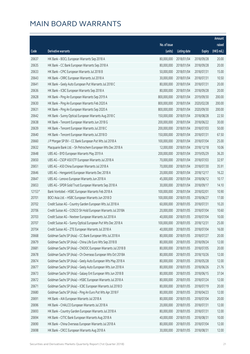|          |                                                              |                        |                     |               | Amount      |
|----------|--------------------------------------------------------------|------------------------|---------------------|---------------|-------------|
|          |                                                              | No. of issue           |                     |               | raised      |
| Code     | Derivative warrants                                          | (units)                | <b>Listing date</b> | <b>Expiry</b> | (HK\$ mil.) |
| 20637    | HK Bank - BOCL European Warrants Sep 2018 A                  | 80,000,000             | 2018/01/04          | 2018/09/28    | 20.00       |
| 20635    | HK Bank - CC Bank European Warrants Sep 2018 A               | 80,000,000             | 2018/01/04          | 2018/09/28    | 20.00       |
| 20633    | HK Bank - CPIC European Warrants Jul 2018 B                  | 50,000,000             | 2018/01/04          | 2018/07/31    | 15.00       |
| 20643    | HK Bank - CRRC European Warrants Jul 2018 A                  | 30,000,000             | 2018/01/04          | 2018/07/31    | 10.50       |
| 20641    | HK Bank - Geely Auto European Put Warrants Jul 2018 C        | 80,000,000             | 2018/01/04          | 2018/07/31    | 20.00       |
| 20636    | HK Bank - ICBC European Warrants Sep 2018 A                  | 80,000,000             | 2018/01/04          | 2018/09/28    | 20.00       |
| 20628    | HK Bank - Ping An European Warrants Sep 2019 A               | 800,000,000            | 2018/01/04          | 2019/09/30    | 200.00      |
| 20630    | HK Bank - Ping An European Warrants Feb 2020 A               | 800,000,000            | 2018/01/04          | 2020/02/28    | 200.00      |
| 20631    | HK Bank - Ping An European Warrants Sep 2020 A               | 800,000,000            | 2018/01/04          | 2020/09/30    | 200.00      |
| 20642    | HK Bank - Sunny Optical European Warrants Aug 2018 C         | 150,000,000            | 2018/01/04          | 2018/08/28    | 22.50       |
| 20638    | HK Bank - Tencent European Warrants Jun 2018 G               | 200,000,000            | 2018/01/04          | 2018/06/22    | 30.00       |
| 20639    | HK Bank - Tencent European Warrants Jul 2018 C               | 200,000,000            | 2018/01/04          | 2018/07/03    | 50.00       |
| 20640    | HK Bank - Tencent European Warrants Jul 2018 D               | 150,000,000            | 2018/01/04          | 2018/07/31    | 67.50       |
| 20660    | J P Morgan SP BV - CC Bank European Put Wts Jul 2018 A       | 100,000,000            | 2018/01/04          | 2018/07/04    | 25.00       |
| 20632    | Macquarie Bank Ltd. - Sh Petrochem European Wts Dec 2018 A   | 12,000,000             | 2018/01/04          | 2018/12/18    | 10.06       |
| 20648    | UBS AG - BYD European Warrants May 2019 A                    | 200,000,000            | 2018/01/04          | 2019/05/29    | 36.20       |
| 20650    | UBS AG - CSOP A50 ETF European Warrants Jul 2018 A           | 70,000,000             | 2018/01/04          | 2018/07/03    | 32.97       |
| 20651    | UBS AG - A50 China European Warrants Jul 2018 A              | 70,000,000             | 2018/01/04          | 2018/07/30    | 35.91       |
| 20646    | UBS AG - Henganintl European Warrants Dec 2018 A             | 20,000,000             | 2018/01/04          | 2018/12/17    | 16.22       |
| 20647    | UBS AG - Lenovo European Warrants Jun 2018 A                 | 45,000,000             | 2018/01/04          | 2018/06/12    | 10.17       |
| 20653    | UBS AG - SPDR Gold Trust European Warrants Sep 2018 A        | 30,000,000             | 2018/01/04          | 2018/09/17    | 14.10       |
| $12153*$ | Bank Vontobel - HSBC European Warrants Feb 2018 A            | 100,000,000            | 2018/01/04          | 2018/02/01    | 10.90       |
| 20701    | BOCI Asia Ltd. - HSBC European Warrants Jun 2018 D           | 100,000,000            | 2018/01/05          | 2018/06/27    | 17.00       |
| 20702    | Credit Suisse AG - Country Garden European Wts Jul 2018 A    | 60,000,000             | 2018/01/05          | 2018/07/31    | 10.20       |
| 20706    | Credit Suisse AG - COSCO Sh Hold European Warrants Jul 2018A | 20,000,000             | 2018/01/05          | 2018/07/04    | 10.60       |
| 20703    | Credit Suisse AG - Nexteer European Warrants Jul 2018 A      | 40,000,000             | 2018/01/05          | 2018/07/04    | 10.00       |
| 20707    | Credit Suisse AG - Sunny Optical European Put Wts Dec 2018 A | 100,000,000 2018/01/05 |                     | 2018/12/31    | 25.00       |
| 20704    | Credit Suisse AG - ZTE European Warrants Jul 2018 A          | 40,000,000             | 2018/01/05          | 2018/07/04    | 16.00       |
| 20668    | Goldman Sachs SP (Asia) - CC Bank European Wts Jul 2018 A    | 80,000,000             | 2018/01/05          | 2018/07/27    | 20.00       |
| 20679    | Goldman Sachs SP (Asia) - China Life Euro Wts Sep 2018 B     | 80,000,000             | 2018/01/05          | 2018/09/24    | 12.00       |
| 20681    | Goldman Sachs SP (Asia) - CNOOC European Warrants Jul 2018 B | 80,000,000             | 2018/01/05          | 2018/07/05    | 20.00       |
| 20678    | Goldman Sachs SP (Asia) - Ch Overseas European Wts Oct 2018A | 80,000,000             | 2018/01/05          | 2018/10/26    | 12.00       |
| 20674    | Goldman Sachs SP (Asia) - Geely Auto European Wts May 2018 A | 80,000,000             | 2018/01/05          | 2018/05/28    | 12.00       |
| 20677    | Goldman Sachs SP (Asia) - Geely Auto European Wts Jun 2018 A | 80,000,000             | 2018/01/05          | 2018/06/26    | 21.76       |
| 20673    | Goldman Sachs SP (Asia) - Galaxy Ent European Wts Jun 2018 B | 80,000,000             | 2018/01/05          | 2018/06/15    | 37.04       |
| 20672    | Goldman Sachs SP (Asia) - HSBC European Warrants Jul 2018 A  | 80,000,000             | 2018/01/05          | 2018/07/24    | 12.00       |
| 20671    | Goldman Sachs SP (Asia) - ICBC European Warrants Jul 2018 D  | 80,000,000             | 2018/01/05          | 2018/07/19    | 20.00       |
| 20680    | Goldman Sachs SP (Asia) - Ping An Euro Put Wts Apr 2018 F    | 80,000,000             | 2018/01/05          | 2018/04/23    | 12.00       |
| 20691    | HK Bank - AIA European Warrants Jul 2018 A                   | 80,000,000             | 2018/01/05          | 2018/07/04    | 20.00       |
| 20696    | HK Bank - CHALCO European Warrants Jul 2018 A                | 20,000,000             | 2018/01/05          | 2018/07/31    | 12.00       |
| 20693    | HK Bank - Country Garden European Warrants Jul 2018 A        | 80,000,000             | 2018/01/05          | 2018/07/31    | 12.00       |
| 20694    | HK Bank - CITIC Bank European Warrants Aug 2018 A            | 40,000,000             | 2018/01/05          | 2018/08/31    | 10.00       |
| 20690    | HK Bank - China Overseas European Warrants Jul 2018 A        | 80,000,000             | 2018/01/05          | 2018/07/04    | 12.00       |
| 20698    | HK Bank - CRCC European Warrants Aug 2018 A                  | 30,000,000             | 2018/01/05          | 2018/08/31    | 12.00       |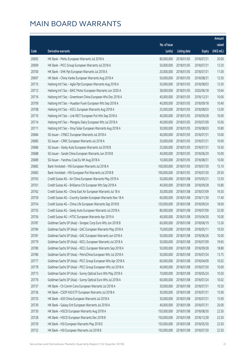|       |                                                              |              |                       |               | Amount      |
|-------|--------------------------------------------------------------|--------------|-----------------------|---------------|-------------|
|       |                                                              | No. of issue |                       |               | raised      |
| Code  | Derivative warrants                                          | (units)      | <b>Listing date</b>   | <b>Expiry</b> | (HK\$ mil.) |
| 20692 | HK Bank - Meitu European Warrants Jul 2018 A                 | 80,000,000   | 2018/01/05            | 2018/07/31    | 20.00       |
| 20699 | HK Bank - PICC Group European Warrants Jul 2018 A            | 50,000,000   | 2018/01/05            | 2018/07/31    | 12.50       |
| 20700 | HK Bank - SHK Ppt European Warrants Jul 2018 A               | 20,000,000   | 2018/01/05            | 2018/07/31    | 11.00       |
| 20697 | HK Bank - China Vanke European Warrants Aug 2018 A           | 50,000,000   | 2018/01/05            | 2018/08/31    | 12.50       |
| 20715 | Haitong Int'l Sec - Agile Ppt European Warrants Aug 2018 A   | 50,000,000   | 2018/01/05            | 2018/08/03    | 12.50       |
| 20712 | Haitong Int'l Sec - BAIC Motor European Warrants Jun 2020 A  | 38,000,000   | 2018/01/05            | 2020/06/18    | 10.64       |
| 20716 | Haitong Int'l Sec - Greentown China European Wts Dec 2018 A  | 40,000,000   | 2018/01/05            | 2018/12/31    | 10.00       |
| 20709 | Haitong Int'l Sec - Huadian Fuxin European Wts Sep 2018 A    | 40,000,000   | 2018/01/05            | 2018/09/18    | 10.40       |
| 20708 | Haitong Int'l Sec - KECL European Warrants Aug 2018 A        | 25,000,000   | 2018/01/05            | 2018/08/03    | 12.00       |
| 20710 | Haitong Int'l Sec - Link REIT European Put Wts Sep 2018 A    | 40,000,000   | 2018/01/05            | 2018/09/28    | 10.00       |
| 20714 | Haitong Int'l Sec - Mengniu Dairy European Wts Jul 2018 A    | 40,000,000   | 2018/01/05            | 2018/07/09    | 10.56       |
| 20711 | Haitong Int'l Sec - Xinyi Solar European Warrants Aug 2018 A | 30,000,000   | 2018/01/05            | 2018/08/03    | 10.80       |
| 20684 | SG Issuer - CP&CC European Warrants Jul 2018 A               | 40,000,000   | 2018/01/05            | 2018/07/31    | 10.00       |
| 20685 | SG Issuer - CRRC European Warrants Jul 2018 A                | 20,000,000   | 2018/01/05            | 2018/07/31    | 10.00       |
| 20686 | SG Issuer - Geely Auto European Warrants Jul 2018 B          | 25,000,000   | 2018/01/05            | 2018/07/31    | 10.50       |
| 20688 | SG Issuer - Sands China European Warrants Jun 2018 B         | 40,000,000   | 2018/01/05            | 2018/06/29    | 10.00       |
| 20689 | SG Issuer - Yanzhou Coal Eu Wt Aug 2018 A                    | 10,000,000   | 2018/01/05            | 2018/08/31    | 10.00       |
| 20682 | Bank Vontobel - HSI European Warrants Jul 2018 A             | 100,000,000  | 2018/01/05            | 2018/07/30    | 15.10       |
| 20683 | Bank Vontobel - HSI European Put Warrants Jul 2018 B         | 100,000,000  | 2018/01/05            | 2018/07/30    | 29.50       |
| 20763 | Credit Suisse AG - Air China European Warrants May 2019 A    | 50,000,000   | 2018/01/08            | 2019/05/31    | 12.50       |
| 20761 | Credit Suisse AG - Brilliance Chi European Wts Sep 2018 A    | 40,000,000   | 2018/01/08            | 2018/09/28    | 10.80       |
| 20762 | Credit Suisse AG - China East Air European Warrants Jul 18 A | 30,000,000   | 2018/01/08            | 2018/07/09    | 16.50       |
| 20759 | Credit Suisse AG - Country Garden European Warrants Nov 18 A | 60,000,000   | 2018/01/08            | 2018/11/30    | 17.40       |
| 20754 | Credit Suisse AG - China Life European Warrants Sep 2018 B   | 120,000,000  | 2018/01/08            | 2018/09/24    | 18.00       |
| 20755 | Credit Suisse AG - Geely Auto European Warrants Jul 2018 A   | 80,000,000   | 2018/01/08            | 2018/07/09    | 32.00       |
| 20756 | Credit Suisse AG - HTSC European Warrants Apr 2019 A         | 40,000,000   | 2018/01/08            | 2019/04/30    | 10.00       |
| 20787 | Goldman Sachs SP (Asia) - Sinopec Corp Euro Wts Jun 2018 B   |              | 60,000,000 2018/01/08 | 2018/06/19    | 13.26       |
| 20784 | Goldman Sachs SP (Asia) - GAC European Warrants May 2018 A   | 70,000,000   | 2018/01/08            | 2018/05/11    | 10.50       |
| 20781 | Goldman Sachs SP (Asia) - GAC European Warrants Jun 2018 A   | 50,000,000   | 2018/01/08            | 2018/06/26    | 10.00       |
| 20779 | Goldman Sachs SP (Asia) - KECL European Warrants Jul 2018 A  | 50,000,000   | 2018/01/08            | 2018/07/09    | 19.65       |
| 20780 | Goldman Sachs SP (Asia) - KECL European Warrants Sep 2018 A  | 50,000,000   | 2018/01/08            | 2018/09/28    | 18.80       |
| 20786 | Goldman Sachs SP (Asia) - PetroChina European Wts Jul 2018 A | 50,000,000   | 2018/01/08            | 2018/07/24    | 13.75       |
| 20777 | Goldman Sachs SP (Asia) - PICC Group European Wts Apr 2018 A | 60,000,000   | 2018/01/08            | 2018/04/09    | 10.02       |
| 20778 | Goldman Sachs SP (Asia) - PICC Group European Wts Jul 2018 A | 40,000,000   | 2018/01/08            | 2018/07/30    | 10.00       |
| 20773 | Goldman Sachs SP (Asia) - Sunny Optical Euro Wts May 2018 A  | 70,000,000   | 2018/01/08            | 2018/05/24    | 10.50       |
| 20776 | Goldman Sachs SP (Asia) - Sunny Optical Euro Wts Jul 2018 A  | 60,000,000   | 2018/01/08            | 2018/07/24    | 10.02       |
| 20737 | HK Bank - Ch Comm Cons European Warrants Jul 2018 A          | 30,000,000   | 2018/01/08            | 2018/07/31    | 10.50       |
| 20736 | HK Bank - CSOP A50 ETF European Warrants Jul 2018 A          | 30,000,000   | 2018/01/08            | 2018/07/31    | 15.00       |
| 20735 | HK Bank - A50 China European Warrants Jul 2018 A             | 30,000,000   | 2018/01/08            | 2018/07/31    | 15.00       |
| 20739 | HK Bank - Galaxy Ent European Warrants Jul 2018 A            | 40,000,000   | 2018/01/08            | 2018/07/31    | 20.00       |
| 20730 | HK Bank - HSCEI European Warrants Aug 2018 A                 | 150,000,000  | 2018/01/08            | 2018/08/30    | 22.50       |
| 20728 | HK Bank - HSCEI European Warrants Dec 2018 B                 | 150,000,000  | 2018/01/08            | 2018/12/28    | 22.50       |
| 20729 | HK Bank - HSI European Warrants May 2018 E                   | 150,000,000  | 2018/01/08            | 2018/05/30    | 22.50       |
| 20732 | HK Bank - HSI European Warrants Jul 2018 B                   | 150,000,000  | 2018/01/08            | 2018/07/30    | 22.50       |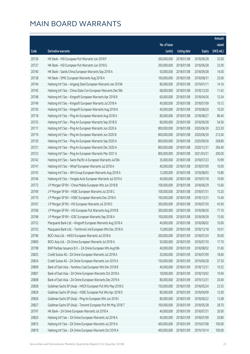|       |                                                              |              |                       |               | Amount      |
|-------|--------------------------------------------------------------|--------------|-----------------------|---------------|-------------|
|       |                                                              | No. of issue |                       |               | raised      |
| Code  | <b>Derivative warrants</b>                                   | (units)      | <b>Listing date</b>   | <b>Expiry</b> | (HK\$ mil.) |
| 20726 | HK Bank - HSI European Put Warrants Jun 2018 F               | 200,000,000  | 2018/01/08            | 2018/06/28    | 32.00       |
| 20727 | HK Bank - HSI European Put Warrants Jun 2018 G               | 200,000,000  | 2018/01/08            | 2018/06/28    | 32.00       |
| 20740 | HK Bank - Sands China European Warrants Sep 2018 A           | 50,000,000   | 2018/01/08            | 2018/09/28    | 14.00       |
| 20738 | HK Bank - SMIC European Warrants Aug 2018 A                  | 100,000,000  | 2018/01/08            | 2018/08/31    | 25.00       |
| 20744 | Haitong Int'l Sec - Angang Steel European Warrants Jan 2019A | 80,000,000   | 2018/01/08            | 2019/01/11    | 14.16       |
| 20745 | Haitong Int'l Sec - China State Con European Warrants Dec18A | 68,000,000   | 2018/01/08            | 2018/12/20    | 11.42       |
| 20748 | Haitong Int'l Sec - Kingsoft European Warrants Apr 2018 B    | 60,000,000   | 2018/01/08            | 2018/04/26    | 12.54       |
| 20749 | Haitong Int'l Sec - Kingsoft European Warrants Jul 2018 A    | 40,000,000   | 2018/01/08            | 2018/07/09    | 10.12       |
| 20750 | Haitong Int'l Sec - Kingsoft European Warrants Aug 2018 A    | 40,000,000   | 2018/01/08            | 2018/08/20    | 10.20       |
| 20718 | Haitong Int'l Sec - Ping An European Warrants Aug 2018 A     | 80,000,000   | 2018/01/08            | 2018/08/27    | 86.40       |
| 20725 | Haitong Int'l Sec - Ping An European Warrants Sep 2018 D     | 80,000,000   | 2018/01/08            | 2018/09/28    | 54.56       |
| 20717 | Haitong Int'l Sec - Ping An European Warrants Jun 2020 A     | 800,000,000  | 2018/01/08            | 2020/06/30    | 223.20      |
| 20719 | Haitong Int'l Sec - Ping An European Warrants Jun 2020 B     | 800,000,000  | 2018/01/08            | 2020/06/30    | 212.00      |
| 20720 | Haitong Int'l Sec - Ping An European Warrants Sep 2020 A     | 800,000,000  | 2018/01/08            | 2020/09/30    | 208.80      |
| 20721 | Haitong Int'l Sec - Ping An European Warrants Dec 2020 A     | 800,000,000  | 2018/01/08            | 2020/12/31    | 206.40      |
| 20723 | Haitong Int'l Sec - Ping An European Warrants Mar 2021 A     | 800,000,000  | 2018/01/08            | 2021/03/31    | 200.00      |
| 20742 | Haitong Int'l Sec - Swire Pacific A European Warrants Jul18A | 35,000,000   | 2018/01/08            | 2018/07/23    | 10.99       |
| 20741 | Haitong Int'l Sec - Wharf European Warrants Jul 2018 A       | 40,000,000   | 2018/01/08            | 2018/07/09    | 10.00       |
| 20743 | Haitong Int'l Sec - WH Group European Warrants Aug 2018 A    | 12,000,000   | 2018/01/08            | 2018/08/03    | 10.80       |
| 20746 | Haitong Int'l Sec - Yongda Auto European Warrants Jul 2019 A | 40,000,000   | 2018/01/08            | 2019/07/18    | 10.00       |
| 20772 | J P Morgan SP BV - China Mobile European Wts Jun 2018 B      | 100,000,000  | 2018/01/08            | 2018/06/29    | 15.60       |
| 20769 | J P Morgan SP BV - HSBC European Warrants Jul 2018 C         | 100,000,000  | 2018/01/08            | 2018/07/31    | 15.20       |
| 20770 | J P Morgan SP BV - HSBC European Warrants Dec 2018 A         | 100,000,000  | 2018/01/08            | 2018/12/31    | 15.40       |
| 20767 | J P Morgan SP BV - HSI European Warrants Jul 2018 D          | 300,000,000  | 2018/01/08            | 2018/07/30    | 45.90       |
| 20766 | J P Morgan SP BV - HSI European Put Warrants Aug 2018 B      | 300,000,000  | 2018/01/08            | 2018/08/30    | 77.10       |
| 20768 | J P Morgan SP BV - ICBC European Warrants Sep 2018 A         | 100,000,000  | 2018/01/08            | 2018/09/28    | 15.00       |
| 20752 | Macquarie Bank Ltd. - Kingsoft European Warrants Aug 2018 A  |              | 40,000,000 2018/01/08 | 2018/08/02    | 10.00       |
| 20753 | Macquarie Bank Ltd. - Techtronic Ind European Wts Dec 2018 A | 15,000,000   | 2018/01/08            | 2018/12/18    | 10.01       |
| 20796 | BOCI Asia Ltd. - HKEX European Warrants Jul 2018 A           | 200,000,000  | 2018/01/09            | 2018/07/24    | 30.00       |
| 20800 | BOCI Asia Ltd. - ZA Onine European Warrants Jul 2018 A       | 50,000,000   | 2018/01/09            | 2018/07/10    | 17.70       |
| 20798 | BNP Paribas Issuance B.V. - ZA Onine European Wts Aug18A     | 40,000,000   | 2018/01/09            | 2018/08/02    | 31.60       |
| 20825 | Credit Suisse AG - ZA Onine European Warrants Jul 2018 A     | 20,000,000   | 2018/01/09            | 2018/07/09    | 18.60       |
| 20824 | Credit Suisse AG - ZA Onine European Warrants Jun 2019 A     | 150,000,000  | 2018/01/09            | 2019/06/28    | 37.50       |
| 20809 | Bank of East Asia - Yanzhou Coal European Wts Dec 2018 B     | 40,000,000   | 2018/01/09            | 2018/12/31    | 10.32       |
| 20807 | Bank of East Asia - ZA Onine European Warrants Oct 2018 A    | 18,000,000   | 2018/01/09            | 2018/10/02    | 10.94       |
| 20808 | Bank of East Asia - ZA Onine European Warrants Dec 2019 A    | 80,000,000   | 2018/01/09            | 2019/12/31    | 20.40       |
| 20828 | Goldman Sachs SP (Asia) - HKEX European Put Wts May 2018 G   | 150,000,000  | 2018/01/09            | 2018/05/24    | 23.55       |
| 20829 | Goldman Sachs SP (Asia) - HSBC European Put Wts Apr 2018 D   | 80,000,000   | 2018/01/09            | 2018/04/09    | 12.00       |
| 20826 | Goldman Sachs SP (Asia) - Ping An European Wts Jun 2018 I    | 80,000,000   | 2018/01/09            | 2018/06/22    | 12.08       |
| 20827 | Goldman Sachs SP (Asia) - Tencent European Put Wt May 2018 T | 100,000,000  | 2018/01/09            | 2018/05/28    | 28.70       |
| 20797 | HK Bank - ZA Onine European Warrants Jul 2018 A              | 40,000,000   | 2018/01/09            | 2018/07/31    | 20.00       |
| 20820 | Haitong Int'l Sec - ZA Onine European Warrants Jul 2018 A    | 40,000,000   | 2018/01/09            | 2018/07/09    | 20.80       |
| 20815 | Haitong Int'l Sec - ZA Onine European Warrants Jul 2019 A    | 400,000,000  | 2018/01/09            | 2019/07/08    | 100.00      |
| 20819 | Haitong Int'l Sec - ZA Onine European Warrants Oct 2019 A    | 400,000,000  | 2018/01/09            | 2019/10/14    | 100.00      |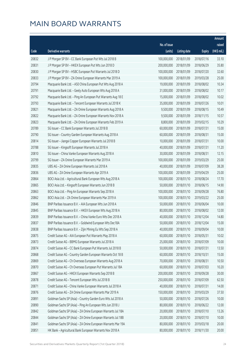|       |                                                              |              |                       |               | Amount      |
|-------|--------------------------------------------------------------|--------------|-----------------------|---------------|-------------|
|       |                                                              | No. of issue |                       |               | raised      |
| Code  | Derivative warrants                                          | (units)      | <b>Listing date</b>   | <b>Expiry</b> | (HK\$ mil.) |
| 20832 | J P Morgan SP BV - CC Bank European Put Wts Jul 2018 B       | 100,000,000  | 2018/01/09            | 2018/07/16    | 33.10       |
| 20831 | J P Morgan SP BV - HKEX European Put Wts Jun 2018 D          | 200,000,000  | 2018/01/09            | 2018/06/29    | 35.80       |
| 20830 | J P Morgan SP BV - HSBC European Put Warrants Jul 2018 D     | 100,000,000  | 2018/01/09            | 2018/07/20    | 32.60       |
| 20833 | J P Morgan SP BV - ZA Onine European Warrants Mar 2019 A     | 100,000,000  | 2018/01/09            | 2019/03/28    | 25.00       |
| 20794 | Macquarie Bank Ltd. - A50 China European Put Wts Aug 2018 A  | 19,000,000   | 2018/01/09            | 2018/08/02    | 10.34       |
| 20791 | Macquarie Bank Ltd. - Geely Auto European Wts Aug 2018 A     | 31,000,000   | 2018/01/09            | 2018/08/02    | 10.17       |
| 20792 | Macquarie Bank Ltd. - Ping An European Put Warrants Aug 18 E | 15,000,000   | 2018/01/09            | 2018/08/02    | 10.02       |
| 20793 | Macquarie Bank Ltd. - Tencent European Warrants Jul 2018 K   | 35,000,000   | 2018/01/09            | 2018/07/26    | 10.01       |
| 20821 | Macquarie Bank Ltd. - ZA Onine European Warrants Aug 2018 A  | 9,500,000    | 2018/01/09            | 2018/08/15    | 10.49       |
| 20822 | Macquarie Bank Ltd. - ZA Onine European Warrants Nov 2018 A  | 9,500,000    | 2018/01/09            | 2018/11/15    | 10.57       |
| 20823 | Macquarie Bank Ltd. - ZA Onine European Warrants Feb 2019 A  | 8,800,000    | 2018/01/09            | 2019/02/15    | 10.29       |
| 20789 | SG Issuer - CC Bank European Warrants Jul 2018 B             | 60,000,000   | 2018/01/09            | 2018/07/31    | 15.00       |
| 20790 | SG Issuer - Country Garden European Warrants Aug 2018 A      | 60,000,000   | 2018/01/09            | 2018/08/31    | 15.00       |
| 20814 | SG Issuer - Jiangxi Copper European Warrants Jul 2018 B      | 10,000,000   | 2018/01/09            | 2018/07/31    | 10.00       |
| 20788 | SG Issuer - Kingsoft European Warrants Jul 2018 A            | 40,000,000   | 2018/01/09            | 2018/07/31    | 11.20       |
| 20810 | SG Issuer - China Vanke European Warrants Aug 2018 A         | 30,000,000   | 2018/01/09            | 2018/08/31    | 12.15       |
| 20799 | SG Issuer - ZA Onine European Warrants Mar 2019 A            | 100,000,000  | 2018/01/09            | 2019/03/29    | 25.00       |
| 20835 | UBS AG - ZA Onine European Warrants Jul 2018 A               | 40,000,000   | 2018/01/09            | 2018/07/09    | 38.28       |
| 20836 | UBS AG - ZA Onine European Warrants Apr 2019 A               | 100,000,000  | 2018/01/09            | 2019/04/29    | 25.00       |
| 20864 | BOCI Asia Ltd. - Agricultural Bank European Wts Aug 2018 A   | 100,000,000  | 2018/01/10            | 2018/08/24    | 17.70       |
| 20865 | BOCI Asia Ltd. - Kingsoft European Warrants Jun 2018 B       | 50,000,000   | 2018/01/10            | 2018/06/15    | 14.90       |
| 20863 | BOCI Asia Ltd. - Ping An European Warrants Sep 2018 A        | 100,000,000  | 2018/01/10            | 2018/09/28    | 76.80       |
| 20862 | BOCI Asia Ltd. - ZA Onine European Warrants Mar 2019 A       | 100,000,000  | 2018/01/10            | 2019/03/22    | 25.00       |
| 20846 | BNP Paribas Issuance B.V. - AIA European Wts Jun 2018 A      | 50,000,000   | 2018/01/10            | 2018/06/04    | 10.00       |
| 20845 | BNP Paribas Issuance B.V. - HKEX European Wts Aug 2018 A     | 80,000,000   | 2018/01/10            | 2018/08/02    | 12.00       |
| 20839 | BNP Paribas Issuance B.V. - China Vanke Euro Wts Dec 2018 A  | 40,000,000   | 2018/01/10            | 2018/12/04    | 14.80       |
| 20837 | BNP Paribas Issuance B.V. - Goldwind European Wts Dec18A     |              | 50,000,000 2018/01/10 | 2018/12/04    | 15.00       |
| 20838 | BNP Paribas Issuance B.V. - Zijin Mining Eu Wts Sep 2018 A   | 40,000,000   | 2018/01/10            | 2018/09/04    | 10.00       |
| 20875 | Credit Suisse AG - AIA European Put Warrants May 2018 A      | 60,000,000   | 2018/01/10            | 2018/05/31    | 10.02       |
| 20873 | Credit Suisse AG - BBMG European Warrants Jul 2018 A         | 25,000,000   | 2018/01/10            | 2018/07/09    | 10.00       |
| 20874 | Credit Suisse AG - CC Bank European Put Warrants Jul 2018 B  | 50,000,000   | 2018/01/10            | 2018/07/31    | 13.50       |
| 20868 | Credit Suisse AG - Country Garden European Warrants Oct 18 B | 60,000,000   | 2018/01/10            | 2018/10/31    | 15.00       |
| 20869 | Credit Suisse AG - Ch Overseas European Warrants Aug 2018 A  | 70,000,000   | 2018/01/10            | 2018/08/31    | 10.50       |
| 20870 | Credit Suisse AG - Ch Overseas European Put Warrants Jul 18A | 60,000,000   | 2018/01/10            | 2018/07/03    | 10.20       |
| 20867 | Credit Suisse AG - HKEX European Warrants Sep 2018 B         | 200,000,000  | 2018/01/10            | 2018/09/28    | 30.00       |
| 20878 | Credit Suisse AG - Tencent European Wts Jul 2018 B           | 250,000,000  | 2018/01/10            | 2018/07/09    | 62.50       |
| 20871 | Credit Suisse AG - China Vanke European Warrants Jul 2018 A  | 40,000,000   | 2018/01/10            | 2018/07/31    | 14.00       |
| 20876 | Credit Suisse AG - ZA Onine European Warrants Mar 2019 A     | 150,000,000  | 2018/01/10            | 2019/03/29    | 37.50       |
| 20891 | Goldman Sachs SP (Asia) - Country Garden Euro Wts Jul 2018 A | 50,000,000   | 2018/01/10            | 2018/07/26    | 10.00       |
| 20890 | Goldman Sachs SP (Asia) - Ping An European Wts Jun 2018 J    | 80,000,000   | 2018/01/10            | 2018/06/22    | 12.00       |
| 20842 | Goldman Sachs SP (Asia) - ZA Onine European Warrants Jul 18A | 20,000,000   | 2018/01/10            | 2018/07/10    | 13.26       |
| 20844 | Goldman Sachs SP (Asia) - ZA Onine European Warrants Jul 18B | 20,000,000   | 2018/01/10            | 2018/07/10    | 10.00       |
| 20841 | Goldman Sachs SP (Asia) - ZA Onine European Warrants Mar 19A | 80,000,000   | 2018/01/10            | 2019/03/18    | 20.00       |
| 20851 | HK Bank - Agricultural Bank European Warrants Nov 2018 A     | 80,000,000   | 2018/01/10            | 2018/11/30    | 20.00       |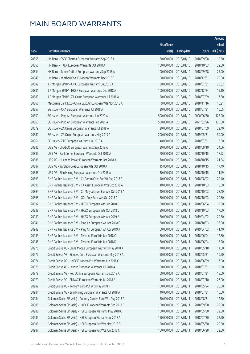|       |                                                              |              |                       |               | Amount      |
|-------|--------------------------------------------------------------|--------------|-----------------------|---------------|-------------|
|       |                                                              | No. of issue |                       |               | raised      |
| Code  | Derivative warrants                                          | (units)      | <b>Listing date</b>   | <b>Expiry</b> | (HK\$ mil.) |
| 20855 | HK Bank - CSPC Pharma European Warrants Sep 2018 A           | 50,000,000   | 2018/01/10            | 2018/09/28    | 12.50       |
| 20856 | HK Bank - HKEX European Warrants Oct 2018 A                  | 150,000,000  | 2018/01/10            | 2018/10/03    | 22.50       |
| 20854 | HK Bank - Sunny Optical European Warrants Sep 2018 A         | 100,000,000  | 2018/01/10            | 2018/09/28    | 25.00       |
| 20848 | HK Bank - Yanzhou Coal European Warrants Dec 2018 B          | 100,000,000  | 2018/01/10            | 2018/12/31    | 25.00       |
| 20882 | J P Morgan SP BV - CPIC European Warrants Jul 2018 A         | 80,000,000   | 2018/01/10            | 2018/07/31    | 20.32       |
| 20881 | J P Morgan SP BV - HKEX European Warrants Dec 2018 A         | 100,000,000  | 2018/01/10            | 2018/12/24    | 15.10       |
| 20883 | J P Morgan SP BV - ZA Onine European Warrants Jul 2018 A     | 20,000,000   | 2018/01/10            | 2018/07/09    | 17.80       |
| 20866 | Macquarie Bank Ltd. - China East Air European Wts Nov 2018 A | 9,000,000    | 2018/01/10            | 2018/11/16    | 10.21       |
| 20857 | SG Issuer - CKA European Warrants Jul 2018 A                 | 30,000,000   | 2018/01/10            | 2018/07/31    | 10.05       |
| 20859 | SG Issuer - Ping An European Warrants Jun 2020 A             | 500,000,000  | 2018/01/10            | 2020/06/30    | 125.00      |
| 20860 | SG Issuer - Ping An European Warrants Feb 2021 A             | 500,000,000  | 2018/01/10            | 2021/02/26    | 125.00      |
| 20879 | SG Issuer - ZA Onine European Warrants Jul 2018 A            | 20,000,000   | 2018/01/10            | 2018/07/09    | 22.40       |
| 20880 | SG Issuer - ZA Onine European Warrants May 2019 A            | 200,000,000  | 2018/01/10            | 2019/05/31    | 50.00       |
| 20861 | SG Issuer - ZTE European Warrants Jul 2018 A                 | 40,000,000   | 2018/01/10            | 2018/07/31    | 13.80       |
| 20885 | UBS AG - CHALCO European Warrants Sep 2018 A                 | 30,000,000   | 2018/01/10            | 2018/09/10    | 24.06       |
| 20889 | UBS AG - BankComm European Warrants Oct 2018 A               | 70,000,000   | 2018/01/10            | 2018/10/15    | 17.92       |
| 20886 | UBS AG - Huaneng Power European Warrants Oct 2018 A          | 70,000,000   | 2018/01/10            | 2018/10/15    | 21.84       |
| 20887 | UBS AG - Yanzhou Coal European Wts Oct 2018 A                | 15,000,000   | 2018/01/10            | 2018/10/15    | 17.40       |
| 20888 | UBS AG - Zijin Mining European Warrants Oct 2018 A           | 30,000,000   | 2018/01/10            | 2018/10/15    | 11.49       |
| 20893 | BNP Paribas Issuance B.V. - Ch Comm Cons Eur Wt Aug 2018 A   | 40,000,000   | 2018/01/11            | 2018/08/02    | 22.40       |
| 20896 | BNP Paribas Issuance B.V. - CK Asset European Wts Oct 2018 A | 40,000,000   | 2018/01/11            | 2018/10/03    | 10.80       |
| 20894 | BNP Paribas Issuance B.V. - Ch Molybdenum Eur Wts Oct 2018 A | 40,000,000   | 2018/01/11            | 2018/10/03    | 28.40       |
| 20895 | BNP Paribas Issuance B.V. - GCL-Poly Euro Wts Oct 2018 A     | 80,000,000   | 2018/01/11            | 2018/10/03    | 20.80       |
| 20937 | BNP Paribas Issuance B.V. - HKEX European Wts Jun 2018 D     | 80,000,000   | 2018/01/11            | 2018/06/04    | 12.00       |
| 20938 | BNP Paribas Issuance B.V. - HKEX European Wts Oct 2018 D     | 80,000,000   | 2018/01/11            | 2018/10/03    | 17.60       |
| 20939 | BNP Paribas Issuance B.V. - HKEX European Wts Apr 2019 A     | 80,000,000   | 2018/01/11            | 2019/04/02    | 20.80       |
| 20941 | BNP Paribas Issuance B.V. - Ping An European Wt Oct 2018 C   |              | 60,000,000 2018/01/11 | 2018/10/03    | 36.00       |
| 20942 | BNP Paribas Issuance B.V. - Ping An European Wt Apr 2019 A   | 60,000,000   | 2018/01/11            | 2019/04/02    | 41.40       |
| 20943 | BNP Paribas Issuance B.V. - Tencent Euro Wts Jun 2018 C      | 80,000,000   | 2018/01/11            | 2018/06/04    | 12.80       |
| 20945 | BNP Paribas Issuance B.V. - Tencent Euro Wts Jun 2018 D      | 80,000,000   | 2018/01/11            | 2018/06/04    | 15.20       |
| 20975 | Credit Suisse AG - China Mobile European Warrants May 2018 A | 70,000,000   | 2018/01/11            | 2018/05/18    | 14.00       |
| 20977 | Credit Suisse AG - Sinopec Corp European Warrants May 2018 A | 50,000,000   | 2018/01/11            | 2018/05/31    | 10.50       |
| 20974 | Credit Suisse AG - HKEX European Put Warrants Jun 2018 C     | 100,000,000  | 2018/01/11            | 2018/06/29    | 17.00       |
| 20976 | Credit Suisse AG - Lenovo European Warrants Jul 2018 A       | 50,000,000   | 2018/01/11            | 2018/07/31    | 12.50       |
| 20978 | Credit Suisse AG - PetroChina European Warrants Jul 2018 A   | 60,000,000   | 2018/01/11            | 2018/07/31    | 15.00       |
| 20979 | Credit Suisse AG - SUNAC European Warrants Jul 2018 A        | 40,000,000   | 2018/01/11            | 2018/07/10    | 26.00       |
| 20982 | Credit Suisse AG - Tencent Euro Put Wts May 2018 N           | 100,000,000  | 2018/01/11            | 2018/05/24    | 20.00       |
| 20981 | Credit Suisse AG - Zijin Mining European Warrants Jul 2018 A | 40,000,000   | 2018/01/11            | 2018/07/31    | 10.00       |
| 20984 | Goldman Sachs SP (Asia) - Country Garden Euro Wts Aug 2018 A | 50,000,000   | 2018/01/11            | 2018/08/31    | 12.50       |
| 20985 | Goldman Sachs SP (Asia) - HKEX European Warrants Sep 2018 E  | 150,000,000  | 2018/01/11            | 2018/09/20    | 22.50       |
| 20988 | Goldman Sachs SP (Asia) - HSI European Warrants May 2018 C   | 150,000,000  | 2018/01/11            | 2018/05/30    | 22.50       |
| 20989 | Goldman Sachs SP (Asia) - HSI European Warrants Jul 2018 A   | 150,000,000  | 2018/01/11            | 2018/07/30    | 22.50       |
| 20986 | Goldman Sachs SP (Asia) - HSI European Put Wts May 2018 B    | 150,000,000  | 2018/01/11            | 2018/05/30    | 22.50       |
| 20987 | Goldman Sachs SP (Asia) - HSI European Put Wts Jun 2018 C    | 150,000,000  | 2018/01/11            | 2018/06/28    | 22.50       |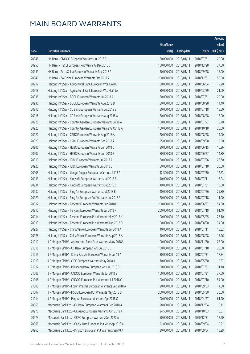|       |                                                              |                        |              |               | Amount      |
|-------|--------------------------------------------------------------|------------------------|--------------|---------------|-------------|
|       |                                                              | No. of issue           |              |               | raised      |
| Code  | <b>Derivative warrants</b>                                   | (units)                | Listing date | <b>Expiry</b> | (HK\$ mil.) |
| 20948 | HK Bank - CNOOC European Warrants Jul 2018 B                 | 50,000,000             | 2018/01/11   | 2018/07/31    | 20.00       |
| 20950 | HK Bank - HSCEI European Put Warrants Dec 2018 C             | 150,000,000            | 2018/01/11   | 2018/12/28    | 27.00       |
| 20949 | HK Bank - PetroChina European Warrants Sep 2018 A            | 50,000,000             | 2018/01/11   | 2018/09/28    | 15.00       |
| 20946 | HK Bank - ZA Onine European Warrants Dec 2018 A              | 200,000,000            | 2018/01/11   | 2018/12/31    | 50.00       |
| 20917 | Haitong Int'l Sec - Agricultural Bank European Wts Jun18B    | 80,000,000             | 2018/01/11   | 2018/06/04    | 19.20       |
| 20918 | Haitong Int'l Sec - Agricultural Bank European Wts Mar19A    | 80,000,000             | 2018/01/11   | 2019/03/29    | 21.60       |
| 20935 | Haitong Int'l Sec - BOCL European Warrants Jul 2018 A        | 80,000,000             | 2018/01/11   | 2018/07/31    | 20.00       |
| 20936 | Haitong Int'l Sec - BOCL European Warrants Aug 2018 B        | 80,000,000             | 2018/01/11   | 2018/08/28    | 14.40       |
| 20915 | Haitong Int'l Sec - CC Bank European Warrants Jul 2018 B     | 50,000,000             | 2018/01/11   | 2018/07/18    | 15.50       |
| 20916 | Haitong Int'l Sec - CC Bank European Warrants Aug 2018 A     | 50,000,000             | 2018/01/11   | 2018/08/28    | 15.00       |
| 20926 | Haitong Int'l Sec - Country Garden European Warrants Jul18 A | 100,000,000            | 2018/01/11   | 2018/07/27    | 18.70       |
| 20925 | Haitong Int'l Sec - Country Garden European Warrants Oct18 A | 100,000,000            | 2018/01/11   | 2018/10/18    | 25.50       |
| 20922 | Haitong Int'l Sec - CRRC European Warrants Aug 2018 A        | 20,000,000             | 2018/01/11   | 2018/08/28    | 14.00       |
| 20923 | Haitong Int'l Sec - CRRC European Warrants Sep 2018 A        | 25,000,000             | 2018/01/11   | 2018/09/28    | 12.50       |
| 20906 | Haitong Int'l Sec - HSBC European Warrants Jun 2018 D        | 80,000,000             | 2018/01/11   | 2018/06/15    | 16.96       |
| 20907 | Haitong Int'l Sec - HSBC European Warrants Jun 2018 E        | 80,000,000             | 2018/01/11   | 2018/06/27    | 14.80       |
| 20919 | Haitong Int'l Sec - ICBC European Warrants Jul 2018 A        | 80,000,000             | 2018/01/11   | 2018/07/26    | 25.60       |
| 20920 | Haitong Int'l Sec - ICBC European Warrants Jul 2018 B        | 80,000,000             | 2018/01/11   | 2018/07/18    | 20.00       |
| 20908 | Haitong Int'l Sec - Jiangxi Copper European Warrants Jul18 A | 12,500,000             | 2018/01/11   | 2018/07/30    | 12.63       |
| 20933 | Haitong Int'l Sec - Kingsoft European Warrants Jul 2018 B    | 40,000,000             | 2018/01/11   | 2018/07/11    | 13.04       |
| 20934 | Haitong Int'l Sec - Kingsoft European Warrants Jul 2018 C    | 40,000,000             | 2018/01/11   | 2018/07/31    | 10.00       |
| 20932 | Haitong Int'l Sec - Ping An European Warrants Jul 2018 B     | 40,000,000             | 2018/01/11   | 2018/07/26    | 29.80       |
| 20929 | Haitong Int'l Sec - Ping An European Put Warrants Jul 2018 A | 20,000,000             | 2018/01/11   | 2018/07/18    | 11.00       |
| 20912 | Haitong Int'l Sec - Tencent European Warrants Jun 2018 M     | 200,000,000            | 2018/01/11   | 2018/06/27    | 54.60       |
| 20910 | Haitong Int'l Sec - Tencent European Warrants Jul 2018 F     | 200,000,000            | 2018/01/11   | 2018/07/18    | 61.40       |
| 20914 | Haitong Int'l Sec - Tencent European Put Warrants May 2018 K | 100,000,000            | 2018/01/11   | 2018/05/25    | 28.10       |
| 20913 | Haitong Int'l Sec - Tencent European Put Warrants Aug 2018 D | 100,000,000 2018/01/11 |              | 2018/08/20    | 34.00       |
| 20927 | Haitong Int'l Sec - China Vanke European Warrants Jul 2018 A | 40,000,000             | 2018/01/11   | 2018/07/11    | 18.32       |
| 20928 | Haitong Int'l Sec - China Vanke European Warrants Aug 2018 A | 40,000,000             | 2018/01/11   | 2018/08/08    | 15.96       |
| 21010 | J P Morgan SP BV - Agricultural Bank Euro Warrants Nov 2018A | 100,000,000            | 2018/01/11   | 2018/11/30    | 25.00       |
| 21016 | J P Morgan SP BV - CC Bank European Wts Jul 2018 C           | 100,000,000            | 2018/01/11   | 2018/07/18    | 25.50       |
| 21015 | J P Morgan SP BV - China East Air European Warrants Jul 18 A | 30,000,000             | 2018/01/11   | 2018/07/31    | 17.34       |
| 21013 | J P Morgan SP BV - CICC European Warrants May 2018 A         | 70,000,000             | 2018/01/11   | 2018/05/30    | 10.57       |
| 21012 | J P Morgan SP BV - Minsheng Bank European Wts Jul 2018 B     | 100,000,000            | 2018/01/11   | 2018/07/31    | 31.10       |
| 21005 | J P Morgan SP BV - CNOOC European Warrants Jul 2018 B        | 100,000,000            | 2018/01/11   | 2018/07/31    | 37.60       |
| 21006 | J P Morgan SP BV - CNOOC European Put Warrants Jul 2018 C    | 100,000,000            | 2018/01/11   | 2018/07/10    | 54.90       |
| 21008 | J P Morgan SP BV - Fosun Pharma European Warrants Sep 2018 A | 20,000,000             | 2018/01/11   | 2018/09/03    | 14.80       |
| 21007 | J P Morgan SP BV - HSCEI European Put Warrants May 2018 B    | 200,000,000            | 2018/01/11   | 2018/05/30    | 30.00       |
| 21014 | J P Morgan SP BV - Ping An European Warrants Apr 2018 C      | 100,000,000            | 2018/01/11   | 2018/04/27    | 61.20       |
| 20968 | Macquarie Bank Ltd. - CC Bank European Warrants Dec 2018 A   | 28,000,000             | 2018/01/11   | 2018/12/04    | 10.11       |
| 20970 | Macquarie Bank Ltd. - CK Asset European Warrants Oct 2018 A  | 24,500,000             | 2018/01/11   | 2018/10/03    | 10.07       |
| 20973 | Macquarie Bank Ltd. - CRRC European Warrants Dec 2020 A      | 50,000,000             | 2018/01/11   | 2020/12/31    | 12.50       |
| 20966 | Macquarie Bank Ltd. - Geely Auto European Put Wts Sep 2018 A | 22,000,000             | 2018/01/11   | 2018/09/04    | 10.21       |
| 20965 | Macquarie Bank Ltd. - Kingsoft European Put Warrants Sep18 A | 30,000,000             | 2018/01/11   | 2018/09/04    | 10.29       |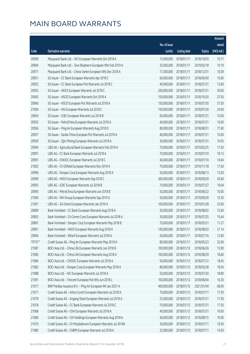|        |                                                              |              |                       |               | Amount      |
|--------|--------------------------------------------------------------|--------------|-----------------------|---------------|-------------|
|        |                                                              | No. of issue |                       |               | raised      |
| Code   | Derivative warrants                                          | (units)      | <b>Listing date</b>   | <b>Expiry</b> | (HK\$ mil.) |
| 20969  | Macquarie Bank Ltd. - NCI European Warrants Oct 2018 A       | 15,500,000   | 2018/01/11            | 2018/10/03    | 10.17       |
| 20964  | Macquarie Bank Ltd. - Sino Biopharm European Wts Feb 2019 A  | 35,000,000   | 2018/01/11            | 2019/02/18    | 10.19       |
| 20971  | Macquarie Bank Ltd. - China Vanke European Wts Dec 2018 A    | 17,300,000   | 2018/01/11            | 2018/12/31    | 10.09       |
| 20951  | SG Issuer - CC Bank European Warrants Apr 2018 C             | 60,000,000   | 2018/01/11            | 2018/04/30    | 15.60       |
| 20952  | SG Issuer - CC Bank European Put Warrants Jul 2018 C         | 40,000,000   | 2018/01/11            | 2018/07/31    | 13.60       |
| 20953  | SG Issuer - HKEX European Warrants Jul 2018 C                | 200,000,000  | 2018/01/11            | 2018/07/31    | 30.00       |
| 20963  | SG Issuer - HSCEI European Warrants Oct 2018 A               | 150,000,000  | 2018/01/11            | 2018/10/30    | 37.50       |
| 20960  | SG Issuer - HSCEI European Put Warrants Jul 2018 A           | 150,000,000  | 2018/01/11            | 2018/07/30    | 37.50       |
| 21004  | SG Issuer - HSI European Warrants Jul 2018 C                 | 150,000,000  | 2018/01/11            | 2018/07/30    | 24.00       |
| 20954  | SG Issuer - ICBC European Warrants Jul 2018 B                | 60,000,000   | 2018/01/11            | 2018/07/31    | 15.00       |
| 20955  | SG Issuer - PetroChina European Warrants Jul 2018 A          | 40,000,000   | 2018/01/11            | 2018/07/31    | 10.00       |
| 20956  | SG Issuer - Ping An European Warrants Aug 2018 D             | 80,000,000   | 2018/01/11            | 2018/08/31    | 77.60       |
| 20957  | SG Issuer - Sands China European Put Warrants Jul 2018 A     | 40,000,000   | 2018/01/11            | 2018/07/31    | 10.00       |
| 20959  | SG Issuer - Zijin Mining European Warrants Jul 2018 A        | 30,000,000   | 2018/01/11            | 2018/07/31    | 10.05       |
| 20994  | UBS AG - Agricultural Bank European Warrants Feb 2019 A      | 70,000,000   | 2018/01/11            | 2019/02/25    | 17.50       |
| 20991  | UBS AG - CC Bank European Warrants Jul 2018 A                | 70,000,000   | 2018/01/11            | 2018/07/10    | 18.13       |
| 20997  | UBS AG - CNOOC European Warrants Jul 2018 C                  | 40,000,000   | 2018/01/11            | 2018/07/10    | 14.64       |
| 21002  | UBS AG - Ch Oilfield European Warrants Nov 2019 A            | 70,000,000   | 2018/01/11            | 2019/11/18    | 17.50       |
| 20996  | UBS AG - Sinopec Corp European Warrants Aug 2018 A           | 50,000,000   | 2018/01/11            | 2018/08/13    | 12.50       |
| 20999  | UBS AG - HKEX European Warrants Sep 2018 C                   | 300,000,000  | 2018/01/11            | 2018/09/20    | 45.60       |
| 20993  | UBS AG - ICBC European Warrants Jul 2018 B                   | 70,000,000   | 2018/01/11            | 2018/07/27    | 19.04       |
| 20995  | UBS AG - PetroChina European Warrants Jun 2018 B             | 50,000,000   | 2018/01/11            | 2018/06/22    | 10.05       |
| 21000  | UBS AG - WH Group European Warrants Sep 2019 A               | 50,000,000   | 2018/01/11            | 2019/09/30    | 12.50       |
| 21001  | UBS AG - ZA Onine European Warrants Jan 2019 A               | 100,000,000  | 2018/01/11            | 2019/01/28    | 25.00       |
| 20899  | Bank Vontobel - CC Bank European Warrants Aug 2018 A         | 50,000,000   | 2018/01/11            | 2018/08/02    | 12.60       |
| 20903  | Bank Vontobel - Ch Comm Cons European Warrants Jul 2018 A    | 30,000,000   | 2018/01/11            | 2018/07/25    | 10.44       |
| 20897  | Bank Vontobel - Sinopec Corp European Warrants May 2018 B    |              | 70,000,000 2018/01/11 | 2018/05/31    | 11.27       |
| 20901  | Bank Vontobel - HKEX European Warrants Aug 2018 A            | 140,000,000  | 2018/01/11            | 2018/08/03    | 21.14       |
| 20904  | Bank Vontobel - Wharf European Warrants Jul 2018 A           | 50,000,000   | 2018/01/11            | 2018/07/16    | 12.60       |
| 19157# | Credit Suisse AG - Ping An European Warrants May 2018 H      | 80,000,000   | 2018/01/11            | 2018/05/23    | 32.00       |
| 21087  | BOCI Asia Ltd. - China Life European Warrants Jun 2018 B     | 100,000,000  | 2018/01/12            | 2018/06/26    | 15.90       |
| 21085  | BOCI Asia Ltd. - China Life European Warrants Aug 2018 A     | 100,000,000  | 2018/01/12            | 2018/08/29    | 18.60       |
| 21084  | BOCI Asia Ltd. - CNOOC European Warrants Jul 2018 A          | 50,000,000   | 2018/01/12            | 2018/07/12    | 18.45       |
| 21082  | BOCI Asia Ltd. - Sinopec Corp European Warrants May 2018 A   | 80,000,000   | 2018/01/12            | 2018/05/28    | 18.56       |
| 21088  | BOCI Asia Ltd. - NCI European Warrants Jul 2018 A            | 50,000,000   | 2018/01/12            | 2018/07/30    | 18.80       |
| 21091  | BOCI Asia Ltd. - Tencent European Put Wts Jun 2018 L         | 100,000,000  | 2018/01/12            | 2018/06/04    | 16.30       |
| 21017  | BNP Paribas Issuance B.V. - Ping An European Wt Jan 2021 A   | 400,000,000  | 2018/01/12            | 2021/01/04    | 68.00       |
| 21071  | Credit Suisse AG - Anhui Conch European Warrants Jul 2018 A  | 70,000,000   | 2018/01/12            | 2018/07/11    | 17.50       |
| 21079  | Credit Suisse AG - Angang Steel European Warrants Jul 2018 A | 25,000,000   | 2018/01/12            | 2018/07/31    | 17.50       |
| 21078  | Credit Suisse AG - CC Bank European Warrants Jul 2018 C      | 70,000,000   | 2018/01/12            | 2018/07/31    | 17.50       |
| 21068  | Credit Suisse AG - CKA European Warrants Jul 2018 A          | 40,000,000   | 2018/01/12            | 2018/07/31    | 10.00       |
| 21069  | Credit Suisse AG - CKI Holdings European Warrants Aug 2018 A | 40,000,000   | 2018/01/12            | 2018/08/15    | 10.00       |
| 21070  | Credit Suisse AG - Ch Molybdenum European Warrants Jul 2018A | 30,000,000   | 2018/01/12            | 2018/07/11    | 16.50       |
| 21080  | Credit Suisse AG - CNBM European Warrants Jul 2018 A         | 25,000,000   | 2018/01/12            | 2018/07/11    | 14.50       |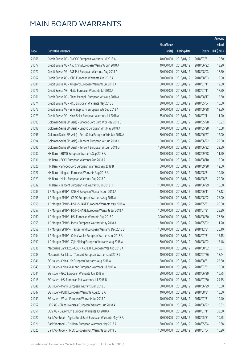|       |                                                              |              |                       |               | Amount       |
|-------|--------------------------------------------------------------|--------------|-----------------------|---------------|--------------|
|       |                                                              | No. of issue |                       |               | raised       |
| Code  | Derivative warrants                                          | (units)      | <b>Listing date</b>   | <b>Expiry</b> | $(HK\$ mil.) |
| 21066 | Credit Suisse AG - CNOOC European Warrants Jul 2018 A        | 40,000,000   | 2018/01/12            | 2018/07/31    | 10.60        |
| 21077 | Credit Suisse AG - A50 China European Warrants Jun 2018 A    | 40,000,000   | 2018/01/12            | 2018/06/22    | 13.20        |
| 21072 | Credit Suisse AG - R&F Ppt European Warrants Aug 2018 A      | 70,000,000   | 2018/01/12            | 2018/08/03    | 17.50        |
| 21067 | Credit Suisse AG - ICBC European Warrants Aug 2018 A         | 50,000,000   | 2018/01/12            | 2018/08/03    | 12.50        |
| 21081 | Credit Suisse AG - Kingsoft European Warrants Jul 2018 A     | 50,000,000   | 2018/01/12            | 2018/07/11    | 12.50        |
| 21076 | Credit Suisse AG - Meitu European Warrants Jul 2018 A        | 70,000,000   | 2018/01/12            | 2018/07/11    | 17.50        |
| 21061 | Credit Suisse AG - China Mengniu European Wts Aug 2018 A     | 50,000,000   | 2018/01/12            | 2018/08/17    | 12.50        |
| 21074 | Credit Suisse AG - PICC European Warrants May 2018 B         | 30,000,000   | 2018/01/12            | 2018/05/04    | 10.50        |
| 21075 | Credit Suisse AG - Sino Biopharm European Wts Sep 2018 A     | 50,000,000   | 2018/01/12            | 2018/09/28    | 12.50        |
| 21073 | Credit Suisse AG - Xinyi Solar European Warrants Jul 2018 A  | 35,000,000   | 2018/01/12            | 2018/07/11    | 11.20        |
| 21093 | Goldman Sachs SP (Asia) - Sinopec Corp Euro Wts May 2018 C   | 60,000,000   | 2018/01/12            | 2018/05/28    | 10.92        |
| 21098 | Goldman Sachs SP (Asia) - Lenovo European Wts May 2018 A     | 60,000,000   | 2018/01/12            | 2018/05/28    | 10.08        |
| 21096 | Goldman Sachs SP (Asia) - PetroChina European Wts Jun 2018 A | 80,000,000   | 2018/01/12            | 2018/06/27    | 12.00        |
| 21094 | Goldman Sachs SP (Asia) - Tencent European Wt Jun 2018 N     | 150,000,000  | 2018/01/12            | 2018/06/22    | 22.50        |
| 21095 | Goldman Sachs SP (Asia) - Tencent European Wt Jun 2018 O     | 150,000,000  | 2018/01/12            | 2018/06/22    | 22.50        |
| 21030 | HK Bank - BBMG European Warrants Sep 2018 A                  | 40,000,000   | 2018/01/12            | 2018/09/28    | 11.20        |
| 21031 | HK Bank - BOCL European Warrants Aug 2018 A                  | 80,000,000   | 2018/01/12            | 2018/08/10    | 12.00        |
| 21026 | HK Bank - Sinopec Corp European Warrants Sep 2018 B          | 50,000,000   | 2018/01/12            | 2018/09/28    | 12.50        |
| 21027 | HK Bank - Kingsoft European Warrants Aug 2018 A              | 40,000,000   | 2018/01/12            | 2018/08/31    | 10.40        |
| 21029 | HK Bank - Meitu European Warrants Aug 2018 A                 | 80,000,000   | 2018/01/12            | 2018/08/31    | 20.00        |
| 21032 | HK Bank - Tencent European Put Warrants Jun 2018 H           | 100,000,000  | 2018/01/12            | 2018/06/29    | 15.00        |
| 21089 | J P Morgan SP BV - CNBM European Warrants Jun 2018 A         | 40,000,000   | 2018/01/12            | 2018/06/11    | 18.12        |
| 21055 | J P Morgan SP BV - CRRC European Warrants Aug 2018 A         | 100,000,000  | 2018/01/12            | 2018/08/02    | 76.00        |
| 21056 | J P Morgan SP BV - HS H-SHARE European Warrants May 2018 A   | 100,000,000  | 2018/01/12            | 2018/05/31    | 20.00        |
| 21057 | J P Morgan SP BV - HS H-SHARE European Warrants Jul 2018 A   | 100,000,000  | 2018/01/12            | 2018/07/31    | 25.20        |
| 21060 | J P Morgan SP BV - HSI European Warrants Aug 2018 C          | 300,000,000  | 2018/01/12            | 2018/08/30    | 76.80        |
| 21053 | J P Morgan SP BV - Meitu European Warrants May 2018 A        |              | 70,000,000 2018/01/12 | 2018/05/02    | 11.20        |
| 21058 | J P Morgan SP BV - Tracker Fund European Warrants Dec 2018 B | 100,000,000  | 2018/01/12            | 2018/12/31    | 25.10        |
| 21054 | J P Morgan SP BV - China Vanke European Warrants Jul 2018 A  | 50,000,000   | 2018/01/12            | 2018/07/31    | 15.15        |
| 21090 | J P Morgan SP BV - Zijin Mining European Warrants Aug 2018 A | 60,000,000   | 2018/01/12            | 2018/08/02    | 15.48        |
| 21036 | Macquarie Bank Ltd. - CSOP A50 ETF European Wts Aug 2018 A   | 19,000,000   | 2018/01/12            | 2018/08/02    | 10.07        |
| 21033 | Macquarie Bank Ltd. - Tencent European Warrants Jul 2018 L   | 40,000,000   | 2018/01/12            | 2018/07/26    | 18.44        |
| 21041 | SG Issuer - China Life European Warrants Aug 2018 A          | 150,000,000  | 2018/01/12            | 2018/08/31    | 25.50        |
| 21043 | SG Issuer - China Res Land European Warrants Jul 2018 A      | 40,000,000   | 2018/01/12            | 2018/07/31    | 10.00        |
| 21044 | SG Issuer - GAC European Warrants Jun 2018 A                 | 50,000,000   | 2018/01/12            | 2018/06/29    | 10.75        |
| 21018 | SG Issuer - HSI European Put Warrants Jul 2018 D             | 150,000,000  | 2018/01/12            | 2018/07/30    | 24.75        |
| 21046 | SG Issuer - Meitu European Warrants Jun 2018 B               | 50,000,000   | 2018/01/12            | 2018/06/29    | 10.00        |
| 21047 | SG Issuer - PSBC European Warrants Aug 2018 A                | 40,000,000   | 2018/01/12            | 2018/08/31    | 10.00        |
| 21049 | SG Issuer - Wharf European Warrants Jul 2018 A               | 40,000,000   | 2018/01/12            | 2018/07/31    | 10.40        |
| 21052 | UBS AG - China Overseas European Warrants Jun 2018 A         | 60,000,000   | 2018/01/12            | 2018/06/22    | 10.32        |
| 21051 | UBS AG - Galaxy Ent European Warrants Jul 2018 A             | 70,000,000   | 2018/01/12            | 2018/07/11    | 33.60        |
| 21020 | Bank Vontobel - Agricultural Bank European Warrants May 18 A | 50,000,000   | 2018/01/12            | 2018/05/31    | 10.55        |
| 21021 | Bank Vontobel - CM Bank European Warrants May 2018 A         | 60,000,000   | 2018/01/12            | 2018/05/24    | 10.38        |
| 21025 | Bank Vontobel - HKEX European Put Warrants Jul 2018 B        | 100,000,000  | 2018/01/12            | 2018/07/04    | 16.90        |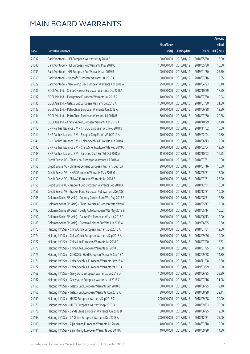|       |                                                              |              |                       |               | Amount       |
|-------|--------------------------------------------------------------|--------------|-----------------------|---------------|--------------|
|       |                                                              | No. of issue |                       |               | raised       |
| Code  | Derivative warrants                                          | (units)      | <b>Listing date</b>   | <b>Expiry</b> | $(HK\$ mil.) |
| 21037 | Bank Vontobel - HSI European Warrants May 2018 B             | 100,000,000  | 2018/01/12            | 2018/05/30    | 15.90        |
| 21040 | Bank Vontobel - HSI European Put Warrants May 2018 C         | 100,000,000  | 2018/01/12            | 2018/05/30    | 15.30        |
| 21039 | Bank Vontobel - HSI European Put Warrants Jan 2019 B         | 100,000,000  | 2018/01/12            | 2019/01/30    | 25.30        |
| 21019 | Bank Vontobel - Kingsoft European Warrants Jul 2018 A        | 50,000,000   | 2018/01/12            | 2018/07/16    | 12.65        |
| 21022 | Bank Vontobel - New World Dev European Warrants Apr 2018 A   | 25,000,000   | 2018/01/12            | 2018/04/23    | 10.10        |
| 21136 | BOCI Asia Ltd. - China Overseas European Warrants Oct 2018A  | 70,000,000   | 2018/01/15            | 2018/10/29    | 17.50        |
| 21137 | BOCI Asia Ltd. - Evergrande European Warrants Jul 2018 A     | 40,000,000   | 2018/01/15            | 2018/07/30    | 10.04        |
| 21135 | BOCI Asia Ltd. - Galaxy Ent European Warrants Jul 2018 A     | 100,000,000  | 2018/01/15            | 2018/07/30    | 31.30        |
| 21133 | BOCI Asia Ltd. - PetroChina European Warrants Jun 2018 A     | 80,000,000   | 2018/01/15            | 2018/06/28    | 12.80        |
| 21134 | BOCI Asia Ltd. - PetroChina European Warrants Jul 2018 B     | 80,000,000   | 2018/01/15            | 2018/07/30    | 20.88        |
| 21138 | BOCI Asia Ltd. - China Vanke European Warrants Oct 2018 A    | 70,000,000   | 2018/01/15            | 2018/10/29    | 37.10        |
| 21113 | BNP Paribas Issuance B.V. - CNOOC European Wts Nov 2018 B    | 40,000,000   | 2018/01/15            | 2018/11/02    | 15.60        |
| 21114 | BNP Paribas Issuance B.V. - Sinopec Corp Eu Wts Feb 2019 A   | 40,000,000   | 2018/01/15            | 2019/02/04    | 10.80        |
| 21141 | BNP Paribas Issuance B.V. - China Shenhua Euro Wts Jun 2018A | 80,000,000   | 2018/01/15            | 2018/06/13    | 12.80        |
| 21142 | BNP Paribas Issuance B.V. - China Shenhua Euro Wts Feb 2019A | 50,000,000   | 2018/01/15            | 2019/02/04    | 12.50        |
| 21143 | BNP Paribas Issuance B.V. - Yanzhou Coal Eur Wt Oct 2018 A   | 15,000,000   | 2018/01/15            | 2018/10/03    | 16.95        |
| 21160 | Credit Suisse AG - China Coal European Warrants Jul 2018 A   | 40,000,000   | 2018/01/15            | 2018/07/31    | 10.00        |
| 21158 | Credit Suisse AG - Chinares Cement European Warrants Jul 18A | 20,000,000   | 2018/01/15            | 2018/07/16    | 10.00        |
| 21161 | Credit Suisse AG - HKEX European Warrants May 2018 G         | 40,000,000   | 2018/01/15            | 2018/05/31    | 18.00        |
| 21159 | Credit Suisse AG - SUNAC European Warrants Jul 2018 B        | 40,000,000   | 2018/01/15            | 2018/07/31    | 28.00        |
| 21155 | Credit Suisse AG - Tracker Fund European Warrants Dec 2018 A | 40,000,000   | 2018/01/15            | 2018/12/31    | 10.00        |
| 21156 | Credit Suisse AG - Tracker Fund European Put Warrants Dec18B | 40,000,000   | 2018/01/15            | 2018/12/31    | 10.00        |
| 21188 | Goldman Sachs SP (Asia) - Country Garden Euro Wts Aug 2018 B | 50,000,000   | 2018/01/15            | 2018/08/31    | 12.50        |
| 21189 | Goldman Sachs SP (Asia) - China Overseas European Wts May18C | 80,000,000   | 2018/01/15            | 2018/05/17    | 12.00        |
| 21192 | Goldman Sachs SP (Asia) - Geely Auto European Wts May 2018 B | 60,000,000   | 2018/01/15            | 2018/05/14    | 10.02        |
| 21190 | Goldman Sachs SP (Asia) - Galaxy Ent European Wts Jun 2018 C | 80,000,000   | 2018/01/15            | 2018/06/13    | 12.00        |
| 21183 | Goldman Sachs SP (Asia) - Greatwall Motor Eur Wts Jun 2019 A |              | 70,000,000 2018/01/15 | 2019/06/25    | 10.50        |
| 21173 | Haitong Int'l Sec - China Cinda European Warrants Jul 2018 A | 50,000,000   | 2018/01/15            | 2018/07/31    | 12.50        |
| 21174 | Haitong Int'l Sec - China Cinda European Warrants Sep 2018 A | 50,000,000   | 2018/01/15            | 2018/09/26    | 10.00        |
| 21177 | Haitong Int'l Sec - China Life European Warrants Jul 2018 C  | 80,000,000   | 2018/01/15            | 2018/07/20    | 15.52        |
| 21178 | Haitong Int'l Sec - China Life European Warrants Jul 2018 D  | 80,000,000   | 2018/01/15            | 2018/07/25    | 12.88        |
| 21175 | Haitong Int'l Sec - COSCO Sh Hold European Warrants Sep 18 A | 20,000,000   | 2018/01/15            | 2018/09/28    | 14.80        |
| 21171 | Haitong Int'l Sec - China Shenhua European Warrants Nov 18 A | 50,000,000   | 2018/01/15            | 2018/11/28    | 12.50        |
| 21172 | Haitong Int'l Sec - China Shenhua European Warrants Mar 19 A | 50,000,000   | 2018/01/15            | 2019/03/29    | 12.50        |
| 21168 | Haitong Int'l Sec - Geely Auto European Warrants Jun 2018 D  | 100,000,000  | 2018/01/15            | 2018/06/25    | 29.20        |
| 21167 | Haitong Int'l Sec - Geely Auto European Warrants Jul 2018 C  | 80,000,000   | 2018/01/15            | 2018/07/16    | 31.28        |
| 21165 | Haitong Int'l Sec - Galaxy Ent European Warrants Jun 2018 B  | 50,000,000   | 2018/01/15            | 2018/06/25    | 12.40        |
| 21166 | Haitong Int'l Sec - Galaxy Ent European Warrants Aug 2018 A  | 30,000,000   | 2018/01/15            | 2018/08/28    | 22.11        |
| 21169 | Haitong Int'l Sec - HKEX European Warrants Sep 2018 C        | 200,000,000  | 2018/01/15            | 2018/09/28    | 30.00        |
| 21170 | Haitong Int'l Sec - HKEX European Warrants Sep 2018 D        | 200,000,000  | 2018/01/15            | 2018/09/03    | 38.80        |
| 21176 | Haitong Int'l Sec - Sands China European Warrants Jun 2018 B | 80,000,000   | 2018/01/15            | 2018/06/25    | 12.00        |
| 21193 | Haitong Int'l Sec - ZA Onine European Warrants Dec 2018 A    | 300,000,000  | 2018/01/15            | 2018/12/31    | 75.00        |
| 21180 | Haitong Int'l Sec - Zijin Mining European Warrants Jul 2018A | 40,000,000   | 2018/01/15            | 2018/07/18    | 12.00        |
| 21181 | Haitong Int'l Sec - Zijin Mining European Warrants Sep 2018A | 40,000,000   | 2018/01/15            | 2018/09/28    | 14.80        |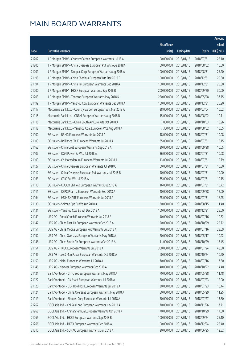|       |                                                              |              |                       |               | Amount      |
|-------|--------------------------------------------------------------|--------------|-----------------------|---------------|-------------|
|       |                                                              | No. of issue |                       |               | raised      |
| Code  | Derivative warrants                                          | (units)      | <b>Listing date</b>   | <b>Expiry</b> | (HK\$ mil.) |
| 21202 | J P Morgan SP BV - Country Garden European Warrants Jul 18 A | 100,000,000  | 2018/01/15            | 2018/07/31    | 25.10       |
| 21205 | J P Morgan SP BV - China Overseas European Put Wts Aug 2018A | 60,000,000   | 2018/01/15            | 2018/08/02    | 15.00       |
| 21201 | J P Morgan SP BV - Sinopec Corp European Warrants Aug 2018 A | 100,000,000  | 2018/01/15            | 2018/08/31    | 25.20       |
| 21198 | J P Morgan SP BV - China Shenhua European Wts Dec 2018 B     | 100,000,000  | 2018/01/15            | 2018/12/31    | 25.30       |
| 21194 | J P Morgan SP BV - China Tel European Warrants Dec 2018 A    | 100,000,000  | 2018/01/15            | 2018/12/31    | 25.30       |
| 21200 | J P Morgan SP BV - HKEX European Warrants Sep 2018 B         | 200,000,000  | 2018/01/15            | 2018/09/20    | 30.00       |
| 21203 | J P Morgan SP BV - Tencent European Warrants May 2018 K      | 250,000,000  | 2018/01/15            | 2018/05/28    | 37.75       |
| 21199 | J P Morgan SP BV - Yanzhou Coal European Warrants Dec 2018 A | 100,000,000  | 2018/01/15            | 2018/12/31    | 25.20       |
| 21117 | Macquarie Bank Ltd. - Country Garden European Wts Mar 2019 A | 28,000,000   | 2018/01/15            | 2019/03/04    | 10.02       |
| 21115 | Macquarie Bank Ltd. - CNBM European Warrants Aug 2018 B      | 15,000,000   | 2018/01/15            | 2018/08/02    | 10.11       |
| 21116 | Macquarie Bank Ltd. - China South Air Euro Wts Oct 2018 A    | 7,000,000    | 2018/01/15            | 2018/10/03    | 10.96       |
| 21118 | Macquarie Bank Ltd. - Yanzhou Coal European Wts Aug 2018 A   | 7,300,000    | 2018/01/15            | 2018/08/02    | 10.05       |
| 21100 | SG Issuer - BBMG European Warrants Jul 2018 A                | 18,000,000   | 2018/01/15            | 2018/07/31    | 10.08       |
| 21103 | SG Issuer - Brilliance Chi European Warrants Jul 2018 A      | 35,000,000   | 2018/01/15            | 2018/07/31    | 10.15       |
| 21162 | SG Issuer - China Coal European Warrants Sep 2018 A          | 30,000,000   | 2018/01/15            | 2018/09/28    | 10.05       |
| 21107 | SG Issuer - CGN Power Eu Wts Jul 2018 A                      | 36,000,000   | 2018/01/15            | 2018/07/31    | 10.08       |
| 21109 | SG Issuer - Ch Molybdenum European Warrants Jul 2018 A       | 13,000,000   | 2018/01/15            | 2018/07/31    | 10.79       |
| 21127 | SG Issuer - China Overseas European Warrants Jul 2018 C      | 60,000,000   | 2018/01/15            | 2018/07/31    | 10.80       |
| 21112 | SG Issuer - China Overseas European Put Warrants Jul 2018 B  | 40,000,000   | 2018/01/15            | 2018/07/31    | 10.00       |
| 21163 | SG Issuer - CPIC Eur Wt Jul 2018 A                           | 35,000,000   | 2018/01/15            | 2018/07/31    | 10.15       |
| 21110 | SG Issuer - COSCO Sh Hold European Warrants Jul 2018 A       | 16,000,000   | 2018/01/15            | 2018/07/31    | 10.72       |
| 21111 | SG Issuer - CSPC Pharma European Warrants Sep 2018 A         | 40,000,000   | 2018/01/15            | 2018/09/28    | 12.00       |
| 21164 | SG Issuer - HS H-SHARE European Warrants Jul 2018 A          | 25,000,000   | 2018/01/15            | 2018/07/31    | 16.25       |
| 21130 | SG Issuer - Shimao Ppt Eu Wt Aug 2018 A                      | 30,000,000   | 2018/01/15            | 2018/08/15    | 11.40       |
| 21131 | SG Issuer - Yanzhou Coal Eu Wt Dec 2018 A                    | 100,000,000  | 2018/01/15            | 2018/12/31    | 25.00       |
| 21149 | UBS AG - Anhui Conch European Warrants Jul 2018 A            | 40,000,000   | 2018/01/15            | 2018/07/16    | 10.52       |
| 21147 | UBS AG - China East Air European Warrants Oct 2018 A         |              | 20,000,000 2018/01/15 | 2018/10/29    | 22.72       |
| 21151 | UBS AG - China Mobile European Put Warrants Jul 2018 A       | 70,000,000   | 2018/01/15            | 2018/07/16    | 23.59       |
| 21152 | UBS AG - China Overseas European Warrants May 2018 A         | 70,000,000   | 2018/01/15            | 2018/05/17    | 10.92       |
| 21148 | UBS AG - China South Air European Warrants Oct 2018 A        | 11,000,000   | 2018/01/15            | 2018/10/29    | 13.45       |
| 21154 | UBS AG - HKEX European Warrants Jul 2018 A                   | 300,000,000  | 2018/01/15            | 2018/07/24    | 48.30       |
| 21146 | UBS AG - Lee & Man Paper European Warrants Oct 2018 A        | 60,000,000   | 2018/01/15            | 2018/10/24    | 10.20       |
| 21150 | UBS AG - Meitu European Warrants Jul 2018 A                  | 70,000,000   | 2018/01/15            | 2018/07/16    | 17.50       |
| 21145 | UBS AG - Nexteer European Warrants Oct 2018 A                | 40,000,000   | 2018/01/15            | 2018/10/22    | 14.40       |
| 21121 | Bank Vontobel - CITIC Sec European Warrants May 2018 A       | 70,000,000   | 2018/01/15            | 2018/05/28    | 11.48       |
| 21122 | Bank Vontobel - CK Asset European Warrants Jul 2018 A        | 50,000,000   | 2018/01/15            | 2018/07/23    | 12.90       |
| 21120 | Bank Vontobel - CLP Holdings European Warrants Jul 2018 A    | 30,000,000   | 2018/01/15            | 2018/07/23    | 10.44       |
| 21124 | Bank Vontobel - China Overseas European Warrants May 2018 A  | 50,000,000   | 2018/01/15            | 2018/05/29    | 11.95       |
| 21119 | Bank Vontobel - Sinopec Corp European Warrants Jul 2018 A    | 50,000,000   | 2018/01/15            | 2018/07/27    | 13.60       |
| 21267 | BOCI Asia Ltd. - Chi Res Land European Warrants Nov 2018 A   | 70,000,000   | 2018/01/16            | 2018/11/26    | 17.71       |
| 21268 | BOCI Asia Ltd. - China Shenhua European Warrants Oct 2018 A  | 70,000,000   | 2018/01/16            | 2018/10/29    | 17.50       |
| 21265 | BOCI Asia Ltd. - HKEX European Warrants Sep 2018 B           | 100,000,000  | 2018/01/16            | 2018/09/24    | 25.10       |
| 21266 | BOCI Asia Ltd. - HKEX European Warrants Dec 2018 A           | 100,000,000  | 2018/01/16            | 2018/12/24    | 25.40       |
| 21310 | BOCI Asia Ltd. - SUNAC European Warrants Jun 2018 A          | 20,000,000   | 2018/01/16            | 2018/06/25    | 12.82       |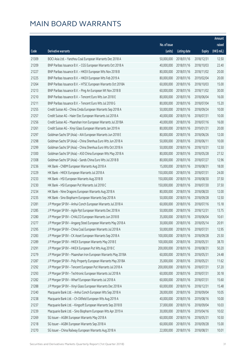|       |                                                              |              |                       |               | Amount      |
|-------|--------------------------------------------------------------|--------------|-----------------------|---------------|-------------|
|       |                                                              | No. of issue |                       |               | raised      |
| Code  | Derivative warrants                                          | (units)      | <b>Listing date</b>   | <b>Expiry</b> | (HK\$ mil.) |
| 21309 | BOCI Asia Ltd. - Yanzhou Coal European Warrants Dec 2018 A   | 50,000,000   | 2018/01/16            | 2018/12/31    | 12.50       |
| 21209 | BNP Paribas Issuance B.V. - CGS European Warrants Oct 2018 A | 40,000,000   | 2018/01/16            | 2018/10/03    | 22.40       |
| 21227 | BNP Paribas Issuance B.V. - HKEX European Wts Nov 2018 B     | 80,000,000   | 2018/01/16            | 2018/11/02    | 20.00       |
| 21225 | BNP Paribas Issuance B.V. - HKEX European Wts Feb 2019 A     | 80,000,000   | 2018/01/16            | 2019/02/04    | 20.00       |
| 21264 | BNP Paribas Issuance B.V. - HTSC European Warrants Oct 2018A | 60,000,000   | 2018/01/16            | 2018/10/03    | 15.00       |
| 21213 | BNP Paribas Issuance B.V. - Ping An European Wt Nov 2018 B   | 60,000,000   | 2018/01/16            | 2018/11/02    | 30.00       |
| 21210 | BNP Paribas Issuance B.V. - Tencent Euro Wts Jun 2018 E      | 80,000,000   | 2018/01/16            | 2018/06/04    | 16.00       |
| 21211 | BNP Paribas Issuance B.V. - Tencent Euro Wts Jul 2018 G      | 80,000,000   | 2018/01/16            | 2018/07/04    | 15.20       |
| 21255 | Credit Suisse AG - China Cinda European Warrants Sep 2018 A  | 50,000,000   | 2018/01/16            | 2018/09/24    | 10.00       |
| 21257 | Credit Suisse AG - Haier Elec European Warrants Jul 2018 A   | 40,000,000   | 2018/01/16            | 2018/07/31    | 10.00       |
| 21256 | Credit Suisse AG - Maanshan Iron European Warrants Jul 2018A | 40,000,000   | 2018/01/16            | 2018/07/16    | 16.00       |
| 21261 | Credit Suisse AG - Xinyi Glass European Warrants Jan 2019 A  | 80,000,000   | 2018/01/16            | 2019/01/31    | 20.00       |
| 21297 | Goldman Sachs SP (Asia) - AIA European Warrants Jun 2018 E   | 80,000,000   | 2018/01/16            | 2018/06/26    | 12.00       |
| 21298 | Goldman Sachs SP (Asia) - China Shenhua Euro Wts Jun 2018 A  | 50,000,000   | 2018/01/16            | 2018/06/11    | 10.00       |
| 21299 | Goldman Sachs SP (Asia) - China Shenhua Euro Wts Oct 2018 A  | 50,000,000   | 2018/01/16            | 2018/10/31    | 12.50       |
| 21300 | Goldman Sachs SP (Asia) - A50 China European Wts May 2018 A  | 80,000,000   | 2018/01/16            | 2018/05/28    | 27.52       |
| 21308 | Goldman Sachs SP (Asia) - Sands China Euro Wts Jul 2018 B    | 80,000,000   | 2018/01/16            | 2018/07/27    | 12.96       |
| 21236 | HK Bank - CNBM European Warrants Aug 2018 A                  | 15,000,000   | 2018/01/16            | 2018/08/31    | 18.00       |
| 21229 | HK Bank - HKEX European Warrants Jul 2018 A                  | 150,000,000  | 2018/01/16            | 2018/07/31    | 24.00       |
| 21233 | HK Bank - HSI European Warrants Aug 2018 B                   | 150,000,000  | 2018/01/16            | 2018/08/30    | 37.50       |
| 21230 | HK Bank - HSI European Put Warrants Jul 2018 C               | 150,000,000  | 2018/01/16            | 2018/07/30    | 37.50       |
| 21234 | HK Bank - Nine Dragons European Warrants Aug 2018 A          | 80,000,000   | 2018/01/16            | 2018/08/20    | 12.00       |
| 21235 | HK Bank - Sino Biopharm European Warrants Sep 2018 A         | 50,000,000   | 2018/01/16            | 2018/09/28    | 12.50       |
| 21281 | J P Morgan SP BV - Anhui Conch European Warrants Jul 2018 A  | 60,000,000   | 2018/01/16            | 2018/07/16    | 15.18       |
| 21285 | J P Morgan SP BV - Agile Ppt European Warrants Dec 2018 A    | 50,000,000   | 2018/01/16            | 2018/12/31    | 13.75       |
| 21280 | J P Morgan SP BV - CHALCO European Warrants Jun 2018 B       | 35,000,000   | 2018/01/16            | 2018/06/04    | 10.61       |
| 21277 | J P Morgan SP BV - Angang Steel European Warrants May 2018 A |              | 30,000,000 2018/01/16 | 2018/05/14    | 20.91       |
| 21295 | J P Morgan SP BV - China Coal European Warrants Jul 2018 A   | 50,000,000   | 2018/01/16            | 2018/07/31    | 12.95       |
| 21283 | J P Morgan SP BV - CK Asset European Warrants Sep 2018 A     | 100,000,000  | 2018/01/16            | 2018/09/28    | 25.50       |
| 21289 | J P Morgan SP BV - HKEX European Warrants May 2018 E         | 100,000,000  | 2018/01/16            | 2018/05/31    | 38.70       |
| 21291 | J P Morgan SP BV - HKEX European Put Wts Aug 2018 C          | 200,000,000  | 2018/01/16            | 2018/08/31    | 50.20       |
| 21279 | J P Morgan SP BV - Maanshan Iron European Warrants May 2018A | 60,000,000   | 2018/01/16            | 2018/05/31    | 24.48       |
| 21287 | J P Morgan SP BV - Poly Property European Warrants May 2018A | 35,000,000   | 2018/01/16            | 2018/05/21    | 11.62       |
| 21292 | J P Morgan SP BV - Tencent European Put Warrants Jul 2018 A  | 200,000,000  | 2018/01/16            | 2018/07/31    | 57.20       |
| 21293 | J P Morgan SP BV - Techtronic European Warrants Jul 2018 A   | 60,000,000   | 2018/01/16            | 2018/07/31    | 30.18       |
| 21282 | J P Morgan SP BV - Wharf European Warrants Jul 2018 A        | 60,000,000   | 2018/01/16            | 2018/07/31    | 15.60       |
| 21288 | J P Morgan SP BV - Xinyi Glass European Warrants Dec 2018 A  | 60,000,000   | 2018/01/16            | 2018/12/31    | 15.48       |
| 21240 | Macquarie Bank Ltd. - Anhui Conch European Wts Sep 2018 A    | 28,000,000   | 2018/01/16            | 2018/09/04    | 10.05       |
| 21238 | Macquarie Bank Ltd. - Ch Oilfield European Wts Aug 2019 A    | 40,000,000   | 2018/01/16            | 2019/08/16    | 10.00       |
| 21237 | Macquarie Bank Ltd. - Kingsoft European Warrants Sep 2018 B  | 37,000,000   | 2018/01/16            | 2018/09/04    | 10.03       |
| 21239 | Macquarie Bank Ltd. - Sino Biopharm European Wts Apr 2019 A  | 30,000,000   | 2018/01/16            | 2019/04/16    | 10.02       |
| 21269 | SG Issuer - AGBK European Warrants May 2018 A                | 60,000,000   | 2018/01/16            | 2018/05/31    | 10.50       |
| 21218 | SG Issuer - AGBK European Warrants Sep 2018 A                | 60,000,000   | 2018/01/16            | 2018/09/28    | 15.00       |
| 21270 | SG Issuer - China Railway European Warrants Aug 2018 A       | 22,000,000   | 2018/01/16            | 2018/08/31    | 10.01       |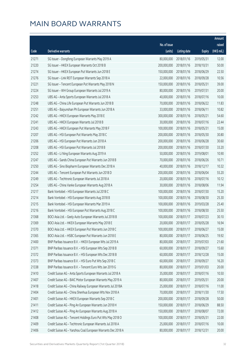|       |                                                              |              |                       |               | Amount      |
|-------|--------------------------------------------------------------|--------------|-----------------------|---------------|-------------|
|       |                                                              | No. of issue |                       |               | raised      |
| Code  | Derivative warrants                                          | (units)      | <b>Listing date</b>   | <b>Expiry</b> | (HK\$ mil.) |
| 21271 | SG Issuer - Dongfeng European Warrants May 2019 A            | 80,000,000   | 2018/01/16            | 2019/05/31    | 12.00       |
| 21220 | SG Issuer - HKEX European Warrants Oct 2018 B                | 200,000,000  | 2018/01/16            | 2018/10/31    | 50.00       |
| 21274 | SG Issuer - HKEX European Put Warrants Jun 2018 E            | 150,000,000  | 2018/01/16            | 2018/06/29    | 22.50       |
| 21276 | SG Issuer - Link REIT European Warrants Sep 2018 A           | 22,000,000   | 2018/01/16            | 2018/09/28    | 10.56       |
| 21221 | SG Issuer - Tencent European Put Warrants May 2018 N         | 150,000,000  | 2018/01/16            | 2018/05/31    | 39.00       |
| 21224 | SG Issuer - WH Group European Warrants Jul 2019 A            | 80,000,000   | 2018/01/16            | 2019/07/31    | 20.00       |
| 21253 | UBS AG - Anta Sports European Warrants Jul 2018 A            | 40,000,000   | 2018/01/16            | 2018/07/16    | 10.00       |
| 21248 | UBS AG - China Life European Put Warrants Jun 2018 B         | 70,000,000   | 2018/01/16            | 2018/06/22    | 11.83       |
| 21251 | UBS AG - Baiyunshan Ph European Warrants Jun 2018 A          | 33,000,000   | 2018/01/16            | 2018/06/11    | 10.82       |
| 21242 | UBS AG - HKEX European Warrants May 2018 E                   | 300,000,000  | 2018/01/16            | 2018/05/21    | 54.60       |
| 21241 | UBS AG - HKEX European Warrants Jul 2018 B                   | 30,000,000   | 2018/01/16            | 2018/07/16    | 22.44       |
| 21243 | UBS AG - HKEX European Put Warrants May 2018 F               | 100,000,000  | 2018/01/16            | 2018/05/31    | 15.00       |
| 21207 | UBS AG - HSI European Put Warrants May 2018 C                | 200,000,000  | 2018/01/16            | 2018/05/30    | 30.80       |
| 21206 | UBS AG - HSI European Put Warrants Jun 2018 A                | 200,000,000  | 2018/01/16            | 2018/06/28    | 30.60       |
| 21208 | UBS AG - HSI European Put Warrants Jul 2018 B                | 200,000,000  | 2018/01/16            | 2018/07/30    | 33.20       |
| 21252 | UBS AG - Li Ning European Warrants Aug 2019 A                | 50,000,000   | 2018/01/16            | 2019/08/01    | 10.90       |
| 21247 | UBS AG - Sands China European Put Warrants Jun 2018 B        | 70,000,000   | 2018/01/16            | 2018/06/26    | 10.71       |
| 21250 | UBS AG - Sino Biopharm European Warrants Dec 2018 A          | 40,000,000   | 2018/01/16            | 2018/12/17    | 10.32       |
| 21244 | UBS AG - Tencent European Put Warrants Jun 2018 D            | 200,000,000  | 2018/01/16            | 2018/06/04    | 55.20       |
| 21249 | UBS AG - Techtronic European Warrants Jul 2018 A             | 20,000,000   | 2018/01/16            | 2018/07/16    | 10.12       |
| 21254 | UBS AG - China Vanke European Warrants Aug 2018 A            | 30,000,000   | 2018/01/16            | 2018/08/06    | 11.94       |
| 21217 | Bank Vontobel - HSI European Warrants Jul 2018 C             | 100,000,000  | 2018/01/16            | 2018/07/30    | 15.20       |
| 21214 | Bank Vontobel - HSI European Warrants Aug 2018 B             | 100,000,000  | 2018/01/16            | 2018/08/30    | 25.30       |
| 21215 | Bank Vontobel - HSI European Warrants Mar 2019 A             | 100,000,000  | 2018/01/16            | 2019/03/28    | 25.40       |
| 21216 | Bank Vontobel - HSI European Put Warrants Aug 2018 C         | 100,000,000  | 2018/01/16            | 2018/08/30    | 25.50       |
| 21368 | BOCI Asia Ltd. - Geely Auto European Warrants Jul 2018 B     | 100,000,000  | 2018/01/17            | 2018/07/23    | 30.10       |
| 21369 | BOCI Asia Ltd. - HKEX European Warrants May 2018 E           |              | 20,000,000 2018/01/17 | 2018/05/28    | 16.94       |
| 21370 | BOCI Asia Ltd. - HKEX European Put Warrants Jun 2018 C       | 100,000,000  | 2018/01/17            | 2018/06/27    | 15.00       |
| 21365 | BOCI Asia Ltd. - HSBC European Put Warrants Jun 2018 E       | 80,000,000   | 2018/01/17            | 2018/06/25    | 19.92       |
| 21400 | BNP Paribas Issuance B.V. - HKEX European Wts Jul 2019 A     | 80,000,000   | 2018/01/17            | 2019/07/03    | 21.60       |
| 21371 | BNP Paribas Issuance B.V. - HSI European Wts Sep 2018 B      | 60,000,000   | 2018/01/17            | 2018/09/27    | 15.60       |
| 21372 | BNP Paribas Issuance B.V. - HSI European Wts Dec 2018 B      | 60,000,000   | 2018/01/17            | 2018/12/28    | 15.00       |
| 21373 | BNP Paribas Issuance B.V. - HSI Euro Put Wts Sep 2018 C      | 60,000,000   | 2018/01/17            | 2018/09/27    | 16.20       |
| 21338 | BNP Paribas Issuance B.V. - Tencent Euro Wts Jan 2019 G      | 80,000,000   | 2018/01/17            | 2019/01/03    | 20.00       |
| 21410 | Credit Suisse AG - Anta Sports European Warrants Jul 2018 A  | 35,000,000   | 2018/01/17            | 2018/07/16    | 10.50       |
| 21407 | Credit Suisse AG - BAIC Motor European Warrants May 2019 A   | 80,000,000   | 2018/01/17            | 2019/05/31    | 20.00       |
| 21418 | Credit Suisse AG - China Railway European Warrants Jul 2018A | 25,000,000   | 2018/01/17            | 2018/07/16    | 11.00       |
| 21404 | Credit Suisse AG - China Shenhua European Wts Nov 2018 A     | 70,000,000   | 2018/01/17            | 2018/11/30    | 17.50       |
| 21401 | Credit Suisse AG - HKEX European Warrants Sep 2018 C         | 200,000,000  | 2018/01/17            | 2018/09/28    | 50.00       |
| 21411 | Credit Suisse AG - Ping An European Warrants Jun 2018 H      | 150,000,000  | 2018/01/17            | 2018/06/29    | 88.50       |
| 21412 | Credit Suisse AG - Ping An European Warrants Aug 2018 A      | 150,000,000  | 2018/01/17            | 2018/08/07    | 72.00       |
| 21408 | Credit Suisse AG - Tencent Holdings Euro Put Wts May 2018 O  | 100,000,000  | 2018/01/17            | 2018/05/31    | 22.00       |
| 21409 | Credit Suisse AG - Techtronic European Warrants Jul 2018 A   | 25,000,000   | 2018/01/17            | 2018/07/16    | 10.00       |
| 21406 | Credit Suisse AG - Yanzhou Coal European Warrants Dec 2018 A | 80,000,000   | 2018/01/17            | 2018/12/31    | 20.00       |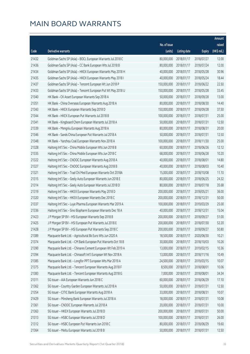|       |                                                              |                        |                     |               | Amount      |
|-------|--------------------------------------------------------------|------------------------|---------------------|---------------|-------------|
|       |                                                              | No. of issue           |                     |               | raised      |
| Code  | Derivative warrants                                          | (units)                | <b>Listing date</b> | <b>Expiry</b> | (HK\$ mil.) |
| 21432 | Goldman Sachs SP (Asia) - BOCL European Warrants Jul 2018 C  | 80,000,000             | 2018/01/17          | 2018/07/27    | 12.00       |
| 21436 | Goldman Sachs SP (Asia) - CC Bank European Wts Jul 2018 B    | 80,000,000             | 2018/01/17          | 2018/07/24    | 12.00       |
| 21434 | Goldman Sachs SP (Asia) - HKEX European Warrants May 2018 H  | 40,000,000             | 2018/01/17          | 2018/05/28    | 30.96       |
| 21435 | Goldman Sachs SP (Asia) - HKEX European Warrants May 2018 I  | 40,000,000             | 2018/01/17          | 2018/05/24    | 18.44       |
| 21437 | Goldman Sachs SP (Asia) - Tencent European Wt Jun 2018 P     | 150,000,000            | 2018/01/17          | 2018/06/22    | 22.50       |
| 21433 | Goldman Sachs SP (Asia) - Tencent European Put Wt May 2018 U | 150,000,000            | 2018/01/17          | 2018/05/28    | 33.45       |
| 21340 | HK Bank - CK Asset European Warrants Sep 2018 A              | 50,000,000             | 2018/01/17          | 2018/09/28    | 13.00       |
| 21351 | HK Bank - China Overseas European Warrants Aug 2018 A        | 80,000,000             | 2018/01/17          | 2018/08/30    | 14.40       |
| 21343 | HK Bank - HKEX European Warrants Sep 2018 D                  | 150,000,000            | 2018/01/17          | 2018/09/28    | 37.50       |
| 21344 | HK Bank - HKEX European Put Warrants Jul 2018 B              | 100,000,000            | 2018/01/17          | 2018/07/31    | 25.00       |
| 21341 | HK Bank - Kingboard Chem European Warrants Jul 2018 A        | 50,000,000             | 2018/01/17          | 2018/07/31    | 12.50       |
| 21339 | HK Bank - Mengniu European Warrants Aug 2018 A               | 80,000,000             | 2018/01/17          | 2018/08/31    | 20.00       |
| 21346 | HK Bank - Sands China European Put Warrants Jul 2018 A       | 50,000,000             | 2018/01/17          | 2018/07/31    | 12.50       |
| 21348 | HK Bank - Yanzhou Coal European Warrants Nov 2018 A          | 100,000,000            | 2018/01/17          | 2018/11/30    | 25.00       |
| 21328 | Haitong Int'l Sec - China Mobile European Wts Jun 2018 B     | 60,000,000             | 2018/01/17          | 2018/06/26    | 12.12       |
| 21335 | Haitong Int'l Sec - China Mobile European Wts Jun 2018 C     | 68,000,000             | 2018/01/17          | 2018/06/28    | 10.20       |
| 21322 | Haitong Int'l Sec - CNOOC European Warrants Aug 2018 A       | 40,000,000             | 2018/01/17          | 2018/08/01    | 14.80       |
| 21327 | Haitong Int'l Sec - CNOOC European Warrants Aug 2018 B       | 40,000,000             | 2018/01/17          | 2018/08/03    | 10.40       |
| 21321 | Haitong Int'l Sec - Trad Chi Med European Warrants Oct 2018A | 15,000,000             | 2018/01/17          | 2018/10/08    | 11.10       |
| 21315 | Haitong Int'l Sec - Geely Auto European Warrants Jun 2018 E  | 80,000,000             | 2018/01/17          | 2018/06/25    | 24.32       |
| 21314 | Haitong Int'l Sec - Geely Auto European Warrants Jul 2018 D  | 80,000,000             | 2018/01/17          | 2018/07/18    | 35.68       |
| 21319 | Haitong Int'l Sec - HKEX European Warrants May 2018 D        | 200,000,000            | 2018/01/17          | 2018/05/21    | 36.00       |
| 21320 | Haitong Int'l Sec - HKEX European Warrants Dec 2018 C        | 200,000,000            | 2018/01/17          | 2018/12/31    | 50.00       |
| 21337 | Haitong Int'l Sec - Luye Pharma European Warrants Mar 2019 A | 100,000,000            | 2018/01/17          | 2019/03/29    | 25.00       |
| 21336 | Haitong Int'l Sec - Sino Biopharm European Warrants Dec 18 A | 40,000,000             | 2018/01/17          | 2018/12/31    | 15.04       |
| 21423 | J P Morgan SP BV - HSI European Warrants Sep 2018 B          | 200,000,000            | 2018/01/17          | 2018/09/27    | 51.00       |
| 21425 | J P Morgan SP BV - HSI European Put Warrants Jul 2018 E      | 200,000,000 2018/01/17 |                     | 2018/07/30    | 52.20       |
| 21428 | J P Morgan SP BV - HSI European Put Warrants Sep 2018 C      | 200,000,000            | 2018/01/17          | 2018/09/27    | 50.80       |
| 21389 | Macquarie Bank Ltd. - Agricultural Bk Euro Wts Jun 2020 A    | 18,500,000             | 2018/01/17          | 2020/06/30    | 10.21       |
| 21374 | Macquarie Bank Ltd. - CM Bank European Put Warrants Oct 18 B | 30,000,000             | 2018/01/17          | 2018/10/03    | 10.26       |
| 21390 | Macquarie Bank Ltd. - Chinares Cement European Wt Feb 2019 A | 13,000,000             | 2018/01/17          | 2019/02/15    | 10.36       |
| 21394 | Macquarie Bank Ltd. - Chinasoft Int'l European Wt Nov 2018 A | 13,000,000             | 2018/01/17          | 2018/11/16    | 10.49       |
| 21385 | Macquarie Bank Ltd. - Longfor PPT European Wts Mar 2019 A    | 24,500,000             | 2018/01/17          | 2019/03/15    | 10.07       |
| 21375 | Macquarie Bank Ltd. - Tencent European Warrants Aug 2018 F   | 8,500,000              | 2018/01/17          | 2018/08/01    | 10.06       |
| 21383 | Macquarie Bank Ltd. - Tencent European Warrants Aug 2018 G   | 7,000,000              | 2018/01/17          | 2018/08/01    | 34.34       |
| 21311 | SG Issuer - AIA European Warrants Jun 2018 C                 | 60,000,000             | 2018/01/17          | 2018/06/29    | 17.10       |
| 21362 | SG Issuer - Country Garden European Warrants Jul 2018 A      | 50,000,000             | 2018/01/17          | 2018/07/31    | 12.50       |
| 21354 | SG Issuer - CITIC Bank European Warrants Aug 2018 A          | 33,000,000             | 2018/01/17          | 2018/08/31    | 10.07       |
| 21429 | SG Issuer - Minsheng Bank European Warrants Jul 2018 A       | 18,000,000             | 2018/01/17          | 2018/07/31    | 10.08       |
| 21361 | SG Issuer - CNOOC European Warrants Jul 2018 A               | 20,000,000             | 2018/01/17          | 2018/07/31    | 10.00       |
| 21363 | SG Issuer - HKEX European Warrants Jul 2018 D                | 200,000,000            | 2018/01/17          | 2018/07/31    | 50.00       |
| 21313 | SG Issuer - HSBC European Warrants Jul 2018 D                | 100,000,000            | 2018/01/17          | 2018/07/31    | 26.00       |
| 21312 | SG Issuer - HSBC European Put Warrants Jun 2018 C            | 80,000,000             | 2018/01/17          | 2018/06/29    | 19.60       |
| 21364 | SG Issuer - Meitu European Warrants Jul 2018 B               | 50,000,000             | 2018/01/17          | 2018/07/31    | 12.50       |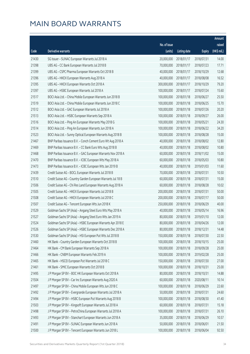|       |                                                              |              |                       |               | Amount      |
|-------|--------------------------------------------------------------|--------------|-----------------------|---------------|-------------|
|       |                                                              | No. of issue |                       |               | raised      |
| Code  | Derivative warrants                                          | (units)      | <b>Listing date</b>   | <b>Expiry</b> | (HK\$ mil.) |
| 21430 | SG Issuer - SUNAC European Warrants Jul 2018 A               | 20,000,000   | 2018/01/17            | 2018/07/31    | 14.00       |
| 21398 | UBS AG - CC Bank European Warrants Jul 2018 B                | 70,000,000   | 2018/01/17            | 2018/07/23    | 17.71       |
| 21399 | UBS AG - CSPC Pharma European Warrants Oct 2018 B            | 40,000,000   | 2018/01/17            | 2018/10/29    | 12.68       |
| 21396 | UBS AG - HKEX European Warrants Aug 2018 A                   | 40,000,000   | 2018/01/17            | 2018/08/08    | 16.52       |
| 21395 | UBS AG - HKEX European Warrants Oct 2018 A                   | 300,000,000  | 2018/01/17            | 2018/10/29    | 79.20       |
| 21397 | UBS AG - HSBC European Warrants Jul 2018 A                   | 100,000,000  | 2018/01/17            | 2018/07/24    | 15.60       |
| 21517 | BOCI Asia Ltd. - China Mobile European Warrants Jun 2018 B   | 100,000,000  | 2018/01/18            | 2018/06/27    | 25.50       |
| 21519 | BOCI Asia Ltd. - China Mobile European Warrants Jun 2018 C   | 100,000,000  | 2018/01/18            | 2018/06/25    | 15.70       |
| 21512 | BOCI Asia Ltd. - GAC European Warrants Jul 2018 A            | 100,000,000  | 2018/01/18            | 2018/07/26    | 20.20       |
| 21513 | BOCI Asia Ltd. - HSBC European Warrants Sep 2018 A           | 100,000,000  | 2018/01/18            | 2018/09/27    | 26.00       |
| 21516 | BOCI Asia Ltd. - Ping An European Warrants May 2018 G        | 100,000,000  | 2018/01/18            | 2018/05/21    | 24.30       |
| 21514 | BOCI Asia Ltd. - Ping An European Warrants Jun 2018 A        | 100,000,000  | 2018/01/18            | 2018/06/22    | 34.20       |
| 21523 | BOCI Asia Ltd. - Sunny Optical European Warrants Aug 2018 B  | 100,000,000  | 2018/01/18            | 2018/08/28    | 15.00       |
| 21467 | BNP Paribas Issuance B.V. - Conch Cement Euro Wt Aug 2018 A  | 40,000,000   | 2018/01/18            | 2018/08/02    | 12.80       |
| 21469 | BNP Paribas Issuance B.V. - CC Bank Euro Wts Aug 2018 B      | 40,000,000   | 2018/01/18            | 2018/08/02    | 10.80       |
| 21468 | BNP Paribas Issuance B.V. - GAC European Warrants Nov 2018 A | 60,000,000   | 2018/01/18            | 2018/11/02    | 15.00       |
| 21470 | BNP Paribas Issuance B.V. - ICBC European Wts May 2018 A     | 60,000,000   | 2018/01/18            | 2018/05/03    | 10.80       |
| 21473 | BNP Paribas Issuance B.V. - ICBC European Wts Jan 2019 B     | 40,000,000   | 2018/01/18            | 2019/01/03    | 11.60       |
| 21439 | Credit Suisse AG - BOCL European Warrants Jul 2018 B         | 70,000,000   | 2018/01/18            | 2018/07/31    | 10.50       |
| 21510 | Credit Suisse AG - Country Garden European Warrants Jul 18 B | 60,000,000   | 2018/01/18            | 2018/07/31    | 15.00       |
| 21506 | Credit Suisse AG - Chi Res Land European Warrants Aug 2018 A | 60,000,000   | 2018/01/18            | 2018/08/28    | 10.02       |
| 21505 | Credit Suisse AG - HKEX European Warrants Jul 2018 B         | 200,000,000  | 2018/01/18            | 2018/07/31    | 50.00       |
| 21508 | Credit Suisse AG - HKEX European Warrants Jul 2018 C         | 200,000,000  | 2018/01/18            | 2018/07/17    | 50.00       |
| 21507 | Credit Suisse AG - Tencent European Wts Jun 2018 K           | 250,000,000  | 2018/01/18            | 2018/06/29    | 40.00       |
| 21529 | Goldman Sachs SP (Asia) - Angang Steel Euro Wts May 2018 A   | 40,000,000   | 2018/01/18            | 2018/05/14    | 16.96       |
| 21527 | Goldman Sachs SP (Asia) - Angang Steel Euro Wts Jan 2019 A   | 80,000,000   | 2018/01/18            | 2019/01/10    | 12.00       |
| 21524 | Goldman Sachs SP (Asia) - HSBC European Warrants Apr 2018 E  |              | 80,000,000 2018/01/18 | 2018/04/26    | 12.00       |
| 21526 | Goldman Sachs SP (Asia) - HSBC European Warrants Dec 2018 A  | 80,000,000   | 2018/01/18            | 2018/12/31    | 14.48       |
| 21530 | Goldman Sachs SP (Asia) - HSI European Put Wts Jul 2018 B    | 150,000,000  | 2018/01/18            | 2018/07/30    | 22.50       |
| 21460 | HK Bank - Country Garden European Warrants Oct 2018 B        | 100,000,000  | 2018/01/18            | 2018/10/15    | 25.00       |
| 21464 | HK Bank - CM Bank European Warrants Sep 2018 A               | 100,000,000  | 2018/01/18            | 2018/09/28    | 25.00       |
| 21466 | HK Bank - CNBM European Warrants Feb 2019 A                  | 100,000,000  | 2018/01/18            | 2019/02/28    | 25.00       |
| 21465 | HK Bank - HSCEI European Put Warrants Jul 2018 C             | 150,000,000  | 2018/01/18            | 2018/07/30    | 27.00       |
| 21461 | HK Bank - SMIC European Warrants Oct 2018 B                  | 100,000,000  | 2018/01/18            | 2018/10/31    | 25.00       |
| 21495 | J P Morgan SP BV - BOC HK European Warrants Oct 2018 A       | 80,000,000   | 2018/01/18            | 2018/10/31    | 14.88       |
| 21504 | J P Morgan SP BV - Car Inc European Warrants Aug 2020 A      | 60,000,000   | 2018/01/18            | 2020/08/11    | 10.14       |
| 21497 | J P Morgan SP BV - China Mobile European Wts Jun 2018 C      | 100,000,000  | 2018/01/18            | 2018/06/29    | 22.60       |
| 21492 | J P Morgan SP BV - Evergrande European Warrants Jul 2018 A   | 50,000,000   | 2018/01/18            | 2018/07/31    | 24.60       |
| 21494 | J P Morgan SP BV - HSBC European Put Warrants Aug 2018 B     | 100,000,000  | 2018/01/18            | 2018/08/30    | 41.40       |
| 21503 | J P Morgan SP BV - Kingsoft European Warrants Jul 2018 A     | 60,000,000   | 2018/01/18            | 2018/07/31    | 15.18       |
| 21498 | J P Morgan SP BV - PetroChina European Warrants Jul 2018 A   | 100,000,000  | 2018/01/18            | 2018/07/31    | 26.10       |
| 21493 | J P Morgan SP BV - Stanchart European Warrants Jun 2018 A    | 35,000,000   | 2018/01/18            | 2018/06/29    | 10.57       |
| 21491 | J P Morgan SP BV - SUNAC European Warrants Jun 2018 A        | 50,000,000   | 2018/01/18            | 2018/06/01    | 21.50       |
| 21500 | J P Morgan SP BV - Tencent European Warrants Jun 2018 L      | 100,000,000  | 2018/01/18            | 2018/06/04    | 92.50       |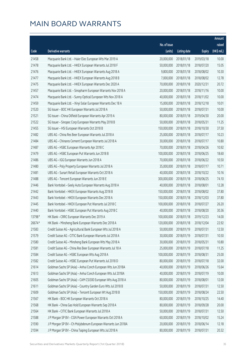|        |                                                              |                        |                     |               | Amount      |
|--------|--------------------------------------------------------------|------------------------|---------------------|---------------|-------------|
|        |                                                              | No. of issue           |                     |               | raised      |
| Code   | Derivative warrants                                          | (units)                | <b>Listing date</b> | <b>Expiry</b> | (HK\$ mil.) |
| 21458  | Macquarie Bank Ltd. - Haier Elec European Wts Mar 2019 A     | 20,000,000             | 2018/01/18          | 2019/03/18    | 10.00       |
| 21478  | Macquarie Bank Ltd. - HKEX European Warrants Jul 2018 F      | 50,000,000             | 2018/01/18          | 2018/07/20    | 15.05       |
| 21476  | Macquarie Bank Ltd. - HKEX European Warrants Aug 2018 A      | 9,800,000              | 2018/01/18          | 2018/08/02    | 10.30       |
| 21477  | Macquarie Bank Ltd. - HKEX European Warrants Aug 2018 B      | 7,000,000              | 2018/01/18          | 2018/08/02    | 12.78       |
| 21475  | Macquarie Bank Ltd. - HKEX European Warrants Dec 2020 A      | 70,000,000             | 2018/01/18          | 2020/12/31    | 20.72       |
| 21457  | Macquarie Bank Ltd. - Sinopharm European Warrants Nov 2018 A | 20,000,000             | 2018/01/18          | 2018/11/16    | 10.00       |
| 21474  | Macquarie Bank Ltd. - Sunny Optical European Wts Nov 2018 A  | 40,000,000             | 2018/01/18          | 2018/11/02    | 10.00       |
| 21459  | Macquarie Bank Ltd. - Xinyi Solar European Warrants Dec 18 A | 15,000,000             | 2018/01/18          | 2018/12/18    | 10.01       |
| 21520  | SG Issuer - BOC HK European Warrants Jul 2018 A              | 50,000,000             | 2018/01/18          | 2018/07/31    | 10.00       |
| 21521  | SG Issuer - China Oilfield European Warrants Apr 2019 A      | 80,000,000             | 2018/01/18          | 2019/04/30    | 20.00       |
| 21522  | SG Issuer - Sinopec Corp European Warrants May 2018 B        | 50,000,000             | 2018/01/18          | 2018/05/31    | 11.25       |
| 21455  | SG Issuer - HSI European Warrants Oct 2018 B                 | 150,000,000            | 2018/01/18          | 2018/10/30    | 37.50       |
| 21482  | UBS AG - China Res Beer European Warrants Jul 2018 A         | 25,000,000             | 2018/01/18          | 2018/07/17    | 10.23       |
| 21484  | UBS AG - Chinares Cement European Warrants Jul 2018 A        | 30,000,000             | 2018/01/18          | 2018/07/17    | 10.80       |
| 21487  | UBS AG - HSBC European Warrants Apr 2018 C                   | 70,000,000             | 2018/01/18          | 2018/04/26    | 10.92       |
| 21479  | UBS AG - HSBC European Put Warrants Jun 2018 B               | 100,000,000            | 2018/01/18          | 2018/06/25    | 18.60       |
| 21486  | UBS AG - IGG European Warrants Jun 2018 A                    | 70,000,000             | 2018/01/18          | 2018/06/22    | 10.50       |
| 21480  | UBS AG - Poly Property European Warrants Jul 2018 A          | 35,000,000             | 2018/01/18          | 2018/07/17    | 10.71       |
| 21481  | UBS AG - Sunart Retail European Warrants Oct 2018 A          | 40,000,000             | 2018/01/18          | 2018/10/22    | 10.16       |
| 21488  | UBS AG - Tencent European Warrants Jun 2018 E                | 300,000,000            | 2018/01/18          | 2018/06/25    | 74.10       |
| 21446  | Bank Vontobel - Geely Auto European Warrants Aug 2018 A      | 40,000,000             | 2018/01/18          | 2018/08/01    | 12.28       |
| 21442  | Bank Vontobel - HKEX European Warrants Aug 2018 B            | 150,000,000            | 2018/01/18          | 2018/08/02    | 37.80       |
| 21443  | Bank Vontobel - HKEX European Warrants Dec 2018 A            | 150,000,000            | 2018/01/18          | 2018/12/03    | 37.80       |
| 21445  | Bank Vontobel - HKEX European Put Warrants Jul 2018 C        | 100,000,000            | 2018/01/18          | 2018/07/27    | 26.20       |
| 21440  | Bank Vontobel - HSBC European Put Warrants Aug 2018 C        | 40,000,000             | 2018/01/18          | 2018/08/20    | 30.36       |
| 13798# | HK Bank - CRRC European Warrants Dec 2019 A                  | 100,000,000            | 2018/01/18          | 2019/12/23    | 14.00       |
| 26674# | HK Bank - Minsheng Bank European Warrants Dec 2018 A         | 120,000,000 2018/01/18 |                     | 2018/12/04    | 22.92       |
| 21583  | Credit Suisse AG - Agricultural Bank European Wts Jul 2018 A | 50,000,000             | 2018/01/19          | 2018/07/31    | 12.50       |
| 21579  | Credit Suisse AG - CITIC Bank European Warrants Jul 2018 A   | 30,000,000             | 2018/01/19          | 2018/07/31    | 10.50       |
| 21580  | Credit Suisse AG - Minsheng Bank European Wts May 2018 A     | 30,000,000             | 2018/01/19          | 2018/05/31    | 10.80       |
| 21581  | Credit Suisse AG - China Res Beer European Warrants Jul 18 A | 25,000,000             | 2018/01/19          | 2018/07/18    | 11.25       |
| 21584  | Credit Suisse AG - HSBC European Wts Aug 2018 A              | 100,000,000            | 2018/01/19          | 2018/08/31    | 25.00       |
| 21582  | Credit Suisse AG - HSBC European Put Warrants Jul 2018 D     | 80,000,000             | 2018/01/19          | 2018/07/18    | 32.00       |
| 21614  | Goldman Sachs SP (Asia) - Anhui Conch European Wts Jun 2018A | 40,000,000             | 2018/01/19          | 2018/06/26    | 15.64       |
| 21613  | Goldman Sachs SP (Asia) - Anhui Conch European Wts Jul 2018A | 40,000,000             | 2018/01/19          | 2018/07/19    | 10.00       |
| 21605  | Goldman Sachs SP (Asia) - CAM CSI300 European Wts Aug 2018 A | 80,000,000             | 2018/01/19          | 2018/08/01    | 12.00       |
| 21611  | Goldman Sachs SP (Asia) - Country Garden Euro Wts Jul 2018 B | 50,000,000             | 2018/01/19          | 2018/07/31    | 12.50       |
| 21609  | Goldman Sachs SP (Asia) - Tencent European Wt Aug 2018 B     | 150,000,000            | 2018/01/19          | 2018/08/24    | 22.50       |
| 21567  | HK Bank - BOC HK European Warrants Oct 2018 A                | 80,000,000             | 2018/01/19          | 2018/10/25    | 14.40       |
| 21568  | HK Bank - China Gas Hold European Warrants Sep 2018 A        | 80,000,000             | 2018/01/19          | 2018/09/28    | 20.00       |
| 21564  | HK Bank - CITIC Bank European Warrants Jul 2018 A            | 50,000,000             | 2018/01/19          | 2018/07/31    | 12.50       |
| 21588  | J P Morgan SP BV - CGN Power European Warrants Oct 2018 A    | 60,000,000             | 2018/01/19          | 2018/10/02    | 15.24       |
| 21590  | J P Morgan SP BV - Ch Molybdenum European Warrants Jun 2018A | 20,000,000             | 2018/01/19          | 2018/06/14    | 12.18       |
| 21594  | J P Morgan SP BV - China Taiping European Wts Jul 2018 A     | 80,000,000             | 2018/01/19          | 2018/07/31    | 20.32       |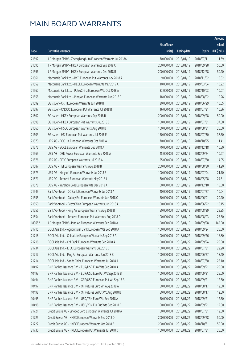|        |                                                              |                        |                     |               | Amount      |
|--------|--------------------------------------------------------------|------------------------|---------------------|---------------|-------------|
|        |                                                              | No. of issue           |                     |               | raised      |
| Code   | Derivative warrants                                          | (units)                | <b>Listing date</b> | <b>Expiry</b> | (HK\$ mil.) |
| 21592  | J P Morgan SP BV - ZhengTongAuto European Warrants Jul 2018A | 70,000,000             | 2018/01/19          | 2018/07/11    | 11.69       |
| 21595  | J P Morgan SP BV - HKEX European Warrants Sep 2018 C         | 200,000,000            | 2018/01/19          | 2018/09/28    | 50.00       |
| 21596  | J P Morgan SP BV - HKEX European Warrants Dec 2018 B         | 200,000,000            | 2018/01/19          | 2018/12/28    | 50.20       |
| 21561  | Macquarie Bank Ltd. - BYD European Put Warrants Nov 2018 A   | 9,000,000              | 2018/01/19          | 2018/11/02    | 10.02       |
| 21559  | Macquarie Bank Ltd. - KECL European Warrants Mar 2019 A      | 10,000,000             | 2018/01/19          | 2019/03/04    | 10.22       |
| 21562  | Macquarie Bank Ltd. - PetroChina European Wts Oct 2018 A     | 33,000,000             | 2018/01/19          | 2018/10/03    | 10.07       |
| 21558  | Macquarie Bank Ltd. - Ping An European Warrants Aug 2018 F   | 18,000,000             | 2018/01/19          | 2018/08/02    | 10.26       |
| 21599  | SG Issuer - CKH European Warrants Jun 2018 B                 | 30,000,000             | 2018/01/19          | 2018/06/29    | 10.05       |
| 21597  | SG Issuer - CNOOC European Put Warrants Jul 2018 B           | 16,000,000             | 2018/01/19          | 2018/07/31    | 10.56       |
| 21602  | SG Issuer - HKEX European Warrants Sep 2018 B                | 200,000,000            | 2018/01/19          | 2018/09/28    | 50.00       |
| 21598  | SG Issuer - HKEX European Put Warrants Jul 2018 E            | 150,000,000            | 2018/01/19          | 2018/07/31    | 37.50       |
| 21560  | SG Issuer - HSBC European Warrants Aug 2018 B                | 100,000,000            | 2018/01/19          | 2018/08/31    | 25.00       |
| 21603  | SG Issuer - HSI European Put Warrants Jul 2018 E             | 150,000,000            | 2018/01/19          | 2018/07/30    | 37.50       |
| 21570  | UBS AG - BOC HK European Warrants Oct 2018 A                 | 70,000,000             | 2018/01/19          | 2018/10/25    | 11.41       |
| 21575  | UBS AG - BOCL European Warrants Dec 2018 A                   | 70,000,000             | 2018/01/19          | 2018/12/18    | 10.50       |
| 21569  | UBS AG - CGN Power European Warrants Sep 2018 A              | 45,000,000             | 2018/01/19          | 2018/09/24    | 10.67       |
| 21576  | UBS AG - CITIC European Warrants Jul 2018 A                  | 25,000,000             | 2018/01/19          | 2018/07/30    | 14.05       |
| 21587  | UBS AG - HSI European Warrants Aug 2018 B                    | 200,000,000            | 2018/01/19          | 2018/08/30    | 41.20       |
| 21573  | UBS AG - Kingsoft European Warrants Jul 2018 B               | 100,000,000            | 2018/01/19          | 2018/07/04    | 21.70       |
| 21571  | UBS AG - Tencent European Warrants May 2018 J                | 30,000,000             | 2018/01/19          | 2018/05/28    | 24.81       |
| 21578  | UBS AG - Yanzhou Coal European Wts Dec 2018 A                | 60,000,000             | 2018/01/19          | 2018/12/10    | 15.00       |
| 21549  | Bank Vontobel - CC Bank European Warrants Jul 2018 A         | 40,000,000             | 2018/01/19          | 2018/07/27    | 10.04       |
| 21555  | Bank Vontobel - Galaxy Ent European Warrants Jun 2018 C      | 50,000,000             | 2018/01/19          | 2018/06/01    | 20.20       |
| 21550  | Bank Vontobel - PetroChina European Warrants Jun 2018 A      | 50,000,000             | 2018/01/19          | 2018/06/22    | 10.15       |
| 21556  | Bank Vontobel - Ping An European Warrants Aug 2018 B         | 50,000,000             | 2018/01/19          | 2018/08/29    | 29.85       |
| 21554  | Bank Vontobel - Tencent European Put Warrants Aug 2018 D     | 100,000,000            | 2018/01/19          | 2018/08/03    | 25.30       |
| 18965# | J P Morgan SP BV – Ping An European Warrants Sep 2018 A      | 100,000,000 2018/01/19 |                     | 2018/09/28    | 142.00      |
| 21715  | BOCI Asia Ltd. - Agricultural Bank European Wts Sep 2018 A   | 100,000,000            | 2018/01/22          | 2018/09/24    | 25.00       |
| 21718  | BOCI Asia Ltd. - China Life European Warrants Sep 2018 A     | 100,000,000            | 2018/01/22          | 2018/09/26    | 16.80       |
| 21716  | BOCI Asia Ltd. - CM Bank European Warrants Sep 2018 A        | 100,000,000            | 2018/01/22          | 2018/09/24    | 25.00       |
| 21734  | BOCI Asia Ltd. - ICBC European Warrants Jul 2018 C           | 100,000,000            | 2018/01/22          | 2018/07/31    | 22.20       |
| 21717  | BOCI Asia Ltd. - Ping An European Warrants Jun 2018 B        | 100,000,000            | 2018/01/22          | 2018/06/27    | 18.40       |
| 21714  | BOCI Asia Ltd. - Sands China European Warrants Jul 2018 A    | 100,000,000            | 2018/01/22          | 2018/07/30    | 25.10       |
| 10492  | BNP Paribas Issuance B.V. - EUR/USD Euro Wts Sep 2018 A      | 100,000,000            | 2018/01/22          | 2018/09/21    | 25.00       |
| 10493  | BNP Paribas Issuance B.V. - EUR/USD Euro Put Wt Sep 2018 B   | 100,000,000            | 2018/01/22          | 2018/09/21    | 25.00       |
| 10494  | BNP Paribas Issuance B.V. - GBP/USD European Put Wt Sep 18 A | 50,000,000             | 2018/01/22          | 2018/09/21    | 12.50       |
| 10497  | BNP Paribas Issuance B.V. - Oil Futures Euro Wt Aug 2018 A   | 50,000,000             | 2018/01/22          | 2018/08/17    | 12.50       |
| 10498  | BNP Paribas Issuance B.V. - Oil Futures Eu Put Wt Aug 2018 B | 50,000,000             | 2018/01/22          | 2018/08/17    | 12.50       |
| 10495  | BNP Paribas Issuance B.V. - USD/YEN Euro Wts Sep 2018 A      | 50,000,000             | 2018/01/22          | 2018/09/21    | 12.50       |
| 10496  | BNP Paribas Issuance B.V. - USD/YEN Eur Put Wts Sep 2018 B   | 50,000,000             | 2018/01/22          | 2018/09/21    | 12.50       |
| 21721  | Credit Suisse AG - Sinopec Corp European Warrants Jul 2018 A | 50,000,000             | 2018/01/22          | 2018/07/31    | 12.50       |
| 21725  | Credit Suisse AG - HKEX European Warrants Sep 2018 D         | 200,000,000            | 2018/01/22          | 2018/09/28    | 50.00       |
| 21727  | Credit Suisse AG - HKEX European Warrants Oct 2018 B         | 200,000,000            | 2018/01/22          | 2018/10/31    | 50.00       |
| 21730  | Credit Suisse AG - HKEX European Put Warrants Jul 2018 D     | 100,000,000            | 2018/01/22          | 2018/07/31    | 25.00       |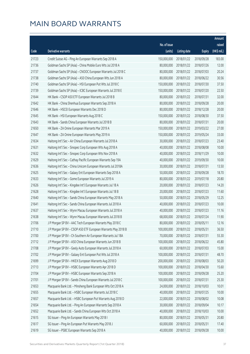|       |                                                              |              |                       |               | Amount      |
|-------|--------------------------------------------------------------|--------------|-----------------------|---------------|-------------|
|       |                                                              | No. of issue |                       |               | raised      |
| Code  | Derivative warrants                                          | (units)      | <b>Listing date</b>   | <b>Expiry</b> | (HK\$ mil.) |
| 21723 | Credit Suisse AG - Ping An European Warrants Sep 2018 A      | 150,000,000  | 2018/01/22            | 2018/09/28    | 183.00      |
| 21736 | Goldman Sachs SP (Asia) - China Mobile Euro Wts Jul 2018 A   | 80,000,000   | 2018/01/22            | 2018/07/26    | 12.00       |
| 21737 | Goldman Sachs SP (Asia) - CNOOC European Warrants Jul 2018 C | 80,000,000   | 2018/01/22            | 2018/07/03    | 20.24       |
| 21738 | Goldman Sachs SP (Asia) - A50 China European Wts Jun 2018 A  | 80,000,000   | 2018/01/22            | 2018/06/22    | 30.56       |
| 21740 | Goldman Sachs SP (Asia) - HSI European Put Wts Jul 2018 C    | 150,000,000  | 2018/01/22            | 2018/07/30    | 37.50       |
| 21739 | Goldman Sachs SP (Asia) - ICBC European Warrants Jul 2018 E  | 150,000,000  | 2018/01/22            | 2018/07/20    | 22.50       |
| 21644 | HK Bank - CSOP A50 ETF European Warrants Jul 2018 B          | 80,000,000   | 2018/01/22            | 2018/07/31    | 32.00       |
| 21642 | HK Bank - China Shenhua European Warrants Sep 2018 A         | 80,000,000   | 2018/01/22            | 2018/09/28    | 20.00       |
| 21646 | HK Bank - HSCEI European Warrants Dec 2018 D                 | 80,000,000   | 2018/01/22            | 2018/12/28    | 20.00       |
| 21645 | HK Bank - HSI European Warrants Aug 2018 C                   | 150,000,000  | 2018/01/22            | 2018/08/30    | 37.50       |
| 21643 | HK Bank - Sands China European Warrants Jul 2018 B           | 80,000,000   | 2018/01/22            | 2018/07/31    | 20.00       |
| 21650 | HK Bank - ZA Onine European Warrants Mar 2019 A              | 150,000,000  | 2018/01/22            | 2019/03/22    | 27.00       |
| 21647 | HK Bank - ZA Onine European Warrants May 2019 A              | 150,000,000  | 2018/01/22            | 2019/05/24    | 33.00       |
| 21634 | Haitong Int'l Sec - Air China European Warrants Jul 2018 A   | 30,000,000   | 2018/01/22            | 2018/07/23    | 23.40       |
| 21631 | Haitong Int'l Sec - Sinopec Corp European Wts Aug 2018 A     | 40,000,000   | 2018/01/22            | 2018/08/08    | 10.00       |
| 21632 | Haitong Int'l Sec - Sinopec Corp European Wts Nov 2018 A     | 40,000,000   | 2018/01/22            | 2018/11/29    | 10.00       |
| 21629 | Haitong Int'l Sec - Cathay Pacific European Warrants Sep 19A | 40,000,000   | 2018/01/22            | 2019/09/30    | 10.00       |
| 21636 | Haitong Int'l Sec - China Unicom European Warrants Jul 2018A | 30,000,000   | 2018/01/22            | 2018/07/31    | 13.50       |
| 21625 | Haitong Int'l Sec - Galaxy Ent European Warrants Sep 2018 A  | 50,000,000   | 2018/01/22            | 2018/09/28    | 18.70       |
| 21633 | Haitong Int'l Sec - Gome European Warrants Jul 2019 A        | 80,000,000   | 2018/01/22            | 2019/07/18    | 20.80       |
| 21626 | Haitong Int'l Sec - Kingdee Int'l European Warrants Jul 18 A | 20,000,000   | 2018/01/22            | 2018/07/23    | 14.20       |
| 21628 | Haitong Int'l Sec - Kingdee Int'l European Warrants Jul 18 B | 20,000,000   | 2018/01/22            | 2018/07/23    | 11.60       |
| 21640 | Haitong Int'l Sec - Sands China European Warrants May 2018 A | 50,000,000   | 2018/01/22            | 2018/05/29    | 12.25       |
| 21641 | Haitong Int'l Sec - Sands China European Warrants Jul 2018 A | 40,000,000   | 2018/01/22            | 2018/07/23    | 10.00       |
| 21637 | Haitong Int'l Sec - Wynn Macau European Warrants Jul 2018 A  | 40,000,000   | 2018/01/22            | 2018/07/23    | 11.16       |
| 21638 | Haitong Int'l Sec - Wynn Macau European Warrants Jul 2018 B  | 68,000,000   | 2018/01/22            | 2018/07/24    | 11.90       |
| 21706 | J P Morgan SP BV - AAC Tech European Warrants May 2018 C     |              | 80,000,000 2018/01/22 | 2018/05/11    | 12.16       |
| 21710 | J P Morgan SP BV - CSOP A50 ETF European Warrants May 2018 B | 100,000,000  | 2018/01/22            | 2018/05/31    | 36.50       |
| 21700 | J P Morgan SP BV - Ch Southern Air European Warrants Jul 18A | 70,000,000   | 2018/01/22            | 2018/07/31    | 55.30       |
| 21712 | J P Morgan SP BV - A50 China European Warrants Jun 2018 B    | 100,000,000  | 2018/01/22            | 2018/06/22    | 45.80       |
| 21708 | J P Morgan SP BV - Geely Auto European Warrants Jul 2018 A   | 60,000,000   | 2018/01/22            | 2018/07/03    | 15.00       |
| 21702 | J P Morgan SP BV - Galaxy Ent European Put Wts Jul 2018 A    | 100,000,000  | 2018/01/22            | 2018/07/31    | 48.70       |
| 21699 | J P Morgan SP BV - HKEX European Warrants Aug 2018 D         | 200,000,000  | 2018/01/22            | 2018/08/03    | 50.20       |
| 21713 | J P Morgan SP BV - HSBC European Warrants Apr 2018 D         | 100,000,000  | 2018/01/22            | 2018/04/30    | 15.60       |
| 21704 | J P Morgan SP BV - HSBC European Warrants Sep 2018 A         | 100,000,000  | 2018/01/22            | 2018/09/28    | 25.20       |
| 21701 | J P Morgan SP BV - Sands China European Warrants Jul 2018 C  | 100,000,000  | 2018/01/22            | 2018/07/31    | 25.30       |
| 21653 | Macquarie Bank Ltd. - Minsheng Bank European Wts Oct 2018 A  | 24,000,000   | 2018/01/22            | 2018/10/03    | 10.01       |
| 21655 | Macquarie Bank Ltd. - HSBC European Warrants Jul 2018 C      | 40,000,000   | 2018/01/22            | 2018/07/25    | 10.00       |
| 21657 | Macquarie Bank Ltd. - HSBC European Put Warrants Aug 2018 D  | 22,000,000   | 2018/01/22            | 2018/08/02    | 10.08       |
| 21654 | Macquarie Bank Ltd. - Ping An European Warrants Sep 2018 A   | 30,000,000   | 2018/01/22            | 2018/09/04    | 10.17       |
| 21652 | Macquarie Bank Ltd. - Sands China European Wts Oct 2018 A    | 40,000,000   | 2018/01/22            | 2018/10/03    | 10.00       |
| 21615 | SG Issuer - Ping An European Warrants May 2018 I             | 80,000,000   | 2018/01/22            | 2018/05/31    | 20.80       |
| 21617 | SG Issuer - Ping An European Put Warrants May 2018 J         | 60,000,000   | 2018/01/22            | 2018/05/31    | 17.40       |
| 21619 | SG Issuer - PSBC European Warrants Sep 2018 A                | 40,000,000   | 2018/01/22            | 2018/09/28    | 10.00       |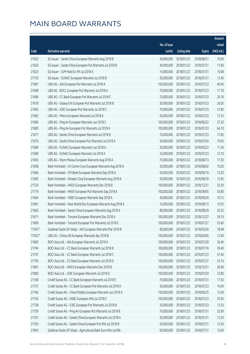|        |                                                              |                        |                     |               | Amount      |
|--------|--------------------------------------------------------------|------------------------|---------------------|---------------|-------------|
|        |                                                              | No. of issue           |                     |               | raised      |
| Code   | Derivative warrants                                          | (units)                | <b>Listing date</b> | <b>Expiry</b> | (HK\$ mil.) |
| 21622  | SG Issuer - Sands China European Warrants Aug 2018 B         | 40,000,000             | 2018/01/22          | 2018/08/31    | 10.00       |
| 21620  | SG Issuer - Sands China European Put Warrants Jul 2018 B     | 40,000,000             | 2018/01/22          | 2018/07/31    | 11.80       |
| 21623  | SG Issuer - SJM Hold Eu Wt Jul 2018 A                        | 14,000,000             | 2018/01/22          | 2018/07/31    | 10.08       |
| 21735  | SG Issuer - SUNAC European Warrants Jul 2018 B               | 20,000,000             | 2018/01/22          | 2018/07/31    | 13.40       |
| 21687  | UBS AG - AIA European Put Warrants Jul 2018 A                | 100,000,000            | 2018/01/22          | 2018/07/23    | 40.40       |
| 21698  | UBS AG - BOCL European Put Warrants Jul 2018 A               | 70,000,000             | 2018/01/22          | 2018/07/23    | 17.78       |
| 21686  | UBS AG - CC Bank European Put Warrants Jul 2018 C            | 70,000,000             | 2018/01/22          | 2018/07/23    | 26.18       |
| 21678  | UBS AG - Galaxy Ent European Put Warrants Jul 2018 B         | 50,000,000             | 2018/01/22          | 2018/07/23    | 26.05       |
| 21692  | UBS AG - ICBC European Put Warrants Jul 2018 C               | 70,000,000             | 2018/01/22          | 2018/07/23    | 31.85       |
| 21683  | UBS AG - Melco European Warrants Jul 2018 A                  | 50,000,000             | 2018/01/22          | 2018/07/23    | 13.35       |
| 21684  | UBS AG - Ping An European Warrants Jun 2018 C                | 100,000,000            | 2018/01/22          | 2018/06/22    | 27.20       |
| 21685  | UBS AG - Ping An European Put Warrants Jul 2018 A            | 100,000,000            | 2018/01/22          | 2018/07/23    | 64.10       |
| 21677  | UBS AG - Sands China European Warrants Jul 2018 B            | 70,000,000             | 2018/01/22          | 2018/07/23    | 17.85       |
| 21676  | UBS AG - Sands China European Put Warrants Jul 2018 A        | 50,000,000             | 2018/01/22          | 2018/07/03    | 10.65       |
| 21689  | UBS AG - SUNAC European Warrants Jun 2018 A                  | 20,000,000             | 2018/01/22          | 2018/06/22    | 11.26       |
| 21690  | UBS AG - SUNAC European Warrants Jul 2018 A                  | 25,000,000             | 2018/01/22          | 2018/07/23    | 12.10       |
| 21693  | UBS AG - Wynn Macau European Warrants Aug 2018 A             | 70,000,000             | 2018/01/22          | 2018/08/13    | 17.50       |
| 21658  | Bank Vontobel - Ch Comm Cons European Warrants Aug 2018 A    | 20,000,000             | 2018/01/22          | 2018/08/02    | 10.20       |
| 21666  | Bank Vontobel - CM Bank European Warrants Sep 2018 A         | 50,000,000             | 2018/01/22          | 2018/09/10    | 13.20       |
| 21665  | Bank Vontobel - Sinopec Corp European Warrants Aug 2018 A    | 50,000,000             | 2018/01/22          | 2018/08/29    | 12.65       |
| 21720  | Bank Vontobel - HKEX European Warrants Dec 2018 B            | 100,000,000            | 2018/01/22          | 2018/12/31    | 25.30       |
| 21719  | Bank Vontobel - HKEX European Put Warrants Sep 2018 A        | 100,000,000            | 2018/01/22          | 2018/09/05    | 55.80       |
| 21664  | Bank Vontobel - HSBC European Warrants Sep 2018 A            | 40,000,000             | 2018/01/22          | 2018/09/26    | 10.12       |
| 21661  | Bank Vontobel - New World Dev European Warrants Aug 2018 A   | 15,000,000             | 2018/01/22          | 2018/08/13    | 10.35       |
| 21663  | Bank Vontobel - Sands China European Warrants Aug 2018 A     | 80,000,000             | 2018/01/22          | 2018/08/29    | 20.32       |
| 21671  | Bank Vontobel - Tencent European Warrants Dec 2018 A         | 100,000,000            | 2018/01/22          | 2018/12/27    | 34.10       |
| 21669  | Bank Vontobel - Tencent European Put Warrants Jul 2018 C     | 100,000,000 2018/01/22 |                     | 2018/07/27    | 53.60       |
| 17593# | Goldman Sachs SP (Asia) - AIA European Warrants Mar 2018 B   | 80,000,000             | 2018/01/22          | 2018/03/26    | 18.48       |
| 17922# | UBS AG - China Life European Warrants Apr 2018 B             | 100,000,000            | 2018/01/22          | 2018/04/06    | 12.90       |
| 21802  | BOCI Asia Ltd. - AIA European Warrants Jul 2018 A            | 100,000,000            | 2018/01/23          | 2018/07/30    | 26.40       |
| 21794  | BOCI Asia Ltd. - CC Bank European Warrants Jul 2018 B        | 100,000,000            | 2018/01/23          | 2018/07/16    | 39.40       |
| 21797  | BOCI Asia Ltd. - CC Bank European Warrants Jul 2018 C        | 100,000,000            | 2018/01/23          | 2018/07/23    | 47.40       |
| 21799  | BOCI Asia Ltd. - CC Bank European Warrants Jul 2018 D        | 100,000,000            | 2018/01/23          | 2018/07/27    | 25.10       |
| 21801  | BOCI Asia Ltd. - HKEX European Warrants Dec 2018 B           | 100,000,000            | 2018/01/23          | 2018/12/31    | 26.90       |
| 21800  | BOCI Asia Ltd. - ICBC European Warrants Jul 2018 D           | 100,000,000            | 2018/01/23          | 2018/07/24    | 33.80       |
| 21768  | Credit Suisse AG - CC Bank European Warrants Jul 2018 E      | 70,000,000             | 2018/01/23          | 2018/07/31    | 17.50       |
| 21757  | Credit Suisse AG - CC Bank European Put Warrants Jul 2018 D  | 50,000,000             | 2018/01/23          | 2018/07/23    | 14.00       |
| 21766  | Credit Suisse AG - China Mobile European Warrants Jun 2018 A | 100,000,000            | 2018/01/23          | 2018/06/25    | 15.00       |
| 21763  | Credit Suisse AG - HSBC European Wts Jul 2018 E              | 100,000,000            | 2018/01/23          | 2018/07/23    | 25.00       |
| 21758  | Credit Suisse AG - ICBC European Put Warrants Jul 2018 B     | 50,000,000             | 2018/01/23          | 2018/07/23    | 12.50       |
| 21759  | Credit Suisse AG - Ping An European Put Warrants Jul 2018 B  | 70,000,000             | 2018/01/23          | 2018/07/31    | 32.90       |
| 21761  | Credit Suisse AG - Sands China European Warrants Jul 2018 A  | 50,000,000             | 2018/01/23          | 2018/07/31    | 12.50       |
| 21762  | Credit Suisse AG - Sands China European Put Wts Jul 2018 B   | 50,000,000             | 2018/01/23          | 2018/07/31    | 12.50       |
| 21843  | Goldman Sachs SP (Asia) - Agricultural Bank Euro Wts Jul18A  | 60,000,000             | 2018/01/23          | 2018/07/31    | 15.00       |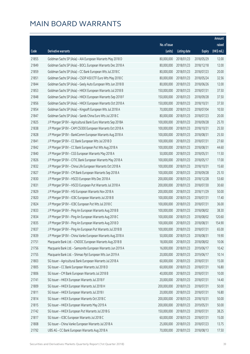|       |                                                              |                        |                     |               | Amount      |
|-------|--------------------------------------------------------------|------------------------|---------------------|---------------|-------------|
|       |                                                              | No. of issue           |                     |               | raised      |
| Code  | Derivative warrants                                          | (units)                | <b>Listing date</b> | <b>Expiry</b> | (HK\$ mil.) |
| 21855 | Goldman Sachs SP (Asia) - AIA European Warrants May 2018 D   | 80,000,000             | 2018/01/23          | 2018/05/29    | 12.00       |
| 21849 | Goldman Sachs SP (Asia) - BOCL European Warrants Dec 2018 A  | 80,000,000             | 2018/01/23          | 2018/12/18    | 12.00       |
| 21859 | Goldman Sachs SP (Asia) - CC Bank European Wts Jul 2018 C    | 80,000,000             | 2018/01/23          | 2018/07/23    | 20.00       |
| 21851 | Goldman Sachs SP (Asia) - CSOP A50 ETF Euro Wts May 2018 C   | 80,000,000             | 2018/01/23          | 2018/05/24    | 32.56       |
| 21844 | Goldman Sachs SP (Asia) - Geely Auto European Wts Jun 2018 B | 80,000,000             | 2018/01/23          | 2018/06/26    | 12.00       |
| 21853 | Goldman Sachs SP (Asia) - HKEX European Warrants Jul 2018 B  | 150,000,000            | 2018/01/23          | 2018/07/31    | 37.50       |
| 21848 | Goldman Sachs SP (Asia) - HKEX European Warrants Sep 2018 F  | 150,000,000            | 2018/01/23          | 2018/09/28    | 37.50       |
| 21856 | Goldman Sachs SP (Asia) - HKEX European Warrants Oct 2018 A  | 150,000,000            | 2018/01/23          | 2018/10/31    | 37.50       |
| 21854 | Goldman Sachs SP (Asia) - Kingsoft European Wts Jul 2018 A   | 70,000,000             | 2018/01/23          | 2018/07/04    | 10.50       |
| 21847 | Goldman Sachs SP (Asia) - Sands China Euro Wts Jul 2018 C    | 80,000,000             | 2018/01/23          | 2018/07/23    | 20.00       |
| 21825 | J P Morgan SP BV - Agricultural Bank Euro Warrants Sep 2018A | 100,000,000            | 2018/01/23          | 2018/09/28    | 25.70       |
| 21838 | J P Morgan SP BV - CAM CSI300 European Warrants Oct 2018 A   | 100,000,000            | 2018/01/23          | 2018/10/31    | 25.50       |
| 21828 | J P Morgan SP BV - BankComm European Warrants Aug 2018 A     | 100,000,000            | 2018/01/23          | 2018/08/31    | 25.50       |
| 21841 | J P Morgan SP BV - CC Bank European Wts Jul 2018 D           | 100,000,000            | 2018/01/23          | 2018/07/31    | 27.60       |
| 21842 | J P Morgan SP BV - CC Bank European Put Wts Aug 2018 A       | 100,000,000            | 2018/01/23          | 2018/08/31    | 44.60       |
| 21840 | J P Morgan SP BV - CGS European Warrants May 2018 A          | 50,000,000             | 2018/01/23          | 2018/05/31    | 11.50       |
| 21826 | J P Morgan SP BV - CITIC Bank European Warrants May 2018 A   | 100,000,000            | 2018/01/23          | 2018/05/17    | 17.00       |
| 21832 | J P Morgan SP BV - China Life European Warrants Oct 2018 A   | 100,000,000            | 2018/01/23          | 2018/10/31    | 15.60       |
| 21827 | J P Morgan SP BV - CM Bank European Warrants Sep 2018 A      | 100,000,000            | 2018/01/23          | 2018/09/28    | 25.10       |
| 21830 | J P Morgan SP BV - HSCEI European Wts Dec 2018 A             | 200,000,000            | 2018/01/23          | 2018/12/28    | 53.60       |
| 21831 | J P Morgan SP BV - HSCEI European Put Warrants Jul 2018 A    | 200,000,000            | 2018/01/23          | 2018/07/30    | 30.60       |
| 21829 | J P Morgan SP BV - HSI European Warrants Nov 2018 A          | 200,000,000            | 2018/01/23          | 2018/11/29    | 50.00       |
| 21820 | J P Morgan SP BV - ICBC European Warrants Jul 2018 B         | 100,000,000            | 2018/01/23          | 2018/07/31    | 17.40       |
| 21824 | J P Morgan SP BV - ICBC European Put Wts Jul 2018 C          | 100,000,000            | 2018/01/23          | 2018/07/31    | 36.00       |
| 21833 | J P Morgan SP BV - Ping An European Warrants Aug 2018 B      | 100,000,000            | 2018/01/23          | 2018/08/02    | 38.30       |
| 21834 | J P Morgan SP BV - Ping An European Warrants Aug 2018 C      | 100,000,000            | 2018/01/23          | 2018/08/02    | 120.60      |
| 21835 | J P Morgan SP BV - Ping An European Warrants Aug 2018 D      | 100,000,000 2018/01/23 |                     | 2018/08/31    | 154.90      |
| 21837 | J P Morgan SP BV - Ping An European Put Warrants Jul 2018 B  | 100,000,000            | 2018/01/23          | 2018/07/31    | 65.00       |
| 21839 | J P Morgan SP BV - China Vanke European Warrants Aug 2018 A  | 50,000,000             | 2018/01/23          | 2018/08/31    | 19.90       |
| 21751 | Macquarie Bank Ltd. - CNOOC European Warrants Aug 2018 B     | 18,000,000             | 2018/01/23          | 2018/08/02    | 10.06       |
| 21756 | Macquarie Bank Ltd. - Samsonite European Warrants Jun 2019 A | 16,000,000             | 2018/01/23          | 2019/06/17    | 10.42       |
| 21755 | Macquarie Bank Ltd. - Shimao Ppt European Wts Jun 2019 A     | 20,000,000             | 2018/01/23          | 2019/06/17    | 10.14       |
| 21803 | SG Issuer - Agricultural Bank European Warrants Jul 2018 A   | 60,000,000             | 2018/01/23          | 2018/07/31    | 15.00       |
| 21805 | SG Issuer - CC Bank European Warrants Jul 2018 D             | 60,000,000             | 2018/01/23          | 2018/07/31    | 16.80       |
| 21806 | SG Issuer - CM Bank European Warrants Jul 2018 B             | 40,000,000             | 2018/01/23          | 2018/07/31    | 10.00       |
| 21741 | SG Issuer - HKEX European Warrants Jul 2018 F                | 20,000,000             | 2018/01/23          | 2018/07/31    | 14.40       |
| 21809 | SG Issuer - HKEX European Warrants Jul 2018 H                | 200,000,000            | 2018/01/23          | 2018/07/31    | 50.00       |
| 21811 | SG Issuer - HKEX European Warrants Jul 2018 I                | 20,000,000             | 2018/01/23          | 2018/07/31    | 16.80       |
| 21814 | SG Issuer - HKEX European Warrants Oct 2018 C                | 200,000,000            | 2018/01/23          | 2018/10/31    | 50.00       |
| 21815 | SG Issuer - HKEX European Warrants May 2019 A                | 200,000,000            | 2018/01/23          | 2019/05/31    | 50.00       |
| 21742 | SG Issuer - HKEX European Put Warrants Jul 2018 G            | 150,000,000            | 2018/01/23          | 2018/07/31    | 38.25       |
| 21817 | SG Issuer - ICBC European Warrants Jul 2018 C                | 60,000,000             | 2018/01/23          | 2018/07/31    | 15.00       |
| 21808 | SG Issuer - China Vanke European Warrants Jul 2018 A         | 25,000,000             | 2018/01/23          | 2018/07/23    | 13.75       |
| 21792 | UBS AG - CC Bank European Warrants Aug 2018 A                | 70,000,000             | 2018/01/23          | 2018/08/13    | 17.50       |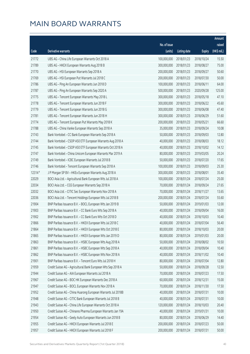|        |                                                              |              |                       |               | Amount      |
|--------|--------------------------------------------------------------|--------------|-----------------------|---------------|-------------|
|        |                                                              | No. of issue |                       |               | raised      |
| Code   | Derivative warrants                                          | (units)      | <b>Listing date</b>   | <b>Expiry</b> | (HK\$ mil.) |
| 21772  | UBS AG - China Life European Warrants Oct 2018 A             | 100,000,000  | 2018/01/23            | 2018/10/24    | 15.50       |
| 21789  | UBS AG - HKEX European Warrants Aug 2018 B                   | 300,000,000  | 2018/01/23            | 2018/08/27    | 75.00       |
| 21770  | UBS AG - HSI European Warrants Sep 2018 A                    | 200,000,000  | 2018/01/23            | 2018/09/27    | 50.60       |
| 21769  | UBS AG - HSI European Put Warrants Jul 2018 C                | 200,000,000  | 2018/01/23            | 2018/07/30    | 50.00       |
| 21786  | UBS AG - Ping An European Warrants Jun 2018 D                | 100,000,000  | 2018/01/23            | 2018/06/11    | 64.00       |
| 21787  | UBS AG - Ping An European Warrants Sep 2020 A                | 500,000,000  | 2018/01/23            | 2020/09/28    | 125.00      |
| 21775  | UBS AG - Tencent European Warrants May 2018 L                | 300,000,000  | 2018/01/23            | 2018/05/18    | 47.10       |
| 21778  | UBS AG - Tencent European Warrants Jun 2018 F                | 300,000,000  | 2018/01/23            | 2018/06/22    | 45.60       |
| 21779  | UBS AG - Tencent European Warrants Jun 2018 G                | 300,000,000  | 2018/01/23            | 2018/06/08    | 47.40       |
| 21781  | UBS AG - Tencent European Warrants Jun 2018 H                | 300,000,000  | 2018/01/23            | 2018/06/29    | 51.60       |
| 21774  | UBS AG - Tencent European Put Warrants May 2018 K            | 200,000,000  | 2018/01/23            | 2018/05/21    | 66.60       |
| 21788  | UBS AG - China Vanke European Warrants Sep 2018 A            | 35,000,000   | 2018/01/23            | 2018/09/24    | 10.08       |
| 21743  | Bank Vontobel - CC Bank European Warrants Sep 2018 A         | 50,000,000   | 2018/01/23            | 2018/09/03    | 12.80       |
| 21744  | Bank Vontobel - CSOP A50 ETF European Warrants Aug 2018 A    | 40,000,000   | 2018/01/23            | 2018/08/03    | 18.12       |
| 21745  | Bank Vontobel - CSOP A50 ETF European Warrants Oct 2018 A    | 40,000,000   | 2018/01/23            | 2018/10/02    | 14.12       |
| 21747  | Bank Vontobel - China Unicom European Warrants Mar 2019 A    | 80,000,000   | 2018/01/23            | 2019/03/05    | 20.24       |
| 21749  | Bank Vontobel - ICBC European Warrants Jul 2018 B            | 50,000,000   | 2018/01/23            | 2018/07/20    | 17.65       |
| 21746  | Bank Vontobel - Tencent European Warrants Sep 2018 A         | 100,000,000  | 2018/01/23            | 2018/09/03    | 25.30       |
| 12314# | J P Morgan SP BV - HKEx European Warrants Aug 2018 A         | 300,000,000  | 2018/01/23            | 2018/08/01    | 35.40       |
| 22029  | BOCI Asia Ltd. - Agricultural Bank European Wts Jul 2018 A   | 100,000,000  | 2018/01/24            | 2018/07/24    | 25.00       |
| 22034  | BOCI Asia Ltd. - CGS European Warrants Sep 2018 A            | 70,000,000   | 2018/01/24            | 2018/09/24    | 27.65       |
| 22032  | BOCI Asia Ltd. - CITIC Sec European Warrants Nov 2018 A      | 70,000,000   | 2018/01/24            | 2018/11/27    | 13.65       |
| 22036  | BOCI Asia Ltd. - Tencent Holdings European Wts Jul 2018 B    | 200,000,000  | 2018/01/24            | 2018/07/24    | 55.60       |
| 21904  | BNP Paribas Issuance B.V. - BOCL European Wts Jan 2019 B     | 50,000,000   | 2018/01/24            | 2019/01/03    | 12.00       |
| 21903  | BNP Paribas Issuance B.V. - CC Bank Euro Wts Sep 2018 A      | 40,000,000   | 2018/01/24            | 2018/09/04    | 16.00       |
| 21902  | BNP Paribas Issuance B.V. - CC Bank Euro Wts Oct 2018 D      | 40,000,000   | 2018/01/24            | 2018/10/03    | 10.40       |
| 21866  | BNP Paribas Issuance B.V. - HKEX European Wts Jul 2018 C     |              | 40,000,000 2018/01/24 | 2018/07/04    | 56.40       |
| 21864  | BNP Paribas Issuance B.V. - HKEX European Wts Oct 2018 E     | 80,000,000   | 2018/01/24            | 2018/10/03    | 20.00       |
| 21865  | BNP Paribas Issuance B.V. - HKEX European Wts Jan 2019 D     | 80,000,000   | 2018/01/24            | 2019/01/03    | 20.00       |
| 21863  | BNP Paribas Issuance B.V. - HSBC European Wts Aug 2018 A     | 50,000,000   | 2018/01/24            | 2018/08/02    | 10.50       |
| 21861  | BNP Paribas Issuance B.V. - HSBC European Wts Sep 2018 A     | 40,000,000   | 2018/01/24            | 2018/09/04    | 10.40       |
| 21862  | BNP Paribas Issuance B.V. - HSBC European Wts Nov 2018 A     | 40,000,000   | 2018/01/24            | 2018/11/02    | 10.40       |
| 21901  | BNP Paribas Issuance B.V. - Tencent Euro Wts Jul 2018 H      | 80,000,000   | 2018/01/24            | 2018/07/04    | 12.80       |
| 21959  | Credit Suisse AG - Agricultural Bank European Wts Sep 2018 A | 50,000,000   | 2018/01/24            | 2018/09/28    | 12.50       |
| 21944  | Credit Suisse AG - AIA European Warrants Jul 2018 A          | 70,000,000   | 2018/01/24            | 2018/07/23    | 17.50       |
| 21967  | Credit Suisse AG - BOC HK European Warrants Dec 2018 A       | 60,000,000   | 2018/01/24            | 2018/12/31    | 15.00       |
| 21947  | Credit Suisse AG - BOCL European Warrants Nov 2018 A         | 70,000,000   | 2018/01/24            | 2018/11/30    | 17.50       |
| 21952  | Credit Suisse AG - China Huarong European Warrants Jul 2018B | 40,000,000   | 2018/01/24            | 2018/07/31    | 10.00       |
| 21948  | Credit Suisse AG - CITIC Bank European Warrants Jul 2018 B   | 40,000,000   | 2018/01/24            | 2018/07/31    | 10.00       |
| 21943  | Credit Suisse AG - China Life European Warrants Oct 2018 A   | 120,000,000  | 2018/01/24            | 2018/10/03    | 20.40       |
| 21950  | Credit Suisse AG - Chinares Pharma European Warrants Jan 19A | 40,000,000   | 2018/01/24            | 2019/01/31    | 10.00       |
| 21954  | Credit Suisse AG - Geely Auto European Warrants Jun 2018 B   | 80,000,000   | 2018/01/24            | 2018/06/29    | 14.40       |
| 21955  | Credit Suisse AG - HKEX European Warrants Jul 2018 E         | 200,000,000  | 2018/01/24            | 2018/07/23    | 50.00       |
| 21957  | Credit Suisse AG - HKEX European Warrants Jul 2018 F         | 200,000,000  | 2018/01/24            | 2018/07/31    | 50.00       |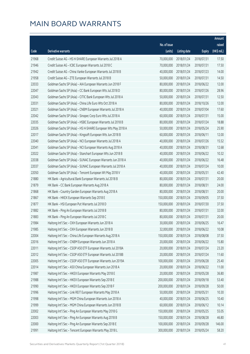|       |                                                              |              |                       |               | Amount      |
|-------|--------------------------------------------------------------|--------------|-----------------------|---------------|-------------|
|       |                                                              | No. of issue |                       |               | raised      |
| Code  | Derivative warrants                                          | (units)      | <b>Listing date</b>   | <b>Expiry</b> | (HK\$ mil.) |
| 21968 | Credit Suisse AG - HS H-SHARE European Warrants Jul 2018 A   | 70,000,000   | 2018/01/24            | 2018/07/31    | 17.50       |
| 21946 | Credit Suisse AG - ICBC European Warrants Jul 2018 C         | 70,000,000   | 2018/01/24            | 2018/07/31    | 17.50       |
| 21942 | Credit Suisse AG - China Vanke European Warrants Jul 2018 B  | 40,000,000   | 2018/01/24            | 2018/07/23    | 14.00       |
| 21958 | Credit Suisse AG - ZTE European Warrants Jul 2018 B          | 50,000,000   | 2018/01/24            | 2018/07/31    | 14.50       |
| 22033 | Goldman Sachs SP (Asia) - AIA European Warrants Jun 2018 F   | 80,000,000   | 2018/01/24            | 2018/06/22    | 12.00       |
| 22047 | Goldman Sachs SP (Asia) - CC Bank European Wts Jul 2018 D    | 80,000,000   | 2018/01/24            | 2018/07/26    | 28.96       |
| 22043 | Goldman Sachs SP (Asia) - CITIC Bank European Wts Jul 2018 A | 50,000,000   | 2018/01/24            | 2018/07/31    | 12.50       |
| 22031 | Goldman Sachs SP (Asia) - China Life Euro Wts Oct 2018 A     | 80,000,000   | 2018/01/24            | 2018/10/26    | 12.00       |
| 22021 | Goldman Sachs SP (Asia) - CNBM European Warrants Jul 2018 A  | 40,000,000   | 2018/01/24            | 2018/07/04    | 17.60       |
| 22042 | Goldman Sachs SP (Asia) - Sinopec Corp Euro Wts Jul 2018 A   | 60,000,000   | 2018/01/24            | 2018/07/31    | 15.00       |
| 22035 | Goldman Sachs SP (Asia) - HSBC European Warrants Jul 2018 B  | 80,000,000   | 2018/01/24            | 2018/07/24    | 18.88       |
| 22026 | Goldman Sachs SP (Asia) - HS H-SHARE European Wts May 2018 A | 50,000,000   | 2018/01/24            | 2018/05/24    | 25.90       |
| 22017 | Goldman Sachs SP (Asia) - Kingsoft European Wts Jun 2018 B   | 60,000,000   | 2018/01/24            | 2018/06/11    | 12.00       |
| 22040 | Goldman Sachs SP (Asia) - NCI European Warrants Jul 2018 A   | 40,000,000   | 2018/01/24            | 2018/07/26    | 15.52       |
| 22041 | Goldman Sachs SP (Asia) - NCI European Warrants Aug 2018 A   | 40,000,000   | 2018/01/24            | 2018/08/31    | 12.68       |
| 22022 | Goldman Sachs SP (Asia) - Stanchart European Wts Jun 2018 B  | 40,000,000   | 2018/01/24            | 2018/06/22    | 10.32       |
| 22038 | Goldman Sachs SP (Asia) - SUNAC European Warrants Jun 2018 A | 40,000,000   | 2018/01/24            | 2018/06/22    | 16.48       |
| 22037 | Goldman Sachs SP (Asia) - SUNAC European Warrants Jul 2018 A | 40,000,000   | 2018/01/24            | 2018/07/24    | 10.00       |
| 22050 | Goldman Sachs SP (Asia) - Tencent European Wt May 2018 V     | 40,000,000   | 2018/01/24            | 2018/05/31    | 42.40       |
| 21880 | HK Bank - Agricultural Bank European Warrants Jul 2018 B     | 80,000,000   | 2018/01/24            | 2018/07/31    | 20.00       |
| 21879 | HK Bank - CC Bank European Warrants Aug 2018 A               | 80,000,000   | 2018/01/24            | 2018/08/31    | 24.00       |
| 21868 | HK Bank - Country Garden European Warrants Aug 2018 A        | 80,000,000   | 2018/01/24            | 2018/08/31    | 20.00       |
| 21867 | HK Bank - HKEX European Warrants Sep 2018 E                  | 150,000,000  | 2018/01/24            | 2018/09/05    | 37.50       |
| 21877 | HK Bank - HSI European Put Warrants Jul 2018 D               | 150,000,000  | 2018/01/24            | 2018/07/30    | 37.50       |
| 21882 | HK Bank - Ping An European Warrants Jul 2018 B               | 80,000,000   | 2018/01/24            | 2018/07/31    | 32.00       |
| 21883 | HK Bank - Ping An European Warrants Jul 2018 C               | 80,000,000   | 2018/01/24            | 2018/07/31    | 20.00       |
| 21984 | Haitong Int'l Sec - CKH European Warrants Jun 2018 A         |              | 30,000,000 2018/01/24 | 2018/06/25    | 16.47       |
| 21985 | Haitong Int'l Sec - CKH European Warrants Jun 2018 B         | 32,000,000   | 2018/01/24            | 2018/06/22    | 10.08       |
| 22004 | Haitong Int'l Sec - China Life European Warrants Aug 2018 A  | 150,000,000  | 2018/01/24            | 2018/08/08    | 37.50       |
| 22016 | Haitong Int'l Sec - CNBM European Warrants Jun 2018 A        | 20,000,000   | 2018/01/24            | 2018/06/22    | 15.80       |
| 22011 | Haitong Int'l Sec - CSOP A50 ETF European Warrants Jul 2018A | 20,000,000   | 2018/01/24            | 2018/07/24    | 23.20       |
| 22012 | Haitong Int'l Sec - CSOP A50 ETF European Warrants Jul 2018B | 20,000,000   | 2018/01/24            | 2018/07/24    | 11.60       |
| 22005 | Haitong Int'l Sec - CSOP A50 ETF European Warrants Jun 2019A | 100,000,000  | 2018/01/24            | 2019/06/28    | 25.40       |
| 22014 | Haitong Int'l Sec - A50 China European Warrants Jun 2018 A   | 20,000,000   | 2018/01/24            | 2018/06/22    | 11.00       |
| 21987 | Haitong Int'l Sec - HKEX European Warrants May 2018 E        | 20,000,000   | 2018/01/24            | 2018/05/28    | 36.80       |
| 21988 | Haitong Int'l Sec - HKEX European Warrants Sep 2018 E        | 200,000,000  | 2018/01/24            | 2018/09/18    | 53.40       |
| 21990 | Haitong Int'l Sec - HKEX European Warrants Sep 2018 F        | 200,000,000  | 2018/01/24            | 2018/09/28    | 50.00       |
| 21996 | Haitong Int'l Sec - Link REIT European Warrants May 2018 A   | 50,000,000   | 2018/01/24            | 2018/05/31    | 10.30       |
| 21998 | Haitong Int'l Sec - MGM China European Warrants Jun 2018 A   | 40,000,000   | 2018/01/24            | 2018/06/25    | 10.40       |
| 21999 | Haitong Int'l Sec - MGM China European Warrants Jun 2018 B   | 60,000,000   | 2018/01/24            | 2018/06/12    | 10.14       |
| 22002 | Haitong Int'l Sec - Ping An European Warrants May 2018 G     | 150,000,000  | 2018/01/24            | 2018/05/25    | 55.05       |
| 22003 | Haitong Int'l Sec - Ping An European Warrants Aug 2018 B     | 150,000,000  | 2018/01/24            | 2018/08/28    | 46.80       |
| 22000 | Haitong Int'l Sec - Ping An European Warrants Sep 2018 E     | 100,000,000  | 2018/01/24            | 2018/09/28    | 146.00      |
| 21991 | Haitong Int'l Sec - Tencent European Warrants May 2018 L     | 300,000,000  | 2018/01/24            | 2018/05/24    | 58.20       |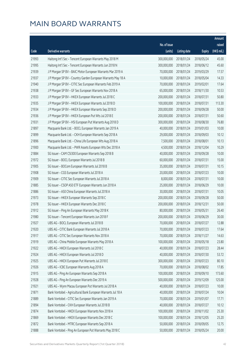|       |                                                              |              |                       |               | Amount      |
|-------|--------------------------------------------------------------|--------------|-----------------------|---------------|-------------|
|       |                                                              | No. of issue |                       |               | raised      |
| Code  | Derivative warrants                                          | (units)      | <b>Listing date</b>   | <b>Expiry</b> | (HK\$ mil.) |
| 21993 | Haitong Int'l Sec - Tencent European Warrants May 2018 M     | 300,000,000  | 2018/01/24            | 2018/05/24    | 45.00       |
| 21995 | Haitong Int'l Sec - Tencent European Warrants Jun 2018 N     | 300,000,000  | 2018/01/24            | 2018/06/12    | 45.60       |
| 21939 | J P Morgan SP BV - BAIC Motor European Warrants Mar 2019 A   | 70,000,000   | 2018/01/24            | 2019/03/29    | 17.57       |
| 21937 | J P Morgan SP BV - Country Garden European Warrants May 18 A | 10,000,000   | 2018/01/24            | 2018/05/04    | 14.33       |
| 21940 | J P Morgan SP BV - CITIC Sec European Warrants Feb 2019 A    | 70,000,000   | 2018/01/24            | 2019/02/01    | 17.64       |
| 21938 | J P Morgan SP BV - GF Sec European Warrants Nov 2018 A       | 65,000,000   | 2018/01/24            | 2018/11/30    | 10.53       |
| 21933 | J P Morgan SP BV - HKEX European Warrants Jul 2018 C         | 200,000,000  | 2018/01/24            | 2018/07/31    | 50.80       |
| 21935 | J P Morgan SP BV - HKEX European Warrants Jul 2018 D         | 100,000,000  | 2018/01/24            | 2018/07/31    | 113.30      |
| 21934 | J P Morgan SP BV - HKEX European Warrants Sep 2018 D         | 200,000,000  | 2018/01/24            | 2018/09/28    | 50.00       |
| 21936 | J P Morgan SP BV - HKEX European Put Wts Jul 2018 E          | 200,000,000  | 2018/01/24            | 2018/07/31    | 50.60       |
| 21931 | J P Morgan SP BV - HSI European Put Warrants Aug 2018 D      | 300,000,000  | 2018/01/24            | 2018/08/30    | 76.80       |
| 21897 | Macquarie Bank Ltd. - BOCL European Warrants Jan 2019 A      | 40,000,000   | 2018/01/24            | 2019/01/03    | 10.00       |
| 21899 | Macquarie Bank Ltd. - CKH European Warrants Sep 2018 A       | 29,000,000   | 2018/01/24            | 2018/09/03    | 10.12       |
| 21896 | Macquarie Bank Ltd. - China Life European Wts Aug 2018 A     | 7,500,000    | 2018/01/24            | 2018/08/01    | 10.13       |
| 21900 | Macquarie Bank Ltd. - PWR Assets European Wts Dec 2018 A     | 4,500,000    | 2018/01/24            | 2018/12/04    | 10.29       |
| 21884 | SG Issuer - CAM CSI300 European Warrants Sep 2018 B          | 40,000,000   | 2018/01/24            | 2018/09/28    | 10.00       |
| 21972 | SG Issuer - BOCL European Warrants Jul 2018 B                | 60,000,000   | 2018/01/24            | 2018/07/31    | 15.00       |
| 21905 | SG Issuer - BOCom European Warrants Jul 2018 B               | 35,000,000   | 2018/01/24            | 2018/07/31    | 10.15       |
| 21908 | SG Issuer - CGS European Warrants Jul 2018 A                 | 20,000,000   | 2018/01/24            | 2018/07/23    | 10.00       |
| 21909 | SG Issuer - CITIC Sec European Warrants Jul 2018 A           | 8,000,000    | 2018/01/24            | 2018/07/31    | 10.00       |
| 21885 | SG Issuer - CSOP A50 ETF European Warrants Jun 2018 A        | 25,000,000   | 2018/01/24            | 2018/06/29    | 10.00       |
| 21886 | SG Issuer - A50 China European Warrants Jul 2018 A           | 30,000,000   | 2018/01/24            | 2018/07/31    | 10.05       |
| 21973 | SG Issuer - HKEX European Warrants Sep 2018 C                | 200,000,000  | 2018/01/24            | 2018/09/28    | 50.00       |
| 21978 | SG Issuer - HKEX European Warrants Dec 2018 C                | 200,000,000  | 2018/01/24            | 2018/12/31    | 50.00       |
| 21912 | SG Issuer - Ping An European Warrants May 2018 K             | 80,000,000   | 2018/01/24            | 2018/05/31    | 26.40       |
| 21980 | SG Issuer - Tencent European Warrants Jun 2018 F             | 200,000,000  | 2018/01/24            | 2018/06/29    | 30.00       |
| 21927 | UBS AG - BOCL European Warrants Jul 2018 B                   |              | 70,000,000 2018/01/24 | 2018/07/27    | 12.88       |
| 21920 | UBS AG - CITIC Bank European Warrants Jul 2018 A             | 70,000,000   | 2018/01/24            | 2018/07/23    | 17.64       |
| 21917 | UBS AG - CITIC Sec European Warrants Nov 2018 A              | 70,000,000   | 2018/01/24            | 2018/11/27    | 14.63       |
| 21919 | UBS AG - China Mobile European Warrants May 2018 A           | 100,000,000  | 2018/01/24            | 2018/05/18    | 23.80       |
| 21922 | UBS AG - HKEX European Warrants Jul 2018 C                   | 40,000,000   | 2018/01/24            | 2018/07/23    | 28.44       |
| 21924 | UBS AG - HKEX European Warrants Jul 2018 D                   | 40,000,000   | 2018/01/24            | 2018/07/30    | 53.72       |
| 21925 | UBS AG - HKEX European Put Warrants Jul 2018 E               | 300,000,000  | 2018/01/24            | 2018/07/23    | 80.10       |
| 21926 | UBS AG - ICBC European Warrants Aug 2018 A                   | 70,000,000   | 2018/01/24            | 2018/08/02    | 17.85       |
| 21915 | UBS AG - Ping An European Warrants Sep 2018 A                | 100,000,000  | 2018/01/24            | 2018/09/10    | 173.60      |
| 21928 | UBS AG - Ping An European Warrants Dec 2019 A                | 500,000,000  | 2018/01/24            | 2019/12/09    | 125.00      |
| 21921 | UBS AG - Wynn Macau European Put Warrants Jul 2018 A         | 40,000,000   | 2018/01/24            | 2018/07/23    | 10.00       |
| 21871 | Bank Vontobel - Agricultural Bank European Warrants Jul 18 A | 40,000,000   | 2018/01/24            | 2018/07/24    | 10.04       |
| 21889 | Bank Vontobel - CITIC Sec European Warrants Jan 2019 A       | 70,000,000   | 2018/01/24            | 2019/01/07    | 17.71       |
| 21894 | Bank Vontobel - CKH European Warrants Jul 2018 B             | 40,000,000   | 2018/01/24            | 2018/07/27    | 10.12       |
| 21874 | Bank Vontobel - HKEX European Warrants Nov 2018 A            | 100,000,000  | 2018/01/24            | 2018/11/02    | 25.30       |
| 21869 | Bank Vontobel - HKEX European Warrants Dec 2018 C            | 100,000,000  | 2018/01/24            | 2018/12/05    | 25.20       |
| 21872 | Bank Vontobel - MTRC European Warrants Sep 2018 A            | 50,000,000   | 2018/01/24            | 2018/09/05    | 12.75       |
| 21888 | Bank Vontobel - Ping An European Put Warrants May 2018 C     | 50,000,000   | 2018/01/24            | 2018/05/24    | 20.00       |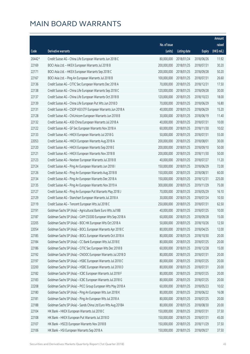|        |                                                              |              |                       |               | Amount      |
|--------|--------------------------------------------------------------|--------------|-----------------------|---------------|-------------|
|        |                                                              | No. of issue |                       |               | raised      |
| Code   | <b>Derivative warrants</b>                                   | (units)      | <b>Listing date</b>   | <b>Expiry</b> | (HK\$ mil.) |
| 20442# | Credit Suisse AG - China Life European Warrants Jun 2018 C   | 80,000,000   | 2018/01/24            | 2018/06/26    | 11.92       |
| 22169  | BOCI Asia Ltd. - HKEX European Warrants Jul 2018 B           | 200,000,000  | 2018/01/25            | 2018/07/31    | 30.20       |
| 22171  | BOCI Asia Ltd. - HKEX European Warrants Sep 2018 C           | 200,000,000  | 2018/01/25            | 2018/09/28    | 50.20       |
| 22167  | BOCI Asia Ltd. - Ping An European Warrants Jul 2018 B        | 100,000,000  | 2018/01/25            | 2018/07/31    | 26.60       |
| 22136  | Credit Suisse AG - CITIC Sec European Warrants Dec 2018 A    | 70,000,000   | 2018/01/25            | 2018/12/31    | 17.50       |
| 22138  | Credit Suisse AG - China Life European Warrants Sep 2018 C   | 120,000,000  | 2018/01/25            | 2018/09/28    | 30.00       |
| 22137  | Credit Suisse AG - China Life European Warrants Oct 2018 B   | 120,000,000  | 2018/01/25            | 2018/10/23    | 18.00       |
| 22139  | Credit Suisse AG - China Life European Put Wts Jun 2018 D    | 70,000,000   | 2018/01/25            | 2018/06/29    | 16.80       |
| 22131  | Credit Suisse AG - CSOP A50 ETF European Warrants Jun 2018 A | 40,000,000   | 2018/01/25            | 2018/06/29    | 15.20       |
| 22128  | Credit Suisse AG - ChiUnicom European Warrants Jun 2018 B    | 30,000,000   | 2018/01/25            | 2018/06/19    | 11.40       |
| 22132  | Credit Suisse AG - A50 China European Warrants Jul 2018 A    | 40,000,000   | 2018/01/25            | 2018/07/31    | 10.00       |
| 22122  | Credit Suisse AG - GF Sec European Warrants Nov 2018 A       | 60,000,000   | 2018/01/25            | 2018/11/30    | 10.02       |
| 22133  | Credit Suisse AG - HKEX European Warrants Jul 2018 G         | 50,000,000   | 2018/01/25            | 2018/07/31    | 55.00       |
| 22053  | Credit Suisse AG - HKEX European Warrants Aug 2018 A         | 200,000,000  | 2018/01/25            | 2018/08/01    | 30.00       |
| 22120  | Credit Suisse AG - HKEX European Warrants Sep 2018 E         | 200,000,000  | 2018/01/25            | 2018/09/10    | 50.00       |
| 22121  | Credit Suisse AG - HKEX European Warrants Nov 2018 B         | 200,000,000  | 2018/01/25            | 2018/11/30    | 50.00       |
| 22123  | Credit Suisse AG - Nexteer European Warrants Jul 2018 B      | 40,000,000   | 2018/01/25            | 2018/07/27    | 11.20       |
| 22124  | Credit Suisse AG - Ping An European Warrants Jun 2018 I      | 150,000,000  | 2018/01/25            | 2018/06/29    | 72.00       |
| 22126  | Credit Suisse AG - Ping An European Warrants Aug 2018 B      | 150,000,000  | 2018/01/25            | 2018/08/31    | 60.00       |
| 22134  | Credit Suisse AG - Ping An European Warrants Dec 2018 A      | 150,000,000  | 2018/01/25            | 2018/12/31    | 225.00      |
| 22135  | Credit Suisse AG - Ping An European Warrants Nov 2019 A      | 300,000,000  | 2018/01/25            | 2019/11/29    | 75.00       |
| 22127  | Credit Suisse AG - Ping An European Put Warrants May 2018 J  | 70,000,000   | 2018/01/25            | 2018/05/29    | 16.10       |
| 22129  | Credit Suisse AG - Stanchart European Warrants Jul 2018 A    | 30,000,000   | 2018/01/25            | 2018/07/24    | 10.50       |
| 22119  | Credit Suisse AG - Tencent European Wts Jul 2018 C           | 250,000,000  | 2018/01/25            | 2018/07/31    | 62.50       |
| 22191  | Goldman Sachs SP (Asia) - Agricultural Bank Euro Wts Jul18B  | 40,000,000   | 2018/01/25            | 2018/07/25    | 10.00       |
| 22187  | Goldman Sachs SP (Asia) - CAM CSI300 European Wts Sep 2018 A | 60,000,000   | 2018/01/25            | 2018/09/28    | 15.00       |
| 22205  | Goldman Sachs SP (Asia) - BOC HK European Wts Oct 2018 A     |              | 50,000,000 2018/01/25 | 2018/10/26    | 12.50       |
| 22054  | Goldman Sachs SP (Asia) - BOCL European Warrants Apr 2018 C  | 80,000,000   | 2018/01/25            | 2018/04/25    | 12.00       |
| 22185  | Goldman Sachs SP (Asia) - BOCL European Warrants Oct 2018 A  | 80,000,000   | 2018/01/25            | 2018/10/30    | 20.00       |
| 22184  | Goldman Sachs SP (Asia) - CC Bank European Wts Jul 2018 E    | 80,000,000   | 2018/01/25            | 2018/07/25    | 20.00       |
| 22186  | Goldman Sachs SP (Asia) - CITIC Sec European Wts Dec 2018 B  | 60,000,000   | 2018/01/25            | 2018/12/28    | 15.00       |
| 22192  | Goldman Sachs SP (Asia) - CNOOC European Warrants Jul 2018 D | 80,000,000   | 2018/01/25            | 2018/07/31    | 20.00       |
| 22197  | Goldman Sachs SP (Asia) - HSBC European Warrants Jul 2018 C  | 80,000,000   | 2018/01/25            | 2018/07/25    | 20.00       |
| 22200  | Goldman Sachs SP (Asia) - HSBC European Warrants Jul 2018 D  | 80,000,000   | 2018/01/25            | 2018/07/31    | 20.00       |
| 22182  | Goldman Sachs SP (Asia) - ICBC European Warrants Jul 2018 F  | 80,000,000   | 2018/01/25            | 2018/07/25    | 20.00       |
| 22183  | Goldman Sachs SP (Asia) - ICBC European Warrants Jul 2018 G  | 80,000,000   | 2018/01/25            | 2018/07/25    | 20.00       |
| 22208  | Goldman Sachs SP (Asia) - PICC Group European Wts May 2018 A | 60,000,000   | 2018/01/25            | 2018/05/23    | 10.02       |
| 22180  | Goldman Sachs SP (Asia) - Ping An European Wts Jun 2018 K    | 80,000,000   | 2018/01/25            | 2018/06/22    | 16.08       |
| 22181  | Goldman Sachs SP (Asia) - Ping An European Wts Jul 2018 A    | 80,000,000   | 2018/01/25            | 2018/07/25    | 20.00       |
| 22188  | Goldman Sachs SP (Asia) - Sands China Ltd Euro Wts Aug 2018A | 80,000,000   | 2018/01/25            | 2018/08/30    | 20.00       |
| 22104  | HK Bank - HKEX European Warrants Jul 2018 C                  | 150,000,000  | 2018/01/25            | 2018/07/31    | 37.50       |
| 22108  | HK Bank - HKEX European Put Warrants Jul 2018 D              | 150,000,000  | 2018/01/25            | 2018/07/31    | 45.00       |
| 22107  | HK Bank - HSCEI European Warrants Nov 2018 B                 | 150,000,000  | 2018/01/25            | 2018/11/29    | 37.50       |
| 22106  | HK Bank - HSI European Warrants Sep 2018 A                   | 150,000,000  | 2018/01/25            | 2018/09/27    | 37.50       |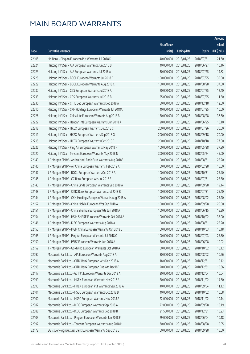|       |                                                              |                        |              |               | Amount      |
|-------|--------------------------------------------------------------|------------------------|--------------|---------------|-------------|
|       |                                                              | No. of issue           |              |               | raised      |
| Code  | <b>Derivative warrants</b>                                   | (units)                | Listing date | <b>Expiry</b> | (HK\$ mil.) |
| 22105 | HK Bank - Ping An European Put Warrants Jul 2018 D           | 40,000,000             | 2018/01/25   | 2018/07/31    | 21.60       |
| 22224 | Haitong Int'l Sec - AIA European Warrants Jun 2018 B         | 40,000,000             | 2018/01/25   | 2018/06/27    | 10.16       |
| 22223 | Haitong Int'l Sec - AIA European Warrants Jul 2018 A         | 30,000,000             | 2018/01/25   | 2018/07/25    | 14.82       |
| 22228 | Haitong Int'l Sec - BOCL European Warrants Jul 2018 B        | 150,000,000            | 2018/01/25   | 2018/07/25    | 39.00       |
| 22229 | Haitong Int'l Sec - BOCL European Warrants Aug 2018 C        | 150,000,000            | 2018/01/25   | 2018/08/28    | 37.50       |
| 22232 | Haitong Int'l Sec - CGS European Warrants Jul 2018 A         | 20,000,000             | 2018/01/25   | 2018/07/25    | 12.40       |
| 22233 | Haitong Int'l Sec - CGS European Warrants Jul 2018 B         | 25,000,000             | 2018/01/25   | 2018/07/25    | 11.50       |
| 22230 | Haitong Int'l Sec - CITIC Sec European Warrants Dec 2018 A   | 50,000,000             | 2018/01/25   | 2018/12/18    | 12.50       |
| 22210 | Haitong Int'l Sec - CKH Holdings European Warrants Jul 2018A | 40,000,000             | 2018/01/25   | 2018/07/25    | 10.00       |
| 22226 | Haitong Int'l Sec - China Life European Warrants Aug 2018 B  | 150,000,000            | 2018/01/25   | 2018/08/28    | 37.50       |
| 22222 | Haitong Int'l Sec - Hengan Intl European Warrants Jun 2018 A | 20,000,000             | 2018/01/25   | 2018/06/25    | 10.10       |
| 22218 | Haitong Int'l Sec - HKEX European Warrants Jul 2018 C        | 200,000,000            | 2018/01/25   | 2018/07/26    | 30.00       |
| 22211 | Haitong Int'l Sec - HKEX European Warrants Sep 2018 G        | 200,000,000            | 2018/01/25   | 2018/09/18    | 70.00       |
| 22215 | Haitong Int'l Sec - HKEX European Warrants Oct 2018 E        | 200,000,000            | 2018/01/25   | 2018/10/18    | 77.80       |
| 22225 | Haitong Int'l Sec - Ping An European Warrants May 2018 H     | 100,000,000            | 2018/01/25   | 2018/05/28    | 37.90       |
| 22220 | Haitong Int'l Sec - Tencent European Warrants May 2018 N     | 300,000,000            | 2018/01/25   | 2018/05/24    | 45.00       |
| 22149 | J P Morgan SP BV - Agricultural Bank Euro Warrants Aug 2018B | 100,000,000            | 2018/01/25   | 2018/08/31    | 25.20       |
| 22140 | J P Morgan SP BV - Air China European Warrants Feb 2019 A    | 60,000,000             | 2018/01/25   | 2019/02/28    | 15.00       |
| 22147 | J P Morgan SP BV - BOCL European Warrants Oct 2018 A         | 100,000,000            | 2018/01/25   | 2018/10/31    | 25.40       |
| 22145 | J P Morgan SP BV - CC Bank European Wts Jul 2018 E           | 100,000,000            | 2018/01/25   | 2018/07/31    | 25.30       |
| 22143 | J P Morgan SP BV - China Cinda European Warrants Sep 2018 A  | 60,000,000             | 2018/01/25   | 2018/09/28    | 19.14       |
| 22148 | J P Morgan SP BV - CITIC Bank European Warrants Jul 2018 B   | 100,000,000            | 2018/01/25   | 2018/07/31    | 25.40       |
| 22144 | J P Morgan SP BV - CKH Holdings European Warrants Aug 2018 A | 100,000,000            | 2018/01/25   | 2018/08/02    | 25.20       |
| 22157 | J P Morgan SP BV - China Mobile European Wts Sep 2018 A      | 100,000,000            | 2018/01/25   | 2018/09/28    | 25.00       |
| 22151 | J P Morgan SP BV - China Shenhua European Wts Jun 2018 A     | 100,000,000            | 2018/01/25   | 2018/06/15    | 15.20       |
| 22154 | J P Morgan SP BV - HS H-SHARE European Warrants Oct 2018 A   | 100,000,000            | 2018/01/25   | 2018/10/02    | 38.00       |
| 22146 | J P Morgan SP BV - ICBC European Warrants Aug 2018 A         | 100,000,000 2018/01/25 |              | 2018/08/31    | 25.20       |
| 22153 | J P Morgan SP BV - MGM China European Warrants Oct 2018 B    | 60,000,000             | 2018/01/25   | 2018/10/03    | 15.18       |
| 22165 | J P Morgan SP BV - Ping An European Warrants Jul 2018 C      | 100,000,000            | 2018/01/25   | 2018/07/03    | 25.30       |
| 22150 | J P Morgan SP BV - PSBC European Warrants Jun 2018 A         | 70,000,000             | 2018/01/25   | 2018/06/08    | 10.92       |
| 22152 | J P Morgan SP BV - Goldwind European Warrants Oct 2018 A     | 60,000,000             | 2018/01/25   | 2018/10/02    | 15.12       |
| 22092 | Macquarie Bank Ltd. - AIA European Warrants Aug 2018 A       | 30,000,000             | 2018/01/25   | 2018/08/02    | 10.26       |
| 22091 | Macquarie Bank Ltd. - CITIC Bank European Wts Dec 2018 A     | 18,000,000             | 2018/01/25   | 2018/12/31    | 10.12       |
| 22098 | Macquarie Bank Ltd. - CITIC Bank European Put Wts Dec18B     | 20,000,000             | 2018/01/25   | 2018/12/31    | 10.36       |
| 22117 | Macquarie Bank Ltd. - GJ Int'l European Warrants Dec 2018 A  | 20,000,000             | 2018/01/25   | 2018/12/04    | 10.04       |
| 22099 | Macquarie Bank Ltd. - HKEX European Warrants Nov 2018 A      | 50,000,000             | 2018/01/25   | 2018/11/02    | 14.50       |
| 22093 | Macquarie Bank Ltd. - HKEX European Put Warrants Sep 2018 A  | 40,000,000             | 2018/01/25   | 2018/09/04    | 11.12       |
| 22101 | Macquarie Bank Ltd. - HSBC European Warrants Oct 2018 B      | 40,000,000             | 2018/01/25   | 2018/10/02    | 10.08       |
| 22100 | Macquarie Bank Ltd. - HSBC European Warrants Nov 2018 A      | 22,000,000             | 2018/01/25   | 2018/11/02    | 10.14       |
| 22087 | Macquarie Bank Ltd. - ICBC European Warrants Sep 2018 A      | 22,000,000             | 2018/01/25   | 2018/09/28    | 10.19       |
| 22088 | Macquarie Bank Ltd. - ICBC European Warrants Dec 2018 B      | 21,500,000             | 2018/01/25   | 2018/12/31    | 10.23       |
| 22103 | Macquarie Bank Ltd. - Ping An European Warrants Jun 2018 F   | 29,000,000             | 2018/01/25   | 2018/06/04    | 10.18       |
| 22097 | Macquarie Bank Ltd. - Tencent European Warrants Aug 2018 H   | 30,000,000             | 2018/01/25   | 2018/08/28    | 10.05       |
| 22172 | SG Issuer - Agricultural Bank European Warrants Sep 2018 B   | 60,000,000             | 2018/01/25   | 2018/09/28    | 15.00       |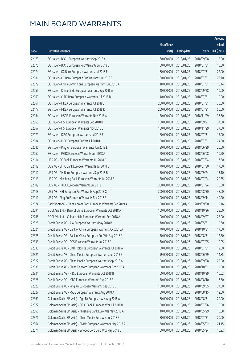|       |                                                              |              |                       |               | Amount      |
|-------|--------------------------------------------------------------|--------------|-----------------------|---------------|-------------|
|       |                                                              | No. of issue |                       |               | raised      |
| Code  | Derivative warrants                                          | (units)      | <b>Listing date</b>   | <b>Expiry</b> | (HK\$ mil.) |
| 22173 | SG Issuer - BOCL European Warrants Sep 2018 A                | 60,000,000   | 2018/01/25            | 2018/09/28    | 15.00       |
| 22075 | SG Issuer - BOCL European Put Warrants Jul 2018 C            | 60,000,000   | 2018/01/25            | 2018/07/31    | 15.30       |
| 22174 | SG Issuer - CC Bank European Warrants Jul 2018 F             | 80,000,000   | 2018/01/25            | 2018/07/31    | 22.00       |
| 22081 | SG Issuer - CC Bank European Put Warrants Jul 2018 E         | 60,000,000   | 2018/01/25            | 2018/07/31    | 23.70       |
| 22079 | SG Issuer - China Comm Cons European Warrants Jul 2018 A     | 18,000,000   | 2018/01/25            | 2018/07/31    | 10.44       |
| 22055 | SG Issuer - China Cinda European Warrants Sep 2018 A         | 40,000,000   | 2018/01/25            | 2018/09/28    | 10.00       |
| 22060 | SG Issuer - CITIC Bank European Warrants Jul 2018 B          | 40,000,000   | 2018/01/25            | 2018/07/31    | 10.00       |
| 22061 | SG Issuer - HKEX European Warrants Jul 2018 J                | 200,000,000  | 2018/01/25            | 2018/07/31    | 30.00       |
| 22177 | SG Issuer - HKEX European Warrants Jul 2018 K                | 200,000,000  | 2018/01/25            | 2018/07/31    | 50.00       |
| 22064 | SG Issuer - HSCEI European Warrants Nov 2018 A               | 150,000,000  | 2018/01/25            | 2018/11/29    | 37.50       |
| 22066 | SG Issuer - HSI European Warrants Sep 2018 B                 | 150,000,000  | 2018/01/25            | 2018/09/27    | 37.50       |
| 22067 | SG Issuer - HSI European Warrants Nov 2018 B                 | 150,000,000  | 2018/01/25            | 2018/11/29    | 37.50       |
| 22179 | SG Issuer - ICBC European Warrants Jul 2018 E                | 60,000,000   | 2018/01/25            | 2018/07/31    | 15.00       |
| 22084 | SG Issuer - ICBC European Put Wt Jul 2018 D                  | 60,000,000   | 2018/01/25            | 2018/07/31    | 24.30       |
| 22086 | SG Issuer - Ping An European Warrants Jun 2018 E             | 80,000,000   | 2018/01/25            | 2018/06/29    | 20.00       |
| 22062 | SG Issuer - PSBC European Warrants Jun 2018 A                | 70,000,000   | 2018/01/25            | 2018/06/08    | 10.50       |
| 22114 | UBS AG - CC Bank European Warrants Jul 2018 D                | 70,000,000   | 2018/01/25            | 2018/07/24    | 17.50       |
| 22112 | UBS AG - CITIC Bank European Warrants Jul 2018 B             | 70,000,000   | 2018/01/25            | 2018/07/30    | 17.50       |
| 22110 | UBS AG - CM Bank European Warrants Sep 2018 B                | 50,000,000   | 2018/01/25            | 2018/09/24    | 13.10       |
| 22113 | UBS AG - Minsheng Bank European Warrants Jul 2018 B          | 50,000,000   | 2018/01/25            | 2018/07/24    | 20.35       |
| 22109 | UBS AG - HKEX European Warrants Jul 2018 F                   | 300,000,000  | 2018/01/25            | 2018/07/24    | 75.00       |
| 22118 | UBS AG - HSI European Put Warrants Aug 2018 C                | 300,000,000  | 2018/01/25            | 2018/08/30    | 48.00       |
| 22111 | UBS AG - Ping An European Warrants Sep 2018 B                | 100,000,000  | 2018/01/25            | 2018/09/14    | 40.20       |
| 22074 | Bank Vontobel - China Comm Cons European Warrants Sep 2019 A | 80,000,000   | 2018/01/25            | 2019/09/30    | 12.16       |
| 22294 | BOCI Asia Ltd. - Bank of China European Warrants Oct 2018 A  | 100,000,000  | 2018/01/26            | 2018/10/26    | 25.00       |
| 22286 | BOCI Asia Ltd. - China Mobile European Warrants Sep 2018 A   | 100,000,000  | 2018/01/26            | 2018/09/27    | 25.00       |
| 22328 | Credit Suisse AG - AIA European Warrants May 2018 B          |              | 70,000,000 2018/01/26 | 2018/05/31    | 12.60       |
| 22324 | Credit Suisse AG - Bank of China European Warrants Oct 2018A | 70,000,000   | 2018/01/26            | 2018/10/31    | 17.50       |
| 22325 | Credit Suisse AG - Bank of China European Put Wts Aug 2018 A | 50,000,000   | 2018/01/26            | 2018/08/31    | 12.50       |
| 22333 | Credit Suisse AG - CGS European Warrants Jul 2018 A          | 30,000,000   | 2018/01/26            | 2018/07/25    | 10.05       |
| 22330 | Credit Suisse AG - CKH Holdings European Warrants Jul 2018 A | 50,000,000   | 2018/01/26            | 2018/07/31    | 12.50       |
| 22321 | Credit Suisse AG - China Mobile European Warrants Jun 2018 B | 99,000,000   | 2018/01/26            | 2018/06/29    | 14.85       |
| 22322 | Credit Suisse AG - China Mobile European Warrants Sep 2018 A | 100,000,000  | 2018/01/26            | 2018/09/28    | 25.00       |
| 22335 | Credit Suisse AG - China Telecom European Warrants Oct 2018A | 50,000,000   | 2018/01/26            | 2018/10/31    | 12.50       |
| 22334 | Credit Suisse AG - HTSC European Warrants Oct 2018 B         | 60,000,000   | 2018/01/26            | 2018/10/29    | 10.02       |
| 22326 | Credit Suisse AG - ICBC European Warrants Aug 2018 B         | 70,000,000   | 2018/01/26            | 2018/08/10    | 17.50       |
| 22323 | Credit Suisse AG - Ping An European Warrants Sep 2018 B      | 150,000,000  | 2018/01/26            | 2018/09/05    | 37.50       |
| 22327 | Credit Suisse AG - PSBC European Warrants Aug 2018 A         | 50,000,000   | 2018/01/26            | 2018/08/15    | 12.50       |
| 22361 | Goldman Sachs SP (Asia) - Agri Bk European Wts Aug 2018 A    | 80,000,000   | 2018/01/26            | 2018/08/31    | 20.00       |
| 22372 | Goldman Sachs SP (Asia) - CITIC Bank European Wts Jul 2018 B | 60,000,000   | 2018/01/26            | 2018/07/26    | 15.00       |
| 22366 | Goldman Sachs SP (Asia) - Minsheng Bank Euro Wts May 2018 A  | 40,000,000   | 2018/01/26            | 2018/05/29    | 15.88       |
| 22376 | Goldman Sachs SP (Asia) - China Mobile Euro Wts Jul 2018 B   | 80,000,000   | 2018/01/26            | 2018/07/31    | 20.00       |
| 22364 | Goldman Sachs SP (Asia) - CNBM European Warrants May 2018 A  | 30,000,000   | 2018/01/26            | 2018/05/02    | 21.15       |
| 22371 | Goldman Sachs SP (Asia) - Sinopec Corp Euro Wts May 2018 D   | 60,000,000   | 2018/01/26            | 2018/05/24    | 10.92       |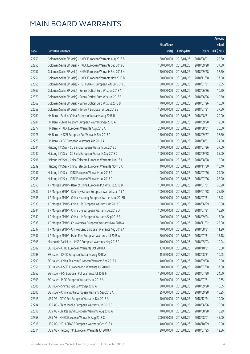|       |                                                              |                        |                     |               | Amount      |
|-------|--------------------------------------------------------------|------------------------|---------------------|---------------|-------------|
|       |                                                              | No. of issue           |                     |               | raised      |
| Code  | <b>Derivative warrants</b>                                   | (units)                | <b>Listing date</b> | <b>Expiry</b> | (HK\$ mil.) |
| 22250 | Goldman Sachs SP (Asia) - HKEX European Warrants Aug 2018 B  | 150,000,000            | 2018/01/26          | 2018/08/01    | 22.50       |
| 22255 | Goldman Sachs SP (Asia) - HKEX European Warrants Sep 2018 G  | 150,000,000            | 2018/01/26          | 2018/09/28    | 37.50       |
| 22257 | Goldman Sachs SP (Asia) - HKEX European Warrants Sep 2018 H  | 150,000,000            | 2018/01/26          | 2018/09/28    | 37.50       |
| 22251 | Goldman Sachs SP (Asia) - HKEX European Warrants Nov 2018 B  | 150,000,000            | 2018/01/26          | 2018/11/30    | 37.50       |
| 22365 | Goldman Sachs SP (Asia) - HS H-SHARE European Wts Jul 2018 B | 50,000,000             | 2018/01/26          | 2018/07/31    | 19.55       |
| 22367 | Goldman Sachs SP (Asia) - Sunny Optical Euro Wts Jun 2018 A  | 70,000,000             | 2018/01/26          | 2018/06/26    | 10.50       |
| 22370 | Goldman Sachs SP (Asia) - Sunny Optical Euro Wts Jun 2018 B  | 70,000,000             | 2018/01/26          | 2018/06/26    | 10.50       |
| 22362 | Goldman Sachs SP (Asia) - Sunny Optical Euro Wts Jul 2018 B  | 70,000,000             | 2018/01/26          | 2018/07/26    | 10.50       |
| 22259 | Goldman Sachs SP (Asia) - Tencent European Wt Jul 2018 B     | 150,000,000            | 2018/01/26          | 2018/07/31    | 37.50       |
| 22280 | HK Bank - Bank of China European Warrants Aug 2018 B         | 80,000,000             | 2018/01/26          | 2018/08/31    | 20.00       |
| 22281 | HK Bank - China Telecom European Warrants Sep 2018 A         | 50,000,000             | 2018/01/26          | 2018/09/28    | 12.50       |
| 22277 | HK Bank - HKEX European Warrants Aug 2018 A                  | 200,000,000            | 2018/01/26          | 2018/08/01    | 30.00       |
| 22276 | HK Bank - HSCEI European Put Warrants Sep 2018 A             | 150,000,000            | 2018/01/26          | 2018/09/27    | 37.50       |
| 22278 | HK Bank - ICBC European Warrants Aug 2018 A                  | 80,000,000             | 2018/01/26          | 2018/08/31    | 24.00       |
| 22244 | Haitong Int'l Sec - CC Bank European Warrants Jul 2018 C     | 100,000,000            | 2018/01/26          | 2018/07/26    | 37.00       |
| 22240 | Haitong Int'l Sec - CC Bank European Warrants Sep 2018 C     | 100,000,000            | 2018/01/26          | 2018/09/28    | 55.00       |
| 22296 | Haitong Int'l Sec - China Telecom European Warrants Aug 18 A | 40,000,000             | 2018/01/26          | 2018/08/28    | 10.00       |
| 22239 | Haitong Int'l Sec - China Telecom European Warrants Nov 18 A | 40,000,000             | 2018/01/26          | 2018/11/30    | 10.40       |
| 22247 | Haitong Int'l Sec - ICBC European Warrants Jul 2018 C        | 100,000,000            | 2018/01/26          | 2018/07/26    | 29.00       |
| 22248 | Haitong Int'l Sec - ICBC European Warrants Jul 2018 D        | 100,000,000            | 2018/01/26          | 2018/07/26    | 25.00       |
| 22350 | J P Morgan SP BV - Bank of China European Put Wts Jul 2018 B | 100,000,000            | 2018/01/26          | 2018/07/31    | 25.90       |
| 22336 | J P Morgan SP BV - Country Garden European Warrants Jan 19 A | 100,000,000            | 2018/01/26          | 2019/01/28    | 25.20       |
| 22345 | J P Morgan SP BV - China Huarong European Warrants Jul 2018B | 60,000,000             | 2018/01/26          | 2018/07/31    | 15.42       |
| 22339 | J P Morgan SP BV - China Life European Warrants Jun 2018 B   | 100,000,000            | 2018/01/26          | 2018/06/29    | 15.30       |
| 22344 | J P Morgan SP BV - China Life European Warrants Jul 2018 D   | 100,000,000            | 2018/01/26          | 2018/07/31    | 15.30       |
| 22340 | J P Morgan SP BV - China Life European Warrants Sep 2018 B   | 100,000,000            | 2018/01/26          | 2018/09/24    | 15.90       |
| 22338 | J P Morgan SP BV - Ch Overseas European Warrants Nov 2018 A  | 100,000,000 2018/01/26 |                     | 2018/11/02    | 25.00       |
| 22337 | J P Morgan SP BV - Chi Res Land European Warrants Aug 2018 A | 70,000,000             | 2018/01/26          | 2018/08/31    | 11.20       |
| 22347 | J P Morgan SP BV - Haier Elec European Warrants Jul 2018 A   | 60,000,000             | 2018/01/26          | 2018/07/31    | 15.18       |
| 22308 | Macquarie Bank Ltd. - HSBC European Warrants May 2018 C      | 40,000,000             | 2018/01/26          | 2018/05/03    | 10.24       |
| 22302 | SG Issuer - CITIC European Warrants Oct 2018 A               | 12,000,000             | 2018/01/26          | 2018/10/31    | 10.08       |
| 22298 | SG Issuer - CRCC European Warrants Aug 2018 A                | 15,000,000             | 2018/01/26          | 2018/08/31    | 10.05       |
| 22299 | SG Issuer - China Telecom European Warrants Sep 2018 A       | 40,000,000             | 2018/01/26          | 2018/09/28    | 10.00       |
| 22351 | SG Issuer - HSCEI European Put Warrants Jul 2018 B           | 150,000,000            | 2018/01/26          | 2018/07/30    | 37.50       |
| 22352 | SG Issuer - HSI European Put Warrants Jul 2018 F             | 150,000,000            | 2018/01/26          | 2018/07/30    | 24.00       |
| 22303 | SG Issuer - PICC European Warrants Jul 2018 A                | 30,000,000             | 2018/01/26          | 2018/07/31    | 10.65       |
| 22305 | SG Issuer - Shimao Ppt Eu Wt Sep 2018 A                      | 30,000,000             | 2018/01/26          | 2018/09/28    | 10.05       |
| 22300 | SG Issuer - China Vanke European Warrants Sep 2018 A         | 25,000,000             | 2018/01/26          | 2018/09/28    | 10.25       |
| 22315 | UBS AG - CITIC Sec European Warrants Dec 2018 A              | 40,000,000             | 2018/01/26          | 2018/12/24    | 10.00       |
| 22234 | UBS AG - China Mobile European Warrants Jun 2018 C           | 100,000,000            | 2018/01/26          | 2018/06/26    | 15.30       |
| 22318 | UBS AG - Chi Res Land European Warrants Aug 2018 A           | 70,000,000             | 2018/01/26          | 2018/08/28    | 10.99       |
| 22358 | UBS AG - HKEX European Warrants Aug 2018 C                   | 300,000,000            | 2018/01/26          | 2018/08/01    | 45.00       |
| 22316 | UBS AG - HS H-SHARE European Warrants Oct 2018 A             | 40,000,000             | 2018/01/26          | 2018/10/29    | 10.00       |
| 22314 | UBS AG - Haitong Int'l European Warrants Jul 2018 A          | 20,000,000             | 2018/01/26          | 2018/07/25    | 12.36       |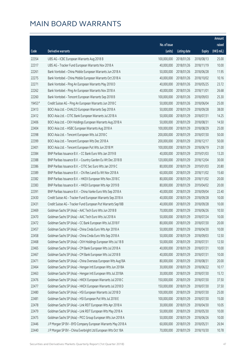|        |                                                              |              |                       |               | Amount      |
|--------|--------------------------------------------------------------|--------------|-----------------------|---------------|-------------|
|        |                                                              | No. of issue |                       |               | raised      |
| Code   | <b>Derivative warrants</b>                                   | (units)      | <b>Listing date</b>   | <b>Expiry</b> | (HK\$ mil.) |
| 22354  | UBS AG - ICBC European Warrants Aug 2018 B                   | 100,000,000  | 2018/01/26            | 2018/08/13    | 25.00       |
| 22317  | UBS AG - Tracker Fund European Warrants Nov 2018 A           | 40,000,000   | 2018/01/26            | 2018/11/19    | 10.00       |
| 22261  | Bank Vontobel - China Mobile European Warrants Jun 2018 A    | 50,000,000   | 2018/01/26            | 2018/06/28    | 11.95       |
| 22275  | Bank Vontobel - China Mobile European Warrants Oct 2018 A    | 40,000,000   | 2018/01/26            | 2018/10/02    | 10.16       |
| 22271  | Bank Vontobel - Ping An European Warrants May 2018 D         | 40,000,000   | 2018/01/26            | 2018/05/25    | 23.72       |
| 22262  | Bank Vontobel - Ping An European Warrants Nov 2018 A         | 40,000,000   | 2018/01/26            | 2018/11/01    | 26.68       |
| 22260  | Bank Vontobel - Tencent European Warrants Sep 2018 B         | 100,000,000  | 2018/01/26            | 2018/09/03    | 25.30       |
| 19453# | Credit Suisse AG - Ping An European Warrants Jun 2018 C      | 50,000,000   | 2018/01/26            | 2018/06/04    | 25.00       |
| 22413  | BOCI Asia Ltd. - CHALCO European Warrants Sep 2018 A         | 50,000,000   | 2018/01/29            | 2018/09/28    | 38.00       |
| 22412  | BOCI Asia Ltd. - CITIC Bank European Warrants Jul 2018 A     | 50,000,000   | 2018/01/29            | 2018/07/31    | 14.25       |
| 22406  | BOCI Asia Ltd. - CKH Holdings European Warrants Aug 2018 A   | 50,000,000   | 2018/01/29            | 2018/08/31    | 14.50       |
| 22404  | BOCI Asia Ltd. - HSBC European Warrants Aug 2018 A           | 100,000,000  | 2018/01/29            | 2018/08/29    | 25.00       |
| 22398  | BOCI Asia Ltd. - Tencent European Wts Jul 2018 C             | 200,000,000  | 2018/01/29            | 2018/07/30    | 50.00       |
| 22399  | BOCI Asia Ltd. - Tencent European Wts Dec 2018 A             | 200,000,000  | 2018/01/29            | 2018/12/17    | 50.00       |
| 22401  | BOCI Asia Ltd. - Tencent European Put Wts Jun 2018 M         | 100,000,000  | 2018/01/29            | 2018/06/19    | 21.00       |
| 22384  | BNP Paribas Issuance B.V. - CC Bank Euro Wts Jan 2019 B      | 40,000,000   | 2018/01/29            | 2019/01/03    | 13.20       |
| 22388  | BNP Paribas Issuance B.V. - Country Garden Eu Wt Dec 2018 B  | 120,000,000  | 2018/01/29            | 2018/12/04    | 30.00       |
| 22386  | BNP Paribas Issuance B.V. - CITIC Sec Euro Wts Jan 2019 C    | 80,000,000   | 2018/01/29            | 2019/01/03    | 20.80       |
| 22389  | BNP Paribas Issuance B.V. - Chi Res Land Eu Wt Nov 2018 A    | 60,000,000   | 2018/01/29            | 2018/11/02    | 15.60       |
| 22382  | BNP Paribas Issuance B.V. - HKEX European Wts Nov 2018 C     | 80,000,000   | 2018/01/29            | 2018/11/02    | 20.00       |
| 22383  | BNP Paribas Issuance B.V. - HKEX European Wts Apr 2019 B     | 80,000,000   | 2018/01/29            | 2019/04/02    | 20.00       |
| 22391  | BNP Paribas Issuance B.V. - China Vanke Euro Wts Sep 2018 A  | 40,000,000   | 2018/01/29            | 2018/09/04    | 22.40       |
| 22430  | Credit Suisse AG - Tracker Fund European Warrants Sep 2018 A | 40,000,000   | 2018/01/29            | 2018/09/28    | 10.00       |
| 22431  | Credit Suisse AG - Tracker Fund European Put Warrants Sep18B | 40,000,000   | 2018/01/29            | 2018/09/28    | 10.00       |
| 22469  | Goldman Sachs SP (Asia) - AAC Tech Euro Wts Jun 2018 B       | 70,000,000   | 2018/01/29            | 2018/06/26    | 10.50       |
| 22470  | Goldman Sachs SP (Asia) - AAC Tech Euro Wts Jul 2018 A       | 50,000,000   | 2018/01/29            | 2018/07/24    | 10.00       |
| 22472  | Goldman Sachs SP (Asia) - CC Bank European Wts Jul 2018 F    |              | 80,000,000 2018/01/29 | 2018/07/30    | 20.00       |
| 22457  | Goldman Sachs SP (Asia) - China Cinda Euro Wts Apr 2018 A    | 50,000,000   | 2018/01/29            | 2018/04/30    | 10.00       |
| 22458  | Goldman Sachs SP (Asia) - China Cinda Euro Wts Sep 2018 A    | 50,000,000   | 2018/01/29            | 2018/09/03    | 12.50       |
| 22468  | Goldman Sachs SP (Asia) - CKH Holdings European Wts Jul 18 B | 50,000,000   | 2018/01/29            | 2018/07/31    | 12.50       |
| 22465  | Goldman Sachs SP (Asia) - CM Bank European Wts Jul 2018 A    | 40,000,000   | 2018/01/29            | 2018/07/31    | 10.00       |
| 22467  | Goldman Sachs SP (Asia) - CM Bank European Wts Jul 2018 B    | 40,000,000   | 2018/01/29            | 2018/07/31    | 10.00       |
| 22471  | Goldman Sachs SP (Asia) - China Overseas European Wts Aug18A | 80,000,000   | 2018/01/29            | 2018/08/31    | 20.00       |
| 22464  | Goldman Sachs SP (Asia) - Hengan Intl European Wts Jun 2018A | 30,000,000   | 2018/01/29            | 2018/06/22    | 10.17       |
| 22463  | Goldman Sachs SP (Asia) - Hengan Intl European Wts Jul 2018A | 30,000,000   | 2018/01/29            | 2018/07/30    | 15.72       |
| 22476  | Goldman Sachs SP (Asia) - HKEX European Warrants Jul 2018 C  | 150,000,000  | 2018/01/29            | 2018/07/30    | 37.50       |
| 22477  | Goldman Sachs SP (Asia) - HKEX European Warrants Jul 2018 D  | 150,000,000  | 2018/01/29            | 2018/07/30    | 37.50       |
| 22480  | Goldman Sachs SP (Asia) - HSI European Warrants Jul 2018 D   | 100,000,000  | 2018/01/29            | 2018/07/30    | 25.00       |
| 22481  | Goldman Sachs SP (Asia) - HSI European Put Wts Jul 2018 E    | 100,000,000  | 2018/01/29            | 2018/07/30    | 15.00       |
| 22478  | Goldman Sachs SP (Asia) - Link REIT European Wts Apr 2018 A  | 30,000,000   | 2018/01/29            | 2018/04/30    | 10.05       |
| 22479  | Goldman Sachs SP (Asia) - Link REIT European Wts May 2018 A  | 50,000,000   | 2018/01/29            | 2018/05/30    | 10.00       |
| 22475  | Goldman Sachs SP (Asia) - PICC Group European Wts Jun 2018 A | 50,000,000   | 2018/01/29            | 2018/06/26    | 10.00       |
| 22446  | J P Morgan SP BV - BYD Company European Warrants May 2018 A  | 60,000,000   | 2018/01/29            | 2018/05/31    | 26.94       |
| 22440  | J P Morgan SP BV - China Everbright Ltd European Wts Oct 18A | 70,000,000   | 2018/01/29            | 2018/10/30    | 10.78       |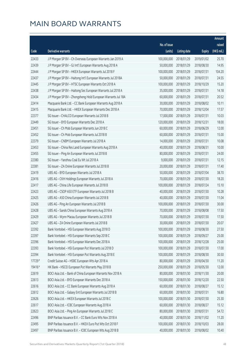|        |                                                              |              |                       |               | Amount      |
|--------|--------------------------------------------------------------|--------------|-----------------------|---------------|-------------|
|        |                                                              | No. of issue |                       |               | raised      |
| Code   | Derivative warrants                                          | (units)      | <b>Listing date</b>   | <b>Expiry</b> | (HK\$ mil.) |
| 22433  | J P Morgan SP BV - Ch Overseas European Warrants Jan 2019 A  | 100,000,000  | 2018/01/29            | 2019/01/02    | 25.70       |
| 22439  | J P Morgan SP BV - GJ Int'l European Warrants Aug 2018 A     | 50,000,000   | 2018/01/29            | 2018/08/30    | 14.95       |
| 22444  | J P Morgan SP BV - HKEX European Warrants Jul 2018 F         | 100,000,000  | 2018/01/29            | 2018/07/31    | 104.20      |
| 22437  | J P Morgan SP BV - Haitong Int'l European Warrants Jul 2018A | 50,000,000   | 2018/01/29            | 2018/07/31    | 24.55       |
| 22445  | J P Morgan SP BV - HTSC European Warrants Oct 2018 A         | 100,000,000  | 2018/01/29            | 2018/10/29    | 15.20       |
| 22438  | J P Morgan SP BV - Haitong Sec European Warrants Jul 2018 A  | 35,000,000   | 2018/01/29            | 2018/07/31    | 14.18       |
| 22434  | J P Morgan SP BV - Zhongsheng Hold European Warrants Jul 18A | 60,000,000   | 2018/01/29            | 2018/07/31    | 20.52       |
| 22414  | Macquarie Bank Ltd. - CC Bank European Warrants Aug 2018 A   | 30,000,000   | 2018/01/29            | 2018/08/02    | 10.11       |
| 22415  | Macquarie Bank Ltd. - HKEX European Warrants Dec 2018 A      | 70,000,000   | 2018/01/29            | 2018/12/04    | 17.57       |
| 22377  | SG Issuer - CHALCO European Warrants Jul 2018 B              | 17,000,000   | 2018/01/29            | 2018/07/31    | 10.03       |
| 22449  | SG Issuer - BYD European Warrants Dec 2018 A                 | 120,000,000  | 2018/01/29            | 2018/12/31    | 18.00       |
| 22451  | SG Issuer - Ch Mob European Warrants Jun 2018 C              | 60,000,000   | 2018/01/29            | 2018/06/29    | 12.00       |
| 22452  | SG Issuer - Ch Mob European Warrants Jul 2018 B              | 60,000,000   | 2018/01/29            | 2018/07/31    | 15.00       |
| 22379  | SG Issuer - CNBM European Warrants Jul 2018 A                | 14,000,000   | 2018/01/29            | 2018/07/31    | 10.08       |
| 22453  | SG Issuer - China Res Land European Warrants Aug 2018 A      | 40,000,000   | 2018/01/29            | 2018/08/31    | 10.00       |
| 22455  | SG Issuer - Ping An European Warrants Jul 2018 B             | 80,000,000   | 2018/01/29            | 2018/07/31    | 24.00       |
| 22380  | SG Issuer - Yanzhou Coal Eu Wt Jul 2018 A                    | 9,000,000    | 2018/01/29            | 2018/07/31    | 12.15       |
| 22381  | SG Issuer - ZA Onine European Warrants Jul 2018 B            | 20,000,000   | 2018/01/29            | 2018/07/31    | 17.40       |
| 22419  | UBS AG - BYD European Warrants Jul 2018 A                    | 50,000,000   | 2018/01/29            | 2018/07/04    | 38.70       |
| 22416  | UBS AG - CKH Holdings European Warrants Jul 2018 A           | 70,000,000   | 2018/01/29            | 2018/07/30    | 18.20       |
| 22417  | UBS AG - China Life European Warrants Jul 2018 B             | 100,000,000  | 2018/01/29            | 2018/07/24    | 15.10       |
| 22423  | UBS AG - CSOP A50 ETF European Warrants Jul 2018 B           | 40,000,000   | 2018/01/29            | 2018/07/30    | 10.28       |
| 22425  | UBS AG - A50 China European Warrants Jul 2018 B              | 40,000,000   | 2018/01/29            | 2018/07/30    | 11.04       |
| 22426  | UBS AG - Ping An European Warrants Jul 2018 B                | 100,000,000  | 2018/01/29            | 2018/07/30    | 30.00       |
| 22428  | UBS AG - Sands China European Warrants Aug 2018 A            | 70,000,000   | 2018/01/29            | 2018/08/08    | 17.50       |
| 22429  | UBS AG - Wynn Macau European Warrants Jul 2018 B             | 70,000,000   | 2018/01/29            | 2018/07/30    | 17.50       |
| 22427  | UBS AG - ZA Onine European Warrants Jul 2018 B               |              | 30,000,000 2018/01/29 | 2018/07/30    | 20.07       |
| 22392  | Bank Vontobel - HSI European Warrants Aug 2018 D             | 100,000,000  | 2018/01/29            | 2018/08/30    | 27.50       |
| 22397  | Bank Vontobel - HSI European Warrants Sep 2018 C             | 100,000,000  | 2018/01/29            | 2018/09/27    | 25.00       |
| 22396  | Bank Vontobel - HSI European Warrants Dec 2018 A             | 100,000,000  | 2018/01/29            | 2018/12/28    | 25.00       |
| 22393  | Bank Vontobel - HSI European Put Warrants Jul 2018 D         | 100,000,000  | 2018/01/29            | 2018/07/30    | 17.00       |
| 22394  | Bank Vontobel - HSI European Put Warrants Aug 2018 E         | 100,000,000  | 2018/01/29            | 2018/08/30    | 30.50       |
| 17729# | Credit Suisse AG - HSBC European Wts Apr 2018 A              | 80,000,000   | 2018/01/29            | 2018/04/30    | 11.20       |
| 19416# | HK Bank - HSCEI European Put Warrants May 2018 B             | 250,000,000  | 2018/01/29            | 2018/05/30    | 12.00       |
| 22619  | BOCI Asia Ltd. - Bank of China European Warrants Nov 2018 A  | 80,000,000   | 2018/01/30            | 2018/11/30    | 20.00       |
| 22613  | BOCI Asia Ltd. - BYD European Warrants Dec 2018 A            | 150,000,000  | 2018/01/30            | 2018/12/20    | 22.50       |
| 22616  | BOCI Asia Ltd. - CC Bank European Warrants Aug 2018 A        | 60,000,000   | 2018/01/30            | 2018/08/27    | 15.12       |
| 22612  | BOCI Asia Ltd. - Galaxy Ent European Warrants Jul 2018 B     | 60,000,000   | 2018/01/30            | 2018/07/31    | 16.80       |
| 22626  | BOCI Asia Ltd. - HKEX European Warrants Jul 2018 C           | 100,000,000  | 2018/01/30            | 2018/07/30    | 25.30       |
| 22617  | BOCI Asia Ltd. - ICBC European Warrants Aug 2018 A           | 60,000,000   | 2018/01/30            | 2018/08/27    | 15.12       |
| 22623  | BOCI Asia Ltd. - Ping An European Warrants Jul 2018 C        | 80,000,000   | 2018/01/30            | 2018/07/31    | 54.72       |
| 22496  | BNP Paribas Issuance B.V. - CC Bank Euro Wts Nov 2018 A      | 40,000,000   | 2018/01/30            | 2018/11/02    | 11.20       |
| 22495  | BNP Paribas Issuance B.V. - HKEX Euro Put Wts Oct 2018 F     | 100,000,000  | 2018/01/30            | 2018/10/03    | 28.00       |
| 22497  | BNP Paribas Issuance B.V. - ICBC European Wts Aug 2018 B     | 40,000,000   | 2018/01/30            | 2018/08/02    | 10.40       |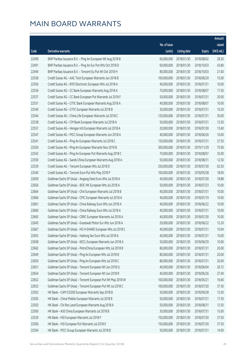|       |                                                              |              |                       |               | Amount       |
|-------|--------------------------------------------------------------|--------------|-----------------------|---------------|--------------|
|       |                                                              | No. of issue |                       |               | raised       |
| Code  | Derivative warrants                                          | (units)      | <b>Listing date</b>   | <b>Expiry</b> | $(HK\$ mil.) |
| 22490 | BNP Paribas Issuance B.V. - Ping An European Wt Aug 2018 B   | 60,000,000   | 2018/01/30            | 2018/08/02    | 28.20        |
| 22491 | BNP Paribas Issuance B.V. - Ping An Eur Put Wts Oct 2018 D   | 60,000,000   | 2018/01/30            | 2018/10/03    | 43.80        |
| 22494 | BNP Paribas Issuance B.V. - Tencent Eu Put Wt Oct 2018 H     | 80,000,000   | 2018/01/30            | 2018/10/03    | 21.60        |
| 22558 | Credit Suisse AG - AAC Tech European Warrants Jun 2018 B     | 100,000,000  | 2018/01/30            | 2018/06/29    | 15.00        |
| 22556 | Credit Suisse AG - BYD Electronic European Wts Jul 2018 A    | 40,000,000   | 2018/01/30            | 2018/07/31    | 10.00        |
| 22536 | Credit Suisse AG - CC Bank European Warrants Aug 2018 A      | 70,000,000   | 2018/01/30            | 2018/08/07    | 17.50        |
| 22537 | Credit Suisse AG - CC Bank European Put Warrants Jul 2018 F  | 50,000,000   | 2018/01/30            | 2018/07/31    | 20.00        |
| 22551 | Credit Suisse AG - CITIC Bank European Warrants Aug 2018 A   | 40,000,000   | 2018/01/30            | 2018/08/07    | 10.00        |
| 22549 | Credit Suisse AG - CITIC European Warrants Jul 2018 B        | 30,000,000   | 2018/01/30            | 2018/07/31    | 10.20        |
| 22544 | Credit Suisse AG - China Life European Warrants Jul 2018 C   | 120,000,000  | 2018/01/30            | 2018/07/31    | 30.00        |
| 22538 | Credit Suisse AG - CM Bank European Warrants Jul 2018 A      | 50,000,000   | 2018/01/30            | 2018/07/31    | 12.50        |
| 22557 | Credit Suisse AG - Hengan Intl European Warrants Jul 2018 A  | 20,000,000   | 2018/01/30            | 2018/07/30    | 13.60        |
| 22547 | Credit Suisse AG - PICC Group European Warrants Jun 2018 A   | 40,000,000   | 2018/01/30            | 2018/06/26    | 10.00        |
| 22541 | Credit Suisse AG - Ping An European Warrants Jul 2018 C      | 150,000,000  | 2018/01/30            | 2018/07/31    | 37.50        |
| 22550 | Credit Suisse AG - Ping An European Warrants Nov 2019 B      | 300,000,000  | 2018/01/30            | 2019/11/29    | 75.00        |
| 22542 | Credit Suisse AG - Ping An European Put Warrants Aug 2018 C  | 70,000,000   | 2018/01/30            | 2018/08/07    | 35.00        |
| 22559 | Credit Suisse AG - Sands China European Warrants Aug 2018 A  | 50,000,000   | 2018/01/30            | 2018/08/31    | 12.50        |
| 22539 | Credit Suisse AG - Tencent European Wts Jul 2018 D           | 250,000,000  | 2018/01/30            | 2018/07/30    | 62.50        |
| 22540 | Credit Suisse AG - Tencent Euro Put Wts May 2018 P           | 100,000,000  | 2018/01/30            | 2018/05/28    | 18.00        |
| 22659 | Goldman Sachs SP (Asia) - Angang Steel Euro Wts Jul 2018 A   | 40,000,000   | 2018/01/30            | 2018/07/30    | 18.88        |
| 22656 | Goldman Sachs SP (Asia) - BOC HK European Wts Jul 2018 A     | 50,000,000   | 2018/01/30            | 2018/07/23    | 10.00        |
| 22664 | Goldman Sachs SP (Asia) - CKA European Warrants Jul 2018 B   | 40,000,000   | 2018/01/30            | 2018/07/31    | 10.00        |
| 22666 | Goldman Sachs SP (Asia) - CPIC European Warrants Jul 2018 A  | 40,000,000   | 2018/01/30            | 2018/07/19    | 10.00        |
| 22661 | Goldman Sachs SP (Asia) - China Railway Euro Wts Jun 2018 A  | 40,000,000   | 2018/01/30            | 2018/06/22    | 10.00        |
| 22660 | Goldman Sachs SP (Asia) - China Railway Euro Wts Jul 2018 A  | 40,000,000   | 2018/01/30            | 2018/07/31    | 10.00        |
| 22665 | Goldman Sachs SP (Asia) - CRRC European Warrants Jul 2018 A  | 40,000,000   | 2018/01/30            | 2018/07/30    | 10.00        |
| 22645 | Goldman Sachs SP (Asia) - Greatwall Motor Eur Wts Jun 2018 A |              | 20,000,000 2018/01/30 | 2018/06/22    | 12.20        |
| 22667 | Goldman Sachs SP (Asia) - HS H-SHARE European Wts Jul 2018 C | 40,000,000   | 2018/01/30            | 2018/07/31    | 10.04        |
| 22655 | Goldman Sachs SP (Asia) - Haitong Sec Euro Wts Jul 2018 A    | 40,000,000   | 2018/01/30            | 2018/07/31    | 10.00        |
| 22658 | Goldman Sachs SP (Asia) - KECL European Warrants Jun 2018 A  | 50,000,000   | 2018/01/30            | 2018/06/29    | 10.00        |
| 22662 | Goldman Sachs SP (Asia) - PetroChina European Wts Jul 2018 B | 80,000,000   | 2018/01/30            | 2018/07/31    | 20.00        |
| 22649 | Goldman Sachs SP (Asia) - Ping An European Wts Jul 2018 B    | 80,000,000   | 2018/01/30            | 2018/07/31    | 20.00        |
| 22650 | Goldman Sachs SP (Asia) - Ping An European Wts Jul 2018 C    | 80,000,000   | 2018/01/30            | 2018/07/31    | 20.00        |
| 22651 | Goldman Sachs SP (Asia) - Tencent European Wt Jun 2018 Q     | 40,000,000   | 2018/01/30            | 2018/06/04    | 26.72        |
| 22654 | Goldman Sachs SP (Asia) - Tencent European Wt Jun 2018 R     | 40,000,000   | 2018/01/30            | 2018/06/26    | 27.40        |
| 22652 | Goldman Sachs SP (Asia) - Tencent European Put Wt May 2018 W | 100,000,000  | 2018/01/30            | 2018/05/21    | 16.60        |
| 22653 | Goldman Sachs SP (Asia) - Tencent European Put Wt Jul 2018 C | 100,000,000  | 2018/01/30            | 2018/07/20    | 37.50        |
| 22502 | HK Bank - CAM CSI300 European Warrants Sep 2018 B            | 50,000,000   | 2018/01/30            | 2018/09/28    | 12.50        |
| 22505 | HK Bank - China Mobile European Warrants Jul 2018 B          | 50,000,000   | 2018/01/30            | 2018/07/31    | 17.50        |
| 22503 | HK Bank - Chi Res Land European Warrants Aug 2018 A          | 50,000,000   | 2018/01/30            | 2018/08/31    | 12.50        |
| 22500 | HK Bank - A50 China European Warrants Jul 2018 B             | 30,000,000   | 2018/01/30            | 2018/07/31    | 15.00        |
| 22530 | HK Bank - HSI European Warrants Jul 2018 F                   | 150,000,000  | 2018/01/30            | 2018/07/30    | 37.50        |
| 22506 | HK Bank - HSI European Put Warrants Jul 2018 E               | 150,000,000  | 2018/01/30            | 2018/07/30    | 37.50        |
| 22504 | HK Bank - PICC Group European Warrants Jul 2018 B            | 50,000,000   | 2018/01/30            | 2018/07/31    | 14.00        |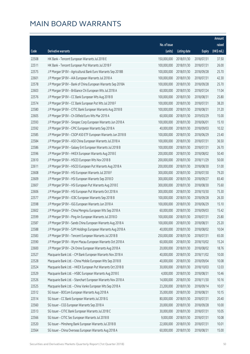|       |                                                              |                        |                     |               | Amount      |
|-------|--------------------------------------------------------------|------------------------|---------------------|---------------|-------------|
|       |                                                              | No. of issue           |                     |               | raised      |
| Code  | <b>Derivative warrants</b>                                   | (units)                | <b>Listing date</b> | <b>Expiry</b> | (HK\$ mil.) |
| 22508 | HK Bank - Tencent European Warrants Jul 2018 E               | 150,000,000            | 2018/01/30          | 2018/07/31    | 37.50       |
| 22511 | HK Bank - Tencent European Put Warrants Jul 2018 F           | 100,000,000            | 2018/01/30          | 2018/07/31    | 26.00       |
| 22575 | J P Morgan SP BV - Agricultural Bank Euro Warrants Sep 2018B | 100,000,000            | 2018/01/30          | 2018/09/28    | 25.70       |
| 22601 | J P Morgan SP BV - AIA European Warrants Jul 2018 A          | 100,000,000            | 2018/01/30          | 2018/07/31    | 42.30       |
| 22578 | J P Morgan SP BV - Bank of China European Warrants Sep 2018A | 100,000,000            | 2018/01/30          | 2018/09/28    | 25.70       |
| 22603 | J P Morgan SP BV - Brilliance Chi European Wts Jul 2018 A    | 60,000,000             | 2018/01/30          | 2018/07/24    | 11.04       |
| 22576 | J P Morgan SP BV - CC Bank European Wts Aug 2018 B           | 100,000,000            | 2018/01/30          | 2018/08/31    | 25.80       |
| 22574 | J P Morgan SP BV - CC Bank European Put Wts Jul 2018 F       | 100,000,000            | 2018/01/30          | 2018/07/31    | 38.20       |
| 22580 | J P Morgan SP BV - CITIC Bank European Warrants Aug 2018 B   | 100,000,000            | 2018/01/30          | 2018/08/31    | 31.20       |
| 22605 | J P Morgan SP BV - Ch Oilfield Euro Wts Mar 2019 A           | 60,000,000             | 2018/01/30          | 2019/03/29    | 15.00       |
| 22593 | J P Morgan SP BV - Sinopec Corp European Warrants Jun 2018 A | 100,000,000            | 2018/01/30          | 2018/06/01    | 15.10       |
| 22592 | J P Morgan SP BV - CPIC European Warrants Sep 2018 A         | 40,000,000             | 2018/01/30          | 2018/09/03    | 10.32       |
| 22585 | J P Morgan SP BV - CSOP A50 ETF European Warrants Jun 2018 B | 100,000,000            | 2018/01/30          | 2018/06/29    | 23.40       |
| 22584 | J P Morgan SP BV - A50 China European Warrants Jul 2018 A    | 100,000,000            | 2018/01/30          | 2018/07/31    | 36.50       |
| 22586 | J P Morgan SP BV - Galaxy Ent European Warrants Jul 2018 B   | 100,000,000            | 2018/01/30          | 2018/07/31    | 26.70       |
| 22596 | J P Morgan SP BV - HKEX European Warrants Aug 2018 E         | 200,000,000            | 2018/01/30          | 2018/08/02    | 50.40       |
| 22610 | J P Morgan SP BV - HSCEI European Wts Nov 2018 B             | 200,000,000            | 2018/01/30          | 2018/11/29    | 50.00       |
| 22611 | J P Morgan SP BV - HSCEI European Put Warrants Aug 2018 A    | 200,000,000            | 2018/01/30          | 2018/08/30    | 51.00       |
| 22608 | J P Morgan SP BV - HSI European Warrants Jul 2018 F          | 300,000,000            | 2018/01/30          | 2018/07/30    | 79.20       |
| 22609 | J P Morgan SP BV - HSI European Warrants Sep 2018 D          | 300,000,000            | 2018/01/30          | 2018/09/27    | 83.40       |
| 22607 | J P Morgan SP BV - HSI European Put Warrants Aug 2018 E      | 300,000,000            | 2018/01/30          | 2018/08/30    | 75.60       |
| 22606 | J P Morgan SP BV - HSI European Put Warrants Oct 2018 A      | 300,000,000            | 2018/01/30          | 2018/10/30    | 75.30       |
| 22577 | J P Morgan SP BV - ICBC European Warrants Sep 2018 B         | 100,000,000            | 2018/01/30          | 2018/09/28    | 26.30       |
| 22598 | J P Morgan SP BV - IGG European Warrants Jun 2018 A          | 100,000,000            | 2018/01/30          | 2018/06/29    | 15.10       |
| 22602 | J P Morgan SP BV - China Mengniu European Wts Sep 2018 A     | 60,000,000             | 2018/01/30          | 2018/09/03    | 15.42       |
| 22599 | J P Morgan SP BV - Ping An European Warrants Jul 2018 D      | 100,000,000            | 2018/01/30          | 2018/07/31    | 25.80       |
| 22587 | J P Morgan SP BV - Sands China European Warrants Aug 2018 A  | 100,000,000 2018/01/30 |                     | 2018/08/31    | 25.20       |
| 22588 | J P Morgan SP BV - SJM Holdings European Warrants Aug 2018 A | 40,000,000             | 2018/01/30          | 2018/08/02    | 10.04       |
| 22583 | J P Morgan SP BV - Tencent European Warrants Jul 2018 B      | 250,000,000            | 2018/01/30          | 2018/07/31    | 65.00       |
| 22590 | J P Morgan SP BV - Wynn Macau European Warrants Oct 2018 A   | 60,000,000             | 2018/01/30          | 2018/10/02    | 15.24       |
| 22600 | J P Morgan SP BV - ZA Onine European Warrants Aug 2018 A     | 20,000,000             | 2018/01/30          | 2018/08/02    | 18.76       |
| 22527 | Macquarie Bank Ltd. - CM Bank European Warrants Nov 2018 A   | 40,000,000             | 2018/01/30          | 2018/11/02    | 10.00       |
| 22528 | Macquarie Bank Ltd. - China Mobile European Wts Sep 2018 B   | 40,000,000             | 2018/01/30          | 2018/09/04    | 10.08       |
| 22524 | Macquarie Bank Ltd. - HKEX European Put Warrants Oct 2018 B  | 30,000,000             | 2018/01/30          | 2018/10/03    | 12.03       |
| 22529 | Macquarie Bank Ltd. - HSBC European Warrants Aug 2018 E      | 4,000,000              | 2018/01/30          | 2018/08/31    | 10.46       |
| 22526 | Macquarie Bank Ltd. - Stanchart European Warrants Nov 2018 A | 14,000,000             | 2018/01/30          | 2018/11/30    | 10.16       |
| 22525 | Macquarie Bank Ltd. - China Vanke European Wts Sep 2018 A    | 23,200,000             | 2018/01/30          | 2018/09/14    | 10.07       |
| 22512 | SG Issuer - BOCom European Warrants Aug 2018 A               | 35,000,000             | 2018/01/30          | 2018/08/31    | 10.15       |
| 22514 | SG Issuer - CC Bank European Warrants Jul 2018 G             | 80,000,000             | 2018/01/30          | 2018/07/31    | 20.40       |
| 22560 | SG Issuer - CGS European Warrants Sep 2018 A                 | 20,000,000             | 2018/01/30          | 2018/09/28    | 10.00       |
| 22513 | SG Issuer - CITIC Bank European Warrants Jul 2018 C          | 30,000,000             | 2018/01/30          | 2018/07/31    | 10.05       |
| 22566 | SG Issuer - CITIC Sec European Warrants Jul 2018 B           | 9,000,000              | 2018/01/30          | 2018/07/31    | 10.08       |
| 22520 | SG Issuer - Minsheng Bank European Warrants Jul 2018 B       | 22,000,000             | 2018/01/30          | 2018/07/31    | 10.01       |
| 22564 | SG Issuer - China Overseas European Warrants Aug 2018 A      | 60,000,000             | 2018/01/30          | 2018/08/31    | 15.00       |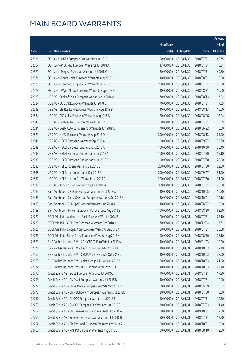|       |                                                              |              |                       |               | Amount      |
|-------|--------------------------------------------------------------|--------------|-----------------------|---------------|-------------|
|       |                                                              | No. of issue |                       |               | raised      |
| Code  | <b>Derivative warrants</b>                                   | (units)      | <b>Listing date</b>   | <b>Expiry</b> | (HK\$ mil.) |
| 22521 | SG Issuer - HKEX European Put Warrants Jul 2018 L            | 150,000,000  | 2018/01/30            | 2018/07/31    | 48.75       |
| 22567 | SG Issuer - PICC P&C European Warrants Jul 2018 A            | 13,000,000   | 2018/01/30            | 2018/07/31    | 10.01       |
| 22570 | SG Issuer - Ping An European Warrants Jul 2018 C             | 80,000,000   | 2018/01/30            | 2018/07/31    | 49.60       |
| 22571 | SG Issuer - Sands China European Warrants Aug 2018 C         | 40,000,000   | 2018/01/30            | 2018/08/31    | 10.00       |
| 22523 | SG Issuer - Tencent European Put Warrants Jul 2018 E         | 200,000,000  | 2018/01/30            | 2018/07/31    | 75.00       |
| 22573 | SG Issuer - Wynn Macau European Warrants Aug 2018 B          | 40,000,000   | 2018/01/30            | 2018/08/31    | 10.00       |
| 22628 | UBS AG - Bank of China European Warrants Aug 2018 A          | 70,000,000   | 2018/01/30            | 2018/08/13    | 17.92       |
| 22627 | UBS AG - CC Bank European Warrants Jul 2018 E                | 70,000,000   | 2018/01/30            | 2018/07/31    | 17.85       |
| 22633 | UBS AG - Chi Res Land European Warrants Aug 2018 B           | 40,000,000   | 2018/01/30            | 2018/08/13    | 10.00       |
| 22634 | UBS AG - A50 China European Warrants Aug 2018 B              | 20,000,000   | 2018/01/30            | 2018/08/06    | 13.04       |
| 22643 | UBS AG - Geely Auto European Warrants Jul 2018 D             | 50,000,000   | 2018/01/30            | 2018/07/31    | 13.95       |
| 22644 | UBS AG - Geely Auto European Put Warrants Jun 2018 B         | 70,000,000   | 2018/01/30            | 2018/06/22    | 10.50       |
| 22629 | UBS AG - HKEX European Warrants Aug 2018 D                   | 300,000,000  | 2018/01/30            | 2018/08/13    | 75.00       |
| 22641 | UBS AG - HSCEI European Warrants Sep 2018 A                  | 100,000,000  | 2018/01/30            | 2018/09/27    | 32.60       |
| 22639 | UBS AG - HSCEI European Warrants Oct 2018 A                  | 100,000,000  | 2018/01/30            | 2018/10/30    | 25.40       |
| 22533 | UBS AG - HSCEI European Put Warrants Jul 2018 A              | 100,000,000  | 2018/01/30            | 2018/07/30    | 15.10       |
| 22535 | UBS AG - HSCEI European Put Warrants Jul 2018 B              | 100,000,000  | 2018/01/30            | 2018/07/30    | 25.00       |
| 22635 | UBS AG - HSI European Warrants Jul 2018 E                    | 200,000,000  | 2018/01/30            | 2018/07/30    | 52.00       |
| 22636 | UBS AG - HSI European Warrants Sep 2018 B                    | 200,000,000  | 2018/01/30            | 2018/09/27    | 51.40       |
| 22532 | UBS AG - HSI European Put Warrants Jul 2018 D                | 200,000,000  | 2018/01/30            | 2018/07/30    | 31.00       |
| 22631 | UBS AG - Tencent European Warrants Jul 2018 A                | 300,000,000  | 2018/01/30            | 2018/07/31    | 78.00       |
| 22489 | Bank Vontobel - CM Bank European Warrants Oct 2018 A         | 40,000,000   | 2018/01/30            | 2018/10/05    | 10.20       |
| 22483 | Bank Vontobel - China Overseas European Warrants Oct 2018 A  | 40,000,000   | 2018/01/30            | 2018/10/04    | 10.16       |
| 22485 | Bank Vontobel - SHK Ppt European Warrants Jun 2018 A         | 40,000,000   | 2018/01/30            | 2018/06/27    | 12.00       |
| 22488 | Bank Vontobel - Tencent European Put Warrants Aug 2018 E     | 100,000,000  | 2018/01/30            | 2018/08/20    | 63.90       |
| 22722 | BOCI Asia Ltd. - Agricultural Bank European Wts Jul 2018 B   | 100,000,000  | 2018/01/31            | 2018/07/31    | 25.10       |
| 22723 | BOCI Asia Ltd. - CITIC Sec European Warrants Dec 2018 A      |              | 70,000,000 2018/01/31 | 2018/12/24    | 17.71       |
| 22720 | BOCI Asia Ltd. - Sinopec Corp European Warrants Jul 2018 A   | 80,000,000   | 2018/01/31            | 2018/07/31    | 20.08       |
| 22721 | BOCI Asia Ltd. - Sands China European Warrants Aug 2018 A    | 100,000,000  | 2018/01/31            | 2018/08/30    | 25.10       |
| 22670 | BNP Paribas Issuance B.V. - CAM CSI300 Euro Wts Jan 2019 A   | 40,000,000   | 2018/01/31            | 2019/01/03    | 10.00       |
| 22673 | BNP Paribas Issuance B.V. - BankComm Euro Wts Oct 2018 B     | 40,000,000   | 2018/01/31            | 2018/10/03    | 12.40       |
| 22669 | BNP Paribas Issuance B.V. - CSOP A50 ETF Eu Wts Oct 2018 D   | 40,000,000   | 2018/01/31            | 2018/10/03    | 28.00       |
| 22668 | BNP Paribas Issuance B.V. - China Mengniu Eu Wt Oct 2018 A   | 60,000,000   | 2018/01/31            | 2018/10/03    | 21.00       |
| 22672 | BNP Paribas Issuance B.V. - NCI European Wts Oct 2018 A      | 40,000,000   | 2018/01/31            | 2018/10/03    | 26.40       |
| 22770 | Credit Suisse AG - BOCL European Warrants Jul 2018 C         | 70,000,000   | 2018/01/31            | 2018/07/31    | 17.50       |
| 22753 | Credit Suisse AG - CK Asset European Warrants Jul 2018 B     | 40,000,000   | 2018/01/31            | 2018/07/31    | 10.00       |
| 22772 | Credit Suisse AG - China Mobile European Put Wts May 2018 B  | 60,000,000   | 2018/01/31            | 2018/05/09    | 10.02       |
| 22776 | Credit Suisse AG - Ch Molybdenum European Warrants Jul 2018B | 30,000,000   | 2018/01/31            | 2018/07/30    | 15.00       |
| 22767 | Credit Suisse AG - CNOOC European Warrants Jul 2018 B        | 50,000,000   | 2018/01/31            | 2018/07/31    | 12.50       |
| 22768 | Credit Suisse AG - CNOOC European Put Warrants Jul 2018 C    | 30,000,000   | 2018/01/31            | 2018/07/03    | 11.40       |
| 22762 | Credit Suisse AG - Ch Overseas European Warrants Oct 2019 A  | 50,000,000   | 2018/01/31            | 2019/10/31    | 12.50       |
| 22769 | Credit Suisse AG - Sinopec Corp European Warrants Jul 2018 B | 50,000,000   | 2018/01/31            | 2018/07/31    | 12.50       |
| 22764 | Credit Suisse AG - Chi Res Land European Warrants Oct 2018 A | 50,000,000   | 2018/01/31            | 2018/10/31    | 12.50       |
| 22763 | Credit Suisse AG - R&F Ppt European Warrants Aug 2018 B      | 50,000,000   | 2018/01/31            | 2018/08/10    | 12.50       |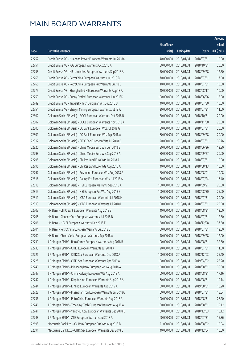|       |                                                              |                        |                     |               | Amount      |
|-------|--------------------------------------------------------------|------------------------|---------------------|---------------|-------------|
|       |                                                              | No. of issue           |                     |               | raised      |
| Code  | Derivative warrants                                          | (units)                | <b>Listing date</b> | <b>Expiry</b> | (HK\$ mil.) |
| 22752 | Credit Suisse AG - Huaneng Power European Warrants Jul 2018A | 40,000,000             | 2018/01/31          | 2018/07/31    | 10.00       |
| 22751 | Credit Suisse AG - IGG European Warrants Oct 2018 A          | 80,000,000             | 2018/01/31          | 2018/10/31    | 20.00       |
| 22758 | Credit Suisse AG - KB Laminates European Warrants Sep 2018 A | 50,000,000             | 2018/01/31          | 2018/09/28    | 12.50       |
| 22765 | Credit Suisse AG - PetroChina European Warrants Jul 2018 B   | 70,000,000             | 2018/01/31          | 2018/07/31    | 17.50       |
| 22766 | Credit Suisse AG - PetroChina European Put Warrants Jul 18 C | 40,000,000             | 2018/01/31          | 2018/07/31    | 10.00       |
| 22779 | Credit Suisse AG - Shanghai Ind H European Warrants Aug 18 A | 40,000,000             | 2018/01/31          | 2018/08/17    | 10.00       |
| 22759 | Credit Suisse AG - Sunny Optical European Warrants Jun 2018D | 100,000,000            | 2018/01/31          | 2018/06/26    | 15.00       |
| 22749 | Credit Suisse AG - Travelsky Tech European Wts Jul 2018 B    | 40,000,000             | 2018/01/31          | 2018/07/30    | 10.00       |
| 22754 | Credit Suisse AG - Zhaojin Mining European Warrants Jul 18 A | 20,000,000             | 2018/01/31          | 2018/07/31    | 11.00       |
| 22802 | Goldman Sachs SP (Asia) - BOCL European Warrants Oct 2018 B  | 80,000,000             | 2018/01/31          | 2018/10/31    | 20.00       |
| 22807 | Goldman Sachs SP (Asia) - BOCL European Warrants Nov 2018 A  | 80,000,000             | 2018/01/31          | 2018/11/30    | 20.00       |
| 22800 | Goldman Sachs SP (Asia) - CC Bank European Wts Jul 2018 G    | 80,000,000             | 2018/01/31          | 2018/07/31    | 20.00       |
| 22801 | Goldman Sachs SP (Asia) - CC Bank European Wts Sep 2018 A    | 80,000,000             | 2018/01/31          | 2018/09/28    | 20.00       |
| 22817 | Goldman Sachs SP (Asia) - CITIC Sec European Wts Jul 2018 B  | 20,000,000             | 2018/01/31          | 2018/07/31    | 35.76       |
| 22820 | Goldman Sachs SP (Asia) - China Mobile Euro Wts Jun 2018 E   | 80,000,000             | 2018/01/31          | 2018/06/26    | 12.80       |
| 22798 | Goldman Sachs SP (Asia) - China Mobile Euro Wts Sep 2018 A   | 80,000,000             | 2018/01/31          | 2018/09/27    | 20.00       |
| 22795 | Goldman Sachs SP (Asia) - Chi Res Land Euro Wts Jul 2018 A   | 40,000,000             | 2018/01/31          | 2018/07/31    | 10.00       |
| 22796 | Goldman Sachs SP (Asia) - Chi Res Land Euro Wts Aug 2018 A   | 40,000,000             | 2018/01/31          | 2018/08/13    | 10.00       |
| 22797 | Goldman Sachs SP (Asia) - Fosun Intl European Wts Aug 2018 A | 60,000,000             | 2018/01/31          | 2018/08/01    | 10.08       |
| 22816 | Goldman Sachs SP (Asia) - Galaxy Ent European Wts Jul 2018 A | 80,000,000             | 2018/01/31          | 2018/07/24    | 16.40       |
| 22818 | Goldman Sachs SP (Asia) - HSI European Warrants Sep 2018 A   | 100,000,000            | 2018/01/31          | 2018/09/27    | 25.00       |
| 22819 | Goldman Sachs SP (Asia) - HSI European Put Wts Aug 2018 B    | 100,000,000            | 2018/01/31          | 2018/08/30    | 25.00       |
| 22811 | Goldman Sachs SP (Asia) - ICBC European Warrants Jul 2018 H  | 80,000,000             | 2018/01/31          | 2018/07/31    | 20.00       |
| 22813 | Goldman Sachs SP (Asia) - ICBC European Warrants Jul 2018 I  | 80,000,000             | 2018/01/31          | 2018/07/31    | 20.00       |
| 22703 | HK Bank - CITIC Bank European Warrants Aug 2018 B            | 40,000,000             | 2018/01/31          | 2018/08/31    | 12.00       |
| 22705 | HK Bank - Sinopec Corp European Warrants Jul 2018 B          | 50,000,000             | 2018/01/31          | 2018/07/31    | 12.50       |
| 22706 | HK Bank - HSCEI European Warrants Dec 2018 E                 | 150,000,000 2018/01/31 |                     | 2018/12/28    | 37.50       |
| 22704 | HK Bank - PetroChina European Warrants Jul 2018 C            | 50,000,000             | 2018/01/31          | 2018/07/31    | 12.50       |
| 22700 | HK Bank - China Vanke European Warrants Sep 2018 A           | 40,000,000             | 2018/01/31          | 2018/09/28    | 12.00       |
| 22739 | J P Morgan SP BV - BankComm European Warrants Aug 2018 B     | 100,000,000            | 2018/01/31          | 2018/08/31    | 32.50       |
| 22733 | J P Morgan SP BV - CITIC European Warrants Jul 2018 A        | 20,000,000             | 2018/01/31          | 2018/07/31    | 11.50       |
| 22726 | J P Morgan SP BV - CITIC Sec European Warrants Dec 2018 A    | 100,000,000            | 2018/01/31          | 2018/12/03    | 25.40       |
| 22725 | J P Morgan SP BV - CITIC Sec European Warrants Apr 2019 A    | 100,000,000            | 2018/01/31          | 2019/04/02    | 25.20       |
| 22740 | J P Morgan SP BV - Minsheng Bank European Wts Aug 2018 A     | 100,000,000            | 2018/01/31          | 2018/08/31    | 38.30       |
| 22747 | J P Morgan SP BV - China Railway European Wts Aug 2018 A     | 60,000,000             | 2018/01/31          | 2018/08/31    | 17.16       |
| 22742 | J P Morgan SP BV - Kingdee Intl European Warrants Aug 2018 A | 60,000,000             | 2018/01/31          | 2018/08/31    | 19.14       |
| 22744 | J P Morgan SP BV - Li Ning European Warrants Aug 2019 A      | 60,000,000             | 2018/01/31          | 2019/08/01    | 10.20       |
| 22728 | J P Morgan SP BV - Maanshan Iron European Warrants Jul 2018A | 60,000,000             | 2018/01/31          | 2018/07/31    | 18.84       |
| 22736 | J P Morgan SP BV - PetroChina European Warrants Aug 2018 A   | 100,000,000            | 2018/01/31          | 2018/08/31    | 27.20       |
| 22746 | J P Morgan SP BV - Travelsky Tech European Warrants Aug 18 A | 60,000,000             | 2018/01/31          | 2018/08/31    | 15.12       |
| 22741 | J P Morgan SP BV - Yanzhou Coal European Warrants Dec 2018 B | 60,000,000             | 2018/01/31          | 2018/12/03    | 15.12       |
| 22748 | J P Morgan SP BV - ZTE European Warrants Jul 2018 A          | 60,000,000             | 2018/01/31          | 2018/07/31    | 15.36       |
| 22698 | Macquarie Bank Ltd. - CC Bank European Put Wts Aug 2018 B    | 21,000,000             | 2018/01/31          | 2018/08/02    | 10.04       |
| 22691 | Macquarie Bank Ltd. - CITIC Sec European Warrants Dec 2018 B | 40,000,000             | 2018/01/31          | 2018/12/04    | 10.00       |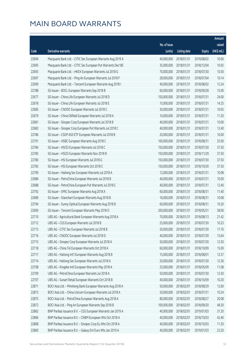|       |                                                              |              |                       |               | Amount      |
|-------|--------------------------------------------------------------|--------------|-----------------------|---------------|-------------|
|       |                                                              | No. of issue |                       |               | raised      |
| Code  | Derivative warrants                                          | (units)      | <b>Listing date</b>   | <b>Expiry</b> | (HK\$ mil.) |
| 22694 | Macquarie Bank Ltd. - CITIC Sec European Warrants Aug 2019 A | 40,000,000   | 2018/01/31            | 2019/08/02    | 10.00       |
| 22695 | Macquarie Bank Ltd. - CITIC Sec European Put Warrants Dec18C | 35,000,000   | 2018/01/31            | 2018/12/04    | 10.92       |
| 22693 | Macquarie Bank Ltd. - HKEX European Warrants Jul 2018 G      | 70,000,000   | 2018/01/31            | 2018/07/30    | 10.50       |
| 22697 | Macquarie Bank Ltd. - Ping An European Warrants Jul 2018 F   | 28,000,000   | 2018/01/31            | 2018/07/04    | 10.14       |
| 22699 | Macquarie Bank Ltd. - Tencent European Warrants Aug 2018 I   | 40,000,000   | 2018/01/31            | 2018/08/02    | 12.24       |
| 22788 | SG Issuer - BOCL European Warrants Sep 2018 B                | 60,000,000   | 2018/01/31            | 2018/09/28    | 15.00       |
| 22677 | SG Issuer - China Life European Warrants Jul 2018 D          | 150,000,000  | 2018/01/31            | 2018/07/31    | 24.00       |
| 22678 | SG Issuer - China Life European Warrants Jul 2018 E          | 15,000,000   | 2018/01/31            | 2018/07/31    | 14.25       |
| 22685 | SG Issuer - CNOOC European Warrants Jul 2018 C               | 30,000,000   | 2018/01/31            | 2018/07/31    | 10.05       |
| 22679 | SG Issuer - China Oilfield European Warrants Jul 2018 A      | 10,000,000   | 2018/01/31            | 2018/07/31    | 11.20       |
| 22681 | SG Issuer - Sinopec Corp European Warrants Jul 2018 B        | 40,000,000   | 2018/01/31            | 2018/07/31    | 10.00       |
| 22683 | SG Issuer - Sinopec Corp European Put Warrants Jul 2018 C    | 40,000,000   | 2018/01/31            | 2018/07/31    | 12.40       |
| 22786 | SG Issuer - CSOP A50 ETF European Warrants Jul 2018 B        | 20,000,000   | 2018/01/31            | 2018/07/31    | 10.00       |
| 22791 | SG Issuer - HSBC European Warrants Aug 2018 C                | 100,000,000  | 2018/01/31            | 2018/08/31    | 25.00       |
| 22784 | SG Issuer - HSCEI European Warrants Jul 2018 C               | 150,000,000  | 2018/01/31            | 2018/07/30    | 37.50       |
| 22785 | SG Issuer - HSCEI European Warrants Nov 2018 B               | 150,000,000  | 2018/01/31            | 2018/11/29    | 37.50       |
| 22780 | SG Issuer - HSI European Warrants Jul 2018 G                 | 150,000,000  | 2018/01/31            | 2018/07/30    | 37.50       |
| 22783 | SG Issuer - HSI European Warrants Oct 2018 C                 | 150,000,000  | 2018/01/31            | 2018/10/30    | 37.50       |
| 22790 | SG Issuer - Haitong Sec European Warrants Jul 2018 A         | 12,000,000   | 2018/01/31            | 2018/07/31    | 10.08       |
| 22686 | SG Issuer - PetroChina European Warrants Jul 2018 B          | 40,000,000   | 2018/01/31            | 2018/07/31    | 10.00       |
| 22688 | SG Issuer - PetroChina European Put Warrants Jul 2018 C      | 40,000,000   | 2018/01/31            | 2018/07/31    | 12.40       |
| 22792 | SG Issuer - SMIC European Warrants Aug 2018 A                | 60,000,000   | 2018/01/31            | 2018/08/31    | 11.40       |
| 22689 | SG Issuer - Stanchart European Warrants Aug 2018 B           | 16,000,000   | 2018/01/31            | 2018/08/31    | 10.08       |
| 22794 | SG Issuer - Sunny Optical European Warrants Aug 2018 B       | 60,000,000   | 2018/01/31            | 2018/08/31    | 10.20       |
| 22690 | SG Issuer - Tencent European Warrants May 2018 O             | 200,000,000  | 2018/01/31            | 2018/05/31    | 38.00       |
| 22710 | UBS AG - Agricultural Bank European Warrants Aug 2018 A      | 70,000,000   | 2018/01/31            | 2018/08/13    | 21.42       |
| 22712 | UBS AG - CGS European Warrants Jul 2018 B                    |              | 25,000,000 2018/01/31 | 2018/07/30    | 10.23       |
| 22713 | UBS AG - CITIC Sec European Warrants Jul 2018 B              | 20,000,000   | 2018/01/31            | 2018/07/30    | 17.76       |
| 22716 | UBS AG - CNOOC European Warrants Jul 2018 D                  | 40,000,000   | 2018/01/31            | 2018/07/30    | 13.64       |
| 22715 | UBS AG - Sinopec Corp European Warrants Jul 2018 A           | 50,000,000   | 2018/01/31            | 2018/07/30    | 12.50       |
| 22718 | UBS AG - China Tel European Warrants Oct 2018 A              | 60,000,000   | 2018/01/31            | 2018/10/09    | 15.00       |
| 22717 | UBS AG - Haitong Int'l European Warrants Aug 2018 B          | 15,000,000   | 2018/01/31            | 2018/08/01    | 12.57       |
| 22714 | UBS AG - Haitong Sec European Warrants Jul 2018 A            | 20,000,000   | 2018/01/31            | 2018/07/30    | 12.36       |
| 22708 | UBS AG - Kingdee Intl European Warrants May 2018 A           | 25,000,000   | 2018/01/31            | 2018/05/09    | 11.08       |
| 22709 | UBS AG - PetroChina European Warrants Jul 2018 A             | 50,000,000   | 2018/01/31            | 2018/07/30    | 12.50       |
| 22707 | UBS AG - Sunart Retail European Warrants Oct 2018 B          | 40,000,000   | 2018/01/31            | 2018/10/09    | 10.20       |
| 22871 | BOCI Asia Ltd. - Minsheng Bank European Warrants Aug 2018 A  | 50,000,000   | 2018/02/01            | 2018/08/29    | 12.60       |
| 22873 | BOCI Asia Ltd. - China Unicom European Warrants Jul 2018 A   | 20,000,000   | 2018/02/01            | 2018/07/31    | 10.24       |
| 22875 | BOCI Asia Ltd. - PetroChina European Warrants Aug 2018 A     | 80,000,000   | 2018/02/01            | 2018/08/27    | 20.08       |
| 22872 | BOCI Asia Ltd. - Ping An European Warrants Sep 2018 B        | 100,000,000  | 2018/02/01            | 2018/09/20    | 48.30       |
| 22862 | BNP Paribas Issuance B.V. - CGS European Warrants Jan 2019 A | 40,000,000   | 2018/02/01            | 2019/01/03    | 31.20       |
| 22866 | BNP Paribas Issuance B.V. - CNBM European Wts Oct 2018 A     | 40,000,000   | 2018/02/01            | 2018/10/03    | 42.40       |
| 22868 | BNP Paribas Issuance B.V. - Sinopec Corp Eu Wts Oct 2018 A   | 40,000,000   | 2018/02/01            | 2018/10/03    | 11.20       |
| 22860 | BNP Paribas Issuance B.V. - Galaxy Ent Euro Wts Jan 2019 A   | 40,000,000   | 2018/02/01            | 2019/01/03    | 23.20       |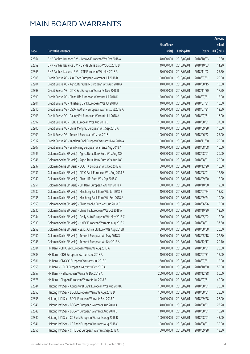|       |                                                              |                        |                     |               | Amount      |
|-------|--------------------------------------------------------------|------------------------|---------------------|---------------|-------------|
|       |                                                              | No. of issue           |                     |               | raised      |
| Code  | <b>Derivative warrants</b>                                   | (units)                | <b>Listing date</b> | <b>Expiry</b> | (HK\$ mil.) |
| 22864 | BNP Paribas Issuance B.V. - Lenovo European Wts Oct 2018 A   | 40,000,000             | 2018/02/01          | 2018/10/03    | 10.80       |
| 22859 | BNP Paribas Issuance B.V. - Sands China Euro Wt Oct 2018 B   | 40,000,000             | 2018/02/01          | 2018/10/03    | 11.20       |
| 22865 | BNP Paribas Issuance B.V. - ZTE European Wts Nov 2018 A      | 50,000,000             | 2018/02/01          | 2018/11/02    | 25.50       |
| 22908 | Credit Suisse AG - AAC Tech European Warrants Jul 2018 B     | 100,000,000            | 2018/02/01          | 2018/07/31    | 25.00       |
| 22904 | Credit Suisse AG - Agricultural Bank European Wts Aug 2018 A | 40,000,000             | 2018/02/01          | 2018/08/15    | 10.00       |
| 22898 | Credit Suisse AG - CITIC Sec European Warrants Nov 2018 B    | 70,000,000             | 2018/02/01          | 2018/11/30    | 17.50       |
| 22899 | Credit Suisse AG - China Life European Warrants Jul 2018 D   | 120,000,000            | 2018/02/01          | 2018/07/31    | 18.00       |
| 22901 | Credit Suisse AG - Minsheng Bank European Wts Jul 2018 A     | 40,000,000             | 2018/02/01          | 2018/07/31    | 10.00       |
| 22910 | Credit Suisse AG - CSOP A50 ETF European Warrants Jul 2018 A | 50,000,000             | 2018/02/01          | 2018/07/31    | 12.50       |
| 22903 | Credit Suisse AG - Galaxy Ent European Warrants Jul 2018 A   | 50,000,000             | 2018/02/01          | 2018/07/31    | 16.00       |
| 22897 | Credit Suisse AG - HSBC European Wts Aug 2018 B              | 150,000,000            | 2018/02/01          | 2018/08/31    | 37.50       |
| 22900 | Credit Suisse AG - China Mengniu European Wts Sep 2018 A     | 40,000,000             | 2018/02/01          | 2018/09/28    | 10.00       |
| 22909 | Credit Suisse AG - Tencent European Wts Jun 2018 L           | 100,000,000            | 2018/02/01          | 2018/06/22    | 25.00       |
| 22912 | Credit Suisse AG - Yanzhou Coal European Warrants Nov 2018 A | 100,000,000            | 2018/02/01          | 2018/11/30    | 25.00       |
| 22907 | Credit Suisse AG - Zijin Mining European Warrants Aug 2018 A | 40,000,000             | 2018/02/01          | 2018/08/08    | 10.00       |
| 22945 | Goldman Sachs SP (Asia) - Agricultural Bank Euro Wts Aug 18B | 80,000,000             | 2018/02/01          | 2018/08/01    | 20.00       |
| 22946 | Goldman Sachs SP (Asia) - Agricultural Bank Euro Wts Aug 18C | 80,000,000             | 2018/02/01          | 2018/08/01    | 20.00       |
| 22937 | Goldman Sachs SP (Asia) - BOC HK European Wts Dec 2018 A     | 50,000,000             | 2018/02/01          | 2018/12/20    | 10.00       |
| 22931 | Goldman Sachs SP (Asia) - CITIC Bank European Wts Aug 2018 B | 50,000,000             | 2018/02/01          | 2018/08/01    | 12.50       |
| 22940 | Goldman Sachs SP (Asia) - China Life Euro Wts Sep 2018 C     | 80,000,000             | 2018/02/01          | 2018/09/20    | 12.00       |
| 22951 | Goldman Sachs SP (Asia) - CM Bank European Wts Oct 2018 A    | 50,000,000             | 2018/02/01          | 2018/10/30    | 12.50       |
| 22932 | Goldman Sachs SP (Asia) - Minsheng Bank Euro Wts Jul 2018 B  | 40,000,000             | 2018/02/01          | 2018/07/24    | 13.72       |
| 22935 | Goldman Sachs SP (Asia) - Minsheng Bank Euro Wts Sep 2018 A  | 40,000,000             | 2018/02/01          | 2018/09/24    | 10.00       |
| 22953 | Goldman Sachs SP (Asia) - China Mobile Euro Wts Jun 2018 F   | 70,000,000             | 2018/02/01          | 2018/06/26    | 10.50       |
| 22930 | Goldman Sachs SP (Asia) - China Tel European Wts Oct 2018 A  | 50,000,000             | 2018/02/01          | 2018/10/30    | 12.50       |
| 22944 | Goldman Sachs SP (Asia) - Geely Auto European Wts May 2018 C | 80,000,000             | 2018/02/01          | 2018/05/02    | 12.00       |
| 22939 | Goldman Sachs SP (Asia) - HKEX European Warrants Aug 2018 C  | 150,000,000 2018/02/01 |                     | 2018/08/01    | 37.50       |
| 22952 | Goldman Sachs SP (Asia) - Sands China Ltd Euro Wts Aug 2018B | 80,000,000             | 2018/02/01          | 2018/08/08    | 20.00       |
| 22950 | Goldman Sachs SP (Asia) - Tencent European Wt May 2018 X     | 150,000,000            | 2018/02/01          | 2018/05/18    | 22.50       |
| 22948 | Goldman Sachs SP (Asia) - Tencent European Wt Dec 2018 A     | 150,000,000            | 2018/02/01          | 2018/12/17    | 29.70       |
| 22884 | HK Bank - CITIC Sec European Warrants Aug 2018 A             | 80,000,000             | 2018/02/01          | 2018/08/31    | 20.00       |
| 22883 | HK Bank - CKH European Warrants Jul 2018 A                   | 40,000,000             | 2018/02/01          | 2018/07/31    | 12.00       |
| 22881 | HK Bank - CNOOC European Warrants Jul 2018 C                 | 30,000,000             | 2018/02/01          | 2018/07/31    | 12.00       |
| 22858 | HK Bank - HSCEI European Warrants Oct 2018 A                 | 200,000,000            | 2018/02/01          | 2018/10/30    | 50.00       |
| 22857 | HK Bank - HSI European Warrants Dec 2018 A                   | 200,000,000            | 2018/02/01          | 2018/12/28    | 50.00       |
| 22878 | HK Bank - Ping An European Warrants Jul 2018 E               | 50,000,000             | 2018/02/01          | 2018/07/31    | 40.00       |
| 22844 | Haitong Int'l Sec - Agricultural Bank European Wts Aug 2018A | 100,000,000            | 2018/02/01          | 2018/08/01    | 26.00       |
| 22853 | Haitong Int'l Sec - BOCL European Warrants Aug 2018 D        | 100,000,000            | 2018/02/01          | 2018/08/01    | 28.00       |
| 22855 | Haitong Int'l Sec - BOCL European Warrants Sep 2018 A        | 100,000,000            | 2018/02/01          | 2018/09/28    | 27.00       |
| 22846 | Haitong Int'l Sec - BOCom European Warrants Aug 2018 A       | 40,000,000             | 2018/02/01          | 2018/08/01    | 23.20       |
| 22848 | Haitong Int'l Sec - BOCom European Warrants Aug 2018 B       | 40,000,000             | 2018/02/01          | 2018/08/01    | 15.20       |
| 22840 | Haitong Int'l Sec - CC Bank European Warrants Aug 2018 B     | 100,000,000            | 2018/02/01          | 2018/08/01    | 43.00       |
| 22841 | Haitong Int'l Sec - CC Bank European Warrants Aug 2018 C     | 100,000,000            | 2018/02/01          | 2018/08/01    | 30.00       |
| 22856 | Haitong Int'l Sec - CITIC Sec European Warrants Sep 2018 C   | 50,000,000             | 2018/02/01          | 2018/09/28    | 13.30       |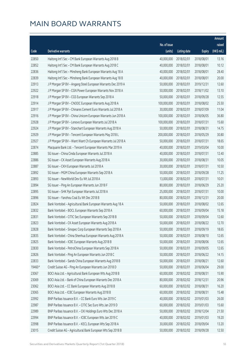|        |                                                              |              |                       |               | Amount      |
|--------|--------------------------------------------------------------|--------------|-----------------------|---------------|-------------|
|        |                                                              | No. of issue |                       |               | raised      |
| Code   | <b>Derivative warrants</b>                                   | (units)      | <b>Listing date</b>   | <b>Expiry</b> | (HK\$ mil.) |
| 22850  | Haitong Int'l Sec - CM Bank European Warrants Aug 2018 B     | 40,000,000   | 2018/02/01            | 2018/08/01    | 13.16       |
| 22852  | Haitong Int'l Sec - CM Bank European Warrants Aug 2018 C     | 40,000,000   | 2018/02/01            | 2018/08/01    | 10.12       |
| 22836  | Haitong Int'l Sec - Minsheng Bank European Warrants Aug 18 A | 40,000,000   | 2018/02/01            | 2018/08/01    | 28.40       |
| 22839  | Haitong Int'l Sec - Minsheng Bank European Warrants Aug 18 B | 40,000,000   | 2018/02/01            | 2018/08/01    | 20.00       |
| 22913  | J P Morgan SP BV - Angang Steel European Warrants Dec 2019 A | 50,000,000   | 2018/02/01            | 2019/12/31    | 12.60       |
| 22922  | J P Morgan SP BV - CGN Power European Warrants Nov 2018 A    | 50,000,000   | 2018/02/01            | 2018/11/02    | 13.10       |
| 22918  | J P Morgan SP BV - CGS European Warrants Sep 2018 A          | 50,000,000   | 2018/02/01            | 2018/09/28    | 12.55       |
| 22914  | J P Morgan SP BV - CNOOC European Warrants Aug 2018 A        | 100,000,000  | 2018/02/01            | 2018/08/02    | 25.50       |
| 22917  | J P Morgan SP BV - Chinares Cement Euro Warrants Jul 2018 A  | 30,000,000   | 2018/02/01            | 2018/07/09    | 11.04       |
| 22916  | J P Morgan SP BV - China Unicom European Warrants Jun 2018 A | 100,000,000  | 2018/02/01            | 2018/06/05    | 36.80       |
| 22928  | J P Morgan SP BV - Lenovo European Warrants Jul 2018 A       | 100,000,000  | 2018/02/01            | 2018/07/31    | 15.60       |
| 22924  | J P Morgan SP BV - Stanchart European Warrants Aug 2018 A    | 50,000,000   | 2018/02/01            | 2018/08/31    | 14.75       |
| 22929  | J P Morgan SP BV - Tencent European Warrants May 2018 L      | 200,000,000  | 2018/02/01            | 2018/05/29    | 30.80       |
| 22927  | J P Morgan SP BV - Want Want Ch European Warrants Jul 2018 A | 50,000,000   | 2018/02/01            | 2018/07/31    | 18.65       |
| 22874  | Macquarie Bank Ltd. - Tencent European Warrants Mar 2019 A   | 40,000,000   | 2018/02/01            | 2019/03/04    | 10.00       |
| 22885  | SG Issuer - China Cinda European Warrants Jul 2018 A         | 40,000,000   | 2018/02/01            | 2018/07/31    | 12.40       |
| 22886  | SG Issuer - CK Asset European Warrants Aug 2018 A            | 30,000,000   | 2018/02/01            | 2018/08/31    | 10.05       |
| 22887  | SG Issuer - CKH European Warrants Jul 2018 A                 | 30,000,000   | 2018/02/01            | 2018/07/31    | 10.50       |
| 22892  | SG Issuer - MGM China European Warrants Sep 2018 A           | 50,000,000   | 2018/02/01            | 2018/09/28    | 11.25       |
| 22893  | SG Issuer - NewWorld Dev Eu Wt Jul 2018 A                    | 13,000,000   | 2018/02/01            | 2018/07/31    | 10.01       |
| 22894  | SG Issuer - Ping An European Warrants Jun 2018 F             | 80,000,000   | 2018/02/01            | 2018/06/29    | 25.20       |
| 22895  | SG Issuer - SHK Ppt European Warrants Jul 2018 A             | 25,000,000   | 2018/02/01            | 2018/07/31    | 10.00       |
| 22896  | SG Issuer - Yanzhou Coal Eu Wt Dec 2018 B                    | 80,000,000   | 2018/02/01            | 2018/12/31    | 20.00       |
| 22824  | Bank Vontobel - Agricultural Bank European Warrants Aug 18 A | 50,000,000   | 2018/02/01            | 2018/08/02    | 12.65       |
| 22832  | Bank Vontobel - BOCL European Warrants Sep 2018 A            | 60,000,000   | 2018/02/01            | 2018/09/04    | 15.18       |
| 22831  | Bank Vontobel - CITIC Sec European Warrants Sep 2018 B       | 50,000,000   | 2018/02/01            | 2018/09/04    | 12.60       |
| 22823  | Bank Vontobel - CK Asset European Warrants Aug 2018 A        |              | 50,000,000 2018/02/01 | 2018/08/22    | 12.70       |
| 22828  | Bank Vontobel - Sinopec Corp European Warrants Sep 2018 A    | 50,000,000   | 2018/02/01            | 2018/09/19    | 18.65       |
| 22835  | Bank Vontobel - China Shenhua European Warrants Aug 2018 A   | 50,000,000   | 2018/02/01            | 2018/08/10    | 12.65       |
| 22825  | Bank Vontobel - ICBC European Warrants Aug 2018 B            | 50,000,000   | 2018/02/01            | 2018/08/06    | 12.65       |
| 22830  | Bank Vontobel - PetroChina European Warrants Sep 2018 A      | 50,000,000   | 2018/02/01            | 2018/09/05    | 12.65       |
| 22826  | Bank Vontobel - Ping An European Warrants Jun 2018 C         | 50,000,000   | 2018/02/01            | 2018/06/22    | 14.15       |
| 22833  | Bank Vontobel - Sands China European Warrants Aug 2018 B     | 50,000,000   | 2018/02/01            | 2018/08/21    | 12.60       |
| 19460# | Credit Suisse AG - Ping An European Warrants Jun 2018 D      | 50,000,000   | 2018/02/01            | 2018/06/04    | 29.00       |
| 23067  | BOCI Asia Ltd. - Agricultural Bank European Wts Aug 2018 B   | 60,000,000   | 2018/02/02            | 2018/08/31    | 15.90       |
| 23069  | BOCI Asia Ltd. - Bank of China European Warrants Dec 2018 A  | 80,000,000   | 2018/02/02            | 2018/12/31    | 20.96       |
| 23062  | BOCI Asia Ltd. - CC Bank European Warrants Aug 2018 B        | 60,000,000   | 2018/02/02            | 2018/08/31    | 16.20       |
| 23065  | BOCI Asia Ltd. - ICBC European Warrants Aug 2018 B           | 60,000,000   | 2018/02/02            | 2018/08/31    | 15.48       |
| 22992  | BNP Paribas Issuance B.V. - CC Bank Euro Wts Jan 2019 C      | 40,000,000   | 2018/02/02            | 2019/01/03    | 26.00       |
| 22987  | BNP Paribas Issuance B.V. - CITIC Sec Euro Wts Jan 2019 D    | 60,000,000   | 2018/02/02            | 2019/01/03    | 15.60       |
| 22989  | BNP Paribas Issuance B.V. - CKI Holdings Euro Wts Dec 2018 A | 50,000,000   | 2018/02/02            | 2018/12/04    | 21.50       |
| 22994  | BNP Paribas Issuance B.V. - ICBC European Wts Jan 2019 C     | 40,000,000   | 2018/02/02            | 2019/01/03    | 19.20       |
| 22998  | BNP Paribas Issuance B.V. - KECL European Wts Sep 2018 A     | 30,000,000   | 2018/02/02            | 2018/09/04    | 13.20       |
| 23015  | Credit Suisse AG - Agricultural Bank European Wts Sep 2018 B | 50,000,000   | 2018/02/02            | 2018/09/28    | 12.50       |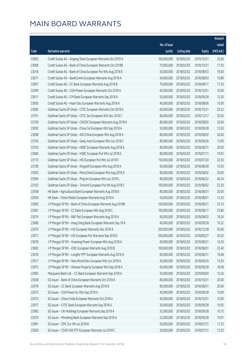|       |                                                              |              |                       |               | Amount      |
|-------|--------------------------------------------------------------|--------------|-----------------------|---------------|-------------|
|       |                                                              | No. of issue |                       |               | raised      |
| Code  | Derivative warrants                                          | (units)      | <b>Listing date</b>   | <b>Expiry</b> | (HK\$ mil.) |
| 23002 | Credit Suisse AG - Angang Steel European Warrants Oct 2019 A | 100,000,000  | 2018/02/02            | 2019/10/31    | 25.00       |
| 23008 | Credit Suisse AG - Bank of China European Warrants Oct 2018B | 70,000,000   | 2018/02/02            | 2018/10/31    | 17.50       |
| 23018 | Credit Suisse AG - Bank of China European Put Wts Aug 2018 B | 50,000,000   | 2018/02/02            | 2018/08/03    | 16.00       |
| 23017 | Credit Suisse AG - BankComm European Warrants Aug 2018 A     | 40,000,000   | 2018/02/02            | 2018/08/03    | 10.80       |
| 23007 | Credit Suisse AG - CC Bank European Warrants Aug 2018 B      | 70,000,000   | 2018/02/02            | 2018/08/17    | 17.50       |
| 22999 | Credit Suisse AG - CGN Power European Warrants Oct 2018 A    | 40,000,000   | 2018/02/02            | 2018/10/31    | 10.00       |
| 23011 | Credit Suisse AG - CM Bank European Warrants Sep 2018 A      | 50,000,000   | 2018/02/02            | 2018/09/28    | 12.50       |
| 23005 | Credit Suisse AG - Haier Elec European Warrants Aug 2018 A   | 40,000,000   | 2018/02/02            | 2018/08/06    | 10.00       |
| 23085 | Goldman Sachs SP (Asia) - CITIC European Warrants Oct 2018 A | 60,000,000   | 2018/02/02            | 2018/10/31    | 29.52       |
| 23101 | Goldman Sachs SP (Asia) - CITIC Sec European Wts Dec 2018 C  | 80,000,000   | 2018/02/02            | 2018/12/17    | 20.56       |
| 23109 | Goldman Sachs SP (Asia) - CNOOC European Warrants Aug 2018 A | 80,000,000   | 2018/02/02            | 2018/08/02    | 20.00       |
| 23092 | Goldman Sachs SP (Asia) - China Tel European Wts Sep 2018 A  | 50,000,000   | 2018/02/02            | 2018/09/28    | 12.50       |
| 23098 | Goldman Sachs SP (Asia) - A50 China European Wts Aug 2018 A  | 80,000,000   | 2018/02/02            | 2018/08/02    | 20.00       |
| 23105 | Goldman Sachs SP (Asia) - Geely Auto European Wts Jun 2018 C | 80,000,000   | 2018/02/02            | 2018/06/26    | 12.00       |
| 23103 | Goldman Sachs SP (Asia) - HSBC European Warrants Aug 2018 A  | 80,000,000   | 2018/02/02            | 2018/08/31    | 20.00       |
| 23084 | Goldman Sachs SP (Asia) - HSBC European Put Wts Jul 2018 E   | 80,000,000   | 2018/02/02            | 2018/07/11    | 19.92       |
| 23110 | Goldman Sachs SP (Asia) - HSI European Put Wts Jul 2018 F    | 150,000,000  | 2018/02/02            | 2018/07/30    | 22.50       |
| 23100 | Goldman Sachs SP (Asia) - Kingsoft European Wts Aug 2018 A   | 60,000,000   | 2018/02/02            | 2018/08/28    | 10.20       |
| 23093 | Goldman Sachs SP (Asia) - PetroChina European Wts Aug 2018 A | 80,000,000   | 2018/02/02            | 2018/08/02    | 20.00       |
| 23094 | Goldman Sachs SP (Asia) - Ping An European Wts Jun 2018 L    | 80,000,000   | 2018/02/02            | 2018/06/22    | 40.24       |
| 23102 | Goldman Sachs SP (Asia) - Tencent European Put Wt Aug 2018 C | 100,000,000  | 2018/02/02            | 2018/08/02    | 52.20       |
| 22958 | HK Bank - Agricultural Bank European Warrants Aug 2018 B     | 80,000,000   | 2018/02/02            | 2018/08/31    | 20.00       |
| 22959 | HK Bank - China Mobile European Warrants Aug 2018 A          | 50,000,000   | 2018/02/02            | 2018/08/01    | 12.50       |
| 23083 | J P Morgan SP BV - Bank of China European Warrants Aug 2018B | 100,000,000  | 2018/02/02            | 2018/08/31    | 25.10       |
| 23081 | J P Morgan SP BV - CC Bank European Wts Aug 2018 C           | 100,000,000  | 2018/02/02            | 2018/08/17    | 25.80       |
| 23074 | J P Morgan SP BV - R&F Ppt European Warrants Aug 2018 A      | 60,000,000   | 2018/02/02            | 2018/08/02    | 18.24       |
| 23080 | J P Morgan SP BV - Hang Seng Bank European Warrants Sep 18 A |              | 40,000,000 2018/02/02 | 2018/09/28    | 10.32       |
| 23070 | J P Morgan SP BV - HSI European Warrants Dec 2018 A          | 200,000,000  | 2018/02/02            | 2018/12/28    | 50.60       |
| 23071 | J P Morgan SP BV - HSI European Put Warrants Sep 2018 E      | 200,000,000  | 2018/02/02            | 2018/09/27    | 50.20       |
| 23078 | J P Morgan SP BV - Huaneng Power European Wts Aug 2018 A     | 60,000,000   | 2018/02/02            | 2018/08/31    | 16.20       |
| 23082 | J P Morgan SP BV - ICBC European Warrants Aug 2018 B         | 100,000,000  | 2018/02/02            | 2018/08/01    | 25.40       |
| 23076 | J P Morgan SP BV - Longfor PPT European Warrants Aug 2018 A  | 60,000,000   | 2018/02/02            | 2018/08/31    | 16.08       |
| 23077 | J P Morgan SP BV - New World Dev European Wts Jun 2018 A     | 45,000,000   | 2018/02/02            | 2018/06/29    | 15.53       |
| 23075 | J P Morgan SP BV - Shimao Property European Wts Sep 2018 A   | 60,000,000   | 2018/02/02            | 2018/09/28    | 16.08       |
| 22965 | Macquarie Bank Ltd. - CC Bank European Warrants Sep 2018 A   | 30,000,000   | 2018/02/02            | 2018/09/04    | 10.26       |
| 23038 | SG Issuer - Bank of China European Warrants Oct 2018 A       | 80,000,000   | 2018/02/02            | 2018/10/31    | 20.00       |
| 22978 | SG Issuer - CC Bank European Warrants Aug 2018 B             | 80,000,000   | 2018/02/02            | 2018/08/31    | 20.00       |
| 22973 | SG Issuer - CGN Power Eu Wts Sep 2018 A                      | 40,000,000   | 2018/02/02            | 2018/09/28    | 10.00       |
| 22975 | SG Issuer - China Cinda European Warrants Oct 2018 A         | 40,000,000   | 2018/02/02            | 2018/10/31    | 10.00       |
| 22977 | SG Issuer - CITIC Bank European Warrants Sep 2018 A          | 30,000,000   | 2018/02/02            | 2018/09/28    | 10.05       |
| 22983 | SG Issuer - CKI Holdings European Warrants Sep 2018 A        | 35,000,000   | 2018/02/02            | 2018/09/28    | 10.15       |
| 22979 | SG Issuer - Minsheng Bank European Warrants Sep 2018 A       | 22,000,000   | 2018/02/02            | 2018/09/28    | 10.01       |
| 22981 | SG Issuer - CPIC Eur Wt Jul 2018 B                           | 50,000,000   | 2018/02/02            | 2018/07/31    | 11.25       |
| 23050 | SG Issuer - CSOP A50 ETF European Warrants Jul 2018 C        | 20,000,000   | 2018/02/02            | 2018/07/31    | 12.20       |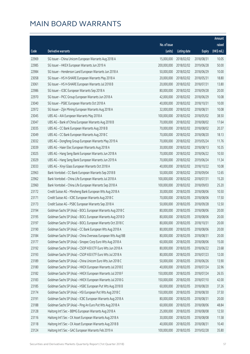|       |                                                              |              |                       |               | Amount      |
|-------|--------------------------------------------------------------|--------------|-----------------------|---------------|-------------|
|       |                                                              | No. of issue |                       |               | raised      |
| Code  | <b>Derivative warrants</b>                                   | (units)      | <b>Listing date</b>   | <b>Expiry</b> | (HK\$ mil.) |
| 22969 | SG Issuer - China Unicom European Warrants Aug 2018 A        | 15,000,000   | 2018/02/02            | 2018/08/31    | 10.05       |
| 22985 | SG Issuer - HKEX European Warrants Jun 2019 A                | 200,000,000  | 2018/02/02            | 2019/06/28    | 50.00       |
| 22984 | SG Issuer - Henderson Land European Warrants Jun 2018 A      | 50,000,000   | 2018/02/02            | 2018/06/29    | 10.00       |
| 23058 | SG Issuer - HS H-SHARE European Warrants May 2018 A          | 20,000,000   | 2018/02/02            | 2018/05/31    | 18.80       |
| 23061 | SG Issuer - HS H-SHARE European Warrants Jul 2018 B          | 20,000,000   | 2018/02/02            | 2018/07/31    | 13.80       |
| 22986 | SG Issuer - ICBC European Warrants Sep 2018 A                | 80,000,000   | 2018/02/02            | 2018/09/28    | 20.00       |
| 22970 | SG Issuer - PICC Group European Warrants Jun 2018 A          | 42,000,000   | 2018/02/02            | 2018/06/29    | 10.08       |
| 23040 | SG Issuer - PSBC European Warrants Oct 2018 A                | 40,000,000   | 2018/02/02            | 2018/10/31    | 10.00       |
| 22972 | SG Issuer - Zijin Mining European Warrants Aug 2018 A        | 32,000,000   | 2018/02/02            | 2018/08/31    | 10.08       |
| 23045 | UBS AG - AIA European Warrants May 2018 A                    | 100,000,000  | 2018/02/02            | 2018/05/02    | 38.50       |
| 23047 | UBS AG - Bank of China European Warrants Aug 2018 B          | 70,000,000   | 2018/02/02            | 2018/08/02    | 17.64       |
| 23035 | UBS AG - CC Bank European Warrants Aug 2018 B                | 70,000,000   | 2018/02/02            | 2018/08/02    | 20.37       |
| 23049 | UBS AG - CC Bank European Warrants Aug 2018 C                | 70,000,000   | 2018/02/02            | 2018/08/20    | 18.13       |
| 23032 | UBS AG - Dongfeng Group European Warrants May 2019 A         | 70,000,000   | 2018/02/02            | 2019/05/24    | 11.76       |
| 23039 | UBS AG - Haier Elec European Warrants Aug 2018 A             | 30,000,000   | 2018/02/02            | 2018/08/13    | 10.35       |
| 23025 | UBS AG - Hang Seng Bank European Warrants Jun 2018 A         | 70,000,000   | 2018/02/02            | 2018/06/22    | 10.50       |
| 23029 | UBS AG - Hang Seng Bank European Warrants Jun 2019 A         | 70,000,000   | 2018/02/02            | 2019/06/24    | 11.34       |
| 23033 | UBS AG - Xinyi Glass European Warrants Oct 2018 A            | 40,000,000   | 2018/02/02            | 2018/10/22    | 10.08       |
| 22963 | Bank Vontobel - CC Bank European Warrants Sep 2018 B         | 50,000,000   | 2018/02/02            | 2018/09/04    | 12.65       |
| 22962 | Bank Vontobel - China Life European Warrants Jul 2018 A      | 100,000,000  | 2018/02/02            | 2018/07/31    | 15.20       |
| 22960 | Bank Vontobel - China Life European Warrants Sep 2018 A      | 100,000,000  | 2018/02/02            | 2018/09/03    | 25.20       |
| 23172 | Credit Suisse AG - Minsheng Bank European Wts Aug 2018 A     | 30,000,000   | 2018/02/05            | 2018/08/06    | 10.50       |
| 23171 | Credit Suisse AG - ICBC European Warrants Aug 2018 C         | 70,000,000   | 2018/02/05            | 2018/08/06    | 17.50       |
| 23173 | Credit Suisse AG - PSBC European Warrants Sep 2018 A         | 50,000,000   | 2018/02/05            | 2018/09/28    | 12.50       |
| 23194 | Goldman Sachs SP (Asia) - BOCL European Warrants Aug 2018 C  | 80,000,000   | 2018/02/05            | 2018/08/06    | 20.00       |
| 23195 | Goldman Sachs SP (Asia) - BOCL European Warrants Aug 2018 D  | 80,000,000   | 2018/02/05            | 2018/08/06    | 20.00       |
| 23197 | Goldman Sachs SP (Asia) - BOCL European Warrants Oct 2018 C  |              | 80,000,000 2018/02/05 | 2018/10/31    | 20.00       |
| 23190 | Goldman Sachs SP (Asia) - CC Bank European Wts Aug 2018 A    | 80,000,000   | 2018/02/05            | 2018/08/06    | 20.00       |
| 23184 | Goldman Sachs SP (Asia) - China Overseas European Wts Aug18B | 80,000,000   | 2018/02/05            | 2018/08/31    | 20.00       |
| 23177 | Goldman Sachs SP (Asia) - Sinopec Corp Euro Wts Aug 2018 A   | 60,000,000   | 2018/02/05            | 2018/08/06    | 15.00       |
| 23192 | Goldman Sachs SP (Asia) - CSOP A50 ETF Euro Wts Jun 2018 A   | 80,000,000   | 2018/02/05            | 2018/06/22    | 23.68       |
| 23193 | Goldman Sachs SP (Asia) - CSOP A50 ETF Euro Wts Jul 2018 A   | 80,000,000   | 2018/02/05            | 2018/07/23    | 12.00       |
| 23189 | Goldman Sachs SP (Asia) - China Unicom Euro Wts Jun 2018 C   | 50,000,000   | 2018/02/05            | 2018/06/26    | 13.90       |
| 23180 | Goldman Sachs SP (Asia) - HKEX European Warrants Jul 2018 E  | 40,000,000   | 2018/02/05            | 2018/07/24    | 32.96       |
| 23182 | Goldman Sachs SP (Asia) - HKEX European Warrants Jul 2018 F  | 150,000,000  | 2018/02/05            | 2018/07/24    | 26.55       |
| 23183 | Goldman Sachs SP (Asia) - HKEX European Warrants Jul 2018 G  | 150,000,000  | 2018/02/05            | 2018/07/10    | 42.00       |
| 23185 | Goldman Sachs SP (Asia) - HSBC European Put Wts Aug 2018 B   | 60,000,000   | 2018/02/05            | 2018/08/20    | 37.26       |
| 23174 | Goldman Sachs SP (Asia) - HSI European Put Wts Aug 2018 C    | 150,000,000  | 2018/02/05            | 2018/08/30    | 37.50       |
| 23191 | Goldman Sachs SP (Asia) - ICBC European Warrants Aug 2018 A  | 80,000,000   | 2018/02/05            | 2018/08/31    | 20.00       |
| 23188 | Goldman Sachs SP (Asia) - Ping An Euro Put Wts Aug 2018 A    | 60,000,000   | 2018/02/05            | 2018/08/06    | 48.84       |
| 23128 | Haitong Int'l Sec - BBMG European Warrants Aug 2018 A        | 25,000,000   | 2018/02/05            | 2018/08/08    | 12.50       |
| 23116 | Haitong Int'l Sec - CK Asset European Warrants Aug 2018 A    | 30,000,000   | 2018/02/05            | 2018/08/08    | 11.58       |
| 23118 | Haitong Int'l Sec - CK Asset European Warrants Aug 2018 B    | 40,000,000   | 2018/02/05            | 2018/08/31    | 10.40       |
| 23124 | Haitong Int'l Sec - GAC European Warrants Feb 2019 A         | 100,000,000  | 2018/02/05            | 2019/02/28    | 35.80       |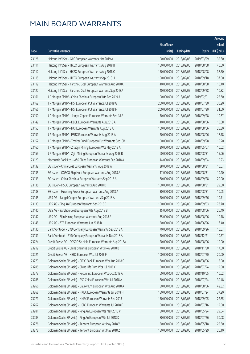|       |                                                              |              |                       |               | Amount      |
|-------|--------------------------------------------------------------|--------------|-----------------------|---------------|-------------|
|       |                                                              | No. of issue |                       |               | raised      |
| Code  | Derivative warrants                                          | (units)      | <b>Listing date</b>   | <b>Expiry</b> | (HK\$ mil.) |
| 23126 | Haitong Int'l Sec - GAC European Warrants Mar 2019 A         | 100,000,000  | 2018/02/05            | 2019/03/29    | 32.80       |
| 23111 | Haitong Int'l Sec - HKEX European Warrants Aug 2018 B        | 150,000,000  | 2018/02/05            | 2018/08/08    | 40.50       |
| 23112 | Haitong Int'l Sec - HKEX European Warrants Aug 2018 C        | 150,000,000  | 2018/02/05            | 2018/08/08    | 37.50       |
| 23115 | Haitong Int'l Sec - HKEX European Warrants Sep 2018 H        | 150,000,000  | 2018/02/05            | 2018/09/18    | 37.50       |
| 23119 | Haitong Int'l Sec - Yanzhou Coal European Warrants Aug 2018A | 40,000,000   | 2018/02/05            | 2018/08/08    | 10.40       |
| 23122 | Haitong Int'l Sec - Yanzhou Coal European Warrants Sep 2018A | 40,000,000   | 2018/02/05            | 2018/09/28    | 10.32       |
| 23161 | J P Morgan SP BV - China Shenhua European Wts Feb 2019 A     | 100,000,000  | 2018/02/05            | 2019/02/01    | 25.60       |
| 23162 | J P Morgan SP BV - HSI European Put Warrants Jul 2018 G      | 200,000,000  | 2018/02/05            | 2018/07/30    | 30.20       |
| 23166 | J P Morgan SP BV - HSI European Put Warrants Jul 2018 H      | 200,000,000  | 2018/02/05            | 2018/07/30    | 31.00       |
| 23150 | J P Morgan SP BV - Jiangxi Copper European Warrants Sep 18 A | 70,000,000   | 2018/02/05            | 2018/09/28    | 10.57       |
| 23149 | J P Morgan SP BV - KECL European Warrants Aug 2018 A         | 40,000,000   | 2018/02/05            | 2018/08/06    | 10.68       |
| 23153 | J P Morgan SP BV - NCI European Warrants Aug 2018 A          | 100,000,000  | 2018/02/05            | 2018/08/06    | 25.30       |
| 23151 | J P Morgan SP BV - PSBC European Warrants Aug 2018 A         | 70,000,000   | 2018/02/05            | 2018/08/06    | 17.78       |
| 23157 | J P Morgan SP BV - Tracker Fund European Put Warrants Sep18B | 100,000,000  | 2018/02/05            | 2018/09/28    | 15.20       |
| 23160 | J P Morgan SP BV - Zhaojin Mining European Wts May 2018 A    | 20,000,000   | 2018/02/05            | 2018/05/07    | 10.02       |
| 23159 | J P Morgan SP BV - Zijin Mining European Warrants Aug 2018 B | 60,000,000   | 2018/02/05            | 2018/08/31    | 15.06       |
| 23129 | Macquarie Bank Ltd. - A50 China European Warrants Sep 2018 A | 14,000,000   | 2018/02/05            | 2018/09/04    | 10.23       |
| 23132 | SG Issuer - China Coal European Warrants Aug 2018 A          | 38,000,000   | 2018/02/05            | 2018/08/31    | 10.07       |
| 23135 | SG Issuer - COSCO Ship Hold European Warrants Aug 2018 A     | 17,000,000   | 2018/02/05            | 2018/08/31    | 10.20       |
| 23133 | SG Issuer - China Shenhua European Warrants Sep 2018 A       | 80,000,000   | 2018/02/05            | 2018/09/28    | 20.00       |
| 23136 | SG Issuer - HSBC European Warrants Aug 2018 D                | 100,000,000  | 2018/02/05            | 2018/08/31    | 29.00       |
| 23138 | SG Issuer - Huaneng Power European Warrants Aug 2018 A       | 30,000,000   | 2018/02/05            | 2018/08/31    | 10.05       |
| 23145 | UBS AG - Jiangxi Copper European Warrants Sep 2018 A         | 70,000,000   | 2018/02/05            | 2018/09/26    | 10.71       |
| 23139 | UBS AG - Ping An European Warrants Sep 2018 C                | 100,000,000  | 2018/02/05            | 2018/09/03    | 73.70       |
| 23140 | UBS AG - Yanzhou Coal European Wts Aug 2018 B                | 15,000,000   | 2018/02/05            | 2018/08/06    | 26.40       |
| 23142 | UBS AG - Zijin Mining European Warrants Aug 2018 A           | 35,000,000   | 2018/02/05            | 2018/08/06    | 10.78       |
| 23148 | UBS AG - ZTE European Warrants Jun 2018 B                    |              | 50,000,000 2018/02/05 | 2018/06/26    | 16.40       |
| 23130 | Bank Vontobel - BYD Company European Warrants Sep 2018 A     | 70,000,000   | 2018/02/05            | 2018/09/26    | 10.57       |
| 23131 | Bank Vontobel - BYD Company European Warrants Dec 2018 A     | 70,000,000   | 2018/02/05            | 2018/12/21    | 10.57       |
| 23224 | Credit Suisse AG - COSCO Sh Hold European Warrants Aug 2018A | 20,000,000   | 2018/02/06            | 2018/08/06    | 10.00       |
| 23219 | Credit Suisse AG - China Shenhua European Wts Nov 2018 B     | 70,000,000   | 2018/02/06            | 2018/11/30    | 17.50       |
| 23221 | Credit Suisse AG - HSBC European Wts Jul 2018 F              | 100,000,000  | 2018/02/06            | 2018/07/20    | 20.00       |
| 23279 | Goldman Sachs SP (Asia) - CITIC Bank European Wts Aug 2018 C | 60,000,000   | 2018/02/06            | 2018/08/06    | 15.00       |
| 23285 | Goldman Sachs SP (Asia) - China Life Euro Wts Jul 2018 C     | 80,000,000   | 2018/02/06            | 2018/07/24    | 12.00       |
| 23273 | Goldman Sachs SP (Asia) - Fosun Intl European Wts Oct 2018 A | 60,000,000   | 2018/02/06            | 2018/10/05    | 10.02       |
| 23288 | Goldman Sachs SP (Asia) - A50 China European Wts Jul 2018 A  | 80,000,000   | 2018/02/06            | 2018/07/24    | 30.48       |
| 23266 | Goldman Sachs SP (Asia) - Galaxy Ent European Wts Aug 2018 A | 80,000,000   | 2018/02/06            | 2018/08/06    | 42.32       |
| 23268 | Goldman Sachs SP (Asia) - HKEX European Warrants Jul 2018 H  | 150,000,000  | 2018/02/06            | 2018/07/24    | 37.20       |
| 23271 | Goldman Sachs SP (Asia) - HKEX European Warrants Sep 2018 I  | 150,000,000  | 2018/02/06            | 2018/09/05    | 22.65       |
| 23267 | Goldman Sachs SP (Asia) - HSBC European Warrants Jul 2018 F  | 80,000,000   | 2018/02/06            | 2018/07/16    | 12.00       |
| 23281 | Goldman Sachs SP (Asia) - Ping An European Wts May 2018 P    | 80,000,000   | 2018/02/06            | 2018/05/24    | 29.04       |
| 23283 | Goldman Sachs SP (Asia) - Ping An European Wts Jul 2018 D    | 80,000,000   | 2018/02/06            | 2018/07/26    | 30.08       |
| 23276 | Goldman Sachs SP (Asia) - Tencent European Wt May 2018 Y     | 150,000,000  | 2018/02/06            | 2018/05/18    | 22.50       |
| 23278 | Goldman Sachs SP (Asia) - Tencent European Wt May 2018 Z     | 150,000,000  | 2018/02/06            | 2018/05/29    | 26.10       |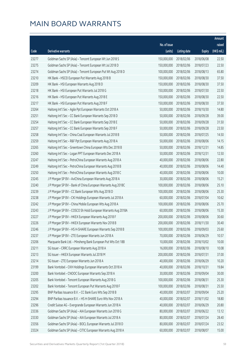|       |                                                              |              |                        |               | Amount      |
|-------|--------------------------------------------------------------|--------------|------------------------|---------------|-------------|
|       |                                                              | No. of issue |                        |               | raised      |
| Code  | Derivative warrants                                          | (units)      | <b>Listing date</b>    | <b>Expiry</b> | (HK\$ mil.) |
| 23277 | Goldman Sachs SP (Asia) - Tencent European Wt Jun 2018 S     | 150,000,000  | 2018/02/06             | 2018/06/08    | 22.50       |
| 23275 | Goldman Sachs SP (Asia) - Tencent European Wt Jul 2018 D     | 150,000,000  | 2018/02/06             | 2018/07/23    | 22.50       |
| 23274 | Goldman Sachs SP (Asia) - Tencent European Put Wt Aug 2018 D | 100,000,000  | 2018/02/06             | 2018/08/13    | 65.80       |
| 23210 | HK Bank - HSCEI European Put Warrants Aug 2018 B             | 150,000,000  | 2018/02/06             | 2018/08/30    | 37.50       |
| 23209 | HK Bank - HSI European Warrants Aug 2018 D                   | 150,000,000  | 2018/02/06             | 2018/08/30    | 37.50       |
| 23218 | HK Bank - HSI European Put Warrants Jul 2018 G               | 150,000,000  | 2018/02/06             | 2018/07/30    | 22.50       |
| 23216 | HK Bank - HSI European Put Warrants Aug 2018 E               | 150,000,000  | 2018/02/06             | 2018/08/30    | 22.50       |
| 23217 | HK Bank - HSI European Put Warrants Aug 2018 F               | 150,000,000  | 2018/02/06             | 2018/08/30    | 37.50       |
| 23264 | Haitong Int'l Sec - Agile Ppt European Warrants Oct 2018 A   | 50,000,000   | 2018/02/06             | 2018/10/30    | 14.80       |
| 23251 | Haitong Int'l Sec - CC Bank European Warrants Sep 2018 D     | 50,000,000   | 2018/02/06             | 2018/09/28    | 39.00       |
| 23254 | Haitong Int'l Sec - CC Bank European Warrants Sep 2018 E     | 50,000,000   | 2018/02/06             | 2018/09/28    | 31.50       |
| 23257 | Haitong Int'l Sec - CC Bank European Warrants Sep 2018 F     | 50,000,000   | 2018/02/06             | 2018/09/28    | 23.50       |
| 23258 | Haitong Int'l Sec - China Coal European Warrants Jul 2018 B  | 50,000,000   | 2018/02/06             | 2018/07/25    | 14.50       |
| 23259 | Haitong Int'l Sec - R&F Ppt European Warrants Aug 2018 A     | 50,000,000   | 2018/02/06             | 2018/08/06    | 14.15       |
| 23265 | Haitong Int'l Sec - Greentown China European Wts Dec 2018 B  | 50,000,000   | 2018/02/06             | 2018/12/31    | 14.85       |
| 23260 | Haitong Int'l Sec - Logan PPT European Warrants Dec 2018 A   | 50,000,000   | 2018/02/06             | 2018/12/31    | 12.50       |
| 23247 | Haitong Int'l Sec - PetroChina European Warrants Aug 2018 A  | 40,000,000   | 2018/02/06             | 2018/08/06    | 22.80       |
| 23249 | Haitong Int'l Sec - PetroChina European Warrants Aug 2018 B  | 40,000,000   | 2018/02/06             | 2018/08/06    | 14.40       |
| 23250 | Haitong Int'l Sec - PetroChina European Warrants Aug 2018 C  | 40,000,000   | 2018/02/06             | 2018/08/06    | 10.00       |
| 23245 | J P Morgan SP BV - AviChina European Warrants Aug 2018 A     | 30,000,000   | 2018/02/06             | 2018/08/06    | 15.21       |
| 23240 | J P Morgan SP BV - Bank of China European Warrants Aug 2018C | 100,000,000  | 2018/02/06             | 2018/08/06    | 25.10       |
| 23239 | J P Morgan SP BV - CC Bank European Wts Aug 2018 D           | 100,000,000  | 2018/02/06             | 2018/08/06    | 25.30       |
| 23238 | J P Morgan SP BV - CKI Holdings European Warrants Jul 2018 A | 60,000,000   | 2018/02/06             | 2018/07/04    | 10.62       |
| 23242 | J P Morgan SP BV - China Mobile European Wts Aug 2018 A      | 100,000,000  | 2018/02/06             | 2018/08/06    | 25.70       |
| 23243 | J P Morgan SP BV - COSCO Sh Hold European Warrants Aug 2018A | 60,000,000   | 2018/02/06             | 2018/08/06    | 15.30       |
| 23227 | J P Morgan SP BV - HKEX European Warrants Aug 2018 F         | 200,000,000  | 2018/02/06             | 2018/08/06    | 30.60       |
| 23226 | J P Morgan SP BV - HKEX European Warrants Nov 2018 B         |              | 200,000,000 2018/02/06 | 2018/11/30    | 30.40       |
| 23246 | J P Morgan SP BV - HS H-SHARE European Warrants Sep 2018 B   | 100,000,000  | 2018/02/06             | 2018/09/03    | 25.60       |
| 23237 | J P Morgan SP BV - ZTE European Warrants Jun 2018 A          | 70,000,000   | 2018/02/06             | 2018/06/29    | 10.57       |
| 23206 | Macquarie Bank Ltd. - Minsheng Bank European Put Wts Oct 18B | 10,000,000   | 2018/02/06             | 2018/10/02    | 10.00       |
| 23211 | SG Issuer - CRRC European Warrants Aug 2018 A                | 16,000,000   | 2018/02/06             | 2018/08/10    | 10.08       |
| 23213 | SG Issuer - HKEX European Warrants Jul 2018 M                | 200,000,000  | 2018/02/06             | 2018/07/31    | 37.00       |
| 23214 | SG Issuer - ZTE European Warrants Jun 2018 A                 | 40,000,000   | 2018/02/06             | 2018/06/29    | 10.20       |
| 23199 | Bank Vontobel - CKH Holdings European Warrants Oct 2018 A    | 40,000,000   | 2018/02/06             | 2018/10/31    | 19.84       |
| 23200 | Bank Vontobel - CNOOC European Warrants Sep 2018 A           | 30,000,000   | 2018/02/06             | 2018/09/04    | 30.00       |
| 23205 | Bank Vontobel - Tencent European Warrants Aug 2018 G         | 100,000,000  | 2018/02/06             | 2018/08/31    | 25.30       |
| 23202 | Bank Vontobel - Tencent European Put Warrants Aug 2018 F     | 100,000,000  | 2018/02/06             | 2018/08/31    | 25.50       |
| 23295 | BNP Paribas Issuance B.V. - CC Bank Euro Wts Sep 2018 B      | 40,000,000   | 2018/02/07             | 2018/09/04    | 25.20       |
| 23294 | BNP Paribas Issuance B.V. - HS H-SHARE Euro Wts Nov 2018 A   | 40,000,000   | 2018/02/07             | 2018/11/02    | 18.80       |
| 23296 | Credit Suisse AG - Evergrande European Warrants Jun 2018 A   | 40,000,000   | 2018/02/07             | 2018/06/29    | 20.80       |
| 23336 | Goldman Sachs SP (Asia) - AIA European Warrants Jun 2018 G   | 80,000,000   | 2018/02/07             | 2018/06/22    | 13.12       |
| 23330 | Goldman Sachs SP (Asia) - AIA European Warrants Jul 2018 A   | 80,000,000   | 2018/02/07             | 2018/07/24    | 28.40       |
| 23356 | Goldman Sachs SP (Asia) - BOCL European Warrants Jul 2018 D  | 80,000,000   | 2018/02/07             | 2018/07/24    | 23.52       |
| 23324 | Goldman Sachs SP (Asia) - CITIC European Warrants Aug 2018 A | 60,000,000   | 2018/02/07             | 2018/08/07    | 15.00       |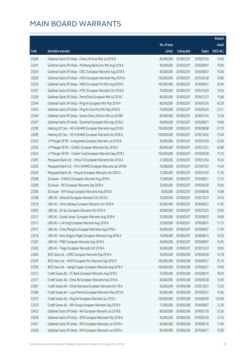|       |                                                              |              |                       |               | Amount      |
|-------|--------------------------------------------------------------|--------------|-----------------------|---------------|-------------|
|       |                                                              | No. of issue |                       |               | raised      |
| Code  | <b>Derivative warrants</b>                                   | (units)      | <b>Listing date</b>   | <b>Expiry</b> | (HK\$ mil.) |
| 23346 | Goldman Sachs SP (Asia) - China Life Euro Wts Jul 2018 D     | 80,000,000   | 2018/02/07            | 2018/07/24    | 15.60       |
| 23341 | Goldman Sachs SP (Asia) - Minsheng Bank Euro Wts Aug 2018 A  | 40,000,000   | 2018/02/07            | 2018/08/07    | 10.00       |
| 23329 | Goldman Sachs SP (Asia) - CRCC European Warrants Aug 2018 A  | 40,000,000   | 2018/02/07            | 2018/08/07    | 10.00       |
| 23326 | Goldman Sachs SP (Asia) - HKEX European Warrants May 2019 A  | 150,000,000  | 2018/02/07            | 2019/05/28    | 70.80       |
| 23325 | Goldman Sachs SP (Asia) - HKEX European Put Wts Aug 2018 D   | 100,000,000  | 2018/02/07            | 2018/08/07    | 25.00       |
| 23357 | Goldman Sachs SP (Asia) - HTSC European Warrants Oct 2018 A  | 70,000,000   | 2018/02/07            | 2018/10/29    | 10.50       |
| 23328 | Goldman Sachs SP (Asia) - PetroChina European Wts Jul 2018 C | 80,000,000   | 2018/02/07            | 2018/07/23    | 13.68       |
| 23344 | Goldman Sachs SP (Asia) - Ping An European Wts May 2018 R    | 80,000,000   | 2018/02/07            | 2018/05/24    | 43.28       |
| 23343 | Goldman Sachs SP (Asia) - Ping An Euro Put Wts May 2018 Q    | 70,000,000   | 2018/02/07            | 2018/05/24    | 23.31       |
| 23340 | Goldman Sachs SP (Asia) - Sands China Ltd Euro Wts Jul 2018D | 80,000,000   | 2018/02/07            | 2018/07/24    | 15.28       |
| 23347 | Goldman Sachs SP (Asia) - Stanchart European Wts Aug 2018 A  | 40,000,000   | 2018/02/07            | 2018/08/31    | 10.00       |
| 23290 | Haitong Int'l Sec - HS H-SHARE European Warrants Aug 2018 A  | 100,000,000  | 2018/02/07            | 2018/08/08    | 41.70       |
| 23289 | Haitong Int'l Sec - HS H-SHARE European Warrants Oct 2018 A  | 100,000,000  | 2018/02/07            | 2018/10/02    | 75.50       |
| 23322 | J P Morgan SP BV - Evergrande European Warrants Jul 2018 B   | 50,000,000   | 2018/02/07            | 2018/07/03    | 22.00       |
| 23320 | J P Morgan SP BV - SUNAC European Warrants Dec 2018 A        | 80,000,000   | 2018/02/07            | 2018/12/31    | 54.88       |
| 23323 | J P Morgan SP BV - Tracker Fund European Warrants Sep 2018 C | 100,000,000  | 2018/02/07            | 2018/09/28    | 15.10       |
| 23291 | Macquarie Bank Ltd. - China Tel European Warrants Dec 2018 A | 27,000,000   | 2018/02/07            | 2018/12/04    | 10.34       |
| 23292 | Macquarie Bank Ltd. - HS H-SHARE European Warrants Jan 2019A | 16,000,000   | 2018/02/07            | 2019/01/03    | 10.34       |
| 23293 | Macquarie Bank Ltd. - Ping An European Warrants Jan 2020 A   | 12,000,000   | 2018/02/07            | 2020/01/03    | 11.76       |
| 23298 | SG Issuer - CHALCO European Warrants Aug 2018 A              | 15,000,000   | 2018/02/07            | 2018/08/31    | 12.15       |
| 23299 | SG Issuer - NCI European Warrants Sep 2018 A                 | 20,000,000   | 2018/02/07            | 2018/09/28    | 10.00       |
| 23300 | SG Issuer - WH Group European Warrants Aug 2018 A            | 9,000,000    | 2018/02/07            | 2018/08/06    | 10.08       |
| 23308 | UBS AG - China Re European Warrants Oct 2018 A               | 33,000,000   | 2018/02/07            | 2018/10/23    | 10.10       |
| 23319 | UBS AG - China Railway European Warrants Jun 2018 A          | 50,000,000   | 2018/02/07            | 2018/06/22    | 11.45       |
| 23305 | UBS AG - GF Sec European Warrants Oct 2018 A                 | 40,000,000   | 2018/02/07            | 2018/10/23    | 10.00       |
| 23311 | UBS AG - Guotai Junan I European Warrants Aug 2018 A         | 30,000,000   | 2018/02/07            | 2018/08/07    | 10.68       |
| 23313 | UBS AG - Li & Fung European Warrants Aug 2018 A              |              | 35,000,000 2018/02/07 | 2018/08/07    | 11.13       |
| 23317 | UBS AG - China Mengniu European Warrants Aug 2018 A          | 40,000,000   | 2018/02/07            | 2018/08/07    | 11.04       |
| 23316 | UBS AG - Nine Dragons Paper European Warrants Aug 2018 A     | 70,000,000   | 2018/02/07            | 2018/08/13    | 10.50       |
| 23307 | UBS AG - PSBC European Warrants Aug 2018 A                   | 40,000,000   | 2018/02/07            | 2018/08/07    | 10.36       |
| 23302 | UBS AG - Tingyi European Warrants Oct 2018 A                 | 40,000,000   | 2018/02/07            | 2018/10/23    | 10.04       |
| 23360 | BOCI Asia Ltd. - CRRC European Warrants Sep 2018 A           | 30,000,000   | 2018/02/08            | 2018/09/28    | 12.18       |
| 23359 | BOCI Asia Ltd. - HKEX European Put Warrants Sep 2018 D       | 100,000,000  | 2018/02/08            | 2018/09/27    | 25.10       |
| 23358 | BOCI Asia Ltd. - Jiangxi Copper European Warrants Aug 2018 A | 100,000,000  | 2018/02/08            | 2018/08/27    | 16.90       |
| 23372 | Credit Suisse AG - CC Bank European Warrants Aug 2018 C      | 70,000,000   | 2018/02/08            | 2018/08/10    | 18.20       |
| 23371 | Credit Suisse AG - China Re European Warrants Sep 2018 A     | 40,000,000   | 2018/02/08            | 2018/09/28    | 10.00       |
| 23367 | Credit Suisse AG - China Overseas European Warrants Oct 18 A | 50,000,000   | 2018/02/08            | 2018/10/31    | 12.50       |
| 23366 | Credit Suisse AG - Luye Pharma European Warrants May 2019 A  | 60,000,000   | 2018/02/08            | 2019/05/31    | 15.00       |
| 23373 | Credit Suisse AG - Ping An European Warrants Jun 2018 J      | 150,000,000  | 2018/02/08            | 2018/06/29    | 120.00      |
| 23370 | Credit Suisse AG - WH Group European Warrants Aug 2018 A     | 15,000,000   | 2018/02/08            | 2018/08/07    | 12.00       |
| 23432 | Goldman Sachs SP (Asia) - AIA European Warrants Jul 2018 B   | 80,000,000   | 2018/02/08            | 2018/07/18    | 33.36       |
| 23428 | Goldman Sachs SP (Asia) - BYD European Warrants May 2018 A   | 40,000,000   | 2018/02/08            | 2018/05/29    | 12.16       |
| 23431 | Goldman Sachs SP (Asia) - BYD European Warrants Jun 2018 A   | 40,000,000   | 2018/02/08            | 2018/06/19    | 17.64       |
| 23430 | Goldman Sachs SP (Asia) - BYD European Warrants Jun 2019 A   | 80,000,000   | 2018/02/08            | 2019/06/21    | 12.00       |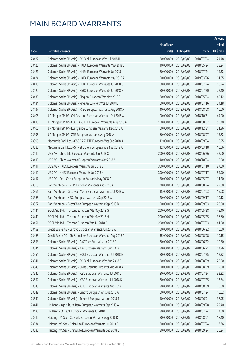|       |                                                              |                        |                     |               | Amount      |
|-------|--------------------------------------------------------------|------------------------|---------------------|---------------|-------------|
|       |                                                              | No. of issue           |                     |               | raised      |
| Code  | <b>Derivative warrants</b>                                   | (units)                | <b>Listing date</b> | <b>Expiry</b> | (HK\$ mil.) |
| 23427 | Goldman Sachs SP (Asia) - CC Bank European Wts Jul 2018 H    | 80,000,000             | 2018/02/08          | 2018/07/24    | 24.48       |
| 23423 | Goldman Sachs SP (Asia) - HKEX European Warrants May 2018 J  | 40,000,000             | 2018/02/08          | 2018/05/24    | 73.24       |
| 23421 | Goldman Sachs SP (Asia) - HKEX European Warrants Jul 2018 I  | 80,000,000             | 2018/02/08          | 2018/07/24    | 14.32       |
| 23424 | Goldman Sachs SP (Asia) - HKEX European Warrants Mar 2019 A  | 150,000,000            | 2018/02/08          | 2019/03/26    | 61.05       |
| 23418 | Goldman Sachs SP (Asia) - HSBC European Warrants Jul 2018 G  | 80,000,000             | 2018/02/08          | 2018/07/24    | 18.24       |
| 23420 | Goldman Sachs SP (Asia) - HSBC European Warrants Jul 2018 H  | 80,000,000             | 2018/02/08          | 2018/07/20    | 22.40       |
| 23435 | Goldman Sachs SP (Asia) - Ping An European Wts May 2018 S    | 80,000,000             | 2018/02/08          | 2018/05/24    | 49.12       |
| 23434 | Goldman Sachs SP (Asia) - Ping An Euro Put Wts Jul 2018 E    | 60,000,000             | 2018/02/08          | 2018/07/16    | 24.18       |
| 23437 | Goldman Sachs SP (Asia) - PSBC European Warrants Aug 2018 A  | 40,000,000             | 2018/02/08          | 2018/08/08    | 10.00       |
| 23405 | J P Morgan SP BV - Chi Res Land European Warrants Oct 2018 A | 100,000,000            | 2018/02/08          | 2018/10/31    | 44.90       |
| 23410 | J P Morgan SP BV - CSOP A50 ETF European Warrants Aug 2018 A | 100,000,000            | 2018/02/08          | 2018/08/07    | 55.70       |
| 23400 | J P Morgan SP BV - Evergrande European Warrants Dec 2018 A   | 60,000,000             | 2018/02/08          | 2018/12/31    | 21.96       |
| 23396 | J P Morgan SP BV - ZTE European Warrants Aug 2018 A          | 60,000,000             | 2018/02/08          | 2018/08/07    | 15.72       |
| 23395 | Macquarie Bank Ltd. - CSOP A50 ETF European Wts Sep 2018 A   | 12,000,000             | 2018/02/08          | 2018/09/04    | 10.25       |
| 23380 | Macquarie Bank Ltd. - Sh Petrochem European Wts Mar 2019 A   | 12,900,000             | 2018/02/08          | 2019/03/18    | 10.06       |
| 23416 | UBS AG - China Life European Warrants Jun 2018 C             | 200,000,000            | 2018/02/08          | 2018/06/26    | 32.60       |
| 23415 | UBS AG - China Overseas European Warrants Oct 2018 A         | 40,000,000             | 2018/02/08          | 2018/10/04    | 10.00       |
| 23411 | UBS AG - HKEX European Warrants Jul 2018 G                   | 300,000,000            | 2018/02/08          | 2018/07/10    | 87.00       |
| 23412 | UBS AG - HKEX European Warrants Jul 2018 H                   | 300,000,000            | 2018/02/08          | 2018/07/17    | 54.90       |
| 23417 | UBS AG - PetroChina European Warrants May 2018 D             | 50,000,000             | 2018/02/08          | 2018/05/07    | 11.20       |
| 23363 | Bank Vontobel - CNBM European Warrants Aug 2018 A            | 20,000,000             | 2018/02/08          | 2018/08/24    | 22.30       |
| 23361 | Bank Vontobel - Greatwall Motor European Warrants Jul 2018 A | 15,000,000             | 2018/02/08          | 2018/07/03    | 15.08       |
| 23365 | Bank Vontobel - KECL European Warrants Sep 2018 A            | 20,000,000             | 2018/02/08          | 2018/09/17    | 10.12       |
| 23362 | Bank Vontobel - PetroChina European Warrants Sep 2018 B      | 50,000,000             | 2018/02/08          | 2018/09/03    | 25.00       |
| 23444 | BOCI Asia Ltd. - Tencent European Wts May 2018 G             | 200,000,000            | 2018/02/09          | 2018/05/28    | 45.40       |
| 23449 | BOCI Asia Ltd. - Tencent European Wts May 2018 H             | 200,000,000            | 2018/02/09          | 2018/05/25    | 36.60       |
| 23451 | BOCI Asia Ltd. - Tencent European Wts Jul 2018 D             | 200,000,000 2018/02/09 |                     | 2018/07/03    | 41.20       |
| 23459 | Credit Suisse AG - Lenovo European Warrants Jun 2018 A       | 50,000,000             | 2018/02/09          | 2018/06/22    | 15.00       |
| 23465 | Credit Suisse AG - Sh Petrochem European Warrants Aug 2018 A | 35,000,000             | 2018/02/09          | 2018/08/08    | 10.15       |
| 23553 | Goldman Sachs SP (Asia) - AAC Tech Euro Wts Jun 2018 C       | 70,000,000             | 2018/02/09          | 2018/06/22    | 10.50       |
| 23544 | Goldman Sachs SP (Asia) - AIA European Warrants Jun 2018 H   | 80,000,000             | 2018/02/09          | 2018/06/21    | 14.96       |
| 23554 | Goldman Sachs SP (Asia) - BOCL European Warrants Jul 2018 E  | 80,000,000             | 2018/02/09          | 2018/07/25    | 12.32       |
| 23541 | Goldman Sachs SP (Asia) - CC Bank European Wts Aug 2018 B    | 80,000,000             | 2018/02/09          | 2018/08/09    | 20.00       |
| 23543 | Goldman Sachs SP (Asia) - China Shenhua Euro Wts Aug 2018 A  | 50,000,000             | 2018/02/09          | 2018/08/09    | 12.50       |
| 23546 | Goldman Sachs SP (Asia) - ICBC European Warrants Jul 2018 J  | 80,000,000             | 2018/02/09          | 2018/07/24    | 32.32       |
| 23552 | Goldman Sachs SP (Asia) - ICBC European Warrants Jul 2018 K  | 80,000,000             | 2018/02/09          | 2018/07/25    | 13.84       |
| 23548 | Goldman Sachs SP (Asia) - ICBC European Warrants Aug 2018 B  | 80,000,000             | 2018/02/09          | 2018/08/09    | 20.00       |
| 23542 | Goldman Sachs SP (Asia) - Lenovo European Wts Jul 2018 A     | 60,000,000             | 2018/02/09          | 2018/07/24    | 10.02       |
| 23539 | Goldman Sachs SP (Asia) - Tencent European Wt Jun 2018 T     | 150,000,000            | 2018/02/09          | 2018/06/01    | 37.95       |
| 23441 | HK Bank - Agricultural Bank European Warrants Sep 2018 A     | 80,000,000             | 2018/02/09          | 2018/09/28    | 22.40       |
| 23438 | HK Bank - CC Bank European Warrants Jul 2018 E               | 80,000,000             | 2018/02/09          | 2018/07/24    | 24.00       |
| 23516 | Haitong Int'l Sec - CC Bank European Warrants Aug 2018 D     | 80,000,000             | 2018/02/09          | 2018/08/01    | 18.40       |
| 23534 | Haitong Int'l Sec - China Life European Warrants Jul 2018 E  | 80,000,000             | 2018/02/09          | 2018/07/24    | 13.36       |
| 23530 | Haitong Int'l Sec - China Life European Warrants Sep 2018 C  | 80,000,000             | 2018/02/09          | 2018/09/24    | 20.24       |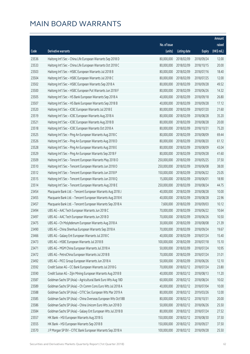|       |                                                              |              |                       |               | Amount      |
|-------|--------------------------------------------------------------|--------------|-----------------------|---------------|-------------|
|       |                                                              | No. of issue |                       |               | raised      |
| Code  | <b>Derivative warrants</b>                                   | (units)      | <b>Listing date</b>   | <b>Expiry</b> | (HK\$ mil.) |
| 23536 | Haitong Int'l Sec - China Life European Warrants Sep 2018 D  | 80,000,000   | 2018/02/09            | 2018/09/24    | 12.00       |
| 23533 | Haitong Int'l Sec - China Life European Warrants Oct 2018 C  | 80,000,000   | 2018/02/09            | 2018/10/15    | 20.00       |
| 23503 | Haitong Int'l Sec - HSBC European Warrants Jul 2018 B        | 80,000,000   | 2018/02/09            | 2018/07/16    | 18.40       |
| 23504 | Haitong Int'l Sec - HSBC European Warrants Jul 2018 C        | 80,000,000   | 2018/02/09            | 2018/07/25    | 12.00       |
| 23502 | Haitong Int'l Sec - HSBC European Warrants Sep 2018 A        | 80,000,000   | 2018/02/09            | 2018/09/28    | 49.52       |
| 23500 | Haitong Int'l Sec - HSBC European Put Warrants Jun 2018 F    | 80,000,000   | 2018/02/09            | 2018/06/26    | 14.32       |
| 23505 | Haitong Int'l Sec - HS Bank European Warrants Sep 2018 A     | 40,000,000   | 2018/02/09            | 2018/09/18    | 26.80       |
| 23507 | Haitong Int'l Sec - HS Bank European Warrants Sep 2018 B     | 40,000,000   | 2018/02/09            | 2018/09/28    | 17.12       |
| 23520 | Haitong Int'l Sec - ICBC European Warrants Jul 2018 E        | 80,000,000   | 2018/02/09            | 2018/07/20    | 21.60       |
| 23519 | Haitong Int'l Sec - ICBC European Warrants Aug 2018 A        | 80,000,000   | 2018/02/09            | 2018/08/28    | 35.20       |
| 23521 | Haitong Int'l Sec - ICBC European Warrants Aug 2018 B        | 80,000,000   | 2018/02/09            | 2018/08/28    | 20.00       |
| 23518 | Haitong Int'l Sec - ICBC European Warrants Oct 2018 A        | 80,000,000   | 2018/02/09            | 2018/10/31    | 75.20       |
| 23525 | Haitong Int'l Sec - Ping An European Warrants Aug 2018 C     | 80,000,000   | 2018/02/09            | 2018/08/09    | 69.44       |
| 23526 | Haitong Int'l Sec - Ping An European Warrants Aug 2018 D     | 80,000,000   | 2018/02/09            | 2018/08/20    | 61.12       |
| 23528 | Haitong Int'l Sec - Ping An European Warrants Aug 2018 E     | 80,000,000   | 2018/02/09            | 2018/08/09    | 43.04       |
| 23529 | Haitong Int'l Sec - Ping An European Warrants Sep 2018 F     | 80,000,000   | 2018/02/09            | 2018/09/28    | 41.60       |
| 23509 | Haitong Int'l Sec - Tencent European Warrants May 2018 O     | 250,000,000  | 2018/02/09            | 2018/05/25    | 37.50       |
| 23510 | Haitong Int'l Sec - Tencent European Warrants Jun 2018 O     | 250,000,000  | 2018/02/09            | 2018/06/08    | 38.00       |
| 23512 | Haitong Int'l Sec - Tencent European Warrants Jun 2018 P     | 150,000,000  | 2018/02/09            | 2018/06/22    | 25.05       |
| 23515 | Haitong Int'l Sec - Tencent European Warrants Jun 2018 Q     | 15,000,000   | 2018/02/09            | 2018/06/01    | 18.90       |
| 23514 | Haitong Int'l Sec - Tencent European Warrants Aug 2018 E     | 250,000,000  | 2018/02/09            | 2018/08/24    | 44.75       |
| 23454 | Macquarie Bank Ltd. - Tencent European Warrants Aug 2018 J   | 40,000,000   | 2018/02/09            | 2018/08/28    | 10.00       |
| 23455 | Macquarie Bank Ltd. - Tencent European Warrants Aug 2018 K   | 40,000,000   | 2018/02/09            | 2018/08/28    | 22.96       |
| 23457 | Macquarie Bank Ltd. - Tencent European Warrants Sep 2018 A   | 7,600,000    | 2018/02/09            | 2018/09/03    | 10.12       |
| 23494 | UBS AG - AAC Tech European Warrants Jun 2018 C               | 70,000,000   | 2018/02/09            | 2018/06/22    | 10.64       |
| 23497 | UBS AG - AAC Tech European Warrants Jun 2018 D               | 70,000,000   | 2018/02/09            | 2018/06/26    | 10.50       |
| 23475 | UBS AG - Ch Molybdenum European Warrants Aug 2018 A          |              | 30,000,000 2018/02/09 | 2018/08/08    | 21.39       |
| 23490 | UBS AG - China Shenhua European Warrants Sep 2018 A          | 70,000,000   | 2018/02/09            | 2018/09/24    | 19.67       |
| 23466 | UBS AG - Galaxy Ent European Warrants Jul 2018 C             | 40,000,000   | 2018/02/09            | 2018/07/24    | 15.40       |
| 23473 | UBS AG - HSBC European Warrants Jul 2018 B                   | 100,000,000  | 2018/02/09            | 2018/07/18    | 15.10       |
| 23471 | UBS AG - MGM China European Warrants Jul 2018 A              | 50,000,000   | 2018/02/09            | 2018/07/24    | 10.95       |
| 23472 | UBS AG - PetroChina European Warrants Jul 2018 B             | 70,000,000   | 2018/02/09            | 2018/07/24    | 31.01       |
| 23492 | UBS AG - PICC Group European Warrants Jun 2018 A             | 50,000,000   | 2018/02/09            | 2018/06/26    | 12.10       |
| 23592 | Credit Suisse AG - CC Bank European Warrants Jul 2018 G      | 70,000,000   | 2018/02/12            | 2018/07/24    | 23.80       |
| 23590 | Credit Suisse AG - Zijin Mining European Warrants Aug 2018 B | 40,000,000   | 2018/02/12            | 2018/08/13    | 11.20       |
| 23587 | Goldman Sachs SP (Asia) - Agricultural Bank Euro Wts Aug 18D | 60,000,000   | 2018/02/12            | 2018/08/24    | 10.02       |
| 23589 | Goldman Sachs SP (Asia) - Ch Comm Cons Euro Wts Jul 2018 A   | 40,000,000   | 2018/02/12            | 2018/07/04    | 10.00       |
| 23588 | Goldman Sachs SP (Asia) - CITIC Sec European Wts Mar 2019 A  | 80,000,000   | 2018/02/12            | 2019/03/26    | 12.00       |
| 23585 | Goldman Sachs SP (Asia) - China Overseas European Wts Oct18B | 80,000,000   | 2018/02/12            | 2018/10/31    | 20.00       |
| 23586 | Goldman Sachs SP (Asia) - China Unicom Euro Wts Jun 2018 D   | 50,000,000   | 2018/02/12            | 2018/06/26    | 25.50       |
| 23584 | Goldman Sachs SP (Asia) - Galaxy Ent European Wts Jul 2018 B | 80,000,000   | 2018/02/12            | 2018/07/24    | 27.52       |
| 23557 | HK Bank - HSI European Warrants Aug 2018 G                   | 150,000,000  | 2018/02/12            | 2018/08/30    | 37.50       |
| 23555 | HK Bank - HSI European Warrants Sep 2018 B                   | 150,000,000  | 2018/02/12            | 2018/09/27    | 37.50       |
| 23570 | J P Morgan SP BV - CITIC Bank European Warrants Sep 2018 A   | 100,000,000  | 2018/02/12            | 2018/09/28    | 25.50       |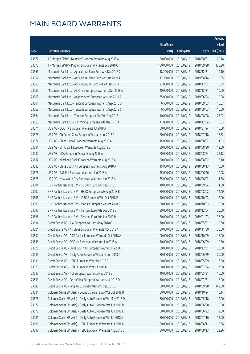|       |                                                              |              |                       |               | Amount      |
|-------|--------------------------------------------------------------|--------------|-----------------------|---------------|-------------|
|       |                                                              | No. of issue |                       |               | raised      |
| Code  | Derivative warrants                                          | (units)      | <b>Listing date</b>   | <b>Expiry</b> | (HK\$ mil.) |
| 23572 | J P Morgan SP BV - Nexteer European Warrants Aug 2018 A      | 80,000,000   | 2018/02/12            | 2018/08/31    | 20.16       |
| 23573 | J P Morgan SP BV - Ping An European Warrants Sep 2018 C      | 100,000,000  | 2018/02/12            | 2018/09/28    | 120.20      |
| 23566 | Macquarie Bank Ltd. - Agricultural Bank Euro Wts Dec 2018 C  | 18,200,000   | 2018/02/12            | 2018/12/31    | 10.10       |
| 23567 | Macquarie Bank Ltd. - Agricultural Bank Euro Wts Jun 2019 A  | 17,300,000   | 2018/02/12            | 2019/06/14    | 10.05       |
| 23568 | Macquarie Bank Ltd. - Agricultural Bk Euro Put Wt Dec 2018 D | 23,000,000   | 2018/02/12            | 2018/12/31    | 10.05       |
| 23565 | Macquarie Bank Ltd. - Air China European Warrants Dec 2018 A | 40,000,000   | 2018/02/12            | 2018/12/31    | 10.00       |
| 23558 | Macquarie Bank Ltd. - Angang Steel European Wts Jun 2019 A   | 35,000,000   | 2018/02/12            | 2019/06/24    | 10.08       |
| 23561 | Macquarie Bank Ltd. - Tencent European Warrants Sep 2018 B   | 6,500,000    | 2018/02/12            | 2018/09/03    | 10.03       |
| 23562 | Macquarie Bank Ltd. - Tencent European Warrants Sep 2018 C   | 6,500,000    | 2018/02/12            | 2018/09/03    | 16.00       |
| 23564 | Macquarie Bank Ltd. - Tencent European Put Wts Aug 2018 L    | 40,000,000   | 2018/02/12            | 2018/08/28    | 23.92       |
| 23563 | Macquarie Bank Ltd. - Zijin Mining European Wts Dec 2018 A   | 17,000,000   | 2018/02/12            | 2018/12/04    | 10.03       |
| 23574 | UBS AG - BOC HK European Warrants Jul 2018 A                 | 60,000,000   | 2018/02/12            | 2018/07/24    | 10.08       |
| 23578 | UBS AG - Ch Comm Cons European Warrants Jul 2018 A           | 60,000,000   | 2018/02/12            | 2018/07/18    | 17.52       |
| 23577 | UBS AG - China Cinda European Warrants Aug 2018 A            | 45,000,000   | 2018/02/12            | 2018/08/27    | 11.03       |
| 23581 | UBS AG - CITIC Bank European Warrants Aug 2018 B             | 50,000,000   | 2018/02/12            | 2018/08/20    | 12.50       |
| 23580 | UBS AG - CKA European Warrants Aug 2018 A                    | 70,000,000   | 2018/02/12            | 2018/08/24    | 22.12       |
| 23582 | UBS AG - Minsheng Bank European Warrants Aug 2018 A          | 50,000,000   | 2018/02/12            | 2018/08/22    | 18.10       |
| 23583 | UBS AG - China South Air European Warrants Aug 2018 A        | 15,000,000   | 2018/02/12            | 2018/08/13    | 15.50       |
| 23576 | UBS AG - R&F Ppt European Warrants Jun 2018 A                | 45,000,000   | 2018/02/12            | 2018/06/26    | 10.08       |
| 23575 | UBS AG - New World Dev European Warrants Jun 2018 A          | 35,000,000   | 2018/02/12            | 2018/06/22    | 11.38       |
| 23604 | BNP Paribas Issuance B.V. - CC Bank Euro Wts Sep 2018 C      | 40,000,000   | 2018/02/13            | 2018/09/04    | 11.60       |
| 23602 | BNP Paribas Issuance B.V. - HKEX European Wts Aug 2018 B     | 80,000,000   | 2018/02/13            | 2018/08/02    | 14.40       |
| 23606 | BNP Paribas Issuance B.V. - ICBC European Wts Oct 2018 E     | 40,000,000   | 2018/02/13            | 2018/10/03    | 12.00       |
| 23598 | BNP Paribas Issuance B.V. - Ping An European Wt Oct 2018 E   | 60,000,000   | 2018/02/13            | 2018/10/03    | 19.80       |
| 23597 | BNP Paribas Issuance B.V. - Tencent Euro Wts Dec 2018 B      | 80,000,000   | 2018/02/13            | 2018/12/04    | 20.00       |
| 23596 | BNP Paribas Issuance B.V. - Tencent Euro Wts Jan 2019 H      | 80,000,000   | 2018/02/13            | 2019/01/03    | 36.00       |
| 23634 | Credit Suisse AG - AIA European Warrants May 2018 C          |              | 70,000,000 2018/02/13 | 2018/05/31    | 19.60       |
| 23624 | Credit Suisse AG - Air China European Warrants Nov 2018 A    | 80,000,000   | 2018/02/13            | 2018/11/30    | 20.00       |
| 23632 | Credit Suisse AG - ASM Pacific European Warrants Oct 2018 A  | 100,000,000  | 2018/02/13            | 2018/10/09    | 15.00       |
| 23648 | Credit Suisse AG - BOC HK European Warrants Jun 2018 A       | 70,000,000   | 2018/02/13            | 2018/06/29    | 10.50       |
| 23626 | Credit Suisse AG - China South Air European Warrants Dec18 B | 80,000,000   | 2018/02/13            | 2018/12/31    | 20.00       |
| 23645 | Credit Suisse AG - Geely Auto European Warrants Jun 2018 C   | 80,000,000   | 2018/02/13            | 2018/06/29    | 20.00       |
| 23631 | Credit Suisse AG - HSBC European Wts May 2018 B              | 100,000,000  | 2018/02/13            | 2018/05/29    | 16.00       |
| 23629 | Credit Suisse AG - HSBC European Wts Jul 2018 G              | 100,000,000  | 2018/02/13            | 2018/07/24    | 17.00       |
| 23637 | Credit Suisse AG - NCI European Warrants May 2018 B          | 40,000,000   | 2018/02/13            | 2018/05/31    | 10.00       |
| 23633 | Credit Suisse AG - PetroChina European Warrants Jul 2018 D   | 70,000,000   | 2018/02/13            | 2018/07/31    | 18.90       |
| 23643 | Credit Suisse AG - Ping An European Warrants Sep 2018 C      | 150,000,000  | 2018/02/13            | 2018/09/28    | 142.50      |
| 23684 | Goldman Sachs SP (Asia) - Country Garden Euro Wts Oct 2018 B | 60,000,000   | 2018/02/13            | 2018/10/24    | 10.14       |
| 23676 | Goldman Sachs SP (Asia) - Geely Auto European Wts May 2018 D | 80,000,000   | 2018/02/13            | 2018/05/18    | 12.00       |
| 23677 | Goldman Sachs SP (Asia) - Geely Auto European Wts Jun 2018 D | 80,000,000   | 2018/02/13            | 2018/06/28    | 15.60       |
| 23678 | Goldman Sachs SP (Asia) - Geely Auto European Wts Jun 2018 E | 80,000,000   | 2018/02/13            | 2018/06/22    | 12.00       |
| 23681 | Goldman Sachs SP (Asia) - Geely Auto European Wts Jul 2018 A | 80,000,000   | 2018/02/13            | 2018/07/16    | 12.00       |
| 23686 | Goldman Sachs SP (Asia) - HSBC European Warrants Jun 2018 G  | 80,000,000   | 2018/02/13            | 2018/06/11    | 15.36       |
| 23687 | Goldman Sachs SP (Asia) - HSBC European Warrants Aug 2018 C  | 80,000,000   | 2018/02/13            | 2018/08/13    | 22.96       |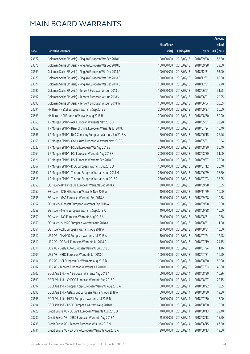|       |                                                              |              |                       |               | Amount      |
|-------|--------------------------------------------------------------|--------------|-----------------------|---------------|-------------|
|       |                                                              | No. of issue |                       |               | raised      |
| Code  | Derivative warrants                                          | (units)      | <b>Listing date</b>   | <b>Expiry</b> | (HK\$ mil.) |
| 23672 | Goldman Sachs SP (Asia) - Ping An European Wts Sep 2018 D    | 100,000,000  | 2018/02/13            | 2018/09/28    | 53.50       |
| 23675 | Goldman Sachs SP (Asia) - Ping An European Wts Sep 2018 E    | 100,000,000  | 2018/02/13            | 2018/09/28    | 39.60       |
| 23669 | Goldman Sachs SP (Asia) - Ping An European Wts Dec 2018 A    | 100,000,000  | 2018/02/13            | 2018/12/31    | 93.90       |
| 23670 | Goldman Sachs SP (Asia) - Ping An European Wts Dec 2018 B    | 100,000,000  | 2018/02/13            | 2018/12/31    | 82.30       |
| 23671 | Goldman Sachs SP (Asia) - Ping An European Wts Dec 2018 C    | 100,000,000  | 2018/02/13            | 2018/12/31    | 72.70       |
| 23690 | Goldman Sachs SP (Asia) - Tencent European Wt Jun 2018 U     | 150,000,000  | 2018/02/13            | 2018/06/01    | 31.95       |
| 23692 | Goldman Sachs SP (Asia) - Tencent European Wt Jun 2018 V     | 150,000,000  | 2018/02/13            | 2018/06/01    | 29.25       |
| 23693 | Goldman Sachs SP (Asia) - Tencent European Wt Jun 2018 W     | 150,000,000  | 2018/02/13            | 2018/06/04    | 25.65       |
| 23594 | HK Bank - HSCEI European Warrants Sep 2018 B                 | 200,000,000  | 2018/02/13            | 2018/09/27    | 50.00       |
| 23593 | HK Bank - HSI European Warrants Aug 2018 H                   | 200,000,000  | 2018/02/13            | 2018/08/30    | 50.00       |
| 23663 | J P Morgan SP BV - AIA European Warrants May 2018 B          | 100,000,000  | 2018/02/13            | 2018/05/31    | 23.20       |
| 23668 | J P Morgan SP BV - Bank of China European Warrants Jul 2018C | 100,000,000  | 2018/02/13            | 2018/07/24    | 15.40       |
| 23666 | J P Morgan SP BV - BYD Company European Warrants Jun 2018 A  | 60,000,000   | 2018/02/13            | 2018/06/15    | 26.46       |
| 23665 | J P Morgan SP BV - Geely Auto European Warrants May 2018 B   | 70,000,000   | 2018/02/13            | 2018/05/31    | 10.64       |
| 23622 | J P Morgan SP BV - HSCEI European Wts Aug 2018 B             | 200,000,000  | 2018/02/13            | 2018/08/30    | 50.40       |
| 23664 | J P Morgan SP BV - HSI European Warrants Aug 2018 F          | 200,000,000  | 2018/02/13            | 2018/08/30    | 51.00       |
| 23621 | J P Morgan SP BV - HSI European Warrants Sep 2018 F          | 300,000,000  | 2018/02/13            | 2018/09/27    | 78.90       |
| 23667 | J P Morgan SP BV - ICBC European Warrants Jul 2018 D         | 100,000,000  | 2018/02/13            | 2018/07/12    | 26.40       |
| 23662 | J P Morgan SP BV - Tencent European Warrants Jun 2018 M      | 250,000,000  | 2018/02/13            | 2018/06/29    | 38.50       |
| 23618 | J P Morgan SP BV - Tencent European Warrants Jul 2018 C      | 250,000,000  | 2018/02/13            | 2018/07/03    | 38.25       |
| 23650 | SG Issuer - Brilliance Chi European Warrants Sep 2018 A      | 30,000,000   | 2018/02/13            | 2018/09/28    | 10.05       |
| 23652 | SG Issuer - CNBM European Warrants Nov 2019 A                | 40,000,000   | 2018/02/13            | 2019/11/29    | 10.00       |
| 23655 | SG Issuer - GAC European Warrants Sep 2018 A                 | 35,000,000   | 2018/02/13            | 2018/09/28    | 10.68       |
| 23657 | SG Issuer - Kingsoft European Warrants Sep 2018 A            | 30,000,000   | 2018/02/13            | 2018/09/28    | 10.50       |
| 23658 | SG Issuer - Meitu European Warrants Sep 2018 A               | 40,000,000   | 2018/02/13            | 2018/09/28    | 10.00       |
| 23659 | SG Issuer - NCI European Warrants Aug 2018 A                 | 25,000,000   | 2018/02/13            | 2018/08/31    | 10.88       |
| 23660 | SG Issuer - SUNAC European Warrants Aug 2018 A               |              | 20,000,000 2018/02/13 | 2018/08/31    | 11.00       |
| 23661 | SG Issuer - ZTE European Warrants Aug 2018 A                 | 25,000,000   | 2018/02/13            | 2018/08/31    | 10.00       |
| 23612 | UBS AG - CHALCO European Warrants Jul 2018 A                 | 30,000,000   | 2018/02/13            | 2018/07/24    | 12.48       |
| 23610 | UBS AG - CC Bank European Warrants Jul 2018 F                | 70,000,000   | 2018/02/13            | 2018/07/19    | 24.15       |
| 23611 | UBS AG - Geely Auto European Warrants Jul 2018 E             | 40,000,000   | 2018/02/13            | 2018/07/24    | 11.16       |
| 23609 | UBS AG - HSBC European Warrants Jul 2018 C                   | 100,000,000  | 2018/02/13            | 2018/07/31    | 16.90       |
| 23614 | UBS AG - HSI European Put Warrants Aug 2018 D                | 200,000,000  | 2018/02/13            | 2018/08/30    | 50.00       |
| 23607 | UBS AG - Tencent European Warrants Jul 2018 B                | 300,000,000  | 2018/02/13            | 2018/07/03    | 45.30       |
| 23702 | BOCI Asia Ltd. - AIA European Warrants Aug 2018 A            | 60,000,000   | 2018/02/14            | 2018/08/30    | 16.86       |
| 23699 | BOCI Asia Ltd. - CNOOC European Warrants Aug 2018 A          | 50,000,000   | 2018/02/14            | 2018/08/27    | 22.15       |
| 23697 | BOCI Asia Ltd. - Sinopec Corp European Warrants Aug 2018 A   | 50,000,000   | 2018/02/14            | 2018/08/22    | 13.35       |
| 23695 | BOCI Asia Ltd. - Galaxy Ent European Warrants Aug 2018 A     | 50,000,000   | 2018/02/14            | 2018/08/30    | 19.30       |
| 23698 | BOCI Asia Ltd. - HKEX European Warrants Jul 2018 D           | 100,000,000  | 2018/02/14            | 2018/07/30    | 18.00       |
| 23694 | BOCI Asia Ltd. - HSBC European Warrants Aug 2018 B           | 100,000,000  | 2018/02/14            | 2018/08/30    | 18.60       |
| 23728 | Credit Suisse AG - CC Bank European Warrants Aug 2018 D      | 70,000,000   | 2018/02/14            | 2018/08/13    | 29.40       |
| 23730 | Credit Suisse AG - CRRC European Warrants Aug 2018 A         | 25,000,000   | 2018/02/14            | 2018/08/13    | 15.50       |
| 23736 | Credit Suisse AG - Tencent European Wts Jun 2018 M           | 250,000,000  | 2018/02/14            | 2018/06/15    | 47.50       |
| 23731 | Credit Suisse AG - ZA Onine European Warrants Aug 2018 A     | 20,000,000   | 2018/02/14            | 2018/08/13    | 19.00       |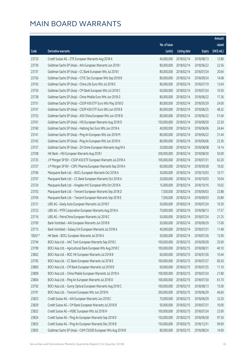|        |                                                              |              |                       |               | Amount      |
|--------|--------------------------------------------------------------|--------------|-----------------------|---------------|-------------|
|        |                                                              | No. of issue |                       |               | raised      |
| Code   | Derivative warrants                                          | (units)      | <b>Listing date</b>   | <b>Expiry</b> | (HK\$ mil.) |
| 23733  | Credit Suisse AG - ZTE European Warrants Aug 2018 A          | 40,000,000   | 2018/02/14            | 2018/08/13    | 12.80       |
| 23739  | Goldman Sachs SP (Asia) - AIA European Warrants Jun 2018 I   | 80,000,000   | 2018/02/14            | 2018/06/22    | 22.56       |
| 23737  | Goldman Sachs SP (Asia) - CC Bank European Wts Jul 2018 I    | 80,000,000   | 2018/02/14            | 2018/07/24    | 20.64       |
| 23756  | Goldman Sachs SP (Asia) - CITIC Sec European Wts Sep 2018 B  | 80,000,000   | 2018/02/14            | 2018/09/24    | 14.08       |
| 23743  | Goldman Sachs SP (Asia) - China Life Euro Wts Jul 2018 E     | 80,000,000   | 2018/02/14            | 2018/07/19    | 13.04       |
| 23754  | Goldman Sachs SP (Asia) - CM Bank European Wts Jul 2018 C    | 60,000,000   | 2018/02/14            | 2018/07/24    | 10.50       |
| 23738  | Goldman Sachs SP (Asia) - China Mobile Euro Wts Jun 2018 G   | 80,000,000   | 2018/02/14            | 2018/06/22    | 17.36       |
| 23751  | Goldman Sachs SP (Asia) - CSOP A50 ETF Euro Wts May 2018 D   | 80,000,000   | 2018/02/14            | 2018/05/29    | 24.00       |
| 23747  | Goldman Sachs SP (Asia) - CSOP A50 ETF Euro Wts Jun 2018 B   | 80,000,000   | 2018/02/14            | 2018/06/25    | 48.32       |
| 23753  | Goldman Sachs SP (Asia) - A50 China European Wts Jun 2018 B  | 80,000,000   | 2018/02/14            | 2018/06/22    | 51.04       |
| 23761  | Goldman Sachs SP (Asia) - HSI European Warrants Aug 2018 D   | 150,000,000  | 2018/02/14            | 2018/08/30    | 22.50       |
| 23760  | Goldman Sachs SP (Asia) - Haitong Sec Euro Wts Jun 2018 A    | 40,000,000   | 2018/02/14            | 2018/06/06    | 24.64       |
| 23741  | Goldman Sachs SP (Asia) - Ping An European Wts Jun 2018 M    | 80,000,000   | 2018/02/14            | 2018/06/22    | 31.44       |
| 23742  | Goldman Sachs SP (Asia) - Ping An European Wts Jun 2018 N    | 80,000,000   | 2018/02/14            | 2018/06/06    | 23.36       |
| 23757  | Goldman Sachs SP (Asia) - ZA Onine European Warrants Aug18 A | 20,000,000   | 2018/02/14            | 2018/08/08    | 14.14       |
| 23708  | HK Bank - HSI European Warrants Aug 2018 I                   | 200,000,000  | 2018/02/14            | 2018/08/30    | 50.00       |
| 23725  | J P Morgan SP BV - CSOP A50 ETF European Warrants Jul 2018 A | 100,000,000  | 2018/02/14            | 2018/07/31    | 62.20       |
| 23727  | J P Morgan SP BV - CSPC Pharma European Warrants Sep 2018 A  | 60,000,000   | 2018/02/14            | 2018/09/28    | 10.02       |
| 23706  | Macquarie Bank Ltd. - BOCL European Warrants Oct 2018 A      | 30,000,000   | 2018/02/14            | 2018/10/03    | 10.17       |
| 23707  | Macquarie Bank Ltd. - CC Bank European Warrants Oct 2018 A   | 20,000,000   | 2018/02/14            | 2018/10/03    | 10.04       |
| 23724  | Macquarie Bank Ltd. - Kingdee Int'l European Wts Oct 2018 A  | 15,000,000   | 2018/02/14            | 2018/10/16    | 10.02       |
| 23703  | Macquarie Bank Ltd. - Tencent European Warrants Sep 2018 D   | 7,500,000    | 2018/02/14            | 2018/09/03    | 23.88       |
| 23704  | Macquarie Bank Ltd. - Tencent European Warrants Sep 2018 E   | 7,500,000    | 2018/02/14            | 2018/09/03    | 35.89       |
| 23721  | UBS AG - Geely Auto European Warrants Jul 2018 F             | 50,000,000   | 2018/02/14            | 2018/07/24    | 10.30       |
| 23722  | UBS AG - MTR Corporation European Warrants Aug 2018 A        | 70,000,000   | 2018/02/14            | 2018/08/13    | 17.57       |
| 23716  | UBS AG - PetroChina European Warrants Jul 2018 C             | 50,000,000   | 2018/02/14            | 2018/07/24    | 21.25       |
| 23709  | Bank Vontobel - AIA European Warrants Jun 2018 B             |              | 50,000,000 2018/02/14 | 2018/06/29    | 11.00       |
| 23715  | Bank Vontobel - Galaxy Ent European Warrants Jul 2018 A      | 40,000,000   | 2018/02/14            | 2018/07/31    | 11.48       |
| 18261# | HK Bank - BOCL European Warrants Jul 2018 A                  | 50,000,000   | 2018/02/14            | 2018/07/26    | 13.00       |
| 23794  | BOCI Asia Ltd. - AAC Tech European Warrants Sep 2018 C       | 100,000,000  | 2018/02/15            | 2018/09/28    | 25.00       |
| 23799  | BOCI Asia Ltd. - Agricultural Bank European Wts Aug 2018 C   | 100,000,000  | 2018/02/15            | 2018/08/31    | 40.10       |
| 23802  | BOCI Asia Ltd. - BOC HK European Warrants Jul 2018 B         | 60,000,000   | 2018/02/15            | 2018/07/26    | 10.44       |
| 23795  | BOCI Asia Ltd. - CC Bank European Warrants Jul 2018 E        | 100,000,000  | 2018/02/15            | 2018/07/27    | 69.20       |
| 23800  | BOCI Asia Ltd. - CM Bank European Warrants Jul 2018 B        | 60,000,000   | 2018/02/15            | 2018/07/25    | 11.10       |
| 23809  | BOCI Asia Ltd. - China Mobile European Warrants Jul 2018 A   | 100,000,000  | 2018/02/15            | 2018/07/24    | 21.80       |
| 23804  | BOCI Asia Ltd. - Ping An European Warrants Jul 2018 D        | 100,000,000  | 2018/02/15            | 2018/07/30    | 61.70       |
| 23792  | BOCI Asia Ltd. - Sunny Optical European Warrants Aug 2018 C  | 100,000,000  | 2018/02/15            | 2018/08/13    | 15.00       |
| 23791  | BOCI Asia Ltd. - Tencent European Wts Jun 2018 N             | 200,000,000  | 2018/02/15            | 2018/06/29    | 46.60       |
| 23823  | Credit Suisse AG - AIA European Warrants Jun 2018 C          | 70,000,000   | 2018/02/15            | 2018/06/29    | 32.20       |
| 23829  | Credit Suisse AG - CM Bank European Warrants Jul 2018 B      | 50,000,000   | 2018/02/15            | 2018/07/31    | 10.00       |
| 23822  | Credit Suisse AG - HSBC European Wts Jul 2018 H              | 100,000,000  | 2018/02/15            | 2018/07/24    | 23.00       |
| 23824  | Credit Suisse AG - Ping An European Warrants Sep 2018 D      | 150,000,000  | 2018/02/15            | 2018/09/28    | 97.50       |
| 23825  | Credit Suisse AG - Ping An European Warrants Dec 2018 B      | 150,000,000  | 2018/02/15            | 2018/12/31    | 99.00       |
| 23855  | Goldman Sachs SP (Asia) - CAM CSI300 European Wts Aug 2018 B | 80,000,000   | 2018/02/15            | 2018/08/24    | 14.00       |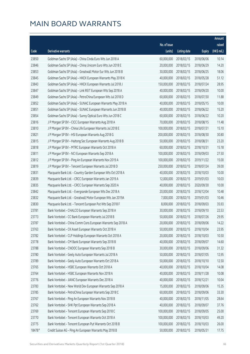|        |                                                              |              |                       |               | Amount      |
|--------|--------------------------------------------------------------|--------------|-----------------------|---------------|-------------|
|        |                                                              | No. of issue |                       |               | raised      |
| Code   | Derivative warrants                                          | (units)      | <b>Listing date</b>   | <b>Expiry</b> | (HK\$ mil.) |
| 23850  | Goldman Sachs SP (Asia) - China Cinda Euro Wts Jun 2018 A    | 60,000,000   | 2018/02/15            | 2018/06/06    | 10.14       |
| 23846  | Goldman Sachs SP (Asia) - China Unicom Euro Wts Jun 2018 E   | 20,000,000   | 2018/02/15            | 2018/06/29    | 14.20       |
| 23853  | Goldman Sachs SP (Asia) - Greatwall Motor Eur Wts Jun 2018 B | 30,000,000   | 2018/02/15            | 2018/06/25    | 18.06       |
| 23845  | Goldman Sachs SP (Asia) - HKEX European Warrants May 2018 K  | 40,000,000   | 2018/02/15            | 2018/05/28    | 51.12       |
| 23843  | Goldman Sachs SP (Asia) - HKEX European Warrants Jul 2018 J  | 150,000,000  | 2018/02/15            | 2018/07/24    | 28.95       |
| 23847  | Goldman Sachs SP (Asia) - Link REIT European Wts Sep 2018 A  | 40,000,000   | 2018/02/15            | 2018/09/20    | 10.00       |
| 23849  | Goldman Sachs SP (Asia) - PetroChina European Wts Jul 2018 D | 60,000,000   | 2018/02/15            | 2018/07/30    | 11.88       |
| 23852  | Goldman Sachs SP (Asia) - SUNAC European Warrants May 2018 A | 40,000,000   | 2018/02/15            | 2018/05/15    | 10.00       |
| 23851  | Goldman Sachs SP (Asia) - SUNAC European Warrants Jun 2018 B | 40,000,000   | 2018/02/15            | 2018/06/22    | 15.20       |
| 23854  | Goldman Sachs SP (Asia) - Sunny Optical Euro Wts Jun 2018 C  | 60,000,000   | 2018/02/15            | 2018/06/22    | 10.20       |
| 23816  | J P Morgan SP BV - CICC European Warrants Aug 2018 A         | 70,000,000   | 2018/02/15            | 2018/08/15    | 11.48       |
| 23810  | J P Morgan SP BV - China Life European Warrants Jul 2018 E   | 100,000,000  | 2018/02/15            | 2018/07/31    | 15.10       |
| 23821  | J P Morgan SP BV - HSI European Warrants Aug 2018 G          | 200,000,000  | 2018/02/15            | 2018/08/30    | 30.80       |
| 23815  | J P Morgan SP BV - Haitong Sec European Warrants Aug 2018 B  | 50,000,000   | 2018/02/15            | 2018/08/31    | 23.20       |
| 23818  | J P Morgan SP BV - MTRC European Warrants Oct 2018 A         | 60,000,000   | 2018/02/15            | 2018/10/31    | 15.18       |
| 23811  | J P Morgan SP BV - NCI European Warrants Sep 2018 A          | 100,000,000  | 2018/02/15            | 2018/09/03    | 27.50       |
| 23812  | J P Morgan SP BV - Ping An European Warrants Nov 2019 A      | 100,000,000  | 2018/02/15            | 2019/11/22    | 15.00       |
| 23819  | J P Morgan SP BV - Tencent European Warrants Jul 2018 D      | 250,000,000  | 2018/02/15            | 2018/07/24    | 39.00       |
| 23831  | Macquarie Bank Ltd. - Country Garden European Wts Oct 2018 A | 40,000,000   | 2018/02/15            | 2018/10/03    | 10.00       |
| 23839  | Macquarie Bank Ltd. - CRCC European Warrants Jan 2019 A      | 12,000,000   | 2018/02/15            | 2019/01/03    | 10.03       |
| 23835  | Macquarie Bank Ltd. - CRCC European Warrants Sep 2020 A      | 40,000,000   | 2018/02/15            | 2020/09/30    | 10.00       |
| 23842  | Macquarie Bank Ltd. - Evergrande European Wts Dec 2018 A     | 20,000,000   | 2018/02/15            | 2018/12/04    | 10.48       |
| 23832  | Macquarie Bank Ltd. - Greatwall Motor European Wts Jan 2019A | 7,000,000    | 2018/02/15            | 2019/01/03    | 10.46       |
| 23830  | Macquarie Bank Ltd. - Tencent European Put Wts Sep 2018 F    | 8,000,000    | 2018/02/15            | 2018/09/03    | 35.93       |
| 23781  | Bank Vontobel - CHALCO European Warrants Sep 2018 A          | 30,000,000   | 2018/02/15            | 2018/09/10    | 22.53       |
| 23773  | Bank Vontobel - CC Bank European Warrants Jul 2018 B         | 50,000,000   | 2018/02/15            | 2018/07/26    | 29.95       |
| 23787  | Bank Vontobel - China Comm Cons European Warrants Sep 2018 A |              | 20,000,000 2018/02/15 | 2018/09/06    | 14.22       |
| 23763  | Bank Vontobel - CK Asset European Warrants Oct 2018 A        | 50,000,000   | 2018/02/15            | 2018/10/04    | 23.95       |
| 23782  | Bank Vontobel - CLP Holdings European Warrants Oct 2018 A    | 20,000,000   | 2018/02/15            | 2018/10/03    | 10.50       |
| 23778  | Bank Vontobel - CM Bank European Warrants Sep 2018 B         | 40,000,000   | 2018/02/15            | 2018/09/07    | 14.60       |
| 23788  | Bank Vontobel - CNOOC European Warrants Sep 2018 B           | 30,000,000   | 2018/02/15            | 2018/09/06    | 31.32       |
| 23780  | Bank Vontobel - Geely Auto European Warrants Jul 2018 A      | 50,000,000   | 2018/02/15            | 2018/07/05    | 12.95       |
| 23789  | Bank Vontobel - Geely Auto European Warrants Oct 2018 A      | 50,000,000   | 2018/02/15            | 2018/10/10    | 12.50       |
| 23765  | Bank Vontobel - HSBC European Warrants Oct 2018 A            | 40,000,000   | 2018/02/15            | 2018/10/04    | 14.08       |
| 23764  | Bank Vontobel - HSBC European Warrants Nov 2018 A            | 40,000,000   | 2018/02/15            | 2018/11/28    | 10.08       |
| 23776  | Bank Vontobel - JIANC European Warrants Dec 2018 A           | 40,000,000   | 2018/02/15            | 2018/12/21    | 10.04       |
| 23783  | Bank Vontobel - New World Dev European Warrants Sep 2018 A   | 15,000,000   | 2018/02/15            | 2018/09/06    | 15.35       |
| 23785  | Bank Vontobel - PetroChina European Warrants Sep 2018 C      | 60,000,000   | 2018/02/15            | 2018/09/06    | 33.30       |
| 23767  | Bank Vontobel - Ping An European Warrants Nov 2018 B         | 40,000,000   | 2018/02/15            | 2018/11/05    | 28.64       |
| 23762  | Bank Vontobel - SHK Ppt European Warrants Sep 2018 A         | 40,000,000   | 2018/02/15            | 2018/09/07    | 37.76       |
| 23769  | Bank Vontobel - Tencent European Warrants Sep 2018 C         | 100,000,000  | 2018/02/15            | 2018/09/05    | 25.00       |
| 23770  | Bank Vontobel - Tencent European Warrants Oct 2018 A         | 100,000,000  | 2018/02/15            | 2018/10/03    | 49.20       |
| 23775  | Bank Vontobel - Tencent European Put Warrants Oct 2018 B     | 100,000,000  | 2018/02/15            | 2018/10/03    | 26.00       |
| 18478# | Credit Suisse AG - Ping An European Warrants May 2018 B      | 50,000,000   | 2018/02/15            | 2018/05/31    | 17.75       |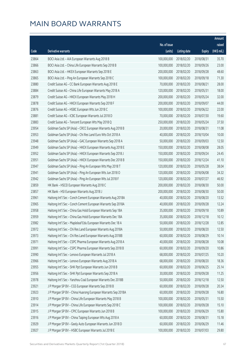|       |                                                              |              |                       |               | Amount      |
|-------|--------------------------------------------------------------|--------------|-----------------------|---------------|-------------|
|       |                                                              | No. of issue |                       |               | raised      |
| Code  | <b>Derivative warrants</b>                                   | (units)      | <b>Listing date</b>   | <b>Expiry</b> | (HK\$ mil.) |
| 23864 | BOCI Asia Ltd. - AIA European Warrants Aug 2018 B            | 100,000,000  | 2018/02/20            | 2018/08/31    | 35.70       |
| 23866 | BOCI Asia Ltd. - China Life European Warrants Sep 2018 B     | 100,000,000  | 2018/02/20            | 2018/09/26    | 23.00       |
| 23863 | BOCI Asia Ltd. - HKEX European Warrants Sep 2018 E           | 200,000,000  | 2018/02/20            | 2018/09/28    | 48.60       |
| 23865 | BOCI Asia Ltd. - Ping An European Warrants Sep 2018 C        | 100,000,000  | 2018/02/20            | 2018/09/18    | 71.30       |
| 23880 | Credit Suisse AG - CC Bank European Warrants Aug 2018 E      | 70,000,000   | 2018/02/20            | 2018/08/21    | 28.00       |
| 23884 | Credit Suisse AG - China Life European Warrants May 2018 A   | 120,000,000  | 2018/02/20            | 2018/05/31    | 18.00       |
| 23879 | Credit Suisse AG - HKEX European Warrants May 2018 H         | 200,000,000  | 2018/02/20            | 2018/05/24    | 32.00       |
| 23878 | Credit Suisse AG - HKEX European Warrants Sep 2018 F         | 200,000,000  | 2018/02/20            | 2018/09/07    | 44.00       |
| 23876 | Credit Suisse AG - HSBC European Wts Jun 2018 C              | 100,000,000  | 2018/02/20            | 2018/06/22    | 22.00       |
| 23881 | Credit Suisse AG - ICBC European Warrants Jul 2018 D         | 70,000,000   | 2018/02/20            | 2018/07/30    | 19.60       |
| 23883 | Credit Suisse AG - Tencent European Wts May 2018 Q           | 250,000,000  | 2018/02/20            | 2018/05/24    | 37.50       |
| 23954 | Goldman Sachs SP (Asia) - CRCC European Warrants Aug 2018 B  | 20,000,000   | 2018/02/20            | 2018/08/31    | 11.08       |
| 23953 | Goldman Sachs SP (Asia) - Chi Res Land Euro Wts Oct 2018 A   | 40,000,000   | 2018/02/20            | 2018/10/04    | 10.00       |
| 23948 | Goldman Sachs SP (Asia) - GAC European Warrants Sep 2018 A   | 50,000,000   | 2018/02/20            | 2018/09/03    | 12.50       |
| 23949 | Goldman Sachs SP (Asia) - HKEX European Warrants Aug 2018 E  | 150,000,000  | 2018/02/20            | 2018/08/08    | 28.05       |
| 23952 | Goldman Sachs SP (Asia) - HKEX European Warrants Sep 2018 J  | 150,000,000  | 2018/02/20            | 2018/09/24    | 24.45       |
| 23951 | Goldman Sachs SP (Asia) - HKEX European Warrants Dec 2018 B  | 150,000,000  | 2018/02/20            | 2018/12/24    | 41.10       |
| 23947 | Goldman Sachs SP (Asia) - Ping An European Wts May 2018 T    | 120,000,000  | 2018/02/20            | 2018/05/28    | 38.04       |
| 23941 | Goldman Sachs SP (Asia) - Ping An European Wts Jun 2018 O    | 120,000,000  | 2018/02/20            | 2018/06/08    | 34.32       |
| 23942 | Goldman Sachs SP (Asia) - Ping An European Wts Jul 2018 F    | 120,000,000  | 2018/02/20            | 2018/07/27    | 46.92       |
| 23859 | HK Bank - HSCEI European Warrants Aug 2018 C                 | 200,000,000  | 2018/02/20            | 2018/08/30    | 50.00       |
| 23857 | HK Bank - HSI European Warrants Aug 2018 J                   | 200,000,000  | 2018/02/20            | 2018/08/30    | 50.00       |
| 23961 | Haitong Int'l Sec - Conch Cement European Warrants Aug 2018A | 40,000,000   | 2018/02/20            | 2018/08/20    | 13.52       |
| 23965 | Haitong Int'l Sec - Conch Cement European Warrants Sep 2018A | 40,000,000   | 2018/02/20            | 2018/09/28    | 12.24       |
| 23958 | Haitong Int'l Sec - China Gas Hold European Warrants Sep 18A | 35,000,000   | 2018/02/20            | 2018/09/18    | 10.89       |
| 23959 | Haitong Int'l Sec - China Gas Hold European Warrants Dec 18A | 35,000,000   | 2018/02/20            | 2018/12/18    | 10.12       |
| 23982 | Haitong Int'l Sec - Mapleleaf Edu European Warrants Dec 18 A |              | 50,000,000 2018/02/20 | 2018/12/28    | 12.85       |
| 23972 | Haitong Int'l Sec - Chi Res Land European Warrants Aug 2018A | 50,000,000   | 2018/02/20            | 2018/08/20    | 12.50       |
| 23973 | Haitong Int'l Sec - Chi Res Land European Warrants Aug 2018B | 60,000,000   | 2018/02/20            | 2018/08/29    | 10.14       |
| 23971 | Haitong Int'l Sec - CSPC Pharma European Warrants Aug 2018 A | 40,000,000   | 2018/02/20            | 2018/08/28    | 10.08       |
| 23991 | Haitong Int'l Sec - CSPC Pharma European Warrants Sep 2018 B | 60,000,000   | 2018/02/20            | 2018/09/20    | 10.86       |
| 23990 | Haitong Int'l Sec - Lenovo European Warrants Jul 2018 A      | 68,000,000   | 2018/02/20            | 2018/07/25    | 10.20       |
| 23966 | Haitong Int'l Sec - Lenovo European Warrants Aug 2018 A      | 68,000,000   | 2018/02/20            | 2018/08/20    | 18.36       |
| 23955 | Haitong Int'l Sec - SHK Ppt European Warrants Jun 2018 B     | 60,000,000   | 2018/02/20            | 2018/06/25    | 25.14       |
| 23956 | Haitong Int'l Sec - SHK Ppt European Warrants Sep 2018 A     | 30,000,000   | 2018/02/20            | 2018/09/28    | 11.25       |
| 23978 | Haitong Int'l Sec - Yanzhou Coal European Warrants Dec 2018B | 50,000,000   | 2018/02/20            | 2018/12/18    | 12.50       |
| 23921 | J P Morgan SP BV - CGS European Warrants Sep 2018 B          | 60,000,000   | 2018/02/20            | 2018/09/28    | 20.34       |
| 23923 | J P Morgan SP BV - China Huarong European Warrants Sep 2018A | 60,000,000   | 2018/02/20            | 2018/09/28    | 16.80       |
| 23910 | J P Morgan SP BV - China Life European Warrants May 2018 B   | 100,000,000  | 2018/02/20            | 2018/05/31    | 15.50       |
| 23914 | J P Morgan SP BV - China Life European Warrants Sep 2018 C   | 100,000,000  | 2018/02/20            | 2018/09/28    | 15.10       |
| 23915 | J P Morgan SP BV - CPIC European Warrants Jun 2018 B         | 100,000,000  | 2018/02/20            | 2018/06/29    | 15.80       |
| 23916 | J P Morgan SP BV - China Taiping European Wts Aug 2018 A     | 60,000,000   | 2018/02/20            | 2018/08/31    | 15.18       |
| 23929 | J P Morgan SP BV - Geely Auto European Warrants Jun 2018 D   | 60,000,000   | 2018/02/20            | 2018/06/29    | 11.46       |
| 23927 | J P Morgan SP BV - HSBC European Warrants Jul 2018 E         | 100,000,000  | 2018/02/20            | 2018/07/03    | 29.80       |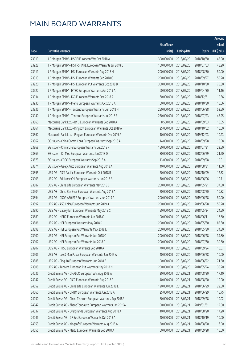|       |                                                              |                        |                     |               | Amount      |
|-------|--------------------------------------------------------------|------------------------|---------------------|---------------|-------------|
|       |                                                              | No. of issue           |                     |               | raised      |
| Code  | Derivative warrants                                          | (units)                | <b>Listing date</b> | <b>Expiry</b> | (HK\$ mil.) |
| 23919 | J P Morgan SP BV - HSCEI European Wts Oct 2018 A             | 300,000,000            | 2018/02/20          | 2018/10/30    | 45.90       |
| 23928 | J P Morgan SP BV - HS H-SHARE European Warrants Jul 2018 B   | 100,000,000            | 2018/02/20          | 2018/07/03    | 48.20       |
| 23911 | J P Morgan SP BV - HSI European Warrants Aug 2018 H          | 200,000,000            | 2018/02/20          | 2018/08/30    | 50.00       |
| 23913 | J P Morgan SP BV - HSI European Warrants Sep 2018 G          | 200,000,000            | 2018/02/20          | 2018/09/27    | 50.20       |
| 23920 | J P Morgan SP BV - HSI European Put Warrants Oct 2018 B      | 300,000,000            | 2018/02/20          | 2018/10/30    | 75.30       |
| 23922 | J P Morgan SP BV - HTSC European Warrants Apr 2019 A         | 60,000,000             | 2018/02/20          | 2019/04/30    | 11.16       |
| 23934 | J P Morgan SP BV - IGG European Warrants Dec 2018 A          | 60,000,000             | 2018/02/20          | 2018/12/31    | 10.86       |
| 23930 | J P Morgan SP BV - Meitu European Warrants Oct 2018 A        | 60,000,000             | 2018/02/20          | 2018/10/30    | 15.06       |
| 23936 | J P Morgan SP BV - Tencent European Warrants Jun 2018 N      | 250,000,000            | 2018/02/20          | 2018/06/28    | 52.50       |
| 23940 | J P Morgan SP BV - Tencent European Warrants Jul 2018 E      | 250,000,000            | 2018/02/20          | 2018/07/23    | 45.25       |
| 23860 | Macquarie Bank Ltd. - BYD European Warrants Sep 2018 A       | 8,500,000              | 2018/02/20          | 2018/09/03    | 10.05       |
| 23861 | Macquarie Bank Ltd. - Kingsoft European Warrants Oct 2018 A  | 25,000,000             | 2018/02/20          | 2018/10/02    | 10.00       |
| 23862 | Macquarie Bank Ltd. - Ping An European Warrants Dec 2019 A   | 10,000,000             | 2018/02/20          | 2019/12/03    | 10.23       |
| 23867 | SG Issuer - China Comm Cons European Warrants Sep 2018 A     | 14,000,000             | 2018/02/20          | 2018/09/28    | 10.08       |
| 23868 | SG Issuer - China Life European Warrants Jul 2018 F          | 150,000,000            | 2018/02/20          | 2018/07/31    | 22.50       |
| 23869 | SG Issuer - Ch Mob European Warrants Jun 2018 D              | 80,000,000             | 2018/02/20          | 2018/06/29    | 21.20       |
| 23873 | SG Issuer - CRCC European Warrants Sep 2018 A                | 13,000,000             | 2018/02/20          | 2018/09/28    | 10.01       |
| 23874 | SG Issuer - Geely Auto European Warrants Aug 2018 A          | 40,000,000             | 2018/02/20          | 2018/08/31    | 11.60       |
| 23895 | UBS AG - ASM Pacific European Warrants Oct 2018 B            | 70,000,000             | 2018/02/20          | 2018/10/09    | 12.32       |
| 23903 | UBS AG - Brilliance Chi European Warrants Jun 2018 A         | 70,000,000             | 2018/02/20          | 2018/06/06    | 10.71       |
| 23887 | UBS AG - China Life European Warrants May 2018 B             | 200,000,000            | 2018/02/20          | 2018/05/21    | 37.80       |
| 23904 | UBS AG - China Res Beer European Warrants Aug 2018 A         | 20,000,000             | 2018/02/20          | 2018/08/20    | 10.32       |
| 23894 | UBS AG - CSOP A50 ETF European Warrants Jun 2019 A           | 200,000,000            | 2018/02/20          | 2019/06/28    | 50.00       |
| 23892 | UBS AG - A50 China European Warrants Jun 2019 A              | 200,000,000            | 2018/02/20          | 2019/06/28    | 50.20       |
| 23890 | UBS AG - Galaxy Ent European Warrants May 2018 C             | 50,000,000             | 2018/02/20          | 2018/05/24    | 24.50       |
| 23889 | UBS AG - HSBC European Warrants Jun 2018 C                   | 100,000,000            | 2018/02/20          | 2018/06/11    | 18.80       |
| 23886 | UBS AG - HSI European Warrants May 2018 D                    | 200,000,000 2018/02/20 |                     | 2018/05/30    | 85.80       |
| 23898 | UBS AG - HSI European Put Warrants May 2018 E                | 200,000,000            | 2018/02/20          | 2018/05/30    | 34.80       |
| 23900 | UBS AG - HSI European Put Warrants Jun 2018 C                | 200,000,000            | 2018/02/20          | 2018/06/28    | 39.80       |
| 23902 | UBS AG - HSI European Put Warrants Jul 2018 F                | 200,000,000            | 2018/02/20          | 2018/07/30    | 30.80       |
| 23907 | UBS AG - HTSC European Warrants Sep 2018 A                   | 70,000,000             | 2018/02/20          | 2018/09/24    | 10.57       |
| 23906 | UBS AG - Lee & Man Paper European Warrants Jun 2019 A        | 40,000,000             | 2018/02/20          | 2019/06/28    | 10.00       |
| 23888 | UBS AG - Ping An European Warrants Jun 2018 E                | 100,000,000            | 2018/02/20          | 2018/06/22    | 71.80       |
| 23908 | UBS AG - Tencent European Put Warrants May 2018 N            | 200,000,000            | 2018/02/20          | 2018/05/24    | 30.20       |
| 24036 | Credit Suisse AG - CHALCO European Wts Aug 2018 A            | 30,000,000             | 2018/02/21          | 2018/08/20    | 17.10       |
| 24047 | Credit Suisse AG - CICC European Warrants Aug 2018 A         | 40,000,000             | 2018/02/21          | 2018/08/20    | 10.00       |
| 24052 | Credit Suisse AG - China Life European Warrants Jun 2018 E   | 120,000,000            | 2018/02/21          | 2018/06/29    | 22.80       |
| 24060 | Credit Suisse AG - CNBM European Warrants Jun 2018 A         | 25,000,000             | 2018/02/21          | 2018/06/29    | 15.75       |
| 24050 | Credit Suisse AG - China Telecom European Warrants Sep 2018A | 60,000,000             | 2018/02/21          | 2018/09/28    | 10.02       |
| 24042 | Credit Suisse AG - ZhengTongAuto European Warrants Jan 2019A | 50,000,000             | 2018/02/21          | 2019/01/31    | 12.50       |
| 24037 | Credit Suisse AG - Evergrande European Warrants Aug 2018 A   | 40,000,000             | 2018/02/21          | 2018/08/20    | 17.20       |
| 24046 | Credit Suisse AG - GF Sec European Warrants Oct 2018 A       | 40,000,000             | 2018/02/21          | 2018/10/19    | 10.00       |
| 24053 | Credit Suisse AG - Kingsoft European Warrants Aug 2018 A     | 50,000,000             | 2018/02/21          | 2018/08/20    | 16.00       |
| 24055 | Credit Suisse AG - Meitu European Warrants Sep 2018 A        | 60,000,000             | 2018/02/21          | 2018/09/28    | 15.00       |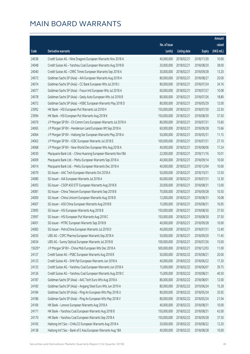|        |                                                              |              |                       |               | Amount      |
|--------|--------------------------------------------------------------|--------------|-----------------------|---------------|-------------|
|        |                                                              | No. of issue |                       |               | raised      |
| Code   | Derivative warrants                                          | (units)      | <b>Listing date</b>   | <b>Expiry</b> | (HK\$ mil.) |
| 24038  | Credit Suisse AG - Nine Dragons European Warrants Nov 2018 A | 40,000,000   | 2018/02/21            | 2018/11/30    | 10.00       |
| 24048  | Credit Suisse AG - Yanzhou Coal European Warrants Aug 2018 B | 20,000,000   | 2018/02/21            | 2018/08/20    | 38.00       |
| 24040  | Credit Suisse AG - CRRC Times European Warrants Sep 2018 A   | 30,000,000   | 2018/02/21            | 2018/09/28    | 13.20       |
| 24073  | Goldman Sachs SP (Asia) - AIA European Warrants Aug 2018 A   | 80,000,000   | 2018/02/21            | 2018/08/27    | 20.00       |
| 24074  | Goldman Sachs SP (Asia) - CC Bank European Wts Jul 2018 J    | 80,000,000   | 2018/02/21            | 2018/07/24    | 34.16       |
| 24077  | Goldman Sachs SP (Asia) - Fosun Intl European Wts Jul 2018 A | 60,000,000   | 2018/02/21            | 2018/07/27    | 10.08       |
| 24078  | Goldman Sachs SP (Asia) - Geely Auto European Wts Jul 2018 B | 80,000,000   | 2018/02/21            | 2018/07/26    | 18.80       |
| 24072  | Goldman Sachs SP (Asia) - HSBC European Warrants May 2018 D  | 80,000,000   | 2018/02/21            | 2018/05/29    | 12.00       |
| 23992  | HK Bank - HSI European Put Warrants Jul 2018 H               | 150,000,000  | 2018/02/21            | 2018/07/30    | 22.50       |
| 23994  | HK Bank - HSI European Put Warrants Aug 2018 K               | 150,000,000  | 2018/02/21            | 2018/08/30    | 37.50       |
| 24070  | J P Morgan SP BV - Ch Comm Cons European Warrants Jul 2018 A | 80,000,000   | 2018/02/21            | 2018/07/31    | 15.60       |
| 24065  | J P Morgan SP BV - Henderson Land European Wt Sep 2018 A     | 60,000,000   | 2018/02/21            | 2018/09/28    | 15.66       |
| 24064  | J P Morgan SP BV - Haitong Sec European Warrants May 2018 A  | 50,000,000   | 2018/02/21            | 2018/05/31    | 11.15       |
| 24063  | J P Morgan SP BV - ICBC European Warrants Jul 2018 E         | 100,000,000  | 2018/02/21            | 2018/07/31    | 27.10       |
| 24068  | J P Morgan SP BV - New World Dev European Wts Aug 2018 A     | 40,000,000   | 2018/02/21            | 2018/08/06    | 17.24       |
| 24030  | Macquarie Bank Ltd. - China Huarong European Warrants Nov18A | 22,000,000   | 2018/02/21            | 2018/11/16    | 10.01       |
| 24009  | Macquarie Bank Ltd. - Meitu European Warrants Sep 2018 A     | 40,000,000   | 2018/02/21            | 2018/09/14    | 10.00       |
| 24014  | Macquarie Bank Ltd. - Meitu European Warrants Dec 2018 A     | 40,000,000   | 2018/02/21            | 2018/12/04    | 10.00       |
| 24079  | SG Issuer - AAC Tech European Warrants Oct 2018 A            | 50,000,000   | 2018/02/21            | 2018/10/31    | 12.50       |
| 24080  | SG Issuer - AIA European Warrants Jul 2018 A                 | 60,000,000   | 2018/02/21            | 2018/07/31    | 12.30       |
| 24003  | SG Issuer - CSOP A50 ETF European Warrants Aug 2018 B        | 20,000,000   | 2018/02/21            | 2018/08/31    | 13.00       |
| 24081  | SG Issuer - China Telecom European Warrants Sep 2018 B       | 70,000,000   | 2018/02/21            | 2018/09/28    | 10.50       |
| 24000  | SG Issuer - China Unicom European Warrants Aug 2018 B        | 12,000,000   | 2018/02/21            | 2018/08/31    | 10.08       |
| 24007  | SG Issuer - A50 China European Warrants Aug 2018 B           | 15,000,000   | 2018/02/21            | 2018/08/31    | 16.95       |
| 23995  | SG Issuer - HSI European Warrants Aug 2018 B                 | 150,000,000  | 2018/02/21            | 2018/08/30    | 37.50       |
| 23997  | SG Issuer - HSI European Put Warrants Aug 2018 C             | 150,000,000  | 2018/02/21            | 2018/08/30    | 37.50       |
| 24001  | SG Issuer - MTRC European Warrants Sep 2018 B                |              | 40,000,000 2018/02/21 | 2018/09/28    | 10.00       |
| 24083  | SG Issuer - PetroChina European Warrants Jul 2018 D          | 40,000,000   | 2018/02/21            | 2018/07/31    | 12.40       |
| 24035  | UBS AG - CSPC Pharma European Warrants Sep 2018 A            | 50,000,000   | 2018/02/21            | 2018/09/20    | 11.45       |
| 24034  | UBS AG - Sunny Optical European Warrants Jul 2018 B          | 100,000,000  | 2018/02/21            | 2018/07/26    | 15.00       |
| 15029# | J P Morgan SP BV - China Mob European Wts Dec 2018 A         | 500,000,000  | 2018/02/21            | 2018/12/03    | 11.00       |
| 24127  | Credit Suisse AG - PSBC European Warrants Aug 2018 B         | 50,000,000   | 2018/02/22            | 2018/08/21    | 20.00       |
| 24123  | Credit Suisse AG - SHK Ppt European Warrants Jun 2018 A      | 40,000,000   | 2018/02/22            | 2018/06/22    | 17.20       |
| 24125  | Credit Suisse AG - Yanzhou Coal European Warrants Jun 2018 A | 15,000,000   | 2018/02/22            | 2018/06/07    | 39.75       |
| 24126  | Credit Suisse AG - Yanzhou Coal European Warrants Aug 2018 C | 15,000,000   | 2018/02/22            | 2018/08/21    | 40.50       |
| 24187  | Goldman Sachs SP (Asia) - AAC Tech Euro Wts Aug 2018 A       | 80,000,000   | 2018/02/22            | 2018/08/01    | 12.00       |
| 24183  | Goldman Sachs SP (Asia) - Angang Steel Euro Wts Jun 2019 A   | 80,000,000   | 2018/02/22            | 2019/06/24    | 15.28       |
| 24184  | Goldman Sachs SP (Asia) - Ping An European Wts May 2018 U    | 80,000,000   | 2018/02/22            | 2018/05/24    | 35.92       |
| 24186  | Goldman Sachs SP (Asia) - Ping An European Wts May 2018 V    | 80,000,000   | 2018/02/22            | 2018/05/24    | 21.04       |
| 24169  | HK Bank - Lenovo European Warrants Aug 2018 A                | 40,000,000   | 2018/02/22            | 2018/08/31    | 10.00       |
| 24171  | HK Bank - Yanzhou Coal European Warrants Aug 2018 B          | 150,000,000  | 2018/02/22            | 2018/08/31    | 42.00       |
| 24170  | HK Bank - Yanzhou Coal European Warrants Sep 2018 A          | 150,000,000  | 2018/02/22            | 2018/09/28    | 37.50       |
| 24165  | Haitong Int'l Sec - CHALCO European Warrants Aug 2018 A      | 20,000,000   | 2018/02/22            | 2018/08/22    | 12.20       |
| 24138  | Haitong Int'l Sec - Bank of E Asia European Warrants Aug 18A | 40,000,000   | 2018/02/22            | 2018/08/28    | 10.00       |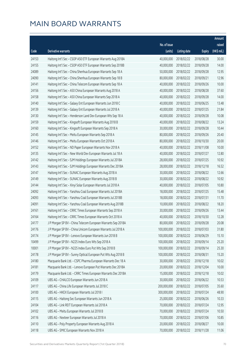|       |                                                              |              |                       |               | Amount      |
|-------|--------------------------------------------------------------|--------------|-----------------------|---------------|-------------|
|       |                                                              | No. of issue |                       |               | raised      |
| Code  | Derivative warrants                                          | (units)      | <b>Listing date</b>   | <b>Expiry</b> | (HK\$ mil.) |
| 24153 | Haitong Int'l Sec - CSOP A50 ETF European Warrants Aug 2018A | 40,000,000   | 2018/02/22            | 2018/08/28    | 30.00       |
| 24155 | Haitong Int'l Sec - CSOP A50 ETF European Warrants Sep 2018B | 40,000,000   | 2018/02/22            | 2018/09/28    | 14.00       |
| 24089 | Haitong Int'l Sec - China Shenhua European Warrants Sep 18 A | 50,000,000   | 2018/02/22            | 2018/09/28    | 12.95       |
| 24090 | Haitong Int'l Sec - China Shenhua European Warrants Sep 18 B | 80,000,000   | 2018/02/22            | 2018/09/21    | 12.96       |
| 24141 | Haitong Int'l Sec - China Telecom European Warrants Sep 18 A | 40,000,000   | 2018/02/22            | 2018/09/26    | 10.00       |
| 24156 | Haitong Int'l Sec - A50 China European Warrants Aug 2018 A   | 40,000,000   | 2018/02/22            | 2018/08/28    | 37.60       |
| 24158 | Haitong Int'l Sec - A50 China European Warrants Sep 2018 A   | 40,000,000   | 2018/02/22            | 2018/09/28    | 14.00       |
| 24140 | Haitong Int'l Sec - Galaxy Ent European Warrants Jun 2018 C  | 40,000,000   | 2018/02/22            | 2018/06/25    | 13.48       |
| 24139 | Haitong Int'l Sec - Galaxy Ent European Warrants Jul 2018 A  | 40,000,000   | 2018/02/22            | 2018/07/25    | 21.84       |
| 24130 | Haitong Int'l Sec - Henderson Land Dev European Wts Sep 18 A | 40,000,000   | 2018/02/22            | 2018/09/28    | 10.08       |
| 24159 | Haitong Int'l Sec - Kingsoft European Warrants Aug 2018 B    | 40,000,000   | 2018/02/22            | 2018/08/22    | 13.24       |
| 24160 | Haitong Int'l Sec - Kingsoft European Warrants Sep 2018 A    | 30,000,000   | 2018/02/22            | 2018/09/28    | 10.44       |
| 24145 | Haitong Int'l Sec - Meitu European Warrants Sep 2018 A       | 80,000,000   | 2018/02/22            | 2018/09/26    | 20.40       |
| 24146 | Haitong Int'l Sec - Meitu European Warrants Oct 2018 A       | 80,000,000   | 2018/02/22            | 2018/10/30    | 20.00       |
| 24152 | Haitong Int'l Sec - ND Paper European Warrants Nov 2018 A    | 40,000,000   | 2018/02/22            | 2018/11/08    | 10.00       |
| 24135 | Haitong Int'l Sec - New World Dev European Warrants Jul 18 A | 40,000,000   | 2018/02/22            | 2018/07/27    | 12.80       |
| 24142 | Haitong Int'l Sec - SJM Holdings European Warrants Jul 2018A | 28,000,000   | 2018/02/22            | 2018/07/25    | 10.92       |
| 24143 | Haitong Int'l Sec - SJM Holdings European Warrants Dec 2018A | 28,000,000   | 2018/02/22            | 2018/12/18    | 16.52       |
| 24147 | Haitong Int'l Sec - SUNAC European Warrants Aug 2018 A       | 30,000,000   | 2018/02/22            | 2018/08/22    | 12.66       |
| 24149 | Haitong Int'l Sec - SUNAC European Warrants Aug 2018 B       | 30,000,000   | 2018/02/22            | 2018/08/22    | 10.92       |
| 24144 | Haitong Int'l Sec - Xinyi Solar European Warrants Jul 2018 A | 40,000,000   | 2018/02/22            | 2018/07/05    | 10.80       |
| 24092 | Haitong Int'l Sec - Yanzhou Coal European Warrants Jul 2018A | 18,000,000   | 2018/02/22            | 2018/07/25    | 15.48       |
| 24093 | Haitong Int'l Sec - Yanzhou Coal European Warrants Jul 2018B | 18,000,000   | 2018/02/22            | 2018/07/31    | 11.70       |
| 24091 | Haitong Int'l Sec - Yanzhou Coal European Warrants Aug 2018B | 10,000,000   | 2018/02/22            | 2018/08/22    | 18.20       |
| 24161 | Haitong Int'l Sec - CRRC Times European Warrants Sep 2018 A  | 30,000,000   | 2018/02/22            | 2018/09/26    | 13.44       |
| 24164 | Haitong Int'l Sec - CRRC Times European Warrants Oct 2018 A  | 40,000,000   | 2018/02/22            | 2018/10/30    | 12.28       |
| 24177 | J P Morgan SP BV - China Telecom European Warrants Sep 2018A |              | 80,000,000 2018/02/22 | 2018/09/28    | 20.08       |
| 24176 | J P Morgan SP BV - China Unicom European Warrants Jul 2018 A | 100,000,000  | 2018/02/22            | 2018/07/03    | 31.80       |
| 24174 | J P Morgan SP BV - Lenovo European Warrants Jun 2018 B       | 100,000,000  | 2018/02/22            | 2018/06/29    | 15.10       |
| 10499 | J P Morgan SP BV - N225 Index Euro Wts Sep 2018 A            | 100,000,000  | 2018/02/22            | 2018/09/14    | 25.20       |
| 10001 | J P Morgan SP BV - N225 Index Euro Put Wts Sep 2018 B        | 100,000,000  | 2018/02/22            | 2018/09/14    | 25.30       |
| 24178 | J P Morgan SP BV - Sunny Optical European Put Wts Aug 2018 B | 100,000,000  | 2018/02/22            | 2018/08/31    | 15.20       |
| 24180 | Macquarie Bank Ltd. - CSPC Pharma European Warrants Dec 18 A | 30,000,000   | 2018/02/22            | 2018/12/18    | 10.02       |
| 24181 | Macquarie Bank Ltd. - Lenovo European Put Warrants Dec 2018A | 20,000,000   | 2018/02/22            | 2018/12/04    | 10.00       |
| 24179 | Macquarie Bank Ltd. - CRRC Times European Warrants Dec 2018A | 15,000,000   | 2018/02/22            | 2018/12/18    | 10.02       |
| 24109 | UBS AG - CHALCO European Warrants Jun 2018 A                 | 30,000,000   | 2018/02/22            | 2018/06/22    | 10.53       |
| 24117 | UBS AG - China Life European Warrants Jul 2018 C             | 200,000,000  | 2018/02/22            | 2018/07/05    | 35.60       |
| 24100 | UBS AG - HKEX European Warrants Jul 2018 I                   | 300,000,000  | 2018/02/22            | 2018/07/24    | 48.90       |
| 24115 | UBS AG - Haitong Sec European Warrants Jun 2018 A            | 25,000,000   | 2018/02/22            | 2018/06/26    | 10.33       |
| 24104 | UBS AG - Link REIT European Warrants Jul 2018 A              | 70,000,000   | 2018/02/22            | 2018/07/24    | 12.95       |
| 24102 | UBS AG - Meitu European Warrants Jul 2018 B                  | 70,000,000   | 2018/02/22            | 2018/07/24    | 10.50       |
| 24116 | UBS AG - Nexteer European Warrants Jul 2018 A                | 70,000,000   | 2018/02/22            | 2018/07/06    | 10.85       |
| 24110 | UBS AG - Poly Property European Warrants Aug 2018 A          | 20,000,000   | 2018/02/22            | 2018/08/27    | 10.00       |
| 24118 | UBS AG - SMIC European Warrants Nov 2018 A                   | 70,000,000   | 2018/02/22            | 2018/11/28    | 11.06       |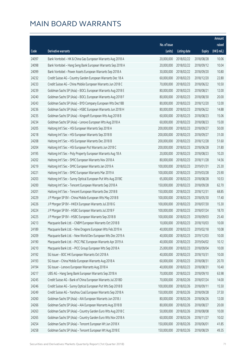|       |                                                              |              |                       |               | Amount      |
|-------|--------------------------------------------------------------|--------------|-----------------------|---------------|-------------|
|       |                                                              | No. of issue |                       |               | raised      |
| Code  | Derivative warrants                                          | (units)      | <b>Listing date</b>   | <b>Expiry</b> | (HK\$ mil.) |
| 24097 | Bank Vontobel - HK & China Gas European Warrants Aug 2018 A  | 20,000,000   | 2018/02/22            | 2018/08/28    | 10.06       |
| 24098 | Bank Vontobel - Hang Seng Bank European Warrants Sep 2018 A  | 20,000,000   | 2018/02/22            | 2018/09/12    | 10.04       |
| 24099 | Bank Vontobel - Power Assets European Warrants Sep 2018 A    | 30,000,000   | 2018/02/22            | 2018/09/20    | 10.80       |
| 24232 | Credit Suisse AG - Country Garden European Warrants Dec 18 A | 60,000,000   | 2018/02/23            | 2018/12/20    | 22.80       |
| 24233 | Credit Suisse AG - China Mobile European Warrants Jun 2018 C | 70,000,000   | 2018/02/23            | 2018/06/22    | 10.50       |
| 24239 | Goldman Sachs SP (Asia) - BOCL European Warrants Aug 2018 E  | 80,000,000   | 2018/02/23            | 2018/08/21    | 12.00       |
| 24240 | Goldman Sachs SP (Asia) - BOCL European Warrants Aug 2018 F  | 80,000,000   | 2018/02/23            | 2018/08/30    | 20.00       |
| 24243 | Goldman Sachs SP (Asia) - BYD Company European Wts Dec18B    | 80,000,000   | 2018/02/23            | 2018/12/20    | 12.00       |
| 24236 | Goldman Sachs SP (Asia) - HSBC European Warrants Jun 2018 H  | 80,000,000   | 2018/02/23            | 2018/06/22    | 14.88       |
| 24235 | Goldman Sachs SP (Asia) - Kingsoft European Wts Aug 2018 B   | 60,000,000   | 2018/02/23            | 2018/08/23    | 15.06       |
| 24234 | Goldman Sachs SP (Asia) - Lenovo European Wts Aug 2018 A     | 60,000,000   | 2018/02/23            | 2018/08/23    | 15.00       |
| 24205 | Haitong Int'l Sec - HSI European Warrants Sep 2018 A         | 200,000,000  | 2018/02/23            | 2018/09/27    | 50.00       |
| 24218 | Haitong Int'l Sec - HSI European Warrants Sep 2018 B         | 200,000,000  | 2018/02/23            | 2018/09/27    | 31.00       |
| 24208 | Haitong Int'l Sec - HSI European Warrants Dec 2018 B         | 200,000,000  | 2018/02/23            | 2018/12/28    | 51.60       |
| 24204 | Haitong Int'l Sec - HSI European Put Warrants Jun 2018 C     | 200,000,000  | 2018/02/23            | 2018/06/28    | 31.80       |
| 24195 | Haitong Int'l Sec - Poly Property European Warrants Aug 18 A | 20,000,000   | 2018/02/23            | 2018/08/23    | 10.20       |
| 24202 | Haitong Int'l Sec - SMIC European Warrants Nov 2018 A        | 80,000,000   | 2018/02/23            | 2018/11/28    | 14.56       |
| 24219 | Haitong Int'l Sec - SMIC European Warrants Jan 2019 A        | 100,000,000  | 2018/02/23            | 2019/01/31    | 25.30       |
| 24221 | Haitong Int'l Sec - SMIC European Warrants Mar 2019 A        | 100,000,000  | 2018/02/23            | 2019/03/28    | 25.90       |
| 24203 | Haitong Int'l Sec - Sunny Optical European Put Wts Aug 2018C | 65,000,000   | 2018/02/23            | 2018/08/28    | 10.53       |
| 24200 | Haitong Int'l Sec - Tencent European Warrants Sep 2018 A     | 150,000,000  | 2018/02/23            | 2018/09/28    | 62.70       |
| 24201 | Haitong Int'l Sec - Tencent European Warrants Dec 2018 B     | 150,000,000  | 2018/02/23            | 2018/12/31    | 68.85       |
| 24229 | J P Morgan SP BV - China Mobile European Wts May 2018 B      | 100,000,000  | 2018/02/23            | 2018/05/30    | 17.40       |
| 24226 | J P Morgan SP BV - HKEX European Warrants Jul 2018 G         | 100,000,000  | 2018/02/23            | 2018/07/30    | 15.30       |
| 24224 | J P Morgan SP BV - HSBC European Warrants Jul 2018 F         | 100,000,000  | 2018/02/23            | 2018/07/24    | 18.70       |
| 24225 | J P Morgan SP BV - HSBC European Warrants Sep 2018 B         | 100,000,000  | 2018/02/23            | 2018/09/03    | 25.40       |
| 24213 | Macquarie Bank Ltd. - CNBM European Warrants Oct 2018 B      |              | 10,000,000 2018/02/23 | 2018/10/03    | 10.00       |
| 24189 | Macquarie Bank Ltd. - Nine Dragons European Wts Feb 2019 A   | 40,000,000   | 2018/02/23            | 2019/02/18    | 10.08       |
| 24209 | Macquarie Bank Ltd. - New World Dev European Wts Dec 2019 A  | 40,000,000   | 2018/02/23            | 2019/12/03    | 10.00       |
| 24190 | Macquarie Bank Ltd. - PICC P&C European Warrants Apr 2019 A  | 40,000,000   | 2018/02/23            | 2019/04/02    | 10.12       |
| 24210 | Macquarie Bank Ltd. - PICC Group European Wts Sep 2018 A     | 25,000,000   | 2018/02/23            | 2018/09/04    | 10.00       |
| 24192 | SG Issuer - BOC HK European Warrants Oct 2018 A              | 40,000,000   | 2018/02/23            | 2018/10/31    | 10.00       |
| 24193 | SG Issuer - China Mobile European Warrants Aug 2018 A        | 60,000,000   | 2018/02/23            | 2018/08/31    | 20.70       |
| 24194 | SG Issuer - Lenovo European Warrants Aug 2018 A              | 40,000,000   | 2018/02/23            | 2018/08/31    | 10.40       |
| 24217 | UBS AG - Hang Seng Bank European Warrants Sep 2018 A         | 70,000,000   | 2018/02/23            | 2018/09/10    | 63.98       |
| 24245 | Credit Suisse AG - Bank of China European Warrants Jul 2018D | 70,000,000   | 2018/02/26            | 2018/07/24    | 14.00       |
| 24246 | Credit Suisse AG - Sunny Optical European Put Wts Sep 2018 B | 100,000,000  | 2018/02/26            | 2018/09/11    | 15.50       |
| 24249 | Credit Suisse AG - Yanzhou Coal European Warrants Sep 2018 A | 150,000,000  | 2018/02/26            | 2018/09/28    | 37.50       |
| 24260 | Goldman Sachs SP (Asia) - AIA European Warrants Jun 2018 J   | 80,000,000   | 2018/02/26            | 2018/06/26    | 12.00       |
| 24266 | Goldman Sachs SP (Asia) - AIA European Warrants Aug 2018 B   | 80,000,000   | 2018/02/26            | 2018/08/27    | 20.00       |
| 24263 | Goldman Sachs SP (Asia) - Country Garden Euro Wts Aug 2018 C | 50,000,000   | 2018/02/26            | 2018/08/08    | 10.00       |
| 24265 | Goldman Sachs SP (Asia) - Country Garden Euro Wts Nov 2018 A | 60,000,000   | 2018/02/26            | 2018/11/27    | 10.02       |
| 24254 | Goldman Sachs SP (Asia) - Tencent European Wt Jun 2018 X     | 150,000,000  | 2018/02/26            | 2018/06/01    | 41.85       |
| 24258 | Goldman Sachs SP (Asia) - Tencent European Wt Aug 2018 E     | 150,000,000  | 2018/02/26            | 2018/08/29    | 49.35       |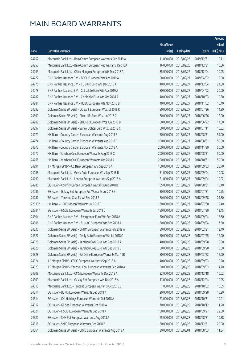|        |                                                              |              |                       |               | Amount      |
|--------|--------------------------------------------------------------|--------------|-----------------------|---------------|-------------|
|        |                                                              | No. of issue |                       |               | raised      |
| Code   | <b>Derivative warrants</b>                                   | (units)      | <b>Listing date</b>   | <b>Expiry</b> | (HK\$ mil.) |
| 24252  | Macquarie Bank Ltd. - BankComm European Warrants Dec 2019 A  | 11,000,000   | 2018/02/26            | 2019/12/31    | 10.11       |
| 24250  | Macquarie Bank Ltd. - BankComm European Put Warrants Dec 18A | 16,000,000   | 2018/02/26            | 2018/12/31    | 10.56       |
| 24253  | Macquarie Bank Ltd. - China Mengniu European Wts Dec 2018 A  | 35,000,000   | 2018/02/26            | 2018/12/04    | 10.05       |
| 24277  | BNP Paribas Issuance B.V. - BOCL European Wts Apr 2019 A     | 50,000,000   | 2018/02/27            | 2019/04/02    | 18.50       |
| 24275  | BNP Paribas Issuance B.V. - CC Bank Euro Wts Dec 2018 A      | 40,000,000   | 2018/02/27            | 2018/12/04    | 24.80       |
| 24278  | BNP Paribas Issuance B.V. - China Life Euro Wts Apr 2019 A   | 80,000,000   | 2018/02/27            | 2019/04/02    | 20.00       |
| 24282  | BNP Paribas Issuance B.V. - Ch Mobile Euro Wts Oct 2018 A    | 40,000,000   | 2018/02/27            | 2018/10/03    | 10.80       |
| 24281  | BNP Paribas Issuance B.V. - HSBC European Wts Nov 2018 B     | 40,000,000   | 2018/02/27            | 2018/11/02    | 16.40       |
| 24292  | Goldman Sachs SP (Asia) - CC Bank European Wts Jul 2018 K    | 80,000,000   | 2018/02/27            | 2018/07/26    | 14.80       |
| 24300  | Goldman Sachs SP (Asia) - China Life Euro Wts Jun 2018 C     | 80,000,000   | 2018/02/27            | 2018/06/26    | 12.00       |
| 24299  | Goldman Sachs SP (Asia) - SHK Ppt European Wts Jun 2018 B    | 50,000,000   | 2018/02/27            | 2018/06/22    | 17.60       |
| 24297  | Goldman Sachs SP (Asia) - Sunny Optical Euro Wts Jul 2018 C  | 60,000,000   | 2018/02/27            | 2018/07/11    | 10.02       |
| 24271  | HK Bank - Country Garden European Warrants Aug 2018 B        | 150,000,000  | 2018/02/27            | 2018/08/31    | 54.00       |
| 24274  | HK Bank - Country Garden European Warrants Aug 2018 C        | 200,000,000  | 2018/02/27            | 2018/08/31    | 50.00       |
| 24272  | HK Bank - Country Garden European Warrants Nov 2018 A        | 200,000,000  | 2018/02/27            | 2018/11/30    | 50.00       |
| 24270  | HK Bank - Yanzhou Coal European Warrants Aug 2018 C          | 200,000,000  | 2018/02/27            | 2018/08/31    | 50.00       |
| 24268  | HK Bank - Yanzhou Coal European Warrants Oct 2018 A          | 200,000,000  | 2018/02/27            | 2018/10/31    | 50.00       |
| 24291  | J P Morgan SP BV - CC Bank European Wts Sep 2018 A           | 100,000,000  | 2018/02/27            | 2018/09/03    | 25.70       |
| 24288  | Macquarie Bank Ltd. - Geely Auto European Wts Sep 2018 B     | 31,000,000   | 2018/02/27            | 2018/09/04    | 10.08       |
| 24290  | Macquarie Bank Ltd. - Lenovo European Warrants Sep 2018 A    | 21,000,000   | 2018/02/27            | 2018/09/04    | 10.02       |
| 24285  | SG Issuer - Country Garden European Warrants Aug 2018 B      | 65,000,000   | 2018/02/27            | 2018/08/31    | 10.40       |
| 24286  | SG Issuer - Galaxy Ent European Put Warrants Jul 2018 B      | 30,000,000   | 2018/02/27            | 2018/07/31    | 10.95       |
| 24287  | SG Issuer - Yanzhou Coal Eu Wt Sep 2018 B                    | 80,000,000   | 2018/02/27            | 2018/09/28    | 24.80       |
| 22530# | HK Bank - HSI European Warrants Jul 2018 F                   | 130,000,000  | 2018/02/27            | 2018/07/30    | 10.40       |
| 22784# | SG Issuer - HSCEI European Warrants Jul 2018 C               | 150,000,000  | 2018/02/27            | 2018/07/30    | 12.45       |
| 24304  | BNP Paribas Issuance B.V. - Evergrande Euro Wts Sep 2018 A   | 50,000,000   | 2018/02/28            | 2018/09/04    | 15.50       |
| 24306  | BNP Paribas Issuance B.V. - SUNAC European Wts Sep 2018 A    |              | 50,000,000 2018/02/28 | 2018/09/04    | 17.50       |
| 24330  | Goldman Sachs SP (Asia) - CNBM European Warrants Feb 2019 A  | 80,000,000   | 2018/02/28            | 2019/02/21    | 12.40       |
| 24327  | Goldman Sachs SP (Asia) - Geely Auto European Wts Jul 2018 C | 80,000,000   | 2018/02/28            | 2018/07/25    | 12.00       |
| 24325  | Goldman Sachs SP (Asia) - Yanzhou Coal Euro Wts Sep 2018 A   | 40,000,000   | 2018/02/28            | 2018/09/28    | 10.00       |
| 24326  | Goldman Sachs SP (Asia) - Yanzhou Coal Euro Wts Sep 2018 B   | 50,000,000   | 2018/02/28            | 2018/09/20    | 10.00       |
| 24328  | Goldman Sachs SP (Asia) - ZA Onine European Warrants Mar 19B | 80,000,000   | 2018/02/28            | 2019/03/22    | 12.00       |
| 24324  | J P Morgan SP BV - CSDC European Warrants Sep 2018 A         | 40,000,000   | 2018/02/28            | 2018/09/03    | 10.20       |
| 24323  | J P Morgan SP BV - Yanzhou Coal European Warrants Sep 2018 A | 50,000,000   | 2018/02/28            | 2018/09/03    | 14.70       |
| 24308  | Macquarie Bank Ltd. - CMS European Warrants Dec 2018 A       | 32,000,000   | 2018/02/28            | 2018/12/18    | 10.02       |
| 24309  | Macquarie Bank Ltd. - Galaxy Ent European Wts Dec 2018 A     | 17,000,000   | 2018/02/28            | 2018/12/04    | 10.25       |
| 24310  | Macquarie Bank Ltd. - Tencent European Warrants Oct 2018 B   | 7,000,000    | 2018/02/28            | 2018/10/02    | 10.05       |
| 24311  | SG Issuer - BBMG European Warrants Sep 2018 A                | 20,000,000   | 2018/02/28            | 2018/09/28    | 10.20       |
| 24314  | SG Issuer - CKI Holdings European Warrants Oct 2018 A        | 23,000,000   | 2018/02/28            | 2018/10/31    | 10.01       |
| 24317  | SG Issuer - GF Sec European Warrants Oct 2018 A              | 70,000,000   | 2018/02/28            | 2018/10/12    | 11.20       |
| 24321  | SG Issuer - HSCEI European Warrants Sep 2018 A               | 150,000,000  | 2018/02/28            | 2018/09/27    | 22.50       |
| 24320  | SG Issuer - SHK Ppt European Warrants Aug 2018 A             | 25,000,000   | 2018/02/28            | 2018/08/31    | 10.38       |
| 24318  | SG Issuer - SMIC European Warrants Dec 2018 B                | 80,000,000   | 2018/02/28            | 2018/12/31    | 20.00       |
| 24364  | Goldman Sachs SP (Asia) - CRRC European Warrants Aug 2018 A  | 30,000,000   | 2018/03/01            | 2018/08/03    | 11.34       |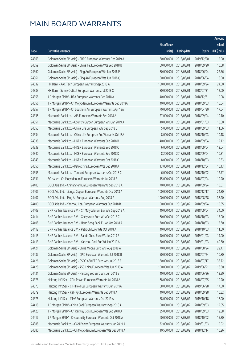|       |                                                               |              |                       |               | Amount      |
|-------|---------------------------------------------------------------|--------------|-----------------------|---------------|-------------|
|       |                                                               | No. of issue |                       |               | raised      |
| Code  | Derivative warrants                                           | (units)      | <b>Listing date</b>   | <b>Expiry</b> | (HK\$ mil.) |
| 24363 | Goldman Sachs SP (Asia) - CRRC European Warrants Dec 2019 A   | 80,000,000   | 2018/03/01            | 2019/12/20    | 12.00       |
| 24359 | Goldman Sachs SP (Asia) - China Tel European Wts Sep 2018 B   | 60,000,000   | 2018/03/01            | 2018/09/20    | 10.08       |
| 24360 | Goldman Sachs SP (Asia) - Ping An European Wts Jun 2018 P     | 80,000,000   | 2018/03/01            | 2018/06/04    | 22.56       |
| 24361 | Goldman Sachs SP (Asia) - Ping An European Wts Jun 2018 Q     | 80,000,000   | 2018/03/01            | 2018/06/04    | 18.00       |
| 24332 | HK Bank - AAC Tech European Warrants Sep 2018 A               | 150,000,000  | 2018/03/01            | 2018/09/24    | 24.00       |
| 24333 | HK Bank - Sunny Optical European Warrants Jul 2018 C          | 80,000,000   | 2018/03/01            | 2018/07/31    | 12.00       |
| 24358 | J P Morgan SP BV - BEA European Warrants Dec 2018 A           | 40,000,000   | 2018/03/01            | 2018/12/31    | 10.08       |
| 24356 | J P Morgan SP BV - Ch Molybdenum European Warrants Sep 2018A  | 40,000,000   | 2018/03/01            | 2018/09/03    | 16.64       |
| 24357 | J P Morgan SP BV - Ch Southern Air European Warrants Apr 19A  | 70,000,000   | 2018/03/01            | 2019/04/30    | 17.64       |
| 24335 | Macquarie Bank Ltd. - AIA European Warrants Sep 2018 A        | 27,000,000   | 2018/03/01            | 2018/09/04    | 10.10       |
| 24351 | Macquarie Bank Ltd. - Country Garden European Wts Jan 2019 A  | 40,000,000   | 2018/03/01            | 2019/01/03    | 10.00       |
| 24353 | Macquarie Bank Ltd. - China Life European Wts Sep 2018 B      | 5,000,000    | 2018/03/01            | 2018/09/03    | 11.66       |
| 24334 | Macquarie Bank Ltd. - China Life European Put Warrants Oct18A | 8,000,000    | 2018/03/01            | 2018/10/03    | 10.18       |
| 24338 | Macquarie Bank Ltd. - HKEX European Warrants Sep 2018 B       | 40,000,000   | 2018/03/01            | 2018/09/04    | 12.12       |
| 24339 | Macquarie Bank Ltd. - HKEX European Warrants Sep 2018 C       | 6,000,000    | 2018/03/01            | 2018/09/04    | 12.04       |
| 24340 | Macquarie Bank Ltd. - HKEX European Warrants Sep 2018 D       | 8,200,000    | 2018/03/01            | 2018/09/04    | 10.31       |
| 24343 | Macquarie Bank Ltd. - HKEX European Warrants Oct 2018 C       | 8,000,000    | 2018/03/01            | 2018/10/03    | 10.33       |
| 24350 | Macquarie Bank Ltd. - PetroChina European Wts Dec 2018 A      | 13,000,000   | 2018/03/01            | 2018/12/04    | 10.13       |
| 24355 | Macquarie Bank Ltd. - Tencent European Warrants Oct 2018 C    | 6,000,000    | 2018/03/01            | 2018/10/02    | 12.77       |
| 24331 | SG Issuer - Ch Molybdenum European Warrants Jul 2018 B        | 15,000,000   | 2018/03/01            | 2018/07/04    | 10.20       |
| 24403 | BOCI Asia Ltd. - China Shenhua European Warrants Sep 2018 A   | 70,000,000   | 2018/03/02            | 2018/09/24    | 10.57       |
| 24406 | BOCI Asia Ltd. - Jiangxi Copper European Warrants Dec 2018 A  | 100,000,000  | 2018/03/02            | 2018/12/17    | 24.30       |
| 24407 | BOCI Asia Ltd. - Ping An European Warrants Aug 2018 A         | 100,000,000  | 2018/03/02            | 2018/08/28    | 37.20       |
| 24400 | BOCI Asia Ltd. - Yanzhou Coal European Warrants Sep 2018 B    | 50,000,000   | 2018/03/02            | 2018/09/24    | 10.35       |
| 24409 | BNP Paribas Issuance B.V. - Ch Molybdenum Eur Wts Sep 2018 A  | 40,000,000   | 2018/03/02            | 2018/09/04    | 34.00       |
| 24414 | BNP Paribas Issuance B.V. - Geely Auto Euro Wts Oct 2018 C    | 60,000,000   | 2018/03/02            | 2018/10/03    | 15.00       |
| 24408 | BNP Paribas Issuance B.V. - Hang Seng Bank Eu Wt Oct 2018 A   |              | 30,000,000 2018/03/02 | 2018/10/03    | 15.60       |
| 24412 | BNP Paribas Issuance B.V. - PetroCh Euro Wts Oct 2018 A       | 40,000,000   | 2018/03/02            | 2018/10/03    | 11.60       |
| 24415 | BNP Paribas Issuance B.V. - Sands China Euro Wt Jan 2019 B    | 40,000,000   | 2018/03/02            | 2019/01/03    | 14.00       |
| 24413 | BNP Paribas Issuance B.V. - Yanzhou Coal Eur Wt Jan 2019 A    | 150,000,000  | 2018/03/02            | 2019/01/03    | 40.50       |
| 24421 | Goldman Sachs SP (Asia) - China Mobile Euro Wts Aug 2018 A    | 70,000,000   | 2018/03/02            | 2018/08/24    | 22.47       |
| 24437 | Goldman Sachs SP (Asia) - CPIC European Warrants Jul 2018 B   | 50,000,000   | 2018/03/02            | 2018/07/24    | 10.80       |
| 24426 | Goldman Sachs SP (Asia) - CSOP A50 ETF Euro Wts Jul 2018 B    | 80,000,000   | 2018/03/02            | 2018/07/17    | 38.72       |
| 24428 | Goldman Sachs SP (Asia) - A50 China European Wts Jun 2019 A   | 100,000,000  | 2018/03/02            | 2019/06/21    | 16.60       |
| 24431 | Goldman Sachs SP (Asia) - Haitong Sec Euro Wts Jun 2018 B     | 40,000,000   | 2018/03/02            | 2018/06/26    | 12.20       |
| 24378 | Haitong Int'l Sec - CGN Power European Warrants Jul 2018 A    | 68,000,000   | 2018/03/02            | 2018/07/25    | 10.20       |
| 24373 | Haitong Int'l Sec - CIFI Hold Gp European Warrants Jun 2019A  | 68,000,000   | 2018/03/02            | 2019/06/28    | 17.00       |
| 24379 | Haitong Int'l Sec - R&F Ppt European Warrants Sep 2018 A      | 40,000,000   | 2018/03/02            | 2018/09/28    | 10.32       |
| 24375 | Haitong Int'l Sec - MMG European Warrants Oct 2019 A          | 68,000,000   | 2018/03/02            | 2019/10/18    | 17.00       |
| 24418 | J P Morgan SP BV - China Coal European Warrants Sep 2018 A    | 50,000,000   | 2018/03/02            | 2018/09/03    | 12.95       |
| 24420 | J P Morgan SP BV - Ch Railway Cons European Wts Sep 2018 A    | 35,000,000   | 2018/03/02            | 2018/09/03    | 12.88       |
| 24417 | J P Morgan SP BV - Chsouthcity European Warrants Oct 2018 A   | 60,000,000   | 2018/03/02            | 2018/10/02    | 15.30       |
| 24388 | Macquarie Bank Ltd. - CGN Power European Warrants Jan 2019 A  | 32,000,000   | 2018/03/02            | 2019/01/03    | 10.02       |
| 24380 | Macquarie Bank Ltd. - Ch Molybdenum European Wts Dec 2018 A   | 10,500,000   | 2018/03/02            | 2018/12/14    | 10.26       |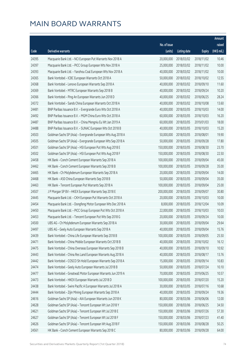|       |                                                              |              |                       |               | Amount      |
|-------|--------------------------------------------------------------|--------------|-----------------------|---------------|-------------|
|       |                                                              | No. of issue |                       |               | raised      |
| Code  | <b>Derivative warrants</b>                                   | (units)      | <b>Listing date</b>   | <b>Expiry</b> | (HK\$ mil.) |
| 24395 | Macquarie Bank Ltd. - NCI European Put Warrants Nov 2018 A   | 20,000,000   | 2018/03/02            | 2018/11/02    | 10.46       |
| 24397 | Macquarie Bank Ltd. - PICC Group European Wts Nov 2018 A     | 25,000,000   | 2018/03/02            | 2018/11/02    | 10.00       |
| 24393 | Macquarie Bank Ltd. - Yanzhou Coal European Wts Nov 2018 A   | 40,000,000   | 2018/03/02            | 2018/11/02    | 10.00       |
| 24365 | Bank Vontobel - ICBC European Warrants Oct 2018 A            | 50,000,000   | 2018/03/02            | 2018/10/02    | 12.55       |
| 24368 | Bank Vontobel - Lenovo European Warrants Sep 2018 A          | 40,000,000   | 2018/03/02            | 2018/09/10    | 11.60       |
| 24369 | Bank Vontobel - MTRC European Warrants Sep 2018 B            | 40,000,000   | 2018/03/02            | 2018/09/24    | 10.20       |
| 24366 | Bank Vontobel - Ping An European Warrants Jun 2018 D         | 40,000,000   | 2018/03/02            | 2018/06/25    | 28.24       |
| 24372 | Bank Vontobel - Sands China European Warrants Oct 2018 A     | 40,000,000   | 2018/03/02            | 2018/10/08    | 13.60       |
| 24481 | BNP Paribas Issuance B.V. - Evergrande Euro Wts Oct 2018 A   | 40,000,000   | 2018/03/05            | 2018/10/03    | 14.00       |
| 24492 | BNP Paribas Issuance B.V. - MGM China Euro Wts Oct 2018 A    | 60,000,000   | 2018/03/05            | 2018/10/03    | 16.20       |
| 24487 | BNP Paribas Issuance B.V. - China Mengniu Eu Wt Jan 2019 A   | 60,000,000   | 2018/03/05            | 2019/01/03    | 18.00       |
| 24488 | BNP Paribas Issuance B.V. - SUNAC European Wts Oct 2018 B    | 40,000,000   | 2018/03/05            | 2018/10/03    | 15.20       |
| 24503 | Goldman Sachs SP (Asia) - Evergrande European Wts Aug 2018 A | 50,000,000   | 2018/03/05            | 2018/08/01    | 19.90       |
| 24505 | Goldman Sachs SP (Asia) - Evergrande European Wts Sep 2018 A | 50,000,000   | 2018/03/05            | 2018/09/28    | 17.80       |
| 24501 | Goldman Sachs SP (Asia) - HSI European Put Wts Aug 2018 E    | 150,000,000  | 2018/03/05            | 2018/08/30    | 23.70       |
| 24502 | Goldman Sachs SP (Asia) - HSI European Put Wts Aug 2018 F    | 150,000,000  | 2018/03/05            | 2018/08/30    | 22.50       |
| 24458 | HK Bank - Conch Cement European Warrants Sep 2018 A          | 100,000,000  | 2018/03/05            | 2018/09/04    | 45.00       |
| 24462 | HK Bank - Conch Cement European Warrants Sep 2018 B          | 100,000,000  | 2018/03/05            | 2018/09/28    | 35.00       |
| 24465 | HK Bank - Ch Molybdenum European Warrants Sep 2018 A         | 20,000,000   | 2018/03/05            | 2018/09/04    | 14.00       |
| 24468 | HK Bank - A50 China European Warrants Sep 2018 B             | 50,000,000   | 2018/03/05            | 2018/09/04    | 35.00       |
| 24463 | HK Bank - Tencent European Put Warrants Sep 2018 A           | 100,000,000  | 2018/03/05            | 2018/09/04    | 25.00       |
| 24507 | J P Morgan SP BV - HKEX European Warrants Sep 2018 E         | 200,000,000  | 2018/03/05            | 2018/09/07    | 30.80       |
| 24445 | Macquarie Bank Ltd. - CKH European Put Warrants Oct 2018 A   | 20,000,000   | 2018/03/05            | 2018/10/03    | 10.00       |
| 24454 | Macquarie Bank Ltd. - Dongfeng Motor European Wts Dec 2018 A | 8,000,000    | 2018/03/05            | 2018/12/04    | 10.09       |
| 24450 | Macquarie Bank Ltd. - PICC Group European Put Wts Oct 2018 A | 22,000,000   | 2018/03/05            | 2018/10/03    | 10.03       |
| 24453 | Macquarie Bank Ltd. - Tencent European Put Wts Sep 2018 G    | 20,000,000   | 2018/03/05            | 2018/09/24    | 10.00       |
| 24500 | UBS AG - Ch Molybdenum European Warrants Sep 2018 A          |              | 30,000,000 2018/03/05 | 2018/09/04    | 29.64       |
| 24497 | UBS AG - Geely Auto European Warrants Sep 2018 A             | 40,000,000   | 2018/03/05            | 2018/09/04    | 15.76       |
| 24439 | Bank Vontobel - China Life European Warrants Sep 2018 B      | 100,000,000  | 2018/03/05            | 2018/09/05    | 25.50       |
| 24471 | Bank Vontobel - China Mobile European Warrants Oct 2018 B    | 40,000,000   | 2018/03/05            | 2018/10/02    | 16.12       |
| 24475 | Bank Vontobel - China Overseas European Warrants Sep 2018 B  | 40,000,000   | 2018/03/05            | 2018/09/10    | 10.92       |
| 24443 | Bank Vontobel - China Res Land European Warrants Aug 2018 A  | 40,000,000   | 2018/03/05            | 2018/08/17    | 13.76       |
| 24442 | Bank Vontobel - COSCO Sh Hold European Warrants Sep 2018 A   | 15,000,000   | 2018/03/05            | 2018/09/14    | 10.83       |
| 24474 | Bank Vontobel - Geely Auto European Warrants Jul 2018 B      | 50,000,000   | 2018/03/05            | 2018/07/24    | 10.10       |
| 24477 | Bank Vontobel - Greatwall Motor European Warrants Jun 2019 A | 70,000,000   | 2018/03/05            | 2019/06/25    | 10.57       |
| 24473 | Bank Vontobel - HKEX European Warrants Jul 2018 D            | 100,000,000  | 2018/03/05            | 2018/07/20    | 15.20       |
| 24438 | Bank Vontobel - Swire Pacific A European Warrants Jul 2018 A | 30,000,000   | 2018/03/05            | 2018/07/16    | 10.68       |
| 24444 | Bank Vontobel - Zijin Mining European Warrants Sep 2018 A    | 40,000,000   | 2018/03/05            | 2018/09/24    | 19.36       |
| 24616 | Goldman Sachs SP (Asia) - AIA European Warrants Jun 2018 K   | 80,000,000   | 2018/03/06            | 2018/06/06    | 12.00       |
| 24628 | Goldman Sachs SP (Asia) - Tencent European Wt Jun 2018 Y     | 150,000,000  | 2018/03/06            | 2018/06/25    | 34.50       |
| 24621 | Goldman Sachs SP (Asia) - Tencent European Wt Jul 2018 E     | 150,000,000  | 2018/03/06            | 2018/07/26    | 57.30       |
| 24627 | Goldman Sachs SP (Asia) - Tencent European Wt Jul 2018 F     | 150,000,000  | 2018/03/06            | 2018/07/23    | 41.40       |
| 24626 | Goldman Sachs SP (Asia) - Tencent European Wt Aug 2018 F     | 150,000,000  | 2018/03/06            | 2018/08/28    | 50.25       |
| 24561 | HK Bank - Conch Cement European Warrants Sep 2018 C          | 80,000,000   | 2018/03/06            | 2018/09/28    | 64.00       |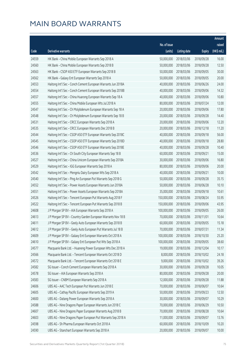|       |                                                              |              |                       |               | Amount      |
|-------|--------------------------------------------------------------|--------------|-----------------------|---------------|-------------|
|       |                                                              | No. of issue |                       |               | raised      |
| Code  | Derivative warrants                                          | (units)      | <b>Listing date</b>   | <b>Expiry</b> | (HK\$ mil.) |
| 24559 | HK Bank - China Mobile European Warrants Sep 2018 A          | 50,000,000   | 2018/03/06            | 2018/09/28    | 16.00       |
| 24560 | HK Bank - China Mobile European Warrants Sep 2018 B          | 50,000,000   | 2018/03/06            | 2018/09/28    | 12.50       |
| 24563 | HK Bank - CSOP A50 ETF European Warrants Sep 2018 B          | 50,000,000   | 2018/03/06            | 2018/09/05    | 30.00       |
| 24562 | HK Bank - Galaxy Ent European Warrants Sep 2018 A            | 50,000,000   | 2018/03/06            | 2018/09/05    | 20.00       |
| 24553 | Haitong Int'l Sec - Conch Cement European Warrants Jun 2018A | 40,000,000   | 2018/03/06            | 2018/06/26    | 24.00       |
| 24554 | Haitong Int'l Sec - Conch Cement European Warrants Sep 2018B | 40,000,000   | 2018/03/06            | 2018/09/06    | 14.32       |
| 24557 | Haitong Int'l Sec - China Huarong European Warrants Sep 18 A | 40,000,000   | 2018/03/06            | 2018/09/06    | 10.80       |
| 24555 | Haitong Int'l Sec - China Mobile European Wts Jul 2018 A     | 80,000,000   | 2018/03/06            | 2018/07/24    | 12.00       |
| 24547 | Haitong Int'l Sec - Ch Molybdenum European Warrants Sep 18 A | 20,000,000   | 2018/03/06            | 2018/09/06    | 17.80       |
| 24548 | Haitong Int'l Sec - Ch Molybdenum European Warrants Sep 18 B | 20,000,000   | 2018/03/06            | 2018/09/28    | 14.40       |
| 24531 | Haitong Int'l Sec - CRCC European Warrants Sep 2018 A        | 20,000,000   | 2018/03/06            | 2018/09/06    | 12.20       |
| 24535 | Haitong Int'l Sec - CRCC European Warrants Dec 2018 B        | 20,000,000   | 2018/03/06            | 2018/12/18    | 11.20       |
| 24544 | Haitong Int'l Sec - CSOP A50 ETF European Warrants Sep 2018C | 40,000,000   | 2018/03/06            | 2018/09/18    | 56.00       |
| 24545 | Haitong Int'l Sec - CSOP A50 ETF European Warrants Sep 2018D | 40,000,000   | 2018/03/06            | 2018/09/18    | 28.80       |
| 24546 | Haitong Int'l Sec - CSOP A50 ETF European Warrants Sep 2018E | 40,000,000   | 2018/03/06            | 2018/09/28    | 10.40       |
| 24536 | Haitong Int'l Sec - Ch South City European Warrants Sep 18 B | 60,000,000   | 2018/03/06            | 2018/09/21    | 15.00       |
| 24527 | Haitong Int'l Sec - China Unicom European Warrants Sep 2018A | 30,000,000   | 2018/03/06            | 2018/09/06    | 16.80       |
| 24529 | Haitong Int'l Sec - IGG European Warrants Sep 2018 A         | 80,000,000   | 2018/03/06            | 2018/09/06    | 20.00       |
| 24542 | Haitong Int'l Sec - Mengniu Dairy European Wts Sep 2018 A    | 40,000,000   | 2018/03/06            | 2018/09/21    | 10.00       |
| 24540 | Haitong Int'l Sec - Ping An European Put Warrants Sep 2018 G | 50,000,000   | 2018/03/06            | 2018/09/28    | 35.15       |
| 24552 | Haitong Int'l Sec - Power Assets European Warrants Jun 2018A | 50,000,000   | 2018/03/06            | 2018/06/28    | 10.10       |
| 24551 | Haitong Int'l Sec - Power Assets European Warrants Sep 2018A | 35,000,000   | 2018/03/06            | 2018/09/18    | 10.61       |
| 24526 | Haitong Int'l Sec - Tencent European Put Warrants Aug 2018 F | 150,000,000  | 2018/03/06            | 2018/08/24    | 55.95       |
| 24522 | Haitong Int'l Sec - Tencent European Put Warrants Sep 2018 B | 150,000,000  | 2018/03/06            | 2018/09/06    | 43.95       |
| 24608 | J P Morgan SP BV - AIA European Warrants Sep 2018 A          | 100,000,000  | 2018/03/06            | 2018/09/05    | 26.00       |
| 24613 | J P Morgan SP BV - Country Garden European Warrants Nov 18 B | 70,000,000   | 2018/03/06            | 2018/11/01    | 10.64       |
| 24611 | J P Morgan SP BV - Geely Auto European Warrants Sep 2018 B   |              | 60,000,000 2018/03/06 | 2018/09/05    | 15.18       |
| 24612 | J P Morgan SP BV - Geely Auto European Put Warrants Jul 18 B | 70,000,000   | 2018/03/06            | 2018/07/31    | 11.34       |
| 24609 | J P Morgan SP BV - Galaxy Ent European Warrants Oct 2018 A   | 100,000,000  | 2018/03/06            | 2018/10/30    | 25.20       |
| 24610 | J P Morgan SP BV - Galaxy Ent European Put Wts Sep 2018 A    | 100,000,000  | 2018/03/06            | 2018/09/05    | 38.60       |
| 24577 | Macquarie Bank Ltd. - Huaneng Power European Wts Dec 2018 A  | 19,000,000   | 2018/03/06            | 2018/12/04    | 10.17       |
| 24566 | Macquarie Bank Ltd. - Tencent European Warrants Oct 2018 D   | 8,000,000    | 2018/03/06            | 2018/10/02    | 24.18       |
| 24572 | Macquarie Bank Ltd. - Tencent European Warrants Oct 2018 E   | 9,000,000    | 2018/03/06            | 2018/10/02    | 39.26       |
| 24582 | SG Issuer - Conch Cement European Warrants Sep 2018 A        | 30,000,000   | 2018/03/06            | 2018/09/28    | 10.05       |
| 24578 | SG Issuer - AIA European Warrants Sep 2018 A                 | 80,000,000   | 2018/03/06            | 2018/09/28    | 20.00       |
| 24583 | SG Issuer - CNBM European Warrants Sep 2018 A                | 12,000,000   | 2018/03/06            | 2018/09/28    | 11.88       |
| 24606 | UBS AG - AAC Tech European Put Warrants Jun 2018 E           | 70,000,000   | 2018/03/06            | 2018/06/07    | 10.64       |
| 24605 | UBS AG - Cathay Pacific European Warrants Sep 2019 A         | 50,000,000   | 2018/03/06            | 2019/09/23    | 12.50       |
| 24600 | UBS AG - Datang Power European Warrants Sep 2018 A           | 30,000,000   | 2018/03/06            | 2018/09/07    | 10.29       |
| 24588 | UBS AG - Nine Dragons Paper European Warrants Jun 2018 C     | 70,000,000   | 2018/03/06            | 2018/06/29    | 10.50       |
| 24607 | UBS AG - Nine Dragons Paper European Warrants Aug 2018 B     | 70,000,000   | 2018/03/06            | 2018/08/28    | 10.64       |
| 24603 | UBS AG - Nine Dragons Paper European Put Warrants Sep 2018 A | 11,000,000   | 2018/03/06            | 2018/09/07    | 13.76       |
| 24598 | UBS AG - Sh Pharma European Warrants Oct 2018 A              | 60,000,000   | 2018/03/06            | 2018/10/09    | 10.20       |
| 24590 | UBS AG - Stanchart European Warrants Sep 2018 A              | 20,000,000   | 2018/03/06            | 2018/09/07    | 10.00       |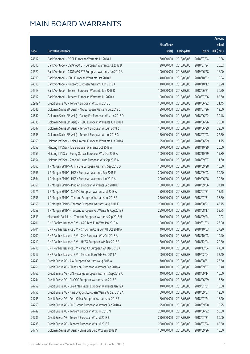|        |                                                              |                        |                     |               | Amount      |
|--------|--------------------------------------------------------------|------------------------|---------------------|---------------|-------------|
|        |                                                              | No. of issue           |                     |               | raised      |
| Code   | Derivative warrants                                          | (units)                | <b>Listing date</b> | <b>Expiry</b> | (HK\$ mil.) |
| 24517  | Bank Vontobel - BOCL European Warrants Jul 2018 A            | 60,000,000             | 2018/03/06          | 2018/07/24    | 10.86       |
| 24510  | Bank Vontobel - CSOP A50 ETF European Warrants Jul 2018 B    | 20,000,000             | 2018/03/06          | 2018/07/24    | 26.52       |
| 24520  | Bank Vontobel - CSOP A50 ETF European Warrants Jun 2019 A    | 100,000,000            | 2018/03/06          | 2019/06/28    | 16.00       |
| 24519  | Bank Vontobel - ICBC European Warrants Oct 2018 B            | 40,000,000             | 2018/03/06          | 2018/10/02    | 15.04       |
| 24518  | Bank Vontobel - Kingsoft European Warrants Oct 2018 A        | 40,000,000             | 2018/03/06          | 2018/10/12    | 13.20       |
| 24513  | Bank Vontobel - Tencent European Warrants Jun 2018 D         | 100,000,000            | 2018/03/06          | 2018/06/21    | 36.70       |
| 24512  | Bank Vontobel - Tencent European Warrants Jul 2020 A         | 100,000,000            | 2018/03/06          | 2020/07/06    | 82.60       |
| 22909# | Credit Suisse AG - Tencent European Wts Jun 2018 L           | 150,000,000            | 2018/03/06          | 2018/06/22    | 21.45       |
| 24645  | Goldman Sachs SP (Asia) - AIA European Warrants Jul 2018 C   | 80,000,000             | 2018/03/07          | 2018/07/26    | 12.00       |
| 24642  | Goldman Sachs SP (Asia) - Galaxy Ent European Wts Jun 2018 D | 80,000,000             | 2018/03/07          | 2018/06/22    | 30.48       |
| 24635  | Goldman Sachs SP (Asia) - HSBC European Warrants Jun 2018 I  | 80,000,000             | 2018/03/07          | 2018/06/26    | 26.88       |
| 24647  | Goldman Sachs SP (Asia) - Tencent European Wt Jun 2018 Z     | 150,000,000            | 2018/03/07          | 2018/06/29    | 22.50       |
| 24648  | Goldman Sachs SP (Asia) - Tencent European Wt Jul 2018 G     | 150,000,000            | 2018/03/07          | 2018/07/03    | 22.50       |
| 24650  | Haitong Int'l Sec - China Unicom European Warrants Jun 2018A | 25,000,000             | 2018/03/07          | 2018/06/29    | 11.75       |
| 24653  | Haitong Int'l Sec - IGG European Warrants Oct 2018 A         | 80,000,000             | 2018/03/07          | 2018/10/29    | 20.00       |
| 24655  | Haitong Int'l Sec - Sunny Optical European Wts Oct 2018 A    | 100,000,000            | 2018/03/07          | 2018/10/29    | 19.80       |
| 24654  | Haitong Int'l Sec - Zhaojin Mining European Wts Sep 2018 A   | 20,000,000             | 2018/03/07          | 2018/09/07    | 11.60       |
| 24660  | J P Morgan SP BV - China Life European Warrants Sep 2018 D   | 100,000,000            | 2018/03/07          | 2018/09/28    | 15.30       |
| 24666  | J P Morgan SP BV - HKEX European Warrants Sep 2018 F         | 200,000,000            | 2018/03/07          | 2018/09/03    | 30.20       |
| 24664  | J P Morgan SP BV - HKEX European Warrants Jun 2019 A         | 200,000,000            | 2018/03/07          | 2019/06/28    | 30.80       |
| 24661  | J P Morgan SP BV - Ping An European Warrants Sep 2018 D      | 100,000,000            | 2018/03/07          | 2018/09/06    | 37.10       |
| 24671  | J P Morgan SP BV - SUNAC European Warrants Jul 2018 A        | 50,000,000             | 2018/03/07          | 2018/07/31    | 13.25       |
| 24656  | J P Morgan SP BV - Tencent European Warrants Jul 2018 F      | 250,000,000            | 2018/03/07          | 2018/07/31    | 38.50       |
| 24658  | J P Morgan SP BV - Tencent European Warrants Aug 2018 E      | 250,000,000            | 2018/03/07          | 2018/08/21    | 43.75       |
| 24659  | J P Morgan SP BV - Tencent European Put Warrants Aug 2018 F  | 250,000,000            | 2018/03/07          | 2018/08/17    | 53.75       |
| 24633  | Macquarie Bank Ltd. - Tencent European Warrants Sep 2018 H   | 30,000,000             | 2018/03/07          | 2018/09/24    | 10.02       |
| 24701  | BNP Paribas Issuance B.V. - AAC Tech Euro Wts Jan 2019 A     | 100,000,000 2018/03/08 |                     | 2019/01/03    | 26.00       |
| 24704  | BNP Paribas Issuance B.V. - Ch Comm Cons Eur Wt Oct 2018 A   | 40,000,000             | 2018/03/08          | 2018/10/03    | 27.20       |
| 24700  | BNP Paribas Issuance B.V. - CKH European Wts Oct 2018 A      | 40,000,000             | 2018/03/08          | 2018/10/03    | 10.40       |
| 24710  | BNP Paribas Issuance B.V. - HKEX European Wts Dec 2018 B     | 80,000,000             | 2018/03/08          | 2018/12/04    | 20.80       |
| 24716  | BNP Paribas Issuance B.V. - Ping An European Wt Dec 2018 A   | 50,000,000             | 2018/03/08          | 2018/12/04    | 44.50       |
| 24717  | BNP Paribas Issuance B.V. - Tencent Euro Wts Feb 2019 A      | 60,000,000             | 2018/03/08          | 2019/02/04    | 32.40       |
| 24743  | Credit Suisse AG - AIA European Warrants Aug 2018 A          | 70,000,000             | 2018/03/08          | 2018/08/31    | 26.60       |
| 24761  | Credit Suisse AG - China Coal European Warrants Sep 2018 A   | 40,000,000             | 2018/03/08          | 2018/09/07    | 10.40       |
| 24765  | Credit Suisse AG - CKI Holdings European Warrants Sep 2018 A | 40,000,000             | 2018/03/08          | 2018/09/14    | 10.00       |
| 24744  | Credit Suisse AG - CNOOC European Warrants Jun 2018 B        | 40,000,000             | 2018/03/08          | 2018/06/29    | 17.60       |
| 24759  | Credit Suisse AG - Lee & Man Paper European Warrants Jan 19A | 40,000,000             | 2018/03/08          | 2019/01/31    | 10.00       |
| 24756  | Credit Suisse AG - Nine Dragons European Warrants Sep 2018 A | 50,000,000             | 2018/03/08          | 2018/09/07    | 12.50       |
| 24745  | Credit Suisse AG - PetroChina European Warrants Jul 2018 E   | 60,000,000             | 2018/03/08          | 2018/07/24    | 16.20       |
| 24753  | Credit Suisse AG - PICC Group European Warrants Sep 2018 A   | 25,000,000             | 2018/03/08          | 2018/09/28    | 10.25       |
| 24742  | Credit Suisse AG - Tencent European Wts Jun 2018 N           | 250,000,000            | 2018/03/08          | 2018/06/22    | 55.00       |
| 24736  | Credit Suisse AG - Tencent European Wts Jul 2018 E           | 250,000,000            | 2018/03/08          | 2018/07/31    | 50.00       |
| 24738  | Credit Suisse AG - Tencent European Wts Jul 2018 F           | 250,000,000            | 2018/03/08          | 2018/07/24    | 62.50       |
| 24777  | Goldman Sachs SP (Asia) - China Life Euro Wts Sep 2018 D     | 100,000,000            | 2018/03/08          | 2018/09/26    | 15.00       |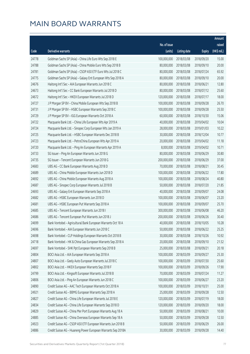|       |                                                              |              |                       |               | Amount      |
|-------|--------------------------------------------------------------|--------------|-----------------------|---------------|-------------|
|       |                                                              | No. of issue |                       |               | raised      |
| Code  | Derivative warrants                                          | (units)      | <b>Listing date</b>   | <b>Expiry</b> | (HK\$ mil.) |
| 24778 | Goldman Sachs SP (Asia) - China Life Euro Wts Sep 2018 E     | 100,000,000  | 2018/03/08            | 2018/09/20    | 15.00       |
| 24788 | Goldman Sachs SP (Asia) - China Mobile Euro Wts Sep 2018 B   | 80,000,000   | 2018/03/08            | 2018/09/10    | 20.00       |
| 24781 | Goldman Sachs SP (Asia) - CSOP A50 ETF Euro Wts Jul 2018 C   | 80,000,000   | 2018/03/08            | 2018/07/24    | 65.92       |
| 24775 | Goldman Sachs SP (Asia) - Galaxy Ent European Wts Sep 2018 A | 80,000,000   | 2018/03/08            | 2018/09/10    | 20.00       |
| 24676 | Haitong Int'l Sec - AIA European Warrants Jun 2018 C         | 80,000,000   | 2018/03/08            | 2018/06/21    | 12.80       |
| 24673 | Haitong Int'l Sec - CC Bank European Warrants Jul 2018 D     | 80,000,000   | 2018/03/08            | 2018/07/12    | 25.60       |
| 24672 | Haitong Int'l Sec - HKEX European Warrants Jul 2018 D        | 120,000,000  | 2018/03/08            | 2018/07/17    | 18.00       |
| 24727 | J P Morgan SP BV - China Mobile European Wts Sep 2018 B      | 100,000,000  | 2018/03/08            | 2018/09/28    | 26.70       |
| 24731 | J P Morgan SP BV - HSBC European Warrants Sep 2018 C         | 100,000,000  | 2018/03/08            | 2018/09/28    | 25.50       |
| 24729 | J P Morgan SP BV - IGG European Warrants Oct 2018 A          | 60,000,000   | 2018/03/08            | 2018/10/30    | 15.06       |
| 24722 | Macquarie Bank Ltd. - China Life European Wts Apr 2019 A     | 40,000,000   | 2018/03/08            | 2019/04/02    | 10.04       |
| 24724 | Macquarie Bank Ltd. - Sinopec Corp European Wts Jan 2019 A   | 28,000,000   | 2018/03/08            | 2019/01/03    | 10.22       |
| 24725 | Macquarie Bank Ltd. - HSBC European Warrants Dec 2018 B      | 30,000,000   | 2018/03/08            | 2018/12/04    | 10.77       |
| 24723 | Macquarie Bank Ltd. - PetroChina European Wts Apr 2019 A     | 20,000,000   | 2018/03/08            | 2019/04/02    | 11.18       |
| 24720 | Macquarie Bank Ltd. - Ping An European Warrants Apr 2019 A   | 8,000,000    | 2018/03/08            | 2019/04/02    | 10.71       |
| 24733 | SG Issuer - Ping An European Warrants Jun 2018 G             | 80,000,000   | 2018/03/08            | 2018/06/29    | 30.80       |
| 24735 | SG Issuer - Tencent European Warrants Jun 2018 G             | 200,000,000  | 2018/03/08            | 2018/06/29    | 37.00       |
| 24683 | UBS AG - CC Bank European Warrants Aug 2018 D                | 70,000,000   | 2018/03/08            | 2018/08/21    | 30.45       |
| 24689 | UBS AG - China Mobile European Warrants Jun 2018 D           | 100,000,000  | 2018/03/08            | 2018/06/22    | 17.80       |
| 24692 | UBS AG - China Mobile European Warrants Aug 2018 A           | 100,000,000  | 2018/03/08            | 2018/08/24    | 40.80       |
| 24687 | UBS AG - Sinopec Corp European Warrants Jul 2018 B           | 50,000,000   | 2018/03/08            | 2018/07/20    | 21.85       |
| 24693 | UBS AG - Galaxy Ent European Warrants Sep 2018 A             | 40,000,000   | 2018/03/08            | 2018/09/07    | 24.08       |
| 24682 | UBS AG - HSBC European Warrants Jun 2018 D                   | 100,000,000  | 2018/03/08            | 2018/06/07    | 23.20       |
| 24681 | UBS AG - HSBC European Put Warrants Sep 2018 A               | 100,000,000  | 2018/03/08            | 2018/09/07    | 25.70       |
| 24685 | UBS AG - Tencent European Warrants Jun 2018 I                | 300,000,000  | 2018/03/08            | 2018/06/08    | 46.20       |
| 24686 | UBS AG - Tencent European Put Warrants Jun 2018 J            | 200,000,000  | 2018/03/08            | 2018/06/26    | 30.40       |
| 24699 | Bank Vontobel - Agricultural Bank European Warrants Oct 18 A |              | 40,000,000 2018/03/08 | 2018/10/05    | 10.28       |
| 24696 | Bank Vontobel - AIA European Warrants Jun 2018 C             | 50,000,000   | 2018/03/08            | 2018/06/22    | 25.25       |
| 24698 | Bank Vontobel - CLP Holdings European Warrants Oct 2018 B    | 30,000,000   | 2018/03/08            | 2018/10/26    | 10.92       |
| 24718 | Bank Vontobel - HK & China Gas European Warrants Sep 2018 A  | 20,000,000   | 2018/03/08            | 2018/09/10    | 21.52       |
| 24697 | Bank Vontobel - SHK Ppt European Warrants Sep 2018 B         | 25,000,000   | 2018/03/08            | 2018/09/21    | 20.18       |
| 24804 | BOCI Asia Ltd. - AIA European Warrants Sep 2018 A            | 100,000,000  | 2018/03/09            | 2018/09/27    | 25.30       |
| 24807 | BOCI Asia Ltd. - Geely Auto European Warrants Jul 2018 C     | 100,000,000  | 2018/03/09            | 2018/07/30    | 25.60       |
| 24802 | BOCI Asia Ltd. - HKEX European Warrants Sep 2018 F           | 100,000,000  | 2018/03/09            | 2018/09/26    | 17.90       |
| 24799 | BOCI Asia Ltd. - Kingsoft European Warrants Jul 2018 B       | 70,000,000   | 2018/03/09            | 2018/07/24    | 11.27       |
| 24806 | BOCI Asia Ltd. - Ping An European Warrants Jun 2018 C        | 100,000,000  | 2018/03/09            | 2018/06/27    | 23.20       |
| 24890 | Credit Suisse AG - AAC Tech European Warrants Oct 2018 A     | 100,000,000  | 2018/03/09            | 2018/10/31    | 25.00       |
| 24921 | Credit Suisse AG - BBMG European Warrants Sep 2018 A         | 25,000,000   | 2018/03/09            | 2018/09/28    | 12.50       |
| 24827 | Credit Suisse AG - China Life European Warrants Jul 2018 E   | 120,000,000  | 2018/03/09            | 2018/07/19    | 18.00       |
| 24834 | Credit Suisse AG - China Life European Warrants Sep 2018 D   | 120,000,000  | 2018/03/09            | 2018/09/20    | 18.00       |
| 24829 | Credit Suisse AG - China Mer Port European Warrants Aug 18 A | 50,000,000   | 2018/03/09            | 2018/08/21    | 10.00       |
| 24885 | Credit Suisse AG - China Overseas European Warrants Sep 18 A | 50,000,000   | 2018/03/09            | 2018/09/28    | 12.50       |
| 24923 | Credit Suisse AG - CSOP A50 ETF European Warrants Jun 2018 B | 50,000,000   | 2018/03/09            | 2018/06/29    | 26.00       |
| 24886 | Credit Suisse AG - Huaneng Power European Warrants Sep 2018A | 30,000,000   | 2018/03/09            | 2018/09/28    | 14.40       |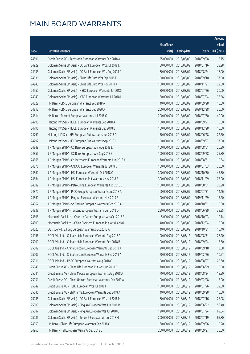|       |                                                              |              |                       |               | Amount      |
|-------|--------------------------------------------------------------|--------------|-----------------------|---------------|-------------|
|       |                                                              | No. of issue |                       |               | raised      |
| Code  | <b>Derivative warrants</b>                                   | (units)      | <b>Listing date</b>   | <b>Expiry</b> | (HK\$ mil.) |
| 24891 | Credit Suisse AG - Techtronic European Warrants Sep 2018 A   | 25,000,000   | 2018/03/09            | 2018/09/28    | 15.75       |
| 24929 | Goldman Sachs SP (Asia) - CC Bank European Wts Jul 2018 L    | 80,000,000   | 2018/03/09            | 2018/07/16    | 23.28       |
| 24935 | Goldman Sachs SP (Asia) - CC Bank European Wts Aug 2018 C    | 80,000,000   | 2018/03/09            | 2018/08/24    | 18.00       |
| 24936 | Goldman Sachs SP (Asia) - China Life Euro Wts Sep 2018 F     | 150,000,000  | 2018/03/09            | 2018/09/10    | 37.50       |
| 24943 | Goldman Sachs SP (Asia) - China Life Euro Wts Nov 2018 A     | 150,000,000  | 2018/03/09            | 2018/11/27    | 22.50       |
| 24950 | Goldman Sachs SP (Asia) - HSBC European Warrants Jul 2018 I  | 80,000,000   | 2018/03/09            | 2018/07/26    | 20.00       |
| 24949 | Goldman Sachs SP (Asia) - ICBC European Warrants Jul 2018 L  | 80,000,000   | 2018/03/09            | 2018/07/24    | 38.56       |
| 24822 | HK Bank - CRRC European Warrants Sep 2018 A                  | 40,000,000   | 2018/03/09            | 2018/09/28    | 10.00       |
| 24812 | HK Bank - CRRC European Warrants Dec 2020 A                  | 200,000,000  | 2018/03/09            | 2020/12/28    | 30.00       |
| 24814 | HK Bank - Tencent European Warrants Jul 2018 G               | 200,000,000  | 2018/03/09            | 2018/07/30    | 40.00       |
| 24798 | Haitong Int'l Sec - HSCEI European Warrants Sep 2018 A       | 100,000,000  | 2018/03/09            | 2018/09/27    | 15.00       |
| 24796 | Haitong Int'l Sec - HSCEI European Warrants Dec 2018 B       | 100,000,000  | 2018/03/09            | 2018/12/28    | 15.00       |
| 24791 | Haitong Int'l Sec - HSI European Put Warrants Jun 2018 D     | 150,000,000  | 2018/03/09            | 2018/06/28    | 22.50       |
| 24792 | Haitong Int'l Sec - HSI European Put Warrants Sep 2018 C     | 150,000,000  | 2018/03/09            | 2018/09/27    | 37.50       |
| 24849 | J P Morgan SP BV - CC Bank European Wts Aug 2018 E           | 100,000,000  | 2018/03/09            | 2018/08/01    | 26.80       |
| 24856 | J P Morgan SP BV - CC Bank European Wts Sep 2018 B           | 100,000,000  | 2018/03/09            | 2018/09/28    | 25.80       |
| 24865 | J P Morgan SP BV - Ch Merchants European Warrants Aug 2018 A | 70,000,000   | 2018/03/09            | 2018/08/31    | 10.64       |
| 24876 | J P Morgan SP BV - CNOOC European Warrants Jul 2018 D        | 100,000,000  | 2018/03/09            | 2018/07/03    | 30.00       |
| 24862 | J P Morgan SP BV - HSI European Warrants Oct 2018 C          | 300,000,000  | 2018/03/09            | 2018/10/30    | 45.30       |
| 24864 | J P Morgan SP BV - HSI European Put Warrants Nov 2018 B      | 300,000,000  | 2018/03/09            | 2018/11/29    | 75.00       |
| 24882 | J P Morgan SP BV - PetroChina European Warrants Aug 2018 B   | 100,000,000  | 2018/03/09            | 2018/08/01    | 23.90       |
| 24870 | J P Morgan SP BV - PICC Group European Warrants Jul 2018 A   | 60,000,000   | 2018/03/09            | 2018/07/31    | 14.46       |
| 24860 | J P Morgan SP BV - Ping An European Warrants Nov 2019 B      | 100,000,000  | 2018/03/09            | 2019/11/29    | 15.20       |
| 24867 | J P Morgan SP BV - Sh Pharma European Warrants Oct 2018 A    | 60,000,000   | 2018/03/09            | 2018/10/31    | 15.30       |
| 24838 | J P Morgan SP BV - Tencent European Warrants Jun 2018 O      | 250,000,000  | 2018/03/09            | 2018/06/29    | 39.25       |
| 24808 | Macquarie Bank Ltd. - Country Garden European Wts Oct 2018 B | 5,000,000    | 2018/03/09            | 2018/10/03    | 10.14       |
| 24809 | Macquarie Bank Ltd. - China Overseas European Put Wts Dec18A |              | 40,000,000 2018/03/09 | 2018/12/04    | 10.00       |
| 24823 | SG Issuer - Li & Fung European Warrants Oct 2018 A           | 40,000,000   | 2018/03/09            | 2018/10/31    | 10.40       |
| 24996 | BOCI Asia Ltd. - China Mobile European Warrants Aug 2018 A   | 100,000,000  | 2018/03/12            | 2018/08/31    | 28.20       |
| 25000 | BOCI Asia Ltd. - China Mobile European Warrants Sep 2018 B   | 100,000,000  | 2018/03/12            | 2018/09/24    | 15.50       |
| 25009 | BOCI Asia Ltd. - China Unicom European Warrants Sep 2018 A   | 20,000,000   | 2018/03/12            | 2018/09/18    | 13.08       |
| 25007 | BOCI Asia Ltd. - China Unicom European Warrants Feb 2019 A   | 70,000,000   | 2018/03/12            | 2019/02/26    | 10.57       |
| 25011 | BOCI Asia Ltd. - HSBC European Warrants Aug 2018 C           | 100,000,000  | 2018/03/12            | 2018/08/27    | 22.60       |
| 25048 | Credit Suisse AG - China Life European Put Wts Jun 2018 F    | 70,000,000   | 2018/03/12            | 2018/06/29    | 10.50       |
| 25044 | Credit Suisse AG - China Mobile European Warrants Aug 2018 A | 70,000,000   | 2018/03/12            | 2018/08/24    | 18.90       |
| 25051 | Credit Suisse AG - China Unicom European Warrants Feb 2019 A | 100,000,000  | 2018/03/12            | 2019/02/28    | 15.00       |
| 25042 | Credit Suisse AG - HSBC European Wts Jul 2018 I              | 100,000,000  | 2018/03/12            | 2018/07/26    | 32.00       |
| 25046 | Credit Suisse AG - Sh Pharma European Warrants Sep 2018 A    | 40,000,000   | 2018/03/12            | 2018/09/28    | 10.00       |
| 25085 | Goldman Sachs SP (Asia) - CC Bank European Wts Jul 2018 M    | 80,000,000   | 2018/03/12            | 2018/07/16    | 26.08       |
| 25089 | Goldman Sachs SP (Asia) - Ping An European Wts Jun 2018 R    | 120,000,000  | 2018/03/12            | 2018/06/22    | 56.40       |
| 25087 | Goldman Sachs SP (Asia) - Ping An European Wts Jul 2018 G    | 120,000,000  | 2018/03/12            | 2018/07/24    | 69.84       |
| 25086 | Goldman Sachs SP (Asia) - Tencent European Wt Jul 2018 H     | 200,000,000  | 2018/03/12            | 2018/07/19    | 65.80       |
| 24959 | HK Bank - China Life European Warrants Sep 2018 C            | 60,000,000   | 2018/03/12            | 2018/09/26    | 10.20       |
| 24960 | HK Bank - HSI European Warrants Sep 2018 C                   | 200,000,000  | 2018/03/12            | 2018/09/27    | 36.00       |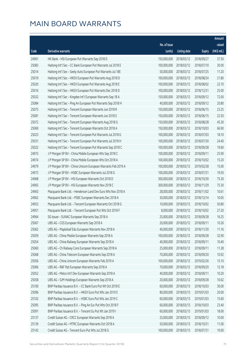|       |                                                              |              |                       |               | Amount      |
|-------|--------------------------------------------------------------|--------------|-----------------------|---------------|-------------|
|       |                                                              | No. of issue |                       |               | raised      |
| Code  | Derivative warrants                                          | (units)      | <b>Listing date</b>   | <b>Expiry</b> | (HK\$ mil.) |
| 24961 | HK Bank - HSI European Put Warrants Sep 2018 D               | 150,000,000  | 2018/03/12            | 2018/09/27    | 37.50       |
| 25083 | Haitong Int'l Sec - CC Bank European Put Warrants Jul 2018 E | 100,000,000  | 2018/03/12            | 2018/07/10    | 30.00       |
| 25014 | Haitong Int'l Sec - Geely Auto European Put Warrants Jul 18E | 50,000,000   | 2018/03/12            | 2018/07/25    | 11.20       |
| 25019 | Haitong Int'l Sec - HKEX European Put Warrants Aug 2018 D    | 100,000,000  | 2018/03/12            | 2018/08/24    | 21.80       |
| 25020 | Haitong Int'l Sec - HKEX European Put Warrants Aug 2018 E    | 100,000,000  | 2018/03/12            | 2018/08/02    | 22.70       |
| 25016 | Haitong Int'l Sec - HKEX European Put Warrants Dec 2018 D    | 100,000,000  | 2018/03/12            | 2018/12/31    | 25.00       |
| 25032 | Haitong Int'l Sec - Kingdee Int'l European Warrants Sep 18 A | 150,000,000  | 2018/03/12            | 2018/09/12    | 72.00       |
| 25084 | Haitong Int'l Sec - Ping An European Put Warrants Sep 2018 H | 40,000,000   | 2018/03/12            | 2018/09/12    | 20.80       |
| 25075 | Haitong Int'l Sec - Tencent European Warrants Jun 2018 R     | 150,000,000  | 2018/03/12            | 2018/06/15    | 23.25       |
| 25081 | Haitong Int'l Sec - Tencent European Warrants Jun 2018 S     | 150,000,000  | 2018/03/12            | 2018/06/15    | 22.50       |
| 25072 | Haitong Int'l Sec - Tencent European Warrants Aug 2018 G     | 150,000,000  | 2018/03/12            | 2018/08/28    | 45.30       |
| 25069 | Haitong Int'l Sec - Tencent European Warrants Oct 2018 A     | 150,000,000  | 2018/03/12            | 2018/10/03    | 66.90       |
| 25023 | Haitong Int'l Sec - Tencent European Put Warrants Jul 2018 G | 100,000,000  | 2018/03/12            | 2018/07/03    | 18.10       |
| 25031 | Haitong Int'l Sec - Tencent European Put Warrants Jul 2018 H | 100,000,000  | 2018/03/12            | 2018/07/30    | 24.40       |
| 25022 | Haitong Int'l Sec - Tencent European Put Warrants Sep 2018 C | 100,000,000  | 2018/03/12            | 2018/09/28    | 19.60       |
| 24975 | J P Morgan SP BV - China Mobile European Wts Sep 2018 C      | 100,000,000  | 2018/03/12            | 2018/09/11    | 25.90       |
| 24974 | J P Morgan SP BV - China Mobile European Wts Oct 2018 A      | 100,000,000  | 2018/03/12            | 2018/10/02    | 15.20       |
| 24979 | J P Morgan SP BV - China Unicom European Warrants Feb 2019 A | 100,000,000  | 2018/03/12            | 2019/02/28    | 15.00       |
| 24973 | J P Morgan SP BV - HSBC European Warrants Jul 2018 G         | 100,000,000  | 2018/03/12            | 2018/07/31    | 19.50       |
| 24968 | J P Morgan SP BV - HSI European Warrants Oct 2018 D          | 300,000,000  | 2018/03/12            | 2018/10/30    | 75.30       |
| 24965 | J P Morgan SP BV - HSI European Warrants Nov 2018 C          | 300,000,000  | 2018/03/12            | 2018/11/29    | 75.30       |
| 24963 | Macquarie Bank Ltd. - Henderson Land Dev Euro Wts Nov 2018 A | 28,000,000   | 2018/03/12            | 2018/11/02    | 10.61       |
| 24962 | Macquarie Bank Ltd. - PSBC European Warrants Dec 2018 A      | 30,000,000   | 2018/03/12            | 2018/12/14    | 10.05       |
| 24953 | Macquarie Bank Ltd. - Tencent European Warrants Oct 2018 G   | 10,000,000   | 2018/03/12            | 2018/10/02    | 50.80       |
| 24951 | Macquarie Bank Ltd. - Tencent European Put Wts Oct 2018 F    | 8,000,000    | 2018/03/12            | 2018/10/02    | 27.20       |
| 24964 | SG Issuer - SUNAC European Warrants Sep 2018 A               | 25,000,000   | 2018/03/12            | 2018/09/28    | 16.25       |
| 25067 | UBS AG - CGS European Warrants Sep 2018 A                    |              | 20,000,000 2018/03/12 | 2018/09/11    | 10.26       |
| 25062 | UBS AG - Mapleleaf Edu European Warrants Nov 2018 A          | 40,000,000   | 2018/03/12            | 2018/11/30    | 11.16       |
| 25059 | UBS AG - China Mobile European Warrants Sep 2018 A           | 100,000,000  | 2018/03/12            | 2018/09/28    | 32.90       |
| 25054 | UBS AG - China Railway European Warrants Sep 2018 A          | 40,000,000   | 2018/03/12            | 2018/09/11    | 10.40       |
| 25060 | UBS AG - Ch Railway Cons European Warrants Sep 2018 A        | 25,000,000   | 2018/03/12            | 2018/09/11    | 11.28       |
| 25068 | UBS AG - China Telecom European Warrants Sep 2018 A          | 70,000,000   | 2018/03/12            | 2018/09/20    | 10.92       |
| 25056 | UBS AG - China Unicom European Warrants Feb 2019 A           | 100,000,000  | 2018/03/12            | 2019/02/26    | 15.10       |
| 25066 | UBS AG - R&F Ppt European Warrants Sep 2018 A                | 70,000,000   | 2018/03/12            | 2018/09/20    | 12.18       |
| 25052 | UBS AG - Melco Int'l Dev European Warrants Sep 2018 A        | 40,000,000   | 2018/03/12            | 2018/09/11    | 10.20       |
| 25058 | UBS AG - SJM Holdings European Warrants Sep 2018 A           | 20,000,000   | 2018/03/12            | 2018/09/28    | 10.62       |
| 25100 | BNP Paribas Issuance B.V. - CC Bank Euro Put Wt Oct 2018 E   | 60,000,000   | 2018/03/13            | 2018/10/03    | 30.00       |
| 25096 | BNP Paribas Issuance B.V. - HKEX Euro Put Wts Jan 2019 E     | 80,000,000   | 2018/03/13            | 2019/01/03    | 20.00       |
| 25102 | BNP Paribas Issuance B.V. - HSBC Euro Put Wts Jan 2019 C     | 60,000,000   | 2018/03/13            | 2019/01/03    | 15.60       |
| 25095 | BNP Paribas Issuance B.V. - Ping An Eur Put Wts Oct 2018 F   | 60,000,000   | 2018/03/13            | 2018/10/03    | 23.40       |
| 25091 | BNP Paribas Issuance B.V. - Tencent Eu Put Wt Jan 2019 I     | 60,000,000   | 2018/03/13            | 2019/01/03    | 18.00       |
| 25137 | Credit Suisse AG - CRCC European Warrants Sep 2018 A         | 25,000,000   | 2018/03/13            | 2018/09/12    | 10.00       |
| 25139 | Credit Suisse AG - MTRC European Warrants Oct 2018 A         | 50,000,000   | 2018/03/13            | 2018/10/31    | 11.00       |
| 25143 | Credit Suisse AG - Tencent Euro Put Wts Jul 2018 G           | 100,000,000  | 2018/03/13            | 2018/07/31    | 19.00       |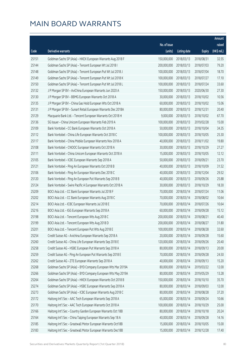|       |                                                              |                        |                     |               | Amount      |
|-------|--------------------------------------------------------------|------------------------|---------------------|---------------|-------------|
|       |                                                              | No. of issue           |                     |               | raised      |
| Code  | Derivative warrants                                          | (units)                | <b>Listing date</b> | <b>Expiry</b> | (HK\$ mil.) |
| 25151 | Goldman Sachs SP (Asia) - HKEX European Warrants Aug 2018 F  | 150,000,000            | 2018/03/13          | 2018/08/31    | 32.55       |
| 25144 | Goldman Sachs SP (Asia) - Tencent European Wt Jul 2018 I     | 200,000,000            | 2018/03/13          | 2018/07/03    | 79.20       |
| 25148 | Goldman Sachs SP (Asia) - Tencent European Put Wt Jul 2018 J | 100,000,000            | 2018/03/13          | 2018/07/04    | 18.70       |
| 25149 | Goldman Sachs SP (Asia) - Tencent European Put Wt Jul 2018 K | 100,000,000            | 2018/03/13          | 2018/07/27    | 17.10       |
| 25150 | Goldman Sachs SP (Asia) - Tencent European Put Wt Jul 2018 L | 100,000,000            | 2018/03/13          | 2018/07/24    | 33.60       |
| 25132 | J P Morgan SP BV - AviChina European Warrants Jun 2020 A     | 150,000,000            | 2018/03/13          | 2020/06/30    | 27.30       |
| 25130 | J P Morgan SP BV - BBMG European Warrants Oct 2018 A         | 30,000,000             | 2018/03/13          | 2018/10/02    | 10.56       |
| 25135 | J P Morgan SP BV - China Gas Hold European Wts Oct 2018 A    | 60,000,000             | 2018/03/13          | 2018/10/02    | 15.06       |
| 25131 | J P Morgan SP BV - Sunart Retail European Warrants Dec 2018A | 80,000,000             | 2018/03/13          | 2018/12/31    | 20.40       |
| 25129 | Macquarie Bank Ltd. - Tencent European Warrants Oct 2018 H   | 9,000,000              | 2018/03/13          | 2018/10/02    | 67.70       |
| 25136 | SG Issuer - China Unicom European Warrants Feb 2019 A        | 100,000,000            | 2018/03/13          | 2019/02/28    | 15.00       |
| 25109 | Bank Vontobel - CC Bank European Warrants Oct 2018 A         | 50,000,000             | 2018/03/13          | 2018/10/04    | 34.35       |
| 25112 | Bank Vontobel - China Life European Warrants Oct 2018 C      | 100,000,000            | 2018/03/13          | 2018/10/05    | 25.30       |
| 25117 | Bank Vontobel - China Mobile European Warrants Nov 2018 A    | 40,000,000             | 2018/03/13          | 2018/11/02    | 19.80       |
| 25108 | Bank Vontobel - CNOOC European Warrants Oct 2018 A           | 30,000,000             | 2018/03/13          | 2018/10/29    | 27.27       |
| 25111 | Bank Vontobel - China Unicom European Warrants Oct 2018 A    | 15,000,000             | 2018/03/13          | 2018/10/05    | 12.12       |
| 25105 | Bank Vontobel - ICBC European Warrants Sep 2018 A            | 50,000,000             | 2018/03/13          | 2018/09/21    | 23.70       |
| 25121 | Bank Vontobel - Ping An European Warrants Oct 2018 B         | 40,000,000             | 2018/03/13          | 2018/10/09    | 31.52       |
| 25106 | Bank Vontobel - Ping An European Warrants Dec 2018 C         | 40,000,000             | 2018/03/13          | 2018/12/04    | 29.52       |
| 25120 | Bank Vontobel - Ping An European Put Warrants Sep 2018 B     | 40,000,000             | 2018/03/13          | 2018/09/26    | 25.88       |
| 25124 | Bank Vontobel - Swire Pacific A European Warrants Oct 2018 A | 30,000,000             | 2018/03/13          | 2018/10/29    | 18.30       |
| 25209 | BOCI Asia Ltd. - CC Bank European Warrants Jul 2018 F        | 70,000,000             | 2018/03/14          | 2018/07/24    | 11.06       |
| 25202 | BOCI Asia Ltd. - CC Bank European Warrants Aug 2018 C        | 70,000,000             | 2018/03/14          | 2018/08/02    | 10.64       |
| 25214 | BOCI Asia Ltd. - ICBC European Warrants Jul 2018 E           | 70,000,000             | 2018/03/14          | 2018/07/26    | 10.64       |
| 25216 | BOCI Asia Ltd. - IGG European Warrants Sep 2018 A            | 60,000,000             | 2018/03/14          | 2018/09/28    | 15.12       |
| 25198 | BOCI Asia Ltd. - Tencent European Wts Aug 2018 C             | 200,000,000            | 2018/03/14          | 2018/08/21    | 40.40       |
| 25199 | BOCI Asia Ltd. - Tencent European Wts Aug 2018 D             | 200,000,000 2018/03/14 |                     | 2018/08/27    | 31.80       |
| 25201 | BOCI Asia Ltd. - Tencent European Put Wts Aug 2018 E         | 100,000,000            | 2018/03/14          | 2018/08/28    | 32.60       |
| 25254 | Credit Suisse AG - Avichina European Warrants Sep 2018 A     | 20,000,000             | 2018/03/14          | 2018/09/28    | 15.60       |
| 25260 | Credit Suisse AG - China Life European Warrants Sep 2018 E   | 120,000,000            | 2018/03/14          | 2018/09/26    | 20.40       |
| 25258 | Credit Suisse AG - HSBC European Put Warrants Sep 2018 A     | 80,000,000             | 2018/03/14          | 2018/09/13    | 20.00       |
| 25259 | Credit Suisse AG - Ping An European Put Warrants Sep 2018 E  | 70,000,000             | 2018/03/14          | 2018/09/28    | 24.50       |
| 25262 | Credit Suisse AG - ZTE European Warrants Sep 2018 A          | 40,000,000             | 2018/03/14          | 2018/09/13    | 15.20       |
| 25268 | Goldman Sachs SP (Asia) - BYD Company European Wts Mar 2019A | 80,000,000             | 2018/03/14          | 2019/03/22    | 12.00       |
| 25266 | Goldman Sachs SP (Asia) - BYD Company European Wts May 2019A | 80,000,000             | 2018/03/14          | 2019/05/29    | 13.28       |
| 25264 | Goldman Sachs SP (Asia) - HKEX European Warrants Oct 2018 B  | 150,000,000            | 2018/03/14          | 2018/10/10    | 35.70       |
| 25274 | Goldman Sachs SP (Asia) - HSBC European Warrants Sep 2018 A  | 80,000,000             | 2018/03/14          | 2018/09/03    | 12.00       |
| 25273 | Goldman Sachs SP (Asia) - ICBC European Warrants Aug 2018 C  | 80,000,000             | 2018/03/14          | 2018/08/28    | 37.20       |
| 25172 | Haitong Int'l Sec - AAC Tech European Warrants Sep 2018 A    | 65,000,000             | 2018/03/14          | 2018/09/24    | 10.66       |
| 25170 | Haitong Int'l Sec - AAC Tech European Warrants Oct 2018 A    | 100,000,000            | 2018/03/14          | 2018/10/29    | 25.00       |
| 25166 | Haitong Int'l Sec - Country Garden European Warrants Oct 18B | 80,000,000             | 2018/03/14          | 2018/10/18    | 20.24       |
| 25164 | Haitong Int'l Sec - China Taiping European Warrants Sep 18 A | 40,000,000             | 2018/03/14          | 2018/09/28    | 14.16       |
| 25185 | Haitong Int'l Sec - Greatwall Motor European Warrants Oct18B | 15,000,000             | 2018/03/14          | 2018/10/05    | 15.00       |
| 25183 | Haitong Int'l Sec - Greatwall Motor European Warrants Dec18B | 15,000,000             | 2018/03/14          | 2018/12/28    | 17.40       |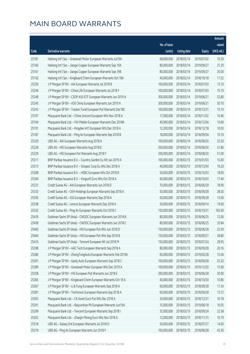|       |                                                              |              |                       |               | Amount      |
|-------|--------------------------------------------------------------|--------------|-----------------------|---------------|-------------|
|       |                                                              | No. of issue |                       |               | raised      |
| Code  | Derivative warrants                                          | (units)      | <b>Listing date</b>   | <b>Expiry</b> | (HK\$ mil.) |
| 25181 | Haitong Int'l Sec - Greatwall Motor European Warrants Jul19A | 68,000,000   | 2018/03/14            | 2019/07/02    | 10.20       |
| 25160 | Haitong Int'l Sec - Jiangxi Copper European Warrants Sep 19A | 80,000,000   | 2018/03/14            | 2019/09/27    | 21.20       |
| 25161 | Haitong Int'l Sec - Jiangxi Copper European Warrants Sep 19B | 80,000,000   | 2018/03/14            | 2019/09/27    | 20.00       |
| 25156 | Haitong Int'l Sec - Kingboard Chem European Warrants Oct 18A | 40,000,000   | 2018/03/14            | 2018/10/18    | 11.52       |
| 25250 | J P Morgan SP BV - AIA European Warrants Jul 2018 B          | 100,000,000  | 2018/03/14            | 2018/07/03    | 15.10       |
| 25244 | J P Morgan SP BV - China Life European Warrants Jul 2018 F   | 100,000,000  | 2018/03/14            | 2018/07/03    | 15.10       |
| 25248 | J P Morgan SP BV - CSOP A50 ETF European Warrants Jun 2019 A | 300,000,000  | 2018/03/14            | 2019/06/21    | 52.80       |
| 25245 | J P Morgan SP BV - A50 China European Warrants Jun 2019 A    | 300,000,000  | 2018/03/14            | 2019/06/21    | 50.70       |
| 25243 | J P Morgan SP BV - Tracker Fund European Put Warrants Dec18C | 100,000,000  | 2018/03/14            | 2018/12/31    | 15.10       |
| 25197 | Macquarie Bank Ltd. - China Unicom European Wts Nov 2018 A   | 17,000,000   | 2018/03/14            | 2018/11/02    | 10.46       |
| 25194 | Macquarie Bank Ltd. - FIH Mobile European Warrants Dec 2018A | 40,000,000   | 2018/03/14            | 2018/12/04    | 10.00       |
| 25191 | Macquarie Bank Ltd. - Kingdee Int'l European Wts Dec 2018 A  | 12,200,000   | 2018/03/14            | 2018/12/18    | 10.03       |
| 25187 | Macquarie Bank Ltd. - Ping An European Warrants Sep 2018 B   | 18,000,000   | 2018/03/14            | 2018/09/04    | 10.10       |
| 25220 | UBS AG - AIA European Warrants Aug 2018 A                    | 100,000,000  | 2018/03/14            | 2018/08/20    | 32.20       |
| 25228 | UBS AG - HSI European Warrants Aug 2018 E                    | 200,000,000  | 2018/03/14            | 2018/08/30    | 31.80       |
| 25229 | UBS AG - HSI European Put Warrants Aug 2018 F                | 200,000,000  | 2018/03/14            | 2018/08/30    | 51.00       |
| 25311 | BNP Paribas Issuance B.V. - Country Garden Eu Wt Jan 2019 A  | 100,000,000  | 2018/03/15            | 2019/01/03    | 15.00       |
| 25313 | BNP Paribas Issuance B.V. - Sinopec Corp Eu Wts Dec 2018 A   | 40,000,000   | 2018/03/15            | 2018/12/04    | 19.20       |
| 25308 | BNP Paribas Issuance B.V. - HSBC European Wts Oct 2018 B     | 50,000,000   | 2018/03/15            | 2018/10/03    | 18.00       |
| 25304 | BNP Paribas Issuance B.V. - Kingsoft Euro Wts Oct 2018 A     | 60,000,000   | 2018/03/15            | 2018/10/03    | 17.40       |
| 25331 | Credit Suisse AG - AIA European Warrants Jun 2018 D          | 70,000,000   | 2018/03/15            | 2018/06/29    | 18.90       |
| 25333 | Credit Suisse AG - CKH Holdings European Warrants Sep 2018 A | 50,000,000   | 2018/03/15            | 2018/09/28    | 28.50       |
| 25356 | Credit Suisse AG - IGG European Warrants Sep 2018 A          | 60,000,000   | 2018/03/15            | 2018/09/28    | 15.00       |
| 25338 | Credit Suisse AG - Lenovo European Warrants Sep 2018 A       | 50,000,000   | 2018/03/15            | 2018/09/14    | 19.00       |
| 25332 | Credit Suisse AG - Ping An European Warrants Oct 2018 C      | 150,000,000  | 2018/03/15            | 2018/10/31    | 165.00      |
| 25439 | Goldman Sachs SP (Asia) - CNOOC European Warrants Jun 2018 B | 80,000,000   | 2018/03/15            | 2018/06/25    | 12.00       |
| 25458 | Goldman Sachs SP (Asia) - CNOOC European Warrants Jun 2018 C |              | 80,000,000 2018/03/15 | 2018/06/25    | 35.84       |
| 25460 | Goldman Sachs SP (Asia) - HSI European Put Wts Jun 2018 D    | 150,000,000  | 2018/03/15            | 2018/06/28    | 22.50       |
| 25464 | Goldman Sachs SP (Asia) - HSI European Put Wts Sep 2018 B    | 150,000,000  | 2018/03/15            | 2018/09/27    | 28.80       |
| 25416 | Goldman Sachs SP (Asia) - Tencent European Wt Jul 2018 M     | 150,000,000  | 2018/03/15            | 2018/07/24    | 28.95       |
| 25398 | J P Morgan SP BV - AAC Tech European Warrants Sep 2018 A     | 80,000,000   | 2018/03/15            | 2018/09/28    | 20.16       |
| 25386 | J P Morgan SP BV - ZhengTongAuto European Warrants Feb 2019A | 60,000,000   | 2018/03/15            | 2019/02/28    | 15.06       |
| 25391 | J P Morgan SP BV - Geely Auto European Warrants Sep 2018 C   | 100,000,000  | 2018/03/15            | 2018/09/28    | 25.20       |
| 25389 | J P Morgan SP BV - Greatwall Motor European Wts Dec 2019 A   | 100,000,000  | 2018/03/15            | 2019/12/20    | 15.90       |
| 25358 | J P Morgan SP BV - HSI European Put Warrants Jun 2018 E      | 200,000,000  | 2018/03/15            | 2018/06/28    | 30.00       |
| 25365 | J P Morgan SP BV - Kingboard Chem European Warrants Oct 18 A | 40,000,000   | 2018/03/15            | 2018/10/30    | 10.80       |
| 25367 | J P Morgan SP BV - Li & Fung European Warrants Sep 2018 A    | 60,000,000   | 2018/03/15            | 2018/09/28    | 17.34       |
| 25381 | J P Morgan SP BV - Techtronic European Warrants Sep 2018 A   | 60,000,000   | 2018/03/15            | 2018/09/28    | 15.72       |
| 25303 | Macquarie Bank Ltd. - CK Asset Euro Put Wts Dec 2018 A       | 24,000,000   | 2018/03/15            | 2018/12/31    | 10.78       |
| 25301 | Macquarie Bank Ltd. - Baiyunshan Ph European Warrants Jun19A | 15,000,000   | 2018/03/15            | 2019/06/18    | 10.05       |
| 25299 | Macquarie Bank Ltd. - Tencent European Warrants Sep 2018 I   | 35,000,000   | 2018/03/15            | 2018/09/24    | 22.58       |
| 25302 | Macquarie Bank Ltd. - Zhaojin Mining Euro Wts Nov 2018 A     | 12,000,000   | 2018/03/15            | 2018/11/15    | 10.79       |
| 25318 | UBS AG - Galaxy Ent European Warrants Jul 2018 D             | 50,000,000   | 2018/03/15            | 2018/07/27    | 14.00       |
| 25319 | UBS AG - Ping An European Warrants Jun 2018 F                | 100,000,000  | 2018/03/15            | 2018/06/28    | 43.30       |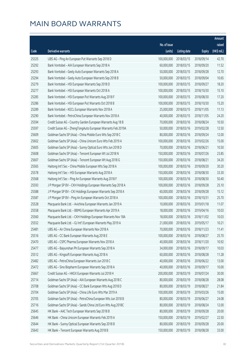|       |                                                              |              |                       |               | Amount      |
|-------|--------------------------------------------------------------|--------------|-----------------------|---------------|-------------|
|       |                                                              | No. of issue |                       |               | raised      |
| Code  | Derivative warrants                                          | (units)      | <b>Listing date</b>   | <b>Expiry</b> | (HK\$ mil.) |
| 25325 | UBS AG - Ping An European Put Warrants Sep 2018 D            | 100,000,000  | 2018/03/15            | 2018/09/14    | 42.70       |
| 25292 | Bank Vontobel - AIA European Warrants Sep 2018 A             | 60,000,000   | 2018/03/15            | 2018/09/20    | 11.52       |
| 25293 | Bank Vontobel - Geely Auto European Warrants Sep 2018 A      | 50,000,000   | 2018/03/15            | 2018/09/28    | 12.70       |
| 25294 | Bank Vontobel - Geely Auto European Warrants Sep 2018 B      | 50,000,000   | 2018/03/15            | 2018/09/04    | 10.65       |
| 25279 | Bank Vontobel - HSI European Warrants Sep 2018 D             | 100,000,000  | 2018/03/15            | 2018/09/27    | 18.20       |
| 25277 | Bank Vontobel - HSI European Warrants Oct 2018 A             | 100,000,000  | 2018/03/15            | 2018/10/30    | 15.10       |
| 25285 | Bank Vontobel - HSI European Put Warrants Aug 2018 F         | 100,000,000  | 2018/03/15            | 2018/08/30    | 17.20       |
| 25286 | Bank Vontobel - HSI European Put Warrants Oct 2018 B         | 100,000,000  | 2018/03/15            | 2018/10/30    | 15.20       |
| 25289 | Bank Vontobel - KECL European Warrants Nov 2018 A            | 25,000,000   | 2018/03/15            | 2018/11/05    | 11.13       |
| 25290 | Bank Vontobel - PetroChina European Warrants Nov 2018 A      | 40,000,000   | 2018/03/15            | 2018/11/05    | 24.20       |
| 25594 | Credit Suisse AG - Country Garden European Warrants Aug 18 B | 70,000,000   | 2018/03/16            | 2018/08/24    | 10.50       |
| 25597 | Credit Suisse AG - ZhengTongAuto European Warrants Feb 2019A | 50,000,000   | 2018/03/16            | 2019/02/28    | 12.50       |
| 25609 | Goldman Sachs SP (Asia) - China Mobile Euro Wts Sep 2018 C   | 80,000,000   | 2018/03/16            | 2018/09/24    | 12.00       |
| 25602 | Goldman Sachs SP (Asia) - China Unicom Euro Wts Feb 2019 A   | 100,000,000  | 2018/03/16            | 2019/02/26    | 15.00       |
| 25605 | Goldman Sachs SP (Asia) - Sunny Optical Euro Wts Jun 2018 D  | 70,000,000   | 2018/03/16            | 2018/06/21    | 10.50       |
| 25608 | Goldman Sachs SP (Asia) - Tencent European Wt Jul 2018 N     | 150,000,000  | 2018/03/16            | 2018/07/26    | 23.85       |
| 25607 | Goldman Sachs SP (Asia) - Tencent European Wt Aug 2018 G     | 150,000,000  | 2018/03/16            | 2018/08/21    | 34.20       |
| 25565 | Haitong Int'l Sec - China Mobile European Wts Sep 2018 A     | 100,000,000  | 2018/03/16            | 2018/09/20    | 30.20       |
| 25578 | Haitong Int'l Sec - HSI European Warrants Aug 2018 A         | 150,000,000  | 2018/03/16            | 2018/08/30    | 33.30       |
| 25568 | Haitong Int'l Sec - Ping An European Warrants Aug 2018 F     | 100,000,000  | 2018/03/16            | 2018/08/30    | 50.40       |
| 25593 | J P Morgan SP BV - CKH Holdings European Warrants Sep 2018 A | 100,000,000  | 2018/03/16            | 2018/09/28    | 25.10       |
| 25588 | J P Morgan SP BV - CKI Holdings European Warrants Sep 2018 A | 60,000,000   | 2018/03/16            | 2018/09/28    | 15.12       |
| 25587 | J P Morgan SP BV - Ping An European Warrants Oct 2018 A      | 100,000,000  | 2018/03/16            | 2018/10/31    | 25.70       |
| 25528 | Macquarie Bank Ltd. - Avichina European Warrants Jan 2019 A  | 10,000,000   | 2018/03/16            | 2019/01/18    | 11.07       |
| 25558 | Macquarie Bank Ltd. - BBMG European Warrants Apr 2019 A      | 18,000,000   | 2018/03/16            | 2019/04/16    | 10.03       |
| 25560 | Macquarie Bank Ltd. - CKH Holdings European Warrants Nov 18A | 18,000,000   | 2018/03/16            | 2018/11/02    | 10.03       |
| 25552 | Macquarie Bank Ltd. - GJ Int'l European Warrants May 2019 A  |              | 21,000,000 2018/03/16 | 2019/05/17    | 10.21       |
| 25481 | UBS AG - Air China European Warrants Nov 2018 A              | 70,000,000   | 2018/03/16            | 2018/11/23    | 11.41       |
| 25516 | UBS AG - CC Bank European Warrants Aug 2018 E                | 100,000,000  | 2018/03/16            | 2018/08/27    | 25.70       |
| 25470 | UBS AG - CSPC Pharma European Warrants Nov 2018 A            | 40,000,000   | 2018/03/16            | 2018/11/20    | 10.92       |
| 25477 | UBS AG - Baiyunshan Ph European Warrants Sep 2018 A          | 34,000,000   | 2018/03/16            | 2018/09/17    | 10.03       |
| 25512 | UBS AG - Kingsoft European Warrants Aug 2018 A               | 60,000,000   | 2018/03/16            | 2018/08/28    | 11.28       |
| 25482 | UBS AG - PetroChina European Warrants Jun 2018 C             | 40,000,000   | 2018/03/16            | 2018/06/22    | 13.00       |
| 25472 | UBS AG - Sino Biopharm European Warrants Sep 2018 A          | 40,000,000   | 2018/03/16            | 2018/09/17    | 10.00       |
| 25667 | Credit Suisse AG - HKEX European Warrants Jul 2018 H         | 200,000,000  | 2018/03/19            | 2018/07/24    | 30.00       |
| 25714 | Goldman Sachs SP (Asia) - AIA European Warrants Aug 2018 C   | 80,000,000   | 2018/03/19            | 2018/08/28    | 28.08       |
| 25708 | Goldman Sachs SP (Asia) - CC Bank European Wts Aug 2018 D    | 80,000,000   | 2018/03/19            | 2018/08/27    | 21.84       |
| 25704 | Goldman Sachs SP (Asia) - China Life Euro Wts Mar 2019 A     | 100,000,000  | 2018/03/19            | 2019/03/26    | 15.00       |
| 25705 | Goldman Sachs SP (Asia) - PetroChina European Wts Jun 2018 B | 80,000,000   | 2018/03/19            | 2018/06/27    | 24.08       |
| 25716 | Goldman Sachs SP (Asia) - Sands China Ltd Euro Wts Aug 2018C | 80,000,000   | 2018/03/19            | 2018/08/24    | 12.00       |
| 25645 | HK Bank - AAC Tech European Warrants Sep 2018 B              | 80,000,000   | 2018/03/19            | 2018/09/28    | 20.00       |
| 25646 | HK Bank - China Unicom European Warrants Feb 2019 A          | 150,000,000  | 2018/03/19            | 2019/02/27    | 22.50       |
| 25644 | HK Bank - Sunny Optical European Warrants Sep 2018 B         | 80,000,000   | 2018/03/19            | 2018/09/28    | 20.00       |
| 25643 | HK Bank - Tencent European Warrants Aug 2018 B               | 150,000,000  | 2018/03/19            | 2018/08/28    | 33.00       |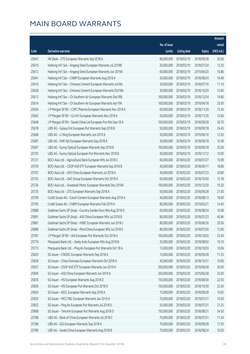|       |                                                              |              |                       |               | Amount      |
|-------|--------------------------------------------------------------|--------------|-----------------------|---------------|-------------|
|       |                                                              | No. of issue |                       |               | raised      |
| Code  | <b>Derivative warrants</b>                                   | (units)      | <b>Listing date</b>   | <b>Expiry</b> | (HK\$ mil.) |
| 25647 | HK Bank - ZTE European Warrants Sep 2018 A                   | 80,000,000   | 2018/03/19            | 2018/09/28    | 20.00       |
| 25610 | Haitong Int'l Sec - Angang Steel European Warrants Jul 2018B | 20,000,000   | 2018/03/19            | 2018/07/24    | 13.20       |
| 25612 | Haitong Int'l Sec - Angang Steel European Warrants Jun 2019A | 60,000,000   | 2018/03/19            | 2019/06/20    | 10.86       |
| 25641 | Haitong Int'l Sec - CNBM European Warrants Aug 2018 A        | 20,000,000   | 2018/03/19            | 2018/08/24    | 14.40       |
| 25616 | Haitong Int'l Sec - Chinares Cement European Warrants Jul18A | 30,000,000   | 2018/03/19            | 2018/07/16    | 11.10       |
| 25628 | Haitong Int'l Sec - Chinares Cement European Warrants Oct18A | 30,000,000   | 2018/03/19            | 2018/10/29    | 15.60       |
| 25613 | Haitong Int'l Sec - Ch Southern Air European Warrants Dec18B | 100,000,000  | 2018/03/19            | 2018/12/24    | 19.80       |
| 25614 | Haitong Int'l Sec - Ch Southern Air European Warrants Apr19A | 100,000,000  | 2018/03/19            | 2019/04/18    | 25.00       |
| 25656 | J P Morgan SP BV - CSPC Pharma European Warrants Nov 2018 A  | 60,000,000   | 2018/03/19            | 2018/11/30    | 15.36       |
| 25665 | J P Morgan SP BV - GJ Int'l European Warrants Nov 2018 A     | 50,000,000   | 2018/03/19            | 2018/11/30    | 12.60       |
| 25648 | J P Morgan SP BV - Sands China Ltd European Put Wts Sep 18 A | 100,000,000  | 2018/03/19            | 2018/09/28    | 26.70       |
| 25678 | UBS AG - Galaxy Ent European Put Warrants Sep 2018 B         | 50,000,000   | 2018/03/19            | 2018/09/18    | 24.45       |
| 25668 | UBS AG - Li Ning European Warrants Jun 2019 A                | 50,000,000   | 2018/03/19            | 2019/06/10    | 12.50       |
| 25687 | UBS AG - SHK Ppt European Warrants Sep 2018 A                | 30,000,000   | 2018/03/19            | 2018/09/18    | 10.38       |
| 25697 | UBS AG - Sunny Optical European Warrants Sep 2018 B          | 100,000,000  | 2018/03/19            | 2018/09/18    | 25.00       |
| 25703 | UBS AG - Sunny Optical European Put Warrants Nov 2018 B      | 40,000,000   | 2018/03/19            | 2018/11/12    | 10.00       |
| 25721 | BOCI Asia Ltd. - Agricultural Bank European Wts Jul 2018 C   | 60,000,000   | 2018/03/20            | 2018/07/27    | 10.08       |
| 25759 | BOCI Asia Ltd. - CSOP A50 ETF European Warrants Sep 2018 B   | 40,000,000   | 2018/03/20            | 2018/09/11    | 18.88       |
| 25767 | BOCI Asia Ltd. - A50 China European Warrants Jul 2018 A      | 40,000,000   | 2018/03/20            | 2018/07/23    | 30.80       |
| 25755 | BOCI Asia Ltd. - GAC Group European Warrants Oct 2018 A      | 60,000,000   | 2018/03/20            | 2018/10/30    | 15.18       |
| 25736 | BOCI Asia Ltd. - Greatwall Motor European Warrants Dec 2019A | 100,000,000  | 2018/03/20            | 2019/12/20    | 19.20       |
| 25735 | BOCI Asia Ltd. - ZTE European Warrants Sep 2018 A            | 50,000,000   | 2018/03/20            | 2018/09/28    | 21.00       |
| 25799 | Credit Suisse AG - Conch Cement European Warrants Aug 2018 A | 40,000,000   | 2018/03/20            | 2018/08/13    | 18.00       |
| 25795 | Credit Suisse AG - CNBM European Warrants Feb 2019 A         | 80,000,000   | 2018/03/20            | 2019/02/21    | 14.40       |
| 25888 | Goldman Sachs SP (Asia) - Country Garden Euro Wts Aug 2018 D | 60,000,000   | 2018/03/20            | 2018/08/24    | 10.08       |
| 25891 | Goldman Sachs SP (Asia) - A50 China European Wts Jul 2018 B  | 80,000,000   | 2018/03/20            | 2018/07/23    | 40.96       |
| 25881 | Goldman Sachs SP (Asia) - HSBC European Warrants Jun 2018 J  |              | 80,000,000 2018/03/20 | 2018/06/26    | 29.36       |
| 25889 | Goldman Sachs SP (Asia) - PetroChina European Wts Jul 2018 E | 80,000,000   | 2018/03/20            | 2018/07/26    | 12.00       |
| 25781 | J P Morgan SP BV - AIA European Put Warrants Oct 2018 A      | 100,000,000  | 2018/03/20            | 2018/10/03    | 25.40       |
| 25774 | Macquarie Bank Ltd. - Geely Auto European Wts Aug 2018 B     | 35,000,000   | 2018/03/20            | 2018/08/02    | 10.19       |
| 25773 | Macquarie Bank Ltd. - Ping An European Put Warrants Oct 18 A | 13,000,000   | 2018/03/20            | 2018/10/03    | 10.06       |
| 25829 | SG Issuer - CNOOC European Warrants Sep 2018 A               | 15,000,000   | 2018/03/20            | 2018/09/28    | 11.25       |
| 25828 | SG Issuer - China Overseas European Warrants Oct 2018 A      | 40,000,000   | 2018/03/20            | 2018/10/31    | 10.00       |
| 25837 | SG Issuer - CSOP A50 ETF European Warrants Jun 2019 A        | 200,000,000  | 2018/03/20            | 2019/06/28    | 30.00       |
| 25849 | SG Issuer - A50 China European Warrants Jun 2019 A           | 200,000,000  | 2018/03/20            | 2019/06/28    | 32.00       |
| 25876 | SG Issuer - HSI European Warrants Aug 2018 D                 | 150,000,000  | 2018/03/20            | 2018/08/30    | 22.50       |
| 25836 | SG Issuer - HSI European Put Warrants Oct 2018 D             | 150,000,000  | 2018/03/20            | 2018/10/30    | 22.50       |
| 25834 | SG Issuer - KECL European Warrants Sep 2018 A                | 15,000,000   | 2018/03/20            | 2018/09/28    | 10.05       |
| 25835 | SG Issuer - PICC P&C European Warrants Jan 2019 A            | 70,000,000   | 2018/03/20            | 2019/01/31    | 10.50       |
| 25852 | SG Issuer - Ping An European Put Warrants Jul 2018 D         | 50,000,000   | 2018/03/20            | 2018/07/31    | 21.25       |
| 25868 | SG Issuer - Tencent European Put Warrants Aug 2018 D         | 150,000,000  | 2018/03/20            | 2018/08/31    | 34.50       |
| 25788 | UBS AG - Bank of China European Warrants Jul 2018 C          | 70,000,000   | 2018/03/20            | 2018/07/31    | 11.34       |
| 25786 | UBS AG - IGG European Warrants Sep 2018 A                    | 70,000,000   | 2018/03/20            | 2018/09/28    | 17.50       |
| 25789 | UBS AG - Sands China European Warrants Aug 2018 B            | 70,000,000   | 2018/03/20            | 2018/08/24    | 10.50       |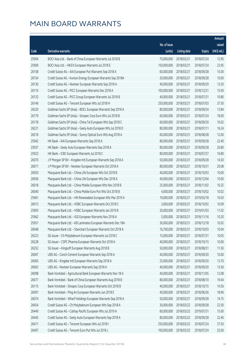|       |                                                              |              |                       |               | Amount      |
|-------|--------------------------------------------------------------|--------------|-----------------------|---------------|-------------|
|       |                                                              | No. of issue |                       |               | raised      |
| Code  | Derivative warrants                                          | (units)      | <b>Listing date</b>   | <b>Expiry</b> | (HK\$ mil.) |
| 25904 | BOCI Asia Ltd. - Bank of China European Warrants Jul 2018 B  | 70,000,000   | 2018/03/21            | 2018/07/24    | 12.95       |
| 25900 | BOCI Asia Ltd. - HKEX European Warrants Jul 2018 E           | 150,000,000  | 2018/03/21            | 2018/07/24    | 22.95       |
| 26158 | Credit Suisse AG - AIA European Put Warrants Sep 2018 A      | 60,000,000   | 2018/03/21            | 2018/09/28    | 15.00       |
| 26154 | Credit Suisse AG - Kunlun Energy European Warrants Sep 2018A | 20,000,000   | 2018/03/21            | 2018/09/28    | 10.00       |
| 26130 | Credit Suisse AG - Nexteer European Warrants Sep 2018 A      | 40,000,000   | 2018/03/21            | 2018/09/20    | 13.20       |
| 26174 | Credit Suisse AG - PICC European Warrants Dec 2018 A         | 100,000,000  | 2018/03/21            | 2018/12/31    | 15.00       |
| 26132 | Credit Suisse AG - PICC Group European Warrants Jul 2018 B   | 40,000,000   | 2018/03/21            | 2018/07/31    | 10.80       |
| 26146 | Credit Suisse AG - Tencent European Wts Jul 2018 H           | 250,000,000  | 2018/03/21            | 2018/07/03    | 37.50       |
| 26220 | Goldman Sachs SP (Asia) - BOCL European Warrants Sep 2018 A  | 80,000,000   | 2018/03/21            | 2018/09/24    | 13.84       |
| 26179 | Goldman Sachs SP (Asia) - Sinopec Corp Euro Wts Jul 2018 B   | 60,000,000   | 2018/03/21            | 2018/07/24    | 18.00       |
| 26178 | Goldman Sachs SP (Asia) - China Tel European Wts Sep 2018 C  | 60,000,000   | 2018/03/21            | 2018/09/20    | 10.02       |
| 26221 | Goldman Sachs SP (Asia) - Geely Auto European Wts Jul 2018 D | 80,000,000   | 2018/03/21            | 2018/07/11    | 16.24       |
| 26216 | Goldman Sachs SP (Asia) - Sunny Optical Euro Wts Aug 2018 A  | 60,000,000   | 2018/03/21            | 2018/08/28    | 12.00       |
| 25942 | HK Bank - AIA European Warrants Sep 2018 A                   | 80,000,000   | 2018/03/21            | 2018/09/28    | 22.40       |
| 25937 | HK Bank - Geely Auto European Warrants Sep 2018 A            | 80,000,000   | 2018/03/21            | 2018/09/28    | 20.80       |
| 25923 | HK Bank - ICBC European Warrants Jul 2018 C                  | 80,000,000   | 2018/03/21            | 2018/07/27    | 16.80       |
| 26070 | J P Morgan SP BV - Kingdee Intl European Warrants Sep 2018 A | 50,000,000   | 2018/03/21            | 2018/09/28    | 14.50       |
| 26071 | J P Morgan SP BV - Nexteer European Warrants Oct 2018 A      | 80,000,000   | 2018/03/21            | 2018/10/31    | 20.08       |
| 26050 | Macquarie Bank Ltd. - China Life European Wts Oct 2018 B     | 40,000,000   | 2018/03/21            | 2018/10/03    | 10.00       |
| 26056 | Macquarie Bank Ltd. - China Life European Wts Dec 2018 A     | 40,000,000   | 2018/03/21            | 2018/12/04    | 10.00       |
| 26018 | Macquarie Bank Ltd. - China Mobile European Wts Nov 2018 B   | 25,000,000   | 2018/03/21            | 2018/11/02    | 10.25       |
| 26040 | Macquarie Bank Ltd. - China Mobile Euro Put Wts Oct 2018 B   | 4,000,000    | 2018/03/21            | 2018/10/02    | 10.02       |
| 25961 | Macquarie Bank Ltd. - HN Renewables European Wts Mar 2019 A  | 19,000,000   | 2018/03/21            | 2019/03/18    | 10.03       |
| 26013 | Macquarie Bank Ltd. - HSBC European Warrants Oct 2018 C      | 3,600,000    | 2018/03/21            | 2018/10/02    | 10.09       |
| 25993 | Macquarie Bank Ltd. - HSBC European Warrants Jan 2019 B      | 20,000,000   | 2018/03/21            | 2019/01/03    | 11.02       |
| 25962 | Macquarie Bank Ltd. - IGG European Warrants Nov 2018 A       | 5,000,000    | 2018/03/21            | 2018/11/16    | 10.20       |
| 25951 | Macquarie Bank Ltd. - KB Laminates European Warrants Dec 18A |              | 30,000,000 2018/03/21 | 2018/12/18    | 10.02       |
| 26048 | Macquarie Bank Ltd. - Stanchart European Warrants Oct 2018 A | 16,700,000   | 2018/03/21            | 2018/10/03    | 10.04       |
| 26223 | SG Issuer - Ch Molybdenum European Warrants Jul 2018 C       | 15,000,000   | 2018/03/21            | 2018/07/31    | 10.05       |
| 26228 | SG Issuer - CSPC Pharma European Warrants Oct 2018 A         | 40,000,000   | 2018/03/21            | 2018/10/15    | 10.00       |
| 26252 | SG Issuer - Kingsoft European Warrants Aug 2018 B            | 50,000,000   | 2018/03/21            | 2018/08/31    | 11.50       |
| 26067 | UBS AG - Conch Cement European Warrants Sep 2018 A           | 40,000,000   | 2018/03/21            | 2018/09/20    | 10.00       |
| 26065 | UBS AG - Kingdee Intl European Warrants Sep 2018 A           | 25,000,000   | 2018/03/21            | 2018/09/20    | 13.70       |
| 26062 | UBS AG - Nexteer European Warrants Sep 2018 A                | 40,000,000   | 2018/03/21            | 2018/09/20    | 13.56       |
| 26098 | Bank Vontobel - Agricultural Bank European Warrants Nov 18 A | 40,000,000   | 2018/03/21            | 2018/11/05    | 12.08       |
| 26077 | Bank Vontobel - Bank of China European Warrants Aug 2018 B   | 80,000,000   | 2018/03/21            | 2018/08/10    | 19.44       |
| 26115 | Bank Vontobel - Sinopec Corp European Warrants Oct 2018 B    | 40,000,000   | 2018/03/21            | 2018/10/15    | 14.56       |
| 26097 | Bank Vontobel - Ping An European Warrants Jun 2018 E         | 40,000,000   | 2018/03/21            | 2018/06/26    | 18.96       |
| 26074 | Bank Vontobel - Wharf Holdings European Warrants Sep 2018 A  | 50,000,000   | 2018/03/21            | 2018/09/28    | 14.75       |
| 26454 | Credit Suisse AG - Ch Molybdenum European Wts Sep 2018 A     | 30,000,000   | 2018/03/22            | 2018/09/28    | 22.50       |
| 26449 | Credit Suisse AG - Cathay Pacific European Wts Jul 2019 A    | 60,000,000   | 2018/03/22            | 2019/07/31    | 15.00       |
| 26445 | Credit Suisse AG - Geely Auto European Warrants Sep 2018 A   | 80,000,000   | 2018/03/22            | 2018/09/28    | 22.40       |
| 26471 | Credit Suisse AG - Tencent European Wts Jul 2018 I           | 250,000,000  | 2018/03/22            | 2018/07/24    | 37.50       |
| 26497 | Credit Suisse AG - Tencent Euro Put Wts Jul 2018 J           | 100,000,000  | 2018/03/22            | 2018/07/24    | 25.00       |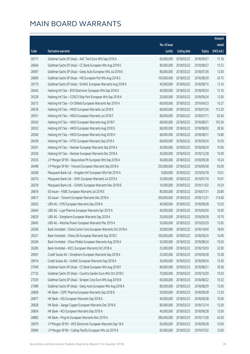|       |                                                              |              |                       |               | Amount      |
|-------|--------------------------------------------------------------|--------------|-----------------------|---------------|-------------|
|       |                                                              | No. of issue |                       |               | raised      |
| Code  | <b>Derivative warrants</b>                                   | (units)      | <b>Listing date</b>   | <b>Expiry</b> | (HK\$ mil.) |
| 26771 | Goldman Sachs SP (Asia) - AAC Tech Euro Wts Sep 2018 A       | 60,000,000   | 2018/03/22            | 2018/09/27    | 11.16       |
| 26664 | Goldman Sachs SP (Asia) - CC Bank European Wts Aug 2018 E    | 80,000,000   | 2018/03/22            | 2018/08/27    | 15.52       |
| 26697 | Goldman Sachs SP (Asia) - Geely Auto European Wts Jul 2018 E | 80,000,000   | 2018/03/22            | 2018/07/26    | 12.00       |
| 26809 | Goldman Sachs SP (Asia) - HSI European Put Wts Aug 2018 G    | 150,000,000  | 2018/03/22            | 2018/08/30    | 24.75       |
| 26770 | Goldman Sachs SP (Asia) - SUNAC European Warrants Aug 2018 A | 40,000,000   | 2018/03/22            | 2018/08/15    | 12.16       |
| 26442 | Haitong Int'l Sec - BYD Electronic European Wts Sep 2018 A   | 40,000,000   | 2018/03/22            | 2018/09/24    | 12.16       |
| 26328 | Haitong Int'l Sec - COSCO Ship Port European Wts Sep 2018 A  | 20,000,000   | 2018/03/22            | 2018/09/24    | 12.00       |
| 26373 | Haitong Int'l Sec - Ch Oilfield European Warrants Apr 2019 A | 68,000,000   | 2018/03/22            | 2019/04/23    | 10.27       |
| 26536 | Haitong Int'l Sec - HKEX European Warrants Jul 2018 E        | 68,000,000   | 2018/03/22            | 2018/07/26    | 112.20      |
| 26551 | Haitong Int'l Sec - HKEX European Warrants Jul 2018 F        | 68,000,000   | 2018/03/22            | 2018/07/11    | 62.56       |
| 26543 | Haitong Int'l Sec - HKEX European Warrants Aug 2018 F        | 68,000,000   | 2018/03/22            | 2018/08/31    | 103.36      |
| 26552 | Haitong Int'l Sec - HKEX European Warrants Aug 2018 G        | 68,000,000   | 2018/03/22            | 2018/08/02    | 28.56       |
| 26560 | Haitong Int'l Sec - HKEX European Warrants Aug 2018 H        | 68,000,000   | 2018/03/22            | 2018/08/31    | 74.80       |
| 26439 | Haitong Int'l Sec - HTSC European Warrants Sep 2018 A        | 68,000,000   | 2018/03/22            | 2018/09/24    | 10.20       |
| 26341 | Haitong Int'l Sec - Nexteer European Warrants Sep 2018 A     | 40,000,000   | 2018/03/22            | 2018/09/24    | 10.00       |
| 26350 | Haitong Int'l Sec - Nexteer European Warrants Dec 2018 A     | 40,000,000   | 2018/03/22            | 2018/12/28    | 10.00       |
| 26535 | J P Morgan SP BV - Baiyunshan Ph European Wts Sep 2018 A     | 40,000,000   | 2018/03/22            | 2018/09/28    | 10.24       |
| 26498 | J P Morgan SP BV - Tencent European Warrants Sep 2018 A      | 250,000,000  | 2018/03/22            | 2018/09/28    | 63.00       |
| 26268 | Macquarie Bank Ltd. - Kingdee Int'l European Wts Feb 2019 A  | 9,000,000    | 2018/03/22            | 2019/02/18    | 10.01       |
| 26270 | Macquarie Bank Ltd. - SMIC European Warrants Jul 2019 A      | 35,000,000   | 2018/03/22            | 2019/07/16    | 10.01       |
| 26259 | Macquarie Bank Ltd. - SUNAC European Warrants Nov 2018 B     | 16,000,000   | 2018/03/22            | 2018/11/02    | 10.29       |
| 26816 | SG Issuer - HSBC European Warrants Jul 2018 E                | 80,000,000   | 2018/03/22            | 2018/07/31    | 20.80       |
| 26817 | SG Issuer - Tencent European Warrants Dec 2018 A             | 200,000,000  | 2018/03/22            | 2018/12/31    | 114.00      |
| 26563 | UBS AG - CMS European Warrants Sep 2018 A                    | 40,000,000   | 2018/03/22            | 2018/09/28    | 10.20       |
| 26644 | UBS AG - Luye Pharma European Warrants Apr 2019 A            | 40,000,000   | 2018/03/22            | 2019/04/30    | 10.00       |
| 26629 | UBS AG - Sinopharm European Warrants Sep 2018 A              | 20,000,000   | 2018/03/22            | 2018/09/28    | 10.70       |
| 26645 | UBS AG - Weichai Power European Warrants Mar 2019 A          |              | 50,000,000 2018/03/22 | 2019/03/29    | 12.65       |
| 26306 | Bank Vontobel - China Comm Cons European Warrants Oct 2018 A | 20,000,000   | 2018/03/22            | 2018/10/04    | 18.00       |
| 26321 | Bank Vontobel - China Life European Warrants Sep 2018 C      | 100,000,000  | 2018/03/22            | 2018/09/24    | 16.00       |
| 26294 | Bank Vontobel - China Mobile European Warrants Aug 2018 A    | 50,000,000   | 2018/03/22            | 2018/08/24    | 10.50       |
| 26285 | Bank Vontobel - KECL European Warrants Oct 2018 A            | 25,000,000   | 2018/03/22            | 2018/10/03    | 22.00       |
| 26901 | Credit Suisse AG - Sinopharm European Warrants Sep 2018 A    | 25,000,000   | 2018/03/23            | 2018/09/28    | 10.38       |
| 26914 | Credit Suisse AG - SUNAC European Warrants Sep 2018 A        | 30,000,000   | 2018/03/23            | 2018/09/24    | 15.30       |
| 27049 | Goldman Sachs SP (Asia) - CC Bank European Wts Aug 2018 F    | 80,000,000   | 2018/03/23            | 2018/08/21    | 39.28       |
| 27132 | Goldman Sachs SP (Asia) - Country Garden Euro Wts Oct 2018 C | 70,000,000   | 2018/03/23            | 2018/10/29    | 10.50       |
| 27029 | Goldman Sachs SP (Asia) - Sinopec Corp Euro Wts Aug 2018 B   | 60,000,000   | 2018/03/23            | 2018/08/22    | 10.32       |
| 27089 | Goldman Sachs SP (Asia) - Geely Auto European Wts Aug 2018 A | 80,000,000   | 2018/03/23            | 2018/08/29    | 12.00       |
| 26858 | HK Bank - CSPC Pharma European Warrants Sep 2018 B           | 50,000,000   | 2018/03/23            | 2018/09/28    | 12.50       |
| 26877 | HK Bank - IGG European Warrants Sep 2018 A                   | 40,000,000   | 2018/03/23            | 2018/09/28    | 10.00       |
| 26828 | HK Bank - Jiangxi Copper European Warrants Dec 2018 A        | 80,000,000   | 2018/03/23            | 2018/12/14    | 12.00       |
| 26854 | HK Bank - NCI European Warrants Sep 2018 A                   | 40,000,000   | 2018/03/23            | 2018/09/28    | 12.00       |
| 26882 | HK Bank - Ping An European Warrants Nov 2019 A               | 280,000,000  | 2018/03/23            | 2019/11/28    | 42.00       |
| 26979 | J P Morgan SP BV - BYD Electronic European Warrants Sep 18 A | 60,000,000   | 2018/03/23            | 2018/09/28    | 15.00       |
| 26994 | J P Morgan SP BV - Cathay Pacific European Wts Jul 2019 A    | 60,000,000   | 2018/03/23            | 2019/07/02    | 15.00       |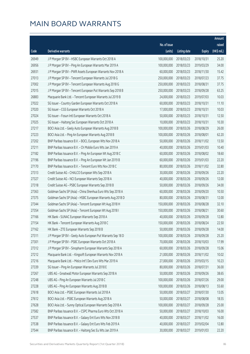|       |                                                              |              |                        |               | Amount      |
|-------|--------------------------------------------------------------|--------------|------------------------|---------------|-------------|
|       |                                                              | No. of issue |                        |               | raised      |
| Code  | Derivative warrants                                          | (units)      | <b>Listing date</b>    | <b>Expiry</b> | (HK\$ mil.) |
| 26949 | J P Morgan SP BV - HSBC European Warrants Oct 2018 A         | 100,000,000  | 2018/03/23             | 2018/10/31    | 25.20       |
| 26956 | J P Morgan SP BV - Ping An European Warrants Mar 2019 A      | 100,000,000  | 2018/03/23             | 2019/03/29    | 34.00       |
| 26931 | J P Morgan SP BV - PWR Assets European Warrants Nov 2018 A   | 60,000,000   | 2018/03/23             | 2018/11/30    | 15.42       |
| 27013 | J P Morgan SP BV - Tencent European Warrants Jul 2018 G      | 250,000,000  | 2018/03/23             | 2018/07/23    | 37.75       |
| 27002 | J P Morgan SP BV - Tencent European Warrants Aug 2018 G      | 250,000,000  | 2018/03/23             | 2018/08/31    | 37.75       |
| 27015 | J P Morgan SP BV - Tencent European Put Warrants Sep 2018 B  | 250,000,000  | 2018/03/23             | 2018/09/28    | 63.25       |
| 26883 | Macquarie Bank Ltd. - Tencent European Warrants Jul 2019 B   | 24,000,000   | 2018/03/23             | 2019/07/03    | 10.03       |
| 27022 | SG Issuer - Country Garden European Warrants Oct 2018 A      | 60,000,000   | 2018/03/23             | 2018/10/31    | 11.10       |
| 27020 | SG Issuer - CGS European Warrants Oct 2018 A                 | 17,000,000   | 2018/03/23             | 2018/10/31    | 10.03       |
| 27024 | SG Issuer - Fosun Intl European Warrants Oct 2018 A          | 50,000,000   | 2018/03/23             | 2018/10/31    | 12.50       |
| 27025 | SG Issuer - Haitong Sec European Warrants Oct 2018 A         | 10,000,000   | 2018/03/23             | 2018/10/31    | 10.30       |
| 27217 | BOCI Asia Ltd. - Geely Auto European Warrants Aug 2018 B     | 100,000,000  | 2018/03/26             | 2018/08/29    | 26.00       |
| 27223 | BOCI Asia Ltd. - Ping An European Warrants Aug 2018 B        | 100,000,000  | 2018/03/26             | 2018/08/01    | 62.20       |
| 27202 | BNP Paribas Issuance B.V. - BOCL European Wts Nov 2018 A     | 50,000,000   | 2018/03/26             | 2018/11/02    | 13.50       |
| 27211 | BNP Paribas Issuance B.V. - Ch Mobile Euro Wts Jan 2019 A    | 40,000,000   | 2018/03/26             | 2019/01/03    | 10.40       |
| 27182 | BNP Paribas Issuance B.V. - Ping An European Wt Aug 2018 C   | 60,000,000   | 2018/03/26             | 2018/08/02    | 18.60       |
| 27196 | BNP Paribas Issuance B.V. - Ping An European Wt Jan 2019 B   | 60,000,000   | 2018/03/26             | 2019/01/03    | 22.20       |
| 27170 | BNP Paribas Issuance B.V. - Tencent Euro Wts Nov 2018 C      | 80,000,000   | 2018/03/26             | 2018/11/02    | 32.80       |
| 27313 | Credit Suisse AG - CHALCO European Wts Sep 2018 A            | 30,000,000   | 2018/03/26             | 2018/09/26    | 22.20       |
| 27327 | Credit Suisse AG - NCI European Warrants Sep 2018 A          | 40,000,000   | 2018/03/26             | 2018/09/26    | 12.00       |
| 27318 | Credit Suisse AG - PSBC European Warrants Sep 2018 B         | 50,000,000   | 2018/03/26             | 2018/09/26    | 34.00       |
| 27363 | Goldman Sachs SP (Asia) - China Shenhua Euro Wts Sep 2018 A  | 60,000,000   | 2018/03/26             | 2018/09/20    | 10.50       |
| 27375 | Goldman Sachs SP (Asia) - HSBC European Warrants Aug 2018 D  | 80,000,000   | 2018/03/26             | 2018/08/31    | 12.00       |
| 27344 | Goldman Sachs SP (Asia) - Tencent European Wt Aug 2018 H     | 150,000,000  | 2018/03/26             | 2018/08/28    | 32.10       |
| 27354 | Goldman Sachs SP (Asia) - Tencent European Wt Aug 2018 I     | 150,000,000  | 2018/03/26             | 2018/08/21    | 30.60       |
| 27166 | HK Bank - SUNAC European Warrants Sep 2018 A                 | 40,000,000   | 2018/03/26             | 2018/09/28    | 12.80       |
| 27154 | HK Bank - Tencent European Warrants Aug 2018 C               |              | 150,000,000 2018/03/26 | 2018/08/24    | 22.50       |
| 27162 | HK Bank - ZTE European Warrants Sep 2018 B                   | 50,000,000   | 2018/03/26             | 2018/09/28    | 14.00       |
| 27311 | J P Morgan SP BV - Geely Auto European Put Warrants Sep 18 D | 100,000,000  | 2018/03/26             | 2018/09/28    | 25.20       |
| 27301 | J P Morgan SP BV - PSBC European Warrants Oct 2018 A         | 70,000,000   | 2018/03/26             | 2018/10/03    | 17.99       |
| 27312 | J P Morgan SP BV - Sinopharm European Warrants Sep 2018 A    | 60,000,000   | 2018/03/26             | 2018/09/28    | 15.06       |
| 27212 | Macquarie Bank Ltd. - Kingsoft European Warrants Nov 2018 A  | 21,000,000   | 2018/03/26             | 2018/11/02    | 10.02       |
| 27216 | Macquarie Bank Ltd. - Melco Int'l Dev Euro Wts Mar 2019 A    | 27,000,000   | 2018/03/26             | 2019/03/15    | 10.23       |
| 27339 | SG Issuer - Ping An European Warrants Jul 2018 E             | 80,000,000   | 2018/03/26             | 2018/07/31    | 36.00       |
| 27267 | UBS AG - Greatwall Motor European Warrants Sep 2018 A        | 50,000,000   | 2018/03/26             | 2018/09/26    | 38.65       |
| 27248 | UBS AG - Ping An European Warrants Jul 2018 C                | 100,000,000  | 2018/03/26             | 2018/07/26    | 29.00       |
| 27228 | UBS AG - Ping An European Warrants Aug 2018 B                | 100,000,000  | 2018/03/26             | 2018/08/13    | 55.60       |
| 27618 | BOCI Asia Ltd. - PSBC European Warrants Jul 2018 A           | 50,000,000   | 2018/03/27             | 2018/07/30    | 13.05       |
| 27612 | BOCI Asia Ltd. - PSBC European Warrants Aug 2018 A           | 50,000,000   | 2018/03/27             | 2018/08/08    | 18.55       |
| 27628 | BOCI Asia Ltd. - Sunny Optical European Warrants Sep 2018 A  | 100,000,000  | 2018/03/27             | 2018/09/28    | 25.00       |
| 27582 | BNP Paribas Issuance B.V. - CSPC Pharma Euro Wts Oct 2018 A  | 50,000,000   | 2018/03/27             | 2018/10/03    | 16.00       |
| 27537 | BNP Paribas Issuance B.V. - Galaxy Ent Euro Wts Nov 2018 B   | 40,000,000   | 2018/03/27             | 2018/11/02    | 16.00       |
| 27538 | BNP Paribas Issuance B.V. - Galaxy Ent Euro Wts Feb 2019 A   | 40,000,000   | 2018/03/27             | 2019/02/04    | 12.80       |
| 27544 | BNP Paribas Issuance B.V. - Haitong Sec Eu Wts Jan 2019 A    | 30,000,000   | 2018/03/27             | 2019/01/03    | 22.20       |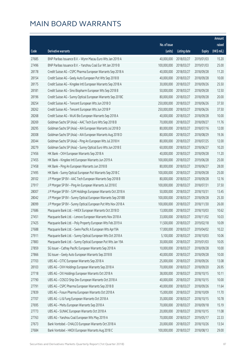|       |                                                              |              |                       |               | Amount      |
|-------|--------------------------------------------------------------|--------------|-----------------------|---------------|-------------|
|       |                                                              | No. of issue |                       |               | raised      |
| Code  | Derivative warrants                                          | (units)      | <b>Listing date</b>   | <b>Expiry</b> | (HK\$ mil.) |
| 27685 | BNP Paribas Issuance B.V. - Wynn Macau Euro Wts Jan 2019 A   | 40,000,000   | 2018/03/27            | 2019/01/03    | 15.20       |
| 27496 | BNP Paribas Issuance B.V. - Yanzhou Coal Eur Wt Jan 2019 B   | 100,000,000  | 2018/03/27            | 2019/01/03    | 25.00       |
| 28178 | Credit Suisse AG - CSPC Pharma European Warrants Sep 2018 A  | 40,000,000   | 2018/03/27            | 2018/09/28    | 11.20       |
| 28154 | Credit Suisse AG - Geely Auto European Put Wts Sep 2018 B    | 40,000,000   | 2018/03/27            | 2018/09/28    | 10.00       |
| 28175 | Credit Suisse AG - Kingdee Intl European Warrants Sep 2018 A | 30,000,000   | 2018/03/27            | 2018/09/26    | 25.50       |
| 28181 | Credit Suisse AG - Sino Biopharm European Wts Sep 2018 B     | 50,000,000   | 2018/03/27            | 2018/09/28    | 12.50       |
| 28196 | Credit Suisse AG - Sunny Optical European Warrants Sep 2018C | 80,000,000   | 2018/03/27            | 2018/09/28    | 20.00       |
| 28254 | Credit Suisse AG - Tencent European Wts Jun 2018 O           | 250,000,000  | 2018/03/27            | 2018/06/26    | 37.50       |
| 28262 | Credit Suisse AG - Tencent European Wts Jun 2018 P           | 250,000,000  | 2018/03/27            | 2018/06/26    | 37.50       |
| 28268 | Credit Suisse AG - WuXi Bio European Warrants Sep 2018 A     | 40,000,000   | 2018/03/27            | 2018/09/28    | 10.00       |
| 28269 | Goldman Sachs SP (Asia) - AAC Tech Euro Wts Sep 2018 B       | 70,000,000   | 2018/03/27            | 2018/09/27    | 11.76       |
| 28295 | Goldman Sachs SP (Asia) - AIA European Warrants Jul 2018 D   | 80,000,000   | 2018/03/27            | 2018/07/16    | 12.00       |
| 28308 | Goldman Sachs SP (Asia) - AIA European Warrants Aug 2018 D   | 80,000,000   | 2018/03/27            | 2018/08/29    | 19.36       |
| 28344 | Goldman Sachs SP (Asia) - Ping An European Wts Jul 2018 H    | 80,000,000   | 2018/03/27            | 2018/07/25    | 12.00       |
| 28279 | Goldman Sachs SP (Asia) - Sunny Optical Euro Wts Jun 2018 E  | 60,000,000   | 2018/03/27            | 2018/06/27    | 10.20       |
| 27456 | HK Bank - CKH European Warrants Sep 2018 A                   | 40,000,000   | 2018/03/27            | 2018/09/28    | 11.20       |
| 27455 | HK Bank - Kingdee Intl European Warrants Jun 2019 A          | 100,000,000  | 2018/03/27            | 2019/06/28    | 25.00       |
| 27458 | HK Bank - Ping An European Warrants Jun 2018 B               | 80,000,000   | 2018/03/27            | 2018/06/27    | 28.00       |
| 27495 | HK Bank - Sunny Optical European Put Warrants Sep 2018 C     | 100,000,000  | 2018/03/27            | 2018/09/28    | 25.00       |
| 28102 | J P Morgan SP BV - AAC Tech European Warrants Sep 2018 B     | 80,000,000   | 2018/03/27            | 2018/09/28    | 12.16       |
| 27917 | J P Morgan SP BV - Ping An European Warrants Jul 2018 E      | 100,000,000  | 2018/03/27            | 2018/07/31    | 37.50       |
| 28007 | J P Morgan SP BV - SJM Holdings European Warrants Oct 2018 A | 50,000,000   | 2018/03/27            | 2018/10/31    | 13.45       |
| 28042 | J P Morgan SP BV - Sunny Optical European Warrants Sep 2018B | 100,000,000  | 2018/03/27            | 2018/09/28    | 25.30       |
| 28099 | J P Morgan SP BV - Sunny Optical European Put Wts Nov 2018 A | 100,000,000  | 2018/03/27            | 2018/11/30    | 26.00       |
| 27686 | Macquarie Bank Ltd. - HKEX European Warrants Oct 2018 D      | 13,000,000   | 2018/03/27            | 2018/10/03    | 10.62       |
| 27451 | Macquarie Bank Ltd. - Lenovo European Warrants Nov 2018 A    | 33,000,000   | 2018/03/27            | 2018/11/02    | 10.03       |
| 27425 | Macquarie Bank Ltd. - Poly Property European Wts Feb 2019 A  |              | 11,500,000 2018/03/27 | 2019/02/18    | 10.09       |
| 27688 | Macquarie Bank Ltd. - Swire Pacific A European Wts Apr19A    | 17,000,000   | 2018/03/27            | 2019/04/02    | 10.22       |
| 27911 | Macquarie Bank Ltd. - Sunny Optical European Wts Oct 2018 A  | 5,100,000    | 2018/03/27            | 2018/10/03    | 10.06       |
| 27883 | Macquarie Bank Ltd. - Sunny Optical European Put Wts Jan 19A | 30,000,000   | 2018/03/27            | 2019/01/03    | 10.05       |
| 27859 | SG Issuer - Cathay Pacific European Warrants Sep 2018 A      | 10,000,000   | 2018/03/27            | 2018/09/28    | 10.00       |
| 27866 | SG Issuer - Geely Auto European Warrants Sep 2018 B          | 40,000,000   | 2018/03/27            | 2018/09/28    | 10.00       |
| 27703 | UBS AG - CITIC European Warrants Sep 2018 A                  | 25,000,000   | 2018/03/27            | 2018/09/26    | 13.08       |
| 28103 | UBS AG - CKH Holdings European Warrants Sep 2018 A           | 70,000,000   | 2018/03/27            | 2018/09/20    | 26.95       |
| 27718 | UBS AG - CKI Holdings European Warrants Oct 2018 A           | 38,000,000   | 2018/03/27            | 2018/10/15    | 10.11       |
| 27790 | UBS AG - COSCO Ship Dev European Warrants Oct 2018 A         | 40,000,000   | 2018/03/27            | 2018/10/15    | 10.00       |
| 27791 | UBS AG - CSPC Pharma European Warrants Sep 2018 B            | 40,000,000   | 2018/03/27            | 2018/09/26    | 11.64       |
| 27839 | UBS AG - Fosun Pharma European Warrants Oct 2018 A           | 15,000,000   | 2018/03/27            | 2018/10/09    | 11.70       |
| 27707 | UBS AG - Li & Fung European Warrants Oct 2018 A              | 35,000,000   | 2018/03/27            | 2018/10/15    | 10.78       |
| 27695 | UBS AG - Meitu European Warrants Sep 2018 A                  | 70,000,000   | 2018/03/27            | 2018/09/18    | 15.19       |
| 27773 | UBS AG - SUNAC European Warrants Oct 2018 A                  | 20,000,000   | 2018/03/27            | 2018/10/15    | 11.08       |
| 27763 | UBS AG - Yanzhou Coal European Wts May 2019 A                | 70,000,000   | 2018/03/27            | 2019/05/17    | 22.33       |
| 27673 | Bank Vontobel - CHALCO European Warrants Oct 2018 A          | 20,000,000   | 2018/03/27            | 2018/10/26    | 13.54       |
| 27684 | Bank Vontobel - HKEX European Warrants Aug 2018 C            | 100,000,000  | 2018/03/27            | 2018/08/13    | 29.00       |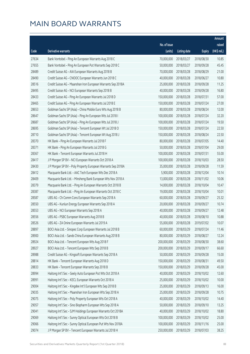|       |                                                              |              |                       |               | Amount      |
|-------|--------------------------------------------------------------|--------------|-----------------------|---------------|-------------|
|       |                                                              | No. of issue |                       |               | raised      |
| Code  | Derivative warrants                                          | (units)      | <b>Listing date</b>   | <b>Expiry</b> | (HK\$ mil.) |
| 27634 | Bank Vontobel - Ping An European Warrants Aug 2018 C         | 70,000,000   | 2018/03/27            | 2018/08/30    | 10.85       |
| 27655 | Bank Vontobel - Ping An European Put Warrants Sep 2018 C     | 50,000,000   | 2018/03/27            | 2018/09/28    | 45.45       |
| 28489 | Credit Suisse AG - AIA European Warrants Aug 2018 B          | 70,000,000   | 2018/03/28            | 2018/08/29    | 21.00       |
| 28490 | Credit Suisse AG - CNOOC European Warrants Jun 2018 C        | 40,000,000   | 2018/03/28            | 2018/06/27    | 10.80       |
| 28516 | Credit Suisse AG - Maanshan Iron European Warrants Sep 2018A | 25,000,000   | 2018/03/28            | 2018/09/28    | 11.25       |
| 28495 | Credit Suisse AG - NCI European Warrants Sep 2018 B          | 40,000,000   | 2018/03/28            | 2018/09/28    | 16.80       |
| 28433 | Credit Suisse AG - Ping An European Warrants Jul 2018 D      | 150,000,000  | 2018/03/28            | 2018/07/31    | 57.00       |
| 28465 | Credit Suisse AG - Ping An European Warrants Jul 2018 E      | 150,000,000  | 2018/03/28            | 2018/07/24    | 27.00       |
| 28653 | Goldman Sachs SP (Asia) - China Mobile Euro Wts Aug 2018 B   | 80,000,000   | 2018/03/28            | 2018/08/24    | 12.00       |
| 28647 | Goldman Sachs SP (Asia) - Ping An European Wts Jul 2018 I    | 100,000,000  | 2018/03/28            | 2018/07/24    | 32.20       |
| 28687 | Goldman Sachs SP (Asia) - Ping An European Wts Jul 2018 J    | 100,000,000  | 2018/03/28            | 2018/07/24    | 19.50       |
| 28695 | Goldman Sachs SP (Asia) - Tencent European Wt Jul 2018 O     | 150,000,000  | 2018/03/28            | 2018/07/24    | 22.50       |
| 28710 | Goldman Sachs SP (Asia) - Tencent European Wt Aug 2018 J     | 150,000,000  | 2018/03/28            | 2018/08/24    | 22.50       |
| 28370 | HK Bank - Ping An European Warrants Jul 2018 F               | 80,000,000   | 2018/03/28            | 2018/07/05    | 14.40       |
| 28371 | HK Bank - Ping An European Warrants Jul 2018 G               | 50,000,000   | 2018/03/28            | 2018/07/04    | 29.00       |
| 28367 | HK Bank - Tencent European Warrants Jul 2018 H               | 100,000,000  | 2018/03/28            | 2018/07/31    | 55.00       |
| 28417 | J P Morgan SP BV - NCI European Warrants Oct 2018 A          | 100,000,000  | 2018/03/28            | 2018/10/03    | 28.50       |
| 28430 | J P Morgan SP BV - Poly Property European Warrants Sep 2018A | 35,000,000   | 2018/03/28            | 2018/09/28    | 11.59       |
| 28412 | Macquarie Bank Ltd. - AAC Tech European Wts Dec 2018 A       | 5,900,000    | 2018/03/28            | 2018/12/04    | 10.14       |
| 28409 | Macquarie Bank Ltd. - Minsheng Bank European Wts Nov 2018 A  | 13,000,000   | 2018/03/28            | 2018/11/02    | 10.06       |
| 28379 | Macquarie Bank Ltd. - Ping An European Warrants Oct 2018 B   | 14,000,000   | 2018/03/28            | 2018/10/04    | 10.47       |
| 28387 | Macquarie Bank Ltd. - Ping An European Warrants Oct 2018 C   | 19,000,000   | 2018/03/28            | 2018/10/04    | 10.01       |
| 28587 | UBS AG - Ch Comm Cons European Warrants Sep 2018 A           | 60,000,000   | 2018/03/28            | 2018/09/27    | 25.32       |
| 28550 | UBS AG - Kunlun Energy European Warrants Sep 2018 A          | 20,000,000   | 2018/03/28            | 2018/09/27    | 10.74       |
| 28553 | UBS AG - NCI European Warrants Sep 2018 A                    | 40,000,000   | 2018/03/28            | 2018/09/27    | 12.48       |
| 28556 | UBS AG - PSBC European Warrants Aug 2018 B                   | 40,000,000   | 2018/03/28            | 2018/08/10    | 10.88       |
| 28526 | UBS AG - ZA Onine European Warrants Jul 2019 A               |              | 55,000,000 2018/03/28 | 2019/07/02    | 10.07       |
| 28897 | BOCI Asia Ltd. - Sinopec Corp European Warrants Jul 2018 B   | 60,000,000   | 2018/03/29            | 2018/07/24    | 11.46       |
| 28900 | BOCI Asia Ltd. - Sands China European Warrants Aug 2018 B    | 80,000,000   | 2018/03/29            | 2018/08/27    | 12.24       |
| 28924 | BOCI Asia Ltd. - Tencent European Wts Aug 2018 F             | 200,000,000  | 2018/03/29            | 2018/08/30    | 38.60       |
| 28927 | BOCI Asia Ltd. - Tencent European Wts Sep 2018 B             | 200,000,000  | 2018/03/29            | 2018/09/17    | 66.60       |
| 28988 | Credit Suisse AG - Kingsoft European Warrants Sep 2018 A     | 50,000,000   | 2018/03/29            | 2018/09/28    | 15.00       |
| 28814 | HK Bank - Tencent European Warrants Aug 2018 D               | 150,000,000  | 2018/03/29            | 2018/08/31    | 49.50       |
| 28833 | HK Bank - Tencent European Warrants Sep 2018 B               | 150,000,000  | 2018/03/29            | 2018/09/28    | 45.00       |
| 28994 | Haitong Int'l Sec - Geely Auto European Put Wts Oct 2018 A   | 40,000,000   | 2018/03/29            | 2018/10/02    | 12.60       |
| 28991 | Haitong Int'l Sec - KECL European Warrants Oct 2018 A        | 25,000,000   | 2018/03/29            | 2018/10/02    | 10.00       |
| 29004 | Haitong Int'l Sec - Kingdee Int'l European Wts Sep 2018 B    | 25,000,000   | 2018/03/29            | 2018/09/13    | 16.00       |
| 29035 | Haitong Int'l Sec - Maanshan Iron European Wts Sep 2018 A    | 25,000,000   | 2018/03/29            | 2018/09/28    | 10.75       |
| 29075 | Haitong Int'l Sec - Poly Property European Wts Oct 2018 A    | 40,000,000   | 2018/03/29            | 2018/10/02    | 14.40       |
| 29057 | Haitong Int'l Sec - Sino Biopharm European Wts Sep 2018 A    | 50,000,000   | 2018/03/29            | 2018/09/10    | 13.25       |
| 29041 | Haitong Int'l Sec - SJM Holdings European Warrants Oct 2018A | 40,000,000   | 2018/03/29            | 2018/10/02    | 18.80       |
| 29069 | Haitong Int'l Sec - Sunny Optical European Wts Oct 2018 B    | 100,000,000  | 2018/03/29            | 2018/10/02    | 25.00       |
| 29066 | Haitong Int'l Sec - Sunny Optical European Put Wts Nov 2018A | 100,000,000  | 2018/03/29            | 2018/11/16    | 25.00       |
| 29074 | J P Morgan SP BV - Tencent European Warrants Jul 2018 H      | 250,000,000  | 2018/03/29            | 2018/07/03    | 38.25       |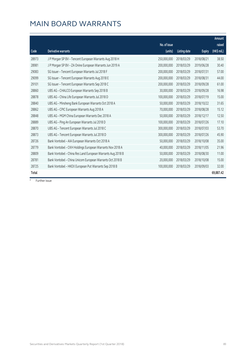|       |                                                             | No. of issue |                     |               | Amount<br>raised |
|-------|-------------------------------------------------------------|--------------|---------------------|---------------|------------------|
| Code  | Derivative warrants                                         | (units)      | <b>Listing date</b> | <b>Expiry</b> | (HK\$ mil.)      |
| 28973 | J P Morgan SP BV - Tencent European Warrants Aug 2018 H     | 250,000,000  | 2018/03/29          | 2018/08/21    | 38.50            |
| 28981 | J P Morgan SP BV - ZA Onine European Warrants Jun 2019 A    | 200,000,000  | 2018/03/29          | 2019/06/28    | 30.40            |
| 29083 | SG Issuer - Tencent European Warrants Jul 2018 F            | 200,000,000  | 2018/03/29          | 2018/07/31    | 57.00            |
| 29099 | SG Issuer - Tencent European Warrants Aug 2018 E            | 200,000,000  | 2018/03/29          | 2018/08/31    | 44.00            |
| 29101 | SG Issuer - Tencent European Warrants Sep 2018 C            | 200,000,000  | 2018/03/29          | 2018/09/28    | 61.00            |
| 28860 | UBS AG - CHALCO European Warrants Sep 2018 B                | 30,000,000   | 2018/03/29          | 2018/09/28    | 16.98            |
| 28878 | UBS AG - China Life European Warrants Jul 2018 D            | 100,000,000  | 2018/03/29          | 2018/07/19    | 15.00            |
| 28840 | UBS AG - Minsheng Bank European Warrants Oct 2018 A         | 50,000,000   | 2018/03/29          | 2018/10/22    | 31.65            |
| 28862 | UBS AG - CPIC European Warrants Aug 2018 A                  | 70,000,000   | 2018/03/29          | 2018/08/28    | 15.12            |
| 28848 | UBS AG - MGM China European Warrants Dec 2018 A             | 50,000,000   | 2018/03/29          | 2018/12/17    | 12.50            |
| 28889 | UBS AG - Ping An European Warrants Jul 2018 D               | 100,000,000  | 2018/03/29          | 2018/07/26    | 17.10            |
| 28870 | UBS AG - Tencent European Warrants Jul 2018 C               | 300,000,000  | 2018/03/29          | 2018/07/03    | 53.70            |
| 28873 | UBS AG - Tencent European Warrants Jul 2018 D               | 300,000,000  | 2018/03/29          | 2018/07/26    | 45.90            |
| 28726 | Bank Vontobel - AIA European Warrants Oct 2018 A            | 50,000,000   | 2018/03/29          | 2018/10/08    | 35.00            |
| 28779 | Bank Vontobel - CKH Holdings European Warrants Nov 2018 A   | 40,000,000   | 2018/03/29          | 2018/11/05    | 21.96            |
| 28809 | Bank Vontobel - China Res Land European Warrants Aug 2018 B | 50,000,000   | 2018/03/29          | 2018/08/30    | 11.00            |
| 28781 | Bank Vontobel - China Unicom European Warrants Oct 2018 B   | 20,000,000   | 2018/03/29          | 2018/10/08    | 15.00            |
| 28725 | Bank Vontobel - HKEX European Put Warrants Sep 2018 B       | 100,000,000  | 2018/03/29          | 2018/09/03    | 32.00            |
| Total |                                                             |              |                     |               | 69,887.42        |

# Further issue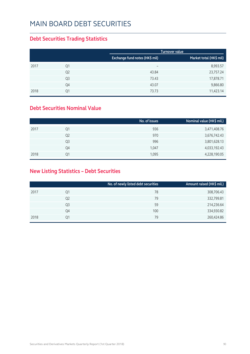#### MAIN BOARD DEBT SECURITIES

#### **Debt Securities Trading Statistics**

|      |                |                                | <b>Turnover value</b>   |
|------|----------------|--------------------------------|-------------------------|
|      |                | Exchange fund notes (HK\$ mil) | Market total (HK\$ mil) |
| 2017 | Q1             | $\overline{\phantom{0}}$       | 8,993.57                |
|      | Q <sub>2</sub> | 43.84                          | 23,757.24               |
|      | Q <sub>3</sub> | 73.43                          | 17,878.71               |
|      | Q4             | 43.07                          | 9,866.80                |
| 2018 | Q1             | 73.73                          | 11,423.14               |

#### **Debt Securities Nominal Value**

|                | No. of issues | Nominal value (HK\$ mil.) |
|----------------|---------------|---------------------------|
| Q1             | 936           | 3,471,408.76              |
| Q <sub>2</sub> | 970           | 3,676,742.43              |
| Q <sub>3</sub> | 996           | 3,801,628.13              |
| Q4             | 1,047         | 4,033,192.43              |
| Ο1             | 1,095         | 4,228,190.05              |
|                |               |                           |

#### **New Listing Statistics – Debt Securities**

|      |    | No. of newly listed debt securities | Amount raised (HK\$ mil.) |
|------|----|-------------------------------------|---------------------------|
| 2017 | Q1 | 78                                  | 308,706.43                |
|      | Q2 | 79                                  | 332,799.81                |
|      | Q3 | 59                                  | 214,236.64                |
|      | Q4 | 100                                 | 334,930.82                |
| 2018 | Q1 | 79                                  | 260,424.86                |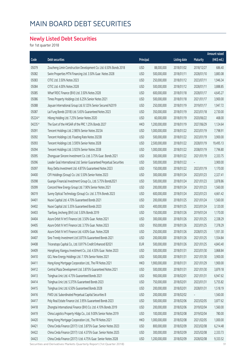## MAIN BOARD DEBT SECURITIES

#### **Newly Listed Debt Securities**

for 1st quarter 2018

|         |                                                                       |            |               |                     |                 | Amount raised |
|---------|-----------------------------------------------------------------------|------------|---------------|---------------------|-----------------|---------------|
| Code    | Debt securities                                                       | Principal  |               | <b>Listing date</b> | <b>Maturity</b> | (HK\$ mil.)   |
| 05079   | Zoucheng Limin Construction Development Co. Ltd. 6.50% Bonds 2018     | <b>USD</b> | 88,000,000    | 2018/01/02          | 2018/12/27      | 686.40        |
| 05082   | Swire Properties MTN Financing Ltd. 3.50% Guar. Notes 2028            | <b>USD</b> | 500,000,000   | 2018/01/11          | 2028/01/10      | 3,883.08      |
| 05083   | CITIC Ltd. 3.50% Notes 2023                                           | <b>USD</b> | 250,000,000   | 2018/01/12          | 2023/07/11      | 1,946.34      |
| 05084   | CITIC Ltd. 4.00% Notes 2028                                           | <b>USD</b> | 500,000,000   | 2018/01/12          | 2028/01/11      | 3,888.85      |
| 05085   | Wharf REIC Finance (BVI) Ltd. 3.50% Notes 2028                        | <b>USD</b> | 600,000,000   | 2018/01/18          | 2028/01/17      | 4,645.27      |
| 05086   | Times Property Holdings Ltd. 6.25% Senior Notes 2021                  | <b>USD</b> | 500,000,000   | 2018/01/18          | 2021/01/17      | 3,900.00      |
| 05088   | Jiayuan International Group Ltd. 8.125% Senior Secured N2019          | <b>USD</b> | 250,000,000   | 2018/01/19          | 2019/01/17      | 1,947.72      |
| 05087   | Lai Fung Bonds (2018) Ltd. 5.65% Guaranteed Notes 2023                | <b>USD</b> | 350,000,000   | 2018/01/19          | 2023/01/18      | 2,730.00      |
| 05224 # | Hilong Holding Ltd. 7.25% Senior Notes 2020                           | <b>USD</b> | 60,000,000    | 2018/01/19          | 2020/06/22      | 468.00        |
| 04235 # | The Govt of the HKSAR of the PRC 1.25% Bonds 2027                     | <b>HKD</b> | 1,200,000,000 | 2018/01/19          | 2027/06/29      | 1,124.64      |
| 05091   | Tencent Holdings Ltd. 2.985% Senior Notes 2023A                       | <b>USD</b> | 1,000,000,000 | 2018/01/22          | 2023/01/19      | 7,798.91      |
| 05092   | Tencent Holdings Ltd. Floating Rate Notes 2023B                       | <b>USD</b> | 500,000,000   | 2018/01/22          | 2023/01/19      | 3,900.00      |
| 05093   | Tencent Holdings Ltd. 3.595% Senior Notes 2028                        | <b>USD</b> | 2,500,000,000 | 2018/01/22          | 2028/01/19      | 19,495.13     |
| 05094   | Tencent Holdings Ltd. 3.925% Senior Notes 2038                        | <b>USD</b> | 1,000,000,000 | 2018/01/22          | 2038/01/19      | 7,796.80      |
| 05095   | Zhongyuan Sincere Investment Co. Ltd. 3.75% Guar. Bonds 2021          | <b>USD</b> | 300,000,000   | 2018/01/22          | 2021/01/19      | 2,333.75      |
| 05096   | Leader Goal International Ltd. Senior Guaranteed Perpetual Securities | <b>USD</b> | 500,000,000   | 2018/01/22          |                 | 3,900.00      |
| 05097   | Rosy Delta Investment Ltd. 4.875% Guaranteed Notes 2023               | <b>USD</b> | 150,000,000   | 2018/01/22          | 2023/01/19      | 1,170.00      |
| 04400   | CIFI Holdings (Group) Co. Ltd. 5.50% Senior Notes 2023                | <b>USD</b> | 300,000,000   | 2018/01/24          | 2023/01/23      | 2,327.41      |
| 05098   | Guangxi Financial Investment Group Co., Ltd. 5.75% Bonds2021          | <b>USD</b> | 500,000,000   | 2018/01/24          | 2021/01/23      | 3,878.86      |
| 05099   | Concord New Energy Group Ltd. 7.90% Senior Notes 2021                 | <b>USD</b> | 200,000,000   | 2018/01/24          | 2021/01/23      | 1,560.00      |
| 06019   | Sunny Optical Technology (Group) Co. Ltd. 3.75% Bonds 2023            | <b>USD</b> | 600,000,000   | 2018/01/24          | 2023/01/23      | 4,661.42      |
| 04401   | Nuoxi Capital Ltd. 4.70% Guaranteed Bonds 2021                        | <b>USD</b> | 200,000,000   | 2018/01/25          | 2021/01/24      | 1,560.00      |
| 04402   | Nuoxi Capital Ltd. 5.35% Guaranteed Bonds 2023                        | <b>USD</b> | 400,000,000   | 2018/01/25          | 2023/01/24      | 3,120.00      |
| 04403   | Tianfang Jincheng (BVI) Ltd. 5.50% Bonds 2019                         | <b>USD</b> | 150,000,000   | 2018/01/26          | 2019/01/24      | 1,170.00      |
| 04404   | Azure Orbit IV Int'l Finance Ltd. 3.50% Guar, Notes 2021              | <b>USD</b> | 300,000,000   | 2018/01/26          | 2021/01/25      | 2,338.29      |
| 04405   | Azure Orbit IV Int'l Finance Ltd. 3.75% Guar. Notes 2023              | <b>USD</b> | 950,000,000   | 2018/01/26          | 2023/01/25      | 7,378.29      |
| 04406   | Azure Orbit IV Int'l Finance Ltd. 4.00% Guar. Notes 2028              | <b>USD</b> | 250,000,000   | 2018/01/26          | 2028/01/25      | 1,931.30      |
| 04407   | Sino Trendy Investment Ltd 3.875% Guaranteed Bonds 2021               | <b>USD</b> | 200,000,000   | 2018/01/26          | 2021/01/25      | 1,554.84      |
| 04408   | Triceratops Capital Co., Ltd. 0.817% Credit Enhanced B2021            | <b>EUR</b> | 500,000,000   | 2018/01/26          | 2021/01/25      | 4,843.40      |
| 04409   | HongKong Xiangyu Investment Co., Ltd. 4.50% Guar. Notes 2023          | <b>USD</b> | 500,000,000   | 2018/01/31          | 2023/01/30      | 3,868.84      |
| 04410   | GCL New Energy Holdings Ltd. 7.10% Senior Notes 2021                  | <b>USD</b> | 500,000,000   | 2018/01/31          | 2021/01/30      | 3,900.00      |
| 04411   | Hong Kong Mortgage Corporation Ltd., The FR Notes 2021                | <b>HKD</b> | 1,900,000,000 | 2018/01/31          | 2021/01/29      | 1,900.00      |
| 04412   | Central Plaza Development Ltd. 3.875% Guaranteed Notes 2021           | <b>USD</b> | 500,000,000   | 2018/01/31          | 2021/01/30      | 3,879.18      |
| 04413   | Tsinghua Unic Ltd. 4.75% Guaranteed Bonds 2021                        | <b>USD</b> | 900,000,000   | 2018/02/01          | 2021/01/31      | 6,947.62      |
| 04414   | Tsinghua Unic Ltd. 5.375% Guaranteed Bonds 2023                       | <b>USD</b> | 750,000,000   | 2018/02/01          | 2023/01/31      | 5,755.82      |
| 04415   | Tsinghua Unic Ltd. 6.50% Guaranteed Bonds 2028                        | <b>USD</b> | 200,000,000   | 2018/02/01          | 2028/01/31      | 1,518.19      |
| 04416   | FWD Ltd. Subordinated Perpetual Capital Securities B                  | <b>USD</b> | 200,000,000   | 2018/02/02          |                 | 1,560.00      |
| 04417   | Poly Real Estate Finance Ltd. 3.95% Guaranteed Bonds 2023             | <b>USD</b> | 500,000,000   | 2018/02/06          | 2023/02/05      | 3,877.62      |
| 04418   | Zhongtai International Finance (BVI) Co. Ltd. 4.10% Bonds 2019        | <b>USD</b> | 200,000,000   | 2018/02/06          | 2019/02/04      | 1,560.00      |
| 04419   | China Logistics Property Hldgs Co., Ltd. 9.00% Senior Notes 2019      | <b>USD</b> | 100,000,000   | 2018/02/08          | 2019/02/04      | 780.00        |
| 04420   | Hong Kong Mortgage Corporation Ltd., The FR Notes 2021                | <b>HKD</b> | 1,000,000,000 | 2018/02/08          | 2021/02/05      | 1,000.00      |
| 04421   | China Cinda Finance (2017) I Ltd. 3.875% Guar. Senior Notes 2023      | <b>USD</b> | 800,000,000   | 2018/02/09          | 2023/02/08      | 6,214.48      |
| 04422   | China Cinda Finance (2017) I Ltd. 4.375% Guar. Senior Notes 2025      | <b>USD</b> | 300,000,000   | 2018/02/09          | 2025/02/08      | 2,333.73      |
| 04423   | China Cinda Finance (2017) I Ltd. 4.75% Guar. Senior Notes 2028       | <b>USD</b> | 1,200,000,000 | 2018/02/09          | 2028/02/08      | 9,333.52      |

Securities and Derivatives Markets Quarterly Report (1st Quarter 2018) 81 and 2018 91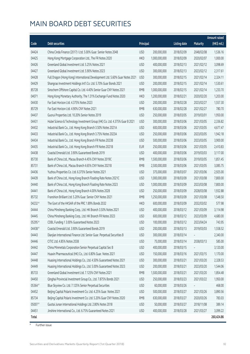## MAIN BOARD DEBT SECURITIES

|              |                                                                              |            |               |                     |            | <b>Amount raised</b> |
|--------------|------------------------------------------------------------------------------|------------|---------------|---------------------|------------|----------------------|
| Code         | Debt securities                                                              | Principal  |               | <b>Listing date</b> | Maturity   | (HK\$ mil.)          |
| 04424        | China Cinda Finance (2017) I Ltd. 5.00% Guar. Senior Notes 2048              | <b>USD</b> | 200,000,000   | 2018/02/09          | 2048/02/08 | 1,536.16             |
| 04425        | Hong Kong Mortgage Corporation Ltd., The FR Notes 2020                       | <b>HKD</b> | 1,000,000,000 | 2018/02/09          | 2020/02/07 | 1,000.00             |
| 04426        | Greenland Global Investment Ltd. 5.25% Notes 2021                            | <b>USD</b> | 400,000,000   | 2018/02/13          | 2021/02/12 | 3,098.69             |
| 04427        | Greenland Global Investment Ltd. 5.90% Notes 2023                            | <b>USD</b> | 300,000,000   | 2018/02/13          | 2023/02/12 | 2,317.61             |
| 04428        | Full Dragon (Hong Kong) International Development Ltd. 5.60% Guar Notes 2021 | <b>USD</b> | 300,000,000   | 2018/02/15          | 2021/02/14 | 2,324.11             |
| 04429        | Shangrao Investment Holdings Int'l Co. Ltd. 5.70% Guar Bonds 2021            | <b>USD</b> | 200,000,000   | 2018/02/15          | 2021/02/14 | 1,530.61             |
| 85728        | Sinochem Offshore Capital Co. Ltd. 4.40% Senior Guar CNY Notes 2021          | <b>RMB</b> | 1,000,000,000 | 2018/02/15          | 2021/02/14 | 1,233.70             |
| 04071        | Hong Kong Monetary Authority, The 1.31% Exchange Fund Notes 2020             | <b>HKD</b> | 1,200,000,000 | 2018/02/21          | 2020/02/20 | 1,203.00             |
| 04430        | Far East Horizon Ltd. 4.375% Notes 2023                                      | <b>USD</b> | 200,000,000   | 2018/02/28          | 2023/02/27 | 1,557.30             |
| 85729        | Far East Horizon Ltd. 4.90% CNY Notes 2021                                   | <b>RMB</b> | 630,000,000   | 2018/02/28          | 2021/02/27 | 780.70               |
| 04437        | Guorui Properties Ltd. 10.20% Senior Notes 2019                              | <b>USD</b> | 250,000,000   | 2018/03/05          | 2019/03/01 | 1,950.00             |
| 04431        | Hubei Science & Technology Investment Group (HK) Co. Ltd. 4.375% Guar B 2021 | <b>USD</b> | 300,000,000   | 2018/03/06          | 2021/03/05 | 2,336.82             |
| 04432        | Industrial Bank Co., Ltd. Hong Kong Branch 3.50% Notes 2021A                 | <b>USD</b> | 600,000,000   | 2018/03/06          | 2021/03/05 | 4,677.47             |
| 04433        | Industrial Bank Co., Ltd. Hong Kong Branch 3.75% Notes 2023A                 | <b>USD</b> | 250,000,000   | 2018/03/06          | 2023/03/05 | 1,942.18             |
| 04434        | Industrial Bank Co., Ltd. Hong Kong Branch FR Notes 2023B                    | <b>USD</b> | 500,000,000   | 2018/03/06          | 2023/03/05 | 3,900.00             |
| 04435        | Industrial Bank Co., Ltd. Hong Kong Branch FR Notes 2021B                    | <b>EUR</b> | 250,000,000   | 2018/03/06          | 2021/03/05 | 2,410.83             |
| 04438        | Coastal Emerald Ltd. 3.90% Guaranteed Bonds 2019                             | <b>USD</b> | 400,000,000   | 2018/03/06          | 2019/03/03 | 3,117.00             |
| 85730        | Bank of China Ltd., Macau Branch 4.45% CNY Notes 2019C                       | <b>RMB</b> | 1,500,000,000 | 2018/03/06          | 2019/03/05 | 1,851.45             |
| 85731        | Bank of China Ltd., Macau Branch 4.65% CNY Notes 2021B                       | <b>RMB</b> | 2,500,000,000 | 2018/03/06          | 2021/03/05 | 3,085.75             |
| 04436        | Yuzhou Properties Co. Ltd. 6.375% Senior Notes 2021                          | <b>USD</b> | 375,000,000   | 2018/03/07          | 2021/03/06 | 2,925.00             |
| 04439        | Bank of China Ltd., Hong Kong Branch Floating Rate Notes 2021C               | <b>USD</b> | 1,000,000,000 | 2018/03/09          | 2021/03/08 | 7,800.00             |
| 04440        | Bank of China Ltd., Hong Kong Branch Floating Rate Notes 2023                | <b>USD</b> | 1,000,000,000 | 2018/03/09          | 2023/03/08 | 7,800.00             |
| 04441        | Bank of China Ltd., Hong Kong Branch 4.00% Notes 2028                        | <b>USD</b> | 250,000,000   | 2018/03/09          | 2028/03/08 | 1,932.88             |
| 85732        | Franshion Brilliant Ltd. 5.20% Guar. Senior CNY Notes 2021                   | <b>RMB</b> | 1,250,000,000 | 2018/03/09          | 2021/03/08 | 1,548.50             |
| 04232 #      | The Govt of the HKSAR of the PRC 1.89% Bonds 2032                            | <b>HKD</b> | 600,000,000   | 2018/03/09          | 2032/03/02 | 577.98               |
| 04444        | China Minsheng Banking Corp., Ltd. HK Branch 3.50% Notes 2021                | <b>USD</b> | 400,000,000   | 2018/03/12          | 2021/03/09 | 3,114.98             |
| 04445        | China Minsheng Banking Corp., Ltd. HK Branch FR Notes 2023                   | <b>USD</b> | 600,000,000   | 2018/03/12          | 2023/03/09 | 4,680.00             |
| 05295 #      | CDBL Funding 1 3.00% Guaranteed Notes 2023                                   | <b>USD</b> | 100,000,000   | 2018/03/12          | 2023/04/24 | 743.95               |
| 04438#       | Coastal Emerald Ltd. 3.90% Guaranteed Bonds 2019                             | USD        | 200,000,000   | 2018/03/13          | 2019/03/03 | 1,558.52             |
| 04443        | Dianjian International Finance Ltd. Senior Guar. Perpetual Securities B      | <b>USD</b> | 300,000,000   | 2018/03/14          |            | 2,340.00             |
| 04446        | CITIC Ltd. 4.85% Notes 2038                                                  | <b>USD</b> | 75,000,000    | 2018/03/14          | 2038/03/13 | 585.00               |
| 04442        | China Minmetals Corporation Senior Perpetual Capital Sec B                   | <b>USD</b> | 400,000,000   | 2018/03/15          |            | 3,120.00             |
| 04447        | Huaxin Pharmaceutical (HK) Co., Ltd. 6.80% Guar. Notes 2021                  | <b>USD</b> | 150,000,000   | 2018/03/16          | 2021/03/15 | 1,170.00             |
| 04448        | Huasing International Holdings Co., Ltd. 4.50% Guaranteed Notes 2021         | <b>USD</b> | 300,000,000   | 2018/03/21          | 2021/03/20 | 2,328.53             |
| 04449        | Huasing International Holdings Co., Ltd. 5.00% Guaranteed Notes 2023         | <b>USD</b> | 200,000,000   | 2018/03/21          | 2023/03/20 | 1,544.06             |
| 85733        | Greenland Global Investment Ltd. 7.125% CNY Notes 2021                       | <b>RMB</b> | 1,500,000,000 | 2018/03/21          | 2021/03/20 | 1,854.48             |
| 04450        | Qinghai Provincial Investment Group Co., Ltd. 7.875% Bonds 2021              | <b>USD</b> | 250,000,000   | 2018/03/23          | 2021/03/22 | 1,950.00             |
| 05364 #      | Blue Skyview Co. Ltd. 7.125% Senior Perpetual Securities                     | <b>USD</b> | 60,000,000    | 2018/03/26          |            | 468.00               |
| 04452        | Beijing Capital Polaris Investment Co. Ltd. 4.25% Guar. Notes 2021           | <b>USD</b> | 500,000,000   | 2018/03/27          | 2021/03/26 | 3,890.56             |
| 85734        | Beijing Capital Polaris Investment Co. Ltd. 5.20% Guar CNY Notes 2020        | <b>RMB</b> | 630,000,000   | 2018/03/27          | 2020/03/26 | 783.03               |
| 05007#       | Guotai Junan International Holdings Ltd. 2.80% Notes 2018                    | <b>USD</b> | 50,000,000    | 2018/03/27          | 2018/11/08 | 389.14               |
| 04451        | Jinshine International Co., Ltd. 6.75% Guaranteed Notes 2021                 | <b>USD</b> | 400,000,000   | 2018/03/28          | 2021/03/27 | 3,099.22             |
| <b>Total</b> |                                                                              |            |               |                     |            | 260,424.86           |

# Further issue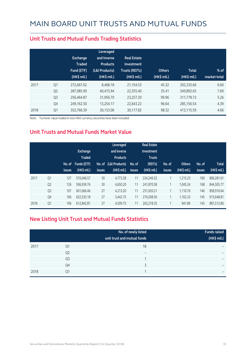|      |                | Exchange<br><b>Traded</b><br>Fund (ETF)<br>$(HK\$ mil.) | Leveraged<br>and Inverse<br><b>Products</b><br>(L&I Products)<br>(HK\$ mil.) | <b>Real Estate</b><br>Investment<br><b>Trusts (REITs)</b><br>(HK\$ mil.) | <b>Others</b><br>(HK\$ mil.) | <b>Total</b><br>(HK\$ mil.) | $%$ of<br>market total |
|------|----------------|---------------------------------------------------------|------------------------------------------------------------------------------|--------------------------------------------------------------------------|------------------------------|-----------------------------|------------------------|
| 2017 | Q1             | 272,667.62                                              | 8.468.18                                                                     | 21,154.53                                                                | 45.32                        | 302,335.66                  | 6.60                   |
|      | Q <sub>2</sub> | 287,085.90                                              | 40.415.94                                                                    | 22,355.40                                                                | 35.41                        | 349,892.65                  | 7.69                   |
|      | Q <sub>3</sub> | 256,464.87                                              | 31,956.70                                                                    | 23,257.20                                                                | 99.96                        | 311,778.73                  | 5.26                   |
|      | Q4             | 249,162.50                                              | 13,254.17                                                                    | 22,643.22                                                                | 96.64                        | 285,156.54                  | 4.39                   |
| 2018 | Q1             | 352.766.39                                              | 30.133.06                                                                    | 30,117.82                                                                | 98.32                        | 413.115.59                  | 4.66                   |

#### **Unit Trusts and Mutual Funds Trading Statistics**

Note: Turnover value traded in non-HKD currency securities have been included

#### **Unit Trusts and Mutual Funds Market Value**

|      |                | No. of<br><i>issues</i> | Exchange<br><b>Traded</b><br>Funds (ETF)<br>(HK\$ mil.) | <b>issues</b> | Leveraged<br>and Inverse<br><b>Products</b><br>No. of (L&I Products)<br>$(HK\$ mil.) | No. of<br><b>issues</b> | <b>Real Estate</b><br>Investment<br><b>Trusts</b><br>(REITs)<br>$(HK$$ mil.) | No. of<br><b>issues</b> | <b>Others</b><br>(HK\$ mil.) | No. of<br>issues | <b>Total</b><br>(HK\$ mil.) |
|------|----------------|-------------------------|---------------------------------------------------------|---------------|--------------------------------------------------------------------------------------|-------------------------|------------------------------------------------------------------------------|-------------------------|------------------------------|------------------|-----------------------------|
| 2017 | Q <sub>1</sub> | 127                     | 576,046.57                                              | 30            | 4.773.28                                                                             | 11                      | 224,246.52                                                                   | 1                       | 1.215.23                     | 169              | 806.281.61                  |
|      | Q <sub>2</sub> | 126                     | 596,939.76                                              | 30            | 4,650.20                                                                             | 11                      | 241,870.58                                                                   |                         | 1.045.24                     | 168              | 844,505.77                  |
|      | Q <sub>3</sub> | 107                     | 601,666.46                                              | 27            | 4.213.20                                                                             | 11                      | 251,920.21                                                                   | 1                       | 1,110.76                     | 146              | 858.910.64                  |
|      | Q4             | 106                     | 632,535.18                                              | 27            | 3,442.75                                                                             | 11                      | 276,508.56                                                                   | $\overline{ }$          | 1,162.33                     | 145              | 913,648.81                  |
| 2018 | Q1             | 106                     | 612,842.81                                              | 27            | 4,509.75                                                                             | 11                      | 263,218.35                                                                   | $\overline{ }$          | 941.89                       | 145              | 881,512.80                  |

#### **New Listing Unit Trust and Mutual Funds Statistics**

|      |                | No. of newly listed<br>unit trust and mutual funds | <b>Funds raised</b><br>(HK\$ mil.) |
|------|----------------|----------------------------------------------------|------------------------------------|
| 2017 | Q1             | 18                                                 | -                                  |
|      | Q <sub>2</sub> | $\overline{\phantom{0}}$                           | $\overline{\phantom{0}}$           |
|      | Q <sub>3</sub> |                                                    | -                                  |
|      | Q4             | ς                                                  | $\overline{\phantom{0}}$           |
| 2018 | Q1             |                                                    | $\overline{\phantom{0}}$           |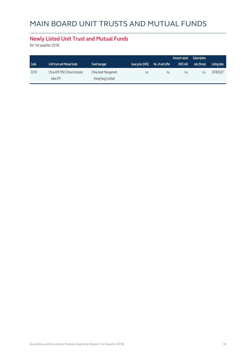# MAIN BOARD UNIT TRUSTS AND MUTUAL FUNDS

#### **Newly Listed Unit Trust and Mutual Funds**

for 1st quarter 2018

|       |                                               |                                               |                    |                   | Amount raised | Subscription |              |
|-------|-----------------------------------------------|-----------------------------------------------|--------------------|-------------------|---------------|--------------|--------------|
| Code  | Unit trust and Mutual funds                   | <b>Fund manager</b>                           | Issue price (HK\$) | No. of unit offer | (HK\$ mil)    | rate (times) | Listing date |
| 03197 | China AMC MSCI China A Inclusion<br>Index ETF | China Asset Management<br>(Hong Kong) Limited | n.a.               | n.a.              | n.a.          | n.a.         | 2018/02/07   |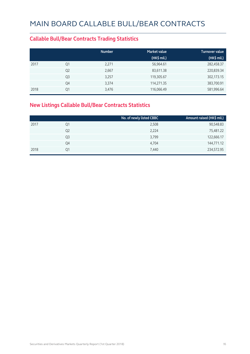#### **Callable Bull/Bear Contracts Trading Statistics**

|      |                | <b>Number</b> | <b>Market value</b> | <b>Turnover value</b> |
|------|----------------|---------------|---------------------|-----------------------|
|      |                |               | (HK\$ mil.)         | (HK\$ mil.)           |
| 2017 | Q1             | 2,271         | 56,964.61           | 282,458.37            |
|      | Q <sub>2</sub> | 2,667         | 83,611.38           | 220,839.34            |
|      | Q <sub>3</sub> | 3,257         | 119,305.67          | 302,173.15            |
|      | Q4             | 3,374         | 114,271.35          | 383,700.91            |
| 2018 | Q1             | 3,476         | 116,066.49          | 581,996.64            |

#### **New Listings Callable Bull/Bear Contracts Statistics**

|      |                | No. of newly listed CBBC | Amount raised (HK\$ mil.) |
|------|----------------|--------------------------|---------------------------|
| 2017 | Q1             | 2,508                    | 90,548.83                 |
|      | Q <sub>2</sub> | 2,224                    | 75,481.22                 |
|      | Q3             | 3,799                    | 122,666.17                |
|      | Q4             | 4,704                    | 144,771.12                |
| 2018 | Ο1             | 7,440                    | 234,572.95                |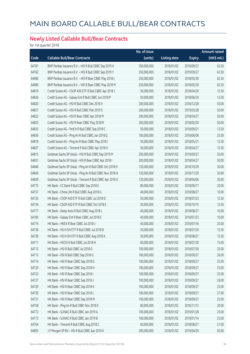#### **Newly Listed Callable Bull/Bear Contracts**

for 1st quarter 2018

|       |                                                          | No. of issue |                     |               | <b>Amount raised</b> |
|-------|----------------------------------------------------------|--------------|---------------------|---------------|----------------------|
| Code  | <b>Callable Bull/Bear Contracts</b>                      | (units)      | <b>Listing date</b> | <b>Expiry</b> | (HK\$ mil.)          |
| 64781 | BNP Paribas Issuance B.V. - HSI R Bull CBBC Sep 2019 X   | 250,000,000  | 2018/01/02          | 2019/09/27    | 62.50                |
| 64782 | BNP Paribas Issuance B.V. - HSI R Bull CBBC Sep 2019 Y   | 250,000,000  | 2018/01/02          | 2019/09/27    | 62.50                |
| 64680 | BNP Paribas Issuance B.V. - HSI R Bear CBBC May 2018 L   | 250,000,000  | 2018/01/02          | 2018/05/30    | 62.50                |
| 64689 | BNP Paribas Issuance B.V. - HSI R Bear CBBC May 2018 M   | 250,000,000  | 2018/01/02          | 2018/05/30    | 62.50                |
| 64819 | Credit Suisse AG - CSOP A50 ETF R Bull CBBC Apr 2018 J   | 50,000,000   | 2018/01/02          | 2018/04/26    | 12.50                |
| 64826 | Credit Suisse AG - Galaxy Ent R Bull CBBC Jun 2018 P     | 50,000,000   | 2018/01/02          | 2018/06/29    | 12.50                |
| 64820 | Credit Suisse AG - HSI R Bull CBBC Dec 2018 V            | 200,000,000  | 2018/01/02          | 2018/12/28    | 50.00                |
| 64821 | Credit Suisse AG - HSI R Bull CBBC Mar 2019 S            | 200,000,000  | 2018/01/02          | 2019/03/28    | 50.00                |
| 64822 | Credit Suisse AG - HSI R Bear CBBC Apr 2018 M            | 200,000,000  | 2018/01/02          | 2018/04/27    | 50.00                |
| 64825 | Credit Suisse AG - HSI R Bear CBBC May 2018 R            | 200,000,000  | 2018/01/02          | 2018/05/30    | 50.00                |
| 64835 | Credit Suisse AG - PetCh R Bull CBBC Sep 2018 C          | 50,000,000   | 2018/01/02          | 2018/09/21    | 12.50                |
| 64836 | Credit Suisse AG - Ping An R Bull CBBC Jun 2018 Q        | 100,000,000  | 2018/01/02          | 2018/06/06    | 25.00                |
| 64818 | Credit Suisse AG - Ping An R Bear CBBC May 2018 I        | 50,000,000   | 2018/01/02          | 2018/05/31    | 12.50                |
| 64827 | Credit Suisse AG - Tencent R Bull CBBC Apr 2018 X        | 50,000,000   | 2018/01/02          | 2018/04/27    | 12.50                |
| 64815 | Goldman Sachs SP (Asia) - HSI R Bull CBBC Sep 2019 M     | 200,000,000  | 2018/01/02          | 2019/09/27    | 50.00                |
| 64691 | Goldman Sachs SP (Asia) - HSI R Bear CBBC Apr 2018 I     | 200,000,000  | 2018/01/02          | 2018/04/27    | 50.00                |
| 64846 | Goldman Sachs SP (Asia) - Ping An R Bull CBBC Oct 2018 H | 120,000,000  | 2018/01/02          | 2018/10/29    | 30.00                |
| 64840 | Goldman Sachs SP (Asia) - Ping An R Bull CBBC Nov 2018 A | 120,000,000  | 2018/01/02          | 2018/11/29    | 30.00                |
| 64839 | Goldman Sachs SP (Asia) - Tencent R Bull CBBC Apr 2018 X | 120,000,000  | 2018/01/02          | 2018/04/06    | 30.00                |
| 64775 | HK Bank - CC Bank R Bull CBBC Sep 2018 E                 | 80,000,000   | 2018/01/02          | 2018/09/17    | 20.00                |
| 64757 | HK Bank - China Life R Bull CBBC Aug 2018 G              | 40,000,000   | 2018/01/02          | 2018/08/27    | 10.00                |
| 64735 | HK Bank - CSOP A50 ETF R Bull CBBC Jul 2018 D            | 50,000,000   | 2018/01/02          | 2018/07/23    | 12.50                |
| 64734 | HK Bank - CSOP A50 ETF R Bull CBBC Oct 2018 E            | 50,000,000   | 2018/01/02          | 2018/10/15    | 12.50                |
| 64777 | HK Bank - Geely Auto R Bull CBBC Aug 2018 L              | 40,000,000   | 2018/01/02          | 2018/08/27    | 10.00                |
| 64769 | HK Bank - Galaxy Ent R Bear CBBC Jul 2018 E              | 40,000,000   | 2018/01/02          | 2018/07/23    | 10.00                |
| 64774 | HK Bank - HKEX R Bear CBBC Jul 2018 J                    | 40,000,000   | 2018/01/02          | 2018/07/16    | 20.00                |
| 64736 | HK Bank - HS H-SH ETF R Bull CBBC Jul 2018 B             | 50,000,000   | 2018/01/02          | 2018/07/30    | 12.50                |
| 64738 | HK Bank - HS H-SH ETF R Bull CBBC Aug 2018 A             | 50,000,000   | 2018/01/02          | 2018/08/27    | 12.50                |
| 64711 | HK Bank - HSCEI R Bull CBBC Jul 2018 H                   | 60,000,000   | 2018/01/02          | 2018/07/30    | 15.00                |
| 64712 | HK Bank - HSI R Bull CBBC Jul 2018 G                     | 100,000,000  | 2018/01/02          | 2018/07/30    | 25.00                |
| 64713 | HK Bank - HSI R Bull CBBC Sep 2018 G                     | 100,000,000  | 2018/01/02          | 2018/09/27    | 26.00                |
| 64714 | HK Bank - HSI R Bear CBBC Sep 2018 G                     | 100,000,000  | 2018/01/02          | 2018/09/27    | 25.00                |
| 64720 | HK Bank - HSI R Bear CBBC Sep 2018 H                     | 100,000,000  | 2018/01/02          | 2018/09/27    | 25.00                |
| 64722 | HK Bank - HSI R Bear CBBC Sep 2018 I                     | 100,000,000  | 2018/01/02          | 2018/09/27    | 25.00                |
| 64727 | HK Bank - HSI R Bear CBBC Sep 2018 J                     | 100,000,000  | 2018/01/02          | 2018/09/27    | 26.00                |
| 64729 | HK Bank - HSI R Bear CBBC Sep 2018 K                     | 100,000,000  | 2018/01/02          | 2018/09/27    | 25.00                |
| 64730 | HK Bank - HSI R Bear CBBC Sep 2018 L                     | 100,000,000  | 2018/01/02          | 2018/09/27    | 27.00                |
| 64731 | HK Bank - HSI R Bear CBBC Sep 2018 M                     | 100,000,000  | 2018/01/02          | 2018/09/27    | 25.00                |
| 64758 | HK Bank - Ping An R Bull CBBC Nov 2018 E                 | 80,000,000   | 2018/01/02          | 2018/11/12    | 20.00                |
| 64772 | HK Bank - SUNAC R Bull CBBC Jan 2019 A                   | 100,000,000  | 2018/01/02          | 2019/01/28    | 25.00                |
| 64773 | HK Bank - SUNAC R Bull CBBC Jan 2019 B                   | 100,000,000  | 2018/01/02          | 2019/01/14    | 25.00                |
| 64764 | HK Bank - Tencent R Bull CBBC Aug 2018 C                 | 60,000,000   | 2018/01/02          | 2018/08/27    | 21.00                |
| 64855 | J P Morgan SP BV - HSI R Bull CBBC Apr 2019 K            | 200,000,000  | 2018/01/02          | 2019/04/29    | 50.00                |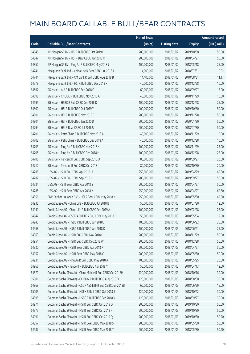|       |                                                              | No. of issue |                     |               | <b>Amount raised</b> |
|-------|--------------------------------------------------------------|--------------|---------------------|---------------|----------------------|
| Code  | <b>Callable Bull/Bear Contracts</b>                          | (units)      | <b>Listing date</b> | <b>Expiry</b> | (HK\$ mil.)          |
| 64848 | J P Morgan SP BV - HSI R Bull CBBC Oct 2019 D                | 200,000,000  | 2018/01/02          | 2019/10/30    | 50.00                |
| 64847 | J P Morgan SP BV - HSI R Bear CBBC Apr 2018 O                | 200,000,000  | 2018/01/02          | 2018/04/27    | 50.00                |
| 64850 | J P Morgan SP BV - Ping An R Bull CBBC May 2018 J            | 100,000,000  | 2018/01/02          | 2018/05/18    | 25.00                |
| 64741 | Macquarie Bank Ltd. - China Life R Bear CBBC Jul 2018 A      | 14,000,000   | 2018/01/02          | 2018/07/31    | 10.02                |
| 64744 | Macquarie Bank Ltd. - CM Bank R Bull CBBC Aug 2018 B         | 14,400,000   | 2018/01/02          | 2018/08/31    | 11.17                |
| 64779 | Macquarie Bank Ltd. - HSI R Bull CBBC Dec 2018 F             | 40,000,000   | 2018/01/02          | 2018/12/28    | 10.00                |
| 64697 | SG Issuer - AIA R Bull CBBC Sep 2018 C                       | 60,000,000   | 2018/01/02          | 2018/09/27    | 15.00                |
| 64698 | SG Issuer - CNOOC R Bull CBBC Nov 2018 A                     | 40,000,000   | 2018/01/02          | 2018/11/29    | 10.00                |
| 64699 | SG Issuer - HSBC R Bull CBBC Dec 2018 D                      | 100,000,000  | 2018/01/02          | 2018/12/28    | 25.00                |
| 64800 | SG Issuer - HSI R Bull CBBC Oct 2019 Y                       | 200,000,000  | 2018/01/02          | 2019/10/30    | 50.00                |
| 64801 | SG Issuer - HSI R Bull CBBC Nov 2019 E                       | 200,000,000  | 2018/01/02          | 2019/11/28    | 50.00                |
| 64804 | SG Issuer - HSI R Bull CBBC Jan 2020 D                       | 200,000,000  | 2018/01/02          | 2020/01/30    | 50.00                |
| 64794 | SG Issuer - HSI R Bear CBBC Jul 2018 U                       | 200,000,000  | 2018/01/02          | 2018/07/30    | 50.00                |
| 64701 | SG Issuer - PetroChina R Bull CBBC Nov 2018 A                | 40,000,000   | 2018/01/02          | 2018/11/29    | 10.00                |
| 64702 | SG Issuer - PetroChina R Bull CBBC Dec 2018 A                | 40,000,000   | 2018/01/02          | 2018/12/28    | 10.00                |
| 64703 | SG Issuer - Ping An R Bull CBBC Nov 2018 K                   | 100,000,000  | 2018/01/02          | 2018/11/29    | 25.00                |
| 64705 | SG Issuer - Ping An R Bull CBBC Dec 2018 H                   | 100,000,000  | 2018/01/02          | 2018/12/28    | 25.00                |
| 64706 | SG Issuer - Tencent R Bull CBBC Sep 2018 U                   | 80,000,000   | 2018/01/02          | 2018/09/27    | 20.00                |
| 64710 | SG Issuer - Tencent R Bull CBBC Oct 2018 I                   | 80,000,000   | 2018/01/02          | 2018/10/30    | 20.00                |
| 64788 | UBS AG - HSI R Bull CBBC Apr 2019 U                          | 250,000,000  | 2018/01/02          | 2019/04/29    | 62.50                |
| 64787 | UBS AG - HSI R Bull CBBC Sep 2019 L                          | 200,000,000  | 2018/01/02          | 2019/09/27    | 50.00                |
| 64784 | UBS AG - HSI R Bear CBBC Apr 2018 S                          | 200,000,000  | 2018/01/02          | 2018/04/27    | 50.00                |
| 64785 | UBS AG - HSI R Bear CBBC Apr 2018 X                          | 250,000,000  | 2018/01/02          | 2018/04/27    | 62.50                |
| 64856 | BNP Paribas Issuance B.V. - HSI R Bear CBBC May 2018 N       | 250,000,000  | 2018/01/03          | 2018/05/30    | 62.50                |
| 64935 | Credit Suisse AG - China Life R Bull CBBC Jul 2018 B         | 50,000,000   | 2018/01/03          | 2018/07/20    | 12.50                |
| 64941 | Credit Suisse AG - China Life R Bull CBBC Feb 2019 A         | 100,000,000  | 2018/01/03          | 2019/02/28    | 25.00                |
| 64942 | Credit Suisse AG - CSOP A50 ETF R Bull CBBC May 2018 D       | 50,000,000   | 2018/01/03          | 2018/05/04    | 12.50                |
| 64943 | Credit Suisse AG - HSBC R Bull CBBC Jun 2018 J               | 100,000,000  | 2018/01/03          | 2018/06/22    | 25.00                |
| 64968 | Credit Suisse AG - HSBC R Bull CBBC Jun 2018 K               | 100,000,000  | 2018/01/03          | 2018/06/21    | 25.00                |
| 64963 | Credit Suisse AG - HSI R Bull CBBC Nov 2018 L                | 200,000,000  | 2018/01/03          | 2018/11/29    | 50.00                |
| 64954 | Credit Suisse AG - HSI R Bull CBBC Dec 2018 W                | 200,000,000  | 2018/01/03          | 2018/12/28    | 50.00                |
| 64930 | Credit Suisse AG - HSI R Bear CBBC Apr 2018 P                | 200,000,000  | 2018/01/03          | 2018/04/27    | 50.00                |
| 64952 | Credit Suisse AG - HSI R Bear CBBC May 2018 C                | 200,000,000  | 2018/01/03          | 2018/05/30    | 50.00                |
| 64931 | Credit Suisse AG - Ping An R Bull CBBC May 2018 A            | 100,000,000  | 2018/01/03          | 2018/05/25    | 25.00                |
| 64966 | Credit Suisse AG - Tencent R Bull CBBC Apr 2018 Y            | 50,000,000   | 2018/01/03          | 2018/04/13    | 12.50                |
| 64870 | Goldman Sachs SP (Asia) - China Mobile R Bull CBBC Oct 2018H | 120,000,000  | 2018/01/03          | 2018/10/16    | 30.00                |
| 65001 | Goldman Sachs SP (Asia) - CC Bank R Bull CBBC Aug 2018 D     | 120,000,000  | 2018/01/03          | 2018/08/30    | 30.00                |
| 64869 | Goldman Sachs SP (Asia) - CSOP A50 ETF R Bull CBBC Jun 2018B | 60,000,000   | 2018/01/03          | 2018/06/29    | 15.00                |
| 65005 | Goldman Sachs SP (Asia) - HKEX R Bull CBBC Oct 2018 S        | 120,000,000  | 2018/01/03          | 2018/10/22    | 30.00                |
| 64995 | Goldman Sachs SP (Asia) - HSBC R Bull CBBC Sep 2018 V        | 120,000,000  | 2018/01/03          | 2018/09/27    | 30.00                |
| 64971 | Goldman Sachs SP (Asia) - HSI R Bull CBBC Oct 2019 O         | 200,000,000  | 2018/01/03          | 2019/10/30    | 50.00                |
| 64977 | Goldman Sachs SP (Asia) - HSI R Bull CBBC Oct 2019 P         | 200,000,000  | 2018/01/03          | 2019/10/30    | 50.00                |
| 64991 | Goldman Sachs SP (Asia) - HSI R Bull CBBC Oct 2019 Q         | 200,000,000  | 2018/01/03          | 2019/10/30    | 50.20                |
| 64857 | Goldman Sachs SP (Asia) - HSI R Bear CBBC May 2018 S         | 200,000,000  | 2018/01/03          | 2018/05/30    | 50.00                |
| 64987 | Goldman Sachs SP (Asia) - HSI R Bear CBBC May 2018 T         | 200,000,000  | 2018/01/03          | 2018/05/30    | 50.20                |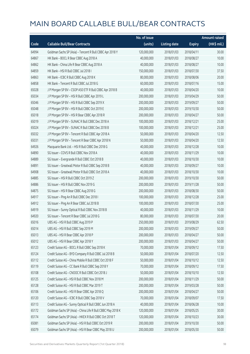|       |                                                             | No. of issue |                     |               | <b>Amount raised</b> |
|-------|-------------------------------------------------------------|--------------|---------------------|---------------|----------------------|
| Code  | <b>Callable Bull/Bear Contracts</b>                         | (units)      | <b>Listing date</b> | <b>Expiry</b> | $(HK\$ mil.)         |
| 64994 | Goldman Sachs SP (Asia) - Tencent R Bull CBBC Apr 2018 Y    | 120,000,000  | 2018/01/03          | 2018/04/11    | 30.00                |
| 64867 | HK Bank - BOCL R Bear CBBC Aug 2018 A                       | 40,000,000   | 2018/01/03          | 2018/08/27    | 10.00                |
| 64862 | HK Bank - China Life R Bear CBBC Aug 2018 A                 | 40,000,000   | 2018/01/03          | 2018/08/27    | 10.00                |
| 64859 | HK Bank - HSI R Bull CBBC Jul 2018 I                        | 150,000,000  | 2018/01/03          | 2018/07/30    | 37.50                |
| 64863 | HK Bank - ICBC R Bull CBBC Aug 2018 K                       | 80,000,000   | 2018/01/03          | 2018/08/06    | 20.00                |
| 64858 | HK Bank - Tencent R Bull CBBC Jul 2018 G                    | 60,000,000   | 2018/01/03          | 2018/07/16    | 15.00                |
| 65028 | J P Morgan SP BV - CSOP A50 ETF R Bull CBBC Apr 2018 B      | 40,000,000   | 2018/01/03          | 2018/04/20    | 10.00                |
| 65034 | J P Morgan SP BV - HSI R Bull CBBC Apr 2019 L               | 200,000,000  | 2018/01/03          | 2019/04/29    | 50.00                |
| 65046 | J P Morgan SP BV - HSI R Bull CBBC Sep 2019 X               | 200,000,000  | 2018/01/03          | 2019/09/27    | 50.00                |
| 65048 | J P Morgan SP BV - HSI R Bull CBBC Oct 2019 E               | 200,000,000  | 2018/01/03          | 2019/10/30    | 50.00                |
| 65018 | J P Morgan SP BV - HSI R Bear CBBC Apr 2018 R               | 200,000,000  | 2018/01/03          | 2018/04/27    | 50.00                |
| 65019 | J P Morgan SP BV - SUNAC R Bull CBBC Dec 2018 A             | 100,000,000  | 2018/01/03          | 2018/12/21    | 25.00                |
| 65024 | JP Morgan SP BV - SUNAC R Bull CBBC Dec 2018 B              | 100,000,000  | 2018/01/03          | 2018/12/21    | 25.00                |
| 65032 | J P Morgan SP BV - Tencent R Bull CBBC Apr 2018 A           | 50,000,000   | 2018/01/03          | 2018/04/20    | 12.50                |
| 65031 | J P Morgan SP BV - Tencent R Bear CBBC Apr 2018 N           | 50,000,000   | 2018/01/03          | 2018/04/20    | 12.50                |
| 64926 | Macquarie Bank Ltd. - HSI R Bull CBBC Dec 2018 G            | 40,000,000   | 2018/01/03          | 2018/12/28    | 10.00                |
| 64890 | SG Issuer - COVS R Bull CBBC Nov 2018 A                     | 40,000,000   | 2018/01/03          | 2018/11/29    | 10.00                |
| 64889 | SG Issuer - Evergrande R Bull CBBC Oct 2018 B               | 40,000,000   | 2018/01/03          | 2018/10/30    | 10.00                |
| 64891 | SG Issuer - Greatwall Motor R Bull CBBC Sep 2018 B          | 40,000,000   | 2018/01/03          | 2018/09/27    | 10.00                |
| 64908 | SG Issuer - Greatwall Motor R Bull CBBC Oct 2018 A          | 40,000,000   | 2018/01/03          | 2018/10/30    | 10.00                |
| 64885 | SG Issuer - HSI R Bull CBBC Oct 2019 Z                      | 200,000,000  | 2018/01/03          | 2019/10/30    | 50.00                |
| 64886 | SG Issuer - HSI R Bull CBBC Nov 2019 G                      | 200,000,000  | 2018/01/03          | 2019/11/28    | 50.00                |
| 64875 | SG Issuer - HSI R Bear CBBC Aug 2018 G                      | 200,000,000  | 2018/01/03          | 2018/08/30    | 50.00                |
| 64917 | SG Issuer - Ping An R Bull CBBC Dec 2018 I                  | 100,000,000  | 2018/01/03          | 2018/12/28    | 25.00                |
| 64912 | SG Issuer - Ping An R Bear CBBC Jul 2018 B                  | 100,000,000  | 2018/01/03          | 2018/07/30    | 25.00                |
| 64919 | SG Issuer - Sunny Optical R Bull CBBC Nov 2018 B            | 40,000,000   | 2018/01/03          | 2018/11/29    | 10.00                |
| 64920 | SG Issuer - Tencent R Bear CBBC Jul 2018 G                  | 80,000,000   | 2018/01/03          | 2018/07/30    | 20.00                |
| 65016 | UBS AG - HSI R Bull CBBC Aug 2019 P                         | 250,000,000  | 2018/01/03          | 2019/08/29    | 62.50                |
| 65014 | UBS AG - HSI R Bull CBBC Sep 2019 M                         | 200,000,000  | 2018/01/03          | 2019/09/27    | 50.00                |
| 65013 | UBS AG - HSI R Bear CBBC Apr 2018 P                         | 200,000,000  | 2018/01/03          | 2018/04/27    | 50.00                |
| 65012 | UBS AG - HSI R Bear CBBC Apr 2018 Y                         | 200,000,000  | 2018/01/03          | 2018/04/27    | 50.00                |
| 65123 | Credit Suisse AG - BOCL R Bull CBBC Sep 2018 K              | 70,000,000   | 2018/01/04          | 2018/09/12    | 17.50                |
| 65124 | Credit Suisse AG - BYD Company R Bull CBBC Jul 2018 B       | 50,000,000   | 2018/01/04          | 2018/07/20    | 12.50                |
| 65112 | Credit Suisse AG - China Mobile R Bull CBBC Oct 2018 F      | 50,000,000   | 2018/01/04          | 2018/10/12    | 12.50                |
| 65119 | Credit Suisse AG - CC Bank R Bull CBBC Sep 2018 Y           | 70,000,000   | 2018/01/04          | 2018/09/12    | 17.50                |
| 65108 | Credit Suisse AG - CNOOC R Bull CBBC Oct 2018 J             | 50,000,000   | 2018/01/04          | 2018/10/10    | 12.50                |
| 65125 | Credit Suisse AG - HSI R Bull CBBC Nov 2018 M               | 200,000,000  | 2018/01/04          | 2018/11/29    | 50.00                |
| 65128 | Credit Suisse AG - HSI R Bull CBBC Mar 2019 T               | 200,000,000  | 2018/01/04          | 2019/03/28    | 50.00                |
| 65106 | Credit Suisse AG - HSI R Bear CBBC Apr 2018 Q               | 200,000,000  | 2018/01/04          | 2018/04/27    | 50.00                |
| 65120 | Credit Suisse AG - ICBC R Bull CBBC Sep 2018 V              | 70,000,000   | 2018/01/04          | 2018/09/07    | 17.50                |
| 65113 | Credit Suisse AG - Sunny Optical R Bull CBBC Jun 2018 A     | 40,000,000   | 2018/01/04          | 2018/06/28    | 10.00                |
| 65172 | Goldman Sachs SP (Asia) - China Life R Bull CBBC May 2018 K | 120,000,000  | 2018/01/04          | 2018/05/25    | 30.00                |
| 65174 | Goldman Sachs SP (Asia) - HKEX R Bull CBBC Oct 2018 T       | 120,000,000  | 2018/01/04          | 2018/10/23    | 30.00                |
| 65081 | Goldman Sachs SP (Asia) - HSI R Bull CBBC Oct 2019 R        | 200,000,000  | 2018/01/04          | 2019/10/30    | 50.00                |
| 65079 | Goldman Sachs SP (Asia) - HSI R Bear CBBC May 2018 U        | 200,000,000  | 2018/01/04          | 2018/05/30    | 50.00                |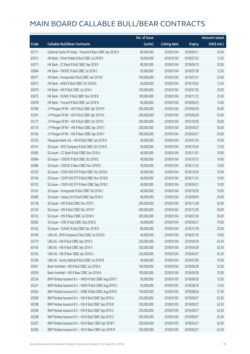|       |                                                          | No. of issue |                     |               | <b>Amount raised</b> |
|-------|----------------------------------------------------------|--------------|---------------------|---------------|----------------------|
| Code  | <b>Callable Bull/Bear Contracts</b>                      | (units)      | <b>Listing date</b> | <b>Expiry</b> | $(HK\$ mil.)         |
| 65171 | Goldman Sachs SP (Asia) - Tencent R Bear CBBC Apr 2018 H | 80,000,000   | 2018/01/04          | 2018/04/11    | 20.00                |
| 65072 | HK Bank - China Mobile R Bull CBBC Jul 2018 E            | 50,000,000   | 2018/01/04          | 2018/07/23    | 12.50                |
| 65071 | HK Bank - CC Bank R Bull CBBC Sep 2018 F                 | 80,000,000   | 2018/01/04          | 2018/09/10    | 20.00                |
| 65064 | HK Bank - CNOOC R Bull CBBC Jul 2018 C                   | 50,000,000   | 2018/01/04          | 2018/07/30    | 12.50                |
| 65077 | HK Bank - Evergrande R Bull CBBC Jan 2019 B              | 100,000,000  | 2018/01/04          | 2019/01/21    | 25.00                |
| 65073 | HK Bank - HKEX R Bull CBBC Oct 2018 N                    | 50,000,000   | 2018/01/04          | 2018/10/02    | 12.50                |
| 65070 | HK Bank - HSI R Bull CBBC Jul 2018 J                     | 100,000,000  | 2018/01/04          | 2018/07/30    | 25.00                |
| 65075 | HK Bank - SUNAC R Bull CBBC Nov 2018 B                   | 100,000,000  | 2018/01/04          | 2018/11/12    | 25.00                |
| 65078 | HK Bank - Tencent R Bull CBBC Jun 2018 N                 | 60,000,000   | 2018/01/04          | 2018/06/25    | 15.00                |
| 65180 | J P Morgan SP BV - HSI R Bull CBBC Apr 2019 M            | 200,000,000  | 2018/01/04          | 2019/04/29    | 50.00                |
| 65181 | J P Morgan SP BV - HSI R Bull CBBC Apr 2019 N            | 200,000,000  | 2018/01/04          | 2019/04/29    | 50.00                |
| 65177 | J P Morgan SP BV - HSI R Bull CBBC Oct 2019 F            | 200,000,000  | 2018/01/04          | 2019/10/30    | 50.00                |
| 65176 | J P Morgan SP BV - HSI R Bear CBBC Apr 2018 T            | 200,000,000  | 2018/01/04          | 2018/04/27    | 50.00                |
| 65183 | J P Morgan SP BV - HSI R Bear CBBC Apr 2018 Y            | 200,000,000  | 2018/01/04          | 2018/04/27    | 50.00                |
| 65105 | Macquarie Bank Ltd. - HSI R Bull CBBC Jan 2019 A         | 40,000,000   | 2018/01/04          | 2019/01/30    | 10.00                |
| 65141 | SG Issuer - BYD Company R Bull CBBC Oct 2018 B           | 50,000,000   | 2018/01/04          | 2018/10/26    | 12.50                |
| 65082 | SG Issuer - CC Bank R Bull CBBC Nov 2018 A               | 40,000,000   | 2018/01/04          | 2018/11/01    | 10.00                |
| 65084 | SG Issuer - CNOOC R Bull CBBC Oct 2018 C                 | 40,000,000   | 2018/01/04          | 2018/10/12    | 10.00                |
| 65086 | SG Issuer - CNOOC R Bear CBBC Nov 2018 B                 | 40,000,000   | 2018/01/04          | 2018/11/23    | 10.00                |
| 65103 | SG Issuer - CSOP A50 ETF R Bull CBBC Oct 2018 B          | 40,000,000   | 2018/01/04          | 2018/10/26    | 10.00                |
| 65104 | SG Issuer - CSOP A50 ETF R Bull CBBC Nov 2018 B          | 40,000,000   | 2018/01/04          | 2018/11/23    | 10.00                |
| 65102 | SG Issuer - CSOP A50 ETF R Bear CBBC Sep 2018 C          | 40,000,000   | 2018/01/04          | 2018/09/21    | 10.00                |
| 65161 | SG Issuer - Evergrande R Bull CBBC Oct 2018 C            | 40,000,000   | 2018/01/04          | 2018/10/26    | 10.00                |
| 65089 | SG Issuer - Galaxy Ent R Bull CBBC Sep 2018 D            | 80,000,000   | 2018/01/04          | 2018/09/04    | 20.00                |
| 65138 | SG Issuer - HSI R Bull CBBC Nov 2019 I                   | 200,000,000  | 2018/01/04          | 2019/11/28    | 50.00                |
| 65139 | SG Issuer - HSI R Bull CBBC Dec 2019 P                   | 200,000,000  | 2018/01/04          | 2019/12/30    | 50.00                |
| 65135 | SG Issuer - HSI R Bear CBBC Jul 2018 V                   | 200,000,000  | 2018/01/04          | 2018/07/30    | 50.00                |
| 65092 | SG Issuer - ICBC R Bull CBBC Sep 2018 G                  | 40,000,000   | 2018/01/04          | 2018/09/21    | 10.00                |
| 65162 | SG Issuer - SUNAC R Bull CBBC Dec 2018 D                 | 80,000,000   | 2018/01/04          | 2018/12/18    | 20.00                |
| 65169 | UBS AG - BYD Company R Bull CBBC Jul 2018 D              | 40,000,000   | 2018/01/04          | 2018/07/16    | 10.00                |
| 65170 | UBS AG - HSI R Bull CBBC Apr 2019 S                      | 250,000,000  | 2018/01/04          | 2019/04/29    | 62.50                |
| 65165 | UBS AG - HSI R Bull CBBC Apr 2019 V                      | 250,000,000  | 2018/01/04          | 2019/04/29    | 62.50                |
| 65163 | UBS AG - HSI R Bear CBBC Apr 2018 U                      | 250,000,000  | 2018/01/04          | 2018/04/27    | 62.50                |
| 65166 | UBS AG - Sunny Optical R Bull CBBC Jul 2018 B            | 40,000,000   | 2018/01/04          | 2018/07/09    | 10.00                |
| 65057 | Bank Vontobel - HSI R Bull CBBC Jun 2018 A               | 100,000,000  | 2018/01/04          | 2018/06/28    | 25.30                |
| 65059 | Bank Vontobel - HSI R Bear CBBC Jun 2018 A               | 100,000,000  | 2018/01/04          | 2018/06/28    | 25.00                |
| 65234 | BNP Paribas Issuance B.V. - HKEX R Bull CBBC Aug 2018 T  | 50,000,000   | 2018/01/05          | 2018/08/30    | 12.50                |
| 65237 | BNP Paribas Issuance B.V. - HKEX R Bull CBBC Aug 2018 U  | 50,000,000   | 2018/01/05          | 2018/08/30    | 12.50                |
| 65263 | BNP Paribas Issuance B.V. - HSBC R Bull CBBC Aug 2018 K  | 150,000,000  | 2018/01/05          | 2018/08/30    | 37.50                |
| 65209 | BNP Paribas Issuance B.V. - HSI R Bull CBBC Sep 2019 A   | 250,000,000  | 2018/01/05          | 2019/09/27    | 62.50                |
| 65298 | BNP Paribas Issuance B.V. - HSI R Bull CBBC Sep 2019 B   | 250,000,000  | 2018/01/05          | 2019/09/27    | 62.50                |
| 65308 | BNP Paribas Issuance B.V. - HSI R Bull CBBC Sep 2019 C   | 250,000,000  | 2018/01/05          | 2019/09/27    | 62.50                |
| 65208 | BNP Paribas Issuance B.V. - HSI R Bull CBBC Sep 2019 Z   | 250,000,000  | 2018/01/05          | 2019/09/27    | 62.50                |
| 65207 | BNP Paribas Issuance B.V. - HSI R Bear CBBC Apr 2018 F   | 250,000,000  | 2018/01/05          | 2018/04/27    | 62.50                |
| 65200 | BNP Paribas Issuance B.V. - HSI R Bear CBBC Apr 2018 M   | 250,000,000  | 2018/01/05          | 2018/04/27    | 62.50                |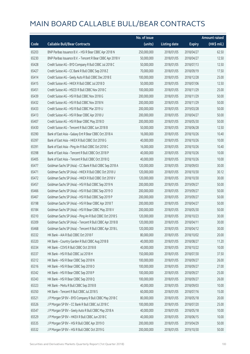|       |                                                            | No. of issue |                     |               | <b>Amount raised</b> |
|-------|------------------------------------------------------------|--------------|---------------------|---------------|----------------------|
| Code  | <b>Callable Bull/Bear Contracts</b>                        | (units)      | <b>Listing date</b> | <b>Expiry</b> | (HK\$ mil.)          |
| 65203 | BNP Paribas Issuance B.V. - HSI R Bear CBBC Apr 2018 N     | 250,000,000  | 2018/01/05          | 2018/04/27    | 62.50                |
| 65230 | BNP Paribas Issuance B.V. - Tencent R Bear CBBC Apr 2018 V | 50,000,000   | 2018/01/05          | 2018/04/27    | 12.50                |
| 65428 | Credit Suisse AG - BYD Company R Bull CBBC Jul 2018 C      | 50,000,000   | 2018/01/05          | 2018/07/13    | 12.50                |
| 65427 | Credit Suisse AG - CC Bank R Bull CBBC Sep 2018 Z          | 70,000,000   | 2018/01/05          | 2018/09/19    | 17.50                |
| 65414 | Credit Suisse AG - Geely Auto R Bull CBBC Dec 2018 E       | 100,000,000  | 2018/01/05          | 2018/12/28    | 25.00                |
| 65415 | Credit Suisse AG - HKEX R Bull CBBC Jul 2018 D             | 50,000,000   | 2018/01/05          | 2018/07/06    | 12.50                |
| 65451 | Credit Suisse AG - HSCEI R Bull CBBC Nov 2018 C            | 100,000,000  | 2018/01/05          | 2018/11/29    | 25.00                |
| 65439 | Credit Suisse AG - HSI R Bull CBBC Nov 2018 G              | 200,000,000  | 2018/01/05          | 2018/11/29    | 50.00                |
| 65432 | Credit Suisse AG - HSI R Bull CBBC Nov 2018 N              | 200,000,000  | 2018/01/05          | 2018/11/29    | 50.00                |
| 65433 | Credit Suisse AG - HSI R Bull CBBC Mar 2019 U              | 200,000,000  | 2018/01/05          | 2019/03/28    | 50.00                |
| 65413 | Credit Suisse AG - HSI R Bear CBBC Apr 2018 U              | 200,000,000  | 2018/01/05          | 2018/04/27    | 50.00                |
| 65407 | Credit Suisse AG - HSI R Bear CBBC May 2018 D              | 200,000,000  | 2018/01/05          | 2018/05/30    | 50.00                |
| 65430 | Credit Suisse AG - Tencent R Bull CBBC Jun 2018 B          | 50,000,000   | 2018/01/05          | 2018/06/28    | 12.50                |
| 65390 | Bank of East Asia - Galaxy Ent R Bear CBBC Oct 2018 A      | 16,000,000   | 2018/01/05          | 2018/10/26    | 10.40                |
| 65397 | Bank of East Asia - HKEX R Bull CBBC Oct 2018 G            | 40,000,000   | 2018/01/05          | 2018/10/26    | 10.00                |
| 65391 | Bank of East Asia - Ping An R Bull CBBC Oct 2018 C         | 16,000,000   | 2018/01/05          | 2018/10/26    | 10.40                |
| 65398 | Bank of East Asia - Tencent R Bull CBBC Oct 2018 P         | 40,000,000   | 2018/01/05          | 2018/10/26    | 10.00                |
| 65405 | Bank of East Asia - Tencent R Bull CBBC Oct 2018 Q         | 40,000,000   | 2018/01/05          | 2018/10/26    | 10.00                |
| 65477 | Goldman Sachs SP (Asia) - CC Bank R Bull CBBC Sep 2018 A   | 120,000,000  | 2018/01/05          | 2018/09/03    | 30.00                |
| 65471 | Goldman Sachs SP (Asia) - HKEX R Bull CBBC Oct 2018 U      | 120,000,000  | 2018/01/05          | 2018/10/30    | 30.12                |
| 65472 | Goldman Sachs SP (Asia) - HKEX R Bull CBBC Oct 2018 V      | 120,000,000  | 2018/01/05          | 2018/10/30    | 30.00                |
| 65457 | Goldman Sachs SP (Asia) - HSI R Bull CBBC Sep 2019 N       | 200,000,000  | 2018/01/05          | 2019/09/27    | 50.00                |
| 65466 | Goldman Sachs SP (Asia) - HSI R Bull CBBC Sep 2019 O       | 200,000,000  | 2018/01/05          | 2019/09/27    | 50.00                |
| 65467 | Goldman Sachs SP (Asia) - HSI R Bull CBBC Sep 2019 P       | 200,000,000  | 2018/01/05          | 2019/09/27    | 50.00                |
| 65198 | Goldman Sachs SP (Asia) - HSI R Bear CBBC Apr 2018 T       | 200,000,000  | 2018/01/05          | 2018/04/27    | 50.00                |
| 65184 | Goldman Sachs SP (Asia) - HSI R Bear CBBC May 2018 V       | 200,000,000  | 2018/01/05          | 2018/05/30    | 50.00                |
| 65310 | Goldman Sachs SP (Asia) - Ping An R Bull CBBC Oct 2018 S   | 120,000,000  | 2018/01/05          | 2018/10/23    | 30.00                |
| 65309 | Goldman Sachs SP (Asia) - Tencent R Bull CBBC Apr 2018 B   | 120,000,000  | 2018/01/05          | 2018/04/11    | 30.00                |
| 65468 | Goldman Sachs SP (Asia) - Tencent R Bull CBBC Apr 2018 L   | 120,000,000  | 2018/01/05          | 2018/04/12    | 30.00                |
| 65332 | HK Bank - AIA R Bull CBBC Oct 2018 F                       | 80,000,000   | 2018/01/05          | 2018/10/02    | 20.00                |
| 65320 | HK Bank - Country Garden R Bull CBBC Aug 2018 B            | 40,000,000   | 2018/01/05          | 2018/08/27    | 11.20                |
| 65334 | HK Bank - COVS R Bull CBBC Oct 2018 B                      | 40,000,000   | 2018/01/05          | 2018/10/22    | 10.00                |
| 65337 | HK Bank - HSI R Bull CBBC Jul 2018 H                       | 150,000,000  | 2018/01/05          | 2018/07/30    | 37.50                |
| 65312 | HK Bank - HSI R Bear CBBC Sep 2018 N                       | 100,000,000  | 2018/01/05          | 2018/09/27    | 26.00                |
| 65316 | HK Bank - HSI R Bear CBBC Sep 2018 O                       | 100,000,000  | 2018/01/05          | 2018/09/27    | 27.00                |
| 65342 | HK Bank - HSI R Bear CBBC Sep 2018 P                       | 100,000,000  | 2018/01/05          | 2018/09/27    | 25.00                |
| 65343 | HK Bank - HSI R Bear CBBC Sep 2018 Q                       | 100,000,000  | 2018/01/05          | 2018/09/27    | 26.00                |
| 65323 | HK Bank - Meitu R Bull CBBC Sep 2018 B                     | 40,000,000   | 2018/01/05          | 2018/09/03    | 10.00                |
| 65350 | HK Bank - Tencent R Bull CBBC Jul 2018 S                   | 60,000,000   | 2018/01/05          | 2018/07/16    | 15.00                |
| 65521 | J P Morgan SP BV - BYD Company R Bull CBBC May 2018 C      | 80,000,000   | 2018/01/05          | 2018/05/18    | 20.00                |
| 65526 | J P Morgan SP BV - CC Bank R Bull CBBC Jul 2018 C          | 100,000,000  | 2018/01/05          | 2018/07/20    | 25.00                |
| 65547 | J P Morgan SP BV - Geely Auto R Bull CBBC May 2018 A       | 40,000,000   | 2018/01/05          | 2018/05/18    | 10.00                |
| 65529 | J P Morgan SP BV - HKEX R Bull CBBC Jun 2018 C             | 40,000,000   | 2018/01/05          | 2018/06/15    | 10.00                |
| 65535 | J P Morgan SP BV - HSI R Bull CBBC Apr 2019 O              | 200,000,000  | 2018/01/05          | 2019/04/29    | 50.00                |
| 65532 | J P Morgan SP BV - HSI R Bull CBBC Oct 2019 G              | 200,000,000  | 2018/01/05          | 2019/10/30    | 50.00                |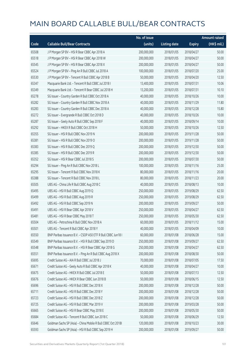|       |                                                              | No. of issue |                     |               | <b>Amount raised</b> |
|-------|--------------------------------------------------------------|--------------|---------------------|---------------|----------------------|
| Code  | <b>Callable Bull/Bear Contracts</b>                          | (units)      | <b>Listing date</b> | <b>Expiry</b> | (HK\$ mil.)          |
| 65508 | J P Morgan SP BV - HSI R Bear CBBC Apr 2018 A                | 200,000,000  | 2018/01/05          | 2018/04/27    | 50.00                |
| 65518 | J P Morgan SP BV - HSI R Bear CBBC Apr 2018 W                | 200,000,000  | 2018/01/05          | 2018/04/27    | 50.00                |
| 65545 | J P Morgan SP BV - HSI R Bear CBBC Apr 2018 X                | 200,000,000  | 2018/01/05          | 2018/04/27    | 50.00                |
| 65524 | J P Morgan SP BV - Ping An R Bull CBBC Jul 2018 A            | 100,000,000  | 2018/01/05          | 2018/07/20    | 25.00                |
| 65530 | JP Morgan SP BV - Tencent R Bull CBBC Apr 2018 B             | 50,000,000   | 2018/01/05          | 2018/04/20    | 12.50                |
| 65347 | Macquarie Bank Ltd. - Tencent R Bull CBBC Jul 2018 I         | 13,400,000   | 2018/01/05          | 2018/07/31    | 10.06                |
| 65349 | Macquarie Bank Ltd. - Tencent R Bear CBBC Jul 2018 H         | 13,200,000   | 2018/01/05          | 2018/07/31    | 10.10                |
| 65278 | SG Issuer - Country Garden R Bull CBBC Oct 2018 A            | 40,000,000   | 2018/01/05          | 2018/10/26    | 10.00                |
| 65282 | SG Issuer - Country Garden R Bull CBBC Nov 2018 A            | 40,000,000   | 2018/01/05          | 2018/11/29    | 11.80                |
| 65283 | SG Issuer - Country Garden R Bull CBBC Dec 2018 A            | 40,000,000   | 2018/01/05          | 2018/12/28    | 15.80                |
| 65272 | SG Issuer - Evergrande R Bull CBBC Oct 2018 D                | 40,000,000   | 2018/01/05          | 2018/10/26    | 10.00                |
| 65287 | SG Issuer - Geely Auto R Bull CBBC Sep 2018 F                | 40,000,000   | 2018/01/05          | 2018/09/14    | 10.00                |
| 65292 | SG Issuer - HKEX R Bull CBBC Oct 2018 H                      | 50,000,000   | 2018/01/05          | 2018/10/26    | 12.50                |
| 65355 | SG Issuer - HSI R Bull CBBC Nov 2019 N                       | 200,000,000  | 2018/01/05          | 2019/11/28    | 50.00                |
| 65381 | SG Issuer - HSI R Bull CBBC Nov 2019 O                       | 200,000,000  | 2018/01/05          | 2019/11/28    | 50.00                |
| 65383 | SG Issuer - HSI R Bull CBBC Dec 2019 Q                       | 200,000,000  | 2018/01/05          | 2019/12/30    | 50.00                |
| 65385 | SG Issuer - HSI R Bull CBBC Dec 2019 R                       | 200,000,000  | 2018/01/05          | 2019/12/30    | 50.00                |
| 65352 | SG Issuer - HSI R Bear CBBC Jul 2018 S                       | 200,000,000  | 2018/01/05          | 2018/07/30    | 50.00                |
| 65294 | SG Issuer - Ping An R Bull CBBC Nov 2018 L                   | 100,000,000  | 2018/01/05          | 2018/11/16    | 25.00                |
| 65295 | SG Issuer - Tencent R Bull CBBC Nov 2018 K                   | 80,000,000   | 2018/01/05          | 2018/11/16    | 20.00                |
| 65388 | SG Issuer - Tencent R Bull CBBC Nov 2018 L                   | 80,000,000   | 2018/01/05          | 2018/11/23    | 20.00                |
| 65505 | UBS AG - China Life R Bull CBBC Aug 2018 C                   | 40,000,000   | 2018/01/05          | 2018/08/13    | 10.00                |
| 65495 | UBS AG - HSI R Bull CBBC Aug 2019 Q                          | 250,000,000  | 2018/01/05          | 2019/08/29    | 62.50                |
| 65499 | UBS AG - HSI R Bull CBBC Aug 2019 R                          | 250,000,000  | 2018/01/05          | 2019/08/29    | 62.50                |
| 65492 | UBS AG - HSI R Bull CBBC Sep 2019 N                          | 200,000,000  | 2018/01/05          | 2019/09/27    | 50.00                |
| 65491 | UBS AG - HSI R Bear CBBC Apr 2018 V                          | 250,000,000  | 2018/01/05          | 2018/04/27    | 62.50                |
| 65481 | UBS AG - HSI R Bear CBBC May 2018 T                          | 250,000,000  | 2018/01/05          | 2018/05/30    | 62.50                |
| 65504 | UBS AG - Petrochina R Bull CBBC Nov 2018 A                   | 60,000,000   | 2018/01/05          | 2018/11/12    | 15.00                |
| 65501 | UBS AG - Tencent R Bull CBBC Apr 2018 Y                      | 40,000,000   | 2018/01/05          | 2018/04/09    | 10.00                |
| 65550 | BNP Paribas Issuance B.V. - CSOP A50 ETF R Bull CBBC Jun18 I | 60,000,000   | 2018/01/08          | 2018/06/28    | 15.00                |
| 65549 | BNP Paribas Issuance B.V. - HSI R Bull CBBC Sep 2019 D       | 250,000,000  | 2018/01/08          | 2019/09/27    | 62.50                |
| 65548 | BNP Paribas Issuance B.V. - HSI R Bear CBBC Apr 2018 G       | 250,000,000  | 2018/01/08          | 2018/04/27    | 62.50                |
| 65551 | BNP Paribas Issuance B.V. - Ping An R Bull CBBC Aug 2018 X   | 200,000,000  | 2018/01/08          | 2018/08/30    | 50.00                |
| 65695 | Credit Suisse AG - AIA R Bull CBBC Jul 2018 J                | 70,000,000   | 2018/01/08          | 2018/07/05    | 17.50                |
| 65671 | Credit Suisse AG - Geely Auto R Bull CBBC Apr 2018 K         | 40,000,000   | 2018/01/08          | 2018/04/27    | 10.00                |
| 65675 | Credit Suisse AG - HKEX R Bull CBBC Jul 2018 E               | 50,000,000   | 2018/01/08          | 2018/07/13    | 12.50                |
| 65676 | Credit Suisse AG - HKEX R Bear CBBC Jun 2018 B               | 50,000,000   | 2018/01/08          | 2018/06/15    | 12.50                |
| 65696 | Credit Suisse AG - HSI R Bull CBBC Dec 2018 X                | 200,000,000  | 2018/01/08          | 2018/12/28    | 50.00                |
| 65711 | Credit Suisse AG - HSI R Bull CBBC Dec 2018 Y                | 200,000,000  | 2018/01/08          | 2018/12/28    | 50.00                |
| 65723 | Credit Suisse AG - HSI R Bull CBBC Dec 2018 Z                | 200,000,000  | 2018/01/08          | 2018/12/28    | 50.00                |
| 65725 | Credit Suisse AG - HSI R Bull CBBC Mar 2019 V                | 200,000,000  | 2018/01/08          | 2019/03/28    | 50.00                |
| 65665 | Credit Suisse AG - HSI R Bear CBBC May 2018 E                | 200,000,000  | 2018/01/08          | 2018/05/30    | 50.00                |
| 65684 | Credit Suisse AG - Tencent R Bull CBBC Jun 2018 C            | 50,000,000   | 2018/01/08          | 2018/06/29    | 12.50                |
| 65646 | Goldman Sachs SP (Asia) - China Mobile R Bull CBBC Oct 2018I | 120,000,000  | 2018/01/08          | 2018/10/23    | 30.00                |
| 65593 | Goldman Sachs SP (Asia) - HSI R Bull CBBC Sep 2019 H         | 200,000,000  | 2018/01/08          | 2019/09/27    | 50.00                |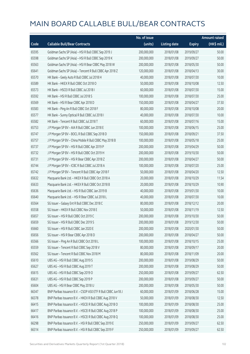|       |                                                              | No. of issue |                     |               | <b>Amount raised</b> |
|-------|--------------------------------------------------------------|--------------|---------------------|---------------|----------------------|
| Code  | <b>Callable Bull/Bear Contracts</b>                          | (units)      | <b>Listing date</b> | <b>Expiry</b> | (HK\$ mil.)          |
| 65595 | Goldman Sachs SP (Asia) - HSI R Bull CBBC Sep 2019 J         | 200,000,000  | 2018/01/08          | 2019/09/27    | 50.00                |
| 65598 | Goldman Sachs SP (Asia) - HSI R Bull CBBC Sep 2019 K         | 200,000,000  | 2018/01/08          | 2019/09/27    | 50.00                |
| 65563 | Goldman Sachs SP (Asia) - HSI R Bear CBBC May 2018 W         | 200,000,000  | 2018/01/08          | 2018/05/30    | 50.00                |
| 65641 | Goldman Sachs SP (Asia) - Tencent R Bull CBBC Apr 2018 Z     | 120,000,000  | 2018/01/08          | 2018/04/13    | 30.00                |
| 65570 | HK Bank - Geely Auto R Bull CBBC Jul 2018 H                  | 40,000,000   | 2018/01/08          | 2018/07/30    | 10.00                |
| 65589 | HK Bank - HKEX R Bull CBBC Oct 2018 O                        | 50,000,000   | 2018/01/08          | 2018/10/08    | 12.50                |
| 65573 | HK Bank - HSCEI R Bull CBBC Jul 2018 I                       | 60,000,000   | 2018/01/08          | 2018/07/30    | 15.00                |
| 65592 | HK Bank - HSI R Bull CBBC Jul 2018 S                         | 100,000,000  | 2018/01/08          | 2018/07/30    | 25.00                |
| 65569 | HK Bank - HSI R Bear CBBC Apr 2018 D                         | 150,000,000  | 2018/01/08          | 2018/04/27    | 37.50                |
| 65583 | HK Bank - Ping An R Bull CBBC Oct 2018 F                     | 80,000,000   | 2018/01/08          | 2018/10/08    | 20.00                |
| 65577 | HK Bank - Sunny Optical R Bull CBBC Jul 2018 I               | 40,000,000   | 2018/01/08          | 2018/07/30    | 10.00                |
| 65582 | HK Bank - Tencent R Bull CBBC Jul 2018 T                     | 60,000,000   | 2018/01/08          | 2018/07/16    | 15.00                |
| 65753 | J P Morgan SP BV - AIA R Bull CBBC Jun 2018 E                | 100,000,000  | 2018/01/08          | 2018/06/15    | 25.00                |
| 65747 | J P Morgan SP BV - BOCL R Bull CBBC Sep 2018 D               | 150,000,000  | 2018/01/08          | 2018/09/21    | 37.50                |
| 65757 | J P Morgan SP BV - China Mobile R Bull CBBC May 2018 B       | 100,000,000  | 2018/01/08          | 2018/05/18    | 25.00                |
| 65737 | J P Morgan SP BV - HSI R Bull CBBC Apr 2019 P                | 200,000,000  | 2018/01/08          | 2019/04/29    | 50.00                |
| 65732 | J P Morgan SP BV - HSI R Bull CBBC Oct 2019 H                | 200,000,000  | 2018/01/08          | 2019/10/30    | 50.00                |
| 65731 | JP Morgan SP BV - HSIR Bear CBBC Apr 2018 Z                  | 200,000,000  | 2018/01/08          | 2018/04/27    | 50.00                |
| 65744 | J P Morgan SP BV - ICBC R Bull CBBC Jul 2018 A               | 100,000,000  | 2018/01/08          | 2018/07/20    | 25.00                |
| 65742 | J P Morgan SP BV - Tencent R Bull CBBC Apr 2018 F            | 50,000,000   | 2018/01/08          | 2018/04/20    | 12.50                |
| 65632 | Macquarie Bank Ltd. - HKEX R Bull CBBC Oct 2018 A            | 20,000,000   | 2018/01/08          | 2018/10/29    | 11.54                |
| 65633 | Macquarie Bank Ltd. - HKEX R Bull CBBC Oct 2018 B            | 20,000,000   | 2018/01/08          | 2018/10/29    | 10.90                |
| 65636 | Macquarie Bank Ltd. - HSI R Bull CBBC Jan 2019 B             | 40,000,000   | 2018/01/08          | 2019/01/30    | 10.00                |
| 65640 | Macquarie Bank Ltd. - HSI R Bear CBBC Jul 2018 L             | 40,000,000   | 2018/01/08          | 2018/07/30    | 10.00                |
| 65564 | SG Issuer - Galaxy Ent R Bull CBBC Dec 2018 C                | 80,000,000   | 2018/01/08          | 2018/12/12    | 20.00                |
| 65558 | SG Issuer - HKEX R Bull CBBC Nov 2018 E                      | 50,000,000   | 2018/01/08          | 2018/11/19    | 12.50                |
| 65657 | SG Issuer - HSI R Bull CBBC Oct 2019 C                       | 200,000,000  | 2018/01/08          | 2019/10/30    | 50.00                |
| 65659 | SG Issuer - HSI R Bull CBBC Dec 2019 S                       | 200,000,000  | 2018/01/08          | 2019/12/30    | 50.00                |
| 65660 | SG Issuer - HSI R Bull CBBC Jan 2020 E                       | 200,000,000  | 2018/01/08          | 2020/01/30    | 50.00                |
| 65656 | SG Issuer - HSI R Bear CBBC Apr 2018 D                       | 200,000,000  | 2018/01/08          | 2018/04/27    | 50.00                |
| 65566 | SG Issuer - Ping An R Bull CBBC Oct 2018 L                   | 100,000,000  | 2018/01/08          | 2018/10/15    | 25.00                |
| 65559 | SG Issuer - Tencent R Bull CBBC Sep 2018 V                   | 80,000,000   | 2018/01/08          | 2018/09/17    | 20.00                |
| 65562 | SG Issuer - Tencent R Bull CBBC Nov 2018 M                   | 80,000,000   | 2018/01/08          | 2018/11/09    | 20.00                |
| 65610 | UBS AG - HSI R Bull CBBC Aug 2019 S                          | 200,000,000  | 2018/01/08          | 2019/08/29    | 50.00                |
| 65627 | UBS AG - HSI R Bull CBBC Aug 2019 T                          | 200,000,000  | 2018/01/08          | 2019/08/29    | 50.00                |
| 65615 | UBS AG - HSI R Bull CBBC Sep 2019 O                          | 250,000,000  | 2018/01/08          | 2019/09/27    | 62.50                |
| 65631 | UBS AG - HSI R Bull CBBC Sep 2019 P                          | 200,000,000  | 2018/01/08          | 2019/09/27    | 50.00                |
| 65604 | UBS AG - HSI R Bear CBBC May 2018 U                          | 200,000,000  | 2018/01/08          | 2018/05/30    | 50.00                |
| 66347 | BNP Paribas Issuance B.V. - CSOP A50 ETF R Bull CBBC Jun18 J | 60,000,000   | 2018/01/09          | 2018/06/28    | 15.00                |
| 66378 | BNP Paribas Issuance B.V. - HKEX R Bull CBBC Aug 2018 V      | 50,000,000   | 2018/01/09          | 2018/08/30    | 12.50                |
| 66415 | BNP Paribas Issuance B.V. - HSCEI R Bull CBBC Aug 2018 O     | 100,000,000  | 2018/01/09          | 2018/08/30    | 25.00                |
| 66417 | BNP Paribas Issuance B.V. - HSCEI R Bull CBBC Aug 2018 P     | 100,000,000  | 2018/01/09          | 2018/08/30    | 25.00                |
| 66416 | BNP Paribas Issuance B.V. - HSCEI R Bull CBBC Aug 2018 Q     | 100,000,000  | 2018/01/09          | 2018/08/30    | 25.00                |
| 66298 | BNP Paribas Issuance B.V. - HSI R Bull CBBC Sep 2019 E       | 250,000,000  | 2018/01/09          | 2019/09/27    | 62.50                |
| 66314 | BNP Paribas Issuance B.V. - HSI R Bull CBBC Sep 2019 F       | 250,000,000  | 2018/01/09          | 2019/09/27    | 62.50                |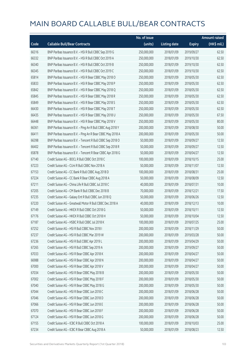|       |                                                            | No. of issue |                     |               | <b>Amount raised</b> |
|-------|------------------------------------------------------------|--------------|---------------------|---------------|----------------------|
| Code  | <b>Callable Bull/Bear Contracts</b>                        | (units)      | <b>Listing date</b> | <b>Expiry</b> | (HK\$ mil.)          |
| 66316 | BNP Paribas Issuance B.V. - HSI R Bull CBBC Sep 2019 G     | 250,000,000  | 2018/01/09          | 2019/09/27    | 62.50                |
| 66332 | BNP Paribas Issuance B.V. - HSI R Bull CBBC Oct 2019 A     | 250,000,000  | 2018/01/09          | 2019/10/30    | 62.50                |
| 66340 | BNP Paribas Issuance B.V. - HSI R Bull CBBC Oct 2019 B     | 250,000,000  | 2018/01/09          | 2019/10/30    | 62.50                |
| 66345 | BNP Paribas Issuance B.V. - HSI R Bull CBBC Oct 2019 C     | 250,000,000  | 2018/01/09          | 2019/10/30    | 62.50                |
| 65814 | BNP Paribas Issuance B.V. - HSI R Bear CBBC May 2018 O     | 250,000,000  | 2018/01/09          | 2018/05/30    | 62.50                |
| 65833 | BNP Paribas Issuance B.V. - HSI R Bear CBBC May 2018 P     | 250,000,000  | 2018/01/09          | 2018/05/30    | 62.50                |
| 65842 | BNP Paribas Issuance B.V. - HSI R Bear CBBC May 2018 Q     | 250,000,000  | 2018/01/09          | 2018/05/30    | 62.50                |
| 65845 | BNP Paribas Issuance B.V. - HSI R Bear CBBC May 2018 R     | 250,000,000  | 2018/01/09          | 2018/05/30    | 62.50                |
| 65849 | BNP Paribas Issuance B.V. - HSI R Bear CBBC May 2018 S     | 250,000,000  | 2018/01/09          | 2018/05/30    | 62.50                |
| 66430 | BNP Paribas Issuance B.V. - HSI R Bear CBBC May 2018 T     | 250,000,000  | 2018/01/09          | 2018/05/30    | 62.50                |
| 66435 | BNP Paribas Issuance B.V. - HSI R Bear CBBC May 2018 U     | 250,000,000  | 2018/01/09          | 2018/05/30    | 67.50                |
| 66448 | BNP Paribas Issuance B.V. - HSI R Bear CBBC May 2018 V     | 250,000,000  | 2018/01/09          | 2018/05/30    | 80.00                |
| 66361 | BNP Paribas Issuance B.V. - Ping An R Bull CBBC Aug 2018 Y | 200,000,000  | 2018/01/09          | 2018/08/30    | 50.00                |
| 66411 | BNP Paribas Issuance B.V. - Ping An R Bear CBBC May 2018 A | 200,000,000  | 2018/01/09          | 2018/05/30    | 50.00                |
| 66398 | BNP Paribas Issuance B.V. - Tencent R Bull CBBC Sep 2018 O | 50,000,000   | 2018/01/09          | 2018/09/27    | 12.50                |
| 66402 | BNP Paribas Issuance B.V. - Tencent R Bull CBBC Sep 2018 R | 50,000,000   | 2018/01/09          | 2018/09/27    | 12.50                |
| 65878 | BNP Paribas Issuance B.V. - Tencent R Bear CBBC Apr 2018 G | 50,000,000   | 2018/01/09          | 2018/04/27    | 12.50                |
| 67140 | Credit Suisse AG - BOCL R Bull CBBC Oct 2018 C             | 100,000,000  | 2018/01/09          | 2018/10/15    | 25.00                |
| 67223 | Credit Suisse AG - CUni R Bull CBBC Nov 2018 A             | 50,000,000   | 2018/01/09          | 2018/11/07    | 12.50                |
| 67153 | Credit Suisse AG - CC Bank R Bull CBBC Aug 2018 D          | 100,000,000  | 2018/01/09          | 2018/08/31    | 25.00                |
| 67224 | Credit Suisse AG - CC Bank R Bear CBBC Aug 2018 A          | 50,000,000   | 2018/01/09          | 2018/08/09    | 12.50                |
| 67211 | Credit Suisse AG - China Life R Bull CBBC Jul 2018 C       | 40,000,000   | 2018/01/09          | 2018/07/31    | 10.00                |
| 67205 | Credit Suisse AG - CM Bank R Bull CBBC Dec 2018 B          | 70,000,000   | 2018/01/09          | 2018/12/21    | 17.50                |
| 67235 | Credit Suisse AG - Galaxy Ent R Bull CBBC Jun 2018 Q       | 50,000,000   | 2018/01/09          | 2018/06/26    | 12.50                |
| 67220 | Credit Suisse AG - Greatwall Motor R Bull CBBC Dec 2018 A  | 40,000,000   | 2018/01/09          | 2018/12/13    | 10.00                |
| 67149 | Credit Suisse AG - HKEX R Bull CBBC Oct 2018 G             | 50,000,000   | 2018/01/09          | 2018/10/11    | 12.50                |
| 67176 | Credit Suisse AG - HKEX R Bull CBBC Oct 2018 H             | 50,000,000   | 2018/01/09          | 2018/10/04    | 12.50                |
| 67187 | Credit Suisse AG - HSBC R Bull CBBC Jul 2018 K             | 100,000,000  | 2018/01/09          | 2018/07/25    | 25.00                |
| 67252 | Credit Suisse AG - HSI R Bull CBBC Nov 2018 I              | 200,000,000  | 2018/01/09          | 2018/11/29    | 50.00                |
| 67237 | Credit Suisse AG - HSI R Bull CBBC Mar 2019 W              | 200,000,000  | 2018/01/09          | 2019/03/28    | 50.00                |
| 67236 | Credit Suisse AG - HSI R Bull CBBC Apr 2019 L              | 200,000,000  | 2018/01/09          | 2019/04/29    | 50.00                |
| 67265 | Credit Suisse AG - HSI R Bull CBBC Sep 2019 A              | 200,000,000  | 2018/01/09          | 2019/09/27    | 50.00                |
| 67033 | Credit Suisse AG - HSI R Bear CBBC Apr 2018 K              | 200,000,000  | 2018/01/09          | 2018/04/27    | 50.00                |
| 66988 | Credit Suisse AG - HSI R Bear CBBC Apr 2018 N              | 200,000,000  | 2018/01/09          | 2018/04/27    | 50.00                |
| 67000 | Credit Suisse AG - HSI R Bear CBBC Apr 2018 V              | 200,000,000  | 2018/01/09          | 2018/04/27    | 50.00                |
| 67034 | Credit Suisse AG - HSI R Bear CBBC May 2018 B              | 200,000,000  | 2018/01/09          | 2018/05/30    | 50.00                |
| 67002 | Credit Suisse AG - HSI R Bear CBBC May 2018 F              | 200,000,000  | 2018/01/09          | 2018/05/30    | 50.00                |
| 67040 | Credit Suisse AG - HSI R Bear CBBC May 2018 G              | 200,000,000  | 2018/01/09          | 2018/05/30    | 50.00                |
| 67044 | Credit Suisse AG - HSI R Bear CBBC Jun 2018 C              | 200,000,000  | 2018/01/09          | 2018/06/28    | 50.00                |
| 67046 | Credit Suisse AG - HSI R Bear CBBC Jun 2018 D              | 200,000,000  | 2018/01/09          | 2018/06/28    | 50.00                |
| 67066 | Credit Suisse AG - HSI R Bear CBBC Jun 2018 E              | 200,000,000  | 2018/01/09          | 2018/06/28    | 50.00                |
| 67070 | Credit Suisse AG - HSI R Bear CBBC Jun 2018 F              | 200,000,000  | 2018/01/09          | 2018/06/28    | 50.00                |
| 67124 | Credit Suisse AG - HSI R Bear CBBC Jun 2018 G              | 200,000,000  | 2018/01/09          | 2018/06/28    | 50.00                |
| 67155 | Credit Suisse AG - ICBC R Bull CBBC Oct 2018 A             | 100,000,000  | 2018/01/09          | 2018/10/03    | 25.00                |
| 67234 | Credit Suisse AG - ICBC R Bear CBBC Aug 2018 A             | 50,000,000   | 2018/01/09          | 2018/08/23    | 12.50                |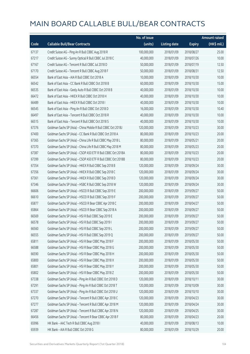|       |                                                              | No. of issue |                     |               | <b>Amount raised</b> |
|-------|--------------------------------------------------------------|--------------|---------------------|---------------|----------------------|
| Code  | <b>Callable Bull/Bear Contracts</b>                          | (units)      | <b>Listing date</b> | <b>Expiry</b> | (HK\$ mil.)          |
| 67137 | Credit Suisse AG - Ping An R Bull CBBC Aug 2018 R            | 100,000,000  | 2018/01/09          | 2018/08/27    | 25.00                |
| 67217 | Credit Suisse AG - Sunny Optical R Bull CBBC Jul 2018 C      | 40,000,000   | 2018/01/09          | 2018/07/26    | 10.00                |
| 67167 | Credit Suisse AG - Tencent R Bull CBBC Jul 2018 D            | 50,000,000   | 2018/01/09          | 2018/07/19    | 12.50                |
| 67170 | Credit Suisse AG - Tencent R Bull CBBC Aug 2018 F            | 50,000,000   | 2018/01/09          | 2018/08/31    | 12.50                |
| 66554 | Bank of East Asia - AIA R Bull CBBC Oct 2018 A               | 10,000,000   | 2018/01/09          | 2018/10/30    | 10.00                |
| 66542 | Bank of East Asia - CC Bank R Bull CBBC Oct 2018 B           | 60,000,000   | 2018/01/09          | 2018/10/30    | 15.00                |
| 66535 | Bank of East Asia - Geely Auto R Bull CBBC Oct 2018 B        | 40,000,000   | 2018/01/09          | 2018/10/30    | 10.00                |
| 66472 | Bank of East Asia - HKEX R Bull CBBC Oct 2018 H              | 40,000,000   | 2018/01/09          | 2018/10/30    | 10.00                |
| 66489 | Bank of East Asia - HKEX R Bull CBBC Oct 2018 I              | 40,000,000   | 2018/01/09          | 2018/10/30    | 10.00                |
| 66545 | Bank of East Asia - Ping An R Bull CBBC Oct 2018 D           | 16,000,000   | 2018/01/09          | 2018/10/30    | 10.40                |
| 66497 | Bank of East Asia - Tencent R Bull CBBC Oct 2018 R           | 40,000,000   | 2018/01/09          | 2018/10/30    | 10.00                |
| 66515 | Bank of East Asia - Tencent R Bull CBBC Oct 2018 S           | 40,000,000   | 2018/01/09          | 2018/10/30    | 10.00                |
| 67376 | Goldman Sachs SP (Asia) - China Mobile R Bull CBBC Oct 2018J | 120,000,000  | 2018/01/09          | 2018/10/23    | 30.00                |
| 67400 | Goldman Sachs SP (Asia) - CC Bank R Bull CBBC Oct 2018 A     | 80,000,000   | 2018/01/09          | 2018/10/23    | 20.00                |
| 67365 | Goldman Sachs SP (Asia) - China Life R Bull CBBC May 2018 L  | 80,000,000   | 2018/01/09          | 2018/05/21    | 20.00                |
| 67370 | Goldman Sachs SP (Asia) - China Life R Bull CBBC May 2018 M  | 80,000,000   | 2018/01/09          | 2018/05/23    | 20.00                |
| 67387 | Goldman Sachs SP (Asia) - CSOP A50 ETF R Bull CBBC Oct 2018A | 80,000,000   | 2018/01/09          | 2018/10/23    | 20.00                |
| 67399 | Goldman Sachs SP (Asia) - CSOP A50 ETF R Bull CBBC Oct 2018B | 80,000,000   | 2018/01/09          | 2018/10/23    | 20.00                |
| 67354 | Goldman Sachs SP (Asia) - HKEX R Bull CBBC Sep 2018 B        | 120,000,000  | 2018/01/09          | 2018/09/24    | 30.00                |
| 67356 | Goldman Sachs SP (Asia) - HKEX R Bull CBBC Sep 2018 C        | 120,000,000  | 2018/01/09          | 2018/09/24    | 30.00                |
| 67361 | Goldman Sachs SP (Asia) - HKEX R Bull CBBC Sep 2018 D        | 120,000,000  | 2018/01/09          | 2018/09/24    | 30.00                |
| 67346 | Goldman Sachs SP (Asia) - HSBC R Bull CBBC Sep 2018 W        | 120,000,000  | 2018/01/09          | 2018/09/24    | 30.00                |
| 66606 | Goldman Sachs SP (Asia) - HSCEI R Bull CBBC Sep 2019 E       | 200,000,000  | 2018/01/09          | 2019/09/27    | 50.00                |
| 66610 | Goldman Sachs SP (Asia) - HSCEI R Bull CBBC Sep 2019 F       | 200,000,000  | 2018/01/09          | 2019/09/27    | 50.00                |
| 65877 | Goldman Sachs SP (Asia) - HSCEI R Bear CBBC Apr 2018 C       | 200,000,000  | 2018/01/09          | 2018/04/27    | 50.00                |
| 65864 | Goldman Sachs SP (Asia) - HSCEI R Bear CBBC Sep 2018 A       | 200,000,000  | 2018/01/09          | 2018/09/27    | 50.00                |
| 66569 | Goldman Sachs SP (Asia) - HSI R Bull CBBC Sep 2019 E         | 200,000,000  | 2018/01/09          | 2019/09/27    | 50.00                |
| 66578 | Goldman Sachs SP (Asia) - HSI R Bull CBBC Sep 2019 I         | 200,000,000  | 2018/01/09          | 2019/09/27    | 50.00                |
| 66560 | Goldman Sachs SP (Asia) - HSI R Bull CBBC Sep 2019 L         | 200,000,000  | 2018/01/09          | 2019/09/27    | 50.00                |
| 66555 | Goldman Sachs SP (Asia) - HSI R Bull CBBC Sep 2019 Q         | 200,000,000  | 2018/01/09          | 2019/09/27    | 50.00                |
| 65811 | Goldman Sachs SP (Asia) - HSI R Bear CBBC May 2018 F         | 200,000,000  | 2018/01/09          | 2018/05/30    | 50.00                |
| 66588 | Goldman Sachs SP (Asia) - HSI R Bear CBBC May 2018 G         | 200,000,000  | 2018/01/09          | 2018/05/30    | 50.00                |
| 66590 | Goldman Sachs SP (Asia) - HSI R Bear CBBC May 2018 H         | 200,000,000  | 2018/01/09          | 2018/05/30    | 50.00                |
| 65800 | Goldman Sachs SP (Asia) - HSI R Bear CBBC May 2018 X         | 200,000,000  | 2018/01/09          | 2018/05/30    | 50.00                |
| 65801 | Goldman Sachs SP (Asia) - HSI R Bear CBBC May 2018 Y         | 200,000,000  | 2018/01/09          | 2018/05/30    | 50.00                |
| 65802 | Goldman Sachs SP (Asia) - HSI R Bear CBBC May 2018 Z         | 200,000,000  | 2018/01/09          | 2018/05/30    | 50.00                |
| 67338 | Goldman Sachs SP (Asia) - Ping An R Bull CBBC Oct 2018 D     | 120,000,000  | 2018/01/09          | 2018/10/11    | 30.00                |
| 67291 | Goldman Sachs SP (Asia) - Ping An R Bull CBBC Oct 2018 T     | 120,000,000  | 2018/01/09          | 2018/10/09    | 30.00                |
| 67337 | Goldman Sachs SP (Asia) - Ping An R Bull CBBC Oct 2018 U     | 120,000,000  | 2018/01/09          | 2018/10/10    | 30.00                |
| 67270 | Goldman Sachs SP (Asia) - Tencent R Bull CBBC Apr 2018 C     | 120,000,000  | 2018/01/09          | 2018/04/23    | 30.00                |
| 67277 | Goldman Sachs SP (Asia) - Tencent R Bull CBBC Apr 2018 M     | 120,000,000  | 2018/01/09          | 2018/04/24    | 30.00                |
| 67287 | Goldman Sachs SP (Asia) - Tencent R Bull CBBC Apr 2018 N     | 120,000,000  | 2018/01/09          | 2018/04/25    | 30.00                |
| 66456 | Goldman Sachs SP (Asia) - Tencent R Bear CBBC Apr 2018 F     | 80,000,000   | 2018/01/09          | 2018/04/23    | 20.00                |
| 65996 | HK Bank - AAC Tech R Bull CBBC Aug 2018 I                    | 40,000,000   | 2018/01/09          | 2018/08/13    | 10.00                |
| 65939 | HK Bank - AIA R Bull CBBC Oct 2018 G                         | 80,000,000   | 2018/01/09          | 2018/10/29    | 20.00                |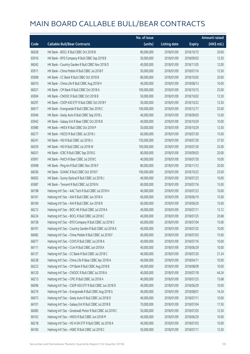|       |                                                            | No. of issue |                     |               | <b>Amount raised</b>  |
|-------|------------------------------------------------------------|--------------|---------------------|---------------|-----------------------|
| Code  | <b>Callable Bull/Bear Contracts</b>                        | (units)      | <b>Listing date</b> | <b>Expiry</b> | $(HK\frac{1}{2}mil.)$ |
| 66028 | HK Bank - BOCL R Bull CBBC Oct 2018 B                      | 80,000,000   | 2018/01/09          | 2018/10/15    | 20.00                 |
| 65916 | HK Bank - BYD Company R Bull CBBC Sep 2018 B               | 50,000,000   | 2018/01/09          | 2018/09/03    | 12.50                 |
| 66042 | HK Bank - Country Garden R Bull CBBC Nov 2018 D            | 40,000,000   | 2018/01/09          | 2018/11/05    | 12.00                 |
| 65911 | HK Bank - China Mobile R Bull CBBC Jul 2018 F              | 50,000,000   | 2018/01/09          | 2018/07/16    | 12.50                 |
| 65908 | HK Bank - CC Bank R Bull CBBC Oct 2018 B                   | 80,000,000   | 2018/01/09          | 2018/10/02    | 20.00                 |
| 66010 | HK Bank - China Life R Bull CBBC Aug 2018 H                | 40,000,000   | 2018/01/09          | 2018/08/13    | 10.00                 |
| 66021 | HK Bank - CM Bank R Bull CBBC Oct 2018 A                   | 100,000,000  | 2018/01/09          | 2018/10/15    | 25.00                 |
| 65904 | HK Bank - CNOOC R Bull CBBC Oct 2018 B                     | 50,000,000   | 2018/01/09          | 2018/10/02    | 12.50                 |
| 66297 | HK Bank - CSOP A50 ETF R Bull CBBC Oct 2018 F              | 50,000,000   | 2018/01/09          | 2018/10/22    | 12.50                 |
| 66017 | HK Bank - Evergrande R Bull CBBC Dec 2018 C                | 100,000,000  | 2018/01/09          | 2018/12/17    | 25.00                 |
| 65946 | HK Bank - Geely Auto R Bull CBBC Sep 2018 L                | 40,000,000   | 2018/01/09          | 2018/09/03    | 12.00                 |
| 65942 | HK Bank - Galaxy Ent R Bear CBBC Oct 2018 B                | 40,000,000   | 2018/01/09          | 2018/10/29    | 10.00                 |
| 65980 | HK Bank - HKEX R Bull CBBC Oct 2018 P                      | 50,000,000   | 2018/01/09          | 2018/10/29    | 12.50                 |
| 66277 | HK Bank - HSCEI R Bull CBBC Jul 2018 J                     | 60,000,000   | 2018/01/09          | 2018/07/30    | 15.00                 |
| 66241 | HK Bank - HSI R Bull CBBC Jul 2018 U                       | 150,000,000  | 2018/01/09          | 2018/07/30    | 37.50                 |
| 66259 | HK Bank - HSI R Bull CBBC Jul 2018 W                       | 100,000,000  | 2018/01/09          | 2018/07/30    | 25.00                 |
| 66031 | HK Bank - ICBC R Bull CBBC Sep 2018 G                      | 80,000,000   | 2018/01/09          | 2018/09/03    | 20.00                 |
| 65901 | HK Bank - PetCh R Bear CBBC Jul 2018 C                     | 40,000,000   | 2018/01/09          | 2018/07/30    | 10.00                 |
| 65998 | HK Bank - Ping An R Bull CBBC Nov 2018 F                   | 80,000,000   | 2018/01/09          | 2018/11/12    | 20.00                 |
| 66036 | HK Bank - SUNAC R Bull CBBC Oct 2018 F                     | 100,000,000  | 2018/01/09          | 2018/10/22    | 25.00                 |
| 66002 | HK Bank - Sunny Optical R Bull CBBC Jul 2018 J             | 40,000,000   | 2018/01/09          | 2018/07/23    | 10.00                 |
| 65987 | HK Bank - Tencent R Bull CBBC Jul 2018 N                   | 60,000,000   | 2018/01/09          | 2018/07/16    | 15.00                 |
| 66198 | Haitong Int'l Sec - AAC Tech R Bull CBBC Jul 2018 H        | 40,000,000   | 2018/01/09          | 2018/07/23    | 10.00                 |
| 66161 | Haitong Int'l Sec - AIA R Bull CBBC Jun 2018 A             | 60,000,000   | 2018/01/09          | 2018/06/19    | 15.00                 |
| 66169 | Haitong Int'l Sec - AIA R Bull CBBC Jun 2018 B             | 60,000,000   | 2018/01/09          | 2018/06/20    | 15.00                 |
| 66212 | Haitong Int'l Sec - BOC HK R Bull CBBC Jul 2018 A          | 40,000,000   | 2018/01/09          | 2018/07/11    | 13.12                 |
| 66224 | Haitong Int'l Sec - BOCL R Bull CBBC Jul 2018 C            | 40,000,000   | 2018/01/09          | 2018/07/25    | 20.68                 |
| 66158 | Haitong Int'l Sec - BYD Company R Bull CBBC Jul 2018 C     | 60,000,000   | 2018/01/09          | 2018/07/04    | 15.00                 |
| 66191 | Haitong Int'l Sec - Country Garden R Bull CBBC Jul 2018 A  | 40,000,000   | 2018/01/09          | 2018/07/25    | 10.00                 |
| 66082 | Haitong Int'l Sec - China Mobile R Bull CBBC Jul 2018 F    | 60,000,000   | 2018/01/09          | 2018/07/03    | 15.00                 |
| 66077 | Haitong Int'l Sec - COVS R Bull CBBC Jul 2018 A            | 40,000,000   | 2018/01/09          | 2018/07/16    | 10.00                 |
| 66111 | Haitong Int'l Sec - CUni R Bull CBBC Jun 2018 A            | 40,000,000   | 2018/01/09          | 2018/06/29    | 10.00                 |
| 66137 | Haitong Int'l Sec - CC Bank R Bull CBBC Jul 2018 C         | 40,000,000   | 2018/01/09          | 2018/07/20    | 21.24                 |
| 66238 | Haitong Int'l Sec - China Life R Bear CBBC Apr 2018 A      | 40,000,000   | 2018/01/09          | 2018/04/11    | 10.00                 |
| 66223 | Haitong Int'l Sec - CM Bank R Bull CBBC Aug 2018 B         | 40,000,000   | 2018/01/09          | 2018/08/09    | 10.00                 |
| 66120 | Haitong Int'l Sec - CNOOC R Bull CBBC Jul 2018 A           | 40,000,000   | 2018/01/09          | 2018/07/18    | 44.24                 |
| 66213 | Haitong Int'l Sec - CPIC R Bull CBBC Jul 2018 A            | 40,000,000   | 2018/01/09          | 2018/07/25    | 15.68                 |
| 66096 | Haitong Int'l Sec - CSOP A50 ETF R Bull CBBC Jun 2018 D    | 40,000,000   | 2018/01/09          | 2018/06/29    | 10.00                 |
| 66219 | Haitong Int'l Sec - Evergrande R Bull CBBC Aug 2018 G      | 40,000,000   | 2018/01/09          | 2018/08/01    | 14.24                 |
| 66073 | Haitong Int'l Sec - Geely Auto R Bull CBBC Jul 2018 D      | 40,000,000   | 2018/01/09          | 2018/07/11    | 10.00                 |
| 66101 | Haitong Int'l Sec - Galaxy Ent R Bull CBBC Jul 2018 B      | 70,000,000   | 2018/01/09          | 2018/07/04    | 17.50                 |
| 66085 | Haitong Int'l Sec - Greatwall Motor R Bull CBBC Jul 2018 C | 50,000,000   | 2018/01/09          | 2018/07/03    | 12.50                 |
| 66102 | Haitong Int'l Sec - HKEX R Bull CBBC Jun 2018 M            | 40,000,000   | 2018/01/09          | 2018/06/29    | 10.00                 |
| 66218 | Haitong Int'l Sec - HS H-SH ETF R Bull CBBC Jul 2018 A     | 40,000,000   | 2018/01/09          | 2018/07/03    | 10.00                 |
| 66100 | Haitong Int'l Sec - HSBC R Bull CBBC Jul 2018 C            | 50,000,000   | 2018/01/09          | 2018/07/11    | 12.50                 |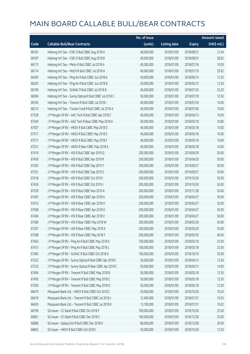|       |                                                          | No. of issue |                     |               | <b>Amount raised</b> |
|-------|----------------------------------------------------------|--------------|---------------------|---------------|----------------------|
| Code  | <b>Callable Bull/Bear Contracts</b>                      | (units)      | <b>Listing date</b> | <b>Expiry</b> | (HK\$ mil.)          |
| 66181 | Haitong Int'l Sec - ICBC R Bull CBBC Aug 2018 A          | 40,000,000   | 2018/01/09          | 2018/08/31    | 21.04                |
| 66187 | Haitong Int'l Sec - ICBC R Bull CBBC Aug 2018 B          | 40,000,000   | 2018/01/09          | 2018/08/31    | 28.92                |
| 66173 | Haitong Int'l Sec - Meitu R Bull CBBC Jul 2018 A         | 40,000,000   | 2018/01/09          | 2018/07/16    | 10.00                |
| 66114 | Haitong Int'l Sec - PetCh R Bull CBBC Jul 2018 A         | 40,000,000   | 2018/01/09          | 2018/07/19    | 29.92                |
| 66200 | Haitong Int'l Sec - Ping An R Bull CBBC Jun 2018 A       | 50,000,000   | 2018/01/09          | 2018/06/14    | 12.50                |
| 66205 | Haitong Int'l Sec - Ping An R Bull CBBC Jun 2018 B       | 50,000,000   | 2018/01/09          | 2018/06/12    | 12.50                |
| 66190 | Haitong Int'l Sec - SUNAC R Bull CBBC Jul 2018 B         | 40,000,000   | 2018/01/09          | 2018/07/24    | 23.20                |
| 66094 | Haitong Int'l Sec - Sunny Optical R Bull CBBC Jul 2018 C | 50,000,000   | 2018/01/09          | 2018/07/18    | 12.50                |
| 66105 | Haitong Int'l Sec - Tencent R Bull CBBC Jul 2018 I       | 40,000,000   | 2018/01/09          | 2018/07/24    | 10.00                |
| 66214 | Haitong Int'l Sec - Tracker Fund R Bull CBBC Jul 2018 A  | 40,000,000   | 2018/01/09          | 2018/07/06    | 10.00                |
| 67538 | J P Morgan SP BV - AAC Tech R Bull CBBC Apr 2018 C       | 40,000,000   | 2018/01/09          | 2018/04/13    | 10.00                |
| 67549 | J P Morgan SP BV - AAC Tech R Bear CBBC May 2018 A       | 40,000,000   | 2018/01/09          | 2018/05/18    | 10.80                |
| 67507 | J P Morgan SP BV - HKEX R Bull CBBC May 2018 D           | 40,000,000   | 2018/01/09          | 2018/05/18    | 10.00                |
| 67511 | J P Morgan SP BV - HKEX R Bull CBBC May 2018 E           | 40,000,000   | 2018/01/09          | 2018/05/18    | 10.00                |
| 67517 | J P Morgan SP BV - HKEX R Bull CBBC May 2018 F           | 40,000,000   | 2018/01/09          | 2018/05/18    | 10.00                |
| 67521 | J P Morgan SP BV - HKEX R Bear CBBC May 2018 A           | 40,000,000   | 2018/01/09          | 2018/05/18    | 10.00                |
| 67419 | J P Morgan SP BV - HSI R Bull CBBC Apr 2019 Q            | 200,000,000  | 2018/01/09          | 2019/04/29    | 50.00                |
| 67459 | J P Morgan SP BV - HSI R Bull CBBC Apr 2019 R            | 200,000,000  | 2018/01/09          | 2019/04/29    | 50.00                |
| 67425 | J P Morgan SP BV - HSI R Bull CBBC Sep 2019 Y            | 200,000,000  | 2018/01/09          | 2019/09/27    | 50.00                |
| 67551 | J P Morgan SP BV - HSI R Bull CBBC Sep 2019 Z            | 200,000,000  | 2018/01/09          | 2019/09/27    | 50.00                |
| 67418 | J P Morgan SP BV - HSI R Bull CBBC Oct 2019 I            | 200,000,000  | 2018/01/09          | 2019/10/30    | 50.00                |
| 67426 | JP Morgan SP BV - HSIR Bull CBBC Oct 2019 J              | 200,000,000  | 2018/01/09          | 2019/10/30    | 50.00                |
| 67559 | J P Morgan SP BV - HSI R Bull CBBC Nov 2019 A            | 200,000,000  | 2018/01/09          | 2019/11/28    | 50.00                |
| 67405 | J P Morgan SP BV - HSI R Bear CBBC Apr 2018 G            | 200,000,000  | 2018/01/09          | 2018/04/27    | 50.00                |
| 67415 | J P Morgan SP BV - HSI R Bear CBBC Apr 2018 H            | 200,000,000  | 2018/01/09          | 2018/04/27    | 50.00                |
| 67568 | J P Morgan SP BV - HSI R Bear CBBC Apr 2018 O            | 200,000,000  | 2018/01/09          | 2018/04/27    | 50.00                |
| 67404 | J P Morgan SP BV - HSI R Bear CBBC Apr 2018 V            | 200,000,000  | 2018/01/09          | 2018/04/27    | 50.00                |
| 67589 | J P Morgan SP BV - HSI R Bear CBBC May 2018 W            | 200,000,000  | 2018/01/09          | 2018/05/30    | 50.00                |
| 67597 | J P Morgan SP BV - HSI R Bear CBBC May 2018 X            | 200,000,000  | 2018/01/09          | 2018/05/30    | 50.00                |
| 67598 | J P Morgan SP BV - HSI R Bear CBBC May 2018 Y            | 200,000,000  | 2018/01/09          | 2018/05/30    | 60.00                |
| 67463 | J P Morgan SP BV - Ping An R Bull CBBC May 2018 K        | 100,000,000  | 2018/01/09          | 2018/05/18    | 25.00                |
| 67473 | J P Morgan SP BV - Ping An R Bull CBBC May 2018 L        | 100,000,000  | 2018/01/09          | 2018/05/18    | 25.00                |
| 67485 | J P Morgan SP BV - SUNAC R Bull CBBC Oct 2018 A          | 100,000,000  | 2018/01/09          | 2018/10/19    | 25.00                |
| 67522 | J P Morgan SP BV - Sunny Optical R Bull CBBC Apr 2018 C  | 50,000,000   | 2018/01/09          | 2018/04/13    | 12.50                |
| 67533 | J P Morgan SP BV - Sunny Optical R Bear CBBC Apr 2018 C  | 50,000,000   | 2018/01/09          | 2018/04/13    | 14.00                |
| 67494 | J P Morgan SP BV - Tencent R Bull CBBC May 2018 B        | 50,000,000   | 2018/01/09          | 2018/05/18    | 12.50                |
| 67495 | J P Morgan SP BV - Tencent R Bull CBBC May 2018 C        | 50,000,000   | 2018/01/09          | 2018/05/18    | 12.50                |
| 67500 | J P Morgan SP BV - Tencent R Bull CBBC May 2018 D        | 50,000,000   | 2018/01/09          | 2018/05/18    | 12.50                |
| 66470 | Macquarie Bank Ltd. - HKEX R Bull CBBC Oct 2018 C        | 20,000,000   | 2018/01/09          | 2018/10/26    | 10.20                |
| 66419 | Macquarie Bank Ltd. - Tencent R Bull CBBC Jul 2018 J     | 12,400,000   | 2018/01/09          | 2018/07/31    | 10.03                |
| 66429 | Macquarie Bank Ltd. - Tencent R Bull CBBC Jul 2018 K     | 13,100,000   | 2018/01/09          | 2018/07/31    | 10.02                |
| 66796 | SG Issuer - CC Bank R Bull CBBC Oct 2018 F               | 100,000,000  | 2018/01/09          | 2018/10/30    | 25.00                |
| 66801 | SG Issuer - CC Bank R Bull CBBC Dec 2018 C               | 100,000,000  | 2018/01/09          | 2018/12/28    | 25.00                |
| 66806 | SG Issuer - Galaxy Ent R Bull CBBC Dec 2018 D            | 80,000,000   | 2018/01/09          | 2018/12/28    | 20.00                |
| 66842 | SG Issuer - HKEX R Bull CBBC Oct 2018 I                  | 50,000,000   | 2018/01/09          | 2018/10/30    | 12.50                |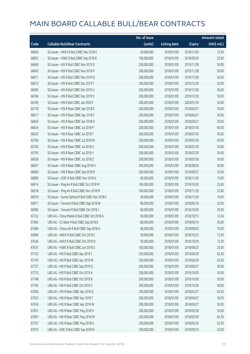|       |                                                  | No. of issue |                     |               | <b>Amount raised</b> |
|-------|--------------------------------------------------|--------------|---------------------|---------------|----------------------|
| Code  | <b>Callable Bull/Bear Contracts</b>              | (units)      | <b>Listing date</b> | <b>Expiry</b> | (HK\$ mil.)          |
| 66849 | SG Issuer - HKEX R Bull CBBC Nov 2018 F          | 50,000,000   | 2018/01/09          | 2018/11/29    | 12.50                |
| 66852 | SG Issuer - HSBC R Bull CBBC Sep 2018 R          | 100,000,000  | 2018/01/09          | 2018/09/20    | 25.00                |
| 66669 | SG Issuer - HSI R Bull CBBC Nov 2019 D           | 200,000,000  | 2018/01/09          | 2019/11/28    | 50.00                |
| 66663 | SG Issuer - HSI R Bull CBBC Nov 2019 P           | 200,000,000  | 2018/01/09          | 2019/11/28    | 50.00                |
| 66671 | SG Issuer - HSI R Bull CBBC Nov 2019 Q           | 200,000,000  | 2018/01/09          | 2019/11/28    | 50.00                |
| 66673 | SG Issuer - HSI R Bull CBBC Dec 2019 T           | 200,000,000  | 2018/01/09          | 2019/12/30    | 50.00                |
| 66695 | SG Issuer - HSI R Bull CBBC Dec 2019 U           | 200,000,000  | 2018/01/09          | 2019/12/30    | 50.00                |
| 66784 | SG Issuer - HSI R Bull CBBC Dec 2019 V           | 200,000,000  | 2018/01/09          | 2019/12/30    | 50.00                |
| 66785 | SG Issuer - HSI R Bull CBBC Jan 2020 F           | 200,000,000  | 2018/01/09          | 2020/01/30    | 50.00                |
| 65778 | SG Issuer - HSI R Bear CBBC Apr 2018 E           | 200,000,000  | 2018/01/09          | 2018/04/27    | 50.00                |
| 66617 | SG Issuer - HSI R Bear CBBC Apr 2018 F           | 200,000,000  | 2018/01/09          | 2018/04/27    | 50.00                |
| 66626 | SG Issuer - HSI R Bear CBBC Apr 2018 X           | 200,000,000  | 2018/01/09          | 2018/04/27    | 50.00                |
| 66634 | SG Issuer - HSI R Bear CBBC Jul 2018 P           | 200,000,000  | 2018/01/09          | 2018/07/30    | 60.00                |
| 66633 | SG Issuer - HSI R Bear CBBC Jul 2018 T           | 200,000,000  | 2018/01/09          | 2018/07/30    | 50.00                |
| 65784 | SG Issuer - HSI R Bear CBBC Jul 2018 W           | 200,000,000  | 2018/01/09          | 2018/07/30    | 50.00                |
| 65792 | SG Issuer - HSI R Bear CBBC Jul 2018 X           | 200,000,000  | 2018/01/09          | 2018/07/30    | 50.00                |
| 65795 | SG Issuer - HSI R Bear CBBC Jul 2018 Y           | 200,000,000  | 2018/01/09          | 2018/07/30    | 50.00                |
| 66628 | SG Issuer - HSI R Bear CBBC Jul 2018 Z           | 200,000,000  | 2018/01/09          | 2018/07/30    | 50.00                |
| 66657 | SG Issuer - HSI R Bear CBBC Aug 2018 H           | 200,000,000  | 2018/01/09          | 2018/08/30    | 50.00                |
| 66660 | SG Issuer - HSI R Bear CBBC Sep 2018 B           | 200,000,000  | 2018/01/09          | 2018/09/27    | 53.00                |
| 66899 | SG Issuer - ICBC R Bull CBBC Nov 2018 A          | 60,000,000   | 2018/01/09          | 2018/11/29    | 15.00                |
| 66914 | SG Issuer - Ping An R Bull CBBC Oct 2018 M       | 100,000,000  | 2018/01/09          | 2018/10/30    | 25.00                |
| 66918 | SG Issuer - Ping An R Bull CBBC Nov 2018 M       | 100,000,000  | 2018/01/09          | 2018/11/29    | 25.00                |
| 66919 | SG Issuer - Sunny Optical R Bull CBBC Nov 2018 C | 40,000,000   | 2018/01/09          | 2018/11/29    | 10.00                |
| 66971 | SG Issuer - Tencent R Bull CBBC Sep 2018 W       | 80,000,000   | 2018/01/09          | 2018/09/18    | 20.00                |
| 66982 | SG Issuer - Tencent R Bull CBBC Oct 2018 J       | 80,000,000   | 2018/01/09          | 2018/10/30    | 20.00                |
| 67722 | UBS AG - China Mobile R Bull CBBC Oct 2018 A     | 50,000,000   | 2018/01/09          | 2018/10/15    | 12.50                |
| 67665 | UBS AG - CC Bank R Bull CBBC Sep 2018 B          | 80,000,000   | 2018/01/09          | 2018/09/10    | 20.00                |
| 67684 | UBS AG - China Life R Bull CBBC Sep 2018 A       | 40,000,000   | 2018/01/09          | 2018/09/03    | 10.00                |
| 65896 | UBS AG - HKEX R Bull CBBC Oct 2018 C             | 50,000,000   | 2018/01/09          | 2018/10/22    | 12.50                |
| 67636 | UBS AG - HKEX R Bull CBBC Oct 2018 D             | 50,000,000   | 2018/01/09          | 2018/10/29    | 12.50                |
| 67637 | UBS AG - HSBC R Bull CBBC Jun 2018 G             | 100,000,000  | 2018/01/09          | 2018/06/25    | 25.00                |
| 67753 | UBS AG - HSI R Bull CBBC Apr 2019 T              | 250,000,000  | 2018/01/09          | 2019/04/29    | 62.50                |
| 67745 | UBS AG - HSI R Bull CBBC Apr 2019 W              | 250,000,000  | 2018/01/09          | 2019/04/29    | 62.50                |
| 67727 | UBS AG - HSI R Bull CBBC Sep 2019 Q              | 200,000,000  | 2018/01/09          | 2019/09/27    | 50.00                |
| 67733 | UBS AG - HSI R Bull CBBC Oct 2019 A              | 200,000,000  | 2018/01/09          | 2019/10/30    | 50.00                |
| 67748 | UBS AG - HSI R Bull CBBC Oct 2019 B              | 200,000,000  | 2018/01/09          | 2019/10/30    | 50.00                |
| 67765 | UBS AG - HSI R Bull CBBC Oct 2019 C              | 200,000,000  | 2018/01/09          | 2019/10/30    | 50.00                |
| 67605 | UBS AG - HSI R Bear CBBC Apr 2018 Q              | 250,000,000  | 2018/01/09          | 2018/04/27    | 62.50                |
| 67633 | UBS AG - HSI R Bear CBBC Apr 2018 T              | 200,000,000  | 2018/01/09          | 2018/04/27    | 50.00                |
| 67616 | UBS AG - HSI R Bear CBBC Apr 2018 W              | 200,000,000  | 2018/01/09          | 2018/04/27    | 50.00                |
| 67631 | UBS AG - HSI R Bear CBBC May 2018 V              | 200,000,000  | 2018/01/09          | 2018/05/30    | 50.00                |
| 67697 | UBS AG - HSI R Bear CBBC May 2018 W              | 250,000,000  | 2018/01/09          | 2018/05/30    | 62.50                |
| 67707 | UBS AG - HSI R Bear CBBC May 2018 X              | 250,000,000  | 2018/01/09          | 2018/05/30    | 62.50                |
| 67675 | UBS AG - ICBC R Bull CBBC Sep 2018 B             | 100,000,000  | 2018/01/09          | 2018/09/10    | 25.00                |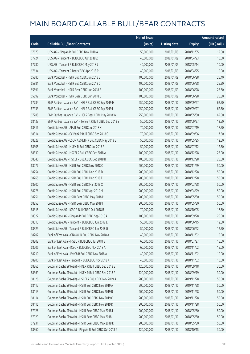|       |                                                            | No. of issue |                     |               | <b>Amount raised</b> |
|-------|------------------------------------------------------------|--------------|---------------------|---------------|----------------------|
| Code  | <b>Callable Bull/Bear Contracts</b>                        | (units)      | <b>Listing date</b> | <b>Expiry</b> | (HK\$ mil.)          |
| 67679 | UBS AG - Ping An R Bull CBBC Nov 2018 A                    | 50,000,000   | 2018/01/09          | 2018/11/05    | 12.50                |
| 67724 | UBS AG - Tencent R Bull CBBC Apr 2018 Z                    | 40,000,000   | 2018/01/09          | 2018/04/23    | 10.00                |
| 67780 | UBS AG - Tencent R Bull CBBC May 2018 J                    | 40,000,000   | 2018/01/09          | 2018/05/14    | 10.00                |
| 67634 | UBS AG - Tencent R Bear CBBC Apr 2018 R                    | 40,000,000   | 2018/01/09          | 2018/04/25    | 10.00                |
| 65880 | Bank Vontobel - HSI R Bull CBBC Jun 2018 B                 | 100,000,000  | 2018/01/09          | 2018/06/28    | 25.40                |
| 65881 | Bank Vontobel - HSI R Bull CBBC Jun 2018 C                 | 100,000,000  | 2018/01/09          | 2018/06/28    | 25.20                |
| 65891 | Bank Vontobel - HSI R Bear CBBC Jun 2018 B                 | 100,000,000  | 2018/01/09          | 2018/06/28    | 25.50                |
| 65892 | Bank Vontobel - HSI R Bear CBBC Jun 2018 C                 | 100,000,000  | 2018/01/09          | 2018/06/28    | 25.30                |
| 67784 | BNP Paribas Issuance B.V. - HSI R Bull CBBC Sep 2019 H     | 250,000,000  | 2018/01/10          | 2019/09/27    | 62.50                |
| 67933 | BNP Paribas Issuance B.V. - HSI R Bull CBBC Sep 2019 I     | 250,000,000  | 2018/01/10          | 2019/09/27    | 62.50                |
| 67788 | BNP Paribas Issuance B.V. - HSI R Bear CBBC May 2018 W     | 250,000,000  | 2018/01/10          | 2018/05/30    | 62.50                |
| 68133 | BNP Paribas Issuance B.V. - Tencent R Bull CBBC Sep 2018 S | 50,000,000   | 2018/01/10          | 2018/09/27    | 12.50                |
| 68316 | Credit Suisse AG - AIA R Bull CBBC Jul 2018 K              | 70,000,000   | 2018/01/10          | 2018/07/19    | 17.50                |
| 68314 | Credit Suisse AG - CC Bank R Bull CBBC Sep 2018 C          | 70,000,000   | 2018/01/10          | 2018/09/06    | 17.50                |
| 68328 | Credit Suisse AG - CSOP A50 ETF R Bull CBBC May 2018 E     | 50,000,000   | 2018/01/10          | 2018/05/25    | 12.50                |
| 68305 | Credit Suisse AG - HKEX R Bull CBBC Jul 2018 F             | 50,000,000   | 2018/01/10          | 2018/07/12    | 12.50                |
| 68330 | Credit Suisse AG - HSCEI R Bull CBBC Dec 2018 A            | 100,000,000  | 2018/01/10          | 2018/12/28    | 25.00                |
| 68340 | Credit Suisse AG - HSCEI R Bull CBBC Dec 2018 B            | 100,000,000  | 2018/01/10          | 2018/12/28    | 25.00                |
| 68277 | Credit Suisse AG - HSI R Bull CBBC Nov 2018 O              | 200,000,000  | 2018/01/10          | 2018/11/29    | 50.00                |
| 68254 | Credit Suisse AG - HSI R Bull CBBC Dec 2018 D              | 200,000,000  | 2018/01/10          | 2018/12/28    | 50.00                |
| 68265 | Credit Suisse AG - HSI R Bull CBBC Dec 2018 E              | 200,000,000  | 2018/01/10          | 2018/12/28    | 50.00                |
| 68300 | Credit Suisse AG - HSI R Bull CBBC Mar 2019 X              | 200,000,000  | 2018/01/10          | 2019/03/28    | 50.00                |
| 68276 | Credit Suisse AG - HSI R Bull CBBC Apr 2019 M              | 200,000,000  | 2018/01/10          | 2019/04/29    | 50.00                |
| 68251 | Credit Suisse AG - HSI R Bear CBBC May 2018 H              | 200,000,000  | 2018/01/10          | 2018/05/30    | 50.00                |
| 68253 | Credit Suisse AG - HSI R Bear CBBC May 2018 I              | 200,000,000  | 2018/01/10          | 2018/05/30    | 50.00                |
| 68315 | Credit Suisse AG - ICBC R Bull CBBC Oct 2018 B             | 70,000,000   | 2018/01/10          | 2018/10/05    | 17.50                |
| 68322 | Credit Suisse AG - Ping An R Bull CBBC Sep 2018 A          | 100,000,000  | 2018/01/10          | 2018/09/28    | 25.00                |
| 68313 | Credit Suisse AG - Tencent R Bull CBBC Jun 2018 E          | 50,000,000   | 2018/01/10          | 2018/06/15    | 12.50                |
| 68329 | Credit Suisse AG - Tencent R Bull CBBC Jun 2018 G          | 50,000,000   | 2018/01/10          | 2018/06/22    | 12.50                |
| 68207 | Bank of East Asia - CNOOC R Bull CBBC Nov 2018 A           | 40,000,000   | 2018/01/10          | 2018/11/02    | 10.00                |
| 68202 | Bank of East Asia - HSBC R Bull CBBC Jul 2018 B            | 60,000,000   | 2018/01/10          | 2018/07/27    | 15.00                |
| 68206 | Bank of East Asia - ICBC R Bull CBBC Nov 2018 A            | 60,000,000   | 2018/01/10          | 2018/11/02    | 15.00                |
| 68210 | Bank of East Asia - PetCh R Bull CBBC Nov 2018 A           | 40,000,000   | 2018/01/10          | 2018/11/02    | 10.00                |
| 68200 | Bank of East Asia - Tencent R Bull CBBC Nov 2018 A         | 40,000,000   | 2018/01/10          | 2018/11/02    | 10.00                |
| 68365 | Goldman Sachs SP (Asia) - HKEX R Bull CBBC Sep 2018 E      | 120,000,000  | 2018/01/10          | 2018/09/18    | 30.00                |
| 68369 | Goldman Sachs SP (Asia) - HKEX R Bull CBBC Sep 2018 F      | 120,000,000  | 2018/01/10          | 2018/09/19    | 30.00                |
| 68126 | Goldman Sachs SP (Asia) - HSCEI R Bull CBBC Nov 2019 A     | 200,000,000  | 2018/01/10          | 2019/11/28    | 50.00                |
| 68112 | Goldman Sachs SP (Asia) - HSI R Bull CBBC Nov 2019 A       | 200,000,000  | 2018/01/10          | 2019/11/28    | 50.00                |
| 68113 | Goldman Sachs SP (Asia) - HSI R Bull CBBC Nov 2019 B       | 200,000,000  | 2018/01/10          | 2019/11/28    | 50.00                |
| 68114 | Goldman Sachs SP (Asia) - HSI R Bull CBBC Nov 2019 C       | 200,000,000  | 2018/01/10          | 2019/11/28    | 50.00                |
| 68115 | Goldman Sachs SP (Asia) - HSI R Bull CBBC Nov 2019 D       | 200,000,000  | 2018/01/10          | 2019/11/28    | 50.00                |
| 67928 | Goldman Sachs SP (Asia) - HSI R Bear CBBC May 2018 I       | 200,000,000  | 2018/01/10          | 2018/05/30    | 50.00                |
| 67929 | Goldman Sachs SP (Asia) - HSI R Bear CBBC May 2018 J       | 200,000,000  | 2018/01/10          | 2018/05/30    | 50.00                |
| 67931 | Goldman Sachs SP (Asia) - HSI R Bear CBBC May 2018 K       | 200,000,000  | 2018/01/10          | 2018/05/30    | 50.00                |
| 68360 | Goldman Sachs SP (Asia) - Ping An R Bull CBBC Oct 2018 G   | 120,000,000  | 2018/01/10          | 2018/10/15    | 30.00                |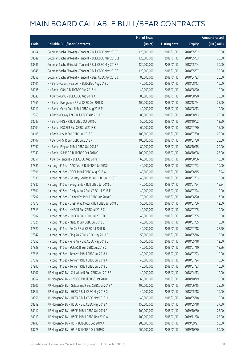|       |                                                             | No. of issue |                     |               | <b>Amount raised</b>  |
|-------|-------------------------------------------------------------|--------------|---------------------|---------------|-----------------------|
| Code  | <b>Callable Bull/Bear Contracts</b>                         | (units)      | <b>Listing date</b> | <b>Expiry</b> | $(HK\frac{1}{2}mil.)$ |
| 68164 | Goldman Sachs SP (Asia) - Tencent R Bull CBBC May 2018 P    | 120,000,000  | 2018/01/10          | 2018/05/02    | 30.00                 |
| 68342 | Goldman Sachs SP (Asia) - Tencent R Bull CBBC May 2018 Q    | 120,000,000  | 2018/01/10          | 2018/05/03    | 30.00                 |
| 68346 | Goldman Sachs SP (Asia) - Tencent R Bull CBBC May 2018 R    | 120,000,000  | 2018/01/10          | 2018/05/04    | 30.00                 |
| 68348 | Goldman Sachs SP (Asia) - Tencent R Bull CBBC May 2018 S    | 120,000,000  | 2018/01/10          | 2018/05/07    | 30.00                 |
| 68358 | Goldman Sachs SP (Asia) - Tencent R Bear CBBC Apr 2018 J    | 80,000,000   | 2018/01/10          | 2018/04/23    | 20.00                 |
| 68101 | HK Bank - Country Garden R Bull CBBC Aug 2018 C             | 40,000,000   | 2018/01/10          | 2018/08/13    | 10.00                 |
| 68035 | HK Bank - CUni R Bull CBBC Aug 2018 H                       | 40,000,000   | 2018/01/10          | 2018/08/20    | 10.00                 |
| 68040 | HK Bank - CPIC R Bull CBBC Aug 2018 A                       | 80,000,000   | 2018/01/10          | 2018/08/20    | 20.00                 |
| 67961 | HK Bank - Evergrande R Bull CBBC Dec 2018 D                 | 100,000,000  | 2018/01/10          | 2018/12/24    | 25.00                 |
| 68011 | HK Bank - Geely Auto R Bull CBBC Aug 2018 M                 | 40,000,000   | 2018/01/10          | 2018/08/13    | 10.00                 |
| 67963 | HK Bank - Galaxy Ent R Bull CBBC Aug 2018 E                 | 80,000,000   | 2018/01/10          | 2018/08/13    | 20.00                 |
| 68047 | HK Bank - HKEX R Bull CBBC Oct 2018 Q                       | 50,000,000   | 2018/01/10          | 2018/10/02    | 12.50                 |
| 68104 | HK Bank - HSCEI R Bull CBBC Jul 2018 K                      | 60,000,000   | 2018/01/10          | 2018/07/30    | 15.00                 |
| 68108 | HK Bank - HSI R Bull CBBC Jul 2018 R                        | 100,000,000  | 2018/01/10          | 2018/07/30    | 25.00                 |
| 68107 | HK Bank - HSI R Bull CBBC Jul 2018 X                        | 100,000,000  | 2018/01/10          | 2018/07/30    | 25.00                 |
| 67992 | HK Bank - Ping An R Bull CBBC Oct 2018 G                    | 80,000,000   | 2018/01/10          | 2018/10/15    | 20.00                 |
| 67940 | HK Bank - SUNAC R Bull CBBC Oct 2018 G                      | 100,000,000  | 2018/01/10          | 2018/10/08    | 25.00                 |
| 68051 | HK Bank - Tencent R Bull CBBC Aug 2018 H                    | 60,000,000   | 2018/01/10          | 2018/08/06    | 15.00                 |
| 67841 | Haitong Int'l Sec - AAC Tech R Bull CBBC Jul 2018 I         | 40,000,000   | 2018/01/10          | 2018/07/23    | 10.00                 |
| 67896 | Haitong Int'l Sec - BOCL R Bull CBBC Aug 2018 A             | 40,000,000   | 2018/01/10          | 2018/08/15    | 16.24                 |
| 67830 | Haitong Int'l Sec - Country Garden R Bull CBBC Jul 2018 B   | 40,000,000   | 2018/01/10          | 2018/07/03    | 10.00                 |
| 67880 | Haitong Int'l Sec - Evergrande R Bull CBBC Jul 2018 C       | 40,000,000   | 2018/01/10          | 2018/07/24    | 15.24                 |
| 67801 | Haitong Int'l Sec - Geely Auto R Bull CBBC Jul 2018 E       | 40,000,000   | 2018/01/10          | 2018/07/24    | 10.00                 |
| 67792 | Haitong Int'l Sec - Galaxy Ent R Bull CBBC Jun 2018 C       | 70,000,000   | 2018/01/10          | 2018/06/20    | 17.50                 |
| 67873 | Haitong Int'l Sec - Great Wall Motor R Bull CBBC Jul 2018 D | 50,000,000   | 2018/01/10          | 2018/07/06    | 12.50                 |
| 67813 | Haitong Int'l Sec - HKEX R Bull CBBC Jul 2018 C             | 40,000,000   | 2018/01/10          | 2018/07/05    | 10.00                 |
| 67907 | Haitong Int'l Sec - HKEX R Bull CBBC Jul 2018 D             | 40,000,000   | 2018/01/10          | 2018/07/05    | 10.00                 |
| 67821 | Haitong Int'l Sec - Meitu R Bull CBBC Jul 2018 B            | 40,000,000   | 2018/01/10          | 2018/07/05    | 10.00                 |
| 67820 | Haitong Int'l Sec - PetCh R Bull CBBC Jul 2018 B            | 40,000,000   | 2018/01/10          | 2018/07/18    | 27.20                 |
| 67847 | Haitong Int'l Sec - Ping An R Bull CBBC May 2018 B          | 50,000,000   | 2018/01/10          | 2018/05/16    | 12.50                 |
| 67855 | Haitong Int'l Sec - Ping An R Bull CBBC May 2018 C          | 50,000,000   | 2018/01/10          | 2018/05/18    | 12.50                 |
| 67828 | Haitong Int'l Sec - SUNAC R Bull CBBC Jul 2018 C            | 40,000,000   | 2018/01/10          | 2018/07/10    | 18.56                 |
| 67816 | Haitong Int'l Sec - Tencent R Bull CBBC Jul 2018 J          | 40,000,000   | 2018/01/10          | 2018/07/23    | 10.00                 |
| 67819 | Haitong Int'l Sec - Tencent R Bull CBBC Jul 2018 K          | 40,000,000   | 2018/01/10          | 2018/07/24    | 15.36                 |
| 67900 | Haitong Int'l Sec - Tencent R Bull CBBC Jul 2018 L          | 40,000,000   | 2018/01/10          | 2018/07/23    | 10.00                 |
| 68907 | J P Morgan SP BV - China Life R Bull CBBC Apr 2018 B        | 40,000,000   | 2018/01/10          | 2018/04/13    | 10.00                 |
| 68867 | J P Morgan SP BV - CNOOC R Bull CBBC Oct 2018 D             | 60,000,000   | 2018/01/10          | 2018/10/19    | 15.00                 |
| 68906 | J P Morgan SP BV - Galaxy Ent R Bull CBBC Jun 2018 A        | 100,000,000  | 2018/01/10          | 2018/06/15    | 25.00                 |
| 68817 | J P Morgan SP BV - HKEX R Bull CBBC May 2018 G              | 40,000,000   | 2018/01/10          | 2018/05/18    | 10.00                 |
| 68856 | J P Morgan SP BV - HKEX R Bull CBBC May 2018 H              | 40,000,000   | 2018/01/10          | 2018/05/18    | 10.00                 |
| 68819 | J P Morgan SP BV - HSBC R Bull CBBC May 2018 A              | 150,000,000  | 2018/01/10          | 2018/05/18    | 37.50                 |
| 68912 | J P Morgan SP BV - HSCEI R Bull CBBC Oct 2019 A             | 100,000,000  | 2018/01/10          | 2019/10/30    | 25.00                 |
| 68913 | J P Morgan SP BV - HSCEI R Bull CBBC Nov 2019 A             | 100,000,000  | 2018/01/10          | 2019/11/28    | 25.00                 |
| 68780 | J P Morgan SP BV - HSI R Bull CBBC Sep 2019 A               | 200,000,000  | 2018/01/10          | 2019/09/27    | 50.00                 |
| 68778 | J P Morgan SP BV - HSI R Bull CBBC Oct 2019 K               | 200,000,000  | 2018/01/10          | 2019/10/30    | 50.00                 |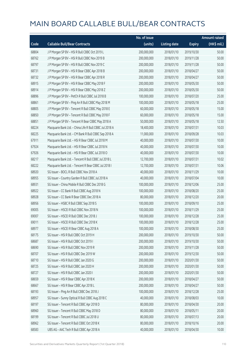|       |                                                         | No. of issue |                     |               | <b>Amount raised</b> |
|-------|---------------------------------------------------------|--------------|---------------------|---------------|----------------------|
| Code  | <b>Callable Bull/Bear Contracts</b>                     | (units)      | <b>Listing date</b> | <b>Expiry</b> | (HK\$ mil.)          |
| 68804 | JP Morgan SP BV - HSIR Bull CBBC Oct 2019 L             | 200,000,000  | 2018/01/10          | 2019/10/30    | 50.00                |
| 68762 | J P Morgan SP BV - HSI R Bull CBBC Nov 2019 B           | 200,000,000  | 2018/01/10          | 2019/11/28    | 50.00                |
| 68797 | J P Morgan SP BV - HSI R Bull CBBC Nov 2019 C           | 200,000,000  | 2018/01/10          | 2019/11/28    | 50.00                |
| 68731 | J P Morgan SP BV - HSI R Bear CBBC Apr 2018 B           | 200,000,000  | 2018/01/10          | 2018/04/27    | 50.00                |
| 68732 | JP Morgan SP BV - HSIR Bear CBBC Apr 2018 R             | 200,000,000  | 2018/01/10          | 2018/04/27    | 50.00                |
| 68915 | J P Morgan SP BV - HSI R Bear CBBC May 2018 F           | 200,000,000  | 2018/01/10          | 2018/05/30    | 50.00                |
| 68914 | J P Morgan SP BV - HSI R Bear CBBC May 2018 Z           | 200,000,000  | 2018/01/10          | 2018/05/30    | 50.00                |
| 68896 | J P Morgan SP BV - PetCh R Bull CBBC Jul 2018 B         | 100,000,000  | 2018/01/10          | 2018/07/20    | 25.00                |
| 68861 | J P Morgan SP BV - Ping An R Bull CBBC May 2018 M       | 100,000,000  | 2018/01/10          | 2018/05/18    | 25.00                |
| 68805 | J P Morgan SP BV - Tencent R Bull CBBC May 2018 E       | 60,000,000   | 2018/01/10          | 2018/05/18    | 15.00                |
| 68850 | J P Morgan SP BV - Tencent R Bull CBBC May 2018 F       | 60,000,000   | 2018/01/10          | 2018/05/18    | 15.00                |
| 68851 | J P Morgan SP BV - Tencent R Bear CBBC May 2018 A       | 50,000,000   | 2018/01/10          | 2018/05/18    | 12.50                |
| 68224 | Macquarie Bank Ltd. - China Life R Bull CBBC Jul 2018 A | 18,400,000   | 2018/01/10          | 2018/07/31    | 10.03                |
| 68225 | Macquarie Bank Ltd. - CM Bank R Bull CBBC Sep 2018 A    | 11,000,000   | 2018/01/10          | 2018/09/28    | 10.03                |
| 67911 | Macquarie Bank Ltd. - HSI R Bear CBBC Jul 2018 M        | 40,000,000   | 2018/01/10          | 2018/07/30    | 10.00                |
| 67924 | Macquarie Bank Ltd. - HSI R Bear CBBC Jul 2018 N        | 40,000,000   | 2018/01/10          | 2018/07/30    | 10.00                |
| 67926 | Macquarie Bank Ltd. - HSI R Bear CBBC Jul 2018 O        | 40,000,000   | 2018/01/10          | 2018/07/30    | 10.00                |
| 68217 | Macquarie Bank Ltd. - Tencent R Bull CBBC Jul 2018 L    | 12,700,000   | 2018/01/10          | 2018/07/31    | 10.02                |
| 68222 | Macquarie Bank Ltd. - Tencent R Bear CBBC Jul 2018 I    | 12,700,000   | 2018/01/10          | 2018/07/31    | 10.06                |
| 68920 | SG Issuer - BOCL R Bull CBBC Nov 2018 A                 | 40,000,000   | 2018/01/10          | 2018/11/29    | 10.00                |
| 68955 | SG Issuer - Country Garden R Bull CBBC Jul 2018 A       | 40,000,000   | 2018/01/10          | 2018/07/04    | 10.00                |
| 68931 | SG Issuer - China Mobile R Bull CBBC Dec 2018 G         | 100,000,000  | 2018/01/10          | 2018/12/06    | 25.00                |
| 68922 | SG Issuer - CC Bank R Bull CBBC Aug 2018 N              | 100,000,000  | 2018/01/10          | 2018/08/20    | 25.00                |
| 68928 | SG Issuer - CC Bank R Bear CBBC Dec 2018 A              | 80,000,000   | 2018/01/10          | 2018/12/20    | 20.00                |
| 68956 | SG Issuer - HSBC R Bull CBBC Sep 2018 S                 | 100,000,000  | 2018/01/10          | 2018/09/10    | 25.00                |
| 69005 | SG Issuer - HSCEI R Bull CBBC Nov 2018 N                | 100,000,000  | 2018/01/10          | 2018/11/29    | 25.00                |
| 69007 | SG Issuer - HSCEI R Bull CBBC Dec 2018 J                | 100,000,000  | 2018/01/10          | 2018/12/28    | 25.00                |
| 69011 | SG Issuer – HSCELR Bull CBBC Dec 2018 K                 | 100,000,000  | 2018/01/10          | 2018/12/28    | 25.00                |
| 68977 | SG Issuer - HSCEI R Bear CBBC Aug 2018 A                | 100,000,000  | 2018/01/10          | 2018/08/30    | 25.00                |
| 68175 | SG Issuer - HSI R Bull CBBC Oct 2019 H                  | 200,000,000  | 2018/01/10          | 2019/10/30    | 50.00                |
| 68687 | SG Issuer - HSI R Bull CBBC Oct 2019 I                  | 200,000,000  | 2018/01/10          | 2019/10/30    | 50.00                |
| 68690 | SG Issuer - HSI R Bull CBBC Nov 2019 R                  | 200,000,000  | 2018/01/10          | 2019/11/28    | 50.00                |
| 68707 | SG Issuer - HSI R Bull CBBC Dec 2019 W                  | 200,000,000  | 2018/01/10          | 2019/12/30    | 50.00                |
| 68710 | SG Issuer - HSI R Bull CBBC Jan 2020 G                  | 200,000,000  | 2018/01/10          | 2020/01/30    | 50.00                |
| 68725 | SG Issuer - HSI R Bull CBBC Jan 2020 H                  | 200,000,000  | 2018/01/10          | 2020/01/30    | 50.00                |
| 68727 | SG Issuer - HSI R Bull CBBC Jan 2020 I                  | 200,000,000  | 2018/01/10          | 2020/01/30    | 50.00                |
| 68659 | SG Issuer - HSI R Bear CBBC Apr 2018 K                  | 200,000,000  | 2018/01/10          | 2018/04/27    | 50.00                |
| 68667 | SG Issuer - HSI R Bear CBBC Apr 2018 L                  | 200,000,000  | 2018/01/10          | 2018/04/27    | 50.00                |
| 68193 | SG Issuer - Ping An R Bull CBBC Dec 2018 J              | 100,000,000  | 2018/01/10          | 2018/12/28    | 25.00                |
| 68957 | SG Issuer - Sunny Optical R Bull CBBC Aug 2018 C        | 40,000,000   | 2018/01/10          | 2018/08/03    | 10.00                |
| 68197 | SG Issuer - Tencent R Bull CBBC Apr 2018 D              | 80,000,000   | 2018/01/10          | 2018/04/30    | 20.00                |
| 68960 | SG Issuer - Tencent R Bull CBBC May 2018 D              | 80,000,000   | 2018/01/10          | 2018/05/11    | 20.00                |
| 68199 | SG Issuer - Tencent R Bull CBBC Jul 2018 U              | 80,000,000   | 2018/01/10          | 2018/07/13    | 20.00                |
| 68962 | SG Issuer - Tencent R Bull CBBC Oct 2018 K              | 80,000,000   | 2018/01/10          | 2018/10/16    | 20.00                |
| 68583 | UBS AG - AAC Tech R Bull CBBC Apr 2018 A                | 40,000,000   | 2018/01/10          | 2018/04/30    | 10.00                |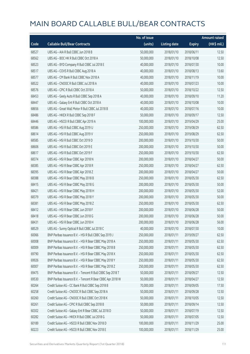|       |                                                            | No. of issue |                     |               | <b>Amount raised</b> |
|-------|------------------------------------------------------------|--------------|---------------------|---------------|----------------------|
| Code  | <b>Callable Bull/Bear Contracts</b>                        | (units)      | <b>Listing date</b> | <b>Expiry</b> | (HK\$ mil.)          |
| 68527 | UBS AG - AIA R Bull CBBC Jun 2018 B                        | 50,000,000   | 2018/01/10          | 2018/06/11    | 12.50                |
| 68562 | UBS AG - BOC HK R Bull CBBC Oct 2018 A                     | 50,000,000   | 2018/01/10          | 2018/10/08    | 12.50                |
| 68523 | UBS AG - BYD Company R Bull CBBC Jul 2018 E                | 40,000,000   | 2018/01/10          | 2018/07/30    | 10.00                |
| 68517 | UBS AG - COVS R Bull CBBC Aug 2018 A                       | 40,000,000   | 2018/01/10          | 2018/08/13    | 13.60                |
| 68577 | UBS AG - CM Bank R Bull CBBC Nov 2018 A                    | 40,000,000   | 2018/01/10          | 2018/11/19    | 10.00                |
| 68522 | UBS AG - CNOOC R Bull CBBC Jul 2018 A                      | 40,000,000   | 2018/01/10          | 2018/07/23    | 10.00                |
| 68576 | UBS AG - CPIC R Bull CBBC Oct 2018 A                       | 50,000,000   | 2018/01/10          | 2018/10/22    | 12.50                |
| 68453 | UBS AG - Geely Auto R Bull CBBC Sep 2018 A                 | 40,000,000   | 2018/01/10          | 2018/09/10    | 11.20                |
| 68447 | UBS AG - Galaxy Ent R Bull CBBC Oct 2018 A                 | 40,000,000   | 2018/01/10          | 2018/10/08    | 10.00                |
| 68656 | UBS AG - Great Wall Motor R Bull CBBC Jul 2018 B           | 40,000,000   | 2018/01/10          | 2018/07/16    | 10.00                |
| 68486 | UBS AG - HKEX R Bull CBBC Sep 2018 F                       | 50,000,000   | 2018/01/10          | 2018/09/17    | 12.50                |
| 68446 | UBS AG - HSCEI R Bull CBBC Apr 2019 A                      | 100,000,000  | 2018/01/10          | 2019/04/29    | 25.00                |
| 68586 | UBS AG - HSI R Bull CBBC Aug 2019 U                        | 250,000,000  | 2018/01/10          | 2019/08/29    | 62.50                |
| 68614 | UBS AG - HSI R Bull CBBC Aug 2019 V                        | 250,000,000  | 2018/01/10          | 2019/08/29    | 62.50                |
| 68585 | UBS AG - HSI R Bull CBBC Oct 2019 D                        | 200,000,000  | 2018/01/10          | 2019/10/30    | 50.00                |
| 68606 | UBS AG - HSI R Bull CBBC Oct 2019 E                        | 200,000,000  | 2018/01/10          | 2019/10/30    | 50.00                |
| 68617 | UBS AG - HSI R Bull CBBC Oct 2019 F                        | 250,000,000  | 2018/01/10          | 2019/10/30    | 62.50                |
| 68374 | UBS AG - HSI R Bear CBBC Apr 2018 N                        | 200,000,000  | 2018/01/10          | 2018/04/27    | 50.00                |
| 68385 | UBS AG - HSI R Bear CBBC Apr 2018 R                        | 250,000,000  | 2018/01/10          | 2018/04/27    | 62.50                |
| 68395 | UBS AG - HSI R Bear CBBC Apr 2018 Z                        | 200,000,000  | 2018/01/10          | 2018/04/27    | 50.00                |
| 68388 | UBS AG - HSI R Bear CBBC May 2018 B                        | 250,000,000  | 2018/01/10          | 2018/05/30    | 62.50                |
| 68415 | UBS AG - HSI R Bear CBBC May 2018 G                        | 200,000,000  | 2018/01/10          | 2018/05/30    | 50.00                |
| 68421 | UBS AG - HSI R Bear CBBC May 2018 H                        | 200,000,000  | 2018/01/10          | 2018/05/30    | 52.00                |
| 68379 | UBS AG - HSI R Bear CBBC May 2018 Y                        | 200,000,000  | 2018/01/10          | 2018/05/30    | 50.00                |
| 68381 | UBS AG - HSI R Bear CBBC May 2018 Z                        | 250,000,000  | 2018/01/10          | 2018/05/30    | 62.50                |
| 68412 | UBS AG - HSI R Bear CBBC Jun 2018 F                        | 200,000,000  | 2018/01/10          | 2018/06/28    | 50.00                |
| 68418 | UBS AG - HSI R Bear CBBC Jun 2018 G                        | 200,000,000  | 2018/01/10          | 2018/06/28    | 50.00                |
| 68431 | UBS AG - HSI R Bear CBBC Jun 2018 H                        | 200,000,000  | 2018/01/10          | 2018/06/28    | 56.00                |
| 68529 | UBS AG - Sunny Optical R Bull CBBC Jul 2018 C              | 40,000,000   | 2018/01/10          | 2018/07/30    | 10.00                |
| 60066 | BNP Paribas Issuance B.V. - HSI R Bull CBBC Sep 2019 J     | 250,000,000  | 2018/01/11          | 2019/09/27    | 62.50                |
| 60008 | BNP Paribas Issuance B.V. - HSI R Bear CBBC May 2018 A     | 250,000,000  | 2018/01/11          | 2018/05/30    | 62.50                |
| 60009 | BNP Paribas Issuance B.V. - HSI R Bear CBBC May 2018 B     | 250,000,000  | 2018/01/11          | 2018/05/30    | 62.50                |
| 69790 | BNP Paribas Issuance B.V. - HSI R Bear CBBC May 2018 X     | 250,000,000  | 2018/01/11          | 2018/05/30    | 62.50                |
| 69926 | BNP Paribas Issuance B.V. - HSI R Bear CBBC May 2018 Y     | 250,000,000  | 2018/01/11          | 2018/05/30    | 62.50                |
| 60007 | BNP Paribas Issuance B.V. - HSI R Bear CBBC May 2018 Z     | 250,000,000  | 2018/01/11          | 2018/05/30    | 62.50                |
| 69475 | BNP Paribas Issuance B.V. - Tencent R Bull CBBC Sep 2018 T | 50,000,000   | 2018/01/11          | 2018/09/27    | 12.50                |
| 69530 | BNP Paribas Issuance B.V. - Tencent R Bear CBBC Apr 2018 W | 50,000,000   | 2018/01/11          | 2018/04/27    | 12.50                |
| 60264 | Credit Suisse AG - CC Bank R Bull CBBC Sep 2018 B          | 70,000,000   | 2018/01/11          | 2018/09/05    | 17.50                |
| 60258 | Credit Suisse AG - CNOOC R Bull CBBC Sep 2018 A            | 50,000,000   | 2018/01/11          | 2018/09/28    | 12.50                |
| 60260 | Credit Suisse AG - CNOOC R Bull CBBC Oct 2018 K            | 50,000,000   | 2018/01/11          | 2018/10/05    | 12.50                |
| 60261 | Credit Suisse AG - CPIC R Bull CBBC Sep 2018 B             | 50,000,000   | 2018/01/11          | 2018/09/14    | 12.50                |
| 60302 | Credit Suisse AG - Galaxy Ent R Bear CBBC Jul 2018 D       | 50,000,000   | 2018/01/11          | 2018/07/19    | 12.50                |
| 60282 | Credit Suisse AG - HKEX R Bull CBBC Jul 2018 G             | 50,000,000   | 2018/01/11          | 2018/07/05    | 12.50                |
| 60189 | Credit Suisse AG - HSCEI R Bull CBBC Nov 2018 D            | 100,000,000  | 2018/01/11          | 2018/11/29    | 25.00                |
| 60223 | Credit Suisse AG - HSCEI R Bull CBBC Nov 2018 E            | 100,000,000  | 2018/01/11          | 2018/11/29    | 25.00                |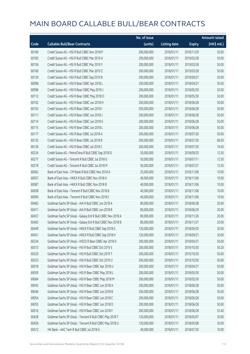|       |                                                             | No. of issue |                     |               | Amount raised |
|-------|-------------------------------------------------------------|--------------|---------------------|---------------|---------------|
| Code  | <b>Callable Bull/Bear Contracts</b>                         | (units)      | <b>Listing date</b> | <b>Expiry</b> | (HK\$ mil.)   |
| 60169 | Credit Suisse AG - HSI R Bull CBBC Nov 2018 P               | 200,000,000  | 2018/01/11          | 2018/11/29    | 50.00         |
| 60183 | Credit Suisse AG - HSI R Bull CBBC Mar 2019 A               | 200,000,000  | 2018/01/11          | 2019/03/28    | 50.00         |
| 60156 | Credit Suisse AG - HSI R Bull CBBC Mar 2019 Y               | 200,000,000  | 2018/01/11          | 2019/03/28    | 50.00         |
| 60160 | Credit Suisse AG - HSI R Bull CBBC Mar 2019 Z               | 200,000,000  | 2018/01/11          | 2019/03/28    | 50.00         |
| 60139 | Credit Suisse AG - HSI R Bull CBBC Sep 2019 B               | 200,000,000  | 2018/01/11          | 2019/09/27    | 50.00         |
| 60098 | Credit Suisse AG - HSI R Bear CBBC Apr 2018 L               | 200,000,000  | 2018/01/11          | 2018/04/27    | 50.00         |
| 60096 | Credit Suisse AG - HSI R Bear CBBC May 2018 J               | 200,000,000  | 2018/01/11          | 2018/05/30    | 50.00         |
| 60112 | Credit Suisse AG - HSI R Bear CBBC May 2018 O               | 200,000,000  | 2018/01/11          | 2018/05/30    | 50.00         |
| 60102 | Credit Suisse AG - HSI R Bear CBBC Jun 2018 H               | 200,000,000  | 2018/01/11          | 2018/06/28    | 50.00         |
| 60103 | Credit Suisse AG - HSI R Bear CBBC Jun 2018 I               | 200,000,000  | 2018/01/11          | 2018/06/28    | 50.00         |
| 60111 | Credit Suisse AG - HSI R Bear CBBC Jun 2018 J               | 200,000,000  | 2018/01/11          | 2018/06/28    | 50.00         |
| 60114 | Credit Suisse AG - HSI R Bear CBBC Jun 2018 K               | 200,000,000  | 2018/01/11          | 2018/06/28    | 50.00         |
| 60115 | Credit Suisse AG - HSI R Bear CBBC Jun 2018 L               | 200,000,000  | 2018/01/11          | 2018/06/28    | 50.00         |
| 60117 | Credit Suisse AG - HSI R Bear CBBC Jul 2018 A               | 200,000,000  | 2018/01/11          | 2018/07/30    | 50.00         |
| 60135 | Credit Suisse AG - HSI R Bear CBBC Jul 2018 B               | 200,000,000  | 2018/01/11          | 2018/07/30    | 66.00         |
| 60136 | Credit Suisse AG - HSI R Bear CBBC Jul 2018 C               | 200,000,000  | 2018/01/11          | 2018/07/30    | 76.00         |
| 60234 | Credit Suisse AG - PetroChina R Bull CBBC Sep 2018 D        | 50,000,000   | 2018/01/11          | 2018/09/20    | 12.50         |
| 60277 | Credit Suisse AG - Tencent R Bull CBBC Jul 2018 G           | 50,000,000   | 2018/01/11          | 2018/07/11    | 12.50         |
| 60278 | Credit Suisse AG - Tencent R Bull CBBC Jul 2018 M           | 50,000,000   | 2018/01/11          | 2018/07/27    | 12.50         |
| 60062 | Bank of East Asia - CM Bank R Bull CBBC Nov 2018 A          | 25,000,000   | 2018/01/11          | 2018/11/06    | 10.00         |
| 60057 | Bank of East Asia - HKEX R Bull CBBC Nov 2018 A             | 40,000,000   | 2018/01/11          | 2018/11/06    | 10.00         |
| 60087 | Bank of East Asia - HKEX R Bull CBBC Nov 2018 B             | 40,000,000   | 2018/01/11          | 2018/11/06    | 10.00         |
| 60058 | Bank of East Asia - Tencent R Bull CBBC Nov 2018 B          | 40,000,000   | 2018/01/11          | 2018/11/06    | 10.00         |
| 60094 | Bank of East Asia - Tencent R Bull CBBC Nov 2018 C          | 40,000,000   | 2018/01/11          | 2018/11/06    | 10.00         |
| 60465 | Goldman Sachs SP (Asia) - AIA R Bull CBBC Jun 2018 A        | 80,000,000   | 2018/01/11          | 2018/06/28    | 20.00         |
| 60471 | Goldman Sachs SP (Asia) - AIA R Bull CBBC Jun 2018 B        | 80,000,000   | 2018/01/11          | 2018/06/29    | 20.00         |
| 60457 | Goldman Sachs SP (Asia) - Galaxy Ent R Bull CBBC Nov 2018 A | 80,000,000   | 2018/01/11          | 2018/11/26    | 20.00         |
| 60463 | Goldman Sachs SP (Asia) - Galaxy Ent R Bull CBBC Nov 2018 B | 80,000,000   | 2018/01/11          | 2018/11/27    | 20.00         |
| 60449 | Goldman Sachs SP (Asia) - HKEX R Bull CBBC Sep 2018 G       | 120,000,000  | 2018/01/11          | 2018/09/20    | 30.00         |
| 60451 | Goldman Sachs SP (Asia) - HKEX R Bull CBBC Sep 2018 H       | 120,000,000  | 2018/01/11          | 2018/09/21    | 30.00         |
| 60334 | Goldman Sachs SP (Asia) - HSCEI R Bear CBBC Apr 2018 D      | 200,000,000  | 2018/01/11          | 2018/04/27    | 50.00         |
| 60313 | Goldman Sachs SP (Asia) - HSI R Bull CBBC Oct 2019 S        | 200,000,000  | 2018/01/11          | 2019/10/30    | 50.20         |
| 60320 | Goldman Sachs SP (Asia) - HSI R Bull CBBC Oct 2019 T        | 200,000,000  | 2018/01/11          | 2019/10/30    | 50.00         |
| 60333 | Goldman Sachs SP (Asia) - HSI R Bull CBBC Oct 2019 U        | 200,000,000  | 2018/01/11          | 2019/10/30    | 50.00         |
| 60018 | Goldman Sachs SP (Asia) - HSI R Bear CBBC Apr 2018 U        | 200,000,000  | 2018/01/11          | 2018/04/27    | 50.00         |
| 69059 | Goldman Sachs SP (Asia) - HSI R Bear CBBC May 2018 L        | 200,000,000  | 2018/01/11          | 2018/05/30    | 50.00         |
| 69064 | Goldman Sachs SP (Asia) - HSI R Bear CBBC May 2018 M        | 200,000,000  | 2018/01/11          | 2018/05/30    | 50.00         |
| 69045 | Goldman Sachs SP (Asia) - HSI R Bear CBBC Jun 2018 A        | 200,000,000  | 2018/01/11          | 2018/06/28    | 50.00         |
| 69046 | Goldman Sachs SP (Asia) - HSI R Bear CBBC Jun 2018 B        | 200,000,000  | 2018/01/11          | 2018/06/28    | 50.00         |
| 69054 | Goldman Sachs SP (Asia) - HSI R Bear CBBC Jun 2018 C        | 200,000,000  | 2018/01/11          | 2018/06/28    | 50.00         |
| 69055 | Goldman Sachs SP (Asia) - HSI R Bear CBBC Jun 2018 D        | 200,000,000  | 2018/01/11          | 2018/06/28    | 50.00         |
| 60016 | Goldman Sachs SP (Asia) - HSI R Bear CBBC Jun 2018 F        | 200,000,000  | 2018/01/11          | 2018/06/28    | 52.40         |
| 60428 | Goldman Sachs SP (Asia) - Tencent R Bull CBBC May 2018 T    | 120,000,000  | 2018/01/11          | 2018/05/07    | 30.00         |
| 60436 | Goldman Sachs SP (Asia) - Tencent R Bull CBBC May 2018 U    | 120,000,000  | 2018/01/11          | 2018/05/08    | 30.00         |
| 69572 | HK Bank - AAC Tech R Bull CBBC Jul 2018 G                   | 40,000,000   | 2018/01/11          | 2018/07/30    | 10.00         |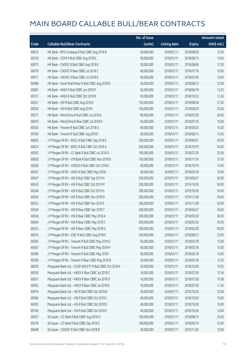|       |                                                           | No. of issue |                     |               | <b>Amount raised</b> |
|-------|-----------------------------------------------------------|--------------|---------------------|---------------|----------------------|
| Code  | <b>Callable Bull/Bear Contracts</b>                       | (units)      | <b>Listing date</b> | <b>Expiry</b> | (HK\$ mil.)          |
| 69673 | HK Bank - BYD Company R Bull CBBC Aug 2018 B              | 50,000,000   | 2018/01/11          | 2018/08/20    | 12.50                |
| 69726 | HK Bank - COVS R Bull CBBC Aug 2018 E                     | 40,000,000   | 2018/01/11          | 2018/08/13    | 10.00                |
| 60073 | HK Bank - CNOOC R Bull CBBC Aug 2018 E                    | 50,000,000   | 2018/01/11          | 2018/08/06    | 12.50                |
| 60070 | HK Bank - CNOOC R Bear CBBC Jul 2018 C                    | 40,000,000   | 2018/01/11          | 2018/07/16    | 10.00                |
| 60071 | HK Bank - CNOOC R Bear CBBC Jul 2018 D                    | 40,000,000   | 2018/01/11          | 2018/07/30    | 10.00                |
| 69586 | HK Bank - Great Wall Motor R Bull CBBC Aug 2018 D         | 40,000,000   | 2018/01/11          | 2018/08/13    | 10.00                |
| 60081 | HK Bank - HKEX R Bull CBBC Jun 2018 P                     | 50,000,000   | 2018/01/11          | 2018/06/19    | 12.50                |
| 69727 | HK Bank - HKEX R Bull CBBC Oct 2018 R                     | 50,000,000   | 2018/01/11          | 2018/10/22    | 12.50                |
| 60031 | HK Bank - HSI R Bull CBBC Aug 2018 E                      | 150,000,000  | 2018/01/11          | 2018/08/30    | 37.50                |
| 60030 | HK Bank - HSI R Bull CBBC Aug 2018 I                      | 100,000,000  | 2018/01/11          | 2018/08/30    | 25.00                |
| 69577 | HK Bank - PetroChina R Bull CBBC Jul 2018 A               | 80,000,000   | 2018/01/11          | 2018/07/30    | 20.00                |
| 60076 | HK Bank - PetroChina R Bear CBBC Jul 2018 D               | 40,000,000   | 2018/01/11          | 2018/07/16    | 10.00                |
| 60025 | HK Bank - Tencent R Bull CBBC Jun 2018 O                  | 60,000,000   | 2018/01/11          | 2018/06/25    | 15.00                |
| 69760 | HK Bank - Tencent R Bull CBBC Aug 2018 I                  | 60,000,000   | 2018/01/11          | 2018/08/13    | 15.00                |
| 60620 | J P Morgan SP BV - BOCL R Bull CBBC Sep 2018 E            | 200,000,000  | 2018/01/11          | 2018/09/21    | 50.00                |
| 60624 | J P Morgan SP BV - BOCL R Bull CBBC Oct 2018 A            | 200,000,000  | 2018/01/11          | 2018/10/19    | 50.00                |
| 60592 | J P Morgan SP BV - CC Bank R Bull CBBC Jul 2018 D         | 100,000,000  | 2018/01/11          | 2018/07/20    | 25.00                |
| 60628 | J P Morgan SP BV - CM Bank R Bull CBBC Nov 2018 B         | 150,000,000  | 2018/01/11          | 2018/11/16    | 37.50                |
| 60636 | J P Morgan SP BV - CNOOC R Bull CBBC Oct 2018 E           | 60,000,000   | 2018/01/11          | 2018/10/19    | 15.00                |
| 60591 | J P Morgan SP BV - HKEX R Bull CBBC May 2018 I            | 40,000,000   | 2018/01/11          | 2018/05/18    | 10.00                |
| 60547 | J P Morgan SP BV - HSI R Bull CBBC Sep 2019 H             | 200,000,000  | 2018/01/11          | 2019/09/27    | 50.00                |
| 60543 | J P Morgan SP BV - HSI R Bull CBBC Oct 2019 M             | 200,000,000  | 2018/01/11          | 2019/10/30    | 50.00                |
| 60548 | J P Morgan SP BV - HSI R Bull CBBC Oct 2019 N             | 200,000,000  | 2018/01/11          | 2019/10/30    | 50.00                |
| 60542 | J P Morgan SP BV - HSI R Bull CBBC Nov 2019 D             | 200,000,000  | 2018/01/11          | 2019/11/28    | 50.00                |
| 60552 | J P Morgan SP BV - HSI R Bull CBBC Nov 2019 E             | 200,000,000  | 2018/01/11          | 2019/11/28    | 50.00                |
| 60540 | J P Morgan SP BV - HSI R Bear CBBC Apr 2018 T             | 200,000,000  | 2018/01/11          | 2018/04/27    | 50.00                |
| 60558 | J P Morgan SP BV - HSI R Bear CBBC May 2018 A             | 200,000,000  | 2018/01/11          | 2018/05/30    | 50.00                |
| 60564 | J P Morgan SP BV - HSI R Bear CBBC May 2018 C             | 200,000,000  | 2018/01/11          | 2018/05/30    | 50.00                |
| 60553 | J P Morgan SP BV - HSI R Bear CBBC May 2018 G             | 200,000,000  | 2018/01/11          | 2018/05/30    | 60.00                |
| 60616 | J P Morgan SP BV - ICBC R Bull CBBC Aug 2018 E            | 100,000,000  | 2018/01/11          | 2018/08/17    | 25.00                |
| 60585 | J P Morgan SP BV - Tencent R Bull CBBC May 2018 G         | 60,000,000   | 2018/01/11          | 2018/05/18    | 15.00                |
| 60587 | J P Morgan SP BV - Tencent R Bull CBBC May 2018 H         | 60,000,000   | 2018/01/11          | 2018/05/18    | 15.00                |
| 60589 | J P Morgan SP BV - Tencent R Bull CBBC May 2018 I         | 60,000,000   | 2018/01/11          | 2018/05/18    | 15.00                |
| 60590 | J P Morgan SP BV - Tencent R Bear CBBC May 2018 B         | 50,000,000   | 2018/01/11          | 2018/05/18    | 12.50                |
| 60035 | Macquarie Bank Ltd. - CSOP A50 ETF R Bull CBBC Oct 2018 A | 20,000,000   | 2018/01/11          | 2018/10/30    | 10.50                |
| 60036 | Macquarie Bank Ltd. - HKEX R Bear CBBC Jul 2018 C         | 16,000,000   | 2018/01/11          | 2018/07/30    | 12.34                |
| 60037 | Macquarie Bank Ltd. - HKEX R Bear CBBC Jul 2018 D         | 16,000,000   | 2018/01/11          | 2018/07/30    | 10.58                |
| 60055 | Macquarie Bank Ltd. - HKEX R Bear CBBC Jul 2018 E         | 16,000,000   | 2018/01/11          | 2018/07/30    | 11.36                |
| 69074 | Macquarie Bank Ltd. - HSI R Bull CBBC Oct 2018 B          | 40,000,000   | 2018/01/11          | 2018/10/30    | 10.00                |
| 69084 | Macquarie Bank Ltd. - HSI R Bull CBBC Oct 2018 C          | 40,000,000   | 2018/01/11          | 2018/10/30    | 10.00                |
| 69092 | Macquarie Bank Ltd. - HSI R Bull CBBC Oct 2018 D          | 40,000,000   | 2018/01/11          | 2018/10/30    | 10.00                |
| 69166 | Macquarie Bank Ltd. - HSI R Bull CBBC Oct 2018 E          | 40,000,000   | 2018/01/11          | 2018/10/30    | 10.00                |
| 60637 | SG Issuer - CC Bank R Bull CBBC Aug 2018 O                | 100,000,000  | 2018/01/11          | 2018/08/15    | 25.00                |
| 69218 | SG Issuer - CC Bank R Bull CBBC Sep 2018 E                | 100,000,000  | 2018/01/11          | 2018/09/14    | 25.00                |
| 60648 | SG Issuer - CNOOC R Bull CBBC Nov 2018 B                  | 40,000,000   | 2018/01/11          | 2018/11/22    | 10.00                |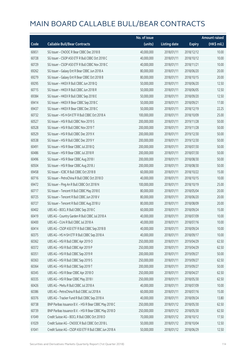|       |                                                        | No. of issue |                     |               | <b>Amount raised</b> |
|-------|--------------------------------------------------------|--------------|---------------------|---------------|----------------------|
| Code  | <b>Callable Bull/Bear Contracts</b>                    | (units)      | <b>Listing date</b> | <b>Expiry</b> | (HK\$ mil.)          |
| 60651 | SG Issuer - CNOOC R Bear CBBC Dec 2018 B               | 40,000,000   | 2018/01/11          | 2018/12/12    | 10.00                |
| 60728 | SG Issuer - CSOP A50 ETF R Bull CBBC Oct 2018 C        | 40,000,000   | 2018/01/11          | 2018/10/12    | 10.00                |
| 60729 | SG Issuer - CSOP A50 ETF R Bull CBBC Nov 2018 C        | 40,000,000   | 2018/01/11          | 2018/11/21    | 10.00                |
| 69262 | SG Issuer - Galaxy Ent R Bear CBBC Jun 2018 A          | 80,000,000   | 2018/01/11          | 2018/06/20    | 20.00                |
| 69279 | SG Issuer - Galaxy Ent R Bear CBBC Oct 2018 B          | 80,000,000   | 2018/01/11          | 2018/10/15    | 20.00                |
| 69295 | SG Issuer - HKEX R Bull CBBC Jun 2018 Q                | 50,000,000   | 2018/01/11          | 2018/06/20    | 12.50                |
| 60715 | SG Issuer - HKEX R Bull CBBC Jun 2018 R                | 50,000,000   | 2018/01/11          | 2018/06/05    | 12.50                |
| 69384 | SG Issuer - HKEX R Bull CBBC Sep 2018 E                | 50,000,000   | 2018/01/11          | 2018/09/20    | 12.50                |
| 69414 | SG Issuer - HKEX R Bear CBBC Sep 2018 C                | 50,000,000   | 2018/01/11          | 2018/09/21    | 17.00                |
| 69437 | SG Issuer - HKEX R Bear CBBC Dec 2018 C                | 50,000,000   | 2018/01/11          | 2018/12/19    | 22.25                |
| 60732 | SG Issuer - HS H-SH ETF R Bull CBBC Oct 2018 A         | 100,000,000  | 2018/01/11          | 2018/10/09    | 25.00                |
| 60527 | SG Issuer - HSI R Bull CBBC Nov 2019 S                 | 200,000,000  | 2018/01/11          | 2019/11/28    | 50.00                |
| 60528 | SG Issuer - HSI R Bull CBBC Nov 2019 T                 | 200,000,000  | 2018/01/11          | 2019/11/28    | 50.00                |
| 60529 | SG Issuer - HSI R Bull CBBC Dec 2019 X                 | 200,000,000  | 2018/01/11          | 2019/12/30    | 50.00                |
| 60538 | SG Issuer - HSI R Bull CBBC Dec 2019 Y                 | 200,000,000  | 2018/01/11          | 2019/12/30    | 50.00                |
| 60491 | SG Issuer - HSI R Bear CBBC Jul 2018 Q                 | 200,000,000  | 2018/01/11          | 2018/07/30    | 50.00                |
| 60486 | SG Issuer - HSI R Bear CBBC Jul 2018 R                 | 200,000,000  | 2018/01/11          | 2018/07/30    | 50.00                |
| 60496 | SG Issuer - HSI R Bear CBBC Aug 2018 I                 | 200,000,000  | 2018/01/11          | 2018/08/30    | 50.00                |
| 60504 | SG Issuer - HSI R Bear CBBC Aug 2018 J                 | 200,000,000  | 2018/01/11          | 2018/08/30    | 50.00                |
| 69458 | SG Issuer - ICBC R Bull CBBC Oct 2018 B                | 60,000,000   | 2018/01/11          | 2018/10/22    | 15.00                |
| 60716 | SG Issuer - PetroChina R Bull CBBC Oct 2018 D          | 40,000,000   | 2018/01/11          | 2018/10/15    | 10.00                |
| 69472 | SG Issuer - Ping An R Bull CBBC Oct 2018 N             | 100,000,000  | 2018/01/11          | 2018/10/19    | 25.00                |
| 60717 | SG Issuer - Tencent R Bull CBBC May 2018 E             | 80,000,000   | 2018/01/11          | 2018/05/04    | 20.00                |
| 60725 | SG Issuer - Tencent R Bull CBBC Jun 2018 V             | 80,000,000   | 2018/01/11          | 2018/06/20    | 20.00                |
| 60727 | SG Issuer - Tencent R Bull CBBC Aug 2018 U             | 80,000,000   | 2018/01/11          | 2018/08/09    | 20.00                |
| 60402 | UBS AG - BOCL R Bull CBBC Sep 2018 C                   | 60,000,000   | 2018/01/11          | 2018/09/24    | 15.00                |
| 60419 | UBS AG - Country Garden R Bull CBBC Jul 2018 A         | 40,000,000   | 2018/01/11          | 2018/07/09    | 10.00                |
| 60400 | UBS AG - CUni R Bull CBBC Jul 2018 A                   | 40,000,000   | 2018/01/11          | 2018/07/16    | 10.00                |
| 60414 | UBS AG - CSOP A50 ETF R Bull CBBC Sep 2018 B           | 40,000,000   | 2018/01/11          | 2018/09/24    | 10.00                |
| 60375 | UBS AG - HS H-SH ETF R Bull CBBC Sep 2018 A            | 40,000,000   | 2018/01/11          | 2018/09/17    | 10.00                |
| 60362 | UBS AG - HSI R Bull CBBC Apr 2019 O                    | 250,000,000  | 2018/01/11          | 2019/04/29    | 62.50                |
| 60372 | UBS AG - HSI R Bull CBBC Apr 2019 P                    | 250,000,000  | 2018/01/11          | 2019/04/29    | 62.50                |
| 60351 | UBS AG - HSI R Bull CBBC Sep 2019 R                    | 200,000,000  | 2018/01/11          | 2019/09/27    | 50.00                |
| 60363 | UBS AG - HSI R Bull CBBC Sep 2019 S                    | 250,000,000  | 2018/01/11          | 2019/09/27    | 62.50                |
| 60364 | UBS AG - HSI R Bull CBBC Sep 2019 T                    | 200,000,000  | 2018/01/11          | 2019/09/27    | 50.00                |
| 60345 | UBS AG - HSI R Bear CBBC Apr 2018 O                    | 250,000,000  | 2018/01/11          | 2018/04/27    | 62.50                |
| 60335 | UBS AG - HSI R Bear CBBC May 2018 I                    | 250,000,000  | 2018/01/11          | 2018/05/30    | 62.50                |
| 60426 | UBS AG - Meitu R Bull CBBC Jul 2018 A                  | 40,000,000   | 2018/01/11          | 2018/07/09    | 10.00                |
| 60386 | UBS AG - PetroChina R Bull CBBC Jul 2018 A             | 60,000,000   | 2018/01/11          | 2018/07/16    | 15.00                |
| 60376 | UBS AG - Tracker Fund R Bull CBBC Sep 2018 A           | 40,000,000   | 2018/01/11          | 2018/09/24    | 13.80                |
| 60738 | BNP Paribas Issuance B.V. - HSI R Bear CBBC May 2018 C | 250,000,000  | 2018/01/12          | 2018/05/30    | 62.50                |
| 60739 | BNP Paribas Issuance B.V. - HSI R Bear CBBC May 2018 D | 250,000,000  | 2018/01/12          | 2018/05/30    | 62.50                |
| 61049 | Credit Suisse AG - BOCL R Bull CBBC Oct 2018 D         | 70,000,000   | 2018/01/12          | 2018/10/12    | 17.50                |
| 61029 | Credit Suisse AG - CNOOC R Bull CBBC Oct 2018 L        | 50,000,000   | 2018/01/12          | 2018/10/04    | 12.50                |
| 61041 | Credit Suisse AG - CSOP A50 ETF R Bull CBBC Jun 2018 A | 50,000,000   | 2018/01/12          | 2018/06/29    | 12.50                |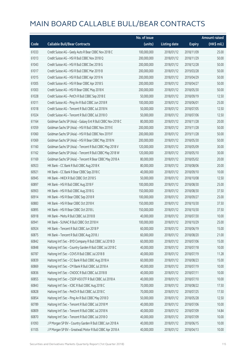|       |                                                             | No. of issue |                     |               | <b>Amount raised</b> |
|-------|-------------------------------------------------------------|--------------|---------------------|---------------|----------------------|
| Code  | <b>Callable Bull/Bear Contracts</b>                         | (units)      | <b>Listing date</b> | <b>Expiry</b> | (HK\$ mil.)          |
| 61033 | Credit Suisse AG - Geely Auto R Bear CBBC Nov 2018 C        | 100,000,000  | 2018/01/12          | 2018/11/09    | 25.00                |
| 61013 | Credit Suisse AG - HSI R Bull CBBC Nov 2018 Q               | 200,000,000  | 2018/01/12          | 2018/11/29    | 50.00                |
| 61043 | Credit Suisse AG - HSI R Bull CBBC Dec 2018 G               | 200,000,000  | 2018/01/12          | 2018/12/28    | 50.00                |
| 61017 | Credit Suisse AG - HSI R Bull CBBC Mar 2019 B               | 200,000,000  | 2018/01/12          | 2019/03/28    | 50.00                |
| 61015 | Credit Suisse AG - HSI R Bull CBBC Apr 2019 N               | 200,000,000  | 2018/01/12          | 2019/04/29    | 50.00                |
| 61005 | Credit Suisse AG - HSI R Bear CBBC Apr 2018 S               | 200,000,000  | 2018/01/12          | 2018/04/27    | 50.00                |
| 61003 | Credit Suisse AG - HSI R Bear CBBC May 2018 K               | 200,000,000  | 2018/01/12          | 2018/05/30    | 50.00                |
| 61028 | Credit Suisse AG - PetCh R Bull CBBC Sep 2018 E             | 50,000,000   | 2018/01/12          | 2018/09/19    | 12.50                |
| 61011 | Credit Suisse AG - Ping An R Bull CBBC Jun 2018 R           | 100,000,000  | 2018/01/12          | 2018/06/01    | 25.00                |
| 61018 | Credit Suisse AG - Tencent R Bull CBBC Jul 2018 N           | 50,000,000   | 2018/01/12          | 2018/07/05    | 12.50                |
| 61024 | Credit Suisse AG - Tencent R Bull CBBC Jul 2018 O           | 50,000,000   | 2018/01/12          | 2018/07/06    | 12.50                |
| 61164 | Goldman Sachs SP (Asia) - Galaxy Ent R Bull CBBC Nov 2018 C | 80,000,000   | 2018/01/12          | 2018/11/28    | 20.00                |
| 61059 | Goldman Sachs SP (Asia) - HSI R Bull CBBC Nov 2019 E        | 200,000,000  | 2018/01/12          | 2019/11/28    | 50.00                |
| 61060 | Goldman Sachs SP (Asia) - HSI R Bull CBBC Nov 2019 F        | 200,000,000  | 2018/01/12          | 2019/11/28    | 50.00                |
| 61069 | Goldman Sachs SP (Asia) - HSI R Bear CBBC May 2018 N        | 200,000,000  | 2018/01/12          | 2018/05/30    | 50.00                |
| 61160 | Goldman Sachs SP (Asia) - Tencent R Bull CBBC May 2018 V    | 120,000,000  | 2018/01/12          | 2018/05/09    | 30.00                |
| 61162 | Goldman Sachs SP (Asia) - Tencent R Bull CBBC May 2018 W    | 120,000,000  | 2018/01/12          | 2018/05/10    | 30.00                |
| 61169 | Goldman Sachs SP (Asia) - Tencent R Bear CBBC May 2018 A    | 80,000,000   | 2018/01/12          | 2018/05/02    | 20.00                |
| 60923 | HK Bank - CC Bank R Bull CBBC Aug 2018 K                    | 80,000,000   | 2018/01/12          | 2018/08/06    | 20.00                |
| 60921 | HK Bank - CC Bank R Bear CBBC Sep 2018 C                    | 40,000,000   | 2018/01/12          | 2018/09/10    | 10.00                |
| 60945 | HK Bank - HKEX R Bull CBBC Oct 2018 S                       | 50,000,000   | 2018/01/12          | 2018/10/08    | 12.50                |
| 60897 | HK Bank - HSI R Bull CBBC Aug 2018 F                        | 100,000,000  | 2018/01/12          | 2018/08/30    | 25.00                |
| 60903 | HK Bank - HSI R Bull CBBC Aug 2018 G                        | 150,000,000  | 2018/01/12          | 2018/08/30    | 37.50                |
| 60914 | HK Bank - HSI R Bear CBBC Sep 2018 R                        | 100,000,000  | 2018/01/12          | 2018/09/27    | 25.00                |
| 60883 | HK Bank - HSI R Bear CBBC Oct 2018 K                        | 150,000,000  | 2018/01/12          | 2018/10/30    | 37.50                |
| 60895 | HK Bank - HSI R Bear CBBC Oct 2018 L                        | 150,000,000  | 2018/01/12          | 2018/10/30    | 37.50                |
| 60918 | HK Bank - Meitu R Bull CBBC Jul 2018 B                      | 40,000,000   | 2018/01/12          | 2018/07/30    | 10.00                |
| 60941 | HK Bank - SUNAC R Bull CBBC Oct 2018 H                      | 100,000,000  | 2018/01/12          | 2018/10/29    | 25.00                |
| 60924 | HK Bank - Tencent R Bull CBBC Jun 2018 P                    | 60,000,000   | 2018/01/12          | 2018/06/19    | 15.00                |
| 60875 | HK Bank - Tencent R Bull CBBC Aug 2018 J                    | 60,000,000   | 2018/01/12          | 2018/08/20    | 21.00                |
| 60842 | Haitong Int'l Sec - BYD Company R Bull CBBC Jul 2018 D      | 60,000,000   | 2018/01/12          | 2018/07/06    | 15.00                |
| 60848 | Haitong Int'l Sec - Country Garden R Bull CBBC Jul 2018 C   | 40,000,000   | 2018/01/12          | 2018/07/18    | 10.00                |
| 60787 | Haitong Int'l Sec - COVS R Bull CBBC Jul 2018 B             | 40,000,000   | 2018/01/12          | 2018/07/19    | 11.28                |
| 60839 | Haitong Int'l Sec - CC Bank R Bull CBBC Aug 2018 A          | 60,000,000   | 2018/01/12          | 2018/08/23    | 15.00                |
| 60869 | Haitong Int'l Sec - CM Bank R Bull CBBC Jul 2018 A          | 40,000,000   | 2018/01/12          | 2018/07/19    | 10.00                |
| 60836 | Haitong Int'l Sec - CNOOC R Bull CBBC Jul 2018 B            | 40,000,000   | 2018/01/12          | 2018/07/11    | 10.00                |
| 60855 | Haitong Int'l Sec - CSOP A50 ETF R Bull CBBC Jul 2018 A     | 40,000,000   | 2018/01/12          | 2018/07/10    | 10.00                |
| 60843 | Haitong Int'l Sec - ICBC R Bull CBBC Aug 2018 C             | 70,000,000   | 2018/01/12          | 2018/08/22    | 17.50                |
| 60828 | Haitong Int'l Sec - PetCh R Bull CBBC Jul 2018 C            | 70,000,000   | 2018/01/12          | 2018/07/25    | 17.50                |
| 60854 | Haitong Int'l Sec - Ping An R Bull CBBC May 2018 D          | 50,000,000   | 2018/01/12          | 2018/05/28    | 12.50                |
| 60789 | Haitong Int'l Sec - Tencent R Bull CBBC Jul 2018 M          | 40,000,000   | 2018/01/12          | 2018/07/06    | 10.00                |
| 60809 | Haitong Int'l Sec - Tencent R Bull CBBC Jul 2018 N          | 40,000,000   | 2018/01/12          | 2018/07/09    | 14.84                |
| 60870 | Haitong Int'l Sec - Tencent R Bull CBBC Jul 2018 O          | 40,000,000   | 2018/01/12          | 2018/07/09    | 10.00                |
| 61093 | J P Morgan SP BV - Country Garden R Bull CBBC Jun 2018 A    | 40,000,000   | 2018/01/12          | 2018/06/15    | 10.00                |
| 61105 | J P Morgan SP BV - Greatwall Motor R Bull CBBC Apr 2018 A   | 40,000,000   | 2018/01/12          | 2018/04/13    | 10.00                |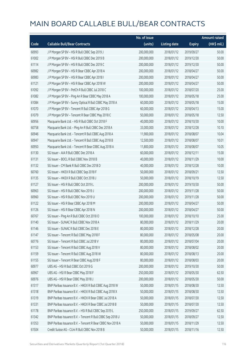|       |                                                            | No. of issue |                     |               | <b>Amount raised</b> |
|-------|------------------------------------------------------------|--------------|---------------------|---------------|----------------------|
| Code  | <b>Callable Bull/Bear Contracts</b>                        | (units)      | <b>Listing date</b> | <b>Expiry</b> | (HK\$ mil.)          |
| 60993 | J P Morgan SP BV - HSI R Bull CBBC Sep 2019 J              | 200,000,000  | 2018/01/12          | 2019/09/27    | 50.00                |
| 61002 | J P Morgan SP BV - HSI R Bull CBBC Dec 2019 B              | 200,000,000  | 2018/01/12          | 2019/12/30    | 50.00                |
| 61114 | J P Morgan SP BV - HSI R Bull CBBC Dec 2019 C              | 200,000,000  | 2018/01/12          | 2019/12/30    | 50.00                |
| 60982 | J P Morgan SP BV - HSI R Bear CBBC Apr 2018 A              | 200,000,000  | 2018/01/12          | 2018/04/27    | 50.00                |
| 60983 | J P Morgan SP BV - HSI R Bear CBBC Apr 2018 I              | 200,000,000  | 2018/01/12          | 2018/04/27    | 50.00                |
| 61121 | J P Morgan SP BV - HSI R Bear CBBC Apr 2018 W              | 200,000,000  | 2018/01/12          | 2018/04/27    | 50.00                |
| 61092 | J P Morgan SP BV - PetCh R Bull CBBC Jul 2018 C            | 100,000,000  | 2018/01/12          | 2018/07/20    | 25.00                |
| 61082 | J P Morgan SP BV - Ping An R Bear CBBC May 2018 A          | 100,000,000  | 2018/01/12          | 2018/05/18    | 25.00                |
| 61084 | J P Morgan SP BV - Sunny Optical R Bull CBBC May 2018 A    | 60,000,000   | 2018/01/12          | 2018/05/18    | 15.00                |
| 61070 | J P Morgan SP BV - Tencent R Bull CBBC Apr 2018 G          | 60,000,000   | 2018/01/12          | 2018/04/13    | 15.00                |
| 61079 | J P Morgan SP BV - Tencent R Bear CBBC May 2018 C          | 50,000,000   | 2018/01/12          | 2018/05/18    | 12.50                |
| 60956 | Macquarie Bank Ltd. - HSI R Bull CBBC Oct 2018 F           | 40,000,000   | 2018/01/12          | 2018/10/30    | 10.00                |
| 60758 | Macquarie Bank Ltd. - Ping An R Bull CBBC Dec 2018 A       | 33,000,000   | 2018/01/12          | 2018/12/28    | 10.10                |
| 60946 | Macquarie Bank Ltd. - Tencent R Bull CBBC Aug 2018 A       | 11,900,000   | 2018/01/12          | 2018/08/07    | 10.04                |
| 60947 | Macquarie Bank Ltd. - Tencent R Bull CBBC Aug 2018 B       | 12,500,000   | 2018/01/12          | 2018/08/07    | 10.01                |
| 60950 | Macquarie Bank Ltd. - Tencent R Bear CBBC Aug 2018 A       | 11,800,000   | 2018/01/12          | 2018/08/07    | 10.05                |
| 61130 | SG Issuer - AIA R Bull CBBC Dec 2018 A                     | 60,000,000   | 2018/01/12          | 2018/12/11    | 15.00                |
| 61131 | SG Issuer - BOCL R Bull CBBC Nov 2018 B                    | 40,000,000   | 2018/01/12          | 2018/11/29    | 10.00                |
| 61132 | SG Issuer - CM Bank R Bull CBBC Dec 2018 D                 | 40,000,000   | 2018/01/12          | 2018/12/28    | 10.00                |
| 60760 | SG Issuer - HKEX R Bull CBBC Sep 2018 F                    | 50,000,000   | 2018/01/12          | 2018/09/21    | 12.50                |
| 61135 | SG Issuer - HKEX R Bull CBBC Oct 2018 J                    | 50,000,000   | 2018/01/12          | 2018/10/19    | 12.50                |
| 61127 | SG Issuer - HSI R Bull CBBC Oct 2019 L                     | 200,000,000  | 2018/01/12          | 2019/10/30    | 50.00                |
| 60963 | SG Issuer - HSI R Bull CBBC Nov 2019 J                     | 200,000,000  | 2018/01/12          | 2019/11/28    | 50.00                |
| 60960 | SG Issuer - HSI R Bull CBBC Nov 2019 U                     | 200,000,000  | 2018/01/12          | 2019/11/28    | 50.00                |
| 61122 | SG Issuer - HSI R Bear CBBC Apr 2018 M                     | 200,000,000  | 2018/01/12          | 2018/04/27    | 50.00                |
| 61126 | SG Issuer - HSI R Bear CBBC Apr 2018 N                     | 200,000,000  | 2018/01/12          | 2018/04/27    | 50.00                |
| 60767 | SG Issuer - Ping An R Bull CBBC Oct 2018 O                 | 100,000,000  | 2018/01/12          | 2018/10/10    | 25.00                |
| 61140 | SG Issuer – SUNAC R Bull CBBC Nov 2018 A                   | 80,000,000   | 2018/01/12          | 2018/11/29    | 20.00                |
| 61146 | SG Issuer - SUNAC R Bull CBBC Dec 2018 E                   | 80,000,000   | 2018/01/12          | 2018/12/28    | 20.00                |
| 61147 | SG Issuer - Tencent R Bull CBBC May 2018 F                 | 80,000,000   | 2018/01/12          | 2018/05/08    | 20.00                |
| 60776 | SG Issuer - Tencent R Bull CBBC Jul 2018 V                 | 80,000,000   | 2018/01/12          | 2018/07/04    | 20.00                |
| 61153 | SG Issuer - Tencent R Bull CBBC Aug 2018 V                 | 80,000,000   | 2018/01/12          | 2018/08/02    | 20.00                |
| 61159 | SG Issuer - Tencent R Bull CBBC Aug 2018 W                 | 80,000,000   | 2018/01/12          | 2018/08/13    | 20.00                |
| 61155 | SG Issuer - Tencent R Bear CBBC Aug 2018 F                 | 80,000,000   | 2018/01/12          | 2018/08/03    | 20.00                |
| 60977 | UBS AG - HSI R Bull CBBC Oct 2019 G                        | 200,000,000  | 2018/01/12          | 2019/10/30    | 50.00                |
| 60967 | UBS AG - HSI R Bear CBBC May 2018 F                        | 250,000,000  | 2018/01/12          | 2018/05/30    | 62.50                |
| 60976 | UBS AG - HSI R Bear CBBC May 2018 J                        | 200,000,000  | 2018/01/12          | 2018/05/30    | 50.00                |
| 61317 | BNP Paribas Issuance B.V. - HKEX R Bull CBBC Aug 2018 W    | 50,000,000   | 2018/01/15          | 2018/08/30    | 12.50                |
| 61318 | BNP Paribas Issuance B.V. - HKEX R Bull CBBC Aug 2018 X    | 50,000,000   | 2018/01/15          | 2018/08/30    | 12.50                |
| 61319 | BNP Paribas Issuance B.V. - HKEX R Bear CBBC Jul 2018 A    | 50,000,000   | 2018/01/15          | 2018/07/30    | 12.50                |
| 61331 | BNP Paribas Issuance B.V. - HKEX R Bear CBBC Jul 2018 B    | 50,000,000   | 2018/01/15          | 2018/07/30    | 12.50                |
| 61178 | BNP Paribas Issuance B.V. - HSI R Bull CBBC Sep 2019 L     | 250,000,000  | 2018/01/15          | 2019/09/27    | 62.50                |
| 61342 | BNP Paribas Issuance B.V. - Tencent R Bull CBBC Sep 2018 U | 50,000,000   | 2018/01/15          | 2018/09/27    | 12.50                |
| 61353 | BNP Paribas Issuance B.V. - Tencent R Bear CBBC Nov 2018 A | 50,000,000   | 2018/01/15          | 2018/11/29    | 12.50                |
| 61504 | Credit Suisse AG - CUni R Bull CBBC Nov 2018 B             | 50,000,000   | 2018/01/15          | 2018/11/16    | 12.50                |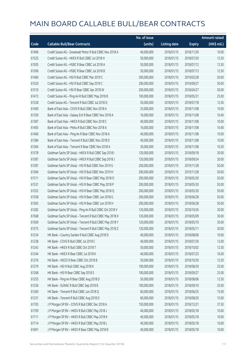|       |                                                           | No. of issue |                     |               | <b>Amount raised</b>  |
|-------|-----------------------------------------------------------|--------------|---------------------|---------------|-----------------------|
| Code  | <b>Callable Bull/Bear Contracts</b>                       | (units)      | <b>Listing date</b> | <b>Expiry</b> | $(HK\frac{1}{2}mil.)$ |
| 61496 | Credit Suisse AG - Greatwall Motor R Bull CBBC Nov 2018 A | 40,000,000   | 2018/01/15          | 2018/11/30    | 10.00                 |
| 61525 | Credit Suisse AG - HKEX R Bull CBBC Jul 2018 H            | 50,000,000   | 2018/01/15          | 2018/07/20    | 12.50                 |
| 61505 | Credit Suisse AG - HSBC R Bear CBBC Jul 2018 A            | 50,000,000   | 2018/01/15          | 2018/07/12    | 12.50                 |
| 61506 | Credit Suisse AG - HSBC R Bear CBBC Jul 2018 B            | 50,000,000   | 2018/01/15          | 2018/07/13    | 12.50                 |
| 61460 | Credit Suisse AG - HSI R Bull CBBC Mar 2019 C             | 200,000,000  | 2018/01/15          | 2019/03/28    | 50.00                 |
| 61520 | Credit Suisse AG - HSI R Bull CBBC Sep 2019 C             | 200,000,000  | 2018/01/15          | 2019/09/27    | 50.00                 |
| 61510 | Credit Suisse AG - HSI R Bear CBBC Apr 2018 W             | 200,000,000  | 2018/01/15          | 2018/04/27    | 50.00                 |
| 61473 | Credit Suisse AG - Ping An R Bull CBBC May 2018 B         | 100,000,000  | 2018/01/15          | 2018/05/31    | 25.00                 |
| 61528 | Credit Suisse AG - Tencent R Bull CBBC Jul 2018 Q         | 50,000,000   | 2018/01/15          | 2018/07/18    | 12.50                 |
| 61400 | Bank of East Asia - COVS R Bull CBBC Nov 2018 A           | 25,000,000   | 2018/01/15          | 2018/11/08    | 10.00                 |
| 61359 | Bank of East Asia - Galaxy Ent R Bear CBBC Nov 2018 A     | 16,000,000   | 2018/01/15          | 2018/11/08    | 10.40                 |
| 61387 | Bank of East Asia - HKEX R Bull CBBC Nov 2018 C           | 40,000,000   | 2018/01/15          | 2018/11/08    | 10.00                 |
| 61405 | Bank of East Asia - Meitu R Bull CBBC Nov 2018 A          | 16,000,000   | 2018/01/15          | 2018/11/08    | 10.40                 |
| 61406 | Bank of East Asia - Ping An R Bear CBBC Nov 2018 A        | 40,000,000   | 2018/01/15          | 2018/11/08    | 10.00                 |
| 61384 | Bank of East Asia - Tencent R Bull CBBC Nov 2018 D        | 40,000,000   | 2018/01/15          | 2018/11/08    | 10.00                 |
| 61364 | Bank of East Asia - Tencent R Bear CBBC Nov 2018 A        | 30,000,000   | 2018/01/15          | 2018/11/08    | 10.20                 |
| 61578 | Goldman Sachs SP (Asia) - HKEX R Bull CBBC Sep 2018 I     | 120,000,000  | 2018/01/15          | 2018/09/18    | 30.00                 |
| 61587 | Goldman Sachs SP (Asia) - HKEX R Bull CBBC Sep 2018 J     | 120,000,000  | 2018/01/15          | 2018/09/24    | 30.00                 |
| 61287 | Goldman Sachs SP (Asia) - HSI R Bull CBBC Nov 2019 G      | 200,000,000  | 2018/01/15          | 2019/11/28    | 50.00                 |
| 61566 | Goldman Sachs SP (Asia) - HSI R Bull CBBC Nov 2019 H      | 200,000,000  | 2018/01/15          | 2019/11/28    | 50.00                 |
| 61311 | Goldman Sachs SP (Asia) - HSI R Bear CBBC May 2018 O      | 200,000,000  | 2018/01/15          | 2018/05/30    | 50.00                 |
| 61531 | Goldman Sachs SP (Asia) - HSI R Bear CBBC May 2018 P      | 200,000,000  | 2018/01/15          | 2018/05/30    | 50.00                 |
| 61552 | Goldman Sachs SP (Asia) - HSI R Bear CBBC May 2018 Q      | 200,000,000  | 2018/01/15          | 2018/05/30    | 50.00                 |
| 61558 | Goldman Sachs SP (Asia) - HSI R Bear CBBC Jun 2018 G      | 200,000,000  | 2018/01/15          | 2018/06/28    | 50.00                 |
| 61565 | Goldman Sachs SP (Asia) - HSI R Bear CBBC Jun 2018 H      | 200,000,000  | 2018/01/15          | 2018/06/28    | 50.00                 |
| 61282 | Goldman Sachs SP (Asia) - Ping An R Bull CBBC Oct 2018 V  | 120,000,000  | 2018/01/15          | 2018/10/26    | 30.00                 |
| 61568 | Goldman Sachs SP (Asia) - Tencent R Bull CBBC May 2018 X  | 120,000,000  | 2018/01/15          | 2018/05/09    | 30.00                 |
| 61569 | Goldman Sachs SP (Asia) - Tencent R Bull CBBC May 2018 Y  | 120,000,000  | 2018/01/15          | 2018/05/10    | 30.00                 |
| 61575 | Goldman Sachs SP (Asia) - Tencent R Bull CBBC May 2018 Z  | 120,000,000  | 2018/01/15          | 2018/05/11    | 30.00                 |
| 61234 | HK Bank - Country Garden R Bull CBBC Aug 2018 D           | 40,000,000   | 2018/01/15          | 2018/08/06    | 10.00                 |
| 61238 | HK Bank - COVS R Bull CBBC Jul 2018 C                     | 40,000,000   | 2018/01/15          | 2018/07/30    | 12.00                 |
| 61243 | HK Bank - HKEX R Bull CBBC Oct 2018 T                     | 50,000,000   | 2018/01/15          | 2018/10/02    | 12.50                 |
| 61244 | HK Bank - HKEX R Bear CBBC Jul 2018 K                     | 40,000,000   | 2018/01/15          | 2018/07/23    | 16.00                 |
| 61276 | HK Bank - HSCEI R Bear CBBC Oct 2018 B                    | 50,000,000   | 2018/01/15          | 2018/10/30    | 12.50                 |
| 61279 | HK Bank - HSI R Bull CBBC Aug 2018 K                      | 100,000,000  | 2018/01/15          | 2018/08/30    | 25.00                 |
| 61268 | HK Bank - HSI R Bear CBBC Sep 2018 S                      | 100,000,000  | 2018/01/15          | 2018/09/27    | 25.00                 |
| 61255 | HK Bank - Ping An R Bear CBBC Aug 2018 D                  | 50,000,000   | 2018/01/15          | 2018/08/06    | 12.50                 |
| 61236 | HK Bank - SUNAC R Bull CBBC Sep 2018 B                    | 100,000,000  | 2018/01/15          | 2018/09/10    | 25.00                 |
| 61260 | HK Bank - Tencent R Bull CBBC Jun 2018 Q                  | 60,000,000   | 2018/01/15          | 2018/06/25    | 15.00                 |
| 61231 | HK Bank - Tencent R Bull CBBC Aug 2018 D                  | 60,000,000   | 2018/01/15          | 2018/08/20    | 15.00                 |
| 61703 | J P Morgan SP BV - COVS R Bull CBBC Dec 2018 A            | 150,000,000  | 2018/01/15          | 2018/12/21    | 37.50                 |
| 61709 | J P Morgan SP BV - HKEX R Bull CBBC May 2018 J            | 40,000,000   | 2018/01/15          | 2018/05/18    | 10.00                 |
| 61711 | J P Morgan SP BV - HKEX R Bull CBBC May 2018 K            | 40,000,000   | 2018/01/15          | 2018/05/18    | 10.00                 |
| 61714 | J P Morgan SP BV - HKEX R Bull CBBC May 2018 L            | 40,000,000   | 2018/01/15          | 2018/05/18    | 10.00                 |
| 61691 | J P Morgan SP BV - HKEX R Bear CBBC May 2018 B            | 40,000,000   | 2018/01/15          | 2018/05/18    | 10.00                 |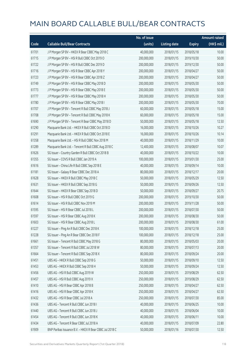|       |                                                         | No. of issue |                     |               | <b>Amount raised</b> |
|-------|---------------------------------------------------------|--------------|---------------------|---------------|----------------------|
| Code  | <b>Callable Bull/Bear Contracts</b>                     | (units)      | <b>Listing date</b> | <b>Expiry</b> | (HK\$ mil.)          |
| 61701 | J P Morgan SP BV - HKEX R Bear CBBC May 2018 C          | 40,000,000   | 2018/01/15          | 2018/05/18    | 10.00                |
| 61715 | J P Morgan SP BV - HSI R Bull CBBC Oct 2019 O           | 200,000,000  | 2018/01/15          | 2019/10/30    | 50.00                |
| 61722 | J P Morgan SP BV - HSI R Bull CBBC Dec 2019 D           | 200,000,000  | 2018/01/15          | 2019/12/30    | 50.00                |
| 61716 | J P Morgan SP BV - HSI R Bear CBBC Apr 2018 Y           | 200,000,000  | 2018/01/15          | 2018/04/27    | 50.00                |
| 61723 | J P Morgan SP BV - HSI R Bear CBBC Apr 2018 Z           | 200,000,000  | 2018/01/15          | 2018/04/27    | 50.00                |
| 61749 | J P Morgan SP BV - HSI R Bear CBBC May 2018 D           | 200,000,000  | 2018/01/15          | 2018/05/30    | 50.00                |
| 61773 | J P Morgan SP BV - HSI R Bear CBBC May 2018 E           | 200,000,000  | 2018/01/15          | 2018/05/30    | 50.00                |
| 61777 | J P Morgan SP BV - HSI R Bear CBBC May 2018 H           | 200,000,000  | 2018/01/15          | 2018/05/30    | 50.00                |
| 61780 | J P Morgan SP BV - HSI R Bear CBBC May 2018 I           | 200,000,000  | 2018/01/15          | 2018/05/30    | 70.00                |
| 61707 | J P Morgan SP BV - Tencent R Bull CBBC May 2018 J       | 60,000,000   | 2018/01/15          | 2018/05/18    | 15.00                |
| 61708 | J P Morgan SP BV - Tencent R Bull CBBC May 2018 K       | 60,000,000   | 2018/01/15          | 2018/05/18    | 15.00                |
| 61690 | J P Morgan SP BV - Tencent R Bear CBBC May 2018 D       | 50,000,000   | 2018/01/15          | 2018/05/18    | 12.50                |
| 61290 | Macquarie Bank Ltd. - HKEX R Bull CBBC Oct 2018 D       | 16,000,000   | 2018/01/15          | 2018/10/26    | 10.27                |
| 61291 | Macquarie Bank Ltd. - HKEX R Bull CBBC Oct 2018 E       | 16,000,000   | 2018/01/15          | 2018/10/26    | 10.14                |
| 61358 | Macquarie Bank Ltd. - HSI R Bull CBBC Nov 2018 M        | 40,000,000   | 2018/01/15          | 2018/11/29    | 10.00                |
| 61289 | Macquarie Bank Ltd. - Tencent R Bull CBBC Aug 2018 C    | 12,400,000   | 2018/01/15          | 2018/08/07    | 10.07                |
| 61626 | SG Issuer - Country Garden R Bull CBBC Oct 2018 B       | 40,000,000   | 2018/01/15          | 2018/10/22    | 10.00                |
| 61355 | SG Issuer - COVS R Bull CBBC Jan 2019 A                 | 100,000,000  | 2018/01/15          | 2019/01/30    | 25.00                |
| 61616 | SG Issuer - China Life R Bull CBBC Sep 2018 E           | 40,000,000   | 2018/01/15          | 2018/09/14    | 10.00                |
| 61181 | SG Issuer - Galaxy R Bear CBBC Dec 2018 A               | 80,000,000   | 2018/01/15          | 2018/12/17    | 20.00                |
| 61628 | SG Issuer - HKEX R Bull CBBC May 2018 C                 | 50,000,000   | 2018/01/15          | 2018/05/29    | 12.50                |
| 61631 | SG Issuer - HKEX R Bull CBBC Sep 2018 G                 | 50,000,000   | 2018/01/15          | 2018/09/26    | 12.50                |
| 61644 | SG Issuer - HKEX R Bear CBBC Sep 2018 D                 | 50,000,000   | 2018/01/15          | 2018/09/27    | 20.75                |
| 61608 | SG Issuer - HSI R Bull CBBC Oct 2019 G                  | 200,000,000  | 2018/01/15          | 2019/10/30    | 50.00                |
| 61614 | SG Issuer - HSI R Bull CBBC Nov 2019 M                  | 200,000,000  | 2018/01/15          | 2019/11/28    | 50.00                |
| 61595 | SG Issuer - HSI R Bear CBBC Jul 2018 L                  | 200,000,000  | 2018/01/15          | 2018/07/30    | 50.00                |
| 61597 | SG Issuer - HSI R Bear CBBC Aug 2018 K                  | 200,000,000  | 2018/01/15          | 2018/08/30    | 50.00                |
| 61603 | SG Issuer - HSI R Bear CBBC Aug 2018 L                  | 200,000,000  | 2018/01/15          | 2018/08/30    | 61.00                |
| 61227 | SG Issuer - Ping An R Bull CBBC Dec 2018 K              | 100,000,000  | 2018/01/15          | 2018/12/18    | 25.00                |
| 61228 | SG Issuer - Ping An R Bear CBBC Dec 2018 F              | 100,000,000  | 2018/01/15          | 2018/12/18    | 25.00                |
| 61661 | SG Issuer - Tencent R Bull CBBC May 2018 G              | 80,000,000   | 2018/01/15          | 2018/05/03    | 20.00                |
| 61357 | SG Issuer - Tencent R Bull CBBC Jul 2018 W              | 80,000,000   | 2018/01/15          | 2018/07/13    | 20.00                |
| 61664 | SG Issuer - Tencent R Bull CBBC Sep 2018 X              | 80,000,000   | 2018/01/15          | 2018/09/24    | 20.00                |
| 61451 | UBS AG - HKEX R Bull CBBC Sep 2018 G                    | 50,000,000   | 2018/01/15          | 2018/09/10    | 12.50                |
| 61453 | UBS AG - HKEX R Bull CBBC Sep 2018 H                    | 50,000,000   | 2018/01/15          | 2018/09/24    | 12.50                |
| 61456 | UBS AG - HSI R Bull CBBC Aug 2019 W                     | 250,000,000  | 2018/01/15          | 2019/08/29    | 62.50                |
| 61457 | UBS AG - HSI R Bull CBBC Aug 2019 X                     | 250,000,000  | 2018/01/15          | 2019/08/29    | 62.50                |
| 61410 | UBS AG - HSI R Bear CBBC Apr 2018 B                     | 250,000,000  | 2018/01/15          | 2018/04/27    | 62.50                |
| 61416 | UBS AG - HSI R Bear CBBC Apr 2018 K                     | 250,000,000  | 2018/01/15          | 2018/04/27    | 62.50                |
| 61432 | UBS AG - HSI R Bear CBBC Jul 2018 A                     | 250,000,000  | 2018/01/15          | 2018/07/30    | 85.00                |
| 61436 | UBS AG - Tencent R Bull CBBC Jun 2018 I                 | 40,000,000   | 2018/01/15          | 2018/06/25    | 10.00                |
| 61440 | UBS AG - Tencent R Bull CBBC Jun 2018 J                 | 40,000,000   | 2018/01/15          | 2018/06/04    | 10.00                |
| 61454 | UBS AG - Tencent R Bull CBBC Jun 2018 K                 | 40,000,000   | 2018/01/15          | 2018/06/11    | 10.00                |
| 61434 | UBS AG - Tencent R Bear CBBC Jul 2018 A                 | 40,000,000   | 2018/01/15          | 2018/07/09    | 22.80                |
| 61909 | BNP Paribas Issuance B.V. - HKEX R Bear CBBC Jul 2018 C | 50,000,000   | 2018/01/16          | 2018/07/30    | 12.50                |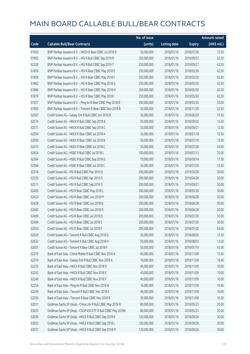|       |                                                              | No. of issue |                     |               | <b>Amount raised</b>  |
|-------|--------------------------------------------------------------|--------------|---------------------|---------------|-----------------------|
| Code  | <b>Callable Bull/Bear Contracts</b>                          | (units)      | <b>Listing date</b> | <b>Expiry</b> | $(HK\frac{1}{2}mil.)$ |
| 61920 | BNP Paribas Issuance B.V. - HKEX R Bear CBBC Jul 2018 D      | 50,000,000   | 2018/01/16          | 2018/07/30    | 12.50                 |
| 61903 | BNP Paribas Issuance B.V. - HSI R Bull CBBC Sep 2019 R       | 250,000,000  | 2018/01/16          | 2019/09/27    | 62.50                 |
| 62328 | BNP Paribas Issuance B.V. - HSI R Bull CBBC Sep 2019 T       | 250,000,000  | 2018/01/16          | 2019/09/27    | 62.50                 |
| 61856 | BNP Paribas Issuance B.V. - HSI R Bear CBBC May 2018 E       | 250,000,000  | 2018/01/16          | 2018/05/30    | 62.50                 |
| 61858 | BNP Paribas Issuance B.V. - HSI R Bear CBBC May 2018 F       | 250,000,000  | 2018/01/16          | 2018/05/30    | 62.50                 |
| 61862 | BNP Paribas Issuance B.V. - HSI R Bear CBBC May 2018 G       | 250,000,000  | 2018/01/16          | 2018/05/30    | 62.50                 |
| 61866 | BNP Paribas Issuance B.V. - HSI R Bear CBBC May 2018 H       | 250,000,000  | 2018/01/16          | 2018/05/30    | 62.50                 |
| 61879 | BNP Paribas Issuance B.V. - HSI R Bear CBBC May 2018 I       | 250,000,000  | 2018/01/16          | 2018/05/30    | 62.50                 |
| 61927 | BNP Paribas Issuance B.V. - Ping An R Bear CBBC May 2018 B   | 200,000,000  | 2018/01/16          | 2018/05/30    | 50.00                 |
| 61905 | BNP Paribas Issuance B.V. - Tencent R Bear CBBC Nov 2018 B   | 50,000,000   | 2018/01/16          | 2018/11/29    | 22.50                 |
| 62567 | Credit Suisse AG - Galaxy Ent R Bull CBBC Jun 2018 R         | 50,000,000   | 2018/01/16          | 2018/06/29    | 12.50                 |
| 62574 | Credit Suisse AG - HKEX R Bull CBBC Sep 2018 B               | 50,000,000   | 2018/01/16          | 2018/09/20    | 12.50                 |
| 62577 | Credit Suisse AG - HKEX R Bull CBBC Sep 2018 C               | 50,000,000   | 2018/01/16          | 2018/09/21    | 12.50                 |
| 62594 | Credit Suisse AG - HKEX R Bear CBBC Jul 2018 A               | 50,000,000   | 2018/01/16          | 2018/07/18    | 12.50                 |
| 62595 | Credit Suisse AG - HKEX R Bear CBBC Jul 2018 B               | 50,000,000   | 2018/01/16          | 2018/07/19    | 15.00                 |
| 62615 | Credit Suisse AG - HKEX R Bear CBBC Jul 2018 C               | 50,000,000   | 2018/01/16          | 2018/07/20    | 24.00                 |
| 62654 | Credit Suisse AG - HSBC R Bull CBBC Jul 2018 L               | 100,000,000  | 2018/01/16          | 2018/07/13    | 25.00                 |
| 62564 | Credit Suisse AG - HSBC R Bull CBBC Sep 2018 G               | 70,000,000   | 2018/01/16          | 2018/09/14    | 17.50                 |
| 62566 | Credit Suisse AG - HSBC R Bear CBBC Jul 2018 C               | 50,000,000   | 2018/01/16          | 2018/07/20    | 12.50                 |
| 62518 | Credit Suisse AG - HSI R Bull CBBC Mar 2019 D                | 200,000,000  | 2018/01/16          | 2019/03/28    | 50.00                 |
| 62535 | Credit Suisse AG - HSI R Bull CBBC Apr 2019 O                | 200,000,000  | 2018/01/16          | 2019/04/29    | 50.00                 |
| 62511 | Credit Suisse AG - HSI R Bull CBBC Sep 2019 D                | 200,000,000  | 2018/01/16          | 2019/09/27    | 50.00                 |
| 62405 | Credit Suisse AG - HSI R Bear CBBC May 2018 L                | 200,000,000  | 2018/01/16          | 2018/05/30    | 50.00                 |
| 62423 | Credit Suisse AG - HSI R Bear CBBC Jun 2018 M                | 200,000,000  | 2018/01/16          | 2018/06/28    | 50.00                 |
| 62428 | Credit Suisse AG - HSI R Bear CBBC Jun 2018 N                | 200,000,000  | 2018/01/16          | 2018/06/28    | 50.00                 |
| 62492 | Credit Suisse AG - HSI R Bear CBBC Jun 2018 O                | 200,000,000  | 2018/01/16          | 2018/06/28    | 50.00                 |
| 62490 | Credit Suisse AG - HSI R Bear CBBC Jul 2018 D                | 200,000,000  | 2018/01/16          | 2018/07/30    | 50.00                 |
| 62494 | Credit Suisse AG - HSI R Bear CBBC Jul 2018 E                | 200,000,000  | 2018/01/16          | 2018/07/30    | 50.00                 |
| 62503 | Credit Suisse AG - HSI R Bear CBBC Jul 2018 F                | 200,000,000  | 2018/01/16          | 2018/07/30    | 54.00                 |
| 62629 | Credit Suisse AG - Tencent R Bull CBBC Aug 2018 G            | 50,000,000   | 2018/01/16          | 2018/08/02    | 12.50                 |
| 62632 | Credit Suisse AG - Tencent R Bull CBBC Aug 2018 H            | 50,000,000   | 2018/01/16          | 2018/08/03    | 12.50                 |
| 62651 | Credit Suisse AG - Tencent R Bear CBBC Jul 2018 F            | 50,000,000   | 2018/01/16          | 2018/07/19    | 42.00                 |
| 62279 | Bank of East Asia - China Mobile R Bull CBBC Nov 2018 A      | 60,000,000   | 2018/01/16          | 2018/11/09    | 15.00                 |
| 62319 | Bank of East Asia - Galaxy Ent R Bull CBBC Nov 2018 A        | 16,000,000   | 2018/01/16          | 2018/11/09    | 10.40                 |
| 62239 | Bank of East Asia - HKEX R Bull CBBC Nov 2018 D              | 40,000,000   | 2018/01/16          | 2018/11/09    | 10.00                 |
| 62243 | Bank of East Asia - HKEX R Bull CBBC Nov 2018 E              | 40,000,000   | 2018/01/16          | 2018/11/09    | 10.00                 |
| 62246 | Bank of East Asia - HKEX R Bull CBBC Nov 2018 F              | 40,000,000   | 2018/01/16          | 2018/11/09    | 10.00                 |
| 62254 | Bank of East Asia - Ping An R Bull CBBC Nov 2018 A           | 16,000,000   | 2018/01/16          | 2018/11/09    | 10.40                 |
| 62249 | Bank of East Asia - Tencent R Bull CBBC Nov 2018 E           | 40,000,000   | 2018/01/16          | 2018/11/09    | 10.00                 |
| 62293 | Bank of East Asia - Tencent R Bear CBBC Nov 2018 B           | 30,000,000   | 2018/01/16          | 2018/11/09    | 10.20                 |
| 63011 | Goldman Sachs SP (Asia) - China Life R Bull CBBC May 2018 N  | 80,000,000   | 2018/01/16          | 2018/05/23    | 20.00                 |
| 63025 | Goldman Sachs SP (Asia) - CSOP A50 ETF R Bull CBBC May 2018A | 80,000,000   | 2018/01/16          | 2018/05/23    | 20.00                 |
| 63034 | Goldman Sachs SP (Asia) - HKEX R Bull CBBC Sep 2018 K        | 120,000,000  | 2018/01/16          | 2018/09/24    | 30.00                 |
| 63052 | Goldman Sachs SP (Asia) - HKEX R Bull CBBC Sep 2018 L        | 120,000,000  | 2018/01/16          | 2018/09/26    | 30.00                 |
| 63072 | Goldman Sachs SP (Asia) - HKEX R Bull CBBC Sep 2018 M        | 120,000,000  | 2018/01/16          | 2018/09/26    | 30.00                 |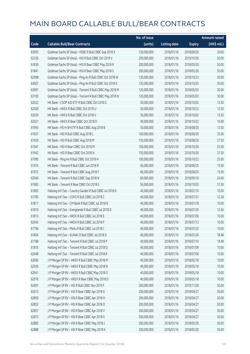|       |                                                           | No. of issue |                     |               | <b>Amount raised</b>  |
|-------|-----------------------------------------------------------|--------------|---------------------|---------------|-----------------------|
| Code  | <b>Callable Bull/Bear Contracts</b>                       | (units)      | <b>Listing date</b> | <b>Expiry</b> | $(HK\frac{1}{2}mil.)$ |
| 63093 | Goldman Sachs SP (Asia) - HSBC R Bull CBBC Sep 2018 X     | 120,000,000  | 2018/01/16          | 2018/09/26    | 30.00                 |
| 62336 | Goldman Sachs SP (Asia) - HSI R Bull CBBC Oct 2019 V      | 200,000,000  | 2018/01/16          | 2019/10/30    | 50.00                 |
| 61839 | Goldman Sachs SP (Asia) - HSI R Bear CBBC May 2018 R      | 200,000,000  | 2018/01/16          | 2018/05/30    | 50.00                 |
| 61841 | Goldman Sachs SP (Asia) - HSI R Bear CBBC May 2018 S      | 200,000,000  | 2018/01/16          | 2018/05/30    | 50.00                 |
| 62998 | Goldman Sachs SP (Asia) - Ping An R Bull CBBC Oct 2018 W  | 120,000,000  | 2018/01/16          | 2018/10/23    | 30.00                 |
| 63007 | Goldman Sachs SP (Asia) - Ping An R Bull CBBC Oct 2018 X  | 120,000,000  | 2018/01/16          | 2018/10/25    | 30.00                 |
| 63097 | Goldman Sachs SP (Asia) - Tencent R Bull CBBC May 2018 M  | 120,000,000  | 2018/01/16          | 2018/05/03    | 30.00                 |
| 63100 | Goldman Sachs SP (Asia) - Tencent R Bull CBBC May 2018 N  | 120,000,000  | 2018/01/16          | 2018/05/03    | 30.00                 |
| 62022 | HK Bank - CSOP A50 ETF R Bull CBBC Oct 2018 G             | 50,000,000   | 2018/01/16          | 2018/10/02    | 12.50                 |
| 62028 | HK Bank - HKEX R Bull CBBC Oct 2018 U                     | 50,000,000   | 2018/01/16          | 2018/10/22    | 12.50                 |
| 62030 | HK Bank - HKEX R Bull CBBC Oct 2018 V                     | 50,000,000   | 2018/01/16          | 2018/10/02    | 12.50                 |
| 62021 | HK Bank - HKEX R Bear CBBC Oct 2018 D                     | 40,000,000   | 2018/01/16          | 2018/10/22    | 16.00                 |
| 61993 | HK Bank - HS H-SH ETF R Bull CBBC Aug 2018 B              | 50,000,000   | 2018/01/16          | 2018/08/20    | 12.50                 |
| 61937 | HK Bank - HSI R Bull CBBC Aug 2018 L                      | 100,000,000  | 2018/01/16          | 2018/08/30    | 25.00                 |
| 61939 | HK Bank - HSI R Bull CBBC Aug 2018 M                      | 150,000,000  | 2018/01/16          | 2018/08/30    | 37.50                 |
| 61941 | HK Bank - HSI R Bear CBBC Oct 2018 M                      | 100,000,000  | 2018/01/16          | 2018/10/30    | 25.00                 |
| 61942 | HK Bank - HSI R Bear CBBC Oct 2018 N                      | 150,000,000  | 2018/01/16          | 2018/10/30    | 37.50                 |
| 61990 | HK Bank - Ping An R Bull CBBC Oct 2018 H                  | 100,000,000  | 2018/01/16          | 2018/10/22    | 25.00                 |
| 61974 | HK Bank - Tencent R Bull CBBC Jun 2018 R                  | 60,000,000   | 2018/01/16          | 2018/06/25    | 15.00                 |
| 61972 | HK Bank - Tencent R Bull CBBC Aug 2018 F                  | 60,000,000   | 2018/01/16          | 2018/08/20    | 15.00                 |
| 62040 | HK Bank - Tencent R Bull CBBC Sep 2018 N                  | 60,000,000   | 2018/01/16          | 2018/09/10    | 24.00                 |
| 61983 | HK Bank - Tencent R Bear CBBC Oct 2018 E                  | 50,000,000   | 2018/01/16          | 2018/10/02    | 37.50                 |
| 61805 | Haitong Int'l Sec - Country Garden R Bull CBBC Jul 2018 D | 40,000,000   | 2018/01/16          | 2018/07/10    | 10.00                 |
| 61785 | Haitong Int'l Sec - COVS R Bull CBBC Jul 2018 C           | 40,000,000   | 2018/01/16          | 2018/07/31    | 12.28                 |
| 61811 | Haitong Int'l Sec - CM Bank R Bull CBBC Jul 2018 B        | 40,000,000   | 2018/01/16          | 2018/07/18    | 10.00                 |
| 61810 | Haitong Int'l Sec - Evergrande R Bull CBBC Jul 2018 D     | 40,000,000   | 2018/01/16          | 2018/07/26    | 12.56                 |
| 61813 | Haitong Int'l Sec - HKEX R Bull CBBC Jul 2018 E           | 40,000,000   | 2018/01/16          | 2018/07/06    | 10.00                 |
| 62045 | Haitong Int'l Sec - HKEX R Bull CBBC Jul 2018 F           | 40,000,000   | 2018/01/16          | 2018/07/13    | 10.00                 |
| 61796 | Haitong Int'l Sec - Meitu R Bull CBBC Jul 2018 C          | 40,000,000   | 2018/01/16          | 2018/07/25    | 10.00                 |
| 61804 | Haitong Int'l Sec - SUNAC R Bull CBBC Jul 2018 D          | 40,000,000   | 2018/01/16          | 2018/07/26    | 18.48                 |
| 61788 | Haitong Int'l Sec - Tencent R Bull CBBC Jul 2018 P        | 40,000,000   | 2018/01/16          | 2018/07/10    | 19.48                 |
| 61816 | Haitong Int'l Sec - Tencent R Bull CBBC Jul 2018 Q        | 40,000,000   | 2018/01/16          | 2018/07/09    | 10.00                 |
| 62048 | Haitong Int'l Sec - Tencent R Bull CBBC Jul 2018 R        | 40,000,000   | 2018/01/16          | 2018/07/06    | 10.00                 |
| 62696 | J P Morgan SP BV - HKEX R Bull CBBC May 2018 M            | 40,000,000   | 2018/01/16          | 2018/05/18    | 10.00                 |
| 62926 | J P Morgan SP BV - HKEX R Bull CBBC May 2018 N            | 40,000,000   | 2018/01/16          | 2018/05/18    | 10.00                 |
| 62941 | J P Morgan SP BV - HKEX R Bull CBBC May 2018 O            | 40,000,000   | 2018/01/16          | 2018/05/18    | 10.00                 |
| 62976 | J P Morgan SP BV - HKEX R Bear CBBC May 2018 D            | 40,000,000   | 2018/01/16          | 2018/05/18    | 10.00                 |
| 62697 | J P Morgan SP BV - HSI R Bull CBBC Nov 2019 F             | 200,000,000  | 2018/01/16          | 2019/11/28    | 50.00                 |
| 62673 | J P Morgan SP BV - HSI R Bear CBBC Apr 2018 G             | 200,000,000  | 2018/01/16          | 2018/04/27    | 50.00                 |
| 62850 | J P Morgan SP BV - HSI R Bear CBBC Apr 2018 H             | 200,000,000  | 2018/01/16          | 2018/04/27    | 50.00                 |
| 62853 | J P Morgan SP BV - HSI R Bear CBBC Apr 2018 O             | 200,000,000  | 2018/01/16          | 2018/04/27    | 50.00                 |
| 62857 | J P Morgan SP BV - HSI R Bear CBBC Apr 2018 V             | 200,000,000  | 2018/01/16          | 2018/04/27    | 50.00                 |
| 62873 | J P Morgan SP BV - HSI R Bear CBBC Apr 2018 X             | 200,000,000  | 2018/01/16          | 2018/04/27    | 50.00                 |
| 62885 | J P Morgan SP BV - HSI R Bear CBBC May 2018 J             | 200,000,000  | 2018/01/16          | 2018/05/30    | 50.00                 |
| 62888 | J P Morgan SP BV - HSI R Bear CBBC May 2018 K             | 200,000,000  | 2018/01/16          | 2018/05/30    | 50.00                 |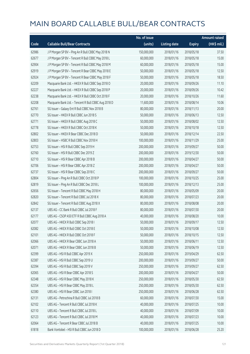|       |                                                      | No. of issue |                     |               | <b>Amount raised</b> |
|-------|------------------------------------------------------|--------------|---------------------|---------------|----------------------|
| Code  | <b>Callable Bull/Bear Contracts</b>                  | (units)      | <b>Listing date</b> | <b>Expiry</b> | (HK\$ mil.)          |
| 62986 | J P Morgan SP BV - Ping An R Bull CBBC May 2018 N    | 150,000,000  | 2018/01/16          | 2018/05/18    | 37.50                |
| 62677 | J P Morgan SP BV - Tencent R Bull CBBC May 2018 L    | 60,000,000   | 2018/01/16          | 2018/05/18    | 15.00                |
| 62904 | J P Morgan SP BV - Tencent R Bull CBBC May 2018 M    | 60,000,000   | 2018/01/16          | 2018/05/18    | 15.00                |
| 62919 | J P Morgan SP BV - Tencent R Bear CBBC May 2018 E    | 50,000,000   | 2018/01/16          | 2018/05/18    | 12.50                |
| 62924 | J P Morgan SP BV - Tencent R Bear CBBC May 2018 F    | 50,000,000   | 2018/01/16          | 2018/05/18    | 18.50                |
| 62209 | Macquarie Bank Ltd. - HKEX R Bull CBBC Sep 2018 O    | 20,000,000   | 2018/01/16          | 2018/09/26    | 11.10                |
| 62227 | Macquarie Bank Ltd. - HKEX R Bull CBBC Sep 2018 P    | 20,000,000   | 2018/01/16          | 2018/09/26    | 10.42                |
| 62238 | Macquarie Bank Ltd. - HKEX R Bull CBBC Oct 2018 F    | 20,000,000   | 2018/01/16          | 2018/10/26    | 11.60                |
| 62208 | Macquarie Bank Ltd. - Tencent R Bull CBBC Aug 2018 D | 11,600,000   | 2018/01/16          | 2018/08/14    | 10.06                |
| 62761 | SG Issuer - Galaxy Ent R Bull CBBC Nov 2018 B        | 80,000,000   | 2018/01/16          | 2018/11/13    | 20.00                |
| 62770 | SG Issuer - HKEX R Bull CBBC Jun 2018 S              | 50,000,000   | 2018/01/16          | 2018/06/13    | 12.50                |
| 62771 | SG Issuer - HKEX R Bull CBBC Aug 2018 C              | 50,000,000   | 2018/01/16          | 2018/08/02    | 12.50                |
| 62778 | SG Issuer - HKEX R Bull CBBC Oct 2018 K              | 50,000,000   | 2018/01/16          | 2018/10/18    | 12.50                |
| 62802 | SG Issuer - HKEX R Bear CBBC Dec 2018 D              | 50,000,000   | 2018/01/16          | 2018/12/14    | 22.50                |
| 62803 | SG Issuer - HSBC R Bull CBBC Nov 2018 H              | 100,000,000  | 2018/01/16          | 2018/11/29    | 25.00                |
| 62753 | SG Issuer - HSI R Bull CBBC Sep 2019 H               | 200,000,000  | 2018/01/16          | 2019/09/27    | 50.00                |
| 62760 | SG Issuer - HSI R Bull CBBC Dec 2019 Z               | 200,000,000  | 2018/01/16          | 2019/12/30    | 50.00                |
| 62710 | SG Issuer - HSI R Bear CBBC Apr 2018 B               | 200,000,000  | 2018/01/16          | 2018/04/27    | 50.00                |
| 62706 | SG Issuer - HSI R Bear CBBC Apr 2018 Z               | 200,000,000  | 2018/01/16          | 2018/04/27    | 50.00                |
| 62737 | SG Issuer - HSI R Bear CBBC Sep 2018 C               | 200,000,000  | 2018/01/16          | 2018/09/27    | 50.00                |
| 62804 | SG Issuer - Ping An R Bull CBBC Oct 2018 P           | 100,000,000  | 2018/01/16          | 2018/10/25    | 25.00                |
| 62819 | SG Issuer - Ping An R Bull CBBC Dec 2018 L           | 100,000,000  | 2018/01/16          | 2018/12/13    | 25.00                |
| 62656 | SG Issuer - Tencent R Bull CBBC May 2018 H           | 80,000,000   | 2018/01/16          | 2018/05/09    | 20.00                |
| 62820 | SG Issuer - Tencent R Bull CBBC Jul 2018 X           | 80,000,000   | 2018/01/16          | 2018/07/23    | 20.00                |
| 62842 | SG Issuer - Tencent R Bull CBBC Aug 2018 X           | 80,000,000   | 2018/01/16          | 2018/08/08    | 20.00                |
| 62137 | UBS AG - CC Bank R Bull CBBC Jul 2018 F              | 80,000,000   | 2018/01/16          | 2018/07/30    | 20.00                |
| 62177 | UBS AG - CSOP A50 ETF R Bull CBBC Aug 2018 A         | 40,000,000   | 2018/01/16          | 2018/08/20    | 10.00                |
| 62077 | UBS AG - HKEX R Bull CBBC Sep 2018 I                 | 50,000,000   | 2018/01/16          | 2018/09/17    | 12.50                |
| 62082 | UBS AG - HKEX R Bull CBBC Oct 2018 E                 | 50,000,000   | 2018/01/16          | 2018/10/08    | 12.50                |
| 62101 | UBS AG - HKEX R Bull CBBC Oct 2018 F                 | 50,000,000   | 2018/01/16          | 2018/10/15    | 12.50                |
| 62066 | UBS AG - HKEX R Bear CBBC Jun 2018 A                 | 50,000,000   | 2018/01/16          | 2018/06/11    | 12.50                |
| 62071 | UBS AG - HKEX R Bear CBBC Jun 2018 B                 | 50,000,000   | 2018/01/16          | 2018/06/19    | 12.50                |
| 62399 | UBS AG - HSI R Bull CBBC Apr 2019 X                  | 250,000,000  | 2018/01/16          | 2019/04/29    | 62.50                |
| 62387 | UBS AG - HSI R Bull CBBC Sep 2019 U                  | 200,000,000  | 2018/01/16          | 2019/09/27    | 50.00                |
| 62394 | UBS AG - HSI R Bull CBBC Sep 2019 V                  | 250,000,000  | 2018/01/16          | 2019/09/27    | 62.50                |
| 62065 | UBS AG - HSI R Bear CBBC Apr 2018 S                  | 200,000,000  | 2018/01/16          | 2018/04/27    | 50.00                |
| 62348 | UBS AG - HSI R Bear CBBC May 2018 K                  | 250,000,000  | 2018/01/16          | 2018/05/30    | 62.50                |
| 62354 | UBS AG - HSI R Bear CBBC May 2018 L                  | 250,000,000  | 2018/01/16          | 2018/05/30    | 62.50                |
| 62380 | UBS AG - HSI R Bear CBBC Jun 2018 I                  | 250,000,000  | 2018/01/16          | 2018/06/28    | 62.50                |
| 62131 | UBS AG - Petrochina R Bull CBBC Jul 2018 B           | 60,000,000   | 2018/01/16          | 2018/07/30    | 15.00                |
| 62102 | UBS AG - Tencent R Bull CBBC Jul 2018 K              | 40,000,000   | 2018/01/16          | 2018/07/25    | 10.00                |
| 62110 | UBS AG - Tencent R Bull CBBC Jul 2018 L              | 40,000,000   | 2018/01/16          | 2018/07/09    | 10.00                |
| 62123 | UBS AG - Tencent R Bull CBBC Jul 2018 M              | 40,000,000   | 2018/01/16          | 2018/07/23    | 10.00                |
| 62064 | UBS AG - Tencent R Bear CBBC Jul 2018 B              | 40,000,000   | 2018/01/16          | 2018/07/25    | 10.00                |
| 61818 | Bank Vontobel - HSI R Bull CBBC Jun 2018 D           | 100,000,000  | 2018/01/16          | 2018/06/28    | 25.20                |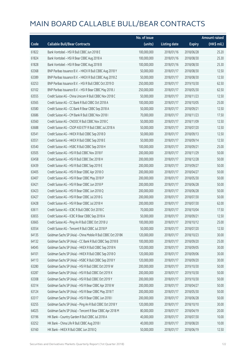|       |                                                              | No. of issue |                     |               | <b>Amount raised</b>  |
|-------|--------------------------------------------------------------|--------------|---------------------|---------------|-----------------------|
| Code  | <b>Callable Bull/Bear Contracts</b>                          | (units)      | <b>Listing date</b> | <b>Expiry</b> | $(HK\frac{1}{2}mil.)$ |
| 61822 | Bank Vontobel - HSI R Bull CBBC Jun 2018 E                   | 100,000,000  | 2018/01/16          | 2018/06/28    | 25.20                 |
| 61824 | Bank Vontobel - HSI R Bear CBBC Aug 2018 A                   | 100,000,000  | 2018/01/16          | 2018/08/30    | 25.30                 |
| 61828 | Bank Vontobel - HSI R Bear CBBC Aug 2018 B                   | 100,000,000  | 2018/01/16          | 2018/08/30    | 25.30                 |
| 63368 | BNP Paribas Issuance B.V. - HKEX R Bull CBBC Aug 2018 Y      | 50,000,000   | 2018/01/17          | 2018/08/30    | 12.50                 |
| 63389 | BNP Paribas Issuance B.V. - HKEX R Bull CBBC Aug 2018 Z      | 50,000,000   | 2018/01/17          | 2018/08/30    | 12.50                 |
| 63253 | BNP Paribas Issuance B.V. - HSI R Bull CBBC Oct 2019 D       | 250,000,000  | 2018/01/17          | 2019/10/30    | 62.50                 |
| 63102 | BNP Paribas Issuance B.V. - HSI R Bear CBBC May 2018 J       | 250,000,000  | 2018/01/17          | 2018/05/30    | 62.50                 |
| 63555 | Credit Suisse AG - China Unicom R Bull CBBC Nov 2018 C       | 50,000,000   | 2018/01/17          | 2018/11/23    | 12.50                 |
| 63565 | Credit Suisse AG - CC Bank R Bull CBBC Oct 2018 A            | 100,000,000  | 2018/01/17          | 2018/10/05    | 25.00                 |
| 63580 | Credit Suisse AG - CC Bank R Bear CBBC Sep 2018 A            | 50,000,000   | 2018/01/17          | 2018/09/21    | 12.50                 |
| 63686 | Credit Suisse AG - CM Bank R Bull CBBC Nov 2018 I            | 70,000,000   | 2018/01/17          | 2018/11/23    | 17.50                 |
| 63560 | Credit Suisse AG - CNOOC R Bull CBBC Nov 2018 C              | 50,000,000   | 2018/01/17          | 2018/11/09    | 12.50                 |
| 63688 | Credit Suisse AG - CSOP A50 ETF R Bull CBBC Jul 2018 A       | 50,000,000   | 2018/01/17          | 2018/07/20    | 12.50                 |
| 63541 | Credit Suisse AG - HKEX R Bull CBBC Sep 2018 D               | 50,000,000   | 2018/01/17          | 2018/09/13    | 12.50                 |
| 63551 | Credit Suisse AG - HKEX R Bull CBBC Sep 2018 E               | 50,000,000   | 2018/01/17          | 2018/09/14    | 12.50                 |
| 63540 | Credit Suisse AG - HSBC R Bull CBBC Sep 2018 H               | 100,000,000  | 2018/01/17          | 2018/09/21    | 25.00                 |
| 63505 | Credit Suisse AG - HSI R Bull CBBC Nov 2018 F                | 200,000,000  | 2018/01/17          | 2018/11/29    | 50.00                 |
| 63458 | Credit Suisse AG - HSI R Bull CBBC Dec 2018 H                | 200,000,000  | 2018/01/17          | 2018/12/28    | 50.00                 |
| 63439 | Credit Suisse AG - HSI R Bull CBBC Sep 2019 E                | 200,000,000  | 2018/01/17          | 2019/09/27    | 50.00                 |
| 63405 | Credit Suisse AG - HSI R Bear CBBC Apr 2018 O                | 200,000,000  | 2018/01/17          | 2018/04/27    | 50.00                 |
| 63407 | Credit Suisse AG - HSI R Bear CBBC May 2018 P                | 200,000,000  | 2018/01/17          | 2018/05/30    | 50.00                 |
| 63421 | Credit Suisse AG - HSI R Bear CBBC Jun 2018 P                | 200,000,000  | 2018/01/17          | 2018/06/28    | 50.00                 |
| 63423 | Credit Suisse AG - HSI R Bear CBBC Jun 2018 Q                | 200,000,000  | 2018/01/17          | 2018/06/28    | 50.00                 |
| 63427 | Credit Suisse AG - HSI R Bear CBBC Jul 2018 G                | 200,000,000  | 2018/01/17          | 2018/07/30    | 50.00                 |
| 63428 | Credit Suisse AG - HSI R Bear CBBC Jul 2018 H                | 200,000,000  | 2018/01/17          | 2018/07/30    | 62.00                 |
| 63611 | Credit Suisse AG - ICBC R Bull CBBC Oct 2018 C               | 70,000,000   | 2018/01/17          | 2018/10/04    | 17.50                 |
| 63655 | Credit Suisse AG - ICBC R Bear CBBC Sep 2018 A               | 50,000,000   | 2018/01/17          | 2018/09/21    | 12.50                 |
| 63665 | Credit Suisse AG - Ping An R Bull CBBC Oct 2018 U            | 100,000,000  | 2018/01/17          | 2018/10/12    | 25.00                 |
| 63554 | Credit Suisse AG - Tencent R Bull CBBC Jul 2018 P            | 50,000,000   | 2018/01/17          | 2018/07/20    | 12.50                 |
| 64135 | Goldman Sachs SP (Asia) - China Mobile R Bull CBBC Oct 2018K | 120,000,000  | 2018/01/17          | 2018/10/23    | 30.00                 |
| 64132 | Goldman Sachs SP (Asia) - CC Bank R Bull CBBC Sep 2018 B     | 100,000,000  | 2018/01/17          | 2018/09/20    | 25.00                 |
| 64045 | Goldman Sachs SP (Asia) - HKEX R Bull CBBC Sep 2018 N        | 120,000,000  | 2018/01/17          | 2018/09/05    | 30.00                 |
| 64101 | Goldman Sachs SP (Asia) - HKEX R Bull CBBC Sep 2018 O        | 120,000,000  | 2018/01/17          | 2018/09/06    | 30.00                 |
| 64113 | Goldman Sachs SP (Asia) - HSBC R Bull CBBC Sep 2018 Y        | 120,000,000  | 2018/01/17          | 2018/09/20    | 30.00                 |
| 63280 | Goldman Sachs SP (Asia) - HSI R Bull CBBC Oct 2019 W         | 200,000,000  | 2018/01/17          | 2019/10/30    | 50.00                 |
| 63287 | Goldman Sachs SP (Asia) - HSI R Bull CBBC Oct 2019 X         | 200,000,000  | 2018/01/17          | 2019/10/30    | 50.00                 |
| 63308 | Goldman Sachs SP (Asia) - HSI R Bull CBBC Oct 2019 Y         | 200,000,000  | 2018/01/17          | 2019/10/30    | 50.00                 |
| 63314 | Goldman Sachs SP (Asia) - HSI R Bear CBBC Apr 2018 W         | 200,000,000  | 2018/01/17          | 2018/04/27    | 50.00                 |
| 63124 | Goldman Sachs SP (Asia) - HSI R Bear CBBC May 2018 T         | 200,000,000  | 2018/01/17          | 2018/05/30    | 50.00                 |
| 63317 | Goldman Sachs SP (Asia) - HSI R Bear CBBC Jun 2018 I         | 200,000,000  | 2018/01/17          | 2018/06/28    | 50.00                 |
| 63255 | Goldman Sachs SP (Asia) - Ping An R Bull CBBC Oct 2018 Y     | 120,000,000  | 2018/01/17          | 2018/10/10    | 30.00                 |
| 64025 | Goldman Sachs SP (Asia) - Tencent R Bear CBBC Apr 2018 M     | 80,000,000   | 2018/01/17          | 2018/04/19    | 20.00                 |
| 63196 | HK Bank - Country Garden R Bull CBBC Jul 2018 A              | 40,000,000   | 2018/01/17          | 2018/07/30    | 10.00                 |
| 63252 | HK Bank - China Life R Bull CBBC Aug 2018 I                  | 40,000,000   | 2018/01/17          | 2018/08/20    | 10.00                 |
| 63160 | HK Bank - HKEX R Bull CBBC Jun 2018 Q                        | 50,000,000   | 2018/01/17          | 2018/06/19    | 12.50                 |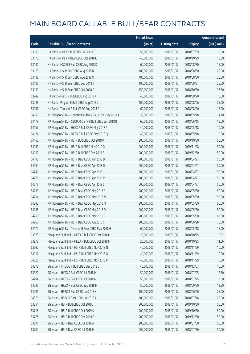|       |                                                          | No. of issue |                     |               | <b>Amount raised</b> |
|-------|----------------------------------------------------------|--------------|---------------------|---------------|----------------------|
| Code  | <b>Callable Bull/Bear Contracts</b>                      | (units)      | <b>Listing date</b> | <b>Expiry</b> | (HK\$ mil.)          |
| 63165 | HK Bank - HKEX R Bull CBBC Jul 2018 E                    | 50,000,000   | 2018/01/17          | 2018/07/09    | 12.50                |
| 63170 | HK Bank - HKEX R Bear CBBC Oct 2018 E                    | 40,000,000   | 2018/01/17          | 2018/10/29    | 18.00                |
| 63140 | HK Bank - HSCEI R Bull CBBC Aug 2018 D                   | 60,000,000   | 2018/01/17          | 2018/08/30    | 15.00                |
| 63129 | HK Bank - HSI R Bull CBBC Aug 2018 N                     | 100,000,000  | 2018/01/17          | 2018/08/30    | 25.00                |
| 63135 | HK Bank - HSI R Bull CBBC Aug 2018 O                     | 100,000,000  | 2018/01/17          | 2018/08/30    | 25.00                |
| 63136 | HK Bank - HSI R Bear CBBC Sep 2018 T                     | 100,000,000  | 2018/01/17          | 2018/09/27    | 25.00                |
| 63139 | HK Bank - HSI R Bear CBBC Oct 2018 O                     | 150,000,000  | 2018/01/17          | 2018/10/30    | 37.50                |
| 63249 | HK Bank - Meitu R Bull CBBC Aug 2018 A                   | 40,000,000   | 2018/01/17          | 2018/08/20    | 10.00                |
| 63248 | HK Bank - Ping An R Bull CBBC Aug 2018 J                 | 100,000,000  | 2018/01/17          | 2018/08/06    | 25.00                |
| 63187 | HK Bank - Tencent R Bull CBBC Aug 2018 G                 | 60,000,000   | 2018/01/17          | 2018/08/20    | 15.00                |
| 64168 | J P Morgan SP BV - Country Garden R Bull CBBC May 2018 A | 35,000,000   | 2018/01/17          | 2018/05/18    | 14.70                |
| 64178 | J P Morgan SP BV - CSOP A50 ETF R Bull CBBC Jun 2018 B   | 60,000,000   | 2018/01/17          | 2018/06/15    | 15.00                |
| 64167 | J P Morgan SP BV - HKEX R Bull CBBC May 2018 P           | 40,000,000   | 2018/01/17          | 2018/05/18    | 10.00                |
| 64174 | J P Morgan SP BV - HKEX R Bull CBBC May 2018 Q           | 40,000,000   | 2018/01/17          | 2018/05/18    | 10.00                |
| 64165 | J P Morgan SP BV - HSI R Bull CBBC Oct 2019 P            | 200,000,000  | 2018/01/17          | 2019/10/30    | 50.00                |
| 64160 | J P Morgan SP BV - HSI R Bull CBBC Nov 2019 G            | 200,000,000  | 2018/01/17          | 2019/11/28    | 50.00                |
| 64153 | J P Morgan SP BV - HSI R Bull CBBC Dec 2019 E            | 200,000,000  | 2018/01/17          | 2019/12/30    | 50.00                |
| 64198 | J P Morgan SP BV - HSI R Bear CBBC Apr 2018 B            | 200,000,000  | 2018/01/17          | 2018/04/27    | 50.00                |
| 64204 | J P Morgan SP BV - HSI R Bear CBBC Apr 2018 D            | 200,000,000  | 2018/01/17          | 2018/04/27    | 50.00                |
| 64240 | J P Morgan SP BV - HSI R Bear CBBC Apr 2018 J            | 200,000,000  | 2018/01/17          | 2018/04/27    | 50.00                |
| 64276 | J P Morgan SP BV - HSI R Bear CBBC Apr 2018 R            | 200,000,000  | 2018/01/17          | 2018/04/27    | 50.00                |
| 64277 | J P Morgan SP BV - HSI R Bear CBBC Apr 2018 S            | 200,000,000  | 2018/01/17          | 2018/04/27    | 50.00                |
| 64233 | J P Morgan SP BV - HSI R Bear CBBC May 2018 B            | 200,000,000  | 2018/01/17          | 2018/05/30    | 50.00                |
| 64214 | J P Morgan SP BV - HSI R Bear CBBC May 2018 M            | 200,000,000  | 2018/01/17          | 2018/05/30    | 50.00                |
| 64243 | J P Morgan SP BV - HSI R Bear CBBC May 2018 N            | 200,000,000  | 2018/01/17          | 2018/05/30    | 50.00                |
| 64245 | J P Morgan SP BV - HSI R Bear CBBC May 2018 O            | 200,000,000  | 2018/01/17          | 2018/05/30    | 50.00                |
| 64255 | J P Morgan SP BV - HSI R Bear CBBC May 2018 P            | 200,000,000  | 2018/01/17          | 2018/05/30    | 60.00                |
| 64260 | J P Morgan SP BV - HSI R Bear CBBC Jun 2018 C            | 200,000,000  | 2018/01/17          | 2018/06/28    | 75.00                |
| 64172 | J P Morgan SP BV - Tencent R Bear CBBC May 2018 G        | 60,000,000   | 2018/01/17          | 2018/05/18    | 15.00                |
| 63973 | Macquarie Bank Ltd. - HKEX R Bull CBBC Oct 2018 G        | 20,000,000   | 2018/01/17          | 2018/10/25    | 10.82                |
| 63978 | Macquarie Bank Ltd. - HKEX R Bull CBBC Oct 2018 H        | 20,000,000   | 2018/01/17          | 2018/10/25    | 11.56                |
| 63992 | Macquarie Bank Ltd. - HSI R Bull CBBC Nov 2018 N         | 40,000,000   | 2018/01/17          | 2018/11/29    | 10.00                |
| 64017 | Macquarie Bank Ltd. - HSI R Bull CBBC Nov 2018 O         | 40,000,000   | 2018/01/17          | 2018/11/29    | 10.00                |
| 64020 | Macquarie Bank Ltd. - HSI R Bull CBBC Nov 2018 P         | 40,000,000   | 2018/01/17          | 2018/11/29    | 10.00                |
| 64278 | SG Issuer - CNOOC R Bull CBBC Dec 2018 C                 | 40,000,000   | 2018/01/17          | 2018/12/07    | 10.00                |
| 63322 | SG Issuer - HKEX R Bull CBBC Jul 2018 M                  | 50,000,000   | 2018/01/17          | 2018/07/05    | 12.50                |
| 64284 | SG Issuer - HKEX R Bull CBBC Jul 2018 N                  | 50,000,000   | 2018/01/17          | 2018/07/25    | 12.50                |
| 64290 | SG Issuer - HKEX R Bull CBBC Sep 2018 H                  | 50,000,000   | 2018/01/17          | 2018/09/20    | 12.50                |
| 64291 | SG Issuer - HSBC R Bull CBBC Jun 2018 K                  | 100,000,000  | 2018/01/17          | 2018/06/20    | 25.00                |
| 64320 | SG Issuer - HSBC R Bear CBBC Jul 2018 A                  | 100,000,000  | 2018/01/17          | 2018/07/16    | 25.00                |
| 63354 | SG Issuer - HSI R Bull CBBC Oct 2019 J                   | 200,000,000  | 2018/01/17          | 2019/10/30    | 50.00                |
| 63718 | SG Issuer - HSI R Bull CBBC Oct 2019 K                   | 200,000,000  | 2018/01/17          | 2019/10/30    | 50.00                |
| 63725 | SG Issuer - HSI R Bull CBBC Dec 2019 B                   | 200,000,000  | 2018/01/17          | 2019/12/30    | 50.00                |
| 63691 | SG Issuer - HSI R Bear CBBC Jul 2018 A                   | 200,000,000  | 2018/01/17          | 2018/07/30    | 50.00                |
| 63704 | SG Issuer - HSI R Bear CBBC Jul 2018 M                   | 200,000,000  | 2018/01/17          | 2018/07/30    | 50.00                |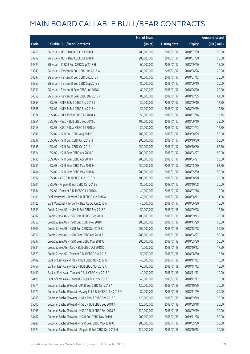|       |                                                             | No. of issue |                     |               | <b>Amount raised</b> |
|-------|-------------------------------------------------------------|--------------|---------------------|---------------|----------------------|
| Code  | <b>Callable Bull/Bear Contracts</b>                         | (units)      | <b>Listing date</b> | <b>Expiry</b> | (HK\$ mil.)          |
| 63710 | SG Issuer - HSI R Bear CBBC Jul 2018 O                      | 200,000,000  | 2018/01/17          | 2018/07/30    | 50.00                |
| 63712 | SG Issuer - HSI R Bear CBBC Jul 2018 U                      | 200,000,000  | 2018/01/17          | 2018/07/30    | 50.00                |
| 64324 | SG Issuer - ICBC R Bull CBBC Sep 2018 H                     | 60,000,000   | 2018/01/17          | 2018/09/20    | 15.00                |
| 63349 | SG Issuer - Tencent R Bull CBBC Jun 2018 W                  | 80,000,000   | 2018/01/17          | 2018/06/26    | 20.00                |
| 64347 | SG Issuer - Tencent R Bull CBBC Jul 2018 Y                  | 80,000,000   | 2018/01/17          | 2018/07/12    | 20.00                |
| 64357 | SG Issuer - Tencent R Bull CBBC Sep 2018 Y                  | 80,000,000   | 2018/01/17          | 2018/09/10    | 20.00                |
| 64331 | SG Issuer - Tencent R Bear CBBC Jun 2018 I                  | 80,000,000   | 2018/01/17          | 2018/06/20    | 20.00                |
| 64358 | SG Issuer - Tencent R Bear CBBC Dec 2018 K                  | 80,000,000   | 2018/01/17          | 2018/12/05    | 64.00                |
| 63853 | UBS AG - HKEX R Bull CBBC Sep 2018 J                        | 50,000,000   | 2018/01/17          | 2018/09/10    | 12.50                |
| 63865 | UBS AG - HKEX R Bull CBBC Sep 2018 K                        | 50,000,000   | 2018/01/17          | 2018/09/19    | 12.50                |
| 63874 | UBS AG - HKEX R Bear CBBC Jul 2018 A                        | 50,000,000   | 2018/01/17          | 2018/07/16    | 13.75                |
| 63851 | UBS AG - HSBC R Bull CBBC Sep 2018 C                        | 100,000,000  | 2018/01/17          | 2018/09/10    | 25.00                |
| 63918 | UBS AG - HSBC R Bear CBBC Jul 2018 A                        | 50,000,000   | 2018/01/17          | 2018/07/23    | 12.50                |
| 63841 | UBS AG - HSI R Bull CBBC Aug 2019 Y                         | 200,000,000  | 2018/01/17          | 2019/08/29    | 50.00                |
| 63837 | UBS AG - HSI R Bull CBBC Oct 2019 H                         | 200,000,000  | 2018/01/17          | 2019/10/30    | 50.00                |
| 63848 | UBS AG - HSI R Bull CBBC Oct 2019 I                         | 250,000,000  | 2018/01/17          | 2019/10/30    | 62.50                |
| 63824 | UBS AG - HSI R Bear CBBC Apr 2018 P                         | 200,000,000  | 2018/01/17          | 2018/04/27    | 50.00                |
| 63735 | UBS AG - HSI R Bear CBBC Apr 2018 X                         | 200,000,000  | 2018/01/17          | 2018/04/27    | 50.00                |
| 63751 | UBS AG - HSI R Bear CBBC May 2018 M                         | 250,000,000  | 2018/01/17          | 2018/05/30    | 62.50                |
| 63784 | UBS AG - HSI R Bear CBBC May 2018 N                         | 200,000,000  | 2018/01/17          | 2018/05/30    | 50.00                |
| 63892 | UBS AG - ICBC R Bull CBBC Aug 2018 D                        | 100,000,000  | 2018/01/17          | 2018/08/20    | 25.00                |
| 63904 | UBS AG - Ping An R Bull CBBC Oct 2018 B                     | 80,000,000   | 2018/01/17          | 2018/10/08    | 20.00                |
| 63884 | UBS AG - Tencent R Bull CBBC Jul 2018 N                     | 40,000,000   | 2018/01/17          | 2018/07/16    | 10.00                |
| 63106 | Bank Vontobel - Tencent R Bull CBBC Jun 2018 A              | 40,000,000   | 2018/01/17          | 2018/06/11    | 11.68                |
| 63123 | Bank Vontobel - Tencent R Bear CBBC Jun 2018 A              | 40,000,000   | 2018/01/17          | 2018/06/20    | 16.00                |
| 64833 | Credit Suisse AG - HKEX R Bull CBBC Sep 2018 F              | 50,000,000   | 2018/01/18          | 2018/09/28    | 12.50                |
| 64882 | Credit Suisse AG - HSBC R Bull CBBC Sep 2018 I              | 100,000,000  | 2018/01/18          | 2018/09/13    | 25.00                |
| 64853 | Credit Suisse AG - HSI R Bull CBBC Nov 2018 H               | 200,000,000  | 2018/01/18          | 2018/11/29    | 50.00                |
| 64809 | Credit Suisse AG - HSI R Bull CBBC Dec 2018 K               | 200,000,000  | 2018/01/18          | 2018/12/28    | 50.00                |
| 64851 | Credit Suisse AG - HSI R Bear CBBC Apr 2018 T               | 200,000,000  | 2018/01/18          | 2018/04/27    | 50.00                |
| 64837 | Credit Suisse AG - HSI R Bear CBBC May 2018 Q               | 200,000,000  | 2018/01/18          | 2018/05/30    | 50.00                |
| 64834 | Credit Suisse AG - ICBC R Bull CBBC Oct 2018 D              | 70,000,000   | 2018/01/18          | 2018/10/12    | 17.50                |
| 64829 | Credit Suisse AG - Tencent R Bull CBBC Aug 2018 I           | 50,000,000   | 2018/01/18          | 2018/08/30    | 12.50                |
| 64489 | Bank of East Asia - HKEX R Bull CBBC Nov 2018 G             | 40,000,000   | 2018/01/18          | 2018/11/12    | 10.00                |
| 64767 | Bank of East Asia - HSBC R Bull CBBC Nov 2018 A             | 60,000,000   | 2018/01/18          | 2018/11/12    | 15.00                |
| 64490 | Bank of East Asia - Tencent R Bull CBBC Nov 2018 F          | 40,000,000   | 2018/01/18          | 2018/11/12    | 10.00                |
| 64495 | Bank of East Asia - Tencent R Bull CBBC Nov 2018 G          | 40,000,000   | 2018/01/18          | 2018/11/12    | 10.00                |
| 64974 | Goldman Sachs SP (Asia) - AIA R Bull CBBC Oct 2018 A        | 120,000,000  | 2018/01/18          | 2018/10/29    | 30.00                |
| 64972 | Goldman Sachs SP (Asia) - Galaxy Ent R Bull CBBC Nov 2018 D | 80,000,000   | 2018/01/18          | 2018/11/29    | 20.00                |
| 64985 | Goldman Sachs SP (Asia) - HKEX R Bull CBBC Sep 2018 P       | 120,000,000  | 2018/01/18          | 2018/09/19    | 30.00                |
| 65000 | Goldman Sachs SP (Asia) - HSBC R Bull CBBC Sep 2018 A       | 120,000,000  | 2018/01/18          | 2018/09/18    | 30.00                |
| 64998 | Goldman Sachs SP (Asia) - HSBC R Bull CBBC Sep 2018 Z       | 120,000,000  | 2018/01/18          | 2018/09/19    | 30.00                |
| 64487 | Goldman Sachs SP (Asia) - HSI R Bull CBBC Nov 2019 I        | 200,000,000  | 2018/01/18          | 2019/11/28    | 50.00                |
| 64940 | Goldman Sachs SP (Asia) - HSI R Bear CBBC May 2018 U        | 200,000,000  | 2018/01/18          | 2018/05/30    | 50.00                |
| 64524 | Goldman Sachs SP (Asia) - Ping An R Bull CBBC Oct 2018 M    | 120,000,000  | 2018/01/18          | 2018/10/15    | 30.00                |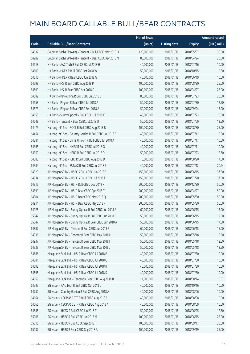|       |                                                           | No. of issue |                     |               | <b>Amount raised</b> |
|-------|-----------------------------------------------------------|--------------|---------------------|---------------|----------------------|
| Code  | <b>Callable Bull/Bear Contracts</b>                       | (units)      | <b>Listing date</b> | <b>Expiry</b> | (HK\$ mil.)          |
| 64537 | Goldman Sachs SP (Asia) - Tencent R Bull CBBC May 2018 H  | 120,000,000  | 2018/01/18          | 2018/05/07    | 30.00                |
| 64982 | Goldman Sachs SP (Asia) - Tencent R Bear CBBC Apr 2018 N  | 80,000,000   | 2018/01/18          | 2018/04/24    | 20.00                |
| 64618 | HK Bank - AAC Tech R Bull CBBC Jul 2018 H                 | 40,000,000   | 2018/01/18          | 2018/07/16    | 10.00                |
| 64600 | HK Bank - HKEX R Bull CBBC Oct 2018 W                     | 50,000,000   | 2018/01/18          | 2018/10/15    | 12.50                |
| 64616 | HK Bank - HKEX R Bear CBBC Jun 2018 G                     | 40,000,000   | 2018/01/18          | 2018/06/19    | 10.00                |
| 64598 | HK Bank - HSI R Bull CBBC Aug 2018 P                      | 100,000,000  | 2018/01/18          | 2018/08/30    | 25.00                |
| 64599 | HK Bank - HSI R Bear CBBC Apr 2018 F                      | 100,000,000  | 2018/01/18          | 2018/04/27    | 25.00                |
| 64589 | HK Bank - PetroChina R Bull CBBC Jul 2018 B               | 80,000,000   | 2018/01/18          | 2018/07/23    | 20.00                |
| 64658 | HK Bank - Ping An R Bear CBBC Jul 2018 A                  | 50,000,000   | 2018/01/18          | 2018/07/30    | 12.50                |
| 64573 | HK Bank - Ping An R Bear CBBC Sep 2018 A                  | 50,000,000   | 2018/01/18          | 2018/09/24    | 15.00                |
| 64655 | HK Bank - Sunny Optical R Bull CBBC Jul 2018 K            | 40,000,000   | 2018/01/18          | 2018/07/23    | 10.00                |
| 64648 | HK Bank - Tencent R Bear CBBC Jul 2018 U                  | 50,000,000   | 2018/01/18          | 2018/07/09    | 12.50                |
| 64475 | Haitong Int'l Sec - BOCL R Bull CBBC Aug 2018 B           | 100,000,000  | 2018/01/18          | 2018/08/30    | 25.00                |
| 64454 | Haitong Int'l Sec - Country Garden R Bull CBBC Jul 2018 E | 40,000,000   | 2018/01/18          | 2018/07/12    | 10.00                |
| 64381 | Haitong Int'l Sec - China Unicom R Bull CBBC Jul 2018 A   | 40,000,000   | 2018/01/18          | 2018/07/17    | 10.00                |
| 64365 | Haitong Int'l Sec - HKEX R Bull CBBC Jul 2018 G           | 40,000,000   | 2018/01/18          | 2018/07/11    | 10.00                |
| 64359 | Haitong Int'l Sec - HSBC R Bull CBBC Jul 2018 D           | 50,000,000   | 2018/01/18          | 2018/07/23    | 12.50                |
| 64383 | Haitong Int'l Sec - ICBC R Bull CBBC Aug 2018 D           | 70,000,000   | 2018/01/18          | 2018/08/20    | 17.50                |
| 64384 | Haitong Int'l Sec - SUNAC R Bull CBBC Jul 2018 E          | 40,000,000   | 2018/01/18          | 2018/07/12    | 20.64                |
| 64929 | J P Morgan SP BV - HSBC R Bull CBBC Jun 2018 E            | 150,000,000  | 2018/01/18          | 2018/06/15    | 37.50                |
| 64934 | J P Morgan SP BV - HSBC R Bull CBBC Jul 2018 F            | 150,000,000  | 2018/01/18          | 2018/07/20    | 37.50                |
| 64915 | J P Morgan SP BV - HSI R Bull CBBC Dec 2019 F             | 200,000,000  | 2018/01/18          | 2019/12/30    | 50.00                |
| 64899 | J P Morgan SP BV - HSI R Bear CBBC Apr 2018 T             | 200,000,000  | 2018/01/18          | 2018/04/27    | 50.00                |
| 64904 | J P Morgan SP BV - HSI R Bear CBBC May 2018 Q             | 200,000,000  | 2018/01/18          | 2018/05/30    | 50.00                |
| 64914 | J P Morgan SP BV - HSI R Bear CBBC May 2018 R             | 200,000,000  | 2018/01/18          | 2018/05/30    | 50.00                |
| 64925 | J P Morgan SP BV - Sunny Optical R Bull CBBC Jun 2018 A   | 60,000,000   | 2018/01/18          | 2018/06/15    | 15.00                |
| 65042 | J P Morgan SP BV - Sunny Optical R Bull CBBC Jun 2018 B   | 50,000,000   | 2018/01/18          | 2018/06/15    | 12.50                |
| 65047 | J P Morgan SP BV - Sunny Optical R Bear CBBC Jun 2018 A   | 50,000,000   | 2018/01/18          | 2018/06/15    | 17.50                |
| 64887 | J P Morgan SP BV - Tencent R Bull CBBC Jun 2018 B         | 60,000,000   | 2018/01/18          | 2018/06/15    | 15.00                |
| 64936 | J P Morgan SP BV - Tencent R Bear CBBC May 2018 H         | 50,000,000   | 2018/01/18          | 2018/05/18    | 12.50                |
| 64937 | J P Morgan SP BV - Tencent R Bear CBBC May 2018 I         | 50,000,000   | 2018/01/18          | 2018/05/18    | 12.50                |
| 64939 | J P Morgan SP BV - Tencent R Bear CBBC May 2018 J         | 50,000,000   | 2018/01/18          | 2018/05/18    | 12.50                |
| 64666 | Macquarie Bank Ltd. - HSI R Bear CBBC Jul 2018 P          | 40,000,000   | 2018/01/18          | 2018/07/30    | 10.00                |
| 64681 | Macquarie Bank Ltd. - HSI R Bear CBBC Jul 2018 Q          | 40,000,000   | 2018/01/18          | 2018/07/30    | 10.00                |
| 64692 | Macquarie Bank Ltd. - HSI R Bear CBBC Jul 2018 R          | 40,000,000   | 2018/01/18          | 2018/07/30    | 10.00                |
| 64695 | Macquarie Bank Ltd. - HSI R Bear CBBC Jul 2018 S          | 40,000,000   | 2018/01/18          | 2018/07/30    | 10.00                |
| 64659 | Macquarie Bank Ltd. - Tencent R Bear CBBC Aug 2018 B      | 11,000,000   | 2018/01/18          | 2018/08/14    | 10.07                |
| 64747 | SG Issuer - AAC Tech R Bull CBBC Oct 2018 C               | 40,000,000   | 2018/01/18          | 2018/10/16    | 10.00                |
| 64750 | SG Issuer - Country Garden R Bull CBBC Aug 2018 A         | 40,000,000   | 2018/01/18          | 2018/08/06    | 10.00                |
| 64664 | SG Issuer - CSOP A50 ETF R Bull CBBC Aug 2018 E           | 40,000,000   | 2018/01/18          | 2018/08/08    | 10.00                |
| 64665 | SG Issuer - CSOP A50 ETF R Bear CBBC Aug 2018 A           | 40,000,000   | 2018/01/18          | 2018/08/09    | 10.00                |
| 64545 | SG Issuer - HKEX R Bull CBBC Jun 2018 T                   | 50,000,000   | 2018/01/18          | 2018/06/25    | 12.50                |
| 65006 | SG Issuer - HSBC R Bull CBBC Jun 2018 M                   | 100,000,000  | 2018/01/18          | 2018/06/15    | 25.00                |
| 65015 | SG Issuer - HSBC R Bull CBBC Sep 2018 T                   | 100,000,000  | 2018/01/18          | 2018/09/17    | 25.00                |
| 65037 | SG Issuer - HSBC R Bear CBBC Sep 2018 A                   | 100,000,000  | 2018/01/18          | 2018/09/19    | 25.00                |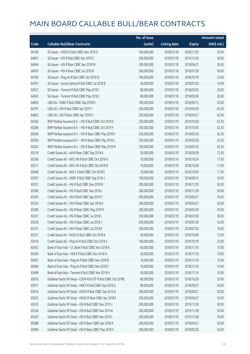|       |                                                              | No. of issue |                     |               | <b>Amount raised</b> |
|-------|--------------------------------------------------------------|--------------|---------------------|---------------|----------------------|
| Code  | <b>Callable Bull/Bear Contracts</b>                          | (units)      | <b>Listing date</b> | <b>Expiry</b> | (HK\$ mil.)          |
| 64746 | SG Issuer - HSCEI R Bull CBBC Nov 2018 O                     | 100,000,000  | 2018/01/18          | 2018/11/29    | 25.00                |
| 64961 | SG Issuer - HSI R Bull CBBC Dec 2019 C                       | 200,000,000  | 2018/01/18          | 2019/12/30    | 50.00                |
| 64944 | SG Issuer - HSI R Bear CBBC Apr 2018 W                       | 200,000,000  | 2018/01/18          | 2018/04/27    | 50.00                |
| 64959 | SG Issuer - HSI R Bear CBBC Jul 2018 B                       | 200,000,000  | 2018/01/18          | 2018/07/30    | 50.00                |
| 64760 | SG Issuer - Ping An R Bull CBBC Oct 2018 Q                   | 100,000,000  | 2018/01/18          | 2018/10/19    | 25.00                |
| 64761 | SG Issuer - Sunny Optical R Bull CBBC Jul 2018 B             | 40,000,000   | 2018/01/18          | 2018/07/20    | 10.00                |
| 64557 | SG Issuer - Tencent R Bull CBBC May 2018 I                   | 80,000,000   | 2018/01/18          | 2018/05/03    | 20.00                |
| 64563 | SG Issuer - Tencent R Bull CBBC May 2018 J                   | 80,000,000   | 2018/01/18          | 2018/05/04    | 20.00                |
| 64805 | UBS AG - HSBC R Bull CBBC Sep 2018 D                         | 100,000,000  | 2018/01/18          | 2018/09/12    | 25.00                |
| 64791 | UBS AG - HSI R Bull CBBC Apr 2019 Y                          | 250,000,000  | 2018/01/18          | 2019/04/29    | 62.50                |
| 64802 | UBS AG - HSI R Bear CBBC Apr 2018 Y                          | 250,000,000  | 2018/01/18          | 2018/04/27    | 62.50                |
| 65266 | BNP Paribas Issuance B.V. - HSI R Bull CBBC Oct 2019 E       | 250,000,000  | 2018/01/19          | 2019/10/30    | 62.50                |
| 65286 | BNP Paribas Issuance B.V. - HSI R Bull CBBC Oct 2019 F       | 250,000,000  | 2018/01/19          | 2019/10/30    | 62.50                |
| 65049 | BNP Paribas Issuance B.V. - HSI R Bear CBBC May 2018 K       | 250,000,000  | 2018/01/19          | 2018/05/30    | 62.50                |
| 65054 | BNP Paribas Issuance B.V. - HSI R Bear CBBC May 2018 L       | 250,000,000  | 2018/01/19          | 2018/05/30    | 62.50                |
| 65262 | BNP Paribas Issuance B.V. - HSI R Bear CBBC May 2018 M       | 250,000,000  | 2018/01/19          | 2018/05/30    | 62.50                |
| 65318 | Credit Suisse AG - AIA R Bear CBBC Sep 2018 A                | 50,000,000   | 2018/01/19          | 2018/09/28    | 12.50                |
| 65306 | Credit Suisse AG - BOC HK R Bull CBBC Oct 2018 A             | 70,000,000   | 2018/01/19          | 2018/10/24    | 17.50                |
| 65311 | Credit Suisse AG - BOC HK R Bull CBBC Oct 2018 B             | 70,000,000   | 2018/01/19          | 2018/10/26    | 17.50                |
| 65408 | Credit Suisse AG - BOCL R Bull CBBC Oct 2018 E               | 70,000,000   | 2018/01/19          | 2018/10/05    | 17.50                |
| 65301 | Credit Suisse AG - HSBC R Bull CBBC Sep 2018 J               | 100,000,000  | 2018/01/19          | 2018/09/12    | 25.00                |
| 65351 | Credit Suisse AG - HSI R Bull CBBC Nov 2018 B                | 200,000,000  | 2018/01/19          | 2018/11/29    | 50.00                |
| 65380 | Credit Suisse AG - HSI R Bull CBBC Nov 2018 J                | 200,000,000  | 2018/01/19          | 2018/11/29    | 50.00                |
| 65345 | Credit Suisse AG - HSI R Bull CBBC Sep 2019 F                | 200,000,000  | 2018/01/19          | 2019/09/27    | 50.00                |
| 65324 | Credit Suisse AG - HSI R Bear CBBC Apr 2018 A                | 200,000,000  | 2018/01/19          | 2018/04/27    | 50.00                |
| 65288 | Credit Suisse AG - HSI R Bear CBBC May 2018 R                | 200,000,000  | 2018/01/19          | 2018/05/30    | 50.00                |
| 65327 | Credit Suisse AG - HSI R Bear CBBC Jul 2018 I                | 200,000,000  | 2018/01/19          | 2018/07/30    | 50.00                |
| 65328 | Credit Suisse AG - HSI R Bear CBBC Jul 2018 J                | 200,000,000  | 2018/01/19          | 2018/07/30    | 52.00                |
| 65331 | Credit Suisse AG - HSI R Bear CBBC Jul 2018 K                | 200,000,000  | 2018/01/19          | 2018/07/30    | 74.00                |
| 65321 | Credit Suisse AG - PetCh R Bull CBBC Oct 2018 A              | 50,000,000   | 2018/01/19          | 2018/10/05    | 12.50                |
| 65418 | Credit Suisse AG - Ping An R Bull CBBC Oct 2018 V            | 100,000,000  | 2018/01/19          | 2018/10/19    | 25.00                |
| 65452 | Bank of East Asia - CC Bank R Bull CBBC Nov 2018 A           | 60,000,000   | 2018/01/19          | 2018/11/16    | 15.00                |
| 65450 | Bank of East Asia - HKEX R Bull CBBC Nov 2018 H              | 40,000,000   | 2018/01/19          | 2018/11/16    | 10.00                |
| 65461 | Bank of East Asia - Ping An R Bull CBBC Nov 2018 B           | 16,000,000   | 2018/01/19          | 2018/11/16    | 10.40                |
| 65464 | Bank of East Asia - Ping An R Bull CBBC Nov 2018 C           | 16,000,000   | 2018/01/19          | 2018/11/16    | 10.40                |
| 65448 | Bank of East Asia - Tencent R Bull CBBC Nov 2018 H           | 40,000,000   | 2018/01/19          | 2018/11/16    | 10.00                |
| 65976 | Goldman Sachs SP (Asia) - CSOP A50 ETF R Bull CBBC Oct 2018C | 80,000,000   | 2018/01/19          | 2018/10/29    | 20.00                |
| 65977 | Goldman Sachs SP (Asia) - HKEX R Bull CBBC Sep 2018 Q        | 80,000,000   | 2018/01/19          | 2018/09/27    | 20.00                |
| 65616 | Goldman Sachs SP (Asia) - HSCEI R Bull CBBC Sep 2019 G       | 200,000,000  | 2018/01/19          | 2019/09/27    | 50.00                |
| 65625 | Goldman Sachs SP (Asia) - HSCEI R Bear CBBC Apr 2018 E       | 200,000,000  | 2018/01/19          | 2018/04/27    | 50.00                |
| 65533 | Goldman Sachs SP (Asia) - HSI R Bull CBBC Nov 2019 J         | 200,000,000  | 2018/01/19          | 2019/11/28    | 50.00                |
| 65536 | Goldman Sachs SP (Asia) - HSI R Bull CBBC Nov 2019 K         | 200,000,000  | 2018/01/19          | 2019/11/28    | 50.00                |
| 65553 | Goldman Sachs SP (Asia) - HSI R Bull CBBC Nov 2019 L         | 200,000,000  | 2018/01/19          | 2019/11/28    | 50.00                |
| 65088 | Goldman Sachs SP (Asia) - HSI R Bear CBBC Apr 2018 X         | 200,000,000  | 2018/01/19          | 2018/04/27    | 50.00                |
| 65090 | Goldman Sachs SP (Asia) - HSI R Bear CBBC May 2018 V         | 200,000,000  | 2018/01/19          | 2018/05/30    | 50.00                |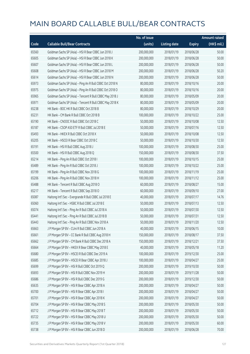|       |                                                          | No. of issue |                     |               | <b>Amount raised</b>  |
|-------|----------------------------------------------------------|--------------|---------------------|---------------|-----------------------|
| Code  | <b>Callable Bull/Bear Contracts</b>                      | (units)      | <b>Listing date</b> | <b>Expiry</b> | $(HK\frac{1}{2}mil.)$ |
| 65560 | Goldman Sachs SP (Asia) - HSI R Bear CBBC Jun 2018 J     | 200,000,000  | 2018/01/19          | 2018/06/28    | 50.00                 |
| 65605 | Goldman Sachs SP (Asia) - HSI R Bear CBBC Jun 2018 K     | 200,000,000  | 2018/01/19          | 2018/06/28    | 50.00                 |
| 65607 | Goldman Sachs SP (Asia) - HSI R Bear CBBC Jun 2018 L     | 200,000,000  | 2018/01/19          | 2018/06/28    | 50.00                 |
| 65608 | Goldman Sachs SP (Asia) - HSI R Bear CBBC Jun 2018 M     | 200,000,000  | 2018/01/19          | 2018/06/28    | 50.20                 |
| 65614 | Goldman Sachs SP (Asia) - HSI R Bear CBBC Jun 2018 N     | 200,000,000  | 2018/01/19          | 2018/06/28    | 50.00                 |
| 65973 | Goldman Sachs SP (Asia) - Ping An R Bull CBBC Oct 2018 N | 80,000,000   | 2018/01/19          | 2018/10/16    | 20.00                 |
| 65975 | Goldman Sachs SP (Asia) - Ping An R Bull CBBC Oct 2018 O | 80,000,000   | 2018/01/19          | 2018/10/16    | 20.00                 |
| 65965 | Goldman Sachs SP (Asia) - Tencent R Bull CBBC May 2018 J | 80,000,000   | 2018/01/19          | 2018/05/09    | 20.00                 |
| 65971 | Goldman Sachs SP (Asia) - Tencent R Bull CBBC May 2018 K | 80,000,000   | 2018/01/19          | 2018/05/09    | 20.00                 |
| 65238 | HK Bank - BOC HK R Bull CBBC Oct 2018 B                  | 80,000,000   | 2018/01/19          | 2018/10/29    | 20.00                 |
| 65231 | HK Bank - CM Bank R Bull CBBC Oct 2018 B                 | 100,000,000  | 2018/01/19          | 2018/10/22    | 25.00                 |
| 65190 | HK Bank - CNOOC R Bull CBBC Oct 2018 C                   | 50,000,000   | 2018/01/19          | 2018/10/08    | 12.50                 |
| 65187 | HK Bank - CSOP A50 ETF R Bull CBBC Jul 2018 E            | 50,000,000   | 2018/01/19          | 2018/07/16    | 12.50                 |
| 65493 | HK Bank - HKEX R Bull CBBC Oct 2018 X                    | 50,000,000   | 2018/01/19          | 2018/10/08    | 12.50                 |
| 65205 | HK Bank - HSCEI R Bear CBBC Oct 2018 C                   | 50,000,000   | 2018/01/19          | 2018/10/30    | 12.50                 |
| 65191 | HK Bank - HSI R Bull CBBC Aug 2018 J                     | 100,000,000  | 2018/01/19          | 2018/08/30    | 25.00                 |
| 65500 | HK Bank - HSI R Bull CBBC Aug 2018 Q                     | 150,000,000  | 2018/01/19          | 2018/08/30    | 37.50                 |
| 65214 | HK Bank - Ping An R Bull CBBC Oct 2018 I                 | 100,000,000  | 2018/01/19          | 2018/10/15    | 25.00                 |
| 65489 | HK Bank - Ping An R Bull CBBC Oct 2018 J                 | 100,000,000  | 2018/01/19          | 2018/10/22    | 25.00                 |
| 65199 | HK Bank - Ping An R Bull CBBC Nov 2018 G                 | 100,000,000  | 2018/01/19          | 2018/11/19    | 25.00                 |
| 65206 | HK Bank - Ping An R Bull CBBC Nov 2018 H                 | 100,000,000  | 2018/01/19          | 2018/11/12    | 25.00                 |
| 65488 | HK Bank - Tencent R Bull CBBC Aug 2018 O                 | 60,000,000   | 2018/01/19          | 2018/08/27    | 15.00                 |
| 65217 | HK Bank - Tencent R Bull CBBC Sep 2018 O                 | 60,000,000   | 2018/01/19          | 2018/09/10    | 27.00                 |
| 65087 | Haitong Int'l Sec - Evergrande R Bull CBBC Jul 2018 E    | 40,000,000   | 2018/01/19          | 2018/07/17    | 14.76                 |
| 65060 | Haitong Int'l Sec - HSBC R Bull CBBC Jul 2018 E          | 50,000,000   | 2018/01/19          | 2018/07/13    | 12.50                 |
| 65074 | Haitong Int'l Sec - Ping An R Bull CBBC Jul 2018 A       | 50,000,000   | 2018/01/19          | 2018/07/30    | 12.50                 |
| 65441 | Haitong Int'l Sec - Ping An R Bull CBBC Jul 2018 B       | 50,000,000   | 2018/01/19          | 2018/07/31    | 12.50                 |
| 65443 | Haitong Int'l Sec - Ping An R Bull CBBC Nov 2018 A       | 50,000,000   | 2018/01/19          | 2018/11/20    | 12.50                 |
| 65663 | J P Morgan SP BV - CUni R Bull CBBC Jun 2018 A           | 40,000,000   | 2018/01/19          | 2018/06/15    | 10.00                 |
| 65661 | J P Morgan SP BV - CC Bank R Bull CBBC Aug 2018 H        | 150,000,000  | 2018/01/19          | 2018/08/17    | 37.50                 |
| 65662 | J P Morgan SP BV - CM Bank R Bull CBBC Dec 2018 A        | 150,000,000  | 2018/01/19          | 2018/12/21    | 37.50                 |
| 65664 | J P Morgan SP BV - HKEX R Bear CBBC May 2018 E           | 40,000,000   | 2018/01/19          | 2018/05/18    | 11.20                 |
| 65680 | J P Morgan SP BV - HSCEI R Bull CBBC Dec 2019 A          | 100,000,000  | 2018/01/19          | 2019/12/30    | 25.00                 |
| 65685 | J P Morgan SP BV - HSCEI R Bear CBBC Apr 2018 J          | 100,000,000  | 2018/01/19          | 2018/04/27    | 25.00                 |
| 65699 | J P Morgan SP BV - HSI R Bull CBBC Oct 2019 Q            | 200,000,000  | 2018/01/19          | 2019/10/30    | 50.00                 |
| 65693 | J P Morgan SP BV - HSI R Bull CBBC Nov 2019 H            | 200,000,000  | 2018/01/19          | 2019/11/28    | 50.00                 |
| 65686 | J P Morgan SP BV - HSI R Bull CBBC Dec 2019 G            | 200,000,000  | 2018/01/19          | 2019/12/30    | 50.00                 |
| 65635 | J P Morgan SP BV - HSI R Bear CBBC Apr 2018 A            | 200,000,000  | 2018/01/19          | 2018/04/27    | 50.00                 |
| 65700 | J P Morgan SP BV - HSI R Bear CBBC Apr 2018 I            | 200,000,000  | 2018/01/19          | 2018/04/27    | 50.00                 |
| 65701 | J P Morgan SP BV - HSI R Bear CBBC Apr 2018 K            | 200,000,000  | 2018/01/19          | 2018/04/27    | 50.00                 |
| 65704 | J P Morgan SP BV - HSI R Bear CBBC May 2018 S            | 200,000,000  | 2018/01/19          | 2018/05/30    | 50.00                 |
| 65712 | J P Morgan SP BV - HSI R Bear CBBC May 2018 T            | 200,000,000  | 2018/01/19          | 2018/05/30    | 50.00                 |
| 65722 | J P Morgan SP BV - HSI R Bear CBBC May 2018 U            | 200,000,000  | 2018/01/19          | 2018/05/30    | 50.00                 |
| 65735 | J P Morgan SP BV - HSI R Bear CBBC May 2018 V            | 200,000,000  | 2018/01/19          | 2018/05/30    | 60.00                 |
| 65738 | J P Morgan SP BV - HSI R Bear CBBC Jun 2018 D            | 200,000,000  | 2018/01/19          | 2018/06/28    | 70.00                 |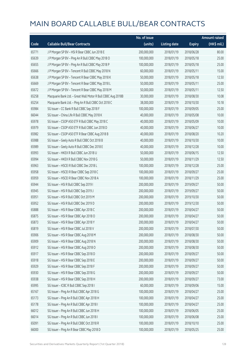|       |                                                              | No. of issue |                     |               | <b>Amount raised</b> |
|-------|--------------------------------------------------------------|--------------|---------------------|---------------|----------------------|
| Code  | <b>Callable Bull/Bear Contracts</b>                          | (units)      | <b>Listing date</b> | <b>Expiry</b> | (HK\$ mil.)          |
| 65771 | J P Morgan SP BV - HSI R Bear CBBC Jun 2018 E                | 200,000,000  | 2018/01/19          | 2018/06/28    | 80.00                |
| 65639 | J P Morgan SP BV - Ping An R Bull CBBC May 2018 O            | 100,000,000  | 2018/01/19          | 2018/05/18    | 25.00                |
| 65655 | J P Morgan SP BV - Ping An R Bull CBBC May 2018 P            | 100,000,000  | 2018/01/19          | 2018/05/18    | 25.00                |
| 65666 | J P Morgan SP BV - Tencent R Bull CBBC May 2018 N            | 60,000,000   | 2018/01/19          | 2018/05/11    | 15.00                |
| 65638 | J P Morgan SP BV - Tencent R Bear CBBC May 2018 K            | 50,000,000   | 2018/01/19          | 2018/05/18    | 12.50                |
| 65669 | J P Morgan SP BV - Tencent R Bear CBBC May 2018 L            | 50,000,000   | 2018/01/19          | 2018/05/11    | 25.00                |
| 65672 | J P Morgan SP BV - Tencent R Bear CBBC May 2018 M            | 50,000,000   | 2018/01/19          | 2018/05/11    | 12.50                |
| 65258 | Macquarie Bank Ltd. - Great Wall Motor R Bull CBBC Aug 2018B | 30,000,000   | 2018/01/19          | 2018/08/30    | 10.08                |
| 65254 | Macquarie Bank Ltd. - Ping An R Bull CBBC Oct 2018 C         | 38,000,000   | 2018/01/19          | 2018/10/30    | 10.18                |
| 65984 | SG Issuer - CC Bank R Bull CBBC Sep 2018 F                   | 100,000,000  | 2018/01/19          | 2018/09/05    | 25.00                |
| 66044 | SG Issuer - China Life R Bull CBBC May 2018 K                | 40,000,000   | 2018/01/19          | 2018/05/08    | 10.00                |
| 65978 | SG Issuer - CSOP A50 ETF R Bull CBBC May 2018 C              | 40,000,000   | 2018/01/19          | 2018/05/09    | 10.00                |
| 65979 | SG Issuer - CSOP A50 ETF R Bull CBBC Jun 2018 D              | 40,000,000   | 2018/01/19          | 2018/06/27    | 10.00                |
| 65982 | SG Issuer - CSOP A50 ETF R Bear CBBC Aug 2018 B              | 40,000,000   | 2018/01/19          | 2018/08/20    | 10.20                |
| 65988 | SG Issuer - Geely Auto R Bull CBBC Oct 2018 B                | 40,000,000   | 2018/01/19          | 2018/10/30    | 10.00                |
| 65989 | SG Issuer - Geely Auto R Bull CBBC Dec 2018 E                | 40,000,000   | 2018/01/19          | 2018/12/28    | 10.00                |
| 65993 | SG Issuer - HKEX R Bull CBBC Jun 2018 U                      | 50,000,000   | 2018/01/19          | 2018/06/15    | 12.50                |
| 65994 | SG Issuer - HKEX R Bull CBBC Nov 2018 G                      | 50,000,000   | 2018/01/19          | 2018/11/29    | 12.50                |
| 65963 | SG Issuer - HSCEI R Bull CBBC Dec 2018 L                     | 100,000,000  | 2018/01/19          | 2018/12/28    | 25.00                |
| 65958 | SG Issuer - HSCEI R Bear CBBC Sep 2018 C                     | 100,000,000  | 2018/01/19          | 2018/09/27    | 25.00                |
| 65959 | SG Issuer - HSCEI R Bear CBBC Nov 2018 A                     | 100,000,000  | 2018/01/19          | 2018/11/29    | 25.00                |
| 65944 | SG Issuer - HSI R Bull CBBC Sep 2019 I                       | 200,000,000  | 2018/01/19          | 2019/09/27    | 50.00                |
| 65945 | SG Issuer - HSI R Bull CBBC Sep 2019 J                       | 200,000,000  | 2018/01/19          | 2019/09/27    | 50.00                |
| 65951 | SG Issuer - HSI R Bull CBBC Oct 2019 M                       | 200,000,000  | 2018/01/19          | 2019/10/30    | 50.00                |
| 65952 | SG Issuer - HSI R Bull CBBC Dec 2019 D                       | 200,000,000  | 2018/01/19          | 2019/12/30    | 50.00                |
| 65888 | SG Issuer - HSI R Bear CBBC Apr 2018 C                       | 200,000,000  | 2018/01/19          | 2018/04/27    | 50.00                |
| 65875 | SG Issuer - HSI R Bear CBBC Apr 2018 O                       | 200,000,000  | 2018/01/19          | 2018/04/27    | 50.00                |
| 65873 | SG Issuer - HSI R Bear CBBC Apr 2018 Y                       | 200,000,000  | 2018/01/19          | 2018/04/27    | 50.00                |
| 65819 | SG Issuer - HSI R Bear CBBC Jul 2018 V                       | 200,000,000  | 2018/01/19          | 2018/07/30    | 50.00                |
| 65906 | SG Issuer - HSI R Bear CBBC Aug 2018 M                       | 200,000,000  | 2018/01/19          | 2018/08/30    | 50.00                |
| 65909 | SG Issuer - HSI R Bear CBBC Aug 2018 N                       | 200,000,000  | 2018/01/19          | 2018/08/30    | 50.00                |
| 65912 | SG Issuer - HSI R Bear CBBC Aug 2018 O                       | 200,000,000  | 2018/01/19          | 2018/08/30    | 50.00                |
| 65917 | SG Issuer - HSI R Bear CBBC Sep 2018 D                       | 200,000,000  | 2018/01/19          | 2018/09/27    | 50.00                |
| 65918 | SG Issuer - HSI R Bear CBBC Sep 2018 E                       | 200,000,000  | 2018/01/19          | 2018/09/27    | 50.00                |
| 65929 | SG Issuer - HSI R Bear CBBC Sep 2018 F                       | 200,000,000  | 2018/01/19          | 2018/09/27    | 50.00                |
| 65930 | SG Issuer - HSI R Bear CBBC Sep 2018 G                       | 200,000,000  | 2018/01/19          | 2018/09/27    | 50.00                |
| 65938 | SG Issuer - HSI R Bear CBBC Sep 2018 H                       | 200,000,000  | 2018/01/19          | 2018/09/27    | 73.00                |
| 65995 | SG Issuer - ICBC R Bull CBBC Sep 2018 I                      | 60,000,000   | 2018/01/19          | 2018/09/06    | 15.00                |
| 65167 | SG Issuer - Ping An R Bull CBBC Apr 2018 G                   | 100,000,000  | 2018/01/19          | 2018/04/27    | 25.00                |
| 65173 | SG Issuer - Ping An R Bull CBBC Apr 2018 H                   | 100,000,000  | 2018/01/19          | 2018/04/27    | 25.00                |
| 65178 | SG Issuer - Ping An R Bull CBBC Apr 2018 I                   | 100,000,000  | 2018/01/19          | 2018/04/27    | 25.00                |
| 66012 | SG Issuer - Ping An R Bull CBBC Jun 2018 H                   | 100,000,000  | 2018/01/19          | 2018/06/05    | 25.00                |
| 66014 | SG Issuer - Ping An R Bull CBBC Jun 2018 I                   | 100,000,000  | 2018/01/19          | 2018/06/08    | 25.00                |
| 65091 | SG Issuer - Ping An R Bull CBBC Oct 2018 R                   | 100,000,000  | 2018/01/19          | 2018/10/10    | 25.00                |
| 66000 | SG Issuer - Ping An R Bear CBBC May 2018 D                   | 100,000,000  | 2018/01/19          | 2018/05/25    | 25.00                |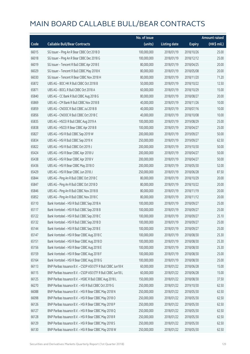|       |                                                              | No. of issue |                     |               | <b>Amount raised</b> |
|-------|--------------------------------------------------------------|--------------|---------------------|---------------|----------------------|
| Code  | <b>Callable Bull/Bear Contracts</b>                          | (units)      | <b>Listing date</b> | <b>Expiry</b> | $(HK$$ mil.)         |
| 66015 | SG Issuer - Ping An R Bear CBBC Oct 2018 D                   | 100,000,000  | 2018/01/19          | 2018/10/26    | 25.00                |
| 66018 | SG Issuer - Ping An R Bear CBBC Dec 2018 G                   | 100,000,000  | 2018/01/19          | 2018/12/12    | 25.00                |
| 66019 | SG Issuer - Tencent R Bull CBBC Apr 2018 E                   | 80,000,000   | 2018/01/19          | 2018/04/25    | 20.00                |
| 66029 | SG Issuer - Tencent R Bull CBBC May 2018 K                   | 80,000,000   | 2018/01/19          | 2018/05/08    | 20.00                |
| 66030 | SG Issuer - Tencent R Bear CBBC Nov 2018 H                   | 80,000,000   | 2018/01/19          | 2018/11/20    | 71.20                |
| 65872 | UBS AG - BOC HK R Bull CBBC Oct 2018 B                       | 50,000,000   | 2018/01/19          | 2018/10/22    | 12.50                |
| 65871 | UBS AG - BOCL R Bull CBBC Oct 2018 A                         | 60,000,000   | 2018/01/19          | 2018/10/29    | 15.00                |
| 65840 | UBS AG - CC Bank R Bull CBBC Aug 2018 G                      | 80,000,000   | 2018/01/19          | 2018/08/27    | 20.00                |
| 65869 | UBS AG - CM Bank R Bull CBBC Nov 2018 B                      | 40,000,000   | 2018/01/19          | 2018/11/26    | 10.00                |
| 65859 | UBS AG - CNOOC R Bull CBBC Jul 2018 B                        | 40,000,000   | 2018/01/19          | 2018/07/16    | 10.00                |
| 65856 | UBS AG - CNOOC R Bull CBBC Oct 2018 C                        | 40,000,000   | 2018/01/19          | 2018/10/08    | 10.00                |
| 65835 | UBS AG - HSCEI R Bull CBBC Aug 2019 A                        | 100,000,000  | 2018/01/19          | 2019/08/29    | 25.00                |
| 65838 | UBS AG - HSCEI R Bear CBBC Apr 2018 B                        | 100,000,000  | 2018/01/19          | 2018/04/27    | 25.00                |
| 65827 | UBS AG - HSI R Bull CBBC Sep 2019 W                          | 200,000,000  | 2018/01/19          | 2019/09/27    | 50.00                |
| 65834 | UBS AG - HSI R Bull CBBC Sep 2019 X                          | 250,000,000  | 2018/01/19          | 2019/09/27    | 62.50                |
| 65822 | UBS AG - HSI R Bull CBBC Oct 2019 J                          | 200,000,000  | 2018/01/19          | 2019/10/30    | 50.00                |
| 65424 | UBS AG - HSI R Bear CBBC Apr 2018 U                          | 200,000,000  | 2018/01/19          | 2018/04/27    | 50.00                |
| 65438 | UBS AG - HSI R Bear CBBC Apr 2018 V                          | 200,000,000  | 2018/01/19          | 2018/04/27    | 50.00                |
| 65436 | UBS AG - HSI R Bear CBBC May 2018 O                          | 200,000,000  | 2018/01/19          | 2018/05/30    | 52.00                |
| 65429 | UBS AG - HSI R Bear CBBC Jun 2018 J                          | 250,000,000  | 2018/01/19          | 2018/06/28    | 87.50                |
| 65844 | UBS AG - Ping An R Bull CBBC Oct 2018 C                      | 80,000,000   | 2018/01/19          | 2018/10/29    | 20.00                |
| 65847 | UBS AG - Ping An R Bull CBBC Oct 2018 D                      | 80,000,000   | 2018/01/19          | 2018/10/22    | 20.00                |
| 65846 | UBS AG - Ping An R Bull CBBC Nov 2018 B                      | 80,000,000   | 2018/01/19          | 2018/11/19    | 20.00                |
| 65852 | UBS AG - Ping An R Bull CBBC Nov 2018 C                      | 80,000,000   | 2018/01/19          | 2018/11/12    | 20.00                |
| 65110 | Bank Vontobel - HSI R Bull CBBC Sep 2018 A                   | 100,000,000  | 2018/01/19          | 2018/09/27    | 25.00                |
| 65117 | Bank Vontobel - HSI R Bull CBBC Sep 2018 B                   | 100,000,000  | 2018/01/19          | 2018/09/27    | 25.00                |
| 65122 | Bank Vontobel - HSI R Bull CBBC Sep 2018 C                   | 100,000,000  | 2018/01/19          | 2018/09/27    | 25.10                |
| 65132 | Bank Vontobel - HSI R Bull CBBC Sep 2018 D                   | 100,000,000  | 2018/01/19          | 2018/09/27    | 25.00                |
| 65144 | Bank Vontobel - HSI R Bull CBBC Sep 2018 E                   | 100,000,000  | 2018/01/19          | 2018/09/27    | 25.00                |
| 65147 | Bank Vontobel - HSI R Bear CBBC Aug 2018 C                   | 100,000,000  | 2018/01/19          | 2018/08/30    | 25.30                |
| 65151 | Bank Vontobel - HSI R Bear CBBC Aug 2018 D                   | 100,000,000  | 2018/01/19          | 2018/08/30    | 25.30                |
| 65156 | Bank Vontobel - HSI R Bear CBBC Aug 2018 E                   | 100,000,000  | 2018/01/19          | 2018/08/30    | 25.30                |
| 65159 | Bank Vontobel - HSI R Bear CBBC Aug 2018 F                   | 100,000,000  | 2018/01/19          | 2018/08/30    | 25.00                |
| 65164 | Bank Vontobel - HSI R Bear CBBC Aug 2018 G                   | 100,000,000  | 2018/01/19          | 2018/08/30    | 25.00                |
| 66113 | BNP Paribas Issuance B.V. - CSOP A50 ETF R Bull CBBC Jun18 K | 60,000,000   | 2018/01/22          | 2018/06/28    | 15.00                |
| 66115 | BNP Paribas Issuance B.V. - CSOP A50 ETF R Bull CBBC Jun18 L | 60,000,000   | 2018/01/22          | 2018/06/28    | 15.00                |
| 66125 | BNP Paribas Issuance B.V. - HSBC R Bull CBBC Aug 2018 L      | 150,000,000  | 2018/01/22          | 2018/08/30    | 37.50                |
| 66270 | BNP Paribas Issuance B.V. - HSI R Bull CBBC Oct 2019 G       | 250,000,000  | 2018/01/22          | 2019/10/30    | 62.50                |
| 66088 | BNP Paribas Issuance B.V. - HSI R Bear CBBC May 2018 N       | 250,000,000  | 2018/01/22          | 2018/05/30    | 62.50                |
| 66098 | BNP Paribas Issuance B.V. - HSI R Bear CBBC May 2018 O       | 250,000,000  | 2018/01/22          | 2018/05/30    | 62.50                |
| 66126 | BNP Paribas Issuance B.V. - HSI R Bear CBBC May 2018 P       | 250,000,000  | 2018/01/22          | 2018/05/30    | 62.50                |
| 66127 | BNP Paribas Issuance B.V. - HSI R Bear CBBC May 2018 Q       | 250,000,000  | 2018/01/22          | 2018/05/30    | 62.50                |
| 66128 | BNP Paribas Issuance B.V. - HSI R Bear CBBC May 2018 R       | 250,000,000  | 2018/01/22          | 2018/05/30    | 62.50                |
| 66129 | BNP Paribas Issuance B.V. - HSI R Bear CBBC May 2018 S       | 250,000,000  | 2018/01/22          | 2018/05/30    | 62.50                |
| 66130 | BNP Paribas Issuance B.V. - HSI R Bear CBBC May 2018 W       | 250,000,000  | 2018/01/22          | 2018/05/30    | 62.50                |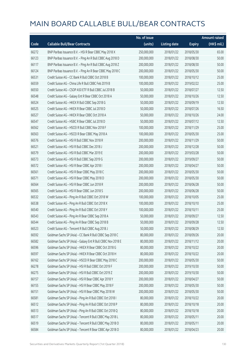|       |                                                             | No. of issue |                     |               | Amount raised         |
|-------|-------------------------------------------------------------|--------------|---------------------|---------------|-----------------------|
| Code  | <b>Callable Bull/Bear Contracts</b>                         | (units)      | <b>Listing date</b> | <b>Expiry</b> | $(HK\frac{1}{2}mil.)$ |
| 66272 | BNP Paribas Issuance B.V. - HSI R Bear CBBC May 2018 X      | 250,000,000  | 2018/01/22          | 2018/05/30    | 65.00                 |
| 66123 | BNP Paribas Issuance B.V. - Ping An R Bull CBBC Aug 2018 D  | 200,000,000  | 2018/01/22          | 2018/08/30    | 50.00                 |
| 66117 | BNP Paribas Issuance B.V. - Ping An R Bull CBBC Aug 2018 Z  | 200,000,000  | 2018/01/22          | 2018/08/30    | 50.00                 |
| 66124 | BNP Paribas Issuance B.V. - Ping An R Bear CBBC May 2018 C  | 200,000,000  | 2018/01/22          | 2018/05/30    | 50.00                 |
| 66531 | Credit Suisse AG - CC Bank R Bull CBBC Oct 2018 B           | 100,000,000  | 2018/01/22          | 2018/10/12    | 25.00                 |
| 66559 | Credit Suisse AG - China Life R Bull CBBC Feb 2019 B        | 100,000,000  | 2018/01/22          | 2019/02/22    | 25.00                 |
| 66550 | Credit Suisse AG - CSOP A50 ETF R Bull CBBC Jul 2018 B      | 50,000,000   | 2018/01/22          | 2018/07/27    | 12.50                 |
| 66548 | Credit Suisse AG - Galaxy Ent R Bear CBBC Oct 2018 A        | 50,000,000   | 2018/01/22          | 2018/10/26    | 12.50                 |
| 66524 | Credit Suisse AG - HKEX R Bull CBBC Sep 2018 G              | 50,000,000   | 2018/01/22          | 2018/09/19    | 12.50                 |
| 66525 | Credit Suisse AG - HKEX R Bear CBBC Jul 2018 D              | 50,000,000   | 2018/01/22          | 2018/07/26    | 16.50                 |
| 66527 | Credit Suisse AG - HKEX R Bear CBBC Oct 2018 A              | 50,000,000   | 2018/01/22          | 2018/10/26    | 24.00                 |
| 66547 | Credit Suisse AG - HSBC R Bear CBBC Jul 2018 D              | 50,000,000   | 2018/01/22          | 2018/07/12    | 12.50                 |
| 66562 | Credit Suisse AG - HSCEI R Bull CBBC Nov 2018 F             | 100,000,000  | 2018/01/22          | 2018/11/29    | 25.00                 |
| 66563 | Credit Suisse AG - HSCEI R Bear CBBC May 2018 A             | 100,000,000  | 2018/01/22          | 2018/05/30    | 25.00                 |
| 66576 | Credit Suisse AG - HSI R Bull CBBC Nov 2018 R               | 200,000,000  | 2018/01/22          | 2018/11/29    | 50.00                 |
| 66521 | Credit Suisse AG - HSI R Bull CBBC Dec 2018 J               | 200,000,000  | 2018/01/22          | 2018/12/28    | 50.00                 |
| 66579 | Credit Suisse AG - HSI R Bull CBBC Mar 2019 E               | 200,000,000  | 2018/01/22          | 2019/03/28    | 50.00                 |
| 66573 | Credit Suisse AG - HSI R Bull CBBC Sep 2019 G               | 200,000,000  | 2018/01/22          | 2019/09/27    | 50.00                 |
| 66572 | Credit Suisse AG - HSI R Bear CBBC Apr 2018 I               | 200,000,000  | 2018/01/22          | 2018/04/27    | 50.00                 |
| 66561 | Credit Suisse AG - HSI R Bear CBBC May 2018 C               | 200,000,000  | 2018/01/22          | 2018/05/30    | 50.00                 |
| 66571 | Credit Suisse AG - HSI R Bear CBBC May 2018 D               | 200,000,000  | 2018/01/22          | 2018/05/30    | 50.00                 |
| 66564 | Credit Suisse AG - HSI R Bear CBBC Jun 2018 R               | 200,000,000  | 2018/01/22          | 2018/06/28    | 50.00                 |
| 66565 | Credit Suisse AG - HSI R Bear CBBC Jun 2018 S               | 200,000,000  | 2018/01/22          | 2018/06/28    | 50.00                 |
| 66532 | Credit Suisse AG - Ping An R Bull CBBC Oct 2018 W           | 100,000,000  | 2018/01/22          | 2018/10/05    | 25.00                 |
| 66538 | Credit Suisse AG - Ping An R Bull CBBC Oct 2018 X           | 100,000,000  | 2018/01/22          | 2018/10/10    | 25.00                 |
| 66540 | Credit Suisse AG - Ping An R Bull CBBC Oct 2018 Y           | 100,000,000  | 2018/01/22          | 2018/10/11    | 25.00                 |
| 66543 | Credit Suisse AG - Ping An R Bear CBBC Sep 2018 A           | 50,000,000   | 2018/01/22          | 2018/09/27    | 12.50                 |
| 66544 | Credit Suisse AG - Ping An R Bear CBBC Sep 2018 B           | 50,000,000   | 2018/01/22          | 2018/09/28    | 12.50                 |
| 66523 | Credit Suisse AG - Tencent R Bull CBBC Aug 2018 J           | 50,000,000   | 2018/01/22          | 2018/08/29    | 12.50                 |
| 66592 | Goldman Sachs SP (Asia) - CC Bank R Bull CBBC Sep 2018 C    | 80,000,000   | 2018/01/22          | 2018/09/26    | 20.00                 |
| 66582 | Goldman Sachs SP (Asia) - Galaxy Ent R Bull CBBC Nov 2018 E | 80,000,000   | 2018/01/22          | 2018/11/12    | 20.00                 |
| 66596 | Goldman Sachs SP (Asia) - HKEX R Bear CBBC Oct 2018 G       | 80,000,000   | 2018/01/22          | 2018/10/22    | 20.00                 |
| 66597 | Goldman Sachs SP (Asia) - HKEX R Bear CBBC Oct 2018 H       | 80,000,000   | 2018/01/22          | 2018/10/22    | 20.00                 |
| 66162 | Goldman Sachs SP (Asia) - HSCEI R Bear CBBC May 2018 C      | 200,000,000  | 2018/01/22          | 2018/05/30    | 50.00                 |
| 66278 | Goldman Sachs SP (Asia) - HSI R Bull CBBC Oct 2019 F        | 200,000,000  | 2018/01/22          | 2019/10/30    | 50.00                 |
| 66275 | Goldman Sachs SP (Asia) - HSI R Bull CBBC Oct 2019 Z        | 200,000,000  | 2018/01/22          | 2019/10/30    | 50.00                 |
| 66157 | Goldman Sachs SP (Asia) - HSI R Bear CBBC Apr 2018 Y        | 200,000,000  | 2018/01/22          | 2018/04/27    | 50.00                 |
| 66155 | Goldman Sachs SP (Asia) - HSI R Bear CBBC May 2018 F        | 200,000,000  | 2018/01/22          | 2018/05/30    | 50.00                 |
| 66151 | Goldman Sachs SP (Asia) - HSI R Bear CBBC May 2018 W        | 200,000,000  | 2018/01/22          | 2018/05/30    | 50.00                 |
| 66581 | Goldman Sachs SP (Asia) - Ping An R Bull CBBC Oct 2018 I    | 80,000,000   | 2018/01/22          | 2018/10/22    | 20.00                 |
| 66512 | Goldman Sachs SP (Asia) - Ping An R Bull CBBC Oct 2018 P    | 80,000,000   | 2018/01/22          | 2018/10/18    | 20.00                 |
| 66513 | Goldman Sachs SP (Asia) - Ping An R Bull CBBC Oct 2018 Q    | 80,000,000   | 2018/01/22          | 2018/10/18    | 20.00                 |
| 66517 | Goldman Sachs SP (Asia) - Tencent R Bull CBBC May 2018 L    | 80,000,000   | 2018/01/22          | 2018/05/11    | 20.00                 |
| 66519 | Goldman Sachs SP (Asia) - Tencent R Bull CBBC May 2018 O    | 80,000,000   | 2018/01/22          | 2018/05/11    | 20.00                 |
| 66584 | Goldman Sachs SP (Asia) - Tencent R Bear CBBC Apr 2018 O    | 80,000,000   | 2018/01/22          | 2018/04/23    | 20.00                 |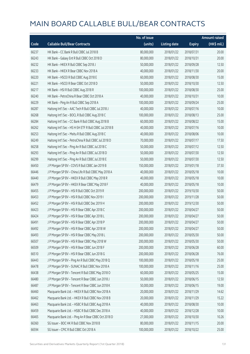|       |                                                        | No. of issue |                     |               | Amount raised         |
|-------|--------------------------------------------------------|--------------|---------------------|---------------|-----------------------|
| Code  | <b>Callable Bull/Bear Contracts</b>                    | (units)      | <b>Listing date</b> | <b>Expiry</b> | $(HK\frac{1}{2}mil.)$ |
| 66237 | HK Bank - CC Bank R Bull CBBC Jul 2018 B               | 80,000,000   | 2018/01/22          | 2018/07/31    | 20.00                 |
| 66243 | HK Bank - Galaxy Ent R Bull CBBC Oct 2018 D            | 80,000,000   | 2018/01/22          | 2018/10/31    | 20.00                 |
| 66232 | HK Bank - HKEX R Bull CBBC Sep 2018 J                  | 50,000,000   | 2018/01/22          | 2018/09/28    | 12.50                 |
| 66233 | HK Bank - HKEX R Bear CBBC Nov 2018 A                  | 40,000,000   | 2018/01/22          | 2018/11/30    | 20.00                 |
| 66220 | HK Bank - HSCEI R Bull CBBC Aug 2018 E                 | 60,000,000   | 2018/01/22          | 2018/08/30    | 15.00                 |
| 66221 | HK Bank - HSCEI R Bear CBBC Oct 2018 D                 | 50,000,000   | 2018/01/22          | 2018/10/30    | 12.50                 |
| 66217 | HK Bank - HSI R Bull CBBC Aug 2018 R                   | 100,000,000  | 2018/01/22          | 2018/08/30    | 25.00                 |
| 66240 | HK Bank - PetroChina R Bear CBBC Oct 2018 A            | 40,000,000   | 2018/01/22          | 2018/10/31    | 10.00                 |
| 66229 | HK Bank - Ping An R Bull CBBC Sep 2018 A               | 100,000,000  | 2018/01/22          | 2018/09/24    | 25.00                 |
| 66287 | Haitong Int'l Sec - AAC Tech R Bull CBBC Jul 2018 J    | 40,000,000   | 2018/01/22          | 2018/07/16    | 10.00                 |
| 66268 | Haitong Int'l Sec - BOCL R Bull CBBC Aug 2018 C        | 100,000,000  | 2018/01/22          | 2018/08/13    | 25.00                 |
| 66284 | Haitong Int'l Sec - CC Bank R Bull CBBC Aug 2018 B     | 60,000,000   | 2018/01/22          | 2018/08/22    | 15.00                 |
| 66262 | Haitong Int'l Sec - HS H-SH ETF R Bull CBBC Jul 2018 B | 40,000,000   | 2018/01/22          | 2018/07/16    | 10.00                 |
| 66253 | Haitong Int'l Sec - Meitu R Bull CBBC Aug 2018 C       | 40,000,000   | 2018/01/22          | 2018/08/06    | 10.00                 |
| 66249 | Haitong Int'l Sec - PetroChina R Bull CBBC Jul 2018 D  | 70,000,000   | 2018/01/22          | 2018/07/17    | 17.50                 |
| 66258 | Haitong Int'l Sec - Ping An R Bull CBBC Jul 2018 C     | 50,000,000   | 2018/01/22          | 2018/07/12    | 12.50                 |
| 66293 | Haitong Int'l Sec - Ping An R Bull CBBC Jul 2018 D     | 50,000,000   | 2018/01/22          | 2018/07/30    | 12.50                 |
| 66299 | Haitong Int'l Sec - Ping An R Bull CBBC Jul 2018 E     | 50,000,000   | 2018/01/22          | 2018/07/30    | 12.50                 |
| 66450 | J P Morgan SP BV - COVS R Bull CBBC Jan 2019 B         | 150,000,000  | 2018/01/22          | 2019/01/18    | 37.50                 |
| 66446 | J P Morgan SP BV - China Life R Bull CBBC May 2018 A   | 40,000,000   | 2018/01/22          | 2018/05/18    | 10.00                 |
| 66440 | J P Morgan SP BV - HKEX R Bull CBBC May 2018 R         | 40,000,000   | 2018/01/22          | 2018/05/18    | 10.00                 |
| 66479 | J P Morgan SP BV - HKEX R Bear CBBC May 2018 F         | 40,000,000   | 2018/01/22          | 2018/05/18    | 10.00                 |
| 66455 | J P Morgan SP BV - HSI R Bull CBBC Oct 2019 R          | 200,000,000  | 2018/01/22          | 2019/10/30    | 50.00                 |
| 66453 | J P Morgan SP BV - HSI R Bull CBBC Nov 2019 I          | 200,000,000  | 2018/01/22          | 2019/11/28    | 50.00                 |
| 66452 | JP Morgan SP BV - HSIR Bull CBBC Dec 2019 H            | 200,000,000  | 2018/01/22          | 2019/12/30    | 50.00                 |
| 66423 | J P Morgan SP BV - HSI R Bear CBBC Apr 2018 C          | 200,000,000  | 2018/01/22          | 2018/04/27    | 50.00                 |
| 66424 | J P Morgan SP BV - HSI R Bear CBBC Apr 2018 L          | 200,000,000  | 2018/01/22          | 2018/04/27    | 50.00                 |
| 66491 | J P Morgan SP BV - HSI R Bear CBBC Apr 2018 P          | 200,000,000  | 2018/01/22          | 2018/04/27    | 50.00                 |
| 66492 | J P Morgan SP BV - HSI R Bear CBBC Apr 2018 W          | 200,000,000  | 2018/01/22          | 2018/04/27    | 50.00                 |
| 66493 | J P Morgan SP BV - HSI R Bear CBBC May 2018 L          | 200,000,000  | 2018/01/22          | 2018/05/30    | 50.00                 |
| 66507 | J P Morgan SP BV - HSI R Bear CBBC May 2018 W          | 200,000,000  | 2018/01/22          | 2018/05/30    | 50.00                 |
| 66509 | J P Morgan SP BV - HSI R Bear CBBC Jun 2018 F          | 200,000,000  | 2018/01/22          | 2018/06/28    | 60.00                 |
| 66510 | J P Morgan SP BV - HSI R Bear CBBC Jun 2018 G          | 200,000,000  | 2018/01/22          | 2018/06/28    | 76.00                 |
| 66443 | J P Morgan SP BV - Ping An R Bull CBBC May 2018 Q      | 100,000,000  | 2018/01/22          | 2018/05/18    | 25.00                 |
| 66478 | J P Morgan SP BV - SUNAC R Bull CBBC Nov 2018 A        | 100,000,000  | 2018/01/22          | 2018/11/16    | 25.00                 |
| 66438 | J P Morgan SP BV - Tencent R Bull CBBC May 2018 O      | 60,000,000   | 2018/01/22          | 2018/05/25    | 15.00                 |
| 66480 | J P Morgan SP BV - Tencent R Bear CBBC Jun 2018 J      | 50,000,000   | 2018/01/22          | 2018/06/15    | 12.50                 |
| 66487 | J P Morgan SP BV - Tencent R Bear CBBC Jun 2018 K      | 50,000,000   | 2018/01/22          | 2018/06/15    | 19.00                 |
| 66460 | Macquarie Bank Ltd. - HKEX R Bull CBBC Nov 2018 A      | 20,000,000   | 2018/01/22          | 2018/11/29    | 14.62                 |
| 66462 | Macquarie Bank Ltd. - HKEX R Bull CBBC Nov 2018 B      | 20,000,000   | 2018/01/22          | 2018/11/29    | 15.22                 |
| 66463 | Macquarie Bank Ltd. - HSBC R Bull CBBC Aug 2018 A      | 40,000,000   | 2018/01/22          | 2018/08/30    | 10.00                 |
| 66459 | Macquarie Bank Ltd. - HSBC R Bull CBBC Dec 2018 A      | 40,000,000   | 2018/01/22          | 2018/12/28    | 10.00                 |
| 66465 | Macquarie Bank Ltd. - Ping An R Bear CBBC Oct 2018 D   | 27,000,000   | 2018/01/22          | 2018/10/30    | 10.26                 |
| 66360 | SG Issuer - BOC HK R Bull CBBC Nov 2018 B              | 80,000,000   | 2018/01/22          | 2018/11/15    | 20.00                 |
| 66594 | SG Issuer - CPIC R Bull CBBC Oct 2018 A                | 100,000,000  | 2018/01/22          | 2018/10/22    | 25.00                 |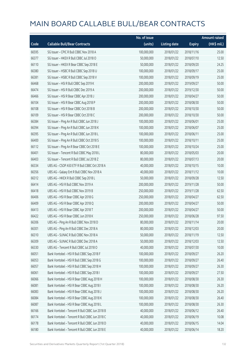|       |                                                | No. of issue |                     |               | <b>Amount raised</b> |
|-------|------------------------------------------------|--------------|---------------------|---------------|----------------------|
| Code  | <b>Callable Bull/Bear Contracts</b>            | (units)      | <b>Listing date</b> | <b>Expiry</b> | $(HK\$ mil.)         |
| 66595 | SG Issuer - CPIC R Bull CBBC Nov 2018 A        | 100,000,000  | 2018/01/22          | 2018/11/16    | 25.00                |
| 66377 | SG Issuer - HKEX R Bull CBBC Jul 2018 O        | 50,000,000   | 2018/01/22          | 2018/07/10    | 12.50                |
| 66110 | SG Issuer - HKEX R Bear CBBC Sep 2018 E        | 50,000,000   | 2018/01/22          | 2018/09/20    | 24.25                |
| 66380 | SG Issuer - HSBC R Bull CBBC Sep 2018 U        | 100,000,000  | 2018/01/22          | 2018/09/17    | 25.00                |
| 66381 | SG Issuer - HSBC R Bull CBBC Sep 2018 V        | 100,000,000  | 2018/01/22          | 2018/09/19    | 25.00                |
| 66468 | SG Issuer - HSI R Bull CBBC Sep 2019 K         | 200,000,000  | 2018/01/22          | 2019/09/27    | 50.00                |
| 66474 | SG Issuer - HSI R Bull CBBC Dec 2019 A         | 200,000,000  | 2018/01/22          | 2019/12/30    | 50.00                |
| 66466 | SG Issuer - HSI R Bear CBBC Apr 2018 J         | 200,000,000  | 2018/01/22          | 2018/04/27    | 50.00                |
| 66104 | SG Issuer - HSI R Bear CBBC Aug 2018 P         | 200,000,000  | 2018/01/22          | 2018/08/30    | 50.00                |
| 66108 | SG Issuer - HSI R Bear CBBC Oct 2018 B         | 200,000,000  | 2018/01/22          | 2018/10/30    | 50.00                |
| 66109 | SG Issuer - HSI R Bear CBBC Oct 2018 C         | 200,000,000  | 2018/01/22          | 2018/10/30    | 50.00                |
| 66384 | SG Issuer - Ping An R Bull CBBC Jun 2018 J     | 100,000,000  | 2018/01/22          | 2018/06/01    | 25.00                |
| 66394 | SG Issuer - Ping An R Bull CBBC Jun 2018 K     | 100,000,000  | 2018/01/22          | 2018/06/07    | 25.00                |
| 66395 | SG Issuer - Ping An R Bull CBBC Jun 2018 L     | 100,000,000  | 2018/01/22          | 2018/06/11    | 25.00                |
| 66400 | SG Issuer - Ping An R Bull CBBC Oct 2018 S     | 100,000,000  | 2018/01/22          | 2018/10/11    | 25.00                |
| 66112 | SG Issuer - Ping An R Bear CBBC Oct 2018 E     | 100,000,000  | 2018/01/22          | 2018/10/24    | 25.00                |
| 66401 | SG Issuer - Tencent R Bull CBBC May 2018 L     | 80,000,000   | 2018/01/22          | 2018/05/03    | 20.00                |
| 66403 | SG Issuer - Tencent R Bull CBBC Jul 2018 Z     | 80,000,000   | 2018/01/22          | 2018/07/13    | 20.00                |
| 66334 | UBS AG - CSOP A50 ETF R Bull CBBC Oct 2018 A   | 40,000,000   | 2018/01/22          | 2018/10/15    | 10.00                |
| 66356 | UBS AG - Galaxy Ent R Bull CBBC Nov 2018 A     | 40,000,000   | 2018/01/22          | 2018/11/12    | 10.00                |
| 66312 | UBS AG - HKEX R Bull CBBC Sep 2018 L           | 50,000,000   | 2018/01/22          | 2018/09/28    | 12.50                |
| 66414 | UBS AG - HSI R Bull CBBC Nov 2019 A            | 200,000,000  | 2018/01/22          | 2019/11/28    | 50.00                |
| 66418 | UBS AG - HSI R Bull CBBC Nov 2019 B            | 250,000,000  | 2018/01/22          | 2019/11/28    | 62.50                |
| 66406 | UBS AG - HSI R Bear CBBC Apr 2018 G            | 250,000,000  | 2018/01/22          | 2018/04/27    | 62.50                |
| 66409 | UBS AG - HSI R Bear CBBC Apr 2018 Q            | 200,000,000  | 2018/01/22          | 2018/04/27    | 50.00                |
| 66413 | UBS AG - HSI R Bear CBBC Apr 2018 T            | 200,000,000  | 2018/01/22          | 2018/04/27    | 50.00                |
| 66422 | UBS AG - HSI R Bear CBBC Jun 2018 K            | 250,000,000  | 2018/01/22          | 2018/06/28    | 97.50                |
| 66306 | UBS AG - Ping An R Bull CBBC Nov 2018 D        | 80,000,000   | 2018/01/22          | 2018/11/14    | 20.00                |
| 66301 | UBS AG - Ping An R Bull CBBC Dec 2018 A        | 80,000,000   | 2018/01/22          | 2018/12/03    | 20.00                |
| 66310 | UBS AG - SUNAC R Bull CBBC Nov 2018 A          | 50,000,000   | 2018/01/22          | 2018/11/19    | 12.50                |
| 66309 | UBS AG - SUNAC R Bull CBBC Dec 2018 A          | 50,000,000   | 2018/01/22          | 2018/12/03    | 12.50                |
| 66330 | UBS AG - Tencent R Bull CBBC Jul 2018 O        | 40,000,000   | 2018/01/22          | 2018/07/30    | 10.00                |
| 66051 | Bank Vontobel - HSI R Bull CBBC Sep 2018 F     | 100,000,000  | 2018/01/22          | 2018/09/27    | 26.20                |
| 66053 | Bank Vontobel - HSI R Bull CBBC Sep 2018 G     | 100,000,000  | 2018/01/22          | 2018/09/27    | 26.40                |
| 66057 | Bank Vontobel - HSI R Bull CBBC Sep 2018 H     | 100,000,000  | 2018/01/22          | 2018/09/27    | 26.30                |
| 66061 | Bank Vontobel - HSI R Bull CBBC Sep 2018 I     | 100,000,000  | 2018/01/22          | 2018/09/27    | 27.50                |
| 66066 | Bank Vontobel - HSI R Bear CBBC Aug 2018 H     | 100,000,000  | 2018/01/22          | 2018/08/30    | 26.30                |
| 66081 | Bank Vontobel - HSI R Bear CBBC Aug 2018 I     | 100,000,000  | 2018/01/22          | 2018/08/30    | 26.20                |
| 66083 | Bank Vontobel - HSI R Bear CBBC Aug 2018 J     | 100,000,000  | 2018/01/22          | 2018/08/30    | 26.20                |
| 66084 | Bank Vontobel - HSI R Bear CBBC Aug 2018 K     | 100,000,000  | 2018/01/22          | 2018/08/30    | 26.40                |
| 66087 | Bank Vontobel - HSI R Bear CBBC Aug 2018 L     | 100,000,000  | 2018/01/22          | 2018/08/30    | 26.30                |
| 66166 | Bank Vontobel - Tencent R Bull CBBC Jun 2018 B | 40,000,000   | 2018/01/22          | 2018/06/12    | 26.40                |
| 66174 | Bank Vontobel - Tencent R Bull CBBC Jun 2018 C | 40,000,000   | 2018/01/22          | 2018/06/19    | 10.08                |
| 66178 | Bank Vontobel - Tencent R Bull CBBC Jun 2018 D | 40,000,000   | 2018/01/22          | 2018/06/15    | 14.04                |
| 66180 | Bank Vontobel - Tencent R Bull CBBC Jun 2018 E | 40,000,000   | 2018/01/22          | 2018/06/14    | 18.20                |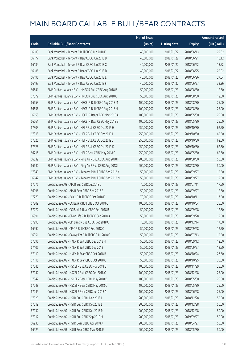|       |                                                            | No. of issue |                     |               | <b>Amount raised</b> |
|-------|------------------------------------------------------------|--------------|---------------------|---------------|----------------------|
| Code  | <b>Callable Bull/Bear Contracts</b>                        | (units)      | <b>Listing date</b> | <b>Expiry</b> | $(HK$$ mil.)         |
| 66183 | Bank Vontobel - Tencent R Bull CBBC Jun 2018 F             | 40,000,000   | 2018/01/22          | 2018/06/13    | 22.32                |
| 66177 | Bank Vontobel - Tencent R Bear CBBC Jun 2018 B             | 40,000,000   | 2018/01/22          | 2018/06/21    | 10.12                |
| 66184 | Bank Vontobel - Tencent R Bear CBBC Jun 2018 C             | 40,000,000   | 2018/01/22          | 2018/06/22    | 13.52                |
| 66185 | Bank Vontobel - Tencent R Bear CBBC Jun 2018 D             | 40,000,000   | 2018/01/22          | 2018/06/25    | 22.92                |
| 66196 | Bank Vontobel - Tencent R Bear CBBC Jun 2018 E             | 40,000,000   | 2018/01/22          | 2018/06/26    | 27.64                |
| 66197 | Bank Vontobel - Tencent R Bear CBBC Jun 2018 F             | 40,000,000   | 2018/01/22          | 2018/06/27    | 32.36                |
| 66641 | BNP Paribas Issuance B.V. - HKEX R Bull CBBC Aug 2018 B    | 50,000,000   | 2018/01/23          | 2018/08/30    | 12.50                |
| 67372 | BNP Paribas Issuance B.V. - HKEX R Bull CBBC Aug 2018 C    | 50,000,000   | 2018/01/23          | 2018/08/30    | 12.50                |
| 66653 | BNP Paribas Issuance B.V. - HSCEI R Bull CBBC Aug 2018 M   | 100,000,000  | 2018/01/23          | 2018/08/30    | 25.00                |
| 66656 | BNP Paribas Issuance B.V. - HSCEI R Bull CBBC Aug 2018 N   | 100,000,000  | 2018/01/23          | 2018/08/30    | 25.00                |
| 66658 | BNP Paribas Issuance B.V. - HSCEI R Bear CBBC May 2018 A   | 100,000,000  | 2018/01/23          | 2018/05/30    | 25.00                |
| 66661 | BNP Paribas Issuance B.V. - HSCEI R Bear CBBC May 2018 B   | 100,000,000  | 2018/01/23          | 2018/05/30    | 25.00                |
| 67303 | BNP Paribas Issuance B.V. - HSI R Bull CBBC Oct 2019 H     | 250,000,000  | 2018/01/23          | 2019/10/30    | 62.50                |
| 67318 | BNP Paribas Issuance B.V. - HSI R Bull CBBC Oct 2019 I     | 250,000,000  | 2018/01/23          | 2019/10/30    | 62.50                |
| 67325 | BNP Paribas Issuance B.V. - HSI R Bull CBBC Oct 2019 J     | 250,000,000  | 2018/01/23          | 2019/10/30    | 62.50                |
| 67328 | BNP Paribas Issuance B.V. - HSI R Bull CBBC Oct 2019 K     | 250,000,000  | 2018/01/23          | 2019/10/30    | 62.50                |
| 66715 | BNP Paribas Issuance B.V. - HSI R Bear CBBC May 2018 C     | 250,000,000  | 2018/01/23          | 2018/05/30    | 62.50                |
| 66639 | BNP Paribas Issuance B.V. - Ping An R Bull CBBC Aug 2018 F | 200,000,000  | 2018/01/23          | 2018/08/30    | 50.00                |
| 66640 | BNP Paribas Issuance B.V. - Ping An R Bull CBBC Aug 2018 I | 200,000,000  | 2018/01/23          | 2018/08/30    | 50.00                |
| 67349 | BNP Paribas Issuance B.V. - Tencent R Bull CBBC Sep 2018 K | 50,000,000   | 2018/01/23          | 2018/09/27    | 12.50                |
| 66642 | BNP Paribas Issuance B.V. - Tencent R Bull CBBC Sep 2018 N | 50,000,000   | 2018/01/23          | 2018/09/27    | 12.50                |
| 67076 | Credit Suisse AG - AIA R Bull CBBC Jul 2018 L              | 70,000,000   | 2018/01/23          | 2018/07/11    | 17.50                |
| 66996 | Credit Suisse AG - AIA R Bear CBBC Sep 2018 B              | 50,000,000   | 2018/01/23          | 2018/09/27    | 12.50                |
| 67279 | Credit Suisse AG - BOCL R Bull CBBC Oct 2018 F             | 70,000,000   | 2018/01/23          | 2018/10/11    | 17.50                |
| 67209 | Credit Suisse AG - CC Bank R Bull CBBC Oct 2018 C          | 100,000,000  | 2018/01/23          | 2018/10/04    | 25.00                |
| 67272 | Credit Suisse AG - CC Bank R Bear CBBC Sep 2018 B          | 50,000,000   | 2018/01/23          | 2018/09/28    | 12.50                |
| 66991 | Credit Suisse AG - China Life R Bull CBBC Sep 2018 A       | 50,000,000   | 2018/01/23          | 2018/09/28    | 12.50                |
| 67293 | Credit Suisse AG - CM Bank R Bull CBBC Dec 2018 C          | 70,000,000   | 2018/01/23          | 2018/12/14    | 17.50                |
| 66992 | Credit Suisse AG - CPIC R Bull CBBC Sep 2018 C             | 50,000,000   | 2018/01/23          | 2018/09/28    | 12.50                |
| 66951 | Credit Suisse AG - Galaxy Ent R Bull CBBC Jul 2018 C       | 50,000,000   | 2018/01/23          | 2018/07/13    | 12.50                |
| 67096 | Credit Suisse AG - HKEX R Bull CBBC Sep 2018 H             | 50,000,000   | 2018/01/23          | 2018/09/12    | 12.50                |
| 67106 | Credit Suisse AG - HKEX R Bull CBBC Sep 2018 I             | 50,000,000   | 2018/01/23          | 2018/09/27    | 12.50                |
| 67110 | Credit Suisse AG - HKEX R Bear CBBC Oct 2018 B             | 50,000,000   | 2018/01/23          | 2018/10/24    | 27.50                |
| 67116 | Credit Suisse AG - HKEX R Bear CBBC Oct 2018 C             | 50,000,000   | 2018/01/23          | 2018/10/25    | 35.50                |
| 67045 | Credit Suisse AG - HSCEI R Bull CBBC Nov 2018 G            | 100,000,000  | 2018/01/23          | 2018/11/29    | 25.00                |
| 67042 | Credit Suisse AG - HSCEI R Bull CBBC Dec 2018 C            | 100,000,000  | 2018/01/23          | 2018/12/28    | 25.00                |
| 67047 | Credit Suisse AG - HSCEI R Bear CBBC May 2018 B            | 100,000,000  | 2018/01/23          | 2018/05/30    | 25.00                |
| 67048 | Credit Suisse AG - HSCEI R Bear CBBC May 2018 C            | 100,000,000  | 2018/01/23          | 2018/05/30    | 25.00                |
| 67049 | Credit Suisse AG - HSCEI R Bear CBBC Jun 2018 A            | 100,000,000  | 2018/01/23          | 2018/06/28    | 25.00                |
| 67029 | Credit Suisse AG - HSI R Bull CBBC Dec 2018 I              | 200,000,000  | 2018/01/23          | 2018/12/28    | 50.00                |
| 67019 | Credit Suisse AG - HSI R Bull CBBC Dec 2018 L              | 200,000,000  | 2018/01/23          | 2018/12/28    | 50.00                |
| 67032 | Credit Suisse AG - HSI R Bull CBBC Dec 2018 R              | 200,000,000  | 2018/01/23          | 2018/12/28    | 50.00                |
| 67017 | Credit Suisse AG - HSI R Bull CBBC Sep 2019 H              | 200,000,000  | 2018/01/23          | 2019/09/27    | 50.00                |
| 66930 | Credit Suisse AG - HSI R Bear CBBC Apr 2018 J              | 200,000,000  | 2018/01/23          | 2018/04/27    | 50.00                |
| 66929 | Credit Suisse AG - HSI R Bear CBBC May 2018 E              | 200,000,000  | 2018/01/23          | 2018/05/30    | 50.00                |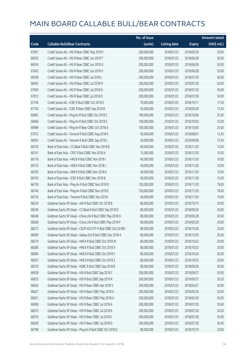|       |                                                              | No. of issue |                     |               | <b>Amount raised</b> |
|-------|--------------------------------------------------------------|--------------|---------------------|---------------|----------------------|
| Code  | <b>Callable Bull/Bear Contracts</b>                          | (units)      | <b>Listing date</b> | <b>Expiry</b> | (HK\$ mil.)          |
| 67001 | Credit Suisse AG - HSI R Bear CBBC May 2018 F                | 200,000,000  | 2018/01/23          | 2018/05/30    | 50.00                |
| 66932 | Credit Suisse AG - HSI R Bear CBBC Jun 2018 T                | 200,000,000  | 2018/01/23          | 2018/06/28    | 50.00                |
| 66934 | Credit Suisse AG - HSI R Bear CBBC Jun 2018 U                | 200,000,000  | 2018/01/23          | 2018/06/28    | 50.00                |
| 67003 | Credit Suisse AG - HSI R Bear CBBC Jun 2018 V                | 200,000,000  | 2018/01/23          | 2018/06/28    | 50.00                |
| 66938 | Credit Suisse AG - HSI R Bear CBBC Jul 2018 L                | 200,000,000  | 2018/01/23          | 2018/07/30    | 50.00                |
| 66942 | Credit Suisse AG - HSI R Bear CBBC Jul 2018 M                | 200,000,000  | 2018/01/23          | 2018/07/30    | 50.00                |
| 67004 | Credit Suisse AG - HSI R Bear CBBC Jul 2018 N                | 200,000,000  | 2018/01/23          | 2018/07/30    | 50.00                |
| 67012 | Credit Suisse AG - HSI R Bear CBBC Jul 2018 O                | 200,000,000  | 2018/01/23          | 2018/07/30    | 50.00                |
| 67146 | Credit Suisse AG - ICBC R Bull CBBC Oct 2018 E               | 70,000,000   | 2018/01/23          | 2018/10/11    | 17.50                |
| 67193 | Credit Suisse AG - ICBC R Bear CBBC Sep 2018 B               | 50,000,000   | 2018/01/23          | 2018/09/28    | 12.50                |
| 66981 | Credit Suisse AG - Ping An R Bull CBBC Oct 2018 C            | 100,000,000  | 2018/01/23          | 2018/10/04    | 25.00                |
| 66966 | Credit Suisse AG - Ping An R Bull CBBC Oct 2018 Z            | 100,000,000  | 2018/01/23          | 2018/10/03    | 25.00                |
| 66989 | Credit Suisse AG - Ping An R Bear CBBC Oct 2018 A            | 100,000,000  | 2018/01/23          | 2018/10/05    | 25.00                |
| 67072 | Credit Suisse AG - Tencent R Bull CBBC Aug 2018 K            | 50,000,000   | 2018/01/23          | 2018/08/01    | 12.50                |
| 66952 | Credit Suisse AG - Tencent R Bull CBBC Sep 2018 J            | 50,000,000   | 2018/01/23          | 2018/09/06    | 12.50                |
| 66742 | Bank of East Asia - CC Bank R Bull CBBC Nov 2018 B           | 60,000,000   | 2018/01/23          | 2018/11/20    | 15.00                |
| 66741 | Bank of East Asia - CPIC R Bull CBBC Nov 2018 A              | 15,000,000   | 2018/01/23          | 2018/11/20    | 10.20                |
| 66716 | Bank of East Asia - HKEX R Bull CBBC Nov 2018 I              | 40,000,000   | 2018/01/23          | 2018/11/20    | 10.00                |
| 66733 | Bank of East Asia - HKEX R Bull CBBC Nov 2018 J              | 40,000,000   | 2018/01/23          | 2018/11/20    | 10.00                |
| 66792 | Bank of East Asia - HKEX R Bull CBBC Nov 2018 K              | 40,000,000   | 2018/01/23          | 2018/11/20    | 10.00                |
| 66745 | Bank of East Asia - ICBC R Bull CBBC Nov 2018 B              | 60,000,000   | 2018/01/23          | 2018/11/20    | 15.00                |
| 66739 | Bank of East Asia - Ping An R Bull CBBC Nov 2018 D           | 120,000,000  | 2018/01/23          | 2018/11/20    | 78.00                |
| 66740 | Bank of East Asia - Ping An R Bull CBBC Nov 2018 E           | 120,000,000  | 2018/01/23          | 2018/11/20    | 78.00                |
| 66736 | Bank of East Asia - Tencent R Bull CBBC Nov 2018 I           | 40,000,000   | 2018/01/23          | 2018/11/20    | 10.00                |
| 68234 | Goldman Sachs SP (Asia) - AIA R Bull CBBC Oct 2018 B         | 80,000,000   | 2018/01/23          | 2018/10/15    | 20.00                |
| 68338 | Goldman Sachs SP (Asia) - CC Bank R Bull CBBC Sep 2018 D     | 80,000,000   | 2018/01/23          | 2018/09/26    | 20.00                |
| 68248 | Goldman Sachs SP (Asia) - China Life R Bull CBBC May 2018 O  | 80,000,000   | 2018/01/23          | 2018/05/28    | 20.00                |
| 68266 | Goldman Sachs SP (Asia) - China Life R Bull CBBC May 2018 P  | 80,000,000   | 2018/01/23          | 2018/05/29    | 20.00                |
| 68273 | Goldman Sachs SP (Asia) - CSOP A50 ETF R Bull CBBC Oct 2018D | 80,000,000   | 2018/01/23          | 2018/10/26    | 20.00                |
| 68269 | Goldman Sachs SP (Asia) - Galaxy Ent R Bull CBBC Dec 2018 A  | 80,000,000   | 2018/01/23          | 2018/12/03    | 20.00                |
| 68274 | Goldman Sachs SP (Asia) - HKEX R Bull CBBC Oct 2018 W        | 80,000,000   | 2018/01/23          | 2018/10/22    | 20.00                |
| 68280 | Goldman Sachs SP (Asia) - HKEX R Bull CBBC Oct 2018 X        | 80,000,000   | 2018/01/23          | 2018/10/23    | 20.00                |
| 68284 | Goldman Sachs SP (Asia) - HKEX R Bull CBBC Oct 2018 Y        | 80,000,000   | 2018/01/23          | 2018/10/24    | 20.00                |
| 68297 | Goldman Sachs SP (Asia) - HKEX R Bull CBBC Oct 2018 Z        | 80,000,000   | 2018/01/23          | 2018/10/25    | 20.00                |
| 68310 | Goldman Sachs SP (Asia) - HSBC R Bull CBBC Sep 2018 B        | 80,000,000   | 2018/01/23          | 2018/09/26    | 20.00                |
| 66928 | Goldman Sachs SP (Asia) - HSI R Bull CBBC Sep 2019 C         | 200,000,000  | 2018/01/23          | 2019/09/27    | 50.00                |
| 66925 | Goldman Sachs SP (Asia) - HSI R Bull CBBC Sep 2019 R         | 200,000,000  | 2018/01/23          | 2019/09/27    | 50.20                |
| 66624 | Goldman Sachs SP (Asia) - HSI R Bear CBBC Apr 2018 V         | 200,000,000  | 2018/01/23          | 2018/04/27    | 50.00                |
| 66627 | Goldman Sachs SP (Asia) - HSI R Bear CBBC May 2018 G         | 200,000,000  | 2018/01/23          | 2018/05/30    | 50.00                |
| 66921 | Goldman Sachs SP (Asia) - HSI R Bear CBBC May 2018 H         | 200,000,000  | 2018/01/23          | 2018/05/30    | 50.00                |
| 66906 | Goldman Sachs SP (Asia) - HSI R Bear CBBC Jul 2018 A         | 200,000,000  | 2018/01/23          | 2018/07/30    | 50.60                |
| 66915 | Goldman Sachs SP (Asia) - HSI R Bear CBBC Jul 2018 B         | 200,000,000  | 2018/01/23          | 2018/07/30    | 50.20                |
| 66916 | Goldman Sachs SP (Asia) - HSI R Bear CBBC Jul 2018 C         | 200,000,000  | 2018/01/23          | 2018/07/30    | 50.00                |
| 66920 | Goldman Sachs SP (Asia) - HSI R Bear CBBC Jul 2018 D         | 200,000,000  | 2018/01/23          | 2018/07/30    | 50.40                |
| 66798 | Goldman Sachs SP (Asia) - Ping An R Bull CBBC Oct 2018 D     | 80,000,000   | 2018/01/23          | 2018/10/19    | 20.00                |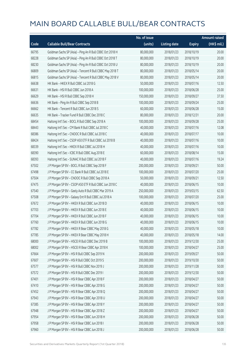|       |                                                          | No. of issue |                     |               | <b>Amount raised</b>  |
|-------|----------------------------------------------------------|--------------|---------------------|---------------|-----------------------|
| Code  | <b>Callable Bull/Bear Contracts</b>                      | (units)      | <b>Listing date</b> | <b>Expiry</b> | $(HK\frac{1}{2}mil.)$ |
| 66795 | Goldman Sachs SP (Asia) - Ping An R Bull CBBC Oct 2018 H | 80,000,000   | 2018/01/23          | 2018/10/19    | 20.00                 |
| 68228 | Goldman Sachs SP (Asia) - Ping An R Bull CBBC Oct 2018 T | 80,000,000   | 2018/01/23          | 2018/10/19    | 20.00                 |
| 68230 | Goldman Sachs SP (Asia) - Ping An R Bull CBBC Oct 2018 U | 80,000,000   | 2018/01/23          | 2018/10/19    | 20.00                 |
| 66809 | Goldman Sachs SP (Asia) - Tencent R Bull CBBC May 2018 T | 80,000,000   | 2018/01/23          | 2018/05/14    | 20.00                 |
| 66815 | Goldman Sachs SP (Asia) - Tencent R Bull CBBC May 2018 V | 80,000,000   | 2018/01/23          | 2018/05/14    | 20.00                 |
| 66638 | HK Bank - HKEX R Bull CBBC Jul 2018 G                    | 50,000,000   | 2018/01/23          | 2018/07/16    | 12.50                 |
| 66631 | HK Bank - HSI R Bull CBBC Jun 2018 A                     | 100,000,000  | 2018/01/23          | 2018/06/28    | 25.00                 |
| 66629 | HK Bank - HSI R Bull CBBC Sep 2018 H                     | 150,000,000  | 2018/01/23          | 2018/09/27    | 37.50                 |
| 66636 | HK Bank - Ping An R Bull CBBC Sep 2018 B                 | 100,000,000  | 2018/01/23          | 2018/09/24    | 25.00                 |
| 66662 | HK Bank - Tencent R Bull CBBC Jun 2018 S                 | 60,000,000   | 2018/01/23          | 2018/06/28    | 15.00                 |
| 66635 | HK Bank - Tracker Fund R Bull CBBC Dec 2018 C            | 80,000,000   | 2018/01/23          | 2018/12/31    | 20.00                 |
| 68454 | Haitong Int'l Sec - BOCL R Bull CBBC Sep 2018 A          | 100,000,000  | 2018/01/23          | 2018/09/28    | 25.00                 |
| 68443 | Haitong Int'l Sec - CM Bank R Bull CBBC Jul 2018 C       | 40,000,000   | 2018/01/23          | 2018/07/16    | 12.08                 |
| 68386 | Haitong Int'l Sec - CNOOC R Bull CBBC Jul 2018 C         | 40,000,000   | 2018/01/23          | 2018/07/17    | 10.00                 |
| 68424 | Haitong Int'l Sec - CSOP A50 ETF R Bull CBBC Jul 2018 B  | 40,000,000   | 2018/01/23          | 2018/07/16    | 10.00                 |
| 68339 | Haitong Int'l Sec - HKEX R Bull CBBC Jul 2018 H          | 40,000,000   | 2018/01/23          | 2018/07/16    | 10.00                 |
| 68390 | Haitong Int'l Sec - ICBC R Bull CBBC Aug 2018 E          | 60,000,000   | 2018/01/23          | 2018/08/14    | 15.00                 |
| 68393 | Haitong Int'l Sec - SUNAC R Bull CBBC Jul 2018 F         | 40,000,000   | 2018/01/23          | 2018/07/16    | 19.24                 |
| 67502 | J P Morgan SP BV - BOCL R Bull CBBC Sep 2018 F           | 200,000,000  | 2018/01/23          | 2018/09/21    | 50.00                 |
| 67498 | J P Morgan SP BV - CC Bank R Bull CBBC Jul 2018 E        | 100,000,000  | 2018/01/23          | 2018/07/20    | 25.00                 |
| 67504 | J P Morgan SP BV - CNOOC R Bull CBBC Sep 2018 A          | 50,000,000   | 2018/01/23          | 2018/09/21    | 12.50                 |
| 67475 | J P Morgan SP BV - CSOP A50 ETF R Bull CBBC Jun 2018 C   | 40,000,000   | 2018/01/23          | 2018/06/15    | 10.00                 |
| 67540 | J P Morgan SP BV - Geely Auto R Bull CBBC Mar 2019 A     | 250,000,000  | 2018/01/23          | 2019/03/15    | 62.50                 |
| 67508 | J P Morgan SP BV - Galaxy Ent R Bull CBBC Jul 2018 A     | 100,000,000  | 2018/01/23          | 2018/07/20    | 25.00                 |
| 67672 | J P Morgan SP BV - HKEX R Bull CBBC Jun 2018 D           | 40,000,000   | 2018/01/23          | 2018/06/15    | 10.00                 |
| 67703 | J P Morgan SP BV - HKEX R Bull CBBC Jun 2018 E           | 40,000,000   | 2018/01/23          | 2018/06/15    | 10.00                 |
| 67704 | J P Morgan SP BV - HKEX R Bull CBBC Jun 2018 F           | 40,000,000   | 2018/01/23          | 2018/06/15    | 10.00                 |
| 67760 | J P Morgan SP BV - HKEX R Bull CBBC Jun 2018 G           | 40,000,000   | 2018/01/23          | 2018/06/15    | 10.00                 |
| 67782 | J P Morgan SP BV - HKEX R Bear CBBC May 2018 G           | 40,000,000   | 2018/01/23          | 2018/05/18    | 10.00                 |
| 67785 | J P Morgan SP BV - HKEX R Bear CBBC May 2018 H           | 40,000,000   | 2018/01/23          | 2018/05/18    | 14.00                 |
| 68000 | J P Morgan SP BV - HSCEI R Bull CBBC Dec 2019 B          | 100,000,000  | 2018/01/23          | 2019/12/30    | 25.00                 |
| 68002 | J P Morgan SP BV - HSCEI R Bear CBBC Apr 2018 K          | 100,000,000  | 2018/01/23          | 2018/04/27    | 25.00                 |
| 67664 | J P Morgan SP BV - HSI R Bull CBBC Sep 2019 N            | 200,000,000  | 2018/01/23          | 2019/09/27    | 50.00                 |
| 67607 | JP Morgan SP BV - HSIR Bull CBBC Oct 2019 S              | 200,000,000  | 2018/01/23          | 2019/10/30    | 50.00                 |
| 67577 | J P Morgan SP BV - HSI R Bull CBBC Nov 2019 J            | 200,000,000  | 2018/01/23          | 2019/11/28    | 50.00                 |
| 67572 | J P Morgan SP BV - HSI R Bull CBBC Dec 2019 I            | 200,000,000  | 2018/01/23          | 2019/12/30    | 50.00                 |
| 67401 | J P Morgan SP BV - HSI R Bear CBBC Apr 2018 F            | 200,000,000  | 2018/01/23          | 2018/04/27    | 50.00                 |
| 67410 | J P Morgan SP BV - HSI R Bear CBBC Apr 2018 G            | 200,000,000  | 2018/01/23          | 2018/04/27    | 50.00                 |
| 67452 | J P Morgan SP BV - HSI R Bear CBBC Apr 2018 Q            | 200,000,000  | 2018/01/23          | 2018/04/27    | 50.00                 |
| 67943 | J P Morgan SP BV - HSI R Bear CBBC Apr 2018 U            | 200,000,000  | 2018/01/23          | 2018/04/27    | 50.00                 |
| 67385 | J P Morgan SP BV - HSI R Bear CBBC Apr 2018 Y            | 200,000,000  | 2018/01/23          | 2018/04/27    | 50.00                 |
| 67948 | J P Morgan SP BV - HSI R Bear CBBC Apr 2018 Z            | 200,000,000  | 2018/01/23          | 2018/04/27    | 50.00                 |
| 67954 | J P Morgan SP BV - HSI R Bear CBBC Jun 2018 H            | 200,000,000  | 2018/01/23          | 2018/06/28    | 50.00                 |
| 67958 | JP Morgan SP BV - HSIR Bear CBBC Jun 2018 I              | 200,000,000  | 2018/01/23          | 2018/06/28    | 50.00                 |
| 67960 | J P Morgan SP BV - HSI R Bear CBBC Jun 2018 J            | 200,000,000  | 2018/01/23          | 2018/06/28    | 50.00                 |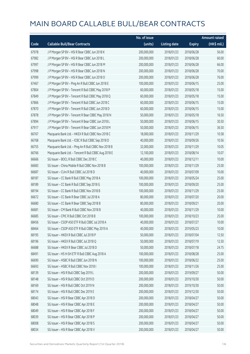|       |                                                      | No. of issue |                     |               | <b>Amount raised</b> |
|-------|------------------------------------------------------|--------------|---------------------|---------------|----------------------|
| Code  | <b>Callable Bull/Bear Contracts</b>                  | (units)      | <b>Listing date</b> | <b>Expiry</b> | (HK\$ mil.)          |
| 67978 | J P Morgan SP BV - HSI R Bear CBBC Jun 2018 K        | 200,000,000  | 2018/01/23          | 2018/06/28    | 56.00                |
| 67982 | J P Morgan SP BV - HSI R Bear CBBC Jun 2018 L        | 200,000,000  | 2018/01/23          | 2018/06/28    | 60.00                |
| 67997 | J P Morgan SP BV - HSI R Bear CBBC Jun 2018 M        | 200,000,000  | 2018/01/23          | 2018/06/28    | 66.00                |
| 67998 | J P Morgan SP BV - HSI R Bear CBBC Jun 2018 N        | 200,000,000  | 2018/01/23          | 2018/06/28    | 70.00                |
| 67999 | J P Morgan SP BV - HSI R Bear CBBC Jun 2018 O        | 200,000,000  | 2018/01/23          | 2018/06/28    | 76.00                |
| 67467 | J P Morgan SP BV - Ping An R Bull CBBC Jun 2018 E    | 100,000,000  | 2018/01/23          | 2018/06/15    | 25.00                |
| 67804 | J P Morgan SP BV - Tencent R Bull CBBC May 2018 P    | 60,000,000   | 2018/01/23          | 2018/05/18    | 15.00                |
| 67849 | J P Morgan SP BV - Tencent R Bull CBBC May 2018 Q    | 60,000,000   | 2018/01/23          | 2018/05/18    | 15.00                |
| 67866 | J P Morgan SP BV - Tencent R Bull CBBC Jun 2018 C    | 60,000,000   | 2018/01/23          | 2018/06/15    | 15.00                |
| 67870 | J P Morgan SP BV - Tencent R Bull CBBC Jun 2018 D    | 60,000,000   | 2018/01/23          | 2018/06/15    | 15.00                |
| 67878 | J P Morgan SP BV - Tencent R Bear CBBC May 2018 N    | 50,000,000   | 2018/01/23          | 2018/05/18    | 16.50                |
| 67894 | J P Morgan SP BV - Tencent R Bear CBBC Jun 2018 L    | 50,000,000   | 2018/01/23          | 2018/06/15    | 30.50                |
| 67917 | J P Morgan SP BV - Tencent R Bear CBBC Jun 2018 M    | 50,000,000   | 2018/01/23          | 2018/06/15    | 36.50                |
| 66767 | Macquarie Bank Ltd. - HKEX R Bull CBBC Nov 2018 C    | 18,000,000   | 2018/01/23          | 2018/11/29    | 10.58                |
| 66768 | Macquarie Bank Ltd. - ICBC R Bull CBBC Sep 2018 D    | 40,000,000   | 2018/01/23          | 2018/09/26    | 10.56                |
| 66755 | Macquarie Bank Ltd. - Ping An R Bull CBBC Nov 2018 B | 32,000,000   | 2018/01/23          | 2018/11/29    | 10.05                |
| 66766 | Macquarie Bank Ltd. - Tencent R Bull CBBC Aug 2018 E | 12,100,000   | 2018/01/23          | 2018/08/14    | 10.07                |
| 66666 | SG Issuer - BOCL R Bull CBBC Dec 2018 C              | 40,000,000   | 2018/01/23          | 2018/12/11    | 10.00                |
| 66683 | SG Issuer - China Mobile R Bull CBBC Nov 2018 B      | 100,000,000  | 2018/01/23          | 2018/11/29    | 25.00                |
| 66687 | SG Issuer - CUni R Bull CBBC Jul 2018 D              | 40,000,000   | 2018/01/23          | 2018/07/09    | 10.00                |
| 68187 | SG Issuer - CC Bank R Bull CBBC May 2018 A           | 100,000,000  | 2018/01/23          | 2018/05/24    | 25.00                |
| 68189 | SG Issuer - CC Bank R Bull CBBC Sep 2018 G           | 100,000,000  | 2018/01/23          | 2018/09/20    | 25.00                |
| 68194 | SG Issuer - CC Bank R Bull CBBC Nov 2018 B           | 100,000,000  | 2018/01/23          | 2018/11/29    | 25.00                |
| 66672 | SG Issuer - CC Bank R Bear CBBC Jul 2018 A           | 80,000,000   | 2018/01/23          | 2018/07/20    | 20.00                |
| 66680 | SG Issuer - CC Bank R Bear CBBC Sep 2018 B           | 80,000,000   | 2018/01/23          | 2018/09/21    | 20.00                |
| 66681 | SG Issuer - CM Bank R Bull CBBC Nov 2018 B           | 40,000,000   | 2018/01/23          | 2018/11/29    | 10.00                |
| 66685 | SG Issuer - CPIC R Bull CBBC Oct 2018 B              | 100,000,000  | 2018/01/23          | 2018/10/23    | 25.00                |
| 68456 | SG Issuer - CSOP A50 ETF R Bull CBBC Jul 2018 A      | 40,000,000   | 2018/01/23          | 2018/07/27    | 10.00                |
| 68464 | SG Issuer - CSOP A50 ETF R Bull CBBC May 2019 A      | 40,000,000   | 2018/01/23          | 2019/05/23    | 10.00                |
| 68195 | SG Issuer - HKEX R Bull CBBC Jul 2018 P              | 50,000,000   | 2018/01/23          | 2018/07/04    | 12.50                |
| 68196 | SG Issuer - HKEX R Bull CBBC Jul 2018 Q              | 50,000,000   | 2018/01/23          | 2018/07/19    | 12.50                |
| 66688 | SG Issuer - HKEX R Bear CBBC Jul 2018 D              | 50,000,000   | 2018/01/23          | 2018/07/18    | 24.75                |
| 68491 | SG Issuer - HS H-SH ETF R Bull CBBC Aug 2018 A       | 100,000,000  | 2018/01/23          | 2018/08/28    | 25.00                |
| 66690 | SG Issuer - HSBC R Bull CBBC Jun 2018 N              | 100,000,000  | 2018/01/23          | 2018/06/22    | 25.00                |
| 66693 | SG Issuer - HSBC R Bull CBBC Nov 2018 I              | 100,000,000  | 2018/01/23          | 2018/11/26    | 25.00                |
| 68139 | SG Issuer - HSI R Bull CBBC Sep 2019 L               | 200,000,000  | 2018/01/23          | 2019/09/27    | 50.00                |
| 68148 | SG Issuer - HSI R Bull CBBC Oct 2019 D               | 200,000,000  | 2018/01/23          | 2019/10/30    | 50.00                |
| 68169 | SG Issuer - HSI R Bull CBBC Oct 2019 N               | 200,000,000  | 2018/01/23          | 2019/10/30    | 50.00                |
| 68174 | SG Issuer - HSI R Bull CBBC Dec 2019 E               | 200,000,000  | 2018/01/23          | 2019/12/30    | 50.00                |
| 68043 | SG Issuer - HSI R Bear CBBC Apr 2018 D               | 200,000,000  | 2018/01/23          | 2018/04/27    | 50.00                |
| 68048 | SG Issuer - HSI R Bear CBBC Apr 2018 E               | 200,000,000  | 2018/01/23          | 2018/04/27    | 50.00                |
| 68049 | SG Issuer - HSI R Bear CBBC Apr 2018 F               | 200,000,000  | 2018/01/23          | 2018/04/27    | 50.00                |
| 68039 | SG Issuer - HSI R Bear CBBC Apr 2018 P               | 200,000,000  | 2018/01/23          | 2018/04/27    | 50.00                |
| 68008 | SG Issuer - HSI R Bear CBBC Apr 2018 S               | 200,000,000  | 2018/01/23          | 2018/04/27    | 50.00                |
| 68034 | SG Issuer - HSI R Bear CBBC Apr 2018 V               | 200,000,000  | 2018/01/23          | 2018/04/27    | 50.00                |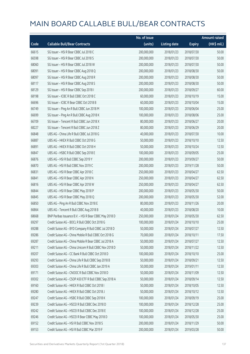|       |                                                        | No. of issue |                     |               | <b>Amount raised</b> |
|-------|--------------------------------------------------------|--------------|---------------------|---------------|----------------------|
| Code  | <b>Callable Bull/Bear Contracts</b>                    | (units)      | <b>Listing date</b> | <b>Expiry</b> | (HK\$ mil.)          |
| 66615 | SG Issuer - HSI R Bear CBBC Jul 2018 C                 | 200,000,000  | 2018/01/23          | 2018/07/30    | 50.00                |
| 66598 | SG Issuer - HSI R Bear CBBC Jul 2018 S                 | 200,000,000  | 2018/01/23          | 2018/07/30    | 50.00                |
| 68060 | SG Issuer - HSI R Bear CBBC Jul 2018 W                 | 200,000,000  | 2018/01/23          | 2018/07/30    | 50.00                |
| 68091 | SG Issuer - HSI R Bear CBBC Aug 2018 Q                 | 200,000,000  | 2018/01/23          | 2018/08/30    | 50.00                |
| 68097 | SG Issuer - HSI R Bear CBBC Aug 2018 R                 | 200,000,000  | 2018/01/23          | 2018/08/30    | 50.00                |
| 68117 | SG Issuer - HSI R Bear CBBC Aug 2018 S                 | 200,000,000  | 2018/01/23          | 2018/08/30    | 50.00                |
| 68129 | SG Issuer - HSI R Bear CBBC Sep 2018 I                 | 200,000,000  | 2018/01/23          | 2018/09/27    | 60.00                |
| 68198 | SG Issuer - ICBC R Bull CBBC Oct 2018 C                | 60,000,000   | 2018/01/23          | 2018/10/19    | 15.00                |
| 66696 | SG Issuer - ICBC R Bear CBBC Oct 2018 B                | 60,000,000   | 2018/01/23          | 2018/10/04    | 15.00                |
| 66749 | SG Issuer - Ping An R Bull CBBC Jun 2018 M             | 100,000,000  | 2018/01/23          | 2018/06/04    | 25.00                |
| 66699 | SG Issuer - Ping An R Bull CBBC Aug 2018 K             | 100,000,000  | 2018/01/23          | 2018/08/06    | 25.00                |
| 66709 | SG Issuer - Tencent R Bull CBBC Jun 2018 X             | 80,000,000   | 2018/01/23          | 2018/06/27    | 20.00                |
| 68227 | SG Issuer - Tencent R Bull CBBC Jun 2018 Z             | 80,000,000   | 2018/01/23          | 2018/06/29    | 20.00                |
| 66848 | UBS AG - China Life R Bull CBBC Jul 2018 G             | 40,000,000   | 2018/01/23          | 2018/07/30    | 10.00                |
| 66887 | UBS AG - HKEX R Bull CBBC Oct 2018 G                   | 50,000,000   | 2018/01/23          | 2018/10/10    | 12.50                |
| 66891 | UBS AG - HKEX R Bull CBBC Oct 2018 H                   | 50,000,000   | 2018/01/23          | 2018/10/24    | 12.50                |
| 66847 | UBS AG - HSBC R Bull CBBC Sep 2018 E                   | 100,000,000  | 2018/01/23          | 2018/09/05    | 25.00                |
| 66876 | UBS AG - HSI R Bull CBBC Sep 2019 Y                    | 200,000,000  | 2018/01/23          | 2019/09/27    | 50.00                |
| 66870 | UBS AG - HSI R Bull CBBC Nov 2019 C                    | 200,000,000  | 2018/01/23          | 2019/11/28    | 50.00                |
| 66831 | UBS AG - HSI R Bear CBBC Apr 2018 C                    | 250,000,000  | 2018/01/23          | 2018/04/27    | 62.50                |
| 66841 | UBS AG - HSI R Bear CBBC Apr 2018 N                    | 250,000,000  | 2018/01/23          | 2018/04/27    | 62.50                |
| 66816 | UBS AG - HSI R Bear CBBC Apr 2018 W                    | 250,000,000  | 2018/01/23          | 2018/04/27    | 62.50                |
| 66844 | UBS AG - HSI R Bear CBBC May 2018 P                    | 200,000,000  | 2018/01/23          | 2018/05/30    | 50.00                |
| 66845 | UBS AG - HSI R Bear CBBC May 2018 Q                    | 200,000,000  | 2018/01/23          | 2018/05/30    | 52.00                |
| 66850 | UBS AG - Ping An R Bull CBBC Nov 2018 E                | 80,000,000   | 2018/01/23          | 2018/11/26    | 20.00                |
| 66864 | UBS AG - Tencent R Bull CBBC Aug 2018 B                | 40,000,000   | 2018/01/23          | 2018/08/20    | 10.00                |
| 68668 | BNP Paribas Issuance B.V. - HSI R Bear CBBC May 2018 D | 250,000,000  | 2018/01/24          | 2018/05/30    | 62.50                |
| 69297 | Credit Suisse AG - BOCL R Bull CBBC Oct 2018 G         | 100,000,000  | 2018/01/24          | 2018/10/10    | 25.00                |
| 69288 | Credit Suisse AG - BYD Company R Bull CBBC Jul 2018 D  | 50,000,000   | 2018/01/24          | 2018/07/27    | 12.50                |
| 69286 | Credit Suisse AG - China Mobile R Bull CBBC Oct 2018 G | 70,000,000   | 2018/01/24          | 2018/10/11    | 17.50                |
| 69287 | Credit Suisse AG - China Mobile R Bear CBBC Jul 2018 A | 50,000,000   | 2018/01/24          | 2018/07/27    | 12.50                |
| 69211 | Credit Suisse AG - China Unicom R Bull CBBC Nov 2018 D | 50,000,000   | 2018/01/24          | 2018/11/22    | 12.50                |
| 69207 | Credit Suisse AG - CC Bank R Bull CBBC Oct 2018 D      | 100,000,000  | 2018/01/24          | 2018/10/10    | 25.00                |
| 69293 | Credit Suisse AG - China Life R Bull CBBC Sep 2018 B   | 50,000,000   | 2018/01/24          | 2018/09/21    | 12.50                |
| 69303 | Credit Suisse AG - China Life R Bull CBBC Jan 2019 A   | 50,000,000   | 2018/01/24          | 2019/01/11    | 12.50                |
| 69171 | Credit Suisse AG - CNOOC R Bull CBBC Nov 2018 D        | 50,000,000   | 2018/01/24          | 2018/11/09    | 12.50                |
| 69302 | Credit Suisse AG - CSOP A50 ETF R Bull CBBC Sep 2018 A | 50,000,000   | 2018/01/24          | 2018/09/14    | 12.50                |
| 69160 | Credit Suisse AG - HKEX R Bull CBBC Oct 2018 I         | 50,000,000   | 2018/01/24          | 2018/10/05    | 12.50                |
| 69280 | Credit Suisse AG - HKEX R Bull CBBC Oct 2018 J         | 50,000,000   | 2018/01/24          | 2018/10/12    | 12.50                |
| 69247 | Credit Suisse AG - HSBC R Bull CBBC Sep 2018 K         | 100,000,000  | 2018/01/24          | 2018/09/19    | 25.00                |
| 69239 | Credit Suisse AG - HSCEI R Bull CBBC Dec 2018 D        | 100,000,000  | 2018/01/24          | 2018/12/28    | 25.00                |
| 69242 | Credit Suisse AG - HSCEI R Bull CBBC Dec 2018 E        | 100,000,000  | 2018/01/24          | 2018/12/28    | 25.00                |
| 69246 | Credit Suisse AG - HSCEI R Bear CBBC May 2018 D        | 100,000,000  | 2018/01/24          | 2018/05/30    | 25.00                |
| 69152 | Credit Suisse AG - HSI R Bull CBBC Nov 2018 S          | 200,000,000  | 2018/01/24          | 2018/11/29    | 50.00                |
| 69153 | Credit Suisse AG - HSI R Bull CBBC Mar 2019 F          | 200,000,000  | 2018/01/24          | 2019/03/28    | 50.00                |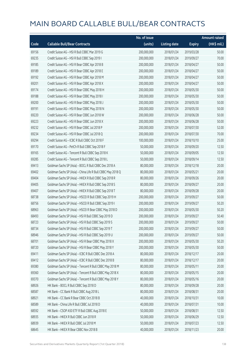|       |                                                             | No. of issue |                     |               | <b>Amount raised</b>  |
|-------|-------------------------------------------------------------|--------------|---------------------|---------------|-----------------------|
| Code  | <b>Callable Bull/Bear Contracts</b>                         | (units)      | <b>Listing date</b> | <b>Expiry</b> | $(HK\frac{1}{2}mil.)$ |
| 69156 | Credit Suisse AG - HSI R Bull CBBC Mar 2019 G               | 200,000,000  | 2018/01/24          | 2019/03/28    | 50.00                 |
| 69235 | Credit Suisse AG - HSI R Bull CBBC Sep 2019 I               | 200,000,000  | 2018/01/24          | 2019/09/27    | 70.00                 |
| 69185 | Credit Suisse AG - HSI R Bear CBBC Apr 2018 B               | 200,000,000  | 2018/01/24          | 2018/04/27    | 50.00                 |
| 69189 | Credit Suisse AG - HSI R Bear CBBC Apr 2018 E               | 200,000,000  | 2018/01/24          | 2018/04/27    | 50.00                 |
| 69192 | Credit Suisse AG - HSI R Bear CBBC Apr 2018 M               | 200,000,000  | 2018/01/24          | 2018/04/27    | 50.00                 |
| 69201 | Credit Suisse AG - HSI R Bear CBBC Apr 2018 X               | 200,000,000  | 2018/01/24          | 2018/04/27    | 50.00                 |
| 69174 | Credit Suisse AG - HSI R Bear CBBC May 2018 H               | 200,000,000  | 2018/01/24          | 2018/05/30    | 50.00                 |
| 69188 | Credit Suisse AG - HSI R Bear CBBC May 2018 I               | 200,000,000  | 2018/01/24          | 2018/05/30    | 50.00                 |
| 69200 | Credit Suisse AG - HSI R Bear CBBC May 2018 J               | 200,000,000  | 2018/01/24          | 2018/05/30    | 50.00                 |
| 69191 | Credit Suisse AG - HSI R Bear CBBC May 2018 N               | 200,000,000  | 2018/01/24          | 2018/05/30    | 50.00                 |
| 69220 | Credit Suisse AG - HSI R Bear CBBC Jun 2018 W               | 200,000,000  | 2018/01/24          | 2018/06/28    | 50.00                 |
| 69223 | Credit Suisse AG - HSI R Bear CBBC Jun 2018 X               | 200,000,000  | 2018/01/24          | 2018/06/28    | 50.00                 |
| 69232 | Credit Suisse AG - HSI R Bear CBBC Jul 2018 P               | 200,000,000  | 2018/01/24          | 2018/07/30    | 52.00                 |
| 69234 | Credit Suisse AG - HSI R Bear CBBC Jul 2018 Q               | 200,000,000  | 2018/01/24          | 2018/07/30    | 70.00                 |
| 69294 | Credit Suisse AG - ICBC R Bull CBBC Oct 2018 F              | 100,000,000  | 2018/01/24          | 2018/10/10    | 25.00                 |
| 69170 | Credit Suisse AG - PetCh R Bull CBBC Sep 2018 F             | 50,000,000   | 2018/01/24          | 2018/09/20    | 12.50                 |
| 69165 | Credit Suisse AG - Tencent R Bull CBBC Sep 2018 K           | 50,000,000   | 2018/01/24          | 2018/09/05    | 12.50                 |
| 69285 | Credit Suisse AG - Tencent R Bull CBBC Sep 2018 L           | 50,000,000   | 2018/01/24          | 2018/09/14    | 12.50                 |
| 69413 | Goldman Sachs SP (Asia) - BOCL R Bull CBBC Dec 2018 A       | 80,000,000   | 2018/01/24          | 2018/12/18    | 20.00                 |
| 69402 | Goldman Sachs SP (Asia) - China Life R Bull CBBC May 2018 Q | 80,000,000   | 2018/01/24          | 2018/05/21    | 20.00                 |
| 69404 | Goldman Sachs SP (Asia) - HKEX R Bull CBBC Sep 2018 R       | 80,000,000   | 2018/01/24          | 2018/09/26    | 20.00                 |
| 69405 | Goldman Sachs SP (Asia) - HKEX R Bull CBBC Sep 2018 S       | 80,000,000   | 2018/01/24          | 2018/09/27    | 20.00                 |
| 69407 | Goldman Sachs SP (Asia) - HKEX R Bull CBBC Sep 2018 T       | 80,000,000   | 2018/01/24          | 2018/09/28    | 20.00                 |
| 68738 | Goldman Sachs SP (Asia) - HSCEI R Bull CBBC Sep 2019 H      | 200,000,000  | 2018/01/24          | 2019/09/27    | 50.00                 |
| 68756 | Goldman Sachs SP (Asia) - HSCEI R Bull CBBC Sep 2019 I      | 200,000,000  | 2018/01/24          | 2019/09/27    | 50.20                 |
| 68963 | Goldman Sachs SP (Asia) - HSCEI R Bear CBBC May 2018 D      | 200,000,000  | 2018/01/24          | 2018/05/30    | 50.20                 |
| 68493 | Goldman Sachs SP (Asia) - HSI R Bull CBBC Sep 2019 D        | 200,000,000  | 2018/01/24          | 2019/09/27    | 50.40                 |
| 68723 | Goldman Sachs SP (Asia) - HSI R Bull CBBC Sep 2019 S        | 200,000,000  | 2018/01/24          | 2019/09/27    | 50.00                 |
| 68734 | Goldman Sachs SP (Asia) - HSI R Bull CBBC Sep 2019 T        | 200,000,000  | 2018/01/24          | 2019/09/27    | 50.00                 |
| 68946 | Goldman Sachs SP (Asia) - HSI R Bull CBBC Sep 2019 U        | 200,000,000  | 2018/01/24          | 2019/09/27    | 50.00                 |
| 68701 | Goldman Sachs SP (Asia) - HSI R Bear CBBC May 2018 X        | 200,000,000  | 2018/01/24          | 2018/05/30    | 50.20                 |
| 68720 | Goldman Sachs SP (Asia) - HSI R Bear CBBC May 2018 Y        | 200,000,000  | 2018/01/24          | 2018/05/30    | 50.00                 |
| 69411 | Goldman Sachs SP (Asia) - ICBC R Bull CBBC Dec 2018 A       | 80,000,000   | 2018/01/24          | 2018/12/17    | 20.00                 |
| 69412 | Goldman Sachs SP (Asia) - ICBC R Bull CBBC Dec 2018 B       | 80,000,000   | 2018/01/24          | 2018/12/17    | 20.00                 |
| 69380 | Goldman Sachs SP (Asia) - Tencent R Bull CBBC May 2018 M    | 80,000,000   | 2018/01/24          | 2018/05/11    | 20.00                 |
| 69360 | Goldman Sachs SP (Asia) - Tencent R Bull CBBC May 2018 X    | 80,000,000   | 2018/01/24          | 2018/05/15    | 20.00                 |
| 69370 | Goldman Sachs SP (Asia) - Tencent R Bull CBBC May 2018 Y    | 80,000,000   | 2018/01/24          | 2018/05/16    | 20.00                 |
| 68926 | HK Bank - BOCL R Bull CBBC Sep 2018 D                       | 80,000,000   | 2018/01/24          | 2018/09/28    | 20.00                 |
| 68587 | HK Bank - CC Bank R Bull CBBC Aug 2018 L                    | 80,000,000   | 2018/01/24          | 2018/08/31    | 20.00                 |
| 68921 | HK Bank - CC Bank R Bear CBBC Oct 2018 B                    | 40,000,000   | 2018/01/24          | 2018/10/31    | 10.00                 |
| 68589 | HK Bank - China Life R Bull CBBC Jul 2018 D                 | 40,000,000   | 2018/01/24          | 2018/07/31    | 10.00                 |
| 68592 | HK Bank - CSOP A50 ETF R Bull CBBC Aug 2018 E               | 50,000,000   | 2018/01/24          | 2018/08/31    | 12.50                 |
| 68935 | HK Bank - HKEX R Bull CBBC Jun 2018 R                       | 50,000,000   | 2018/01/24          | 2018/06/29    | 12.50                 |
| 68939 | HK Bank - HKEX R Bull CBBC Jul 2018 M                       | 50,000,000   | 2018/01/24          | 2018/07/23    | 12.50                 |
| 68645 | HK Bank - HKEX R Bear CBBC Nov 2018 B                       | 40,000,000   | 2018/01/24          | 2018/11/23    | 20.00                 |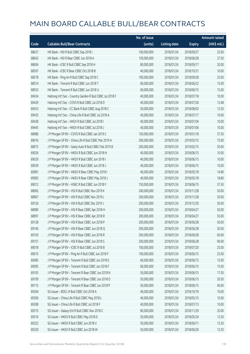|       |                                                           | No. of issue |                     |               | <b>Amount raised</b> |
|-------|-----------------------------------------------------------|--------------|---------------------|---------------|----------------------|
| Code  | <b>Callable Bull/Bear Contracts</b>                       | (units)      | <b>Listing date</b> | <b>Expiry</b> | (HK\$ mil.)          |
| 68637 | HK Bank - HSI R Bull CBBC Sep 2018 I                      | 100,000,000  | 2018/01/24          | 2018/09/27    | 25.00                |
| 68642 | HK Bank - HSI R Bear CBBC Jun 2018 A                      | 150,000,000  | 2018/01/24          | 2018/06/28    | 37.50                |
| 68604 | HK Bank - ICBC R Bull CBBC Sep 2018 H                     | 80,000,000   | 2018/01/24          | 2018/09/17    | 20.00                |
| 68597 | HK Bank - ICBC R Bear CBBC Oct 2018 B                     | 40,000,000   | 2018/01/24          | 2018/10/31    | 10.00                |
| 68578 | HK Bank - Ping An R Bull CBBC Sep 2018 C                  | 100,000,000  | 2018/01/24          | 2018/09/28    | 25.00                |
| 68574 | HK Bank - Tencent R Bull CBBC Jun 2018 T                  | 60,000,000   | 2018/01/24          | 2018/06/22    | 15.00                |
| 68933 | HK Bank - Tencent R Bull CBBC Jun 2018 U                  | 60,000,000   | 2018/01/24          | 2018/06/15    | 15.00                |
| 69434 | Haitong Int'l Sec - Country Garden R Bull CBBC Jul 2018 F | 40,000,000   | 2018/01/24          | 2018/07/18    | 10.00                |
| 69429 | Haitong Int'l Sec - COVS R Bull CBBC Jul 2018 D           | 40,000,000   | 2018/01/24          | 2018/07/26    | 12.68                |
| 69433 | Haitong Int'l Sec - CC Bank R Bull CBBC Aug 2018 C        | 50,000,000   | 2018/01/24          | 2018/08/02    | 12.50                |
| 69435 | Haitong Int'l Sec - China Life R Bull CBBC Jul 2018 A     | 40,000,000   | 2018/01/24          | 2018/07/17    | 10.00                |
| 69428 | Haitong Int'l Sec - HKEX R Bull CBBC Jul 2018 I           | 40,000,000   | 2018/01/24          | 2018/07/04    | 10.00                |
| 69445 | Haitong Int'l Sec - HKEX R Bull CBBC Jul 2018 J           | 40,000,000   | 2018/01/24          | 2018/07/06    | 10.00                |
| 68986 | J P Morgan SP BV - COVS R Bull CBBC Jan 2019 C            | 150,000,000  | 2018/01/24          | 2019/01/18    | 37.50                |
| 69016 | J P Morgan SP BV - China Life R Bull CBBC Mar 2019 A      | 300,000,000  | 2018/01/24          | 2019/03/15    | 75.00                |
| 68972 | J P Morgan SP BV - Geely Auto R Bull CBBC Feb 2019 B      | 200,000,000  | 2018/01/24          | 2019/02/15    | 50.00                |
| 69026 | J P Morgan SP BV - HKEX R Bull CBBC Jun 2018 H            | 40,000,000   | 2018/01/24          | 2018/06/15    | 10.00                |
| 69029 | J P Morgan SP BV - HKEX R Bull CBBC Jun 2018 I            | 40,000,000   | 2018/01/24          | 2018/06/15    | 10.00                |
| 69039 | J P Morgan SP BV - HKEX R Bull CBBC Jun 2018 J            | 40,000,000   | 2018/01/24          | 2018/06/15    | 10.00                |
| 69081 | J P Morgan SP BV - HKEX R Bear CBBC May 2018 I            | 40,000,000   | 2018/01/24          | 2018/05/18    | 14.80                |
| 69083 | J P Morgan SP BV - HKEX R Bear CBBC May 2018 J            | 40,000,000   | 2018/01/24          | 2018/05/18    | 18.80                |
| 69012 | J P Morgan SP BV - HSBC R Bull CBBC Jun 2018 F            | 150,000,000  | 2018/01/24          | 2018/06/15    | 37.50                |
| 68965 | J P Morgan SP BV - HSI R Bull CBBC Nov 2019 K             | 200,000,000  | 2018/01/24          | 2019/11/28    | 50.00                |
| 68967 | J P Morgan SP BV - HSI R Bull CBBC Nov 2019 L             | 200,000,000  | 2018/01/24          | 2019/11/28    | 50.00                |
| 69126 | J P Morgan SP BV - HSI R Bull CBBC Dec 2019 J             | 200,000,000  | 2018/01/24          | 2019/12/30    | 50.00                |
| 68989 | J P Morgan SP BV - HSI R Bear CBBC Apr 2018 H             | 200,000,000  | 2018/01/24          | 2018/04/27    | 50.00                |
| 68997 | J P Morgan SP BV - HSI R Bear CBBC Apr 2018 R             | 200,000,000  | 2018/01/24          | 2018/04/27    | 50.00                |
| 69128 | J P Morgan SP BV - HSI R Bear CBBC Jun 2018 P             | 200,000,000  | 2018/01/24          | 2018/06/28    | 50.00                |
| 69140 | J P Morgan SP BV - HSI R Bear CBBC Jun 2018 Q             | 200,000,000  | 2018/01/24          | 2018/06/28    | 50.00                |
| 69150 | J P Morgan SP BV - HSI R Bear CBBC Jun 2018 R             | 200,000,000  | 2018/01/24          | 2018/06/28    | 60.00                |
| 69151 | JP Morgan SP BV - HSIR Bear CBBC Jun 2018 S               | 200,000,000  | 2018/01/24          | 2018/06/28    | 90.00                |
| 69018 | J P Morgan SP BV - ICBC R Bull CBBC Jul 2018 B            | 100,000,000  | 2018/01/24          | 2018/07/20    | 25.00                |
| 69015 | J P Morgan SP BV - Ping An R Bull CBBC Jun 2018 F         | 100,000,000  | 2018/01/24          | 2018/06/15    | 25.00                |
| 69085 | J P Morgan SP BV - Tencent R Bull CBBC Jun 2018 E         | 60,000,000   | 2018/01/24          | 2018/06/15    | 15.00                |
| 69095 | J P Morgan SP BV - Tencent R Bull CBBC Jun 2018 F         | 60,000,000   | 2018/01/24          | 2018/06/15    | 15.00                |
| 69105 | J P Morgan SP BV - Tencent R Bear CBBC Jun 2018 N         | 50,000,000   | 2018/01/24          | 2018/06/15    | 17.50                |
| 69109 | J P Morgan SP BV - Tencent R Bear CBBC Jun 2018 O         | 50,000,000   | 2018/01/24          | 2018/06/15    | 20.50                |
| 69115 | J P Morgan SP BV - Tencent R Bear CBBC Jun 2018 P         | 50,000,000   | 2018/01/24          | 2018/06/15    | 40.00                |
| 69304 | SG Issuer - BOCL R Bull CBBC Oct 2018 A                   | 40,000,000   | 2018/01/24          | 2018/10/19    | 10.00                |
| 69306 | SG Issuer - China Life R Bull CBBC May 2018 L             | 40,000,000   | 2018/01/24          | 2018/05/15    | 10.00                |
| 69308 | SG Issuer - China Life R Bull CBBC Jul 2018 F             | 40,000,000   | 2018/01/24          | 2018/07/13    | 10.00                |
| 69315 | SG Issuer - Galaxy Ent R Bull CBBC Nov 2018 C             | 80,000,000   | 2018/01/24          | 2018/11/29    | 20.00                |
| 69316 | SG Issuer - HKEX R Bull CBBC May 2018 D                   | 50,000,000   | 2018/01/24          | 2018/05/24    | 12.50                |
| 69322 | SG Issuer - HKEX R Bull CBBC Jun 2018 V                   | 50,000,000   | 2018/01/24          | 2018/06/11    | 12.50                |
| 69329 | SG Issuer - HKEX R Bull CBBC Jun 2018 W                   | 50,000,000   | 2018/01/24          | 2018/06/20    | 12.50                |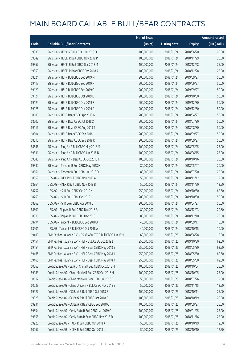|       |                                                              | No. of issue |                     |               | <b>Amount raised</b> |
|-------|--------------------------------------------------------------|--------------|---------------------|---------------|----------------------|
| Code  | <b>Callable Bull/Bear Contracts</b>                          | (units)      | <b>Listing date</b> | <b>Expiry</b> | (HK\$ mil.)          |
| 69330 | SG Issuer - HSBC R Bull CBBC Jun 2018 O                      | 100,000,000  | 2018/01/24          | 2018/06/20    | 25.00                |
| 69349 | SG Issuer - HSCEI R Bull CBBC Nov 2018 P                     | 100,000,000  | 2018/01/24          | 2018/11/29    | 25.00                |
| 69357 | SG Issuer - HSCEI R Bull CBBC Dec 2018 M                     | 100,000,000  | 2018/01/24          | 2018/12/28    | 25.00                |
| 69359 | SG Issuer - HSCEI R Bear CBBC Dec 2018 A                     | 100,000,000  | 2018/01/24          | 2018/12/28    | 25.00                |
| 68524 | SG Issuer - HSI R Bull CBBC Sep 2019 M                       | 200,000,000  | 2018/01/24          | 2019/09/27    | 50.00                |
| 69117 | SG Issuer - HSI R Bull CBBC Sep 2019 N                       | 200,000,000  | 2018/01/24          | 2019/09/27    | 50.00                |
| 69120 | SG Issuer - HSI R Bull CBBC Sep 2019 O                       | 200,000,000  | 2018/01/24          | 2019/09/27    | 50.00                |
| 69121 | SG Issuer - HSI R Bull CBBC Oct 2019 E                       | 200,000,000  | 2018/01/24          | 2019/10/30    | 50.00                |
| 69124 | SG Issuer - HSI R Bull CBBC Dec 2019 F                       | 200,000,000  | 2018/01/24          | 2019/12/30    | 50.00                |
| 69125 | SG Issuer - HSI R Bull CBBC Dec 2019 G                       | 200,000,000  | 2018/01/24          | 2019/12/30    | 50.00                |
| 68680 | SG Issuer - HSI R Bear CBBC Apr 2018 G                       | 200,000,000  | 2018/01/24          | 2018/04/27    | 50.00                |
| 68502 | SG Issuer - HSI R Bear CBBC Jul 2018 X                       | 200,000,000  | 2018/01/24          | 2018/07/30    | 50.00                |
| 69116 | SG Issuer - HSI R Bear CBBC Aug 2018 T                       | 200,000,000  | 2018/01/24          | 2018/08/30    | 50.00                |
| 68504 | SG Issuer - HSI R Bear CBBC Sep 2018 J                       | 200,000,000  | 2018/01/24          | 2018/09/27    | 50.00                |
| 68510 | SG Issuer - HSI R Bear CBBC Sep 2018 K                       | 200,000,000  | 2018/01/24          | 2018/09/27    | 50.00                |
| 68546 | SG Issuer - Ping An R Bull CBBC May 2018 M                   | 100,000,000  | 2018/01/24          | 2018/05/25    | 25.00                |
| 69331 | SG Issuer - Ping An R Bull CBBC Jun 2018 N                   | 100,000,000  | 2018/01/24          | 2018/06/15    | 25.00                |
| 69340 | SG Issuer - Ping An R Bear CBBC Oct 2018 F                   | 100,000,000  | 2018/01/24          | 2018/10/16    | 25.00                |
| 69342 | SG Issuer - Tencent R Bull CBBC May 2018 M                   | 80,000,000   | 2018/01/24          | 2018/05/07    | 20.00                |
| 68561 | SG Issuer - Tencent R Bull CBBC Jul 2018 D                   | 80,000,000   | 2018/01/24          | 2018/07/20    | 20.00                |
| 68859 | UBS AG - HKEX R Bull CBBC Nov 2018 A                         | 50,000,000   | 2018/01/24          | 2018/11/12    | 12.50                |
| 68864 | UBS AG - HKEX R Bull CBBC Nov 2018 B                         | 50,000,000   | 2018/01/24          | 2018/11/20    | 12.50                |
| 68757 | UBS AG - HSI R Bull CBBC Oct 2019 K                          | 250,000,000  | 2018/01/24          | 2019/10/30    | 62.50                |
| 68760 | UBS AG - HSI R Bull CBBC Oct 2019 L                          | 200,000,000  | 2018/01/24          | 2019/10/30    | 50.00                |
| 68862 | UBS AG - HSI R Bear CBBC Apr 2018 O                          | 200,000,000  | 2018/01/24          | 2018/04/27    | 50.00                |
| 68801 | UBS AG - Ping An R Bull CBBC Dec 2018 B                      | 80,000,000   | 2018/01/24          | 2018/12/03    | 20.80                |
| 68816 | UBS AG - Ping An R Bull CBBC Dec 2018 C                      | 80,000,000   | 2018/01/24          | 2018/12/10    | 20.00                |
| 68794 | UBS AG - Tencent R Bull CBBC Sep 2018 A                      | 40,000,000   | 2018/01/24          | 2018/09/17    | 10.00                |
| 68901 | UBS AG - Tencent R Bull CBBC Oct 2018 A                      | 40,000,000   | 2018/01/24          | 2018/10/15    | 10.00                |
| 69480 | BNP Paribas Issuance B.V. - CSOP A50 ETF R Bull CBBC Jun 18M | 60,000,000   | 2018/01/25          | 2018/06/28    | 15.00                |
| 69451 | BNP Paribas Issuance B.V. - HSI R Bull CBBC Oct 2019 L       | 250,000,000  | 2018/01/25          | 2019/10/30    | 62.50                |
| 69454 | BNP Paribas Issuance B.V. - HSI R Bear CBBC May 2018 E       | 250,000,000  | 2018/01/25          | 2018/05/30    | 62.50                |
| 69465 | BNP Paribas Issuance B.V. - HSI R Bear CBBC May 2018 J       | 250,000,000  | 2018/01/25          | 2018/05/30    | 62.50                |
| 69466 | BNP Paribas Issuance B.V. - HSI R Bear CBBC May 2018 Y       | 250,000,000  | 2018/01/25          | 2018/05/30    | 62.50                |
| 60063 | Credit Suisse AG - Bank of China R Bull CBBC Oct 2018 H      | 100,000,000  | 2018/01/25          | 2018/10/04    | 25.00                |
| 69983 | Credit Suisse AG - China Mobile R Bull CBBC Oct 2018 H       | 100,000,000  | 2018/01/25          | 2018/10/05    | 25.00                |
| 60017 | Credit Suisse AG - China Mobile R Bear CBBC Jul 2018 B       | 50,000,000   | 2018/01/25          | 2018/07/26    | 12.50                |
| 60029 | Credit Suisse AG - China Unicom R Bull CBBC Nov 2018 E       | 50,000,000   | 2018/01/25          | 2018/11/15    | 12.50                |
| 69927 | Credit Suisse AG - CC Bank R Bull CBBC Oct 2018 E            | 100,000,000  | 2018/01/25          | 2018/10/11    | 25.00                |
| 69928 | Credit Suisse AG - CC Bank R Bull CBBC Oct 2018 F            | 100,000,000  | 2018/01/25          | 2018/10/19    | 25.00                |
| 69931 | Credit Suisse AG - CC Bank R Bear CBBC Sep 2018 C            | 100,000,000  | 2018/01/25          | 2018/09/27    | 25.00                |
| 69854 | Credit Suisse AG - Geely Auto R Bull CBBC Jan 2019 C         | 100,000,000  | 2018/01/25          | 2019/01/25    | 25.00                |
| 69858 | Credit Suisse AG - Geely Auto R Bear CBBC Nov 2018 D         | 100,000,000  | 2018/01/25          | 2018/11/16    | 25.00                |
| 69920 | Credit Suisse AG - HKEX R Bull CBBC Oct 2018 K               | 50,000,000   | 2018/01/25          | 2018/10/19    | 12.50                |
| 60067 | Credit Suisse AG - HKEX R Bull CBBC Oct 2018 L               | 50,000,000   | 2018/01/25          | 2018/10/10    | 12.50                |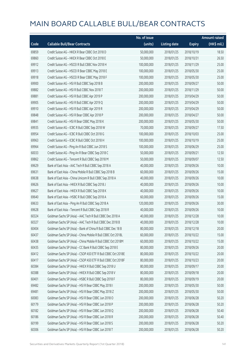|       |                                                              | No. of issue |                     |               | Amount raised |
|-------|--------------------------------------------------------------|--------------|---------------------|---------------|---------------|
| Code  | <b>Callable Bull/Bear Contracts</b>                          | (units)      | <b>Listing date</b> | <b>Expiry</b> | (HK\$ mil.)   |
| 69859 | Credit Suisse AG - HKEX R Bear CBBC Oct 2018 D               | 50,000,000   | 2018/01/25          | 2018/10/19    | 18.50         |
| 69860 | Credit Suisse AG - HKEX R Bear CBBC Oct 2018 E               | 50,000,000   | 2018/01/25          | 2018/10/31    | 26.50         |
| 69912 | Credit Suisse AG - HSCEI R Bull CBBC Nov 2018 H              | 100,000,000  | 2018/01/25          | 2018/11/29    | 25.00         |
| 69913 | Credit Suisse AG - HSCEI R Bear CBBC May 2018 E              | 100,000,000  | 2018/01/25          | 2018/05/30    | 25.00         |
| 69918 | Credit Suisse AG - HSCEI R Bear CBBC May 2018 F              | 100,000,000  | 2018/01/25          | 2018/05/30    | 25.00         |
| 69900 | Credit Suisse AG - HSI R Bull CBBC Sep 2018 B                | 200,000,000  | 2018/01/25          | 2018/09/27    | 50.00         |
| 69882 | Credit Suisse AG - HSI R Bull CBBC Nov 2018 T                | 200,000,000  | 2018/01/25          | 2018/11/29    | 50.00         |
| 69881 | Credit Suisse AG - HSI R Bull CBBC Apr 2019 P                | 200,000,000  | 2018/01/25          | 2019/04/29    | 50.00         |
| 69905 | Credit Suisse AG - HSI R Bull CBBC Apr 2019 Q                | 200,000,000  | 2018/01/25          | 2019/04/29    | 50.00         |
| 69910 | Credit Suisse AG - HSI R Bull CBBC Apr 2019 R                | 200,000,000  | 2018/01/25          | 2019/04/29    | 50.00         |
| 69848 | Credit Suisse AG - HSI R Bear CBBC Apr 2018 P                | 200,000,000  | 2018/01/25          | 2018/04/27    | 50.00         |
| 69841 | Credit Suisse AG - HSI R Bear CBBC May 2018 K                | 200,000,000  | 2018/01/25          | 2018/05/30    | 50.00         |
| 69935 | Credit Suisse AG - ICBC R Bull CBBC Sep 2018 W               | 70,000,000   | 2018/01/25          | 2018/09/27    | 17.50         |
| 69954 | Credit Suisse AG - ICBC R Bull CBBC Oct 2018 G               | 100,000,000  | 2018/01/25          | 2018/10/03    | 25.00         |
| 69963 | Credit Suisse AG - ICBC R Bull CBBC Oct 2018 H               | 100,000,000  | 2018/01/25          | 2018/10/19    | 25.00         |
| 69964 | Credit Suisse AG - Ping An R Bull CBBC Jun 2018 S            | 100,000,000  | 2018/01/25          | 2018/06/29    | 25.00         |
| 60033 | Credit Suisse AG - Ping An R Bear CBBC Sep 2018 C            | 50,000,000   | 2018/01/25          | 2018/09/21    | 12.50         |
| 69862 | Credit Suisse AG - Tencent R Bull CBBC Sep 2018 M            | 50,000,000   | 2018/01/25          | 2018/09/07    | 12.50         |
| 69629 | Bank of East Asia - AAC Tech R Bull CBBC Sep 2018 A          | 40,000,000   | 2018/01/25          | 2018/09/26    | 10.00         |
| 69631 | Bank of East Asia - China Mobile R Bull CBBC Sep 2018 B      | 60,000,000   | 2018/01/25          | 2018/09/26    | 15.00         |
| 69638 | Bank of East Asia - China Unicom R Bull CBBC Sep 2018 A      | 40,000,000   | 2018/01/25          | 2018/09/26    | 10.00         |
| 69626 | Bank of East Asia - HKEX R Bull CBBC Sep 2018 J              | 40,000,000   | 2018/01/25          | 2018/09/26    | 10.00         |
| 69627 | Bank of East Asia - HKEX R Bull CBBC Sep 2018 K              | 40,000,000   | 2018/01/25          | 2018/09/26    | 10.00         |
| 69640 | Bank of East Asia - HSBC R Bull CBBC Sep 2018 A              | 60,000,000   | 2018/01/25          | 2018/09/26    | 15.00         |
| 69633 | Bank of East Asia - Ping An R Bull CBBC Sep 2018 A           | 120,000,000  | 2018/01/25          | 2018/09/26    | 30.00         |
| 69628 | Bank of East Asia - Tencent R Bull CBBC Sep 2018 R           | 40,000,000   | 2018/01/25          | 2018/09/26    | 10.00         |
| 60324 | Goldman Sachs SP (Asia) - AAC Tech R Bull CBBC Dec 2018 A    | 40,000,000   | 2018/01/25          | 2018/12/28    | 10.00         |
| 60327 | Goldman Sachs SP (Asia) - AAC Tech R Bull CBBC Dec 2018 B    | 40,000,000   | 2018/01/25          | 2018/12/28    | 10.00         |
| 60404 | Goldman Sachs SP (Asia) - Bank of China R Bull CBBC Dec 18 B | 80,000,000   | 2018/01/25          | 2018/12/18    | 20.00         |
| 60437 | Goldman Sachs SP (Asia) - China Mobile R Bull CBBC Oct 2018L | 60,000,000   | 2018/01/25          | 2018/10/22    | 15.00         |
| 60438 | Goldman Sachs SP (Asia) - China Mobile R Bull CBBC Oct 2018M | 60,000,000   | 2018/01/25          | 2018/10/22    | 15.00         |
| 60435 | Goldman Sachs SP (Asia) - CC Bank R Bull CBBC Sep 2018 E     | 80,000,000   | 2018/01/25          | 2018/09/26    | 20.00         |
| 60412 | Goldman Sachs SP (Asia) - CSOP A50 ETF R Bull CBBC Oct 2018E | 80,000,000   | 2018/01/25          | 2018/10/22    | 20.00         |
| 60417 | Goldman Sachs SP (Asia) - CSOP A50 ETF R Bull CBBC Oct 2018F | 80,000,000   | 2018/01/25          | 2018/10/23    | 20.00         |
| 60384 | Goldman Sachs SP (Asia) - HKEX R Bull CBBC Sep 2018 U        | 80,000,000   | 2018/01/25          | 2018/09/17    | 20.00         |
| 60388 | Goldman Sachs SP (Asia) - HKEX R Bull CBBC Sep 2018 V        | 80,000,000   | 2018/01/25          | 2018/09/18    | 20.00         |
| 60401 | Goldman Sachs SP (Asia) - HSBC R Bull CBBC Sep 2018 F        | 80,000,000   | 2018/01/25          | 2018/09/19    | 20.00         |
| 69482 | Goldman Sachs SP (Asia) - HSI R Bear CBBC May 2018 I         | 200,000,000  | 2018/01/25          | 2018/05/30    | 50.00         |
| 69481 | Goldman Sachs SP (Asia) - HSI R Bear CBBC May 2018 Z         | 200,000,000  | 2018/01/25          | 2018/05/30    | 50.00         |
| 60083 | Goldman Sachs SP (Asia) - HSI R Bear CBBC Jun 2018 O         | 200,000,000  | 2018/01/25          | 2018/06/28    | 50.20         |
| 60179 | Goldman Sachs SP (Asia) - HSI R Bear CBBC Jun 2018 P         | 200,000,000  | 2018/01/25          | 2018/06/28    | 50.20         |
| 60182 | Goldman Sachs SP (Asia) - HSI R Bear CBBC Jun 2018 Q         | 200,000,000  | 2018/01/25          | 2018/06/28    | 50.40         |
| 60186 | Goldman Sachs SP (Asia) - HSI R Bear CBBC Jun 2018 R         | 200,000,000  | 2018/01/25          | 2018/06/28    | 50.40         |
| 60199 | Goldman Sachs SP (Asia) - HSI R Bear CBBC Jun 2018 S         | 200,000,000  | 2018/01/25          | 2018/06/28    | 50.20         |
| 60306 | Goldman Sachs SP (Asia) - HSI R Bear CBBC Jun 2018 T         | 200,000,000  | 2018/01/25          | 2018/06/28    | 50.20         |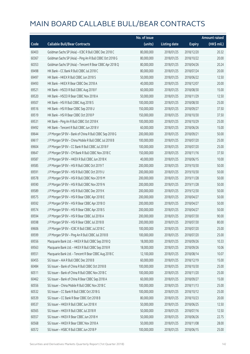|       |                                                          | No. of issue |                     |               | <b>Amount raised</b> |
|-------|----------------------------------------------------------|--------------|---------------------|---------------|----------------------|
| Code  | <b>Callable Bull/Bear Contracts</b>                      | (units)      | <b>Listing date</b> | <b>Expiry</b> | (HK\$ mil.)          |
| 60403 | Goldman Sachs SP (Asia) - ICBC R Bull CBBC Dec 2018 C    | 80,000,000   | 2018/01/25          | 2018/12/20    | 20.32                |
| 60367 | Goldman Sachs SP (Asia) - Ping An R Bull CBBC Oct 2018 G | 80,000,000   | 2018/01/25          | 2018/10/22    | 20.00                |
| 60353 | Goldman Sachs SP (Asia) - Tencent R Bear CBBC Apr 2018 Q | 80,000,000   | 2018/01/25          | 2018/04/26    | 20.24                |
| 69498 | HK Bank - CC Bank R Bull CBBC Jul 2018 C                 | 80,000,000   | 2018/01/25          | 2018/07/24    | 20.00                |
| 69497 | HK Bank - HKEX R Bull CBBC Jun 2018 S                    | 50,000,000   | 2018/01/25          | 2018/06/22    | 12.50                |
| 69493 | HK Bank - HKEX R Bear CBBC Dec 2018 A                    | 40,000,000   | 2018/01/25          | 2018/12/07    | 20.00                |
| 69521 | HK Bank - HSCEI R Bull CBBC Aug 2018 F                   | 60,000,000   | 2018/01/25          | 2018/08/30    | 15.00                |
| 69520 | HK Bank - HSCEI R Bear CBBC Nov 2018 A                   | 50,000,000   | 2018/01/25          | 2018/11/29    | 12.50                |
| 69507 | HK Bank - HSI R Bull CBBC Aug 2018 S                     | 100,000,000  | 2018/01/25          | 2018/08/30    | 25.00                |
| 69516 | HK Bank - HSI R Bear CBBC Sep 2018 U                     | 150,000,000  | 2018/01/25          | 2018/09/27    | 37.50                |
| 69519 | HK Bank - HSI R Bear CBBC Oct 2018 P                     | 150,000,000  | 2018/01/25          | 2018/10/30    | 37.50                |
| 69531 | HK Bank - Ping An R Bull CBBC Oct 2018 K                 | 100,000,000  | 2018/01/25          | 2018/10/29    | 25.00                |
| 69492 | HK Bank - Tencent R Bull CBBC Jun 2018 V                 | 60,000,000   | 2018/01/25          | 2018/06/26    | 15.00                |
| 69644 | J P Morgan SP BV - Bank of China R Bull CBBC Sep 2018 G  | 200,000,000  | 2018/01/25          | 2018/09/21    | 50.00                |
| 69617 | J P Morgan SP BV - China Mobile R Bull CBBC Jul 2018 B   | 100,000,000  | 2018/01/25          | 2018/07/20    | 25.00                |
| 69604 | J P Morgan SP BV - CC Bank R Bull CBBC Jul 2018 F        | 100,000,000  | 2018/01/25          | 2018/07/20    | 25.00                |
| 69647 | J P Morgan SP BV - CM Bank R Bull CBBC Nov 2018 C        | 150,000,000  | 2018/01/25          | 2018/11/16    | 37.50                |
| 69587 | J P Morgan SP BV - HKEX R Bull CBBC Jun 2018 K           | 40,000,000   | 2018/01/25          | 2018/06/15    | 10.00                |
| 69585 | J P Morgan SP BV - HSI R Bull CBBC Oct 2019 T            | 200,000,000  | 2018/01/25          | 2019/10/30    | 50.00                |
| 69591 | J P Morgan SP BV - HSI R Bull CBBC Oct 2019 U            | 200,000,000  | 2018/01/25          | 2019/10/30    | 50.00                |
| 69578 | J P Morgan SP BV - HSI R Bull CBBC Nov 2019 M            | 200,000,000  | 2018/01/25          | 2019/11/28    | 50.00                |
| 69590 | J P Morgan SP BV - HSI R Bull CBBC Nov 2019 N            | 200,000,000  | 2018/01/25          | 2019/11/28    | 50.00                |
| 69589 | J P Morgan SP BV - HSI R Bull CBBC Dec 2019 K            | 200,000,000  | 2018/01/25          | 2019/12/30    | 50.00                |
| 69575 | J P Morgan SP BV - HSI R Bear CBBC Apr 2018 E            | 200,000,000  | 2018/01/25          | 2018/04/27    | 50.00                |
| 69592 | JP Morgan SP BV - HSIR Bear CBBC Apr 2018 O              | 200,000,000  | 2018/01/25          | 2018/04/27    | 50.00                |
| 69574 | J P Morgan SP BV - HSI R Bear CBBC Apr 2018 S            | 200,000,000  | 2018/01/25          | 2018/04/27    | 50.00                |
| 69594 | J P Morgan SP BV - HSI R Bear CBBC Jul 2018 A            | 200,000,000  | 2018/01/25          | 2018/07/30    | 90.00                |
| 69598 | J P Morgan SP BV - HSI R Bear CBBC Jul 2018 B            | 200,000,000  | 2018/01/25          | 2018/07/30    | 80.00                |
| 69606 | J P Morgan SP BV - ICBC R Bull CBBC Jul 2018 C           | 100,000,000  | 2018/01/25          | 2018/07/20    | 25.00                |
| 69599 | J P Morgan SP BV - Ping An R Bull CBBC Jul 2018 B        | 100,000,000  | 2018/01/25          | 2018/07/20    | 25.00                |
| 69556 | Macquarie Bank Ltd. - HKEX R Bull CBBC Sep 2018 Q        | 18,000,000   | 2018/01/25          | 2018/09/26    | 10.33                |
| 69563 | Macquarie Bank Ltd. - HKEX R Bull CBBC Sep 2018 R        | 18,000,000   | 2018/01/25          | 2018/09/26    | 10.06                |
| 69551 | Macquarie Bank Ltd. - Tencent R Bear CBBC Aug 2018 C     | 12,100,000   | 2018/01/25          | 2018/08/14    | 10.07                |
| 60455 | SG Issuer - AIA R Bull CBBC Dec 2018 B                   | 60,000,000   | 2018/01/25          | 2018/12/19    | 15.00                |
| 60484 | SG Issuer - Bank of China R Bull CBBC Oct 2018 B         | 100,000,000  | 2018/01/25          | 2018/10/30    | 25.00                |
| 60511 | SG Issuer - Bank of China R Bull CBBC Nov 2018 C         | 100,000,000  | 2018/01/25          | 2018/11/20    | 25.00                |
| 60462 | SG Issuer - Bank of China R Bear CBBC Sep 2018 A         | 60,000,000   | 2018/01/25          | 2018/09/27    | 15.00                |
| 60556 | SG Issuer - China Mobile R Bull CBBC Nov 2018 C          | 100,000,000  | 2018/01/25          | 2018/11/13    | 25.00                |
| 60532 | SG Issuer - CC Bank R Bull CBBC Oct 2018 G               | 100,000,000  | 2018/01/25          | 2018/10/12    | 25.00                |
| 60539 | SG Issuer - CC Bank R Bear CBBC Oct 2018 B               | 80,000,000   | 2018/01/25          | 2018/10/23    | 20.00                |
| 69537 | SG Issuer - HKEX R Bull CBBC Jun 2018 X                  | 50,000,000   | 2018/01/25          | 2018/06/25    | 12.50                |
| 60565 | SG Issuer - HKEX R Bull CBBC Jul 2018 R                  | 50,000,000   | 2018/01/25          | 2018/07/16    | 12.50                |
| 60557 | SG Issuer - HKEX R Bear CBBC Jun 2018 H                  | 50,000,000   | 2018/01/25          | 2018/06/26    | 22.75                |
| 60568 | SG Issuer - HKEX R Bear CBBC Nov 2018 A                  | 50,000,000   | 2018/01/25          | 2018/11/08    | 28.00                |
| 60572 | SG Issuer - HSBC R Bull CBBC Jun 2018 P                  | 100,000,000  | 2018/01/25          | 2018/06/15    | 25.00                |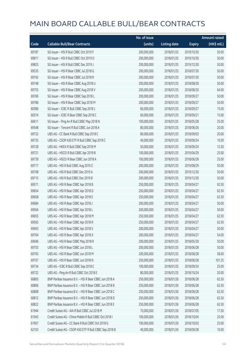|       |                                                        | No. of issue |                     |               | <b>Amount raised</b> |
|-------|--------------------------------------------------------|--------------|---------------------|---------------|----------------------|
| Code  | <b>Callable Bull/Bear Contracts</b>                    | (units)      | <b>Listing date</b> | <b>Expiry</b> | (HK\$ mil.)          |
| 69787 | SG Issuer - HSI R Bull CBBC Oct 2019 F                 | 200,000,000  | 2018/01/25          | 2019/10/30    | 50.00                |
| 69811 | SG Issuer - HSI R Bull CBBC Oct 2019 O                 | 200,000,000  | 2018/01/25          | 2019/10/30    | 50.00                |
| 69825 | SG Issuer - HSI R Bull CBBC Dec 2019 J                 | 200,000,000  | 2018/01/25          | 2019/12/30    | 50.00                |
| 69535 | SG Issuer - HSI R Bear CBBC Jul 2018 G                 | 200,000,000  | 2018/01/25          | 2018/07/30    | 50.00                |
| 69742 | SG Issuer - HSI R Bear CBBC Jul 2018 R                 | 200,000,000  | 2018/01/25          | 2018/07/30    | 50.00                |
| 69748 | SG Issuer - HSI R Bear CBBC Aug 2018 U                 | 200,000,000  | 2018/01/25          | 2018/08/30    | 50.00                |
| 69755 | SG Issuer - HSI R Bear CBBC Aug 2018 V                 | 200,000,000  | 2018/01/25          | 2018/08/30    | 64.00                |
| 69769 | SG Issuer - HSI R Bear CBBC Sep 2018 L                 | 200,000,000  | 2018/01/25          | 2018/09/27    | 50.00                |
| 69786 | SG Issuer - HSI R Bear CBBC Sep 2018 M                 | 200,000,000  | 2018/01/25          | 2018/09/27    | 50.00                |
| 60586 | SG Issuer - ICBC R Bull CBBC Sep 2018 J                | 60,000,000   | 2018/01/25          | 2018/09/27    | 15.00                |
| 60574 | SG Issuer - ICBC R Bear CBBC Sep 2018 C                | 60,000,000   | 2018/01/25          | 2018/09/21    | 15.00                |
| 60611 | SG Issuer - Ping An R Bull CBBC May 2018 N             | 100,000,000  | 2018/01/25          | 2018/05/28    | 25.00                |
| 69548 | SG Issuer - Tencent R Bull CBBC Jun 2018 A             | 80,000,000   | 2018/01/25          | 2018/06/26    | 20.00                |
| 69732 | UBS AG - CC Bank R Bull CBBC Sep 2018 C                | 80,000,000   | 2018/01/25          | 2018/09/03    | 20.00                |
| 69735 | UBS AG - CSOP A50 ETF R Bull CBBC Sep 2018 C           | 40,000,000   | 2018/01/25          | 2018/09/24    | 10.00                |
| 69728 | UBS AG - HKEX R Bull CBBC Sep 2018 M                   | 50,000,000   | 2018/01/25          | 2018/09/24    | 12.50                |
| 69721 | UBS AG - HSCEI R Bull CBBC Apr 2019 B                  | 100,000,000  | 2018/01/25          | 2019/04/29    | 25.00                |
| 69739 | UBS AG - HSCEI R Bear CBBC Jun 2018 A                  | 100,000,000  | 2018/01/25          | 2018/06/28    | 25.00                |
| 69717 | UBS AG - HSI R Bull CBBC Aug 2019 Z                    | 200,000,000  | 2018/01/25          | 2019/08/29    | 50.00                |
| 69708 | UBS AG - HSI R Bull CBBC Dec 2019 A                    | 200,000,000  | 2018/01/25          | 2019/12/30    | 50.00                |
| 69715 | UBS AG - HSI R Bull CBBC Dec 2019 B                    | 200,000,000  | 2018/01/25          | 2019/12/30    | 50.00                |
| 69571 | UBS AG - HSI R Bear CBBC Apr 2018 B                    | 250,000,000  | 2018/01/25          | 2018/04/27    | 92.50                |
| 69654 | UBS AG - HSI R Bear CBBC Apr 2018 D                    | 250,000,000  | 2018/01/25          | 2018/04/27    | 62.50                |
| 69658 | UBS AG - HSI R Bear CBBC Apr 2018 E                    | 250,000,000  | 2018/01/25          | 2018/04/27    | 62.50                |
| 69684 | UBS AG - HSI R Bear CBBC Apr 2018 J                    | 200,000,000  | 2018/01/25          | 2018/04/27    | 50.00                |
| 69564 | UBS AG - HSI R Bear CBBC Apr 2018 L                    | 200,000,000  | 2018/01/25          | 2018/04/27    | 50.00                |
| 69655 | UBS AG - HSI R Bear CBBC Apr 2018 M                    | 250,000,000  | 2018/01/25          | 2018/04/27    | 62.50                |
| 69565 | UBS AG - HSI R Bear CBBC Apr 2018 R                    | 250,000,000  | 2018/01/25          | 2018/04/27    | 62.50                |
| 69693 | UBS AG - HSI R Bear CBBC Apr 2018 S                    | 200,000,000  | 2018/01/25          | 2018/04/27    | 50.00                |
| 69704 | UBS AG - HSI R Bear CBBC Apr 2018 X                    | 200,000,000  | 2018/01/25          | 2018/04/27    | 54.00                |
| 69696 | UBS AG - HSI R Bear CBBC May 2018 R                    | 200,000,000  | 2018/01/25          | 2018/05/30    | 50.00                |
| 69703 | UBS AG - HSI R Bear CBBC Jun 2018 L                    | 200,000,000  | 2018/01/25          | 2018/06/28    | 50.00                |
| 69705 | UBS AG - HSI R Bear CBBC Jun 2018 M                    | 200,000,000  | 2018/01/25          | 2018/06/28    | 58.00                |
| 69707 | UBS AG - HSI R Bear CBBC Jun 2018 N                    | 250,000,000  | 2018/01/25          | 2018/06/28    | 101.25               |
| 69734 | UBS AG - ICBC R Bull CBBC Sep 2018 C                   | 100,000,000  | 2018/01/25          | 2018/09/24    | 25.00                |
| 69722 | UBS AG - Ping An R Bull CBBC Oct 2018 E                | 80,000,000   | 2018/01/25          | 2018/10/24    | 20.00                |
| 60805 | BNP Paribas Issuance B.V. - HSI R Bear CBBC Jun 2018 A | 250,000,000  | 2018/01/26          | 2018/06/28    | 62.50                |
| 60806 | BNP Paribas Issuance B.V. - HSI R Bear CBBC Jun 2018 B | 250,000,000  | 2018/01/26          | 2018/06/28    | 62.50                |
| 60808 | BNP Paribas Issuance B.V. - HSI R Bear CBBC Jun 2018 C | 250,000,000  | 2018/01/26          | 2018/06/28    | 62.50                |
| 60812 | BNP Paribas Issuance B.V. - HSI R Bear CBBC Jun 2018 D | 250,000,000  | 2018/01/26          | 2018/06/28    | 62.50                |
| 60822 | BNP Paribas Issuance B.V. - HSI R Bear CBBC Jun 2018 E | 250,000,000  | 2018/01/26          | 2018/06/28    | 62.50                |
| 61944 | Credit Suisse AG - AIA R Bull CBBC Jul 2018 M          | 70,000,000   | 2018/01/26          | 2018/07/05    | 17.50                |
| 61943 | Credit Suisse AG - China Mobile R Bull CBBC Oct 2018 I | 100,000,000  | 2018/01/26          | 2018/10/04    | 25.00                |
| 61907 | Credit Suisse AG - CC Bank R Bull CBBC Oct 2018 G      | 100,000,000  | 2018/01/26          | 2018/10/03    | 25.00                |
| 62103 | Credit Suisse AG - CSOP A50 ETF R Bull CBBC Sep 2018 B | 40,000,000   | 2018/01/26          | 2018/09/28    | 10.00                |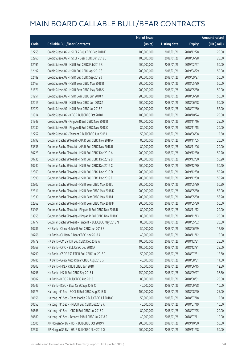|       |                                                          | No. of issue |                     |               | <b>Amount raised</b> |
|-------|----------------------------------------------------------|--------------|---------------------|---------------|----------------------|
| Code  | <b>Callable Bull/Bear Contracts</b>                      | (units)      | <b>Listing date</b> | <b>Expiry</b> | (HK\$ mil.)          |
| 62255 | Credit Suisse AG - HSCEI R Bull CBBC Dec 2018 F          | 100,000,000  | 2018/01/26          | 2018/12/28    | 25.00                |
| 62260 | Credit Suisse AG - HSCEI R Bear CBBC Jun 2018 B          | 100,000,000  | 2018/01/26          | 2018/06/28    | 25.00                |
| 62191 | Credit Suisse AG - HSI R Bull CBBC Feb 2019 B            | 200,000,000  | 2018/01/26          | 2019/02/27    | 50.00                |
| 62197 | Credit Suisse AG - HSI R Bull CBBC Apr 2019 S            | 200,000,000  | 2018/01/26          | 2019/04/29    | 50.00                |
| 62189 | Credit Suisse AG - HSI R Bull CBBC Sep 2019 J            | 200,000,000  | 2018/01/26          | 2019/09/27    | 50.00                |
| 62167 | Credit Suisse AG - HSI R Bear CBBC May 2018 B            | 200,000,000  | 2018/01/26          | 2018/05/30    | 50.00                |
| 61871 | Credit Suisse AG - HSI R Bear CBBC May 2018 S            | 200,000,000  | 2018/01/26          | 2018/05/30    | 50.00                |
| 61951 | Credit Suisse AG - HSI R Bear CBBC Jun 2018 Y            | 200,000,000  | 2018/01/26          | 2018/06/28    | 50.00                |
| 62015 | Credit Suisse AG - HSI R Bear CBBC Jun 2018 Z            | 200,000,000  | 2018/01/26          | 2018/06/28    | 50.00                |
| 62020 | Credit Suisse AG - HSI R Bear CBBC Jul 2018 R            | 200,000,000  | 2018/01/26          | 2018/07/30    | 52.00                |
| 61914 | Credit Suisse AG - ICBC R Bull CBBC Oct 2018 I           | 100,000,000  | 2018/01/26          | 2018/10/24    | 25.00                |
| 61949 | Credit Suisse AG - Ping An R Bull CBBC Nov 2018 B        | 100,000,000  | 2018/01/26          | 2018/11/16    | 25.00                |
| 62230 | Credit Suisse AG - Ping An R Bull CBBC Nov 2018 C        | 80,000,000   | 2018/01/26          | 2018/11/15    | 20.00                |
| 62252 | Credit Suisse AG - Tencent R Bull CBBC Jun 2018 L        | 50,000,000   | 2018/01/26          | 2018/06/08    | 12.50                |
| 63792 | Goldman Sachs SP (Asia) - AIA R Bull CBBC Nov 2018 A     | 80,000,000   | 2018/01/26          | 2018/11/05    | 20.00                |
| 63836 | Goldman Sachs SP (Asia) - AIA R Bull CBBC Nov 2018 B     | 80,000,000   | 2018/01/26          | 2018/11/06    | 20.00                |
| 60723 | Goldman Sachs SP (Asia) - HSI R Bull CBBC Dec 2019 A     | 200,000,000  | 2018/01/26          | 2019/12/30    | 50.20                |
| 60735 | Goldman Sachs SP (Asia) - HSI R Bull CBBC Dec 2019 B     | 200,000,000  | 2018/01/26          | 2019/12/30    | 50.20                |
| 60742 | Goldman Sachs SP (Asia) - HSI R Bull CBBC Dec 2019 C     | 200,000,000  | 2018/01/26          | 2019/12/30    | 50.40                |
| 62369 | Goldman Sachs SP (Asia) - HSI R Bull CBBC Dec 2019 D     | 200,000,000  | 2018/01/26          | 2019/12/30    | 50.20                |
| 62390 | Goldman Sachs SP (Asia) - HSI R Bull CBBC Dec 2019 E     | 200,000,000  | 2018/01/26          | 2019/12/30    | 50.20                |
| 62302 | Goldman Sachs SP (Asia) - HSI R Bear CBBC May 2018 J     | 200,000,000  | 2018/01/26          | 2018/05/30    | 50.20                |
| 62311 | Goldman Sachs SP (Asia) - HSI R Bear CBBC May 2018 K     | 200,000,000  | 2018/01/26          | 2018/05/30    | 52.00                |
| 62330 | Goldman Sachs SP (Asia) - HSI R Bear CBBC May 2018 L     | 200,000,000  | 2018/01/26          | 2018/05/30    | 56.20                |
| 62362 | Goldman Sachs SP (Asia) - HSI R Bear CBBC May 2018 M     | 200,000,000  | 2018/01/26          | 2018/05/30    | 50.00                |
| 63903 | Goldman Sachs SP (Asia) - Ping An R Bull CBBC Nov 2018 B | 80,000,000   | 2018/01/26          | 2018/11/12    | 20.00                |
| 63955 | Goldman Sachs SP (Asia) - Ping An R Bull CBBC Nov 2018 C | 80,000,000   | 2018/01/26          | 2018/11/13    | 20.00                |
| 63777 | Goldman Sachs SP (Asia) - Tencent R Bull CBBC May 2018 N | 80,000,000   | 2018/01/26          | 2018/05/02    | 20.00                |
| 60786 | HK Bank - China Mobile R Bull CBBC Jun 2018 B            | 50,000,000   | 2018/01/26          | 2018/06/29    | 12.50                |
| 60766 | HK Bank - CC Bank R Bear CBBC Nov 2018 A                 | 40,000,000   | 2018/01/26          | 2018/11/12    | 10.00                |
| 60779 | HK Bank - CM Bank R Bull CBBC Dec 2018 A                 | 100,000,000  | 2018/01/26          | 2018/12/31    | 25.00                |
| 60769 | HK Bank - CPIC R Bull CBBC Dec 2018 A                    | 100,000,000  | 2018/01/26          | 2018/12/31    | 25.00                |
| 60790 | HK Bank - CSOP A50 ETF R Bull CBBC Jul 2018 F            | 50,000,000   | 2018/01/26          | 2018/07/31    | 12.50                |
| 60785 | HK Bank - Geely Auto R Bear CBBC Aug 2018 G              | 40,000,000   | 2018/01/26          | 2018/08/31    | 14.00                |
| 60803 | HK Bank - HKEX R Bull CBBC Jun 2018 T                    | 50,000,000   | 2018/01/26          | 2018/06/15    | 12.50                |
| 60796 | HK Bank - HSI R Bull CBBC Sep 2018 J                     | 150,000,000  | 2018/01/26          | 2018/09/27    | 37.50                |
| 60802 | HK Bank - ICBC R Bull CBBC Aug 2018 L                    | 80,000,000   | 2018/01/26          | 2018/08/31    | 20.00                |
| 60745 | HK Bank - ICBC R Bear CBBC Sep 2018 C                    | 40,000,000   | 2018/01/26          | 2018/09/28    | 10.00                |
| 60675 | Haitong Int'l Sec - BOCL R Bull CBBC Aug 2018 D          | 100,000,000  | 2018/01/26          | 2018/08/20    | 25.00                |
| 60656 | Haitong Int'l Sec - China Mobile R Bull CBBC Jul 2018 G  | 50,000,000   | 2018/01/26          | 2018/07/18    | 12.50                |
| 60653 | Haitong Int'l Sec - HKEX R Bull CBBC Jul 2018 K          | 40,000,000   | 2018/01/26          | 2018/07/19    | 10.00                |
| 60666 | Haitong Int'l Sec - ICBC R Bull CBBC Jul 2018 C          | 80,000,000   | 2018/01/26          | 2018/07/25    | 20.00                |
| 60680 | Haitong Int'l Sec - Tencent R Bull CBBC Jul 2018 S       | 40,000,000   | 2018/01/26          | 2018/07/11    | 10.00                |
| 62505 | J P Morgan SP BV - HSI R Bull CBBC Oct 2019 V            | 200,000,000  | 2018/01/26          | 2019/10/30    | 50.00                |
| 62537 | J P Morgan SP BV - HSI R Bull CBBC Nov 2019 O            | 200,000,000  | 2018/01/26          | 2019/11/28    | 50.00                |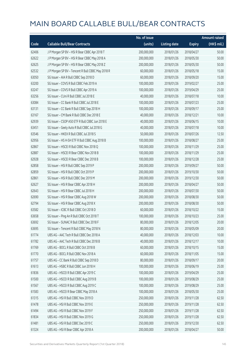| (units)<br><b>Callable Bull/Bear Contracts</b><br><b>Listing date</b><br>Code<br><b>Expiry</b><br>62406<br>200,000,000<br>J P Morgan SP BV - HSI R Bear CBBC Apr 2018 T<br>2018/01/26<br>2018/04/27<br>62622<br>200,000,000<br>J P Morgan SP BV - HSI R Bear CBBC May 2018 A<br>2018/01/26<br>2018/05/30<br>62625<br>JP Morgan SP BV - HSIR Bear CBBC May 2018 Z<br>200,000,000<br>2018/01/26<br>2018/05/30<br>62532<br>J P Morgan SP BV - Tencent R Bull CBBC May 2018 R<br>60,000,000<br>2018/01/26<br>2018/05/18<br>63050<br>SG Issuer - AIA R Bull CBBC Sep 2018 D<br>60,000,000<br>2018/01/26<br>2018/09/20<br>63200<br>SG Issuer - COVS R Bull CBBC Feb 2019 A<br>100,000,000<br>2018/01/26<br>2019/02/27 | (HK\$ mil.)<br>50.00<br>50.00<br>50.00 |
|-----------------------------------------------------------------------------------------------------------------------------------------------------------------------------------------------------------------------------------------------------------------------------------------------------------------------------------------------------------------------------------------------------------------------------------------------------------------------------------------------------------------------------------------------------------------------------------------------------------------------------------------------------------------------------------------------------------------|----------------------------------------|
|                                                                                                                                                                                                                                                                                                                                                                                                                                                                                                                                                                                                                                                                                                                 |                                        |
|                                                                                                                                                                                                                                                                                                                                                                                                                                                                                                                                                                                                                                                                                                                 |                                        |
|                                                                                                                                                                                                                                                                                                                                                                                                                                                                                                                                                                                                                                                                                                                 |                                        |
|                                                                                                                                                                                                                                                                                                                                                                                                                                                                                                                                                                                                                                                                                                                 |                                        |
|                                                                                                                                                                                                                                                                                                                                                                                                                                                                                                                                                                                                                                                                                                                 | 15.00                                  |
|                                                                                                                                                                                                                                                                                                                                                                                                                                                                                                                                                                                                                                                                                                                 | 15.00                                  |
|                                                                                                                                                                                                                                                                                                                                                                                                                                                                                                                                                                                                                                                                                                                 | 25.00                                  |
| 63247<br>SG Issuer - COVS R Bull CBBC Apr 2019 A<br>100,000,000<br>2018/01/26<br>2019/04/29                                                                                                                                                                                                                                                                                                                                                                                                                                                                                                                                                                                                                     | 25.00                                  |
| 63256<br>SG Issuer - CUni R Bull CBBC Jul 2018 E<br>40,000,000<br>2018/01/26<br>2018/07/18                                                                                                                                                                                                                                                                                                                                                                                                                                                                                                                                                                                                                      | 10.00                                  |
| 63084<br>SG Issuer - CC Bank R Bull CBBC Jul 2018 E<br>100,000,000<br>2018/01/26<br>2018/07/23                                                                                                                                                                                                                                                                                                                                                                                                                                                                                                                                                                                                                  | 25.00                                  |
| 63131<br>SG Issuer - CC Bank R Bull CBBC Sep 2018 H<br>100,000,000<br>2018/01/26<br>2018/09/17                                                                                                                                                                                                                                                                                                                                                                                                                                                                                                                                                                                                                  | 25.00                                  |
| 63167<br>SG Issuer - CM Bank R Bull CBBC Dec 2018 E<br>40,000,000<br>2018/01/26<br>2018/12/21                                                                                                                                                                                                                                                                                                                                                                                                                                                                                                                                                                                                                   | 10.00                                  |
| 62939<br>SG Issuer - CSOP A50 ETF R Bull CBBC Jun 2018 E<br>40,000,000<br>2018/01/26<br>2018/06/15                                                                                                                                                                                                                                                                                                                                                                                                                                                                                                                                                                                                              | 10.00                                  |
| 63451<br>SG Issuer - Geely Auto R Bull CBBC Jul 2018 G<br>40,000,000<br>2018/01/26<br>2018/07/18                                                                                                                                                                                                                                                                                                                                                                                                                                                                                                                                                                                                                | 10.00                                  |
| 63546<br>SG Issuer - HKEX R Bull CBBC Jul 2018 S<br>50,000,000<br>2018/01/26<br>2018/07/26                                                                                                                                                                                                                                                                                                                                                                                                                                                                                                                                                                                                                      | 12.50                                  |
| 62956<br>SG Issuer - HS H-SH ETF R Bull CBBC Aug 2018 B<br>100,000,000<br>2018/01/26<br>2018/08/27                                                                                                                                                                                                                                                                                                                                                                                                                                                                                                                                                                                                              | 25.00                                  |
| 62867<br>SG Issuer - HSCEI R Bull CBBC Nov 2018 Q<br>100,000,000<br>2018/01/26<br>2018/11/29                                                                                                                                                                                                                                                                                                                                                                                                                                                                                                                                                                                                                    | 25.00                                  |
| 62887<br>SG Issuer - HSCEI R Bear CBBC Nov 2018 B<br>100,000,000<br>2018/01/26<br>2018/11/29                                                                                                                                                                                                                                                                                                                                                                                                                                                                                                                                                                                                                    | 25.00                                  |
| 62928<br>SG Issuer - HSCEI R Bear CBBC Dec 2018 B<br>100,000,000<br>2018/01/26<br>2018/12/28                                                                                                                                                                                                                                                                                                                                                                                                                                                                                                                                                                                                                    | 25.00                                  |
| 62858<br>SG Issuer - HSI R Bull CBBC Sep 2019 P<br>200,000,000<br>2018/01/26<br>2019/09/27                                                                                                                                                                                                                                                                                                                                                                                                                                                                                                                                                                                                                      | 50.00                                  |
| 62859<br>SG Issuer - HSI R Bull CBBC Oct 2019 P<br>200,000,000<br>2018/01/26<br>2019/10/30                                                                                                                                                                                                                                                                                                                                                                                                                                                                                                                                                                                                                      | 50.00                                  |
| SG Issuer - HSI R Bull CBBC Dec 2019 M<br>62861<br>200,000,000<br>2018/01/26<br>2019/12/30                                                                                                                                                                                                                                                                                                                                                                                                                                                                                                                                                                                                                      | 50.00                                  |
| 62627<br>SG Issuer - HSI R Bear CBBC Apr 2018 H<br>200,000,000<br>2018/01/26<br>2018/04/27                                                                                                                                                                                                                                                                                                                                                                                                                                                                                                                                                                                                                      | 50.00                                  |
| 62643<br>SG Issuer - HSI R Bear CBBC Jul 2018 H<br>200,000,000<br>2018/01/26<br>2018/07/30                                                                                                                                                                                                                                                                                                                                                                                                                                                                                                                                                                                                                      | 50.00                                  |
| 62690<br>SG Issuer - HSI R Bear CBBC Aug 2018 W<br>200,000,000<br>2018/01/26<br>2018/08/30                                                                                                                                                                                                                                                                                                                                                                                                                                                                                                                                                                                                                      | 50.00                                  |
| SG Issuer - HSI R Bear CBBC Aug 2018 X<br>62794<br>200,000,000<br>2018/01/26<br>2018/08/30                                                                                                                                                                                                                                                                                                                                                                                                                                                                                                                                                                                                                      | 50.00                                  |
| 63582<br>SG Issuer - ICBC R Bull CBBC Oct 2018 D<br>60,000,000<br>2018/01/26<br>2018/10/22                                                                                                                                                                                                                                                                                                                                                                                                                                                                                                                                                                                                                      | 15.00                                  |
| 63658<br>SG Issuer - Ping An R Bull CBBC Oct 2018 T<br>100,000,000<br>2018/01/26<br>2018/10/23                                                                                                                                                                                                                                                                                                                                                                                                                                                                                                                                                                                                                  | 25.00                                  |
| 63692<br>SG Issuer – SUNAC R Bull CBBC Dec 2018 F<br>80,000,000<br>2018/01/26<br>2018/12/05                                                                                                                                                                                                                                                                                                                                                                                                                                                                                                                                                                                                                     | 20.00                                  |
| 63695<br>SG Issuer - Tencent R Bull CBBC May 2018 N<br>80,000,000<br>2018/01/26<br>2018/05/09                                                                                                                                                                                                                                                                                                                                                                                                                                                                                                                                                                                                                   | 20.00                                  |
| 61774<br>UBS AG - AAC Tech R Bull CBBC Dec 2018 A<br>40,000,000<br>2018/01/26<br>2018/12/03                                                                                                                                                                                                                                                                                                                                                                                                                                                                                                                                                                                                                     | 10.00                                  |
| 61782<br>UBS AG - AAC Tech R Bull CBBC Dec 2018 B<br>40,000,000<br>2018/01/26<br>2018/12/17                                                                                                                                                                                                                                                                                                                                                                                                                                                                                                                                                                                                                     | 10.00                                  |
| 61769<br>UBS AG - BOCL R Bull CBBC Oct 2018 B<br>60,000,000<br>2018/01/26<br>2018/10/15                                                                                                                                                                                                                                                                                                                                                                                                                                                                                                                                                                                                                         | 15.00                                  |
| 61770<br>UBS AG - BOCL R Bull CBBC Nov 2018 A<br>60,000,000<br>2018/01/26<br>2018/11/05                                                                                                                                                                                                                                                                                                                                                                                                                                                                                                                                                                                                                         | 15.00                                  |
| 61757<br>UBS AG - CC Bank R Bull CBBC Sep 2018 D<br>80,000,000<br>2018/01/26<br>2018/09/17                                                                                                                                                                                                                                                                                                                                                                                                                                                                                                                                                                                                                      | 20.00                                  |
| 61613<br>UBS AG - HSBC R Bull CBBC Jun 2018 H<br>100,000,000<br>2018/01/26<br>2018/06/19                                                                                                                                                                                                                                                                                                                                                                                                                                                                                                                                                                                                                        | 25.00                                  |
| 61836<br>UBS AG - HSCEI R Bull CBBC Apr 2019 C<br>100,000,000<br>2018/01/26<br>2019/04/29                                                                                                                                                                                                                                                                                                                                                                                                                                                                                                                                                                                                                       | 25.00                                  |
| 61500<br>UBS AG - HSCEI R Bull CBBC Aug 2019 B<br>100,000,000<br>2018/01/26<br>2019/08/29                                                                                                                                                                                                                                                                                                                                                                                                                                                                                                                                                                                                                       | 25.00                                  |
| 61567<br>UBS AG - HSCEI R Bull CBBC Aug 2019 C<br>100,000,000<br>2018/01/26<br>2019/08/29                                                                                                                                                                                                                                                                                                                                                                                                                                                                                                                                                                                                                       | 25.00                                  |
| UBS AG - HSCEI R Bear CBBC May 2018 A<br>61583<br>100,000,000<br>2018/01/26<br>2018/05/30                                                                                                                                                                                                                                                                                                                                                                                                                                                                                                                                                                                                                       | 25.00                                  |
| 61315<br>UBS AG - HSI R Bull CBBC Nov 2019 D<br>250,000,000<br>2018/01/26<br>2019/11/28                                                                                                                                                                                                                                                                                                                                                                                                                                                                                                                                                                                                                         | 62.50                                  |
| 61478<br>UBS AG - HSI R Bull CBBC Nov 2019 E<br>250,000,000<br>2018/01/26<br>2019/11/28                                                                                                                                                                                                                                                                                                                                                                                                                                                                                                                                                                                                                         | 62.50                                  |
| 61494<br>UBS AG - HSI R Bull CBBC Nov 2019 F<br>250,000,000<br>2018/01/26<br>2019/11/28                                                                                                                                                                                                                                                                                                                                                                                                                                                                                                                                                                                                                         | 62.50                                  |
| 61834<br>UBS AG - HSI R Bull CBBC Nov 2019 G<br>250,000,000<br>2018/01/26<br>2019/11/28                                                                                                                                                                                                                                                                                                                                                                                                                                                                                                                                                                                                                         | 62.50                                  |
| 61481<br>UBS AG - HSI R Bull CBBC Dec 2019 C<br>2018/01/26<br>250,000,000<br>2019/12/30                                                                                                                                                                                                                                                                                                                                                                                                                                                                                                                                                                                                                         | 62.50                                  |
| 61324<br>UBS AG - HSI R Bear CBBC Apr 2018 A<br>200,000,000<br>2018/01/26<br>2018/04/27                                                                                                                                                                                                                                                                                                                                                                                                                                                                                                                                                                                                                         | 50.00                                  |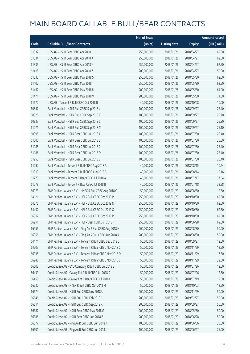|       |                                                            | No. of issue |                     |               | <b>Amount raised</b> |
|-------|------------------------------------------------------------|--------------|---------------------|---------------|----------------------|
| Code  | <b>Callable Bull/Bear Contracts</b>                        | (units)      | <b>Listing date</b> | <b>Expiry</b> | (HK\$ mil.)          |
| 61332 | UBS AG - HSI R Bear CBBC Apr 2018 H                        | 250,000,000  | 2018/01/26          | 2018/04/27    | 62.50                |
| 61334 | UBS AG - HSI R Bear CBBC Apr 2018 K                        | 250,000,000  | 2018/01/26          | 2018/04/27    | 62.50                |
| 61335 | UBS AG - HSI R Bear CBBC Apr 2018 Y                        | 250,000,000  | 2018/01/26          | 2018/04/27    | 62.50                |
| 61418 | UBS AG - HSI R Bear CBBC Apr 2018 Z                        | 200,000,000  | 2018/01/26          | 2018/04/27    | 50.00                |
| 61333 | UBS AG - HSI R Bear CBBC May 2018 S                        | 250,000,000  | 2018/01/26          | 2018/05/30    | 62.50                |
| 61402 | UBS AG - HSI R Bear CBBC May 2018 T                        | 250,000,000  | 2018/01/26          | 2018/05/30    | 62.50                |
| 61462 | UBS AG - HSI R Bear CBBC May 2018 U                        | 200,000,000  | 2018/01/26          | 2018/05/30    | 64.00                |
| 61471 | UBS AG - HSI R Bear CBBC May 2018 V                        | 200,000,000  | 2018/01/26          | 2018/05/30    | 74.00                |
| 61672 | UBS AG - Tencent R Bull CBBC Oct 2018 B                    | 40,000,000   | 2018/01/26          | 2018/10/08    | 10.00                |
| 60847 | Bank Vontobel - HSI R Bull CBBC Sep 2018 J                 | 100,000,000  | 2018/01/26          | 2018/09/27    | 25.40                |
| 60926 | Bank Vontobel - HSI R Bull CBBC Sep 2018 K                 | 100,000,000  | 2018/01/26          | 2018/09/27    | 25.70                |
| 60927 | Bank Vontobel - HSI R Bull CBBC Sep 2018 L                 | 100,000,000  | 2018/01/26          | 2018/09/27    | 25.80                |
| 61271 | Bank Vontobel - HSI R Bull CBBC Sep 2018 M                 | 100,000,000  | 2018/01/26          | 2018/09/27    | 25.10                |
| 60995 | Bank Vontobel - HSI R Bear CBBC Jul 2018 A                 | 100,000,000  | 2018/01/26          | 2018/07/30    | 25.40                |
| 61000 | Bank Vontobel - HSI R Bear CBBC Jul 2018 B                 | 100,000,000  | 2018/01/26          | 2018/07/30    | 25.50                |
| 61185 | Bank Vontobel - HSI R Bear CBBC Jul 2018 C                 | 100,000,000  | 2018/01/26          | 2018/07/30    | 25.40                |
| 61186 | Bank Vontobel - HSI R Bear CBBC Jul 2018 D                 | 100,000,000  | 2018/01/26          | 2018/07/30    | 25.40                |
| 61253 | Bank Vontobel - HSI R Bear CBBC Jul 2018 E                 | 100,000,000  | 2018/01/26          | 2018/07/30    | 25.40                |
| 61292 | Bank Vontobel - Tencent R Bull CBBC Aug 2018 A             | 40,000,000   | 2018/01/26          | 2018/08/15    | 10.24                |
| 61313 | Bank Vontobel - Tencent R Bull CBBC Aug 2018 B             | 40,000,000   | 2018/01/26          | 2018/08/14    | 10.16                |
| 61273 | Bank Vontobel - Tencent R Bear CBBC Jul 2018 A             | 40,000,000   | 2018/01/26          | 2018/07/17    | 37.04                |
| 61278 | Bank Vontobel - Tencent R Bear CBBC Jul 2018 B             | 40,000,000   | 2018/01/26          | 2018/07/18    | 32.28                |
| 66973 | BNP Paribas Issuance B.V. - HKEX R Bull CBBC Aug 2018 G    | 50,000,000   | 2018/01/29          | 2018/08/30    | 12.50                |
| 64121 | BNP Paribas Issuance B.V. - HSI R Bull CBBC Oct 2019 M     | 250,000,000  | 2018/01/29          | 2019/10/30    | 62.50                |
| 64375 | BNP Paribas Issuance B.V. - HSI R Bull CBBC Oct 2019 N     | 250,000,000  | 2018/01/29          | 2019/10/30    | 62.50                |
| 64452 | BNP Paribas Issuance B.V. - HSI R Bull CBBC Oct 2019 O     | 250,000,000  | 2018/01/29          | 2019/10/30    | 62.50                |
| 66917 | BNP Paribas Issuance B.V. - HSI R Bull CBBC Oct 2019 P     | 250,000,000  | 2018/01/29          | 2019/10/30    | 62.50                |
| 66911 | BNP Paribas Issuance B.V. - HSI R Bear CBBC Jun 2018 F     | 250,000,000  | 2018/01/29          | 2018/06/28    | 62.50                |
| 66955 | BNP Paribas Issuance B.V. - Ping An R Bull CBBC Aug 2018 H | 200,000,000  | 2018/01/29          | 2018/08/30    | 50.00                |
| 66956 | BNP Paribas Issuance B.V. - Ping An R Bull CBBC Aug 2018 R | 200,000,000  | 2018/01/29          | 2018/08/30    | 50.00                |
| 64474 | BNP Paribas Issuance B.V. - Tencent R Bull CBBC Sep 2018 L | 50,000,000   | 2018/01/29          | 2018/09/27    | 12.50                |
| 64507 | BNP Paribas Issuance B.V. - Tencent R Bear CBBC Nov 2018 C | 50,000,000   | 2018/01/29          | 2018/11/29    | 12.50                |
| 66935 | BNP Paribas Issuance B.V. - Tencent R Bear CBBC Nov 2018 D | 50,000,000   | 2018/01/29          | 2018/11/29    | 17.50                |
| 66946 | BNP Paribas Issuance B.V. - Tencent R Bear CBBC Nov 2018 E | 50,000,000   | 2018/01/29          | 2018/11/29    | 22.50                |
| 66603 | Credit Suisse AG - BYD Company R Bull CBBC Jul 2018 E      | 50,000,000   | 2018/01/29          | 2018/07/26    | 12.50                |
| 66439 | Credit Suisse AG - Galaxy Ent R Bull CBBC Jul 2018 D       | 50,000,000   | 2018/01/29          | 2018/07/06    | 12.50                |
| 66458 | Credit Suisse AG - Galaxy Ent R Bear CBBC Jul 2018 E       | 50,000,000   | 2018/01/29          | 2018/07/19    | 12.50                |
| 66530 | Credit Suisse AG - HKEX R Bull CBBC Oct 2018 M             | 50,000,000   | 2018/01/29          | 2018/10/03    | 12.50                |
| 66674 | Credit Suisse AG - HSI R Bull CBBC Nov 2018 U              | 200,000,000  | 2018/01/29          | 2018/11/29    | 50.00                |
| 66646 | Credit Suisse AG - HSI R Bull CBBC Feb 2019 C              | 200,000,000  | 2018/01/29          | 2019/02/27    | 50.00                |
| 66614 | Credit Suisse AG - HSI R Bull CBBC Sep 2019 K              | 200,000,000  | 2018/01/29          | 2019/09/27    | 50.00                |
| 66387 | Credit Suisse AG - HSI R Bear CBBC May 2018 G              | 200,000,000  | 2018/01/29          | 2018/05/30    | 50.00                |
| 66386 | Credit Suisse AG - HSI R Bear CBBC Jun 2018 B              | 200,000,000  | 2018/01/29          | 2018/06/28    | 50.00                |
| 66577 | Credit Suisse AG - Ping An R Bull CBBC Jun 2018 T          | 100,000,000  | 2018/01/29          | 2018/06/06    | 25.00                |
| 66601 | Credit Suisse AG - Ping An R Bull CBBC Jun 2018 U          | 100,000,000  | 2018/01/29          | 2018/06/27    | 25.00                |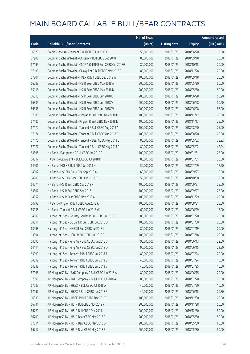|       |                                                              | No. of issue |                     |               | <b>Amount raised</b> |
|-------|--------------------------------------------------------------|--------------|---------------------|---------------|----------------------|
| Code  | <b>Callable Bull/Bear Contracts</b>                          | (units)      | <b>Listing date</b> | <b>Expiry</b> | (HK\$ mil.)          |
| 66570 | Credit Suisse AG - Tencent R Bull CBBC Jun 2018 I            | 50,000,000   | 2018/01/29          | 2018/06/20    | 12.50                |
| 67206 | Goldman Sachs SP (Asia) - CC Bank R Bull CBBC Sep 2018 F     | 80,000,000   | 2018/01/29          | 2018/09/18    | 20.00                |
| 67195 | Goldman Sachs SP (Asia) - CSOP A50 ETF R Bull CBBC Oct 2018G | 80,000,000   | 2018/01/29          | 2018/10/15    | 20.00                |
| 67190 | Goldman Sachs SP (Asia) - Galaxy Ent R Bull CBBC Nov 2018 F  | 80,000,000   | 2018/01/29          | 2018/11/28    | 20.00                |
| 67201 | Goldman Sachs SP (Asia) - HKEX R Bull CBBC Sep 2018 W        | 100,000,000  | 2018/01/29          | 2018/09/18    | 25.00                |
| 66283 | Goldman Sachs SP (Asia) - HSI R Bear CBBC May 2018 A         | 200,000,000  | 2018/01/29          | 2018/05/30    | 50.00                |
| 65118 | Goldman Sachs SP (Asia) - HSI R Bear CBBC May 2018 N         | 200,000,000  | 2018/01/29          | 2018/05/30    | 50.00                |
| 66313 | Goldman Sachs SP (Asia) - HSI R Bear CBBC Jun 2018 U         | 200,000,000  | 2018/01/29          | 2018/06/28    | 50.20                |
| 66335 | Goldman Sachs SP (Asia) - HSI R Bear CBBC Jun 2018 V         | 200,000,000  | 2018/01/29          | 2018/06/28    | 50.20                |
| 66336 | Goldman Sachs SP (Asia) - HSI R Bear CBBC Jun 2018 W         | 200,000,000  | 2018/01/29          | 2018/06/28    | 58.00                |
| 67180 | Goldman Sachs SP (Asia) - Ping An R Bull CBBC Nov 2018 D     | 100,000,000  | 2018/01/29          | 2018/11/12    | 25.00                |
| 67186 | Goldman Sachs SP (Asia) - Ping An R Bull CBBC Nov 2018 E     | 100,000,000  | 2018/01/29          | 2018/11/13    | 25.00                |
| 67172 | Goldman Sachs SP (Asia) - Tencent R Bull CBBC Aug 2018 A     | 100,000,000  | 2018/01/29          | 2018/08/20    | 25.00                |
| 67174 | Goldman Sachs SP (Asia) - Tencent R Bull CBBC Aug 2018 B     | 100,000,000  | 2018/01/29          | 2018/08/20    | 25.00                |
| 67175 | Goldman Sachs SP (Asia) - Tencent R Bear CBBC May 2018 B     | 80,000,000   | 2018/01/29          | 2018/05/02    | 33.92                |
| 67177 | Goldman Sachs SP (Asia) - Tencent R Bear CBBC May 2018 C     | 80,000,000   | 2018/01/29          | 2018/05/02    | 42.24                |
| 64895 | HK Bank - Evergrande R Bull CBBC Jan 2019 C                  | 100,000,000  | 2018/01/29          | 2019/01/31    | 25.00                |
| 64817 | HK Bank - Galaxy Ent R Bull CBBC Jul 2018 K                  | 80,000,000   | 2018/01/29          | 2018/07/31    | 20.00                |
| 64906 | HK Bank - HKEX R Bull CBBC Jul 2018 N                        | 50,000,000   | 2018/01/29          | 2018/07/09    | 12.50                |
| 64902 | HK Bank - HSCEI R Bull CBBC Sep 2018 A                       | 60,000,000   | 2018/01/29          | 2018/09/27    | 15.00                |
| 64903 | HK Bank - HSCEI R Bear CBBC Oct 2018 E                       | 50,000,000   | 2018/01/29          | 2018/10/30    | 12.50                |
| 64574 | HK Bank - HSI R Bull CBBC Sep 2018 K                         | 100,000,000  | 2018/01/29          | 2018/09/27    | 25.00                |
| 64807 | HK Bank - HSI R Bull CBBC Sep 2018 L                         | 100,000,000  | 2018/01/29          | 2018/09/27    | 25.00                |
| 64852 | HK Bank - HSI R Bear CBBC Nov 2018 A                         | 100,000,000  | 2018/01/29          | 2018/11/29    | 25.00                |
| 64798 | HK Bank - Ping An R Bull CBBC Aug 2018 K                     | 100,000,000  | 2018/01/29          | 2018/08/31    | 25.00                |
| 65055 | HK Bank - Tencent R Bull CBBC Jun 2018 W                     | 60,000,000   | 2018/01/29          | 2018/06/29    | 15.00                |
| 64089 | Haitong Int'l Sec - Country Garden R Bull CBBC Jul 2018 G    | 80,000,000   | 2018/01/29          | 2018/07/20    | 20.00                |
| 64011 | Haitong Int'l Sec - CC Bank R Bull CBBC Jul 2018 D           | 100,000,000  | 2018/01/29          | 2018/07/30    | 25.00                |
| 63998 | Haitong Int'l Sec - HKEX R Bull CBBC Jul 2018 L              | 80,000,000   | 2018/01/29          | 2018/07/19    | 20.00                |
| 63994 | Haitong Int'l Sec - HSBC R Bull CBBC Jul 2018 F              | 100,000,000  | 2018/01/29          | 2018/07/18    | 25.00                |
| 64090 | Haitong Int'l Sec - Ping An R Bull CBBC Jun 2018 C           | 90,000,000   | 2018/01/29          | 2018/06/13    | 22.50                |
| 64114 | Haitong Int'l Sec - Ping An R Bull CBBC Jun 2018 D           | 90,000,000   | 2018/01/29          | 2018/06/15    | 22.50                |
| 63999 | Haitong Int'l Sec - Tencent R Bull CBBC Jul 2018 T           | 80,000,000   | 2018/01/29          | 2018/07/24    | 20.00                |
| 64512 | Haitong Int'l Sec - Tencent R Bull CBBC Jul 2018 U           | 40,000,000   | 2018/01/29          | 2018/07/24    | 10.00                |
| 64538 | Haitong Int'l Sec - Tencent R Bull CBBC Jul 2018 V           | 40,000,000   | 2018/01/29          | 2018/07/25    | 10.00                |
| 67098 | J P Morgan SP BV - BYD Company R Bull CBBC Jun 2018 A        | 80,000,000   | 2018/01/29          | 2018/06/15    | 20.00                |
| 67099 | J P Morgan SP BV - BYD Company R Bull CBBC Jul 2018 A        | 80,000,000   | 2018/01/29          | 2018/07/20    | 20.00                |
| 67087 | J P Morgan SP BV - HKEX R Bull CBBC Jul 2018 A               | 40,000,000   | 2018/01/29          | 2018/07/20    | 10.00                |
| 67097 | J P Morgan SP BV - HKEX R Bear CBBC Jun 2018 B               | 40,000,000   | 2018/01/29          | 2018/06/15    | 20.80                |
| 66830 | J P Morgan SP BV - HSCEI R Bull CBBC Dec 2019 C              | 100,000,000  | 2018/01/29          | 2019/12/30    | 25.00                |
| 66731 | J P Morgan SP BV - HSI R Bull CBBC Nov 2019 P                | 200,000,000  | 2018/01/29          | 2019/11/28    | 50.00                |
| 66720 | J P Morgan SP BV - HSI R Bull CBBC Dec 2019 L                | 200,000,000  | 2018/01/29          | 2019/12/30    | 50.00                |
| 66700 | J P Morgan SP BV - HSI R Bear CBBC May 2018 C                | 200,000,000  | 2018/01/29          | 2018/05/30    | 50.00                |
| 67014 | J P Morgan SP BV - HSI R Bear CBBC May 2018 D                | 200,000,000  | 2018/01/29          | 2018/05/30    | 60.00                |
| 66717 | J P Morgan SP BV - HSI R Bear CBBC May 2018 E                | 200,000,000  | 2018/01/29          | 2018/05/30    | 50.00                |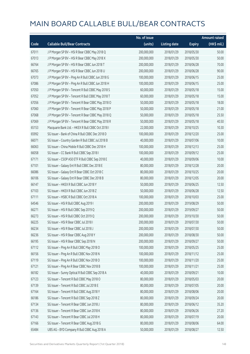|       |                                                   | No. of issue |                     |               | <b>Amount raised</b> |
|-------|---------------------------------------------------|--------------|---------------------|---------------|----------------------|
| Code  | <b>Callable Bull/Bear Contracts</b>               | (units)      | <b>Listing date</b> | <b>Expiry</b> | (HK\$ mil.)          |
| 67011 | J P Morgan SP BV - HSI R Bear CBBC May 2018 Q     | 200,000,000  | 2018/01/29          | 2018/05/30    | 50.00                |
| 67013 | J P Morgan SP BV - HSI R Bear CBBC May 2018 X     | 200,000,000  | 2018/01/29          | 2018/05/30    | 50.00                |
| 66764 | J P Morgan SP BV - HSI R Bear CBBC Jun 2018 T     | 200,000,000  | 2018/01/29          | 2018/06/28    | 70.00                |
| 66765 | J P Morgan SP BV - HSI R Bear CBBC Jun 2018 U     | 200,000,000  | 2018/01/29          | 2018/06/28    | 90.00                |
| 67073 | J P Morgan SP BV - Ping An R Bull CBBC Jun 2018 G | 100,000,000  | 2018/01/29          | 2018/06/15    | 25.00                |
| 67086 | J P Morgan SP BV - Ping An R Bull CBBC Jun 2018 H | 100,000,000  | 2018/01/29          | 2018/06/15    | 25.00                |
| 67050 | J P Morgan SP BV - Tencent R Bull CBBC May 2018 S | 60,000,000   | 2018/01/29          | 2018/05/18    | 15.00                |
| 67052 | J P Morgan SP BV - Tencent R Bull CBBC May 2018 T | 60,000,000   | 2018/01/29          | 2018/05/18    | 15.00                |
| 67056 | J P Morgan SP BV - Tencent R Bear CBBC May 2018 O | 50,000,000   | 2018/01/29          | 2018/05/18    | 18.00                |
| 67060 | J P Morgan SP BV - Tencent R Bear CBBC May 2018 P | 50,000,000   | 2018/01/29          | 2018/05/18    | 21.00                |
| 67068 | J P Morgan SP BV - Tencent R Bear CBBC May 2018 Q | 50,000,000   | 2018/01/29          | 2018/05/18    | 25.50                |
| 67069 | J P Morgan SP BV - Tencent R Bear CBBC May 2018 R | 50,000,000   | 2018/01/29          | 2018/05/18    | 40.50                |
| 65153 | Macquarie Bank Ltd. - HKEX R Bull CBBC Oct 2018 I | 22,000,000   | 2018/01/29          | 2018/10/25    | 10.30                |
| 65992 | SG Issuer - Bank of China R Bull CBBC Dec 2018 D  | 100,000,000  | 2018/01/29          | 2018/12/20    | 25.00                |
| 66071 | SG Issuer - Country Garden R Bull CBBC Jul 2018 B | 40,000,000   | 2018/01/29          | 2018/07/06    | 10.00                |
| 66063 | SG Issuer - China Mobile R Bull CBBC Dec 2018 H   | 100,000,000  | 2018/01/29          | 2018/12/13    | 25.00                |
| 66058 | SG Issuer - CC Bank R Bull CBBC Sep 2018 I        | 100,000,000  | 2018/01/29          | 2018/09/12    | 25.00                |
| 67171 | SG Issuer - CSOP A50 ETF R Bull CBBC Sep 2018 E   | 40,000,000   | 2018/01/29          | 2018/09/06    | 10.00                |
| 67101 | SG Issuer - Galaxy Ent R Bull CBBC Dec 2018 E     | 80,000,000   | 2018/01/29          | 2018/12/28    | 20.00                |
| 66086 | SG Issuer - Galaxy Ent R Bear CBBC Oct 2018 C     | 80,000,000   | 2018/01/29          | 2018/10/25    | 20.00                |
| 66106 | SG Issuer - Galaxy Ent R Bear CBBC Dec 2018 B     | 80,000,000   | 2018/01/29          | 2018/12/05    | 20.00                |
| 66147 | SG Issuer - HKEX R Bull CBBC Jun 2018 Y           | 50,000,000   | 2018/01/29          | 2018/06/25    | 12.50                |
| 67103 | SG Issuer - HKEX R Bull CBBC Jun 2018 Z           | 50,000,000   | 2018/01/29          | 2018/06/28    | 12.50                |
| 67111 | SG Issuer - HSBC R Bull CBBC Oct 2018 A           | 100,000,000  | 2018/01/29          | 2018/10/03    | 25.00                |
| 64546 | SG Issuer - HSI R Bull CBBC Aug 2019 I            | 200,000,000  | 2018/01/29          | 2019/08/29    | 50.00                |
| 66271 | SG Issuer - HSI R Bull CBBC Sep 2019 Q            | 200,000,000  | 2018/01/29          | 2019/09/27    | 50.00                |
| 66273 | SG Issuer - HSI R Bull CBBC Oct 2019 Q            | 200,000,000  | 2018/01/29          | 2019/10/30    | 50.00                |
| 66225 | SG Issuer - HSI R Bear CBBC Jul 2018 I            | 200,000,000  | 2018/01/29          | 2018/07/30    | 50.00                |
| 66234 | SG Issuer - HSI R Bear CBBC Jul 2018 J            | 200,000,000  | 2018/01/29          | 2018/07/30    | 50.00                |
| 66236 | SG Issuer - HSI R Bear CBBC Aug 2018 Y            | 200,000,000  | 2018/01/29          | 2018/08/30    | 50.00                |
| 66195 | SG Issuer - HSI R Bear CBBC Sep 2018 N            | 200,000,000  | 2018/01/29          | 2018/09/27    | 50.00                |
| 67112 | SG Issuer - Ping An R Bull CBBC May 2018 O        | 100,000,000  | 2018/01/29          | 2018/05/25    | 25.00                |
| 66156 | SG Issuer - Ping An R Bull CBBC Nov 2018 N        | 100,000,000  | 2018/01/29          | 2018/11/12    | 25.00                |
| 67119 | SG Issuer - Ping An R Bull CBBC Nov 2018 O        | 100,000,000  | 2018/01/29          | 2018/11/20    | 25.00                |
| 67121 | SG Issuer - Ping An R Bear CBBC Nov 2018 B        | 100,000,000  | 2018/01/29          | 2018/11/21    | 25.00                |
| 66182 | SG Issuer - Sunny Optical R Bull CBBC Sep 2018 A  | 40,000,000   | 2018/01/29          | 2018/09/21    | 10.00                |
| 67123 | SG Issuer - Tencent R Bull CBBC May 2018 O        | 80,000,000   | 2018/01/29          | 2018/05/03    | 20.00                |
| 67139 | SG Issuer - Tencent R Bull CBBC Jul 2018 E        | 80,000,000   | 2018/01/29          | 2018/07/05    | 20.00                |
| 67164 | SG Issuer - Tencent R Bull CBBC Aug 2018 Y        | 80,000,000   | 2018/01/29          | 2018/08/06    | 20.00                |
| 66186 | SG Issuer - Tencent R Bull CBBC Sep 2018 Z        | 80,000,000   | 2018/01/29          | 2018/09/24    | 20.00                |
| 67134 | SG Issuer - Tencent R Bear CBBC Jun 2018 J        | 80,000,000   | 2018/01/29          | 2018/06/12    | 35.20                |
| 67136 | SG Issuer - Tencent R Bear CBBC Jun 2018 K        | 80,000,000   | 2018/01/29          | 2018/06/26    | 27.20                |
| 67143 | SG Issuer - Tencent R Bear CBBC Jul 2018 H        | 80,000,000   | 2018/01/29          | 2018/07/19    | 20.00                |
| 67166 | SG Issuer - Tencent R Bear CBBC Aug 2018 G        | 80,000,000   | 2018/01/29          | 2018/08/06    | 64.00                |
| 65484 | UBS AG - BYD Company R Bull CBBC Aug 2018 A       | 50,000,000   | 2018/01/29          | 2018/08/27    | 12.50                |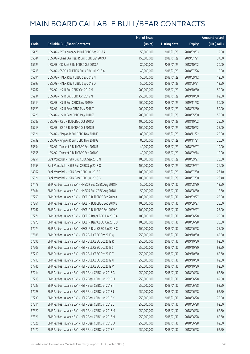|       |                                                          | No. of issue |                     |               | <b>Amount raised</b> |
|-------|----------------------------------------------------------|--------------|---------------------|---------------|----------------------|
| Code  | <b>Callable Bull/Bear Contracts</b>                      | (units)      | <b>Listing date</b> | <b>Expiry</b> | (HK\$ mil.)          |
| 65476 | UBS AG - BYD Company R Bull CBBC Sep 2018 A              | 50,000,000   | 2018/01/29          | 2018/09/03    | 12.50                |
| 65344 | UBS AG - China Overseas R Bull CBBC Jan 2019 A           | 150,000,000  | 2018/01/29          | 2019/01/21    | 37.50                |
| 65629 | UBS AG - CC Bank R Bull CBBC Oct 2018 A                  | 80,000,000   | 2018/01/29          | 2018/10/02    | 20.00                |
| 65715 | UBS AG - CSOP A50 ETF R Bull CBBC Jul 2018 A             | 40,000,000   | 2018/01/29          | 2018/07/26    | 10.00                |
| 65894 | UBS AG - HKEX R Bull CBBC Sep 2018 N                     | 50,000,000   | 2018/01/29          | 2018/09/12    | 12.50                |
| 65897 | UBS AG - HKEX R Bull CBBC Sep 2018 O                     | 50,000,000   | 2018/01/29          | 2018/09/21    | 12.50                |
| 65267 | UBS AG - HSI R Bull CBBC Oct 2019 M                      | 200,000,000  | 2018/01/29          | 2019/10/30    | 50.00                |
| 65934 | UBS AG - HSI R Bull CBBC Oct 2019 N                      | 250,000,000  | 2018/01/29          | 2019/10/30    | 62.50                |
| 65914 | UBS AG - HSI R Bull CBBC Nov 2019 H                      | 200,000,000  | 2018/01/29          | 2019/11/28    | 50.00                |
| 65329 | UBS AG - HSI R Bear CBBC May 2018 Y                      | 200,000,000  | 2018/01/29          | 2018/05/30    | 50.00                |
| 65726 | UBS AG - HSI R Bear CBBC May 2018 Z                      | 200,000,000  | 2018/01/29          | 2018/05/30    | 50.00                |
| 65683 | UBS AG - ICBC R Bull CBBC Oct 2018 A                     | 100,000,000  | 2018/01/29          | 2018/10/02    | 25.00                |
| 65713 | UBS AG - ICBC R Bull CBBC Oct 2018 B                     | 100,000,000  | 2018/01/29          | 2018/10/22    | 25.00                |
| 65621 | UBS AG - Ping An R Bull CBBC Nov 2018 F                  | 80,000,000   | 2018/01/29          | 2018/11/22    | 20.00                |
| 65739 | UBS AG - Ping An R Bull CBBC Nov 2018 G                  | 80,000,000   | 2018/01/29          | 2018/11/21    | 20.00                |
| 65854 | UBS AG - Tencent R Bull CBBC Sep 2018 B                  | 40,000,000   | 2018/01/29          | 2018/09/07    | 10.00                |
| 65855 | UBS AG - Tencent R Bull CBBC Sep 2018 C                  | 40,000,000   | 2018/01/29          | 2018/09/14    | 10.00                |
| 64951 | Bank Vontobel - HSI R Bull CBBC Sep 2018 N               | 100,000,000  | 2018/01/29          | 2018/09/27    | 26.60                |
| 64953 | Bank Vontobel - HSI R Bull CBBC Sep 2018 O               | 100,000,000  | 2018/01/29          | 2018/09/27    | 26.00                |
| 64967 | Bank Vontobel - HSI R Bear CBBC Jul 2018 F               | 100,000,000  | 2018/01/29          | 2018/07/30    | 26.10                |
| 65021 | Bank Vontobel - HSI R Bear CBBC Jul 2018 G               | 100,000,000  | 2018/01/29          | 2018/07/30    | 26.40                |
| 67478 | BNP Paribas Issuance B.V. - HKEX R Bull CBBC Aug 2018 H  | 50,000,000   | 2018/01/30          | 2018/08/30    | 12.50                |
| 67484 | BNP Paribas Issuance B.V. - HKEX R Bull CBBC Aug 2018 I  | 50,000,000   | 2018/01/30          | 2018/08/30    | 12.50                |
| 67259 | BNP Paribas Issuance B.V. - HSCEI R Bull CBBC Sep 2019 A | 100,000,000  | 2018/01/30          | 2019/09/27    | 25.00                |
| 67261 | BNP Paribas Issuance B.V. - HSCEI R Bull CBBC Sep 2019 B | 100,000,000  | 2018/01/30          | 2019/09/27    | 25.00                |
| 67267 | BNP Paribas Issuance B.V. - HSCEI R Bull CBBC Sep 2019 C | 100,000,000  | 2018/01/30          | 2019/09/27    | 25.00                |
| 67271 | BNP Paribas Issuance B.V. - HSCEI R Bear CBBC Jun 2018 A | 100,000,000  | 2018/01/30          | 2018/06/28    | 25.00                |
| 67273 | BNP Paribas Issuance B.V. - HSCEI R Bear CBBC Jun 2018 B | 100,000,000  | 2018/01/30          | 2018/06/28    | 25.00                |
| 67274 | BNP Paribas Issuance B.V. - HSCEI R Bear CBBC Jun 2018 C | 100,000,000  | 2018/01/30          | 2018/06/28    | 25.00                |
| 67686 | BNP Paribas Issuance B.V. - HSI R Bull CBBC Oct 2019 Q   | 250,000,000  | 2018/01/30          | 2019/10/30    | 62.50                |
| 67696 | BNP Paribas Issuance B.V. - HSI R Bull CBBC Oct 2019 R   | 250,000,000  | 2018/01/30          | 2019/10/30    | 62.50                |
| 67709 | BNP Paribas Issuance B.V. - HSI R Bull CBBC Oct 2019 S   | 250,000,000  | 2018/01/30          | 2019/10/30    | 62.50                |
| 67710 | BNP Paribas Issuance B.V. - HSI R Bull CBBC Oct 2019 T   | 250,000,000  | 2018/01/30          | 2019/10/30    | 62.50                |
| 67713 | BNP Paribas Issuance B.V. - HSI R Bull CBBC Oct 2019 U   | 250,000,000  | 2018/01/30          | 2019/10/30    | 62.50                |
| 67746 | BNP Paribas Issuance B.V. - HSI R Bull CBBC Oct 2019 V   | 250,000,000  | 2018/01/30          | 2019/10/30    | 62.50                |
| 67214 | BNP Paribas Issuance B.V. - HSI R Bear CBBC Jun 2018 G   | 250,000,000  | 2018/01/30          | 2018/06/28    | 62.50                |
| 67218 | BNP Paribas Issuance B.V. - HSI R Bear CBBC Jun 2018 H   | 250,000,000  | 2018/01/30          | 2018/06/28    | 62.50                |
| 67227 | BNP Paribas Issuance B.V. - HSI R Bear CBBC Jun 2018 I   | 250,000,000  | 2018/01/30          | 2018/06/28    | 62.50                |
| 67228 | BNP Paribas Issuance B.V. - HSI R Bear CBBC Jun 2018 J   | 250,000,000  | 2018/01/30          | 2018/06/28    | 62.50                |
| 67230 | BNP Paribas Issuance B.V. - HSI R Bear CBBC Jun 2018 K   | 250,000,000  | 2018/01/30          | 2018/06/28    | 75.00                |
| 67314 | BNP Paribas Issuance B.V. - HSI R Bear CBBC Jun 2018 L   | 250,000,000  | 2018/01/30          | 2018/06/28    | 62.50                |
| 67320 | BNP Paribas Issuance B.V. - HSI R Bear CBBC Jun 2018 M   | 250,000,000  | 2018/01/30          | 2018/06/28    | 62.50                |
| 67321 | BNP Paribas Issuance B.V. - HSI R Bear CBBC Jun 2018 N   | 250,000,000  | 2018/01/30          | 2018/06/28    | 62.50                |
| 67326 | BNP Paribas Issuance B.V. - HSI R Bear CBBC Jun 2018 O   | 250,000,000  | 2018/01/30          | 2018/06/28    | 62.50                |
| 67470 | BNP Paribas Issuance B.V. - HSI R Bear CBBC Jun 2018 P   | 250,000,000  | 2018/01/30          | 2018/06/28    | 62.50                |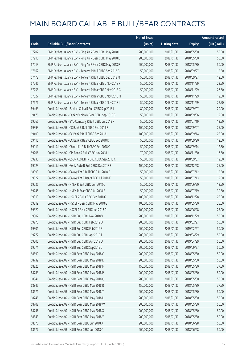|       |                                                            | No. of issue |                     |               | <b>Amount raised</b>  |
|-------|------------------------------------------------------------|--------------|---------------------|---------------|-----------------------|
| Code  | <b>Callable Bull/Bear Contracts</b>                        | (units)      | <b>Listing date</b> | <b>Expiry</b> | $(HK\frac{1}{2}mil.)$ |
| 67207 | BNP Paribas Issuance B.V. - Ping An R Bear CBBC May 2018 D | 200,000,000  | 2018/01/30          | 2018/05/30    | 50.00                 |
| 67210 | BNP Paribas Issuance B.V. - Ping An R Bear CBBC May 2018 E | 200,000,000  | 2018/01/30          | 2018/05/30    | 50.00                 |
| 67213 | BNP Paribas Issuance B.V. - Ping An R Bear CBBC May 2018 F | 200,000,000  | 2018/01/30          | 2018/05/30    | 50.00                 |
| 67662 | BNP Paribas Issuance B.V. - Tencent R Bull CBBC Sep 2018 G | 50,000,000   | 2018/01/30          | 2018/09/27    | 12.50                 |
| 67472 | BNP Paribas Issuance B.V. - Tencent R Bull CBBC Sep 2018 M | 50,000,000   | 2018/01/30          | 2018/09/27    | 12.50                 |
| 67246 | BNP Paribas Issuance B.V. - Tencent R Bear CBBC Nov 2018 F | 50,000,000   | 2018/01/30          | 2018/11/29    | 22.50                 |
| 67258 | BNP Paribas Issuance B.V. - Tencent R Bear CBBC Nov 2018 G | 50,000,000   | 2018/01/30          | 2018/11/29    | 27.50                 |
| 67327 | BNP Paribas Issuance B.V. - Tencent R Bear CBBC Nov 2018 H | 50,000,000   | 2018/01/30          | 2018/11/29    | 12.50                 |
| 67676 | BNP Paribas Issuance B.V. - Tencent R Bear CBBC Nov 2018 I | 50,000,000   | 2018/01/30          | 2018/11/29    | 22.50                 |
| 69463 | Credit Suisse AG - Bank of China R Bull CBBC Sep 2018 L    | 80,000,000   | 2018/01/30          | 2018/09/07    | 20.00                 |
| 69476 | Credit Suisse AG - Bank of China R Bear CBBC Sep 2018 B    | 50,000,000   | 2018/01/30          | 2018/09/06    | 12.50                 |
| 69066 | Credit Suisse AG - BYD Company R Bull CBBC Jul 2018 F      | 50,000,000   | 2018/01/30          | 2018/07/19    | 12.50                 |
| 69393 | Credit Suisse AG - CC Bank R Bull CBBC Sep 2018 F          | 100,000,000  | 2018/01/30          | 2018/09/07    | 25.00                 |
| 69400 | Credit Suisse AG - CC Bank R Bull CBBC Sep 2018 I          | 100,000,000  | 2018/01/30          | 2018/09/14    | 25.00                 |
| 69415 | Credit Suisse AG - CC Bank R Bear CBBC Sep 2018 D          | 50,000,000   | 2018/01/30          | 2018/09/20    | 12.50                 |
| 69111 | Credit Suisse AG - China Life R Bull CBBC Sep 2018 C       | 50,000,000   | 2018/01/30          | 2018/09/14    | 12.50                 |
| 69206 | Credit Suisse AG - CM Bank R Bull CBBC Nov 2018 J          | 70,000,000   | 2018/01/30          | 2018/11/30    | 17.50                 |
| 69230 | Credit Suisse AG - CSOP A50 ETF R Bull CBBC Sep 2018 C     | 50,000,000   | 2018/01/30          | 2018/09/07    | 12.50                 |
| 69023 | Credit Suisse AG - Geely Auto R Bull CBBC Dec 2018 F       | 100,000,000  | 2018/01/30          | 2018/12/28    | 25.00                 |
| 68993 | Credit Suisse AG - Galaxy Ent R Bull CBBC Jul 2018 E       | 50,000,000   | 2018/01/30          | 2018/07/12    | 12.50                 |
| 69022 | Credit Suisse AG - Galaxy Ent R Bear CBBC Jul 2018 F       | 50,000,000   | 2018/01/30          | 2018/07/13    | 12.50                 |
| 69236 | Credit Suisse AG - HKEX R Bull CBBC Jun 2018 C             | 50,000,000   | 2018/01/30          | 2018/06/20    | 12.50                 |
| 69245 | Credit Suisse AG - HKEX R Bear CBBC Jul 2018 E             | 50,000,000   | 2018/01/30          | 2018/07/19    | 30.50                 |
| 69313 | Credit Suisse AG - HSCEI R Bull CBBC Dec 2018 G            | 100,000,000  | 2018/01/30          | 2018/12/28    | 25.00                 |
| 69319 | Credit Suisse AG - HSCEI R Bear CBBC May 2018 G            | 100,000,000  | 2018/01/30          | 2018/05/30    | 25.00                 |
| 69320 | Credit Suisse AG - HSCEI R Bear CBBC Jun 2018 C            | 100,000,000  | 2018/01/30          | 2018/06/28    | 25.00                 |
| 69307 | Credit Suisse AG - HSI R Bull CBBC Nov 2018 V              | 200,000,000  | 2018/01/30          | 2018/11/29    | 50.00                 |
| 69273 | Credit Suisse AG - HSI R Bull CBBC Feb 2019 D              | 200,000,000  | 2018/01/30          | 2019/02/27    | 50.00                 |
| 69301 | Credit Suisse AG - HSI R Bull CBBC Feb 2019 E              | 200,000,000  | 2018/01/30          | 2019/02/27    | 50.00                 |
| 69277 | Credit Suisse AG - HSI R Bull CBBC Apr 2019 T              | 200,000,000  | 2018/01/30          | 2019/04/29    | 50.00                 |
| 69305 | Credit Suisse AG - HSI R Bull CBBC Apr 2019 U              | 200,000,000  | 2018/01/30          | 2019/04/29    | 50.00                 |
| 69271 | Credit Suisse AG - HSI R Bull CBBC Sep 2019 L              | 200,000,000  | 2018/01/30          | 2019/09/27    | 50.00                 |
| 68890 | Credit Suisse AG - HSI R Bear CBBC May 2018 C              | 200,000,000  | 2018/01/30          | 2018/05/30    | 50.00                 |
| 68739 | Credit Suisse AG - HSI R Bear CBBC May 2018 L              | 200,000,000  | 2018/01/30          | 2018/05/30    | 50.00                 |
| 68825 | Credit Suisse AG - HSI R Bear CBBC May 2018 M              | 150,000,000  | 2018/01/30          | 2018/05/30    | 37.50                 |
| 68783 | Credit Suisse AG - HSI R Bear CBBC May 2018 P              | 200,000,000  | 2018/01/30          | 2018/05/30    | 50.00                 |
| 68841 | Credit Suisse AG - HSI R Bear CBBC May 2018 Q              | 200,000,000  | 2018/01/30          | 2018/05/30    | 50.00                 |
| 68845 | Credit Suisse AG - HSI R Bear CBBC May 2018 R              | 150,000,000  | 2018/01/30          | 2018/05/30    | 37.50                 |
| 68671 | Credit Suisse AG - HSI R Bear CBBC May 2018 T              | 200,000,000  | 2018/01/30          | 2018/05/30    | 50.00                 |
| 68745 | Credit Suisse AG - HSI R Bear CBBC May 2018 U              | 200,000,000  | 2018/01/30          | 2018/05/30    | 50.00                 |
| 68708 | Credit Suisse AG - HSI R Bear CBBC May 2018 W              | 200,000,000  | 2018/01/30          | 2018/05/30    | 50.00                 |
| 68746 | Credit Suisse AG - HSI R Bear CBBC May 2018 X              | 200,000,000  | 2018/01/30          | 2018/05/30    | 50.00                 |
| 68843 | Credit Suisse AG - HSI R Bear CBBC May 2018 Y              | 200,000,000  | 2018/01/30          | 2018/05/30    | 50.00                 |
| 68670 | Credit Suisse AG - HSI R Bear CBBC Jun 2018 A              | 200,000,000  | 2018/01/30          | 2018/06/28    | 50.00                 |
| 68677 | Credit Suisse AG - HSI R Bear CBBC Jun 2018 C              | 200,000,000  | 2018/01/30          | 2018/06/28    | 50.00                 |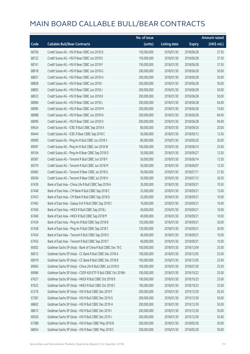|       |                                                              | No. of issue |                     |               | <b>Amount raised</b>  |
|-------|--------------------------------------------------------------|--------------|---------------------|---------------|-----------------------|
| Code  | <b>Callable Bull/Bear Contracts</b>                          | (units)      | <b>Listing date</b> | <b>Expiry</b> | $(HK\frac{1}{2}mil.)$ |
| 68706 | Credit Suisse AG - HSI R Bear CBBC Jun 2018 D                | 150,000,000  | 2018/01/30          | 2018/06/28    | 37.50                 |
| 68722 | Credit Suisse AG - HSI R Bear CBBC Jun 2018 E                | 150,000,000  | 2018/01/30          | 2018/06/28    | 37.50                 |
| 68741 | Credit Suisse AG - HSI R Bear CBBC Jun 2018 F                | 150,000,000  | 2018/01/30          | 2018/06/28    | 37.50                 |
| 68918 | Credit Suisse AG - HSI R Bear CBBC Jun 2018 G                | 200,000,000  | 2018/01/30          | 2018/06/28    | 50.00                 |
| 68837 | Credit Suisse AG - HSI R Bear CBBC Jun 2018 H                | 200,000,000  | 2018/01/30          | 2018/06/28    | 50.00                 |
| 68858 | Credit Suisse AG - HSI R Bear CBBC Jun 2018 I                | 200,000,000  | 2018/01/30          | 2018/06/28    | 50.00                 |
| 68893 | Credit Suisse AG - HSI R Bear CBBC Jun 2018 J                | 200,000,000  | 2018/01/30          | 2018/06/28    | 50.00                 |
| 68923 | Credit Suisse AG - HSI R Bear CBBC Jun 2018 K                | 200,000,000  | 2018/01/30          | 2018/06/28    | 50.00                 |
| 68984 | Credit Suisse AG - HSI R Bear CBBC Jun 2018 L                | 200,000,000  | 2018/01/30          | 2018/06/28    | 64.00                 |
| 68985 | Credit Suisse AG - HSI R Bear CBBC Jun 2018 M                | 200,000,000  | 2018/01/30          | 2018/06/28    | 74.00                 |
| 68988 | Credit Suisse AG - HSI R Bear CBBC Jun 2018 N                | 200,000,000  | 2018/01/30          | 2018/06/28    | 84.00                 |
| 68990 | Credit Suisse AG - HSI R Bear CBBC Jun 2018 O                | 200,000,000  | 2018/01/30          | 2018/06/28    | 94.00                 |
| 69424 | Credit Suisse AG - ICBC R Bull CBBC Sep 2018 X               | 80,000,000   | 2018/01/30          | 2018/09/20    | 20.00                 |
| 69444 | Credit Suisse AG - ICBC R Bear CBBC Sep 2018 C               | 50,000,000   | 2018/01/30          | 2018/09/13    | 12.50                 |
| 69090 | Credit Suisse AG - Ping An R Bull CBBC Jun 2018 V            | 80,000,000   | 2018/01/30          | 2018/06/20    | 20.00                 |
| 69097 | Credit Suisse AG - Ping An R Bull CBBC Jun 2018 W            | 100,000,000  | 2018/01/30          | 2018/06/14    | 25.00                 |
| 69104 | Credit Suisse AG - Ping An R Bear CBBC Sep 2018 D            | 50,000,000   | 2018/01/30          | 2018/09/27    | 12.50                 |
| 69387 | Credit Suisse AG - Tencent R Bull CBBC Jun 2018 F            | 50,000,000   | 2018/01/30          | 2018/06/14    | 12.50                 |
| 69379 | Credit Suisse AG - Tencent R Bull CBBC Jun 2018 M            | 50,000,000   | 2018/01/30          | 2018/06/07    | 12.50                 |
| 69483 | Credit Suisse AG - Tencent R Bear CBBC Jul 2018 G            | 50,000,000   | 2018/01/30          | 2018/07/11    | 21.50                 |
| 69504 | Credit Suisse AG - Tencent R Bear CBBC Jul 2018 H            | 50,000,000   | 2018/01/30          | 2018/07/12    | 36.50                 |
| 67439 | Bank of East Asia - China Life R Bull CBBC Sep 2018 A        | 30,000,000   | 2018/01/30          | 2018/09/21    | 10.50                 |
| 67446 | Bank of East Asia - CM Bank R Bull CBBC Sep 2018 C           | 25,000,000   | 2018/01/30          | 2018/09/21    | 15.00                 |
| 67453 | Bank of East Asia - CM Bank R Bull CBBC Sep 2018 D           | 25,000,000   | 2018/01/30          | 2018/09/21    | 10.00                 |
| 67465 | Bank of East Asia - Galaxy Ent R Bull CBBC Sep 2018 C        | 16,000,000   | 2018/01/30          | 2018/09/21    | 10.40                 |
| 67456 | Bank of East Asia - HKEX R Bull CBBC Sep 2018 L              | 40,000,000   | 2018/01/30          | 2018/09/21    | 10.00                 |
| 67460 | Bank of East Asia - HKEX R Bull CBBC Sep 2018 M              | 40,000,000   | 2018/01/30          | 2018/09/21    | 10.00                 |
| 67434 | Bank of East Asia - Ping An R Bull CBBC Sep 2018 B           | 120,000,000  | 2018/01/30          | 2018/09/21    | 30.00                 |
| 67438 | Bank of East Asia - Ping An R Bull CBBC Sep 2018 C           | 120,000,000  | 2018/01/30          | 2018/09/21    | 30.00                 |
| 67454 | Bank of East Asia - Tencent R Bull CBBC Sep 2018 S           | 40,000,000   | 2018/01/30          | 2018/09/21    | 10.00                 |
| 67455 | Bank of East Asia - Tencent R Bull CBBC Sep 2018 T           | 40,000,000   | 2018/01/30          | 2018/09/21    | 10.00                 |
| 60002 | Goldman Sachs SP (Asia) - Bank of China R Bull CBBC Dec 18 C | 100,000,000  | 2018/01/30          | 2018/12/04    | 25.00                 |
| 60012 | Goldman Sachs SP (Asia) - CC Bank R Bull CBBC Dec 2018 A     | 100,000,000  | 2018/01/30          | 2018/12/05    | 25.00                 |
| 60019 | Goldman Sachs SP (Asia) - CC Bank R Bull CBBC Dec 2018 B     | 100,000,000  | 2018/01/30          | 2018/12/05    | 25.00                 |
| 69965 | Goldman Sachs SP (Asia) - China Life R Bull CBBC Jul 2018 D  | 100,000,000  | 2018/01/30          | 2018/07/30    | 25.00                 |
| 69986 | Goldman Sachs SP (Asia) - CSOP A50 ETF R Bull CBBC Oct 2018H | 100,000,000  | 2018/01/30          | 2018/10/22    | 25.00                 |
| 67621 | Goldman Sachs SP (Asia) - HKEX R Bull CBBC Oct 2018 B        | 100,000,000  | 2018/01/30          | 2018/10/23    | 25.00                 |
| 67623 | Goldman Sachs SP (Asia) - HKEX R Bull CBBC Oct 2018 C        | 100,000,000  | 2018/01/30          | 2018/10/23    | 25.00                 |
| 67276 | Goldman Sachs SP (Asia) - HSI R Bull CBBC Dec 2019 F         | 200,000,000  | 2018/01/30          | 2019/12/30    | 50.20                 |
| 67281 | Goldman Sachs SP (Asia) - HSI R Bull CBBC Dec 2019 G         | 200,000,000  | 2018/01/30          | 2019/12/30    | 50.00                 |
| 68602 | Goldman Sachs SP (Asia) - HSI R Bull CBBC Dec 2019 H         | 200,000,000  | 2018/01/30          | 2019/12/30    | 50.00                 |
| 68613 | Goldman Sachs SP (Asia) - HSI R Bull CBBC Dec 2019 I         | 200,000,000  | 2018/01/30          | 2019/12/30    | 50.00                 |
| 60026 | Goldman Sachs SP (Asia) - HSI R Bull CBBC Dec 2019 J         | 200,000,000  | 2018/01/30          | 2019/12/30    | 50.40                 |
| 67388 | Goldman Sachs SP (Asia) - HSI R Bear CBBC May 2018 B         | 200,000,000  | 2018/01/30          | 2018/05/30    | 50.00                 |
| 68654 | Goldman Sachs SP (Asia) - HSI R Bear CBBC May 2018 C         | 200,000,000  | 2018/01/30          | 2018/05/30    | 50.00                 |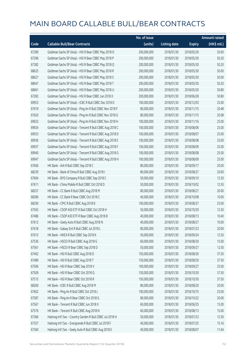|       |                                                           | No. of issue |                     |               | <b>Amount raised</b> |
|-------|-----------------------------------------------------------|--------------|---------------------|---------------|----------------------|
| Code  | <b>Callable Bull/Bear Contracts</b>                       | (units)      | <b>Listing date</b> | <b>Expiry</b> | $(HK$$ mil.)         |
| 67289 | Goldman Sachs SP (Asia) - HSI R Bear CBBC May 2018 O      | 200,000,000  | 2018/01/30          | 2018/05/30    | 50.00                |
| 67296 | Goldman Sachs SP (Asia) - HSI R Bear CBBC May 2018 P      | 200,000,000  | 2018/01/30          | 2018/05/30    | 50.20                |
| 67382 | Goldman Sachs SP (Asia) - HSI R Bear CBBC May 2018 Q      | 200,000,000  | 2018/01/30          | 2018/05/30    | 50.20                |
| 68625 | Goldman Sachs SP (Asia) - HSI R Bear CBBC May 2018 R      | 200,000,000  | 2018/01/30          | 2018/05/30    | 50.00                |
| 68627 | Goldman Sachs SP (Asia) - HSI R Bear CBBC May 2018 S      | 200,000,000  | 2018/01/30          | 2018/05/30    | 50.00                |
| 68647 | Goldman Sachs SP (Asia) - HSI R Bear CBBC May 2018 T      | 200,000,000  | 2018/01/30          | 2018/05/30    | 50.20                |
| 68661 | Goldman Sachs SP (Asia) - HSI R Bear CBBC May 2018 U      | 200,000,000  | 2018/01/30          | 2018/05/30    | 50.80                |
| 67283 | Goldman Sachs SP (Asia) - HSI R Bear CBBC Jun 2018 X      | 200,000,000  | 2018/01/30          | 2018/06/28    | 50.80                |
| 69953 | Goldman Sachs SP (Asia) - ICBC R Bull CBBC Dec 2018 D     | 100,000,000  | 2018/01/30          | 2018/12/03    | 25.00                |
| 67619 | Goldman Sachs SP (Asia) - Ping An R Bull CBBC Nov 2018 F  | 80,000,000   | 2018/01/30          | 2018/11/15    | 20.48                |
| 67620 | Goldman Sachs SP (Asia) - Ping An R Bull CBBC Nov 2018 G  | 80,000,000   | 2018/01/30          | 2018/11/15    | 20.08                |
| 69923 | Goldman Sachs SP (Asia) - Ping An R Bull CBBC Nov 2018 H  | 100,000,000  | 2018/01/30          | 2018/11/16    | 25.00                |
| 69924 | Goldman Sachs SP (Asia) - Tencent R Bull CBBC Aug 2018 C  | 100,000,000  | 2018/01/30          | 2018/08/06    | 25.00                |
| 69933 | Goldman Sachs SP (Asia) - Tencent R Bull CBBC Aug 2018 D  | 100,000,000  | 2018/01/30          | 2018/08/07    | 25.00                |
| 69936 | Goldman Sachs SP (Asia) - Tencent R Bull CBBC Aug 2018 E  | 100,000,000  | 2018/01/30          | 2018/08/08    | 25.00                |
| 69937 | Goldman Sachs SP (Asia) - Tencent R Bull CBBC Aug 2018 F  | 100,000,000  | 2018/01/30          | 2018/08/09    | 25.00                |
| 69940 | Goldman Sachs SP (Asia) - Tencent R Bull CBBC Aug 2018 G  | 100,000,000  | 2018/01/30          | 2018/08/08    | 25.00                |
| 69947 | Goldman Sachs SP (Asia) - Tencent R Bull CBBC Aug 2018 H  | 100,000,000  | 2018/01/30          | 2018/08/09    | 25.00                |
| 67606 | HK Bank - AIA R Bull CBBC Sep 2018 C                      | 80,000,000   | 2018/01/30          | 2018/09/17    | 20.00                |
| 68239 | HK Bank - Bank of China R Bull CBBC Aug 2018 I            | 80,000,000   | 2018/01/30          | 2018/08/27    | 20.00                |
| 67604 | HK Bank - BYD Company R Bull CBBC Sep 2018 C              | 50,000,000   | 2018/01/30          | 2018/09/10    | 12.50                |
| 67611 | HK Bank - China Mobile R Bull CBBC Oct 2018 D             | 50,000,000   | 2018/01/30          | 2018/10/02    | 12.50                |
| 68257 | HK Bank - CC Bank R Bull CBBC Aug 2018 M                  | 80,000,000   | 2018/01/30          | 2018/08/27    | 20.00                |
| 68286 | HK Bank - CC Bank R Bear CBBC Oct 2018 C                  | 40,000,000   | 2018/01/30          | 2018/10/08    | 10.00                |
| 68290 | HK Bank - CPIC R Bull CBBC Aug 2018 B                     | 100,000,000  | 2018/01/30          | 2018/08/27    | 25.00                |
| 67563 | HK Bank - CSOP A50 ETF R Bull CBBC Oct 2018 H             | 50,000,000   | 2018/01/30          | 2018/10/29    | 12.50                |
| 67486 | HK Bank - CSOP A50 ETF R Bear CBBC Aug 2018 B             | 40,000,000   | 2018/01/30          | 2018/08/13    | 10.40                |
| 67612 | HK Bank - Geely Auto R Bull CBBC Aug 2018 N               | 40,000,000   | 2018/01/30          | 2018/08/27    | 10.00                |
| 67618 | HK Bank - Galaxy Ent R Bull CBBC Jul 2018 L               | 80,000,000   | 2018/01/30          | 2018/07/23    | 20.00                |
| 67615 | HK Bank - HKEX R Bull CBBC Sep 2018 K                     | 50,000,000   | 2018/01/30          | 2018/09/24    | 12.50                |
| 67536 | HK Bank - HSCEI R Bull CBBC Aug 2018 G                    | 60,000,000   | 2018/01/30          | 2018/08/30    | 15.00                |
| 67561 | HK Bank - HSCEI R Bear CBBC Sep 2018 D                    | 50,000,000   | 2018/01/30          | 2018/09/27    | 12.50                |
| 67492 | HK Bank - HSI R Bull CBBC Aug 2018 D                      | 150,000,000  | 2018/01/30          | 2018/08/30    | 37.50                |
| 67489 | HK Bank - HSI R Bull CBBC Aug 2018 T                      | 150,000,000  | 2018/01/30          | 2018/08/30    | 37.50                |
| 67506 | HK Bank - HSI R Bear CBBC Sep 2018 V                      | 100,000,000  | 2018/01/30          | 2018/09/27    | 25.00                |
| 67509 | HK Bank - HSI R Bear CBBC Oct 2018 Q                      | 150,000,000  | 2018/01/30          | 2018/10/30    | 37.50                |
| 67515 | HK Bank - HSI R Bear CBBC Oct 2018 R                      | 150,000,000  | 2018/01/30          | 2018/10/30    | 37.50                |
| 68260 | HK Bank - ICBC R Bull CBBC Aug 2018 M                     | 80,000,000   | 2018/01/30          | 2018/08/20    | 20.00                |
| 67602 | HK Bank - Ping An R Bull CBBC Oct 2018 L                  | 100,000,000  | 2018/01/30          | 2018/10/15    | 25.00                |
| 67587 | HK Bank - Ping An R Bear CBBC Oct 2018 G                  | 80,000,000   | 2018/01/30          | 2018/10/22    | 20.00                |
| 67567 | HK Bank - Tencent R Bull CBBC Jun 2018 X                  | 60,000,000   | 2018/01/30          | 2018/06/25    | 15.00                |
| 67576 | HK Bank - Tencent R Bull CBBC Aug 2018 N                  | 60,000,000   | 2018/01/30          | 2018/08/13    | 15.00                |
| 67366 | Haitong Int'l Sec - Country Garden R Bull CBBC Jul 2018 H | 50,000,000   | 2018/01/30          | 2018/07/23    | 12.50                |
| 67357 | Haitong Int'l Sec - Evergrande R Bull CBBC Jul 2018 F     | 40,000,000   | 2018/01/30          | 2018/07/25    | 15.16                |
| 67360 | Haitong Int'l Sec - Geely Auto R Bull CBBC Aug 2018 E     | 40,000,000   | 2018/01/30          | 2018/08/07    | 11.64                |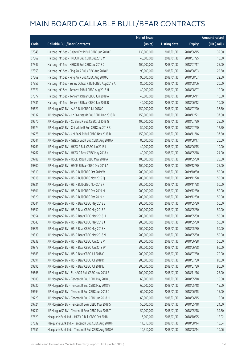|       |                                                          | No. of issue |                     |               | Amount raised         |
|-------|----------------------------------------------------------|--------------|---------------------|---------------|-----------------------|
| Code  | <b>Callable Bull/Bear Contracts</b>                      | (units)      | <b>Listing date</b> | <b>Expiry</b> | $(HK\frac{1}{2}mil.)$ |
| 67348 | Haitong Int'l Sec - Galaxy Ent R Bull CBBC Jun 2018 D    | 130,000,000  | 2018/01/30          | 2018/06/15    | 32.50                 |
| 67362 | Haitong Int'l Sec - HKEX R Bull CBBC Jul 2018 M          | 40,000,000   | 2018/01/30          | 2018/07/25    | 10.00                 |
| 67347 | Haitong Int'l Sec - HSBC R Bull CBBC Jul 2018 G          | 100,000,000  | 2018/01/30          | 2018/07/17    | 25.00                 |
| 67353 | Haitong Int'l Sec - Ping An R Bull CBBC Aug 2018 P       | 90,000,000   | 2018/01/30          | 2018/08/03    | 22.50                 |
| 67369 | Haitong Int'l Sec - Ping An R Bull CBBC Aug 2018 Q       | 90,000,000   | 2018/01/30          | 2018/08/07    | 22.50                 |
| 67355 | Haitong Int'l Sec - Sunny Optical R Bull CBBC Aug 2018 A | 80,000,000   | 2018/01/30          | 2018/08/06    | 20.00                 |
| 67371 | Haitong Int'l Sec - Tencent R Bull CBBC Aug 2018 H       | 40,000,000   | 2018/01/30          | 2018/08/07    | 10.00                 |
| 67377 | Haitong Int'l Sec - Tencent R Bear CBBC Jun 2018 A       | 40,000,000   | 2018/01/30          | 2018/06/11    | 10.00                 |
| 67381 | Haitong Int'l Sec - Tencent R Bear CBBC Jun 2018 B       | 40,000,000   | 2018/01/30          | 2018/06/12    | 10.00                 |
| 69621 | J P Morgan SP BV - AIA R Bull CBBC Jul 2018 C            | 150,000,000  | 2018/01/30          | 2018/07/20    | 37.50                 |
| 69632 | J P Morgan SP BV - Ch Overseas R Bull CBBC Dec 2018 B    | 150,000,000  | 2018/01/30          | 2018/12/21    | 37.50                 |
| 69570 | J P Morgan SP BV - CC Bank R Bull CBBC Jul 2018 G        | 100,000,000  | 2018/01/30          | 2018/07/20    | 25.00                 |
| 69674 | J P Morgan SP BV - China Life R Bull CBBC Jul 2018 B     | 50,000,000   | 2018/01/30          | 2018/07/20    | 12.50                 |
| 69775 | J P Morgan SP BV - CM Bank R Bull CBBC Nov 2018 D        | 150,000,000  | 2018/01/30          | 2018/11/16    | 37.50                 |
| 69641 | J P Morgan SP BV - Galaxy Ent R Bull CBBC Aug 2018 A     | 80,000,000   | 2018/01/30          | 2018/08/17    | 20.00                 |
| 69761 | J P Morgan SP BV - HKEX R Bull CBBC Jun 2018 L           | 40,000,000   | 2018/01/30          | 2018/06/15    | 10.00                 |
| 69767 | J P Morgan SP BV - HKEX R Bear CBBC May 2018 K           | 40,000,000   | 2018/01/30          | 2018/05/18    | 24.00                 |
| 69788 | J P Morgan SP BV - HSCEI R Bull CBBC May 2018 A          | 100,000,000  | 2018/01/30          | 2018/05/30    | 25.00                 |
| 69800 | J P Morgan SP BV - HSCEI R Bear CBBC Dec 2019 A          | 100,000,000  | 2018/01/30          | 2019/12/30    | 25.00                 |
| 69819 | J P Morgan SP BV - HSI R Bull CBBC Oct 2019 W            | 200,000,000  | 2018/01/30          | 2019/10/30    | 50.00                 |
| 69818 | J P Morgan SP BV - HSI R Bull CBBC Nov 2019 Q            | 200,000,000  | 2018/01/30          | 2019/11/28    | 50.00                 |
| 69821 | J P Morgan SP BV - HSI R Bull CBBC Nov 2019 R            | 200,000,000  | 2018/01/30          | 2019/11/28    | 50.00                 |
| 69801 | J P Morgan SP BV - HSI R Bull CBBC Dec 2019 M            | 200,000,000  | 2018/01/30          | 2019/12/30    | 50.00                 |
| 69820 | J P Morgan SP BV - HSI R Bull CBBC Dec 2019 N            | 200,000,000  | 2018/01/30          | 2019/12/30    | 50.00                 |
| 69544 | J P Morgan SP BV - HSI R Bear CBBC May 2018 B            | 200,000,000  | 2018/01/30          | 2018/05/30    | 50.00                 |
| 69550 | J P Morgan SP BV - HSI R Bear CBBC May 2018 F            | 200,000,000  | 2018/01/30          | 2018/05/30    | 50.00                 |
| 69554 | J P Morgan SP BV - HSI R Bear CBBC May 2018 H            | 200,000,000  | 2018/01/30          | 2018/05/30    | 50.00                 |
| 69543 | J P Morgan SP BV - HSI R Bear CBBC May 2018 J            | 200,000,000  | 2018/01/30          | 2018/05/30    | 50.00                 |
| 69826 | J P Morgan SP BV - HSI R Bear CBBC May 2018 K            | 200,000,000  | 2018/01/30          | 2018/05/30    | 50.00                 |
| 69830 | J P Morgan SP BV - HSI R Bear CBBC May 2018 M            | 200,000,000  | 2018/01/30          | 2018/05/30    | 50.00                 |
| 69838 | J P Morgan SP BV - HSI R Bear CBBC Jun 2018 V            | 200,000,000  | 2018/01/30          | 2018/06/28    | 50.00                 |
| 69873 | J P Morgan SP BV - HSI R Bear CBBC Jun 2018 W            | 200,000,000  | 2018/01/30          | 2018/06/28    | 60.00                 |
| 69883 | J P Morgan SP BV - HSI R Bear CBBC Jul 2018 C            | 200,000,000  | 2018/01/30          | 2018/07/30    | 70.00                 |
| 69891 | J P Morgan SP BV - HSI R Bear CBBC Jul 2018 D            | 200,000,000  | 2018/01/30          | 2018/07/30    | 80.00                 |
| 69895 | J P Morgan SP BV - HSI R Bear CBBC Jul 2018 E            | 200,000,000  | 2018/01/30          | 2018/07/30    | 90.00                 |
| 69668 | J P Morgan SP BV - SUNAC R Bull CBBC Nov 2018 B          | 100,000,000  | 2018/01/30          | 2018/11/16    | 25.00                 |
| 69680 | J P Morgan SP BV - Tencent R Bull CBBC May 2018 U        | 60,000,000   | 2018/01/30          | 2018/05/18    | 15.00                 |
| 69720 | J P Morgan SP BV - Tencent R Bull CBBC May 2018 V        | 60,000,000   | 2018/01/30          | 2018/05/18    | 15.00                 |
| 69694 | J P Morgan SP BV - Tencent R Bull CBBC Jun 2018 G        | 60,000,000   | 2018/01/30          | 2018/06/15    | 15.00                 |
| 69723 | JP Morgan SP BV - Tencent R Bull CBBC Jun 2018 H         | 60,000,000   | 2018/01/30          | 2018/06/15    | 15.00                 |
| 69724 | J P Morgan SP BV - Tencent R Bear CBBC May 2018 S        | 50,000,000   | 2018/01/30          | 2018/05/18    | 24.00                 |
| 69730 | J P Morgan SP BV - Tencent R Bear CBBC May 2018 T        | 50,000,000   | 2018/01/30          | 2018/05/18    | 39.50                 |
| 67629 | Macquarie Bank Ltd. - HKEX R Bull CBBC Oct 2018 J        | 16,000,000   | 2018/01/30          | 2018/10/25    | 12.02                 |
| 67639 | Macquarie Bank Ltd. - Tencent R Bull CBBC Aug 2018 F     | 11,310,000   | 2018/01/30          | 2018/08/14    | 10.04                 |
| 67651 | Macquarie Bank Ltd. - Tencent R Bull CBBC Aug 2018 G     | 10,310,000   | 2018/01/30          | 2018/08/14    | 10.06                 |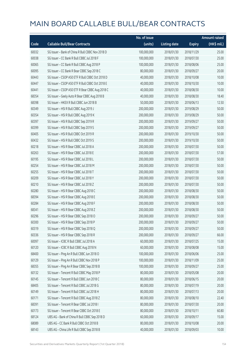|       |                                                  | No. of issue |                     |               | <b>Amount raised</b> |
|-------|--------------------------------------------------|--------------|---------------------|---------------|----------------------|
| Code  | <b>Callable Bull/Bear Contracts</b>              | (units)      | <b>Listing date</b> | <b>Expiry</b> | (HK\$ mil.)          |
| 60032 | SG Issuer - Bank of China R Bull CBBC Nov 2018 D | 100,000,000  | 2018/01/30          | 2018/11/29    | 25.00                |
| 60038 | SG Issuer - CC Bank R Bull CBBC Jul 2018 F       | 100,000,000  | 2018/01/30          | 2018/07/30    | 25.00                |
| 60065 | SG Issuer - CC Bank R Bull CBBC Aug 2018 P       | 100,000,000  | 2018/01/30          | 2018/08/06    | 25.00                |
| 60095 | SG Issuer - CC Bank R Bear CBBC Sep 2018 C       | 80,000,000   | 2018/01/30          | 2018/09/27    | 20.00                |
| 60443 | SG Issuer - CSOP A50 ETF R Bull CBBC Oct 2018 D  | 40,000,000   | 2018/01/30          | 2018/10/08    | 10.00                |
| 60447 | SG Issuer - CSOP A50 ETF R Bull CBBC Oct 2018 E  | 40,000,000   | 2018/01/30          | 2018/10/30    | 10.00                |
| 60441 | SG Issuer - CSOP A50 ETF R Bear CBBC Aug 2018 C  | 40,000,000   | 2018/01/30          | 2018/08/30    | 10.00                |
| 68354 | SG Issuer - Geely Auto R Bear CBBC Aug 2018 B    | 40,000,000   | 2018/01/30          | 2018/08/30    | 18.40                |
| 68398 | SG Issuer - HKEX R Bull CBBC Jun 2018 B          | 50,000,000   | 2018/01/30          | 2018/06/13    | 12.50                |
| 60349 | SG Issuer - HSI R Bull CBBC Aug 2019 J           | 200,000,000  | 2018/01/30          | 2019/08/29    | 50.00                |
| 60354 | SG Issuer - HSI R Bull CBBC Aug 2019 K           | 200,000,000  | 2018/01/30          | 2019/08/29    | 50.00                |
| 60397 | SG Issuer - HSI R Bull CBBC Sep 2019 R           | 200,000,000  | 2018/01/30          | 2019/09/27    | 50.00                |
| 60399 | SG Issuer - HSI R Bull CBBC Sep 2019 S           | 200,000,000  | 2018/01/30          | 2019/09/27    | 50.00                |
| 60405 | SG Issuer - HSI R Bull CBBC Oct 2019 R           | 200,000,000  | 2018/01/30          | 2019/10/30    | 50.00                |
| 60432 | SG Issuer - HSI R Bull CBBC Oct 2019 S           | 200,000,000  | 2018/01/30          | 2019/10/30    | 50.00                |
| 60218 | SG Issuer - HSI R Bear CBBC Jul 2018 A           | 200,000,000  | 2018/01/30          | 2018/07/30    | 50.00                |
| 60263 | SG Issuer - HSI R Bear CBBC Jul 2018 E           | 200,000,000  | 2018/01/30          | 2018/07/30    | 57.00                |
| 60195 | SG Issuer - HSI R Bear CBBC Jul 2018 L           | 200,000,000  | 2018/01/30          | 2018/07/30    | 50.00                |
| 60254 | SG Issuer - HSI R Bear CBBC Jul 2018 M           | 200,000,000  | 2018/01/30          | 2018/07/30    | 50.00                |
| 60255 | SG Issuer - HSI R Bear CBBC Jul 2018 T           | 200,000,000  | 2018/01/30          | 2018/07/30    | 50.00                |
| 60209 | SG Issuer - HSI R Bear CBBC Jul 2018 Y           | 200,000,000  | 2018/01/30          | 2018/07/30    | 50.00                |
| 60210 | SG Issuer - HSI R Bear CBBC Jul 2018 Z           | 200,000,000  | 2018/01/30          | 2018/07/30    | 50.00                |
| 60280 | SG Issuer - HSI R Bear CBBC Aug 2018 C           | 200,000,000  | 2018/01/30          | 2018/08/30    | 50.00                |
| 68394 | SG Issuer - HSI R Bear CBBC Aug 2018 E           | 200,000,000  | 2018/01/30          | 2018/08/30    | 50.00                |
| 60284 | SG Issuer - HSI R Bear CBBC Aug 2018 F           | 200,000,000  | 2018/01/30          | 2018/08/30    | 50.00                |
| 68341 | SG Issuer - HSI R Bear CBBC Aug 2018 Z           | 200,000,000  | 2018/01/30          | 2018/08/30    | 50.00                |
| 60296 | SG Issuer - HSI R Bear CBBC Sep 2018 O           | 200,000,000  | 2018/01/30          | 2018/09/27    | 50.00                |
| 60300 | SG Issuer - HSI R Bear CBBC Sep 2018 P           | 200,000,000  | 2018/01/30          | 2018/09/27    | 50.00                |
| 60319 | SG Issuer - HSI R Bear CBBC Sep 2018 Q           | 200,000,000  | 2018/01/30          | 2018/09/27    | 50.00                |
| 60336 | SG Issuer - HSI R Bear CBBC Sep 2018 R           | 200,000,000  | 2018/01/30          | 2018/09/27    | 66.00                |
| 60097 | SG Issuer - ICBC R Bull CBBC Jul 2018 A          | 60,000,000   | 2018/01/30          | 2018/07/25    | 15.00                |
| 60120 | SG Issuer - ICBC R Bull CBBC Aug 2018 N          | 60,000,000   | 2018/01/30          | 2018/08/08    | 15.00                |
| 68400 | SG Issuer - Ping An R Bull CBBC Jun 2018 O       | 100,000,000  | 2018/01/30          | 2018/06/06    | 25.00                |
| 60129 | SG Issuer - Ping An R Bull CBBC Nov 2018 P       | 100,000,000  | 2018/01/30          | 2018/11/09    | 25.00                |
| 68355 | SG Issuer - Ping An R Bear CBBC Sep 2018 B       | 100,000,000  | 2018/01/30          | 2018/09/27    | 25.00                |
| 60132 | SG Issuer - Tencent R Bull CBBC May 2018 P       | 80,000,000   | 2018/01/30          | 2018/05/08    | 20.00                |
| 60145 | SG Issuer - Tencent R Bull CBBC Jun 2018 C       | 80,000,000   | 2018/01/30          | 2018/06/15    | 20.00                |
| 68405 | SG Issuer - Tencent R Bull CBBC Jul 2018 G       | 80,000,000   | 2018/01/30          | 2018/07/19    | 20.00                |
| 60149 | SG Issuer - Tencent R Bull CBBC Jul 2018 H       | 80,000,000   | 2018/01/30          | 2018/07/13    | 20.00                |
| 60171 | SG Issuer - Tencent R Bull CBBC Aug 2018 Z       | 80,000,000   | 2018/01/30          | 2018/08/10    | 22.40                |
| 68391 | SG Issuer - Tencent R Bear CBBC Jul 2018 I       | 80,000,000   | 2018/01/30          | 2018/07/30    | 20.00                |
| 60173 | SG Issuer - Tencent R Bear CBBC Oct 2018 E       | 80,000,000   | 2018/01/30          | 2018/10/11    | 60.80                |
| 68124 | UBS AG - Bank of China R Bull CBBC Sep 2018 D    | 60,000,000   | 2018/01/30          | 2018/09/17    | 15.00                |
| 68089 | UBS AG - CC Bank R Bull CBBC Oct 2018 B          | 80,000,000   | 2018/01/30          | 2018/10/08    | 20.00                |
| 68143 | UBS AG - China Life R Bull CBBC Sep 2018 B       | 40,000,000   | 2018/01/30          | 2018/09/03    | 10.00                |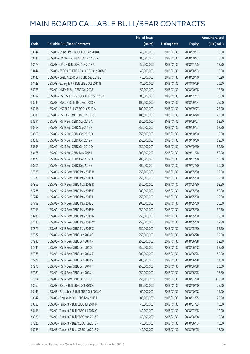|       |                                              | No. of issue |                     |               | <b>Amount raised</b> |
|-------|----------------------------------------------|--------------|---------------------|---------------|----------------------|
| Code  | <b>Callable Bull/Bear Contracts</b>          | (units)      | <b>Listing date</b> | <b>Expiry</b> | (HK\$ mil.)          |
| 68144 | UBS AG - China Life R Bull CBBC Sep 2018 C   | 40,000,000   | 2018/01/30          | 2018/09/17    | 10.00                |
| 68141 | UBS AG - CM Bank R Bull CBBC Oct 2018 A      | 80,000,000   | 2018/01/30          | 2018/10/22    | 20.00                |
| 68173 | UBS AG - CPIC R Bull CBBC Nov 2018 A         | 50,000,000   | 2018/01/30          | 2018/11/05    | 12.50                |
| 68444 | UBS AG - CSOP A50 ETF R Bull CBBC Aug 2018 B | 40,000,000   | 2018/01/30          | 2018/08/13    | 10.00                |
| 68445 | UBS AG - Geely Auto R Bull CBBC Sep 2018 B   | 40,000,000   | 2018/01/30          | 2018/09/10    | 10.20                |
| 68423 | UBS AG - Galaxy Ent R Bull CBBC Oct 2018 B   | 80,000,000   | 2018/01/30          | 2018/10/29    | 20.00                |
| 68076 | UBS AG - HKEX R Bull CBBC Oct 2018 I         | 50,000,000   | 2018/01/30          | 2018/10/08    | 12.50                |
| 68182 | UBS AG - HS H-SH ETF R Bull CBBC Nov 2018 A  | 80,000,000   | 2018/01/30          | 2018/11/12    | 20.00                |
| 68030 | UBS AG - HSBC R Bull CBBC Sep 2018 F         | 100,000,000  | 2018/01/30          | 2018/09/24    | 25.00                |
| 68018 | UBS AG - HSCEI R Bull CBBC Sep 2019 A        | 100,000,000  | 2018/01/30          | 2019/09/27    | 25.00                |
| 68019 | UBS AG - HSCEI R Bear CBBC Jun 2018 B        | 100,000,000  | 2018/01/30          | 2018/06/28    | 25.00                |
| 68594 | UBS AG - HSI R Bull CBBC Sep 2019 A          | 250,000,000  | 2018/01/30          | 2019/09/27    | 62.50                |
| 68568 | UBS AG - HSI R Bull CBBC Sep 2019 Z          | 250,000,000  | 2018/01/30          | 2019/09/27    | 62.50                |
| 68500 | UBS AG - HSI R Bull CBBC Oct 2019 O          | 250,000,000  | 2018/01/30          | 2019/10/30    | 62.50                |
| 68518 | UBS AG - HSI R Bull CBBC Oct 2019 P          | 250,000,000  | 2018/01/30          | 2019/10/30    | 62.50                |
| 68558 | UBS AG - HSI R Bull CBBC Oct 2019 Q          | 250,000,000  | 2018/01/30          | 2019/10/30    | 62.50                |
| 68475 | UBS AG - HSI R Bull CBBC Nov 2019 I          | 200,000,000  | 2018/01/30          | 2019/11/28    | 50.00                |
| 68473 | UBS AG - HSI R Bull CBBC Dec 2019 D          | 200,000,000  | 2018/01/30          | 2019/12/30    | 50.00                |
| 68501 | UBS AG - HSI R Bull CBBC Dec 2019 E          | 200,000,000  | 2018/01/30          | 2019/12/30    | 50.00                |
| 67823 | UBS AG - HSI R Bear CBBC May 2018 B          | 250,000,000  | 2018/01/30          | 2018/05/30    | 62.50                |
| 67935 | UBS AG - HSI R Bear CBBC May 2018 C          | 250,000,000  | 2018/01/30          | 2018/05/30    | 62.50                |
| 67865 | UBS AG - HSI R Bear CBBC May 2018 D          | 250,000,000  | 2018/01/30          | 2018/05/30    | 62.50                |
| 67786 | UBS AG - HSI R Bear CBBC May 2018 F          | 200,000,000  | 2018/01/30          | 2018/05/30    | 50.00                |
| 67747 | UBS AG - HSI R Bear CBBC May 2018 I          | 250,000,000  | 2018/01/30          | 2018/05/30    | 62.50                |
| 67799 | UBS AG - HSI R Bear CBBC May 2018 J          | 200,000,000  | 2018/01/30          | 2018/05/30    | 50.00                |
| 67918 | UBS AG - HSI R Bear CBBC May 2018 M          | 250,000,000  | 2018/01/30          | 2018/05/30    | 62.50                |
| 68233 | UBS AG - HSI R Bear CBBC May 2018 N          | 250,000,000  | 2018/01/30          | 2018/05/30    | 62.50                |
| 67835 | UBS AG - HSI R Bear CBBC May 2018 W          | 250,000,000  | 2018/01/30          | 2018/05/30    | 62.50                |
| 67871 | UBS AG - HSI R Bear CBBC May 2018 X          | 250,000,000  | 2018/01/30          | 2018/05/30    | 62.50                |
| 67872 | UBS AG - HSI R Bear CBBC Jun 2018 O          | 250,000,000  | 2018/01/30          | 2018/06/28    | 62.50                |
| 67938 | UBS AG - HSI R Bear CBBC Jun 2018 P          | 250,000,000  | 2018/01/30          | 2018/06/28    | 62.50                |
| 67944 | UBS AG - HSI R Bear CBBC Jun 2018 Q          | 250,000,000  | 2018/01/30          | 2018/06/28    | 62.50                |
| 67968 | UBS AG - HSI R Bear CBBC Jun 2018 R          | 200,000,000  | 2018/01/30          | 2018/06/28    | 50.00                |
| 67971 | UBS AG - HSI R Bear CBBC Jun 2018 S          | 200,000,000  | 2018/01/30          | 2018/06/28    | 54.00                |
| 67976 | UBS AG - HSI R Bear CBBC Jun 2018 T          | 250,000,000  | 2018/01/30          | 2018/06/28    | 80.00                |
| 67989 | UBS AG - HSI R Bear CBBC Jun 2018 U          | 250,000,000  | 2018/01/30          | 2018/06/28    | 97.50                |
| 67994 | UBS AG - HSI R Bear CBBC Jul 2018 B          | 250,000,000  | 2018/01/30          | 2018/07/30    | 110.00               |
| 68460 | UBS AG - ICBC R Bull CBBC Oct 2018 C         | 100,000,000  | 2018/01/30          | 2018/10/10    | 25.00                |
| 68449 | UBS AG - Petrochina R Bull CBBC Oct 2018 C   | 60,000,000   | 2018/01/30          | 2018/10/08    | 15.00                |
| 68142 | UBS AG - Ping An R Bull CBBC Nov 2018 H      | 80,000,000   | 2018/01/30          | 2018/11/05    | 20.00                |
| 68080 | UBS AG - Tencent R Bull CBBC Jul 2018 P      | 40,000,000   | 2018/01/30          | 2018/07/23    | 10.00                |
| 68413 | UBS AG - Tencent R Bull CBBC Jul 2018 Q      | 40,000,000   | 2018/01/30          | 2018/07/18    | 10.00                |
| 68079 | UBS AG - Tencent R Bull CBBC Aug 2018 C      | 40,000,000   | 2018/01/30          | 2018/08/06    | 10.00                |
| 67826 | UBS AG - Tencent R Bear CBBC Jun 2018 F      | 40,000,000   | 2018/01/30          | 2018/06/13    | 10.00                |
| 68083 | UBS AG - Tencent R Bear CBBC Jun 2018 G      | 40,000,000   | 2018/01/30          | 2018/06/25    | 18.60                |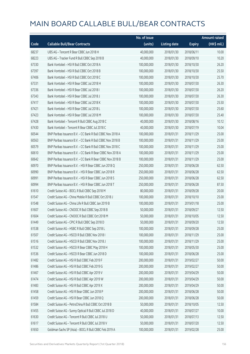|       |                                                            | No. of issue |                     |               | <b>Amount raised</b> |
|-------|------------------------------------------------------------|--------------|---------------------|---------------|----------------------|
| Code  | <b>Callable Bull/Bear Contracts</b>                        | (units)      | <b>Listing date</b> | <b>Expiry</b> | (HK\$ mil.)          |
| 68237 | UBS AG - Tencent R Bear CBBC Jun 2018 H                    | 40,000,000   | 2018/01/30          | 2018/06/11    | 10.00                |
| 68223 | UBS AG - Tracker Fund R Bull CBBC Sep 2018 B               | 40,000,000   | 2018/01/30          | 2018/09/10    | 10.20                |
| 67330 | Bank Vontobel - HSI R Bull CBBC Oct 2018 A                 | 100,000,000  | 2018/01/30          | 2018/10/30    | 26.20                |
| 67397 | Bank Vontobel - HSI R Bull CBBC Oct 2018 B                 | 100,000,000  | 2018/01/30          | 2018/10/30    | 25.50                |
| 67406 | Bank Vontobel - HSI R Bull CBBC Oct 2018 C                 | 100,000,000  | 2018/01/30          | 2018/10/30    | 25.70                |
| 67331 | Bank Vontobel - HSI R Bear CBBC Jul 2018 H                 | 100,000,000  | 2018/01/30          | 2018/07/30    | 26.30                |
| 67336 | Bank Vontobel - HSI R Bear CBBC Jul 2018 I                 | 100,000,000  | 2018/01/30          | 2018/07/30    | 26.20                |
| 67343 | Bank Vontobel - HSI R Bear CBBC Jul 2018 J                 | 100,000,000  | 2018/01/30          | 2018/07/30    | 26.30                |
| 67417 | Bank Vontobel - HSI R Bear CBBC Jul 2018 K                 | 100,000,000  | 2018/01/30          | 2018/07/30    | 25.50                |
| 67421 | Bank Vontobel - HSI R Bear CBBC Jul 2018 L                 | 100,000,000  | 2018/01/30          | 2018/07/30    | 25.60                |
| 67423 | Bank Vontobel - HSI R Bear CBBC Jul 2018 M                 | 100,000,000  | 2018/01/30          | 2018/07/30    | 25.40                |
| 67428 | Bank Vontobel - Tencent R Bull CBBC Aug 2018 C             | 40,000,000   | 2018/01/30          | 2018/08/16    | 10.12                |
| 67430 | Bank Vontobel - Tencent R Bear CBBC Jul 2018 C             | 40,000,000   | 2018/01/30          | 2018/07/19    | 10.04                |
| 60544 | BNP Paribas Issuance B.V. - CC Bank R Bull CBBC Nov 2018 A | 100,000,000  | 2018/01/31          | 2018/11/29    | 25.00                |
| 60563 | BNP Paribas Issuance B.V. - CC Bank R Bull CBBC Nov 2018 B | 100,000,000  | 2018/01/31          | 2018/11/29    | 25.00                |
| 60579 | BNP Paribas Issuance B.V. - CC Bank R Bull CBBC Nov 2018 C | 100,000,000  | 2018/01/31          | 2018/11/29    | 25.00                |
| 60610 | BNP Paribas Issuance B.V. - CC Bank R Bear CBBC Nov 2018 A | 100,000,000  | 2018/01/31          | 2018/11/29    | 25.00                |
| 60642 | BNP Paribas Issuance B.V. - CC Bank R Bear CBBC Nov 2018 B | 100,000,000  | 2018/01/31          | 2018/11/29    | 25.00                |
| 60970 | BNP Paribas Issuance B.V. - HSI R Bear CBBC Jun 2018 Q     | 250,000,000  | 2018/01/31          | 2018/06/28    | 62.50                |
| 60990 | BNP Paribas Issuance B.V. - HSI R Bear CBBC Jun 2018 R     | 250,000,000  | 2018/01/31          | 2018/06/28    | 62.50                |
| 60991 | BNP Paribas Issuance B.V. - HSI R Bear CBBC Jun 2018 S     | 250,000,000  | 2018/01/31          | 2018/06/28    | 62.50                |
| 60994 | BNP Paribas Issuance B.V. - HSI R Bear CBBC Jun 2018 T     | 250,000,000  | 2018/01/31          | 2018/06/28    | 87.50                |
| 61610 | Credit Suisse AG - BOCL R Bull CBBC Sep 2018 M             | 80,000,000   | 2018/01/31          | 2018/09/28    | 20.00                |
| 61547 | Credit Suisse AG - China Mobile R Bull CBBC Oct 2018 J     | 100,000,000  | 2018/01/31          | 2018/10/10    | 25.00                |
| 61548 | Credit Suisse AG - China Life R Bull CBBC Jan 2019 B       | 100,000,000  | 2018/01/31          | 2019/01/18    | 25.00                |
| 61607 | Credit Suisse AG - CNOOC R Bull CBBC Sep 2018 B            | 50,000,000   | 2018/01/31          | 2018/09/27    | 12.50                |
| 61604 | Credit Suisse AG - CNOOC R Bull CBBC Oct 2018 M            | 50,000,000   | 2018/01/31          | 2018/10/05    | 12.50                |
| 61449 | Credit Suisse AG - CPIC R Bull CBBC Sep 2018 D             | 50,000,000   | 2018/01/31          | 2018/09/20    | 12.50                |
| 61538 | Credit Suisse AG - HSBC R Bull CBBC Sep 2018 L             | 100,000,000  | 2018/01/31          | 2018/09/28    | 25.00                |
| 61507 | Credit Suisse AG - HSCEI R Bull CBBC Nov 2018 I            | 100,000,000  | 2018/01/31          | 2018/11/29    | 25.00                |
| 61516 | Credit Suisse AG - HSCEI R Bull CBBC Nov 2018 J            | 100,000,000  | 2018/01/31          | 2018/11/29    | 25.00                |
| 61532 | Credit Suisse AG - HSCEI R Bear CBBC May 2018 H            | 100,000,000  | 2018/01/31          | 2018/05/30    | 25.00                |
| 61536 | Credit Suisse AG - HSCEI R Bear CBBC Jun 2018 D            | 100,000,000  | 2018/01/31          | 2018/06/28    | 25.00                |
| 61482 | Credit Suisse AG - HSI R Bull CBBC Feb 2019 F              | 200,000,000  | 2018/01/31          | 2019/02/27    | 50.00                |
| 61486 | Credit Suisse AG - HSI R Bull CBBC Feb 2019 G              | 200,000,000  | 2018/01/31          | 2019/02/27    | 50.00                |
| 61467 | Credit Suisse AG - HSI R Bull CBBC Apr 2019 V              | 200,000,000  | 2018/01/31          | 2019/04/29    | 50.00                |
| 61474 | Credit Suisse AG - HSI R Bull CBBC Apr 2019 W              | 200,000,000  | 2018/01/31          | 2019/04/29    | 50.00                |
| 61483 | Credit Suisse AG - HSI R Bull CBBC Apr 2019 X              | 200,000,000  | 2018/01/31          | 2019/04/29    | 50.00                |
| 61458 | Credit Suisse AG - HSI R Bear CBBC Jun 2018 P              | 200,000,000  | 2018/01/31          | 2018/06/28    | 50.00                |
| 61459 | Credit Suisse AG - HSI R Bear CBBC Jun 2018 Q              | 200,000,000  | 2018/01/31          | 2018/06/28    | 50.00                |
| 61584 | Credit Suisse AG - PetroChina R Bull CBBC Oct 2018 B       | 50,000,000   | 2018/01/31          | 2018/10/05    | 12.50                |
| 61455 | Credit Suisse AG - Sunny Optical R Bull CBBC Jul 2018 D    | 40,000,000   | 2018/01/31          | 2018/07/27    | 10.00                |
| 61630 | Credit Suisse AG - Tencent R Bull CBBC Jul 2018 U          | 50,000,000   | 2018/01/31          | 2018/07/13    | 12.50                |
| 61617 | Credit Suisse AG - Tencent R Bull CBBC Jul 2018 V          | 50,000,000   | 2018/01/31          | 2018/07/20    | 12.50                |
| 61650 | Goldman Sachs SP (Asia) - BOCL R Bull CBBC Feb 2019 A      | 100,000,000  | 2018/01/31          | 2019/02/28    | 25.00                |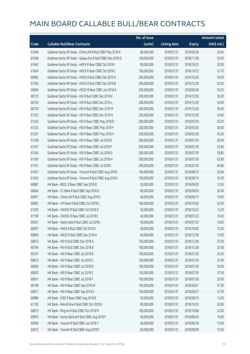|       |                                                             | No. of issue |                     |               | <b>Amount raised</b> |
|-------|-------------------------------------------------------------|--------------|---------------------|---------------|----------------------|
| Code  | <b>Callable Bull/Bear Contracts</b>                         | (units)      | <b>Listing date</b> | <b>Expiry</b> | (HK\$ mil.)          |
| 61646 | Goldman Sachs SP (Asia) - China Life R Bull CBBC May 2018 R | 80,000,000   | 2018/01/31          | 2018/05/30    | 20.00                |
| 61648 | Goldman Sachs SP (Asia) - Galaxy Ent R Bull CBBC Nov 2018 G | 100,000,000  | 2018/01/31          | 2018/11/28    | 25.00                |
| 61643 | Goldman Sachs SP (Asia) - HKEX R Bear CBBC Oct 2018 I       | 80,000,000   | 2018/01/31          | 2018/10/23    | 20.00                |
| 61654 | Goldman Sachs SP (Asia) - HKEX R Bear CBBC Oct 2018 J       | 100,000,000  | 2018/01/31          | 2018/10/23    | 31.70                |
| 60683 | Goldman Sachs SP (Asia) - HSCEI R Bull CBBC Dec 2019 A      | 200,000,000  | 2018/01/31          | 2019/12/30    | 50.00                |
| 61356 | Goldman Sachs SP (Asia) - HSCEI R Bull CBBC Dec 2019 B      | 200,000,000  | 2018/01/31          | 2019/12/30    | 50.20                |
| 60694 | Goldman Sachs SP (Asia) - HSCEI R Bear CBBC Jun 2018 A      | 200,000,000  | 2018/01/31          | 2018/06/28    | 50.20                |
| 60722 | Goldman Sachs SP (Asia) - HSI R Bull CBBC Dec 2019 K        | 200,000,000  | 2018/01/31          | 2019/12/30    | 50.20                |
| 60726 | Goldman Sachs SP (Asia) - HSI R Bull CBBC Dec 2019 L        | 200,000,000  | 2018/01/31          | 2019/12/30    | 50.00                |
| 60730 | Goldman Sachs SP (Asia) - HSI R Bull CBBC Dec 2019 M        | 200,000,000  | 2018/01/31          | 2019/12/30    | 50.40                |
| 61352 | Goldman Sachs SP (Asia) - HSI R Bull CBBC Dec 2019 N        | 200,000,000  | 2018/01/31          | 2019/12/30    | 50.60                |
| 61242 | Goldman Sachs SP (Asia) - HSI R Bear CBBC May 2018 D        | 200,000,000  | 2018/01/31          | 2018/05/30    | 50.20                |
| 61323 | Goldman Sachs SP (Asia) - HSI R Bear CBBC May 2018 F        | 200,000,000  | 2018/01/31          | 2018/05/30    | 50.00                |
| 61237 | Goldman Sachs SP (Asia) - HSI R Bear CBBC May 2018 V        | 200,000,000  | 2018/01/31          | 2018/05/30    | 50.20                |
| 61328 | Goldman Sachs SP (Asia) - HSI R Bear CBBC Jul 2018 E        | 200,000,000  | 2018/01/31          | 2018/07/30    | 50.40                |
| 61337 | Goldman Sachs SP (Asia) - HSI R Bear CBBC Jul 2018 F        | 200,000,000  | 2018/01/31          | 2018/07/30    | 53.80                |
| 61344 | Goldman Sachs SP (Asia) - HSI R Bear CBBC Jul 2018 G        | 200,000,000  | 2018/01/31          | 2018/07/30    | 58.80                |
| 61345 | Goldman Sachs SP (Asia) - HSI R Bear CBBC Jul 2018 H        | 200,000,000  | 2018/01/31          | 2018/07/30    | 62.80                |
| 61351 | Goldman Sachs SP (Asia) - HSI R Bear CBBC Jul 2018 I        | 200,000,000  | 2018/01/31          | 2018/07/30    | 64.80                |
| 61637 | Goldman Sachs SP (Asia) - Tencent R Bull CBBC Aug 2018 I    | 100,000,000  | 2018/01/31          | 2018/08/13    | 25.00                |
| 61642 | Goldman Sachs SP (Asia) - Tencent R Bull CBBC Aug 2018 J    | 100,000,000  | 2018/01/31          | 2018/08/14    | 25.00                |
| 60887 | HK Bank - BOCL R Bear CBBC Sep 2018 B                       | 50,000,000   | 2018/01/31          | 2018/09/03    | 12.50                |
| 60664 | HK Bank - CC Bank R Bull CBBC Sep 2018 G                    | 80,000,000   | 2018/01/31          | 2018/09/03    | 20.00                |
| 60951 | HK Bank - China Life R Bull CBBC Aug 2018 J                 | 40,000,000   | 2018/01/31          | 2018/08/13    | 10.00                |
| 60892 | HK Bank - CM Bank R Bull CBBC Oct 2018 C                    | 100,000,000  | 2018/01/31          | 2018/10/02    | 25.00                |
| 61202 | HK Bank - CNOOC R Bull CBBC Oct 2018 D                      | 50,000,000   | 2018/01/31          | 2018/10/22    | 12.50                |
| 61199 | HK Bank - CNOOC R Bear CBBC Jul 2018 E                      | 40,000,000   | 2018/01/31          | 2018/07/23    | 10.00                |
| 60937 | HK Bank - Geely Auto R Bull CBBC Jul 2018 I                 | 40,000,000   | 2018/01/31          | 2018/07/23    | 10.00                |
| 60907 | HK Bank - HKEX R Bull CBBC Oct 2018 Y                       | 50,000,000   | 2018/01/31          | 2018/10/02    | 12.50                |
| 60800 | HK Bank - HSCEI R Bull CBBC Dec 2018 A                      | 60,000,000   | 2018/01/31          | 2018/12/28    | 15.00                |
| 60673 | HK Bank - HSI R Bull CBBC Dec 2018 A                        | 150,000,000  | 2018/01/31          | 2018/12/28    | 37.50                |
| 60784 | HK Bank - HSI R Bull CBBC Dec 2018 B                        | 100,000,000  | 2018/01/31          | 2018/12/28    | 25.00                |
| 60797 | HK Bank - HSI R Bear CBBC Jul 2018 B                        | 100,000,000  | 2018/01/31          | 2018/07/30    | 25.00                |
| 60813 | HK Bank - HSI R Bear CBBC Jul 2018 C                        | 150,000,000  | 2018/01/31          | 2018/07/30    | 37.50                |
| 60826 | HK Bank - HSI R Bear CBBC Jul 2018 D                        | 100,000,000  | 2018/01/31          | 2018/07/30    | 25.00                |
| 60830 | HK Bank - HSI R Bear CBBC Jul 2018 E                        | 150,000,000  | 2018/01/31          | 2018/07/30    | 37.50                |
| 60831 | HK Bank - HSI R Bear CBBC Jul 2018 F                        | 100,000,000  | 2018/01/31          | 2018/07/30    | 25.00                |
| 60748 | HK Bank - HSI R Bear CBBC Sep 2018 W                        | 150,000,000  | 2018/01/31          | 2018/09/27    | 37.50                |
| 60817 | HK Bank - HSI R Bear CBBC Sep 2018 X                        | 150,000,000  | 2018/01/31          | 2018/09/27    | 37.50                |
| 60886 | HK Bank - ICBC R Bear CBBC Aug 2018 B                       | 50,000,000   | 2018/01/31          | 2018/08/13    | 12.50                |
| 61193 | HK Bank - PetroChina R Bull CBBC Oct 2018 E                 | 80,000,000   | 2018/01/31          | 2018/10/22    | 20.00                |
| 60873 | HK Bank - Ping An R Bull CBBC Oct 2018 M                    | 100,000,000  | 2018/01/31          | 2018/10/08    | 25.00                |
| 60955 | HK Bank - Sunny Optical R Bull CBBC Aug 2018 F              | 40,000,000   | 2018/01/31          | 2018/08/20    | 10.00                |
| 60909 | HK Bank - Tencent R Bull CBBC Jun 2018 Y                    | 60,000,000   | 2018/01/31          | 2018/06/19    | 15.00                |
| 60912 | HK Bank - Tencent R Bull CBBC Aug 2018 P                    | 60,000,000   | 2018/01/31          | 2018/08/09    | 15.00                |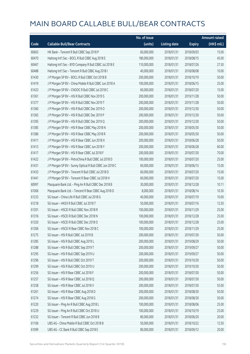|       |                                                         | No. of issue |                     |               | <b>Amount raised</b> |
|-------|---------------------------------------------------------|--------------|---------------------|---------------|----------------------|
| Code  | <b>Callable Bull/Bear Contracts</b>                     | (units)      | <b>Listing date</b> | <b>Expiry</b> | (HK\$ mil.)          |
| 60663 | HK Bank - Tencent R Bull CBBC Sep 2018 P                | 60,000,000   | 2018/01/31          | 2018/09/03    | 15.00                |
| 60470 | Haitong Int'l Sec - BOCL R Bull CBBC Aug 2018 E         | 180,000,000  | 2018/01/31          | 2018/08/15    | 45.00                |
| 60467 | Haitong Int'l Sec - BYD Company R Bull CBBC Jul 2018 E  | 110,000,000  | 2018/01/31          | 2018/07/26    | 27.50                |
| 60488 | Haitong Int'l Sec - Tencent R Bull CBBC Aug 2018 I      | 40,000,000   | 2018/01/31          | 2018/08/08    | 10.00                |
| 61430 | J P Morgan SP BV - BOCL R Bull CBBC Oct 2018 B          | 200,000,000  | 2018/01/31          | 2018/10/19    | 50.00                |
| 61419 | J P Morgan SP BV - China Mobile R Bull CBBC Jun 2018 A  | 100,000,000  | 2018/01/31          | 2018/06/15    | 25.00                |
| 61423 | J P Morgan SP BV - CNOOC R Bull CBBC Jul 2018 C         | 60,000,000   | 2018/01/31          | 2018/07/20    | 15.00                |
| 61361 | J P Morgan SP BV - HSI R Bull CBBC Nov 2019 S           | 200,000,000  | 2018/01/31          | 2019/11/28    | 50.00                |
| 61377 | J P Morgan SP BV - HSI R Bull CBBC Nov 2019 T           | 200,000,000  | 2018/01/31          | 2019/11/28    | 50.00                |
| 61360 | J P Morgan SP BV - HSI R Bull CBBC Dec 2019 O           | 200,000,000  | 2018/01/31          | 2019/12/30    | 50.00                |
| 61365 | J P Morgan SP BV - HSI R Bull CBBC Dec 2019 P           | 200,000,000  | 2018/01/31          | 2019/12/30    | 50.00                |
| 61395 | J P Morgan SP BV - HSI R Bull CBBC Dec 2019 Q           | 200,000,000  | 2018/01/31          | 2019/12/30    | 50.00                |
| 61385 | J P Morgan SP BV - HSI R Bear CBBC May 2018 N           | 200,000,000  | 2018/01/31          | 2018/05/30    | 50.00                |
| 61386 | J P Morgan SP BV - HSI R Bear CBBC May 2018 R           | 200,000,000  | 2018/01/31          | 2018/05/30    | 50.00                |
| 61411 | J P Morgan SP BV - HSI R Bear CBBC Jun 2018 X           | 200,000,000  | 2018/01/31          | 2018/06/28    | 50.00                |
| 61413 | J P Morgan SP BV - HSI R Bear CBBC Jun 2018 Y           | 200,000,000  | 2018/01/31          | 2018/06/28    | 60.00                |
| 61417 | J P Morgan SP BV - HSI R Bear CBBC Jul 2018 F           | 200,000,000  | 2018/01/31          | 2018/07/30    | 70.00                |
| 61422 | J P Morgan SP BV - PetroChina R Bull CBBC Jul 2018 D    | 100,000,000  | 2018/01/31          | 2018/07/20    | 25.00                |
| 61431 | J P Morgan SP BV - Sunny Optical R Bull CBBC Jun 2018 C | 60,000,000   | 2018/01/31          | 2018/06/15    | 15.00                |
| 61433 | J P Morgan SP BV - Tencent R Bull CBBC Jul 2018 D       | 60,000,000   | 2018/01/31          | 2018/07/20    | 15.00                |
| 61441 | J P Morgan SP BV - Tencent R Bear CBBC Jul 2018 H       | 60,000,000   | 2018/01/31          | 2018/07/20    | 15.00                |
| 60997 | Macquarie Bank Ltd. - Ping An R Bull CBBC Dec 2018 B    | 30,000,000   | 2018/01/31          | 2018/12/28    | 10.11                |
| 61006 | Macquarie Bank Ltd. - Tencent R Bear CBBC Aug 2018 D    | 8,000,000    | 2018/01/31          | 2018/08/14    | 10.30                |
| 61233 | SG Issuer - China Life R Bull CBBC Jul 2018 G           | 40,000,000   | 2018/01/31          | 2018/07/19    | 10.00                |
| 61218 | SG Issuer - HKEX R Bull CBBC Jul 2018 T                 | 50,000,000   | 2018/01/31          | 2018/07/16    | 12.50                |
| 61301 | SG Issuer - HSCEI R Bull CBBC Nov 2018 R                | 100,000,000  | 2018/01/31          | 2018/11/29    | 25.00                |
| 61316 | SG Issuer - HSCEI R Bull CBBC Dec 2018 N                | 100,000,000  | 2018/01/31          | 2018/12/28    | 25.00                |
| 61320 | SG Issuer - HSCEI R Bull CBBC Dec 2018 O                | 100,000,000  | 2018/01/31          | 2018/12/28    | 25.00                |
| 61306 | SG Issuer - HSCEI R Bear CBBC Nov 2018 C                | 100,000,000  | 2018/01/31          | 2018/11/29    | 25.00                |
| 61275 | SG Issuer - HSI R Bull CBBC Jul 2019 B                  | 200,000,000  | 2018/01/31          | 2019/07/30    | 50.00                |
| 61285 | SG Issuer - HSI R Bull CBBC Aug 2019 L                  | 200,000,000  | 2018/01/31          | 2019/08/29    | 50.00                |
| 61288 | SG Issuer - HSI R Bull CBBC Sep 2019 T                  | 200,000,000  | 2018/01/31          | 2019/09/27    | 50.00                |
| 61295 | SG Issuer - HSI R Bull CBBC Sep 2019 U                  | 200,000,000  | 2018/01/31          | 2019/09/27    | 50.00                |
| 61296 | SG Issuer - HSI R Bull CBBC Oct 2019 T                  | 200,000,000  | 2018/01/31          | 2019/10/30    | 50.00                |
| 61299 | SG Issuer - HSI R Bull CBBC Oct 2019 U                  | 200,000,000  | 2018/01/31          | 2019/10/30    | 50.00                |
| 61256 | SG Issuer - HSI R Bear CBBC Jul 2018 F                  | 200,000,000  | 2018/01/31          | 2018/07/30    | 50.00                |
| 61257 | SG Issuer - HSI R Bear CBBC Jul 2018 Q                  | 200,000,000  | 2018/01/31          | 2018/07/30    | 50.00                |
| 61258 | SG Issuer - HSI R Bear CBBC Jul 2018 V                  | 200,000,000  | 2018/01/31          | 2018/07/30    | 55.00                |
| 61261 | SG Issuer - HSI R Bear CBBC Aug 2018 D                  | 200,000,000  | 2018/01/31          | 2018/08/30    | 50.00                |
| 61274 | SG Issuer - HSI R Bear CBBC Aug 2018 G                  | 200,000,000  | 2018/01/31          | 2018/08/30    | 50.00                |
| 61220 | SG Issuer - Ping An R Bull CBBC Aug 2018 L              | 100,000,000  | 2018/01/31          | 2018/08/06    | 25.00                |
| 61229 | SG Issuer - Ping An R Bull CBBC Oct 2018 U              | 100,000,000  | 2018/01/31          | 2018/10/19    | 25.00                |
| 61232 | SG Issuer - Tencent R Bull CBBC Jun 2018 B              | 80,000,000   | 2018/01/31          | 2018/06/20    | 20.00                |
| 61106 | UBS AG - China Mobile R Bull CBBC Oct 2018 B            | 50,000,000   | 2018/01/31          | 2018/10/22    | 12.50                |
| 61099 | UBS AG - CC Bank R Bull CBBC Sep 2018 E                 | 80,000,000   | 2018/01/31          | 2018/09/12    | 20.00                |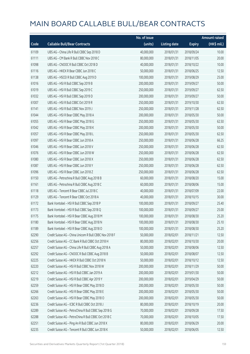|       |                                                        | No. of issue |                     |               | <b>Amount raised</b>  |
|-------|--------------------------------------------------------|--------------|---------------------|---------------|-----------------------|
| Code  | <b>Callable Bull/Bear Contracts</b>                    | (units)      | <b>Listing date</b> | <b>Expiry</b> | $(HK\frac{1}{2}mil.)$ |
| 61109 | UBS AG - China Life R Bull CBBC Sep 2018 D             | 40,000,000   | 2018/01/31          | 2018/09/24    | 10.00                 |
| 61111 | UBS AG - CM Bank R Bull CBBC Nov 2018 C                | 80,000,000   | 2018/01/31          | 2018/11/05    | 20.00                 |
| 61098 | UBS AG - CNOOC R Bull CBBC Oct 2018 D                  | 40,000,000   | 2018/01/31          | 2018/10/22    | 10.00                 |
| 61116 | UBS AG - HKEX R Bear CBBC Jun 2018 C                   | 50,000,000   | 2018/01/31          | 2018/06/25    | 12.50                 |
| 61138 | UBS AG - HSCEI R Bull CBBC Aug 2019 D                  | 100,000,000  | 2018/01/31          | 2019/08/29    | 25.00                 |
| 61016 | UBS AG - HSI R Bull CBBC Sep 2019 B                    | 200,000,000  | 2018/01/31          | 2019/09/27    | 50.00                 |
| 61019 | UBS AG - HSI R Bull CBBC Sep 2019 C                    | 250,000,000  | 2018/01/31          | 2019/09/27    | 62.50                 |
| 61032 | UBS AG - HSI R Bull CBBC Sep 2019 D                    | 200,000,000  | 2018/01/31          | 2019/09/27    | 50.00                 |
| 61007 | UBS AG - HSI R Bull CBBC Oct 2019 R                    | 250,000,000  | 2018/01/31          | 2019/10/30    | 62.50                 |
| 61141 | UBS AG - HSI R Bull CBBC Nov 2019 J                    | 250,000,000  | 2018/01/31          | 2019/11/28    | 62.50                 |
| 61044 | UBS AG - HSI R Bear CBBC May 2018 A                    | 200,000,000  | 2018/01/31          | 2018/05/30    | 50.00                 |
| 61055 | UBS AG - HSI R Bear CBBC May 2018 G                    | 250,000,000  | 2018/01/31          | 2018/05/30    | 62.50                 |
| 61042 | UBS AG - HSI R Bear CBBC May 2018 K                    | 200,000,000  | 2018/01/31          | 2018/05/30    | 50.00                 |
| 61057 | UBS AG - HSI R Bear CBBC May 2018 L                    | 250,000,000  | 2018/01/31          | 2018/05/30    | 62.50                 |
| 61097 | UBS AG - HSI R Bear CBBC Jun 2018 A                    | 250,000,000  | 2018/01/31          | 2018/06/28    | 66.25                 |
| 61046 | UBS AG - HSI R Bear CBBC Jun 2018 V                    | 250,000,000  | 2018/01/31          | 2018/06/28    | 62.50                 |
| 61076 | UBS AG - HSI R Bear CBBC Jun 2018 W                    | 250,000,000  | 2018/01/31          | 2018/06/28    | 62.50                 |
| 61080 | UBS AG - HSI R Bear CBBC Jun 2018 X                    | 250,000,000  | 2018/01/31          | 2018/06/28    | 62.50                 |
| 61087 | UBS AG - HSI R Bear CBBC Jun 2018 Y                    | 250,000,000  | 2018/01/31          | 2018/06/28    | 62.50                 |
| 61096 | UBS AG - HSI R Bear CBBC Jun 2018 Z                    | 250,000,000  | 2018/01/31          | 2018/06/28    | 62.50                 |
| 61150 | UBS AG - Petrochina R Bull CBBC Aug 2018 B             | 60,000,000   | 2018/01/31          | 2018/08/20    | 15.00                 |
| 61161 | UBS AG - Petrochina R Bull CBBC Aug 2018 C             | 60,000,000   | 2018/01/31          | 2018/08/06    | 15.00                 |
| 61118 | UBS AG - Tencent R Bear CBBC Jul 2018 C                | 40,000,000   | 2018/01/31          | 2018/07/09    | 22.00                 |
| 61129 | UBS AG - Tencent R Bear CBBC Oct 2018 A                | 40,000,000   | 2018/01/31          | 2018/10/15    | 30.00                 |
| 61172 | Bank Vontobel - HSI R Bull CBBC Sep 2018 P             | 100,000,000  | 2018/01/31          | 2018/09/27    | 25.40                 |
| 61173 | Bank Vontobel - HSI R Bull CBBC Sep 2018 Q             | 100,000,000  | 2018/01/31          | 2018/09/27    | 25.00                 |
| 61175 | Bank Vontobel - HSI R Bear CBBC Aug 2018 M             | 100,000,000  | 2018/01/31          | 2018/08/30    | 25.20                 |
| 61180 | Bank Vontobel - HSI R Bear CBBC Aug 2018 N             | 100,000,000  | 2018/01/31          | 2018/08/30    | 25.10                 |
| 61189 | Bank Vontobel - HSI R Bear CBBC Aug 2018 O             | 100,000,000  | 2018/01/31          | 2018/08/30    | 25.20                 |
| 62290 | Credit Suisse AG - China Unicom R Bull CBBC Nov 2018 F | 50,000,000   | 2018/02/01          | 2018/11/21    | 12.50                 |
| 62256 | Credit Suisse AG - CC Bank R Bull CBBC Oct 2018 H      | 80,000,000   | 2018/02/01          | 2018/10/30    | 20.00                 |
| 62257 | Credit Suisse AG - China Life R Bull CBBC Aug 2018 A   | 50,000,000   | 2018/02/01          | 2018/08/06    | 12.50                 |
| 62292 | Credit Suisse AG - CNOOC R Bull CBBC Aug 2018 B        | 50,000,000   | 2018/02/01          | 2018/08/07    | 12.50                 |
| 62225 | Credit Suisse AG - HKEX R Bull CBBC Oct 2018 N         | 50,000,000   | 2018/02/01          | 2018/10/12    | 12.50                 |
| 62220 | Credit Suisse AG - HSI R Bull CBBC Nov 2018 W          | 200,000,000  | 2018/02/01          | 2018/11/29    | 50.00                 |
| 62212 | Credit Suisse AG - HSI R Bull CBBC Jan 2019 A          | 200,000,000  | 2018/02/01          | 2019/01/30    | 50.00                 |
| 62219 | Credit Suisse AG - HSI R Bull CBBC Apr 2019 Y          | 200,000,000  | 2018/02/01          | 2019/04/29    | 50.00                 |
| 62259 | Credit Suisse AG - HSI R Bear CBBC May 2018 D          | 200,000,000  | 2018/02/01          | 2018/05/30    | 50.00                 |
| 62266 | Credit Suisse AG - HSI R Bear CBBC May 2018 E          | 200,000,000  | 2018/02/01          | 2018/05/30    | 50.00                 |
| 62263 | Credit Suisse AG - HSI R Bear CBBC May 2018 O          | 200,000,000  | 2018/02/01          | 2018/05/30    | 50.00                 |
| 62236 | Credit Suisse AG - ICBC R Bull CBBC Oct 2018 J         | 80,000,000   | 2018/02/01          | 2018/10/19    | 20.00                 |
| 62289 | Credit Suisse AG - PetroChina R Bull CBBC Sep 2018 G   | 70,000,000   | 2018/02/01          | 2018/09/28    | 17.50                 |
| 62288 | Credit Suisse AG - PetroChina R Bull CBBC Oct 2018 C   | 70,000,000   | 2018/02/01          | 2018/10/05    | 17.50                 |
| 62251 | Credit Suisse AG - Ping An R Bull CBBC Jun 2018 X      | 80,000,000   | 2018/02/01          | 2018/06/29    | 20.00                 |
| 62235 | Credit Suisse AG - Tencent R Bull CBBC Jun 2018 K      | 50,000,000   | 2018/02/01          | 2018/06/05    | 12.50                 |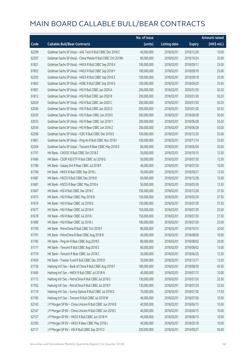|       |                                                              | No. of issue |                     |               | <b>Amount raised</b> |
|-------|--------------------------------------------------------------|--------------|---------------------|---------------|----------------------|
| Code  | <b>Callable Bull/Bear Contracts</b>                          | (units)      | <b>Listing date</b> | <b>Expiry</b> | (HK\$ mil.)          |
| 62299 | Goldman Sachs SP (Asia) - AAC Tech R Bull CBBC Dec 2018 C    | 40,000,000   | 2018/02/01          | 2018/12/28    | 10.00                |
| 62307 | Goldman Sachs SP (Asia) - China Mobile R Bull CBBC Oct 2018N | 80,000,000   | 2018/02/01          | 2018/10/24    | 20.00                |
| 61821 | Goldman Sachs SP (Asia) - HKEX R Bull CBBC Sep 2018 X        | 100,000,000  | 2018/02/01          | 2018/09/17    | 25.00                |
| 61852 | Goldman Sachs SP (Asia) - HKEX R Bull CBBC Sep 2018 Y        | 100,000,000  | 2018/02/01          | 2018/09/18    | 25.00                |
| 62303 | Goldman Sachs SP (Asia) - HKEX R Bull CBBC Sep 2018 Z        | 100,000,000  | 2018/02/01          | 2018/09/18    | 25.00                |
| 61863 | Goldman Sachs SP (Asia) - HSBC R Bull CBBC Sep 2018 G        | 100,000,000  | 2018/02/01          | 2018/09/20    | 25.00                |
| 61801 | Goldman Sachs SP (Asia) - HSI R Bull CBBC Jan 2020 A         | 200,000,000  | 2018/02/01          | 2020/01/30    | 50.20                |
| 61812 | Goldman Sachs SP (Asia) - HSI R Bull CBBC Jan 2020 B         | 200,000,000  | 2018/02/01          | 2020/01/30    | 50.20                |
| 62024 | Goldman Sachs SP (Asia) - HSI R Bull CBBC Jan 2020 C         | 200,000,000  | 2018/02/01          | 2020/01/30    | 50.20                |
| 62026 | Goldman Sachs SP (Asia) - HSI R Bull CBBC Jan 2020 D         | 200,000,000  | 2018/02/01          | 2020/01/30    | 50.20                |
| 62035 | Goldman Sachs SP (Asia) - HSI R Bear CBBC Jun 2018 E         | 200,000,000  | 2018/02/01          | 2018/06/28    | 50.00                |
| 62033 | Goldman Sachs SP (Asia) - HSI R Bear CBBC Jun 2018 Y         | 200,000,000  | 2018/02/01          | 2018/06/28    | 50.20                |
| 62034 | Goldman Sachs SP (Asia) - HSI R Bear CBBC Jun 2018 Z         | 200,000,000  | 2018/02/01          | 2018/06/28    | 50.00                |
| 62296 | Goldman Sachs SP (Asia) - ICBC R Bull CBBC Dec 2018 E        | 100,000,000  | 2018/02/01          | 2018/12/20    | 25.00                |
| 61861 | Goldman Sachs SP (Asia) - Ping An R Bull CBBC Nov 2018 I     | 100,000,000  | 2018/02/01          | 2018/11/14    | 25.00                |
| 62304 | Goldman Sachs SP (Asia) - Tencent R Bear CBBC May 2018 D     | 80,000,000   | 2018/02/01          | 2018/05/04    | 20.00                |
| 61797 | HK Bank - CNOOC R Bull CBBC Oct 2018 E                       | 50,000,000   | 2018/02/01          | 2018/10/15    | 12.50                |
| 61666 | HK Bank - CSOP A50 ETF R Bull CBBC Jul 2018 G                | 50,000,000   | 2018/02/01          | 2018/07/30    | 12.50                |
| 61786 | HK Bank - Galaxy Ent R Bear CBBC Jul 2018 F                  | 40,000,000   | 2018/02/01          | 2018/07/30    | 10.00                |
| 61766 | HK Bank - HKEX R Bull CBBC Sep 2018 L                        | 50,000,000   | 2018/02/01          | 2018/09/27    | 12.50                |
| 61687 | HK Bank - HSCEI R Bull CBBC Dec 2018 B                       | 60,000,000   | 2018/02/01          | 2018/12/28    | 15.00                |
| 61681 | HK Bank - HSCEI R Bear CBBC May 2018 A                       | 50,000,000   | 2018/02/01          | 2018/05/30    | 12.50                |
| 61667 | HK Bank - HSI R Bull CBBC Dec 2018 C                         | 150,000,000  | 2018/02/01          | 2018/12/28    | 37.50                |
| 61673 | HK Bank - HSI R Bear CBBC May 2018 B                         | 150,000,000  | 2018/02/01          | 2018/05/30    | 37.50                |
| 61676 | HK Bank - HSI R Bear CBBC Jul 2018 G                         | 150,000,000  | 2018/02/01          | 2018/07/30    | 37.50                |
| 61677 | HK Bank - HSI R Bear CBBC Jul 2018 H                         | 100,000,000  | 2018/02/01          | 2018/07/30    | 25.00                |
| 61678 | HK Bank - HSI R Bear CBBC Jul 2018 I                         | 150,000,000  | 2018/02/01          | 2018/07/30    | 37.50                |
| 61680 | HK Bank - HSI R Bear CBBC Jul 2018 J                         | 100,000,000  | 2018/02/01          | 2018/07/30    | 25.00                |
| 61790 | HK Bank - PetroChina R Bull CBBC Oct 2018 F                  | 80,000,000   | 2018/02/01          | 2018/10/15    | 20.00                |
| 61791 | HK Bank - PetroChina R Bear CBBC Aug 2018 B                  | 40,000,000   | 2018/02/01          | 2018/08/06    | 10.00                |
| 61783 | HK Bank - Ping An R Bear CBBC Aug 2018 E                     | 80,000,000   | 2018/02/01          | 2018/08/02    | 20.00                |
| 61771 | HK Bank - Tencent R Bull CBBC Aug 2018 S                     | 60,000,000   | 2018/02/01          | 2018/08/02    | 15.00                |
| 61776 | HK Bank - Tencent R Bear CBBC Jun 2018 C                     | 50,000,000   | 2018/02/01          | 2018/06/25    | 12.50                |
| 61659 | HK Bank - Tracker Fund R Bull CBBC Dec 2018 D                | 50,000,000   | 2018/02/01          | 2018/12/17    | 12.50                |
| 61726 | Haitong Int'l Sec - Bank of China R Bull CBBC Aug 2018 F     | 180,000,000  | 2018/02/01          | 2018/08/30    | 45.00                |
| 61695 | Haitong Int'l Sec - HKEX R Bull CBBC Jul 2018 N              | 40,000,000   | 2018/02/01          | 2018/07/13    | 10.00                |
| 61713 | Haitong Int'l Sec - PetroChina R Bull CBBC Jul 2018 E        | 130,000,000  | 2018/02/01          | 2018/07/26    | 32.50                |
| 61762 | Haitong Int'l Sec - PetroChina R Bull CBBC Jul 2018 F        | 130,000,000  | 2018/02/01          | 2018/07/24    | 32.50                |
| 61719 | Haitong Int'l Sec - Sunny Optical R Bull CBBC Jul 2018 D     | 70,000,000   | 2018/02/01          | 2018/07/30    | 17.50                |
| 61760 | Haitong Int'l Sec - Tencent R Bull CBBC Jul 2018 W           | 40,000,000   | 2018/02/01          | 2018/07/26    | 10.00                |
| 62143 | J P Morgan SP BV - China Unicom R Bull CBBC Jun 2018 B       | 40,000,000   | 2018/02/01          | 2018/06/15    | 10.00                |
| 62147 | J P Morgan SP BV - China Unicom R Bull CBBC Jun 2018 C       | 40,000,000   | 2018/02/01          | 2018/06/15    | 10.00                |
| 62157 | J P Morgan SP BV - HKEX R Bull CBBC Jun 2018 M               | 40,000,000   | 2018/02/01          | 2018/06/15    | 10.00                |
| 62183 | J P Morgan SP BV - HKEX R Bear CBBC May 2018 L               | 40,000,000   | 2018/02/01          | 2018/05/18    | 10.00                |
| 62117 | J P Morgan SP BV - HSI R Bull CBBC Sep 2019 O                | 200,000,000  | 2018/02/01          | 2019/09/27    | 50.00                |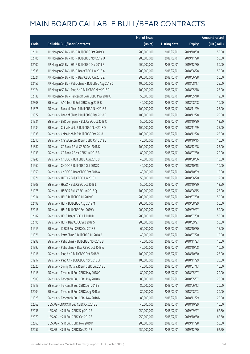|       |                                                      | No. of issue |                     |               | <b>Amount raised</b> |
|-------|------------------------------------------------------|--------------|---------------------|---------------|----------------------|
| Code  | <b>Callable Bull/Bear Contracts</b>                  | (units)      | <b>Listing date</b> | <b>Expiry</b> | (HK\$ mil.)          |
| 62111 | J P Morgan SP BV - HSI R Bull CBBC Oct 2019 X        | 200,000,000  | 2018/02/01          | 2019/10/30    | 50.00                |
| 62105 | J P Morgan SP BV - HSI R Bull CBBC Nov 2019 U        | 200,000,000  | 2018/02/01          | 2019/11/28    | 50.00                |
| 62100 | JP Morgan SP BV - HSIR Bull CBBC Dec 2019 R          | 200,000,000  | 2018/02/01          | 2019/12/30    | 50.00                |
| 62335 | J P Morgan SP BV - HSI R Bear CBBC Jun 2018 A        | 200,000,000  | 2018/02/01          | 2018/06/28    | 50.00                |
| 62321 | JP Morgan SP BV - HSIR Bear CBBC Jun 2018 Z          | 200,000,000  | 2018/02/01          | 2018/06/28    | 50.00                |
| 62155 | J P Morgan SP BV - PetroChina R Bull CBBC Aug 2018 C | 100,000,000  | 2018/02/01          | 2018/08/17    | 25.00                |
| 62174 | J P Morgan SP BV - Ping An R Bull CBBC May 2018 R    | 100,000,000  | 2018/02/01          | 2018/05/18    | 25.00                |
| 62138 | J P Morgan SP BV - Tencent R Bear CBBC May 2018 U    | 50,000,000   | 2018/02/01          | 2018/05/18    | 12.50                |
| 62308 | SG Issuer - AAC Tech R Bull CBBC Aug 2018 B          | 40,000,000   | 2018/02/01          | 2018/08/08    | 10.00                |
| 61875 | SG Issuer - Bank of China R Bull CBBC Nov 2018 E     | 100,000,000  | 2018/02/01          | 2018/11/29    | 25.00                |
| 61877 | SG Issuer - Bank of China R Bull CBBC Dec 2018 E     | 100,000,000  | 2018/02/01          | 2018/12/28    | 25.00                |
| 61931 | SG Issuer - BYD Company R Bull CBBC Oct 2018 C       | 50,000,000   | 2018/02/01          | 2018/10/30    | 12.50                |
| 61934 | SG Issuer - China Mobile R Bull CBBC Nov 2018 D      | 100,000,000  | 2018/02/01          | 2018/11/29    | 25.00                |
| 61938 | SG Issuer - China Mobile R Bull CBBC Dec 2018 I      | 100,000,000  | 2018/02/01          | 2018/12/28    | 25.00                |
| 62310 | SG Issuer - China Unicom R Bull CBBC Oct 2018 E      | 40,000,000   | 2018/02/01          | 2018/10/15    | 10.00                |
| 61882 | SG Issuer - CC Bank R Bull CBBC Dec 2018 D           | 100,000,000  | 2018/02/01          | 2018/12/28    | 25.00                |
| 61933 | SG Issuer - CC Bank R Bear CBBC Jul 2018 B           | 80,000,000   | 2018/02/01          | 2018/07/30    | 20.00                |
| 61945 | SG Issuer - CNOOC R Bull CBBC Aug 2018 B             | 40,000,000   | 2018/02/01          | 2018/08/06    | 10.00                |
| 61962 | SG Issuer - CNOOC R Bull CBBC Oct 2018 D             | 40,000,000   | 2018/02/01          | 2018/10/15    | 10.00                |
| 61950 | SG Issuer - CNOOC R Bear CBBC Oct 2018 A             | 40,000,000   | 2018/02/01          | 2018/10/09    | 10.00                |
| 61971 | SG Issuer - HKEX R Bull CBBC Jun 2018 C              | 50,000,000   | 2018/02/01          | 2018/06/20    | 12.50                |
| 61908 | SG Issuer - HKEX R Bull CBBC Oct 2018 L              | 50,000,000   | 2018/02/01          | 2018/10/30    | 12.50                |
| 61975 | SG Issuer - HSBC R Bull CBBC Jun 2018 Q              | 100,000,000  | 2018/02/01          | 2018/06/15    | 25.00                |
| 62014 | SG Issuer - HSI R Bull CBBC Jul 2019 C               | 200,000,000  | 2018/02/01          | 2019/07/30    | 50.00                |
| 62198 | SG Issuer - HSI R Bull CBBC Aug 2019 M               | 200,000,000  | 2018/02/01          | 2019/08/29    | 50.00                |
| 62016 | SG Issuer - HSI R Bull CBBC Sep 2019 V               | 200,000,000  | 2018/02/01          | 2019/09/27    | 50.00                |
| 62187 | SG Issuer - HSI R Bear CBBC Jul 2018 D               | 200,000,000  | 2018/02/01          | 2018/07/30    | 50.00                |
| 62195 | SG Issuer - HSI R Bear CBBC Sep 2018 S               | 200,000,000  | 2018/02/01          | 2018/09/27    | 50.00                |
| 61915 | SG Issuer - ICBC R Bull CBBC Oct 2018 E              | 60,000,000   | 2018/02/01          | 2018/10/30    | 15.00                |
| 61976 | SG Issuer - PetroChina R Bull CBBC Jul 2018 B        | 40,000,000   | 2018/02/01          | 2018/07/20    | 10.00                |
| 61998 | SG Issuer - PetroChina R Bull CBBC Nov 2018 B        | 40,000,000   | 2018/02/01          | 2018/11/23    | 10.00                |
| 61992 | SG Issuer - PetroChina R Bear CBBC Oct 2018 A        | 40,000,000   | 2018/02/01          | 2018/10/08    | 10.00                |
| 61916 | SG Issuer - Ping An R Bull CBBC Oct 2018 V           | 100,000,000  | 2018/02/01          | 2018/10/30    | 25.00                |
| 61917 | SG Issuer - Ping An R Bull CBBC Nov 2018 Q           | 100,000,000  | 2018/02/01          | 2018/11/29    | 25.00                |
| 62320 | SG Issuer - Sunny Optical R Bull CBBC Jul 2018 C     | 40,000,000   | 2018/02/01          | 2018/07/13    | 10.00                |
| 61918 | SG Issuer - Tencent R Bull CBBC May 2018 Q           | 80,000,000   | 2018/02/01          | 2018/05/07    | 20.00                |
| 62003 | SG Issuer - Tencent R Bull CBBC May 2018 R           | 80,000,000   | 2018/02/01          | 2018/05/07    | 20.00                |
| 61919 | SG Issuer - Tencent R Bull CBBC Jun 2018 E           | 80,000,000   | 2018/02/01          | 2018/06/13    | 20.00                |
| 62004 | SG Issuer - Tencent R Bull CBBC Aug 2018 A           | 80,000,000   | 2018/02/01          | 2018/08/03    | 20.00                |
| 61928 | SG Issuer - Tencent R Bull CBBC Nov 2018 N           | 80,000,000   | 2018/02/01          | 2018/11/29    | 20.00                |
| 62062 | UBS AG - CNOOC R Bull CBBC Oct 2018 E                | 40,000,000   | 2018/02/01          | 2018/10/29    | 10.00                |
| 62036 | UBS AG - HSI R Bull CBBC Sep 2019 E                  | 250,000,000  | 2018/02/01          | 2019/09/27    | 62.50                |
| 62070 | UBS AG - HSI R Bull CBBC Oct 2019 S                  | 250,000,000  | 2018/02/01          | 2019/10/30    | 62.50                |
| 62063 | UBS AG - HSI R Bull CBBC Nov 2019 K                  | 200,000,000  | 2018/02/01          | 2019/11/28    | 50.00                |
| 62057 | UBS AG - HSI R Bull CBBC Dec 2019 F                  | 250,000,000  | 2018/02/01          | 2019/12/30    | 62.50                |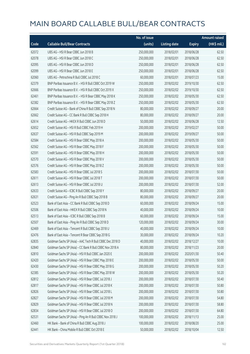|       |                                                           | No. of issue |                     |               | <b>Amount raised</b> |
|-------|-----------------------------------------------------------|--------------|---------------------|---------------|----------------------|
| Code  | <b>Callable Bull/Bear Contracts</b>                       | (units)      | <b>Listing date</b> | <b>Expiry</b> | (HK\$ mil.)          |
| 62072 | UBS AG - HSI R Bear CBBC Jun 2018 B                       | 250,000,000  | 2018/02/01          | 2018/06/28    | 62.50                |
| 62078 | UBS AG - HSI R Bear CBBC Jun 2018 C                       | 250,000,000  | 2018/02/01          | 2018/06/28    | 62.50                |
| 62095 | UBS AG - HSI R Bear CBBC Jun 2018 D                       | 250,000,000  | 2018/02/01          | 2018/06/28    | 62.50                |
| 62099 | UBS AG - HSI R Bear CBBC Jun 2018 E                       | 250,000,000  | 2018/02/01          | 2018/06/28    | 62.50                |
| 62060 | UBS AG - Petrochina R Bull CBBC Jul 2018 C                | 60,000,000   | 2018/02/01          | 2018/07/23    | 15.00                |
| 62379 | BNP Paribas Issuance B.V. - HSI R Bull CBBC Oct 2019 W    | 250,000,000  | 2018/02/02          | 2019/10/30    | 62.50                |
| 62666 | BNP Paribas Issuance B.V. - HSI R Bull CBBC Oct 2019 X    | 250,000,000  | 2018/02/02          | 2019/10/30    | 62.50                |
| 62461 | BNP Paribas Issuance B.V. - HSI R Bear CBBC May 2018 K    | 250,000,000  | 2018/02/02          | 2018/05/30    | 62.50                |
| 62382 | BNP Paribas Issuance B.V. - HSI R Bear CBBC May 2018 Z    | 250,000,000  | 2018/02/02          | 2018/05/30    | 62.50                |
| 62664 | Credit Suisse AG - Bank of China R Bull CBBC Sep 2018 N   | 80,000,000   | 2018/02/02          | 2018/09/27    | 20.00                |
| 62662 | Credit Suisse AG - CC Bank R Bull CBBC Sep 2018 H         | 80,000,000   | 2018/02/02          | 2018/09/27    | 20.00                |
| 62614 | Credit Suisse AG - HKEX R Bull CBBC Jun 2018 D            | 50,000,000   | 2018/02/02          | 2018/06/28    | 12.50                |
| 62652 | Credit Suisse AG - HSI R Bull CBBC Feb 2019 H             | 200,000,000  | 2018/02/02          | 2019/02/27    | 50.00                |
| 62637 | Credit Suisse AG - HSI R Bull CBBC Sep 2019 M             | 200,000,000  | 2018/02/02          | 2019/09/27    | 50.00                |
| 62584 | Credit Suisse AG - HSI R Bear CBBC May 2018 A             | 200,000,000  | 2018/02/02          | 2018/05/30    | 50.00                |
| 62562 | Credit Suisse AG - HSI R Bear CBBC May 2018 F             | 200,000,000  | 2018/02/02          | 2018/05/30    | 50.00                |
| 62591 | Credit Suisse AG - HSI R Bear CBBC May 2018 H             | 200,000,000  | 2018/02/02          | 2018/05/30    | 50.00                |
| 62570 | Credit Suisse AG - HSI R Bear CBBC May 2018 V             | 200,000,000  | 2018/02/02          | 2018/05/30    | 50.00                |
| 62576 | Credit Suisse AG - HSI R Bear CBBC May 2018 Z             | 200,000,000  | 2018/02/02          | 2018/05/30    | 50.00                |
| 62583 | Credit Suisse AG - HSI R Bear CBBC Jul 2018 S             | 200,000,000  | 2018/02/02          | 2018/07/30    | 50.00                |
| 62611 | Credit Suisse AG - HSI R Bear CBBC Jul 2018 T             | 200,000,000  | 2018/02/02          | 2018/07/30    | 50.00                |
| 62613 | Credit Suisse AG - HSI R Bear CBBC Jul 2018 U             | 200,000,000  | 2018/02/02          | 2018/07/30    | 52.00                |
| 62633 | Credit Suisse AG - ICBC R Bull CBBC Sep 2018 Y            | 80,000,000   | 2018/02/02          | 2018/09/27    | 20.00                |
| 62631 | Credit Suisse AG - Ping An R Bull CBBC Sep 2018 B         | 80,000,000   | 2018/02/02          | 2018/09/27    | 20.00                |
| 62523 | Bank of East Asia - CC Bank R Bull CBBC Sep 2018 D        | 60,000,000   | 2018/02/02          | 2018/09/24    | 15.00                |
| 62506 | Bank of East Asia - HKEX R Bull CBBC Sep 2018 N           | 40,000,000   | 2018/02/02          | 2018/09/24    | 10.00                |
| 62513 | Bank of East Asia - ICBC R Bull CBBC Sep 2018 B           | 60,000,000   | 2018/02/02          | 2018/09/24    | 15.00                |
| 62507 | Bank of East Asia - Ping An R Bull CBBC Sep 2018 D        | 120,000,000  | 2018/02/02          | 2018/09/24    | 30.00                |
| 62469 | Bank of East Asia - Tencent R Bull CBBC Sep 2018 U        | 40,000,000   | 2018/02/02          | 2018/09/24    | 10.00                |
| 62476 | Bank of East Asia - Tencent R Bear CBBC Sep 2018 G        | 30,000,000   | 2018/02/02          | 2018/09/24    | 10.20                |
| 62835 | Goldman Sachs SP (Asia) - AAC Tech R Bull CBBC Dec 2018 D | 40,000,000   | 2018/02/02          | 2018/12/27    | 10.00                |
| 62840 | Goldman Sachs SP (Asia) - CC Bank R Bull CBBC Nov 2018 A  | 80,000,000   | 2018/02/02          | 2018/11/23    | 20.00                |
| 62810 | Goldman Sachs SP (Asia) - HSI R Bull CBBC Jan 2020 E      | 200,000,000  | 2018/02/02          | 2020/01/30    | 50.40                |
| 62420 | Goldman Sachs SP (Asia) - HSI R Bear CBBC May 2018 E      | 200,000,000  | 2018/02/02          | 2018/05/30    | 50.00                |
| 62430 | Goldman Sachs SP (Asia) - HSI R Bear CBBC May 2018 G      | 200,000,000  | 2018/02/02          | 2018/05/30    | 50.20                |
| 62385 | Goldman Sachs SP (Asia) - HSI R Bear CBBC May 2018 W      | 200,000,000  | 2018/02/02          | 2018/05/30    | 50.20                |
| 62812 | Goldman Sachs SP (Asia) - HSI R Bear CBBC Jul 2018 J      | 200,000,000  | 2018/02/02          | 2018/07/30    | 50.40                |
| 62817 | Goldman Sachs SP (Asia) - HSI R Bear CBBC Jul 2018 K      | 200,000,000  | 2018/02/02          | 2018/07/30    | 50.80                |
| 62826 | Goldman Sachs SP (Asia) - HSI R Bear CBBC Jul 2018 L      | 200,000,000  | 2018/02/02          | 2018/07/30    | 50.80                |
| 62827 | Goldman Sachs SP (Asia) - HSI R Bear CBBC Jul 2018 M      | 200,000,000  | 2018/02/02          | 2018/07/30    | 54.80                |
| 62829 | Goldman Sachs SP (Asia) - HSI R Bear CBBC Jul 2018 N      | 200,000,000  | 2018/02/02          | 2018/07/30    | 58.80                |
| 62834 | Goldman Sachs SP (Asia) - HSI R Bear CBBC Jul 2018 O      | 200,000,000  | 2018/02/02          | 2018/07/30    | 64.80                |
| 62531 | Goldman Sachs SP (Asia) - Ping An R Bull CBBC Nov 2018 J  | 100,000,000  | 2018/02/02          | 2018/11/13    | 25.00                |
| 62460 | HK Bank - Bank of China R Bull CBBC Aug 2018 J            | 100,000,000  | 2018/02/02          | 2018/08/20    | 25.00                |
| 62441 | HK Bank - China Mobile R Bull CBBC Oct 2018 E             | 50,000,000   | 2018/02/02          | 2018/10/04    | 12.50                |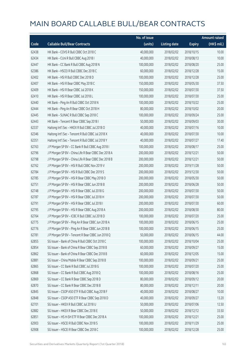|       |                                                      | No. of issue |                     |               | <b>Amount raised</b> |
|-------|------------------------------------------------------|--------------|---------------------|---------------|----------------------|
| Code  | <b>Callable Bull/Bear Contracts</b>                  | (units)      | <b>Listing date</b> | <b>Expiry</b> | (HK\$ mil.)          |
| 62438 | HK Bank - COVS R Bull CBBC Oct 2018 C                | 40,000,000   | 2018/02/02          | 2018/10/15    | 10.00                |
| 62434 | HK Bank - CUni R Bull CBBC Aug 2018 I                | 40,000,000   | 2018/02/02          | 2018/08/13    | 10.00                |
| 62447 | HK Bank - CC Bank R Bull CBBC Aug 2018 N             | 100,000,000  | 2018/02/02          | 2018/08/20    | 25.00                |
| 62386 | HK Bank - HSCEI R Bull CBBC Dec 2018 C               | 60,000,000   | 2018/02/02          | 2018/12/28    | 15.00                |
| 62402 | HK Bank - HSI R Bull CBBC Dec 2018 D                 | 100,000,000  | 2018/02/02          | 2018/12/28    | 25.00                |
| 62407 | HK Bank - HSI R Bear CBBC May 2018 C                 | 150,000,000  | 2018/02/02          | 2018/05/30    | 37.50                |
| 62409 | HK Bank - HSI R Bear CBBC Jul 2018 K                 | 150,000,000  | 2018/02/02          | 2018/07/30    | 37.50                |
| 62410 | HK Bank - HSI R Bear CBBC Jul 2018 L                 | 100,000,000  | 2018/02/02          | 2018/07/30    | 25.00                |
| 62440 | HK Bank - Ping An R Bull CBBC Oct 2018 N             | 100,000,000  | 2018/02/02          | 2018/10/22    | 25.00                |
| 62444 | HK Bank - Ping An R Bear CBBC Oct 2018 H             | 80,000,000   | 2018/02/02          | 2018/10/02    | 20.00                |
| 62445 | HK Bank - SUNAC R Bull CBBC Sep 2018 C               | 100,000,000  | 2018/02/02          | 2018/09/24    | 25.00                |
| 62443 | HK Bank - Tencent R Bear CBBC Sep 2018 I             | 50,000,000   | 2018/02/02          | 2018/09/03    | 30.00                |
| 62337 | Haitong Int'l Sec - HKEX R Bull CBBC Jul 2018 O      | 40,000,000   | 2018/02/02          | 2018/07/16    | 10.00                |
| 62346 | Haitong Int'l Sec - Tencent R Bull CBBC Jul 2018 X   | 40,000,000   | 2018/02/02          | 2018/07/30    | 10.00                |
| 62351 | Haitong Int'l Sec - Tencent R Bull CBBC Jul 2018 Y   | 40,000,000   | 2018/02/02          | 2018/07/27    | 17.40                |
| 62763 | J P Morgan SP BV - CC Bank R Bull CBBC Aug 2018 I    | 100,000,000  | 2018/02/02          | 2018/08/17    | 25.00                |
| 62796 | J P Morgan SP BV - China Life R Bear CBBC Dec 2018 A | 200,000,000  | 2018/02/02          | 2018/12/21    | 50.00                |
| 62798 | J P Morgan SP BV - China Life R Bear CBBC Dec 2018 B | 200,000,000  | 2018/02/02          | 2018/12/21    | 50.00                |
| 62762 | J P Morgan SP BV - HSI R Bull CBBC Nov 2019 V        | 200,000,000  | 2018/02/02          | 2019/11/28    | 50.00                |
| 62784 | J P Morgan SP BV - HSI R Bull CBBC Dec 2019 S        | 200,000,000  | 2018/02/02          | 2019/12/30    | 50.00                |
| 62785 | J P Morgan SP BV - HSI R Bear CBBC May 2018 O        | 200,000,000  | 2018/02/02          | 2018/05/30    | 50.00                |
| 62751 | J P Morgan SP BV - HSI R Bear CBBC Jun 2018 B        | 200,000,000  | 2018/02/02          | 2018/06/28    | 50.00                |
| 62748 | J P Morgan SP BV - HSI R Bear CBBC Jul 2018 G        | 200,000,000  | 2018/02/02          | 2018/07/30    | 50.00                |
| 62787 | J P Morgan SP BV - HSI R Bear CBBC Jul 2018 H        | 200,000,000  | 2018/02/02          | 2018/07/30    | 50.00                |
| 62791 | J P Morgan SP BV - HSI R Bear CBBC Jul 2018 I        | 200,000,000  | 2018/02/02          | 2018/07/30    | 60.00                |
| 62795 | J P Morgan SP BV - HSI R Bear CBBC Aug 2018 A        | 200,000,000  | 2018/02/02          | 2018/08/30    | 80.00                |
| 62764 | J P Morgan SP BV - ICBC R Bull CBBC Jul 2018 D       | 100,000,000  | 2018/02/02          | 2018/07/20    | 25.00                |
| 62775 | J P Morgan SP BV - Ping An R Bear CBBC Jun 2018 A    | 100,000,000  | 2018/02/02          | 2018/06/15    | 25.00                |
| 62776 | J P Morgan SP BV - Ping An R Bear CBBC Jun 2018 B    | 100,000,000  | 2018/02/02          | 2018/06/15    | 25.00                |
| 62781 | J P Morgan SP BV - Tencent R Bear CBBC Jun 2018 Q    | 50,000,000   | 2018/02/02          | 2018/06/15    | 44.00                |
| 62855 | SG Issuer - Bank of China R Bull CBBC Oct 2018 C     | 100,000,000  | 2018/02/02          | 2018/10/04    | 25.00                |
| 62854 | SG Issuer - Bank of China R Bear CBBC Sep 2018 B     | 60,000,000   | 2018/02/02          | 2018/09/27    | 15.00                |
| 62862 | SG Issuer - Bank of China R Bear CBBC Dec 2018 B     | 60,000,000   | 2018/02/02          | 2018/12/05    | 15.00                |
| 62881 | SG Issuer - China Mobile R Bear CBBC Sep 2018 B      | 100,000,000  | 2018/02/02          | 2018/09/21    | 25.00                |
| 62865 | SG Issuer - CC Bank R Bull CBBC Jul 2018 G           | 100,000,000  | 2018/02/02          | 2018/07/20    | 25.00                |
| 62868 | SG Issuer - CC Bank R Bull CBBC Aug 2018 Q           | 100,000,000  | 2018/02/02          | 2018/08/16    | 25.00                |
| 62869 | SG Issuer - CC Bank R Bear CBBC Sep 2018 D           | 80,000,000   | 2018/02/02          | 2018/09/12    | 20.00                |
| 62870 | SG Issuer - CC Bank R Bear CBBC Dec 2018 B           | 80,000,000   | 2018/02/02          | 2018/12/11    | 20.00                |
| 62845 | SG Issuer - CSOP A50 ETF R Bull CBBC Aug 2018 F      | 40,000,000   | 2018/02/02          | 2018/08/27    | 10.00                |
| 62848 | SG Issuer - CSOP A50 ETF R Bear CBBC Sep 2018 D      | 40,000,000   | 2018/02/02          | 2018/09/27    | 13.20                |
| 62701 | SG Issuer - HKEX R Bull CBBC Jul 2018 U              | 50,000,000   | 2018/02/02          | 2018/07/06    | 12.50                |
| 62882 | SG Issuer - HKEX R Bear CBBC Dec 2018 E              | 50,000,000   | 2018/02/02          | 2018/12/12    | 33.50                |
| 62851 | SG Issuer - HS H-SH ETF R Bear CBBC Dec 2018 A       | 100,000,000  | 2018/02/02          | 2018/12/21    | 25.00                |
| 62903 | SG Issuer - HSCEI R Bull CBBC Nov 2018 S             | 100,000,000  | 2018/02/02          | 2018/11/29    | 25.00                |
| 62908 | SG Issuer - HSCEI R Bear CBBC Dec 2018 C             | 100,000,000  | 2018/02/02          | 2018/12/28    | 25.00                |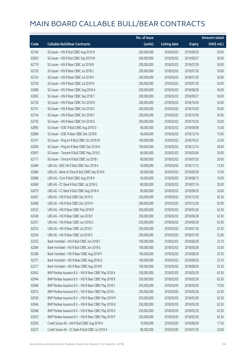|       |                                                        | No. of issue |                     |               | <b>Amount raised</b> |
|-------|--------------------------------------------------------|--------------|---------------------|---------------|----------------------|
| Code  | <b>Callable Bull/Bear Contracts</b>                    | (units)      | <b>Listing date</b> | <b>Expiry</b> | (HK\$ mil.)          |
| 62746 | SG Issuer - HSI R Bull CBBC Aug 2019 N                 | 200,000,000  | 2018/02/02          | 2019/08/29    | 50.00                |
| 62693 | SG Issuer - HSI R Bull CBBC Sep 2019 W                 | 200,000,000  | 2018/02/02          | 2019/09/27    | 50.00                |
| 62719 | SG Issuer - HSI R Bear CBBC Jul 2018 B                 | 200,000,000  | 2018/02/02          | 2018/07/30    | 50.00                |
| 62720 | SG Issuer - HSI R Bear CBBC Jul 2018 C                 | 200,000,000  | 2018/02/02          | 2018/07/30    | 50.00                |
| 62724 | SG Issuer - HSI R Bear CBBC Jul 2018 K                 | 200,000,000  | 2018/02/02          | 2018/07/30    | 50.00                |
| 62729 | SG Issuer - HSI R Bear CBBC Jul 2018 N                 | 200,000,000  | 2018/02/02          | 2018/07/30    | 50.00                |
| 62688 | SG Issuer - HSI R Bear CBBC Aug 2018 A                 | 200,000,000  | 2018/02/02          | 2018/08/30    | 50.00                |
| 62692 | SG Issuer - HSI R Bear CBBC Sep 2018 T                 | 200,000,000  | 2018/02/02          | 2018/09/27    | 50.00                |
| 62739 | SG Issuer - HSI R Bear CBBC Oct 2018 D                 | 200,000,000  | 2018/02/02          | 2018/10/30    | 50.00                |
| 62741 | SG Issuer - HSI R Bear CBBC Oct 2018 E                 | 200,000,000  | 2018/02/02          | 2018/10/30    | 50.00                |
| 62744 | SG Issuer - HSI R Bear CBBC Oct 2018 F                 | 200,000,000  | 2018/02/02          | 2018/10/30    | 50.00                |
| 62745 | SG Issuer - HSI R Bear CBBC Oct 2018 G                 | 200,000,000  | 2018/02/02          | 2018/10/30    | 50.00                |
| 62895 | SG Issuer - ICBC R Bull CBBC Aug 2018 O                | 60,000,000   | 2018/02/02          | 2018/08/06    | 15.00                |
| 62899 | SG Issuer - ICBC R Bear CBBC Dec 2018 B                | 60,000,000   | 2018/02/02          | 2018/12/10    | 15.00                |
| 62707 | SG Issuer - Ping An R Bull CBBC Oct 2018 W             | 100,000,000  | 2018/02/02          | 2018/10/23    | 25.00                |
| 62900 | SG Issuer - Ping An R Bear CBBC Dec 2018 H             | 100,000,000  | 2018/02/02          | 2018/12/14    | 28.00                |
| 62901 | SG Issuer - Tencent R Bull CBBC May 2018 S             | 80,000,000   | 2018/02/02          | 2018/05/04    | 20.00                |
| 62717 | SG Issuer - Tencent R Bull CBBC Jul 2018 I             | 80,000,000   | 2018/02/02          | 2018/07/20    | 20.00                |
| 62684 | UBS AG - BOC HK R Bull CBBC Nov 2018 A                 | 50,000,000   | 2018/02/02          | 2018/11/12    | 12.50                |
| 62680 | UBS AG - Bank of China R Bull CBBC Sep 2018 E          | 60,000,000   | 2018/02/02          | 2018/09/28    | 15.00                |
| 62686 | UBS AG - CUni R Bull CBBC Aug 2018 A                   | 40,000,000   | 2018/02/02          | 2018/08/13    | 10.00                |
| 62669 | UBS AG - CC Bank R Bull CBBC Jul 2018 G                | 80,000,000   | 2018/02/02          | 2018/07/16    | 20.00                |
| 62679 | UBS AG - CC Bank R Bull CBBC Aug 2018 H                | 80,000,000   | 2018/02/02          | 2018/08/20    | 20.00                |
| 62667 | UBS AG - HSI R Bull CBBC Dec 2019 G                    | 250,000,000  | 2018/02/02          | 2019/12/30    | 62.50                |
| 62668 | UBS AG - HSI R Bull CBBC Dec 2019 H                    | 200,000,000  | 2018/02/02          | 2019/12/30    | 50.00                |
| 62533 | UBS AG - HSI R Bear CBBC May 2018 P                    | 250,000,000  | 2018/02/02          | 2018/05/30    | 62.50                |
| 62549 | UBS AG - HSI R Bear CBBC Jun 2018 F                    | 250,000,000  | 2018/02/02          | 2018/06/28    | 62.50                |
| 62551 | UBS AG - HSI R Bear CBBC Jun 2018 G                    | 250,000,000  | 2018/02/02          | 2018/06/28    | 62.50                |
| 62553 | UBS AG - HSI R Bear CBBC Jul 2018 C                    | 250,000,000  | 2018/02/02          | 2018/07/30    | 62.50                |
| 62554 | UBS AG - HSI R Bear CBBC Jul 2018 D                    | 200,000,000  | 2018/02/02          | 2018/07/30    | 52.00                |
| 62353 | Bank Vontobel - HSI R Bull CBBC Jun 2018 F             | 100,000,000  | 2018/02/02          | 2018/06/28    | 25.10                |
| 62384 | Bank Vontobel - HSI R Bull CBBC Jun 2018 G             | 100,000,000  | 2018/02/02          | 2018/06/28    | 25.00                |
| 62368 | Bank Vontobel - HSI R Bear CBBC Aug 2018 P             | 100,000,000  | 2018/02/02          | 2018/08/30    | 25.50                |
| 62371 | Bank Vontobel - HSI R Bear CBBC Aug 2018 Q             | 100,000,000  | 2018/02/02          | 2018/08/30    | 25.10                |
| 62377 | Bank Vontobel - HSI R Bear CBBC Aug 2018 R             | 100,000,000  | 2018/02/02          | 2018/08/30    | 25.30                |
| 62942 | BNP Paribas Issuance B.V. - HSI R Bear CBBC May 2018 A | 250,000,000  | 2018/02/05          | 2018/05/30    | 62.50                |
| 62944 | BNP Paribas Issuance B.V. - HSI R Bear CBBC May 2018 B | 250,000,000  | 2018/02/05          | 2018/05/30    | 62.50                |
| 62966 | BNP Paribas Issuance B.V. - HSI R Bear CBBC May 2018 C | 250,000,000  | 2018/02/05          | 2018/05/30    | 75.00                |
| 62915 | BNP Paribas Issuance B.V. - HSI R Bear CBBC May 2018 L | 250,000,000  | 2018/02/05          | 2018/05/30    | 62.50                |
| 62930 | BNP Paribas Issuance B.V. - HSI R Bear CBBC May 2018 M | 250,000,000  | 2018/02/05          | 2018/05/30    | 62.50                |
| 62946 | BNP Paribas Issuance B.V. - HSI R Bear CBBC May 2018 N | 250,000,000  | 2018/02/05          | 2018/05/30    | 62.50                |
| 62948 | BNP Paribas Issuance B.V. - HSI R Bear CBBC May 2018 O | 250,000,000  | 2018/02/05          | 2018/05/30    | 62.50                |
| 62953 | BNP Paribas Issuance B.V. - HSI R Bear CBBC May 2018 P | 250,000,000  | 2018/02/05          | 2018/05/30    | 62.50                |
| 63295 | Credit Suisse AG - AIA R Bull CBBC Aug 2018 A          | 70,000,000   | 2018/02/05          | 2018/08/30    | 17.50                |
| 63237 | Credit Suisse AG - CC Bank R Bull CBBC Jul 2018 A      | 80,000,000   | 2018/02/05          | 2018/07/30    | 20.00                |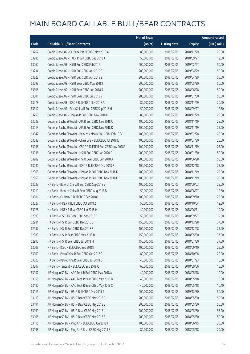|       |                                                              | No. of issue |                     |               | <b>Amount raised</b> |
|-------|--------------------------------------------------------------|--------------|---------------------|---------------|----------------------|
| Code  | <b>Callable Bull/Bear Contracts</b>                          | (units)      | <b>Listing date</b> | <b>Expiry</b> | (HK\$ mil.)          |
| 63267 | Credit Suisse AG - CC Bank R Bull CBBC Nov 2018 A            | 80,000,000   | 2018/02/05          | 2018/11/29    | 20.00                |
| 63286 | Credit Suisse AG - HKEX R Bull CBBC Sep 2018 J               | 50,000,000   | 2018/02/05          | 2018/09/27    | 12.50                |
| 63262 | Credit Suisse AG - HSI R Bull CBBC Feb 2019 I                | 200,000,000  | 2018/02/05          | 2019/02/27    | 50.00                |
| 63234 | Credit Suisse AG - HSI R Bull CBBC Apr 2019 B                | 200,000,000  | 2018/02/05          | 2019/04/29    | 50.00                |
| 63222 | Credit Suisse AG - HSI R Bull CBBC Apr 2019 Z                | 200,000,000  | 2018/02/05          | 2019/04/29    | 50.00                |
| 63299 | Credit Suisse AG - HSI R Bear CBBC May 2018 I                | 200,000,000  | 2018/02/05          | 2018/05/30    | 50.00                |
| 63306 | Credit Suisse AG - HSI R Bear CBBC Jun 2018 R                | 200,000,000  | 2018/02/05          | 2018/06/28    | 50.00                |
| 63301 | Credit Suisse AG - HSI R Bear CBBC Jul 2018 V                | 200,000,000  | 2018/02/05          | 2018/07/30    | 50.00                |
| 63278 | Credit Suisse AG - ICBC R Bull CBBC Nov 2018 A               | 80,000,000   | 2018/02/05          | 2018/11/29    | 20.00                |
| 63312 | Credit Suisse AG - PetroChina R Bull CBBC Sep 2018 H         | 50,000,000   | 2018/02/05          | 2018/09/27    | 12.50                |
| 63259 | Credit Suisse AG - Ping An R Bull CBBC Nov 2018 D            | 80,000,000   | 2018/02/05          | 2018/11/29    | 20.00                |
| 63039 | Goldman Sachs SP (Asia) - AIA R Bull CBBC Nov 2018 C         | 100,000,000  | 2018/02/05          | 2018/11/19    | 25.00                |
| 63213 | Goldman Sachs SP (Asia) - AIA R Bull CBBC Nov 2018 D         | 100,000,000  | 2018/02/05          | 2018/11/19    | 25.00                |
| 63047 | Goldman Sachs SP (Asia) - Bank of China R Bull CBBC Feb 19 B | 100,000,000  | 2018/02/05          | 2019/02/28    | 25.00                |
| 63042 | Goldman Sachs SP (Asia) - China Life R Bull CBBC Jul 2018 E  | 100,000,000  | 2018/02/05          | 2018/07/30    | 25.00                |
| 63046 | Goldman Sachs SP (Asia) - CSOP A50 ETF R Bull CBBC Nov 2018A | 100,000,000  | 2018/02/05          | 2018/11/19    | 25.00                |
| 63038 | Goldman Sachs SP (Asia) - HSI R Bull CBBC Jan 2020 F         | 200,000,000  | 2018/02/05          | 2020/01/30    | 50.00                |
| 63209 | Goldman Sachs SP (Asia) - HSI R Bear CBBC Jun 2018 A         | 200,000,000  | 2018/02/05          | 2018/06/28    | 50.00                |
| 63040 | Goldman Sachs SP (Asia) - ICBC R Bull CBBC Dec 2018 F        | 100,000,000  | 2018/02/05          | 2018/12/18    | 25.00                |
| 62968 | Goldman Sachs SP (Asia) - Ping An R Bull CBBC Nov 2018 K     | 100,000,000  | 2018/02/05          | 2018/11/19    | 25.00                |
| 62969 | Goldman Sachs SP (Asia) - Ping An R Bull CBBC Nov 2018 L     | 100,000,000  | 2018/02/05          | 2018/11/19    | 25.00                |
| 63023 | HK Bank - Bank of China R Bull CBBC Sep 2018 E               | 100,000,000  | 2018/02/05          | 2018/09/03    | 25.00                |
| 63019 | HK Bank - Bank of China R Bear CBBC Aug 2018 B               | 50,000,000   | 2018/02/05          | 2018/08/27    | 12.50                |
| 63001 | HK Bank - CC Bank R Bull CBBC Sep 2018 H                     | 100,000,000  | 2018/02/05          | 2018/09/10    | 25.00                |
| 63027 | HK Bank - HKEX R Bull CBBC Oct 2018 Z                        | 50,000,000   | 2018/02/05          | 2018/10/04    | 12.50                |
| 63026 | HK Bank - HKEX R Bear CBBC Jun 2018 H                        | 40,000,000   | 2018/02/05          | 2018/06/11    | 10.00                |
| 62993 | HK Bank - HSCEI R Bear CBBC Sep 2018 E                       | 50,000,000   | 2018/02/05          | 2018/09/27    | 12.50                |
| 62984 | HK Bank - HSI R Bull CBBC Dec 2018 E                         | 150,000,000  | 2018/02/05          | 2018/12/28    | 37.50                |
| 62987 | HK Bank - HSI R Bull CBBC Dec 2018 F                         | 100,000,000  | 2018/02/05          | 2018/12/28    | 25.00                |
| 62983 | HK Bank - HSI R Bear CBBC May 2018 D                         | 150,000,000  | 2018/02/05          | 2018/05/30    | 37.50                |
| 62990 | HK Bank - HSI R Bear CBBC Jul 2018 M                         | 150,000,000  | 2018/02/05          | 2018/07/30    | 37.50                |
| 63009 | HK Bank - ICBC R Bull CBBC Sep 2018 I                        | 100,000,000  | 2018/02/05          | 2018/09/10    | 25.00                |
| 63000 | HK Bank - PetroChina R Bull CBBC Oct 2018 G                  | 80,000,000   | 2018/02/05          | 2018/10/08    | 20.00                |
| 63020 | HK Bank - PetroChina R Bear CBBC Jul 2018 E                  | 40,000,000   | 2018/02/05          | 2018/07/23    | 10.00                |
| 63207 | HK Bank - Tencent R Bull CBBC Sep 2018 Q                     | 60,000,000   | 2018/02/05          | 2018/09/06    | 15.00                |
| 63157 | J P Morgan SP BV - AAC Tech R Bull CBBC May 2018 A           | 40,000,000   | 2018/02/05          | 2018/05/18    | 10.00                |
| 63158 | J P Morgan SP BV - AAC Tech R Bear CBBC May 2018 B           | 40,000,000   | 2018/02/05          | 2018/05/18    | 10.00                |
| 63180 | J P Morgan SP BV - AAC Tech R Bear CBBC May 2018 C           | 40,000,000   | 2018/02/05          | 2018/05/18    | 10.40                |
| 63115 | J P Morgan SP BV - HSI R Bull CBBC Dec 2019 T                | 200,000,000  | 2018/02/05          | 2019/12/30    | 50.00                |
| 63113 | J P Morgan SP BV - HSI R Bear CBBC May 2018 C                | 200,000,000  | 2018/02/05          | 2018/05/30    | 50.00                |
| 63191 | J P Morgan SP BV - HSI R Bear CBBC May 2018 E                | 200,000,000  | 2018/02/05          | 2018/05/30    | 50.00                |
| 63199 | J P Morgan SP BV - HSI R Bear CBBC May 2018 L                | 200,000,000  | 2018/02/05          | 2018/05/30    | 56.00                |
| 63108 | J P Morgan SP BV - HSI R Bear CBBC May 2018 S                | 200,000,000  | 2018/02/05          | 2018/05/30    | 50.00                |
| 63116 | J P Morgan SP BV - Ping An R Bull CBBC Jun 2018 I            | 100,000,000  | 2018/02/05          | 2018/06/15    | 25.00                |
| 63148 | J P Morgan SP BV - Ping An R Bear CBBC May 2018 B            | 80,000,000   | 2018/02/05          | 2018/05/18    | 20.00                |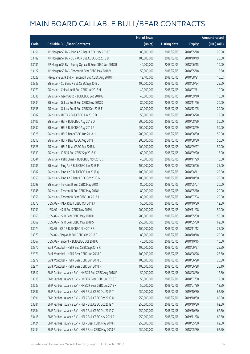|       |                                                         | No. of issue |                     |               | <b>Amount raised</b> |
|-------|---------------------------------------------------------|--------------|---------------------|---------------|----------------------|
| Code  | <b>Callable Bull/Bear Contracts</b>                     | (units)      | <b>Listing date</b> | <b>Expiry</b> | (HK\$ mil.)          |
| 63151 | J P Morgan SP BV - Ping An R Bear CBBC May 2018 C       | 80,000,000   | 2018/02/05          | 2018/05/18    | 20.00                |
| 63182 | JP Morgan SP BV - SUNAC R Bull CBBC Oct 2018 B          | 100,000,000  | 2018/02/05          | 2018/10/19    | 25.00                |
| 63181 | J P Morgan SP BV - Sunny Optical R Bear CBBC Jun 2018 B | 40,000,000   | 2018/02/05          | 2018/06/15    | 10.00                |
| 63127 | J P Morgan SP BV - Tencent R Bear CBBC May 2018 V       | 50,000,000   | 2018/02/05          | 2018/05/18    | 12.50                |
| 63028 | Macquarie Bank Ltd. - Tencent R Bull CBBC Aug 2018 H    | 12,100,000   | 2018/02/05          | 2018/08/21    | 10.02                |
| 63333 | SG Issuer - CC Bank R Bull CBBC Sep 2018 J              | 100,000,000  | 2018/02/05          | 2018/09/24    | 25.00                |
| 63079 | SG Issuer - China Life R Bull CBBC Jul 2018 H           | 40,000,000   | 2018/02/05          | 2018/07/11    | 10.00                |
| 63336 | SG Issuer - Geely Auto R Bull CBBC Sep 2018 G           | 40,000,000   | 2018/02/05          | 2018/09/10    | 10.00                |
| 63334 | SG Issuer - Galaxy Ent R Bull CBBC Nov 2018 D           | 80,000,000   | 2018/02/05          | 2018/11/26    | 20.00                |
| 63335 | SG Issuer - Galaxy Ent R Bull CBBC Dec 2018 F           | 80,000,000   | 2018/02/05          | 2018/12/05    | 20.00                |
| 63082 | SG Issuer - HKEX R Bull CBBC Jun 2018 D                 | 50,000,000   | 2018/02/05          | 2018/06/28    | 12.50                |
| 63105 | SG Issuer - HSI R Bull CBBC Aug 2019 O                  | 200,000,000  | 2018/02/05          | 2019/08/29    | 50.00                |
| 63330 | SG Issuer - HSI R Bull CBBC Aug 2019 P                  | 200,000,000  | 2018/02/05          | 2019/08/29    | 50.00                |
| 63325 | SG Issuer - HSI R Bear CBBC Aug 2018 H                  | 200,000,000  | 2018/02/05          | 2018/08/30    | 50.00                |
| 63313 | SG Issuer - HSI R Bear CBBC Aug 2018 I                  | 200,000,000  | 2018/02/05          | 2018/08/30    | 50.00                |
| 63328 | SG Issuer - HSI R Bear CBBC Sep 2018 U                  | 200,000,000  | 2018/02/05          | 2018/09/27    | 50.00                |
| 63339 | SG Issuer - ICBC R Bull CBBC Sep 2018 K                 | 60,000,000   | 2018/02/05          | 2018/09/20    | 15.00                |
| 63344 | SG Issuer - PetroChina R Bull CBBC Nov 2018 C           | 40,000,000   | 2018/02/05          | 2018/11/29    | 10.00                |
| 63085 | SG Issuer - Ping An R Bull CBBC Jun 2018 P              | 100,000,000  | 2018/02/05          | 2018/06/06    | 25.00                |
| 63087 | SG Issuer - Ping An R Bull CBBC Jun 2018 Q              | 100,000,000  | 2018/02/05          | 2018/06/11    | 25.00                |
| 63353 | SG Issuer - Ping An R Bear CBBC Oct 2018 G              | 100,000,000  | 2018/02/05          | 2018/10/30    | 25.00                |
| 63098 | SG Issuer - Tencent R Bull CBBC May 2018 T              | 80,000,000   | 2018/02/05          | 2018/05/07    | 20.00                |
| 63345 | SG Issuer - Tencent R Bull CBBC May 2018 U              | 80,000,000   | 2018/02/05          | 2018/05/10    | 20.00                |
| 63356 | SG Issuer - Tencent R Bear CBBC Jul 2018 J              | 80,000,000   | 2018/02/05          | 2018/07/04    | 20.00                |
| 63073 | UBS AG - HKEX R Bull CBBC Oct 2018 J                    | 50,000,000   | 2018/02/05          | 2018/10/30    | 12.50                |
| 63051 | UBS AG - HSI R Bull CBBC Nov 2019 L                     | 200,000,000  | 2018/02/05          | 2019/11/28    | 50.00                |
| 63060 | UBS AG - HSI R Bear CBBC May 2018 H                     | 200,000,000  | 2018/02/05          | 2018/05/30    | 50.00                |
| 63062 | UBS AG - HSI R Bear CBBC May 2018 S                     | 250,000,000  | 2018/02/05          | 2018/05/30    | 62.50                |
| 63074 | UBS AG - ICBC R Bull CBBC Nov 2018 B                    | 100,000,000  | 2018/02/05          | 2018/11/12    | 25.00                |
| 63070 | UBS AG - Ping An R Bull CBBC Oct 2018 F                 | 80,000,000   | 2018/02/05          | 2018/10/18    | 20.00                |
| 63067 | UBS AG - Tencent R Bull CBBC Oct 2018 C                 | 40,000,000   | 2018/02/05          | 2018/10/15    | 10.00                |
| 62970 | Bank Vontobel - HSI R Bull CBBC Sep 2018 R              | 100,000,000  | 2018/02/05          | 2018/09/27    | 25.50                |
| 62971 | Bank Vontobel - HSI R Bear CBBC Jun 2018 D              | 100,000,000  | 2018/02/05          | 2018/06/28    | 25.30                |
| 62972 | Bank Vontobel - HSI R Bear CBBC Jun 2018 E              | 100,000,000  | 2018/02/05          | 2018/06/28    | 25.30                |
| 62974 | Bank Vontobel - HSI R Bear CBBC Jun 2018 F              | 100,000,000  | 2018/02/05          | 2018/06/28    | 25.10                |
| 63612 | BNP Paribas Issuance B.V. - HKEX R Bull CBBC Aug 2018 F | 50,000,000   | 2018/02/06          | 2018/08/30    | 12.50                |
| 63615 | BNP Paribas Issuance B.V. - HKEX R Bear CBBC Jul 2018 E | 50,000,000   | 2018/02/06          | 2018/07/30    | 12.50                |
| 63637 | BNP Paribas Issuance B.V. - HKEX R Bear CBBC Jul 2018 F | 50,000,000   | 2018/02/06          | 2018/07/30    | 12.50                |
| 63387 | BNP Paribas Issuance B.V. - HSI R Bull CBBC Oct 2019 T  | 250,000,000  | 2018/02/06          | 2019/10/30    | 62.50                |
| 63391 | BNP Paribas Issuance B.V. - HSI R Bull CBBC Oct 2019 U  | 250,000,000  | 2018/02/06          | 2019/10/30    | 62.50                |
| 63381 | BNP Paribas Issuance B.V. - HSI R Bull CBBC Oct 2019 Y  | 250,000,000  | 2018/02/06          | 2019/10/30    | 62.50                |
| 63384 | BNP Paribas Issuance B.V. - HSI R Bull CBBC Oct 2019 Z  | 250,000,000  | 2018/02/06          | 2019/10/30    | 62.50                |
| 63418 | BNP Paribas Issuance B.V. - HSI R Bull CBBC Nov 2019 A  | 250,000,000  | 2018/02/06          | 2019/11/28    | 62.50                |
| 63424 | BNP Paribas Issuance B.V. - HSI R Bear CBBC May 2018 F  | 250,000,000  | 2018/02/06          | 2018/05/30    | 62.50                |
| 63434 | BNP Paribas Issuance B.V. - HSI R Bear CBBC May 2018 G  | 250,000,000  | 2018/02/06          | 2018/05/30    | 62.50                |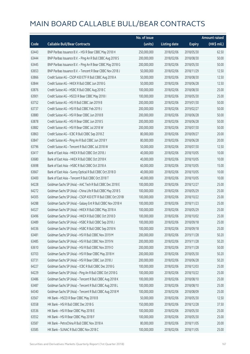|       |                                                              | No. of issue |                     |               | <b>Amount raised</b>  |
|-------|--------------------------------------------------------------|--------------|---------------------|---------------|-----------------------|
| Code  | <b>Callable Bull/Bear Contracts</b>                          | (units)      | <b>Listing date</b> | <b>Expiry</b> | $(HK\frac{1}{2}mil.)$ |
| 63443 | BNP Paribas Issuance B.V. - HSI R Bear CBBC May 2018 H       | 250,000,000  | 2018/02/06          | 2018/05/30    | 62.50                 |
| 63444 | BNP Paribas Issuance B.V. - Ping An R Bull CBBC Aug 2018 S   | 200,000,000  | 2018/02/06          | 2018/08/30    | 50.00                 |
| 63445 | BNP Paribas Issuance B.V. - Ping An R Bear CBBC May 2018 G   | 200,000,000  | 2018/02/06          | 2018/05/30    | 50.00                 |
| 63653 | BNP Paribas Issuance B.V. - Tencent R Bear CBBC Nov 2018 J   | 50,000,000   | 2018/02/06          | 2018/11/29    | 12.50                 |
| 63866 | Credit Suisse AG - CSOP A50 ETF R Bull CBBC Aug 2018 A       | 50,000,000   | 2018/02/06          | 2018/08/30    | 12.50                 |
| 63844 | Credit Suisse AG - HKEX R Bull CBBC Jun 2018 G               | 50,000,000   | 2018/02/06          | 2018/06/28    | 12.50                 |
| 63876 | Credit Suisse AG - HSBC R Bull CBBC Aug 2018 C               | 100,000,000  | 2018/02/06          | 2018/08/30    | 25.00                 |
| 63901 | Credit Suisse AG - HSCEI R Bear CBBC May 2018 I              | 100,000,000  | 2018/02/06          | 2018/05/30    | 25.00                 |
| 63752 | Credit Suisse AG - HSI R Bull CBBC Jan 2019 B                | 200,000,000  | 2018/02/06          | 2019/01/30    | 50.00                 |
| 63737 | Credit Suisse AG - HSI R Bull CBBC Feb 2019 J                | 200,000,000  | 2018/02/06          | 2019/02/27    | 50.00                 |
| 63880 | Credit Suisse AG - HSI R Bear CBBC Jun 2018 B                | 200,000,000  | 2018/02/06          | 2018/06/28    | 50.00                 |
| 63878 | Credit Suisse AG - HSI R Bear CBBC Jun 2018 S                | 200,000,000  | 2018/02/06          | 2018/06/28    | 50.00                 |
| 63882 | Credit Suisse AG - HSI R Bear CBBC Jul 2018 W                | 200,000,000  | 2018/02/06          | 2018/07/30    | 50.00                 |
| 63863 | Credit Suisse AG - ICBC R Bull CBBC Sep 2018 Z               | 80,000,000   | 2018/02/06          | 2018/09/27    | 20.00                 |
| 63847 | Credit Suisse AG - Ping An R Bull CBBC Jun 2018 Y            | 80,000,000   | 2018/02/06          | 2018/06/28    | 20.00                 |
| 63796 | Credit Suisse AG - Tencent R Bull CBBC Jul 2018 W            | 50,000,000   | 2018/02/06          | 2018/07/30    | 12.50                 |
| 63417 | Bank of East Asia - HKEX R Bull CBBC Oct 2018 J              | 40,000,000   | 2018/02/06          | 2018/10/05    | 10.00                 |
| 63680 | Bank of East Asia - HKEX R Bull CBBC Oct 2018 K              | 40,000,000   | 2018/02/06          | 2018/10/05    | 10.00                 |
| 63698 | Bank of East Asia - HSBC R Bull CBBC Oct 2018 A              | 60,000,000   | 2018/02/06          | 2018/10/05    | 15.00                 |
| 63667 | Bank of East Asia - Sunny Optical R Bull CBBC Oct 2018 D     | 40,000,000   | 2018/02/06          | 2018/10/05    | 10.00                 |
| 63400 | Bank of East Asia - Tencent R Bull CBBC Oct 2018 T           | 40,000,000   | 2018/02/06          | 2018/10/05    | 10.00                 |
| 64228 | Goldman Sachs SP (Asia) - AAC Tech R Bull CBBC Dec 2018 E    | 100,000,000  | 2018/02/06          | 2018/12/27    | 25.00                 |
| 64272 | Goldman Sachs SP (Asia) - China Life R Bull CBBC May 2018 S  | 100,000,000  | 2018/02/06          | 2018/05/29    | 25.00                 |
| 64305 | Goldman Sachs SP (Asia) - CSOP A50 ETF R Bull CBBC Oct 2018I | 100,000,000  | 2018/02/06          | 2018/10/22    | 25.00                 |
| 64288 | Goldman Sachs SP (Asia) - Galaxy Ent R Bull CBBC Nov 2018 H  | 100,000,000  | 2018/02/06          | 2018/11/23    | 25.00                 |
| 64327 | Goldman Sachs SP (Asia) - HKEX R Bull CBBC May 2018 A        | 100,000,000  | 2018/02/06          | 2018/05/29    | 25.00                 |
| 63496 | Goldman Sachs SP (Asia) - HKEX R Bull CBBC Oct 2018 D        | 100,000,000  | 2018/02/06          | 2018/10/02    | 25.00                 |
| 63489 | Goldman Sachs SP (Asia) - HSBC R Bull CBBC Sep 2018 J        | 100,000,000  | 2018/02/06          | 2018/09/18    | 25.00                 |
| 64336 | Goldman Sachs SP (Asia) - HSBC R Bull CBBC Sep 2018 N        | 100,000,000  | 2018/02/06          | 2018/09/18    | 25.00                 |
| 63481 | Goldman Sachs SP (Asia) - HSI R Bull CBBC Nov 2019 M         | 200,000,000  | 2018/02/06          | 2019/11/28    | 50.20                 |
| 63485 | Goldman Sachs SP (Asia) - HSI R Bull CBBC Nov 2019 N         | 200,000,000  | 2018/02/06          | 2019/11/28    | 50.20                 |
| 63610 | Goldman Sachs SP (Asia) - HSI R Bull CBBC Nov 2019 O         | 200,000,000  | 2018/02/06          | 2019/11/28    | 50.00                 |
| 63703 | Goldman Sachs SP (Asia) - HSI R Bear CBBC May 2018 H         | 200,000,000  | 2018/02/06          | 2018/05/30    | 50.20                 |
| 63731 | Goldman Sachs SP (Asia) - HSI R Bear CBBC Jun 2018 J         | 200,000,000  | 2018/02/06          | 2018/06/28    | 50.20                 |
| 64227 | Goldman Sachs SP (Asia) - ICBC R Bull CBBC Dec 2018 G        | 100,000,000  | 2018/02/06          | 2018/12/03    | 25.00                 |
| 64229 | Goldman Sachs SP (Asia) - Ping An R Bull CBBC Oct 2018 G     | 100,000,000  | 2018/02/06          | 2018/10/22    | 25.00                 |
| 63486 | Goldman Sachs SP (Asia) - Tencent R Bull CBBC Aug 2018 K     | 100,000,000  | 2018/02/06          | 2018/08/10    | 25.00                 |
| 63487 | Goldman Sachs SP (Asia) - Tencent R Bull CBBC Aug 2018 L     | 100,000,000  | 2018/02/06          | 2018/08/10    | 25.00                 |
| 64340 | Goldman Sachs SP (Asia) - Tencent R Bull CBBC Aug 2018 M     | 100,000,000  | 2018/02/06          | 2018/08/09    | 25.00                 |
| 63567 | HK Bank - HSCEI R Bear CBBC May 2018 B                       | 50,000,000   | 2018/02/06          | 2018/05/30    | 12.50                 |
| 63558 | HK Bank - HSI R Bull CBBC Dec 2018 G                         | 150,000,000  | 2018/02/06          | 2018/12/28    | 37.50                 |
| 63536 | HK Bank - HSI R Bear CBBC May 2018 E                         | 100,000,000  | 2018/02/06          | 2018/05/30    | 25.00                 |
| 63552 | HK Bank - HSI R Bear CBBC May 2018 F                         | 100,000,000  | 2018/02/06          | 2018/05/30    | 25.00                 |
| 63587 | HK Bank - PetroChina R Bull CBBC Nov 2018 A                  | 80,000,000   | 2018/02/06          | 2018/11/05    | 20.00                 |
| 63585 | HK Bank - SUNAC R Bull CBBC Nov 2018 C                       | 100,000,000  | 2018/02/06          | 2018/11/05    | 25.00                 |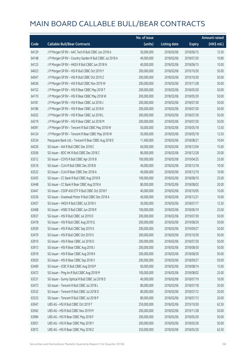|       |                                                          | No. of issue |                     |               | <b>Amount raised</b>  |
|-------|----------------------------------------------------------|--------------|---------------------|---------------|-----------------------|
| Code  | <b>Callable Bull/Bear Contracts</b>                      | (units)      | <b>Listing date</b> | <b>Expiry</b> | $(HK\frac{1}{2}mil.)$ |
| 64129 | J P Morgan SP BV - AAC Tech R Bull CBBC Jun 2018 A       | 50,000,000   | 2018/02/06          | 2018/06/15    | 12.50                 |
| 64148 | J P Morgan SP BV - Country Garden R Bull CBBC Jul 2018 A | 40,000,000   | 2018/02/06          | 2018/07/20    | 10.80                 |
| 64123 | J P Morgan SP BV - HKEX R Bull CBBC Jun 2018 N           | 40,000,000   | 2018/02/06          | 2018/06/15    | 10.00                 |
| 64023 | J P Morgan SP BV - HSI R Bull CBBC Oct 2019 Y            | 200,000,000  | 2018/02/06          | 2019/10/30    | 50.00                 |
| 64047 | JP Morgan SP BV - HSIR Bull CBBC Oct 2019 Z              | 200,000,000  | 2018/02/06          | 2019/10/30    | 50.00                 |
| 64036 | J P Morgan SP BV - HSI R Bull CBBC Nov 2019 W            | 200,000,000  | 2018/02/06          | 2019/11/28    | 50.00                 |
| 64152 | J P Morgan SP BV - HSI R Bear CBBC May 2018 T            | 200,000,000  | 2018/02/06          | 2018/05/30    | 50.00                 |
| 64170 | J P Morgan SP BV - HSI R Bear CBBC May 2018 W            | 200,000,000  | 2018/02/06          | 2018/05/30    | 50.00                 |
| 64181 | J P Morgan SP BV - HSI R Bear CBBC Jul 2018 J            | 200,000,000  | 2018/02/06          | 2018/07/30    | 50.00                 |
| 64186 | J P Morgan SP BV - HSI R Bear CBBC Jul 2018 K            | 200,000,000  | 2018/02/06          | 2018/07/30    | 50.00                 |
| 64202 | J P Morgan SP BV - HSI R Bear CBBC Jul 2018 L            | 200,000,000  | 2018/02/06          | 2018/07/30    | 50.00                 |
| 64219 | J P Morgan SP BV - HSI R Bear CBBC Jul 2018 M            | 200,000,000  | 2018/02/06          | 2018/07/30    | 50.00                 |
| 64091 | J P Morgan SP BV - Tencent R Bull CBBC May 2018 W        | 50,000,000   | 2018/02/06          | 2018/05/18    | 12.50                 |
| 64124 | J P Morgan SP BV - Tencent R Bear CBBC May 2018 W        | 50,000,000   | 2018/02/06          | 2018/05/18    | 12.50                 |
| 63534 | Macquarie Bank Ltd. - Tencent R Bear CBBC Aug 2018 E     | 11,400,000   | 2018/02/06          | 2018/08/21    | 10.04                 |
| 64226 | SG Issuer - AIA R Bull CBBC Dec 2018 C                   | 60,000,000   | 2018/02/06          | 2018/12/04    | 15.00                 |
| 63506 | SG Issuer - BOC HK R Bull CBBC Dec 2018 C                | 80,000,000   | 2018/02/06          | 2018/12/28    | 20.00                 |
| 63512 | SG Issuer - COVS R Bull CBBC Apr 2019 B                  | 100,000,000  | 2018/02/06          | 2019/04/25    | 25.00                 |
| 63516 | SG Issuer - CUni R Bull CBBC Dec 2018 B                  | 40,000,000   | 2018/02/06          | 2018/12/18    | 10.00                 |
| 63522 | SG Issuer - CUni R Bear CBBC Dec 2018 A                  | 40,000,000   | 2018/02/06          | 2018/12/19    | 10.00                 |
| 63455 | SG Issuer - CC Bank R Bull CBBC Aug 2018 R               | 100,000,000  | 2018/02/06          | 2018/08/10    | 25.00                 |
| 63448 | SG Issuer - CC Bank R Bear CBBC Aug 2018 A               | 80,000,000   | 2018/02/06          | 2018/08/02    | 20.00                 |
| 63447 | SG Issuer - CSOP A50 ETF R Bull CBBC Oct 2018 F          | 40,000,000   | 2018/02/06          | 2018/10/05    | 10.00                 |
| 63526 | SG Issuer - Greatwall Motor R Bull CBBC Dec 2018 A       | 40,000,000   | 2018/02/06          | 2018/12/21    | 10.00                 |
| 63457 | SG Issuer - HKEX R Bull CBBC Jul 2018 V                  | 50,000,000   | 2018/02/06          | 2018/07/17    | 12.50                 |
| 63468 | SG Issuer - HSBC R Bull CBBC Jun 2018 R                  | 100,000,000  | 2018/02/06          | 2018/06/19    | 25.00                 |
| 63937 | SG Issuer - HSI R Bull CBBC Jul 2019 D                   | 200,000,000  | 2018/02/06          | 2019/07/30    | 50.00                 |
| 63478 | SG Issuer - HSI R Bull CBBC Aug 2019 Q                   | 200,000,000  | 2018/02/06          | 2019/08/29    | 50.00                 |
| 63939 | SG Issuer - HSI R Bull CBBC Sep 2019 X                   | 200,000,000  | 2018/02/06          | 2019/09/27    | 50.00                 |
| 63479 | SG Issuer - HSI R Bull CBBC Oct 2019 S                   | 200,000,000  | 2018/02/06          | 2019/10/30    | 50.00                 |
| 63910 | SG Issuer - HSI R Bear CBBC Jul 2018 O                   | 200,000,000  | 2018/02/06          | 2018/07/30    | 50.00                 |
| 63913 | SG Issuer - HSI R Bear CBBC Aug 2018 J                   | 200,000,000  | 2018/02/06          | 2018/08/30    | 50.00                 |
| 63919 | SG Issuer - HSI R Bear CBBC Aug 2018 K                   | 200,000,000  | 2018/02/06          | 2018/08/30    | 50.00                 |
| 63920 | SG Issuer - HSI R Bear CBBC Sep 2018 V                   | 200,000,000  | 2018/02/06          | 2018/09/27    | 50.00                 |
| 63469 | SG Issuer - ICBC R Bull CBBC Aug 2018 P                  | 60,000,000   | 2018/02/06          | 2018/08/14    | 15.00                 |
| 63472 | SG Issuer - Ping An R Bull CBBC Aug 2018 M               | 100,000,000  | 2018/02/06          | 2018/08/02    | 25.00                 |
| 63531 | SG Issuer - Sunny Optical R Bull CBBC Jul 2018 D         | 40,000,000   | 2018/02/06          | 2018/07/19    | 10.00                 |
| 63473 | SG Issuer - Tencent R Bull CBBC Jul 2018 L               | 80,000,000   | 2018/02/06          | 2018/07/18    | 20.00                 |
| 63532 | SG Issuer - Tencent R Bull CBBC Jul 2018 O               | 80,000,000   | 2018/02/06          | 2018/07/12    | 20.00                 |
| 63533 | SG Issuer - Tencent R Bull CBBC Jul 2018 P               | 80,000,000   | 2018/02/06          | 2018/07/13    | 20.00                 |
| 63947 | UBS AG - HSI R Bull CBBC Oct 2019 T                      | 250,000,000  | 2018/02/06          | 2019/10/30    | 62.50                 |
| 63942 | UBS AG - HSI R Bull CBBC Nov 2019 M                      | 200,000,000  | 2018/02/06          | 2019/11/28    | 50.00                 |
| 63984 | UBS AG - HSI R Bear CBBC May 2018 F                      | 200,000,000  | 2018/02/06          | 2018/05/30    | 50.00                 |
| 63951 | UBS AG - HSI R Bear CBBC May 2018 Y                      | 200,000,000  | 2018/02/06          | 2018/05/30    | 50.00                 |
| 63972 | UBS AG - HSI R Bear CBBC May 2018 Z                      | 250,000,000  | 2018/02/06          | 2018/05/30    | 62.50                 |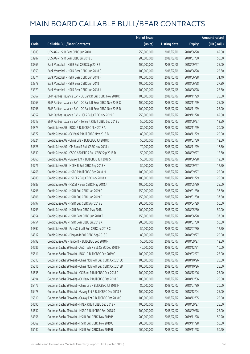|       |                                                              | No. of issue |                     |               | <b>Amount raised</b> |
|-------|--------------------------------------------------------------|--------------|---------------------|---------------|----------------------|
| Code  | <b>Callable Bull/Bear Contracts</b>                          | (units)      | <b>Listing date</b> | <b>Expiry</b> | (HK\$ mil.)          |
| 63983 | UBS AG - HSI R Bear CBBC Jun 2018 I                          | 250,000,000  | 2018/02/06          | 2018/06/28    | 62.50                |
| 63987 | UBS AG - HSI R Bear CBBC Jul 2018 E                          | 200,000,000  | 2018/02/06          | 2018/07/30    | 50.00                |
| 63365 | Bank Vontobel - HSI R Bull CBBC Sep 2018 S                   | 100,000,000  | 2018/02/06          | 2018/09/27    | 25.00                |
| 63359 | Bank Vontobel - HSI R Bear CBBC Jun 2018 G                   | 100,000,000  | 2018/02/06          | 2018/06/28    | 25.30                |
| 63374 | Bank Vontobel - HSI R Bear CBBC Jun 2018 H                   | 100,000,000  | 2018/02/06          | 2018/06/28    | 31.40                |
| 63378 | Bank Vontobel - HSI R Bear CBBC Jun 2018                     | 100,000,000  | 2018/02/06          | 2018/06/28    | 27.30                |
| 63379 | Bank Vontobel - HSI R Bear CBBC Jun 2018 J                   | 100,000,000  | 2018/02/06          | 2018/06/28    | 25.30                |
| 65067 | BNP Paribas Issuance B.V. - CC Bank R Bull CBBC Nov 2018 D   | 100,000,000  | 2018/02/07          | 2018/11/29    | 25.00                |
| 65063 | BNP Paribas Issuance B.V. - CC Bank R Bear CBBC Nov 2018 C   | 100,000,000  | 2018/02/07          | 2018/11/29    | 25.00                |
| 65098 | BNP Paribas Issuance B.V. - CC Bank R Bear CBBC Nov 2018 D   | 100,000,000  | 2018/02/07          | 2018/11/29    | 25.00                |
| 64352 | BNP Paribas Issuance B.V. - HSI R Bull CBBC Nov 2019 B       | 250,000,000  | 2018/02/07          | 2019/11/28    | 62.50                |
| 64613 | BNP Paribas Issuance B.V. - Tencent R Bull CBBC Sep 2018 V   | 50,000,000   | 2018/02/07          | 2018/09/27    | 12.50                |
| 64873 | Credit Suisse AG - BOCL R Bull CBBC Nov 2018 A               | 80,000,000   | 2018/02/07          | 2018/11/29    | 20.00                |
| 64872 | Credit Suisse AG - CC Bank R Bull CBBC Nov 2018 B            | 80,000,000   | 2018/02/07          | 2018/11/29    | 20.00                |
| 64824 | Credit Suisse AG - China Life R Bull CBBC Jul 2018 D         | 50,000,000   | 2018/02/07          | 2018/07/30    | 12.50                |
| 64828 | Credit Suisse AG - CM Bank R Bull CBBC Nov 2018 K            | 70,000,000   | 2018/02/07          | 2018/11/29    | 17.50                |
| 64830 | Credit Suisse AG - CSOP A50 ETF R Bull CBBC Sep 2018 D       | 50,000,000   | 2018/02/07          | 2018/09/27    | 12.50                |
| 64860 | Credit Suisse AG - Galaxy Ent R Bull CBBC Jun 2018 S         | 50,000,000   | 2018/02/07          | 2018/06/28    | 12.50                |
| 64776 | Credit Suisse AG - HKEX R Bull CBBC Sep 2018 K               | 50,000,000   | 2018/02/07          | 2018/09/27    | 12.50                |
| 64768 | Credit Suisse AG - HSBC R Bull CBBC Sep 2018 M               | 100,000,000  | 2018/02/07          | 2018/09/27    | 25.00                |
| 64880 | Credit Suisse AG - HSCEI R Bull CBBC Nov 2018 K              | 100,000,000  | 2018/02/07          | 2018/11/29    | 25.00                |
| 64883 | Credit Suisse AG - HSCEI R Bear CBBC May 2018 J              | 100,000,000  | 2018/02/07          | 2018/05/30    | 25.00                |
| 64796 | Credit Suisse AG - HSI R Bull CBBC Jan 2019 C                | 150,000,000  | 2018/02/07          | 2019/01/30    | 37.50                |
| 64806 | Credit Suisse AG - HSI R Bull CBBC Jan 2019 D                | 150,000,000  | 2018/02/07          | 2019/01/30    | 37.50                |
| 64797 | Credit Suisse AG - HSI R Bull CBBC Apr 2019 E                | 200,000,000  | 2018/02/07          | 2019/04/29    | 50.00                |
| 64793 | Credit Suisse AG - HSI R Bear CBBC May 2018 J                | 200,000,000  | 2018/02/07          | 2018/05/30    | 50.00                |
| 64854 | Credit Suisse AG - HSI R Bear CBBC Jun 2018 T                | 150,000,000  | 2018/02/07          | 2018/06/28    | 37.50                |
| 64754 | Credit Suisse AG - HSI R Bear CBBC Jul 2018 X                | 200,000,000  | 2018/02/07          | 2018/07/30    | 50.00                |
| 64892 | Credit Suisse AG - PetroChina R Bull CBBC Jul 2018 C         | 50,000,000   | 2018/02/07          | 2018/07/30    | 12.50                |
| 64812 | Credit Suisse AG - Ping An R Bull CBBC Sep 2018 C            | 80,000,000   | 2018/02/07          | 2018/09/27    | 20.00                |
| 64792 | Credit Suisse AG - Tencent R Bull CBBC Sep 2018 N            | 50,000,000   | 2018/02/07          | 2018/09/27    | 12.50                |
| 64686 | Goldman Sachs SP (Asia) - AAC Tech R Bull CBBC Dec 2018 F    | 40,000,000   | 2018/02/07          | 2018/12/21    | 10.00                |
| 65511 | Goldman Sachs SP (Asia) - BOCL R Bull CBBC Feb 2019 C        | 100,000,000  | 2018/02/07          | 2019/02/27    | 25.00                |
| 65513 | Goldman Sachs SP (Asia) - China Mobile R Bull CBBC Oct 2018O | 100,000,000  | 2018/02/07          | 2018/10/26    | 25.00                |
| 65516 | Goldman Sachs SP (Asia) - China Mobile R Bull CBBC Oct 2018P | 100,000,000  | 2018/02/07          | 2018/10/26    | 25.00                |
| 64635 | Goldman Sachs SP (Asia) - CC Bank R Bull CBBC Dec 2018 C     | 100,000,000  | 2018/02/07          | 2018/12/06    | 25.00                |
| 64694 | Goldman Sachs SP (Asia) - CC Bank R Bull CBBC Dec 2018 D     | 100,000,000  | 2018/02/07          | 2018/12/06    | 25.00                |
| 65475 | Goldman Sachs SP (Asia) - China Life R Bull CBBC Jul 2018 F  | 80,000,000   | 2018/02/07          | 2018/07/30    | 20.00                |
| 65478 | Goldman Sachs SP (Asia) - Galaxy Ent R Bull CBBC Dec 2018 B  | 100,000,000  | 2018/02/07          | 2018/12/04    | 25.00                |
| 65510 | Goldman Sachs SP (Asia) - Galaxy Ent R Bull CBBC Dec 2018 C  | 100,000,000  | 2018/02/07          | 2018/12/05    | 25.00                |
| 64690 | Goldman Sachs SP (Asia) - HKEX R Bull CBBC Sep 2018 R        | 100,000,000  | 2018/02/07          | 2018/09/27    | 25.00                |
| 64632 | Goldman Sachs SP (Asia) - HSBC R Bull CBBC Sep 2018 S        | 100,000,000  | 2018/02/07          | 2018/09/18    | 25.00                |
| 64356 | Goldman Sachs SP (Asia) - HSI R Bull CBBC Nov 2019 P         | 200,000,000  | 2018/02/07          | 2019/11/28    | 50.20                |
| 64362 | Goldman Sachs SP (Asia) - HSI R Bull CBBC Nov 2019 Q         | 200,000,000  | 2018/02/07          | 2019/11/28    | 50.00                |
| 65142 | Goldman Sachs SP (Asia) - HSI R Bull CBBC Nov 2019 R         | 200,000,000  | 2018/02/07          | 2019/11/28    | 50.20                |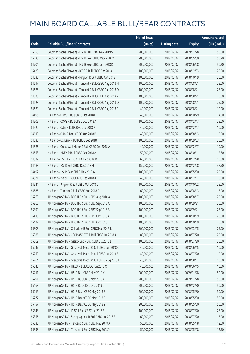|       |                                                           | No. of issue |                     |               | <b>Amount raised</b> |
|-------|-----------------------------------------------------------|--------------|---------------------|---------------|----------------------|
| Code  | <b>Callable Bull/Bear Contracts</b>                       | (units)      | <b>Listing date</b> | <b>Expiry</b> | (HK\$ mil.)          |
| 65155 | Goldman Sachs SP (Asia) - HSI R Bull CBBC Nov 2019 S      | 200,000,000  | 2018/02/07          | 2019/11/28    | 50.00                |
| 65133 | Goldman Sachs SP (Asia) - HSI R Bear CBBC May 2018 X      | 200,000,000  | 2018/02/07          | 2018/05/30    | 50.20                |
| 64704 | Goldman Sachs SP (Asia) - HSI R Bear CBBC Jun 2018 K      | 200,000,000  | 2018/02/07          | 2018/06/28    | 50.20                |
| 65423 | Goldman Sachs SP (Asia) - ICBC R Bull CBBC Dec 2018 H     | 100,000,000  | 2018/02/07          | 2018/12/03    | 25.00                |
| 64630 | Goldman Sachs SP (Asia) - Ping An R Bull CBBC Oct 2018 H  | 100,000,000  | 2018/02/07          | 2018/10/19    | 25.00                |
| 64617 | Goldman Sachs SP (Asia) - Tencent R Bull CBBC Aug 2018 N  | 100,000,000  | 2018/02/07          | 2018/08/21    | 25.00                |
| 64625 | Goldman Sachs SP (Asia) - Tencent R Bull CBBC Aug 2018 O  | 100,000,000  | 2018/02/07          | 2018/08/21    | 25.00                |
| 64626 | Goldman Sachs SP (Asia) - Tencent R Bull CBBC Aug 2018 P  | 100,000,000  | 2018/02/07          | 2018/08/21    | 25.00                |
| 64628 | Goldman Sachs SP (Asia) - Tencent R Bull CBBC Aug 2018 Q  | 100,000,000  | 2018/02/07          | 2018/08/21    | 25.00                |
| 64629 | Goldman Sachs SP (Asia) - Tencent R Bull CBBC Aug 2018 R  | 40,000,000   | 2018/02/07          | 2018/08/21    | 10.00                |
| 64496 | HK Bank - COVS R Bull CBBC Oct 2018 D                     | 40,000,000   | 2018/02/07          | 2018/10/29    | 14.00                |
| 64505 | HK Bank - COVS R Bull CBBC Dec 2018 A                     | 100,000,000  | 2018/02/07          | 2018/12/17    | 25.00                |
| 64520 | HK Bank - CUni R Bull CBBC Dec 2018 A                     | 40,000,000   | 2018/02/07          | 2018/12/17    | 10.00                |
| 64610 | HK Bank - CUni R Bear CBBC Aug 2018 B                     | 40,000,000   | 2018/02/07          | 2018/08/13    | 10.00                |
| 64535 | HK Bank - CC Bank R Bull CBBC Sep 2018 I                  | 100,000,000  | 2018/02/07          | 2018/09/03    | 25.00                |
| 64526 | HK Bank - Great Wall Motor R Bull CBBC Dec 2018 A         | 40,000,000   | 2018/02/07          | 2018/12/17    | 10.00                |
| 64553 | HK Bank - HKEX R Bull CBBC Oct 2018 A                     | 50,000,000   | 2018/02/07          | 2018/10/11    | 12.50                |
| 64527 | HK Bank - HSCEI R Bull CBBC Dec 2018 D                    | 60,000,000   | 2018/02/07          | 2018/12/28    | 15.00                |
| 64488 | HK Bank - HSI R Bull CBBC Dec 2018 H                      | 150,000,000  | 2018/02/07          | 2018/12/28    | 37.50                |
| 64492 | HK Bank - HSI R Bear CBBC May 2018 G                      | 100,000,000  | 2018/02/07          | 2018/05/30    | 25.00                |
| 64521 | HK Bank - Meitu R Bull CBBC Dec 2018 A                    | 40,000,000   | 2018/02/07          | 2018/12/17    | 10.00                |
| 64544 | HK Bank - Ping An R Bull CBBC Oct 2018 O                  | 100,000,000  | 2018/02/07          | 2018/10/02    | 25.00                |
| 64585 | HK Bank - Tencent R Bull CBBC Aug 2018 T                  | 60,000,000   | 2018/02/07          | 2018/08/13    | 15.00                |
| 65269 | J P Morgan SP BV - BOC HK R Bull CBBC Aug 2018 A          | 100,000,000  | 2018/02/07          | 2018/08/17    | 25.00                |
| 65268 | J P Morgan SP BV - BOC HK R Bull CBBC Sep 2018 A          | 100,000,000  | 2018/02/07          | 2018/09/21    | 25.00                |
| 65399 | J P Morgan SP BV - BOC HK R Bull CBBC Sep 2018 B          | 100,000,000  | 2018/02/07          | 2018/09/21    | 25.00                |
| 65419 | J P Morgan SP BV - BOC HK R Bull CBBC Oct 2018 A          | 100,000,000  | 2018/02/07          | 2018/10/19    | 25.00                |
| 65422 | J P Morgan SP BV - BOC HK R Bull CBBC Oct 2018 B          | 100,000,000  | 2018/02/07          | 2018/10/19    | 25.00                |
| 65303 | J P Morgan SP BV - China Life R Bull CBBC Mar 2019 B      | 300,000,000  | 2018/02/07          | 2019/03/15    | 75.00                |
| 65386 | J P Morgan SP BV - CSOP A50 ETF R Bull CBBC Jul 2018 A    | 80,000,000   | 2018/02/07          | 2018/07/20    | 20.00                |
| 65369 | J P Morgan SP BV - Galaxy Ent R Bull CBBC Jul 2018 B      | 100,000,000  | 2018/02/07          | 2018/07/20    | 25.00                |
| 65247 | J P Morgan SP BV - Greatwall Motor R Bull CBBC Jun 2018 C | 40,000,000   | 2018/02/07          | 2018/06/15    | 10.00                |
| 65259 | J P Morgan SP BV - Greatwall Motor R Bull CBBC Jul 2018 B | 40,000,000   | 2018/02/07          | 2018/07/20    | 10.00                |
| 65264 | J P Morgan SP BV - Greatwall Motor R Bull CBBC Aug 2018 B | 40,000,000   | 2018/02/07          | 2018/08/17    | 10.00                |
| 65340 | J P Morgan SP BV - HKEX R Bull CBBC Jun 2018 O            | 40,000,000   | 2018/02/07          | 2018/06/15    | 10.00                |
| 65211 | J P Morgan SP BV - HSI R Bull CBBC Nov 2019 X             | 200,000,000  | 2018/02/07          | 2019/11/28    | 50.00                |
| 65291 | J P Morgan SP BV - HSI R Bull CBBC Nov 2019 Y             | 200,000,000  | 2018/02/07          | 2019/11/28    | 50.00                |
| 65168 | J P Morgan SP BV - HSI R Bull CBBC Dec 2019 U             | 200,000,000  | 2018/02/07          | 2019/12/30    | 50.00                |
| 65215 | J P Morgan SP BV - HSI R Bear CBBC May 2018 B             | 200,000,000  | 2018/02/07          | 2018/05/30    | 50.00                |
| 65277 | J P Morgan SP BV - HSI R Bear CBBC May 2018 F             | 200,000,000  | 2018/02/07          | 2018/05/30    | 50.00                |
| 65157 | J P Morgan SP BV - HSI R Bear CBBC May 2018 Y             | 200,000,000  | 2018/02/07          | 2018/05/30    | 50.00                |
| 65348 | J P Morgan SP BV - ICBC R Bull CBBC Jul 2018 E            | 100,000,000  | 2018/02/07          | 2018/07/20    | 25.00                |
| 65356 | J P Morgan SP BV - Sunny Optical R Bull CBBC Jul 2018 B   | 60,000,000   | 2018/02/07          | 2018/07/20    | 15.00                |
| 65335 | J P Morgan SP BV - Tencent R Bull CBBC May 2018 X         | 50,000,000   | 2018/02/07          | 2018/05/18    | 12.50                |
| 65338 | J P Morgan SP BV - Tencent R Bull CBBC May 2018 Y         | 50,000,000   | 2018/02/07          | 2018/05/18    | 12.50                |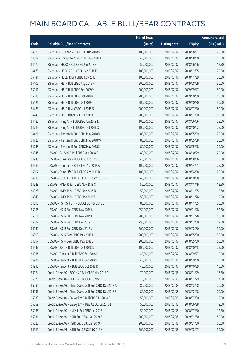|       |                                                          | No. of issue |                     |               | <b>Amount raised</b> |
|-------|----------------------------------------------------------|--------------|---------------------|---------------|----------------------|
| Code  | <b>Callable Bull/Bear Contracts</b>                      | (units)      | <b>Listing date</b> | <b>Expiry</b> | (HK\$ mil.)          |
| 64380 | SG Issuer - CC Bank R Bull CBBC Aug 2018 S               | 100,000,000  | 2018/02/07          | 2018/08/01    | 25.00                |
| 64392 | SG Issuer - China Life R Bull CBBC Aug 2018 E            | 40,000,000   | 2018/02/07          | 2018/08/10    | 10.00                |
| 64470 | SG Issuer - HKEX R Bull CBBC Jun 2018 E                  | 50,000,000   | 2018/02/07          | 2018/06/26    | 12.50                |
| 64476 | SG Issuer - HSBC R Bull CBBC Dec 2018 E                  | 100,000,000  | 2018/02/07          | 2018/12/05    | 25.00                |
| 65131 | SG Issuer - HSCEI R Bull CBBC Nov 2018 T                 | 100,000,000  | 2018/02/07          | 2018/11/29    | 25.00                |
| 65109 | SG Issuer - HSI R Bull CBBC Aug 2019 R                   | 200,000,000  | 2018/02/07          | 2019/08/29    | 50.00                |
| 65111 | SG Issuer - HSI R Bull CBBC Sep 2019 Y                   | 200,000,000  | 2018/02/07          | 2019/09/27    | 50.00                |
| 65115 | SG Issuer - HSI R Bull CBBC Oct 2019 Q                   | 200,000,000  | 2018/02/07          | 2019/10/30    | 50.00                |
| 65121 | SG Issuer - HSI R Bull CBBC Oct 2019 T                   | 200,000,000  | 2018/02/07          | 2019/10/30    | 50.00                |
| 64483 | SG Issuer - HSI R Bear CBBC Jul 2018 S                   | 200,000,000  | 2018/02/07          | 2018/07/30    | 50.00                |
| 64749 | SG Issuer - HSI R Bear CBBC Jul 2018 U                   | 200,000,000  | 2018/02/07          | 2018/07/30    | 50.00                |
| 64480 | SG Issuer - Ping An R Bull CBBC Jun 2018 R               | 100,000,000  | 2018/02/07          | 2018/06/06    | 25.00                |
| 64715 | SG Issuer - Ping An R Bull CBBC Oct 2018 X               | 100,000,000  | 2018/02/07          | 2018/10/22    | 25.00                |
| 64481 | SG Issuer - Tencent R Bull CBBC May 2018 V               | 80,000,000   | 2018/02/07          | 2018/05/09    | 20.00                |
| 64723 | SG Issuer - Tencent R Bull CBBC May 2018 W               | 80,000,000   | 2018/02/07          | 2018/05/08    | 20.00                |
| 64745 | SG Issuer - Tencent R Bull CBBC May 2018 X               | 80,000,000   | 2018/02/07          | 2018/05/08    | 20.00                |
| 64946 | UBS AG - CC Bank R Bull CBBC Oct 2018 C                  | 80,000,000   | 2018/02/07          | 2018/10/29    | 20.00                |
| 64948 | UBS AG - China Life R Bull CBBC Aug 2018 D               | 40,000,000   | 2018/02/07          | 2018/08/06    | 10.00                |
| 64989 | UBS AG - China Life R Bull CBBC Apr 2019 A               | 100,000,000  | 2018/02/07          | 2019/04/01    | 25.00                |
| 65007 | UBS AG - China Life R Bull CBBC Apr 2019 B               | 100,000,000  | 2018/02/07          | 2019/04/08    | 25.00                |
| 64910 | UBS AG - CSOP A50 ETF R Bull CBBC Oct 2018 B             | 40,000,000   | 2018/02/07          | 2018/10/08    | 10.00                |
| 64923 | UBS AG - HKEX R Bull CBBC Nov 2018 C                     | 50,000,000   | 2018/02/07          | 2018/11/19    | 12.50                |
| 64928 | UBS AG - HKEX R Bull CBBC Nov 2018 D                     | 50,000,000   | 2018/02/07          | 2018/11/05    | 12.50                |
| 64945 | UBS AG - HKEX R Bull CBBC Nov 2018 E                     | 50,000,000   | 2018/02/07          | 2018/11/26    | 12.50                |
| 64898 | UBS AG - HS H-SH ETF R Bull CBBC Nov 2018 B              | 80,000,000   | 2018/02/07          | 2018/11/05    | 20.00                |
| 65056 | UBS AG - HSI R Bull CBBC Nov 2019 N                      | 250,000,000  | 2018/02/07          | 2019/11/28    | 62.50                |
| 65061 | UBS AG - HSI R Bull CBBC Nov 2019 O                      | 200,000,000  | 2018/02/07          | 2019/11/28    | 50.00                |
| 65022 | UBS AG - HSI R Bull CBBC Dec 2019 L                      | 250,000,000  | 2018/02/07          | 2019/12/30    | 62.50                |
| 65040 | UBS AG - HSI R Bull CBBC Dec 2019 J                      | 200,000,000  | 2018/02/07          | 2019/12/30    | 50.00                |
| 64893 | UBS AG - HSI R Bear CBBC May 2018 I                      | 200,000,000  | 2018/02/07          | 2018/05/30    | 50.00                |
| 64897 | UBS AG - HSI R Bear CBBC May 2018 J                      | 200,000,000  | 2018/02/07          | 2018/05/30    | 50.00                |
| 64947 | UBS AG - ICBC R Bull CBBC Oct 2018 D                     | 100,000,000  | 2018/02/07          | 2018/10/15    | 25.00                |
| 64916 | UBS AG - Tencent R Bull CBBC Sep 2018 D                  | 40,000,000   | 2018/02/07          | 2018/09/27    | 10.00                |
| 64921 | UBS AG - Tencent R Bull CBBC Sep 2018 E                  | 40,000,000   | 2018/02/07          | 2018/09/10    | 10.00                |
| 64913 | UBS AG - Tencent R Bull CBBC Oct 2018 D                  | 40,000,000   | 2018/02/07          | 2018/10/29    | 10.00                |
| 66074 | Credit Suisse AG - BOC HK R Bull CBBC Nov 2018 A         | 70,000,000   | 2018/02/08          | 2018/11/29    | 17.50                |
| 66079 | Credit Suisse AG - BOC HK R Bull CBBC Nov 2018 B         | 70,000,000   | 2018/02/08          | 2018/11/29    | 17.50                |
| 66095 | Credit Suisse AG - China Overseas R Bull CBBC Dec 2018 A | 80,000,000   | 2018/02/08          | 2018/12/28    | 20.00                |
| 66097 | Credit Suisse AG - China Overseas R Bull CBBC Dec 2018 B | 80,000,000   | 2018/02/08          | 2018/12/28    | 20.00                |
| 65933 | Credit Suisse AG - Galaxy Ent R Bull CBBC Jul 2018 F     | 50,000,000   | 2018/02/08          | 2018/07/30    | 12.50                |
| 66059 | Credit Suisse AG - Galaxy Ent R Bear CBBC Jun 2018 E     | 50,000,000   | 2018/02/08          | 2018/06/28    | 12.50                |
| 65935 | Credit Suisse AG - HKEX R Bull CBBC Jul 2018 I           | 50,000,000   | 2018/02/08          | 2018/07/30    | 12.50                |
| 65931 | Credit Suisse AG - HSI R Bull CBBC Jan 2019 E            | 200,000,000  | 2018/02/08          | 2019/01/30    | 50.00                |
| 66020 | Credit Suisse AG - HSI R Bull CBBC Jan 2019 F            | 200,000,000  | 2018/02/08          | 2019/01/30    | 50.00                |
| 65969 | Credit Suisse AG - HSI R Bull CBBC Feb 2019 K            | 200,000,000  | 2018/02/08          | 2019/02/27    | 50.00                |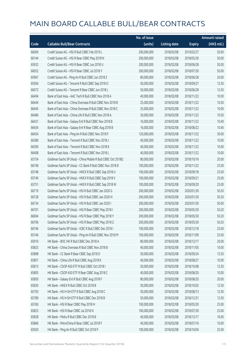|       |                                                              | No. of issue |                     |               | <b>Amount raised</b> |
|-------|--------------------------------------------------------------|--------------|---------------------|---------------|----------------------|
| Code  | <b>Callable Bull/Bear Contracts</b>                          | (units)      | <b>Listing date</b> | <b>Expiry</b> | (HK\$ mil.)          |
| 66009 | Credit Suisse AG - HSI R Bull CBBC Feb 2019 L                | 200,000,000  | 2018/02/08          | 2019/02/27    | 50.00                |
| 66144 | Credit Suisse AG - HSI R Bear CBBC May 2018 N                | 200,000,000  | 2018/02/08          | 2018/05/30    | 50.00                |
| 65932 | Credit Suisse AG - HSI R Bear CBBC Jun 2018 U                | 200,000,000  | 2018/02/08          | 2018/06/28    | 50.00                |
| 66052 | Credit Suisse AG - HSI R Bear CBBC Jul 2018 Y                | 200,000,000  | 2018/02/08          | 2018/07/30    | 50.00                |
| 65967 | Credit Suisse AG - Ping An R Bull CBBC Jun 2018 Z            | 80,000,000   | 2018/02/08          | 2018/06/28    | 20.00                |
| 65956 | Credit Suisse AG - Tencent R Bull CBBC Sep 2018 O            | 50,000,000   | 2018/02/08          | 2018/09/27    | 12.50                |
| 66072 | Credit Suisse AG - Tencent R Bear CBBC Jun 2018 L            | 50,000,000   | 2018/02/08          | 2018/06/28    | 12.50                |
| 66494 | Bank of East Asia - AAC Tech R Bull CBBC Nov 2018 A          | 40,000,000   | 2018/02/08          | 2018/11/22    | 10.00                |
| 66444 | Bank of East Asia - China Overseas R Bull CBBC Nov 2018 B    | 25,000,000   | 2018/02/08          | 2018/11/22    | 10.50                |
| 66445 | Bank of East Asia - China Overseas R Bull CBBC Nov 2018 C    | 25,000,000   | 2018/02/08          | 2018/11/22    | 10.00                |
| 66486 | Bank of East Asia - China Life R Bull CBBC Nov 2018 A        | 30,000,000   | 2018/02/08          | 2018/11/22    | 10.50                |
| 66431 | Bank of East Asia - Galaxy Ent R Bull CBBC Nov 2018 B        | 16,000,000   | 2018/02/08          | 2018/11/22    | 10.40                |
| 66434 | Bank of East Asia - Galaxy Ent R Bear CBBC Aug 2018 B        | 16,000,000   | 2018/02/08          | 2018/08/22    | 10.40                |
| 66454 | Bank of East Asia - Ping An R Bull CBBC Nov 2018 F           | 120,000,000  | 2018/02/08          | 2018/11/22    | 30.00                |
| 66389 | Bank of East Asia - Tencent R Bull CBBC Nov 2018 J           | 40,000,000   | 2018/02/08          | 2018/11/22    | 10.00                |
| 66390 | Bank of East Asia - Tencent R Bull CBBC Nov 2018 K           | 40,000,000   | 2018/02/08          | 2018/11/22    | 10.00                |
| 66408 | Bank of East Asia - Tencent R Bull CBBC Nov 2018 L           | 40,000,000   | 2018/02/08          | 2018/11/22    | 10.00                |
| 65754 | Goldman Sachs SP (Asia) - China Mobile R Bull CBBC Oct 2018Q | 80,000,000   | 2018/02/08          | 2018/10/16    | 20.00                |
| 66748 | Goldman Sachs SP (Asia) - CC Bank R Bull CBBC Nov 2018 B     | 100,000,000  | 2018/02/08          | 2018/11/22    | 25.00                |
| 65748 | Goldman Sachs SP (Asia) - HKEX R Bull CBBC Sep 2018 U        | 100,000,000  | 2018/02/08          | 2018/09/18    | 25.00                |
| 65749 | Goldman Sachs SP (Asia) - HKEX R Bull CBBC Sep 2018 V        | 100,000,000  | 2018/02/08          | 2018/09/21    | 25.00                |
| 65751 | Goldman Sachs SP (Asia) - HKEX R Bull CBBC Sep 2018 W        | 100,000,000  | 2018/02/08          | 2018/09/20    | 25.00                |
| 66719 | Goldman Sachs SP (Asia) - HSI R Bull CBBC Jan 2020 G         | 200,000,000  | 2018/02/08          | 2020/01/30    | 50.20                |
| 66728 | Goldman Sachs SP (Asia) - HSI R Bull CBBC Jan 2020 H         | 200,000,000  | 2018/02/08          | 2020/01/30    | 50.20                |
| 66734 | Goldman Sachs SP (Asia) - HSI R Bull CBBC Jan 2020 I         | 200,000,000  | 2018/02/08          | 2020/01/30    | 50.00                |
| 66701 | Goldman Sachs SP (Asia) - HSI R Bear CBBC May 2018 I         | 200,000,000  | 2018/02/08          | 2018/05/30    | 50.20                |
| 66694 | Goldman Sachs SP (Asia) - HSI R Bear CBBC May 2018 Y         | 200,000,000  | 2018/02/08          | 2018/05/30    | 50.20                |
| 66706 | Goldman Sachs SP (Asia) - HSI R Bear CBBC May 2018 Z         | 200,000,000  | 2018/02/08          | 2018/05/30    | 50.20                |
| 66746 | Goldman Sachs SP (Asia) - ICBC R Bull CBBC Dec 2018 I        | 100,000,000  | 2018/02/08          | 2018/12/18    | 25.00                |
| 65746 | Goldman Sachs SP (Asia) - Ping An R Bull CBBC Nov 2018 M     | 100,000,000  | 2018/02/08          | 2018/11/09    | 25.00                |
| 65910 | HK Bank - BOC HK R Bull CBBC Dec 2018 A                      | 80,000,000   | 2018/02/08          | 2018/12/17    | 20.00                |
| 65825 | HK Bank - China Overseas R Bull CBBC Nov 2018 B              | 40,000,000   | 2018/02/08          | 2018/11/05    | 10.00                |
| 65898 | HK Bank - CC Bank R Bear CBBC Sep 2018 D                     | 50,000,000   | 2018/02/08          | 2018/09/24    | 12.50                |
| 65857 | HK Bank - China Life R Bull CBBC Aug 2018 K                  | 40,000,000   | 2018/02/08          | 2018/08/27    | 10.00                |
| 65813 | HK Bank - CSOP A50 ETF R Bull CBBC Oct 2018 I                | 50,000,000   | 2018/02/08          | 2018/10/08    | 12.50                |
| 65805 | HK Bank - CSOP A50 ETF R Bear CBBC Aug 2018 C                | 40,000,000   | 2018/02/08          | 2018/08/20    | 10.00                |
| 65850 | HK Bank - Galaxy Ent R Bull CBBC Aug 2018 F                  | 80,000,000   | 2018/02/08          | 2018/08/20    | 20.00                |
| 65830 | HK Bank - HKEX R Bull CBBC Oct 2018 B                        | 50,000,000   | 2018/02/08          | 2018/10/02    | 12.50                |
| 65793 | HK Bank - HS H-SH ETF R Bull CBBC Aug 2018 C                 | 50,000,000   | 2018/02/08          | 2018/08/13    | 12.50                |
| 65789 | HK Bank - HS H-SH ETF R Bull CBBC Dec 2018 B                 | 50,000,000   | 2018/02/08          | 2018/12/31    | 12.50                |
| 65760 | HK Bank - HSI R Bear CBBC May 2018 H                         | 100,000,000  | 2018/02/08          | 2018/05/30    | 25.00                |
| 65823 | HK Bank - HSI R Bear CBBC Jul 2018 N                         | 100,000,000  | 2018/02/08          | 2018/07/30    | 25.00                |
| 65828 | HK Bank - Meitu R Bull CBBC Dec 2018 B                       | 40,000,000   | 2018/02/08          | 2018/12/17    | 16.00                |
| 65866 | HK Bank - PetroChina R Bear CBBC Jul 2018 F                  | 40,000,000   | 2018/02/08          | 2018/07/16    | 10.00                |
| 65920 | HK Bank - Ping An R Bull CBBC Oct 2018 P                     | 100,000,000  | 2018/02/08          | 2018/10/04    | 25.00                |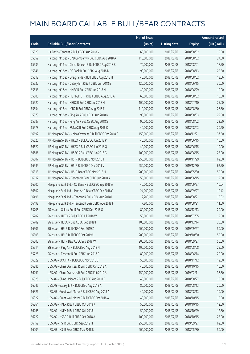|       |                                                          | No. of issue |                     |               | <b>Amount raised</b> |
|-------|----------------------------------------------------------|--------------|---------------------|---------------|----------------------|
| Code  | <b>Callable Bull/Bear Contracts</b>                      | (units)      | <b>Listing date</b> | <b>Expiry</b> | (HK\$ mil.)          |
| 65829 | HK Bank - Tencent R Bull CBBC Aug 2018 V                 | 60,000,000   | 2018/02/08          | 2018/08/02    | 15.00                |
| 65552 | Haitong Int'l Sec - BYD Company R Bull CBBC Aug 2018 A   | 110,000,000  | 2018/02/08          | 2018/08/02    | 27.50                |
| 65539 | Haitong Int'l Sec - China Unicom R Bull CBBC Aug 2018 B  | 70,000,000   | 2018/02/08          | 2018/08/01    | 17.50                |
| 65546 | Haitong Int'l Sec - CC Bank R Bull CBBC Aug 2018 D       | 90,000,000   | 2018/02/08          | 2018/08/13    | 22.50                |
| 65612 | Haitong Int'l Sec - Evergrande R Bull CBBC Aug 2018 H    | 40,000,000   | 2018/02/08          | 2018/08/02    | 13.56                |
| 65522 | Haitong Int'l Sec - Galaxy Ent R Bull CBBC Jun 2018 E    | 120,000,000  | 2018/02/08          | 2018/06/15    | 30.00                |
| 65538 | Haitong Int'l Sec - HKEX R Bull CBBC Jun 2018 N          | 40,000,000   | 2018/02/08          | 2018/06/29    | 10.00                |
| 65600 | Haitong Int'l Sec - HS H-SH ETF R Bull CBBC Aug 2018 A   | 60,000,000   | 2018/02/08          | 2018/08/02    | 15.00                |
| 65520 | Haitong Int'l Sec - HSBC R Bull CBBC Jul 2018 H          | 100,000,000  | 2018/02/08          | 2018/07/10    | 25.00                |
| 65554 | Haitong Int'l Sec - ICBC R Bull CBBC Aug 2018 F          | 110,000,000  | 2018/02/08          | 2018/08/30    | 27.50                |
| 65579 | Haitong Int'l Sec - Ping An R Bull CBBC Aug 2018 R       | 90,000,000   | 2018/02/08          | 2018/08/03    | 22.50                |
| 65587 | Haitong Int'l Sec - Ping An R Bull CBBC Aug 2018 S       | 90,000,000   | 2018/02/08          | 2018/08/02    | 22.50                |
| 65578 | Haitong Int'l Sec - SUNAC R Bull CBBC Aug 2018 C         | 40,000,000   | 2018/02/08          | 2018/08/03    | 20.20                |
| 66692 | J P Morgan SP BV - China Overseas R Bull CBBC Dec 2018 C | 150,000,000  | 2018/02/08          | 2018/12/21    | 37.50                |
| 66620 | J P Morgan SP BV - HKEX R Bull CBBC Jun 2018 P           | 40,000,000   | 2018/02/08          | 2018/06/15    | 10.00                |
| 66622 | J P Morgan SP BV - HKEX R Bull CBBC Jun 2018 Q           | 40,000,000   | 2018/02/08          | 2018/06/15    | 10.00                |
| 66686 | J P Morgan SP BV - HSBC R Bull CBBC Jun 2018 G           | 100,000,000  | 2018/02/08          | 2018/06/15    | 25.00                |
| 66607 | J P Morgan SP BV - HSI R Bull CBBC Nov 2018 J            | 250,000,000  | 2018/02/08          | 2018/11/29    | 62.50                |
| 66549 | J P Morgan SP BV - HSI R Bull CBBC Dec 2019 V            | 250,000,000  | 2018/02/08          | 2019/12/30    | 62.50                |
| 66518 | J P Morgan SP BV - HSI R Bear CBBC May 2018 H            | 200,000,000  | 2018/02/08          | 2018/05/30    | 50.00                |
| 66612 | J P Morgan SP BV - Tencent R Bear CBBC Jun 2018 R        | 50,000,000   | 2018/02/08          | 2018/06/15    | 12.50                |
| 66500 | Macquarie Bank Ltd. - CC Bank R Bull CBBC Sep 2018 A     | 40,000,000   | 2018/02/08          | 2018/09/27    | 10.04                |
| 66502 | Macquarie Bank Ltd. - Ping An R Bear CBBC Sep 2018 C     | 24,000,000   | 2018/02/08          | 2018/09/27    | 10.42                |
| 66496 | Macquarie Bank Ltd. - Tencent R Bull CBBC Aug 2018 I     | 12,200,000   | 2018/02/08          | 2018/08/21    | 10.02                |
| 66498 | Macquarie Bank Ltd. - Tencent R Bear CBBC Aug 2018 F     | 7,800,000    | 2018/02/08          | 2018/08/21    | 11.50                |
| 65705 | SG Issuer - Galaxy Ent R Bull CBBC Dec 2018 G            | 80,000,000   | 2018/02/08          | 2018/12/13    | 20.00                |
| 65707 | SG Issuer - HKEX R Bull CBBC Jul 2018 W                  | 50,000,000   | 2018/02/08          | 2018/07/05    | 12.50                |
| 65709 | SG Issuer - HSBC R Bull CBBC Dec 2018 F                  | 100,000,000  | 2018/02/08          | 2018/12/14    | 25.00                |
| 66506 | SG Issuer - HSI R Bull CBBC Sep 2019 Z                   | 200,000,000  | 2018/02/08          | 2019/09/27    | 50.00                |
| 66508 | SG Issuer - HSI R Bull CBBC Oct 2019 U                   | 200,000,000  | 2018/02/08          | 2019/10/30    | 50.00                |
| 66503 | SG Issuer - HSI R Bear CBBC Sep 2018 W                   | 200,000,000  | 2018/02/08          | 2018/09/27    | 50.00                |
| 65714 | SG Issuer - Ping An R Bull CBBC Aug 2018 N               | 100,000,000  | 2018/02/08          | 2018/08/08    | 25.00                |
| 65728 | SG Issuer - Tencent R Bull CBBC Jun 2018 F               | 80,000,000   | 2018/02/08          | 2018/06/14    | 20.00                |
| 66329 | UBS AG - BOC HK R Bull CBBC Nov 2018 B                   | 50,000,000   | 2018/02/08          | 2018/11/12    | 12.50                |
| 66286 | UBS AG - China Overseas R Bull CBBC Oct 2018 A           | 40,000,000   | 2018/02/08          | 2018/10/15    | 10.00                |
| 66291 | UBS AG - China Overseas R Bull CBBC Feb 2019 A           | 150,000,000  | 2018/02/08          | 2019/02/11    | 37.50                |
| 66325 | UBS AG - China Unicom R Bull CBBC Aug 2018 B             | 40,000,000   | 2018/02/08          | 2018/08/27    | 10.00                |
| 66245 | UBS AG - Galaxy Ent R Bull CBBC Aug 2018 A               | 80,000,000   | 2018/02/08          | 2018/08/13    | 20.00                |
| 66326 | UBS AG - Great Wall Motor R Bull CBBC Aug 2018 A         | 40,000,000   | 2018/02/08          | 2018/08/13    | 10.00                |
| 66327 | UBS AG - Great Wall Motor R Bull CBBC Oct 2018 A         | 40,000,000   | 2018/02/08          | 2018/10/15    | 10.00                |
| 66264 | UBS AG - HKEX R Bull CBBC Oct 2018 K                     | 50,000,000   | 2018/02/08          | 2018/10/15    | 12.50                |
| 66265 | UBS AG - HKEX R Bull CBBC Oct 2018 L                     | 50,000,000   | 2018/02/08          | 2018/10/29    | 12.50                |
| 66222 | UBS AG - HSBC R Bull CBBC Oct 2018 A                     | 100,000,000  | 2018/02/08          | 2018/10/15    | 25.00                |
| 66152 | UBS AG - HSI R Bull CBBC Sep 2019 H                      | 250,000,000  | 2018/02/08          | 2019/09/27    | 62.50                |
| 66209 | UBS AG - HSI R Bear CBBC May 2018 N                      | 200,000,000  | 2018/02/08          | 2018/05/30    | 50.00                |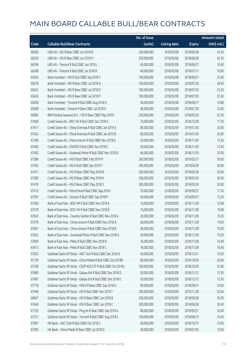|       |                                                              | No. of issue |                     |               | <b>Amount raised</b> |
|-------|--------------------------------------------------------------|--------------|---------------------|---------------|----------------------|
| Code  | <b>Callable Bull/Bear Contracts</b>                          | (units)      | <b>Listing date</b> | <b>Expiry</b> | (HK\$ mil.)          |
| 66369 | UBS AG - HSI R Bear CBBC Jun 2018 B                          | 250,000,000  | 2018/02/08          | 2018/06/28    | 62.50                |
| 66339 | UBS AG - HSI R Bear CBBC Jun 2018 H                          | 250,000,000  | 2018/02/08          | 2018/06/28    | 62.50                |
| 66296 | UBS AG - Tencent R Bull CBBC Jun 2018 L                      | 40,000,000   | 2018/02/08          | 2018/06/27    | 10.00                |
| 66308 | UBS AG - Tencent R Bull CBBC Jul 2018 R                      | 40,000,000   | 2018/02/08          | 2018/07/11    | 10.00                |
| 65650 | Bank Vontobel - HSI R Bull CBBC Sep 2018 T                   | 100,000,000  | 2018/02/08          | 2018/09/27    | 25.40                |
| 65618 | Bank Vontobel - HSI R Bear CBBC Jul 2018 N                   | 100,000,000  | 2018/02/08          | 2018/07/30    | 28.40                |
| 65623 | Bank Vontobel - HSI R Bear CBBC Jul 2018 O                   | 100,000,000  | 2018/02/08          | 2018/07/30    | 25.20                |
| 65624 | Bank Vontobel - HSI R Bear CBBC Jul 2018 P                   | 100,000,000  | 2018/02/08          | 2018/07/30    | 25.30                |
| 65658 | Bank Vontobel - Tencent R Bull CBBC Aug 2018 D               | 40,000,000   | 2018/02/08          | 2018/08/17    | 10.68                |
| 65698 | Bank Vontobel - Tencent R Bear CBBC Jul 2018 D               | 40,000,000   | 2018/02/08          | 2018/07/20    | 32.80                |
| 66985 | BNP Paribas Issuance B.V. - HSI R Bear CBBC May 2018 I       | 250,000,000  | 2018/02/09          | 2018/05/30    | 62.50                |
| 67409 | Credit Suisse AG - BOC HK R Bull CBBC Dec 2018 A             | 70,000,000   | 2018/02/09          | 2018/12/28    | 17.50                |
| 67411 | Credit Suisse AG - China Overseas R Bull CBBC Jan 2019 A     | 80,000,000   | 2018/02/09          | 2019/01/30    | 20.00                |
| 67422 | Credit Suisse AG - China Overseas R Bull CBBC Jan 2019 B     | 80,000,000   | 2018/02/09          | 2019/01/30    | 20.00                |
| 67398 | Credit Suisse AG - China Unicom R Bull CBBC Nov 2018 G       | 50,000,000   | 2018/02/09          | 2018/11/29    | 12.50                |
| 67483 | Credit Suisse AG - CNOOC R Bull CBBC Nov 2018 E              | 50,000,000   | 2018/02/09          | 2018/11/29    | 12.50                |
| 67402 | Credit Suisse AG - Greatwall Motor R Bull CBBC Nov 2018 B    | 40,000,000   | 2018/02/09          | 2018/11/29    | 10.00                |
| 67386 | Credit Suisse AG - HSI R Bull CBBC Feb 2019 M                | 200,000,000  | 2018/02/09          | 2019/02/27    | 50.00                |
| 67432 | Credit Suisse AG - HSI R Bull CBBC Apr 2019 F                | 200,000,000  | 2018/02/09          | 2019/04/29    | 50.00                |
| 67471 | Credit Suisse AG - HSI R Bear CBBC May 2018 B                | 200,000,000  | 2018/02/09          | 2018/05/30    | 50.00                |
| 67389 | Credit Suisse AG - HSI R Bear CBBC May 2018 K                | 200,000,000  | 2018/02/09          | 2018/05/30    | 50.00                |
| 67479 | Credit Suisse AG - HSI R Bear CBBC May 2018 S                | 200,000,000  | 2018/02/09          | 2018/05/30    | 50.00                |
| 67512 | Credit Suisse AG - PetroChina R Bull CBBC Sep 2018 I         | 70,000,000   | 2018/02/09          | 2018/09/27    | 17.50                |
| 67393 | Credit Suisse AG - Tencent R Bull CBBC Sep 2018 P            | 50,000,000   | 2018/02/09          | 2018/09/27    | 12.50                |
| 67560 | Bank of East Asia - BOC HK R Bull CBBC Nov 2018 A            | 16,000,000   | 2018/02/09          | 2018/11/28    | 10.08                |
| 67578 | Bank of East Asia - BOC HK R Bull CBBC Nov 2018 B            | 16,000,000   | 2018/02/09          | 2018/11/28    | 10.08                |
| 67643 | Bank of East Asia - Country Garden R Bull CBBC Nov 2018 A    | 30,000,000   | 2018/02/09          | 2018/11/28    | 10.20                |
| 67579 | Bank of East Asia – China Unicom R Bull CBBC Nov 2018 A      | 40,000,000   | 2018/02/09          | 2018/11/28    | 10.00                |
| 67601 | Bank of East Asia - China Unicom R Bull CBBC Nov 2018 B      | 40,000,000   | 2018/02/09          | 2018/11/28    | 10.00                |
| 67622 | Bank of East Asia - Greatwall Motor R Bull CBBC Nov 2018 A   | 30,000,000   | 2018/02/09          | 2018/11/28    | 10.20                |
| 67609 | Bank of East Asia - Meitu R Bull CBBC Nov 2018 B             | 16,000,000   | 2018/02/09          | 2018/11/28    | 10.40                |
| 67613 | Bank of East Asia - Meitu R Bull CBBC Nov 2018 C             | 16,000,000   | 2018/02/09          | 2018/11/28    | 10.40                |
| 67653 | Goldman Sachs SP (Asia) - AAC Tech R Bull CBBC Dec 2018 G    | 40,000,000   | 2018/02/09          | 2018/12/21    | 10.00                |
| 67739 | Goldman Sachs SP (Asia) - China Mobile R Bull CBBC Oct 2018R | 80,000,000   | 2018/02/09          | 2018/10/29    | 20.00                |
| 67708 | Goldman Sachs SP (Asia) - CSOP A50 ETF R Bull CBBC Oct 2018J | 100,000,000  | 2018/02/09          | 2018/10/29    | 25.00                |
| 67680 | Goldman Sachs SP (Asia) - Galaxy Ent R Bull CBBC Dec 2018 D  | 50,000,000   | 2018/02/09          | 2018/12/12    | 12.50                |
| 67687 | Goldman Sachs SP (Asia) - Galaxy Ent R Bull CBBC Dec 2018 E  | 50,000,000   | 2018/02/09          | 2018/12/13    | 12.50                |
| 67718 | Goldman Sachs SP (Asia) - HKEX R Bear CBBC Sep 2018 A        | 80,000,000   | 2018/02/09          | 2018/09/21    | 20.00                |
| 67648 | Goldman Sachs SP (Asia) - HSI R Bull CBBC Nov 2019 T         | 200,000,000  | 2018/02/09          | 2019/11/28    | 50.40                |
| 66907 | Goldman Sachs SP (Asia) - HSI R Bear CBBC Jun 2018 B         | 200,000,000  | 2018/02/09          | 2018/06/28    | 50.00                |
| 67649 | Goldman Sachs SP (Asia) - HSI R Bear CBBC Jun 2018 C         | 200,000,000  | 2018/02/09          | 2018/06/28    | 50.40                |
| 67726 | Goldman Sachs SP (Asia) - Ping An R Bear CBBC Sep 2018 A     | 80,000,000   | 2018/02/09          | 2018/09/21    | 20.00                |
| 67731 | Goldman Sachs SP (Asia) - Tencent R Bull CBBC Aug 2018 S     | 100,000,000  | 2018/02/09          | 2018/08/13    | 25.00                |
| 67081 | HK Bank - AAC Tech R Bull CBBC Oct 2018 C                    | 40,000,000   | 2018/02/09          | 2018/10/15    | 10.00                |
| 67090 | HK Bank - China Mobile R Bear CBBC Jul 2018 D                | 40,000,000   | 2018/02/09          | 2018/07/03    | 10.00                |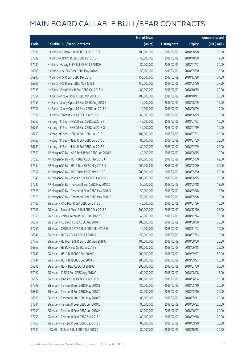|       |                                                    | No. of issue |                     |               | <b>Amount raised</b>  |
|-------|----------------------------------------------------|--------------|---------------------|---------------|-----------------------|
| Code  | <b>Callable Bull/Bear Contracts</b>                | (units)      | <b>Listing date</b> | <b>Expiry</b> | $(HK\frac{1}{2}mil.)$ |
| 67088 | HK Bank - CC Bank R Bull CBBC Aug 2018 O           | 100,000,000  | 2018/02/09          | 2018/08/20    | 25.00                 |
| 67089 | HK Bank - CNOOC R Bull CBBC Oct 2018 F             | 50,000,000   | 2018/02/09          | 2018/10/08    | 12.50                 |
| 67080 | HK Bank - Galaxy Ent R Bull CBBC Jul 2018 M        | 80,000,000   | 2018/02/09          | 2018/07/23    | 20.00                 |
| 66903 | HK Bank - HSCEI R Bear CBBC May 2018 C             | 50,000,000   | 2018/02/09          | 2018/05/30    | 12.50                 |
| 66900 | HK Bank - HSI R Bull CBBC Dec 2018 I               | 150,000,000  | 2018/02/09          | 2018/12/28    | 37.50                 |
| 66905 | HK Bank - HSI R Bear CBBC May 2018 I               | 150,000,000  | 2018/02/09          | 2018/05/30    | 37.50                 |
| 67035 | HK Bank - PetroChina R Bull CBBC Oct 2018 H        | 80,000,000   | 2018/02/09          | 2018/10/15    | 20.00                 |
| 67054 | HK Bank - Ping An R Bull CBBC Oct 2018 Q           | 100,000,000  | 2018/02/09          | 2018/10/11    | 25.00                 |
| 67059 | HK Bank - Sunny Optical R Bull CBBC Aug 2018 G     | 40,000,000   | 2018/02/09          | 2018/08/09    | 10.00                 |
| 67051 | HK Bank - Sunny Optical R Bear CBBC Jun 2018 A     | 40,000,000   | 2018/02/09          | 2018/06/29    | 10.00                 |
| 67036 | HK Bank - Tencent R Bull CBBC Jun 2018 Z           | 60,000,000   | 2018/02/09          | 2018/06/29    | 15.00                 |
| 66760 | Haitong Int'l Sec - HKEX R Bull CBBC Jul 2018 P    | 40,000,000   | 2018/02/09          | 2018/07/23    | 10.00                 |
| 66761 | Haitong Int'l Sec - HKEX R Bull CBBC Jul 2018 Q    | 40,000,000   | 2018/02/09          | 2018/07/19    | 10.00                 |
| 66759 | Haitong Int'l Sec - HSBC R Bull CBBC Jul 2018 I    | 100,000,000  | 2018/02/09          | 2018/07/03    | 25.00                 |
| 66763 | Haitong Int'l Sec - Meitu R Bull CBBC Jul 2018 D   | 80,000,000   | 2018/02/09          | 2018/07/09    | 20.00                 |
| 66769 | Haitong Int'l Sec - Meitu R Bull CBBC Jul 2018 E   | 80,000,000   | 2018/02/09          | 2018/07/09    | 20.00                 |
| 67550 | J P Morgan SP BV - AAC Tech R Bull CBBC Jun 2018 B | 40,000,000   | 2018/02/09          | 2018/06/15    | 10.00                 |
| 67523 | J P Morgan SP BV - HSI R Bear CBBC May 2018 J      | 250,000,000  | 2018/02/09          | 2018/05/30    | 62.50                 |
| 67552 | J P Morgan SP BV - HSI R Bear CBBC May 2018 N      | 200,000,000  | 2018/02/09          | 2018/05/30    | 50.00                 |
| 67557 | J P Morgan SP BV - HSI R Bear CBBC May 2018 R      | 200,000,000  | 2018/02/09          | 2018/05/30    | 50.00                 |
| 67546 | J P Morgan SP BV - Ping An R Bull CBBC Jun 2018 J  | 100,000,000  | 2018/02/09          | 2018/06/15    | 25.00                 |
| 67525 | J P Morgan SP BV - Tencent R Bull CBBC May 2018 Z  | 50,000,000   | 2018/02/09          | 2018/05/18    | 12.50                 |
| 67528 | J P Morgan SP BV - Tencent R Bear CBBC May 2018 X  | 50,000,000   | 2018/02/09          | 2018/05/18    | 12.50                 |
| 67529 | J P Morgan SP BV - Tencent R Bear CBBC May 2018 Y  | 50,000,000   | 2018/02/09          | 2018/05/18    | 12.50                 |
| 67105 | SG Issuer - AAC Tech R Bull CBBC Jul 2018 C        | 40,000,000   | 2018/02/09          | 2018/07/26    | 10.00                 |
| 67107 | SG Issuer - Bank of China R Bull CBBC Dec 2018 F   | 100,000,000  | 2018/02/09          | 2018/12/10    | 25.00                 |
| 67156 | SG Issuer - China Unicom R Bull CBBC Dec 2018 C    | 40,000,000   | 2018/02/09          | 2018/12/14    | 10.00                 |
| 66817 | SG Issuer - CC Bank R Bull CBBC Aug 2018 T         | 100,000,000  | 2018/02/09          | 2018/08/08    | 25.00                 |
| 67751 | SG Issuer - CSOP A50 ETF R Bull CBBC Nov 2018 D    | 40,000,000   | 2018/02/09          | 2018/11/02    | 10.00                 |
| 66846 | SG Issuer - HKEX R Bull CBBC Jul 2018 X            | 50,000,000   | 2018/02/09          | 2018/07/13    | 12.50                 |
| 67757 | SG Issuer - HS H-SH ETF R Bull CBBC Aug 2018 C     | 100,000,000  | 2018/02/09          | 2018/08/08    | 25.00                 |
| 66867 | SG Issuer - HSBC R Bull CBBC Jun 2018 S            | 100,000,000  | 2018/02/09          | 2018/06/15    | 25.00                 |
| 67740 | SG Issuer - HSI R Bull CBBC Sep 2019 C             | 200,000,000  | 2018/02/09          | 2019/09/27    | 50.00                 |
| 67744 | SG Issuer - HSI R Bull CBBC Sep 2019 E             | 200,000,000  | 2018/02/09          | 2019/09/27    | 50.00                 |
| 66895 | SG Issuer - HSI R Bear CBBC Jul 2018 G             | 200,000,000  | 2018/02/09          | 2018/07/30    | 50.00                 |
| 67192 | SG Issuer - ICBC R Bull CBBC Aug 2018 Q            | 60,000,000   | 2018/02/09          | 2018/08/08    | 15.00                 |
| 66877 | SG Issuer - Ping An R Bull CBBC Jun 2018 S         | 100,000,000  | 2018/02/09          | 2018/06/04    | 25.00                 |
| 67749 | SG Issuer - Tencent R Bull CBBC May 2018 B         | 80,000,000   | 2018/02/09          | 2018/05/10    | 20.00                 |
| 66890 | SG Issuer - Tencent R Bull CBBC May 2018 Y         | 80,000,000   | 2018/02/09          | 2018/05/10    | 20.00                 |
| 66893 | SG Issuer - Tencent R Bull CBBC May 2018 Z         | 80,000,000   | 2018/02/09          | 2018/05/11    | 20.00                 |
| 67244 | SG Issuer - Tencent R Bear CBBC Jun 2018 L         | 80,000,000   | 2018/02/09          | 2018/06/22    | 20.00                 |
| 67251 | SG Issuer - Tencent R Bear CBBC Jun 2018 M         | 80,000,000   | 2018/02/09          | 2018/06/27    | 20.00                 |
| 67253 | SG Issuer - Tencent R Bear CBBC Sep 2018 D         | 80,000,000   | 2018/02/09          | 2018/09/18    | 20.00                 |
| 67750 | SG Issuer - Tencent R Bear CBBC Sep 2018 E         | 80,000,000   | 2018/02/09          | 2018/09/20    | 20.00                 |
| 67332 | UBS AG - CC Bank R Bull CBBC Oct 2018 D            | 80,000,000   | 2018/02/09          | 2018/10/15    | 20.00                 |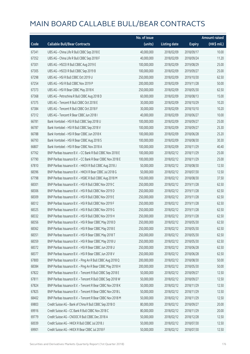|       |                                                            | No. of issue |                     |               | <b>Amount raised</b> |
|-------|------------------------------------------------------------|--------------|---------------------|---------------|----------------------|
| Code  | <b>Callable Bull/Bear Contracts</b>                        | (units)      | <b>Listing date</b> | <b>Expiry</b> | $(HK\$ mil.)         |
| 67341 | UBS AG - China Life R Bull CBBC Sep 2018 E                 | 40,000,000   | 2018/02/09          | 2018/09/17    | 10.00                |
| 67352 | UBS AG - China Life R Bull CBBC Sep 2018 F                 | 40,000,000   | 2018/02/09          | 2018/09/24    | 11.20                |
| 67301 | UBS AG - HSCEI R Bull CBBC Aug 2019 E                      | 100,000,000  | 2018/02/09          | 2019/08/29    | 25.00                |
| 67305 | UBS AG - HSCEI R Bull CBBC Sep 2019 B                      | 100,000,000  | 2018/02/09          | 2019/09/27    | 25.00                |
| 67298 | UBS AG - HSI R Bull CBBC Oct 2019 U                        | 250,000,000  | 2018/02/09          | 2019/10/30    | 62.50                |
| 67254 | UBS AG - HSI R Bull CBBC Nov 2019 P                        | 200,000,000  | 2018/02/09          | 2019/11/28    | 50.00                |
| 67373 | UBS AG - HSI R Bear CBBC May 2018 K                        | 250,000,000  | 2018/02/09          | 2018/05/30    | 62.50                |
| 67368 | UBS AG - Petrochina R Bull CBBC Aug 2018 D                 | 60,000,000   | 2018/02/09          | 2018/08/13    | 15.00                |
| 67375 | UBS AG - Tencent R Bull CBBC Oct 2018 E                    | 30,000,000   | 2018/02/09          | 2018/10/29    | 10.20                |
| 67384 | UBS AG - Tencent R Bull CBBC Oct 2018 F                    | 30,000,000   | 2018/02/09          | 2018/10/10    | 10.20                |
| 67312 | UBS AG - Tencent R Bear CBBC Jun 2018 I                    | 40,000,000   | 2018/02/09          | 2018/06/27    | 10.00                |
| 66781 | Bank Vontobel - HSI R Bull CBBC Sep 2018 U                 | 100,000,000  | 2018/02/09          | 2018/09/27    | 25.00                |
| 66787 | Bank Vontobel - HSI R Bull CBBC Sep 2018 V                 | 100,000,000  | 2018/02/09          | 2018/09/27    | 25.30                |
| 66788 | Bank Vontobel - HSI R Bear CBBC Jun 2018 K                 | 100,000,000  | 2018/02/09          | 2018/06/28    | 25.20                |
| 66793 | Bank Vontobel - HSI R Bear CBBC Aug 2018 S                 | 100,000,000  | 2018/02/09          | 2018/08/30    | 30.30                |
| 66807 | Bank Vontobel - HSI R Bear CBBC Nov 2018 A                 | 100,000,000  | 2018/02/09          | 2018/11/29    | 40.40                |
| 67762 | BNP Paribas Issuance B.V. - CC Bank R Bull CBBC Nov 2018 E | 100,000,000  | 2018/02/12          | 2018/11/29    | 25.00                |
| 67790 | BNP Paribas Issuance B.V. - CC Bank R Bear CBBC Nov 2018 E | 100,000,000  | 2018/02/12          | 2018/11/29    | 25.00                |
| 67810 | BNP Paribas Issuance B.V. - HKEX R Bull CBBC Aug 2018 J    | 50,000,000   | 2018/02/12          | 2018/08/30    | 12.50                |
| 68396 | BNP Paribas Issuance B.V. - HKEX R Bear CBBC Jul 2018 G    | 50,000,000   | 2018/02/12          | 2018/07/30    | 12.50                |
| 67798 | BNP Paribas Issuance B.V. - HSBC R Bull CBBC Aug 2018 M    | 150,000,000  | 2018/02/12          | 2018/08/30    | 37.50                |
| 68301 | BNP Paribas Issuance B.V. - HSI R Bull CBBC Nov 2019 C     | 250,000,000  | 2018/02/12          | 2019/11/28    | 62.50                |
| 68306 | BNP Paribas Issuance B.V. - HSI R Bull CBBC Nov 2019 D     | 250,000,000  | 2018/02/12          | 2019/11/28    | 62.50                |
| 68309 | BNP Paribas Issuance B.V. - HSI R Bull CBBC Nov 2019 E     | 250,000,000  | 2018/02/12          | 2019/11/28    | 62.50                |
| 68312 | BNP Paribas Issuance B.V. - HSI R Bull CBBC Nov 2019 F     | 250,000,000  | 2018/02/12          | 2019/11/28    | 62.50                |
| 68325 | BNP Paribas Issuance B.V. - HSI R Bull CBBC Nov 2019 G     | 250,000,000  | 2018/02/12          | 2019/11/28    | 62.50                |
| 68332 | BNP Paribas Issuance B.V. - HSI R Bull CBBC Nov 2019 H     | 250,000,000  | 2018/02/12          | 2019/11/28    | 62.50                |
| 68356 | BNP Paribas Issuance B.V. - HSI R Bear CBBC May 2018 D     | 250,000,000  | 2018/02/12          | 2018/05/30    | 62.50                |
| 68362 | BNP Paribas Issuance B.V. - HSI R Bear CBBC May 2018 E     | 250,000,000  | 2018/02/12          | 2018/05/30    | 62.50                |
| 68351 | BNP Paribas Issuance B.V. - HSI R Bear CBBC May 2018 T     | 250,000,000  | 2018/02/12          | 2018/05/30    | 62.50                |
| 68359 | BNP Paribas Issuance B.V. - HSI R Bear CBBC May 2018 U     | 250,000,000  | 2018/02/12          | 2018/05/30    | 62.50                |
| 68372 | BNP Paribas Issuance B.V. - HSI R Bear CBBC Jun 2018 U     | 250,000,000  | 2018/02/12          | 2018/06/28    | 62.50                |
| 68377 | BNP Paribas Issuance B.V. - HSI R Bear CBBC Jun 2018 V     | 250,000,000  | 2018/02/12          | 2018/06/28    | 62.50                |
| 67800 | BNP Paribas Issuance B.V. - Ping An R Bull CBBC Aug 2018 Q | 200,000,000  | 2018/02/12          | 2018/08/30    | 50.00                |
| 68384 | BNP Paribas Issuance B.V. - Ping An R Bear CBBC May 2018 H | 200,000,000  | 2018/02/12          | 2018/05/30    | 50.00                |
| 67822 | BNP Paribas Issuance B.V. - Tencent R Bull CBBC Sep 2018 E | 50,000,000   | 2018/02/12          | 2018/09/27    | 12.50                |
| 67811 | BNP Paribas Issuance B.V. - Tencent R Bull CBBC Sep 2018 W | 50,000,000   | 2018/02/12          | 2018/09/27    | 12.50                |
| 67824 | BNP Paribas Issuance B.V. - Tencent R Bear CBBC Nov 2018 K | 50,000,000   | 2018/02/12          | 2018/11/29    | 12.50                |
| 67825 | BNP Paribas Issuance B.V. - Tencent R Bear CBBC Nov 2018 L | 50,000,000   | 2018/02/12          | 2018/11/29    | 12.50                |
| 68402 | BNP Paribas Issuance B.V. - Tencent R Bear CBBC Nov 2018 M | 50,000,000   | 2018/02/12          | 2018/11/29    | 12.50                |
| 69803 | Credit Suisse AG - Bank of China R Bull CBBC Sep 2018 O    | 80,000,000   | 2018/02/12          | 2018/09/27    | 20.00                |
| 69916 | Credit Suisse AG - CC Bank R Bull CBBC Nov 2018 C          | 80,000,000   | 2018/02/12          | 2018/11/29    | 20.00                |
| 69779 | Credit Suisse AG - CNOOC R Bull CBBC Dec 2018 A            | 50,000,000   | 2018/02/12          | 2018/12/28    | 12.50                |
| 60039 | Credit Suisse AG - HKEX R Bull CBBC Jul 2018 J             | 50,000,000   | 2018/02/12          | 2018/07/30    | 12.50                |
| 69901 | Credit Suisse AG - HKEX R Bear CBBC Jul 2018 F             | 50,000,000   | 2018/02/12          | 2018/07/30    | 12.50                |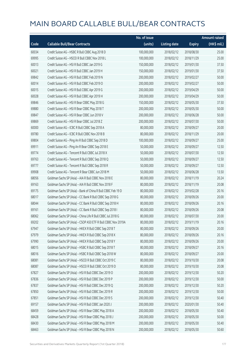|       |                                                              | No. of issue |                     |               | <b>Amount raised</b> |
|-------|--------------------------------------------------------------|--------------|---------------------|---------------|----------------------|
| Code  | <b>Callable Bull/Bear Contracts</b>                          | (units)      | <b>Listing date</b> | <b>Expiry</b> | (HK\$ mil.)          |
| 60034 | Credit Suisse AG - HSBC R Bull CBBC Aug 2018 D               | 100,000,000  | 2018/02/12          | 2018/08/30    | 25.00                |
| 69995 | Credit Suisse AG - HSCEI R Bull CBBC Nov 2018 L              | 100,000,000  | 2018/02/12          | 2018/11/29    | 25.00                |
| 60013 | Credit Suisse AG - HSI R Bull CBBC Jan 2019 G                | 150,000,000  | 2018/02/12          | 2019/01/30    | 37.50                |
| 60021 | Credit Suisse AG - HSI R Bull CBBC Jan 2019 H                | 150,000,000  | 2018/02/12          | 2019/01/30    | 37.50                |
| 69842 | Credit Suisse AG - HSI R Bull CBBC Feb 2019 N                | 200,000,000  | 2018/02/12          | 2019/02/27    | 50.00                |
| 60014 | Credit Suisse AG - HSI R Bull CBBC Feb 2019 O                | 200,000,000  | 2018/02/12          | 2019/02/27    | 50.00                |
| 60015 | Credit Suisse AG - HSI R Bull CBBC Apr 2019 G                | 200,000,000  | 2018/02/12          | 2019/04/29    | 50.00                |
| 60028 | Credit Suisse AG - HSI R Bull CBBC Apr 2019 H                | 200,000,000  | 2018/02/12          | 2019/04/29    | 50.00                |
| 69846 | Credit Suisse AG - HSI R Bear CBBC May 2018 G                | 150,000,000  | 2018/02/12          | 2018/05/30    | 37.50                |
| 69880 | Credit Suisse AG - HSI R Bear CBBC May 2018 T                | 200,000,000  | 2018/02/12          | 2018/05/30    | 50.00                |
| 69847 | Credit Suisse AG - HSI R Bear CBBC Jun 2018 V                | 200,000,000  | 2018/02/12          | 2018/06/28    | 50.00                |
| 69869 | Credit Suisse AG - HSI R Bear CBBC Jul 2018 Z                | 200,000,000  | 2018/02/12          | 2018/07/30    | 50.00                |
| 60000 | Credit Suisse AG - ICBC R Bull CBBC Sep 2018 A               | 80,000,000   | 2018/02/12          | 2018/09/27    | 20.00                |
| 69780 | Credit Suisse AG - ICBC R Bull CBBC Nov 2018 B               | 80,000,000   | 2018/02/12          | 2018/11/29    | 20.00                |
| 69804 | Credit Suisse AG - Ping An R Bull CBBC Sep 2018 D            | 100,000,000  | 2018/02/12          | 2018/09/27    | 25.00                |
| 69911 | Credit Suisse AG - Ping An R Bear CBBC Sep 2018 E            | 50,000,000   | 2018/02/12          | 2018/09/27    | 12.50                |
| 69774 | Credit Suisse AG - Tencent R Bull CBBC Jul 2018 X            | 50,000,000   | 2018/02/12          | 2018/07/30    | 12.50                |
| 69763 | Credit Suisse AG - Tencent R Bull CBBC Sep 2018 Q            | 50,000,000   | 2018/02/12          | 2018/09/27    | 12.50                |
| 69777 | Credit Suisse AG - Tencent R Bull CBBC Sep 2018 R            | 50,000,000   | 2018/02/12          | 2018/09/27    | 12.50                |
| 69908 | Credit Suisse AG - Tencent R Bear CBBC Jun 2018 M            | 50,000,000   | 2018/02/12          | 2018/06/28    | 13.50                |
| 68056 | Goldman Sachs SP (Asia) - AIA R Bull CBBC Nov 2018 E         | 80,000,000   | 2018/02/12          | 2018/11/19    | 20.24                |
| 69163 | Goldman Sachs SP (Asia) - AIA R Bull CBBC Nov 2018 F         | 80,000,000   | 2018/02/12          | 2018/11/19    | 20.08                |
| 69175 | Goldman Sachs SP (Asia) - Bank of China R Bull CBBC Feb 19 D | 80,000,000   | 2018/02/12          | 2019/02/28    | 20.16                |
| 68017 | Goldman Sachs SP (Asia) - CC Bank R Bull CBBC Sep 2018 G     | 80,000,000   | 2018/02/12          | 2018/09/26    | 20.00                |
| 68044 | Goldman Sachs SP (Asia) - CC Bank R Bull CBBC Sep 2018 H     | 80,000,000   | 2018/02/12          | 2018/09/26    | 20.16                |
| 69161 | Goldman Sachs SP (Asia) - CC Bank R Bull CBBC Sep 2018 I     | 80,000,000   | 2018/02/12          | 2018/09/26    | 20.08                |
| 68062 | Goldman Sachs SP (Asia) - China Life R Bull CBBC Jul 2018 G  | 80,000,000   | 2018/02/12          | 2018/07/30    | 20.00                |
| 69202 | Goldman Sachs SP (Asia) - CSOP A50 ETF R Bull CBBC Nov 2019A | 80,000,000   | 2018/02/12          | 2019/11/19    | 20.16                |
| 67947 | Goldman Sachs SP (Asia) - HKEX R Bull CBBC Sep 2018 T        | 80,000,000   | 2018/02/12          | 2018/09/26    | 20.00                |
| 67979 | Goldman Sachs SP (Asia) - HKEX R Bull CBBC Sep 2018 X        | 80,000,000   | 2018/02/12          | 2018/09/26    | 20.16                |
| 67990 | Goldman Sachs SP (Asia) - HKEX R Bull CBBC Sep 2018 Y        | 80,000,000   | 2018/02/12          | 2018/09/26    | 20.00                |
| 68015 | Goldman Sachs SP (Asia) - HSBC R Bull CBBC Sep 2018 T        | 80,000,000   | 2018/02/12          | 2018/09/27    | 20.16                |
| 68016 | Goldman Sachs SP (Asia) - HSBC R Bull CBBC Sep 2018 W        | 80,000,000   | 2018/02/12          | 2018/09/27    | 20.00                |
| 68081 | Goldman Sachs SP (Asia) - HSCEI R Bull CBBC Oct 2019 C       | 80,000,000   | 2018/02/12          | 2019/10/30    | 20.08                |
| 68087 | Goldman Sachs SP (Asia) - HSCEI R Bull CBBC Oct 2019 D       | 80,000,000   | 2018/02/12          | 2019/10/30    | 20.08                |
| 67827 | Goldman Sachs SP (Asia) - HSI R Bull CBBC Dec 2019 O         | 200,000,000  | 2018/02/12          | 2019/12/30    | 50.20                |
| 67836 | Goldman Sachs SP (Asia) - HSI R Bull CBBC Dec 2019 P         | 200,000,000  | 2018/02/12          | 2019/12/30    | 50.00                |
| 67837 | Goldman Sachs SP (Asia) - HSI R Bull CBBC Dec 2019 Q         | 200,000,000  | 2018/02/12          | 2019/12/30    | 50.20                |
| 67850 | Goldman Sachs SP (Asia) - HSI R Bull CBBC Dec 2019 R         | 200,000,000  | 2018/02/12          | 2019/12/30    | 50.00                |
| 67851 | Goldman Sachs SP (Asia) - HSI R Bull CBBC Dec 2019 S         | 200,000,000  | 2018/02/12          | 2019/12/30    | 50.40                |
| 69157 | Goldman Sachs SP (Asia) - HSI R Bull CBBC Jan 2020 J         | 200,000,000  | 2018/02/12          | 2020/01/30    | 50.40                |
| 68459 | Goldman Sachs SP (Asia) - HSI R Bear CBBC May 2018 A         | 200,000,000  | 2018/02/12          | 2018/05/30    | 50.40                |
| 68428 | Goldman Sachs SP (Asia) - HSI R Bear CBBC May 2018 J         | 200,000,000  | 2018/02/12          | 2018/05/30    | 50.00                |
| 68430 | Goldman Sachs SP (Asia) - HSI R Bear CBBC May 2018 M         | 200,000,000  | 2018/02/12          | 2018/05/30    | 50.40                |
| 68463 | Goldman Sachs SP (Asia) - HSI R Bear CBBC May 2018 N         | 200,000,000  | 2018/02/12          | 2018/05/30    | 50.60                |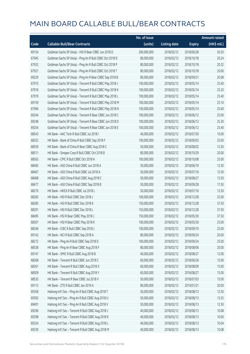|       |                                                          | No. of issue |                     |               | <b>Amount raised</b> |
|-------|----------------------------------------------------------|--------------|---------------------|---------------|----------------------|
| Code  | <b>Callable Bull/Bear Contracts</b>                      | (units)      | <b>Listing date</b> | <b>Expiry</b> | (HK\$ mil.)          |
| 69154 | Goldman Sachs SP (Asia) - HSI R Bear CBBC Jun 2018 D     | 200,000,000  | 2018/02/12          | 2018/06/28    | 50.20                |
| 67945 | Goldman Sachs SP (Asia) - Ping An R Bull CBBC Oct 2018 D | 80,000,000   | 2018/02/12          | 2018/10/18    | 20.24                |
| 67932 | Goldman Sachs SP (Asia) - Ping An R Bull CBBC Oct 2018 P | 80,000,000   | 2018/02/12          | 2018/10/18    | 20.32                |
| 67921 | Goldman Sachs SP (Asia) - Ping An R Bull CBBC Oct 2018 T | 80,000,000   | 2018/02/12          | 2018/10/18    | 20.00                |
| 69229 | Goldman Sachs SP (Asia) - Ping An R Bear CBBC Sep 2018 B | 80,000,000   | 2018/02/12          | 2018/09/21    | 20.08                |
| 67915 | Goldman Sachs SP (Asia) - Tencent R Bull CBBC May 2018 J | 100,000,000  | 2018/02/12          | 2018/05/14    | 25.40                |
| 67916 | Goldman Sachs SP (Asia) - Tencent R Bull CBBC May 2018 K | 100,000,000  | 2018/02/12          | 2018/05/14    | 25.20                |
| 67919 | Goldman Sachs SP (Asia) - Tencent R Bull CBBC May 2018 L | 100,000,000  | 2018/02/12          | 2018/05/14    | 25.40                |
| 69159 | Goldman Sachs SP (Asia) - Tencent R Bull CBBC May 2018 M | 100,000,000  | 2018/02/12          | 2018/05/14    | 25.10                |
| 67906 | Goldman Sachs SP (Asia) - Tencent R Bull CBBC May 2018 N | 100,000,000  | 2018/02/12          | 2018/05/14    | 25.60                |
| 69244 | Goldman Sachs SP (Asia) - Tencent R Bear CBBC Jun 2018 C | 100,000,000  | 2018/02/12          | 2018/06/12    | 25.00                |
| 69248 | Goldman Sachs SP (Asia) - Tencent R Bear CBBC Jun 2018 D | 100,000,000  | 2018/02/12          | 2018/06/12    | 25.30                |
| 69254 | Goldman Sachs SP (Asia) - Tencent R Bear CBBC Jun 2018 E | 100,000,000  | 2018/02/12          | 2018/06/12    | 25.40                |
| 68543 | HK Bank - AAC Tech R Bull CBBC Jul 2018 I                | 40,000,000   | 2018/02/12          | 2018/07/30    | 10.00                |
| 68252 | HK Bank - Bank of China R Bull CBBC Sep 2018 F           | 100,000,000  | 2018/02/12          | 2018/09/03    | 25.00                |
| 68559 | HK Bank - Bank of China R Bear CBBC Aug 2018 C           | 50,000,000   | 2018/02/12          | 2018/08/02    | 12.50                |
| 68511 | HK Bank - Sinopec Corp R Bull CBBC Oct 2018 B            | 80,000,000   | 2018/02/12          | 2018/10/29    | 20.00                |
| 68563 | HK Bank - CPIC R Bull CBBC Oct 2018 A                    | 100,000,000  | 2018/02/12          | 2018/10/08    | 25.00                |
| 68465 | HK Bank - A50 China R Bull CBBC Jun 2018 A               | 50,000,000   | 2018/02/12          | 2018/06/19    | 12.50                |
| 68467 | HK Bank - A50 China R Bull CBBC Jul 2018 A               | 50,000,000   | 2018/02/12          | 2018/07/16    | 12.50                |
| 68468 | HK Bank - A50 China R Bull CBBC Aug 2018 C               | 50,000,000   | 2018/02/12          | 2018/08/27    | 12.50                |
| 68477 | HK Bank - A50 China R Bull CBBC Sep 2018 B               | 50,000,000   | 2018/02/12          | 2018/09/28    | 17.50                |
| 68270 | HK Bank - HKEX R Bull CBBC Jul 2018 L                    | 50,000,000   | 2018/02/12          | 2018/07/16    | 12.50                |
| 68283 | HK Bank - HSI R Bull CBBC Dec 2018 J                     | 100,000,000  | 2018/02/12          | 2018/12/28    | 25.00                |
| 68285 | HK Bank - HSI R Bull CBBC Dec 2018 K                     | 150,000,000  | 2018/02/12          | 2018/12/28    | 37.50                |
| 68291 | HK Bank - HSI R Bull CBBC Dec 2018 L                     | 150,000,000  | 2018/02/12          | 2018/12/28    | 37.50                |
| 68495 | HK Bank - HSI R Bear CBBC May 2018 J                     | 150,000,000  | 2018/02/12          | 2018/05/30    | 37.50                |
| 68507 | HK Bank - HSI R Bear CBBC May 2018 K                     | 100,000,000  | 2018/02/12          | 2018/05/30    | 25.00                |
| 68246 | HK Bank - ICBC R Bull CBBC Sep 2018 J                    | 100,000,000  | 2018/02/12          | 2018/09/10    | 25.00                |
| 69142 | HK Bank - NCI R Bull CBBC Sep 2018 A                     | 80,000,000   | 2018/02/12          | 2018/09/24    | 20.00                |
| 68272 | HK Bank - Ping An R Bull CBBC Sep 2018 D                 | 100,000,000  | 2018/02/12          | 2018/09/24    | 25.00                |
| 68538 | HK Bank - Ping An R Bear CBBC Aug 2018 F                 | 80,000,000   | 2018/02/12          | 2018/08/06    | 20.00                |
| 69147 | HK Bank - SMIC R Bull CBBC Aug 2018 B                    | 40,000,000   | 2018/02/12          | 2018/08/27    | 12.00                |
| 68268 | HK Bank - Tencent R Bull CBBC Jun 2018 C                 | 60,000,000   | 2018/02/12          | 2018/06/26    | 15.00                |
| 68261 | HK Bank - Tencent R Bull CBBC Aug 2018 X                 | 60,000,000   | 2018/02/12          | 2018/08/09    | 15.00                |
| 68509 | HK Bank - Tencent R Bull CBBC Aug 2018 Y                 | 60,000,000   | 2018/02/12          | 2018/08/27    | 15.00                |
| 68535 | HK Bank - Tencent R Bear CBBC Jul 2018 V                 | 50,000,000   | 2018/02/12          | 2018/07/03    | 15.00                |
| 69113 | HK Bank - ZTE R Bull CBBC Jan 2019 A                     | 80,000,000   | 2018/02/12          | 2019/01/21    | 20.00                |
| 69358 | Haitong Int'l Sec - Ping An R Bull CBBC Aug 2018 T       | 50,000,000   | 2018/02/12          | 2018/08/13    | 12.50                |
| 69392 | Haitong Int'l Sec - Ping An R Bull CBBC Aug 2018 U       | 50,000,000   | 2018/02/12          | 2018/08/13    | 12.55                |
| 69401 | Haitong Int'l Sec - Ping An R Bull CBBC Aug 2018 V       | 50,000,000   | 2018/02/12          | 2018/08/13    | 12.50                |
| 69296 | Haitong Int'l Sec - Tencent R Bull CBBC Aug 2018 J       | 40,000,000   | 2018/02/12          | 2018/08/13    | 10.08                |
| 69298 | Haitong Int'l Sec - Tencent R Bull CBBC Aug 2018 K       | 40,000,000   | 2018/02/12          | 2018/08/13    | 10.00                |
| 69324 | Haitong Int'l Sec - Tencent R Bull CBBC Aug 2018 L       | 40,000,000   | 2018/02/12          | 2018/08/13    | 10.04                |
| 69339 | Haitong Int'l Sec - Tencent R Bull CBBC Aug 2018 M       | 40,000,000   | 2018/02/12          | 2018/08/13    | 10.08                |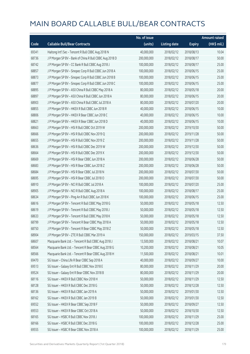|       |                                                         | No. of issue |                     |               | <b>Amount raised</b> |
|-------|---------------------------------------------------------|--------------|---------------------|---------------|----------------------|
| Code  | <b>Callable Bull/Bear Contracts</b>                     | (units)      | <b>Listing date</b> | <b>Expiry</b> | (HK\$ mil.)          |
| 69341 | Haitong Int'l Sec - Tencent R Bull CBBC Aug 2018 N      | 40,000,000   | 2018/02/12          | 2018/08/13    | 10.04                |
| 68736 | J P Morgan SP BV - Bank of China R Bull CBBC Aug 2018 D | 200,000,000  | 2018/02/12          | 2018/08/17    | 50.00                |
| 68742 | J P Morgan SP BV - CC Bank R Bull CBBC Aug 2018 J       | 100,000,000  | 2018/02/12          | 2018/08/17    | 25.00                |
| 68857 | J P Morgan SP BV - Sinopec Corp R Bull CBBC Jun 2018 A  | 100,000,000  | 2018/02/12          | 2018/06/15    | 25.00                |
| 68873 | J P Morgan SP BV - Sinopec Corp R Bull CBBC Jun 2018 B  | 100,000,000  | 2018/02/12          | 2018/06/15    | 25.00                |
| 68877 | J P Morgan SP BV - Sinopec Corp R Bull CBBC Jun 2018 C  | 100,000,000  | 2018/02/12          | 2018/06/15    | 25.00                |
| 68895 | J P Morgan SP BV - A50 China R Bull CBBC May 2018 A     | 80,000,000   | 2018/02/12          | 2018/05/18    | 20.00                |
| 68897 | J P Morgan SP BV - A50 China R Bull CBBC Jun 2018 A     | 80,000,000   | 2018/02/12          | 2018/06/15    | 20.00                |
| 68903 | J P Morgan SP BV - A50 China R Bull CBBC Jul 2018 A     | 80,000,000   | 2018/02/12          | 2018/07/20    | 20.00                |
| 68855 | J P Morgan SP BV - HKEX R Bull CBBC Jun 2018 R          | 40,000,000   | 2018/02/12          | 2018/06/15    | 10.00                |
| 68806 | J P Morgan SP BV - HKEX R Bear CBBC Jun 2018 C          | 40,000,000   | 2018/02/12          | 2018/06/15    | 10.00                |
| 68821 | J P Morgan SP BV - HKEX R Bear CBBC Jun 2018 D          | 40,000,000   | 2018/02/12          | 2018/06/15    | 10.00                |
| 68663 | JP Morgan SP BV - HSIR Bull CBBC Oct 2019 W             | 200,000,000  | 2018/02/12          | 2019/10/30    | 50.00                |
| 68666 | J P Morgan SP BV - HSI R Bull CBBC Nov 2019 Q           | 200,000,000  | 2018/02/12          | 2019/11/28    | 50.00                |
| 68655 | J P Morgan SP BV - HSI R Bull CBBC Nov 2019 Z           | 200,000,000  | 2018/02/12          | 2019/11/28    | 50.00                |
| 68636 | J P Morgan SP BV - HSI R Bull CBBC Dec 2019 W           | 200,000,000  | 2018/02/12          | 2019/12/30    | 50.00                |
| 68664 | J P Morgan SP BV - HSI R Bull CBBC Dec 2019 X           | 200,000,000  | 2018/02/12          | 2019/12/30    | 50.00                |
| 68669 | J P Morgan SP BV - HSI R Bear CBBC Jun 2018 A           | 200,000,000  | 2018/02/12          | 2018/06/28    | 50.00                |
| 68683 | J P Morgan SP BV - HSI R Bear CBBC Jun 2018 Z           | 200,000,000  | 2018/02/12          | 2018/06/28    | 50.00                |
| 68684 | J P Morgan SP BV - HSI R Bear CBBC Jul 2018 N           | 200,000,000  | 2018/02/12          | 2018/07/30    | 50.00                |
| 68695 | J P Morgan SP BV - HSI R Bear CBBC Jul 2018 O           | 200,000,000  | 2018/02/12          | 2018/07/30    | 50.00                |
| 68910 | J P Morgan SP BV - NCI R Bull CBBC Jul 2018 A           | 100,000,000  | 2018/02/12          | 2018/07/20    | 25.00                |
| 68905 | J P Morgan SP BV - NCI R Bull CBBC Aug 2018 A           | 100,000,000  | 2018/02/12          | 2018/08/17    | 25.00                |
| 68634 | J P Morgan SP BV - Ping An R Bull CBBC Jun 2018 K       | 100,000,000  | 2018/02/12          | 2018/06/15    | 25.00                |
| 68616 | J P Morgan SP BV - Tencent R Bull CBBC May 2018 G       | 50,000,000   | 2018/02/12          | 2018/05/18    | 12.50                |
| 68619 | J P Morgan SP BV - Tencent R Bull CBBC May 2018 J       | 50,000,000   | 2018/02/12          | 2018/05/18    | 12.50                |
| 68633 | J P Morgan SP BV - Tencent R Bull CBBC May 2018 K       | 50,000,000   | 2018/02/12          | 2018/05/18    | 12.50                |
| 68799 | J P Morgan SP BV - Tencent R Bear CBBC May 2018 A       | 50,000,000   | 2018/02/12          | 2018/05/18    | 12.50                |
| 68750 | J P Morgan SP BV - Tencent R Bear CBBC May 2018 Z       | 50,000,000   | 2018/02/12          | 2018/05/18    | 12.50                |
| 68904 | J P Morgan SP BV - ZTE R Bull CBBC Mar 2019 A           | 150,000,000  | 2018/02/12          | 2019/03/15    | 37.50                |
| 68607 | Macquarie Bank Ltd. - Tencent R Bull CBBC Aug 2018 J    | 13,500,000   | 2018/02/12          | 2018/08/21    | 10.07                |
| 68564 | Macquarie Bank Ltd. - Tencent R Bear CBBC Aug 2018 G    | 10,200,000   | 2018/02/12          | 2018/08/21    | 10.05                |
| 68566 | Macquarie Bank Ltd. - Tencent R Bear CBBC Aug 2018 H    | 11,500,000   | 2018/02/12          | 2018/08/21    | 10.01                |
| 69470 | SG Issuer - China Life R Bear CBBC Sep 2018 A           | 40,000,000   | 2018/02/12          | 2018/09/27    | 10.00                |
| 69513 | SG Issuer - Galaxy Ent R Bull CBBC Nov 2018 E           | 80,000,000   | 2018/02/12          | 2018/11/29    | 20.00                |
| 69524 | SG Issuer - Galaxy Ent R Bear CBBC Nov 2018 B           | 80,000,000   | 2018/02/12          | 2018/11/29    | 20.00                |
| 68116 | SG Issuer - HKEX R Bull CBBC Nov 2018 H                 | 50,000,000   | 2018/02/12          | 2018/11/29    | 12.50                |
| 68128 | SG Issuer - HKEX R Bull CBBC Dec 2018 G                 | 50,000,000   | 2018/02/12          | 2018/12/28    | 12.50                |
| 68136 | SG Issuer - HKEX R Bull CBBC Jan 2019 A                 | 50,000,000   | 2018/02/12          | 2019/01/30    | 12.50                |
| 68162 | SG Issuer - HKEX R Bull CBBC Jan 2019 B                 | 50,000,000   | 2018/02/12          | 2019/01/30    | 12.50                |
| 69552 | SG Issuer - HKEX R Bear CBBC Sep 2018 F                 | 50,000,000   | 2018/02/12          | 2018/09/27    | 12.50                |
| 69553 | SG Issuer - HKEX R Bear CBBC Oct 2018 A                 | 50,000,000   | 2018/02/12          | 2018/10/30    | 12.50                |
| 68165 | SG Issuer - HSBC R Bull CBBC Nov 2018 J                 | 100,000,000  | 2018/02/12          | 2018/11/29    | 25.00                |
| 68166 | SG Issuer - HSBC R Bull CBBC Dec 2018 G                 | 100,000,000  | 2018/02/12          | 2018/12/28    | 25.00                |
| 69555 | SG Issuer - HSBC R Bear CBBC Nov 2018 A                 | 100,000,000  | 2018/02/12          | 2018/11/29    | 25.00                |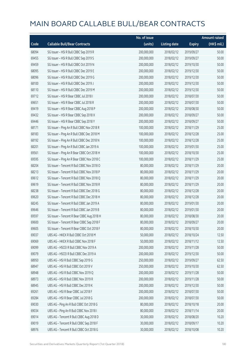|       |                                            | No. of issue |                     |               | <b>Amount raised</b> |
|-------|--------------------------------------------|--------------|---------------------|---------------|----------------------|
| Code  | <b>Callable Bull/Bear Contracts</b>        | (units)      | <b>Listing date</b> | <b>Expiry</b> | (HK\$ mil.)          |
| 68094 | SG Issuer - HSI R Bull CBBC Sep 2019 R     | 200,000,000  | 2018/02/12          | 2019/09/27    | 50.00                |
| 69455 | SG Issuer - HSI R Bull CBBC Sep 2019 S     | 200,000,000  | 2018/02/12          | 2019/09/27    | 50.00                |
| 69459 | SG Issuer - HSI R Bull CBBC Oct 2019 N     | 200,000,000  | 2018/02/12          | 2019/10/30    | 50.00                |
| 68095 | SG Issuer - HSI R Bull CBBC Dec 2019 E     | 200,000,000  | 2018/02/12          | 2019/12/30    | 50.00                |
| 68096 | SG Issuer - HSI R Bull CBBC Dec 2019 G     | 200,000,000  | 2018/02/12          | 2019/12/30    | 50.00                |
| 68100 | SG Issuer - HSI R Bull CBBC Dec 2019 J     | 200,000,000  | 2018/02/12          | 2019/12/30    | 50.00                |
| 68110 | SG Issuer - HSI R Bull CBBC Dec 2019 M     | 200,000,000  | 2018/02/12          | 2019/12/30    | 50.00                |
| 69712 | SG Issuer - HSI R Bear CBBC Jul 2018 I     | 200,000,000  | 2018/02/12          | 2018/07/30    | 50.00                |
| 69651 | SG Issuer - HSI R Bear CBBC Jul 2018 R     | 200,000,000  | 2018/02/12          | 2018/07/30    | 50.00                |
| 69419 | SG Issuer - HSI R Bear CBBC Aug 2018 P     | 200,000,000  | 2018/02/12          | 2018/08/30    | 50.00                |
| 69432 | SG Issuer - HSI R Bear CBBC Sep 2018 X     | 200,000,000  | 2018/02/12          | 2018/09/27    | 50.00                |
| 69446 | SG Issuer - HSI R Bear CBBC Sep 2018 Y     | 200,000,000  | 2018/02/12          | 2018/09/27    | 50.00                |
| 68171 | SG Issuer - Ping An R Bull CBBC Nov 2018 R | 100,000,000  | 2018/02/12          | 2018/11/29    | 25.00                |
| 68183 | SG Issuer - Ping An R Bull CBBC Dec 2018 M | 100,000,000  | 2018/02/12          | 2018/12/28    | 25.00                |
| 68192 | SG Issuer - Ping An R Bull CBBC Dec 2018 N | 100,000,000  | 2018/02/12          | 2018/12/28    | 25.00                |
| 68201 | SG Issuer - Ping An R Bull CBBC Jan 2019 A | 100,000,000  | 2018/02/12          | 2019/01/30    | 25.00                |
| 69561 | SG Issuer - Ping An R Bear CBBC Oct 2018 H | 100,000,000  | 2018/02/12          | 2018/10/30    | 25.00                |
| 69595 | SG Issuer - Ping An R Bear CBBC Nov 2018 C | 100,000,000  | 2018/02/12          | 2018/11/29    | 25.00                |
| 68204 | SG Issuer - Tencent R Bull CBBC Nov 2018 O | 80,000,000   | 2018/02/12          | 2018/11/29    | 20.00                |
| 68213 | SG Issuer - Tencent R Bull CBBC Nov 2018 P | 80,000,000   | 2018/02/12          | 2018/11/29    | 20.00                |
| 69612 | SG Issuer - Tencent R Bull CBBC Nov 2018 Q | 80,000,000   | 2018/02/12          | 2018/11/29    | 20.00                |
| 69619 | SG Issuer - Tencent R Bull CBBC Nov 2018 R | 80,000,000   | 2018/02/12          | 2018/11/29    | 20.00                |
| 68238 | SG Issuer - Tencent R Bull CBBC Dec 2018 G | 80,000,000   | 2018/02/12          | 2018/12/28    | 20.00                |
| 69620 | SG Issuer - Tencent R Bull CBBC Dec 2018 H | 80,000,000   | 2018/02/12          | 2018/12/28    | 20.00                |
| 68245 | SG Issuer - Tencent R Bull CBBC Jan 2019 A | 80,000,000   | 2018/02/12          | 2019/01/30    | 20.00                |
| 69646 | SG Issuer - Tencent R Bull CBBC Jan 2019 B | 80,000,000   | 2018/02/12          | 2019/01/30    | 20.00                |
| 69597 | SG Issuer - Tencent R Bear CBBC Aug 2018 H | 80,000,000   | 2018/02/12          | 2018/08/30    | 20.00                |
| 69600 | SG Issuer - Tencent R Bear CBBC Sep 2018 F | 80,000,000   | 2018/02/12          | 2018/09/27    | 20.00                |
| 69605 | SG Issuer - Tencent R Bear CBBC Oct 2018 F | 80,000,000   | 2018/02/12          | 2018/10/30    | 20.00                |
| 69037 | UBS AG - HKEX R Bull CBBC Oct 2018 M       | 50,000,000   | 2018/02/12          | 2018/10/24    | 12.50                |
| 69069 | UBS AG - HKEX R Bull CBBC Nov 2018 F       | 50,000,000   | 2018/02/12          | 2018/11/12    | 12.50                |
| 69099 | UBS AG - HSCEI R Bull CBBC Nov 2019 A      | 200,000,000  | 2018/02/12          | 2019/11/28    | 50.00                |
| 69079 | UBS AG - HSCEI R Bull CBBC Dec 2019 A      | 200,000,000  | 2018/02/12          | 2019/12/30    | 50.00                |
| 68950 | UBS AG - HSI R Bull CBBC Sep 2019 G        | 250,000,000  | 2018/02/12          | 2019/09/27    | 62.50                |
| 68947 | UBS AG - HSI R Bull CBBC Oct 2019 V        | 250,000,000  | 2018/02/12          | 2019/10/30    | 62.50                |
| 68948 | UBS AG - HSI R Bull CBBC Nov 2019 Q        | 200,000,000  | 2018/02/12          | 2019/11/28    | 50.00                |
| 68973 | UBS AG - HSI R Bull CBBC Nov 2019 R        | 200,000,000  | 2018/02/12          | 2019/11/28    | 50.00                |
| 68945 | UBS AG - HSI R Bull CBBC Dec 2019 K        | 200,000,000  | 2018/02/12          | 2019/12/30    | 50.00                |
| 69261 | UBS AG - HSI R Bear CBBC Jul 2018 F        | 200,000,000  | 2018/02/12          | 2018/07/30    | 50.00                |
| 69284 | UBS AG - HSI R Bear CBBC Jul 2018 G        | 200,000,000  | 2018/02/12          | 2018/07/30    | 50.00                |
| 69030 | UBS AG - Ping An R Bull CBBC Oct 2018 G    | 80,000,000   | 2018/02/12          | 2018/10/18    | 20.00                |
| 69034 | UBS AG - Ping An R Bull CBBC Nov 2018 I    | 80,000,000   | 2018/02/12          | 2018/11/14    | 20.00                |
| 69014 | UBS AG - Tencent R Bull CBBC Aug 2018 D    | 30,000,000   | 2018/02/12          | 2018/08/20    | 10.20                |
| 69019 | UBS AG - Tencent R Bull CBBC Sep 2018 F    | 30,000,000   | 2018/02/12          | 2018/09/17    | 10.20                |
| 68976 | UBS AG - Tencent R Bull CBBC Oct 2018 G    | 30,000,000   | 2018/02/12          | 2018/10/08    | 10.20                |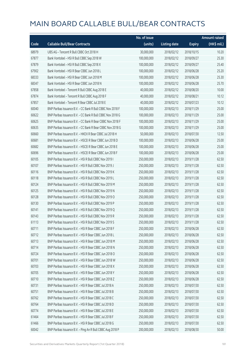|       |                                                            | No. of issue |                     |               | <b>Amount raised</b> |
|-------|------------------------------------------------------------|--------------|---------------------|---------------|----------------------|
| Code  | <b>Callable Bull/Bear Contracts</b>                        | (units)      | <b>Listing date</b> | <b>Expiry</b> | (HK\$ mil.)          |
| 68979 | UBS AG - Tencent R Bull CBBC Oct 2018 H                    | 30,000,000   | 2018/02/12          | 2018/10/15    | 10.20                |
| 67877 | Bank Vontobel - HSI R Bull CBBC Sep 2018 W                 | 100,000,000  | 2018/02/12          | 2018/09/27    | 25.30                |
| 67879 | Bank Vontobel - HSI R Bull CBBC Sep 2018 X                 | 100,000,000  | 2018/02/12          | 2018/09/27    | 25.40                |
| 67902 | Bank Vontobel - HSI R Bear CBBC Jun 2018 L                 | 100,000,000  | 2018/02/12          | 2018/06/28    | 25.20                |
| 68333 | Bank Vontobel - HSI R Bear CBBC Jun 2018 M                 | 100,000,000  | 2018/02/12          | 2018/06/28    | 25.30                |
| 68347 | Bank Vontobel - HSI R Bear CBBC Jun 2018 N                 | 100,000,000  | 2018/02/12          | 2018/06/28    | 25.70                |
| 67858 | Bank Vontobel - Tencent R Bull CBBC Aug 2018 E             | 40,000,000   | 2018/02/12          | 2018/08/20    | 10.00                |
| 67874 | Bank Vontobel - Tencent R Bull CBBC Aug 2018 F             | 40,000,000   | 2018/02/12          | 2018/08/21    | 10.12                |
| 67857 | Bank Vontobel - Tencent R Bear CBBC Jul 2018 E             | 40,000,000   | 2018/02/12          | 2018/07/23    | 10.12                |
| 60040 | BNP Paribas Issuance B.V. - CC Bank R Bull CBBC Nov 2018 F | 100,000,000  | 2018/02/13          | 2018/11/29    | 25.00                |
| 60622 | BNP Paribas Issuance B.V. - CC Bank R Bull CBBC Nov 2018 G | 100,000,000  | 2018/02/13          | 2018/11/29    | 25.00                |
| 60625 | BNP Paribas Issuance B.V. - CC Bank R Bear CBBC Nov 2018 F | 100,000,000  | 2018/02/13          | 2018/11/29    | 25.00                |
| 60635 | BNP Paribas Issuance B.V. - CC Bank R Bear CBBC Nov 2018 G | 100,000,000  | 2018/02/13          | 2018/11/29    | 25.00                |
| 60660 | BNP Paribas Issuance B.V. - HKEX R Bear CBBC Jul 2018 H    | 50,000,000   | 2018/02/13          | 2018/07/30    | 12.50                |
| 60681 | BNP Paribas Issuance B.V. - HSCEI R Bear CBBC Jun 2018 D   | 100,000,000  | 2018/02/13          | 2018/06/28    | 25.00                |
| 60682 | BNP Paribas Issuance B.V. - HSCEI R Bear CBBC Jun 2018 E   | 100,000,000  | 2018/02/13          | 2018/06/28    | 25.00                |
| 60696 | BNP Paribas Issuance B.V. - HSCEI R Bear CBBC Jun 2018 F   | 100,000,000  | 2018/02/13          | 2018/06/28    | 25.00                |
| 60105 | BNP Paribas Issuance B.V. - HSI R Bull CBBC Nov 2019 I     | 250,000,000  | 2018/02/13          | 2019/11/28    | 62.50                |
| 60107 | BNP Paribas Issuance B.V. - HSI R Bull CBBC Nov 2019 J     | 250,000,000  | 2018/02/13          | 2019/11/28    | 62.50                |
| 60116 | BNP Paribas Issuance B.V. - HSI R Bull CBBC Nov 2019 K     | 250,000,000  | 2018/02/13          | 2019/11/28    | 62.50                |
| 60118 | BNP Paribas Issuance B.V. - HSI R Bull CBBC Nov 2019 L     | 250,000,000  | 2018/02/13          | 2019/11/28    | 62.50                |
| 60124 | BNP Paribas Issuance B.V. - HSI R Bull CBBC Nov 2019 M     | 250,000,000  | 2018/02/13          | 2019/11/28    | 62.50                |
| 60125 | BNP Paribas Issuance B.V. - HSI R Bull CBBC Nov 2019 N     | 250,000,000  | 2018/02/13          | 2019/11/28    | 62.50                |
| 60128 | BNP Paribas Issuance B.V. - HSI R Bull CBBC Nov 2019 O     | 250,000,000  | 2018/02/13          | 2019/11/28    | 62.50                |
| 60130 | BNP Paribas Issuance B.V. - HSI R Bull CBBC Nov 2019 P     | 250,000,000  | 2018/02/13          | 2019/11/28    | 62.50                |
| 60141 | BNP Paribas Issuance B.V. - HSI R Bull CBBC Nov 2019 Q     | 250,000,000  | 2018/02/13          | 2019/11/28    | 62.50                |
| 60143 | BNP Paribas Issuance B.V. - HSI R Bull CBBC Nov 2019 R     | 250,000,000  | 2018/02/13          | 2019/11/28    | 62.50                |
| 61113 | BNP Paribas Issuance B.V. - HSI R Bull CBBC Nov 2019 S     | 250,000,000  | 2018/02/13          | 2019/11/28    | 62.50                |
| 60711 | BNP Paribas Issuance B.V. - HSI R Bear CBBC Jun 2018 F     | 250,000,000  | 2018/02/13          | 2018/06/28    | 62.50                |
| 60712 | BNP Paribas Issuance B.V. - HSI R Bear CBBC Jun 2018 L     | 250,000,000  | 2018/02/13          | 2018/06/28    | 62.50                |
| 60713 | BNP Paribas Issuance B.V. - HSI R Bear CBBC Jun 2018 M     | 250,000,000  | 2018/02/13          | 2018/06/28    | 62.50                |
| 60714 | BNP Paribas Issuance B.V. - HSI R Bear CBBC Jun 2018 N     | 250,000,000  | 2018/02/13          | 2018/06/28    | 62.50                |
| 60724 | BNP Paribas Issuance B.V. - HSI R Bear CBBC Jun 2018 O     | 250,000,000  | 2018/02/13          | 2018/06/28    | 62.50                |
| 60701 | BNP Paribas Issuance B.V. - HSI R Bear CBBC Jun 2018 W     | 250,000,000  | 2018/02/13          | 2018/06/28    | 62.50                |
| 60703 | BNP Paribas Issuance B.V. - HSI R Bear CBBC Jun 2018 X     | 250,000,000  | 2018/02/13          | 2018/06/28    | 62.50                |
| 60705 | BNP Paribas Issuance B.V. - HSI R Bear CBBC Jun 2018 Y     | 250,000,000  | 2018/02/13          | 2018/06/28    | 62.50                |
| 60710 | BNP Paribas Issuance B.V. - HSI R Bear CBBC Jun 2018 Z     | 250,000,000  | 2018/02/13          | 2018/06/28    | 62.50                |
| 60731 | BNP Paribas Issuance B.V. - HSI R Bear CBBC Jul 2018 A     | 250,000,000  | 2018/02/13          | 2018/07/30    | 62.50                |
| 60751 | BNP Paribas Issuance B.V. - HSI R Bear CBBC Jul 2018 B     | 250,000,000  | 2018/02/13          | 2018/07/30    | 62.50                |
| 60762 | BNP Paribas Issuance B.V. - HSI R Bear CBBC Jul 2018 C     | 250,000,000  | 2018/02/13          | 2018/07/30    | 62.50                |
| 60764 | BNP Paribas Issuance B.V. - HSI R Bear CBBC Jul 2018 D     | 250,000,000  | 2018/02/13          | 2018/07/30    | 62.50                |
| 60774 | BNP Paribas Issuance B.V. - HSI R Bear CBBC Jul 2018 E     | 250,000,000  | 2018/02/13          | 2018/07/30    | 62.50                |
| 61464 | BNP Paribas Issuance B.V. - HSI R Bear CBBC Jul 2018 F     | 250,000,000  | 2018/02/13          | 2018/07/30    | 62.50                |
| 61466 | BNP Paribas Issuance B.V. - HSI R Bear CBBC Jul 2018 G     | 250,000,000  | 2018/02/13          | 2018/07/30    | 62.50                |
| 60042 | BNP Paribas Issuance B.V. - Ping An R Bull CBBC Aug 2018 P | 200,000,000  | 2018/02/13          | 2018/08/30    | 50.00                |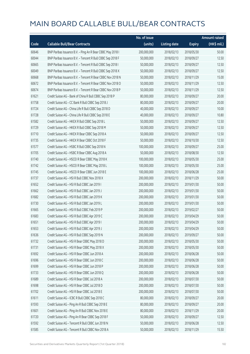|       |                                                            | No. of issue |                     |               | <b>Amount raised</b>  |
|-------|------------------------------------------------------------|--------------|---------------------|---------------|-----------------------|
| Code  | <b>Callable Bull/Bear Contracts</b>                        | (units)      | <b>Listing date</b> | <b>Expiry</b> | $(HK\frac{1}{2}mil.)$ |
| 60646 | BNP Paribas Issuance B.V. - Ping An R Bear CBBC May 2018 I | 200,000,000  | 2018/02/13          | 2018/05/30    | 50.00                 |
| 60044 | BNP Paribas Issuance B.V. - Tencent R Bull CBBC Sep 2018 F | 50,000,000   | 2018/02/13          | 2018/09/27    | 12.50                 |
| 60665 | BNP Paribas Issuance B.V. - Tencent R Bull CBBC Sep 2018 I | 50,000,000   | 2018/02/13          | 2018/09/27    | 12.50                 |
| 60049 | BNP Paribas Issuance B.V. - Tencent R Bull CBBC Sep 2018 X | 50,000,000   | 2018/02/13          | 2018/09/27    | 12.50                 |
| 60668 | BNP Paribas Issuance B.V. - Tencent R Bear CBBC Nov 2018 N | 50,000,000   | 2018/02/13          | 2018/11/29    | 15.00                 |
| 60672 | BNP Paribas Issuance B.V. - Tencent R Bear CBBC Nov 2018 O | 50,000,000   | 2018/02/13          | 2018/11/29    | 12.50                 |
| 60674 | BNP Paribas Issuance B.V. - Tencent R Bear CBBC Nov 2018 P | 50,000,000   | 2018/02/13          | 2018/11/29    | 12.50                 |
| 61621 | Credit Suisse AG - Bank of China R Bull CBBC Sep 2018 P    | 80,000,000   | 2018/02/13          | 2018/09/27    | 20.00                 |
| 61758 | Credit Suisse AG - CC Bank R Bull CBBC Sep 2018 J          | 80,000,000   | 2018/02/13          | 2018/09/27    | 20.00                 |
| 61724 | Credit Suisse AG - China Life R Bull CBBC Sep 2018 D       | 40,000,000   | 2018/02/13          | 2018/09/27    | 10.00                 |
| 61728 | Credit Suisse AG - China Life R Bull CBBC Sep 2018 E       | 40,000,000   | 2018/02/13          | 2018/09/27    | 10.80                 |
| 61582 | Credit Suisse AG - HKEX R Bull CBBC Sep 2018 L             | 50,000,000   | 2018/02/13          | 2018/09/27    | 12.50                 |
| 61729 | Credit Suisse AG - HKEX R Bull CBBC Sep 2018 M             | 50,000,000   | 2018/02/13          | 2018/09/27    | 12.50                 |
| 61710 | Credit Suisse AG - HKEX R Bear CBBC Sep 2018 A             | 50,000,000   | 2018/02/13          | 2018/09/27    | 12.50                 |
| 61735 | Credit Suisse AG - HKEX R Bear CBBC Oct 2018 F             | 50,000,000   | 2018/02/13          | 2018/10/30    | 12.50                 |
| 61577 | Credit Suisse AG - HSBC R Bull CBBC Sep 2018 N             | 100,000,000  | 2018/02/13          | 2018/09/27    | 25.00                 |
| 61705 | Credit Suisse AG - HSBC R Bear CBBC Aug 2018 A             | 50,000,000   | 2018/02/13          | 2018/08/30    | 12.50                 |
| 61740 | Credit Suisse AG - HSCEI R Bear CBBC May 2018 K            | 100,000,000  | 2018/02/13          | 2018/05/30    | 25.00                 |
| 61742 | Credit Suisse AG - HSCEI R Bear CBBC May 2018 L            | 100,000,000  | 2018/02/13          | 2018/05/30    | 25.00                 |
| 61745 | Credit Suisse AG - HSCEI R Bear CBBC Jun 2018 E            | 100,000,000  | 2018/02/13          | 2018/06/28    | 25.00                 |
| 61737 | Credit Suisse AG - HSI R Bull CBBC Nov 2018 X              | 200,000,000  | 2018/02/13          | 2018/11/29    | 50.00                 |
| 61652 | Credit Suisse AG - HSI R Bull CBBC Jan 2019 I              | 200,000,000  | 2018/02/13          | 2019/01/30    | 50.00                 |
| 61662 | Credit Suisse AG - HSI R Bull CBBC Jan 2019 J              | 200,000,000  | 2018/02/13          | 2019/01/30    | 50.00                 |
| 61682 | Credit Suisse AG - HSI R Bull CBBC Jan 2019 K              | 200,000,000  | 2018/02/13          | 2019/01/30    | 50.00                 |
| 61730 | Credit Suisse AG - HSI R Bull CBBC Jan 2019 L              | 200,000,000  | 2018/02/13          | 2019/01/30    | 50.00                 |
| 61665 | Credit Suisse AG - HSI R Bull CBBC Feb 2019 P              | 200,000,000  | 2018/02/13          | 2019/02/27    | 50.00                 |
| 61683 | Credit Suisse AG - HSI R Bull CBBC Apr 2019 C              | 200,000,000  | 2018/02/13          | 2019/04/29    | 50.00                 |
| 61651 | Credit Suisse AG - HSI R Bull CBBC Apr 2019 I              | 200,000,000  | 2018/02/13          | 2019/04/29    | 50.00                 |
| 61653 | Credit Suisse AG - HSI R Bull CBBC Apr 2019 J              | 200,000,000  | 2018/02/13          | 2019/04/29    | 50.00                 |
| 61636 | Credit Suisse AG - HSI R Bull CBBC Sep 2019 N              | 200,000,000  | 2018/02/13          | 2019/09/27    | 50.00                 |
| 61732 | Credit Suisse AG - HSI R Bear CBBC May 2018 D              | 200,000,000  | 2018/02/13          | 2018/05/30    | 50.00                 |
| 61731 | Credit Suisse AG - HSI R Bear CBBC May 2018 X              | 200,000,000  | 2018/02/13          | 2018/05/30    | 50.00                 |
| 61692 | Credit Suisse AG - HSI R Bear CBBC Jun 2018 A              | 200,000,000  | 2018/02/13          | 2018/06/28    | 50.00                 |
| 61696 | Credit Suisse AG - HSI R Bear CBBC Jun 2018 C              | 200,000,000  | 2018/02/13          | 2018/06/28    | 50.00                 |
| 61699 | Credit Suisse AG - HSI R Bear CBBC Jun 2018 P              | 200,000,000  | 2018/02/13          | 2018/06/28    | 50.00                 |
| 61733 | Credit Suisse AG - HSI R Bear CBBC Jun 2018 Q              | 200,000,000  | 2018/02/13          | 2018/06/28    | 50.00                 |
| 61689 | Credit Suisse AG - HSI R Bear CBBC Jul 2018 A              | 200,000,000  | 2018/02/13          | 2018/07/30    | 50.00                 |
| 61698 | Credit Suisse AG - HSI R Bear CBBC Jul 2018 D              | 200,000,000  | 2018/02/13          | 2018/07/30    | 50.00                 |
| 61702 | Credit Suisse AG - HSI R Bear CBBC Jul 2018 E              | 200,000,000  | 2018/02/13          | 2018/07/30    | 50.00                 |
| 61611 | Credit Suisse AG - ICBC R Bull CBBC Sep 2018 C             | 80,000,000   | 2018/02/13          | 2018/09/27    | 20.00                 |
| 61593 | Credit Suisse AG - Ping An R Bull CBBC Sep 2018 E          | 80,000,000   | 2018/02/13          | 2018/09/27    | 20.00                 |
| 61601 | Credit Suisse AG - Ping An R Bull CBBC Nov 2018 E          | 80,000,000   | 2018/02/13          | 2018/11/29    | 20.00                 |
| 61720 | Credit Suisse AG - Ping An R Bear CBBC Sep 2018 F          | 50,000,000   | 2018/02/13          | 2018/09/27    | 12.50                 |
| 61592 | Credit Suisse AG - Tencent R Bull CBBC Jun 2018 N          | 50,000,000   | 2018/02/13          | 2018/06/28    | 12.50                 |
| 61585 | Credit Suisse AG - Tencent R Bull CBBC Nov 2018 A          | 50,000,000   | 2018/02/13          | 2018/11/29    | 15.50                 |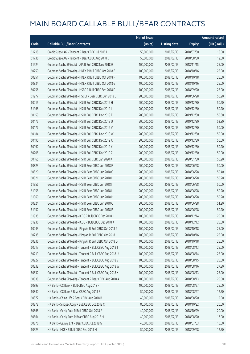|       |                                                          | No. of issue |                     |               | <b>Amount raised</b> |
|-------|----------------------------------------------------------|--------------|---------------------|---------------|----------------------|
| Code  | <b>Callable Bull/Bear Contracts</b>                      | (units)      | <b>Listing date</b> | <b>Expiry</b> | (HK\$ mil.)          |
| 61718 | Credit Suisse AG - Tencent R Bear CBBC Jul 2018 I        | 50,000,000   | 2018/02/13          | 2018/07/30    | 18.00                |
| 61736 | Credit Suisse AG - Tencent R Bear CBBC Aug 2018 D        | 50,000,000   | 2018/02/13          | 2018/08/30    | 12.50                |
| 61924 | Goldman Sachs SP (Asia) - AIA R Bull CBBC Nov 2018 G     | 100,000,000  | 2018/02/13          | 2018/11/15    | 25.00                |
| 60250 | Goldman Sachs SP (Asia) - HKEX R Bull CBBC Oct 2018 E    | 100,000,000  | 2018/02/13          | 2018/10/16    | 25.00                |
| 60251 | Goldman Sachs SP (Asia) - HKEX R Bull CBBC Oct 2018 F    | 100,000,000  | 2018/02/13          | 2018/10/18    | 25.00                |
| 60834 | Goldman Sachs SP (Asia) - HKEX R Bull CBBC Oct 2018 G    | 100,000,000  | 2018/02/13          | 2018/10/16    | 25.00                |
| 60256 | Goldman Sachs SP (Asia) - HSBC R Bull CBBC Sep 2018 F    | 100,000,000  | 2018/02/13          | 2018/09/20    | 25.00                |
| 61977 | Goldman Sachs SP (Asia) - HSCEI R Bear CBBC Jun 2018 B   | 200,000,000  | 2018/02/13          | 2018/06/28    | 50.20                |
| 60215 | Goldman Sachs SP (Asia) - HSI R Bull CBBC Dec 2019 H     | 200,000,000  | 2018/02/13          | 2019/12/30    | 50.20                |
| 61968 | Goldman Sachs SP (Asia) - HSI R Bull CBBC Dec 2019 I     | 200,000,000  | 2018/02/13          | 2019/12/30    | 50.20                |
| 60159 | Goldman Sachs SP (Asia) - HSI R Bull CBBC Dec 2019 T     | 200,000,000  | 2018/02/13          | 2019/12/30    | 50.60                |
| 60175 | Goldman Sachs SP (Asia) - HSI R Bull CBBC Dec 2019 U     | 200,000,000  | 2018/02/13          | 2019/12/30    | 52.80                |
| 60177 | Goldman Sachs SP (Asia) - HSI R Bull CBBC Dec 2019 V     | 200,000,000  | 2018/02/13          | 2019/12/30    | 50.00                |
| 60184 | Goldman Sachs SP (Asia) - HSI R Bull CBBC Dec 2019 W     | 200,000,000  | 2018/02/13          | 2019/12/30    | 50.00                |
| 60190 | Goldman Sachs SP (Asia) - HSI R Bull CBBC Dec 2019 X     | 200,000,000  | 2018/02/13          | 2019/12/30    | 50.00                |
| 60192 | Goldman Sachs SP (Asia) - HSI R Bull CBBC Dec 2019 Y     | 200,000,000  | 2018/02/13          | 2019/12/30    | 50.20                |
| 60208 | Goldman Sachs SP (Asia) - HSI R Bull CBBC Dec 2019 Z     | 200,000,000  | 2018/02/13          | 2019/12/30    | 50.00                |
| 60165 | Goldman Sachs SP (Asia) - HSI R Bull CBBC Jan 2020 K     | 200,000,000  | 2018/02/13          | 2020/01/30    | 50.20                |
| 60823 | Goldman Sachs SP (Asia) - HSI R Bear CBBC Jun 2018 F     | 200,000,000  | 2018/02/13          | 2018/06/28    | 50.00                |
| 60820 | Goldman Sachs SP (Asia) - HSI R Bear CBBC Jun 2018 G     | 200,000,000  | 2018/02/13          | 2018/06/28    | 50.40                |
| 60821 | Goldman Sachs SP (Asia) - HSI R Bear CBBC Jun 2018 H     | 200,000,000  | 2018/02/13          | 2018/06/28    | 50.20                |
| 61956 | Goldman Sachs SP (Asia) - HSI R Bear CBBC Jun 2018 I     | 200,000,000  | 2018/02/13          | 2018/06/28    | 50.00                |
| 61958 | Goldman Sachs SP (Asia) - HSI R Bear CBBC Jun 2018 L     | 200,000,000  | 2018/02/13          | 2018/06/28    | 50.20                |
| 61960 | Goldman Sachs SP (Asia) - HSI R Bear CBBC Jun 2018 M     | 200,000,000  | 2018/02/13          | 2018/06/28    | 50.20                |
| 60824 | Goldman Sachs SP (Asia) - HSI R Bear CBBC Jun 2018 O     | 200,000,000  | 2018/02/13          | 2018/06/28    | 51.20                |
| 61952 | Goldman Sachs SP (Asia) - HSI R Bear CBBC Jun 2018 P     | 200,000,000  | 2018/02/13          | 2018/06/28    | 50.20                |
| 61935 | Goldman Sachs SP (Asia) - ICBC R Bull CBBC Dec 2018 J    | 100,000,000  | 2018/02/13          | 2018/12/14    | 25.00                |
| 61936 | Goldman Sachs SP (Asia) - ICBC R Bull CBBC Dec 2018 K    | 100,000,000  | 2018/02/13          | 2018/12/12    | 25.00                |
| 60243 | Goldman Sachs SP (Asia) - Ping An R Bull CBBC Oct 2018 G | 100,000,000  | 2018/02/13          | 2018/10/18    | 25.00                |
| 60235 | Goldman Sachs SP (Asia) - Ping An R Bull CBBC Oct 2018 I | 100,000,000  | 2018/02/13          | 2018/10/16    | 25.00                |
| 60236 | Goldman Sachs SP (Asia) - Ping An R Bull CBBC Oct 2018 Q | 100,000,000  | 2018/02/13          | 2018/10/18    | 25.00                |
| 60217 | Goldman Sachs SP (Asia) - Tencent R Bull CBBC Aug 2018 T | 100,000,000  | 2018/02/13          | 2018/08/13    | 25.00                |
| 60219 | Goldman Sachs SP (Asia) - Tencent R Bull CBBC Aug 2018 U | 100,000,000  | 2018/02/13          | 2018/08/14    | 25.00                |
| 60227 | Goldman Sachs SP (Asia) - Tencent R Bull CBBC Aug 2018 V | 100,000,000  | 2018/02/13          | 2018/08/15    | 25.00                |
| 60232 | Goldman Sachs SP (Asia) - Tencent R Bull CBBC Aug 2018 W | 100,000,000  | 2018/02/13          | 2018/08/16    | 27.80                |
| 60832 | Goldman Sachs SP (Asia) - Tencent R Bull CBBC Aug 2018 X | 100,000,000  | 2018/02/13          | 2018/08/13    | 25.00                |
| 60838 | Goldman Sachs SP (Asia) - Tencent R Bear CBBC Aug 2018 A | 100,000,000  | 2018/02/13          | 2018/08/13    | 25.00                |
| 60893 | HK Bank - CC Bank R Bull CBBC Aug 2018 P                 | 100,000,000  | 2018/02/13          | 2018/08/27    | 25.00                |
| 60840 | HK Bank - CC Bank R Bear CBBC Aug 2018 B                 | 50,000,000   | 2018/02/13          | 2018/08/27    | 12.50                |
| 60872 | HK Bank - China Life R Bear CBBC Aug 2018 B              | 40,000,000   | 2018/02/13          | 2018/08/20    | 12.00                |
| 60878 | HK Bank - Sinopec Corp R Bull CBBC Oct 2018 C            | 80,000,000   | 2018/02/13          | 2018/10/22    | 20.00                |
| 60868 | HK Bank - Geely Auto R Bull CBBC Oct 2018 A              | 40,000,000   | 2018/02/13          | 2018/10/29    | 20.00                |
| 60864 | HK Bank - Geely Auto R Bear CBBC Aug 2018 H              | 40,000,000   | 2018/02/13          | 2018/08/20    | 16.00                |
| 60876 | HK Bank - Galaxy Ent R Bear CBBC Jul 2018 G              | 40,000,000   | 2018/02/13          | 2018/07/03    | 10.00                |
| 60323 | HK Bank - HKEX R Bull CBBC Sep 2018 M                    | 50,000,000   | 2018/02/13          | 2018/09/28    | 12.50                |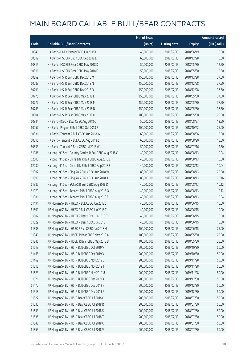|       |                                                           | No. of issue |                     |               | <b>Amount raised</b> |
|-------|-----------------------------------------------------------|--------------|---------------------|---------------|----------------------|
| Code  | <b>Callable Bull/Bear Contracts</b>                       | (units)      | <b>Listing date</b> | <b>Expiry</b> | (HK\$ mil.)          |
| 60846 | HK Bank - HKEX R Bear CBBC Jun 2018 I                     | 40,000,000   | 2018/02/13          | 2018/06/19    | 10.00                |
| 60312 | HK Bank - HSCEI R Bull CBBC Dec 2018 E                    | 60,000,000   | 2018/02/13          | 2018/12/28    | 15.00                |
| 60815 | HK Bank - HSCEI R Bear CBBC May 2018 D                    | 50,000,000   | 2018/02/13          | 2018/05/30    | 12.50                |
| 60816 | HK Bank - HSCEI R Bear CBBC May 2018 E                    | 50,000,000   | 2018/02/13          | 2018/05/30    | 12.50                |
| 60259 | HK Bank - HSI R Bull CBBC Dec 2018 M                      | 150,000,000  | 2018/02/13          | 2018/12/28    | 37.50                |
| 60283 | HK Bank - HSI R Bull CBBC Dec 2018 N                      | 150,000,000  | 2018/02/13          | 2018/12/28    | 37.50                |
| 60291 | HK Bank - HSI R Bull CBBC Dec 2018 O                      | 150,000,000  | 2018/02/13          | 2018/12/28    | 37.50                |
| 60775 | HK Bank - HSI R Bear CBBC May 2018 L                      | 150,000,000  | 2018/02/13          | 2018/05/30    | 37.50                |
| 60777 | HK Bank - HSI R Bear CBBC May 2018 M                      | 150,000,000  | 2018/02/13          | 2018/05/30    | 37.50                |
| 60783 | HK Bank - HSI R Bear CBBC May 2018 N                      | 150,000,000  | 2018/02/13          | 2018/05/30    | 37.50                |
| 60804 | HK Bank - HSI R Bear CBBC May 2018 O                      | 100,000,000  | 2018/02/13          | 2018/05/30    | 25.00                |
| 60844 | HK Bank - ICBC R Bear CBBC Aug 2018 C                     | 50,000,000   | 2018/02/13          | 2018/08/27    | 12.50                |
| 60257 | HK Bank - Ping An R Bull CBBC Oct 2018 R                  | 100,000,000  | 2018/02/13          | 2018/10/22    | 25.00                |
| 60331 | HK Bank - Tencent R Bull CBBC Aug 2018 W                  | 60,000,000   | 2018/02/13          | 2018/08/06    | 15.00                |
| 60315 | HK Bank - Tencent R Bull CBBC Aug 2018 Z                  | 60,000,000   | 2018/02/13          | 2018/08/20    | 15.00                |
| 60853 | HK Bank - Tencent R Bear CBBC Jul 2018 W                  | 50,000,000   | 2018/02/13          | 2018/07/16    | 12.50                |
| 61986 | Haitong Int'l Sec - Country Garden R Bull CBBC Aug 2018 C | 40,000,000   | 2018/02/13          | 2018/08/13    | 10.04                |
| 62000 | Haitong Int'l Sec - China Life R Bull CBBC Aug 2018 E     | 40,000,000   | 2018/02/13          | 2018/08/13    | 10.00                |
| 62032 | Haitong Int'l Sec - China Life R Bull CBBC Aug 2018 F     | 40,000,000   | 2018/02/13          | 2018/08/13    | 10.04                |
| 61997 | Haitong Int'l Sec - Ping An R Bull CBBC Aug 2018 W        | 80,000,000   | 2018/02/13          | 2018/08/13    | 20.00                |
| 61999 | Haitong Int'l Sec - Ping An R Bull CBBC Aug 2018 X        | 80,000,000   | 2018/02/13          | 2018/08/13    | 20.16                |
| 61985 | Haitong Int'l Sec - SUNAC R Bull CBBC Aug 2018 D          | 40,000,000   | 2018/02/13          | 2018/08/13    | 10.12                |
| 61979 | Haitong Int'l Sec - Tencent R Bull CBBC Aug 2018 O        | 40,000,000   | 2018/02/13          | 2018/08/13    | 10.12                |
| 61981 | Haitong Int'l Sec - Tencent R Bull CBBC Aug 2018 P        | 40,000,000   | 2018/02/13          | 2018/08/13    | 10.04                |
| 61491 | J P Morgan SP BV - HKEX R Bull CBBC Jun 2018 S            | 40,000,000   | 2018/02/13          | 2018/06/15    | 10.00                |
| 61501 | J P Morgan SP BV - HKEX R Bull CBBC Jun 2018 T            | 40,000,000   | 2018/02/13          | 2018/06/15    | 10.00                |
| 61807 | J P Morgan SP BV - HKEX R Bear CBBC Jun 2018 E            | 40,000,000   | 2018/02/13          | 2018/06/15    | 10.00                |
| 61829 | J P Morgan SP BV - HKEX R Bear CBBC Jun 2018 F            | 40,000,000   | 2018/02/13          | 2018/06/15    | 10.00                |
| 61838 | J P Morgan SP BV - HSBC R Bull CBBC Jun 2018 H            | 100,000,000  | 2018/02/13          | 2018/06/15    | 25.00                |
| 61840 | J P Morgan SP BV - HSCEI R Bear CBBC May 2018 A           | 100,000,000  | 2018/02/13          | 2018/05/30    | 25.00                |
| 61846 | J P Morgan SP BV - HSCEI R Bear CBBC May 2018 B           | 100,000,000  | 2018/02/13          | 2018/05/30    | 25.00                |
| 61513 | J P Morgan SP BV - HSI R Bull CBBC Oct 2019 V             | 200,000,000  | 2018/02/13          | 2019/10/30    | 50.00                |
| 61468 | J P Morgan SP BV - HSI R Bull CBBC Oct 2019 X             | 200,000,000  | 2018/02/13          | 2019/10/30    | 50.00                |
| 61469 | J P Morgan SP BV - HSI R Bull CBBC Nov 2019 S             | 200,000,000  | 2018/02/13          | 2019/11/28    | 50.00                |
| 61515 | J P Morgan SP BV - HSI R Bull CBBC Nov 2019 T             | 200,000,000  | 2018/02/13          | 2019/11/28    | 50.00                |
| 61523 | J P Morgan SP BV - HSI R Bull CBBC Nov 2019 U             | 200,000,000  | 2018/02/13          | 2019/11/28    | 50.00                |
| 61521 | J P Morgan SP BV - HSI R Bull CBBC Dec 2019 A             | 200,000,000  | 2018/02/13          | 2019/12/30    | 50.00                |
| 61472 | J P Morgan SP BV - HSI R Bull CBBC Dec 2019 Y             | 200,000,000  | 2018/02/13          | 2019/12/30    | 50.00                |
| 61518 | J P Morgan SP BV - HSI R Bull CBBC Dec 2019 Z             | 200,000,000  | 2018/02/13          | 2019/12/30    | 50.00                |
| 61527 | J P Morgan SP BV - HSI R Bear CBBC Jul 2018 Q             | 200,000,000  | 2018/02/13          | 2018/07/30    | 50.00                |
| 61530 | J P Morgan SP BV - HSI R Bear CBBC Jul 2018 R             | 200,000,000  | 2018/02/13          | 2018/07/30    | 50.00                |
| 61533 | J P Morgan SP BV - HSI R Bear CBBC Jul 2018 S             | 200,000,000  | 2018/02/13          | 2018/07/30    | 50.00                |
| 61535 | J P Morgan SP BV - HSI R Bear CBBC Jul 2018 T             | 200,000,000  | 2018/02/13          | 2018/07/30    | 50.00                |
| 61848 | J P Morgan SP BV - HSI R Bear CBBC Jul 2018 U             | 200,000,000  | 2018/02/13          | 2018/07/30    | 50.00                |
| 61853 | J P Morgan SP BV - HSI R Bear CBBC Jul 2018 V             | 200,000,000  | 2018/02/13          | 2018/07/30    | 50.00                |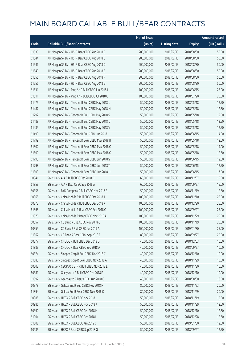|       |                                                   | No. of issue |                     |               | <b>Amount raised</b> |
|-------|---------------------------------------------------|--------------|---------------------|---------------|----------------------|
| Code  | <b>Callable Bull/Bear Contracts</b>               | (units)      | <b>Listing date</b> | <b>Expiry</b> | (HK\$ mil.)          |
| 61539 | J P Morgan SP BV - HSI R Bear CBBC Aug 2018 B     | 200,000,000  | 2018/02/13          | 2018/08/30    | 50.00                |
| 61544 | J P Morgan SP BV - HSI R Bear CBBC Aug 2018 C     | 200,000,000  | 2018/02/13          | 2018/08/30    | 50.00                |
| 61546 | J P Morgan SP BV - HSI R Bear CBBC Aug 2018 D     | 200,000,000  | 2018/02/13          | 2018/08/30    | 50.00                |
| 61549 | J P Morgan SP BV - HSI R Bear CBBC Aug 2018 E     | 200,000,000  | 2018/02/13          | 2018/08/30    | 50.00                |
| 61555 | JP Morgan SP BV - HSIR Bear CBBC Aug 2018 F       | 200,000,000  | 2018/02/13          | 2018/08/30    | 50.00                |
| 61556 | J P Morgan SP BV - HSI R Bear CBBC Aug 2018 G     | 200,000,000  | 2018/02/13          | 2018/08/30    | 50.00                |
| 61831 | J P Morgan SP BV - Ping An R Bull CBBC Jun 2018 L | 100,000,000  | 2018/02/13          | 2018/06/15    | 25.00                |
| 61511 | J P Morgan SP BV - Ping An R Bull CBBC Jul 2018 C | 100,000,000  | 2018/02/13          | 2018/07/20    | 25.00                |
| 61475 | J P Morgan SP BV - Tencent R Bull CBBC May 2018 L | 50,000,000   | 2018/02/13          | 2018/05/18    | 12.50                |
| 61487 | J P Morgan SP BV - Tencent R Bull CBBC May 2018 M | 50,000,000   | 2018/02/13          | 2018/05/18    | 12.50                |
| 61792 | J P Morgan SP BV - Tencent R Bull CBBC May 2018 S | 50,000,000   | 2018/02/13          | 2018/05/18    | 12.50                |
| 61488 | J P Morgan SP BV - Tencent R Bull CBBC May 2018 U | 50,000,000   | 2018/02/13          | 2018/05/18    | 12.50                |
| 61489 | J P Morgan SP BV - Tencent R Bull CBBC May 2018 V | 50,000,000   | 2018/02/13          | 2018/05/18    | 12.50                |
| 61490 | JP Morgan SP BV - Tencent R Bull CBBC Jun 2018 I  | 50,000,000   | 2018/02/13          | 2018/06/15    | 14.00                |
| 61799 | J P Morgan SP BV - Tencent R Bear CBBC May 2018 B | 50,000,000   | 2018/02/13          | 2018/05/18    | 12.50                |
| 61802 | J P Morgan SP BV - Tencent R Bear CBBC May 2018 C | 50,000,000   | 2018/02/13          | 2018/05/18    | 14.00                |
| 61800 | J P Morgan SP BV - Tencent R Bear CBBC May 2018 G | 50,000,000   | 2018/02/13          | 2018/05/18    | 12.50                |
| 61793 | J P Morgan SP BV - Tencent R Bear CBBC Jun 2018 S | 50,000,000   | 2018/02/13          | 2018/06/15    | 12.50                |
| 61798 | J P Morgan SP BV - Tencent R Bear CBBC Jun 2018 T | 50,000,000   | 2018/02/13          | 2018/06/15    | 12.50                |
| 61803 | J P Morgan SP BV - Tencent R Bear CBBC Jun 2018 U | 50,000,000   | 2018/02/13          | 2018/06/15    | 17.00                |
| 60341 | SG Issuer - AIA R Bull CBBC Dec 2018 D            | 60,000,000   | 2018/02/13          | 2018/12/07    | 15.00                |
| 61859 | SG Issuer - AIA R Bear CBBC Sep 2018 A            | 60,000,000   | 2018/02/13          | 2018/09/27    | 15.00                |
| 60356 | SG Issuer - BYD Company R Bull CBBC Nov 2018 B    | 50,000,000   | 2018/02/13          | 2018/11/19    | 12.50                |
| 60368 | SG Issuer - China Mobile R Bull CBBC Dec 2018 J   | 100,000,000  | 2018/02/13          | 2018/12/10    | 25.00                |
| 60373 | SG Issuer - China Mobile R Bull CBBC Dec 2018 K   | 100,000,000  | 2018/02/13          | 2018/12/20    | 25.00                |
| 61868 | SG Issuer - China Mobile R Bear CBBC Sep 2018 C   | 100,000,000  | 2018/02/13          | 2018/09/27    | 25.00                |
| 61870 | SG Issuer - China Mobile R Bear CBBC Nov 2018 A   | 100,000,000  | 2018/02/13          | 2018/11/29    | 25.00                |
| 60357 | SG Issuer - CC Bank R Bull CBBC Nov 2018 C        | 100,000,000  | 2018/02/13          | 2018/11/19    | 25.00                |
| 60359 | SG Issuer - CC Bank R Bull CBBC Jan 2019 A        | 100,000,000  | 2018/02/13          | 2019/01/30    | 25.00                |
| 61867 | SG Issuer - CC Bank R Bear CBBC Sep 2018 E        | 80,000,000   | 2018/02/13          | 2018/09/27    | 20.00                |
| 60377 | SG Issuer - CNOOC R Bull CBBC Dec 2018 D          | 40,000,000   | 2018/02/13          | 2018/12/03    | 10.00                |
| 61889 | SG Issuer - CNOOC R Bear CBBC Sep 2018 A          | 40,000,000   | 2018/02/13          | 2018/09/27    | 10.00                |
| 60374 | SG Issuer - Sinopec Corp R Bull CBBC Dec 2018 C   | 40,000,000   | 2018/02/13          | 2018/12/10    | 10.00                |
| 61883 | SG Issuer - Sinopec Corp R Bear CBBC Nov 2018 A   | 40,000,000   | 2018/02/13          | 2018/11/29    | 10.00                |
| 60503 | SG Issuer - CSOP A50 ETF R Bull CBBC Nov 2018 E   | 40,000,000   | 2018/02/13          | 2018/11/30    | 10.00                |
| 60381 | SG Issuer - Geely Auto R Bull CBBC Dec 2018 F     | 40,000,000   | 2018/02/13          | 2018/12/10    | 10.00                |
| 61897 | SG Issuer - Geely Auto R Bear CBBC Aug 2018 C     | 40,000,000   | 2018/02/13          | 2018/08/30    | 16.00                |
| 60378 | SG Issuer - Galaxy Ent R Bull CBBC Nov 2018 F     | 80,000,000   | 2018/02/13          | 2018/11/23    | 20.00                |
| 61894 | SG Issuer - Galaxy Ent R Bear CBBC Nov 2018 C     | 80,000,000   | 2018/02/13          | 2018/11/29    | 20.00                |
| 60385 | SG Issuer - HKEX R Bull CBBC Nov 2018 I           | 50,000,000   | 2018/02/13          | 2018/11/19    | 12.50                |
| 60986 | SG Issuer - HKEX R Bull CBBC Nov 2018 J           | 50,000,000   | 2018/02/13          | 2018/11/29    | 12.50                |
| 60390 | SG Issuer - HKEX R Bull CBBC Dec 2018 H           | 50,000,000   | 2018/02/13          | 2018/12/10    | 12.50                |
| 61004 | SG Issuer - HKEX R Bull CBBC Dec 2018 I           | 50,000,000   | 2018/02/13          | 2018/12/28    | 12.50                |
| 61008 | SG Issuer - HKEX R Bull CBBC Jan 2019 C           | 50,000,000   | 2018/02/13          | 2019/01/30    | 12.50                |
| 60985 | SG Issuer - HKEX R Bear CBBC Sep 2018 G           | 50,000,000   | 2018/02/13          | 2018/09/27    | 12.50                |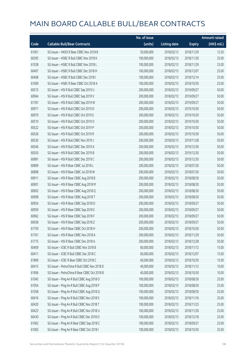|       |                                               | No. of issue |                     |               | <b>Amount raised</b> |
|-------|-----------------------------------------------|--------------|---------------------|---------------|----------------------|
| Code  | <b>Callable Bull/Bear Contracts</b>           | (units)      | <b>Listing date</b> | <b>Expiry</b> | (HK\$ mil.)          |
| 61001 | SG Issuer - HKEX R Bear CBBC Nov 2018 B       | 50,000,000   | 2018/02/13          | 2018/11/29    | 12.50                |
| 60395 | SG Issuer - HSBC R Bull CBBC Nov 2018 K       | 100,000,000  | 2018/02/13          | 2018/11/30    | 25.00                |
| 61038 | SG Issuer - HSBC R Bull CBBC Nov 2018 L       | 100,000,000  | 2018/02/13          | 2018/11/29    | 25.00                |
| 60407 | SG Issuer - HSBC R Bull CBBC Dec 2018 H       | 100,000,000  | 2018/02/13          | 2018/12/07    | 25.00                |
| 60408 | SG Issuer - HSBC R Bull CBBC Dec 2018 I       | 100,000,000  | 2018/02/13          | 2018/12/14    | 25.00                |
| 61009 | SG Issuer - HSBC R Bear CBBC Oct 2018 A       | 100,000,000  | 2018/02/13          | 2018/10/30    | 25.00                |
| 60515 | SG Issuer - HSI R Bull CBBC Sep 2019 U        | 200,000,000  | 2018/02/13          | 2019/09/27    | 50.00                |
| 60964 | SG Issuer - HSI R Bull CBBC Sep 2019 V        | 200,000,000  | 2018/02/13          | 2019/09/27    | 50.00                |
| 61781 | SG Issuer - HSI R Bull CBBC Sep 2019 W        | 200,000,000  | 2018/02/13          | 2019/09/27    | 50.00                |
| 60971 | SG Issuer - HSI R Bull CBBC Oct 2019 D        | 200,000,000  | 2018/02/13          | 2019/10/30    | 50.00                |
| 60979 | SG Issuer - HSI R Bull CBBC Oct 2019 E        | 200,000,000  | 2018/02/13          | 2019/10/30    | 50.00                |
| 60519 | SG Issuer - HSI R Bull CBBC Oct 2019 O        | 200,000,000  | 2018/02/13          | 2019/10/30    | 50.00                |
| 60522 | SG Issuer - HSI R Bull CBBC Oct 2019 P        | 200,000,000  | 2018/02/13          | 2019/10/30    | 50.00                |
| 60526 | SG Issuer - HSI R Bull CBBC Oct 2019 R        | 200,000,000  | 2018/02/13          | 2019/10/30    | 50.00                |
| 60530 | SG Issuer - HSI R Bull CBBC Nov 2019 J        | 200,000,000  | 2018/02/13          | 2019/11/28    | 50.00                |
| 60546 | SG Issuer - HSI R Bull CBBC Dec 2019 A        | 200,000,000  | 2018/02/13          | 2019/12/30    | 50.00                |
| 60550 | SG Issuer - HSI R Bull CBBC Dec 2019 B        | 200,000,000  | 2018/02/13          | 2019/12/30    | 50.00                |
| 60981 | SG Issuer - HSI R Bull CBBC Dec 2019 C        | 200,000,000  | 2018/02/13          | 2019/12/30    | 50.00                |
| 60899 | SG Issuer - HSI R Bear CBBC Jul 2018 L        | 200,000,000  | 2018/02/13          | 2018/07/30    | 50.00                |
| 60898 | SG Issuer - HSI R Bear CBBC Jul 2018 W        | 200,000,000  | 2018/02/13          | 2018/07/30    | 50.00                |
| 60911 | SG Issuer - HSI R Bear CBBC Aug 2018 B        | 200,000,000  | 2018/02/13          | 2018/08/30    | 50.00                |
| 60901 | SG Issuer - HSI R Bear CBBC Aug 2018 M        | 200,000,000  | 2018/02/13          | 2018/08/30    | 50.00                |
| 60902 | SG Issuer - HSI R Bear CBBC Aug 2018 Q        | 200,000,000  | 2018/02/13          | 2018/08/30    | 50.00                |
| 60908 | SG Issuer - HSI R Bear CBBC Aug 2018 T        | 200,000,000  | 2018/02/13          | 2018/08/30    | 50.00                |
| 60954 | SG Issuer - HSI R Bear CBBC Sep 2018 D        | 200,000,000  | 2018/02/13          | 2018/09/27    | 50.00                |
| 60959 | SG Issuer - HSI R Bear CBBC Sep 2018 E        | 200,000,000  | 2018/02/13          | 2018/09/27    | 50.00                |
| 60962 | SG Issuer - HSI R Bear CBBC Sep 2018 F        | 200,000,000  | 2018/02/13          | 2018/09/27    | 50.00                |
| 60938 | SG Issuer - HSI R Bear CBBC Sep 2018 Z        | 200,000,000  | 2018/02/13          | 2018/09/27    | 50.00                |
| 61759 | SG Issuer - HSI R Bear CBBC Oct 2018 H        | 200,000,000  | 2018/02/13          | 2018/10/30    | 50.00                |
| 61761 | SG Issuer - HSI R Bear CBBC Nov 2018 A        | 200,000,000  | 2018/02/13          | 2018/11/29    | 50.00                |
| 61775 | SG Issuer - HSI R Bear CBBC Dec 2018 A        | 200,000,000  | 2018/02/13          | 2018/12/28    | 50.00                |
| 60409 | SG Issuer - ICBC R Bull CBBC Nov 2018 B       | 60,000,000   | 2018/02/13          | 2018/11/12    | 15.00                |
| 60411 | SG Issuer - ICBC R Bull CBBC Dec 2018 C       | 60,000,000   | 2018/02/13          | 2018/12/07    | 15.00                |
| 61899 | SG Issuer - ICBC R Bear CBBC Oct 2018 C       | 60,000,000   | 2018/02/13          | 2018/10/30    | 15.00                |
| 60415 | SG Issuer - PetroChina R Bull CBBC Nov 2018 D | 40,000,000   | 2018/02/13          | 2018/11/12    | 10.00                |
| 61906 | SG Issuer - PetroChina R Bear CBBC Oct 2018 B | 40,000,000   | 2018/02/13          | 2018/10/30    | 10.00                |
| 61045 | SG Issuer - Ping An R Bull CBBC Aug 2018 O    | 100,000,000  | 2018/02/13          | 2018/08/30    | 25.00                |
| 61054 | SG Issuer - Ping An R Bull CBBC Aug 2018 P    | 100,000,000  | 2018/02/13          | 2018/08/30    | 25.00                |
| 61058 | SG Issuer - Ping An R Bull CBBC Aug 2018 Q    | 100,000,000  | 2018/02/13          | 2018/08/30    | 25.00                |
| 60416 | SG Issuer - Ping An R Bull CBBC Nov 2018 S    | 100,000,000  | 2018/02/13          | 2018/11/16    | 25.00                |
| 60420 | SG Issuer - Ping An R Bull CBBC Nov 2018 T    | 100,000,000  | 2018/02/13          | 2018/11/23    | 25.00                |
| 60423 | SG Issuer - Ping An R Bull CBBC Nov 2018 U    | 100,000,000  | 2018/02/13          | 2018/11/30    | 25.00                |
| 60430 | SG Issuer - Ping An R Bull CBBC Dec 2018 O    | 100,000,000  | 2018/02/13          | 2018/12/18    | 25.00                |
| 61062 | SG Issuer - Ping An R Bear CBBC Sep 2018 C    | 100,000,000  | 2018/02/13          | 2018/09/27    | 25.00                |
| 61065 | SG Issuer - Ping An R Bear CBBC Oct 2018 I    | 100,000,000  | 2018/02/13          | 2018/10/30    | 25.00                |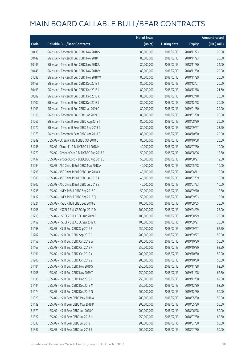|       |                                              | No. of issue |                     |               | <b>Amount raised</b> |
|-------|----------------------------------------------|--------------|---------------------|---------------|----------------------|
| Code  | <b>Callable Bull/Bear Contracts</b>          | (units)      | <b>Listing date</b> | <b>Expiry</b> | (HK\$ mil.)          |
| 60433 | SG Issuer - Tencent R Bull CBBC Nov 2018 S   | 80,000,000   | 2018/02/13          | 2018/11/23    | 20.00                |
| 60442 | SG Issuer - Tencent R Bull CBBC Nov 2018 T   | 80,000,000   | 2018/02/13          | 2018/11/23    | 20.00                |
| 60445 | SG Issuer - Tencent R Bull CBBC Nov 2018 U   | 80,000,000   | 2018/02/13          | 2018/11/30    | 24.00                |
| 60448 | SG Issuer - Tencent R Bull CBBC Nov 2018 V   | 80,000,000   | 2018/02/13          | 2018/11/30    | 20.00                |
| 61088 | SG Issuer - Tencent R Bull CBBC Nov 2018 W   | 80,000,000   | 2018/02/13          | 2018/11/29    | 20.00                |
| 60468 | SG Issuer - Tencent R Bull CBBC Dec 2018 I   | 80,000,000   | 2018/02/13          | 2018/12/07    | 20.00                |
| 60493 | SG Issuer - Tencent R Bull CBBC Dec 2018 J   | 80,000,000   | 2018/02/13          | 2018/12/18    | 21.60                |
| 60502 | SG Issuer - Tencent R Bull CBBC Dec 2018 K   | 80,000,000   | 2018/02/13          | 2018/12/18    | 20.00                |
| 61102 | SG Issuer - Tencent R Bull CBBC Dec 2018 L   | 80,000,000   | 2018/02/13          | 2018/12/28    | 20.00                |
| 61103 | SG Issuer - Tencent R Bull CBBC Jan 2019 C   | 80,000,000   | 2018/02/13          | 2019/01/30    | 20.00                |
| 61110 | SG Issuer - Tencent R Bull CBBC Jan 2019 D   | 80,000,000   | 2018/02/13          | 2019/01/30    | 20.00                |
| 61066 | SG Issuer - Tencent R Bear CBBC Aug 2018 I   | 80,000,000   | 2018/02/13          | 2018/08/30    | 20.00                |
| 61072 | SG Issuer - Tencent R Bear CBBC Sep 2018 G   | 80,000,000   | 2018/02/13          | 2018/09/27    | 23.60                |
| 61073 | SG Issuer - Tencent R Bear CBBC Oct 2018 G   | 80,000,000   | 2018/02/13          | 2018/10/30    | 20.00                |
| 61249 | UBS AG - CC Bank R Bull CBBC Oct 2018 E      | 80,000,000   | 2018/02/13          | 2018/10/08    | 20.00                |
| 61246 | UBS AG - China Life R Bull CBBC Jul 2018 H   | 40,000,000   | 2018/02/13          | 2018/07/30    | 10.00                |
| 61270 | UBS AG - Sinopec Corp R Bull CBBC Aug 2018 A | 50,000,000   | 2018/02/13          | 2018/08/06    | 12.50                |
| 61437 | UBS AG - Sinopec Corp R Bull CBBC Aug 2018 C | 50,000,000   | 2018/02/13          | 2018/08/27    | 12.50                |
| 61294 | UBS AG - A50 China R Bull CBBC May 2018 A    | 40,000,000   | 2018/02/13          | 2018/05/28    | 10.00                |
| 61298 | UBS AG - A50 China R Bull CBBC Jun 2018 A    | 40,000,000   | 2018/02/13          | 2018/06/11    | 10.00                |
| 61300 | UBS AG - A50 China R Bull CBBC Jul 2018 A    | 40,000,000   | 2018/02/13          | 2018/07/09    | 10.00                |
| 61302 | UBS AG - A50 China R Bull CBBC Jul 2018 B    | 40,000,000   | 2018/02/13          | 2018/07/23    | 10.00                |
| 61235 | UBS AG - HKEX R Bull CBBC Sep 2018 P         | 50,000,000   | 2018/02/13          | 2018/09/10    | 12.50                |
| 61412 | UBS AG - HKEX R Bull CBBC Sep 2018 Q         | 50,000,000   | 2018/02/13          | 2018/09/03    | 12.50                |
| 61221 | UBS AG - HSBC R Bull CBBC Sep 2018 G         | 100,000,000  | 2018/02/13          | 2018/09/05    | 25.00                |
| 61208 | UBS AG - HSCEI R Bull CBBC Apr 2019 D        | 100,000,000  | 2018/02/13          | 2019/04/29    | 25.00                |
| 61213 | UBS AG - HSCEI R Bull CBBC Aug 2019 F        | 100,000,000  | 2018/02/13          | 2019/08/29    | 25.00                |
| 61452 | UBS AG - HSCEI R Bull CBBC Sep 2019 C        | 100,000,000  | 2018/02/13          | 2019/09/27    | 25.00                |
| 61198 | UBS AG - HSI R Bull CBBC Sep 2019 B          | 250,000,000  | 2018/02/13          | 2019/09/27    | 62.50                |
| 61207 | UBS AG - HSI R Bull CBBC Sep 2019 C          | 200,000,000  | 2018/02/13          | 2019/09/27    | 50.00                |
| 61158 | UBS AG - HSI R Bull CBBC Oct 2019 W          | 200,000,000  | 2018/02/13          | 2019/10/30    | 50.00                |
| 61163 | UBS AG - HSI R Bull CBBC Oct 2019 X          | 250,000,000  | 2018/02/13          | 2019/10/30    | 62.50                |
| 61191 | UBS AG - HSI R Bull CBBC Oct 2019 Y          | 200,000,000  | 2018/02/13          | 2019/10/30    | 50.00                |
| 61200 | UBS AG - HSI R Bull CBBC Oct 2019 Z          | 200,000,000  | 2018/02/13          | 2019/10/30    | 50.00                |
| 61184 | UBS AG - HSI R Bull CBBC Nov 2019 S          | 250,000,000  | 2018/02/13          | 2019/11/28    | 62.50                |
| 61206 | UBS AG - HSI R Bull CBBC Nov 2019 T          | 250,000,000  | 2018/02/13          | 2019/11/28    | 62.50                |
| 61136 | UBS AG - HSI R Bull CBBC Dec 2019 L          | 250,000,000  | 2018/02/13          | 2019/12/30    | 62.50                |
| 61144 | UBS AG - HSI R Bull CBBC Dec 2019 M          | 250,000,000  | 2018/02/13          | 2019/12/30    | 62.50                |
| 61174 | UBS AG - HSI R Bull CBBC Dec 2019 N          | 200,000,000  | 2018/02/13          | 2019/12/30    | 50.00                |
| 61329 | UBS AG - HSI R Bear CBBC May 2018 A          | 200,000,000  | 2018/02/13          | 2018/05/30    | 50.00                |
| 61439 | UBS AG - HSI R Bear CBBC May 2018 P          | 200,000,000  | 2018/02/13          | 2018/05/30    | 50.00                |
| 61379 | UBS AG - HSI R Bear CBBC Jun 2018 C          | 200,000,000  | 2018/02/13          | 2018/06/28    | 50.00                |
| 61322 | UBS AG - HSI R Bear CBBC Jul 2018 H          | 250,000,000  | 2018/02/13          | 2018/07/30    | 62.50                |
| 61330 | UBS AG - HSI R Bear CBBC Jul 2018 I          | 200,000,000  | 2018/02/13          | 2018/07/30    | 50.00                |
| 61347 | UBS AG - HSI R Bear CBBC Jul 2018 J          | 200,000,000  | 2018/02/13          | 2018/07/30    | 50.00                |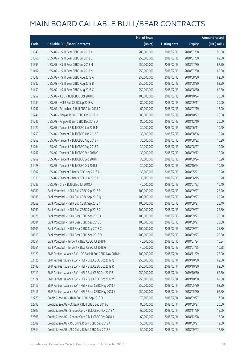|       |                                                            | No. of issue |                     |               | <b>Amount raised</b> |
|-------|------------------------------------------------------------|--------------|---------------------|---------------|----------------------|
| Code  | <b>Callable Bull/Bear Contracts</b>                        | (units)      | <b>Listing date</b> | <b>Expiry</b> | (HK\$ mil.)          |
| 61349 | UBS AG - HSI R Bear CBBC Jul 2018 K                        | 200,000,000  | 2018/02/13          | 2018/07/30    | 50.00                |
| 61366 | UBS AG - HSI R Bear CBBC Jul 2018 L                        | 250,000,000  | 2018/02/13          | 2018/07/30    | 62.50                |
| 61399 | UBS AG - HSI R Bear CBBC Jul 2018 M                        | 250,000,000  | 2018/02/13          | 2018/07/30    | 62.50                |
| 61407 | UBS AG - HSI R Bear CBBC Jul 2018 N                        | 250,000,000  | 2018/02/13          | 2018/07/30    | 62.50                |
| 61348 | UBS AG - HSI R Bear CBBC Aug 2018 A                        | 250,000,000  | 2018/02/13          | 2018/08/30    | 62.50                |
| 61382 | UBS AG - HSI R Bear CBBC Aug 2018 B                        | 250,000,000  | 2018/02/13          | 2018/08/30    | 62.50                |
| 61450 | UBS AG - HSI R Bear CBBC Aug 2018 C                        | 250,000,000  | 2018/02/13          | 2018/08/30    | 62.50                |
| 61252 | UBS AG - ICBC R Bull CBBC Oct 2018 E                       | 100,000,000  | 2018/02/13          | 2018/10/24    | 25.00                |
| 61284 | UBS AG - NCI R Bull CBBC Sep 2018 A                        | 80,000,000   | 2018/02/13          | 2018/09/17    | 20.00                |
| 61247 | UBS AG - Petrochina R Bull CBBC Jul 2018 D                 | 60,000,000   | 2018/02/13          | 2018/07/19    | 15.00                |
| 61241 | UBS AG - Ping An R Bull CBBC Oct 2018 H                    | 80,000,000   | 2018/02/13          | 2018/10/22    | 20.00                |
| 61245 | UBS AG - Ping An R Bull CBBC Dec 2018 D                    | 80,000,000   | 2018/02/13          | 2018/12/10    | 20.00                |
| 61420 | UBS AG - Tencent R Bull CBBC Jun 2018 M                    | 30,000,000   | 2018/02/13          | 2018/06/11    | 10.20                |
| 61259 | UBS AG - Tencent R Bull CBBC Aug 2018 E                    | 30,000,000   | 2018/02/13          | 2018/08/06    | 10.20                |
| 61262 | UBS AG - Tencent R Bull CBBC Aug 2018 F                    | 30,000,000   | 2018/02/13          | 2018/08/22    | 10.20                |
| 61264 | UBS AG - Tencent R Bull CBBC Aug 2018 G                    | 30,000,000   | 2018/02/13          | 2018/08/27    | 10.20                |
| 61267 | UBS AG - Tencent R Bull CBBC Sep 2018 G                    | 30,000,000   | 2018/02/13          | 2018/09/12    | 10.20                |
| 61269 | UBS AG - Tencent R Bull CBBC Sep 2018 H                    | 30,000,000   | 2018/02/13          | 2018/09/24    | 10.20                |
| 61428 | UBS AG - Tencent R Bull CBBC Oct 2018 I                    | 30,000,000   | 2018/02/13          | 2018/10/24    | 10.20                |
| 61307 | UBS AG - Tencent R Bear CBBC May 2018 A                    | 30,000,000   | 2018/02/13          | 2018/05/21    | 10.20                |
| 61310 | UBS AG - Tencent R Bear CBBC Jun 2018 J                    | 30,000,000   | 2018/02/13          | 2018/06/15    | 10.20                |
| 61283 | UBS AG - ZTE R Bull CBBC Jul 2018 A                        | 40,000,000   | 2018/02/13          | 2018/07/23    | 10.40                |
| 60080 | Bank Vontobel - HSI R Bull CBBC Sep 2018 P                 | 100,000,000  | 2018/02/13          | 2018/09/27    | 25.20                |
| 60088 | Bank Vontobel - HSI R Bull CBBC Sep 2018 Q                 | 100,000,000  | 2018/02/13          | 2018/09/27    | 25.20                |
| 60068 | Bank Vontobel - HSI R Bull CBBC Sep 2018 Y                 | 100,000,000  | 2018/02/13          | 2018/09/27    | 25.40                |
| 60069 | Bank Vontobel - HSI R Bull CBBC Sep 2018 Z                 | 100,000,000  | 2018/02/13          | 2018/09/27    | 25.30                |
| 60575 | Bank Vontobel - HSI R Bear CBBC Sep 2018 A                 | 100,000,000  | 2018/02/13          | 2018/09/27    | 25.60                |
| 60584 | Bank Vontobel - HSI R Bear CBBC Sep 2018 B                 | 100,000,000  | 2018/02/13          | 2018/09/27    | 25.60                |
| 60609 | Bank Vontobel - HSI R Bear CBBC Sep 2018 C                 | 100,000,000  | 2018/02/13          | 2018/09/27    | 25.80                |
| 60619 | Bank Vontobel - HSI R Bear CBBC Sep 2018 D                 | 100,000,000  | 2018/02/13          | 2018/09/27    | 25.80                |
| 60551 | Bank Vontobel - Tencent R Bear CBBC Jul 2018 F             | 40,000,000   | 2018/02/13          | 2018/07/24    | 10.84                |
| 60561 | Bank Vontobel - Tencent R Bear CBBC Jul 2018 G             | 40,000,000   | 2018/02/13          | 2018/07/25    | 10.28                |
| 62120 | BNP Paribas Issuance B.V. - CC Bank R Bull CBBC Nov 2018 H | 100,000,000  | 2018/02/14          | 2018/11/29    | 25.00                |
| 62125 | BNP Paribas Issuance B.V. - HSI R Bull CBBC Oct 2019 Q     | 250,000,000  | 2018/02/14          | 2019/10/30    | 62.50                |
| 62142 | BNP Paribas Issuance B.V. - HSI R Bull CBBC Oct 2019 R     | 250,000,000  | 2018/02/14          | 2019/10/30    | 62.50                |
| 62119 | BNP Paribas Issuance B.V. - HSI R Bull CBBC Oct 2019 S     | 250,000,000  | 2018/02/14          | 2019/10/30    | 62.50                |
| 62124 | BNP Paribas Issuance B.V. - HSI R Bull CBBC Oct 2019 V     | 250,000,000  | 2018/02/14          | 2019/10/30    | 62.50                |
| 62415 | BNP Paribas Issuance B.V. - HSI R Bear CBBC May 2018 J     | 250,000,000  | 2018/02/14          | 2018/05/30    | 62.50                |
| 62416 | BNP Paribas Issuance B.V. - HSI R Bear CBBC May 2018 Y     | 250,000,000  | 2018/02/14          | 2018/05/30    | 62.50                |
| 62779 | Credit Suisse AG - AIA R Bull CBBC Sep 2018 D              | 70,000,000   | 2018/02/14          | 2018/09/27    | 17.50                |
| 62793 | Credit Suisse AG - CC Bank R Bull CBBC Sep 2018 G          | 80,000,000   | 2018/02/14          | 2018/09/27    | 20.00                |
| 62807 | Credit Suisse AG - Sinopec Corp R Bull CBBC Nov 2018 A     | 60,000,000   | 2018/02/14          | 2018/11/29    | 15.00                |
| 62808 | Credit Suisse AG - Sinopec Corp R Bull CBBC Dec 2018 A     | 60,000,000   | 2018/02/14          | 2018/12/28    | 15.00                |
| 62809 | Credit Suisse AG - A50 China R Bull CBBC Sep 2018 A        | 50,000,000   | 2018/02/14          | 2018/09/27    | 12.50                |
| 62814 | Credit Suisse AG - A50 China R Bull CBBC Sep 2018 B        | 50,000,000   | 2018/02/14          | 2018/09/27    | 12.50                |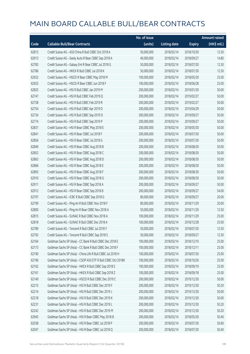|       |                                                              | No. of issue |                     |               | <b>Amount raised</b>  |
|-------|--------------------------------------------------------------|--------------|---------------------|---------------|-----------------------|
| Code  | <b>Callable Bull/Bear Contracts</b>                          | (units)      | <b>Listing date</b> | <b>Expiry</b> | $(HK\frac{1}{2}mil.)$ |
| 62813 | Credit Suisse AG - A50 China R Bull CBBC Oct 2018 A          | 50,000,000   | 2018/02/14          | 2018/10/30    | 12.50                 |
| 62913 | Credit Suisse AG - Geely Auto R Bear CBBC Sep 2018 A         | 40,000,000   | 2018/02/14          | 2018/09/27    | 14.80                 |
| 62783 | Credit Suisse AG - Galaxy Ent R Bear CBBC Jul 2018 G         | 50,000,000   | 2018/02/14          | 2018/07/30    | 12.50                 |
| 62786 | Credit Suisse AG - HKEX R Bull CBBC Jul 2018 K               | 50,000,000   | 2018/02/14          | 2018/07/30    | 12.50                 |
| 62922 | Credit Suisse AG - HSCEI R Bear CBBC May 2018 M              | 100,000,000  | 2018/02/14          | 2018/05/30    | 25.00                 |
| 62925 | Credit Suisse AG - HSCEI R Bear CBBC Jun 2018 F              | 100,000,000  | 2018/02/14          | 2018/06/28    | 25.00                 |
| 62825 | Credit Suisse AG - HSI R Bull CBBC Jan 2019 M                | 200,000,000  | 2018/02/14          | 2019/01/30    | 50.00                 |
| 62747 | Credit Suisse AG - HSI R Bull CBBC Feb 2019 Q                | 200,000,000  | 2018/02/14          | 2019/02/27    | 50.00                 |
| 62758 | Credit Suisse AG - HSI R Bull CBBC Feb 2019 R                | 200,000,000  | 2018/02/14          | 2019/02/27    | 50.00                 |
| 62754 | Credit Suisse AG - HSI R Bull CBBC Apr 2019 D                | 200,000,000  | 2018/02/14          | 2019/04/29    | 50.00                 |
| 62734 | Credit Suisse AG - HSI R Bull CBBC Sep 2019 O                | 200,000,000  | 2018/02/14          | 2019/09/27    | 50.00                 |
| 62774 | Credit Suisse AG - HSI R Bull CBBC Sep 2019 P                | 200,000,000  | 2018/02/14          | 2019/09/27    | 50.00                 |
| 62831 | Credit Suisse AG - HSI R Bear CBBC May 2018 E                | 200,000,000  | 2018/02/14          | 2018/05/30    | 50.00                 |
| 62841 | Credit Suisse AG - HSI R Bear CBBC Jul 2018 F                | 200,000,000  | 2018/02/14          | 2018/07/30    | 50.00                 |
| 62856 | Credit Suisse AG - HSI R Bear CBBC Jul 2018 G                | 200,000,000  | 2018/02/14          | 2018/07/30    | 50.00                 |
| 62849 | Credit Suisse AG - HSI R Bear CBBC Aug 2018 B                | 200,000,000  | 2018/02/14          | 2018/08/30    | 50.00                 |
| 62852 | Credit Suisse AG - HSI R Bear CBBC Aug 2018 C                | 200,000,000  | 2018/02/14          | 2018/08/30    | 50.00                 |
| 62863 | Credit Suisse AG - HSI R Bear CBBC Aug 2018 D                | 200,000,000  | 2018/02/14          | 2018/08/30    | 50.00                 |
| 62866 | Credit Suisse AG - HSI R Bear CBBC Aug 2018 E                | 200,000,000  | 2018/02/14          | 2018/08/30    | 50.00                 |
| 62893 | Credit Suisse AG - HSI R Bear CBBC Aug 2018 F                | 200,000,000  | 2018/02/14          | 2018/08/30    | 50.00                 |
| 62910 | Credit Suisse AG - HSI R Bear CBBC Aug 2018 G                | 200,000,000  | 2018/02/14          | 2018/08/30    | 50.00                 |
| 62911 | Credit Suisse AG - HSI R Bear CBBC Sep 2018 A                | 200,000,000  | 2018/02/14          | 2018/09/27    | 50.00                 |
| 62912 | Credit Suisse AG - HSI R Bear CBBC Sep 2018 B                | 200,000,000  | 2018/02/14          | 2018/09/27    | 54.00                 |
| 62797 | Credit Suisse AG - ICBC R Bull CBBC Sep 2018 G               | 80,000,000   | 2018/02/14          | 2018/09/27    | 20.00                 |
| 62799 | Credit Suisse AG - Ping An R Bull CBBC Nov 2018 F            | 80,000,000   | 2018/02/14          | 2018/11/29    | 20.00                 |
| 62800 | Credit Suisse AG - Ping An R Bear CBBC Nov 2018 A            | 50,000,000   | 2018/02/14          | 2018/11/29    | 12.50                 |
| 62815 | Credit Suisse AG - SUNAC R Bull CBBC Nov 2018 A              | 100,000,000  | 2018/02/14          | 2018/11/29    | 25.00                 |
| 62818 | Credit Suisse AG - SUNAC R Bull CBBC Dec 2018 A              | 100,000,000  | 2018/02/14          | 2018/12/28    | 25.00                 |
| 62789 | Credit Suisse AG - Tencent R Bull CBBC Jul 2018 Y            | 50,000,000   | 2018/02/14          | 2018/07/30    | 12.50                 |
| 62792 | Credit Suisse AG - Tencent R Bull CBBC Sep 2018 S            | 50,000,000   | 2018/02/14          | 2018/09/27    | 12.50                 |
| 62164 | Goldman Sachs SP (Asia) - CC Bank R Bull CBBC Dec 2018 E     | 100,000,000  | 2018/02/14          | 2018/12/10    | 25.00                 |
| 62173 | Goldman Sachs SP (Asia) - CC Bank R Bull CBBC Dec 2018 F     | 100,000,000  | 2018/02/14          | 2018/12/11    | 25.00                 |
| 62190 | Goldman Sachs SP (Asia) - China Life R Bull CBBC Jul 2018 H  | 100,000,000  | 2018/02/14          | 2018/07/30    | 25.00                 |
| 62196 | Goldman Sachs SP (Asia) - CSOP A50 ETF R Bull CBBC Oct 2018K | 100,000,000  | 2018/02/14          | 2018/10/26    | 25.00                 |
| 62162 | Goldman Sachs SP (Asia) - HKEX R Bull CBBC Sep 2018 S        | 100,000,000  | 2018/02/14          | 2018/09/19    | 25.00                 |
| 62161 | Goldman Sachs SP (Asia) - HKEX R Bull CBBC Sep 2018 Z        | 100,000,000  | 2018/02/14          | 2018/09/18    | 25.00                 |
| 62149 | Goldman Sachs SP (Asia) - HSCEI R Bull CBBC Dec 2019 C       | 200,000,000  | 2018/02/14          | 2019/12/30    | 50.00                 |
| 62215 | Goldman Sachs SP (Asia) - HSI R Bull CBBC Dec 2019 F         | 200,000,000  | 2018/02/14          | 2019/12/30    | 50.20                 |
| 62214 | Goldman Sachs SP (Asia) - HSI R Bull CBBC Dec 2019 J         | 200,000,000  | 2018/02/14          | 2019/12/30    | 50.00                 |
| 62218 | Goldman Sachs SP (Asia) - HSI R Bull CBBC Dec 2019 K         | 200,000,000  | 2018/02/14          | 2019/12/30    | 50.00                 |
| 62231 | Goldman Sachs SP (Asia) - HSI R Bull CBBC Dec 2019 L         | 200,000,000  | 2018/02/14          | 2019/12/30    | 50.20                 |
| 62242 | Goldman Sachs SP (Asia) - HSI R Bull CBBC Dec 2019 M         | 200,000,000  | 2018/02/14          | 2019/12/30    | 50.20                 |
| 62945 | Goldman Sachs SP (Asia) - HSI R Bear CBBC May 2018 B         | 200,000,000  | 2018/02/14          | 2018/05/30    | 50.40                 |
| 62038 | Goldman Sachs SP (Asia) - HSI R Bear CBBC Jul 2018 P         | 200,000,000  | 2018/02/14          | 2018/07/30    | 50.60                 |
| 62047 | Goldman Sachs SP (Asia) - HSI R Bear CBBC Jul 2018 Q         | 200,000,000  | 2018/02/14          | 2018/07/30    | 50.40                 |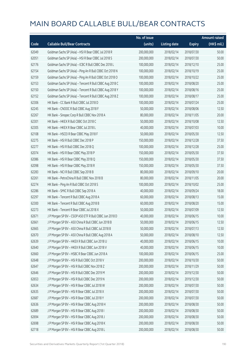|       |                                                          | No. of issue |                     |               | <b>Amount raised</b>  |
|-------|----------------------------------------------------------|--------------|---------------------|---------------|-----------------------|
| Code  | <b>Callable Bull/Bear Contracts</b>                      | (units)      | <b>Listing date</b> | <b>Expiry</b> | $(HK\frac{1}{2}mil.)$ |
| 62049 | Goldman Sachs SP (Asia) - HSI R Bear CBBC Jul 2018 R     | 200,000,000  | 2018/02/14          | 2018/07/30    | 50.00                 |
| 62051 | Goldman Sachs SP (Asia) - HSI R Bear CBBC Jul 2018 S     | 200,000,000  | 2018/02/14          | 2018/07/30    | 50.00                 |
| 62176 | Goldman Sachs SP (Asia) - ICBC R Bull CBBC Dec 2018 L    | 100,000,000  | 2018/02/14          | 2018/12/10    | 25.00                 |
| 62154 | Goldman Sachs SP (Asia) - Ping An R Bull CBBC Oct 2018 N | 100,000,000  | 2018/02/14          | 2018/10/19    | 25.00                 |
| 62159 | Goldman Sachs SP (Asia) - Ping An R Bull CBBC Oct 2018 O | 100,000,000  | 2018/02/14          | 2018/10/22    | 25.00                 |
| 62153 | Goldman Sachs SP (Asia) - Tencent R Bull CBBC Aug 2018 C | 100,000,000  | 2018/02/14          | 2018/08/20    | 25.00                 |
| 62150 | Goldman Sachs SP (Asia) - Tencent R Bull CBBC Aug 2018 Y | 100,000,000  | 2018/02/14          | 2018/08/16    | 25.00                 |
| 62152 | Goldman Sachs SP (Asia) - Tencent R Bull CBBC Aug 2018 Z | 100,000,000  | 2018/02/14          | 2018/08/17    | 25.00                 |
| 62306 | HK Bank - CC Bank R Bull CBBC Jul 2018 D                 | 100,000,000  | 2018/02/14          | 2018/07/24    | 25.00                 |
| 62245 | HK Bank - CNOOC R Bull CBBC Aug 2018 F                   | 50,000,000   | 2018/02/14          | 2018/08/06    | 12.50                 |
| 62267 | HK Bank - Sinopec Corp R Bull CBBC Nov 2018 A            | 80,000,000   | 2018/02/14          | 2018/11/05    | 20.00                 |
| 62301 | HK Bank - HKEX R Bull CBBC Oct 2018 C                    | 50,000,000   | 2018/02/14          | 2018/10/08    | 12.50                 |
| 62305 | HK Bank - HKEX R Bear CBBC Jul 2018 L                    | 40,000,000   | 2018/02/14          | 2018/07/03    | 10.00                 |
| 62108 | HK Bank - HSCEI R Bear CBBC May 2018 F                   | 50,000,000   | 2018/02/14          | 2018/05/30    | 12.50                 |
| 62275 | HK Bank - HSI R Bull CBBC Dec 2018 P                     | 150,000,000  | 2018/02/14          | 2018/12/28    | 37.50                 |
| 62277 | HK Bank - HSI R Bull CBBC Dec 2018 Q                     | 100,000,000  | 2018/02/14          | 2018/12/28    | 25.00                 |
| 62074 | HK Bank - HSI R Bear CBBC May 2018 P                     | 150,000,000  | 2018/02/14          | 2018/05/30    | 37.50                 |
| 62086 | HK Bank - HSI R Bear CBBC May 2018 Q                     | 150,000,000  | 2018/02/14          | 2018/05/30    | 37.50                 |
| 62098 | HK Bank - HSI R Bear CBBC May 2018 R                     | 150,000,000  | 2018/02/14          | 2018/05/30    | 37.50                 |
| 62283 | HK Bank - NCI R Bull CBBC Sep 2018 B                     | 80,000,000   | 2018/02/14          | 2018/09/10    | 20.00                 |
| 62261 | HK Bank - PetroChina R Bull CBBC Nov 2018 B              | 80,000,000   | 2018/02/14          | 2018/11/05    | 20.00                 |
| 62274 | HK Bank - Ping An R Bull CBBC Oct 2018 S                 | 100,000,000  | 2018/02/14          | 2018/10/02    | 25.00                 |
| 62286 | HK Bank - SMIC R Bull CBBC Sep 2018 A                    | 40,000,000   | 2018/02/14          | 2018/09/24    | 18.00                 |
| 62297 | HK Bank - Tencent R Bull CBBC Aug 2018 A                 | 60,000,000   | 2018/02/14          | 2018/08/13    | 15.00                 |
| 62300 | HK Bank - Tencent R Bull CBBC Aug 2018 B                 | 60,000,000   | 2018/02/14          | 2018/08/20    | 15.00                 |
| 62273 | HK Bank - Tencent R Bear CBBC Jul 2018 X                 | 50,000,000   | 2018/02/14          | 2018/07/09    | 12.50                 |
| 62671 | J P Morgan SP BV - CSOP A50 ETF R Bull CBBC Jun 2018 D   | 40,000,000   | 2018/02/14          | 2018/06/15    | 10.00                 |
| 62661 | J P Morgan SP BV - A50 China R Bull CBBC Jun 2018 B      | 50,000,000   | 2018/02/14          | 2018/06/15    | 12.50                 |
| 62665 | J P Morgan SP BV - A50 China R Bull CBBC Jul 2018 B      | 50,000,000   | 2018/02/14          | 2018/07/13    | 12.50                 |
| 62670 | J P Morgan SP BV - A50 China R Bull CBBC Aug 2018 A      | 50,000,000   | 2018/02/14          | 2018/08/10    | 12.50                 |
| 62639 | J P Morgan SP BV - HKEX R Bull CBBC Jun 2018 U           | 40,000,000   | 2018/02/14          | 2018/06/15    | 10.00                 |
| 62640 | J P Morgan SP BV - HKEX R Bull CBBC Jun 2018 V           | 40,000,000   | 2018/02/14          | 2018/06/15    | 10.00                 |
| 62660 | J P Morgan SP BV - HSBC R Bear CBBC Jun 2018 A           | 100,000,000  | 2018/02/14          | 2018/06/15    | 25.00                 |
| 62648 | J P Morgan SP BV - HSI R Bull CBBC Oct 2018 V            | 200,000,000  | 2018/02/14          | 2018/10/30    | 50.00                 |
| 62647 | J P Morgan SP BV - HSI R Bull CBBC Nov 2018 Z            | 200,000,000  | 2018/02/14          | 2018/11/29    | 50.00                 |
| 62646 | J P Morgan SP BV - HSI R Bull CBBC Dec 2019 M            | 200,000,000  | 2018/02/14          | 2019/12/30    | 50.00                 |
| 62653 | J P Morgan SP BV - HSI R Bull CBBC Dec 2019 N            | 200,000,000  | 2018/02/14          | 2019/12/30    | 50.00                 |
| 62634 | J P Morgan SP BV - HSI R Bear CBBC Jul 2018 W            | 200,000,000  | 2018/02/14          | 2018/07/30    | 50.00                 |
| 62635 | J P Morgan SP BV - HSI R Bear CBBC Jul 2018 X            | 200,000,000  | 2018/02/14          | 2018/07/30    | 50.00                 |
| 62687 | J P Morgan SP BV - HSI R Bear CBBC Jul 2018 Y            | 200,000,000  | 2018/02/14          | 2018/07/30    | 50.00                 |
| 62636 | J P Morgan SP BV - HSI R Bear CBBC Aug 2018 H            | 200,000,000  | 2018/02/14          | 2018/08/30    | 50.00                 |
| 62689 | J P Morgan SP BV - HSI R Bear CBBC Aug 2018 I            | 200,000,000  | 2018/02/14          | 2018/08/30    | 50.00                 |
| 62694 | J P Morgan SP BV - HSI R Bear CBBC Aug 2018 J            | 200,000,000  | 2018/02/14          | 2018/08/30    | 50.00                 |
| 62698 | J P Morgan SP BV - HSI R Bear CBBC Aug 2018 K            | 200,000,000  | 2018/02/14          | 2018/08/30    | 50.00                 |
| 62718 | J P Morgan SP BV - HSI R Bear CBBC Aug 2018 L            | 200,000,000  | 2018/02/14          | 2018/08/30    | 50.00                 |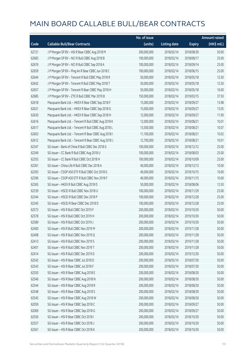|       |                                                      | No. of issue |                     |               | <b>Amount raised</b> |
|-------|------------------------------------------------------|--------------|---------------------|---------------|----------------------|
| Code  | <b>Callable Bull/Bear Contracts</b>                  | (units)      | <b>Listing date</b> | <b>Expiry</b> | (HK\$ mil.)          |
| 62721 | J P Morgan SP BV - HSI R Bear CBBC Aug 2018 M        | 200,000,000  | 2018/02/14          | 2018/08/30    | 50.00                |
| 62683 | J P Morgan SP BV - NCI R Bull CBBC Aug 2018 B        | 100,000,000  | 2018/02/14          | 2018/08/17    | 25.00                |
| 62676 | J P Morgan SP BV - NCI R Bull CBBC Sep 2018 A        | 100,000,000  | 2018/02/14          | 2018/09/14    | 25.00                |
| 62659 | J P Morgan SP BV - Ping An R Bear CBBC Jun 2018 C    | 100,000,000  | 2018/02/14          | 2018/06/15    | 25.00                |
| 62644 | J P Morgan SP BV - Tencent R Bull CBBC May 2018 R    | 50,000,000   | 2018/02/14          | 2018/05/18    | 12.50                |
| 62642 | J P Morgan SP BV - Tencent R Bull CBBC May 2018 T    | 50,000,000   | 2018/02/14          | 2018/05/18    | 12.50                |
| 62657 | J P Morgan SP BV - Tencent R Bear CBBC May 2018 H    | 50,000,000   | 2018/02/14          | 2018/05/18    | 16.00                |
| 62685 | J P Morgan SP BV - ZTE R Bull CBBC Mar 2019 B        | 150,000,000  | 2018/02/14          | 2019/03/15    | 37.50                |
| 62618 | Macquarie Bank Ltd. - HKEX R Bear CBBC Sep 2018 F    | 15,000,000   | 2018/02/14          | 2018/09/27    | 13.98                |
| 62621 | Macquarie Bank Ltd. - HKEX R Bear CBBC Sep 2018 G    | 15,000,000   | 2018/02/14          | 2018/09/27    | 13.05                |
| 62630 | Macquarie Bank Ltd. - HKEX R Bear CBBC Sep 2018 H    | 12,000,000   | 2018/02/14          | 2018/09/27    | 11.90                |
| 62616 | Macquarie Bank Ltd. - Tencent R Bull CBBC Aug 2018 K | 12,000,000   | 2018/02/14          | 2018/08/21    | 10.01                |
| 62617 | Macquarie Bank Ltd. - Tencent R Bull CBBC Aug 2018 L | 13,500,000   | 2018/02/14          | 2018/08/21    | 10.07                |
| 62603 | Macquarie Bank Ltd. - Tencent R Bear CBBC Aug 2018 I | 11,100,000   | 2018/02/14          | 2018/08/21    | 10.02                |
| 62612 | Macquarie Bank Ltd. - Tencent R Bear CBBC Aug 2018 J | 12,700,000   | 2018/02/14          | 2018/08/21    | 10.01                |
| 62347 | SG Issuer - Bank of China R Bull CBBC Dec 2018 G     | 100,000,000  | 2018/02/14          | 2018/12/12    | 25.00                |
| 62349 | SG Issuer - CC Bank R Bull CBBC Aug 2018 U           | 100,000,000  | 2018/02/14          | 2018/08/03    | 25.00                |
| 62355 | SG Issuer - CC Bank R Bull CBBC Oct 2018 H           | 100,000,000  | 2018/02/14          | 2018/10/09    | 25.00                |
| 62361 | SG Issuer - China Life R Bull CBBC Dec 2018 A        | 40,000,000   | 2018/02/14          | 2018/12/13    | 10.00                |
| 62393 | SG Issuer - CSOP A50 ETF R Bull CBBC Oct 2018 G      | 40,000,000   | 2018/02/14          | 2018/10/15    | 10.00                |
| 62396 | SG Issuer - CSOP A50 ETF R Bull CBBC Nov 2018 F      | 40,000,000   | 2018/02/14          | 2018/11/15    | 10.00                |
| 62365 | SG Issuer - HKEX R Bull CBBC Aug 2018 D              | 50,000,000   | 2018/02/14          | 2018/08/06    | 12.50                |
| 62339 | SG Issuer - HSCEI R Bull CBBC Nov 2018 U             | 100,000,000  | 2018/02/14          | 2018/11/29    | 25.00                |
| 62344 | SG Issuer - HSCEI R Bull CBBC Dec 2018 P             | 100,000,000  | 2018/02/14          | 2018/12/28    | 25.00                |
| 62345 | SG Issuer - HSCEI R Bear CBBC Dec 2018 D             | 100,000,000  | 2018/02/14          | 2018/12/28    | 25.00                |
| 62573 | SG Issuer - HSI R Bull CBBC Oct 2019 F               | 200,000,000  | 2018/02/14          | 2019/10/30    | 50.00                |
| 62578 | SG Issuer - HSI R Bull CBBC Oct 2019 H               | 200,000,000  | 2018/02/14          | 2019/10/30    | 50.00                |
| 62589 | SG Issuer – HSI R Bull CBBC Oct 2019 J               | 200,000,000  | 2018/02/14          | 2019/10/30    | 50.00                |
| 62400 | SG Issuer - HSI R Bull CBBC Nov 2019 M               | 200,000,000  | 2018/02/14          | 2019/11/28    | 50.00                |
| 62408 | SG Issuer - HSI R Bull CBBC Nov 2019 Q               | 200,000,000  | 2018/02/14          | 2019/11/28    | 50.00                |
| 62413 | SG Issuer - HSI R Bull CBBC Nov 2019 S               | 200,000,000  | 2018/02/14          | 2019/11/28    | 50.00                |
| 62401 | SG Issuer - HSI R Bull CBBC Nov 2019 T               | 200,000,000  | 2018/02/14          | 2019/11/28    | 50.00                |
| 62414 | SG Issuer - HSI R Bull CBBC Dec 2019 D               | 200,000,000  | 2018/02/14          | 2019/12/30    | 50.00                |
| 62542 | SG Issuer - HSI R Bear CBBC Jul 2018 D               | 200,000,000  | 2018/02/14          | 2018/07/30    | 50.00                |
| 62543 | SG Issuer - HSI R Bear CBBC Jul 2018 F               | 200,000,000  | 2018/02/14          | 2018/07/30    | 50.00                |
| 62550 | SG Issuer - HSI R Bear CBBC Aug 2018 E               | 200,000,000  | 2018/02/14          | 2018/08/30    | 50.00                |
| 62546 | SG Issuer - HSI R Bear CBBC Aug 2018 N               | 200,000,000  | 2018/02/14          | 2018/08/30    | 50.00                |
| 62544 | SG Issuer - HSI R Bear CBBC Aug 2018 R               | 200,000,000  | 2018/02/14          | 2018/08/30    | 50.00                |
| 62548 | SG Issuer - HSI R Bear CBBC Aug 2018 S               | 200,000,000  | 2018/02/14          | 2018/08/30    | 50.00                |
| 62545 | SG Issuer - HSI R Bear CBBC Aug 2018 W               | 200,000,000  | 2018/02/14          | 2018/08/30    | 50.00                |
| 62059 | SG Issuer - HSI R Bear CBBC Sep 2018 C               | 200,000,000  | 2018/02/14          | 2018/09/27    | 50.00                |
| 62069 | SG Issuer - HSI R Bear CBBC Sep 2018 G               | 200,000,000  | 2018/02/14          | 2018/09/27    | 50.00                |
| 62556 | SG Issuer - HSI R Bear CBBC Oct 2018 I               | 200,000,000  | 2018/02/14          | 2018/10/30    | 50.00                |
| 62557 | SG Issuer - HSI R Bear CBBC Oct 2018 J               | 200,000,000  | 2018/02/14          | 2018/10/30    | 50.00                |
| 62561 | SG Issuer - HSI R Bear CBBC Oct 2018 K               | 200,000,000  | 2018/02/14          | 2018/10/30    | 50.00                |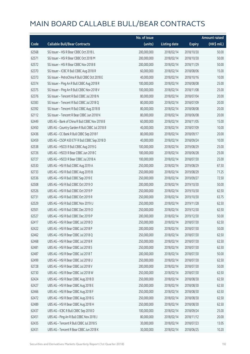|       |                                                | No. of issue |                     |               | <b>Amount raised</b> |
|-------|------------------------------------------------|--------------|---------------------|---------------|----------------------|
| Code  | <b>Callable Bull/Bear Contracts</b>            | (units)      | <b>Listing date</b> | <b>Expiry</b> | (HK\$ mil.)          |
| 62568 | SG Issuer - HSI R Bear CBBC Oct 2018 L         | 200,000,000  | 2018/02/14          | 2018/10/30    | 50.00                |
| 62571 | SG Issuer - HSI R Bear CBBC Oct 2018 M         | 200,000,000  | 2018/02/14          | 2018/10/30    | 50.00                |
| 62572 | SG Issuer - HSI R Bear CBBC Nov 2018 B         | 200,000,000  | 2018/02/14          | 2018/11/29    | 50.00                |
| 62370 | SG Issuer - ICBC R Bull CBBC Aug 2018 R        | 60,000,000   | 2018/02/14          | 2018/08/06    | 15.00                |
| 62373 | SG Issuer - PetroChina R Bull CBBC Oct 2018 E  | 40,000,000   | 2018/02/14          | 2018/10/16    | 10.00                |
| 62374 | SG Issuer - Ping An R Bull CBBC Aug 2018 R     | 100,000,000  | 2018/02/14          | 2018/08/08    | 25.00                |
| 62375 | SG Issuer - Ping An R Bull CBBC Nov 2018 V     | 100,000,000  | 2018/02/14          | 2018/11/08    | 25.00                |
| 62376 | SG Issuer - Tencent R Bull CBBC Jul 2018 N     | 80,000,000   | 2018/02/14          | 2018/07/04    | 20.00                |
| 62383 | SG Issuer - Tencent R Bull CBBC Jul 2018 Q     | 80,000,000   | 2018/02/14          | 2018/07/09    | 20.00                |
| 62392 | SG Issuer - Tencent R Bull CBBC Aug 2018 B     | 80,000,000   | 2018/02/14          | 2018/08/08    | 20.00                |
| 62112 | SG Issuer - Tencent R Bear CBBC Jun 2018 N     | 80,000,000   | 2018/02/14          | 2018/06/08    | 20.00                |
| 62449 | UBS AG - Bank of China R Bull CBBC Nov 2018 B  | 60,000,000   | 2018/02/14          | 2018/11/05    | 15.00                |
| 62450 | UBS AG - Country Garden R Bull CBBC Jul 2018 B | 40,000,000   | 2018/02/14          | 2018/07/09    | 10.00                |
| 62436 | UBS AG - CC Bank R Bull CBBC Sep 2018 F        | 80,000,000   | 2018/02/14          | 2018/09/17    | 20.00                |
| 62459 | UBS AG - CSOP A50 ETF R Bull CBBC Sep 2018 D   | 40,000,000   | 2018/02/14          | 2018/09/24    | 10.00                |
| 62538 | UBS AG - HSCEI R Bull CBBC Aug 2019 G          | 100,000,000  | 2018/02/14          | 2019/08/29    | 25.00                |
| 62726 | UBS AG - HSCEI R Bear CBBC Jun 2018 C          | 100,000,000  | 2018/02/14          | 2018/06/28    | 25.00                |
| 62727 | UBS AG - HSCEI R Bear CBBC Jul 2018 A          | 100,000,000  | 2018/02/14          | 2018/07/30    | 25.00                |
| 62530 | UBS AG - HSI R Bull CBBC Aug 2019 A            | 250,000,000  | 2018/02/14          | 2019/08/29    | 67.50                |
| 62733 | UBS AG - HSI R Bull CBBC Aug 2019 B            | 250,000,000  | 2018/02/14          | 2019/08/29    | 71.25                |
| 62536 | UBS AG - HSI R Bull CBBC Sep 2019 E            | 250,000,000  | 2018/02/14          | 2019/09/27    | 72.50                |
| 62508 | UBS AG - HSI R Bull CBBC Oct 2019 O            | 200,000,000  | 2018/02/14          | 2019/10/30    | 50.00                |
| 62526 | UBS AG - HSI R Bull CBBC Oct 2019 P            | 250,000,000  | 2018/02/14          | 2019/10/30    | 62.50                |
| 62731 | UBS AG - HSI R Bull CBBC Oct 2019 R            | 250,000,000  | 2018/02/14          | 2019/10/30    | 63.75                |
| 62529 | UBS AG - HSI R Bull CBBC Nov 2019 U            | 250,000,000  | 2018/02/14          | 2019/11/28    | 62.50                |
| 62501 | UBS AG - HSI R Bull CBBC Dec 2019 O            | 250,000,000  | 2018/02/14          | 2019/12/30    | 62.50                |
| 62527 | UBS AG - HSI R Bull CBBC Dec 2019 P            | 200,000,000  | 2018/02/14          | 2019/12/30    | 50.00                |
| 62417 | UBS AG - HSI R Bear CBBC Jul 2018 O            | 250,000,000  | 2018/02/14          | 2018/07/30    | 62.50                |
| 62422 | UBS AG - HSI R Bear CBBC Jul 2018 P            | 200,000,000  | 2018/02/14          | 2018/07/30    | 50.00                |
| 62462 | UBS AG - HSI R Bear CBBC Jul 2018 Q            | 250,000,000  | 2018/02/14          | 2018/07/30    | 62.50                |
| 62468 | UBS AG - HSI R Bear CBBC Jul 2018 R            | 250,000,000  | 2018/02/14          | 2018/07/30    | 62.50                |
| 62481 | UBS AG - HSI R Bear CBBC Jul 2018 S            | 250,000,000  | 2018/02/14          | 2018/07/30    | 62.50                |
| 62487 | UBS AG - HSI R Bear CBBC Jul 2018 T            | 200,000,000  | 2018/02/14          | 2018/07/30    | 50.00                |
| 62499 | UBS AG - HSI R Bear CBBC Jul 2018 U            | 250,000,000  | 2018/02/14          | 2018/07/30    | 62.50                |
| 62728 | UBS AG - HSI R Bear CBBC Jul 2018 V            | 200,000,000  | 2018/02/14          | 2018/07/30    | 50.00                |
| 62730 | UBS AG - HSI R Bear CBBC Jul 2018 W            | 250,000,000  | 2018/02/14          | 2018/07/30    | 62.50                |
| 62424 | UBS AG - HSI R Bear CBBC Aug 2018 D            | 250,000,000  | 2018/02/14          | 2018/08/30    | 62.50                |
| 62427 | UBS AG - HSI R Bear CBBC Aug 2018 E            | 250,000,000  | 2018/02/14          | 2018/08/30    | 62.50                |
| 62466 | UBS AG - HSI R Bear CBBC Aug 2018 F            | 250,000,000  | 2018/02/14          | 2018/08/30    | 62.50                |
| 62472 | UBS AG - HSI R Bear CBBC Aug 2018 G            | 250,000,000  | 2018/02/14          | 2018/08/30    | 62.50                |
| 62489 | UBS AG - HSI R Bear CBBC Aug 2018 H            | 250,000,000  | 2018/02/14          | 2018/08/30    | 62.50                |
| 62437 | UBS AG - ICBC R Bull CBBC Sep 2018 D           | 100,000,000  | 2018/02/14          | 2018/09/24    | 25.00                |
| 62451 | UBS AG - Ping An R Bull CBBC Nov 2018 J        | 80,000,000   | 2018/02/14          | 2018/11/12    | 20.00                |
| 62435 | UBS AG - Tencent R Bull CBBC Jul 2018 S        | 30,000,000   | 2018/02/14          | 2018/07/23    | 13.05                |
| 62431 | UBS AG - Tencent R Bear CBBC Jun 2018 K        | 30,000,000   | 2018/02/14          | 2018/06/25    | 10.20                |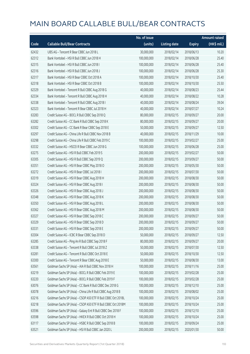|       |                                                              | No. of issue |                     |               | <b>Amount raised</b> |
|-------|--------------------------------------------------------------|--------------|---------------------|---------------|----------------------|
| Code  | <b>Callable Bull/Bear Contracts</b>                          | (units)      | <b>Listing date</b> | <b>Expiry</b> | (HK\$ mil.)          |
| 62432 | UBS AG - Tencent R Bear CBBC Jun 2018 L                      | 30,000,000   | 2018/02/14          | 2018/06/13    | 10.20                |
| 62312 | Bank Vontobel - HSI R Bull CBBC Jun 2018 H                   | 100,000,000  | 2018/02/14          | 2018/06/28    | 25.40                |
| 62315 | Bank Vontobel - HSI R Bull CBBC Jun 2018 I                   | 100,000,000  | 2018/02/14          | 2018/06/28    | 25.40                |
| 62316 | Bank Vontobel - HSI R Bull CBBC Jun 2018 J                   | 100,000,000  | 2018/02/14          | 2018/06/28    | 25.30                |
| 62317 | Bank Vontobel - HSI R Bear CBBC Oct 2018 A                   | 100,000,000  | 2018/02/14          | 2018/10/30    | 25.40                |
| 62318 | Bank Vontobel - HSI R Bear CBBC Oct 2018 B                   | 100,000,000  | 2018/02/14          | 2018/10/30    | 25.50                |
| 62329 | Bank Vontobel - Tencent R Bull CBBC Aug 2018 G               | 40,000,000   | 2018/02/14          | 2018/08/23    | 25.44                |
| 62334 | Bank Vontobel - Tencent R Bull CBBC Aug 2018 H               | 40,000,000   | 2018/02/14          | 2018/08/22    | 10.28                |
| 62338 | Bank Vontobel - Tencent R Bull CBBC Aug 2018 I               | 40,000,000   | 2018/02/14          | 2018/08/24    | 39.04                |
| 62323 | Bank Vontobel - Tencent R Bear CBBC Jul 2018 H               | 40,000,000   | 2018/02/14          | 2018/07/27    | 10.24                |
| 63283 | Credit Suisse AG - BOCL R Bull CBBC Sep 2018 Q               | 80,000,000   | 2018/02/15          | 2018/09/27    | 20.00                |
| 63282 | Credit Suisse AG - CC Bank R Bull CBBC Sep 2018 K            | 80,000,000   | 2018/02/15          | 2018/09/27    | 20.00                |
| 63302 | Credit Suisse AG - CC Bank R Bear CBBC Sep 2018 E            | 50,000,000   | 2018/02/15          | 2018/09/27    | 12.50                |
| 63297 | Credit Suisse AG - China Life R Bull CBBC Nov 2018 B         | 40,000,000   | 2018/02/15          | 2018/11/29    | 10.00                |
| 63298 | Credit Suisse AG - China Life R Bull CBBC Feb 2019 C         | 100,000,000  | 2018/02/15          | 2019/02/27    | 25.00                |
| 63332 | Credit Suisse AG - HSCEI R Bear CBBC Jun 2018 G              | 100,000,000  | 2018/02/15          | 2018/06/28    | 25.00                |
| 63275 | Credit Suisse AG - HSI R Bull CBBC Feb 2019 S                | 200,000,000  | 2018/02/15          | 2019/02/27    | 50.00                |
| 63305 | Credit Suisse AG - HSI R Bull CBBC Sep 2019 Q                | 200,000,000  | 2018/02/15          | 2019/09/27    | 50.00                |
| 63351 | Credit Suisse AG - HSI R Bear CBBC May 2018 O                | 200,000,000  | 2018/02/15          | 2018/05/30    | 50.00                |
| 63272 | Credit Suisse AG - HSI R Bear CBBC Jul 2018 I                | 200,000,000  | 2018/02/15          | 2018/07/30    | 50.00                |
| 63319 | Credit Suisse AG - HSI R Bear CBBC Aug 2018 H                | 200,000,000  | 2018/02/15          | 2018/08/30    | 50.00                |
| 63324 | Credit Suisse AG - HSI R Bear CBBC Aug 2018 I                | 200,000,000  | 2018/02/15          | 2018/08/30    | 50.00                |
| 63326 | Credit Suisse AG - HSI R Bear CBBC Aug 2018 J                | 200,000,000  | 2018/02/15          | 2018/08/30    | 50.00                |
| 63348 | Credit Suisse AG - HSI R Bear CBBC Aug 2018 K                | 200,000,000  | 2018/02/15          | 2018/08/30    | 50.00                |
| 63350 | Credit Suisse AG - HSI R Bear CBBC Aug 2018 L                | 200,000,000  | 2018/02/15          | 2018/08/30    | 50.00                |
| 63362 | Credit Suisse AG - HSI R Bear CBBC Aug 2018 M                | 200,000,000  | 2018/02/15          | 2018/08/30    | 50.00                |
| 63327 | Credit Suisse AG - HSI R Bear CBBC Sep 2018 C                | 200,000,000  | 2018/02/15          | 2018/09/27    | 50.00                |
| 63329 | Credit Suisse AG - HSI R Bear CBBC Sep 2018 D                | 200,000,000  | 2018/02/15          | 2018/09/27    | 50.00                |
| 63331 | Credit Suisse AG - HSI R Bear CBBC Sep 2018 E                | 200,000,000  | 2018/02/15          | 2018/09/27    | 50.00                |
| 63304 | Credit Suisse AG - ICBC R Bear CBBC Sep 2018 D               | 50,000,000   | 2018/02/15          | 2018/09/27    | 12.50                |
| 63285 | Credit Suisse AG - Ping An R Bull CBBC Sep 2018 F            | 80,000,000   | 2018/02/15          | 2018/09/27    | 20.00                |
| 63338 | Credit Suisse AG - Tencent R Bull CBBC Jul 2018 Z            | 50,000,000   | 2018/02/15          | 2018/07/30    | 12.50                |
| 63281 | Credit Suisse AG - Tencent R Bull CBBC Oct 2018 E            | 50,000,000   | 2018/02/15          | 2018/10/30    | 12.50                |
| 63300 | Credit Suisse AG - Tencent R Bear CBBC Aug 2018 E            | 50,000,000   | 2018/02/15          | 2018/08/30    | 13.00                |
| 63561 | Goldman Sachs SP (Asia) - AIA R Bull CBBC Nov 2018 H         | 100,000,000  | 2018/02/15          | 2018/11/16    | 25.00                |
| 63219 | Goldman Sachs SP (Asia) - BOCL R Bull CBBC Feb 2019 E        | 100,000,000  | 2018/02/15          | 2019/02/28    | 25.00                |
| 63220 | Goldman Sachs SP (Asia) - BOCL R Bull CBBC Feb 2019 F        | 100,000,000  | 2018/02/15          | 2019/02/28    | 25.00                |
| 63076 | Goldman Sachs SP (Asia) - CC Bank R Bull CBBC Dec 2018 G     | 100,000,000  | 2018/02/15          | 2018/12/10    | 25.00                |
| 63078 | Goldman Sachs SP (Asia) - China Life R Bull CBBC Aug 2018 B  | 100,000,000  | 2018/02/15          | 2018/08/02    | 25.00                |
| 63216 | Goldman Sachs SP (Asia) - CSOP A50 ETF R Bull CBBC Oct 2018L | 100,000,000  | 2018/02/15          | 2018/10/24    | 25.00                |
| 63218 | Goldman Sachs SP (Asia) - CSOP A50 ETF R Bull CBBC Oct 2018M | 100,000,000  | 2018/02/15          | 2018/10/24    | 25.00                |
| 63596 | Goldman Sachs SP (Asia) - Galaxy Ent R Bull CBBC Dec 2018 F  | 100,000,000  | 2018/02/15          | 2018/12/10    | 25.00                |
| 63598 | Goldman Sachs SP (Asia) - HKEX R Bull CBBC Oct 2018 H        | 100,000,000  | 2018/02/15          | 2018/10/24    | 25.00                |
| 63117 | Goldman Sachs SP (Asia) - HSBC R Bull CBBC Sep 2018 B        | 100,000,000  | 2018/02/15          | 2018/09/24    | 25.00                |
| 63521 | Goldman Sachs SP (Asia) - HSI R Bull CBBC Jan 2020 L         | 200,000,000  | 2018/02/15          | 2020/01/30    | 50.00                |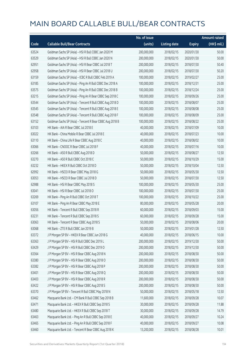|       |                                                          | No. of issue |                     |               | <b>Amount raised</b> |
|-------|----------------------------------------------------------|--------------|---------------------|---------------|----------------------|
| Code  | <b>Callable Bull/Bear Contracts</b>                      | (units)      | <b>Listing date</b> | <b>Expiry</b> | (HK\$ mil.)          |
| 63524 | Goldman Sachs SP (Asia) - HSI R Bull CBBC Jan 2020 M     | 200,000,000  | 2018/02/15          | 2020/01/30    | 50.00                |
| 63529 | Goldman Sachs SP (Asia) - HSI R Bull CBBC Jan 2020 N     | 200,000,000  | 2018/02/15          | 2020/01/30    | 50.00                |
| 62951 | Goldman Sachs SP (Asia) - HSI R Bear CBBC Jul 2018 T     | 200,000,000  | 2018/02/15          | 2018/07/30    | 50.40                |
| 62958 | Goldman Sachs SP (Asia) - HSI R Bear CBBC Jul 2018 U     | 200,000,000  | 2018/02/15          | 2018/07/30    | 50.20                |
| 63159 | Goldman Sachs SP (Asia) - ICBC R Bull CBBC Feb 2019 A    | 100,000,000  | 2018/02/15          | 2019/02/27    | 25.00                |
| 63185 | Goldman Sachs SP (Asia) - Ping An R Bull CBBC Dec 2018 A | 100,000,000  | 2018/02/15          | 2018/12/31    | 25.00                |
| 63575 | Goldman Sachs SP (Asia) - Ping An R Bull CBBC Dec 2018 B | 100,000,000  | 2018/02/15          | 2018/12/24    | 25.00                |
| 63215 | Goldman Sachs SP (Asia) - Ping An R Bear CBBC Sep 2018 C | 100,000,000  | 2018/02/15          | 2018/09/26    | 25.00                |
| 63544 | Goldman Sachs SP (Asia) - Tencent R Bull CBBC Aug 2018 D | 100,000,000  | 2018/02/15          | 2018/08/07    | 25.00                |
| 63545 | Goldman Sachs SP (Asia) - Tencent R Bull CBBC Aug 2018 E | 100,000,000  | 2018/02/15          | 2018/08/08    | 25.00                |
| 63548 | Goldman Sachs SP (Asia) - Tencent R Bull CBBC Aug 2018 F | 100,000,000  | 2018/02/15          | 2018/08/09    | 25.00                |
| 63152 | Goldman Sachs SP (Asia) - Tencent R Bear CBBC Aug 2018 B | 100,000,000  | 2018/02/15          | 2018/08/22    | 25.00                |
| 63103 | HK Bank - AIA R Bear CBBC Jul 2018 E                     | 40,000,000   | 2018/02/15          | 2018/07/09    | 10.00                |
| 63022 | HK Bank - China Mobile R Bear CBBC Jul 2018 E            | 40,000,000   | 2018/02/15          | 2018/07/23    | 10.00                |
| 63110 | HK Bank - China Life R Bear CBBC Aug 2018 C              | 40,000,000   | 2018/02/15          | 2018/08/02    | 10.00                |
| 63066 | HK Bank - CNOOC R Bear CBBC Jul 2018 F                   | 40,000,000   | 2018/02/15          | 2018/07/16    | 10.00                |
| 63266 | HK Bank - A50 R Bull CBBC Aug 2018 D                     | 50,000,000   | 2018/02/15          | 2018/08/27    | 12.50                |
| 63270 | HK Bank - A50 R Bull CBBC Oct 2018 C                     | 50,000,000   | 2018/02/15          | 2018/10/29    | 15.00                |
| 63232 | HK Bank - HKEX R Bull CBBC Oct 2018 D                    | 50,000,000   | 2018/02/15          | 2018/10/04    | 12.50                |
| 62992 | HK Bank - HSCEI R Bear CBBC May 2018 G                   | 50,000,000   | 2018/02/15          | 2018/05/30    | 12.50                |
| 63053 | HK Bank - HSCEI R Bear CBBC Jul 2018 D                   | 50,000,000   | 2018/02/15          | 2018/07/30    | 12.50                |
| 62988 | HK Bank - HSI R Bear CBBC May 2018 S                     | 100,000,000  | 2018/02/15          | 2018/05/30    | 25.00                |
| 63041 | HK Bank - HSI R Bear CBBC Jul 2018 O                     | 100,000,000  | 2018/02/15          | 2018/07/30    | 25.00                |
| 63269 | HK Bank - Ping An R Bull CBBC Oct 2018 T                 | 100,000,000  | 2018/02/15          | 2018/10/22    | 25.00                |
| 63107 | HK Bank - Ping An R Bear CBBC May 2018 E                 | 80,000,000   | 2018/02/15          | 2018/05/28    | 20.00                |
| 63056 | HK Bank - Tencent R Bull CBBC Sep 2018 R                 | 60,000,000   | 2018/02/15          | 2018/09/03    | 15.00                |
| 63231 | HK Bank - Tencent R Bull CBBC Sep 2018 S                 | 60,000,000   | 2018/02/15          | 2018/09/28    | 15.00                |
| 63063 | HK Bank - Tencent R Bear CBBC Aug 2018 S                 | 50,000,000   | 2018/02/15          | 2018/08/06    | 20.00                |
| 63068 | HK Bank - ZTE R Bull CBBC Jan 2019 B                     | 50,000,000   | 2018/02/15          | 2019/01/28    | 12.50                |
| 63372 | J P Morgan SP BV - HKEX R Bear CBBC Jun 2018 G           | 40,000,000   | 2018/02/15          | 2018/06/15    | 10.00                |
| 63363 | J P Morgan SP BV - HSI R Bull CBBC Dec 2019 L            | 200,000,000  | 2018/02/15          | 2019/12/30    | 50.00                |
| 63429 | J P Morgan SP BV - HSI R Bull CBBC Dec 2019 O            | 200,000,000  | 2018/02/15          | 2019/12/30    | 50.00                |
| 63364 | J P Morgan SP BV - HSI R Bear CBBC Aug 2018 N            | 200,000,000  | 2018/02/15          | 2018/08/30    | 50.00                |
| 63380 | J P Morgan SP BV - HSI R Bear CBBC Aug 2018 O            | 200,000,000  | 2018/02/15          | 2018/08/30    | 50.00                |
| 63382 | J P Morgan SP BV - HSI R Bear CBBC Aug 2018 P            | 200,000,000  | 2018/02/15          | 2018/08/30    | 50.00                |
| 63401 | J P Morgan SP BV - HSI R Bear CBBC Aug 2018 Q            | 200,000,000  | 2018/02/15          | 2018/08/30    | 50.00                |
| 63403 | J P Morgan SP BV - HSI R Bear CBBC Aug 2018 R            | 200,000,000  | 2018/02/15          | 2018/08/30    | 50.00                |
| 63422 | J P Morgan SP BV - HSI R Bear CBBC Aug 2018 S            | 200,000,000  | 2018/02/15          | 2018/08/30    | 50.00                |
| 63370 | J P Morgan SP BV - Tencent R Bull CBBC May 2018 N        | 50,000,000   | 2018/02/15          | 2018/05/18    | 12.50                |
| 63462 | Macquarie Bank Ltd. - CM Bank R Bull CBBC Sep 2018 B     | 11,600,000   | 2018/02/15          | 2018/09/28    | 10.07                |
| 63471 | Macquarie Bank Ltd. - HKEX R Bull CBBC Sep 2018 S        | 30,000,000   | 2018/02/15          | 2018/09/28    | 11.88                |
| 63480 | Macquarie Bank Ltd. - HKEX R Bull CBBC Sep 2018 T        | 30,000,000   | 2018/02/15          | 2018/09/28    | 14.79                |
| 63463 | Macquarie Bank Ltd. - Ping An R Bull CBBC Sep 2018 E     | 40,000,000   | 2018/02/15          | 2018/09/27    | 10.24                |
| 63465 | Macquarie Bank Ltd. - Ping An R Bull CBBC Sep 2018 F     | 40,000,000   | 2018/02/15          | 2018/09/27    | 10.08                |
| 63460 | Macquarie Bank Ltd. - Tencent R Bear CBBC Aug 2018 K     | 13,200,000   | 2018/02/15          | 2018/08/28    | 10.01                |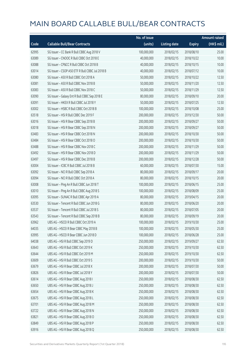|       |                                                 | No. of issue |                     |               | <b>Amount raised</b> |
|-------|-------------------------------------------------|--------------|---------------------|---------------|----------------------|
| Code  | <b>Callable Bull/Bear Contracts</b>             | (units)      | <b>Listing date</b> | <b>Expiry</b> | (HK\$ mil.)          |
| 62995 | SG Issuer - CC Bank R Bull CBBC Aug 2018 V      | 100,000,000  | 2018/02/15          | 2018/08/10    | 25.00                |
| 63089 | SG Issuer - CNOOC R Bull CBBC Oct 2018 E        | 40,000,000   | 2018/02/15          | 2018/10/22    | 10.00                |
| 63088 | SG Issuer - CP&CC R Bull CBBC Oct 2018 B        | 40,000,000   | 2018/02/15          | 2018/10/15    | 10.00                |
| 63014 | SG Issuer - CSOP A50 ETF R Bull CBBC Jul 2018 B | 40,000,000   | 2018/02/15          | 2018/07/12    | 10.00                |
| 63080 | SG Issuer - A50 R Bull CBBC Oct 2018 A          | 50,000,000   | 2018/02/15          | 2018/10/22    | 12.50                |
| 63081 | SG Issuer - A50 R Bull CBBC Nov 2018 B          | 50,000,000   | 2018/02/15          | 2018/11/20    | 12.50                |
| 63083 | SG Issuer - A50 R Bull CBBC Nov 2018 C          | 50,000,000   | 2018/02/15          | 2018/11/29    | 12.50                |
| 63090 | SG Issuer - Galaxy Ent R Bull CBBC Sep 2018 E   | 80,000,000   | 2018/02/15          | 2018/09/10    | 20.00                |
| 63091 | SG Issuer - HKEX R Bull CBBC Jul 2018 Y         | 50,000,000   | 2018/02/15          | 2018/07/25    | 12.50                |
| 63002 | SG Issuer - HSBC R Bull CBBC Oct 2018 B         | 100,000,000  | 2018/02/15          | 2018/10/08    | 25.00                |
| 63518 | SG Issuer - HSI R Bull CBBC Dec 2019 F          | 200,000,000  | 2018/02/15          | 2019/12/30    | 50.00                |
| 63016 | SG Issuer - HSI R Bear CBBC Sep 2018 B          | 200,000,000  | 2018/02/15          | 2018/09/27    | 50.00                |
| 63018 | SG Issuer - HSI R Bear CBBC Sep 2018 N          | 200,000,000  | 2018/02/15          | 2018/09/27    | 50.00                |
| 63483 | SG Issuer - HSI R Bear CBBC Oct 2018 N          | 200,000,000  | 2018/02/15          | 2018/10/30    | 50.00                |
| 63484 | SG Issuer - HSI R Bear CBBC Oct 2018 O          | 200,000,000  | 2018/02/15          | 2018/10/30    | 50.00                |
| 63488 | SG Issuer - HSI R Bear CBBC Nov 2018 C          | 200,000,000  | 2018/02/15          | 2018/11/29    | 50.00                |
| 63492 | SG Issuer - HSI R Bear CBBC Nov 2018 D          | 200,000,000  | 2018/02/15          | 2018/11/29    | 50.00                |
| 63497 | SG Issuer - HSI R Bear CBBC Dec 2018 B          | 200,000,000  | 2018/02/15          | 2018/12/28    | 50.00                |
| 63004 | SG Issuer - ICBC R Bull CBBC Jul 2018 B         | 60,000,000   | 2018/02/15          | 2018/07/30    | 15.00                |
| 63092 | SG Issuer - NCI R Bull CBBC Sep 2018 A          | 80,000,000   | 2018/02/15          | 2018/09/17    | 20.00                |
| 63094 | SG Issuer - NCI R Bull CBBC Oct 2018 A          | 80,000,000   | 2018/02/15          | 2018/10/15    | 20.00                |
| 63008 | SG Issuer - Ping An R Bull CBBC Jun 2018 T      | 100,000,000  | 2018/02/15          | 2018/06/15    | 25.00                |
| 63010 | SG Issuer - Ping An R Bull CBBC Aug 2018 S      | 100,000,000  | 2018/02/15          | 2018/08/09    | 25.00                |
| 63095 | SG Issuer - SUNAC R Bull CBBC Apr 2019 A        | 80,000,000   | 2018/02/15          | 2019/04/15    | 20.00                |
| 63530 | SG Issuer - Tencent R Bull CBBC Jun 2018 G      | 80,000,000   | 2018/02/15          | 2018/06/20    | 20.00                |
| 63537 | SG Issuer - Tencent R Bull CBBC Jul 2018 S      | 80,000,000   | 2018/02/15          | 2018/07/05    | 20.00                |
| 63543 | SG Issuer - Tencent R Bull CBBC Sep 2018 B      | 80,000,000   | 2018/02/15          | 2018/09/19    | 20.00                |
| 63962 | UBS AG - HSCEI R Bull CBBC Oct 2019 A           | 100,000,000  | 2018/02/15          | 2019/10/30    | 25.00                |
| 64035 | UBS AG - HSCEI R Bear CBBC May 2018 B           | 100,000,000  | 2018/02/15          | 2018/05/30    | 25.00                |
| 63995 | UBS AG - HSCEI R Bear CBBC Jun 2018 D           | 100,000,000  | 2018/02/15          | 2018/06/28    | 25.00                |
| 64038 | UBS AG - HSI R Bull CBBC Sep 2019 D             | 250,000,000  | 2018/02/15          | 2019/09/27    | 62.50                |
| 63643 | UBS AG - HSI R Bull CBBC Oct 2019 K             | 250,000,000  | 2018/02/15          | 2019/10/30    | 62.50                |
| 63644 | UBS AG - HSI R Bull CBBC Oct 2019 M             | 250,000,000  | 2018/02/15          | 2019/10/30    | 62.50                |
| 63609 | UBS AG - HSI R Bull CBBC Oct 2019 S             | 200,000,000  | 2018/02/15          | 2019/10/30    | 50.00                |
| 63679 | UBS AG - HSI R Bear CBBC Jul 2018 X             | 200,000,000  | 2018/02/15          | 2018/07/30    | 50.00                |
| 63826 | UBS AG - HSI R Bear CBBC Jul 2018 Y             | 200,000,000  | 2018/02/15          | 2018/07/30    | 50.00                |
| 63614 | UBS AG - HSI R Bear CBBC Aug 2018 I             | 250,000,000  | 2018/02/15          | 2018/08/30    | 62.50                |
| 63650 | UBS AG - HSI R Bear CBBC Aug 2018 J             | 250,000,000  | 2018/02/15          | 2018/08/30    | 62.50                |
| 63654 | UBS AG - HSI R Bear CBBC Aug 2018 K             | 250,000,000  | 2018/02/15          | 2018/08/30    | 62.50                |
| 63675 | UBS AG - HSI R Bear CBBC Aug 2018 L             | 250,000,000  | 2018/02/15          | 2018/08/30    | 62.50                |
| 63701 | UBS AG - HSI R Bear CBBC Aug 2018 M             | 250,000,000  | 2018/02/15          | 2018/08/30    | 62.50                |
| 63722 | UBS AG - HSI R Bear CBBC Aug 2018 N             | 250,000,000  | 2018/02/15          | 2018/08/30    | 62.50                |
| 63821 | UBS AG - HSI R Bear CBBC Aug 2018 O             | 250,000,000  | 2018/02/15          | 2018/08/30    | 62.50                |
| 63849 | UBS AG - HSI R Bear CBBC Aug 2018 P             | 250,000,000  | 2018/02/15          | 2018/08/30    | 62.50                |
| 63916 | UBS AG - HSI R Bear CBBC Aug 2018 Q             | 250,000,000  | 2018/02/15          | 2018/08/30    | 62.50                |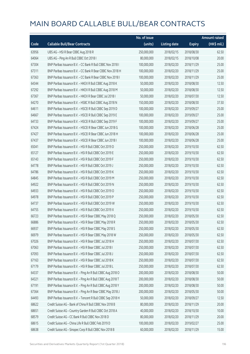|       |                                                            | No. of issue |                     |               | <b>Amount raised</b> |
|-------|------------------------------------------------------------|--------------|---------------------|---------------|----------------------|
| Code  | <b>Callable Bull/Bear Contracts</b>                        | (units)      | <b>Listing date</b> | <b>Expiry</b> | (HK\$ mil.)          |
| 63956 | UBS AG - HSI R Bear CBBC Aug 2018 R                        | 250,000,000  | 2018/02/15          | 2018/08/30    | 62.50                |
| 64064 | UBS AG - Ping An R Bull CBBC Oct 2018 I                    | 80,000,000   | 2018/02/15          | 2018/10/08    | 20.00                |
| 67304 | BNP Paribas Issuance B.V. - CC Bank R Bull CBBC Nov 2018 I | 100,000,000  | 2018/02/20          | 2018/11/29    | 25.00                |
| 67311 | BNP Paribas Issuance B.V. - CC Bank R Bear CBBC Nov 2018 H | 100,000,000  | 2018/02/20          | 2018/11/29    | 25.00                |
| 67363 | BNP Paribas Issuance B.V. - CC Bank R Bear CBBC Nov 2018 I | 100,000,000  | 2018/02/20          | 2018/11/29    | 25.00                |
| 64344 | BNP Paribas Issuance B.V. - HKEX R Bull CBBC Aug 2018 K    | 50,000,000   | 2018/02/20          | 2018/08/30    | 12.50                |
| 67292 | BNP Paribas Issuance B.V. - HKEX R Bull CBBC Aug 2018 M    | 50,000,000   | 2018/02/20          | 2018/08/30    | 12.50                |
| 67367 | BNP Paribas Issuance B.V. - HKEX R Bear CBBC Jul 2018 I    | 50,000,000   | 2018/02/20          | 2018/07/30    | 12.50                |
| 64270 | BNP Paribas Issuance B.V. - HSBC R Bull CBBC Aug 2018 N    | 150,000,000  | 2018/02/20          | 2018/08/30    | 37.50                |
| 64611 | BNP Paribas Issuance B.V. - HSCEI R Bull CBBC Sep 2019 D   | 100,000,000  | 2018/02/20          | 2019/09/27    | 25.00                |
| 64667 | BNP Paribas Issuance B.V. - HSCEI R Bull CBBC Sep 2019 E   | 100,000,000  | 2018/02/20          | 2019/09/27    | 25.00                |
| 64733 | BNP Paribas Issuance B.V. - HSCEI R Bull CBBC Sep 2019 F   | 100,000,000  | 2018/02/20          | 2019/09/27    | 25.00                |
| 67424 | BNP Paribas Issuance B.V. - HSCEI R Bear CBBC Jun 2018 G   | 100,000,000  | 2018/02/20          | 2018/06/28    | 25.00                |
| 67427 | BNP Paribas Issuance B.V. - HSCEI R Bear CBBC Jun 2018 H   | 100,000,000  | 2018/02/20          | 2018/06/28    | 25.00                |
| 67437 | BNP Paribas Issuance B.V. - HSCEI R Bear CBBC Jun 2018 I   | 100,000,000  | 2018/02/20          | 2018/06/28    | 25.00                |
| 65041 | BNP Paribas Issuance B.V. - HSI R Bull CBBC Oct 2019 D     | 250,000,000  | 2018/02/20          | 2019/10/30    | 62.50                |
| 65127 | BNP Paribas Issuance B.V. - HSI R Bull CBBC Oct 2019 E     | 250,000,000  | 2018/02/20          | 2019/10/30    | 62.50                |
| 65143 | BNP Paribas Issuance B.V. - HSI R Bull CBBC Oct 2019 F     | 250,000,000  | 2018/02/20          | 2019/10/30    | 62.50                |
| 64778 | BNP Paribas Issuance B.V. - HSI R Bull CBBC Oct 2019 J     | 250,000,000  | 2018/02/20          | 2019/10/30    | 62.50                |
| 64786 | BNP Paribas Issuance B.V. - HSI R Bull CBBC Oct 2019 K     | 250,000,000  | 2018/02/20          | 2019/10/30    | 62.50                |
| 64845 | BNP Paribas Issuance B.V. - HSI R Bull CBBC Oct 2019 M     | 250,000,000  | 2018/02/20          | 2019/10/30    | 62.50                |
| 64922 | BNP Paribas Issuance B.V. - HSI R Bull CBBC Oct 2019 N     | 250,000,000  | 2018/02/20          | 2019/10/30    | 62.50                |
| 64933 | BNP Paribas Issuance B.V. - HSI R Bull CBBC Oct 2019 O     | 250,000,000  | 2018/02/20          | 2019/10/30    | 62.50                |
| 64978 | BNP Paribas Issuance B.V. - HSI R Bull CBBC Oct 2019 P     | 250,000,000  | 2018/02/20          | 2019/10/30    | 62.50                |
| 64737 | BNP Paribas Issuance B.V. - HSI R Bull CBBC Oct 2019 W     | 250,000,000  | 2018/02/20          | 2019/10/30    | 62.50                |
| 64755 | BNP Paribas Issuance B.V. - HSI R Bull CBBC Oct 2019 X     | 250,000,000  | 2018/02/20          | 2019/10/30    | 62.50                |
| 66723 | BNP Paribas Issuance B.V. - HSI R Bear CBBC May 2018 Q     | 250,000,000  | 2018/02/20          | 2018/05/30    | 62.50                |
| 66886 | BNP Paribas Issuance B.V. - HSI R Bear CBBC May 2018 R     | 250,000,000  | 2018/02/20          | 2018/05/30    | 62.50                |
| 66937 | BNP Paribas Issuance B.V. - HSI R Bear CBBC May 2018 S     | 250,000,000  | 2018/02/20          | 2018/05/30    | 62.50                |
| 66979 | BNP Paribas Issuance B.V. - HSI R Bear CBBC May 2018 W     | 250,000,000  | 2018/02/20          | 2018/05/30    | 62.50                |
| 67026 | BNP Paribas Issuance B.V. - HSI R Bear CBBC Jul 2018 H     | 250,000,000  | 2018/02/20          | 2018/07/30    | 62.50                |
| 67063 | BNP Paribas Issuance B.V. - HSI R Bear CBBC Jul 2018 I     | 250,000,000  | 2018/02/20          | 2018/07/30    | 62.50                |
| 67093 | BNP Paribas Issuance B.V. - HSI R Bear CBBC Jul 2018 J     | 250,000,000  | 2018/02/20          | 2018/07/30    | 62.50                |
| 67163 | BNP Paribas Issuance B.V. - HSI R Bear CBBC Jul 2018 K     | 250,000,000  | 2018/02/20          | 2018/07/30    | 62.50                |
| 67179 | BNP Paribas Issuance B.V. - HSI R Bear CBBC Jul 2018 L     | 250,000,000  | 2018/02/20          | 2018/07/30    | 62.50                |
| 64337 | BNP Paribas Issuance B.V. - Ping An R Bull CBBC Aug 2018 O | 200,000,000  | 2018/02/20          | 2018/08/30    | 50.00                |
| 64321 | BNP Paribas Issuance B.V. - Ping An R Bull CBBC Aug 2018 T | 200,000,000  | 2018/02/20          | 2018/08/30    | 50.00                |
| 67191 | BNP Paribas Issuance B.V. - Ping An R Bull CBBC Aug 2018 Y | 200,000,000  | 2018/02/20          | 2018/08/30    | 50.00                |
| 67364 | BNP Paribas Issuance B.V. - Ping An R Bear CBBC May 2018 J | 200,000,000  | 2018/02/20          | 2018/05/30    | 50.00                |
| 64493 | BNP Paribas Issuance B.V. - Tencent R Bull CBBC Sep 2018 H | 50,000,000   | 2018/02/20          | 2018/09/27    | 12.50                |
| 68622 | Credit Suisse AG - Bank of China R Bull CBBC Nov 2018 B    | 80,000,000   | 2018/02/20          | 2018/11/29    | 20.00                |
| 68651 | Credit Suisse AG - Country Garden R Bull CBBC Oct 2018 A   | 40,000,000   | 2018/02/20          | 2018/10/30    | 10.00                |
| 68579 | Credit Suisse AG - CC Bank R Bull CBBC Nov 2018 D          | 80,000,000   | 2018/02/20          | 2018/11/29    | 20.00                |
| 68615 | Credit Suisse AG - China Life R Bull CBBC Feb 2019 D       | 100,000,000  | 2018/02/20          | 2019/02/27    | 25.00                |
| 68638 | Credit Suisse AG - Sinopec Corp R Bull CBBC Nov 2018 B     | 60,000,000   | 2018/02/20          | 2018/11/29    | 15.00                |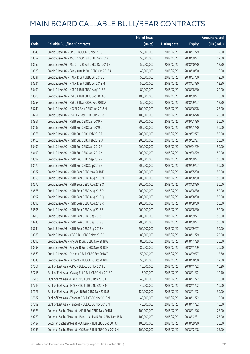|       |                                                              | No. of issue |                     |               | Amount raised |
|-------|--------------------------------------------------------------|--------------|---------------------|---------------|---------------|
| Code  | <b>Callable Bull/Bear Contracts</b>                          | (units)      | <b>Listing date</b> | <b>Expiry</b> | (HK\$ mil.)   |
| 68649 | Credit Suisse AG - CPIC R Bull CBBC Nov 2018 B               | 50,000,000   | 2018/02/20          | 2018/11/29    | 12.50         |
| 68657 | Credit Suisse AG - A50 China R Bull CBBC Sep 2018 C          | 50,000,000   | 2018/02/20          | 2018/09/27    | 12.50         |
| 68652 | Credit Suisse AG - A50 China R Bull CBBC Oct 2018 B          | 50,000,000   | 2018/02/20          | 2018/10/30    | 12.50         |
| 68629 | Credit Suisse AG - Geely Auto R Bull CBBC Oct 2018 A         | 40,000,000   | 2018/02/20          | 2018/10/30    | 18.00         |
| 68531 | Credit Suisse AG - HKEX R Bull CBBC Jul 2018 L               | 50,000,000   | 2018/02/20          | 2018/07/30    | 12.50         |
| 68534 | Credit Suisse AG - HKEX R Bull CBBC Jul 2018 M               | 50,000,000   | 2018/02/20          | 2018/07/30    | 12.50         |
| 68499 | Credit Suisse AG - HSBC R Bull CBBC Aug 2018 E               | 80,000,000   | 2018/02/20          | 2018/08/30    | 20.00         |
| 68506 | Credit Suisse AG - HSBC R Bull CBBC Sep 2018 O               | 100,000,000  | 2018/02/20          | 2018/09/27    | 25.00         |
| 68753 | Credit Suisse AG - HSBC R Bear CBBC Sep 2018 A               | 50,000,000   | 2018/02/20          | 2018/09/27    | 12.50         |
| 68749 | Credit Suisse AG - HSCEI R Bear CBBC Jun 2018 H              | 100,000,000  | 2018/02/20          | 2018/06/28    | 25.00         |
| 68751 | Credit Suisse AG - HSCEI R Bear CBBC Jun 2018 I              | 100,000,000  | 2018/02/20          | 2018/06/28    | 25.00         |
| 68361 | Credit Suisse AG - HSI R Bull CBBC Jan 2019 N                | 200,000,000  | 2018/02/20          | 2019/01/30    | 50.00         |
| 68437 | Credit Suisse AG - HSI R Bull CBBC Jan 2019 O                | 200,000,000  | 2018/02/20          | 2019/01/30    | 50.00         |
| 68366 | Credit Suisse AG - HSI R Bull CBBC Feb 2019 T                | 200,000,000  | 2018/02/20          | 2019/02/27    | 50.00         |
| 68466 | Credit Suisse AG - HSI R Bull CBBC Feb 2019 U                | 200,000,000  | 2018/02/20          | 2019/02/27    | 50.00         |
| 68492 | Credit Suisse AG - HSI R Bull CBBC Apr 2019 A                | 200,000,000  | 2018/02/20          | 2019/04/29    | 50.00         |
| 68490 | Credit Suisse AG - HSI R Bull CBBC Apr 2019 K                | 200,000,000  | 2018/02/20          | 2019/04/29    | 50.00         |
| 68392 | Credit Suisse AG - HSI R Bull CBBC Sep 2019 R                | 200,000,000  | 2018/02/20          | 2019/09/27    | 50.00         |
| 68470 | Credit Suisse AG - HSI R Bull CBBC Sep 2019 S                | 200,000,000  | 2018/02/20          | 2019/09/27    | 50.00         |
| 68682 | Credit Suisse AG - HSI R Bear CBBC May 2018 F                | 200,000,000  | 2018/02/20          | 2018/05/30    | 50.00         |
| 68658 | Credit Suisse AG - HSI R Bear CBBC Aug 2018 N                | 200,000,000  | 2018/02/20          | 2018/08/30    | 50.00         |
| 68672 | Credit Suisse AG - HSI R Bear CBBC Aug 2018 O                | 200,000,000  | 2018/02/20          | 2018/08/30    | 50.00         |
| 68675 | Credit Suisse AG - HSI R Bear CBBC Aug 2018 P                | 200,000,000  | 2018/02/20          | 2018/08/30    | 50.00         |
| 68692 | Credit Suisse AG - HSI R Bear CBBC Aug 2018 Q                | 200,000,000  | 2018/02/20          | 2018/08/30    | 50.00         |
| 68693 | Credit Suisse AG - HSI R Bear CBBC Aug 2018 R                | 200,000,000  | 2018/02/20          | 2018/08/30    | 50.00         |
| 68696 | Credit Suisse AG - HSI R Bear CBBC Aug 2018 S                | 200,000,000  | 2018/02/20          | 2018/08/30    | 50.00         |
| 68705 | Credit Suisse AG - HSI R Bear CBBC Sep 2018 F                | 200,000,000  | 2018/02/20          | 2018/09/27    | 50.00         |
| 68743 | Credit Suisse AG - HSI R Bear CBBC Sep 2018 G                | 200,000,000  | 2018/02/20          | 2018/09/27    | 50.00         |
| 68744 | Credit Suisse AG - HSI R Bear CBBC Sep 2018 H                | 200,000,000  | 2018/02/20          | 2018/09/27    | 50.00         |
| 68580 | Credit Suisse AG - ICBC R Bull CBBC Nov 2018 C               | 80,000,000   | 2018/02/20          | 2018/11/29    | 20.00         |
| 68593 | Credit Suisse AG - Ping An R Bull CBBC Nov 2018 G            | 80,000,000   | 2018/02/20          | 2018/11/29    | 20.00         |
| 68598 | Credit Suisse AG - Ping An R Bull CBBC Nov 2018 H            | 80,000,000   | 2018/02/20          | 2018/11/29    | 20.00         |
| 68569 | Credit Suisse AG - Tencent R Bull CBBC Sep 2018 T            | 50,000,000   | 2018/02/20          | 2018/09/27    | 12.50         |
| 68545 | Credit Suisse AG - Tencent R Bull CBBC Oct 2018 F            | 50,000,000   | 2018/02/20          | 2018/10/30    | 12.50         |
| 67661 | Bank of East Asia - CPIC R Bull CBBC Nov 2018 B              | 15,000,000   | 2018/02/20          | 2018/11/22    | 10.20         |
| 67716 | Bank of East Asia - Galaxy Ent R Bull CBBC Nov 2018 C        | 16,000,000   | 2018/02/20          | 2018/11/22    | 10.40         |
| 67706 | Bank of East Asia - HKEX R Bull CBBC Nov 2018 L              | 40,000,000   | 2018/02/20          | 2018/11/22    | 10.00         |
| 67715 | Bank of East Asia - HKEX R Bull CBBC Nov 2018 M              | 40,000,000   | 2018/02/20          | 2018/11/22    | 10.00         |
| 67677 | Bank of East Asia - Ping An R Bull CBBC Nov 2018 G           | 120,000,000  | 2018/02/20          | 2018/11/22    | 30.00         |
| 67682 | Bank of East Asia - Tencent R Bull CBBC Nov 2018 M           | 40,000,000   | 2018/02/20          | 2018/11/22    | 10.00         |
| 67699 | Bank of East Asia - Tencent R Bull CBBC Nov 2018 N           | 40,000,000   | 2018/02/20          | 2018/11/22    | 10.00         |
| 69323 | Goldman Sachs SP (Asia) - AIA R Bull CBBC Nov 2018 I         | 100,000,000  | 2018/02/20          | 2018/11/26    | 25.00         |
| 69270 | Goldman Sachs SP (Asia) - Bank of China R Bull CBBC Dec 18 D | 100,000,000  | 2018/02/20          | 2018/12/31    | 25.00         |
| 65487 | Goldman Sachs SP (Asia) - CC Bank R Bull CBBC Sep 2018 J     | 100,000,000  | 2018/02/20          | 2018/09/20    | 25.00         |
| 69255 | Goldman Sachs SP (Asia) - CC Bank R Bull CBBC Dec 2018 H     | 100,000,000  | 2018/02/20          | 2018/12/28    | 25.00         |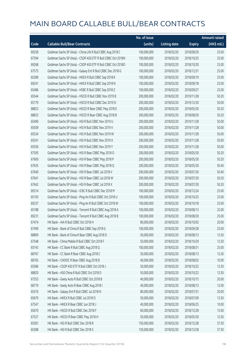|       |                                                              | No. of issue |                     |               | <b>Amount raised</b>  |
|-------|--------------------------------------------------------------|--------------|---------------------|---------------|-----------------------|
| Code  | <b>Callable Bull/Bear Contracts</b>                          | (units)      | <b>Listing date</b> | <b>Expiry</b> | $(HK\frac{1}{2}mil.)$ |
| 69258 | Goldman Sachs SP (Asia) - China Life R Bull CBBC Aug 2018 C  | 100,000,000  | 2018/02/20          | 2018/08/30    | 25.00                 |
| 67594 | Goldman Sachs SP (Asia) - CSOP A50 ETF R Bull CBBC Oct 2018N | 100,000,000  | 2018/02/20          | 2018/10/25    | 25.00                 |
| 69268 | Goldman Sachs SP (Asia) - CSOP A50 ETF R Bull CBBC Oct 2018O | 100,000,000  | 2018/02/20          | 2018/10/30    | 25.00                 |
| 67575 | Goldman Sachs SP (Asia) - Galaxy Ent R Bull CBBC Dec 2018 G  | 100,000,000  | 2018/02/20          | 2018/12/31    | 25.00                 |
| 65289 | Goldman Sachs SP (Asia) - HKEX R Bull CBBC Sep 2018 K        | 100,000,000  | 2018/02/20          | 2018/09/19    | 25.00                 |
| 69241 | Goldman Sachs SP (Asia) - HKEX R Bull CBBC Sep 2018 N        | 100,000,000  | 2018/02/20          | 2018/09/18    | 25.00                 |
| 65486 | Goldman Sachs SP (Asia) - HSBC R Bull CBBC Sep 2018 Z        | 100,000,000  | 2018/02/20          | 2018/09/27    | 25.00                 |
| 65544 | Goldman Sachs SP (Asia) - HSCEI R Bull CBBC Nov 2019 B       | 200,000,000  | 2018/02/20          | 2019/11/28    | 50.20                 |
| 65179 | Goldman Sachs SP (Asia) - HSCEI R Bull CBBC Dec 2019 D       | 200,000,000  | 2018/02/20          | 2019/12/30    | 50.00                 |
| 68823 | Goldman Sachs SP (Asia) - HSCEI R Bear CBBC May 2018 E       | 200,000,000  | 2018/02/20          | 2018/05/30    | 50.20                 |
| 68833 | Goldman Sachs SP (Asia) - HSCEI R Bear CBBC Aug 2018 B       | 200,000,000  | 2018/02/20          | 2018/08/30    | 50.20                 |
| 65490 | Goldman Sachs SP (Asia) - HSI R Bull CBBC Nov 2019 U         | 200,000,000  | 2018/02/20          | 2019/11/28    | 50.00                 |
| 65509 | Goldman Sachs SP (Asia) - HSI R Bull CBBC Nov 2019 V         | 200,000,000  | 2018/02/20          | 2019/11/28    | 50.00                 |
| 65534 | Goldman Sachs SP (Asia) - HSI R Bull CBBC Nov 2019 W         | 200,000,000  | 2018/02/20          | 2019/11/28    | 50.00                 |
| 65541 | Goldman Sachs SP (Asia) - HSI R Bull CBBC Nov 2019 X         | 200,000,000  | 2018/02/20          | 2019/11/28    | 50.00                 |
| 65556 | Goldman Sachs SP (Asia) - HSI R Bull CBBC Nov 2019 Y         | 200,000,000  | 2018/02/20          | 2019/11/28    | 50.00                 |
| 67595 | Goldman Sachs SP (Asia) - HSI R Bear CBBC May 2018 O         | 200,000,000  | 2018/02/20          | 2018/05/30    | 50.20                 |
| 67600 | Goldman Sachs SP (Asia) - HSI R Bear CBBC May 2018 P         | 200,000,000  | 2018/02/20          | 2018/05/30    | 50.20                 |
| 67635 | Goldman Sachs SP (Asia) - HSI R Bear CBBC May 2018 Q         | 200,000,000  | 2018/02/20          | 2018/05/30    | 50.40                 |
| 67640 | Goldman Sachs SP (Asia) - HSI R Bear CBBC Jul 2018 V         | 200,000,000  | 2018/02/20          | 2018/07/30    | 50.40                 |
| 67641 | Goldman Sachs SP (Asia) - HSI R Bear CBBC Jul 2018 W         | 200,000,000  | 2018/02/20          | 2018/07/30    | 50.20                 |
| 67642 | Goldman Sachs SP (Asia) - HSI R Bear CBBC Jul 2018 X         | 200,000,000  | 2018/02/20          | 2018/07/30    | 50.20                 |
| 69314 | Goldman Sachs SP (Asia) - ICBC R Bull CBBC Dec 2018 M        | 100,000,000  | 2018/02/20          | 2018/12/24    | 25.00                 |
| 65193 | Goldman Sachs SP (Asia) - Ping An R Bull CBBC Oct 2018 U     | 100,000,000  | 2018/02/20          | 2018/10/25    | 25.00                 |
| 69237 | Goldman Sachs SP (Asia) - Ping An R Bull CBBC Oct 2018 W     | 100,000,000  | 2018/02/20          | 2018/10/18    | 25.00                 |
| 65188 | Goldman Sachs SP (Asia) - Tencent R Bull CBBC Aug 2018 A     | 100,000,000  | 2018/02/20          | 2018/08/13    | 25.00                 |
| 69231 | Goldman Sachs SP (Asia) - Tencent R Bull CBBC Aug 2018 B     | 100,000,000  | 2018/02/20          | 2018/08/30    | 25.00                 |
| 67474 | HK Bank - AIA R Bull CBBC Oct 2018 H                         | 80,000,000   | 2018/02/20          | 2018/10/02    | 20.00                 |
| 67499 | HK Bank - Bank of China R Bull CBBC Sep 2018 G               | 100,000,000  | 2018/02/20          | 2018/09/28    | 25.00                 |
| 68809 | HK Bank - Bank of China R Bear CBBC Aug 2018 D               | 50,000,000   | 2018/02/20          | 2018/08/13    | 12.50                 |
| 67548 | HK Bank - China Mobile R Bull CBBC Oct 2018 F                | 50,000,000   | 2018/02/20          | 2018/10/29    | 12.50                 |
| 65743 | HK Bank - CC Bank R Bull CBBC Aug 2018 Q                     | 100,000,000  | 2018/02/20          | 2018/08/31    | 25.00                 |
| 68767 | HK Bank - CC Bank R Bear CBBC Aug 2018 C                     | 50,000,000   | 2018/02/20          | 2018/08/13    | 12.50                 |
| 68765 | HK Bank - CNOOC R Bear CBBC Aug 2018 B                       | 40,000,000   | 2018/02/20          | 2018/08/02    | 10.00                 |
| 65586 | HK Bank - CSOP A50 ETF R Bull CBBC Oct 2018 J                | 50,000,000   | 2018/02/20          | 2018/10/22    | 12.50                 |
| 68820 | HK Bank - A50 China R Bull CBBC Oct 2018 D                   | 50,000,000   | 2018/02/20          | 2018/10/22    | 12.50                 |
| 67553 | HK Bank - Geely Auto R Bull CBBC Oct 2018 B                  | 40,000,000   | 2018/02/20          | 2018/10/15    | 20.00                 |
| 68779 | HK Bank - Geely Auto R Bear CBBC Aug 2018 I                  | 40,000,000   | 2018/02/20          | 2018/08/13    | 12.00                 |
| 65576 | HK Bank - Galaxy Ent R Bull CBBC Jul 2018 N                  | 80,000,000   | 2018/02/20          | 2018/07/31    | 20.00                 |
| 65679 | HK Bank - HKEX R Bull CBBC Jul 2018 O                        | 50,000,000   | 2018/02/20          | 2018/07/09    | 12.50                 |
| 67547 | HK Bank - HKEX R Bear CBBC Jun 2018 J                        | 40,000,000   | 2018/02/20          | 2018/06/25    | 10.00                 |
| 65670 | HK Bank - HSCEI R Bull CBBC Dec 2018 F                       | 60,000,000   | 2018/02/20          | 2018/12/28    | 15.00                 |
| 67527 | HK Bank - HSCEI R Bear CBBC May 2018 H                       | 50,000,000   | 2018/02/20          | 2018/05/30    | 12.50                 |
| 65581 | HK Bank - HSI R Bull CBBC Dec 2018 R                         | 150,000,000  | 2018/02/20          | 2018/12/28    | 37.50                 |
| 65588 | HK Bank - HSI R Bull CBBC Dec 2018 S                         | 150,000,000  | 2018/02/20          | 2018/12/28    | 37.50                 |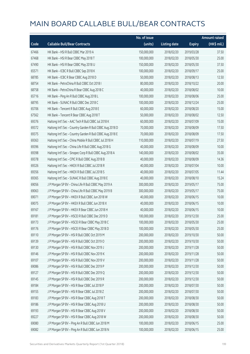|       |                                                           | No. of issue |                     |               | <b>Amount raised</b> |
|-------|-----------------------------------------------------------|--------------|---------------------|---------------|----------------------|
| Code  | <b>Callable Bull/Bear Contracts</b>                       | (units)      | <b>Listing date</b> | <b>Expiry</b> | (HK\$ mil.)          |
| 67466 | HK Bank - HSI R Bull CBBC Mar 2019 A                      | 150,000,000  | 2018/02/20          | 2019/03/28    | 37.50                |
| 67468 | HK Bank - HSI R Bear CBBC May 2018 T                      | 100,000,000  | 2018/02/20          | 2018/05/30    | 25.00                |
| 67490 | HK Bank - HSI R Bear CBBC May 2018 U                      | 150,000,000  | 2018/02/20          | 2018/05/30    | 37.50                |
| 65571 | HK Bank - ICBC R Bull CBBC Sep 2018 K                     | 100,000,000  | 2018/02/20          | 2018/09/17    | 25.00                |
| 68785 | HK Bank - ICBC R Bear CBBC Aug 2018 D                     | 50,000,000   | 2018/02/20          | 2018/08/13    | 12.50                |
| 68754 | HK Bank - PetroChina R Bull CBBC Oct 2018 I               | 80,000,000   | 2018/02/20          | 2018/10/22    | 20.00                |
| 68758 | HK Bank - PetroChina R Bear CBBC Aug 2018 C               | 40,000,000   | 2018/02/20          | 2018/08/02    | 10.00                |
| 65716 | HK Bank - Ping An R Bull CBBC Aug 2018 L                  | 100,000,000  | 2018/02/20          | 2018/08/06    | 25.00                |
| 68795 | HK Bank - SUNAC R Bull CBBC Dec 2018 C                    | 100,000,000  | 2018/02/20          | 2018/12/24    | 25.00                |
| 65706 | HK Bank - Tencent R Bull CBBC Aug 2018 E                  | 60,000,000   | 2018/02/20          | 2018/08/20    | 15.00                |
| 67562 | HK Bank - Tencent R Bear CBBC Aug 2018 T                  | 50,000,000   | 2018/02/20          | 2018/08/02    | 12.50                |
| 69376 | Haitong Int'l Sec - AAC Tech R Bull CBBC Jul 2018 K       | 60,000,000   | 2018/02/20          | 2018/07/09    | 15.00                |
| 69372 | Haitong Int'l Sec - Country Garden R Bull CBBC Aug 2018 D | 70,000,000   | 2018/02/20          | 2018/08/09    | 17.50                |
| 69375 | Haitong Int'l Sec - Country Garden R Bull CBBC Aug 2018 E | 70,000,000   | 2018/02/20          | 2018/08/09    | 17.50                |
| 69363 | Haitong Int'l Sec - China Mobile R Bull CBBC Jul 2018 H   | 110,000,000  | 2018/02/20          | 2018/07/19    | 27.50                |
| 69396 | Haitong Int'l Sec - China Life R Bull CBBC Aug 2018 G     | 40,000,000   | 2018/02/20          | 2018/08/09    | 10.00                |
| 69398 | Haitong Int'l Sec - Sinopec Corp R Bull CBBC Aug 2018 A   | 140,000,000  | 2018/02/20          | 2018/08/02    | 35.00                |
| 69378 | Haitong Int'l Sec - CPIC R Bull CBBC Aug 2018 B           | 40,000,000   | 2018/02/20          | 2018/08/09    | 14.36                |
| 69326 | Haitong Int'l Sec - HKEX R Bull CBBC Jul 2018 R           | 40,000,000   | 2018/02/20          | 2018/07/04    | 10.00                |
| 69356 | Haitong Int'l Sec - HKEX R Bull CBBC Jul 2018 S           | 40,000,000   | 2018/02/20          | 2018/07/05    | 11.44                |
| 69365 | Haitong Int'l Sec - SUNAC R Bull CBBC Aug 2018 E          | 40,000,000   | 2018/02/20          | 2018/08/10    | 15.24                |
| 69056 | J P Morgan SP BV - China Life R Bull CBBC May 2019 A      | 300,000,000  | 2018/02/20          | 2019/05/17    | 75.00                |
| 69063 | J P Morgan SP BV - China Life R Bull CBBC May 2019 B      | 300,000,000  | 2018/02/20          | 2019/05/17    | 75.00                |
| 69071 | J P Morgan SP BV - HKEX R Bull CBBC Jun 2018 W            | 40,000,000   | 2018/02/20          | 2018/06/15    | 10.00                |
| 69075 | J P Morgan SP BV - HKEX R Bull CBBC Jun 2018 X            | 40,000,000   | 2018/02/20          | 2018/06/15    | 10.00                |
| 69167 | J P Morgan SP BV - HKEX R Bear CBBC Jun 2018 H            | 40,000,000   | 2018/02/20          | 2018/06/15    | 10.00                |
| 69181 | J P Morgan SP BV - HSCEI R Bull CBBC Dec 2019 D           | 100,000,000  | 2018/02/20          | 2019/12/30    | 25.00                |
| 69173 | J P Morgan SP BV - HSCEI R Bear CBBC May 2018 C           | 100,000,000  | 2018/02/20          | 2018/05/30    | 25.00                |
| 69176 | J P Morgan SP BV - HSCEI R Bear CBBC May 2018 D           | 100,000,000  | 2018/02/20          | 2018/05/30    | 25.00                |
| 69110 | J P Morgan SP BV - HSI R Bull CBBC Oct 2019 M             | 200,000,000  | 2018/02/20          | 2019/10/30    | 50.00                |
| 69139 | J P Morgan SP BV - HSI R Bull CBBC Oct 2019 O             | 200,000,000  | 2018/02/20          | 2019/10/30    | 50.00                |
| 69130 | J P Morgan SP BV - HSI R Bull CBBC Nov 2019 J             | 200,000,000  | 2018/02/20          | 2019/11/28    | 50.00                |
| 69146 | J P Morgan SP BV - HSI R Bull CBBC Nov 2019 K             | 200,000,000  | 2018/02/20          | 2019/11/28    | 50.00                |
| 69107 | J P Morgan SP BV - HSI R Bull CBBC Nov 2019 V             | 200,000,000  | 2018/02/20          | 2019/11/28    | 50.00                |
| 69086 | J P Morgan SP BV - HSI R Bull CBBC Dec 2019 P             | 200,000,000  | 2018/02/20          | 2019/12/30    | 50.00                |
| 69127 | J P Morgan SP BV - HSI R Bull CBBC Dec 2019 Q             | 200,000,000  | 2018/02/20          | 2019/12/30    | 50.00                |
| 69145 | J P Morgan SP BV - HSI R Bull CBBC Dec 2019 R             | 200,000,000  | 2018/02/20          | 2019/12/30    | 50.00                |
| 69184 | J P Morgan SP BV - HSI R Bear CBBC Jul 2018 P             | 200,000,000  | 2018/02/20          | 2018/07/30    | 50.00                |
| 69155 | J P Morgan SP BV - HSI R Bear CBBC Jul 2018 Z             | 200,000,000  | 2018/02/20          | 2018/07/30    | 50.00                |
| 69183 | J P Morgan SP BV - HSI R Bear CBBC Aug 2018 T             | 200,000,000  | 2018/02/20          | 2018/08/30    | 50.00                |
| 69186 | J P Morgan SP BV - HSI R Bear CBBC Aug 2018 U             | 200,000,000  | 2018/02/20          | 2018/08/30    | 50.00                |
| 69193 | J P Morgan SP BV - HSI R Bear CBBC Aug 2018 V             | 200,000,000  | 2018/02/20          | 2018/08/30    | 50.00                |
| 69227 | J P Morgan SP BV - HSI R Bear CBBC Aug 2018 W             | 200,000,000  | 2018/02/20          | 2018/08/30    | 50.00                |
| 69080 | J P Morgan SP BV - Ping An R Bull CBBC Jun 2018 M         | 100,000,000  | 2018/02/20          | 2018/06/15    | 25.00                |
| 69082 | J P Morgan SP BV - Ping An R Bull CBBC Jun 2018 N         | 100,000,000  | 2018/02/20          | 2018/06/15    | 25.00                |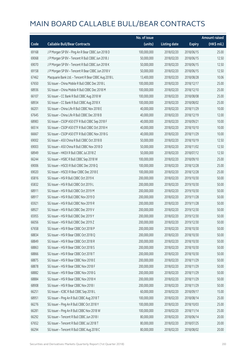|       |                                                      | No. of issue |                     |               | <b>Amount raised</b> |
|-------|------------------------------------------------------|--------------|---------------------|---------------|----------------------|
| Code  | <b>Callable Bull/Bear Contracts</b>                  | (units)      | <b>Listing date</b> | <b>Expiry</b> | (HK\$ mil.)          |
| 69168 | J P Morgan SP BV - Ping An R Bear CBBC Jun 2018 D    | 100,000,000  | 2018/02/20          | 2018/06/15    | 25.00                |
| 69068 | J P Morgan SP BV - Tencent R Bull CBBC Jun 2018 J    | 50,000,000   | 2018/02/20          | 2018/06/15    | 12.50                |
| 69070 | J P Morgan SP BV - Tencent R Bull CBBC Jun 2018 K    | 50,000,000   | 2018/02/20          | 2018/06/15    | 12.50                |
| 69158 | J P Morgan SP BV - Tencent R Bear CBBC Jun 2018 V    | 50,000,000   | 2018/02/20          | 2018/06/15    | 12.50                |
| 67462 | Macquarie Bank Ltd. - Tencent R Bear CBBC Aug 2018 L | 13,400,000   | 2018/02/20          | 2018/08/28    | 10.06                |
| 67650 | SG Issuer - China Mobile R Bull CBBC Dec 2018 L      | 100,000,000  | 2018/02/20          | 2018/12/17    | 25.00                |
| 68936 | SG Issuer - China Mobile R Bull CBBC Dec 2018 M      | 100,000,000  | 2018/02/20          | 2018/12/10    | 25.00                |
| 66107 | SG Issuer - CC Bank R Bull CBBC Aug 2018 W           | 100,000,000  | 2018/02/20          | 2018/08/08    | 25.00                |
| 68934 | SG Issuer - CC Bank R Bull CBBC Aug 2018 X           | 100,000,000  | 2018/02/20          | 2018/08/02    | 25.00                |
| 66201 | SG Issuer - China Life R Bull CBBC Nov 2018 E        | 40,000,000   | 2018/02/20          | 2018/11/29    | 10.00                |
| 67645 | SG Issuer - China Life R Bull CBBC Dec 2018 B        | 40,000,000   | 2018/02/20          | 2018/12/19    | 12.00                |
| 68983 | SG Issuer - CSOP A50 ETF R Bull CBBC Sep 2018 F      | 40,000,000   | 2018/02/20          | 2018/09/21    | 10.00                |
| 66514 | SG Issuer - CSOP A50 ETF R Bull CBBC Oct 2018 H      | 40,000,000   | 2018/02/20          | 2018/10/10    | 10.00                |
| 66667 | SG Issuer - CSOP A50 ETF R Bull CBBC Nov 2018 G      | 40,000,000   | 2018/02/20          | 2018/11/29    | 10.00                |
| 69002 | SG Issuer - A50 China R Bull CBBC Oct 2018 B         | 50,000,000   | 2018/02/20          | 2018/10/19    | 12.50                |
| 69003 | SG Issuer - A50 China R Bull CBBC Nov 2018 D         | 50,000,000   | 2018/02/20          | 2018/11/02    | 12.50                |
| 68949 | SG Issuer - HKEX R Bull CBBC Jul 2018 Z              | 50,000,000   | 2018/02/20          | 2018/07/12    | 12.50                |
| 66244 | SG Issuer - HSBC R Bull CBBC Sep 2018 W              | 100,000,000  | 2018/02/20          | 2018/09/10    | 25.00                |
| 69006 | SG Issuer - HSCEI R Bull CBBC Dec 2018 Q             | 100,000,000  | 2018/02/20          | 2018/12/28    | 25.00                |
| 69020 | SG Issuer - HSCEI R Bear CBBC Dec 2018 E             | 100,000,000  | 2018/02/20          | 2018/12/28    | 25.00                |
| 65816 | SG Issuer - HSI R Bull CBBC Oct 2019 K               | 200,000,000  | 2018/02/20          | 2019/10/30    | 50.00                |
| 65832 | SG Issuer - HSI R Bull CBBC Oct 2019 L               | 200,000,000  | 2018/02/20          | 2019/10/30    | 50.00                |
| 68911 | SG Issuer - HSI R Bull CBBC Oct 2019 M               | 200,000,000  | 2018/02/20          | 2019/10/30    | 50.00                |
| 68917 | SG Issuer - HSI R Bull CBBC Nov 2019 D               | 200,000,000  | 2018/02/20          | 2019/11/28    | 50.00                |
| 65921 | SG Issuer - HSI R Bull CBBC Nov 2019 R               | 200,000,000  | 2018/02/20          | 2019/11/28    | 50.00                |
| 68927 | SG Issuer - HSI R Bull CBBC Dec 2019 V               | 200,000,000  | 2018/02/20          | 2019/12/30    | 50.00                |
| 65955 | SG Issuer - HSI R Bull CBBC Dec 2019 Y               | 200,000,000  | 2018/02/20          | 2019/12/30    | 50.00                |
| 66056 | SG Issuer - HSI R Bull CBBC Dec 2019 Z               | 200,000,000  | 2018/02/20          | 2019/12/30    | 50.00                |
| 67658 | SG Issuer - HSI R Bear CBBC Oct 2018 P               | 200,000,000  | 2018/02/20          | 2018/10/30    | 50.00                |
| 68834 | SG Issuer - HSI R Bear CBBC Oct 2018 Q               | 200,000,000  | 2018/02/20          | 2018/10/30    | 50.00                |
| 68849 | SG Issuer - HSI R Bear CBBC Oct 2018 R               | 200,000,000  | 2018/02/20          | 2018/10/30    | 50.00                |
| 68863 | SG Issuer - HSI R Bear CBBC Oct 2018 S               | 200,000,000  | 2018/02/20          | 2018/10/30    | 50.00                |
| 68866 | SG Issuer - HSI R Bear CBBC Oct 2018 T               | 200,000,000  | 2018/02/20          | 2018/10/30    | 50.00                |
| 68875 | SG Issuer - HSI R Bear CBBC Nov 2018 E               | 200,000,000  | 2018/02/20          | 2018/11/29    | 50.00                |
| 68878 | SG Issuer - HSI R Bear CBBC Nov 2018 F               | 200,000,000  | 2018/02/20          | 2018/11/29    | 50.00                |
| 68882 | SG Issuer - HSI R Bear CBBC Nov 2018 G               | 200,000,000  | 2018/02/20          | 2018/11/29    | 50.00                |
| 68884 | SG Issuer - HSI R Bear CBBC Nov 2018 H               | 200,000,000  | 2018/02/20          | 2018/11/29    | 50.00                |
| 68908 | SG Issuer - HSI R Bear CBBC Nov 2018 I               | 200,000,000  | 2018/02/20          | 2018/11/29    | 50.00                |
| 66251 | SG Issuer - ICBC R Bull CBBC Sep 2018 L              | 60,000,000   | 2018/02/20          | 2018/09/17    | 15.00                |
| 68951 | SG Issuer - Ping An R Bull CBBC Aug 2018 T           | 100,000,000  | 2018/02/20          | 2018/08/14    | 25.00                |
| 66276 | SG Issuer - Ping An R Bull CBBC Oct 2018 Y           | 100,000,000  | 2018/02/20          | 2018/10/03    | 25.00                |
| 66281 | SG Issuer - Ping An R Bull CBBC Nov 2018 W           | 100,000,000  | 2018/02/20          | 2018/11/14    | 25.00                |
| 66292 | SG Issuer - Tencent R Bull CBBC Jun 2018 I           | 80,000,000   | 2018/02/20          | 2018/06/14    | 20.00                |
| 67652 | SG Issuer - Tencent R Bull CBBC Jul 2018 T           | 80,000,000   | 2018/02/20          | 2018/07/25    | 20.00                |
| 66294 | SG Issuer - Tencent R Bull CBBC Aug 2018 C           | 80,000,000   | 2018/02/20          | 2018/08/02    | 20.00                |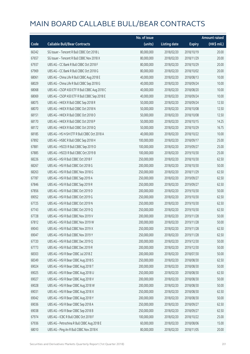|       |                                              | No. of issue |                     |               | <b>Amount raised</b> |
|-------|----------------------------------------------|--------------|---------------------|---------------|----------------------|
| Code  | <b>Callable Bull/Bear Contracts</b>          | (units)      | <b>Listing date</b> | <b>Expiry</b> | (HK\$ mil.)          |
| 66342 | SG Issuer - Tencent R Bull CBBC Oct 2018 L   | 80,000,000   | 2018/02/20          | 2018/10/19    | 20.00                |
| 67657 | SG Issuer - Tencent R Bull CBBC Nov 2018 X   | 80,000,000   | 2018/02/20          | 2018/11/29    | 20.00                |
| 67937 | UBS AG - CC Bank R Bull CBBC Oct 2018 F      | 80,000,000   | 2018/02/20          | 2018/10/29    | 20.00                |
| 67969 | UBS AG - CC Bank R Bull CBBC Oct 2018 G      | 80,000,000   | 2018/02/20          | 2018/10/02    | 20.00                |
| 68061 | UBS AG - China Life R Bull CBBC Aug 2018 E   | 40,000,000   | 2018/02/20          | 2018/08/13    | 10.00                |
| 68029 | UBS AG - China Life R Bull CBBC Sep 2018 G   | 40,000,000   | 2018/02/20          | 2018/09/24    | 10.00                |
| 68068 | UBS AG - CSOP A50 ETF R Bull CBBC Aug 2018 C | 40,000,000   | 2018/02/20          | 2018/08/20    | 10.00                |
| 68069 | UBS AG - CSOP A50 ETF R Bull CBBC Sep 2018 E | 40,000,000   | 2018/02/20          | 2018/09/24    | 10.00                |
| 68075 | UBS AG - HKEX R Bull CBBC Sep 2018 R         | 50,000,000   | 2018/02/20          | 2018/09/24    | 12.50                |
| 68070 | UBS AG - HKEX R Bull CBBC Oct 2018 N         | 50,000,000   | 2018/02/20          | 2018/10/08    | 12.50                |
| 68151 | UBS AG - HKEX R Bull CBBC Oct 2018 O         | 50,000,000   | 2018/02/20          | 2018/10/08    | 12.50                |
| 68170 | UBS AG - HKEX R Bull CBBC Oct 2018 P         | 50,000,000   | 2018/02/20          | 2018/10/15    | 14.25                |
| 68172 | UBS AG - HKEX R Bull CBBC Oct 2018 Q         | 50,000,000   | 2018/02/20          | 2018/10/29    | 16.75                |
| 68185 | UBS AG - HS H-SH ETF R Bull CBBC Oct 2018 A  | 40,000,000   | 2018/02/20          | 2018/10/22    | 10.00                |
| 67892 | UBS AG - HSBC R Bull CBBC Sep 2018 H         | 100,000,000  | 2018/02/20          | 2018/09/17    | 25.00                |
| 67881 | UBS AG - HSCEI R Bull CBBC Sep 2019 D        | 100,000,000  | 2018/02/20          | 2019/09/27    | 25.00                |
| 67885 | UBS AG - HSCEI R Bull CBBC Oct 2019 B        | 100,000,000  | 2018/02/20          | 2019/10/30    | 25.00                |
| 68226 | UBS AG - HSI R Bull CBBC Oct 2018 F          | 250,000,000  | 2018/02/20          | 2018/10/30    | 62.50                |
| 68267 | UBS AG - HSI R Bull CBBC Oct 2018 G          | 200,000,000  | 2018/02/20          | 2018/10/30    | 50.00                |
| 68263 | UBS AG - HSI R Bull CBBC Nov 2018 G          | 250,000,000  | 2018/02/20          | 2018/11/29    | 62.50                |
| 67787 | UBS AG - HSI R Bull CBBC Sep 2019 A          | 250,000,000  | 2018/02/20          | 2019/09/27    | 62.50                |
| 67846 | UBS AG - HSI R Bull CBBC Sep 2019 R          | 250,000,000  | 2018/02/20          | 2019/09/27    | 62.50                |
| 67856 | UBS AG - HSI R Bull CBBC Oct 2019 D          | 200,000,000  | 2018/02/20          | 2019/10/30    | 50.00                |
| 69052 | UBS AG - HSI R Bull CBBC Oct 2019 G          | 250,000,000  | 2018/02/20          | 2019/10/30    | 62.50                |
| 67725 | UBS AG - HSI R Bull CBBC Oct 2019 N          | 250,000,000  | 2018/02/20          | 2019/10/30    | 62.50                |
| 67743 | UBS AG - HSI R Bull CBBC Oct 2019 Q          | 250,000,000  | 2018/02/20          | 2019/10/30    | 62.50                |
| 67728 | UBS AG - HSI R Bull CBBC Nov 2019 V          | 200,000,000  | 2018/02/20          | 2019/11/28    | 50.00                |
| 67812 | UBS AG - HSI R Bull CBBC Nov 2019 W          | 200,000,000  | 2018/02/20          | 2019/11/28    | 50.00                |
| 69043 | UBS AG - HSI R Bull CBBC Nov 2019 X          | 250,000,000  | 2018/02/20          | 2019/11/28    | 62.50                |
| 69047 | UBS AG - HSI R Bull CBBC Nov 2019 Y          | 250,000,000  | 2018/02/20          | 2019/11/28    | 62.50                |
| 67720 | UBS AG - HSI R Bull CBBC Dec 2019 Q          | 200,000,000  | 2018/02/20          | 2019/12/30    | 50.00                |
| 67773 | UBS AG - HSI R Bull CBBC Dec 2019 R          | 200,000,000  | 2018/02/20          | 2019/12/30    | 50.00                |
| 68303 | UBS AG - HSI R Bear CBBC Jul 2018 Z          | 200,000,000  | 2018/02/20          | 2018/07/30    | 50.00                |
| 68349 | UBS AG - HSI R Bear CBBC Aug 2018 S          | 250,000,000  | 2018/02/20          | 2018/08/30    | 62.50                |
| 69024 | UBS AG - HSI R Bear CBBC Aug 2018 T          | 200,000,000  | 2018/02/20          | 2018/08/30    | 50.00                |
| 69025 | UBS AG - HSI R Bear CBBC Aug 2018 U          | 250,000,000  | 2018/02/20          | 2018/08/30    | 62.50                |
| 69027 | UBS AG - HSI R Bear CBBC Aug 2018 V          | 200,000,000  | 2018/02/20          | 2018/08/30    | 50.00                |
| 69028 | UBS AG - HSI R Bear CBBC Aug 2018 W          | 200,000,000  | 2018/02/20          | 2018/08/30    | 50.00                |
| 69031 | UBS AG - HSI R Bear CBBC Aug 2018 X          | 250,000,000  | 2018/02/20          | 2018/08/30    | 62.50                |
| 69042 | UBS AG - HSI R Bear CBBC Aug 2018 Y          | 200,000,000  | 2018/02/20          | 2018/08/30    | 50.00                |
| 69036 | UBS AG - HSI R Bear CBBC Sep 2018 A          | 250,000,000  | 2018/02/20          | 2018/09/27    | 62.50                |
| 69038 | UBS AG - HSI R Bear CBBC Sep 2018 B          | 250,000,000  | 2018/02/20          | 2018/09/27    | 62.50                |
| 67974 | UBS AG - ICBC R Bull CBBC Oct 2018 F         | 100,000,000  | 2018/02/20          | 2018/10/22    | 25.00                |
| 67936 | UBS AG - Petrochina R Bull CBBC Aug 2018 E   | 60,000,000   | 2018/02/20          | 2018/08/06    | 15.00                |
| 68010 | UBS AG - Ping An R Bull CBBC Nov 2018 K      | 80,000,000   | 2018/02/20          | 2018/11/05    | 20.00                |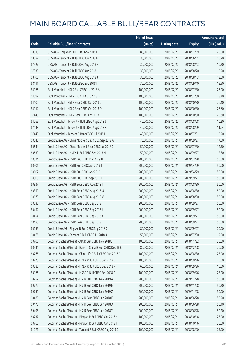|       |                                                              | No. of issue |                     |               | <b>Amount raised</b> |
|-------|--------------------------------------------------------------|--------------|---------------------|---------------|----------------------|
| Code  | <b>Callable Bull/Bear Contracts</b>                          | (units)      | <b>Listing date</b> | <b>Expiry</b> | (HK\$ mil.)          |
| 68013 | UBS AG - Ping An R Bull CBBC Nov 2018 L                      | 80,000,000   | 2018/02/20          | 2018/11/19    | 20.00                |
| 68082 | UBS AG - Tencent R Bull CBBC Jun 2018 N                      | 30,000,000   | 2018/02/20          | 2018/06/11    | 10.20                |
| 67927 | UBS AG - Tencent R Bull CBBC Aug 2018 H                      | 30,000,000   | 2018/02/20          | 2018/08/13    | 10.20                |
| 67930 | UBS AG - Tencent R Bull CBBC Aug 2018 I                      | 30,000,000   | 2018/02/20          | 2018/08/20    | 10.20                |
| 68106 | UBS AG - Tencent R Bull CBBC Aug 2018 J                      | 30,000,000   | 2018/02/20          | 2018/08/13    | 13.50                |
| 68111 | UBS AG - Tencent R Bull CBBC Sep 2018 I                      | 30,000,000   | 2018/02/20          | 2018/09/10    | 15.90                |
| 64066 | Bank Vontobel - HSI R Bull CBBC Jul 2018 A                   | 100,000,000  | 2018/02/20          | 2018/07/30    | 27.00                |
| 64097 | Bank Vontobel - HSI R Bull CBBC Jul 2018 B                   | 100,000,000  | 2018/02/20          | 2018/07/30    | 28.70                |
| 64106 | Bank Vontobel - HSI R Bear CBBC Oct 2018 C                   | 100,000,000  | 2018/02/20          | 2018/10/30    | 26.40                |
| 64112 | Bank Vontobel - HSI R Bear CBBC Oct 2018 D                   | 100,000,000  | 2018/02/20          | 2018/10/30    | 27.60                |
| 67449 | Bank Vontobel - HSI R Bear CBBC Oct 2018 E                   | 100,000,000  | 2018/02/20          | 2018/10/30    | 25.60                |
| 64065 | Bank Vontobel - Tencent R Bull CBBC Aug 2018 J               | 40,000,000   | 2018/02/20          | 2018/08/28    | 10.20                |
| 67448 | Bank Vontobel - Tencent R Bull CBBC Aug 2018 K               | 40,000,000   | 2018/02/20          | 2018/08/29    | 11.64                |
| 67440 | Bank Vontobel - Tencent R Bear CBBC Jul 2018 I               | 40,000,000   | 2018/02/20          | 2018/07/31    | 19.20                |
| 60643 | Credit Suisse AG - China Mobile R Bull CBBC Sep 2018 A       | 70,000,000   | 2018/02/21          | 2018/09/27    | 17.50                |
| 60644 | Credit Suisse AG - China Mobile R Bear CBBC Jul 2018 C       | 50,000,000   | 2018/02/21          | 2018/07/30    | 12.50                |
| 60630 | Credit Suisse AG - HKEX R Bull CBBC Sep 2018 N               | 50,000,000   | 2018/02/21          | 2018/09/27    | 12.50                |
| 60524 | Credit Suisse AG - HSI R Bull CBBC Mar 2019 H                | 200,000,000  | 2018/02/21          | 2019/03/28    | 50.00                |
| 60501 | Credit Suisse AG - HSI R Bull CBBC Apr 2019 T                | 200,000,000  | 2018/02/21          | 2019/04/29    | 50.00                |
| 60602 | Credit Suisse AG - HSI R Bull CBBC Apr 2019 U                | 200,000,000  | 2018/02/21          | 2019/04/29    | 50.00                |
| 60500 | Credit Suisse AG - HSI R Bull CBBC Sep 2019 T                | 200,000,000  | 2018/02/21          | 2019/09/27    | 50.00                |
| 60337 | Credit Suisse AG - HSI R Bear CBBC Aug 2018 T                | 200,000,000  | 2018/02/21          | 2018/08/30    | 50.00                |
| 60350 | Credit Suisse AG - HSI R Bear CBBC Aug 2018 U                | 200,000,000  | 2018/02/21          | 2018/08/30    | 50.00                |
| 60670 | Credit Suisse AG - HSI R Bear CBBC Aug 2018 V                | 200,000,000  | 2018/02/21          | 2018/08/30    | 50.00                |
| 60338 | Credit Suisse AG - HSI R Bear CBBC Sep 2018 I                | 200,000,000  | 2018/02/21          | 2018/09/27    | 50.00                |
| 60452 | Credit Suisse AG - HSI R Bear CBBC Sep 2018 J                | 200,000,000  | 2018/02/21          | 2018/09/27    | 50.00                |
| 60454 | Credit Suisse AG - HSI R Bear CBBC Sep 2018 K                | 200,000,000  | 2018/02/21          | 2018/09/27    | 50.00                |
| 60485 | Credit Suisse AG - HSI R Bear CBBC Sep 2018 L                | 200,000,000  | 2018/02/21          | 2018/09/27    | 50.00                |
| 60655 | Credit Suisse AG - Ping An R Bull CBBC Sep 2018 G            | 80,000,000   | 2018/02/21          | 2018/09/27    | 20.00                |
| 60466 | Credit Suisse AG - Tencent R Bull CBBC Jul 2018 A            | 50,000,000   | 2018/02/21          | 2018/07/30    | 12.50                |
| 60708 | Goldman Sachs SP (Asia) - AIA R Bull CBBC Nov 2018 J         | 100,000,000  | 2018/02/21          | 2018/11/22    | 25.00                |
| 60944 | Goldman Sachs SP (Asia) - Bank of China R Bull CBBC Dec 18 E | 80,000,000   | 2018/02/21          | 2018/12/28    | 20.00                |
| 60765 | Goldman Sachs SP (Asia) - China Life R Bull CBBC Aug 2018 D  | 100,000,000  | 2018/02/21          | 2018/08/30    | 25.00                |
| 69773 | Goldman Sachs SP (Asia) - HKEX R Bull CBBC Sep 2018 Q        | 100,000,000  | 2018/02/21          | 2018/09/26    | 25.00                |
| 60880 | Goldman Sachs SP (Asia) - HKEX R Bull CBBC Sep 2018 R        | 60,000,000   | 2018/02/21          | 2018/09/26    | 15.00                |
| 60966 | Goldman Sachs SP (Asia) - HSBC R Bull CBBC Sep 2018 A        | 100,000,000  | 2018/02/21          | 2018/09/26    | 25.00                |
| 69757 | Goldman Sachs SP (Asia) - HSI R Bull CBBC Nov 2019 A         | 200,000,000  | 2018/02/21          | 2019/11/28    | 50.00                |
| 69772 | Goldman Sachs SP (Asia) - HSI R Bull CBBC Nov 2019 E         | 200,000,000  | 2018/02/21          | 2019/11/28    | 50.20                |
| 69756 | Goldman Sachs SP (Asia) - HSI R Bull CBBC Nov 2019 Z         | 200,000,000  | 2018/02/21          | 2019/11/28    | 50.00                |
| 69485 | Goldman Sachs SP (Asia) - HSI R Bear CBBC Jun 2018 E         | 200,000,000  | 2018/02/21          | 2018/06/28    | 50.20                |
| 69478 | Goldman Sachs SP (Asia) - HSI R Bear CBBC Jun 2018 X         | 200,000,000  | 2018/02/21          | 2018/06/28    | 50.40                |
| 69495 | Goldman Sachs SP (Asia) - HSI R Bear CBBC Jun 2018 Y         | 200,000,000  | 2018/02/21          | 2018/06/28    | 50.20                |
| 60737 | Goldman Sachs SP (Asia) - Ping An R Bull CBBC Oct 2018 H     | 100,000,000  | 2018/02/21          | 2018/10/16    | 25.00                |
| 60763 | Goldman Sachs SP (Asia) - Ping An R Bull CBBC Oct 2018 Y     | 100,000,000  | 2018/02/21          | 2018/10/16    | 25.00                |
| 61071 | Goldman Sachs SP (Asia) - Tencent R Bull CBBC Aug 2018 G     | 100,000,000  | 2018/02/21          | 2018/08/20    | 25.00                |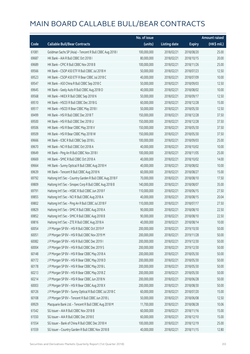|       |                                                           | No. of issue |                     |               | <b>Amount raised</b> |
|-------|-----------------------------------------------------------|--------------|---------------------|---------------|----------------------|
| Code  | <b>Callable Bull/Bear Contracts</b>                       | (units)      | <b>Listing date</b> | <b>Expiry</b> | (HK\$ mil.)          |
| 61081 | Goldman Sachs SP (Asia) - Tencent R Bull CBBC Aug 2018 I  | 100,000,000  | 2018/02/21          | 2018/08/20    | 25.00                |
| 69687 | HK Bank - AIA R Bull CBBC Oct 2018 I                      | 80,000,000   | 2018/02/21          | 2018/10/15    | 20.00                |
| 69689 | HK Bank - CPIC R Bull CBBC Nov 2018 B                     | 100,000,000  | 2018/02/21          | 2018/11/26    | 25.00                |
| 69566 | HK Bank - CSOP A50 ETF R Bull CBBC Jul 2018 H             | 50,000,000   | 2018/02/21          | 2018/07/23    | 12.50                |
| 69523 | HK Bank - CSOP A50 ETF R Bear CBBC Jul 2018 C             | 40,000,000   | 2018/02/21          | 2018/07/09    | 10.00                |
| 69547 | HK Bank - A50 China R Bull CBBC Sep 2018 C                | 50,000,000   | 2018/02/21          | 2018/09/03    | 12.50                |
| 69645 | HK Bank - Geely Auto R Bull CBBC Aug 2018 O               | 40,000,000   | 2018/02/21          | 2018/08/02    | 10.00                |
| 69568 | HK Bank - HKEX R Bull CBBC Sep 2018 N                     | 50,000,000   | 2018/02/21          | 2018/09/17    | 12.50                |
| 69510 | HK Bank - HSCEI R Bull CBBC Dec 2018 G                    | 60,000,000   | 2018/02/21          | 2018/12/28    | 15.00                |
| 69517 | HK Bank - HSCEI R Bear CBBC May 2018 I                    | 50,000,000   | 2018/02/21          | 2018/05/30    | 12.50                |
| 69499 | HK Bank - HSI R Bull CBBC Dec 2018 T                      | 150,000,000  | 2018/02/21          | 2018/12/28    | 37.50                |
| 69500 | HK Bank - HSI R Bull CBBC Dec 2018 U                      | 150,000,000  | 2018/02/21          | 2018/12/28    | 37.50                |
| 69506 | HK Bank - HSI R Bear CBBC May 2018 V                      | 150,000,000  | 2018/02/21          | 2018/05/30    | 37.50                |
| 69509 | HK Bank - HSI R Bear CBBC May 2018 W                      | 150,000,000  | 2018/02/21          | 2018/05/30    | 37.50                |
| 69666 | HK Bank - ICBC R Bull CBBC Sep 2018 L                     | 100,000,000  | 2018/02/21          | 2018/09/03    | 25.00                |
| 69670 | HK Bank - NCI R Bull CBBC Oct 2018 A                      | 40,000,000   | 2018/02/21          | 2018/10/02    | 10.00                |
| 69649 | HK Bank - Ping An R Bull CBBC Nov 2018 I                  | 100,000,000  | 2018/02/21          | 2018/11/05    | 25.00                |
| 69669 | HK Bank - SMIC R Bull CBBC Oct 2018 A                     | 40,000,000   | 2018/02/21          | 2018/10/02    | 14.00                |
| 69664 | HK Bank - Sunny Optical R Bull CBBC Aug 2018 H            | 40,000,000   | 2018/02/21          | 2018/08/02    | 10.00                |
| 69639 | HK Bank - Tencent R Bull CBBC Aug 2018 N                  | 60,000,000   | 2018/02/21          | 2018/08/27    | 15.00                |
| 69792 | Haitong Int'l Sec - Country Garden R Bull CBBC Aug 2018 F | 70,000,000   | 2018/02/21          | 2018/08/10    | 17.50                |
| 69809 | Haitong Int'l Sec - Sinopec Corp R Bull CBBC Aug 2018 B   | 140,000,000  | 2018/02/21          | 2018/08/07    | 35.00                |
| 69791 | Haitong Int'l Sec - HSBC R Bull CBBC Jun 2018 F           | 110,000,000  | 2018/02/21          | 2018/06/15    | 27.50                |
| 69855 | Haitong Int'l Sec - NCI R Bull CBBC Aug 2018 A            | 40,000,000   | 2018/02/21          | 2018/08/15    | 20.04                |
| 69802 | Haitong Int'l Sec - Ping An R Bull CBBC Jul 2018 F        | 110,000,000  | 2018/02/21          | 2018/07/17    | 27.50                |
| 69829 | Haitong Int'l Sec - SMIC R Bull CBBC Aug 2018 A           | 90,000,000   | 2018/02/21          | 2018/08/10    | 22.50                |
| 69852 | Haitong Int'l Sec - SMIC R Bull CBBC Aug 2018 B           | 90,000,000   | 2018/02/21          | 2018/08/10    | 22.50                |
| 69816 | Haitong Int'l Sec - ZTE R Bull CBBC Aug 2018 A            | 40,000,000   | 2018/02/21          | 2018/08/14    | 10.00                |
| 60054 | J P Morgan SP BV - HSI R Bull CBBC Oct 2019 P             | 200,000,000  | 2018/02/21          | 2019/10/30    | 50.00                |
| 60051 | J P Morgan SP BV - HSI R Bull CBBC Nov 2019 M             | 200,000,000  | 2018/02/21          | 2019/11/28    | 50.00                |
| 60082 | J P Morgan SP BV - HSI R Bull CBBC Dec 2019 I             | 200,000,000  | 2018/02/21          | 2019/12/30    | 50.00                |
| 60004 | JP Morgan SP BV - HSIR Bull CBBC Dec 2019 S               | 200,000,000  | 2018/02/21          | 2019/12/30    | 50.00                |
| 60148 | J P Morgan SP BV - HSI R Bear CBBC May 2018 A             | 200,000,000  | 2018/02/21          | 2018/05/30    | 50.00                |
| 60172 | J P Morgan SP BV - HSI R Bear CBBC May 2018 D             | 200,000,000  | 2018/02/21          | 2018/05/30    | 50.00                |
| 60178 | J P Morgan SP BV - HSI R Bear CBBC May 2018 L             | 200,000,000  | 2018/02/21          | 2018/05/30    | 50.00                |
| 60213 | J P Morgan SP BV - HSI R Bear CBBC May 2018 Z             | 200,000,000  | 2018/02/21          | 2018/05/30    | 50.00                |
| 60214 | J P Morgan SP BV - HSI R Bear CBBC Jun 2018 N             | 200,000,000  | 2018/02/21          | 2018/06/28    | 50.00                |
| 60003 | J P Morgan SP BV - HSI R Bear CBBC Aug 2018 X             | 200,000,000  | 2018/02/21          | 2018/08/30    | 50.00                |
| 60126 | J P Morgan SP BV - Sunny Optical R Bull CBBC Jul 2018 C   | 60,000,000   | 2018/02/21          | 2018/07/20    | 15.00                |
| 60108 | J P Morgan SP BV - Tencent R Bull CBBC Jun 2018 L         | 50,000,000   | 2018/02/21          | 2018/06/08    | 12.50                |
| 69929 | Macquarie Bank Ltd. - Tencent R Bull CBBC Aug 2018 M      | 11,700,000   | 2018/02/21          | 2018/08/28    | 10.06                |
| 61542 | SG Issuer - AIA R Bull CBBC Nov 2018 B                    | 60,000,000   | 2018/02/21          | 2018/11/16    | 15.00                |
| 61550 | SG Issuer - AIA R Bull CBBC Dec 2018 E                    | 60,000,000   | 2018/02/21          | 2018/12/10    | 15.00                |
| 61554 | SG Issuer - Bank of China R Bull CBBC Dec 2018 H          | 100,000,000  | 2018/02/21          | 2018/12/19    | 25.00                |
| 61559 | SG Issuer - Country Garden R Bull CBBC Nov 2018 B         | 40,000,000   | 2018/02/21          | 2018/11/15    | 12.80                |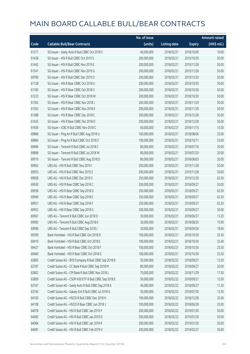|       |                                                        | No. of issue |                     |               | <b>Amount raised</b> |
|-------|--------------------------------------------------------|--------------|---------------------|---------------|----------------------|
| Code  | <b>Callable Bull/Bear Contracts</b>                    | (units)      | <b>Listing date</b> | <b>Expiry</b> | $(HK\$ mil.)         |
| 61571 | SG Issuer - Geely Auto R Bull CBBC Oct 2018 C          | 40,000,000   | 2018/02/21          | 2018/10/09    | 10.00                |
| 61438 | SG Issuer - HSI R Bull CBBC Oct 2019 S                 | 200,000,000  | 2018/02/21          | 2019/10/30    | 50.00                |
| 61442 | SG Issuer - HSI R Bull CBBC Nov 2019 E                 | 200,000,000  | 2018/02/21          | 2019/11/28    | 50.00                |
| 61541 | SG Issuer - HSI R Bull CBBC Nov 2019 G                 | 200,000,000  | 2018/02/21          | 2019/11/28    | 50.00                |
| 69789 | SG Issuer - HSI R Bull CBBC Dec 2019 O                 | 200,000,000  | 2018/02/21          | 2019/12/30    | 50.00                |
| 61128 | SG Issuer - HSI R Bear CBBC Oct 2018 U                 | 200,000,000  | 2018/02/21          | 2018/10/30    | 50.00                |
| 61183 | SG Issuer - HSI R Bear CBBC Oct 2018 V                 | 200,000,000  | 2018/02/21          | 2018/10/30    | 50.00                |
| 61223 | SG Issuer - HSI R Bear CBBC Oct 2018 W                 | 200,000,000  | 2018/02/21          | 2018/10/30    | 50.00                |
| 61362 | SG Issuer - HSI R Bear CBBC Nov 2018 J                 | 200,000,000  | 2018/02/21          | 2018/11/29    | 50.00                |
| 61363 | SG Issuer - HSI R Bear CBBC Nov 2018 K                 | 200,000,000  | 2018/02/21          | 2018/11/29    | 50.00                |
| 61388 | SG Issuer - HSI R Bear CBBC Dec 2018 C                 | 200,000,000  | 2018/02/21          | 2018/12/28    | 50.00                |
| 61425 | SG Issuer - HSI R Bear CBBC Dec 2018 D                 | 200,000,000  | 2018/02/21          | 2018/12/28    | 50.00                |
| 61656 | SG Issuer - ICBC R Bull CBBC Nov 2018 C                | 60,000,000   | 2018/02/21          | 2018/11/15    | 15.00                |
| 69866 | SG Issuer - Ping An R Bull CBBC Aug 2018 U             | 100,000,000  | 2018/02/21          | 2018/08/06    | 25.00                |
| 69884 | SG Issuer - Ping An R Bull CBBC Oct 2018 Z             | 100,000,000  | 2018/02/21          | 2018/10/11    | 25.00                |
| 69896 | SG Issuer - Tencent R Bull CBBC Jul 2018 C             | 80,000,000   | 2018/02/21          | 2018/07/16    | 20.00                |
| 69898 | SG Issuer - Tencent R Bull CBBC Jul 2018 W             | 80,000,000   | 2018/02/21          | 2018/07/20    | 20.00                |
| 69919 | SG Issuer - Tencent R Bull CBBC Aug 2018 D             | 80,000,000   | 2018/02/21          | 2018/08/03    | 20.00                |
| 69962 | UBS AG - HSI R Bull CBBC Nov 2019 I                    | 200,000,000  | 2018/02/21          | 2019/11/28    | 50.00                |
| 69955 | UBS AG - HSI R Bull CBBC Nov 2019 Z                    | 200,000,000  | 2018/02/21          | 2019/11/28    | 50.00                |
| 69958 | UBS AG - HSI R Bull CBBC Dec 2019 S                    | 250,000,000  | 2018/02/21          | 2019/12/30    | 62.50                |
| 69930 | UBS AG - HSI R Bear CBBC Sep 2018 C                    | 200,000,000  | 2018/02/21          | 2018/09/27    | 50.00                |
| 69938 | UBS AG - HSI R Bear CBBC Sep 2018 D                    | 250,000,000  | 2018/02/21          | 2018/09/27    | 62.50                |
| 69949 | UBS AG - HSI R Bear CBBC Sep 2018 E                    | 250,000,000  | 2018/02/21          | 2018/09/27    | 62.50                |
| 69951 | UBS AG - HSI R Bear CBBC Sep 2018 F                    | 250,000,000  | 2018/02/21          | 2018/09/27    | 62.50                |
| 69952 | UBS AG - HSI R Bear CBBC Sep 2018 G                    | 200,000,000  | 2018/02/21          | 2018/09/27    | 50.00                |
| 69967 | UBS AG - Tencent R Bull CBBC Jun 2018 O                | 30,000,000   | 2018/02/21          | 2018/06/27    | 13.20                |
| 69982 | UBS AG - Tencent R Bull CBBC Aug 2018 K                | 30,000,000   | 2018/02/21          | 2018/08/20    | 15.90                |
| 69996 | UBS AG - Tencent R Bull CBBC Sep 2018 J                | 30,000,000   | 2018/02/21          | 2018/09/26    | 18.60                |
| 69399 | Bank Vontobel - HSI R Bull CBBC Oct 2018 D             | 100,000,000  | 2018/02/21          | 2018/10/30    | 25.30                |
| 69410 | Bank Vontobel - HSI R Bull CBBC Oct 2018 E             | 100,000,000  | 2018/02/21          | 2018/10/30    | 25.40                |
| 69427 | Bank Vontobel - HSI R Bear CBBC Oct 2018 F             | 100,000,000  | 2018/02/21          | 2018/10/30    | 25.50                |
| 69460 | Bank Vontobel - HSI R Bear CBBC Oct 2018 G             | 100,000,000  | 2018/02/21          | 2018/10/30    | 25.50                |
| 63805 | Credit Suisse AG - BYD Company R Bull CBBC Sep 2018 B  | 50,000,000   | 2018/02/22          | 2018/09/27    | 12.50                |
| 63787 | Credit Suisse AG - CC Bank R Bull CBBC Sep 2018 M      | 80,000,000   | 2018/02/22          | 2018/09/27    | 20.00                |
| 63802 | Credit Suisse AG - CM Bank R Bull CBBC Nov 2018 L      | 70,000,000   | 2018/02/22          | 2018/11/29    | 17.50                |
| 63809 | Credit Suisse AG - CSOP A50 ETF R Bull CBBC Sep 2018 E | 50,000,000   | 2018/02/22          | 2018/09/27    | 12.50                |
| 63767 | Credit Suisse AG - Geely Auto R Bull CBBC Sep 2018 A   | 40,000,000   | 2018/02/22          | 2018/09/27    | 11.20                |
| 63765 | Credit Suisse AG - Galaxy Ent R Bull CBBC Jul 2018 G   | 50,000,000   | 2018/02/22          | 2018/07/30    | 12.50                |
| 64100 | Credit Suisse AG - HSCEI R Bull CBBC Dec 2018 H        | 100,000,000  | 2018/02/22          | 2018/12/28    | 25.00                |
| 64108 | Credit Suisse AG - HSCEI R Bear CBBC Jun 2018 J        | 100,000,000  | 2018/02/22          | 2018/06/28    | 25.00                |
| 64078 | Credit Suisse AG - HSI R Bull CBBC Jan 2019 P          | 200,000,000  | 2018/02/22          | 2019/01/30    | 50.00                |
| 64082 | Credit Suisse AG - HSI R Bull CBBC Jan 2019 Q          | 200,000,000  | 2018/02/22          | 2019/01/30    | 50.00                |
| 64084 | Credit Suisse AG - HSI R Bull CBBC Jan 2019 R          | 200,000,000  | 2018/02/22          | 2019/01/30    | 50.00                |
| 64081 | Credit Suisse AG - HSI R Bull CBBC Feb 2019 V          | 200,000,000  | 2018/02/22          | 2019/02/27    | 50.00                |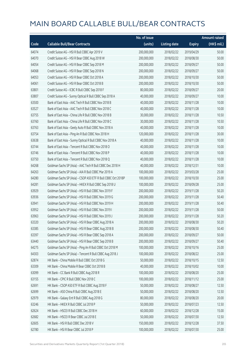|       |                                                              | No. of issue |                     |               | <b>Amount raised</b> |
|-------|--------------------------------------------------------------|--------------|---------------------|---------------|----------------------|
| Code  | <b>Callable Bull/Bear Contracts</b>                          | (units)      | <b>Listing date</b> | <b>Expiry</b> | (HK\$ mil.)          |
| 64074 | Credit Suisse AG - HSI R Bull CBBC Apr 2019 V                | 200,000,000  | 2018/02/22          | 2019/04/29    | 50.00                |
| 64070 | Credit Suisse AG - HSI R Bear CBBC Aug 2018 W                | 200,000,000  | 2018/02/22          | 2018/08/30    | 50.00                |
| 64054 | Credit Suisse AG - HSI R Bear CBBC Sep 2018 M                | 200,000,000  | 2018/02/22          | 2018/09/27    | 50.00                |
| 64068 | Credit Suisse AG - HSI R Bear CBBC Sep 2018 N                | 200,000,000  | 2018/02/22          | 2018/09/27    | 50.00                |
| 64053 | Credit Suisse AG - HSI R Bear CBBC Oct 2018 A                | 200,000,000  | 2018/02/22          | 2018/10/30    | 50.00                |
| 64061 | Credit Suisse AG - HSI R Bear CBBC Oct 2018 B                | 200,000,000  | 2018/02/22          | 2018/10/30    | 50.00                |
| 63801 | Credit Suisse AG - ICBC R Bull CBBC Sep 2018 F               | 80,000,000   | 2018/02/22          | 2018/09/27    | 20.00                |
| 63807 | Credit Suisse AG - Sunny Optical R Bull CBBC Sep 2018 A      | 40,000,000   | 2018/02/22          | 2018/09/27    | 10.00                |
| 63500 | Bank of East Asia - AAC Tech R Bull CBBC Nov 2018 B          | 40,000,000   | 2018/02/22          | 2018/11/28    | 10.00                |
| 63527 | Bank of East Asia - AAC Tech R Bull CBBC Nov 2018 C          | 40,000,000   | 2018/02/22          | 2018/11/28    | 10.00                |
| 63755 | Bank of East Asia - China Life R Bull CBBC Nov 2018 B        | 30,000,000   | 2018/02/22          | 2018/11/28    | 10.50                |
| 63760 | Bank of East Asia - China Life R Bull CBBC Nov 2018 C        | 30,000,000   | 2018/02/22          | 2018/11/28    | 10.50                |
| 63763 | Bank of East Asia - Geely Auto R Bull CBBC Nov 2018 A        | 40,000,000   | 2018/02/22          | 2018/11/28    | 10.00                |
| 63754 | Bank of East Asia - Ping An R Bull CBBC Nov 2018 H           | 120,000,000  | 2018/02/22          | 2018/11/28    | 30.00                |
| 63638 | Bank of East Asia - Sunny Optical R Bull CBBC Nov 2018 A     | 40,000,000   | 2018/02/22          | 2018/11/28    | 10.00                |
| 63744 | Bank of East Asia - Tencent R Bull CBBC Nov 2018 O           | 40,000,000   | 2018/02/22          | 2018/11/28    | 10.00                |
| 63746 | Bank of East Asia - Tencent R Bull CBBC Nov 2018 P           | 40,000,000   | 2018/02/22          | 2018/11/28    | 10.00                |
| 63750 | Bank of East Asia - Tencent R Bull CBBC Nov 2018 Q           | 40,000,000   | 2018/02/22          | 2018/11/28    | 10.00                |
| 64268 | Goldman Sachs SP (Asia) - AAC Tech R Bull CBBC Dec 2018 H    | 40,000,000   | 2018/02/22          | 2018/12/31    | 10.00                |
| 64263 | Goldman Sachs SP (Asia) - AIA R Bull CBBC Mar 2019 A         | 100,000,000  | 2018/02/22          | 2019/03/28    | 25.00                |
| 64280 | Goldman Sachs SP (Asia) - CSOP A50 ETF R Bull CBBC Oct 2018P | 100,000,000  | 2018/02/22          | 2018/10/30    | 25.00                |
| 64281 | Goldman Sachs SP (Asia) - HKEX R Bull CBBC Sep 2018 U        | 100,000,000  | 2018/02/22          | 2018/09/28    | 25.00                |
| 63929 | Goldman Sachs SP (Asia) - HSI R Bull CBBC Nov 2019 F         | 200,000,000  | 2018/02/22          | 2019/11/28    | 50.20                |
| 63936 | Goldman Sachs SP (Asia) - HSI R Bull CBBC Nov 2019 G         | 200,000,000  | 2018/02/22          | 2019/11/28    | 50.40                |
| 63941 | Goldman Sachs SP (Asia) - HSI R Bull CBBC Nov 2019 H         | 200,000,000  | 2018/02/22          | 2019/11/28    | 50.40                |
| 63952 | Goldman Sachs SP (Asia) - HSI R Bull CBBC Nov 2019 I         | 200,000,000  | 2018/02/22          | 2019/11/28    | 50.00                |
| 63963 | Goldman Sachs SP (Asia) - HSI R Bull CBBC Nov 2019 J         | 200,000,000  | 2018/02/22          | 2019/11/28    | 50.20                |
| 63320 | Goldman Sachs SP (Asia) - HSI R Bear CBBC Aug 2018 A         | 200,000,000  | 2018/02/22          | 2018/08/30    | 50.20                |
| 63385 | Goldman Sachs SP (Asia) - HSI R Bear CBBC Aug 2018 B         | 200,000,000  | 2018/02/22          | 2018/08/30    | 50.40                |
| 63397 | Goldman Sachs SP (Asia) - HSI R Bear CBBC Sep 2018 A         | 200,000,000  | 2018/02/22          | 2018/09/27    | 50.00                |
| 63440 | Goldman Sachs SP (Asia) - HSI R Bear CBBC Sep 2018 B         | 200,000,000  | 2018/02/22          | 2018/09/27    | 50.40                |
| 64275 | Goldman Sachs SP (Asia) - Ping An R Bull CBBC Oct 2018 M     | 100,000,000  | 2018/02/22          | 2018/10/16    | 25.00                |
| 64303 | Goldman Sachs SP (Asia) - Tencent R Bull CBBC Aug 2018 J     | 100,000,000  | 2018/02/22          | 2018/08/22    | 25.00                |
| 62874 | HK Bank - China Mobile R Bull CBBC Oct 2018 G                | 50,000,000   | 2018/02/22          | 2018/10/15    | 12.50                |
| 63309 | HK Bank - China Mobile R Bear CBBC Oct 2018 B                | 40,000,000   | 2018/02/22          | 2018/10/02    | 10.00                |
| 63099 | HK Bank - CC Bank R Bull CBBC Aug 2018 R                     | 100,000,000  | 2018/02/22          | 2018/08/20    | 25.00                |
| 63155 | HK Bank - CPIC R Bull CBBC Nov 2018 C                        | 100,000,000  | 2018/02/22          | 2018/11/12    | 25.00                |
| 62691 | HK Bank - CSOP A50 ETF R Bull CBBC Aug 2018 F                | 50,000,000   | 2018/02/22          | 2018/08/27    | 12.50                |
| 62699 | HK Bank - A50 China R Bull CBBC Aug 2018 E                   | 50,000,000   | 2018/02/22          | 2018/08/20    | 12.50                |
| 62979 | HK Bank - Galaxy Ent R Bull CBBC Aug 2018 G                  | 80,000,000   | 2018/02/22          | 2018/08/20    | 20.00                |
| 63246 | HK Bank - HKEX R Bull CBBC Jul 2018 P                        | 50,000,000   | 2018/02/22          | 2018/07/23    | 12.50                |
| 62624 | HK Bank - HSCEI R Bull CBBC Dec 2018 H                       | 60,000,000   | 2018/02/22          | 2018/12/28    | 15.00                |
| 62682 | HK Bank - HSCEI R Bear CBBC Jul 2018 E                       | 50,000,000   | 2018/02/22          | 2018/07/30    | 12.50                |
| 62605 | HK Bank - HSI R Bull CBBC Dec 2018 V                         | 150,000,000  | 2018/02/22          | 2018/12/28    | 37.50                |
| 62780 | HK Bank - HSI R Bear CBBC Jul 2018 P                         | 100,000,000  | 2018/02/22          | 2018/07/30    | 25.00                |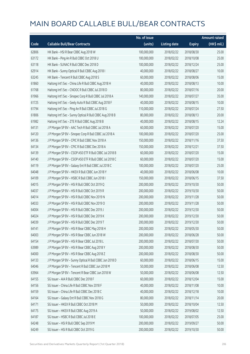|       |                                                          | No. of issue |                     |               | <b>Amount raised</b> |
|-------|----------------------------------------------------------|--------------|---------------------|---------------|----------------------|
| Code  | <b>Callable Bull/Bear Contracts</b>                      | (units)      | <b>Listing date</b> | <b>Expiry</b> | (HK\$ mil.)          |
| 62806 | HK Bank - HSI R Bear CBBC Aug 2018 W                     | 100,000,000  | 2018/02/22          | 2018/08/30    | 25.00                |
| 63172 | HK Bank - Ping An R Bull CBBC Oct 2018 U                 | 100,000,000  | 2018/02/22          | 2018/10/08    | 25.00                |
| 63118 | HK Bank - SUNAC R Bull CBBC Dec 2018 D                   | 100,000,000  | 2018/02/22          | 2018/12/24    | 25.00                |
| 62914 | HK Bank - Sunny Optical R Bull CBBC Aug 2018 I           | 40,000,000   | 2018/02/22          | 2018/08/27    | 10.00                |
| 63245 | HK Bank - Tencent R Bull CBBC Aug 2018 S                 | 60,000,000   | 2018/02/22          | 2018/08/06    | 15.00                |
| 61860 | Haitong Int'l Sec - China Life R Bull CBBC Aug 2018 H    | 40,000,000   | 2018/02/22          | 2018/08/13    | 10.00                |
| 61768 | Haitong Int'l Sec - CNOOC R Bull CBBC Jul 2018 D         | 80,000,000   | 2018/02/22          | 2018/07/16    | 20.00                |
| 61966 | Haitong Int'l Sec - Sinopec Corp R Bull CBBC Jul 2018 A  | 140,000,000  | 2018/02/22          | 2018/07/27    | 35.00                |
| 61725 | Haitong Int'l Sec - Geely Auto R Bull CBBC Aug 2018 F    | 40,000,000   | 2018/02/22          | 2018/08/15    | 10.00                |
| 61794 | Haitong Int'l Sec - Ping An R Bull CBBC Jul 2018 G       | 110,000,000  | 2018/02/22          | 2018/07/24    | 27.50                |
| 61806 | Haitong Int'l Sec - Sunny Optical R Bull CBBC Aug 2018 B | 80,000,000   | 2018/02/22          | 2018/08/13    | 20.00                |
| 61982 | Haitong Int'l Sec - ZTE R Bull CBBC Aug 2018 B           | 40,000,000   | 2018/02/22          | 2018/08/15    | 12.24                |
| 64131 | J P Morgan SP BV - AAC Tech R Bull CBBC Jul 2018 A       | 60,000,000   | 2018/02/22          | 2018/07/20    | 15.00                |
| 64120 | J P Morgan SP BV - Sinopec Corp R Bull CBBC Jul 2018 A   | 100,000,000  | 2018/02/22          | 2018/07/20    | 25.00                |
| 64136 | J P Morgan SP BV - CPIC R Bull CBBC Nov 2018 A           | 150,000,000  | 2018/02/22          | 2018/11/16    | 37.50                |
| 64134 | J P Morgan SP BV - CPIC R Bull CBBC Dec 2018 A           | 150,000,000  | 2018/02/22          | 2018/12/21    | 37.50                |
| 64139 | J P Morgan SP BV - CSOP A50 ETF R Bull CBBC Jul 2018 B   | 60,000,000   | 2018/02/22          | 2018/07/20    | 15.00                |
| 64140 | J P Morgan SP BV - CSOP A50 ETF R Bull CBBC Jul 2018 C   | 60,000,000   | 2018/02/22          | 2018/07/20    | 15.00                |
| 64119 | J P Morgan SP BV - Galaxy Ent R Bull CBBC Jul 2018 C     | 100,000,000  | 2018/02/22          | 2018/07/20    | 25.00                |
| 64048 | J P Morgan SP BV - HKEX R Bull CBBC Jun 2018 Y           | 40,000,000   | 2018/02/22          | 2018/06/08    | 10.00                |
| 64109 | J P Morgan SP BV - HSBC R Bull CBBC Jun 2018 I           | 150,000,000  | 2018/02/22          | 2018/06/15    | 37.50                |
| 64015 | J P Morgan SP BV - HSI R Bull CBBC Oct 2019 Q            | 200,000,000  | 2018/02/22          | 2019/10/30    | 50.00                |
| 64037 | J P Morgan SP BV - HSI R Bull CBBC Oct 2019 R            | 200,000,000  | 2018/02/22          | 2019/10/30    | 50.00                |
| 64014 | J P Morgan SP BV - HSI R Bull CBBC Nov 2019 N            | 200,000,000  | 2018/02/22          | 2019/11/28    | 50.00                |
| 64033 | J P Morgan SP BV - HSI R Bull CBBC Nov 2019 O            | 200,000,000  | 2018/02/22          | 2019/11/28    | 50.00                |
| 64004 | J P Morgan SP BV - HSI R Bull CBBC Dec 2019 J            | 200,000,000  | 2018/02/22          | 2019/12/30    | 50.00                |
| 64024 | J P Morgan SP BV - HSI R Bull CBBC Dec 2019 K            | 200,000,000  | 2018/02/22          | 2019/12/30    | 50.00                |
| 64039 | J P Morgan SP BV - HSI R Bull CBBC Dec 2019 T            | 200,000,000  | 2018/02/22          | 2019/12/30    | 50.00                |
| 64141 | J P Morgan SP BV - HSI R Bear CBBC May 2018 H            | 200,000,000  | 2018/02/22          | 2018/05/30    | 50.00                |
| 64003 | J P Morgan SP BV - HSI R Bear CBBC Jun 2018 W            | 200,000,000  | 2018/02/22          | 2018/06/28    | 50.00                |
| 64154 | J P Morgan SP BV - HSI R Bear CBBC Jul 2018 L            | 200,000,000  | 2018/02/22          | 2018/07/30    | 50.00                |
| 63989 | J P Morgan SP BV - HSI R Bear CBBC Aug 2018 Y            | 200,000,000  | 2018/02/22          | 2018/08/30    | 50.00                |
| 64000 | J P Morgan SP BV - HSI R Bear CBBC Aug 2018 Z            | 200,000,000  | 2018/02/22          | 2018/08/30    | 50.00                |
| 64133 | J P Morgan SP BV - Sunny Optical R Bull CBBC Jun 2018 D  | 60,000,000   | 2018/02/22          | 2018/06/15    | 15.00                |
| 64046 | J P Morgan SP BV - Tencent R Bull CBBC Jun 2018 M        | 50,000,000   | 2018/02/22          | 2018/06/08    | 12.50                |
| 63964 | J P Morgan SP BV - Tencent R Bear CBBC Jun 2018 W        | 50,000,000   | 2018/02/22          | 2018/06/08    | 12.50                |
| 64155 | SG Issuer - AIA R Bull CBBC Dec 2018 F                   | 60,000,000   | 2018/02/22          | 2018/12/04    | 15.00                |
| 64156 | SG Issuer - China Life R Bull CBBC Nov 2018 F            | 40,000,000   | 2018/02/22          | 2018/11/08    | 10.00                |
| 64159 | SG Issuer - China Life R Bull CBBC Dec 2018 C            | 40,000,000   | 2018/02/22          | 2018/12/18    | 10.00                |
| 64164 | SG Issuer - Galaxy Ent R Bull CBBC Nov 2018 G            | 80,000,000   | 2018/02/22          | 2018/11/14    | 20.00                |
| 64171 | SG Issuer - HKEX R Bull CBBC Oct 2018 M                  | 50,000,000   | 2018/02/22          | 2018/10/04    | 12.50                |
| 64175 | SG Issuer - HKEX R Bull CBBC Aug 2019 A                  | 50,000,000   | 2018/02/22          | 2019/08/02    | 12.50                |
| 64187 | SG Issuer - HSBC R Bull CBBC Jul 2018 E                  | 100,000,000  | 2018/02/22          | 2018/07/05    | 25.00                |
| 64248 | SG Issuer - HSI R Bull CBBC Sep 2019 M                   | 200,000,000  | 2018/02/22          | 2019/09/27    | 50.00                |
| 64249 | SG Issuer - HSI R Bull CBBC Oct 2019 G                   | 200,000,000  | 2018/02/22          | 2019/10/30    | 50.00                |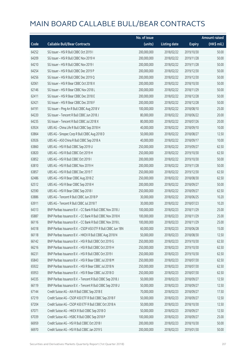|       |                                                              | No. of issue |                     |               | <b>Amount raised</b> |
|-------|--------------------------------------------------------------|--------------|---------------------|---------------|----------------------|
| Code  | <b>Callable Bull/Bear Contracts</b>                          | (units)      | <b>Listing date</b> | <b>Expiry</b> | (HK\$ mil.)          |
| 64252 | SG Issuer - HSI R Bull CBBC Oct 2019 I                       | 200,000,000  | 2018/02/22          | 2019/10/30    | 50.00                |
| 64209 | SG Issuer - HSI R Bull CBBC Nov 2019 H                       | 200,000,000  | 2018/02/22          | 2019/11/28    | 50.00                |
| 64210 | SG Issuer - HSI R Bull CBBC Nov 2019 I                       | 200,000,000  | 2018/02/22          | 2019/11/28    | 50.00                |
| 64254 | SG Issuer - HSI R Bull CBBC Dec 2019 P                       | 200,000,000  | 2018/02/22          | 2019/12/30    | 50.00                |
| 64256 | SG Issuer - HSI R Bull CBBC Dec 2019 Q                       | 200,000,000  | 2018/02/22          | 2019/12/30    | 50.00                |
| 62061 | SG Issuer - HSI R Bear CBBC Oct 2018 X                       | 200,000,000  | 2018/02/22          | 2018/10/30    | 50.00                |
| 62146 | SG Issuer - HSI R Bear CBBC Nov 2018 L                       | 200,000,000  | 2018/02/22          | 2018/11/29    | 50.00                |
| 62411 | SG Issuer - HSI R Bear CBBC Dec 2018 E                       | 200,000,000  | 2018/02/22          | 2018/12/28    | 50.00                |
| 62421 | SG Issuer - HSI R Bear CBBC Dec 2018 F                       | 200,000,000  | 2018/02/22          | 2018/12/28    | 50.00                |
| 64191 | SG Issuer - Ping An R Bull CBBC Aug 2018 V                   | 100,000,000  | 2018/02/22          | 2018/08/10    | 25.00                |
| 64220 | SG Issuer - Tencent R Bull CBBC Jun 2018 J                   | 80,000,000   | 2018/02/22          | 2018/06/22    | 20.00                |
| 64235 | SG Issuer - Tencent R Bull CBBC Jul 2018 X                   | 80,000,000   | 2018/02/22          | 2018/07/26    | 20.00                |
| 63924 | UBS AG - China Life R Bull CBBC Sep 2018 H                   | 40,000,000   | 2018/02/22          | 2018/09/10    | 10.00                |
| 63864 | UBS AG - Sinopec Corp R Bull CBBC Aug 2018 D                 | 50,000,000   | 2018/02/22          | 2018/08/27    | 12.50                |
| 63926 | UBS AG - A50 China R Bull CBBC Sep 2018 A                    | 40,000,000   | 2018/02/22          | 2018/09/17    | 10.00                |
| 63860 | UBS AG - HSI R Bull CBBC Sep 2019 U                          | 250,000,000  | 2018/02/22          | 2019/09/27    | 62.50                |
| 63820 | UBS AG - HSI R Bull CBBC Oct 2019 H                          | 250,000,000  | 2018/02/22          | 2019/10/30    | 62.50                |
| 63852 | UBS AG - HSI R Bull CBBC Oct 2019 I                          | 200,000,000  | 2018/02/22          | 2019/10/30    | 50.00                |
| 63810 | UBS AG - HSI R Bull CBBC Nov 2019 H                          | 200,000,000  | 2018/02/22          | 2019/11/28    | 50.00                |
| 63857 | UBS AG - HSI R Bull CBBC Dec 2019 T                          | 250,000,000  | 2018/02/22          | 2019/12/30    | 62.50                |
| 62486 | UBS AG - HSI R Bear CBBC Aug 2018 Z                          | 250,000,000  | 2018/02/22          | 2018/08/30    | 62.50                |
| 62512 | UBS AG - HSI R Bear CBBC Sep 2018 H                          | 200,000,000  | 2018/02/22          | 2018/09/27    | 50.00                |
| 62590 | UBS AG - HSI R Bear CBBC Sep 2018 I                          | 250,000,000  | 2018/02/22          | 2018/09/27    | 62.50                |
| 63886 | UBS AG - Tencent R Bull CBBC Jun 2018 P                      | 30,000,000   | 2018/02/22          | 2018/06/25    | 10.20                |
| 63911 | UBS AG - Tencent R Bull CBBC Jul 2018 T                      | 30,000,000   | 2018/02/22          | 2018/07/23    | 10.20                |
| 64313 | BNP Paribas Issuance B.V. - CC Bank R Bull CBBC Nov 2018 J   | 100,000,000  | 2018/02/23          | 2018/11/29    | 25.00                |
| 65887 | BNP Paribas Issuance B.V. - CC Bank R Bull CBBC Nov 2018 K   | 100,000,000  | 2018/02/23          | 2018/11/29    | 25.00                |
| 66116 | BNP Paribas Issuance B.V. - CC Bank R Bull CBBC Nov 2018 L   | 100,000,000  | 2018/02/23          | 2018/11/29    | 25.00                |
| 64318 | BNP Paribas Issuance B.V. - CSOP A50 ETF R Bull CBBC Jun 18N | 60,000,000   | 2018/02/23          | 2018/06/28    | 15.00                |
| 66118 | BNP Paribas Issuance B.V. - HKEX R Bull CBBC Aug 2018 N      | 50,000,000   | 2018/02/23          | 2018/08/30    | 12.50                |
| 66142 | BNP Paribas Issuance B.V. - HSI R Bull CBBC Oct 2019 G       | 250,000,000  | 2018/02/23          | 2019/10/30    | 62.50                |
| 66216 | BNP Paribas Issuance B.V. - HSI R Bull CBBC Oct 2019 H       | 250,000,000  | 2018/02/23          | 2019/10/30    | 62.50                |
| 66231 | BNP Paribas Issuance B.V. - HSI R Bull CBBC Oct 2019 I       | 250,000,000  | 2018/02/23          | 2019/10/30    | 62.50                |
| 65843 | BNP Paribas Issuance B.V. - HSI R Bear CBBC Jul 2018 M       | 250,000,000  | 2018/02/23          | 2018/07/30    | 62.50                |
| 65922 | BNP Paribas Issuance B.V. - HSI R Bear CBBC Jul 2018 N       | 250,000,000  | 2018/02/23          | 2018/07/30    | 62.50                |
| 65953 | BNP Paribas Issuance B.V. - HSI R Bear CBBC Jul 2018 O       | 250,000,000  | 2018/02/23          | 2018/07/30    | 62.50                |
| 64335 | BNP Paribas Issuance B.V. - Tencent R Bull CBBC Sep 2018 J   | 50,000,000   | 2018/02/23          | 2018/09/27    | 12.50                |
| 66119 | BNP Paribas Issuance B.V. - Tencent R Bull CBBC Sep 2018 U   | 50,000,000   | 2018/02/23          | 2018/09/27    | 12.50                |
| 67144 | Credit Suisse AG - AIA R Bull CBBC Sep 2018 E                | 70,000,000   | 2018/02/23          | 2018/09/27    | 17.50                |
| 67219 | Credit Suisse AG - CSOP A50 ETF R Bull CBBC Sep 2018 F       | 50,000,000   | 2018/02/23          | 2018/09/27    | 12.50                |
| 67204 | Credit Suisse AG - CSOP A50 ETF R Bull CBBC Oct 2018 A       | 50,000,000   | 2018/02/23          | 2018/10/30    | 12.50                |
| 67071 | Credit Suisse AG - HKEX R Bull CBBC Sep 2018 O               | 50,000,000   | 2018/02/23          | 2018/09/27    | 12.50                |
| 67039 | Credit Suisse AG - HSBC R Bull CBBC Sep 2018 P               | 100,000,000  | 2018/02/23          | 2018/09/27    | 25.00                |
| 66959 | Credit Suisse AG - HSI R Bull CBBC Oct 2018 I                | 200,000,000  | 2018/02/23          | 2018/10/30    | 50.00                |
| 66970 | Credit Suisse AG - HSI R Bull CBBC Jan 2019 S                | 200,000,000  | 2018/02/23          | 2019/01/30    | 50.00                |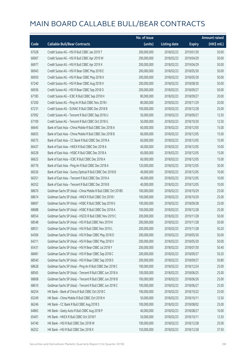|       |                                                              | No. of issue |                     |               | <b>Amount raised</b> |
|-------|--------------------------------------------------------------|--------------|---------------------|---------------|----------------------|
| Code  | <b>Callable Bull/Bear Contracts</b>                          | (units)      | <b>Listing date</b> | <b>Expiry</b> | (HK\$ mil.)          |
| 67028 | Credit Suisse AG - HSI R Bull CBBC Jan 2019 T                | 200,000,000  | 2018/02/23          | 2019/01/30    | 50.00                |
| 66967 | Credit Suisse AG - HSI R Bull CBBC Apr 2019 W                | 200,000,000  | 2018/02/23          | 2019/04/29    | 50.00                |
| 66977 | Credit Suisse AG - HSI R Bull CBBC Apr 2019 X                | 200,000,000  | 2018/02/23          | 2019/04/29    | 50.00                |
| 66943 | Credit Suisse AG - HSI R Bear CBBC May 2018 E                | 200,000,000  | 2018/02/23          | 2018/05/30    | 50.00                |
| 66950 | Credit Suisse AG - HSI R Bear CBBC May 2018 X                | 200,000,000  | 2018/02/23          | 2018/05/30    | 50.00                |
| 67240 | Credit Suisse AG - HSI R Bear CBBC Aug 2018 X                | 200,000,000  | 2018/02/23          | 2018/08/30    | 50.00                |
| 66936 | Credit Suisse AG - HSI R Bear CBBC Sep 2018 O                | 200,000,000  | 2018/02/23          | 2018/09/27    | 50.00                |
| 67185 | Credit Suisse AG - ICBC R Bull CBBC Sep 2018 H               | 80,000,000   | 2018/02/23          | 2018/09/27    | 20.00                |
| 67200 | Credit Suisse AG - Ping An R Bull CBBC Nov 2018 I            | 80,000,000   | 2018/02/23          | 2018/11/29    | 20.00                |
| 67231 | Credit Suisse AG - SUNAC R Bull CBBC Dec 2018 B              | 100,000,000  | 2018/02/23          | 2018/12/28    | 25.00                |
| 67092 | Credit Suisse AG - Tencent R Bull CBBC Sep 2018 U            | 50,000,000   | 2018/02/23          | 2018/09/27    | 12.50                |
| 67109 | Credit Suisse AG - Tencent R Bull CBBC Oct 2018 G            | 50,000,000   | 2018/02/23          | 2018/10/30    | 12.50                |
| 66645 | Bank of East Asia - China Mobile R Bull CBBC Dec 2018 A      | 60,000,000   | 2018/02/23          | 2018/12/05    | 15.00                |
| 66655 | Bank of East Asia - China Mobile R Bull CBBC Dec 2018 B      | 60,000,000   | 2018/02/23          | 2018/12/05    | 15.00                |
| 66575 | Bank of East Asia - CC Bank R Bull CBBC Dec 2018 A           | 60,000,000   | 2018/02/23          | 2018/12/05    | 15.00                |
| 66437 | Bank of East Asia - HKEX R Bull CBBC Dec 2018 A              | 40,000,000   | 2018/02/23          | 2018/12/05    | 10.00                |
| 66528 | Bank of East Asia - HSBC R Bull CBBC Dec 2018 A              | 60,000,000   | 2018/02/23          | 2018/12/05    | 15.00                |
| 66625 | Bank of East Asia - ICBC R Bull CBBC Dec 2018 A              | 60,000,000   | 2018/02/23          | 2018/12/05    | 15.00                |
| 66776 | Bank of East Asia - Ping An R Bull CBBC Dec 2018 A           | 120,000,000  | 2018/02/23          | 2018/12/05    | 30.00                |
| 66526 | Bank of East Asia - Sunny Optical R Bull CBBC Dec 2018 B     | 40,000,000   | 2018/02/23          | 2018/12/05    | 10.00                |
| 66351 | Bank of East Asia - Tencent R Bull CBBC Dec 2018 A           | 40,000,000   | 2018/02/23          | 2018/12/05    | 10.00                |
| 66352 | Bank of East Asia - Tencent R Bull CBBC Dec 2018 B           | 40,000,000   | 2018/02/23          | 2018/12/05    | 10.00                |
| 68676 | Goldman Sachs SP (Asia) - China Mobile R Bull CBBC Oct 2018S | 100,000,000  | 2018/02/23          | 2018/10/29    | 25.00                |
| 68674 | Goldman Sachs SP (Asia) - HKEX R Bull CBBC Oct 2018 I        | 100,000,000  | 2018/02/23          | 2018/10/29    | 25.00                |
| 68697 | Goldman Sachs SP (Asia) - HSBC R Bull CBBC Sep 2018 G        | 100,000,000  | 2018/02/23          | 2018/09/28    | 25.00                |
| 68688 | Goldman Sachs SP (Asia) - HSBC R Bull CBBC Dec 2018 A        | 100,000,000  | 2018/02/23          | 2018/12/28    | 25.00                |
| 68554 | Goldman Sachs SP (Asia) - HSCEI R Bull CBBC Nov 2019 C       | 200,000,000  | 2018/02/23          | 2019/11/28    | 50.00                |
| 68548 | Goldman Sachs SP (Asia) - HSI R Bull CBBC Nov 2019 K         | 200,000,000  | 2018/02/23          | 2019/11/28    | 50.00                |
| 68551 | Goldman Sachs SP (Asia) - HSI R Bull CBBC Nov 2019 L         | 200,000,000  | 2018/02/23          | 2019/11/28    | 50.20                |
| 64306 | Goldman Sachs SP (Asia) - HSI R Bear CBBC May 2018 D         | 200,000,000  | 2018/02/23          | 2018/05/30    | 50.00                |
| 64311 | Goldman Sachs SP (Asia) - HSI R Bear CBBC May 2018 V         | 200,000,000  | 2018/02/23          | 2018/05/30    | 50.00                |
| 65431 | Goldman Sachs SP (Asia) - HSI R Bear CBBC Jul 2018 Y         | 200,000,000  | 2018/02/23          | 2018/07/30    | 50.40                |
| 68481 | Goldman Sachs SP (Asia) - HSI R Bear CBBC Sep 2018 C         | 200,000,000  | 2018/02/23          | 2018/09/27    | 50.20                |
| 68540 | Goldman Sachs SP (Asia) - HSI R Bear CBBC Sep 2018 D         | 200,000,000  | 2018/02/23          | 2018/09/27    | 50.80                |
| 68628 | Goldman Sachs SP (Asia) - Ping An R Bull CBBC Dec 2018 C     | 100,000,000  | 2018/02/23          | 2018/12/24    | 25.00                |
| 68565 | Goldman Sachs SP (Asia) - Tencent R Bull CBBC Jun 2018 A     | 100,000,000  | 2018/02/23          | 2018/06/25    | 25.00                |
| 68608 | Goldman Sachs SP (Asia) - Tencent R Bull CBBC Jun 2018 B     | 100,000,000  | 2018/02/23          | 2018/06/26    | 25.00                |
| 68610 | Goldman Sachs SP (Asia) - Tencent R Bull CBBC Jun 2018 C     | 100,000,000  | 2018/02/23          | 2018/06/27    | 25.00                |
| 66254 | HK Bank - Bank of China R Bull CBBC Oct 2018 C               | 100,000,000  | 2018/02/23          | 2018/10/22    | 25.00                |
| 65249 | HK Bank - China Mobile R Bull CBBC Oct 2018 H                | 50,000,000   | 2018/02/23          | 2018/10/11    | 12.50                |
| 66246 | HK Bank - CC Bank R Bull CBBC Aug 2018 S                     | 100,000,000  | 2018/02/23          | 2018/08/02    | 25.00                |
| 64865 | HK Bank - Geely Auto R Bull CBBC Aug 2018 P                  | 40,000,000   | 2018/02/23          | 2018/08/27    | 10.00                |
| 65401 | HK Bank - HKEX R Bull CBBC Oct 2018 F                        | 50,000,000   | 2018/02/23          | 2018/10/11    | 12.50                |
| 64740 | HK Bank - HSI R Bull CBBC Dec 2018 W                         | 100,000,000  | 2018/02/23          | 2018/12/28    | 25.00                |
| 66252 | HK Bank - HSI R Bull CBBC Dec 2018 X                         | 150,000,000  | 2018/02/23          | 2018/12/28    | 37.50                |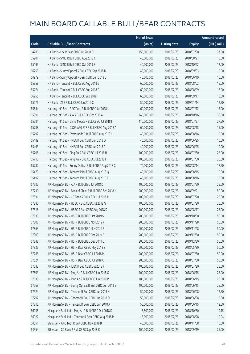|       |                                                          | No. of issue |                     |               | Amount raised         |
|-------|----------------------------------------------------------|--------------|---------------------|---------------|-----------------------|
| Code  | <b>Callable Bull/Bear Contracts</b>                      | (units)      | <b>Listing date</b> | <b>Expiry</b> | $(HK\frac{1}{2}mil.)$ |
| 64780 | HK Bank - HSI R Bear CBBC Jul 2018 Q                     | 150,000,000  | 2018/02/23          | 2018/07/30    | 37.50                 |
| 65201 | HK Bank - SMIC R Bull CBBC Aug 2018 C                    | 40,000,000   | 2018/02/23          | 2018/08/27    | 10.00                 |
| 65195 | HK Bank - SMIC R Bull CBBC Oct 2018 B                    | 40,000,000   | 2018/02/23          | 2018/10/22    | 12.00                 |
| 66250 | HK Bank - Sunny Optical R Bull CBBC Sep 2018 D           | 40,000,000   | 2018/02/23          | 2018/09/03    | 10.00                 |
| 64979 | HK Bank - Sunny Optical R Bear CBBC Jun 2018 B           | 40,000,000   | 2018/02/23          | 2018/06/19    | 10.00                 |
| 65358 | HK Bank - Tencent R Bull CBBC Aug 2018 G                 | 60,000,000   | 2018/02/23          | 2018/08/02    | 15.00                 |
| 65274 | HK Bank - Tencent R Bull CBBC Aug 2018 P                 | 60,000,000   | 2018/02/23          | 2018/08/09    | 18.00                 |
| 66255 | HK Bank - Tencent R Bull CBBC Sep 2018 T                 | 60,000,000   | 2018/02/23          | 2018/09/17    | 15.00                 |
| 65076 | HK Bank - ZTE R Bull CBBC Jan 2019 C                     | 50,000,000   | 2018/02/23          | 2019/01/14    | 12.50                 |
| 65644 | Haitong Int'l Sec - AAC Tech R Bull CBBC Jul 2018 L      | 60,000,000   | 2018/02/23          | 2018/07/12    | 15.00                 |
| 65591 | Haitong Int'l Sec - AIA R Bull CBBC Oct 2018 A           | 140,000,000  | 2018/02/23          | 2018/10/16    | 35.00                 |
| 65584 | Haitong Int'l Sec - China Mobile R Bull CBBC Jul 2018 I  | 110,000,000  | 2018/02/23          | 2018/07/27    | 27.50                 |
| 65788 | Haitong Int'l Sec - CSOP A50 ETF R Bull CBBC Aug 2018 A  | 60,000,000   | 2018/02/23          | 2018/08/15    | 15.00                 |
| 65797 | Haitong Int'l Sec - Evergrande R Bull CBBC Aug 2018 I    | 40,000,000   | 2018/02/23          | 2018/08/16    | 10.00                 |
| 65449 | Haitong Int'l Sec - HKEX R Bull CBBC Jun 2018 O          | 40,000,000   | 2018/02/23          | 2018/06/25    | 10.00                 |
| 65463 | Haitong Int'l Sec - HKEX R Bull CBBC Jun 2018 P          | 40,000,000   | 2018/02/23          | 2018/06/25    | 10.00                 |
| 65708 | Haitong Int'l Sec - Ping An R Bull CBBC Jul 2018 H       | 100,000,000  | 2018/02/23          | 2018/07/30    | 25.00                 |
| 65710 | Haitong Int'l Sec - Ping An R Bull CBBC Jul 2018 I       | 100,000,000  | 2018/02/23          | 2018/07/30    | 25.00                 |
| 65782 | Haitong Int'l Sec - Sunny Optical R Bull CBBC Aug 2018 C | 70,000,000   | 2018/02/23          | 2018/08/14    | 17.50                 |
| 65473 | Haitong Int'l Sec - Tencent R Bull CBBC Aug 2018 Q       | 40,000,000   | 2018/02/23          | 2018/08/15    | 10.00                 |
| 65497 | Haitong Int'l Sec - Tencent R Bull CBBC Aug 2018 R       | 40,000,000   | 2018/02/23          | 2018/08/16    | 10.00                 |
| 67532 | J P Morgan SP BV - AIA R Bull CBBC Jul 2018 D            | 100,000,000  | 2018/02/23          | 2018/07/20    | 25.00                 |
| 67730 | J P Morgan SP BV - Bank of China R Bull CBBC Sep 2018 H  | 200,000,000  | 2018/02/23          | 2018/09/21    | 50.00                 |
| 67531 | J P Morgan SP BV - CC Bank R Bull CBBC Jul 2018 H        | 100,000,000  | 2018/02/23          | 2018/07/20    | 25.00                 |
| 67380 | J P Morgan SP BV - HSBC R Bull CBBC Jul 2018 G           | 100,000,000  | 2018/02/23          | 2018/07/20    | 25.00                 |
| 67518 | J P Morgan SP BV - HSBC R Bull CBBC Aug 2018 D           | 100,000,000  | 2018/02/23          | 2018/08/17    | 25.00                 |
| 67839 | J P Morgan SP BV - HSI R Bull CBBC Oct 2019 S            | 200,000,000  | 2018/02/23          | 2019/10/30    | 50.00                 |
| 67806 | J P Morgan SP BV - HSI R Bull CBBC Nov 2019 P            | 200,000,000  | 2018/02/23          | 2019/11/28    | 50.00                 |
| 67863 | J P Morgan SP BV - HSI R Bull CBBC Nov 2019 R            | 200,000,000  | 2018/02/23          | 2019/11/28    | 50.00                 |
| 67803 | J P Morgan SP BV - HSI R Bull CBBC Dec 2019 B            | 200,000,000  | 2018/02/23          | 2019/12/30    | 50.00                 |
| 67848 | J P Morgan SP BV - HSI R Bull CBBC Dec 2019 C            | 200,000,000  | 2018/02/23          | 2019/12/30    | 50.00                 |
| 67335 | J P Morgan SP BV - HSI R Bear CBBC May 2018 S            | 200,000,000  | 2018/02/23          | 2018/05/30    | 50.00                 |
| 67268 | J P Morgan SP BV - HSI R Bear CBBC Jul 2018 M            | 200,000,000  | 2018/02/23          | 2018/07/30    | 50.00                 |
| 67324 | J P Morgan SP BV - HSI R Bear CBBC Jul 2018 U            | 200,000,000  | 2018/02/23          | 2018/07/30    | 50.00                 |
| 67543 | J P Morgan SP BV - ICBC R Bull CBBC Jul 2018 F           | 100,000,000  | 2018/02/23          | 2018/07/20    | 25.00                 |
| 67603 | J P Morgan SP BV - Ping An R Bull CBBC Jun 2018 O        | 100,000,000  | 2018/02/23          | 2018/06/15    | 25.00                 |
| 67638 | J P Morgan SP BV - Ping An R Bull CBBC Jun 2018 P        | 100,000,000  | 2018/02/23          | 2018/06/15    | 25.00                 |
| 67669 | J P Morgan SP BV - Sunny Optical R Bull CBBC Jun 2018 E  | 100,000,000  | 2018/02/23          | 2018/06/15    | 25.00                 |
| 67524 | J P Morgan SP BV - Tencent R Bull CBBC Jun 2018 N        | 50,000,000   | 2018/02/23          | 2018/06/08    | 12.50                 |
| 67797 | J P Morgan SP BV - Tencent R Bull CBBC Jun 2018 O        | 50,000,000   | 2018/02/23          | 2018/06/08    | 12.50                 |
| 67315 | J P Morgan SP BV - Tencent R Bear CBBC Jun 2018 X        | 50,000,000   | 2018/02/23          | 2018/06/15    | 12.50                 |
| 66055 | Macquarie Bank Ltd. - Ping An R Bull CBBC Oct 2018 D     | 5,500,000    | 2018/02/23          | 2018/10/30    | 10.15                 |
| 66022 | Macquarie Bank Ltd. - Tencent R Bear CBBC Aug 2018 M     | 13,300,000   | 2018/02/23          | 2018/08/28    | 10.04                 |
| 64351 | SG Issuer - AAC Tech R Bull CBBC Nov 2018 B              | 40,000,000   | 2018/02/23          | 2018/11/08    | 10.00                 |
| 64354 | SG Issuer - CC Bank R Bull CBBC Sep 2018 K               | 100,000,000  | 2018/02/23          | 2018/09/19    | 25.00                 |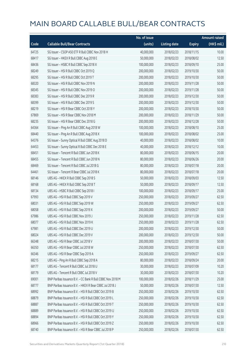|       |                                                            | No. of issue |                     |               | <b>Amount raised</b> |
|-------|------------------------------------------------------------|--------------|---------------------|---------------|----------------------|
| Code  | <b>Callable Bull/Bear Contracts</b>                        | (units)      | <b>Listing date</b> | <b>Expiry</b> | (HK\$ mil.)          |
| 64725 | SG Issuer - CSOP A50 ETF R Bull CBBC Nov 2018 H            | 40,000,000   | 2018/02/23          | 2018/11/15    | 10.00                |
| 68417 | SG Issuer - HKEX R Bull CBBC Aug 2018 E                    | 50,000,000   | 2018/02/23          | 2018/08/02    | 12.50                |
| 68436 | SG Issuer - HSBC R Bull CBBC Sep 2018 X                    | 100,000,000  | 2018/02/23          | 2018/09/10    | 25.00                |
| 68249 | SG Issuer - HSI R Bull CBBC Oct 2019 Q                     | 200,000,000  | 2018/02/23          | 2019/10/30    | 50.00                |
| 68295 | SG Issuer - HSI R Bull CBBC Oct 2019 T                     | 200,000,000  | 2018/02/23          | 2019/10/30    | 50.00                |
| 68320 | SG Issuer - HSI R Bull CBBC Nov 2019 N                     | 200,000,000  | 2018/02/23          | 2019/11/28    | 50.00                |
| 68345 | SG Issuer - HSI R Bull CBBC Nov 2019 O                     | 200,000,000  | 2018/02/23          | 2019/11/28    | 50.00                |
| 68383 | SG Issuer - HSI R Bull CBBC Dec 2019 R                     | 200,000,000  | 2018/02/23          | 2019/12/30    | 50.00                |
| 68399 | SG Issuer - HSI R Bull CBBC Dec 2019 S                     | 200,000,000  | 2018/02/23          | 2019/12/30    | 50.00                |
| 68219 | SG Issuer - HSI R Bear CBBC Oct 2018 Y                     | 200,000,000  | 2018/02/23          | 2018/10/30    | 50.00                |
| 67869 | SG Issuer - HSI R Bear CBBC Nov 2018 M                     | 200,000,000  | 2018/02/23          | 2018/11/29    | 50.00                |
| 68235 | SG Issuer - HSI R Bear CBBC Dec 2018 G                     | 200,000,000  | 2018/02/23          | 2018/12/28    | 50.00                |
| 64364 | SG Issuer - Ping An R Bull CBBC Aug 2018 W                 | 100,000,000  | 2018/02/23          | 2018/08/10    | 25.00                |
| 68440 | SG Issuer - Ping An R Bull CBBC Aug 2018 X                 | 100,000,000  | 2018/02/23          | 2018/08/02    | 25.00                |
| 64376 | SG Issuer - Sunny Optical R Bull CBBC Aug 2018 D           | 40,000,000   | 2018/02/23          | 2018/08/02    | 10.00                |
| 64453 | SG Issuer - Sunny Optical R Bull CBBC Dec 2018 E           | 40,000,000   | 2018/02/23          | 2018/12/12    | 10.00                |
| 68451 | SG Issuer - Tencent R Bull CBBC Jun 2018 K                 | 80,000,000   | 2018/02/23          | 2018/06/15    | 20.00                |
| 68455 | SG Issuer - Tencent R Bull CBBC Jun 2018 N                 | 80,000,000   | 2018/02/23          | 2018/06/26    | 20.00                |
| 68469 | SG Issuer - Tencent R Bull CBBC Jul 2018 G                 | 80,000,000   | 2018/02/23          | 2018/07/18    | 20.00                |
| 64461 | SG Issuer - Tencent R Bear CBBC Jul 2018 K                 | 80,000,000   | 2018/02/23          | 2018/07/18    | 20.00                |
| 68146 | UBS AG - HKEX R Bull CBBC Sep 2018 S                       | 50,000,000   | 2018/02/23          | 2018/09/03    | 12.50                |
| 68168 | UBS AG - HKEX R Bull CBBC Sep 2018 T                       | 50,000,000   | 2018/02/23          | 2018/09/17    | 12.50                |
| 68134 | UBS AG - HSBC R Bull CBBC Sep 2018 I                       | 100,000,000  | 2018/02/23          | 2018/09/17    | 25.00                |
| 67993 | UBS AG - HSI R Bull CBBC Sep 2019 V                        | 250,000,000  | 2018/02/23          | 2019/09/27    | 62.50                |
| 68031 | UBS AG - HSI R Bull CBBC Sep 2019 W                        | 250,000,000  | 2018/02/23          | 2019/09/27    | 62.50                |
| 68058 | UBS AG - HSI R Bull CBBC Sep 2019 X                        | 200,000,000  | 2018/02/23          | 2019/09/27    | 50.00                |
| 67986 | UBS AG - HSI R Bull CBBC Nov 2019 J                        | 250,000,000  | 2018/02/23          | 2019/11/28    | 62.50                |
| 68077 | UBS AG - HSI R Bull CBBC Nov 2019 K                        | 250,000,000  | 2018/02/23          | 2019/11/28    | 62.50                |
| 67981 | UBS AG - HSI R Bull CBBC Dec 2019 U                        | 200,000,000  | 2018/02/23          | 2019/12/30    | 50.00                |
| 68024 | UBS AG - HSI R Bull CBBC Dec 2019 V                        | 200,000,000  | 2018/02/23          | 2019/12/30    | 50.00                |
| 66348 | UBS AG - HSI R Bear CBBC Jul 2018 V                        | 200,000,000  | 2018/02/23          | 2018/07/30    | 50.00                |
| 66350 | UBS AG - HSI R Bear CBBC Jul 2018 W                        | 250,000,000  | 2018/02/23          | 2018/07/30    | 62.50                |
| 66346 | UBS AG - HSI R Bear CBBC Sep 2019 A                        | 250,000,000  | 2018/02/23          | 2019/09/27    | 62.50                |
| 68215 | UBS AG - Ping An R Bull CBBC Sep 2018 A                    | 80,000,000   | 2018/02/23          | 2018/09/24    | 20.00                |
| 68177 | UBS AG - Tencent R Bull CBBC Jul 2018 U                    | 30,000,000   | 2018/02/23          | 2018/07/09    | 10.20                |
| 68179 | UBS AG - Tencent R Bull CBBC Jul 2018 V                    | 30,000,000   | 2018/02/23          | 2018/07/30    | 10.20                |
| 69001 | BNP Paribas Issuance B.V. - CC Bank R Bull CBBC Nov 2018 M | 100,000,000  | 2018/02/26          | 2018/11/29    | 25.00                |
| 68777 | BNP Paribas Issuance B.V. - HKEX R Bear CBBC Jul 2018 J    | 50,000,000   | 2018/02/26          | 2018/07/30    | 12.50                |
| 68992 | BNP Paribas Issuance B.V. - HSI R Bull CBBC Oct 2019 B     | 250,000,000  | 2018/02/26          | 2019/10/30    | 62.50                |
| 68879 | BNP Paribas Issuance B.V. - HSI R Bull CBBC Oct 2019 L     | 250,000,000  | 2018/02/26          | 2019/10/30    | 62.50                |
| 68887 | BNP Paribas Issuance B.V. - HSI R Bull CBBC Oct 2019 T     | 250,000,000  | 2018/02/26          | 2019/10/30    | 62.50                |
| 68889 | BNP Paribas Issuance B.V. - HSI R Bull CBBC Oct 2019 U     | 250,000,000  | 2018/02/26          | 2019/10/30    | 62.50                |
| 68894 | BNP Paribas Issuance B.V. - HSI R Bull CBBC Oct 2019 Y     | 250,000,000  | 2018/02/26          | 2019/10/30    | 62.50                |
| 68966 | BNP Paribas Issuance B.V. - HSI R Bull CBBC Oct 2019 Z     | 250,000,000  | 2018/02/26          | 2019/10/30    | 62.50                |
| 68740 | BNP Paribas Issuance B.V. - HSI R Bear CBBC Jul 2018 P     | 250,000,000  | 2018/02/26          | 2018/07/30    | 62.50                |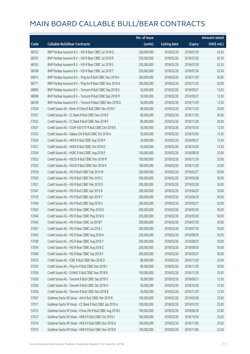|       |                                                             | No. of issue |                     |               | <b>Amount raised</b>  |
|-------|-------------------------------------------------------------|--------------|---------------------|---------------|-----------------------|
| Code  | <b>Callable Bull/Bear Contracts</b>                         | (units)      | <b>Listing date</b> | <b>Expiry</b> | $(HK\frac{1}{2}mil.)$ |
| 68752 | BNP Paribas Issuance B.V. - HSI R Bear CBBC Jul 2018 Q      | 250,000,000  | 2018/02/26          | 2018/07/30    | 62.50                 |
| 68761 | BNP Paribas Issuance B.V. - HSI R Bear CBBC Jul 2018 R      | 250,000,000  | 2018/02/26          | 2018/07/30    | 62.50                 |
| 68763 | BNP Paribas Issuance B.V. - HSI R Bear CBBC Jul 2018 S      | 250,000,000  | 2018/02/26          | 2018/07/30    | 62.50                 |
| 68768 | BNP Paribas Issuance B.V. - HSI R Bear CBBC Jul 2018 T      | 250,000,000  | 2018/02/26          | 2018/07/30    | 62.50                 |
| 69013 | BNP Paribas Issuance B.V. - Ping An R Bull CBBC Nov 2018 A  | 200,000,000  | 2018/02/26          | 2018/11/29    | 50.00                 |
| 68771 | BNP Paribas Issuance B.V. - Ping An R Bear CBBC Nov 2018 A  | 200,000,000  | 2018/02/26          | 2018/11/29    | 50.00                 |
| 68995 | BNP Paribas Issuance B.V. - Tencent R Bull CBBC Sep 2018 G  | 50,000,000   | 2018/02/26          | 2018/09/27    | 12.50                 |
| 68998 | BNP Paribas Issuance B.V. - Tencent R Bull CBBC Sep 2018 M  | 50,000,000   | 2018/02/26          | 2018/09/27    | 12.50                 |
| 68769 | BNP Paribas Issuance B.V. - Tencent R Bear CBBC Nov 2018 Q  | 50,000,000   | 2018/02/26          | 2018/11/29    | 12.50                 |
| 57034 | Credit Suisse AG - Bank of China R Bull CBBC Nov 2018 C     | 80,000,000   | 2018/02/26          | 2018/11/29    | 20.00                 |
| 57031 | Credit Suisse AG - CC Bank R Bull CBBC Nov 2018 E           | 80,000,000   | 2018/02/26          | 2018/11/29    | 20.00                 |
| 57032 | Credit Suisse AG - CC Bank R Bull CBBC Nov 2018 F           | 80,000,000   | 2018/02/26          | 2018/11/29    | 20.00                 |
| 57037 | Credit Suisse AG - CSOP A50 ETF R Bull CBBC Oct 2018 B      | 50,000,000   | 2018/02/26          | 2018/10/30    | 12.50                 |
| 57025 | Credit Suisse AG - Galaxy Ent R Bull CBBC Oct 2018 A        | 50,000,000   | 2018/02/26          | 2018/10/30    | 12.50                 |
| 57026 | Credit Suisse AG - HKEX R Bull CBBC Sep 2018 P              | 50,000,000   | 2018/02/26          | 2018/09/27    | 12.50                 |
| 57027 | Credit Suisse AG - HKEX R Bull CBBC Oct 2018 O              | 50,000,000   | 2018/02/26          | 2018/10/30    | 12.50                 |
| 57024 | Credit Suisse AG - HSBC R Bull CBBC Aug 2018 F              | 100,000,000  | 2018/02/26          | 2018/08/30    | 25.00                 |
| 57022 | Credit Suisse AG - HSCEI R Bull CBBC Nov 2018 M             | 100,000,000  | 2018/02/26          | 2018/11/29    | 25.00                 |
| 57023 | Credit Suisse AG - HSCEI R Bull CBBC Nov 2018 N             | 100,000,000  | 2018/02/26          | 2018/11/29    | 25.00                 |
| 57018 | Credit Suisse AG - HSI R Bull CBBC Feb 2019 W               | 200,000,000  | 2018/02/26          | 2019/02/27    | 50.00                 |
| 57020 | Credit Suisse AG - HSI R Bull CBBC Mar 2019 C               | 200,000,000  | 2018/02/26          | 2019/03/28    | 50.00                 |
| 57021 | Credit Suisse AG - HSI R Bull CBBC Mar 2019 D               | 200,000,000  | 2018/02/26          | 2019/03/28    | 50.00                 |
| 57047 | Credit Suisse AG - HSI R Bull CBBC Apr 2019 B               | 200,000,000  | 2018/02/26          | 2019/04/29    | 50.00                 |
| 57019 | Credit Suisse AG - HSI R Bull CBBC Apr 2019 Y               | 200,000,000  | 2018/02/26          | 2019/04/29    | 50.00                 |
| 57046 | Credit Suisse AG - HSI R Bull CBBC Sep 2019 U               | 200,000,000  | 2018/02/26          | 2019/09/27    | 50.00                 |
| 57043 | Credit Suisse AG - HSI R Bear CBBC May 2018 D               | 200,000,000  | 2018/02/26          | 2018/05/30    | 50.00                 |
| 57044 | Credit Suisse AG - HSI R Bear CBBC May 2018 O               | 200,000,000  | 2018/02/26          | 2018/05/30    | 50.00                 |
| 57042 | Credit Suisse AG - HSI R Bear CBBC Jul 2018 F               | 200,000,000  | 2018/02/26          | 2018/07/30    | 50.00                 |
| 57041 | Credit Suisse AG - HSI R Bear CBBC Jul 2018 J               | 200,000,000  | 2018/02/26          | 2018/07/30    | 50.00                 |
| 57045 | Credit Suisse AG - HSI R Bear CBBC Aug 2018 A               | 200,000,000  | 2018/02/26          | 2018/08/30    | 50.00                 |
| 57038 | Credit Suisse AG - HSI R Bear CBBC Aug 2018 Y               | 200,000,000  | 2018/02/26          | 2018/08/30    | 50.00                 |
| 57039 | Credit Suisse AG - HSI R Bear CBBC Aug 2018 Z               | 200,000,000  | 2018/02/26          | 2018/08/30    | 50.00                 |
| 57040 | Credit Suisse AG - HSI R Bear CBBC Sep 2018 P               | 200,000,000  | 2018/02/26          | 2018/09/27    | 50.00                 |
| 57033 | Credit Suisse AG - ICBC R Bull CBBC Nov 2018 D              | 80,000,000   | 2018/02/26          | 2018/11/29    | 20.00                 |
| 57035 | Credit Suisse AG - Ping An R Bull CBBC Nov 2018 J           | 80,000,000   | 2018/02/26          | 2018/11/29    | 20.00                 |
| 57036 | Credit Suisse AG - SUNAC R Bull CBBC Nov 2018 B             | 100,000,000  | 2018/02/26          | 2018/11/29    | 25.00                 |
| 57029 | Credit Suisse AG - Tencent R Bull CBBC Sep 2018 V           | 50,000,000   | 2018/02/26          | 2018/09/27    | 12.50                 |
| 57030 | Credit Suisse AG - Tencent R Bull CBBC Oct 2018 H           | 50,000,000   | 2018/02/26          | 2018/10/30    | 12.50                 |
| 57028 | Credit Suisse AG - Tencent R Bull CBBC Nov 2018 B           | 50,000,000   | 2018/02/26          | 2018/11/29    | 12.50                 |
| 57007 | Goldman Sachs SP (Asia) - AIA R Bull CBBC Mar 2019 B        | 100,000,000  | 2018/02/26          | 2019/03/28    | 25.00                 |
| 57017 | Goldman Sachs SP (Asia) - CC Bank R Bull CBBC Jan 2019 A    | 100,000,000  | 2018/02/26          | 2019/01/03    | 25.00                 |
| 57012 | Goldman Sachs SP (Asia) - China Life R Bull CBBC Aug 2018 E | 100,000,000  | 2018/02/26          | 2018/08/28    | 25.00                 |
| 57013 | Goldman Sachs SP (Asia) - HKEX R Bull CBBC Oct 2018 J       | 100,000,000  | 2018/02/26          | 2018/10/26    | 25.00                 |
| 57014 | Goldman Sachs SP (Asia) - HKEX R Bull CBBC Nov 2018 A       | 100,000,000  | 2018/02/26          | 2018/11/05    | 25.00                 |
| 57015 | Goldman Sachs SP (Asia) - HKEX R Bull CBBC Nov 2018 B       | 100,000,000  | 2018/02/26          | 2018/11/06    | 25.00                 |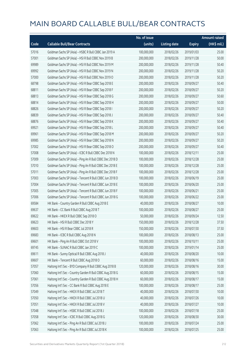|       |                                                           | No. of issue |                     |               | <b>Amount raised</b>  |
|-------|-----------------------------------------------------------|--------------|---------------------|---------------|-----------------------|
| Code  | <b>Callable Bull/Bear Contracts</b>                       | (units)      | <b>Listing date</b> | <b>Expiry</b> | $(HK\frac{1}{2}mil.)$ |
| 57016 | Goldman Sachs SP (Asia) - HSBC R Bull CBBC Jan 2019 A     | 100,000,000  | 2018/02/26          | 2019/01/03    | 25.00                 |
| 57001 | Goldman Sachs SP (Asia) - HSI R Bull CBBC Nov 2019 B      | 200,000,000  | 2018/02/26          | 2019/11/28    | 50.00                 |
| 69989 | Goldman Sachs SP (Asia) - HSI R Bull CBBC Nov 2019 M      | 200,000,000  | 2018/02/26          | 2019/11/28    | 50.40                 |
| 69992 | Goldman Sachs SP (Asia) - HSI R Bull CBBC Nov 2019 N      | 200,000,000  | 2018/02/26          | 2019/11/28    | 50.20                 |
| 57000 | Goldman Sachs SP (Asia) - HSI R Bull CBBC Nov 2019 O      | 200,000,000  | 2018/02/26          | 2019/11/28    | 50.20                 |
| 68798 | Goldman Sachs SP (Asia) - HSI R Bear CBBC Sep 2018 E      | 200,000,000  | 2018/02/26          | 2018/09/27    | 50.40                 |
| 68811 | Goldman Sachs SP (Asia) - HSI R Bear CBBC Sep 2018 F      | 200,000,000  | 2018/02/26          | 2018/09/27    | 50.20                 |
| 68813 | Goldman Sachs SP (Asia) - HSI R Bear CBBC Sep 2018 G      | 200,000,000  | 2018/02/26          | 2018/09/27    | 50.60                 |
| 68814 | Goldman Sachs SP (Asia) - HSI R Bear CBBC Sep 2018 H      | 200,000,000  | 2018/02/26          | 2018/09/27    | 50.00                 |
| 68826 | Goldman Sachs SP (Asia) - HSI R Bear CBBC Sep 2018 I      | 200,000,000  | 2018/02/26          | 2018/09/27    | 50.20                 |
| 68839 | Goldman Sachs SP (Asia) - HSI R Bear CBBC Sep 2018 J      | 200,000,000  | 2018/02/26          | 2018/09/27    | 50.40                 |
| 68876 | Goldman Sachs SP (Asia) - HSI R Bear CBBC Sep 2018 K      | 200,000,000  | 2018/02/26          | 2018/09/27    | 50.40                 |
| 69921 | Goldman Sachs SP (Asia) - HSI R Bear CBBC Sep 2018 L      | 200,000,000  | 2018/02/26          | 2018/09/27    | 50.40                 |
| 69961 | Goldman Sachs SP (Asia) - HSI R Bear CBBC Sep 2018 M      | 200,000,000  | 2018/02/26          | 2018/09/27    | 50.20                 |
| 69985 | Goldman Sachs SP (Asia) - HSI R Bear CBBC Sep 2018 N      | 200,000,000  | 2018/02/26          | 2018/09/27    | 50.20                 |
| 57002 | Goldman Sachs SP (Asia) - HSI R Bear CBBC Sep 2018 O      | 200,000,000  | 2018/02/26          | 2018/09/27    | 50.40                 |
| 57008 | Goldman Sachs SP (Asia) - ICBC R Bull CBBC Dec 2018 N     | 100,000,000  | 2018/02/26          | 2018/12/11    | 25.00                 |
| 57009 | Goldman Sachs SP (Asia) - Ping An R Bull CBBC Dec 2018 D  | 100,000,000  | 2018/02/26          | 2018/12/28    | 25.00                 |
| 57010 | Goldman Sachs SP (Asia) - Ping An R Bull CBBC Dec 2018 E  | 100,000,000  | 2018/02/26          | 2018/12/28    | 25.00                 |
| 57011 | Goldman Sachs SP (Asia) - Ping An R Bull CBBC Dec 2018 F  | 100,000,000  | 2018/02/26          | 2018/12/28    | 25.00                 |
| 57003 | Goldman Sachs SP (Asia) - Tencent R Bull CBBC Jun 2018 D  | 100,000,000  | 2018/02/26          | 2018/06/19    | 25.00                 |
| 57004 | Goldman Sachs SP (Asia) - Tencent R Bull CBBC Jun 2018 E  | 100,000,000  | 2018/02/26          | 2018/06/20    | 25.00                 |
| 57005 | Goldman Sachs SP (Asia) - Tencent R Bull CBBC Jun 2018 F  | 100,000,000  | 2018/02/26          | 2018/06/21    | 25.00                 |
| 57006 | Goldman Sachs SP (Asia) - Tencent R Bull CBBC Jun 2018 G  | 100,000,000  | 2018/02/26          | 2018/06/22    | 25.00                 |
| 69584 | HK Bank - Country Garden R Bull CBBC Aug 2018 E           | 40,000,000   | 2018/02/26          | 2018/08/27    | 10.00                 |
| 69637 | HK Bank - CC Bank R Bull CBBC Aug 2018 T                  | 100,000,000  | 2018/02/26          | 2018/08/27    | 25.00                 |
| 69622 | HK Bank - HKEX R Bull CBBC Sep 2018 O                     | 50,000,000   | 2018/02/26          | 2018/09/24    | 12.50                 |
| 69623 | HK Bank - HSI R Bull CBBC Dec 2018 Y                      | 150,000,000  | 2018/02/26          | 2018/12/28    | 37.50                 |
| 69603 | HK Bank - HSI R Bear CBBC Jul 2018 R                      | 150,000,000  | 2018/02/26          | 2018/07/30    | 37.50                 |
| 69683 | HK Bank - ICBC R Bull CBBC Aug 2018 N                     | 100,000,000  | 2018/02/26          | 2018/08/13    | 25.00                 |
| 69601 | HK Bank - Ping An R Bull CBBC Oct 2018 V                  | 100,000,000  | 2018/02/26          | 2018/10/11    | 25.00                 |
| 69745 | HK Bank - SUNAC R Bull CBBC Jan 2019 C                    | 100,000,000  | 2018/02/26          | 2019/01/14    | 25.00                 |
| 69611 | HK Bank - Sunny Optical R Bull CBBC Aug 2018 J            | 40,000,000   | 2018/02/26          | 2018/08/20    | 10.00                 |
| 69607 | HK Bank - Tencent R Bull CBBC Aug 2018 O                  | 60,000,000   | 2018/02/26          | 2018/08/16    | 15.00                 |
| 57057 | Haitong Int'l Sec - BYD Company R Bull CBBC Aug 2018 B    | 120,000,000  | 2018/02/26          | 2018/08/16    | 30.00                 |
| 57060 | Haitong Int'l Sec - Country Garden R Bull CBBC Aug 2018 G | 60,000,000   | 2018/02/26          | 2018/08/15    | 15.00                 |
| 57061 | Haitong Int'l Sec - Country Garden R Bull CBBC Aug 2018 H | 60,000,000   | 2018/02/26          | 2018/08/17    | 15.00                 |
| 57056 | Haitong Int'l Sec - CC Bank R Bull CBBC Aug 2018 E        | 100,000,000  | 2018/02/26          | 2018/08/17    | 25.00                 |
| 57049 | Haitong Int'l Sec - HKEX R Bull CBBC Jul 2018 T           | 40,000,000   | 2018/02/26          | 2018/07/30    | 10.00                 |
| 57050 | Haitong Int'l Sec - HKEX R Bull CBBC Jul 2018 U           | 40,000,000   | 2018/02/26          | 2018/07/26    | 10.00                 |
| 57051 | Haitong Int'l Sec - HKEX R Bull CBBC Jul 2018 V           | 40,000,000   | 2018/02/26          | 2018/07/27    | 10.00                 |
| 57048 | Haitong Int'l Sec - HSBC R Bull CBBC Jul 2018 J           | 100,000,000  | 2018/02/26          | 2018/07/18    | 25.00                 |
| 57058 | Haitong Int'l Sec - ICBC R Bull CBBC Aug 2018 G           | 120,000,000  | 2018/02/26          | 2018/08/30    | 30.00                 |
| 57062 | Haitong Int'l Sec - Ping An R Bull CBBC Jul 2018 J        | 100,000,000  | 2018/02/26          | 2018/07/24    | 25.00                 |
| 57063 | Haitong Int'l Sec - Ping An R Bull CBBC Jul 2018 K        | 100,000,000  | 2018/02/26          | 2018/07/25    | 25.00                 |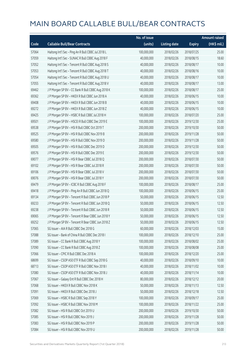|       |                                                    | No. of issue |                     |               | <b>Amount raised</b> |
|-------|----------------------------------------------------|--------------|---------------------|---------------|----------------------|
| Code  | <b>Callable Bull/Bear Contracts</b>                | (units)      | <b>Listing date</b> | <b>Expiry</b> | (HK\$ mil.)          |
| 57064 | Haitong Int'l Sec - Ping An R Bull CBBC Jul 2018 L | 100,000,000  | 2018/02/26          | 2018/07/25    | 25.00                |
| 57059 | Haitong Int'l Sec - SUNAC R Bull CBBC Aug 2018 F   | 40,000,000   | 2018/02/26          | 2018/08/15    | 18.60                |
| 57052 | Haitong Int'l Sec - Tencent R Bull CBBC Aug 2018 S | 40,000,000   | 2018/02/26          | 2018/08/17    | 10.00                |
| 57053 | Haitong Int'l Sec - Tencent R Bull CBBC Aug 2018 T | 40,000,000   | 2018/02/26          | 2018/08/16    | 10.00                |
| 57054 | Haitong Int'l Sec - Tencent R Bull CBBC Aug 2018 U | 40,000,000   | 2018/02/26          | 2018/08/17    | 10.00                |
| 57055 | Haitong Int'l Sec - Tencent R Bull CBBC Aug 2018 V | 40,000,000   | 2018/02/26          | 2018/08/17    | 13.00                |
| 69462 | J P Morgan SP BV - CC Bank R Bull CBBC Aug 2018 K  | 100,000,000  | 2018/02/26          | 2018/08/17    | 25.00                |
| 69362 | J P Morgan SP BV - HKEX R Bull CBBC Jun 2018 A     | 40,000,000   | 2018/02/26          | 2018/06/15    | 10.00                |
| 69408 | J P Morgan SP BV - HKEX R Bull CBBC Jun 2018 B     | 40,000,000   | 2018/02/26          | 2018/06/15    | 10.00                |
| 69272 | J P Morgan SP BV - HKEX R Bull CBBC Jun 2018 Z     | 40,000,000   | 2018/02/26          | 2018/06/15    | 10.00                |
| 69425 | J P Morgan SP BV - HSBC R Bull CBBC Jul 2018 H     | 100,000,000  | 2018/02/26          | 2018/07/20    | 25.00                |
| 69501 | J P Morgan SP BV - HSCEI R Bull CBBC Dec 2019 E    | 100,000,000  | 2018/02/26          | 2019/12/30    | 25.00                |
| 69538 | J P Morgan SP BV - HSI R Bull CBBC Oct 2019 T      | 200,000,000  | 2018/02/26          | 2019/10/30    | 50.00                |
| 69525 | J P Morgan SP BV - HSI R Bull CBBC Nov 2019 B      | 200,000,000  | 2018/02/26          | 2019/11/28    | 50.00                |
| 69580 | J P Morgan SP BV - HSI R Bull CBBC Nov 2019 D      | 200,000,000  | 2018/02/26          | 2019/11/28    | 50.00                |
| 69505 | J P Morgan SP BV - HSI R Bull CBBC Dec 2019 D      | 200,000,000  | 2018/02/26          | 2019/12/30    | 50.00                |
| 69576 | J P Morgan SP BV - HSI R Bull CBBC Dec 2019 E      | 200,000,000  | 2018/02/26          | 2019/12/30    | 50.00                |
| 69077 | J P Morgan SP BV - HSI R Bear CBBC Jul 2018 Q      | 200,000,000  | 2018/02/26          | 2018/07/30    | 50.00                |
| 69102 | J P Morgan SP BV - HSI R Bear CBBC Jul 2018 R      | 200,000,000  | 2018/02/26          | 2018/07/30    | 50.00                |
| 69106 | J P Morgan SP BV - HSI R Bear CBBC Jul 2018 V      | 200,000,000  | 2018/02/26          | 2018/07/30    | 50.00                |
| 69076 | J P Morgan SP BV - HSI R Bear CBBC Jul 2018 Y      | 200,000,000  | 2018/02/26          | 2018/07/30    | 50.00                |
| 69479 | J P Morgan SP BV - ICBC R Bull CBBC Aug 2018 F     | 100,000,000  | 2018/02/26          | 2018/08/17    | 25.00                |
| 69418 | J P Morgan SP BV - Ping An R Bull CBBC Jun 2018 Q  | 100,000,000  | 2018/02/26          | 2018/06/15    | 25.00                |
| 69134 | J P Morgan SP BV - Tencent R Bull CBBC Jun 2018 P  | 50,000,000   | 2018/02/26          | 2018/06/15    | 12.50                |
| 69233 | J P Morgan SP BV - Tencent R Bull CBBC Jun 2018 Q  | 50,000,000   | 2018/02/26          | 2018/06/15    | 12.50                |
| 69238 | J P Morgan SP BV - Tencent R Bull CBBC Jun 2018 R  | 50,000,000   | 2018/02/26          | 2018/06/15    | 12.50                |
| 69065 | J P Morgan SP BV - Tencent R Bear CBBC Jun 2018 Y  | 50,000,000   | 2018/02/26          | 2018/06/15    | 12.50                |
| 69252 | J P Morgan SP BV - Tencent R Bear CBBC Jun 2018 Z  | 50,000,000   | 2018/02/26          | 2018/06/15    | 12.50                |
| 57065 | SG Issuer - AIA R Bull CBBC Dec 2018 G             | 60,000,000   | 2018/02/26          | 2018/12/03    | 15.00                |
| 57088 | SG Issuer - Bank of China R Bull CBBC Dec 2018 I   | 100,000,000  | 2018/02/26          | 2018/12/10    | 25.00                |
| 57089 | SG Issuer - CC Bank R Bull CBBC Aug 2018 Y         | 100,000,000  | 2018/02/26          | 2018/08/02    | 25.00                |
| 57090 | SG Issuer - CC Bank R Bull CBBC Aug 2018 Z         | 100,000,000  | 2018/02/26          | 2018/08/08    | 25.00                |
| 57066 | SG Issuer - CPIC R Bull CBBC Dec 2018 A            | 100,000,000  | 2018/02/26          | 2018/12/20    | 25.00                |
| 68699 | SG Issuer - CSOP A50 ETF R Bull CBBC Sep 2018 G    | 40,000,000   | 2018/02/26          | 2018/09/10    | 10.00                |
| 68713 | SG Issuer - CSOP A50 ETF R Bull CBBC Nov 2018 I    | 40,000,000   | 2018/02/26          | 2018/11/02    | 10.00                |
| 57080 | SG Issuer - CSOP A50 ETF R Bull CBBC Nov 2018 J    | 40,000,000   | 2018/02/26          | 2018/11/14    | 10.00                |
| 57067 | SG Issuer - Galaxy Ent R Bull CBBC Dec 2018 H      | 80,000,000   | 2018/02/26          | 2018/12/12    | 20.00                |
| 57068 | SG Issuer - HKEX R Bull CBBC Nov 2018 K            | 50,000,000   | 2018/02/26          | 2018/11/13    | 12.50                |
| 57091 | SG Issuer - HKEX R Bull CBBC Dec 2018 J            | 50,000,000   | 2018/02/26          | 2018/12/18    | 12.50                |
| 57069 | SG Issuer - HSBC R Bull CBBC Sep 2018 Y            | 100,000,000  | 2018/02/26          | 2018/09/17    | 25.00                |
| 57092 | SG Issuer - HSBC R Bull CBBC Nov 2018 M            | 100,000,000  | 2018/02/26          | 2018/11/22    | 25.00                |
| 57082 | SG Issuer - HSI R Bull CBBC Oct 2019 U             | 200,000,000  | 2018/02/26          | 2019/10/30    | 50.00                |
| 57085 | SG Issuer - HSI R Bull CBBC Nov 2019 J             | 200,000,000  | 2018/02/26          | 2019/11/28    | 50.00                |
| 57083 | SG Issuer - HSI R Bull CBBC Nov 2019 P             | 200,000,000  | 2018/02/26          | 2019/11/28    | 50.00                |
| 57084 | SG Issuer - HSI R Bull CBBC Nov 2019 U             | 200,000,000  | 2018/02/26          | 2019/11/28    | 50.00                |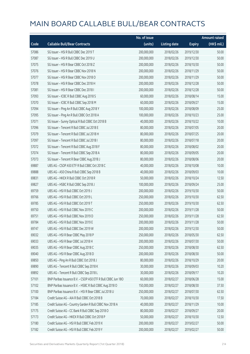|       |                                                              | No. of issue |                     |               | <b>Amount raised</b> |
|-------|--------------------------------------------------------------|--------------|---------------------|---------------|----------------------|
| Code  | <b>Callable Bull/Bear Contracts</b>                          | (units)      | <b>Listing date</b> | <b>Expiry</b> | (HK\$ mil.)          |
| 57086 | SG Issuer - HSI R Bull CBBC Dec 2019 T                       | 200,000,000  | 2018/02/26          | 2019/12/30    | 50.00                |
| 57087 | SG Issuer - HSI R Bull CBBC Dec 2019 U                       | 200,000,000  | 2018/02/26          | 2019/12/30    | 50.00                |
| 57075 | SG Issuer - HSI R Bear CBBC Oct 2018 Z                       | 200,000,000  | 2018/02/26          | 2018/10/30    | 50.00                |
| 57076 | SG Issuer - HSI R Bear CBBC Nov 2018 N                       | 200,000,000  | 2018/02/26          | 2018/11/29    | 50.00                |
| 57077 | SG Issuer - HSI R Bear CBBC Nov 2018 O                       | 200,000,000  | 2018/02/26          | 2018/11/29    | 50.00                |
| 57078 | SG Issuer - HSI R Bear CBBC Dec 2018 H                       | 200,000,000  | 2018/02/26          | 2018/12/28    | 50.00                |
| 57081 | SG Issuer - HSI R Bear CBBC Dec 2018 I                       | 200,000,000  | 2018/02/26          | 2018/12/28    | 50.00                |
| 57093 | SG Issuer - ICBC R Bull CBBC Aug 2018 S                      | 60,000,000   | 2018/02/26          | 2018/08/14    | 15.00                |
| 57070 | SG Issuer - ICBC R Bull CBBC Sep 2018 M                      | 60,000,000   | 2018/02/26          | 2018/09/27    | 15.00                |
| 57094 | SG Issuer - Ping An R Bull CBBC Aug 2018 Y                   | 100,000,000  | 2018/02/26          | 2018/08/09    | 25.00                |
| 57095 | SG Issuer - Ping An R Bull CBBC Oct 2018 A                   | 100,000,000  | 2018/02/26          | 2018/10/23    | 25.00                |
| 57071 | SG Issuer - Sunny Optical R Bull CBBC Oct 2018 B             | 40,000,000   | 2018/02/26          | 2018/10/22    | 10.00                |
| 57096 | SG Issuer - Tencent R Bull CBBC Jul 2018 E                   | 80,000,000   | 2018/02/26          | 2018/07/05    | 20.00                |
| 57079 | SG Issuer - Tencent R Bull CBBC Jul 2018 H                   | 80,000,000   | 2018/02/26          | 2018/07/25    | 20.00                |
| 57097 | SG Issuer - Tencent R Bull CBBC Jul 2018 I                   | 80,000,000   | 2018/02/26          | 2018/07/18    | 20.00                |
| 57072 | SG Issuer - Tencent R Bull CBBC Aug 2018 F                   | 80,000,000   | 2018/02/26          | 2018/08/02    | 20.00                |
| 57074 | SG Issuer - Tencent R Bull CBBC Sep 2018 A                   | 80,000,000   | 2018/02/26          | 2018/09/05    | 20.00                |
| 57073 | SG Issuer - Tencent R Bear CBBC Aug 2018 J                   | 80,000,000   | 2018/02/26          | 2018/08/06    | 20.00                |
| 69887 | UBS AG - CSOP A50 ETF R Bull CBBC Oct 2018 C                 | 40,000,000   | 2018/02/26          | 2018/10/08    | 10.00                |
| 69888 | UBS AG - A50 China R Bull CBBC Sep 2018 B                    | 40,000,000   | 2018/02/26          | 2018/09/03    | 10.00                |
| 69831 | UBS AG - HKEX R Bull CBBC Oct 2018 R                         | 50,000,000   | 2018/02/26          | 2018/10/24    | 12.50                |
| 69827 | UBS AG - HSBC R Bull CBBC Sep 2018 J                         | 100,000,000  | 2018/02/26          | 2018/09/24    | 25.00                |
| 69759 | UBS AG - HSI R Bull CBBC Oct 2019 J                          | 200,000,000  | 2018/02/26          | 2019/10/30    | 50.00                |
| 69766 | UBS AG - HSI R Bull CBBC Oct 2019 L                          | 250,000,000  | 2018/02/26          | 2019/10/30    | 62.50                |
| 69785 | UBS AG - HSI R Bull CBBC Oct 2019 T                          | 250,000,000  | 2018/02/26          | 2019/10/30    | 62.50                |
| 69750 | UBS AG - HSI R Bull CBBC Nov 2019 C                          | 200,000,000  | 2018/02/26          | 2019/11/28    | 50.00                |
| 69751 | UBS AG - HSI R Bull CBBC Nov 2019 D                          | 250,000,000  | 2018/02/26          | 2019/11/28    | 62.50                |
| 69784 | UBS AG - HSI R Bull CBBC Nov 2019 E                          | 200,000,000  | 2018/02/26          | 2019/11/28    | 50.00                |
| 69747 | UBS AG - HSI R Bull CBBC Dec 2019 W                          | 200,000,000  | 2018/02/26          | 2019/12/30    | 50.00                |
| 69032 | UBS AG - HSI R Bear CBBC May 2018 P                          | 250,000,000  | 2018/02/26          | 2018/05/30    | 62.50                |
| 69033 | UBS AG - HSI R Bear CBBC Jul 2018 H                          | 200,000,000  | 2018/02/26          | 2018/07/30    | 50.00                |
| 69035 | UBS AG - HSI R Bear CBBC Aug 2018 C                          | 250,000,000  | 2018/02/26          | 2018/08/30    | 62.50                |
| 69040 | UBS AG - HSI R Bear CBBC Aug 2018 D                          | 200,000,000  | 2018/02/26          | 2018/08/30    | 50.00                |
| 69850 | UBS AG - Ping An R Bull CBBC Oct 2018 J                      | 80,000,000   | 2018/02/26          | 2018/10/29    | 20.00                |
| 69890 | UBS AG - Tencent R Bull CBBC Sep 2018 K                      | 30,000,000   | 2018/02/26          | 2018/09/03    | 10.20                |
| 69892 | UBS AG - Tencent R Bull CBBC Sep 2018 L                      | 30,000,000   | 2018/02/26          | 2018/09/17    | 10.20                |
| 57101 | BNP Paribas Issuance B.V. - CSOP A50 ETF R Bull CBBC Jun 180 | 60,000,000   | 2018/02/27          | 2018/06/28    | 15.00                |
| 57102 | BNP Paribas Issuance B.V. - HSBC R Bull CBBC Aug 2018 O      | 150,000,000  | 2018/02/27          | 2018/08/30    | 37.50                |
| 57100 | BNP Paribas Issuance B.V. - HSI R Bear CBBC Jul 2018 U       | 250,000,000  | 2018/02/27          | 2018/07/30    | 62.50                |
| 57184 | Credit Suisse AG - AIA R Bull CBBC Oct 2018 B                | 70,000,000   | 2018/02/27          | 2018/10/30    | 17.50                |
| 57185 | Credit Suisse AG - Country Garden R Bull CBBC Nov 2018 A     | 40,000,000   | 2018/02/27          | 2018/11/29    | 10.00                |
| 57175 | Credit Suisse AG - CC Bank R Bull CBBC Sep 2018 O            | 80,000,000   | 2018/02/27          | 2018/09/27    | 20.00                |
| 57173 | Credit Suisse AG - HKEX R Bull CBBC Oct 2018 P               | 50,000,000   | 2018/02/27          | 2018/10/30    | 12.50                |
| 57180 | Credit Suisse AG - HSI R Bull CBBC Feb 2019 X                | 200,000,000  | 2018/02/27          | 2019/02/27    | 50.00                |
| 57182 | Credit Suisse AG - HSI R Bull CBBC Feb 2019 Y                | 200,000,000  | 2018/02/27          | 2019/02/27    | 50.00                |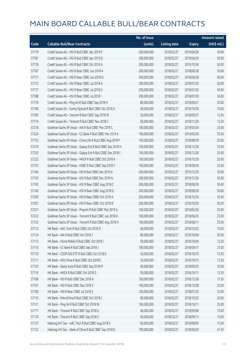|       |                                                             | No. of issue |                     |               | <b>Amount raised</b> |
|-------|-------------------------------------------------------------|--------------|---------------------|---------------|----------------------|
| Code  | <b>Callable Bull/Bear Contracts</b>                         | (units)      | <b>Listing date</b> | <b>Expiry</b> | (HK\$ mil.)          |
| 57179 | Credit Suisse AG - HSI R Bull CBBC Apr 2019 P               | 200,000,000  | 2018/02/27          | 2019/04/29    | 50.00                |
| 57181 | Credit Suisse AG - HSI R Bull CBBC Apr 2019 Q               | 200,000,000  | 2018/02/27          | 2019/04/29    | 50.00                |
| 57178 | Credit Suisse AG - HSI R Bull CBBC Oct 2019 A               | 200,000,000  | 2018/02/27          | 2019/10/30    | 50.00                |
| 57187 | Credit Suisse AG - HSI R Bear CBBC Jun 2018 A               | 200,000,000  | 2018/02/27          | 2018/06/28    | 50.00                |
| 57171 | Credit Suisse AG - HSI R Bear CBBC Jun 2018 Q               | 200,000,000  | 2018/02/27          | 2018/06/28    | 50.00                |
| 57172 | Credit Suisse AG - HSI R Bear CBBC Jul 2018 A               | 200,000,000  | 2018/02/27          | 2018/07/30    | 50.00                |
| 57177 | Credit Suisse AG - HSI R Bear CBBC Jul 2018 G               | 200,000,000  | 2018/02/27          | 2018/07/30    | 50.00                |
| 57188 | Credit Suisse AG - HSI R Bear CBBC Jul 2018 I               | 200,000,000  | 2018/02/27          | 2018/07/30    | 50.00                |
| 57176 | Credit Suisse AG - Ping An R Bull CBBC Sep 2018 H           | 80,000,000   | 2018/02/27          | 2018/09/27    | 20.00                |
| 57186 | Credit Suisse AG - Sunny Optical R Bull CBBC Oct 2018 A     | 40,000,000   | 2018/02/27          | 2018/10/30    | 10.00                |
| 57183 | Credit Suisse AG - Tencent R Bull CBBC Sep 2018 W           | 50,000,000   | 2018/02/27          | 2018/09/27    | 12.50                |
| 57174 | Credit Suisse AG - Tencent R Bull CBBC Nov 2018 C           | 50,000,000   | 2018/02/27          | 2018/11/29    | 12.50                |
| 57218 | Goldman Sachs SP (Asia) - AIA R Bull CBBC Mar 2019 C        | 100,000,000  | 2018/02/27          | 2019/03/26    | 25.00                |
| 57224 | Goldman Sachs SP (Asia) - CC Bank R Bull CBBC Mar 2019 A    | 100,000,000  | 2018/02/27          | 2019/03/26    | 25.00                |
| 57153 | Goldman Sachs SP (Asia) - China Life R Bull CBBC Aug 2018 F | 100,000,000  | 2018/02/27          | 2018/08/30    | 25.00                |
| 57219 | Goldman Sachs SP (Asia) - Galaxy Ent R Bull CBBC Dec 2018 H | 100,000,000  | 2018/02/27          | 2018/12/28    | 25.00                |
| 57220 | Goldman Sachs SP (Asia) - Galaxy Ent R Bull CBBC Dec 2018 I | 100,000,000  | 2018/02/27          | 2018/12/28    | 25.00                |
| 57222 | Goldman Sachs SP (Asia) - HKEX R Bull CBBC Oct 2018 A       | 100,000,000  | 2018/02/27          | 2018/10/29    | 25.00                |
| 57151 | Goldman Sachs SP (Asia) - HSBC R Bull CBBC Sep 2018 Y       | 100,000,000  | 2018/02/27          | 2018/09/26    | 25.00                |
| 57104 | Goldman Sachs SP (Asia) - HSI R Bull CBBC Dec 2019 A        | 200,000,000  | 2018/02/27          | 2019/12/30    | 50.00                |
| 57103 | Goldman Sachs SP (Asia) - HSI R Bull CBBC Dec 2019 N        | 200,000,000  | 2018/02/27          | 2019/12/30    | 50.00                |
| 57105 | Goldman Sachs SP (Asia) - HSI R Bear CBBC Aug 2018 C        | 200,000,000  | 2018/02/27          | 2018/08/30    | 50.40                |
| 57106 | Goldman Sachs SP (Asia) - HSI R Bear CBBC Aug 2018 D        | 200,000,000  | 2018/02/27          | 2018/08/30    | 50.60                |
| 57200 | Goldman Sachs SP (Asia) - HSI R Bear CBBC Oct 2018 A        | 200,000,000  | 2018/02/27          | 2018/10/30    | 50.40                |
| 57201 | Goldman Sachs SP (Asia) - HSI R Bear CBBC Oct 2018 B        | 200,000,000  | 2018/02/27          | 2018/10/30    | 50.20                |
| 57221 | Goldman Sachs SP (Asia) - Ping An R Bull CBBC Mar 2019 A    | 100,000,000  | 2018/02/27          | 2019/03/26    | 25.00                |
| 57223 | Goldman Sachs SP (Asia) - Tencent R Bull CBBC Jun 2018 H    | 100,000,000  | 2018/02/27          | 2018/06/25    | 25.00                |
| 57152 | Goldman Sachs SP (Asia) - Tencent R Bull CBBC Aug 2018 H    | 100,000,000  | 2018/02/27          | 2018/08/17    | 25.00                |
| 57112 | HK Bank - AAC Tech R Bull CBBC Oct 2018 D                   | 40,000,000   | 2018/02/27          | 2018/10/22    | 10.00                |
| 57114 | HK Bank - AIA R Bull CBBC Oct 2018 J                        | 80,000,000   | 2018/02/27          | 2018/10/04    | 20.00                |
| 57113 | HK Bank - China Mobile R Bull CBBC Oct 2018 I               | 50,000,000   | 2018/02/27          | 2018/10/04    | 12.50                |
| 57115 | HK Bank - CC Bank R Bull CBBC Sep 2018 J                    | 100,000,000  | 2018/02/27          | 2018/09/17    | 25.00                |
| 57110 | HK Bank - CSOP A50 ETF R Bull CBBC Oct 2018 K               | 50,000,000   | 2018/02/27          | 2018/10/15    | 12.50                |
| 57111 | HK Bank - A50 China R Bull CBBC Oct 2018 E                  | 50,000,000   | 2018/02/27          | 2018/10/15    | 12.50                |
| 57120 | HK Bank - Geely Auto R Bull CBBC Sep 2018 M                 | 40,000,000   | 2018/02/27          | 2018/09/03    | 10.00                |
| 57119 | HK Bank - HKEX R Bull CBBC Oct 2018 G                       | 50,000,000   | 2018/02/27          | 2018/10/11    | 12.50                |
| 57108 | HK Bank - HSI R Bull CBBC Dec 2018 A                        | 150,000,000  | 2018/02/27          | 2018/12/28    | 37.50                |
| 57107 | HK Bank - HSI R Bull CBBC Dec 2018 Z                        | 100,000,000  | 2018/02/27          | 2018/12/28    | 25.00                |
| 57109 | HK Bank - HSI R Bear CBBC Jul 2018 S                        | 100,000,000  | 2018/02/27          | 2018/07/30    | 25.00                |
| 57116 | HK Bank - PetroChina R Bull CBBC Oct 2018 J                 | 80,000,000   | 2018/02/27          | 2018/10/22    | 20.00                |
| 57121 | HK Bank - Ping An R Bull CBBC Oct 2018 W                    | 100,000,000  | 2018/02/27          | 2018/10/11    | 25.00                |
| 57117 | HK Bank - Tencent R Bull CBBC Sep 2018 U                    | 60,000,000   | 2018/02/27          | 2018/09/06    | 15.00                |
| 57118 | HK Bank - Tencent R Bull CBBC Sep 2018 V                    | 60,000,000   | 2018/02/27          | 2018/09/13    | 15.00                |
| 57127 | Haitong Int'l Sec - AAC Tech R Bull CBBC Aug 2018 A         | 60,000,000   | 2018/02/27          | 2018/08/03    | 15.00                |
| 57132 | Haitong Int'l Sec - Bank of China R Bull CBBC Sep 2018 B    | 190,000,000  | 2018/02/27          | 2018/09/20    | 47.50                |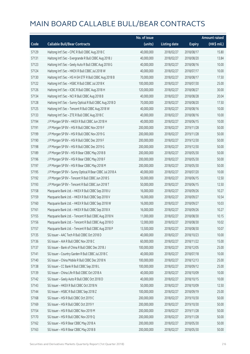|       |                                                          | No. of issue |                     |               | <b>Amount raised</b> |
|-------|----------------------------------------------------------|--------------|---------------------|---------------|----------------------|
| Code  | <b>Callable Bull/Bear Contracts</b>                      | (units)      | <b>Listing date</b> | <b>Expiry</b> | (HK\$ mil.)          |
| 57129 | Haitong Int'l Sec - CPIC R Bull CBBC Aug 2018 C          | 40,000,000   | 2018/02/27          | 2018/08/17    | 15.80                |
| 57131 | Haitong Int'l Sec - Evergrande R Bull CBBC Aug 2018 J    | 40,000,000   | 2018/02/27          | 2018/08/20    | 13.84                |
| 57123 | Haitong Int'l Sec - Geely Auto R Bull CBBC Aug 2018 G    | 40,000,000   | 2018/02/27          | 2018/08/16    | 10.00                |
| 57124 | Haitong Int'l Sec - HKEX R Bull CBBC Jul 2018 W          | 40,000,000   | 2018/02/27          | 2018/07/17    | 10.00                |
| 57130 | Haitong Int'l Sec - HS H-SH ETF R Bull CBBC Aug 2018 B   | 70,000,000   | 2018/02/27          | 2018/08/17    | 17.50                |
| 57122 | Haitong Int'l Sec - HSBC R Bull CBBC Jul 2018 K          | 100,000,000  | 2018/02/27          | 2018/07/30    | 25.00                |
| 57126 | Haitong Int'l Sec - ICBC R Bull CBBC Aug 2018 H          | 120,000,000  | 2018/02/27          | 2018/08/27    | 30.00                |
| 57134 | Haitong Int'l Sec - NCI R Bull CBBC Aug 2018 B           | 40,000,000   | 2018/02/27          | 2018/08/28    | 20.04                |
| 57128 | Haitong Int'l Sec - Sunny Optical R Bull CBBC Aug 2018 D | 70,000,000   | 2018/02/27          | 2018/08/20    | 17.50                |
| 57125 | Haitong Int'l Sec - Tencent R Bull CBBC Aug 2018 W       | 40,000,000   | 2018/02/27          | 2018/08/16    | 10.00                |
| 57133 | Haitong Int'l Sec - ZTE R Bull CBBC Aug 2018 C           | 40,000,000   | 2018/02/27          | 2018/08/16    | 10.00                |
| 57194 | J P Morgan SP BV - HKEX R Bull CBBC Jun 2018 H           | 40,000,000   | 2018/02/27          | 2018/06/15    | 10.00                |
| 57191 | J P Morgan SP BV - HSI R Bull CBBC Nov 2019 F            | 200,000,000  | 2018/02/27          | 2019/11/28    | 50.00                |
| 57199 | J P Morgan SP BV - HSI R Bull CBBC Nov 2019 G            | 200,000,000  | 2018/02/27          | 2019/11/28    | 50.00                |
| 57190 | J P Morgan SP BV - HSI R Bull CBBC Dec 2019 F            | 200,000,000  | 2018/02/27          | 2019/12/30    | 50.00                |
| 57198 | J P Morgan SP BV - HSI R Bull CBBC Dec 2019 G            | 200,000,000  | 2018/02/27          | 2019/12/30    | 50.00                |
| 57189 | J P Morgan SP BV - HSI R Bear CBBC May 2018 B            | 200,000,000  | 2018/02/27          | 2018/05/30    | 50.00                |
| 57196 | J P Morgan SP BV - HSI R Bear CBBC May 2018 F            | 200,000,000  | 2018/02/27          | 2018/05/30    | 50.00                |
| 57197 | J P Morgan SP BV - HSI R Bear CBBC May 2018 M            | 200,000,000  | 2018/02/27          | 2018/05/30    | 50.00                |
| 57195 | J P Morgan SP BV - Sunny Optical R Bear CBBC Jul 2018 A  | 40,000,000   | 2018/02/27          | 2018/07/20    | 10.00                |
| 57192 | J P Morgan SP BV - Tencent R Bull CBBC Jun 2018 S        | 50,000,000   | 2018/02/27          | 2018/06/15    | 12.50                |
| 57193 | J P Morgan SP BV - Tencent R Bull CBBC Jun 2018 T        | 50,000,000   | 2018/02/27          | 2018/06/15    | 12.50                |
| 57158 | Macquarie Bank Ltd. - HKEX R Bull CBBC Sep 2018 U        | 16,000,000   | 2018/02/27          | 2018/09/26    | 10.27                |
| 57159 | Macquarie Bank Ltd. - HKEX R Bull CBBC Sep 2018 V        | 16,000,000   | 2018/02/27          | 2018/09/27    | 10.54                |
| 57160 | Macquarie Bank Ltd. - HKEX R Bull CBBC Sep 2018 W        | 16,000,000   | 2018/02/27          | 2018/09/27    | 10.03                |
| 57161 | Macquarie Bank Ltd. - HKEX R Bull CBBC Sep 2018 X        | 16,000,000   | 2018/02/27          | 2018/09/26    | 10.27                |
| 57155 | Macquarie Bank Ltd. - Tencent R Bull CBBC Aug 2018 N     | 11,000,000   | 2018/02/27          | 2018/08/30    | 10.15                |
| 57156 | Macquarie Bank Ltd. - Tencent R Bull CBBC Aug 2018 O     | 12,000,000   | 2018/02/27          | 2018/08/30    | 10.02                |
| 57157 | Macquarie Bank Ltd. - Tencent R Bull CBBC Aug 2018 P     | 13,500,000   | 2018/02/27          | 2018/08/30    | 10.07                |
| 57135 | SG Issuer - AAC Tech R Bull CBBC Oct 2018 D              | 40,000,000   | 2018/02/27          | 2018/10/23    | 10.00                |
| 57136 | SG Issuer - AIA R Bull CBBC Nov 2018 C                   | 60,000,000   | 2018/02/27          | 2018/11/22    | 15.00                |
| 57137 | SG Issuer - Bank of China R Bull CBBC Dec 2018 J         | 100,000,000  | 2018/02/27          | 2018/12/05    | 25.00                |
| 57141 | SG Issuer - Country Garden R Bull CBBC Jul 2018 C        | 40,000,000   | 2018/02/27          | 2018/07/18    | 10.00                |
| 57140 | SG Issuer - China Mobile R Bull CBBC Dec 2018 N          | 100,000,000  | 2018/02/27          | 2018/12/13    | 25.00                |
| 57138 | SG Issuer - CC Bank R Bull CBBC Sep 2018 L               | 100,000,000  | 2018/02/27          | 2018/09/12    | 25.00                |
| 57139 | SG Issuer - China Life R Bull CBBC Oct 2018 A            | 40,000,000   | 2018/02/27          | 2018/10/09    | 10.00                |
| 57142 | SG Issuer - Geely Auto R Bull CBBC Oct 2018 D            | 40,000,000   | 2018/02/27          | 2018/10/15    | 10.00                |
| 57143 | SG Issuer - HKEX R Bull CBBC Oct 2018 N                  | 50,000,000   | 2018/02/27          | 2018/10/09    | 12.50                |
| 57144 | SG Issuer - HSBC R Bull CBBC Sep 2018 Z                  | 100,000,000  | 2018/02/27          | 2018/09/19    | 25.00                |
| 57168 | SG Issuer - HSI R Bull CBBC Oct 2019 C                   | 200,000,000  | 2018/02/27          | 2019/10/30    | 50.00                |
| 57169 | SG Issuer - HSI R Bull CBBC Oct 2019 Y                   | 200,000,000  | 2018/02/27          | 2019/10/30    | 50.00                |
| 57154 | SG Issuer - HSI R Bull CBBC Nov 2019 M                   | 200,000,000  | 2018/02/27          | 2019/11/28    | 50.00                |
| 57170 | SG Issuer - HSI R Bull CBBC Nov 2019 Q                   | 200,000,000  | 2018/02/27          | 2019/11/28    | 50.00                |
| 57162 | SG Issuer - HSI R Bear CBBC May 2018 A                   | 200,000,000  | 2018/02/27          | 2018/05/30    | 50.00                |
| 57163 | SG Issuer - HSI R Bear CBBC May 2018 B                   | 200,000,000  | 2018/02/27          | 2018/05/30    | 50.00                |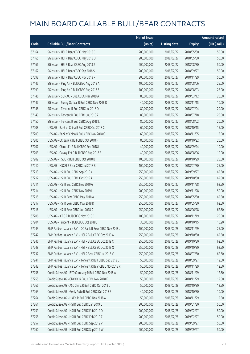|       |                                                            | No. of issue |                     |               | <b>Amount raised</b> |
|-------|------------------------------------------------------------|--------------|---------------------|---------------|----------------------|
| Code  | <b>Callable Bull/Bear Contracts</b>                        | (units)      | <b>Listing date</b> | <b>Expiry</b> | (HK\$ mil.)          |
| 57164 | SG Issuer - HSI R Bear CBBC May 2018 C                     | 200,000,000  | 2018/02/27          | 2018/05/30    | 50.00                |
| 57165 | SG Issuer - HSI R Bear CBBC May 2018 D                     | 200,000,000  | 2018/02/27          | 2018/05/30    | 50.00                |
| 57166 | SG Issuer - HSI R Bear CBBC Aug 2018 Z                     | 200,000,000  | 2018/02/27          | 2018/08/30    | 50.00                |
| 57167 | SG Issuer - HSI R Bear CBBC Sep 2018 S                     | 200,000,000  | 2018/02/27          | 2018/09/27    | 50.00                |
| 57098 | SG Issuer - HSI R Bear CBBC Nov 2018 P                     | 200,000,000  | 2018/02/27          | 2018/11/29    | 50.00                |
| 57145 | SG Issuer - Ping An R Bull CBBC Aug 2018 A                 | 100,000,000  | 2018/02/27          | 2018/08/06    | 25.00                |
| 57099 | SG Issuer - Ping An R Bull CBBC Aug 2018 Z                 | 100,000,000  | 2018/02/27          | 2018/08/03    | 25.00                |
| 57146 | SG Issuer - SUNAC R Bull CBBC Mar 2019 A                   | 80,000,000   | 2018/02/27          | 2019/03/12    | 20.00                |
| 57147 | SG Issuer - Sunny Optical R Bull CBBC Nov 2018 D           | 40,000,000   | 2018/02/27          | 2018/11/15    | 10.00                |
| 57148 | SG Issuer - Tencent R Bull CBBC Jul 2018 D                 | 80,000,000   | 2018/02/27          | 2018/07/04    | 20.00                |
| 57149 | SG Issuer - Tencent R Bull CBBC Jul 2018 Z                 | 80,000,000   | 2018/02/27          | 2018/07/18    | 20.00                |
| 57150 | SG Issuer - Tencent R Bull CBBC Aug 2018 L                 | 80,000,000   | 2018/02/27          | 2018/08/02    | 20.00                |
| 57208 | UBS AG - Bank of China R Bull CBBC Oct 2018 C              | 60,000,000   | 2018/02/27          | 2018/10/15    | 15.00                |
| 57209 | UBS AG - Bank of China R Bull CBBC Nov 2018 C              | 60,000,000   | 2018/02/27          | 2018/11/05    | 15.00                |
| 57205 | UBS AG - CC Bank R Bull CBBC Oct 2018 H                    | 80,000,000   | 2018/02/27          | 2018/10/22    | 20.00                |
| 57207 | UBS AG - China Life R Bull CBBC Sep 2018 I                 | 40,000,000   | 2018/02/27          | 2018/09/24    | 10.00                |
| 57203 | UBS AG - Galaxy Ent R Bull CBBC Aug 2018 B                 | 40,000,000   | 2018/02/27          | 2018/08/06    | 10.00                |
| 57202 | UBS AG - HSBC R Bull CBBC Oct 2018 B                       | 100,000,000  | 2018/02/27          | 2018/10/29    | 25.00                |
| 57210 | UBS AG - HSCEI R Bear CBBC Jul 2018 B                      | 100,000,000  | 2018/02/27          | 2018/07/30    | 25.00                |
| 57213 | UBS AG - HSI R Bull CBBC Sep 2019 Y                        | 250,000,000  | 2018/02/27          | 2019/09/27    | 62.50                |
| 57212 | UBS AG - HSI R Bull CBBC Oct 2019 A                        | 250,000,000  | 2018/02/27          | 2019/10/30    | 62.50                |
| 57211 | UBS AG - HSI R Bull CBBC Nov 2019 G                        | 250,000,000  | 2018/02/27          | 2019/11/28    | 62.50                |
| 57214 | UBS AG - HSI R Bull CBBC Nov 2019 L                        | 200,000,000  | 2018/02/27          | 2019/11/28    | 50.00                |
| 57215 | UBS AG - HSI R Bear CBBC May 2018 A                        | 250,000,000  | 2018/02/27          | 2018/05/30    | 62.50                |
| 57217 | UBS AG - HSI R Bear CBBC May 2018 D                        | 250,000,000  | 2018/02/27          | 2018/05/30    | 62.50                |
| 57216 | UBS AG - HSI R Bear CBBC Jun 2018 D                        | 250,000,000  | 2018/02/27          | 2018/06/28    | 62.50                |
| 57206 | UBS AG - ICBC R Bull CBBC Nov 2018 C                       | 100,000,000  | 2018/02/27          | 2018/11/19    | 25.00                |
| 57204 | UBS AG - Tencent R Bull CBBC Oct 2018 J                    | 30,000,000   | 2018/02/27          | 2018/10/15    | 10.20                |
| 57243 | BNP Paribas Issuance B.V. - CC Bank R Bear CBBC Nov 2018 J | 100,000,000  | 2018/02/28          | 2018/11/29    | 25.00                |
| 57247 | BNP Paribas Issuance B.V. - HSI R Bull CBBC Oct 2019 A     | 250,000,000  | 2018/02/28          | 2019/10/30    | 62.50                |
| 57246 | BNP Paribas Issuance B.V. - HSI R Bull CBBC Oct 2019 C     | 250,000,000  | 2018/02/28          | 2019/10/30    | 62.50                |
| 57248 | BNP Paribas Issuance B.V. - HSI R Bull CBBC Oct 2019 Q     | 250,000,000  | 2018/02/28          | 2019/10/30    | 62.50                |
| 57237 | BNP Paribas Issuance B.V. - HSI R Bear CBBC Jul 2018 V     | 250,000,000  | 2018/02/28          | 2018/07/30    | 62.50                |
| 57241 | BNP Paribas Issuance B.V. - Tencent R Bull CBBC Sep 2018 L | 50,000,000   | 2018/02/28          | 2018/09/27    | 12.50                |
| 57242 | BNP Paribas Issuance B.V. - Tencent R Bear CBBC Nov 2018 R | 50,000,000   | 2018/02/28          | 2018/11/29    | 12.50                |
| 57256 | Credit Suisse AG - BYD Company R Bull CBBC Nov 2018 A      | 50,000,000   | 2018/02/28          | 2018/11/29    | 12.50                |
| 57255 | Credit Suisse AG - CNOOC R Bull CBBC Nov 2018 F            | 50,000,000   | 2018/02/28          | 2018/11/29    | 12.50                |
| 57266 | Credit Suisse AG - A50 China R Bull CBBC Oct 2018 C        | 50,000,000   | 2018/02/28          | 2018/10/30    | 12.50                |
| 57263 | Credit Suisse AG - Geely Auto R Bull CBBC Oct 2018 B       | 40,000,000   | 2018/02/28          | 2018/10/30    | 10.00                |
| 57264 | Credit Suisse AG - HKEX R Bull CBBC Nov 2018 A             | 50,000,000   | 2018/02/28          | 2018/11/29    | 12.50                |
| 57261 | Credit Suisse AG - HSI R Bull CBBC Jan 2019 U              | 200,000,000  | 2018/02/28          | 2019/01/30    | 50.00                |
| 57259 | Credit Suisse AG - HSI R Bull CBBC Feb 2019 D              | 200,000,000  | 2018/02/28          | 2019/02/27    | 50.00                |
| 57258 | Credit Suisse AG - HSI R Bull CBBC Feb 2019 Z              | 200,000,000  | 2018/02/28          | 2019/02/27    | 50.00                |
| 57257 | Credit Suisse AG - HSI R Bull CBBC Sep 2019 V              | 200,000,000  | 2018/02/28          | 2019/09/27    | 50.00                |
| 57260 | Credit Suisse AG - HSI R Bull CBBC Sep 2019 W              | 200,000,000  | 2018/02/28          | 2019/09/27    | 50.00                |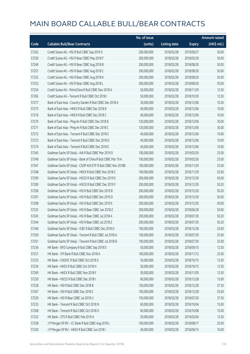|       |                                                              | No. of issue |                     |               | <b>Amount raised</b> |
|-------|--------------------------------------------------------------|--------------|---------------------|---------------|----------------------|
| Code  | <b>Callable Bull/Bear Contracts</b>                          | (units)      | <b>Listing date</b> | <b>Expiry</b> | (HK\$ mil.)          |
| 57262 | Credit Suisse AG - HSI R Bull CBBC Sep 2019 X                | 200,000,000  | 2018/02/28          | 2019/09/27    | 50.00                |
| 57250 | Credit Suisse AG - HSI R Bear CBBC May 2018 F                | 200,000,000  | 2018/02/28          | 2018/05/30    | 50.00                |
| 57249 | Credit Suisse AG - HSI R Bear CBBC Aug 2018 B                | 200,000,000  | 2018/02/28          | 2018/08/30    | 50.00                |
| 57251 | Credit Suisse AG - HSI R Bear CBBC Aug 2018 C                | 200,000,000  | 2018/02/28          | 2018/08/30    | 50.00                |
| 57252 | Credit Suisse AG - HSI R Bear CBBC Aug 2018 K                | 200,000,000  | 2018/02/28          | 2018/08/30    | 50.00                |
| 57253 | Credit Suisse AG - HSI R Bear CBBC Aug 2018 L                | 200,000,000  | 2018/02/28          | 2018/08/30    | 50.00                |
| 57254 | Credit Suisse AG - PetroChina R Bull CBBC Nov 2018 A         | 50,000,000   | 2018/02/28          | 2018/11/29    | 12.50                |
| 57265 | Credit Suisse AG - Tencent R Bull CBBC Oct 2018 I            | 50,000,000   | 2018/02/28          | 2018/10/30    | 12.50                |
| 57277 | Bank of East Asia - Country Garden R Bull CBBC Dec 2018 A    | 30,000,000   | 2018/02/28          | 2018/12/06    | 10.20                |
| 57275 | Bank of East Asia - HKEX R Bull CBBC Dec 2018 B              | 40,000,000   | 2018/02/28          | 2018/12/06    | 10.00                |
| 57276 | Bank of East Asia - HKEX R Bull CBBC Dec 2018 C              | 40,000,000   | 2018/02/28          | 2018/12/06    | 10.00                |
| 57270 | Bank of East Asia - Ping An R Bull CBBC Dec 2018 B           | 120,000,000  | 2018/02/28          | 2018/12/06    | 30.00                |
| 57271 | Bank of East Asia - Ping An R Bull CBBC Dec 2018 C           | 120,000,000  | 2018/02/28          | 2018/12/06    | 30.00                |
| 57272 | Bank of East Asia - Tencent R Bull CBBC Dec 2018 C           | 40,000,000   | 2018/02/28          | 2018/12/06    | 10.00                |
| 57273 | Bank of East Asia - Tencent R Bull CBBC Dec 2018 D           | 40,000,000   | 2018/02/28          | 2018/12/06    | 10.00                |
| 57274 | Bank of East Asia - Tencent R Bull CBBC Dec 2018 E           | 40,000,000   | 2018/02/28          | 2018/12/06    | 10.00                |
| 57345 | Goldman Sachs SP (Asia) - AIA R Bull CBBC Mar 2019 D         | 100,000,000  | 2018/02/28          | 2019/03/29    | 25.00                |
| 57349 | Goldman Sachs SP (Asia) - Bank of China R Bull CBBC Mar 19 A | 100,000,000  | 2018/02/28          | 2019/03/26    | 25.00                |
| 57347 | Goldman Sachs SP (Asia) - CSOP A50 ETF R Bull CBBC Nov 2018B | 100,000,000  | 2018/02/28          | 2018/11/29    | 25.00                |
| 57348 | Goldman Sachs SP (Asia) - HKEX R Bull CBBC Nov 2018 C        | 100,000,000  | 2018/02/28          | 2018/11/29    | 25.00                |
| 57299 | Goldman Sachs SP (Asia) - HSCEI R Bull CBBC Dec 2019 E       | 200,000,000  | 2018/02/28          | 2019/12/30    | 50.00                |
| 57300 | Goldman Sachs SP (Asia) - HSCEI R Bull CBBC Dec 2019 F       | 200,000,000  | 2018/02/28          | 2019/12/30    | 50.20                |
| 57296 | Goldman Sachs SP (Asia) - HSI R Bull CBBC Dec 2019 B         | 200,000,000  | 2018/02/28          | 2019/12/30    | 50.20                |
| 57297 | Goldman Sachs SP (Asia) - HSI R Bull CBBC Dec 2019 D         | 200,000,000  | 2018/02/28          | 2019/12/30    | 50.00                |
| 57298 | Goldman Sachs SP (Asia) - HSI R Bull CBBC Dec 2019 E         | 200,000,000  | 2018/02/28          | 2019/12/30    | 50.00                |
| 57225 | Goldman Sachs SP (Asia) - HSI R Bear CBBC Jun 2018 Z         | 200,000,000  | 2018/02/28          | 2018/06/28    | 50.00                |
| 57245 | Goldman Sachs SP (Asia) - HSI R Bear CBBC Jul 2018 A         | 200,000,000  | 2018/02/28          | 2018/07/30    | 50.20                |
| 57244 | Goldman Sachs SP (Asia) - HSI R Bear CBBC Jul 2018 Z         | 200,000,000  | 2018/02/28          | 2018/07/30    | 50.20                |
| 57346 | Goldman Sachs SP (Asia) - ICBC R Bull CBBC Dec 2018 O        | 100,000,000  | 2018/02/28          | 2018/12/28    | 25.00                |
| 57350 | Goldman Sachs SP (Asia) - Tencent R Bull CBBC Jul 2018 A     | 100,000,000  | 2018/02/28          | 2018/07/30    | 25.00                |
| 57351 | Goldman Sachs SP (Asia) - Tencent R Bull CBBC Jul 2018 B     | 100,000,000  | 2018/02/28          | 2018/07/30    | 25.00                |
| 57236 | HK Bank - BYD Company R Bull CBBC Sep 2018 D                 | 50,000,000   | 2018/02/28          | 2018/09/10    | 12.50                |
| 57231 | HK Bank - CM Bank R Bull CBBC Nov 2018 A                     | 100,000,000  | 2018/02/28          | 2018/11/12    | 25.00                |
| 57235 | HK Bank - CNOOC R Bull CBBC Oct 2018 G                       | 50,000,000   | 2018/02/28          | 2018/10/15    | 12.50                |
| 57234 | HK Bank - HKEX R Bull CBBC Oct 2018 H                        | 50,000,000   | 2018/02/28          | 2018/10/15    | 12.50                |
| 57269 | HK Bank - HKEX R Bull CBBC Nov 2018 F                        | 50,000,000   | 2018/02/28          | 2018/11/05    | 12.50                |
| 57230 | HK Bank - HSCEI R Bull CBBC Dec 2018 I                       | 60,000,000   | 2018/02/28          | 2018/12/28    | 15.00                |
| 57228 | HK Bank - HSI R Bull CBBC Dec 2018 B                         | 150,000,000  | 2018/02/28          | 2018/12/28    | 37.50                |
| 57267 | HK Bank - HSI R Bull CBBC Dec 2018 C                         | 100,000,000  | 2018/02/28          | 2018/12/28    | 25.00                |
| 57229 | HK Bank - HSI R Bear CBBC Jul 2018 U                         | 150,000,000  | 2018/02/28          | 2018/07/30    | 37.50                |
| 57233 | HK Bank - Tencent R Bull CBBC Oct 2018 N                     | 60,000,000   | 2018/02/28          | 2018/10/04    | 15.00                |
| 57268 | HK Bank - Tencent R Bull CBBC Oct 2018 O                     | 60,000,000   | 2018/02/28          | 2018/10/08    | 15.00                |
| 57232 | HK Bank - ZTE R Bull CBBC Feb 2019 A                         | 50,000,000   | 2018/02/28          | 2019/02/04    | 12.50                |
| 57328 | J P Morgan SP BV - CC Bank R Bull CBBC Aug 2018 L            | 100,000,000  | 2018/02/28          | 2018/08/17    | 25.00                |
| 57330 | J P Morgan SP BV - HKEX R Bull CBBC Jun 2018 I               | 40,000,000   | 2018/02/28          | 2018/06/15    | 10.00                |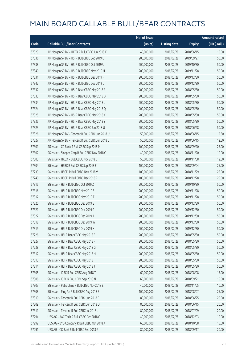|       |                                                   | No. of issue |                     |               | <b>Amount raised</b> |
|-------|---------------------------------------------------|--------------|---------------------|---------------|----------------------|
| Code  | <b>Callable Bull/Bear Contracts</b>               | (units)      | <b>Listing date</b> | <b>Expiry</b> | (HK\$ mil.)          |
| 57329 | J P Morgan SP BV - HKEX R Bull CBBC Jun 2018 K    | 40,000,000   | 2018/02/28          | 2018/06/15    | 10.00                |
| 57336 | J P Morgan SP BV - HSI R Bull CBBC Sep 2019 L     | 200,000,000  | 2018/02/28          | 2019/09/27    | 50.00                |
| 57338 | J P Morgan SP BV - HSI R Bull CBBC Oct 2019 U     | 200,000,000  | 2018/02/28          | 2019/10/30    | 50.00                |
| 57340 | J P Morgan SP BV - HSI R Bull CBBC Nov 2019 H     | 200,000,000  | 2018/02/28          | 2019/11/28    | 50.00                |
| 57331 | JP Morgan SP BV - HSIR Bull CBBC Dec 2019 H       | 200,000,000  | 2018/02/28          | 2019/12/30    | 50.00                |
| 57342 | J P Morgan SP BV - HSI R Bull CBBC Dec 2019 U     | 200,000,000  | 2018/02/28          | 2019/12/30    | 50.00                |
| 57332 | J P Morgan SP BV - HSI R Bear CBBC May 2018 A     | 200,000,000  | 2018/02/28          | 2018/05/30    | 50.00                |
| 57333 | J P Morgan SP BV - HSI R Bear CBBC May 2018 D     | 200,000,000  | 2018/02/28          | 2018/05/30    | 50.00                |
| 57334 | J P Morgan SP BV - HSI R Bear CBBC May 2018 L     | 200,000,000  | 2018/02/28          | 2018/05/30    | 50.00                |
| 57324 | J P Morgan SP BV - HSI R Bear CBBC May 2018 Q     | 200,000,000  | 2018/02/28          | 2018/05/30    | 50.00                |
| 57325 | J P Morgan SP BV - HSI R Bear CBBC May 2018 X     | 200,000,000  | 2018/02/28          | 2018/05/30    | 50.00                |
| 57335 | J P Morgan SP BV - HSI R Bear CBBC May 2018 Z     | 200,000,000  | 2018/02/28          | 2018/05/30    | 50.00                |
| 57323 | J P Morgan SP BV - HSI R Bear CBBC Jun 2018 U     | 200,000,000  | 2018/02/28          | 2018/06/28    | 50.00                |
| 57326 | J P Morgan SP BV - Tencent R Bull CBBC Jun 2018 U | 50,000,000   | 2018/02/28          | 2018/06/15    | 12.50                |
| 57327 | J P Morgan SP BV - Tencent R Bull CBBC Jun 2018 V | 50,000,000   | 2018/02/28          | 2018/06/15    | 12.50                |
| 57301 | SG Issuer - CC Bank R Bull CBBC Sep 2018 M        | 100,000,000  | 2018/02/28          | 2018/09/20    | 25.00                |
| 57302 | SG Issuer - Sinopec Corp R Bull CBBC Nov 2018 C   | 40,000,000   | 2018/02/28          | 2018/11/20    | 10.00                |
| 57303 | SG Issuer - HKEX R Bull CBBC Nov 2018 L           | 50,000,000   | 2018/02/28          | 2018/11/08    | 12.50                |
| 57304 | SG Issuer - HSBC R Bull CBBC Sep 2018 F           | 100,000,000  | 2018/02/28          | 2018/09/04    | 25.00                |
| 57239 | SG Issuer - HSCEI R Bull CBBC Nov 2018 V          | 100,000,000  | 2018/02/28          | 2018/11/29    | 25.00                |
| 57240 | SG Issuer - HSCEI R Bull CBBC Dec 2018 R          | 100,000,000  | 2018/02/28          | 2018/12/28    | 25.00                |
| 57315 | SG Issuer - HSI R Bull CBBC Oct 2019 Z            | 200,000,000  | 2018/02/28          | 2019/10/30    | 50.00                |
| 57316 | SG Issuer - HSI R Bull CBBC Nov 2019 S            | 200,000,000  | 2018/02/28          | 2019/11/28    | 50.00                |
| 57317 | SG Issuer - HSI R Bull CBBC Nov 2019 T            | 200,000,000  | 2018/02/28          | 2019/11/28    | 50.00                |
| 57320 | SG Issuer - HSI R Bull CBBC Dec 2019 E            | 200,000,000  | 2018/02/28          | 2019/12/30    | 50.00                |
| 57321 | SG Issuer - HSI R Bull CBBC Dec 2019 G            | 200,000,000  | 2018/02/28          | 2019/12/30    | 50.00                |
| 57322 | SG Issuer - HSI R Bull CBBC Dec 2019 J            | 200,000,000  | 2018/02/28          | 2019/12/30    | 50.00                |
| 57318 | SG Issuer - HSI R Bull CBBC Dec 2019 W            | 200,000,000  | 2018/02/28          | 2019/12/30    | 50.00                |
| 57319 | SG Issuer - HSI R Bull CBBC Dec 2019 X            | 200,000,000  | 2018/02/28          | 2019/12/30    | 50.00                |
| 57226 | SG Issuer - HSI R Bear CBBC May 2018 E            | 200,000,000  | 2018/02/28          | 2018/05/30    | 50.00                |
| 57227 | SG Issuer - HSI R Bear CBBC May 2018 F            | 200,000,000  | 2018/02/28          | 2018/05/30    | 50.00                |
| 57238 | SG Issuer - HSI R Bear CBBC May 2018 G            | 200,000,000  | 2018/02/28          | 2018/05/30    | 50.00                |
| 57312 | SG Issuer - HSI R Bear CBBC May 2018 H            | 200,000,000  | 2018/02/28          | 2018/05/30    | 50.00                |
| 57313 | SG Issuer - HSI R Bear CBBC May 2018 I            | 200,000,000  | 2018/02/28          | 2018/05/30    | 50.00                |
| 57314 | SG Issuer - HSI R Bear CBBC May 2018 J            | 200,000,000  | 2018/02/28          | 2018/05/30    | 50.00                |
| 57305 | SG Issuer - ICBC R Bull CBBC Aug 2018 T           | 60,000,000   | 2018/02/28          | 2018/08/08    | 15.00                |
| 57306 | SG Issuer - ICBC R Bull CBBC Sep 2018 N           | 60,000,000   | 2018/02/28          | 2018/09/21    | 15.00                |
| 57307 | SG Issuer - PetroChina R Bull CBBC Nov 2018 E     | 40,000,000   | 2018/02/28          | 2018/11/05    | 10.00                |
| 57308 | SG Issuer - Ping An R Bull CBBC Aug 2018 E        | 100,000,000  | 2018/02/28          | 2018/08/07    | 25.00                |
| 57310 | SG Issuer - Tencent R Bull CBBC Jun 2018 P        | 80,000,000   | 2018/02/28          | 2018/06/25    | 20.00                |
| 57309 | SG Issuer - Tencent R Bull CBBC Jun 2018 Q        | 80,000,000   | 2018/02/28          | 2018/06/15    | 20.00                |
| 57311 | SG Issuer - Tencent R Bull CBBC Jul 2018 L        | 80,000,000   | 2018/02/28          | 2018/07/09    | 20.00                |
| 57294 | UBS AG - AAC Tech R Bull CBBC Dec 2018 C          | 40,000,000   | 2018/02/28          | 2018/12/03    | 10.00                |
| 57292 | UBS AG - BYD Company R Bull CBBC Oct 2018 A       | 60,000,000   | 2018/02/28          | 2018/10/08    | 15.00                |
| 57291 | UBS AG - CC Bank R Bull CBBC Sep 2018 G           | 80,000,000   | 2018/02/28          | 2018/09/17    | 20.00                |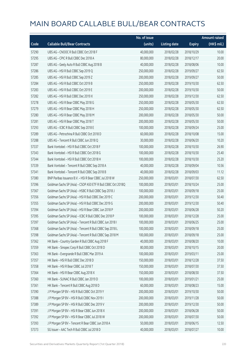|       |                                                              | No. of issue |                     |               | <b>Amount raised</b> |
|-------|--------------------------------------------------------------|--------------|---------------------|---------------|----------------------|
| Code  | <b>Callable Bull/Bear Contracts</b>                          | (units)      | <b>Listing date</b> | <b>Expiry</b> | (HK\$ mil.)          |
| 57290 | UBS AG - CNOOC R Bull CBBC Oct 2018 F                        | 40,000,000   | 2018/02/28          | 2018/10/29    | 10.00                |
| 57295 | UBS AG - CPIC R Bull CBBC Dec 2018 A                         | 80,000,000   | 2018/02/28          | 2018/12/17    | 20.00                |
| 57287 | UBS AG - Geely Auto R Bull CBBC Aug 2018 B                   | 40,000,000   | 2018/02/28          | 2018/08/06    | 10.00                |
| 57286 | UBS AG - HSI R Bull CBBC Sep 2019 Q                          | 250,000,000  | 2018/02/28          | 2019/09/27    | 62.50                |
| 57285 | UBS AG - HSI R Bull CBBC Sep 2019 Z                          | 200,000,000  | 2018/02/28          | 2019/09/27    | 50.00                |
| 57284 | UBS AG - HSI R Bull CBBC Oct 2019 B                          | 250,000,000  | 2018/02/28          | 2019/10/30    | 62.50                |
| 57283 | UBS AG - HSI R Bull CBBC Oct 2019 E                          | 200,000,000  | 2018/02/28          | 2019/10/30    | 50.00                |
| 57282 | UBS AG - HSI R Bull CBBC Dec 2019 X                          | 250,000,000  | 2018/02/28          | 2019/12/30    | 62.50                |
| 57278 | UBS AG - HSI R Bear CBBC May 2018 G                          | 250,000,000  | 2018/02/28          | 2018/05/30    | 62.50                |
| 57279 | UBS AG - HSI R Bear CBBC May 2018 H                          | 250,000,000  | 2018/02/28          | 2018/05/30    | 62.50                |
| 57280 | UBS AG - HSI R Bear CBBC May 2018 M                          | 200,000,000  | 2018/02/28          | 2018/05/30    | 50.00                |
| 57281 | UBS AG - HSI R Bear CBBC May 2018 T                          | 200,000,000  | 2018/02/28          | 2018/05/30    | 50.00                |
| 57293 | UBS AG - ICBC R Bull CBBC Sep 2018 E                         | 100,000,000  | 2018/02/28          | 2018/09/24    | 25.00                |
| 57289 | UBS AG - Petrochina R Bull CBBC Oct 2018 D                   | 60,000,000   | 2018/02/28          | 2018/10/08    | 15.00                |
| 57288 | UBS AG - Tencent R Bull CBBC Jun 2018 Q                      | 30,000,000   | 2018/02/28          | 2018/06/20    | 10.20                |
| 57337 | Bank Vontobel - HSI R Bull CBBC Oct 2018 F                   | 100,000,000  | 2018/02/28          | 2018/10/30    | 26.90                |
| 57343 | Bank Vontobel - HSI R Bull CBBC Oct 2018 G                   | 100,000,000  | 2018/02/28          | 2018/10/30    | 25.40                |
| 57344 | Bank Vontobel - HSI R Bull CBBC Oct 2018 H                   | 100,000,000  | 2018/02/28          | 2018/10/30    | 25.20                |
| 57339 | Bank Vontobel - Tencent R Bull CBBC Sep 2018 A               | 40,000,000   | 2018/02/28          | 2018/09/04    | 10.56                |
| 57341 | Bank Vontobel - Tencent R Bull CBBC Sep 2018 B               | 40,000,000   | 2018/02/28          | 2018/09/03    | 11.12                |
| 57380 | BNP Paribas Issuance B.V. - HSI R Bear CBBC Jul 2018 W       | 250,000,000  | 2018/03/01          | 2018/07/30    | 62.50                |
| 57396 | Goldman Sachs SP (Asia) - CSOP A50 ETF R Bull CBBC Oct 2018Q | 100,000,000  | 2018/03/01          | 2018/10/24    | 25.00                |
| 57367 | Goldman Sachs SP (Asia) - HSBC R Bull CBBC Sep 2018 J        | 100,000,000  | 2018/03/01          | 2018/09/18    | 25.00                |
| 57356 | Goldman Sachs SP (Asia) - HSI R Bull CBBC Dec 2019 C         | 200,000,000  | 2018/03/01          | 2019/12/30    | 50.40                |
| 57355 | Goldman Sachs SP (Asia) - HSI R Bull CBBC Dec 2019 G         | 200,000,000  | 2018/03/01          | 2019/12/30    | 50.40                |
| 57394 | Goldman Sachs SP (Asia) - HSI R Bear CBBC Jun 2018 P         | 200,000,000  | 2018/03/01          | 2018/06/28    | 50.20                |
| 57395 | Goldman Sachs SP (Asia) - ICBC R Bull CBBC Dec 2018 P        | 100,000,000  | 2018/03/01          | 2018/12/28    | 25.00                |
| 57397 | Goldman Sachs SP (Asia) - Tencent R Bull CBBC Jun 2018 I     | 100,000,000  | 2018/03/01          | 2018/06/25    | 25.00                |
| 57368 | Goldman Sachs SP (Asia) - Tencent R Bull CBBC Sep 2018 L     | 100,000,000  | 2018/03/01          | 2018/09/18    | 25.00                |
| 57398 | Goldman Sachs SP (Asia) - Tencent R Bull CBBC Sep 2018 M     | 100,000,000  | 2018/03/01          | 2018/09/18    | 25.00                |
| 57362 | HK Bank - Country Garden R Bull CBBC Aug 2018 F              | 40,000,000   | 2018/03/01          | 2018/08/20    | 10.00                |
| 57359 | HK Bank - Sinopec Corp R Bull CBBC Oct 2018 D                | 80,000,000   | 2018/03/01          | 2018/10/15    | 20.00                |
| 57363 | HK Bank - Evergrande R Bull CBBC Mar 2019 A                  | 100,000,000  | 2018/03/01          | 2019/03/11    | 25.00                |
| 57357 | HK Bank - HSI R Bull CBBC Dec 2018 D                         | 150,000,000  | 2018/03/01          | 2018/12/28    | 37.50                |
| 57358 | HK Bank - HSI R Bear CBBC Jul 2018 T                         | 150,000,000  | 2018/03/01          | 2018/07/30    | 37.50                |
| 57364 | HK Bank - HSI R Bear CBBC Aug 2018 X                         | 150,000,000  | 2018/03/01          | 2018/08/30    | 37.50                |
| 57360 | HK Bank - SUNAC R Bull CBBC Jan 2019 D                       | 100,000,000  | 2018/03/01          | 2019/01/21    | 25.00                |
| 57361 | HK Bank - Tencent R Bull CBBC Aug 2018 D                     | 60,000,000   | 2018/03/01          | 2018/08/23    | 15.00                |
| 57390 | J P Morgan SP BV - HSI R Bull CBBC Oct 2019 Y                | 200,000,000  | 2018/03/01          | 2019/10/30    | 50.00                |
| 57388 | J P Morgan SP BV - HSI R Bull CBBC Nov 2019 I                | 200,000,000  | 2018/03/01          | 2019/11/28    | 50.00                |
| 57389 | J P Morgan SP BV - HSI R Bull CBBC Dec 2019 V                | 200,000,000  | 2018/03/01          | 2019/12/30    | 50.00                |
| 57391 | J P Morgan SP BV - HSI R Bear CBBC Jun 2018 X                | 200,000,000  | 2018/03/01          | 2018/06/28    | 50.00                |
| 57392 | J P Morgan SP BV - HSI R Bear CBBC Jul 2018 W                | 200,000,000  | 2018/03/01          | 2018/07/30    | 50.00                |
| 57393 | J P Morgan SP BV - Tencent R Bear CBBC Jun 2018 A            | 50,000,000   | 2018/03/01          | 2018/06/15    | 12.50                |
| 57373 | SG Issuer - AAC Tech R Bull CBBC Jul 2018 D                  | 40,000,000   | 2018/03/01          | 2018/07/27    | 10.00                |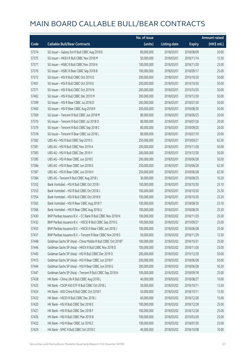|       |                                                              | No. of issue |                     |               | <b>Amount raised</b> |
|-------|--------------------------------------------------------------|--------------|---------------------|---------------|----------------------|
| Code  | <b>Callable Bull/Bear Contracts</b>                          | (units)      | <b>Listing date</b> | <b>Expiry</b> | (HK\$ mil.)          |
| 57374 | SG Issuer - Galaxy Ent R Bull CBBC Aug 2018 E                | 80,000,000   | 2018/03/01          | 2018/08/09    | 20.00                |
| 57375 | SG Issuer - HKEX R Bull CBBC Nov 2018 M                      | 50,000,000   | 2018/03/01          | 2018/11/14    | 12.50                |
| 57377 | SG Issuer - HSBC R Bull CBBC Nov 2018 N                      | 100,000,000  | 2018/03/01          | 2018/11/20    | 25.00                |
| 57376 | SG Issuer - HSBC R Bear CBBC Sep 2018 B                      | 100,000,000  | 2018/03/01          | 2018/09/17    | 25.00                |
| 57372 | SG Issuer - HSI R Bull CBBC Oct 2019 D                       | 200,000,000  | 2018/03/01          | 2019/10/30    | 50.00                |
| 57401 | SG Issuer - HSI R Bull CBBC Oct 2019 E                       | 200,000,000  | 2018/03/01          | 2019/10/30    | 50.00                |
| 57371 | SG Issuer - HSI R Bull CBBC Oct 2019 N                       | 200,000,000  | 2018/03/01          | 2019/10/30    | 50.00                |
| 57402 | SG Issuer - HSI R Bull CBBC Dec 2019 M                       | 200,000,000  | 2018/03/01          | 2019/12/30    | 50.00                |
| 57399 | SG Issuer - HSI R Bear CBBC Jul 2018 D                       | 200,000,000  | 2018/03/01          | 2018/07/30    | 50.00                |
| 57400 | SG Issuer - HSI R Bear CBBC Aug 2018 R                       | 200,000,000  | 2018/03/01          | 2018/08/30    | 50.00                |
| 57369 | SG Issuer - Tencent R Bull CBBC Jun 2018 M                   | 80,000,000   | 2018/03/01          | 2018/06/25    | 20.00                |
| 57370 | SG Issuer - Tencent R Bull CBBC Jul 2018 O                   | 80,000,000   | 2018/03/01          | 2018/07/26    | 20.00                |
| 57379 | SG Issuer - Tencent R Bull CBBC Sep 2018 C                   | 80,000,000   | 2018/03/01          | 2018/09/20    | 20.00                |
| 57378 | SG Issuer - Tencent R Bear CBBC Jul 2018 L                   | 80,000,000   | 2018/03/01          | 2018/07/10    | 20.00                |
| 57382 | UBS AG - HSI R Bull CBBC Sep 2019 S                          | 250,000,000  | 2018/03/01          | 2019/09/27    | 62.50                |
| 57381 | UBS AG - HSI R Bull CBBC Nov 2019 A                          | 200,000,000  | 2018/03/01          | 2019/11/28    | 50.00                |
| 57383 | UBS AG - HSI R Bull CBBC Dec 2019 Y                          | 200,000,000  | 2018/03/01          | 2019/12/30    | 50.00                |
| 57385 | UBS AG - HSI R Bear CBBC Jun 2018 E                          | 200,000,000  | 2018/03/01          | 2018/06/28    | 50.00                |
| 57386 | UBS AG - HSI R Bear CBBC Jun 2018 G                          | 250,000,000  | 2018/03/01          | 2018/06/28    | 62.50                |
| 57387 | UBS AG - HSI R Bear CBBC Jun 2018 H                          | 250,000,000  | 2018/03/01          | 2018/06/28    | 62.50                |
| 57384 | UBS AG - Tencent R Bull CBBC Aug 2018 L                      | 30,000,000   | 2018/03/01          | 2018/08/20    | 10.20                |
| 57352 | Bank Vontobel - HSI R Bull CBBC Oct 2018 I                   | 100,000,000  | 2018/03/01          | 2018/10/30    | 25.10                |
| 57353 | Bank Vontobel - HSI R Bull CBBC Oct 2018 J                   | 100,000,000  | 2018/03/01          | 2018/10/30    | 25.30                |
| 57354 | Bank Vontobel - HSI R Bull CBBC Oct 2018 K                   | 100,000,000  | 2018/03/01          | 2018/10/30    | 25.20                |
| 57365 | Bank Vontobel - HSI R Bear CBBC Aug 2018 T                   | 100,000,000  | 2018/03/01          | 2018/08/30    | 25.10                |
| 57366 | Bank Vontobel - HSI R Bear CBBC Aug 2018 U                   | 100,000,000  | 2018/03/01          | 2018/08/30    | 25.30                |
| 57430 | BNP Paribas Issuance B.V. - CC Bank R Bull CBBC Nov 2018 N   | 100,000,000  | 2018/03/02          | 2018/11/29    | 25.00                |
| 57432 | BNP Paribas Issuance B.V. - HSCEI R Bull CBBC Sep 2019 G     | 100,000,000  | 2018/03/02          | 2019/09/27    | 25.00                |
| 57433 | BNP Paribas Issuance B.V. - HSCEI R Bear CBBC Jun 2018 J     | 100,000,000  | 2018/03/02          | 2018/06/28    | 25.00                |
| 57431 | BNP Paribas Issuance B.V. - Tencent R Bear CBBC Nov 2018 S   | 50,000,000   | 2018/03/02          | 2018/11/29    | 12.50                |
| 57448 | Goldman Sachs SP (Asia) - China Mobile R Bull CBBC Oct 2018T | 100,000,000  | 2018/03/02          | 2018/10/31    | 25.00                |
| 57446 | Goldman Sachs SP (Asia) - HKEX R Bull CBBC Nov 2018 D        | 100,000,000  | 2018/03/02          | 2018/11/26    | 25.00                |
| 57445 | Goldman Sachs SP (Asia) - HSI R Bull CBBC Dec 2019 O         | 200,000,000  | 2018/03/02          | 2019/12/30    | 50.00                |
| 57415 | Goldman Sachs SP (Asia) - HSI R Bear CBBC Jun 2018 F         | 200,000,000  | 2018/03/02          | 2018/06/28    | 50.00                |
| 57444 | Goldman Sachs SP (Asia) - HSI R Bear CBBC Jun 2018 G         | 200,000,000  | 2018/03/02          | 2018/06/28    | 50.20                |
| 57447 | Goldman Sachs SP (Asia) - Tencent R Bull CBBC Sep 2018 N     | 100,000,000  | 2018/03/02          | 2018/09/18    | 25.00                |
| 57428 | HK Bank - China Life R Bull CBBC Aug 2018 L                  | 40,000,000   | 2018/03/02          | 2018/08/27    | 10.00                |
| 57425 | HK Bank - CSOP A50 ETF R Bull CBBC Oct 2018 L                | 50,000,000   | 2018/03/02          | 2018/10/11    | 12.50                |
| 57424 | HK Bank - A50 China R Bull CBBC Oct 2018 F                   | 50,000,000   | 2018/03/02          | 2018/10/11    | 12.50                |
| 57423 | HK Bank - HSCEI R Bull CBBC Dec 2018 J                       | 60,000,000   | 2018/03/02          | 2018/12/28    | 15.00                |
| 57420 | HK Bank - HSI R Bull CBBC Dec 2018 E                         | 100,000,000  | 2018/03/02          | 2018/12/28    | 25.00                |
| 57421 | HK Bank - HSI R Bull CBBC Dec 2018 F                         | 100,000,000  | 2018/03/02          | 2018/12/28    | 25.00                |
| 57426 | HK Bank - HSI R Bull CBBC Mar 2019 B                         | 100,000,000  | 2018/03/02          | 2019/03/28    | 25.00                |
| 57422 | HK Bank - HSI R Bear CBBC Jul 2018 Z                         | 100,000,000  | 2018/03/02          | 2018/07/30    | 25.00                |
| 57429 | HK Bank - SMIC R Bull CBBC Oct 2018 C                        | 40,000,000   | 2018/03/02          | 2018/10/08    | 10.00                |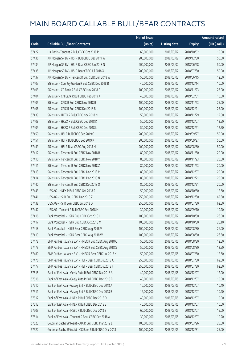|       |                                                          | No. of issue |                     |               | <b>Amount raised</b> |
|-------|----------------------------------------------------------|--------------|---------------------|---------------|----------------------|
| Code  | <b>Callable Bull/Bear Contracts</b>                      | (units)      | <b>Listing date</b> | <b>Expiry</b> | (HK\$ mil.)          |
| 57427 | HK Bank - Tencent R Bull CBBC Oct 2018 P                 | 60,000,000   | 2018/03/02          | 2018/10/02    | 15.00                |
| 57436 | J P Morgan SP BV - HSI R Bull CBBC Dec 2019 W            | 200,000,000  | 2018/03/02          | 2019/12/30    | 50.00                |
| 57434 | J P Morgan SP BV - HSI R Bear CBBC Jun 2018 N            | 200,000,000  | 2018/03/02          | 2018/06/28    | 50.00                |
| 57435 | J P Morgan SP BV - HSI R Bear CBBC Jul 2018 X            | 200,000,000  | 2018/03/02          | 2018/07/30    | 50.00                |
| 57437 | J P Morgan SP BV - Tencent R Bull CBBC Jun 2018 W        | 50,000,000   | 2018/03/02          | 2018/06/15    | 12.50                |
| 57407 | SG Issuer - Country Garden R Bull CBBC Dec 2018 B        | 40,000,000   | 2018/03/02          | 2018/12/14    | 10.00                |
| 57403 | SG Issuer - CC Bank R Bull CBBC Nov 2018 D               | 100,000,000  | 2018/03/02          | 2018/11/23    | 25.00                |
| 57404 | SG Issuer - CM Bank R Bull CBBC Feb 2019 A               | 40,000,000   | 2018/03/02          | 2019/02/01    | 10.00                |
| 57405 | SG Issuer - CPIC R Bull CBBC Nov 2018 B                  | 100,000,000  | 2018/03/02          | 2018/11/23    | 25.00                |
| 57406 | SG Issuer - CPIC R Bull CBBC Dec 2018 B                  | 100,000,000  | 2018/03/02          | 2018/12/21    | 25.00                |
| 57439 | SG Issuer - HKEX R Bull CBBC Nov 2018 N                  | 50,000,000   | 2018/03/02          | 2018/11/29    | 12.50                |
| 57408 | SG Issuer - HKEX R Bull CBBC Dec 2018 K                  | 50,000,000   | 2018/03/02          | 2018/12/07    | 12.50                |
| 57409 | SG Issuer - HKEX R Bull CBBC Dec 2018 L                  | 50,000,000   | 2018/03/02          | 2018/12/21    | 12.50                |
| 57450 | SG Issuer - HSI R Bull CBBC Sep 2019 O                   | 200,000,000  | 2018/03/02          | 2019/09/27    | 50.00                |
| 57451 | SG Issuer - HSI R Bull CBBC Sep 2019 P                   | 200,000,000  | 2018/03/02          | 2019/09/27    | 50.00                |
| 57449 | SG Issuer - HSI R Bear CBBC Aug 2018 M                   | 200,000,000  | 2018/03/02          | 2018/08/30    | 50.00                |
| 57412 | SG Issuer - Tencent R Bull CBBC Nov 2018 B               | 80,000,000   | 2018/03/02          | 2018/11/30    | 20.00                |
| 57410 | SG Issuer - Tencent R Bull CBBC Nov 2018 Y               | 80,000,000   | 2018/03/02          | 2018/11/23    | 20.00                |
| 57411 | SG Issuer - Tencent R Bull CBBC Nov 2018 Z               | 80,000,000   | 2018/03/02          | 2018/11/23    | 20.00                |
| 57413 | SG Issuer - Tencent R Bull CBBC Dec 2018 M               | 80,000,000   | 2018/03/02          | 2018/12/07    | 20.00                |
| 57414 | SG Issuer - Tencent R Bull CBBC Dec 2018 N               | 80,000,000   | 2018/03/02          | 2018/12/21    | 20.00                |
| 57440 | SG Issuer - Tencent R Bull CBBC Dec 2018 O               | 80,000,000   | 2018/03/02          | 2018/12/21    | 20.00                |
| 57443 | UBS AG - HKEX R Bull CBBC Oct 2018 S                     | 50,000,000   | 2018/03/02          | 2018/10/30    | 12.50                |
| 57441 | UBS AG - HSI R Bull CBBC Dec 2019 Z                      | 250,000,000  | 2018/03/02          | 2019/12/30    | 62.50                |
| 57438 | UBS AG - HSI R Bear CBBC Jul 2018 O                      | 250,000,000  | 2018/03/02          | 2018/07/30    | 62.50                |
| 57442 | UBS AG - Tencent R Bull CBBC Sep 2018 M                  | 30,000,000   | 2018/03/02          | 2018/09/10    | 10.20                |
| 57416 | Bank Vontobel - HSI R Bull CBBC Oct 2018 L               | 100,000,000  | 2018/03/02          | 2018/10/30    | 26.00                |
| 57417 | Bank Vontobel - HSI R Bull CBBC Oct 2018 M               | 100,000,000  | 2018/03/02          | 2018/10/30    | 26.10                |
| 57418 | Bank Vontobel - HSI R Bear CBBC Aug 2018 V               | 100,000,000  | 2018/03/02          | 2018/08/30    | 26.00                |
| 57419 | Bank Vontobel - HSI R Bear CBBC Aug 2018 W               | 100,000,000  | 2018/03/02          | 2018/08/30    | 26.30                |
| 57478 | BNP Paribas Issuance B.V. - HKEX R Bull CBBC Aug 2018 O  | 50,000,000   | 2018/03/05          | 2018/08/30    | 12.50                |
| 57479 | BNP Paribas Issuance B.V. - HKEX R Bull CBBC Aug 2018 S  | 50,000,000   | 2018/03/05          | 2018/08/30    | 12.50                |
| 57480 | BNP Paribas Issuance B.V. - HKEX R Bear CBBC Jul 2018 K  | 50,000,000   | 2018/03/05          | 2018/07/30    | 12.50                |
| 57476 | BNP Paribas Issuance B.V. - HSI R Bear CBBC Jul 2018 X   | 250,000,000  | 2018/03/05          | 2018/07/30    | 62.50                |
| 57477 | BNP Paribas Issuance B.V. - HSI R Bear CBBC Jul 2018 Y   | 250,000,000  | 2018/03/05          | 2018/07/30    | 62.50                |
| 57515 | Bank of East Asia - Geely Auto R Bull CBBC Dec 2018 A    | 40,000,000   | 2018/03/05          | 2018/12/07    | 12.00                |
| 57516 | Bank of East Asia - Geely Auto R Bull CBBC Dec 2018 B    | 40,000,000   | 2018/03/05          | 2018/12/07    | 10.00                |
| 57510 | Bank of East Asia - Galaxy Ent R Bull CBBC Dec 2018 A    | 16,000,000   | 2018/03/05          | 2018/12/07    | 10.40                |
| 57511 | Bank of East Asia - Galaxy Ent R Bull CBBC Dec 2018 B    | 16,000,000   | 2018/03/05          | 2018/12/07    | 10.40                |
| 57512 | Bank of East Asia - HKEX R Bull CBBC Dec 2018 D          | 40,000,000   | 2018/03/05          | 2018/12/07    | 10.00                |
| 57513 | Bank of East Asia - HKEX R Bull CBBC Dec 2018 E          | 40,000,000   | 2018/03/05          | 2018/12/07    | 10.00                |
| 57509 | Bank of East Asia - HSBC R Bull CBBC Dec 2018 B          | 60,000,000   | 2018/03/05          | 2018/12/07    | 15.00                |
| 57514 | Bank of East Asia - Tencent R Bear CBBC Dec 2018 A       | 30,000,000   | 2018/03/05          | 2018/12/07    | 10.20                |
| 57523 | Goldman Sachs SP (Asia) - AIA R Bull CBBC Mar 2019 E     | 100,000,000  | 2018/03/05          | 2019/03/26    | 25.00                |
| 57522 | Goldman Sachs SP (Asia) - CC Bank R Bull CBBC Dec 2018 I | 100,000,000  | 2018/03/05          | 2018/12/31    | 25.00                |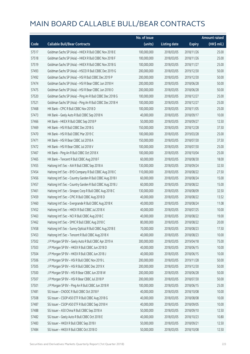|       |                                                           | No. of issue |                     |               | <b>Amount raised</b> |
|-------|-----------------------------------------------------------|--------------|---------------------|---------------|----------------------|
| Code  | <b>Callable Bull/Bear Contracts</b>                       | (units)      | <b>Listing date</b> | <b>Expiry</b> | (HK\$ mil.)          |
| 57517 | Goldman Sachs SP (Asia) - HKEX R Bull CBBC Nov 2018 E     | 100,000,000  | 2018/03/05          | 2018/11/26    | 25.00                |
| 57518 | Goldman Sachs SP (Asia) - HKEX R Bull CBBC Nov 2018 F     | 100,000,000  | 2018/03/05          | 2018/11/26    | 25.00                |
| 57519 | Goldman Sachs SP (Asia) - HKEX R Bull CBBC Nov 2018 G     | 100,000,000  | 2018/03/05          | 2018/11/27    | 25.00                |
| 57493 | Goldman Sachs SP (Asia) - HSCEI R Bull CBBC Dec 2019 G    | 200,000,000  | 2018/03/05          | 2019/12/30    | 50.00                |
| 57492 | Goldman Sachs SP (Asia) - HSI R Bull CBBC Dec 2019 P      | 200,000,000  | 2018/03/05          | 2019/12/30    | 50.00                |
| 57474 | Goldman Sachs SP (Asia) - HSI R Bear CBBC Jun 2018 H      | 200,000,000  | 2018/03/05          | 2018/06/28    | 50.00                |
| 57475 | Goldman Sachs SP (Asia) - HSI R Bear CBBC Jun 2018 O      | 200,000,000  | 2018/03/05          | 2018/06/28    | 50.00                |
| 57520 | Goldman Sachs SP (Asia) - Ping An R Bull CBBC Dec 2018 G  | 100,000,000  | 2018/03/05          | 2018/12/27    | 25.00                |
| 57521 | Goldman Sachs SP (Asia) - Ping An R Bull CBBC Dec 2018 H  | 100,000,000  | 2018/03/05          | 2018/12/27    | 25.00                |
| 57468 | HK Bank - CPIC R Bull CBBC Nov 2018 D                     | 100,000,000  | 2018/03/05          | 2018/11/05    | 25.00                |
| 57473 | HK Bank - Geely Auto R Bull CBBC Sep 2018 N               | 40,000,000   | 2018/03/05          | 2018/09/17    | 10.00                |
| 57466 | HK Bank - HKEX R Bull CBBC Sep 2018 P                     | 50,000,000   | 2018/03/05          | 2018/09/27    | 12.50                |
| 57469 | HK Bank - HSI R Bull CBBC Dec 2018 G                      | 150,000,000  | 2018/03/05          | 2018/12/28    | 37.50                |
| 57470 | HK Bank - HSI R Bull CBBC Mar 2019 C                      | 100,000,000  | 2018/03/05          | 2019/03/28    | 25.00                |
| 57471 | HK Bank - HSI R Bear CBBC Jul 2018 A                      | 150,000,000  | 2018/03/05          | 2018/07/30    | 37.50                |
| 57472 | HK Bank - HSI R Bear CBBC Jul 2018 V                      | 100,000,000  | 2018/03/05          | 2018/07/30    | 25.00                |
| 57467 | HK Bank - Ping An R Bull CBBC Oct 2018 X                  | 100,000,000  | 2018/03/05          | 2018/10/04    | 25.00                |
| 57465 | HK Bank - Tencent R Bull CBBC Aug 2018 F                  | 60,000,000   | 2018/03/05          | 2018/08/30    | 18.00                |
| 57455 | Haitong Int'l Sec - AIA R Bull CBBC Sep 2018 A            | 130,000,000  | 2018/03/05          | 2018/09/24    | 32.50                |
| 57454 | Haitong Int'l Sec - BYD Company R Bull CBBC Aug 2018 C    | 110,000,000  | 2018/03/05          | 2018/08/22    | 27.50                |
| 57456 | Haitong Int'l Sec - Country Garden R Bull CBBC Aug 2018 I | 60,000,000   | 2018/03/05          | 2018/08/24    | 15.00                |
| 57457 | Haitong Int'l Sec - Country Garden R Bull CBBC Aug 2018 J | 60,000,000   | 2018/03/05          | 2018/08/22    | 15.00                |
| 57461 | Haitong Int'l Sec - Sinopec Corp R Bull CBBC Aug 2018 C   | 130,000,000  | 2018/03/05          | 2018/08/09    | 32.50                |
| 57459 | Haitong Int'l Sec - CPIC R Bull CBBC Aug 2018 D           | 40,000,000   | 2018/03/05          | 2018/08/22    | 13.52                |
| 57460 | Haitong Int'l Sec - Evergrande R Bull CBBC Aug 2018 K     | 40,000,000   | 2018/03/05          | 2018/08/24    | 11.08                |
| 57452 | Haitong Int'l Sec - HKEX R Bull CBBC Jul 2018 X           | 40,000,000   | 2018/03/05          | 2018/07/25    | 10.00                |
| 57463 | Haitong Int'l Sec - NCI R Bull CBBC Aug 2018 C            | 40,000,000   | 2018/03/05          | 2018/08/22    | 19.00                |
| 57462 | Haitong Int'l Sec - SMIC R Bull CBBC Aug 2018 C           | 80,000,000   | 2018/03/05          | 2018/08/22    | 20.00                |
| 57458 | Haitong Int'l Sec - Sunny Optical R Bull CBBC Aug 2018 E  | 70,000,000   | 2018/03/05          | 2018/08/23    | 17.50                |
| 57453 | Haitong Int'l Sec - Tencent R Bull CBBC Aug 2018 X        | 40,000,000   | 2018/03/05          | 2018/08/23    | 10.00                |
| 57502 | J P Morgan SP BV - Geely Auto R Bull CBBC Apr 2019 A      | 300,000,000  | 2018/03/05          | 2019/04/18    | 75.00                |
| 57503 | J P Morgan SP BV - HKEX R Bull CBBC Jun 2018 D            | 40,000,000   | 2018/03/05          | 2018/06/15    | 10.00                |
| 57504 | J P Morgan SP BV - HKEX R Bull CBBC Jun 2018 J            | 40,000,000   | 2018/03/05          | 2018/06/15    | 10.00                |
| 57506 | J P Morgan SP BV - HSI R Bull CBBC Nov 2019 L             | 200,000,000  | 2018/03/05          | 2019/11/28    | 50.00                |
| 57505 | J P Morgan SP BV - HSI R Bull CBBC Dec 2019 X             | 200,000,000  | 2018/03/05          | 2019/12/30    | 50.00                |
| 57500 | J P Morgan SP BV - HSI R Bear CBBC Jun 2018 W             | 200,000,000  | 2018/03/05          | 2018/06/28    | 50.00                |
| 57507 | J P Morgan SP BV - HSI R Bear CBBC Jul 2018 P             | 200,000,000  | 2018/03/05          | 2018/07/30    | 50.00                |
| 57501 | J P Morgan SP BV - Ping An R Bull CBBC Jun 2018 R         | 100,000,000  | 2018/03/05          | 2018/06/15    | 25.00                |
| 57481 | SG Issuer - CNOOC R Bull CBBC Oct 2018 F                  | 40,000,000   | 2018/03/05          | 2018/10/08    | 10.00                |
| 57508 | SG Issuer - CSOP A50 ETF R Bull CBBC Aug 2018 G           | 40,000,000   | 2018/03/05          | 2018/08/08    | 10.00                |
| 57487 | SG Issuer - CSOP A50 ETF R Bull CBBC Sep 2018 H           | 40,000,000   | 2018/03/05          | 2018/09/05    | 10.00                |
| 57488 | SG Issuer - A50 China R Bull CBBC Sep 2018 A              | 50,000,000   | 2018/03/05          | 2018/09/10    | 12.50                |
| 57482 | SG Issuer - Geely Auto R Bull CBBC Oct 2018 E             | 40,000,000   | 2018/03/05          | 2018/10/23    | 10.80                |
| 57483 | SG Issuer - HKEX R Bull CBBC Sep 2018 I                   | 50,000,000   | 2018/03/05          | 2018/09/21    | 12.50                |
| 57484 | SG Issuer - HKEX R Bull CBBC Oct 2018 O                   | 50,000,000   | 2018/03/05          | 2018/10/08    | 12.50                |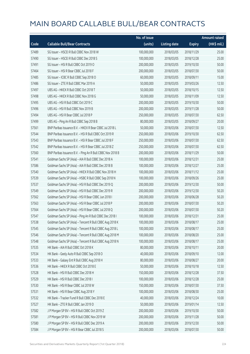|       |                                                            | No. of issue |                     |               | <b>Amount raised</b> |
|-------|------------------------------------------------------------|--------------|---------------------|---------------|----------------------|
| Code  | <b>Callable Bull/Bear Contracts</b>                        | (units)      | <b>Listing date</b> | <b>Expiry</b> | (HK\$ mil.)          |
| 57489 | SG Issuer - HSCEI R Bull CBBC Nov 2018 W                   | 100,000,000  | 2018/03/05          | 2018/11/29    | 25.00                |
| 57490 | SG Issuer - HSCEI R Bull CBBC Dec 2018 S                   | 100,000,000  | 2018/03/05          | 2018/12/28    | 25.00                |
| 57491 | SG Issuer - HSI R Bull CBBC Oct 2019 O                     | 200,000,000  | 2018/03/05          | 2019/10/30    | 50.00                |
| 57464 | SG Issuer - HSI R Bear CBBC Jul 2018 F                     | 200,000,000  | 2018/03/05          | 2018/07/30    | 50.00                |
| 57485 | SG Issuer - ICBC R Bull CBBC Sep 2018 O                    | 60,000,000   | 2018/03/05          | 2018/09/11    | 15.00                |
| 57486 | SG Issuer - ZTE R Bull CBBC Mar 2019 A                     | 50,000,000   | 2018/03/05          | 2019/03/26    | 12.50                |
| 57497 | UBS AG - HKEX R Bull CBBC Oct 2018 T                       | 50,000,000   | 2018/03/05          | 2018/10/15    | 12.50                |
| 57498 | UBS AG - HKEX R Bull CBBC Nov 2018 G                       | 50,000,000   | 2018/03/05          | 2018/11/09    | 12.50                |
| 57495 | UBS AG - HSI R Bull CBBC Oct 2019 C                        | 200,000,000  | 2018/03/05          | 2019/10/30    | 50.00                |
| 57496 | UBS AG - HSI R Bull CBBC Nov 2019 B                        | 200,000,000  | 2018/03/05          | 2019/11/28    | 50.00                |
| 57494 | UBS AG - HSI R Bear CBBC Jul 2018 P                        | 250,000,000  | 2018/03/05          | 2018/07/30    | 62.50                |
| 57499 | UBS AG - Ping An R Bull CBBC Sep 2018 B                    | 80,000,000   | 2018/03/05          | 2018/09/27    | 20.00                |
| 57561 | BNP Paribas Issuance B.V. - HKEX R Bear CBBC Jul 2018 L    | 50,000,000   | 2018/03/06          | 2018/07/30    | 12.50                |
| 57544 | BNP Paribas Issuance B.V. - HSI R Bull CBBC Oct 2019 R     | 250,000,000  | 2018/03/06          | 2019/10/30    | 62.50                |
| 57543 | BNP Paribas Issuance B.V. - HSI R Bear CBBC Jul 2018 F     | 250,000,000  | 2018/03/06          | 2018/07/30    | 62.50                |
| 57542 | BNP Paribas Issuance B.V. - HSI R Bear CBBC Jul 2018 Z     | 250,000,000  | 2018/03/06          | 2018/07/30    | 62.50                |
| 57560 | BNP Paribas Issuance B.V. - Ping An R Bull CBBC Nov 2018 B | 200,000,000  | 2018/03/06          | 2018/11/29    | 50.00                |
| 57541 | Goldman Sachs SP (Asia) - AIA R Bull CBBC Dec 2018 A       | 100,000,000  | 2018/03/06          | 2018/12/31    | 25.00                |
| 57586 | Goldman Sachs SP (Asia) - AIA R Bull CBBC Dec 2018 B       | 100,000,000  | 2018/03/06          | 2018/12/27    | 25.00                |
| 57540 | Goldman Sachs SP (Asia) - HKEX R Bull CBBC Nov 2018 H      | 100,000,000  | 2018/03/06          | 2018/11/12    | 25.00                |
| 57539 | Goldman Sachs SP (Asia) - HSBC R Bull CBBC Sep 2018 N      | 100,000,000  | 2018/03/06          | 2018/09/26    | 25.00                |
| 57537 | Goldman Sachs SP (Asia) - HSI R Bull CBBC Dec 2019 Q       | 200,000,000  | 2018/03/06          | 2019/12/30    | 50.00                |
| 57549 | Goldman Sachs SP (Asia) - HSI R Bull CBBC Dec 2019 R       | 200,000,000  | 2018/03/06          | 2019/12/30    | 50.20                |
| 57562 | Goldman Sachs SP (Asia) - HSI R Bear CBBC Jun 2018 I       | 200,000,000  | 2018/03/06          | 2018/06/28    | 50.20                |
| 57563 | Goldman Sachs SP (Asia) - HSI R Bear CBBC Jul 2018 P       | 200,000,000  | 2018/03/06          | 2018/07/30    | 50.20                |
| 57564 | Goldman Sachs SP (Asia) - HSI R Bear CBBC Jul 2018 Q       | 200,000,000  | 2018/03/06          | 2018/07/30    | 50.20                |
| 57547 | Goldman Sachs SP (Asia) - Ping An R Bull CBBC Dec 2018 I   | 100,000,000  | 2018/03/06          | 2018/12/31    | 25.00                |
| 57538 | Goldman Sachs SP (Asia) - Tencent R Bull CBBC Aug 2018 K   | 100,000,000  | 2018/03/06          | 2018/08/17    | 25.00                |
| 57545 | Goldman Sachs SP (Asia) - Tencent R Bull CBBC Aug 2018 L   | 100,000,000  | 2018/03/06          | 2018/08/17    | 25.00                |
| 57546 | Goldman Sachs SP (Asia) - Tencent R Bull CBBC Aug 2018 M   | 100,000,000  | 2018/03/06          | 2018/08/20    | 25.00                |
| 57548 | Goldman Sachs SP (Asia) - Tencent R Bull CBBC Aug 2018 N   | 100,000,000  | 2018/03/06          | 2018/08/17    | 25.00                |
| 57535 | HK Bank - AIA R Bull CBBC Oct 2018 K                       | 80,000,000   | 2018/03/06          | 2018/10/11    | 20.00                |
| 57534 | HK Bank - Geely Auto R Bull CBBC Sep 2018 O                | 40,000,000   | 2018/03/06          | 2018/09/10    | 12.00                |
| 57533 | HK Bank - Galaxy Ent R Bull CBBC Aug 2018 H                | 80,000,000   | 2018/03/06          | 2018/08/27    | 20.00                |
| 57536 | HK Bank - HKEX R Bull CBBC Oct 2018 E                      | 50,000,000   | 2018/03/06          | 2018/10/18    | 12.50                |
| 57528 | HK Bank - HSI R Bull CBBC Dec 2018 H                       | 150,000,000  | 2018/03/06          | 2018/12/28    | 37.50                |
| 57529 | HK Bank - HSI R Bull CBBC Dec 2018 I                       | 100,000,000  | 2018/03/06          | 2018/12/28    | 25.00                |
| 57530 | HK Bank - HSI R Bear CBBC Jul 2018 W                       | 150,000,000  | 2018/03/06          | 2018/07/30    | 37.50                |
| 57531 | HK Bank - HSI R Bear CBBC Aug 2018 Y                       | 100,000,000  | 2018/03/06          | 2018/08/30    | 25.00                |
| 57532 | HK Bank - Tracker Fund R Bull CBBC Dec 2018 E              | 40,000,000   | 2018/03/06          | 2018/12/24    | 10.00                |
| 57527 | HK Bank - ZTE R Bull CBBC Jan 2019 D                       | 50,000,000   | 2018/03/06          | 2019/01/14    | 12.50                |
| 57582 | J P Morgan SP BV - HSI R Bull CBBC Oct 2019 Z              | 200,000,000  | 2018/03/06          | 2019/10/30    | 50.00                |
| 57581 | J P Morgan SP BV - HSI R Bull CBBC Nov 2019 W              | 200,000,000  | 2018/03/06          | 2019/11/28    | 50.00                |
| 57580 | J P Morgan SP BV - HSI R Bull CBBC Dec 2019 A              | 200,000,000  | 2018/03/06          | 2019/12/30    | 50.00                |
| 57584 | J P Morgan SP BV - HSI R Bear CBBC Jul 2018 S              | 200,000,000  | 2018/03/06          | 2018/07/30    | 50.00                |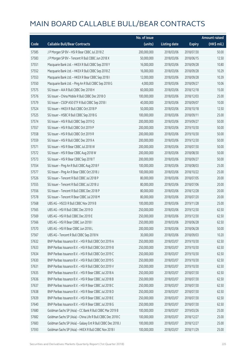|       |                                                             | No. of issue |                     |               | <b>Amount raised</b> |
|-------|-------------------------------------------------------------|--------------|---------------------|---------------|----------------------|
| Code  | <b>Callable Bull/Bear Contracts</b>                         | (units)      | <b>Listing date</b> | <b>Expiry</b> | (HK\$ mil.)          |
| 57585 | J P Morgan SP BV - HSI R Bear CBBC Jul 2018 Z               | 200,000,000  | 2018/03/06          | 2018/07/30    | 50.00                |
| 57583 | J P Morgan SP BV - Tencent R Bull CBBC Jun 2018 X           | 50,000,000   | 2018/03/06          | 2018/06/15    | 12.50                |
| 57551 | Macquarie Bank Ltd. - HKEX R Bull CBBC Sep 2018 Y           | 16,000,000   | 2018/03/06          | 2018/09/28    | 10.80                |
| 57552 | Macquarie Bank Ltd. - HKEX R Bull CBBC Sep 2018 Z           | 16,000,000   | 2018/03/06          | 2018/09/28    | 10.29                |
| 57553 | Macquarie Bank Ltd. - HKEX R Bear CBBC Sep 2018 I           | 12,000,000   | 2018/03/06          | 2018/09/28    | 10.39                |
| 57550 | Macquarie Bank Ltd. - Ping An R Bull CBBC Sep 2018 G        | 4,000,000    | 2018/03/06          | 2018/09/27    | 10.06                |
| 57575 | SG Issuer - AIA R Bull CBBC Dec 2018 H                      | 60,000,000   | 2018/03/06          | 2018/12/18    | 15.00                |
| 57576 | SG Issuer - China Mobile R Bull CBBC Dec 2018 O             | 100,000,000  | 2018/03/06          | 2018/12/03    | 25.00                |
| 57579 | SG Issuer - CSOP A50 ETF R Bull CBBC Sep 2018 I             | 40,000,000   | 2018/03/06          | 2018/09/07    | 10.00                |
| 57524 | SG Issuer - HKEX R Bull CBBC Oct 2018 P                     | 50,000,000   | 2018/03/06          | 2018/10/18    | 12.50                |
| 57525 | SG Issuer - HSBC R Bull CBBC Sep 2018 G                     | 100,000,000  | 2018/03/06          | 2018/09/11    | 25.00                |
| 57574 | SG Issuer - HSI R Bull CBBC Sep 2019 Q                      | 200,000,000  | 2018/03/06          | 2019/09/27    | 50.00                |
| 57557 | SG Issuer - HSI R Bull CBBC Oct 2019 P                      | 200,000,000  | 2018/03/06          | 2019/10/30    | 50.00                |
| 57558 | SG Issuer - HSI R Bull CBBC Oct 2019 R                      | 200,000,000  | 2018/03/06          | 2019/10/30    | 50.00                |
| 57559 | SG Issuer - HSI R Bull CBBC Dec 2019 A                      | 200,000,000  | 2018/03/06          | 2019/12/30    | 50.00                |
| 57571 | SG Issuer - HSI R Bear CBBC Jul 2018 W                      | 200,000,000  | 2018/03/06          | 2018/07/30    | 50.00                |
| 57572 | SG Issuer - HSI R Bear CBBC Aug 2018 W                      | 200,000,000  | 2018/03/06          | 2018/08/30    | 50.00                |
| 57573 | SG Issuer - HSI R Bear CBBC Sep 2018 T                      | 200,000,000  | 2018/03/06          | 2018/09/27    | 50.00                |
| 57554 | SG Issuer - Ping An R Bull CBBC Aug 2018 F                  | 100,000,000  | 2018/03/06          | 2018/08/03    | 25.00                |
| 57577 | SG Issuer - Ping An R Bear CBBC Oct 2018 J                  | 100,000,000  | 2018/03/06          | 2018/10/22    | 25.00                |
| 57526 | SG Issuer - Tencent R Bull CBBC Jul 2018 P                  | 80,000,000   | 2018/03/06          | 2018/07/05    | 20.00                |
| 57555 | SG Issuer - Tencent R Bull CBBC Jul 2018 U                  | 80,000,000   | 2018/03/06          | 2018/07/06    | 20.00                |
| 57556 | SG Issuer - Tencent R Bull CBBC Dec 2018 P                  | 80,000,000   | 2018/03/06          | 2018/12/28    | 20.00                |
| 57578 | SG Issuer - Tencent R Bear CBBC Jul 2018 M                  | 80,000,000   | 2018/03/06          | 2018/07/20    | 20.00                |
| 57568 | UBS AG - HSCEI R Bull CBBC Nov 2019 B                       | 100,000,000  | 2018/03/06          | 2019/11/28    | 25.00                |
| 57565 | UBS AG - HSI R Bull CBBC Dec 2019 D                         | 250,000,000  | 2018/03/06          | 2019/12/30    | 62.50                |
| 57569 | UBS AG - HSI R Bull CBBC Dec 2019 E                         | 250,000,000  | 2018/03/06          | 2019/12/30    | 62.50                |
| 57566 | UBS AG - HSI R Bear CBBC Jun 2018 I                         | 250,000,000  | 2018/03/06          | 2018/06/28    | 62.50                |
| 57570 | UBS AG - HSI R Bear CBBC Jun 2018 L                         | 200,000,000  | 2018/03/06          | 2018/06/28    | 50.00                |
| 57567 | UBS AG - Tencent R Bull CBBC Sep 2018 N                     | 30,000,000   | 2018/03/06          | 2018/09/03    | 10.20                |
| 57632 | BNP Paribas Issuance B.V. - HSI R Bull CBBC Oct 2019 A      | 250,000,000  | 2018/03/07          | 2019/10/30    | 62.50                |
| 57633 | BNP Paribas Issuance B.V. - HSI R Bull CBBC Oct 2019 B      | 250,000,000  | 2018/03/07          | 2019/10/30    | 62.50                |
| 57634 | BNP Paribas Issuance B.V. - HSI R Bull CBBC Oct 2019 C      | 250,000,000  | 2018/03/07          | 2019/10/30    | 62.50                |
| 57630 | BNP Paribas Issuance B.V. - HSI R Bull CBBC Oct 2019 S      | 250,000,000  | 2018/03/07          | 2019/10/30    | 62.50                |
| 57631 | BNP Paribas Issuance B.V. - HSI R Bull CBBC Oct 2019 V      | 250,000,000  | 2018/03/07          | 2019/10/30    | 62.50                |
| 57635 | BNP Paribas Issuance B.V. - HSI R Bear CBBC Jul 2018 A      | 250,000,000  | 2018/03/07          | 2018/07/30    | 62.50                |
| 57636 | BNP Paribas Issuance B.V. - HSI R Bear CBBC Jul 2018 B      | 250,000,000  | 2018/03/07          | 2018/07/30    | 62.50                |
| 57637 | BNP Paribas Issuance B.V. - HSI R Bear CBBC Jul 2018 C      | 250,000,000  | 2018/03/07          | 2018/07/30    | 62.50                |
| 57638 | BNP Paribas Issuance B.V. - HSI R Bear CBBC Jul 2018 D      | 250,000,000  | 2018/03/07          | 2018/07/30    | 62.50                |
| 57639 | BNP Paribas Issuance B.V. - HSI R Bear CBBC Jul 2018 E      | 250,000,000  | 2018/03/07          | 2018/07/30    | 62.50                |
| 57640 | BNP Paribas Issuance B.V. - HSI R Bear CBBC Jul 2018 G      | 250,000,000  | 2018/03/07          | 2018/07/30    | 62.50                |
| 57680 | Goldman Sachs SP (Asia) - CC Bank R Bull CBBC Mar 2019 B    | 100,000,000  | 2018/03/07          | 2019/03/26    | 25.00                |
| 57682 | Goldman Sachs SP (Asia) - China Life R Bull CBBC Dec 2018 C | 100,000,000  | 2018/03/07          | 2018/12/27    | 25.00                |
| 57683 | Goldman Sachs SP (Asia) - Galaxy Ent R Bull CBBC Dec 2018 J | 100,000,000  | 2018/03/07          | 2018/12/27    | 25.00                |
| 57593 | Goldman Sachs SP (Asia) - HKEX R Bull CBBC Nov 2018 I       | 100,000,000  | 2018/03/07          | 2018/11/29    | 25.00                |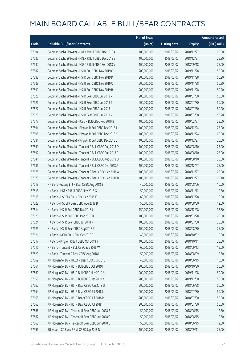|       |                                                          | No. of issue |                     |               | <b>Amount raised</b>  |
|-------|----------------------------------------------------------|--------------|---------------------|---------------|-----------------------|
| Code  | <b>Callable Bull/Bear Contracts</b>                      | (units)      | <b>Listing date</b> | <b>Expiry</b> | $(HK\frac{1}{2}mil.)$ |
| 57684 | Goldman Sachs SP (Asia) - HKEX R Bull CBBC Dec 2018 A    | 100,000,000  | 2018/03/07          | 2018/12/27    | 25.00                 |
| 57685 | Goldman Sachs SP (Asia) - HKEX R Bull CBBC Dec 2018 B    | 100,000,000  | 2018/03/07          | 2018/12/27    | 25.20                 |
| 57642 | Goldman Sachs SP (Asia) - HSBC R Bull CBBC Sep 2018 V    | 100,000,000  | 2018/03/07          | 2018/09/18    | 25.00                 |
| 57587 | Goldman Sachs SP (Asia) - HSI R Bull CBBC Nov 2019 C     | 200,000,000  | 2018/03/07          | 2019/11/28    | 50.00                 |
| 57588 | Goldman Sachs SP (Asia) - HSI R Bull CBBC Nov 2019 P     | 200,000,000  | 2018/03/07          | 2019/11/28    | 50.20                 |
| 57589 | Goldman Sachs SP (Asia) - HSI R Bull CBBC Nov 2019 Q     | 200,000,000  | 2018/03/07          | 2019/11/28    | 50.20                 |
| 57590 | Goldman Sachs SP (Asia) - HSI R Bull CBBC Nov 2019 R     | 200,000,000  | 2018/03/07          | 2019/11/28    | 50.20                 |
| 57628 | Goldman Sachs SP (Asia) - HSI R Bear CBBC Jul 2018 R     | 200,000,000  | 2018/03/07          | 2018/07/30    | 50.00                 |
| 57626 | Goldman Sachs SP (Asia) - HSI R Bear CBBC Jul 2018 T     | 200,000,000  | 2018/03/07          | 2018/07/30    | 50.00                 |
| 57627 | Goldman Sachs SP (Asia) - HSI R Bear CBBC Jul 2018 U     | 200,000,000  | 2018/03/07          | 2018/07/30    | 50.00                 |
| 57629 | Goldman Sachs SP (Asia) - HSI R Bear CBBC Jul 2018 V     | 200,000,000  | 2018/03/07          | 2018/07/30    | 50.20                 |
| 57677 | Goldman Sachs SP (Asia) - ICBC R Bull CBBC Feb 2019 B    | 100,000,000  | 2018/03/07          | 2019/02/27    | 25.00                 |
| 57594 | Goldman Sachs SP (Asia) - Ping An R Bull CBBC Dec 2018 J | 100,000,000  | 2018/03/07          | 2018/12/24    | 25.00                 |
| 57595 | Goldman Sachs SP (Asia) - Ping An R Bull CBBC Dec 2018 K | 100,000,000  | 2018/03/07          | 2018/12/24    | 25.00                 |
| 57681 | Goldman Sachs SP (Asia) - Ping An R Bull CBBC Dec 2018 L | 100,000,000  | 2018/03/07          | 2018/12/27    | 25.00                 |
| 57591 | Goldman Sachs SP (Asia) - Tencent R Bull CBBC Aug 2018 O | 100,000,000  | 2018/03/07          | 2018/08/10    | 25.00                 |
| 57592 | Goldman Sachs SP (Asia) - Tencent R Bull CBBC Aug 2018 P | 100,000,000  | 2018/03/07          | 2018/08/10    | 25.00                 |
| 57641 | Goldman Sachs SP (Asia) - Tencent R Bull CBBC Aug 2018 Q | 100,000,000  | 2018/03/07          | 2018/08/10    | 25.00                 |
| 57686 | Goldman Sachs SP (Asia) - Tencent R Bull CBBC Dec 2018 A | 100,000,000  | 2018/03/07          | 2018/12/27    | 25.00                 |
| 57678 | Goldman Sachs SP (Asia) - Tencent R Bear CBBC Dec 2018 A | 100,000,000  | 2018/03/07          | 2018/12/27    | 25.00                 |
| 57679 | Goldman Sachs SP (Asia) - Tencent R Bear CBBC Dec 2018 B | 100,000,000  | 2018/03/07          | 2018/12/27    | 25.10                 |
| 57619 | HK Bank - Galaxy Ent R Bear CBBC Aug 2018 B              | 40,000,000   | 2018/03/07          | 2018/08/06    | 10.00                 |
| 57618 | HK Bank - HKEX R Bull CBBC Nov 2018 G                    | 50,000,000   | 2018/03/07          | 2018/11/12    | 12.50                 |
| 57615 | HK Bank - HSCEI R Bull CBBC Dec 2018 K                   | 60,000,000   | 2018/03/07          | 2018/12/28    | 15.00                 |
| 57622 | HK Bank - HSCEI R Bear CBBC Aug 2018 B                   | 50,000,000   | 2018/03/07          | 2018/08/30    | 12.50                 |
| 57614 | HK Bank - HSI R Bull CBBC Dec 2018 J                     | 150,000,000  | 2018/03/07          | 2018/12/28    | 37.50                 |
| 57623 | HK Bank - HSI R Bull CBBC Mar 2019 D                     | 100,000,000  | 2018/03/07          | 2019/03/28    | 25.00                 |
| 57624 | HK Bank - HSI R Bear CBBC Jul 2018 X                     | 100,000,000  | 2018/03/07          | 2018/07/30    | 25.00                 |
| 57625 | HK Bank - HSI R Bear CBBC Aug 2018 Z                     | 100,000,000  | 2018/03/07          | 2018/08/30    | 25.00                 |
| 57621 | HK Bank - NCI R Bull CBBC Oct 2018 B                     | 40,000,000   | 2018/03/07          | 2018/10/02    | 10.00                 |
| 57617 | HK Bank - Ping An R Bull CBBC Oct 2018 Y                 | 100,000,000  | 2018/03/07          | 2018/10/11    | 25.00                 |
| 57616 | HK Bank - Tencent R Bull CBBC Sep 2018 W                 | 60,000,000   | 2018/03/07          | 2018/09/13    | 15.00                 |
| 57620 | HK Bank - Tencent R Bear CBBC Aug 2018 U                 | 50,000,000   | 2018/03/07          | 2018/08/09    | 12.50                 |
| 57669 | J P Morgan SP BV - HKEX R Bear CBBC Jun 2018 I           | 40,000,000   | 2018/03/07          | 2018/06/15    | 10.00                 |
| 57661 | J P Morgan SP BV - HSI R Bull CBBC Oct 2019 I            | 200,000,000  | 2018/03/07          | 2019/10/30    | 50.00                 |
| 57660 | J P Morgan SP BV - HSI R Bull CBBC Nov 2019 A            | 200,000,000  | 2018/03/07          | 2019/11/28    | 50.00                 |
| 57659 | J P Morgan SP BV - HSI R Bull CBBC Dec 2019 Y            | 200,000,000  | 2018/03/07          | 2019/12/30    | 50.00                 |
| 57662 | J P Morgan SP BV - HSI R Bear CBBC Jun 2018 U            | 200,000,000  | 2018/03/07          | 2018/06/28    | 50.00                 |
| 57664 | J P Morgan SP BV - HSI R Bear CBBC Jul 2018 L            | 200,000,000  | 2018/03/07          | 2018/07/30    | 50.00                 |
| 57665 | J P Morgan SP BV - HSI R Bear CBBC Jul 2018 M            | 200,000,000  | 2018/03/07          | 2018/07/30    | 50.00                 |
| 57663 | J P Morgan SP BV - HSI R Bear CBBC Jul 2018 T            | 200,000,000  | 2018/03/07          | 2018/07/30    | 50.00                 |
| 57666 | J P Morgan SP BV - Tencent R Bear CBBC Jun 2018 B        | 50,000,000   | 2018/03/07          | 2018/06/15    | 12.50                 |
| 57667 | J P Morgan SP BV - Tencent R Bear CBBC Jun 2018 C        | 50,000,000   | 2018/03/07          | 2018/06/15    | 12.50                 |
| 57668 | J P Morgan SP BV - Tencent R Bear CBBC Jun 2018 E        | 50,000,000   | 2018/03/07          | 2018/06/15    | 12.50                 |
| 57596 | SG Issuer - CC Bank R Bull CBBC Sep 2018 N               | 100,000,000  | 2018/03/07          | 2018/09/11    | 25.00                 |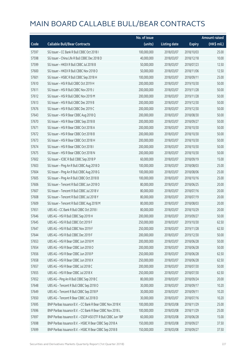|       |                                                              | No. of issue |                     |               | <b>Amount raised</b>  |
|-------|--------------------------------------------------------------|--------------|---------------------|---------------|-----------------------|
| Code  | <b>Callable Bull/Bear Contracts</b>                          | (units)      | <b>Listing date</b> | <b>Expiry</b> | $(HK\frac{1}{2}mil.)$ |
| 57597 | SG Issuer - CC Bank R Bull CBBC Oct 2018 I                   | 100,000,000  | 2018/03/07          | 2018/10/03    | 25.00                 |
| 57598 | SG Issuer - China Life R Bull CBBC Dec 2018 D                | 40,000,000   | 2018/03/07          | 2018/12/18    | 10.00                 |
| 57599 | SG Issuer - HKEX R Bull CBBC Jul 2018 B                      | 50,000,000   | 2018/03/07          | 2018/07/23    | 12.50                 |
| 57600 | SG Issuer - HKEX R Bull CBBC Nov 2018 O                      | 50,000,000   | 2018/03/07          | 2018/11/06    | 12.50                 |
| 57601 | SG Issuer - HSBC R Bull CBBC Sep 2018 H                      | 100,000,000  | 2018/03/07          | 2018/09/11    | 25.00                 |
| 57610 | SG Issuer - HSI R Bull CBBC Oct 2019 H                       | 200,000,000  | 2018/03/07          | 2019/10/30    | 50.00                 |
| 57611 | SG Issuer - HSI R Bull CBBC Nov 2019 J                       | 200,000,000  | 2018/03/07          | 2019/11/28    | 50.00                 |
| 57612 | SG Issuer - HSI R Bull CBBC Nov 2019 M                       | 200,000,000  | 2018/03/07          | 2019/11/28    | 50.00                 |
| 57613 | SG Issuer - HSI R Bull CBBC Dec 2019 B                       | 200,000,000  | 2018/03/07          | 2019/12/30    | 50.00                 |
| 57676 | SG Issuer - HSI R Bull CBBC Dec 2019 C                       | 200,000,000  | 2018/03/07          | 2019/12/30    | 50.00                 |
| 57643 | SG Issuer - HSI R Bear CBBC Aug 2018 Q                       | 200,000,000  | 2018/03/07          | 2018/08/30    | 50.00                 |
| 57670 | SG Issuer - HSI R Bear CBBC Sep 2018 B                       | 200,000,000  | 2018/03/07          | 2018/09/27    | 50.00                 |
| 57671 | SG Issuer - HSI R Bear CBBC Oct 2018 A                       | 200,000,000  | 2018/03/07          | 2018/10/30    | 50.00                 |
| 57672 | SG Issuer - HSI R Bear CBBC Oct 2018 B                       | 200,000,000  | 2018/03/07          | 2018/10/30    | 50.00                 |
| 57673 | SG Issuer - HSI R Bear CBBC Oct 2018 H                       | 200,000,000  | 2018/03/07          | 2018/10/30    | 50.00                 |
| 57674 | SG Issuer - HSI R Bear CBBC Oct 2018 I                       | 200,000,000  | 2018/03/07          | 2018/10/30    | 50.00                 |
| 57675 | SG Issuer - HSI R Bear CBBC Oct 2018 N                       | 200,000,000  | 2018/03/07          | 2018/10/30    | 50.00                 |
| 57602 | SG Issuer - ICBC R Bull CBBC Sep 2018 P                      | 60,000,000   | 2018/03/07          | 2018/09/19    | 15.00                 |
| 57603 | SG Issuer - Ping An R Bull CBBC Aug 2018 D                   | 100,000,000  | 2018/03/07          | 2018/08/03    | 25.00                 |
| 57604 | SG Issuer - Ping An R Bull CBBC Aug 2018 G                   | 100,000,000  | 2018/03/07          | 2018/08/06    | 25.00                 |
| 57605 | SG Issuer - Ping An R Bull CBBC Oct 2018 B                   | 100,000,000  | 2018/03/07          | 2018/10/16    | 25.00                 |
| 57606 | SG Issuer - Tencent R Bull CBBC Jun 2018 O                   | 80,000,000   | 2018/03/07          | 2018/06/25    | 20.00                 |
| 57607 | SG Issuer - Tencent R Bull CBBC Jul 2018 V                   | 80,000,000   | 2018/03/07          | 2018/07/16    | 20.00                 |
| 57608 | SG Issuer - Tencent R Bull CBBC Jul 2018 Y                   | 80,000,000   | 2018/03/07          | 2018/07/19    | 20.00                 |
| 57609 | SG Issuer - Tencent R Bull CBBC Aug 2018 M                   | 80,000,000   | 2018/03/07          | 2018/08/03    | 20.00                 |
| 57651 | UBS AG - CC Bank R Bull CBBC Oct 2018 I                      | 80,000,000   | 2018/03/07          | 2018/10/29    | 20.00                 |
| 57646 | UBS AG - HSI R Bull CBBC Sep 2019 H                          | 200,000,000  | 2018/03/07          | 2019/09/27    | 50.00                 |
| 57645 | UBS AG - HSI R Bull CBBC Oct 2019 F                          | 250,000,000  | 2018/03/07          | 2019/10/30    | 62.50                 |
| 57647 | UBS AG - HSI R Bull CBBC Nov 2019 F                          | 250,000,000  | 2018/03/07          | 2019/11/28    | 62.50                 |
| 57644 | UBS AG - HSI R Bull CBBC Dec 2019 F                          | 200,000,000  | 2018/03/07          | 2019/12/30    | 50.00                 |
| 57653 | UBS AG - HSI R Bear CBBC Jun 2018 M                          | 200,000,000  | 2018/03/07          | 2018/06/28    | 50.00                 |
| 57654 | UBS AG - HSI R Bear CBBC Jun 2018 O                          | 200,000,000  | 2018/03/07          | 2018/06/28    | 50.00                 |
| 57656 | UBS AG - HSI R Bear CBBC Jun 2018 P                          | 250,000,000  | 2018/03/07          | 2018/06/28    | 62.50                 |
| 57658 | UBS AG - HSI R Bear CBBC Jun 2018 X                          | 250,000,000  | 2018/03/07          | 2018/06/28    | 62.50                 |
| 57657 | UBS AG - HSI R Bear CBBC Jul 2018 C                          | 200,000,000  | 2018/03/07          | 2018/07/30    | 50.00                 |
| 57655 | UBS AG - HSI R Bear CBBC Jul 2018 X                          | 250,000,000  | 2018/03/07          | 2018/07/30    | 62.50                 |
| 57652 | UBS AG - Ping An R Bull CBBC Sep 2018 C                      | 80,000,000   | 2018/03/07          | 2018/09/24    | 20.00                 |
| 57648 | UBS AG - Tencent R Bull CBBC Sep 2018 O                      | 30,000,000   | 2018/03/07          | 2018/09/17    | 10.20                 |
| 57649 | UBS AG - Tencent R Bull CBBC Sep 2018 P                      | 30,000,000   | 2018/03/07          | 2018/09/11    | 10.20                 |
| 57650 | UBS AG - Tencent R Bear CBBC Jul 2018 D                      | 30,000,000   | 2018/03/07          | 2018/07/16    | 10.20                 |
| 57695 | BNP Paribas Issuance B.V. - CC Bank R Bear CBBC Nov 2018 K   | 100,000,000  | 2018/03/08          | 2018/11/29    | 25.00                 |
| 57696 | BNP Paribas Issuance B.V. - CC Bank R Bear CBBC Nov 2018 L   | 100,000,000  | 2018/03/08          | 2018/11/29    | 25.00                 |
| 57697 | BNP Paribas Issuance B.V. - CSOP A50 ETF R Bull CBBC Jun 18P | 60,000,000   | 2018/03/08          | 2018/06/28    | 15.00                 |
| 57698 | BNP Paribas Issuance B.V. - HSBC R Bear CBBC Sep 2018 A      | 150,000,000  | 2018/03/08          | 2018/09/27    | 37.50                 |
| 57699 | BNP Paribas Issuance B.V. - HSBC R Bear CBBC Sep 2018 B      | 150,000,000  | 2018/03/08          | 2018/09/27    | 37.50                 |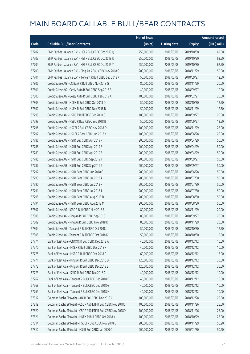|       |                                                              | No. of issue |                     |               | <b>Amount raised</b> |
|-------|--------------------------------------------------------------|--------------|---------------------|---------------|----------------------|
| Code  | <b>Callable Bull/Bear Contracts</b>                          | (units)      | <b>Listing date</b> | <b>Expiry</b> | (HK\$ mil.)          |
| 57702 | BNP Paribas Issuance B.V. - HSI R Bull CBBC Oct 2019 Q       | 250,000,000  | 2018/03/08          | 2019/10/30    | 62.50                |
| 57703 | BNP Paribas Issuance B.V. - HSI R Bull CBBC Oct 2019 U       | 250,000,000  | 2018/03/08          | 2019/10/30    | 62.50                |
| 57704 | BNP Paribas Issuance B.V. - HSI R Bull CBBC Oct 2019 Y       | 250,000,000  | 2018/03/08          | 2019/10/30    | 62.50                |
| 57700 | BNP Paribas Issuance B.V. - Ping An R Bull CBBC Nov 2018 C   | 200,000,000  | 2018/03/08          | 2018/11/29    | 50.00                |
| 57701 | BNP Paribas Issuance B.V. - Tencent R Bull CBBC Sep 2018 K   | 50,000,000   | 2018/03/08          | 2018/09/27    | 12.50                |
| 57806 | Credit Suisse AG - CC Bank R Bull CBBC Nov 2018 G            | 80,000,000   | 2018/03/08          | 2018/11/29    | 20.00                |
| 57801 | Credit Suisse AG - Geely Auto R Bull CBBC Sep 2018 B         | 40,000,000   | 2018/03/08          | 2018/09/27    | 10.00                |
| 57800 | Credit Suisse AG - Geely Auto R Bull CBBC Feb 2019 A         | 100,000,000  | 2018/03/08          | 2019/02/27    | 25.00                |
| 57803 | Credit Suisse AG - HKEX R Bull CBBC Oct 2018 Q               | 50,000,000   | 2018/03/08          | 2018/10/30    | 12.50                |
| 57802 | Credit Suisse AG - HKEX R Bull CBBC Nov 2018 B               | 50,000,000   | 2018/03/08          | 2018/11/29    | 12.50                |
| 57798 | Credit Suisse AG - HSBC R Bull CBBC Sep 2018 Q               | 100,000,000  | 2018/03/08          | 2018/09/27    | 25.00                |
| 57799 | Credit Suisse AG - HSBC R Bear CBBC Sep 2018 B               | 50,000,000   | 2018/03/08          | 2018/09/27    | 12.50                |
| 57796 | Credit Suisse AG - HSCEI R Bull CBBC Nov 2018 O              | 100,000,000  | 2018/03/08          | 2018/11/29    | 25.00                |
| 57797 | Credit Suisse AG - HSCEI R Bear CBBC Jun 2018 K              | 100,000,000  | 2018/03/08          | 2018/06/28    | 25.00                |
| 57786 | Credit Suisse AG - HSI R Bull CBBC Apr 2019 R                | 200,000,000  | 2018/03/08          | 2019/04/29    | 50.00                |
| 57788 | Credit Suisse AG - HSI R Bull CBBC Apr 2019 S                | 200,000,000  | 2018/03/08          | 2019/04/29    | 50.00                |
| 57789 | Credit Suisse AG - HSI R Bull CBBC Apr 2019 Z                | 200,000,000  | 2018/03/08          | 2019/04/29    | 50.00                |
| 57785 | Credit Suisse AG - HSI R Bull CBBC Sep 2019 Y                | 200,000,000  | 2018/03/08          | 2019/09/27    | 50.00                |
| 57787 | Credit Suisse AG - HSI R Bull CBBC Sep 2019 Z                | 200,000,000  | 2018/03/08          | 2019/09/27    | 50.00                |
| 57792 | Credit Suisse AG - HSI R Bear CBBC Jun 2018 C                | 200,000,000  | 2018/03/08          | 2018/06/28    | 50.00                |
| 57793 | Credit Suisse AG - HSI R Bear CBBC Jul 2018 A                | 200,000,000  | 2018/03/08          | 2018/07/30    | 50.00                |
| 57790 | Credit Suisse AG - HSI R Bear CBBC Jul 2018 F                | 200,000,000  | 2018/03/08          | 2018/07/30    | 50.00                |
| 57791 | Credit Suisse AG - HSI R Bear CBBC Jul 2018 J                | 200,000,000  | 2018/03/08          | 2018/07/30    | 50.00                |
| 57795 | Credit Suisse AG - HSI R Bear CBBC Aug 2018 D                | 200,000,000  | 2018/03/08          | 2018/08/30    | 50.00                |
| 57794 | Credit Suisse AG - HSI R Bear CBBC Aug 2018 M                | 200,000,000  | 2018/03/08          | 2018/08/30    | 50.00                |
| 57807 | Credit Suisse AG - ICBC R Bull CBBC Nov 2018 E               | 80,000,000   | 2018/03/08          | 2018/11/29    | 20.00                |
| 57808 | Credit Suisse AG - Ping An R Bull CBBC Sep 2018 I            | 80,000,000   | 2018/03/08          | 2018/09/27    | 20.00                |
| 57809 | Credit Suisse AG - Ping An R Bull CBBC Nov 2018 K            | 80,000,000   | 2018/03/08          | 2018/11/29    | 20.00                |
| 57804 | Credit Suisse AG - Tencent R Bull CBBC Oct 2018 J            | 50,000,000   | 2018/03/08          | 2018/10/30    | 12.50                |
| 57805 | Credit Suisse AG - Tencent R Bull CBBC Oct 2018 K            | 50,000,000   | 2018/03/08          | 2018/10/30    | 12.50                |
| 57774 | Bank of East Asia - CNOOC R Bull CBBC Dec 2018 A             | 40,000,000   | 2018/03/08          | 2018/12/12    | 10.00                |
| 57770 | Bank of East Asia - HKEX R Bull CBBC Dec 2018 F              | 40,000,000   | 2018/03/08          | 2018/12/12    | 10.00                |
| 57775 | Bank of East Asia - HSBC R Bull CBBC Dec 2018 C              | 60,000,000   | 2018/03/08          | 2018/12/12    | 15.00                |
| 57771 | Bank of East Asia - Ping An R Bull CBBC Dec 2018 D           | 120,000,000  | 2018/03/08          | 2018/12/12    | 30.00                |
| 57772 | Bank of East Asia - Ping An R Bull CBBC Dec 2018 E           | 120,000,000  | 2018/03/08          | 2018/12/12    | 30.00                |
| 57773 | Bank of East Asia - SMIC R Bull CBBC Dec 2018 C              | 40,000,000   | 2018/03/08          | 2018/12/12    | 10.00                |
| 57767 | Bank of East Asia - Tencent R Bull CBBC Dec 2018 F           | 40,000,000   | 2018/03/08          | 2018/12/12    | 10.00                |
| 57768 | Bank of East Asia - Tencent R Bull CBBC Dec 2018 G           | 40,000,000   | 2018/03/08          | 2018/12/12    | 10.00                |
| 57769 | Bank of East Asia - Tencent R Bull CBBC Dec 2018 H           | 40,000,000   | 2018/03/08          | 2018/12/12    | 10.00                |
| 57817 | Goldman Sachs SP (Asia) - AIA R Bull CBBC Dec 2018 C         | 100,000,000  | 2018/03/08          | 2018/12/28    | 25.00                |
| 57819 | Goldman Sachs SP (Asia) - CSOP A50 ETF R Bull CBBC Nov 2018C | 100,000,000  | 2018/03/08          | 2018/11/26    | 25.00                |
| 57820 | Goldman Sachs SP (Asia) - CSOP A50 ETF R Bull CBBC Nov 2018D | 100,000,000  | 2018/03/08          | 2018/11/26    | 25.00                |
| 57821 | Goldman Sachs SP (Asia) - HKEX R Bull CBBC Oct 2018 K        | 100,000,000  | 2018/03/08          | 2018/10/29    | 25.00                |
| 57814 | Goldman Sachs SP (Asia) - HSCEI R Bull CBBC Nov 2018 D       | 200,000,000  | 2018/03/08          | 2018/11/29    | 50.20                |
| 57810 | Goldman Sachs SP (Asia) - HSI R Bull CBBC Jan 2020 O         | 200,000,000  | 2018/03/08          | 2020/01/30    | 50.20                |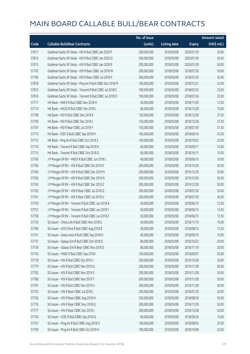|       |                                                          | No. of issue |                     |               | <b>Amount raised</b> |
|-------|----------------------------------------------------------|--------------|---------------------|---------------|----------------------|
| Code  | <b>Callable Bull/Bear Contracts</b>                      | (units)      | <b>Listing date</b> | <b>Expiry</b> | (HK\$ mil.)          |
| 57811 | Goldman Sachs SP (Asia) - HSI R Bull CBBC Jan 2020 P     | 200,000,000  | 2018/03/08          | 2020/01/30    | 50.00                |
| 57812 | Goldman Sachs SP (Asia) - HSI R Bull CBBC Jan 2020 Q     | 200,000,000  | 2018/03/08          | 2020/01/30    | 50.40                |
| 57813 | Goldman Sachs SP (Asia) - HSI R Bull CBBC Jan 2020 R     | 200,000,000  | 2018/03/08          | 2020/01/30    | 50.00                |
| 57705 | Goldman Sachs SP (Asia) - HSI R Bear CBBC Jul 2018 W     | 200,000,000  | 2018/03/08          | 2018/07/30    | 50.00                |
| 57706 | Goldman Sachs SP (Asia) - HSI R Bear CBBC Jul 2018 X     | 200,000,000  | 2018/03/08          | 2018/07/30    | 50.40                |
| 57818 | Goldman Sachs SP (Asia) - Ping An R Bull CBBC Dec 2018 M | 100,000,000  | 2018/03/08          | 2018/12/31    | 25.00                |
| 57815 | Goldman Sachs SP (Asia) - Tencent R Bull CBBC Jul 2018 C | 100,000,000  | 2018/03/08          | 2018/07/23    | 25.00                |
| 57816 | Goldman Sachs SP (Asia) - Tencent R Bull CBBC Jul 2018 D | 100,000,000  | 2018/03/08          | 2018/07/24    | 25.00                |
| 57711 | HK Bank - HKEX R Bull CBBC Nov 2018 H                    | 50,000,000   | 2018/03/08          | 2018/11/05    | 12.50                |
| 57714 | HK Bank - HSCEI R Bull CBBC Dec 2018 L                   | 60,000,000   | 2018/03/08          | 2018/12/28    | 15.00                |
| 57708 | HK Bank - HSI R Bull CBBC Dec 2018 K                     | 150,000,000  | 2018/03/08          | 2018/12/28    | 37.50                |
| 57709 | HK Bank - HSI R Bull CBBC Dec 2018 L                     | 150,000,000  | 2018/03/08          | 2018/12/28    | 37.50                |
| 57707 | HK Bank - HSI R Bear CBBC Jul 2018 Y                     | 150,000,000  | 2018/03/08          | 2018/07/30    | 37.50                |
| 57713 | HK Bank - ICBC R Bull CBBC Sep 2018 M                    | 100,000,000  | 2018/03/08          | 2018/09/10    | 25.00                |
| 57712 | HK Bank - Ping An R Bull CBBC Oct 2018 Z                 | 100,000,000  | 2018/03/08          | 2018/10/02    | 25.00                |
| 57710 | HK Bank - Tencent R Bull CBBC Sep 2018 X                 | 60,000,000   | 2018/03/08          | 2018/09/17    | 15.00                |
| 57715 | HK Bank - Tencent R Bull CBBC Oct 2018 Q                 | 60,000,000   | 2018/03/08          | 2018/10/11    | 15.00                |
| 57760 | J P Morgan SP BV - HKEX R Bull CBBC Jun 2018 L           | 40,000,000   | 2018/03/08          | 2018/06/15    | 10.00                |
| 57764 | J P Morgan SP BV - HSI R Bull CBBC Oct 2019 K            | 200,000,000  | 2018/03/08          | 2019/10/30    | 50.00                |
| 57765 | J P Morgan SP BV - HSI R Bull CBBC Dec 2019 M            | 200,000,000  | 2018/03/08          | 2019/12/30    | 50.00                |
| 57766 | J P Morgan SP BV - HSI R Bull CBBC Dec 2019 N            | 200,000,000  | 2018/03/08          | 2019/12/30    | 50.00                |
| 57763 | JP Morgan SP BV - HSIR Bull CBBC Dec 2019 Z              | 200,000,000  | 2018/03/08          | 2019/12/30    | 50.00                |
| 57762 | J P Morgan SP BV - HSI R Bear CBBC Jul 2018 Q            | 200,000,000  | 2018/03/08          | 2018/07/30    | 50.00                |
| 57761 | J P Morgan SP BV - HSI R Bear CBBC Jul 2018 U            | 200,000,000  | 2018/03/08          | 2018/07/30    | 50.00                |
| 57759 | J P Morgan SP BV - Tencent R Bull CBBC Jun 2018 A        | 50,000,000   | 2018/03/08          | 2018/06/15    | 12.50                |
| 57757 | J P Morgan SP BV - Tencent R Bull CBBC Jun 2018 Y        | 50,000,000   | 2018/03/08          | 2018/06/15    | 12.50                |
| 57758 | JP Morgan SP BV - Tencent R Bull CBBC Jun 2018 Z         | 50,000,000   | 2018/03/08          | 2018/06/15    | 12.50                |
| 57735 | SG Issuer - China Life R Bull CBBC Nov 2018 G            | 40,000,000   | 2018/03/08          | 2018/11/15    | 10.00                |
| 57784 | SG Issuer - A50 China R Bull CBBC Aug 2018 B             | 50,000,000   | 2018/03/08          | 2018/08/15    | 12.50                |
| 57741 | SG Issuer - Geely Auto R Bull CBBC Sep 2018 H            | 40,000,000   | 2018/03/08          | 2018/09/10    | 10.00                |
| 57737 | SG Issuer - Galaxy Ent R Bull CBBC Oct 2018 D            | 80,000,000   | 2018/03/08          | 2018/10/22    | 20.00                |
| 57739 | SG Issuer - Galaxy Ent R Bear CBBC Nov 2018 D            | 80,000,000   | 2018/03/08          | 2018/11/19    | 20.00                |
| 57745 | SG Issuer - HSBC R Bull CBBC Sep 2018 I                  | 100,000,000  | 2018/03/08          | 2018/09/07    | 25.00                |
| 57778 | SG Issuer - HSI R Bull CBBC Oct 2019 J                   | 200,000,000  | 2018/03/08          | 2019/10/30    | 50.00                |
| 57779 | SG Issuer - HSI R Bull CBBC Nov 2019 Q                   | 200,000,000  | 2018/03/08          | 2019/11/28    | 50.00                |
| 57782 | SG Issuer - HSI R Bull CBBC Nov 2019 S                   | 200,000,000  | 2018/03/08          | 2019/11/28    | 50.00                |
| 57780 | SG Issuer - HSI R Bull CBBC Nov 2019 T                   | 200,000,000  | 2018/03/08          | 2019/11/28    | 50.00                |
| 57781 | SG Issuer - HSI R Bull CBBC Nov 2019 U                   | 200,000,000  | 2018/03/08          | 2019/11/28    | 50.00                |
| 57755 | SG Issuer - HSI R Bear CBBC Jul 2018 L                   | 200,000,000  | 2018/03/08          | 2018/07/30    | 50.00                |
| 57756 | SG Issuer - HSI R Bear CBBC Aug 2018 N                   | 200,000,000  | 2018/03/08          | 2018/08/30    | 50.00                |
| 57776 | SG Issuer - HSI R Bear CBBC Nov 2018 Q                   | 200,000,000  | 2018/03/08          | 2018/11/29    | 50.00                |
| 57777 | SG Issuer - HSI R Bear CBBC Dec 2018 J                   | 200,000,000  | 2018/03/08          | 2018/12/28    | 50.00                |
| 57743 | SG Issuer - ICBC R Bull CBBC Sep 2018 Q                  | 60,000,000   | 2018/03/08          | 2018/09/24    | 15.00                |
| 57747 | SG Issuer - Ping An R Bull CBBC Aug 2018 H               | 100,000,000  | 2018/03/08          | 2018/08/03    | 25.00                |
| 57749 | SG Issuer - Ping An R Bull CBBC Oct 2018 H               | 100,000,000  | 2018/03/08          | 2018/10/09    | 25.00                |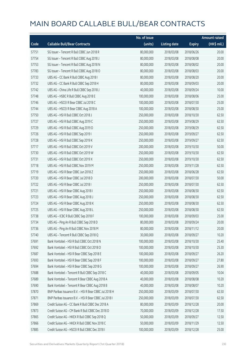|       |                                                        | No. of issue |                     |               | <b>Amount raised</b> |
|-------|--------------------------------------------------------|--------------|---------------------|---------------|----------------------|
| Code  | <b>Callable Bull/Bear Contracts</b>                    | (units)      | <b>Listing date</b> | <b>Expiry</b> | $(HK\$ mil.)         |
| 57751 | SG Issuer - Tencent R Bull CBBC Jun 2018 R             | 80,000,000   | 2018/03/08          | 2018/06/26    | 20.00                |
| 57754 | SG Issuer - Tencent R Bull CBBC Aug 2018 J             | 80,000,000   | 2018/03/08          | 2018/08/08    | 20.00                |
| 57753 | SG Issuer - Tencent R Bull CBBC Aug 2018 N             | 80,000,000   | 2018/03/08          | 2018/08/02    | 20.00                |
| 57783 | SG Issuer - Tencent R Bull CBBC Aug 2018 O             | 80,000,000   | 2018/03/08          | 2018/08/03    | 20.00                |
| 57733 | UBS AG - CC Bank R Bull CBBC Aug 2018 I                | 80,000,000   | 2018/03/08          | 2018/08/20    | 20.00                |
| 57732 | UBS AG - CC Bank R Bull CBBC Sep 2018 H                | 80,000,000   | 2018/03/08          | 2018/09/03    | 20.00                |
| 57742 | UBS AG - China Life R Bull CBBC Sep 2018 J             | 40,000,000   | 2018/03/08          | 2018/09/24    | 10.00                |
| 57748 | UBS AG - HSBC R Bull CBBC Aug 2018 E                   | 100,000,000  | 2018/03/08          | 2018/08/06    | 25.00                |
| 57746 | UBS AG - HSCEI R Bear CBBC Jul 2018 C                  | 100,000,000  | 2018/03/08          | 2018/07/30    | 25.00                |
| 57744 | UBS AG - HSCEI R Bear CBBC Aug 2018 A                  | 100,000,000  | 2018/03/08          | 2018/08/30    | 25.00                |
| 57750 | UBS AG - HSI R Bull CBBC Oct 2018 J                    | 250,000,000  | 2018/03/08          | 2018/10/30    | 62.50                |
| 57727 | UBS AG - HSI R Bull CBBC Aug 2019 C                    | 250,000,000  | 2018/03/08          | 2019/08/29    | 62.50                |
| 57729 | UBS AG - HSI R Bull CBBC Aug 2019 D                    | 250,000,000  | 2018/03/08          | 2019/08/29    | 62.50                |
| 57726 | UBS AG - HSI R Bull CBBC Sep 2019 I                    | 250,000,000  | 2018/03/08          | 2019/09/27    | 62.50                |
| 57728 | UBS AG - HSI R Bull CBBC Sep 2019 K                    | 250,000,000  | 2018/03/08          | 2019/09/27    | 62.50                |
| 57717 | UBS AG - HSI R Bull CBBC Oct 2019 V                    | 200,000,000  | 2018/03/08          | 2019/10/30    | 50.00                |
| 57730 | UBS AG - HSI R Bull CBBC Oct 2019 W                    | 250,000,000  | 2018/03/08          | 2019/10/30    | 62.50                |
| 57731 | UBS AG - HSI R Bull CBBC Oct 2019 X                    | 250,000,000  | 2018/03/08          | 2019/10/30    | 62.50                |
| 57718 | UBS AG - HSI R Bull CBBC Nov 2019 M                    | 250,000,000  | 2018/03/08          | 2019/11/28    | 62.50                |
| 57719 | UBS AG - HSI R Bear CBBC Jun 2018 Z                    | 250,000,000  | 2018/03/08          | 2018/06/28    | 62.50                |
| 57720 | UBS AG - HSI R Bear CBBC Jul 2018 D                    | 200,000,000  | 2018/03/08          | 2018/07/30    | 50.00                |
| 57722 | UBS AG - HSI R Bear CBBC Jul 2018 I                    | 250,000,000  | 2018/03/08          | 2018/07/30    | 62.50                |
| 57721 | UBS AG - HSI R Bear CBBC Aug 2018 I                    | 250,000,000  | 2018/03/08          | 2018/08/30    | 62.50                |
| 57723 | UBS AG - HSI R Bear CBBC Aug 2018 J                    | 250,000,000  | 2018/03/08          | 2018/08/30    | 62.50                |
| 57724 | UBS AG - HSI R Bear CBBC Aug 2018 K                    | 250,000,000  | 2018/03/08          | 2018/08/30    | 62.50                |
| 57725 | UBS AG - HSI R Bear CBBC Aug 2018 L                    | 250,000,000  | 2018/03/08          | 2018/08/30    | 62.50                |
| 57738 | UBS AG - ICBC R Bull CBBC Sep 2018 F                   | 100,000,000  | 2018/03/08          | 2018/09/03    | 25.00                |
| 57734 | UBS AG - Ping An R Bull CBBC Sep 2018 D                | 80,000,000   | 2018/03/08          | 2018/09/24    | 20.00                |
| 57736 | UBS AG - Ping An R Bull CBBC Nov 2018 M                | 80,000,000   | 2018/03/08          | 2018/11/12    | 20.00                |
| 57740 | UBS AG - Tencent R Bull CBBC Sep 2018 Q                | 30,000,000   | 2018/03/08          | 2018/09/27    | 10.20                |
| 57691 | Bank Vontobel - HSI R Bull CBBC Oct 2018 N             | 100,000,000  | 2018/03/08          | 2018/10/30    | 25.40                |
| 57692 | Bank Vontobel - HSI R Bull CBBC Oct 2018 O             | 100,000,000  | 2018/03/08          | 2018/10/30    | 25.30                |
| 57687 | Bank Vontobel - HSI R Bear CBBC Sep 2018 E             | 100,000,000  | 2018/03/08          | 2018/09/27    | 26.20                |
| 57693 | Bank Vontobel - HSI R Bear CBBC Sep 2018 F             | 100,000,000  | 2018/03/08          | 2018/09/27    | 27.80                |
| 57694 | Bank Vontobel - HSI R Bear CBBC Sep 2018 G             | 100,000,000  | 2018/03/08          | 2018/09/27    | 26.90                |
| 57688 | Bank Vontobel - Tencent R Bull CBBC Sep 2018 C         | 40,000,000   | 2018/03/08          | 2018/09/05    | 10.04                |
| 57689 | Bank Vontobel - Tencent R Bear CBBC Aug 2018 A         | 40,000,000   | 2018/03/08          | 2018/08/08    | 10.20                |
| 57690 | Bank Vontobel - Tencent R Bear CBBC Aug 2018 B         | 40,000,000   | 2018/03/08          | 2018/08/07    | 10.20                |
| 57870 | BNP Paribas Issuance B.V. - HSI R Bear CBBC Jul 2018 H | 250,000,000  | 2018/03/09          | 2018/07/30    | 62.50                |
| 57871 | BNP Paribas Issuance B.V. - HSI R Bear CBBC Jul 2018 I | 250,000,000  | 2018/03/09          | 2018/07/30    | 62.50                |
| 57869 | Credit Suisse AG - CC Bank R Bull CBBC Dec 2018 A      | 80,000,000   | 2018/03/09          | 2018/12/28    | 20.00                |
| 57873 | Credit Suisse AG - CM Bank R Bull CBBC Dec 2018 D      | 70,000,000   | 2018/03/09          | 2018/12/28    | 17.50                |
| 57865 | Credit Suisse AG - HKEX R Bull CBBC Sep 2018 Q         | 50,000,000   | 2018/03/09          | 2018/09/27    | 12.50                |
| 57866 | Credit Suisse AG - HKEX R Bull CBBC Nov 2018 C         | 50,000,000   | 2018/03/09          | 2018/11/29    | 12.50                |
| 57885 | Credit Suisse AG - HSCEI R Bull CBBC Dec 2018 I        | 100,000,000  | 2018/03/09          | 2018/12/28    | 25.00                |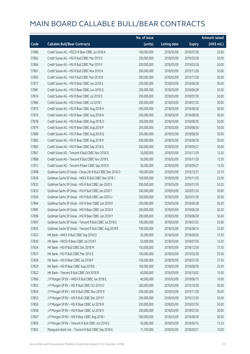|       |                                                             | No. of issue |                     |               | <b>Amount raised</b> |
|-------|-------------------------------------------------------------|--------------|---------------------|---------------|----------------------|
| Code  | <b>Callable Bull/Bear Contracts</b>                         | (units)      | <b>Listing date</b> | <b>Expiry</b> | (HK\$ mil.)          |
| 57886 | Credit Suisse AG - HSCEI R Bear CBBC Jul 2018 A             | 100,000,000  | 2018/03/09          | 2018/07/30    | 25.00                |
| 57862 | Credit Suisse AG - HSI R Bull CBBC Mar 2019 E               | 200,000,000  | 2018/03/09          | 2019/03/28    | 50.00                |
| 57864 | Credit Suisse AG - HSI R Bull CBBC Mar 2019 F               | 200,000,000  | 2018/03/09          | 2019/03/28    | 50.00                |
| 57861 | Credit Suisse AG - HSI R Bull CBBC Nov 2019 A               | 200,000,000  | 2018/03/09          | 2019/11/28    | 50.00                |
| 57863 | Credit Suisse AG - HSI R Bull CBBC Nov 2019 B               | 200,000,000  | 2018/03/09          | 2019/11/28    | 50.00                |
| 57877 | Credit Suisse AG - HSI R Bear CBBC Jun 2018 A               | 200,000,000  | 2018/03/09          | 2018/06/28    | 50.00                |
| 57881 | Credit Suisse AG - HSI R Bear CBBC Jun 2018 Q               | 200,000,000  | 2018/03/09          | 2018/06/28    | 50.00                |
| 57874 | Credit Suisse AG - HSI R Bear CBBC Jul 2018 D               | 200,000,000  | 2018/03/09          | 2018/07/30    | 50.00                |
| 57884 | Credit Suisse AG - HSI R Bear CBBC Jul 2018 I               | 200,000,000  | 2018/03/09          | 2018/07/30    | 50.00                |
| 57875 | Credit Suisse AG - HSI R Bear CBBC Aug 2018 H               | 200,000,000  | 2018/03/09          | 2018/08/30    | 50.00                |
| 57876 | Credit Suisse AG - HSI R Bear CBBC Aug 2018 N               | 200,000,000  | 2018/03/09          | 2018/08/30    | 50.00                |
| 57878 | Credit Suisse AG - HSI R Bear CBBC Aug 2018 O               | 200,000,000  | 2018/03/09          | 2018/08/30    | 50.00                |
| 57879 | Credit Suisse AG - HSI R Bear CBBC Aug 2018 P               | 200,000,000  | 2018/03/09          | 2018/08/30    | 50.00                |
| 57880 | Credit Suisse AG - HSI R Bear CBBC Aug 2018 Q               | 200,000,000  | 2018/03/09          | 2018/08/30    | 50.00                |
| 57882 | Credit Suisse AG - HSI R Bear CBBC Aug 2018 R               | 200,000,000  | 2018/03/09          | 2018/08/30    | 50.00                |
| 57883 | Credit Suisse AG - HSI R Bear CBBC Sep 2018 Q               | 200,000,000  | 2018/03/09          | 2018/09/27    | 50.00                |
| 57867 | Credit Suisse AG - Tencent R Bull CBBC Nov 2018 D           | 50,000,000   | 2018/03/09          | 2018/11/29    | 12.50                |
| 57868 | Credit Suisse AG - Tencent R Bull CBBC Nov 2018 E           | 50,000,000   | 2018/03/09          | 2018/11/29    | 12.50                |
| 57872 | Credit Suisse AG - Tencent R Bear CBBC Sep 2018 D           | 50,000,000   | 2018/03/09          | 2018/09/27    | 12.50                |
| 57898 | Goldman Sachs SP (Asia) - China Life R Bull CBBC Dec 2018 D | 100,000,000  | 2018/03/09          | 2018/12/31    | 25.10                |
| 57836 | Goldman Sachs SP (Asia) - HKEX R Bull CBBC Nov 2018 J       | 100,000,000  | 2018/03/09          | 2018/11/30    | 25.00                |
| 57832 | Goldman Sachs SP (Asia) - HSI R Bull CBBC Jan 2020 S        | 200,000,000  | 2018/03/09          | 2020/01/30    | 50.20                |
| 57833 | Goldman Sachs SP (Asia) - HSI R Bull CBBC Jan 2020 T        | 200,000,000  | 2018/03/09          | 2020/01/30    | 50.00                |
| 57834 | Goldman Sachs SP (Asia) - HSI R Bull CBBC Jan 2020 U        | 200,000,000  | 2018/03/09          | 2020/01/30    | 50.00                |
| 57894 | Goldman Sachs SP (Asia) - HSI R Bear CBBC Jun 2018 E        | 200,000,000  | 2018/03/09          | 2018/06/28    | 50.20                |
| 57895 | Goldman Sachs SP (Asia) - HSI R Bear CBBC Jun 2018 X        | 200,000,000  | 2018/03/09          | 2018/06/28    | 50.20                |
| 57896 | Goldman Sachs SP (Asia) - HSI R Bear CBBC Jun 2018 Y        | 200,000,000  | 2018/03/09          | 2018/06/28    | 50.40                |
| 57897 | Goldman Sachs SP (Asia) - Tencent R Bull CBBC Jul 2018 E    | 100,000,000  | 2018/03/09          | 2018/07/25    | 25.00                |
| 57835 | Goldman Sachs SP (Asia) - Tencent R Bull CBBC Aug 2018 R    | 100,000,000  | 2018/03/09          | 2018/08/14    | 25.00                |
| 57823 | HK Bank - HKEX R Bull CBBC Sep 2018 Q                       | 50,000,000   | 2018/03/09          | 2018/09/20    | 12.50                |
| 57830 | HK Bank - HSCEI R Bear CBBC Jul 2018 F                      | 50,000,000   | 2018/03/09          | 2018/07/30    | 12.50                |
| 57824 | HK Bank - HSI R Bull CBBC Dec 2018 M                        | 150,000,000  | 2018/03/09          | 2018/12/28    | 37.50                |
| 57831 | HK Bank - HSI R Bull CBBC Mar 2019 E                        | 100,000,000  | 2018/03/09          | 2019/03/28    | 25.00                |
| 57828 | HK Bank - HSI R Bear CBBC Jul 2018 P                        | 150,000,000  | 2018/03/09          | 2018/07/30    | 37.50                |
| 57829 | HK Bank - HSI R Bear CBBC Aug 2018 B                        | 100,000,000  | 2018/03/09          | 2018/08/30    | 25.00                |
| 57822 | HK Bank - Tencent R Bull CBBC Oct 2018 R                    | 60,000,000   | 2018/03/09          | 2018/10/02    | 15.00                |
| 57860 | J P Morgan SP BV - HKEX R Bull CBBC Jun 2018 E              | 40,000,000   | 2018/03/09          | 2018/06/15    | 10.00                |
| 57855 | J P Morgan SP BV - HSI R Bull CBBC Oct 2019 D               | 200,000,000  | 2018/03/09          | 2019/10/30    | 50.00                |
| 57854 | J P Morgan SP BV - HSI R Bull CBBC Nov 2019 X               | 200,000,000  | 2018/03/09          | 2019/11/28    | 50.00                |
| 57853 | J P Morgan SP BV - HSI R Bull CBBC Dec 2019 F               | 200,000,000  | 2018/03/09          | 2019/12/30    | 50.00                |
| 57856 | J P Morgan SP BV - HSI R Bear CBBC Jul 2018 R               | 200,000,000  | 2018/03/09          | 2018/07/30    | 50.00                |
| 57858 | J P Morgan SP BV - HSI R Bear CBBC Jul 2018 V               | 200,000,000  | 2018/03/09          | 2018/07/30    | 50.00                |
| 57857 | J P Morgan SP BV - HSI R Bear CBBC Aug 2018 I               | 200,000,000  | 2018/03/09          | 2018/08/30    | 50.00                |
| 57859 | J P Morgan SP BV - Tencent R Bull CBBC Jun 2018 G           | 50,000,000   | 2018/03/09          | 2018/06/15    | 12.50                |
| 57825 | Macquarie Bank Ltd. - Tencent R Bull CBBC Sep 2018 A        | 11,700,000   | 2018/03/09          | 2018/09/27    | 10.00                |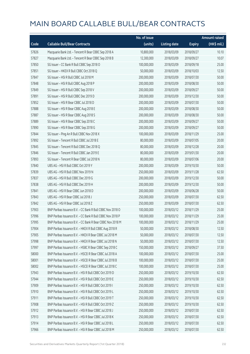|       |                                                            | No. of issue |                     |               | <b>Amount raised</b> |
|-------|------------------------------------------------------------|--------------|---------------------|---------------|----------------------|
| Code  | <b>Callable Bull/Bear Contracts</b>                        | (units)      | <b>Listing date</b> | <b>Expiry</b> | $(HK\$ mil.)         |
| 57826 | Macquarie Bank Ltd. - Tencent R Bear CBBC Sep 2018 A       | 10,800,000   | 2018/03/09          | 2018/09/27    | 10.10                |
| 57827 | Macquarie Bank Ltd. - Tencent R Bear CBBC Sep 2018 B       | 12,300,000   | 2018/03/09          | 2018/09/27    | 10.07                |
| 57850 | SG Issuer - CC Bank R Bull CBBC Sep 2018 O                 | 100,000,000  | 2018/03/09          | 2018/09/18    | 25.00                |
| 57851 | SG Issuer - HKEX R Bull CBBC Oct 2018 Q                    | 50,000,000   | 2018/03/09          | 2018/10/03    | 12.50                |
| 57847 | SG Issuer - HSI R Bull CBBC Jul 2018 M                     | 200,000,000  | 2018/03/09          | 2018/07/30    | 50.00                |
| 57848 | SG Issuer - HSI R Bull CBBC Aug 2018 P                     | 200,000,000  | 2018/03/09          | 2018/08/30    | 50.00                |
| 57849 | SG Issuer - HSI R Bull CBBC Sep 2018 V                     | 200,000,000  | 2018/03/09          | 2018/09/27    | 50.00                |
| 57891 | SG Issuer - HSI R Bull CBBC Dec 2019 D                     | 200,000,000  | 2018/03/09          | 2019/12/30    | 50.00                |
| 57852 | SG Issuer - HSI R Bear CBBC Jul 2018 D                     | 200,000,000  | 2018/03/09          | 2018/07/30    | 50.00                |
| 57888 | SG Issuer - HSI R Bear CBBC Aug 2018 E                     | 200,000,000  | 2018/03/09          | 2018/08/30    | 50.00                |
| 57887 | SG Issuer - HSI R Bear CBBC Aug 2018 S                     | 200,000,000  | 2018/03/09          | 2018/08/30    | 50.00                |
| 57889 | SG Issuer - HSI R Bear CBBC Sep 2018 C                     | 200,000,000  | 2018/03/09          | 2018/09/27    | 50.00                |
| 57890 | SG Issuer - HSI R Bear CBBC Sep 2018 G                     | 200,000,000  | 2018/03/09          | 2018/09/27    | 50.00                |
| 57844 | SG Issuer - Ping An R Bull CBBC Nov 2018 X                 | 100,000,000  | 2018/03/09          | 2018/11/29    | 25.00                |
| 57892 | SG Issuer - Tencent R Bull CBBC Jul 2018 E                 | 80,000,000   | 2018/03/09          | 2018/07/05    | 20.00                |
| 57845 | SG Issuer - Tencent R Bull CBBC Dec 2018 Q                 | 80,000,000   | 2018/03/09          | 2018/12/28    | 20.00                |
| 57846 | SG Issuer - Tencent R Bull CBBC Jan 2019 E                 | 80,000,000   | 2018/03/09          | 2019/01/30    | 20.00                |
| 57893 | SG Issuer - Tencent R Bear CBBC Jul 2018 N                 | 80,000,000   | 2018/03/09          | 2018/07/06    | 20.00                |
| 57840 | UBS AG - HSI R Bull CBBC Oct 2019 Y                        | 200,000,000  | 2018/03/09          | 2019/10/30    | 50.00                |
| 57839 | UBS AG - HSI R Bull CBBC Nov 2019 N                        | 250,000,000  | 2018/03/09          | 2019/11/28    | 62.50                |
| 57837 | UBS AG - HSI R Bull CBBC Dec 2019 G                        | 200,000,000  | 2018/03/09          | 2019/12/30    | 50.00                |
| 57838 | UBS AG - HSI R Bull CBBC Dec 2019 H                        | 200,000,000  | 2018/03/09          | 2019/12/30    | 50.00                |
| 57841 | UBS AG - HSI R Bear CBBC Jun 2018 D                        | 200,000,000  | 2018/03/09          | 2018/06/28    | 50.00                |
| 57843 | UBS AG - HSI R Bear CBBC Jul 2018 J                        | 250,000,000  | 2018/03/09          | 2018/07/30    | 62.50                |
| 57842 | UBS AG - HSI R Bear CBBC Jul 2018 Z                        | 250,000,000  | 2018/03/09          | 2018/07/30    | 62.50                |
| 57903 | BNP Paribas Issuance B.V. - CC Bank R Bull CBBC Nov 2018 O | 100,000,000  | 2018/03/12          | 2018/11/29    | 25.00                |
| 57996 | BNP Paribas Issuance B.V. - CC Bank R Bull CBBC Nov 2018 P | 100,000,000  | 2018/03/12          | 2018/11/29    | 25.00                |
| 57995 | BNP Paribas Issuance B.V. - CC Bank R Bear CBBC Nov 2018 M | 100,000,000  | 2018/03/12          | 2018/11/29    | 25.00                |
| 57904 | BNP Paribas Issuance B.V. - HKEX R Bull CBBC Aug 2018 R    | 50,000,000   | 2018/03/12          | 2018/08/30    | 12.50                |
| 57905 | BNP Paribas Issuance B.V. - HKEX R Bear CBBC Jul 2018 M    | 50,000,000   | 2018/03/12          | 2018/07/30    | 12.50                |
| 57998 | BNP Paribas Issuance B.V. - HKEX R Bear CBBC Jul 2018 N    | 50,000,000   | 2018/03/12          | 2018/07/30    | 12.50                |
| 57997 | BNP Paribas Issuance B.V. - HSBC R Bear CBBC Sep 2018 C    | 150,000,000  | 2018/03/12          | 2018/09/27    | 37.50                |
| 58000 | BNP Paribas Issuance B.V. - HSCEI R Bear CBBC Jul 2018 A   | 100,000,000  | 2018/03/12          | 2018/07/30    | 25.00                |
| 58001 | BNP Paribas Issuance B.V. - HSCEI R Bear CBBC Jul 2018 B   | 100,000,000  | 2018/03/12          | 2018/07/30    | 25.00                |
| 58002 | BNP Paribas Issuance B.V. - HSCEI R Bear CBBC Jul 2018 C   | 100,000,000  | 2018/03/12          | 2018/07/30    | 25.00                |
| 57943 | BNP Paribas Issuance B.V. - HSI R Bull CBBC Oct 2019 D     | 250,000,000  | 2018/03/12          | 2019/10/30    | 62.50                |
| 57944 | BNP Paribas Issuance B.V. - HSI R Bull CBBC Oct 2019 E     | 250,000,000  | 2018/03/12          | 2019/10/30    | 62.50                |
| 57909 | BNP Paribas Issuance B.V. - HSI R Bull CBBC Oct 2019 I     | 250,000,000  | 2018/03/12          | 2019/10/30    | 62.50                |
| 57910 | BNP Paribas Issuance B.V. - HSI R Bull CBBC Oct 2019 L     | 250,000,000  | 2018/03/12          | 2019/10/30    | 62.50                |
| 57911 | BNP Paribas Issuance B.V. - HSI R Bull CBBC Oct 2019 T     | 250,000,000  | 2018/03/12          | 2019/10/30    | 62.50                |
| 57908 | BNP Paribas Issuance B.V. - HSI R Bull CBBC Oct 2019 Z     | 250,000,000  | 2018/03/12          | 2019/10/30    | 62.50                |
| 57912 | BNP Paribas Issuance B.V. - HSI R Bear CBBC Jul 2018 J     | 250,000,000  | 2018/03/12          | 2018/07/30    | 62.50                |
| 57913 | BNP Paribas Issuance B.V. - HSI R Bear CBBC Jul 2018 K     | 250,000,000  | 2018/03/12          | 2018/07/30    | 62.50                |
| 57914 | BNP Paribas Issuance B.V. - HSI R Bear CBBC Jul 2018 L     | 250,000,000  | 2018/03/12          | 2018/07/30    | 62.50                |
| 57966 | BNP Paribas Issuance B.V. - HSI R Bear CBBC Jul 2018 M     | 250,000,000  | 2018/03/12          | 2018/07/30    | 62.50                |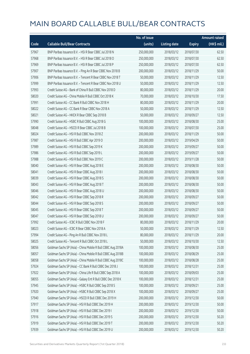|       |                                                              | No. of issue |                     |               | <b>Amount raised</b>  |
|-------|--------------------------------------------------------------|--------------|---------------------|---------------|-----------------------|
| Code  | <b>Callable Bull/Bear Contracts</b>                          | (units)      | <b>Listing date</b> | <b>Expiry</b> | $(HK\frac{1}{2}mil.)$ |
| 57967 | BNP Paribas Issuance B.V. - HSI R Bear CBBC Jul 2018 N       | 250,000,000  | 2018/03/12          | 2018/07/30    | 62.50                 |
| 57968 | BNP Paribas Issuance B.V. - HSI R Bear CBBC Jul 2018 O       | 250,000,000  | 2018/03/12          | 2018/07/30    | 62.50                 |
| 57969 | BNP Paribas Issuance B.V. - HSI R Bear CBBC Jul 2018 P       | 250,000,000  | 2018/03/12          | 2018/07/30    | 62.50                 |
| 57907 | BNP Paribas Issuance B.V. - Ping An R Bear CBBC Nov 2018 B   | 200,000,000  | 2018/03/12          | 2018/11/29    | 50.00                 |
| 57906 | BNP Paribas Issuance B.V. - Tencent R Bear CBBC Nov 2018 T   | 50,000,000   | 2018/03/12          | 2018/11/29    | 12.50                 |
| 57999 | BNP Paribas Issuance B.V. - Tencent R Bear CBBC Nov 2018 U   | 50,000,000   | 2018/03/12          | 2018/11/29    | 12.50                 |
| 57993 | Credit Suisse AG - Bank of China R Bull CBBC Nov 2018 D      | 80,000,000   | 2018/03/12          | 2018/11/29    | 20.00                 |
| 58020 | Credit Suisse AG - China Mobile R Bull CBBC Oct 2018 K       | 70,000,000   | 2018/03/12          | 2018/10/30    | 17.50                 |
| 57991 | Credit Suisse AG - CC Bank R Bull CBBC Nov 2018 H            | 80,000,000   | 2018/03/12          | 2018/11/29    | 20.00                 |
| 58022 | Credit Suisse AG - CC Bank R Bear CBBC Nov 2018 A            | 50,000,000   | 2018/03/12          | 2018/11/29    | 12.50                 |
| 58021 | Credit Suisse AG - HKEX R Bear CBBC Sep 2018 B               | 50,000,000   | 2018/03/12          | 2018/09/27    | 12.50                 |
| 57990 | Credit Suisse AG - HSBC R Bull CBBC Aug 2018 G               | 100,000,000  | 2018/03/12          | 2018/08/30    | 25.00                 |
| 58048 | Credit Suisse AG - HSCEI R Bear CBBC Jul 2018 B              | 100,000,000  | 2018/03/12          | 2018/07/30    | 25.00                 |
| 58024 | Credit Suisse AG - HSI R Bull CBBC Nov 2018 Z                | 200,000,000  | 2018/03/12          | 2018/11/29    | 50.00                 |
| 57987 | Credit Suisse AG - HSI R Bull CBBC Apr 2019 O                | 200,000,000  | 2018/03/12          | 2019/04/29    | 50.00                 |
| 57989 | Credit Suisse AG - HSI R Bull CBBC Sep 2019 K                | 200,000,000  | 2018/03/12          | 2019/09/27    | 50.00                 |
| 57986 | Credit Suisse AG - HSI R Bull CBBC Sep 2019 L                | 200,000,000  | 2018/03/12          | 2019/09/27    | 50.00                 |
| 57988 | Credit Suisse AG - HSI R Bull CBBC Nov 2019 C                | 200,000,000  | 2018/03/12          | 2019/11/28    | 50.00                 |
| 58040 | Credit Suisse AG - HSI R Bear CBBC Aug 2018 E                | 200,000,000  | 2018/03/12          | 2018/08/30    | 50.00                 |
| 58041 | Credit Suisse AG - HSI R Bear CBBC Aug 2018 I                | 200,000,000  | 2018/03/12          | 2018/08/30    | 50.00                 |
| 58039 | Credit Suisse AG - HSI R Bear CBBC Aug 2018 S                | 200,000,000  | 2018/03/12          | 2018/08/30    | 50.00                 |
| 58043 | Credit Suisse AG - HSI R Bear CBBC Aug 2018 T                | 200,000,000  | 2018/03/12          | 2018/08/30    | 50.00                 |
| 58046 | Credit Suisse AG - HSI R Bear CBBC Aug 2018 U                | 200,000,000  | 2018/03/12          | 2018/08/30    | 50.00                 |
| 58042 | Credit Suisse AG - HSI R Bear CBBC Sep 2018 R                | 200,000,000  | 2018/03/12          | 2018/09/27    | 50.00                 |
| 58044 | Credit Suisse AG - HSI R Bear CBBC Sep 2018 S                | 200,000,000  | 2018/03/12          | 2018/09/27    | 50.00                 |
| 58045 | Credit Suisse AG - HSI R Bear CBBC Sep 2018 T                | 200,000,000  | 2018/03/12          | 2018/09/27    | 50.00                 |
| 58047 | Credit Suisse AG - HSI R Bear CBBC Sep 2018 U                | 200,000,000  | 2018/03/12          | 2018/09/27    | 50.00                 |
| 57992 | Credit Suisse AG - ICBC R Bull CBBC Nov 2018 F               | 80,000,000   | 2018/03/12          | 2018/11/29    | 20.00                 |
| 58023 | Credit Suisse AG - ICBC R Bear CBBC Nov 2018 A               | 50,000,000   | 2018/03/12          | 2018/11/29    | 12.50                 |
| 57994 | Credit Suisse AG - Ping An R Bull CBBC Nov 2018 L            | 80,000,000   | 2018/03/12          | 2018/11/29    | 20.00                 |
| 58025 | Credit Suisse AG - Tencent R Bull CBBC Oct 2018 L            | 50,000,000   | 2018/03/12          | 2018/10/30    | 12.50                 |
| 58056 | Goldman Sachs SP (Asia) - China Mobile R Bull CBBC Aug 2018A | 100,000,000  | 2018/03/12          | 2018/08/30    | 25.00                 |
| 58057 | Goldman Sachs SP (Asia) - China Mobile R Bull CBBC Aug 2018B | 100,000,000  | 2018/03/12          | 2018/08/29    | 25.00                 |
| 58058 | Goldman Sachs SP (Asia) - China Mobile R Bull CBBC Aug 2018C | 100,000,000  | 2018/03/12          | 2018/08/28    | 25.00                 |
| 57924 | Goldman Sachs SP (Asia) - CC Bank R Bull CBBC Dec 2018 J     | 100,000,000  | 2018/03/12          | 2018/12/31    | 25.00                 |
| 57922 | Goldman Sachs SP (Asia) - China Life R Bull CBBC Sep 2018 A  | 100,000,000  | 2018/03/12          | 2018/09/03    | 25.00                 |
| 58055 | Goldman Sachs SP (Asia) - Galaxy Ent R Bull CBBC Dec 2018 K  | 100,000,000  | 2018/03/12          | 2018/12/31    | 25.00                 |
| 57945 | Goldman Sachs SP (Asia) - HSBC R Bull CBBC Sep 2018 S        | 100,000,000  | 2018/03/12          | 2018/09/21    | 25.00                 |
| 57920 | Goldman Sachs SP (Asia) - HSBC R Bull CBBC Sep 2018 X        | 100,000,000  | 2018/03/12          | 2018/09/27    | 25.00                 |
| 57940 | Goldman Sachs SP (Asia) - HSCEI R Bull CBBC Dec 2019 H       | 200,000,000  | 2018/03/12          | 2019/12/30    | 50.00                 |
| 57917 | Goldman Sachs SP (Asia) - HSI R Bull CBBC Dec 2019 H         | 200,000,000  | 2018/03/12          | 2019/12/30    | 50.00                 |
| 57918 | Goldman Sachs SP (Asia) - HSI R Bull CBBC Dec 2019 I         | 200,000,000  | 2018/03/12          | 2019/12/30    | 50.00                 |
| 57916 | Goldman Sachs SP (Asia) - HSI R Bull CBBC Dec 2019 S         | 200,000,000  | 2018/03/12          | 2019/12/30    | 50.20                 |
| 57919 | Goldman Sachs SP (Asia) - HSI R Bull CBBC Dec 2019 T         | 200,000,000  | 2018/03/12          | 2019/12/30    | 50.20                 |
| 57939 | Goldman Sachs SP (Asia) - HSI R Bull CBBC Dec 2019 U         | 200,000,000  | 2018/03/12          | 2019/12/30    | 50.20                 |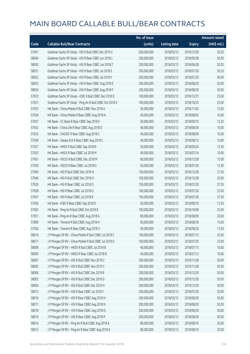|       |                                                          | No. of issue |                     |               | <b>Amount raised</b> |
|-------|----------------------------------------------------------|--------------|---------------------|---------------|----------------------|
| Code  | <b>Callable Bull/Bear Contracts</b>                      | (units)      | <b>Listing date</b> | <b>Expiry</b> | (HK\$ mil.)          |
| 57941 | Goldman Sachs SP (Asia) - HSI R Bull CBBC Dec 2019 V     | 200,000,000  | 2018/03/12          | 2019/12/30    | 50.20                |
| 58049 | Goldman Sachs SP (Asia) - HSI R Bear CBBC Jun 2018 L     | 200,000,000  | 2018/03/12          | 2018/06/28    | 50.00                |
| 58050 | Goldman Sachs SP (Asia) - HSI R Bear CBBC Jun 2018 Z     | 200,000,000  | 2018/03/12          | 2018/06/28    | 50.20                |
| 58051 | Goldman Sachs SP (Asia) - HSI R Bear CBBC Jul 2018 S     | 200,000,000  | 2018/03/12          | 2018/07/30    | 50.20                |
| 58052 | Goldman Sachs SP (Asia) - HSI R Bear CBBC Jul 2018 Y     | 200,000,000  | 2018/03/12          | 2018/07/30    | 50.00                |
| 58053 | Goldman Sachs SP (Asia) - HSI R Bear CBBC Aug 2018 E     | 200,000,000  | 2018/03/12          | 2018/08/30    | 50.00                |
| 58054 | Goldman Sachs SP (Asia) - HSI R Bear CBBC Aug 2018 F     | 200,000,000  | 2018/03/12          | 2018/08/30    | 50.00                |
| 57923 | Goldman Sachs SP (Asia) - ICBC R Bull CBBC Dec 2018 Q    | 100,000,000  | 2018/03/12          | 2018/12/31    | 25.00                |
| 57921 | Goldman Sachs SP (Asia) - Ping An R Bull CBBC Oct 2018 X | 100,000,000  | 2018/03/12          | 2018/10/25    | 25.00                |
| 57935 | HK Bank - China Mobile R Bull CBBC Nov 2018 A            | 50,000,000   | 2018/03/12          | 2018/11/05    | 12.50                |
| 57934 | HK Bank - China Mobile R Bear CBBC Aug 2018 A            | 40,000,000   | 2018/03/12          | 2018/08/02    | 10.00                |
| 57937 | HK Bank - CC Bank R Bear CBBC Sep 2018 E                 | 50,000,000   | 2018/03/12          | 2018/09/10    | 12.50                |
| 57932 | HK Bank - China Life R Bear CBBC Aug 2018 D              | 40,000,000   | 2018/03/12          | 2018/08/30    | 10.00                |
| 57933 | HK Bank - CNOOC R Bear CBBC Aug 2018 C                   | 40,000,000   | 2018/03/12          | 2018/08/09    | 10.00                |
| 57938 | HK Bank - Galaxy Ent R Bear CBBC Aug 2018 C              | 40,000,000   | 2018/03/12          | 2018/08/13    | 10.00                |
| 57927 | HK Bank - HKEX R Bull CBBC Sep 2018 R                    | 50,000,000   | 2018/03/12          | 2018/09/24    | 12.50                |
| 57925 | HK Bank - HKEX R Bear CBBC Jul 2018 M                    | 40,000,000   | 2018/03/12          | 2018/07/16    | 10.00                |
| 57901 | HK Bank - HSCEI R Bull CBBC Dec 2018 M                   | 60,000,000   | 2018/03/12          | 2018/12/28    | 15.00                |
| 57930 | HK Bank - HSCEI R Bear CBBC Jul 2018 G                   | 50,000,000   | 2018/03/12          | 2018/07/30    | 12.50                |
| 57900 | HK Bank - HSI R Bull CBBC Dec 2018 N                     | 150,000,000  | 2018/03/12          | 2018/12/28    | 37.50                |
| 57946 | HK Bank - HSI R Bull CBBC Dec 2018 O                     | 100,000,000  | 2018/03/12          | 2018/12/28    | 25.00                |
| 57929 | HK Bank - HSI R Bear CBBC Jul 2018 O                     | 150,000,000  | 2018/03/12          | 2018/07/30    | 37.50                |
| 57928 | HK Bank - HSI R Bear CBBC Jul 2018 Q                     | 100,000,000  | 2018/03/12          | 2018/07/30    | 25.00                |
| 57947 | HK Bank - HSI R Bear CBBC Jul 2018 R                     | 150,000,000  | 2018/03/12          | 2018/07/30    | 37.50                |
| 57936 | HK Bank - ICBC R Bear CBBC Sep 2018 D                    | 50,000,000   | 2018/03/12          | 2018/09/10    | 12.50                |
| 57902 | HK Bank - Ping An R Bull CBBC Oct 2018 B                 | 100,000,000  | 2018/03/12          | 2018/10/08    | 25.00                |
| 57931 | HK Bank - Ping An R Bear CBBC Aug 2018 G                 | 80,000,000   | 2018/03/12          | 2018/08/09    | 20.00                |
| 57899 | HK Bank - Tencent R Bull CBBC Aug 2018 H                 | 60,000,000   | 2018/03/12          | 2018/08/30    | 15.00                |
| 57926 | HK Bank - Tencent R Bear CBBC Aug 2018 V                 | 50,000,000   | 2018/03/12          | 2018/08/30    | 12.50                |
| 58010 | J P Morgan SP BV - China Mobile R Bull CBBC Jul 2018 C   | 100,000,000  | 2018/03/12          | 2018/07/13    | 25.00                |
| 58011 | J P Morgan SP BV - China Mobile R Bull CBBC Jul 2018 D   | 100,000,000  | 2018/03/12          | 2018/07/20    | 25.00                |
| 58008 | J P Morgan SP BV - HKEX R Bull CBBC Jul 2018 B           | 40,000,000   | 2018/03/12          | 2018/07/13    | 10.00                |
| 58009 | J P Morgan SP BV - HKEX R Bear CBBC Jul 2018 B           | 40,000,000   | 2018/03/12          | 2018/07/13    | 10.00                |
| 58007 | J P Morgan SP BV - HSI R Bull CBBC Nov 2019 C            | 200,000,000  | 2018/03/12          | 2019/11/28    | 50.00                |
| 58005 | J P Morgan SP BV - HSI R Bull CBBC Nov 2019 Y            | 200,000,000  | 2018/03/12          | 2019/11/28    | 50.00                |
| 58006 | J P Morgan SP BV - HSI R Bull CBBC Dec 2019 B            | 200,000,000  | 2018/03/12          | 2019/12/30    | 50.00                |
| 58003 | J P Morgan SP BV - HSI R Bull CBBC Dec 2019 D            | 200,000,000  | 2018/03/12          | 2019/12/30    | 50.00                |
| 58004 | J P Morgan SP BV - HSI R Bull CBBC Dec 2019 H            | 200,000,000  | 2018/03/12          | 2019/12/30    | 50.00                |
| 58015 | J P Morgan SP BV - HSI R Bear CBBC Jul 2018 Y            | 200,000,000  | 2018/03/12          | 2018/07/30    | 50.00                |
| 58016 | J P Morgan SP BV - HSI R Bear CBBC Aug 2018 H            | 200,000,000  | 2018/03/12          | 2018/08/30    | 50.00                |
| 58017 | J P Morgan SP BV - HSI R Bear CBBC Aug 2018 N            | 200,000,000  | 2018/03/12          | 2018/08/30    | 50.00                |
| 58018 | J P Morgan SP BV - HSI R Bear CBBC Aug 2018 O            | 200,000,000  | 2018/03/12          | 2018/08/30    | 50.00                |
| 58019 | J P Morgan SP BV - HSI R Bear CBBC Aug 2018 P            | 200,000,000  | 2018/03/12          | 2018/08/30    | 50.00                |
| 58014 | J P Morgan SP BV - Ping An R Bull CBBC Aug 2018 A        | 80,000,000   | 2018/03/12          | 2018/08/10    | 20.00                |
| 58013 | J P Morgan SP BV - Ping An R Bear CBBC Aug 2018 A        | 80,000,000   | 2018/03/12          | 2018/08/10    | 20.00                |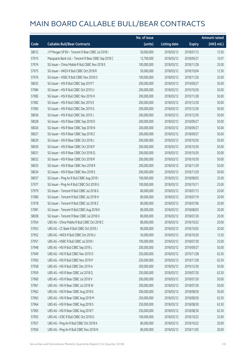|       |                                                      | No. of issue |                     |               | Amount raised |
|-------|------------------------------------------------------|--------------|---------------------|---------------|---------------|
| Code  | <b>Callable Bull/Bear Contracts</b>                  | (units)      | <b>Listing date</b> | <b>Expiry</b> | $(HK\$ mil.)  |
| 58012 | J P Morgan SP BV - Tencent R Bear CBBC Jul 2018 I    | 50,000,000   | 2018/03/12          | 2018/07/13    | 12.50         |
| 57915 | Macquarie Bank Ltd. - Tencent R Bear CBBC Sep 2018 C | 12,700,000   | 2018/03/12          | 2018/09/27    | 10.07         |
| 57974 | SG Issuer - China Mobile R Bull CBBC Nov 2018 E      | 100,000,000  | 2018/03/12          | 2018/11/28    | 25.00         |
| 57975 | SG Issuer - HKEX R Bull CBBC Oct 2018 R              | 50,000,000   | 2018/03/12          | 2018/10/04    | 12.50         |
| 57976 | SG Issuer - HSBC R Bull CBBC Nov 2018 O              | 100,000,000  | 2018/03/12          | 2018/11/26    | 25.00         |
| 58035 | SG Issuer - HSI R Bull CBBC Sep 2019 T               | 200,000,000  | 2018/03/12          | 2019/09/27    | 50.00         |
| 57984 | SG Issuer - HSI R Bull CBBC Oct 2019 U               | 200,000,000  | 2018/03/12          | 2019/10/30    | 50.00         |
| 57985 | SG Issuer - HSI R Bull CBBC Nov 2019 H               | 200,000,000  | 2018/03/12          | 2019/11/28    | 50.00         |
| 57982 | SG Issuer - HSI R Bull CBBC Dec 2019 E               | 200,000,000  | 2018/03/12          | 2019/12/30    | 50.00         |
| 57983 | SG Issuer - HSI R Bull CBBC Dec 2019 G               | 200,000,000  | 2018/03/12          | 2019/12/30    | 50.00         |
| 58036 | SG Issuer - HSI R Bull CBBC Dec 2019 J               | 200,000,000  | 2018/03/12          | 2019/12/30    | 50.00         |
| 58028 | SG Issuer - HSI R Bear CBBC Sep 2018 D               | 200,000,000  | 2018/03/12          | 2018/09/27    | 50.00         |
| 58026 | SG Issuer - HSI R Bear CBBC Sep 2018 N               | 200,000,000  | 2018/03/12          | 2018/09/27    | 50.00         |
| 58027 | SG Issuer - HSI R Bear CBBC Sep 2018 Z               | 200,000,000  | 2018/03/12          | 2018/09/27    | 50.00         |
| 58029 | SG Issuer - HSI R Bear CBBC Oct 2018 J               | 200,000,000  | 2018/03/12          | 2018/10/30    | 50.00         |
| 58030 | SG Issuer - HSI R Bear CBBC Oct 2018 P               | 200,000,000  | 2018/03/12          | 2018/10/30    | 50.00         |
| 58031 | SG Issuer - HSI R Bear CBBC Oct 2018 Q               | 200,000,000  | 2018/03/12          | 2018/10/30    | 50.00         |
| 58032 | SG Issuer - HSI R Bear CBBC Oct 2018 R               | 200,000,000  | 2018/03/12          | 2018/10/30    | 50.00         |
| 58033 | SG Issuer - HSI R Bear CBBC Nov 2018 R               | 200,000,000  | 2018/03/12          | 2018/11/29    | 50.00         |
| 58034 | SG Issuer - HSI R Bear CBBC Nov 2018 S               | 200,000,000  | 2018/03/12          | 2018/11/29    | 50.00         |
| 58037 | SG Issuer - Ping An R Bull CBBC Aug 2018 I           | 100,000,000  | 2018/03/12          | 2018/08/03    | 25.00         |
| 57977 | SG Issuer - Ping An R Bull CBBC Oct 2018 G           | 100,000,000  | 2018/03/12          | 2018/10/11    | 25.00         |
| 57979 | SG Issuer - Tencent R Bull CBBC Jul 2018 G           | 80,000,000   | 2018/03/12          | 2018/07/13    | 20.00         |
| 57980 | SG Issuer - Tencent R Bull CBBC Jul 2018 H           | 80,000,000   | 2018/03/12          | 2018/07/19    | 20.00         |
| 57978 | SG Issuer - Tencent R Bull CBBC Jul 2018 Z           | 80,000,000   | 2018/03/12          | 2018/07/06    | 20.00         |
| 57981 | SG Issuer - Tencent R Bull CBBC Aug 2018 K           | 80,000,000   | 2018/03/12          | 2018/08/03    | 20.00         |
| 58038 | SG Issuer - Tencent R Bear CBBC Jul 2018 O           | 80,000,000   | 2018/03/12          | 2018/07/20    | 20.00         |
| 57954 | UBS AG - China Mobile R Bull CBBC Oct 2018 C         | 80,000,000   | 2018/03/12          | 2018/10/22    | 20.00         |
| 57953 | UBS AG - CC Bank R Bull CBBC Oct 2018 J              | 80,000,000   | 2018/03/12          | 2018/10/02    | 20.00         |
| 57952 | UBS AG - HKEX R Bull CBBC Oct 2018 U                 | 50,000,000   | 2018/03/12          | 2018/10/30    | 12.50         |
| 57951 | UBS AG - HSBC R Bull CBBC Jul 2018 I                 | 100,000,000  | 2018/03/12          | 2018/07/30    | 25.00         |
| 57948 | UBS AG - HSI R Bull CBBC Sep 2019 L                  | 200,000,000  | 2018/03/12          | 2019/09/27    | 50.00         |
| 57949 | UBS AG - HSI R Bull CBBC Nov 2019 O                  | 250,000,000  | 2018/03/12          | 2019/11/28    | 62.50         |
| 57950 | UBS AG - HSI R Bull CBBC Nov 2019 P                  | 250,000,000  | 2018/03/12          | 2019/11/28    | 62.50         |
| 57958 | UBS AG - HSI R Bull CBBC Dec 2019 A                  | 200,000,000  | 2018/03/12          | 2019/12/30    | 50.00         |
| 57959 | UBS AG - HSI R Bear CBBC Jul 2018 Q                  | 250,000,000  | 2018/03/12          | 2018/07/30    | 62.50         |
| 57960 | UBS AG - HSI R Bear CBBC Jul 2018 V                  | 200,000,000  | 2018/03/12          | 2018/07/30    | 50.00         |
| 57961 | UBS AG - HSI R Bear CBBC Jul 2018 W                  | 200,000,000  | 2018/03/12          | 2018/07/30    | 50.00         |
| 57962 | UBS AG - HSI R Bear CBBC Aug 2018 E                  | 200,000,000  | 2018/03/12          | 2018/08/30    | 50.00         |
| 57963 | UBS AG - HSI R Bear CBBC Aug 2018 M                  | 250,000,000  | 2018/03/12          | 2018/08/30    | 62.50         |
| 57964 | UBS AG - HSI R Bear CBBC Aug 2018 S                  | 250,000,000  | 2018/03/12          | 2018/08/30    | 62.50         |
| 57965 | UBS AG - HSI R Bear CBBC Aug 2018 T                  | 250,000,000  | 2018/03/12          | 2018/08/30    | 62.50         |
| 57955 | UBS AG - ICBC R Bull CBBC Oct 2018 G                 | 100,000,000  | 2018/03/12          | 2018/10/22    | 25.00         |
| 57957 | UBS AG - Ping An R Bull CBBC Oct 2018 K              | 80,000,000   | 2018/03/12          | 2018/10/22    | 20.00         |
| 57956 | UBS AG - Ping An R Bull CBBC Nov 2018 N              | 80,000,000   | 2018/03/12          | 2018/11/05    | 20.00         |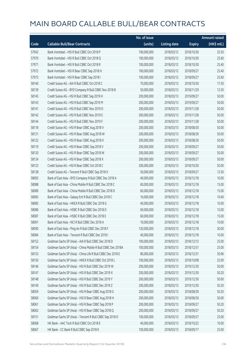|       |                                                              | No. of issue |                     |               | <b>Amount raised</b> |
|-------|--------------------------------------------------------------|--------------|---------------------|---------------|----------------------|
| Code  | <b>Callable Bull/Bear Contracts</b>                          | (units)      | <b>Listing date</b> | <b>Expiry</b> | (HK\$ mil.)          |
| 57942 | Bank Vontobel - HSI R Bull CBBC Oct 2018 P                   | 100,000,000  | 2018/03/12          | 2018/10/30    | 25.50                |
| 57970 | Bank Vontobel - HSI R Bull CBBC Oct 2018 Q                   | 100,000,000  | 2018/03/12          | 2018/10/30    | 25.60                |
| 57971 | Bank Vontobel - HSI R Bull CBBC Oct 2018 R                   | 100,000,000  | 2018/03/12          | 2018/10/30    | 25.40                |
| 57972 | Bank Vontobel - HSI R Bear CBBC Sep 2018 H                   | 100,000,000  | 2018/03/12          | 2018/09/27    | 25.40                |
| 57973 | Bank Vontobel - HSI R Bear CBBC Sep 2018 I                   | 100,000,000  | 2018/03/12          | 2018/09/27    | 25.60                |
| 58140 | Credit Suisse AG - AIA R Bull CBBC Oct 2018 C                | 70,000,000   | 2018/03/13          | 2018/10/30    | 17.50                |
| 58139 | Credit Suisse AG - BYD Company R Bull CBBC Nov 2018 B        | 50,000,000   | 2018/03/13          | 2018/11/29    | 12.50                |
| 58145 | Credit Suisse AG - HSI R Bull CBBC Sep 2019 H                | 200,000,000  | 2018/03/13          | 2019/09/27    | 50.00                |
| 58143 | Credit Suisse AG - HSI R Bull CBBC Sep 2019 M                | 200,000,000  | 2018/03/13          | 2019/09/27    | 50.00                |
| 58141 | Credit Suisse AG - HSI R Bull CBBC Nov 2019 D                | 200,000,000  | 2018/03/13          | 2019/11/28    | 50.00                |
| 58142 | Credit Suisse AG - HSI R Bull CBBC Nov 2019 E                | 200,000,000  | 2018/03/13          | 2019/11/28    | 50.00                |
| 58144 | Credit Suisse AG - HSI R Bull CBBC Nov 2019 F                | 200,000,000  | 2018/03/13          | 2019/11/28    | 50.00                |
| 58118 | Credit Suisse AG - HSI R Bear CBBC Aug 2018 V                | 200,000,000  | 2018/03/13          | 2018/08/30    | 50.00                |
| 58121 | Credit Suisse AG - HSI R Bear CBBC Aug 2018 W                | 200,000,000  | 2018/03/13          | 2018/08/30    | 50.00                |
| 58122 | Credit Suisse AG - HSI R Bear CBBC Aug 2018 X                | 200,000,000  | 2018/03/13          | 2018/08/30    | 50.00                |
| 58119 | Credit Suisse AG - HSI R Bear CBBC Sep 2018 V                | 200,000,000  | 2018/03/13          | 2018/09/27    | 50.00                |
| 58120 | Credit Suisse AG - HSI R Bear CBBC Sep 2018 W                | 200,000,000  | 2018/03/13          | 2018/09/27    | 50.00                |
| 58124 | Credit Suisse AG - HSI R Bear CBBC Sep 2018 X                | 200,000,000  | 2018/03/13          | 2018/09/27    | 50.00                |
| 58123 | Credit Suisse AG - HSI R Bear CBBC Oct 2018 C                | 200,000,000  | 2018/03/13          | 2018/10/30    | 50.00                |
| 58138 | Credit Suisse AG - Tencent R Bull CBBC Sep 2018 X            | 50,000,000   | 2018/03/13          | 2018/09/27    | 12.50                |
| 58092 | Bank of East Asia - BYD Company R Bull CBBC Dec 2018 A       | 40,000,000   | 2018/03/13          | 2018/12/18    | 10.00                |
| 58088 | Bank of East Asia - China Mobile R Bull CBBC Dec 2018 C      | 60,000,000   | 2018/03/13          | 2018/12/18    | 15.00                |
| 58089 | Bank of East Asia - China Mobile R Bull CBBC Dec 2018 D      | 60,000,000   | 2018/03/13          | 2018/12/18    | 15.00                |
| 58083 | Bank of East Asia - Galaxy Ent R Bull CBBC Dec 2018 C        | 16,000,000   | 2018/03/13          | 2018/12/18    | 10.40                |
| 58085 | Bank of East Asia - HKEX R Bull CBBC Dec 2018 G              | 40,000,000   | 2018/03/13          | 2018/12/18    | 10.00                |
| 58086 | Bank of East Asia - HSBC R Bull CBBC Dec 2018 D              | 60,000,000   | 2018/03/13          | 2018/12/18    | 15.00                |
| 58087 | Bank of East Asia - HSBC R Bull CBBC Dec 2018 E              | 60,000,000   | 2018/03/13          | 2018/12/18    | 15.00                |
| 58091 | Bank of East Asia - NCI R Bull CBBC Dec 2018 A               | 10,000,000   | 2018/03/13          | 2018/12/18    | 10.00                |
| 58090 | Bank of East Asia - Ping An R Bull CBBC Dec 2018 F           | 120,000,000  | 2018/03/13          | 2018/12/18    | 30.00                |
| 58084 | Bank of East Asia - Tencent R Bull CBBC Dec 2018 I           | 40,000,000   | 2018/03/13          | 2018/12/18    | 10.00                |
| 58152 | Goldman Sachs SP (Asia) - AIA R Bull CBBC Dec 2018 D         | 100,000,000  | 2018/03/13          | 2018/12/12    | 25.00                |
| 58154 | Goldman Sachs SP (Asia) - China Mobile R Bull CBBC Dec 2018A | 100,000,000  | 2018/03/13          | 2018/12/31    | 25.00                |
| 58153 | Goldman Sachs SP (Asia) - China Life R Bull CBBC Dec 2018 E  | 80,000,000   | 2018/03/13          | 2018/12/31    | 30.96                |
| 58150 | Goldman Sachs SP (Asia) - HKEX R Bull CBBC Oct 2018 L        | 100,000,000  | 2018/03/13          | 2018/10/08    | 25.00                |
| 58146 | Goldman Sachs SP (Asia) - HSI R Bull CBBC Dec 2019 W         | 200,000,000  | 2018/03/13          | 2019/12/30    | 50.00                |
| 58147 | Goldman Sachs SP (Asia) - HSI R Bull CBBC Dec 2019 X         | 200,000,000  | 2018/03/13          | 2019/12/30    | 50.20                |
| 58148 | Goldman Sachs SP (Asia) - HSI R Bull CBBC Dec 2019 Y         | 200,000,000  | 2018/03/13          | 2019/12/30    | 50.00                |
| 58149 | Goldman Sachs SP (Asia) - HSI R Bull CBBC Dec 2019 Z         | 200,000,000  | 2018/03/13          | 2019/12/30    | 50.20                |
| 58059 | Goldman Sachs SP (Asia) - HSI R Bear CBBC Aug 2018 G         | 200,000,000  | 2018/03/13          | 2018/08/30    | 50.20                |
| 58060 | Goldman Sachs SP (Asia) - HSI R Bear CBBC Aug 2018 H         | 200,000,000  | 2018/03/13          | 2018/08/30    | 50.00                |
| 58061 | Goldman Sachs SP (Asia) - HSI R Bear CBBC Sep 2018 P         | 200,000,000  | 2018/03/13          | 2018/09/27    | 50.20                |
| 58062 | Goldman Sachs SP (Asia) - HSI R Bear CBBC Sep 2018 Q         | 200,000,000  | 2018/03/13          | 2018/09/27    | 50.20                |
| 58151 | Goldman Sachs SP (Asia) - Tencent R Bull CBBC Sep 2018 O     | 100,000,000  | 2018/03/13          | 2018/09/27    | 25.00                |
| 58068 | HK Bank - AAC Tech R Bull CBBC Oct 2018 E                    | 40,000,000   | 2018/03/13          | 2018/10/22    | 10.00                |
| 58067 | HK Bank - CC Bank R Bull CBBC Sep 2018 K                     | 100,000,000  | 2018/03/13          | 2018/09/17    | 25.00                |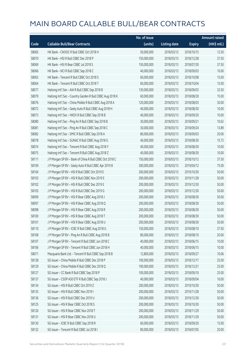|       |                                                           | No. of issue |                     |               | <b>Amount raised</b> |
|-------|-----------------------------------------------------------|--------------|---------------------|---------------|----------------------|
| Code  | <b>Callable Bull/Bear Contracts</b>                       | (units)      | <b>Listing date</b> | <b>Expiry</b> | (HK\$ mil.)          |
| 58065 | HK Bank - CNOOC R Bull CBBC Oct 2018 H                    | 50,000,000   | 2018/03/13          | 2018/10/15    | 12.50                |
| 58070 | HK Bank - HSI R Bull CBBC Dec 2018 P                      | 150,000,000  | 2018/03/13          | 2018/12/28    | 37.50                |
| 58069 | HK Bank - HSI R Bear CBBC Jul 2018 S                      | 150,000,000  | 2018/03/13          | 2018/07/30    | 37.50                |
| 58066 | HK Bank - NCI R Bull CBBC Sep 2018 C                      | 40,000,000   | 2018/03/13          | 2018/09/03    | 10.00                |
| 58063 | HK Bank - Tencent R Bull CBBC Oct 2018 S                  | 60,000,000   | 2018/03/13          | 2018/10/08    | 15.00                |
| 58064 | HK Bank - Tencent R Bull CBBC Oct 2018 T                  | 60,000,000   | 2018/03/13          | 2018/10/04    | 15.00                |
| 58077 | Haitong Int'l Sec - AIA R Bull CBBC Sep 2018 B            | 130,000,000  | 2018/03/13          | 2018/09/03    | 32.50                |
| 58079 | Haitong Int'l Sec - Country Garden R Bull CBBC Aug 2018 K | 60,000,000   | 2018/03/13          | 2018/08/30    | 15.00                |
| 58076 | Haitong Int'l Sec - China Mobile R Bull CBBC Aug 2018 A   | 120,000,000  | 2018/03/13          | 2018/08/03    | 30.00                |
| 58072 | Haitong Int'l Sec - Geely Auto R Bull CBBC Aug 2018 H     | 40,000,000   | 2018/03/13          | 2018/08/30    | 10.00                |
| 58073 | Haitong Int'l Sec - HKEX R Bull CBBC Sep 2018 B           | 40,000,000   | 2018/03/13          | 2018/09/20    | 10.00                |
| 58080 | Haitong Int'l Sec - Ping An R Bull CBBC Sep 2018 B        | 30,000,000   | 2018/03/13          | 2018/09/21    | 10.62                |
| 58081 | Haitong Int'l Sec - Ping An R Bull CBBC Sep 2018 C        | 30,000,000   | 2018/03/13          | 2018/09/24    | 13.89                |
| 58082 | Haitong Int'l Sec - SMIC R Bull CBBC Sep 2018 A           | 80,000,000   | 2018/03/13          | 2018/09/03    | 20.00                |
| 58078 | Haitong Int'l Sec - SUNAC R Bull CBBC Aug 2018 G          | 40,000,000   | 2018/03/13          | 2018/08/30    | 15.72                |
| 58074 | Haitong Int'l Sec - Tencent R Bull CBBC Aug 2018 Y        | 40,000,000   | 2018/03/13          | 2018/08/30    | 10.00                |
| 58075 | Haitong Int'l Sec - Tencent R Bull CBBC Aug 2018 Z        | 40,000,000   | 2018/03/13          | 2018/08/30    | 10.00                |
| 58111 | J P Morgan SP BV - Bank of China R Bull CBBC Oct 2018 C   | 150,000,000  | 2018/03/13          | 2018/10/12    | 37.50                |
| 58109 | J P Morgan SP BV - Geely Auto R Bull CBBC Apr 2019 B      | 300,000,000  | 2018/03/13          | 2019/04/12    | 75.00                |
| 58104 | J P Morgan SP BV - HSI R Bull CBBC Oct 2019 E             | 200,000,000  | 2018/03/13          | 2019/10/30    | 50.00                |
| 58103 | J P Morgan SP BV - HSI R Bull CBBC Nov 2019 E             | 200,000,000  | 2018/03/13          | 2019/11/28    | 50.00                |
| 58102 | J P Morgan SP BV - HSI R Bull CBBC Dec 2019 E             | 200,000,000  | 2018/03/13          | 2019/12/30    | 50.00                |
| 58105 | J P Morgan SP BV - HSI R Bull CBBC Dec 2019 G             | 200,000,000  | 2018/03/13          | 2019/12/30    | 50.00                |
| 58099 | J P Morgan SP BV - HSI R Bear CBBC Aug 2018 J             | 200,000,000  | 2018/03/13          | 2018/08/30    | 50.00                |
| 58097 | J P Morgan SP BV - HSI R Bear CBBC Aug 2018 Q             | 200,000,000  | 2018/03/13          | 2018/08/30    | 50.00                |
| 58098 | J P Morgan SP BV - HSI R Bear CBBC Aug 2018 R             | 200,000,000  | 2018/03/13          | 2018/08/30    | 50.00                |
| 58100 | J P Morgan SP BV - HSI R Bear CBBC Aug 2018 T             | 200,000,000  | 2018/03/13          | 2018/08/30    | 50.00                |
| 58101 | J P Morgan SP BV - HSI R Bear CBBC Aug 2018 U             | 200,000,000  | 2018/03/13          | 2018/08/30    | 50.00                |
| 58110 | J P Morgan SP BV - ICBC R Bull CBBC Aug 2018 G            | 150,000,000  | 2018/03/13          | 2018/08/10    | 37.50                |
| 58108 | J P Morgan SP BV - Ping An R Bull CBBC Aug 2018 B         | 80,000,000   | 2018/03/13          | 2018/08/10    | 20.00                |
| 58107 | J P Morgan SP BV - Tencent R Bull CBBC Jun 2018 C         | 40,000,000   | 2018/03/13          | 2018/06/15    | 10.00                |
| 58106 | J P Morgan SP BV - Tencent R Bull CBBC Jun 2018 H         | 40,000,000   | 2018/03/13          | 2018/06/15    | 10.00                |
| 58071 | Macquarie Bank Ltd. - Tencent R Bull CBBC Sep 2018 B      | 12,800,000   | 2018/03/13          | 2018/09/27    | 10.06                |
| 58128 | SG Issuer - China Mobile R Bull CBBC Dec 2018 P           | 100,000,000  | 2018/03/13          | 2018/12/17    | 25.00                |
| 58129 | SG Issuer - China Mobile R Bull CBBC Dec 2018 Q           | 100,000,000  | 2018/03/13          | 2018/12/21    | 25.00                |
| 58127 | SG Issuer - CC Bank R Bull CBBC Sep 2018 P                | 100,000,000  | 2018/03/13          | 2018/09/10    | 25.00                |
| 58137 | SG Issuer - CSOP A50 ETF R Bull CBBC Sep 2018 J           | 40,000,000   | 2018/03/13          | 2018/09/04    | 10.00                |
| 58134 | SG Issuer - HSI R Bull CBBC Oct 2019 Z                    | 200,000,000  | 2018/03/13          | 2019/10/30    | 50.00                |
| 58135 | SG Issuer - HSI R Bull CBBC Nov 2019 I                    | 200,000,000  | 2018/03/13          | 2019/11/28    | 50.00                |
| 58136 | SG Issuer - HSI R Bull CBBC Dec 2019 U                    | 200,000,000  | 2018/03/13          | 2019/12/30    | 50.00                |
| 58125 | SG Issuer - HSI R Bear CBBC Oct 2018 S                    | 200,000,000  | 2018/03/13          | 2018/10/30    | 50.00                |
| 58126 | SG Issuer - HSI R Bear CBBC Nov 2018 T                    | 200,000,000  | 2018/03/13          | 2018/11/29    | 50.00                |
| 58131 | SG Issuer - HSI R Bear CBBC Nov 2018 U                    | 200,000,000  | 2018/03/13          | 2018/11/29    | 50.00                |
| 58130 | SG Issuer - ICBC R Bull CBBC Sep 2018 R                   | 60,000,000   | 2018/03/13          | 2018/09/20    | 15.00                |
| 58132 | SG Issuer - Tencent R Bull CBBC Jul 2018 I                | 80,000,000   | 2018/03/13          | 2018/07/05    | 20.00                |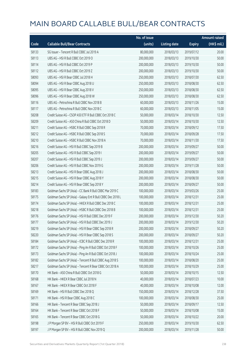|       |                                                             | No. of issue |                     |               | <b>Amount raised</b> |
|-------|-------------------------------------------------------------|--------------|---------------------|---------------|----------------------|
| Code  | <b>Callable Bull/Bear Contracts</b>                         | (units)      | <b>Listing date</b> | <b>Expiry</b> | (HK\$ mil.)          |
| 58133 | SG Issuer - Tencent R Bull CBBC Jul 2019 A                  | 80,000,000   | 2018/03/13          | 2019/07/12    | 20.00                |
| 58113 | UBS AG - HSI R Bull CBBC Oct 2019 O                         | 200,000,000  | 2018/03/13          | 2019/10/30    | 50.00                |
| 58114 | UBS AG - HSI R Bull CBBC Oct 2019 P                         | 200,000,000  | 2018/03/13          | 2019/10/30    | 50.00                |
| 58112 | UBS AG - HSI R Bull CBBC Oct 2019 Z                         | 200,000,000  | 2018/03/13          | 2019/10/30    | 50.00                |
| 58093 | UBS AG - HSI R Bear CBBC Jul 2018 H                         | 250,000,000  | 2018/03/13          | 2018/07/30    | 62.50                |
| 58094 | UBS AG - HSI R Bear CBBC Aug 2018 U                         | 250,000,000  | 2018/03/13          | 2018/08/30    | 62.50                |
| 58095 | UBS AG - HSI R Bear CBBC Aug 2018 V                         | 250,000,000  | 2018/03/13          | 2018/08/30    | 62.50                |
| 58096 | UBS AG - HSI R Bear CBBC Aug 2018 W                         | 250,000,000  | 2018/03/13          | 2018/08/30    | 62.50                |
| 58116 | UBS AG - Petrochina R Bull CBBC Nov 2018 B                  | 60,000,000   | 2018/03/13          | 2018/11/26    | 15.00                |
| 58117 | UBS AG - Petrochina R Bull CBBC Nov 2018 C                  | 60,000,000   | 2018/03/13          | 2018/11/05    | 15.00                |
| 58208 | Credit Suisse AG - CSOP A50 ETF R Bull CBBC Oct 2018 C      | 50,000,000   | 2018/03/14          | 2018/10/30    | 12.50                |
| 58209 | Credit Suisse AG - A50 China R Bull CBBC Oct 2018 D         | 50,000,000   | 2018/03/14          | 2018/10/30    | 12.50                |
| 58211 | Credit Suisse AG - HSBC R Bull CBBC Sep 2018 R              | 70,000,000   | 2018/03/14          | 2018/09/12    | 17.50                |
| 58212 | Credit Suisse AG - HSBC R Bull CBBC Sep 2018 S              | 70,000,000   | 2018/03/14          | 2018/09/28    | 17.50                |
| 58210 | Credit Suisse AG - HSBC R Bull CBBC Nov 2018 A              | 70,000,000   | 2018/03/14          | 2018/11/30    | 17.50                |
| 58216 | Credit Suisse AG - HSI R Bull CBBC Sep 2019 B               | 200,000,000  | 2018/03/14          | 2019/09/27    | 50.00                |
| 58205 | Credit Suisse AG - HSI R Bull CBBC Sep 2019 I               | 200,000,000  | 2018/03/14          | 2019/09/27    | 50.00                |
| 58207 | Credit Suisse AG - HSI R Bull CBBC Sep 2019 J               | 200,000,000  | 2018/03/14          | 2019/09/27    | 50.00                |
| 58206 | Credit Suisse AG - HSI R Bull CBBC Nov 2019 G               | 200,000,000  | 2018/03/14          | 2019/11/28    | 50.00                |
| 58213 | Credit Suisse AG - HSI R Bear CBBC Aug 2018 J               | 200,000,000  | 2018/03/14          | 2018/08/30    | 50.00                |
| 58215 | Credit Suisse AG - HSI R Bear CBBC Aug 2018 Y               | 200,000,000  | 2018/03/14          | 2018/08/30    | 50.00                |
| 58214 | Credit Suisse AG - HSI R Bear CBBC Sep 2018 Y               | 200,000,000  | 2018/03/14          | 2018/09/27    | 50.00                |
| 58183 | Goldman Sachs SP (Asia) - CC Bank R Bull CBBC Mar 2019 C    | 100,000,000  | 2018/03/14          | 2019/03/26    | 25.00                |
| 58175 | Goldman Sachs SP (Asia) - Galaxy Ent R Bull CBBC Dec 2018 L | 100,000,000  | 2018/03/14          | 2018/12/31    | 25.00                |
| 58174 | Goldman Sachs SP (Asia) - HKEX R Bull CBBC Dec 2018 C       | 100,000,000  | 2018/03/14          | 2018/12/31    | 25.00                |
| 58218 | Goldman Sachs SP (Asia) - HSBC R Bull CBBC Dec 2018 B       | 100,000,000  | 2018/03/14          | 2018/12/31    | 25.00                |
| 58176 | Goldman Sachs SP (Asia) - HSI R Bull CBBC Dec 2019 F        | 200,000,000  | 2018/03/14          | 2019/12/30    | 50.20                |
| 58177 | Goldman Sachs SP (Asia) - HSI R Bull CBBC Dec 2019 J        | 200,000,000  | 2018/03/14          | 2019/12/30    | 50.20                |
| 58219 | Goldman Sachs SP (Asia) - HSI R Bear CBBC Sep 2018 R        | 200,000,000  | 2018/03/14          | 2018/09/27    | 50.20                |
| 58220 | Goldman Sachs SP (Asia) - HSI R Bear CBBC Sep 2018 S        | 200,000,000  | 2018/03/14          | 2018/09/27    | 50.20                |
| 58184 | Goldman Sachs SP (Asia) - ICBC R Bull CBBC Dec 2018 R       | 100,000,000  | 2018/03/14          | 2018/12/31    | 25.00                |
| 58172 | Goldman Sachs SP (Asia) - Ping An R Bull CBBC Oct 2018 F    | 100,000,000  | 2018/03/14          | 2018/10/26    | 25.00                |
| 58173 | Goldman Sachs SP (Asia) - Ping An R Bull CBBC Oct 2018 J    | 100,000,000  | 2018/03/14          | 2018/10/24    | 25.00                |
| 58182 | Goldman Sachs SP (Asia) - Tencent R Bull CBBC Aug 2018 S    | 100,000,000  | 2018/03/14          | 2018/08/20    | 25.00                |
| 58217 | Goldman Sachs SP (Asia) - Tencent R Bear CBBC Oct 2018 A    | 100,000,000  | 2018/03/14          | 2018/10/29    | 25.00                |
| 58170 | HK Bank - A50 China R Bull CBBC Oct 2018 G                  | 50,000,000   | 2018/03/14          | 2018/10/15    | 12.50                |
| 58168 | HK Bank - HKEX R Bear CBBC Jul 2018 N                       | 40,000,000   | 2018/03/14          | 2018/07/23    | 10.00                |
| 58167 | HK Bank - HKEX R Bear CBBC Oct 2018 F                       | 40,000,000   | 2018/03/14          | 2018/10/08    | 12.00                |
| 58169 | HK Bank - HSI R Bull CBBC Dec 2018 Q                        | 150,000,000  | 2018/03/14          | 2018/12/28    | 37.50                |
| 58171 | HK Bank - HSI R Bear CBBC Aug 2018 C                        | 100,000,000  | 2018/03/14          | 2018/08/30    | 25.00                |
| 58166 | HK Bank - Tencent R Bear CBBC Sep 2018 J                    | 50,000,000   | 2018/03/14          | 2018/09/17    | 12.50                |
| 58164 | HK Bank - Tencent R Bear CBBC Oct 2018 F                    | 50,000,000   | 2018/03/14          | 2018/10/08    | 15.00                |
| 58165 | HK Bank - Tencent R Bear CBBC Oct 2018 G                    | 50,000,000   | 2018/03/14          | 2018/10/22    | 20.00                |
| 58198 | J P Morgan SP BV - HSI R Bull CBBC Oct 2019 F               | 250,000,000  | 2018/03/14          | 2019/10/30    | 62.50                |
| 58197 | J P Morgan SP BV - HSI R Bull CBBC Nov 2019 Q               | 200,000,000  | 2018/03/14          | 2019/11/28    | 50.00                |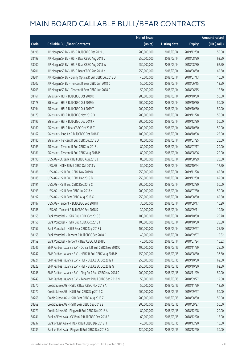|       |                                                            | No. of issue |                     |               | <b>Amount raised</b>  |
|-------|------------------------------------------------------------|--------------|---------------------|---------------|-----------------------|
| Code  | <b>Callable Bull/Bear Contracts</b>                        | (units)      | <b>Listing date</b> | <b>Expiry</b> | $(HK\frac{1}{2}mil.)$ |
| 58196 | J P Morgan SP BV - HSI R Bull CBBC Dec 2019 U              | 200,000,000  | 2018/03/14          | 2019/12/30    | 50.00                 |
| 58199 | J P Morgan SP BV - HSI R Bear CBBC Aug 2018 V              | 250,000,000  | 2018/03/14          | 2018/08/30    | 62.50                 |
| 58200 | J P Morgan SP BV - HSI R Bear CBBC Aug 2018 W              | 250,000,000  | 2018/03/14          | 2018/08/30    | 62.50                 |
| 58201 | J P Morgan SP BV - HSI R Bear CBBC Aug 2018 X              | 250,000,000  | 2018/03/14          | 2018/08/30    | 62.50                 |
| 58204 | J P Morgan SP BV - Sunny Optical R Bull CBBC Jul 2018 D    | 40,000,000   | 2018/03/14          | 2018/07/13    | 10.00                 |
| 58202 | J P Morgan SP BV - Tencent R Bear CBBC Jun 2018 D          | 50,000,000   | 2018/03/14          | 2018/06/15    | 12.50                 |
| 58203 | J P Morgan SP BV - Tencent R Bear CBBC Jun 2018 F          | 50,000,000   | 2018/03/14          | 2018/06/15    | 12.50                 |
| 58161 | SG Issuer - HSI R Bull CBBC Oct 2019 D                     | 200,000,000  | 2018/03/14          | 2019/10/30    | 50.00                 |
| 58178 | SG Issuer - HSI R Bull CBBC Oct 2019 N                     | 200,000,000  | 2018/03/14          | 2019/10/30    | 50.00                 |
| 58194 | SG Issuer - HSI R Bull CBBC Oct 2019 T                     | 200,000,000  | 2018/03/14          | 2019/10/30    | 50.00                 |
| 58179 | SG Issuer - HSI R Bull CBBC Nov 2019 O                     | 200,000,000  | 2018/03/14          | 2019/11/28    | 50.00                 |
| 58195 | SG Issuer - HSI R Bull CBBC Dec 2019 X                     | 200,000,000  | 2018/03/14          | 2019/12/30    | 50.00                 |
| 58160 | SG Issuer - HSI R Bear CBBC Oct 2018 T                     | 200,000,000  | 2018/03/14          | 2018/10/30    | 50.00                 |
| 58162 | SG Issuer - Ping An R Bull CBBC Oct 2018 F                 | 100,000,000  | 2018/03/14          | 2018/10/08    | 25.00                 |
| 58180 | SG Issuer - Tencent R Bull CBBC Jul 2018 D                 | 80,000,000   | 2018/03/14          | 2018/07/25    | 20.00                 |
| 58163 | SG Issuer - Tencent R Bull CBBC Jul 2018 L                 | 80,000,000   | 2018/03/14          | 2018/07/17    | 20.00                 |
| 58181 | SG Issuer - Tencent R Bull CBBC Aug 2018 P                 | 80,000,000   | 2018/03/14          | 2018/08/06    | 20.00                 |
| 58190 | UBS AG - CC Bank R Bull CBBC Aug 2018 J                    | 80,000,000   | 2018/03/14          | 2018/08/29    | 20.00                 |
| 58189 | UBS AG - HKEX R Bull CBBC Oct 2018 V                       | 50,000,000   | 2018/03/14          | 2018/10/24    | 12.50                 |
| 58186 | UBS AG - HSI R Bull CBBC Nov 2019 R                        | 250,000,000  | 2018/03/14          | 2019/11/28    | 62.50                 |
| 58185 | UBS AG - HSI R Bull CBBC Dec 2019 B                        | 250,000,000  | 2018/03/14          | 2019/12/30    | 62.50                 |
| 58191 | UBS AG - HSI R Bull CBBC Dec 2019 C                        | 200,000,000  | 2018/03/14          | 2019/12/30    | 50.00                 |
| 58193 | UBS AG - HSI R Bear CBBC Jul 2018 K                        | 200,000,000  | 2018/03/14          | 2018/07/30    | 50.00                 |
| 58192 | UBS AG - HSI R Bear CBBC Aug 2018 X                        | 250,000,000  | 2018/03/14          | 2018/08/30    | 62.50                 |
| 58187 | UBS AG - Tencent R Bull CBBC Sep 2018 R                    | 30,000,000   | 2018/03/14          | 2018/09/17    | 10.20                 |
| 58188 | UBS AG - Tencent R Bull CBBC Sep 2018 S                    | 30,000,000   | 2018/03/14          | 2018/09/11    | 10.20                 |
| 58155 | Bank Vontobel - HSI R Bull CBBC Oct 2018 S                 | 100,000,000  | 2018/03/14          | 2018/10/30    | 25.70                 |
| 58156 | Bank Vontobel - HSI R Bull CBBC Oct 2018 T                 | 100,000,000  | 2018/03/14          | 2018/10/30    | 25.80                 |
| 58157 | Bank Vontobel - HSI R Bear CBBC Sep 2018 J                 | 100,000,000  | 2018/03/14          | 2018/09/27    | 25.60                 |
| 58158 | Bank Vontobel - Tencent R Bull CBBC Sep 2018 D             | 40,000,000   | 2018/03/14          | 2018/09/07    | 10.52                 |
| 58159 | Bank Vontobel - Tencent R Bear CBBC Jul 2018 J             | 40,000,000   | 2018/03/14          | 2018/07/24    | 10.32                 |
| 58246 | BNP Paribas Issuance B.V. - CC Bank R Bull CBBC Nov 2018 Q | 100,000,000  | 2018/03/15          | 2018/11/29    | 25.00                 |
| 58247 | BNP Paribas Issuance B.V. - HSBC R Bull CBBC Aug 2018 P    | 150,000,000  | 2018/03/15          | 2018/08/30    | 37.50                 |
| 58221 | BNP Paribas Issuance B.V. - HSI R Bull CBBC Oct 2019 F     | 250,000,000  | 2018/03/15          | 2019/10/30    | 62.50                 |
| 58222 | BNP Paribas Issuance B.V. - HSI R Bull CBBC Oct 2019 G     | 250,000,000  | 2018/03/15          | 2019/10/30    | 62.50                 |
| 58248 | BNP Paribas Issuance B.V. - Ping An R Bull CBBC Nov 2018 D | 200,000,000  | 2018/03/15          | 2018/11/29    | 50.00                 |
| 58249 | BNP Paribas Issuance B.V. - Tencent R Bull CBBC Sep 2018 N | 50,000,000   | 2018/03/15          | 2018/09/27    | 12.50                 |
| 58270 | Credit Suisse AG - HSBC R Bear CBBC Nov 2018 A             | 50,000,000   | 2018/03/15          | 2018/11/29    | 12.50                 |
| 58272 | Credit Suisse AG - HSI R Bull CBBC Sep 2019 C              | 200,000,000  | 2018/03/15          | 2019/09/27    | 50.00                 |
| 58268 | Credit Suisse AG - HSI R Bear CBBC Aug 2018 Z              | 200,000,000  | 2018/03/15          | 2018/08/30    | 50.00                 |
| 58269 | Credit Suisse AG - HSI R Bear CBBC Sep 2018 Z              | 200,000,000  | 2018/03/15          | 2018/09/27    | 50.00                 |
| 58271 | Credit Suisse AG - Ping An R Bull CBBC Dec 2018 A          | 80,000,000   | 2018/03/15          | 2018/12/28    | 20.00                 |
| 58241 | Bank of East Asia - CC Bank R Bull CBBC Dec 2018 B         | 60,000,000   | 2018/03/15          | 2018/12/20    | 15.00                 |
| 58237 | Bank of East Asia - HKEX R Bull CBBC Dec 2018 H            | 40,000,000   | 2018/03/15          | 2018/12/20    | 10.00                 |
| 58239 | Bank of East Asia - Ping An R Bull CBBC Dec 2018 G         | 120,000,000  | 2018/03/15          | 2018/12/20    | 30.00                 |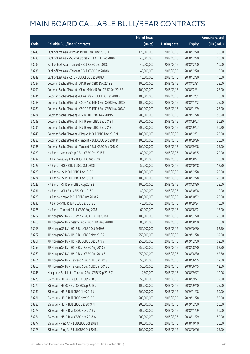|       |                                                              | No. of issue |                     |               | <b>Amount raised</b> |
|-------|--------------------------------------------------------------|--------------|---------------------|---------------|----------------------|
| Code  | <b>Callable Bull/Bear Contracts</b>                          | (units)      | <b>Listing date</b> | <b>Expiry</b> | (HK\$ mil.)          |
| 58240 | Bank of East Asia - Ping An R Bull CBBC Dec 2018 H           | 120,000,000  | 2018/03/15          | 2018/12/20    | 30.00                |
| 58238 | Bank of East Asia - Sunny Optical R Bull CBBC Dec 2018 C     | 40,000,000   | 2018/03/15          | 2018/12/20    | 10.00                |
| 58235 | Bank of East Asia - Tencent R Bull CBBC Dec 2018 J           | 40,000,000   | 2018/03/15          | 2018/12/20    | 10.00                |
| 58236 | Bank of East Asia - Tencent R Bull CBBC Dec 2018 K           | 40,000,000   | 2018/03/15          | 2018/12/20    | 10.00                |
| 58242 | Bank of East Asia - ZTE R Bull CBBC Dec 2018 A               | 10,000,000   | 2018/03/15          | 2018/12/20    | 10.00                |
| 58287 | Goldman Sachs SP (Asia) - AIA R Bull CBBC Dec 2018 E         | 100,000,000  | 2018/03/15          | 2018/12/31    | 25.00                |
| 58290 | Goldman Sachs SP (Asia) - China Mobile R Bull CBBC Dec 2018B | 100,000,000  | 2018/03/15          | 2018/12/31    | 25.00                |
| 58244 | Goldman Sachs SP (Asia) - China Life R Bull CBBC Dec 2018 F  | 100,000,000  | 2018/03/15          | 2018/12/31    | 25.00                |
| 58288 | Goldman Sachs SP (Asia) - CSOP A50 ETF R Bull CBBC Nov 2018E | 100,000,000  | 2018/03/15          | 2018/11/12    | 25.00                |
| 58289 | Goldman Sachs SP (Asia) - CSOP A50 ETF R Bull CBBC Nov 2018F | 100,000,000  | 2018/03/15          | 2018/11/19    | 25.00                |
| 58284 | Goldman Sachs SP (Asia) - HSI R Bull CBBC Nov 2019 S         | 200,000,000  | 2018/03/15          | 2019/11/28    | 50.20                |
| 58233 | Goldman Sachs SP (Asia) - HSI R Bear CBBC Sep 2018 T         | 200,000,000  | 2018/03/15          | 2018/09/27    | 50.20                |
| 58234 | Goldman Sachs SP (Asia) - HSI R Bear CBBC Sep 2018 U         | 200,000,000  | 2018/03/15          | 2018/09/27    | 50.20                |
| 58243 | Goldman Sachs SP (Asia) - Ping An R Bull CBBC Dec 2018 N     | 100,000,000  | 2018/03/15          | 2018/12/31    | 25.00                |
| 58285 | Goldman Sachs SP (Asia) - Tencent R Bull CBBC Sep 2018 P     | 100,000,000  | 2018/03/15          | 2018/09/26    | 25.00                |
| 58286 | Goldman Sachs SP (Asia) - Tencent R Bull CBBC Sep 2018 Q     | 100,000,000  | 2018/03/15          | 2018/09/28    | 25.00                |
| 58229 | HK Bank - Sinopec Corp R Bull CBBC Oct 2018 E                | 80,000,000   | 2018/03/15          | 2018/10/15    | 20.00                |
| 58232 | HK Bank - Galaxy Ent R Bull CBBC Aug 2018 I                  | 80,000,000   | 2018/03/15          | 2018/08/27    | 20.00                |
| 58227 | HK Bank - HKEX R Bull CBBC Oct 2018 I                        | 50,000,000   | 2018/03/15          | 2018/10/18    | 12.50                |
| 58223 | HK Bank - HSI R Bull CBBC Dec 2018 C                         | 100,000,000  | 2018/03/15          | 2018/12/28    | 25.00                |
| 58224 | HK Bank - HSI R Bull CBBC Dec 2018 Y                         | 100,000,000  | 2018/03/15          | 2018/12/28    | 25.00                |
| 58225 | HK Bank - HSI R Bear CBBC Aug 2018 E                         | 100,000,000  | 2018/03/15          | 2018/08/30    | 25.00                |
| 58231 | HK Bank - NCI R Bull CBBC Oct 2018 C                         | 40,000,000   | 2018/03/15          | 2018/10/08    | 10.00                |
| 58228 | HK Bank - Ping An R Bull CBBC Oct 2018 A                     | 100,000,000  | 2018/03/15          | 2018/10/02    | 25.00                |
| 58230 | HK Bank - SMIC R Bull CBBC Sep 2018 B                        | 40,000,000   | 2018/03/15          | 2018/09/24    | 10.00                |
| 58226 | HK Bank - Tencent R Bull CBBC Aug 2018 I                     | 60,000,000   | 2018/03/15          | 2018/08/02    | 15.00                |
| 58267 | J P Morgan SP BV - CC Bank R Bull CBBC Jul 2018 I            | 100,000,000  | 2018/03/15          | 2018/07/20    | 25.00                |
| 58266 | J P Morgan SP BV - Galaxy Ent R Bull CBBC Aug 2018 B         | 80,000,000   | 2018/03/15          | 2018/08/10    | 20.00                |
| 58263 | J P Morgan SP BV - HSI R Bull CBBC Oct 2019 G                | 250,000,000  | 2018/03/15          | 2019/10/30    | 62.50                |
| 58262 | J P Morgan SP BV - HSI R Bull CBBC Nov 2019 Z                | 250,000,000  | 2018/03/15          | 2019/11/28    | 62.50                |
| 58261 | J P Morgan SP BV - HSI R Bull CBBC Dec 2019 V                | 250,000,000  | 2018/03/15          | 2019/12/30    | 62.50                |
| 58259 | J P Morgan SP BV - HSI R Bear CBBC Aug 2018 Y                | 250,000,000  | 2018/03/15          | 2018/08/30    | 62.50                |
| 58260 | J P Morgan SP BV - HSI R Bear CBBC Aug 2018 Z                | 250,000,000  | 2018/03/15          | 2018/08/30    | 62.50                |
| 58264 | J P Morgan SP BV - Tencent R Bull CBBC Jun 2018 D            | 50,000,000   | 2018/03/15          | 2018/06/15    | 12.50                |
| 58265 | J P Morgan SP BV - Tencent R Bull CBBC Jun 2018 E            | 50,000,000   | 2018/03/15          | 2018/06/15    | 12.50                |
| 58245 | Macquarie Bank Ltd. - Tencent R Bull CBBC Sep 2018 C         | 12,800,000   | 2018/03/15          | 2018/09/27    | 10.06                |
| 58275 | SG Issuer - HKEX R Bull CBBC Sep 2018 J                      | 50,000,000   | 2018/03/15          | 2018/09/21    | 12.50                |
| 58276 | SG Issuer - HSBC R Bull CBBC Sep 2018 J                      | 100,000,000  | 2018/03/15          | 2018/09/10    | 25.00                |
| 58282 | SG Issuer - HSI R Bull CBBC Nov 2019 J                       | 200,000,000  | 2018/03/15          | 2019/11/28    | 50.00                |
| 58281 | SG Issuer - HSI R Bull CBBC Nov 2019 P                       | 200,000,000  | 2018/03/15          | 2019/11/28    | 50.00                |
| 58283 | SG Issuer - HSI R Bull CBBC Dec 2019 M                       | 200,000,000  | 2018/03/15          | 2019/12/30    | 50.00                |
| 58273 | SG Issuer - HSI R Bear CBBC Nov 2018 V                       | 200,000,000  | 2018/03/15          | 2018/11/29    | 50.00                |
| 58274 | SG Issuer - HSI R Bear CBBC Nov 2018 W                       | 200,000,000  | 2018/03/15          | 2018/11/29    | 50.00                |
| 58277 | SG Issuer - Ping An R Bull CBBC Oct 2018 I                   | 100,000,000  | 2018/03/15          | 2018/10/10    | 25.00                |
| 58278 | SG Issuer - Ping An R Bull CBBC Oct 2018 J                   | 100,000,000  | 2018/03/15          | 2018/10/16    | 25.00                |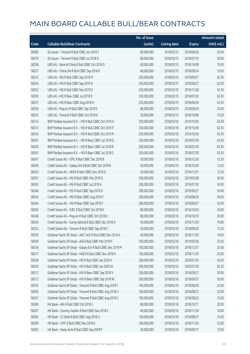|       |                                                             | No. of issue |                     |               | <b>Amount raised</b> |
|-------|-------------------------------------------------------------|--------------|---------------------|---------------|----------------------|
| Code  | <b>Callable Bull/Bear Contracts</b>                         | (units)      | <b>Listing date</b> | <b>Expiry</b> | $(HK\$ mil.)         |
| 58280 | SG Issuer - Tencent R Bull CBBC Jun 2018 T                  | 80,000,000   | 2018/03/15          | 2018/06/26    | 20.00                |
| 58279 | SG Issuer - Tencent R Bull CBBC Jul 2018 O                  | 80,000,000   | 2018/03/15          | 2018/07/19    | 20.00                |
| 58258 | UBS AG - Bank of China R Bull CBBC Oct 2018 D               | 60,000,000   | 2018/03/15          | 2018/10/08    | 15.00                |
| 58257 | UBS AG - China Life R Bull CBBC Sep 2018 K                  | 40,000,000   | 2018/03/15          | 2018/09/24    | 10.00                |
| 58253 | UBS AG - HSI R Bull CBBC Sep 2019 M                         | 250,000,000  | 2018/03/15          | 2019/09/27    | 62.50                |
| 58254 | UBS AG - HSI R Bull CBBC Sep 2019 N                         | 250,000,000  | 2018/03/15          | 2019/09/27    | 62.50                |
| 58252 | UBS AG - HSI R Bull CBBC Nov 2019 S                         | 250,000,000  | 2018/03/15          | 2019/11/28    | 62.50                |
| 58250 | UBS AG - HSI R Bear CBBC Jul 2018 R                         | 250,000,000  | 2018/03/15          | 2018/07/30    | 62.50                |
| 58251 | UBS AG - HSI R Bear CBBC Aug 2018 N                         | 250,000,000  | 2018/03/15          | 2018/08/30    | 62.50                |
| 58256 | UBS AG - Ping An R Bull CBBC Sep 2018 E                     | 80,000,000   | 2018/03/15          | 2018/09/24    | 20.00                |
| 58255 | UBS AG - Tencent R Bull CBBC Oct 2018 K                     | 30,000,000   | 2018/03/15          | 2018/10/08    | 10.20                |
| 58314 | BNP Paribas Issuance B.V. - HSI R Bull CBBC Oct 2019 H      | 250,000,000  | 2018/03/16          | 2019/10/30    | 62.50                |
| 58315 | BNP Paribas Issuance B.V. - HSI R Bull CBBC Oct 2019 P      | 250,000,000  | 2018/03/16          | 2019/10/30    | 62.50                |
| 58316 | BNP Paribas Issuance B.V. - HSI R Bull CBBC Oct 2019 R      | 250,000,000  | 2018/03/16          | 2019/10/30    | 62.50                |
| 58291 | BNP Paribas Issuance B.V. - HSI R Bear CBBC Jul 2018 Q      | 250,000,000  | 2018/03/16          | 2018/07/30    | 62.50                |
| 58292 | BNP Paribas Issuance B.V. - HSI R Bear CBBC Jul 2018 R      | 250,000,000  | 2018/03/16          | 2018/07/30    | 62.50                |
| 58293 | BNP Paribas Issuance B.V. - HSI R Bear CBBC Jul 2018 S      | 250,000,000  | 2018/03/16          | 2018/07/30    | 62.50                |
| 58347 | Credit Suisse AG - CPIC R Bull CBBC Dec 2018 B              | 50,000,000   | 2018/03/16          | 2018/12/20    | 12.50                |
| 58349 | Credit Suisse AG - Galaxy Ent R Bull CBBC Oct 2018 B        | 50,000,000   | 2018/03/16          | 2018/10/30    | 12.50                |
| 58352 | Credit Suisse AG - HKEX R Bull CBBC Nov 2018 D              | 50,000,000   | 2018/03/16          | 2018/11/27    | 12.50                |
| 58351 | Credit Suisse AG - HSI R Bull CBBC Mar 2019 G               | 200,000,000  | 2018/03/16          | 2019/03/28    | 50.00                |
| 58345 | Credit Suisse AG - HSI R Bull CBBC Jul 2019 A               | 200,000,000  | 2018/03/16          | 2019/07/30    | 50.00                |
| 58346 | Credit Suisse AG - HSI R Bull CBBC Sep 2019 D               | 200,000,000  | 2018/03/16          | 2019/09/27    | 50.00                |
| 58343 | Credit Suisse AG - HSI R Bear CBBC Aug 2018 F               | 200,000,000  | 2018/03/16          | 2018/08/30    | 50.00                |
| 58344 | Credit Suisse AG - HSI R Bear CBBC Sep 2018 F               | 200,000,000  | 2018/03/16          | 2018/09/27    | 50.00                |
| 58350 | Credit Suisse AG - ICBC R Bull CBBC Oct 2018 K              | 80,000,000   | 2018/03/16          | 2018/10/24    | 20.00                |
| 58348 | Credit Suisse AG - Ping An R Bull CBBC Oct 2018 D           | 80,000,000   | 2018/03/16          | 2018/10/19    | 20.00                |
| 58354 | Credit Suisse AG - Sunny Optical R Bull CBBC Nov 2018 A     | 40,000,000   | 2018/03/16          | 2018/11/20    | 10.00                |
| 58353 | Credit Suisse AG - Tencent R Bull CBBC Sep 2018 Y           | 50,000,000   | 2018/03/16          | 2018/09/20    | 12.50                |
| 58359 | Goldman Sachs SP (Asia) - AAC Tech R Bull CBBC Nov 2018 A   | 40,000,000   | 2018/03/16          | 2018/11/26    | 10.00                |
| 58358 | Goldman Sachs SP (Asia) - AIA R Bull CBBC Mar 2019 F        | 100,000,000  | 2018/03/16          | 2019/03/26    | 25.00                |
| 58318 | Goldman Sachs SP (Asia) - Galaxy Ent R Bull CBBC Dec 2018 M | 100,000,000  | 2018/03/16          | 2018/12/31    | 25.00                |
| 58317 | Goldman Sachs SP (Asia) - HKEX R Bull CBBC Nov 2018 K       | 100,000,000  | 2018/03/16          | 2018/11/30    | 25.00                |
| 58328 | Goldman Sachs SP (Asia) - HSI R Bull CBBC Jan 2020 V        | 200,000,000  | 2018/03/16          | 2020/01/30    | 50.20                |
| 58329 | Goldman Sachs SP (Asia) - HSI R Bull CBBC Jan 2020 W        | 200,000,000  | 2018/03/16          | 2020/01/30    | 50.20                |
| 58312 | Goldman Sachs SP (Asia) - HSI R Bear CBBC Sep 2018 V        | 200,000,000  | 2018/03/16          | 2018/09/27    | 50.00                |
| 58313 | Goldman Sachs SP (Asia) - HSI R Bear CBBC Sep 2018 W        | 200,000,000  | 2018/03/16          | 2018/09/27    | 50.00                |
| 58355 | Goldman Sachs SP (Asia) - Tencent R Bull CBBC Aug 2018 T    | 100,000,000  | 2018/03/16          | 2018/08/20    | 25.00                |
| 58356 | Goldman Sachs SP (Asia) - Tencent R Bull CBBC Aug 2018 U    | 100,000,000  | 2018/03/16          | 2018/08/21    | 25.00                |
| 58357 | Goldman Sachs SP (Asia) - Tencent R Bull CBBC Aug 2018 V    | 100,000,000  | 2018/03/16          | 2018/08/22    | 25.00                |
| 58306 | HK Bank - AIA R Bull CBBC Oct 2018 L                        | 80,000,000   | 2018/03/16          | 2018/10/11    | 20.00                |
| 58307 | HK Bank - Country Garden R Bull CBBC Nov 2018 E             | 40,000,000   | 2018/03/16          | 2018/11/30    | 10.00                |
| 58305 | HK Bank - CC Bank R Bull CBBC Aug 2018 U                    | 100,000,000  | 2018/03/16          | 2018/08/27    | 25.00                |
| 58309 | HK Bank - CPIC R Bull CBBC Nov 2018 E                       | 100,000,000  | 2018/03/16          | 2018/11/26    | 25.00                |
| 58303 | HK Bank - Geely Auto R Bull CBBC Sep 2018 P                 | 40,000,000   | 2018/03/16          | 2018/09/17    | 10.00                |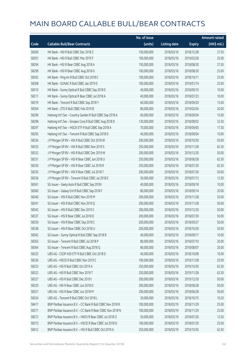|       |                                                            | No. of issue |                     |               | <b>Amount raised</b> |
|-------|------------------------------------------------------------|--------------|---------------------|---------------|----------------------|
| Code  | <b>Callable Bull/Bear Contracts</b>                        | (units)      | <b>Listing date</b> | <b>Expiry</b> | (HK\$ mil.)          |
| 58300 | HK Bank - HSI R Bull CBBC Dec 2018 Z                       | 150,000,000  | 2018/03/16          | 2018/12/28    | 37.50                |
| 58301 | HK Bank - HSI R Bull CBBC Mar 2019 F                       | 100,000,000  | 2018/03/16          | 2019/03/28    | 25.00                |
| 58294 | HK Bank - HSI R Bear CBBC Aug 2018 A                       | 150,000,000  | 2018/03/16          | 2018/08/30    | 37.50                |
| 58299 | HK Bank - HSI R Bear CBBC Aug 2018 G                       | 100,000,000  | 2018/03/16          | 2018/08/30    | 25.00                |
| 58302 | HK Bank - Ping An R Bull CBBC Oct 2018 E                   | 100,000,000  | 2018/03/16          | 2018/10/11    | 25.00                |
| 58308 | HK Bank - SUNAC R Bull CBBC Jan 2019 E                     | 100,000,000  | 2018/03/16          | 2019/01/14    | 25.00                |
| 58310 | HK Bank - Sunny Optical R Bull CBBC Sep 2018 E             | 40,000,000   | 2018/03/16          | 2018/09/10    | 10.00                |
| 58311 | HK Bank - Sunny Optical R Bear CBBC Jul 2018 A             | 40,000,000   | 2018/03/16          | 2018/07/23    | 10.00                |
| 58319 | HK Bank - Tencent R Bull CBBC Sep 2018 Y                   | 60,000,000   | 2018/03/16          | 2018/09/20    | 15.00                |
| 58304 | HK Bank - ZTE R Bull CBBC Feb 2019 B                       | 80,000,000   | 2018/03/16          | 2019/02/04    | 20.00                |
| 58296 | Haitong Int'l Sec - Country Garden R Bull CBBC Sep 2018 A  | 60,000,000   | 2018/03/16          | 2018/09/04    | 15.00                |
| 58298 | Haitong Int'l Sec - Sinopec Corp R Bull CBBC Aug 2018 D    | 130,000,000  | 2018/03/16          | 2018/08/02    | 32.50                |
| 58297 | Haitong Int'l Sec - HSCEI ETF R Bull CBBC Sep 2018 A       | 70,000,000   | 2018/03/16          | 2018/09/05    | 17.50                |
| 58295 | Haitong Int'l Sec - Tencent R Bull CBBC Sep 2018 D         | 40,000,000   | 2018/03/16          | 2018/09/04    | 10.00                |
| 58334 | J P Morgan SP BV - HSI R Bull CBBC Oct 2018 W              | 200,000,000  | 2018/03/16          | 2018/10/30    | 50.00                |
| 58333 | J P Morgan SP BV - HSI R Bull CBBC Nov 2019 S              | 250,000,000  | 2018/03/16          | 2019/11/28    | 62.50                |
| 58332 | J P Morgan SP BV - HSI R Bull CBBC Dec 2019 W              | 200,000,000  | 2018/03/16          | 2019/12/30    | 50.00                |
| 58331 | J P Morgan SP BV - HSI R Bear CBBC Jun 2018 U              | 250,000,000  | 2018/03/16          | 2018/06/28    | 62.50                |
| 58330 | J P Morgan SP BV - HSI R Bear CBBC Jul 2018 R              | 250,000,000  | 2018/03/16          | 2018/07/30    | 62.50                |
| 58335 | J P Morgan SP BV - HSI R Bear CBBC Jul 2018 T              | 200,000,000  | 2018/03/16          | 2018/07/30    | 50.00                |
| 58336 | J P Morgan SP BV - Tencent R Bull CBBC Jul 2018 E          | 50,000,000   | 2018/03/16          | 2018/07/13    | 12.50                |
| 58361 | SG Issuer - Geely Auto R Bull CBBC Sep 2018 I              | 40,000,000   | 2018/03/16          | 2018/09/18    | 10.00                |
| 58360 | SG Issuer - Galaxy Ent R Bull CBBC Sep 2018 F              | 80,000,000   | 2018/03/16          | 2018/09/14    | 20.00                |
| 58340 | SG Issuer - HSI R Bull CBBC Nov 2019 M                     | 200,000,000  | 2018/03/16          | 2019/11/28    | 50.00                |
| 58341 | SG Issuer - HSI R Bull CBBC Nov 2019 Q                     | 200,000,000  | 2018/03/16          | 2019/11/28    | 50.00                |
| 58342 | SG Issuer - HSI R Bull CBBC Dec 2019 S                     | 200,000,000  | 2018/03/16          | 2019/12/30    | 50.00                |
| 58337 | SG Issuer - HSI R Bear CBBC Jul 2018 D                     | 200,000,000  | 2018/03/16          | 2018/07/30    | 50.00                |
| 58339 | SG Issuer - HSI R Bear CBBC Sep 2018 C                     | 200,000,000  | 2018/03/16          | 2018/09/27    | 50.00                |
| 58338 | SG Issuer - HSI R Bear CBBC Oct 2018 U                     | 200,000,000  | 2018/03/16          | 2018/10/30    | 50.00                |
| 58362 | SG Issuer - Sunny Optical R Bull CBBC Sep 2018 B           | 40,000,000   | 2018/03/16          | 2018/09/17    | 10.00                |
| 58363 | SG Issuer - Tencent R Bull CBBC Jul 2018 P                 | 80,000,000   | 2018/03/16          | 2018/07/10    | 20.00                |
| 58364 | SG Issuer - Tencent R Bull CBBC Aug 2018 Q                 | 80,000,000   | 2018/03/16          | 2018/08/07    | 20.00                |
| 58325 | UBS AG - CSOP A50 ETF R Bull CBBC Oct 2018 D               | 40,000,000   | 2018/03/16          | 2018/10/08    | 10.00                |
| 58326 | UBS AG - HSCEI R Bull CBBC Nov 2019 C                      | 100,000,000  | 2018/03/16          | 2019/11/28    | 25.00                |
| 58323 | UBS AG - HSI R Bull CBBC Oct 2019 A                        | 250,000,000  | 2018/03/16          | 2019/10/30    | 62.50                |
| 58322 | UBS AG - HSI R Bull CBBC Nov 2019 T                        | 250,000,000  | 2018/03/16          | 2019/11/28    | 62.50                |
| 58327 | UBS AG - HSI R Bull CBBC Dec 2019 I                        | 200,000,000  | 2018/03/16          | 2019/12/30    | 50.00                |
| 58320 | UBS AG - HSI R Bear CBBC Jun 2018 D                        | 200,000,000  | 2018/03/16          | 2018/06/28    | 50.00                |
| 58321 | UBS AG - HSI R Bear CBBC Jun 2018 M                        | 200,000,000  | 2018/03/16          | 2018/06/28    | 50.00                |
| 58324 | UBS AG - Tencent R Bull CBBC Oct 2018 L                    | 30,000,000   | 2018/03/16          | 2018/10/15    | 10.20                |
| 58417 | BNP Paribas Issuance B.V. - CC Bank R Bull CBBC Nov 2018 R | 100,000,000  | 2018/03/19          | 2018/11/29    | 25.00                |
| 58371 | BNP Paribas Issuance B.V. - CC Bank R Bear CBBC Nov 2018 N | 100,000,000  | 2018/03/19          | 2018/11/29    | 25.00                |
| 58372 | BNP Paribas Issuance B.V. - HKEX R Bear CBBC Jul 2018 O    | 50,000,000   | 2018/03/19          | 2018/07/30    | 12.50                |
| 58373 | BNP Paribas Issuance B.V. - HSCEI R Bear CBBC Jul 2018 D   | 100,000,000  | 2018/03/19          | 2018/07/30    | 25.00                |
| 58412 | BNP Paribas Issuance B.V. - HSI R Bull CBBC Oct 2019 A     | 250,000,000  | 2018/03/19          | 2019/10/30    | 62.50                |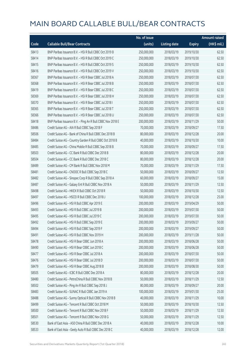|       |                                                            | No. of issue |                     |               | <b>Amount raised</b> |
|-------|------------------------------------------------------------|--------------|---------------------|---------------|----------------------|
| Code  | <b>Callable Bull/Bear Contracts</b>                        | (units)      | <b>Listing date</b> | <b>Expiry</b> | (HK\$ mil.)          |
| 58413 | BNP Paribas Issuance B.V. - HSI R Bull CBBC Oct 2019 B     | 250,000,000  | 2018/03/19          | 2019/10/30    | 62.50                |
| 58414 | BNP Paribas Issuance B.V. - HSI R Bull CBBC Oct 2019 C     | 250,000,000  | 2018/03/19          | 2019/10/30    | 62.50                |
| 58415 | BNP Paribas Issuance B.V. - HSI R Bull CBBC Oct 2019 S     | 250,000,000  | 2018/03/19          | 2019/10/30    | 62.50                |
| 58416 | BNP Paribas Issuance B.V. - HSI R Bull CBBC Oct 2019 V     | 250,000,000  | 2018/03/19          | 2019/10/30    | 62.50                |
| 58367 | BNP Paribas Issuance B.V. - HSI R Bear CBBC Jul 2018 A     | 250,000,000  | 2018/03/19          | 2018/07/30    | 62.50                |
| 58368 | BNP Paribas Issuance B.V. - HSI R Bear CBBC Jul 2018 B     | 250,000,000  | 2018/03/19          | 2018/07/30    | 62.50                |
| 58419 | BNP Paribas Issuance B.V. - HSI R Bear CBBC Jul 2018 C     | 250,000,000  | 2018/03/19          | 2018/07/30    | 62.50                |
| 58369 | BNP Paribas Issuance B.V. - HSI R Bear CBBC Jul 2018 H     | 250,000,000  | 2018/03/19          | 2018/07/30    | 62.50                |
| 58370 | BNP Paribas Issuance B.V. - HSI R Bear CBBC Jul 2018 I     | 250,000,000  | 2018/03/19          | 2018/07/30    | 62.50                |
| 58365 | BNP Paribas Issuance B.V. - HSI R Bear CBBC Jul 2018 T     | 250,000,000  | 2018/03/19          | 2018/07/30    | 62.50                |
| 58366 | BNP Paribas Issuance B.V. - HSI R Bear CBBC Jul 2018 U     | 250,000,000  | 2018/03/19          | 2018/07/30    | 62.50                |
| 58418 | BNP Paribas Issuance B.V. - Ping An R Bull CBBC Nov 2018 E | 200,000,000  | 2018/03/19          | 2018/11/29    | 50.00                |
| 58486 | Credit Suisse AG - AIA R Bull CBBC Sep 2018 F              | 70,000,000   | 2018/03/19          | 2018/09/27    | 17.50                |
| 58506 | Credit Suisse AG - Bank of China R Bull CBBC Dec 2018 B    | 80,000,000   | 2018/03/19          | 2018/12/28    | 20.00                |
| 58484 | Credit Suisse AG - Country Garden R Bull CBBC Oct 2018 B   | 40,000,000   | 2018/03/19          | 2018/10/30    | 10.00                |
| 58485 | Credit Suisse AG - China Mobile R Bull CBBC Sep 2018 B     | 70,000,000   | 2018/03/19          | 2018/09/27    | 17.50                |
| 58503 | Credit Suisse AG - CC Bank R Bull CBBC Dec 2018 B          | 80,000,000   | 2018/03/19          | 2018/12/28    | 20.00                |
| 58504 | Credit Suisse AG - CC Bank R Bull CBBC Dec 2018 C          | 80,000,000   | 2018/03/19          | 2018/12/28    | 20.00                |
| 58489 | Credit Suisse AG - CM Bank R Bull CBBC Nov 2018 M          | 70,000,000   | 2018/03/19          | 2018/11/29    | 17.50                |
| 58481 | Credit Suisse AG - CNOOC R Bull CBBC Sep 2018 C            | 50,000,000   | 2018/03/19          | 2018/09/27    | 12.50                |
| 58482 | Credit Suisse AG - Sinopec Corp R Bull CBBC Sep 2018 A     | 60,000,000   | 2018/03/19          | 2018/09/27    | 15.00                |
| 58487 | Credit Suisse AG - Galaxy Ent R Bull CBBC Nov 2018 A       | 50,000,000   | 2018/03/19          | 2018/11/29    | 12.50                |
| 58498 | Credit Suisse AG - HKEX R Bull CBBC Oct 2018 R             | 50,000,000   | 2018/03/19          | 2018/10/30    | 12.50                |
| 58497 | Credit Suisse AG - HSCEI R Bull CBBC Dec 2018 J            | 100,000,000  | 2018/03/19          | 2018/12/28    | 25.00                |
| 58496 | Credit Suisse AG - HSI R Bull CBBC Apr 2019 E              | 200,000,000  | 2018/03/19          | 2019/04/29    | 50.00                |
| 58493 | Credit Suisse AG - HSI R Bull CBBC Jul 2019 B              | 200,000,000  | 2018/03/19          | 2019/07/30    | 50.00                |
| 58495 | Credit Suisse AG - HSI R Bull CBBC Jul 2019 C              | 200,000,000  | 2018/03/19          | 2019/07/30    | 50.00                |
| 58492 | Credit Suisse AG - HSI R Bull CBBC Sep 2019 E              | 200,000,000  | 2018/03/19          | 2019/09/27    | 50.00                |
| 58494 | Credit Suisse AG - HSI R Bull CBBC Sep 2019 F              | 200,000,000  | 2018/03/19          | 2019/09/27    | 50.00                |
| 58491 | Credit Suisse AG - HSI R Bull CBBC Nov 2019 H              | 200,000,000  | 2018/03/19          | 2019/11/28    | 50.00                |
| 58478 | Credit Suisse AG - HSI R Bear CBBC Jun 2018 A              | 200,000,000  | 2018/03/19          | 2018/06/28    | 50.00                |
| 58490 | Credit Suisse AG - HSI R Bear CBBC Jun 2018 C              | 200,000,000  | 2018/03/19          | 2018/06/28    | 50.00                |
| 58477 | Credit Suisse AG - HSI R Bear CBBC Jul 2018 A              | 200,000,000  | 2018/03/19          | 2018/07/30    | 50.00                |
| 58476 | Credit Suisse AG - HSI R Bear CBBC Jul 2018 D              | 200,000,000  | 2018/03/19          | 2018/07/30    | 50.00                |
| 58479 | Credit Suisse AG - HSI R Bear CBBC Aug 2018 B              | 200,000,000  | 2018/03/19          | 2018/08/30    | 50.00                |
| 58505 | Credit Suisse AG - ICBC R Bull CBBC Dec 2018 A             | 80,000,000   | 2018/03/19          | 2018/12/28    | 20.00                |
| 58480 | Credit Suisse AG - PetroChina R Bull CBBC Nov 2018 B       | 50,000,000   | 2018/03/19          | 2018/11/29    | 12.50                |
| 58502 | Credit Suisse AG - Ping An R Bull CBBC Sep 2018 J          | 80,000,000   | 2018/03/19          | 2018/09/27    | 20.00                |
| 58483 | Credit Suisse AG - SUNAC R Bull CBBC Jan 2019 A            | 100,000,000  | 2018/03/19          | 2019/01/30    | 25.00                |
| 58488 | Credit Suisse AG - Sunny Optical R Bull CBBC Nov 2018 B    | 40,000,000   | 2018/03/19          | 2018/11/29    | 10.00                |
| 58499 | Credit Suisse AG - Tencent R Bull CBBC Oct 2018 M          | 50,000,000   | 2018/03/19          | 2018/10/30    | 12.50                |
| 58500 | Credit Suisse AG - Tencent R Bull CBBC Nov 2018 F          | 50,000,000   | 2018/03/19          | 2018/11/29    | 12.50                |
| 58501 | Credit Suisse AG - Tencent R Bull CBBC Nov 2018 G          | 50,000,000   | 2018/03/19          | 2018/11/29    | 12.50                |
| 58530 | Bank of East Asia - A50 China R Bull CBBC Dec 2018 A       | 40,000,000   | 2018/03/19          | 2018/12/28    | 10.00                |
| 58533 | Bank of East Asia - Geely Auto R Bull CBBC Dec 2018 C      | 40,000,000   | 2018/03/19          | 2018/12/28    | 12.00                |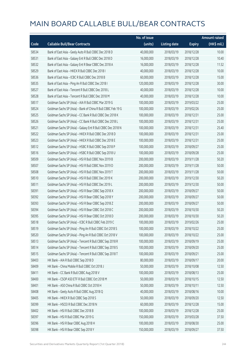|       |                                                              | No. of issue |                     |               | <b>Amount raised</b>  |
|-------|--------------------------------------------------------------|--------------|---------------------|---------------|-----------------------|
| Code  | <b>Callable Bull/Bear Contracts</b>                          | (units)      | <b>Listing date</b> | <b>Expiry</b> | $(HK\frac{1}{2}mil.)$ |
| 58534 | Bank of East Asia - Geely Auto R Bull CBBC Dec 2018 D        | 40,000,000   | 2018/03/19          | 2018/12/28    | 10.00                 |
| 58531 | Bank of East Asia - Galaxy Ent R Bull CBBC Dec 2018 D        | 16,000,000   | 2018/03/19          | 2018/12/28    | 10.40                 |
| 58532 | Bank of East Asia - Galaxy Ent R Bear CBBC Dec 2018 A        | 16,000,000   | 2018/03/19          | 2018/12/28    | 11.52                 |
| 58529 | Bank of East Asia - HKEX R Bull CBBC Dec 2018 I              | 40,000,000   | 2018/03/19          | 2018/12/28    | 10.00                 |
| 58536 | Bank of East Asia - ICBC R Bull CBBC Dec 2018 B              | 60,000,000   | 2018/03/19          | 2018/12/28    | 15.00                 |
| 58535 | Bank of East Asia - Ping An R Bull CBBC Dec 2018 I           | 120,000,000  | 2018/03/19          | 2018/12/28    | 30.00                 |
| 58527 | Bank of East Asia - Tencent R Bull CBBC Dec 2018 L           | 40,000,000   | 2018/03/19          | 2018/12/28    | 10.00                 |
| 58528 | Bank of East Asia - Tencent R Bull CBBC Dec 2018 M           | 40,000,000   | 2018/03/19          | 2018/12/28    | 10.00                 |
| 58517 | Goldman Sachs SP (Asia) - AIA R Bull CBBC Mar 2019 G         | 100,000,000  | 2018/03/19          | 2019/03/22    | 25.00                 |
| 58524 | Goldman Sachs SP (Asia) - Bank of China R Bull CBBC Feb 19 G | 100,000,000  | 2018/03/19          | 2019/02/26    | 25.00                 |
| 58525 | Goldman Sachs SP (Asia) - CC Bank R Bull CBBC Dec 2018 K     | 100,000,000  | 2018/03/19          | 2018/12/31    | 25.00                 |
| 58526 | Goldman Sachs SP (Asia) - CC Bank R Bull CBBC Dec 2018 L     | 100,000,000  | 2018/03/19          | 2018/12/31    | 25.00                 |
| 58521 | Goldman Sachs SP (Asia) - Galaxy Ent R Bull CBBC Dec 2018 N  | 100,000,000  | 2018/03/19          | 2018/12/31    | 25.40                 |
| 58522 | Goldman Sachs SP (Asia) - HKEX R Bull CBBC Dec 2018 D        | 100,000,000  | 2018/03/19          | 2018/12/31    | 25.00                 |
| 58523 | Goldman Sachs SP (Asia) - HKEX R Bull CBBC Dec 2018 E        | 100,000,000  | 2018/03/19          | 2018/12/31    | 25.00                 |
| 58512 | Goldman Sachs SP (Asia) - HSBC R Bull CBBC Sep 2018 P        | 100,000,000  | 2018/03/19          | 2018/09/27    | 25.00                 |
| 58516 | Goldman Sachs SP (Asia) - HSBC R Bull CBBC Sep 2018 U        | 100,000,000  | 2018/03/19          | 2018/09/28    | 25.00                 |
| 58509 | Goldman Sachs SP (Asia) - HSI R Bull CBBC Nov 2019 B         | 200,000,000  | 2018/03/19          | 2019/11/28    | 50.20                 |
| 58507 | Goldman Sachs SP (Asia) - HSI R Bull CBBC Nov 2019 D         | 200,000,000  | 2018/03/19          | 2019/11/28    | 50.00                 |
| 58508 | Goldman Sachs SP (Asia) - HSI R Bull CBBC Nov 2019 T         | 200,000,000  | 2018/03/19          | 2019/11/28    | 50.00                 |
| 58510 | Goldman Sachs SP (Asia) - HSI R Bull CBBC Dec 2019 K         | 200,000,000  | 2018/03/19          | 2019/12/30    | 50.20                 |
| 58511 | Goldman Sachs SP (Asia) - HSI R Bull CBBC Dec 2019 L         | 200,000,000  | 2018/03/19          | 2019/12/30    | 50.00                 |
| 58391 | Goldman Sachs SP (Asia) - HSI R Bear CBBC Sep 2018 X         | 200,000,000  | 2018/03/19          | 2018/09/27    | 50.00                 |
| 58392 | Goldman Sachs SP (Asia) - HSI R Bear CBBC Sep 2018 Y         | 200,000,000  | 2018/03/19          | 2018/09/27    | 50.00                 |
| 58393 | Goldman Sachs SP (Asia) - HSI R Bear CBBC Sep 2018 Z         | 200,000,000  | 2018/03/19          | 2018/09/27    | 50.00                 |
| 58394 | Goldman Sachs SP (Asia) - HSI R Bear CBBC Oct 2018 C         | 200,000,000  | 2018/03/19          | 2018/10/30    | 50.20                 |
| 58395 | Goldman Sachs SP (Asia) - HSI R Bear CBBC Oct 2018 D         | 200,000,000  | 2018/03/19          | 2018/10/30    | 50.20                 |
| 58518 | Goldman Sachs SP (Asia) - ICBC R Bull CBBC Feb 2019 C        | 100,000,000  | 2018/03/19          | 2019/02/26    | 25.00                 |
| 58519 | Goldman Sachs SP (Asia) - Ping An R Bull CBBC Oct 2018 S     | 100,000,000  | 2018/03/19          | 2018/10/22    | 25.00                 |
| 58520 | Goldman Sachs SP (Asia) - Ping An R Bull CBBC Oct 2018 V     | 100,000,000  | 2018/03/19          | 2018/10/22    | 25.00                 |
| 58513 | Goldman Sachs SP (Asia) - Tencent R Bull CBBC Sep 2018 R     | 100,000,000  | 2018/03/19          | 2018/09/19    | 25.00                 |
| 58514 | Goldman Sachs SP (Asia) - Tencent R Bull CBBC Sep 2018 S     | 100,000,000  | 2018/03/19          | 2018/09/20    | 25.00                 |
| 58515 | Goldman Sachs SP (Asia) - Tencent R Bull CBBC Sep 2018 T     | 100,000,000  | 2018/03/19          | 2018/09/21    | 25.00                 |
| 58403 | HK Bank - AIA R Bull CBBC Sep 2018 D                         | 80,000,000   | 2018/03/19          | 2018/09/17    | 20.00                 |
| 58409 | HK Bank - China Mobile R Bull CBBC Oct 2018 J                | 50,000,000   | 2018/03/19          | 2018/10/08    | 12.50                 |
| 58411 | HK Bank - CC Bank R Bull CBBC Aug 2018 V                     | 100,000,000  | 2018/03/19          | 2018/08/13    | 25.00                 |
| 58400 | HK Bank - CSOP A50 ETF R Bull CBBC Oct 2018 M                | 50,000,000   | 2018/03/19          | 2018/10/15    | 12.50                 |
| 58401 | HK Bank - A50 China R Bull CBBC Oct 2018 H                   | 50,000,000   | 2018/03/19          | 2018/10/11    | 12.50                 |
| 58408 | HK Bank - Geely Auto R Bull CBBC Aug 2018 Q                  | 40,000,000   | 2018/03/19          | 2018/08/16    | 10.00                 |
| 58405 | HK Bank - HKEX R Bull CBBC Sep 2018 S                        | 50,000,000   | 2018/03/19          | 2018/09/20    | 12.50                 |
| 58399 | HK Bank - HSCEI R Bull CBBC Dec 2018 N                       | 60,000,000   | 2018/03/19          | 2018/12/28    | 15.00                 |
| 58402 | HK Bank - HSI R Bull CBBC Dec 2018 B                         | 100,000,000  | 2018/03/19          | 2018/12/28    | 25.00                 |
| 58397 | HK Bank - HSI R Bull CBBC Mar 2019 G                         | 150,000,000  | 2018/03/19          | 2019/03/28    | 37.50                 |
| 58396 | HK Bank - HSI R Bear CBBC Aug 2018 H                         | 100,000,000  | 2018/03/19          | 2018/08/30    | 25.00                 |
| 58398 | HK Bank - HSI R Bear CBBC Sep 2018 Y                         | 150,000,000  | 2018/03/19          | 2018/09/27    | 37.50                 |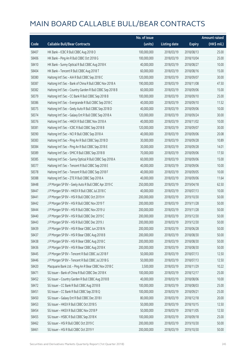|       |                                                           | No. of issue |                     |               | <b>Amount raised</b> |
|-------|-----------------------------------------------------------|--------------|---------------------|---------------|----------------------|
| Code  | <b>Callable Bull/Bear Contracts</b>                       | (units)      | <b>Listing date</b> | <b>Expiry</b> | (HK\$ mil.)          |
| 58407 | HK Bank - ICBC R Bull CBBC Aug 2018 O                     | 100,000,000  | 2018/03/19          | 2018/08/13    | 25.00                |
| 58406 | HK Bank - Ping An R Bull CBBC Oct 2018 G                  | 100,000,000  | 2018/03/19          | 2018/10/04    | 25.00                |
| 58410 | HK Bank - Sunny Optical R Bull CBBC Aug 2018 K            | 40,000,000   | 2018/03/19          | 2018/08/27    | 10.00                |
| 58404 | HK Bank - Tencent R Bull CBBC Aug 2018 T                  | 60,000,000   | 2018/03/19          | 2018/08/16    | 15.00                |
| 58380 | Haitong Int'l Sec - AIA R Bull CBBC Sep 2018 C            | 120,000,000  | 2018/03/19          | 2018/09/07    | 30.00                |
| 58387 | Haitong Int'l Sec - Bank of China R Bull CBBC Nov 2018 A  | 190,000,000  | 2018/03/19          | 2018/11/08    | 47.50                |
| 58382 | Haitong Int'l Sec - Country Garden R Bull CBBC Sep 2018 B | 60,000,000   | 2018/03/19          | 2018/09/06    | 15.00                |
| 58379 | Haitong Int'l Sec - CC Bank R Bull CBBC Sep 2018 B        | 100,000,000  | 2018/03/19          | 2018/09/10    | 25.00                |
| 58386 | Haitong Int'l Sec - Evergrande R Bull CBBC Sep 2018 C     | 40,000,000   | 2018/03/19          | 2018/09/10    | 11.52                |
| 58375 | Haitong Int'l Sec - Geely Auto R Bull CBBC Sep 2018 D     | 40,000,000   | 2018/03/19          | 2018/09/06    | 10.00                |
| 58374 | Haitong Int'l Sec - Galaxy Ent R Bull CBBC Sep 2018 A     | 120,000,000  | 2018/03/19          | 2018/09/24    | 30.00                |
| 58376 | Haitong Int'l Sec - HKEX R Bull CBBC Nov 2018 A           | 40,000,000   | 2018/03/19          | 2018/11/02    | 10.00                |
| 58381 | Haitong Int'l Sec - ICBC R Bull CBBC Sep 2018 B           | 120,000,000  | 2018/03/19          | 2018/09/07    | 30.00                |
| 58390 | Haitong Int'l Sec - NCI R Bull CBBC Sep 2018 A            | 40,000,000   | 2018/03/19          | 2018/09/06    | 20.08                |
| 58383 | Haitong Int'l Sec - Ping An R Bull CBBC Sep 2018 D        | 30,000,000   | 2018/03/19          | 2018/09/28    | 10.89                |
| 58384 | Haitong Int'l Sec - Ping An R Bull CBBC Sep 2018 E        | 30,000,000   | 2018/03/19          | 2018/09/28    | 14.01                |
| 58389 | Haitong Int'l Sec - SMIC R Bull CBBC Sep 2018 B           | 70,000,000   | 2018/03/19          | 2018/09/06    | 17.50                |
| 58385 | Haitong Int'l Sec - Sunny Optical R Bull CBBC Sep 2018 A  | 60,000,000   | 2018/03/19          | 2018/09/06    | 15.00                |
| 58377 | Haitong Int'l Sec - Tencent R Bull CBBC Sep 2018 E        | 40,000,000   | 2018/03/19          | 2018/09/06    | 10.00                |
| 58378 | Haitong Int'l Sec - Tencent R Bull CBBC Sep 2018 F        | 40,000,000   | 2018/03/19          | 2018/09/05    | 10.00                |
| 58388 | Haitong Int'l Sec - ZTE R Bull CBBC Sep 2018 A            | 40,000,000   | 2018/03/19          | 2018/09/06    | 11.64                |
| 58448 | J P Morgan SP BV - Geely Auto R Bull CBBC Apr 2019 C      | 250,000,000  | 2018/03/19          | 2019/04/18    | 62.50                |
| 58447 | J P Morgan SP BV - HKEX R Bull CBBC Jul 2018 C            | 40,000,000   | 2018/03/19          | 2018/07/13    | 10.00                |
| 58441 | J P Morgan SP BV - HSI R Bull CBBC Oct 2019 H             | 200,000,000  | 2018/03/19          | 2019/10/30    | 50.00                |
| 58442 | J P Morgan SP BV - HSI R Bull CBBC Nov 2019 T             | 200,000,000  | 2018/03/19          | 2019/11/28    | 50.00                |
| 58444 | J P Morgan SP BV - HSI R Bull CBBC Nov 2019 U             | 200,000,000  | 2018/03/19          | 2019/11/28    | 50.00                |
| 58440 | J P Morgan SP BV - HSI R Bull CBBC Dec 2019 C             | 200,000,000  | 2018/03/19          | 2019/12/30    | 50.00                |
| 58443 | J P Morgan SP BV - HSI R Bull CBBC Dec 2019 J             | 200,000,000  | 2018/03/19          | 2019/12/30    | 50.00                |
| 58439 | J P Morgan SP BV - HSI R Bear CBBC Jun 2018 N             | 200,000,000  | 2018/03/19          | 2018/06/28    | 50.00                |
| 58437 | J P Morgan SP BV - HSI R Bear CBBC Aug 2018 B             | 200,000,000  | 2018/03/19          | 2018/08/30    | 50.00                |
| 58438 | J P Morgan SP BV - HSI R Bear CBBC Aug 2018 C             | 200,000,000  | 2018/03/19          | 2018/08/30    | 50.00                |
| 58436 | J P Morgan SP BV - HSI R Bear CBBC Aug 2018 K             | 200,000,000  | 2018/03/19          | 2018/08/30    | 50.00                |
| 58445 | J P Morgan SP BV - Tencent R Bull CBBC Jul 2018 F         | 50,000,000   | 2018/03/19          | 2018/07/13    | 12.50                |
| 58446 | J P Morgan SP BV - Tencent R Bull CBBC Jul 2018 G         | 50,000,000   | 2018/03/19          | 2018/07/13    | 12.50                |
| 58420 | Macquarie Bank Ltd. - Ping An R Bear CBBC Nov 2018 C      | 3,500,000    | 2018/03/19          | 2018/11/29    | 10.22                |
| 58471 | SG Issuer - Bank of China R Bull CBBC Dec 2018 K          | 100,000,000  | 2018/03/19          | 2018/12/17    | 25.00                |
| 58452 | SG Issuer - Country Garden R Bull CBBC Aug 2018 B         | 40,000,000   | 2018/03/19          | 2018/08/06    | 10.00                |
| 58472 | SG Issuer - CC Bank R Bull CBBC Aug 2018 B                | 100,000,000  | 2018/03/19          | 2018/08/03    | 25.00                |
| 58451 | SG Issuer - CC Bank R Bull CBBC Sep 2018 Q                | 100,000,000  | 2018/03/19          | 2018/09/21    | 25.00                |
| 58450 | SG Issuer - Galaxy Ent R Bull CBBC Dec 2018 I             | 80,000,000   | 2018/03/19          | 2018/12/18    | 20.00                |
| 58453 | SG Issuer - HKEX R Bull CBBC Oct 2018 S                   | 50,000,000   | 2018/03/19          | 2018/10/15    | 12.50                |
| 58454 | SG Issuer - HKEX R Bull CBBC Nov 2018 P                   | 50,000,000   | 2018/03/19          | 2018/11/05    | 12.50                |
| 58455 | SG Issuer - HSBC R Bull CBBC Sep 2018 K                   | 100,000,000  | 2018/03/19          | 2018/09/18    | 25.00                |
| 58462 | SG Issuer - HSI R Bull CBBC Oct 2019 C                    | 200,000,000  | 2018/03/19          | 2019/10/30    | 50.00                |
| 58461 | SG Issuer - HSI R Bull CBBC Oct 2019 Y                    | 200,000,000  | 2018/03/19          | 2019/10/30    | 50.00                |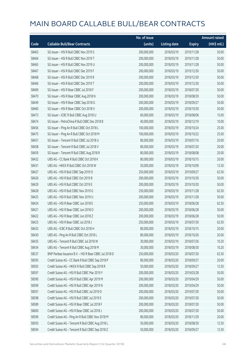|       |                                                        | No. of issue |                     |               | <b>Amount raised</b> |
|-------|--------------------------------------------------------|--------------|---------------------|---------------|----------------------|
| Code  | <b>Callable Bull/Bear Contracts</b>                    | (units)      | <b>Listing date</b> | <b>Expiry</b> | (HK\$ mil.)          |
| 58463 | SG Issuer - HSI R Bull CBBC Nov 2019 S                 | 200,000,000  | 2018/03/19          | 2019/11/28    | 50.00                |
| 58464 | SG Issuer - HSI R Bull CBBC Nov 2019 T                 | 200,000,000  | 2018/03/19          | 2019/11/28    | 50.00                |
| 58465 | SG Issuer - HSI R Bull CBBC Nov 2019 U                 | 200,000,000  | 2018/03/19          | 2019/11/28    | 50.00                |
| 58467 | SG Issuer - HSI R Bull CBBC Dec 2019 F                 | 200,000,000  | 2018/03/19          | 2019/12/30    | 50.00                |
| 58468 | SG Issuer - HSI R Bull CBBC Dec 2019 R                 | 200,000,000  | 2018/03/19          | 2019/12/30    | 50.00                |
| 58466 | SG Issuer - HSI R Bull CBBC Dec 2019 T                 | 200,000,000  | 2018/03/19          | 2019/12/30    | 50.00                |
| 58469 | SG Issuer - HSI R Bear CBBC Jul 2018 F                 | 200,000,000  | 2018/03/19          | 2018/07/30    | 50.00                |
| 58470 | SG Issuer - HSI R Bear CBBC Aug 2018 N                 | 200,000,000  | 2018/03/19          | 2018/08/30    | 50.00                |
| 58449 | SG Issuer - HSI R Bear CBBC Sep 2018 G                 | 200,000,000  | 2018/03/19          | 2018/09/27    | 50.00                |
| 58460 | SG Issuer - HSI R Bear CBBC Oct 2018 V                 | 200,000,000  | 2018/03/19          | 2018/10/30    | 50.00                |
| 58473 | SG Issuer - ICBC R Bull CBBC Aug 2018 U                | 60,000,000   | 2018/03/19          | 2018/08/06    | 15.00                |
| 58474 | SG Issuer - PetroChina R Bull CBBC Dec 2018 B          | 40,000,000   | 2018/03/19          | 2018/12/19    | 10.00                |
| 58456 | SG Issuer - Ping An R Bull CBBC Oct 2018 L             | 100,000,000  | 2018/03/19          | 2018/10/24    | 25.00                |
| 58475 | SG Issuer - Ping An R Bull CBBC Oct 2018 M             | 100,000,000  | 2018/03/19          | 2018/10/22    | 25.00                |
| 58457 | SG Issuer - Tencent R Bull CBBC Jul 2018 U             | 80,000,000   | 2018/03/19          | 2018/07/16    | 20.00                |
| 58458 | SG Issuer - Tencent R Bull CBBC Jul 2018 V             | 80,000,000   | 2018/03/19          | 2018/07/20    | 20.00                |
| 58459 | SG Issuer - Tencent R Bull CBBC Aug 2018 R             | 80,000,000   | 2018/03/19          | 2018/08/08    | 20.00                |
| 58432 | UBS AG - CC Bank R Bull CBBC Oct 2018 K                | 80,000,000   | 2018/03/19          | 2018/10/15    | 20.00                |
| 58431 | UBS AG - HKEX R Bull CBBC Oct 2018 W                   | 50,000,000   | 2018/03/19          | 2018/10/09    | 12.50                |
| 58427 | UBS AG - HSI R Bull CBBC Sep 2019 O                    | 250,000,000  | 2018/03/19          | 2019/09/27    | 62.50                |
| 58426 | UBS AG - HSI R Bull CBBC Oct 2019 B                    | 200,000,000  | 2018/03/19          | 2019/10/30    | 50.00                |
| 58429 | UBS AG - HSI R Bull CBBC Oct 2019 E                    | 200,000,000  | 2018/03/19          | 2019/10/30    | 50.00                |
| 58428 | UBS AG - HSI R Bull CBBC Nov 2019 G                    | 250,000,000  | 2018/03/19          | 2019/11/28    | 62.50                |
| 58425 | UBS AG - HSI R Bull CBBC Nov 2019 U                    | 200,000,000  | 2018/03/19          | 2019/11/28    | 50.00                |
| 58424 | UBS AG - HSI R Bear CBBC Jun 2018 E                    | 250,000,000  | 2018/03/19          | 2018/06/28    | 62.50                |
| 58421 | UBS AG - HSI R Bear CBBC Jun 2018 O                    | 200,000,000  | 2018/03/19          | 2018/06/28    | 50.00                |
| 58422 | UBS AG - HSI R Bear CBBC Jun 2018 Z                    | 200,000,000  | 2018/03/19          | 2018/06/28    | 50.00                |
| 58423 | UBS AG - HSI R Bear CBBC Jul 2018 J                    | 250,000,000  | 2018/03/19          | 2018/07/30    | 62.50                |
| 58433 | UBS AG - ICBC R Bull CBBC Oct 2018 H                   | 80,000,000   | 2018/03/19          | 2018/10/15    | 20.00                |
| 58430 | UBS AG - Ping An R Bull CBBC Oct 2018 L                | 80,000,000   | 2018/03/19          | 2018/10/26    | 20.00                |
| 58435 | UBS AG - Tencent R Bull CBBC Jul 2018 W                | 30,000,000   | 2018/03/19          | 2018/07/26    | 10.20                |
| 58434 | UBS AG - Tencent R Bull CBBC Aug 2018 M                | 30,000,000   | 2018/03/19          | 2018/08/30    | 10.20                |
| 58537 | BNP Paribas Issuance B.V. - HSI R Bear CBBC Jul 2018 D | 250,000,000  | 2018/03/20          | 2018/07/30    | 62.50                |
| 58595 | Credit Suisse AG - CC Bank R Bull CBBC Sep 2018 P      | 80,000,000   | 2018/03/20          | 2018/09/27    | 20.00                |
| 58592 | Credit Suisse AG - HKEX R Bull CBBC Sep 2018 R         | 50,000,000   | 2018/03/20          | 2018/09/27    | 12.50                |
| 58597 | Credit Suisse AG - HSI R Bull CBBC Mar 2019 Y          | 200,000,000  | 2018/03/20          | 2019/03/28    | 50.00                |
| 58590 | Credit Suisse AG - HSI R Bull CBBC Apr 2019 M          | 200,000,000  | 2018/03/20          | 2019/04/29    | 50.00                |
| 58599 | Credit Suisse AG - HSI R Bull CBBC Apr 2019 N          | 200,000,000  | 2018/03/20          | 2019/04/29    | 50.00                |
| 58591 | Credit Suisse AG - HSI R Bull CBBC Jul 2019 D          | 200,000,000  | 2018/03/20          | 2019/07/30    | 50.00                |
| 58598 | Credit Suisse AG - HSI R Bull CBBC Jul 2019 E          | 200,000,000  | 2018/03/20          | 2019/07/30    | 50.00                |
| 58589 | Credit Suisse AG - HSI R Bear CBBC Jul 2018 F          | 200,000,000  | 2018/03/20          | 2018/07/30    | 50.00                |
| 58600 | Credit Suisse AG - HSI R Bear CBBC Jul 2018 J          | 200,000,000  | 2018/03/20          | 2018/07/30    | 50.00                |
| 58596 | Credit Suisse AG - Ping An R Bull CBBC Nov 2018 M      | 80,000,000   | 2018/03/20          | 2018/11/29    | 20.00                |
| 58593 | Credit Suisse AG - Tencent R Bull CBBC Aug 2018 L      | 50,000,000   | 2018/03/20          | 2018/08/30    | 12.50                |
| 58594 | Credit Suisse AG - Tencent R Bull CBBC Sep 2018 Z      | 50,000,000   | 2018/03/20          | 2018/09/27    | 12.50                |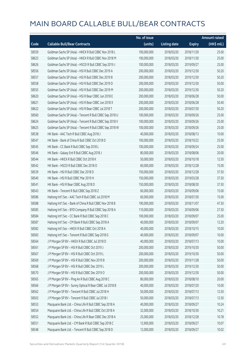|       |                                                          | No. of issue |                     |               | <b>Amount raised</b> |
|-------|----------------------------------------------------------|--------------|---------------------|---------------|----------------------|
| Code  | <b>Callable Bull/Bear Contracts</b>                      | (units)      | <b>Listing date</b> | <b>Expiry</b> | $(HK$$ mil.)         |
| 58559 | Goldman Sachs SP (Asia) - HKEX R Bull CBBC Nov 2018 L    | 100,000,000  | 2018/03/20          | 2018/11/30    | 25.00                |
| 58623 | Goldman Sachs SP (Asia) - HKEX R Bull CBBC Nov 2018 M    | 100,000,000  | 2018/03/20          | 2018/11/30    | 25.00                |
| 58626 | Goldman Sachs SP (Asia) - HSCEI R Bull CBBC Sep 2019 J   | 100,000,000  | 2018/03/20          | 2019/09/27    | 25.00                |
| 58556 | Goldman Sachs SP (Asia) - HSI R Bull CBBC Dec 2019 A     | 200,000,000  | 2018/03/20          | 2019/12/30    | 50.20                |
| 58557 | Goldman Sachs SP (Asia) - HSI R Bull CBBC Dec 2019 B     | 200,000,000  | 2018/03/20          | 2019/12/30    | 50.20                |
| 58558 | Goldman Sachs SP (Asia) - HSI R Bull CBBC Dec 2019 D     | 200,000,000  | 2018/03/20          | 2019/12/30    | 50.00                |
| 58555 | Goldman Sachs SP (Asia) - HSI R Bull CBBC Dec 2019 M     | 200,000,000  | 2018/03/20          | 2019/12/30    | 50.20                |
| 58620 | Goldman Sachs SP (Asia) - HSI R Bear CBBC Jun 2018 E     | 200,000,000  | 2018/03/20          | 2018/06/28    | 50.00                |
| 58621 | Goldman Sachs SP (Asia) - HSI R Bear CBBC Jun 2018 X     | 200,000,000  | 2018/03/20          | 2018/06/28    | 50.40                |
| 58622 | Goldman Sachs SP (Asia) - HSI R Bear CBBC Jul 2018 T     | 200,000,000  | 2018/03/20          | 2018/07/30    | 50.20                |
| 58560 | Goldman Sachs SP (Asia) - Tencent R Bull CBBC Sep 2018 U | 100,000,000  | 2018/03/20          | 2018/09/26    | 25.00                |
| 58624 | Goldman Sachs SP (Asia) - Tencent R Bull CBBC Sep 2018 V | 100,000,000  | 2018/03/20          | 2018/09/26    | 25.00                |
| 58625 | Goldman Sachs SP (Asia) - Tencent R Bull CBBC Sep 2018 W | 100,000,000  | 2018/03/20          | 2018/09/26    | 25.00                |
| 58538 | HK Bank - AAC Tech R Bull CBBC Aug 2018 J                | 40,000,000   | 2018/03/20          | 2018/08/13    | 10.00                |
| 58547 | HK Bank - Bank of China R Bull CBBC Oct 2018 D           | 100,000,000  | 2018/03/20          | 2018/10/22    | 25.00                |
| 58545 | HK Bank - CC Bank R Bull CBBC Sep 2018 L                 | 100,000,000  | 2018/03/20          | 2018/09/24    | 25.00                |
| 58546 | HK Bank - Galaxy Ent R Bull CBBC Aug 2018 J              | 80,000,000   | 2018/03/20          | 2018/08/06    | 20.00                |
| 58544 | HK Bank - HKEX R Bull CBBC Oct 2018 K                    | 50,000,000   | 2018/03/20          | 2018/10/18    | 12.50                |
| 58542 | HK Bank - HSCEI R Bull CBBC Dec 2018 O                   | 60,000,000   | 2018/03/20          | 2018/12/28    | 15.00                |
| 58539 | HK Bank - HSI R Bull CBBC Dec 2018 D                     | 150,000,000  | 2018/03/20          | 2018/12/28    | 37.50                |
| 58540 | HK Bank - HSI R Bull CBBC Mar 2019 H                     | 150,000,000  | 2018/03/20          | 2019/03/28    | 37.50                |
| 58541 | HK Bank - HSI R Bear CBBC Aug 2018 D                     | 150,000,000  | 2018/03/20          | 2018/08/30    | 37.50                |
| 58543 | HK Bank - Tencent R Bull CBBC Sep 2018 Z                 | 60,000,000   | 2018/03/20          | 2018/09/06    | 15.00                |
| 58586 | Haitong Int'l Sec - AAC Tech R Bull CBBC Jul 2018 M      | 60,000,000   | 2018/03/20          | 2018/07/30    | 15.00                |
| 58588 | Haitong Int'l Sec - Bank of China R Bull CBBC Nov 2018 B | 190,000,000  | 2018/03/20          | 2018/11/07    | 47.50                |
| 58585 | Haitong Int'l Sec - BYD Company R Bull CBBC Sep 2018 A   | 110,000,000  | 2018/03/20          | 2018/09/06    | 27.50                |
| 58584 | Haitong Int'l Sec - CC Bank R Bull CBBC Sep 2018 C       | 100,000,000  | 2018/03/20          | 2018/09/07    | 25.00                |
| 58587 | Haitong Int'l Sec - CM Bank R Bull CBBC Sep 2018 A       | 40,000,000   | 2018/03/20          | 2018/09/07    | 12.20                |
| 58582 | Haitong Int'l Sec - HKEX R Bull CBBC Oct 2018 A          | 40,000,000   | 2018/03/20          | 2018/10/15    | 10.00                |
| 58583 | Haitong Int'l Sec - Tencent R Bull CBBC Sep 2018 G       | 40,000,000   | 2018/03/20          | 2018/09/07    | 10.00                |
| 58564 | J P Morgan SP BV - HKEX R Bull CBBC Jul 2018 D           | 40,000,000   | 2018/03/20          | 2018/07/13    | 10.00                |
| 58561 | J P Morgan SP BV - HSI R Bull CBBC Oct 2019 J            | 200,000,000  | 2018/03/20          | 2019/10/30    | 50.00                |
| 58567 | J P Morgan SP BV - HSI R Bull CBBC Oct 2019 L            | 200,000,000  | 2018/03/20          | 2019/10/30    | 50.00                |
| 58569 | J P Morgan SP BV - HSI R Bull CBBC Nov 2019 B            | 200,000,000  | 2018/03/20          | 2019/11/28    | 50.00                |
| 58568 | J P Morgan SP BV - HSI R Bull CBBC Dec 2019 L            | 200,000,000  | 2018/03/20          | 2019/12/30    | 50.00                |
| 58570 | J P Morgan SP BV - HSI R Bull CBBC Dec 2019 O            | 200,000,000  | 2018/03/20          | 2019/12/30    | 50.00                |
| 58565 | J P Morgan SP BV - Ping An R Bull CBBC Aug 2018 C        | 80,000,000   | 2018/03/20          | 2018/08/10    | 20.00                |
| 58566 | J P Morgan SP BV - Sunny Optical R Bear CBBC Jul 2018 B  | 40,000,000   | 2018/03/20          | 2018/07/20    | 10.00                |
| 58562 | J P Morgan SP BV - Tencent R Bull CBBC Jul 2018 H        | 50,000,000   | 2018/03/20          | 2018/07/13    | 12.50                |
| 58563 | J P Morgan SP BV - Tencent R Bull CBBC Jul 2018 I        | 50,000,000   | 2018/03/20          | 2018/07/13    | 12.50                |
| 58553 | Macquarie Bank Ltd. - China Life R Bull CBBC Sep 2018 A  | 40,000,000   | 2018/03/20          | 2018/09/27    | 10.24                |
| 58554 | Macquarie Bank Ltd. - China Life R Bull CBBC Oct 2018 A  | 32,000,000   | 2018/03/20          | 2018/10/30    | 10.21                |
| 58552 | Macquarie Bank Ltd. - China Life R Bear CBBC Dec 2018 A  | 25,000,000   | 2018/03/20          | 2018/12/28    | 10.78                |
| 58551 | Macquarie Bank Ltd. - CM Bank R Bull CBBC Sep 2018 C     | 12,900,000   | 2018/03/20          | 2018/09/27    | 10.07                |
| 58548 | Macquarie Bank Ltd. - Tencent R Bull CBBC Sep 2018 D     | 12,000,000   | 2018/03/20          | 2018/09/27    | 10.02                |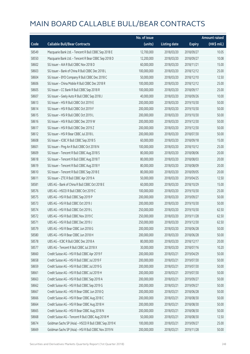|       |                                                        | No. of issue |                     |               | <b>Amount raised</b> |
|-------|--------------------------------------------------------|--------------|---------------------|---------------|----------------------|
| Code  | <b>Callable Bull/Bear Contracts</b>                    | (units)      | <b>Listing date</b> | <b>Expiry</b> | (HK\$ mil.)          |
| 58549 | Macquarie Bank Ltd. - Tencent R Bull CBBC Sep 2018 E   | 12,700,000   | 2018/03/20          | 2018/09/27    | 10.05                |
| 58550 | Macquarie Bank Ltd. - Tencent R Bear CBBC Sep 2018 D   | 12,200,000   | 2018/03/20          | 2018/09/27    | 10.08                |
| 58602 | SG Issuer - AIA R Bull CBBC Nov 2018 D                 | 60,000,000   | 2018/03/20          | 2018/11/21    | 15.00                |
| 58603 | SG Issuer - Bank of China R Bull CBBC Dec 2018 L       | 100,000,000  | 2018/03/20          | 2018/12/12    | 25.00                |
| 58604 | SG Issuer - BYD Company R Bull CBBC Dec 2018 C         | 50,000,000   | 2018/03/20          | 2018/12/10    | 12.50                |
| 58606 | SG Issuer - China Mobile R Bull CBBC Dec 2018 R        | 100,000,000  | 2018/03/20          | 2018/12/12    | 25.00                |
| 58605 | SG Issuer - CC Bank R Bull CBBC Sep 2018 R             | 100,000,000  | 2018/03/20          | 2018/09/17    | 25.00                |
| 58607 | SG Issuer - Geely Auto R Bull CBBC Sep 2018 J          | 40,000,000   | 2018/03/20          | 2018/09/26    | 10.00                |
| 58613 | SG Issuer - HSI R Bull CBBC Oct 2019 E                 | 200,000,000  | 2018/03/20          | 2019/10/30    | 50.00                |
| 58614 | SG Issuer - HSI R Bull CBBC Oct 2019 F                 | 200,000,000  | 2018/03/20          | 2019/10/30    | 50.00                |
| 58615 | SG Issuer - HSI R Bull CBBC Oct 2019 L                 | 200,000,000  | 2018/03/20          | 2019/10/30    | 50.00                |
| 58616 | SG Issuer - HSI R Bull CBBC Dec 2019 W                 | 200,000,000  | 2018/03/20          | 2019/12/30    | 50.00                |
| 58617 | SG Issuer - HSI R Bull CBBC Dec 2019 Z                 | 200,000,000  | 2018/03/20          | 2019/12/30    | 50.00                |
| 58612 | SG Issuer - HSI R Bear CBBC Jul 2018 L                 | 200,000,000  | 2018/03/20          | 2018/07/30    | 50.00                |
| 58608 | SG Issuer - ICBC R Bull CBBC Sep 2018 S                | 60,000,000   | 2018/03/20          | 2018/09/18    | 15.00                |
| 58601 | SG Issuer - Ping An R Bull CBBC Oct 2018 N             | 100,000,000  | 2018/03/20          | 2018/10/12    | 25.00                |
| 58609 | SG Issuer - Tencent R Bull CBBC Aug 2018 S             | 80,000,000   | 2018/03/20          | 2018/08/06    | 20.00                |
| 58618 | SG Issuer - Tencent R Bull CBBC Aug 2018 T             | 80,000,000   | 2018/03/20          | 2018/08/03    | 20.00                |
| 58619 | SG Issuer - Tencent R Bull CBBC Aug 2018 Y             | 80,000,000   | 2018/03/20          | 2018/08/09    | 20.00                |
| 58610 | SG Issuer - Tencent R Bull CBBC Sep 2018 E             | 80,000,000   | 2018/03/20          | 2018/09/05    | 20.00                |
| 58611 | SG Issuer - ZTE R Bull CBBC Apr 2019 A                 | 50,000,000   | 2018/03/20          | 2019/04/25    | 12.50                |
| 58581 | UBS AG - Bank of China R Bull CBBC Oct 2018 E          | 60,000,000   | 2018/03/20          | 2018/10/29    | 15.00                |
| 58576 | UBS AG - HSCEI R Bull CBBC Oct 2019 C                  | 100,000,000  | 2018/03/20          | 2019/10/30    | 25.00                |
| 58575 | UBS AG - HSI R Bull CBBC Sep 2019 P                    | 200,000,000  | 2018/03/20          | 2019/09/27    | 50.00                |
| 58573 | UBS AG - HSI R Bull CBBC Oct 2019 J                    | 200,000,000  | 2018/03/20          | 2019/10/30    | 50.00                |
| 58574 | UBS AG - HSI R Bull CBBC Oct 2019 L                    | 250,000,000  | 2018/03/20          | 2019/10/30    | 62.50                |
| 58572 | UBS AG - HSI R Bull CBBC Nov 2019 C                    | 250,000,000  | 2018/03/20          | 2019/11/28    | 62.50                |
| 58571 | UBS AG - HSI R Bull CBBC Dec 2019 J                    | 250,000,000  | 2018/03/20          | 2019/12/30    | 62.50                |
| 58579 | UBS AG - HSI R Bear CBBC Jun 2018 G                    | 200,000,000  | 2018/03/20          | 2018/06/28    | 50.00                |
| 58580 | UBS AG - HSI R Bear CBBC Jun 2018 H                    | 200,000,000  | 2018/03/20          | 2018/06/28    | 50.00                |
| 58578 | UBS AG - ICBC R Bull CBBC Dec 2018 A                   | 80,000,000   | 2018/03/20          | 2018/12/17    | 20.00                |
| 58577 | UBS AG - Tencent R Bull CBBC Jul 2018 X                | 30,000,000   | 2018/03/20          | 2018/07/16    | 10.20                |
| 58660 | Credit Suisse AG - HSI R Bull CBBC Apr 2019 F          | 200,000,000  | 2018/03/21          | 2019/04/29    | 50.00                |
| 58658 | Credit Suisse AG - HSI R Bull CBBC Jul 2019 F          | 200,000,000  | 2018/03/21          | 2019/07/30    | 50.00                |
| 58659 | Credit Suisse AG - HSI R Bull CBBC Jul 2019 G          | 200,000,000  | 2018/03/21          | 2019/07/30    | 50.00                |
| 58661 | Credit Suisse AG - HSI R Bull CBBC Jul 2019 H          | 200,000,000  | 2018/03/21          | 2019/07/30    | 50.00                |
| 58663 | Credit Suisse AG - HSI R Bull CBBC Sep 2019 A          | 200,000,000  | 2018/03/21          | 2019/09/27    | 50.00                |
| 58662 | Credit Suisse AG - HSI R Bull CBBC Sep 2019 G          | 200,000,000  | 2018/03/21          | 2019/09/27    | 50.00                |
| 58667 | Credit Suisse AG - HSI R Bear CBBC Jun 2018 Q          | 200,000,000  | 2018/03/21          | 2018/06/28    | 50.00                |
| 58666 | Credit Suisse AG - HSI R Bear CBBC Aug 2018 C          | 200,000,000  | 2018/03/21          | 2018/08/30    | 50.00                |
| 58664 | Credit Suisse AG - HSI R Bear CBBC Aug 2018 H          | 200,000,000  | 2018/03/21          | 2018/08/30    | 50.00                |
| 58665 | Credit Suisse AG - HSI R Bear CBBC Aug 2018 N          | 200,000,000  | 2018/03/21          | 2018/08/30    | 50.00                |
| 58668 | Credit Suisse AG - Tencent R Bull CBBC Aug 2018 M      | 50,000,000   | 2018/03/21          | 2018/08/30    | 12.50                |
| 58674 | Goldman Sachs SP (Asia) - HSCEI R Bull CBBC Sep 2019 K | 100,000,000  | 2018/03/21          | 2019/09/27    | 25.00                |
| 58669 | Goldman Sachs SP (Asia) - HSI R Bull CBBC Nov 2019 N   | 200,000,000  | 2018/03/21          | 2019/11/28    | 50.00                |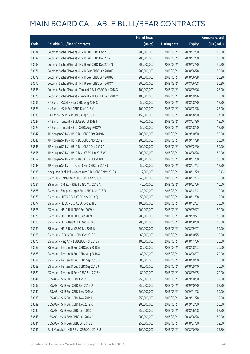|       |                                                          | No. of issue |                     |               | <b>Amount raised</b>  |
|-------|----------------------------------------------------------|--------------|---------------------|---------------|-----------------------|
| Code  | <b>Callable Bull/Bear Contracts</b>                      | (units)      | <b>Listing date</b> | <b>Expiry</b> | $(HK\frac{1}{2}mil.)$ |
| 58634 | Goldman Sachs SP (Asia) - HSI R Bull CBBC Dec 2019 C     | 200,000,000  | 2018/03/21          | 2019/12/30    | 50.00                 |
| 58632 | Goldman Sachs SP (Asia) - HSI R Bull CBBC Dec 2019 E     | 200,000,000  | 2018/03/21          | 2019/12/30    | 50.00                 |
| 58633 | Goldman Sachs SP (Asia) - HSI R Bull CBBC Dec 2019 N     | 200,000,000  | 2018/03/21          | 2019/12/30    | 50.20                 |
| 58671 | Goldman Sachs SP (Asia) - HSI R Bear CBBC Jun 2018 F     | 200,000,000  | 2018/03/21          | 2018/06/28    | 50.20                 |
| 58672 | Goldman Sachs SP (Asia) - HSI R Bear CBBC Jun 2018 G     | 200,000,000  | 2018/03/21          | 2018/06/28    | 50.20                 |
| 58670 | Goldman Sachs SP (Asia) - HSI R Bear CBBC Jun 2018 Y     | 200,000,000  | 2018/03/21          | 2018/06/28    | 50.20                 |
| 58635 | Goldman Sachs SP (Asia) - Tencent R Bull CBBC Sep 2018 X | 100,000,000  | 2018/03/21          | 2018/09/26    | 25.00                 |
| 58673 | Goldman Sachs SP (Asia) - Tencent R Bull CBBC Sep 2018 Y | 100,000,000  | 2018/03/21          | 2018/09/26    | 25.00                 |
| 58631 | HK Bank - HSCEI R Bear CBBC Aug 2018 C                   | 50,000,000   | 2018/03/21          | 2018/08/30    | 12.50                 |
| 58628 | HK Bank - HSI R Bull CBBC Dec 2018 X                     | 100,000,000  | 2018/03/21          | 2018/12/28    | 25.00                 |
| 58630 | HK Bank - HSI R Bear CBBC Aug 2018 F                     | 150,000,000  | 2018/03/21          | 2018/08/30    | 37.50                 |
| 58627 | HK Bank - Tencent R Bull CBBC Jul 2018 N                 | 60,000,000   | 2018/03/21          | 2018/07/30    | 15.00                 |
| 58629 | HK Bank - Tencent R Bear CBBC Aug 2018 W                 | 50,000,000   | 2018/03/21          | 2018/08/20    | 12.50                 |
| 58647 | J P Morgan SP BV - HSI R Bull CBBC Oct 2019 N            | 200,000,000  | 2018/03/21          | 2019/10/30    | 50.00                 |
| 58646 | J P Morgan SP BV - HSI R Bull CBBC Nov 2019 F            | 200,000,000  | 2018/03/21          | 2019/11/28    | 50.00                 |
| 58645 | J P Morgan SP BV - HSI R Bull CBBC Dec 2019 P            | 200,000,000  | 2018/03/21          | 2019/12/30    | 50.00                 |
| 58656 | J P Morgan SP BV - HSI R Bear CBBC Jun 2018 W            | 200,000,000  | 2018/03/21          | 2018/06/28    | 50.00                 |
| 58657 | J P Morgan SP BV - HSI R Bear CBBC Jul 2018 L            | 200,000,000  | 2018/03/21          | 2018/07/30    | 50.00                 |
| 58648 | J P Morgan SP BV - Tencent R Bull CBBC Jul 2018 J        | 50,000,000   | 2018/03/21          | 2018/07/13    | 12.50                 |
| 58636 | Macquarie Bank Ltd. - Geely Auto R Bull CBBC Nov 2018 A  | 12,000,000   | 2018/03/21          | 2018/11/29    | 10.43                 |
| 58683 | SG Issuer - China Life R Bull CBBC Dec 2018 E            | 40,000,000   | 2018/03/21          | 2018/12/13    | 10.00                 |
| 58684 | SG Issuer - CM Bank R Bull CBBC Mar 2019 A               | 40,000,000   | 2018/03/21          | 2019/03/06    | 10.00                 |
| 58685 | SG Issuer - Sinopec Corp R Bull CBBC Dec 2018 D          | 40,000,000   | 2018/03/21          | 2018/12/12    | 10.00                 |
| 58676 | SG Issuer - HKEX R Bull CBBC Nov 2018 Q                  | 50,000,000   | 2018/03/21          | 2018/11/08    | 12.50                 |
| 58677 | SG Issuer - HSBC R Bull CBBC Dec 2018 J                  | 100,000,000  | 2018/03/21          | 2018/12/03    | 25.00                 |
| 58675 | SG Issuer - HSI R Bull CBBC Sep 2019 H                   | 200,000,000  | 2018/03/21          | 2019/09/27    | 50.00                 |
| 58679 | SG Issuer - HSI R Bull CBBC Sep 2019 I                   | 200,000,000  | 2018/03/21          | 2019/09/27    | 50.00                 |
| 58690 | SG Issuer - HSI R Bear CBBC Aug 2018 Q                   | 200,000,000  | 2018/03/21          | 2018/08/30    | 50.00                 |
| 58682 | SG Issuer - HSI R Bear CBBC Sep 2018 B                   | 200,000,000  | 2018/03/21          | 2018/09/27    | 50.00                 |
| 58686 | SG Issuer - ICBC R Bull CBBC Oct 2018 F                  | 60,000,000   | 2018/03/21          | 2018/10/25    | 15.00                 |
| 58678 | SG Issuer - Ping An R Bull CBBC Nov 2018 Y               | 100,000,000  | 2018/03/21          | 2018/11/06    | 25.00                 |
| 58687 | SG Issuer - Tencent R Bull CBBC Aug 2018 A               | 80,000,000   | 2018/03/21          | 2018/08/03    | 20.00                 |
| 58688 | SG Issuer - Tencent R Bull CBBC Aug 2018 X               | 80,000,000   | 2018/03/21          | 2018/08/07    | 20.00                 |
| 58681 | SG Issuer - Tencent R Bull CBBC Sep 2018 G               | 80,000,000   | 2018/03/21          | 2018/09/10    | 20.00                 |
| 58689 | SG Issuer - Tencent R Bull CBBC Sep 2018 J               | 80,000,000   | 2018/03/21          | 2018/09/10    | 20.00                 |
| 58680 | SG Issuer - Tencent R Bear CBBC Sep 2018 H               | 80,000,000   | 2018/03/21          | 2018/09/05    | 20.00                 |
| 58641 | UBS AG - HSI R Bull CBBC Oct 2019 C                      | 250,000,000  | 2018/03/21          | 2019/10/30    | 62.50                 |
| 58637 | UBS AG - HSI R Bull CBBC Oct 2019 U                      | 250,000,000  | 2018/03/21          | 2019/10/30    | 62.50                 |
| 58640 | UBS AG - HSI R Bull CBBC Nov 2019 A                      | 200,000,000  | 2018/03/21          | 2019/11/28    | 50.00                 |
| 58638 | UBS AG - HSI R Bull CBBC Nov 2019 D                      | 250,000,000  | 2018/03/21          | 2019/11/28    | 62.50                 |
| 58639 | UBS AG - HSI R Bull CBBC Dec 2019 K                      | 200,000,000  | 2018/03/21          | 2019/12/30    | 50.00                 |
| 58642 | UBS AG - HSI R Bear CBBC Jun 2018 I                      | 250,000,000  | 2018/03/21          | 2018/06/28    | 62.50                 |
| 58643 | UBS AG - HSI R Bear CBBC Jun 2018 P                      | 200,000,000  | 2018/03/21          | 2018/06/28    | 50.00                 |
| 58644 | UBS AG - HSI R Bear CBBC Jul 2018 Z                      | 250,000,000  | 2018/03/21          | 2018/07/30    | 62.50                 |
| 58651 | Bank Vontobel - HSI R Bull CBBC Oct 2018 U               | 100,000,000  | 2018/03/21          | 2018/10/30    | 25.80                 |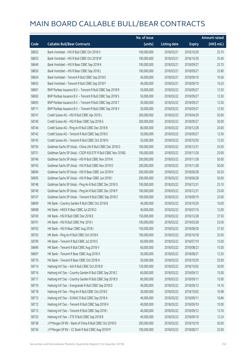|       |                                                              | No. of issue |                     |               | <b>Amount raised</b>  |
|-------|--------------------------------------------------------------|--------------|---------------------|---------------|-----------------------|
| Code  | <b>Callable Bull/Bear Contracts</b>                          | (units)      | <b>Listing date</b> | <b>Expiry</b> | $(HK\frac{1}{2}mil.)$ |
| 58652 | Bank Vontobel - HSI R Bull CBBC Oct 2018 V                   | 100,000,000  | 2018/03/21          | 2018/10/30    | 25.70                 |
| 58653 | Bank Vontobel - HSI R Bull CBBC Oct 2018 W                   | 100,000,000  | 2018/03/21          | 2018/10/30    | 25.40                 |
| 58649 | Bank Vontobel - HSI R Bear CBBC Sep 2018 K                   | 100,000,000  | 2018/03/21          | 2018/09/27    | 25.70                 |
| 58650 | Bank Vontobel - HSI R Bear CBBC Sep 2018 L                   | 100,000,000  | 2018/03/21          | 2018/09/27    | 25.80                 |
| 58654 | Bank Vontobel - Tencent R Bull CBBC Sep 2018 E               | 40,000,000   | 2018/03/21          | 2018/09/10    | 10.56                 |
| 58655 | Bank Vontobel - Tencent R Bull CBBC Sep 2018 F               | 40,000,000   | 2018/03/21          | 2018/09/10    | 10.20                 |
| 58691 | BNP Paribas Issuance B.V. - Tencent R Bull CBBC Sep 2018 R   | 50,000,000   | 2018/03/22          | 2018/09/27    | 12.50                 |
| 58692 | BNP Paribas Issuance B.V. - Tencent R Bull CBBC Sep 2018 S   | 50,000,000   | 2018/03/22          | 2018/09/27    | 12.50                 |
| 58693 | BNP Paribas Issuance B.V. - Tencent R Bull CBBC Sep 2018 T   | 50,000,000   | 2018/03/22          | 2018/09/27    | 12.50                 |
| 58711 | BNP Paribas Issuance B.V. - Tencent R Bull CBBC Sep 2018 V   | 50,000,000   | 2018/03/22          | 2018/09/27    | 12.50                 |
| 58741 | Credit Suisse AG - HSI R Bull CBBC Apr 2019 L                | 200,000,000  | 2018/03/22          | 2019/04/29    | 50.00                 |
| 58740 | Credit Suisse AG - HSI R Bear CBBC Sep 2018 G                | 200,000,000  | 2018/03/22          | 2018/09/27    | 50.00                 |
| 58744 | Credit Suisse AG - Ping An R Bull CBBC Dec 2018 B            | 80,000,000   | 2018/03/22          | 2018/12/28    | 20.00                 |
| 58742 | Credit Suisse AG - Tencent R Bull CBBC Sep 2018 E            | 50,000,000   | 2018/03/22          | 2018/09/27    | 12.50                 |
| 58743 | Credit Suisse AG - Tencent R Bull CBBC Oct 2018 N            | 50,000,000   | 2018/03/22          | 2018/10/30    | 12.50                 |
| 58750 | Goldman Sachs SP (Asia) - China Life R Bull CBBC Dec 2018 G  | 100,000,000  | 2018/03/22          | 2018/12/31    | 25.00                 |
| 58751 | Goldman Sachs SP (Asia) - CSOP A50 ETF R Bull CBBC Nov 2018G | 100,000,000  | 2018/03/22          | 2018/11/26    | 25.00                 |
| 58746 | Goldman Sachs SP (Asia) - HSI R Bull CBBC Nov 2019 K         | 200,000,000  | 2018/03/22          | 2019/11/28    | 50.00                 |
| 58745 | Goldman Sachs SP (Asia) - HSI R Bull CBBC Nov 2019 O         | 200,000,000  | 2018/03/22          | 2019/11/28    | 50.00                 |
| 58694 | Goldman Sachs SP (Asia) - HSI R Bear CBBC Jun 2018 H         | 200,000,000  | 2018/03/22          | 2018/06/28    | 50.20                 |
| 58695 | Goldman Sachs SP (Asia) - HSI R Bear CBBC Jun 2018 I         | 200,000,000  | 2018/03/22          | 2018/06/28    | 50.00                 |
| 58748 | Goldman Sachs SP (Asia) - Ping An R Bull CBBC Dec 2018 O     | 100,000,000  | 2018/03/22          | 2018/12/31    | 25.10                 |
| 58749 | Goldman Sachs SP (Asia) - Ping An R Bull CBBC Dec 2018 P     | 100,000,000  | 2018/03/22          | 2018/12/31    | 25.00                 |
| 58747 | Goldman Sachs SP (Asia) - Tencent R Bull CBBC Sep 2018 Z     | 100,000,000  | 2018/03/22          | 2018/09/19    | 25.00                 |
| 58699 | HK Bank - Country Garden R Bull CBBC Oct 2018 B              | 40,000,000   | 2018/03/22          | 2018/10/29    | 10.00                 |
| 58698 | HK Bank - HKEX R Bear CBBC Jul 2018 O                        | 40,000,000   | 2018/03/22          | 2018/07/16    | 12.00                 |
| 58700 | HK Bank - HSI R Bull CBBC Dec 2018 E                         | 150,000,000  | 2018/03/22          | 2018/12/28    | 37.50                 |
| 58701 | HK Bank - HSI R Bull CBBC Mar 2019 I                         | 100,000,000  | 2018/03/22          | 2019/03/28    | 25.00                 |
| 58702 | HK Bank - HSI R Bear CBBC Aug 2018 I                         | 150,000,000  | 2018/03/22          | 2018/08/30    | 37.50                 |
| 58703 | HK Bank - Ping An R Bull CBBC Oct 2018 K                     | 100,000,000  | 2018/03/22          | 2018/10/18    | 25.00                 |
| 58709 | HK Bank - Tencent R Bull CBBC Jul 2018 S                     | 60,000,000   | 2018/03/22          | 2018/07/19    | 15.00                 |
| 58696 | HK Bank - Tencent R Bull CBBC Aug 2018 V                     | 60,000,000   | 2018/03/22          | 2018/08/23    | 15.00                 |
| 58697 | HK Bank - Tencent R Bear CBBC Aug 2018 X                     | 50,000,000   | 2018/03/22          | 2018/08/27    | 12.50                 |
| 58710 | HK Bank - Tencent R Bear CBBC Oct 2018 H                     | 50,000,000   | 2018/03/22          | 2018/10/29    | 35.00                 |
| 58714 | Haitong Int'l Sec - AIA R Bull CBBC Oct 2018 B               | 120,000,000  | 2018/03/22          | 2018/10/02    | 30.00                 |
| 58716 | Haitong Int'l Sec - Country Garden R Bull CBBC Sep 2018 C    | 60,000,000   | 2018/03/22          | 2018/09/12    | 15.00                 |
| 58717 | Haitong Int'l Sec - Country Garden R Bull CBBC Sep 2018 D    | 60,000,000   | 2018/03/22          | 2018/09/11    | 15.00                 |
| 58719 | Haitong Int'l Sec - Evergrande R Bull CBBC Sep 2018 D        | 40,000,000   | 2018/03/22          | 2018/09/12    | 14.16                 |
| 58718 | Haitong Int'l Sec - Ping An R Bull CBBC Oct 2018 E           | 30,000,000   | 2018/03/22          | 2018/10/02    | 10.98                 |
| 58715 | Haitong Int'l Sec - SUNAC R Bull CBBC Sep 2018 A             | 40,000,000   | 2018/03/22          | 2018/09/11    | 16.84                 |
| 58712 | Haitong Int'l Sec - Tencent R Bull CBBC Sep 2018 H           | 40,000,000   | 2018/03/22          | 2018/09/10    | 10.00                 |
| 58713 | Haitong Int'l Sec - Tencent R Bull CBBC Sep 2018 I           | 40,000,000   | 2018/03/22          | 2018/09/12    | 13.76                 |
| 58720 | Haitong Int'l Sec - ZTE R Bull CBBC Sep 2018 B               | 40,000,000   | 2018/03/22          | 2018/09/10    | 12.24                 |
| 58738 | J P Morgan SP BV - Bank of China R Bull CBBC Oct 2018 D      | 200,000,000  | 2018/03/22          | 2018/10/19    | 50.00                 |
| 58736 | J P Morgan SP BV - CC Bank R Bull CBBC Aug 2018 M            | 100,000,000  | 2018/03/22          | 2018/08/17    | 25.00                 |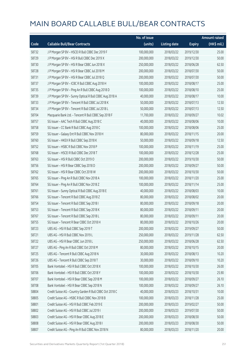|       |                                                          | No. of issue |                     |               | <b>Amount raised</b> |
|-------|----------------------------------------------------------|--------------|---------------------|---------------|----------------------|
| Code  | <b>Callable Bull/Bear Contracts</b>                      | (units)      | <b>Listing date</b> | <b>Expiry</b> | $(HK$$ mil.)         |
| 58732 | J P Morgan SP BV - HSCEI R Bull CBBC Dec 2019 F          | 100,000,000  | 2018/03/22          | 2019/12/30    | 25.00                |
| 58729 | JP Morgan SP BV - HSIR Bull CBBC Dec 2019 X              | 200,000,000  | 2018/03/22          | 2019/12/30    | 50.00                |
| 58730 | J P Morgan SP BV - HSI R Bear CBBC Jun 2018 X            | 250,000,000  | 2018/03/22          | 2018/06/28    | 62.50                |
| 58728 | J P Morgan SP BV - HSI R Bear CBBC Jul 2018 M            | 200,000,000  | 2018/03/22          | 2018/07/30    | 50.00                |
| 58731 | J P Morgan SP BV - HSI R Bear CBBC Jul 2018 Q            | 200,000,000  | 2018/03/22          | 2018/07/30    | 50.00                |
| 58737 | J P Morgan SP BV - ICBC R Bull CBBC Aug 2018 H           | 100,000,000  | 2018/03/22          | 2018/08/17    | 25.00                |
| 58735 | J P Morgan SP BV - Ping An R Bull CBBC Aug 2018 D        | 100,000,000  | 2018/03/22          | 2018/08/10    | 25.00                |
| 58739 | J P Morgan SP BV - Sunny Optical R Bull CBBC Aug 2018 A  | 40,000,000   | 2018/03/22          | 2018/08/17    | 10.00                |
| 58733 | J P Morgan SP BV - Tencent R Bull CBBC Jul 2018 K        | 50,000,000   | 2018/03/22          | 2018/07/13    | 12.50                |
| 58734 | J P Morgan SP BV - Tencent R Bull CBBC Jul 2018 L        | 50,000,000   | 2018/03/22          | 2018/07/13    | 12.50                |
| 58704 | Macquarie Bank Ltd. - Tencent R Bull CBBC Sep 2018 F     | 11,700,000   | 2018/03/22          | 2018/09/27    | 10.02                |
| 58757 | SG Issuer - AAC Tech R Bull CBBC Aug 2018 C              | 40,000,000   | 2018/03/22          | 2018/08/06    | 10.00                |
| 58758 | SG Issuer - CC Bank R Bull CBBC Aug 2018 C               | 100,000,000  | 2018/03/22          | 2018/08/06    | 25.00                |
| 58759 | SG Issuer - Galaxy Ent R Bull CBBC Nov 2018 H            | 80,000,000   | 2018/03/22          | 2018/11/15    | 20.00                |
| 58760 | SG Issuer - HKEX R Bull CBBC Sep 2018 K                  | 50,000,000   | 2018/03/22          | 2018/09/18    | 12.50                |
| 58752 | SG Issuer - HSBC R Bull CBBC Nov 2018 P                  | 100,000,000  | 2018/03/22          | 2018/11/19    | 25.00                |
| 58768 | SG Issuer - HSCEI R Bull CBBC Dec 2018 T                 | 100,000,000  | 2018/03/22          | 2018/12/28    | 25.00                |
| 58763 | SG Issuer - HSI R Bull CBBC Oct 2019 O                   | 200,000,000  | 2018/03/22          | 2019/10/30    | 50.00                |
| 58756 | SG Issuer - HSI R Bear CBBC Sep 2018 D                   | 200,000,000  | 2018/03/22          | 2018/09/27    | 50.00                |
| 58762 | SG Issuer - HSI R Bear CBBC Oct 2018 W                   | 200,000,000  | 2018/03/22          | 2018/10/30    | 50.00                |
| 58765 | SG Issuer - Ping An R Bull CBBC Nov 2018 A               | 100,000,000  | 2018/03/22          | 2018/11/20    | 25.00                |
| 58764 | SG Issuer - Ping An R Bull CBBC Nov 2018 Z               | 100,000,000  | 2018/03/22          | 2018/11/14    | 25.00                |
| 58761 | SG Issuer - Sunny Optical R Bull CBBC Aug 2018 E         | 40,000,000   | 2018/03/22          | 2018/08/03    | 10.00                |
| 58766 | SG Issuer - Tencent R Bull CBBC Aug 2018 Z               | 80,000,000   | 2018/03/22          | 2018/08/02    | 20.00                |
| 58754 | SG Issuer - Tencent R Bull CBBC Sep 2018 I               | 80,000,000   | 2018/03/22          | 2018/09/18    | 20.00                |
| 58753 | SG Issuer - Tencent R Bull CBBC Sep 2018 K               | 80,000,000   | 2018/03/22          | 2018/09/11    | 20.00                |
| 58767 | SG Issuer - Tencent R Bull CBBC Sep 2018 L               | 80,000,000   | 2018/03/22          | 2018/09/11    | 20.00                |
| 58755 | SG Issuer – Tencent R Bear CBBC Oct 2018 H               | 80,000,000   | 2018/03/22          | 2018/10/26    | 20.00                |
| 58723 | UBS AG - HSI R Bull CBBC Sep 2019 T                      | 200,000,000  | 2018/03/22          | 2019/09/27    | 50.00                |
| 58721 | UBS AG - HSI R Bull CBBC Nov 2019 L                      | 250,000,000  | 2018/03/22          | 2019/11/28    | 62.50                |
| 58722 | UBS AG - HSI R Bear CBBC Jun 2018 L                      | 250,000,000  | 2018/03/22          | 2018/06/28    | 62.50                |
| 58727 | UBS AG - Ping An R Bull CBBC Oct 2018 M                  | 80,000,000   | 2018/03/22          | 2018/10/15    | 20.00                |
| 58725 | UBS AG - Tencent R Bull CBBC Aug 2018 N                  | 30,000,000   | 2018/03/22          | 2018/08/13    | 10.20                |
| 58726 | UBS AG - Tencent R Bull CBBC Sep 2018 T                  | 30,000,000   | 2018/03/22          | 2018/09/10    | 10.20                |
| 58705 | Bank Vontobel - HSI R Bull CBBC Oct 2018 X               | 100,000,000  | 2018/03/22          | 2018/10/30    | 26.00                |
| 58706 | Bank Vontobel - HSI R Bull CBBC Oct 2018 Y               | 100,000,000  | 2018/03/22          | 2018/10/30    | 25.90                |
| 58707 | Bank Vontobel - HSI R Bear CBBC Sep 2018 M               | 100,000,000  | 2018/03/22          | 2018/09/27    | 26.10                |
| 58708 | Bank Vontobel - HSI R Bear CBBC Sep 2018 N               | 100,000,000  | 2018/03/22          | 2018/09/27    | 26.10                |
| 58804 | Credit Suisse AG - Country Garden R Bull CBBC Oct 2018 C | 40,000,000   | 2018/03/23          | 2018/10/31    | 10.00                |
| 58805 | Credit Suisse AG - HSBC R Bull CBBC Nov 2018 B           | 100,000,000  | 2018/03/23          | 2018/11/28    | 25.00                |
| 58801 | Credit Suisse AG - HSI R Bull CBBC Feb 2019 E            | 200,000,000  | 2018/03/23          | 2019/02/27    | 50.00                |
| 58802 | Credit Suisse AG - HSI R Bull CBBC Jul 2019 I            | 200,000,000  | 2018/03/23          | 2019/07/30    | 50.00                |
| 58803 | Credit Suisse AG - HSI R Bear CBBC Aug 2018 E            | 200,000,000  | 2018/03/23          | 2018/08/30    | 50.00                |
| 58808 | Credit Suisse AG - HSI R Bear CBBC Aug 2018 I            | 200,000,000  | 2018/03/23          | 2018/08/30    | 50.00                |
| 58807 | Credit Suisse AG - Ping An R Bull CBBC Nov 2018 N        | 80,000,000   | 2018/03/23          | 2018/11/20    | 20.00                |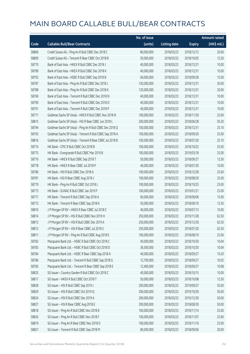|       |                                                          | No. of issue |                     |               | <b>Amount raised</b> |
|-------|----------------------------------------------------------|--------------|---------------------|---------------|----------------------|
| Code  | <b>Callable Bull/Bear Contracts</b>                      | (units)      | <b>Listing date</b> | <b>Expiry</b> | (HK\$ mil.)          |
| 58806 | Credit Suisse AG - Ping An R Bull CBBC Dec 2018 C        | 80,000,000   | 2018/03/23          | 2018/12/12    | 20.00                |
| 58809 | Credit Suisse AG - Tencent R Bear CBBC Oct 2018 B        | 50,000,000   | 2018/03/23          | 2018/10/05    | 12.50                |
| 58770 | Bank of East Asia - HKEX R Bull CBBC Dec 2018 J          | 40,000,000   | 2018/03/23          | 2018/12/31    | 10.00                |
| 58789 | Bank of East Asia - HKEX R Bull CBBC Dec 2018 K          | 40,000,000   | 2018/03/23          | 2018/12/31    | 10.00                |
| 58792 | Bank of East Asia - HSBC R Bull CBBC Sep 2018 B          | 60,000,000   | 2018/03/23          | 2018/09/28    | 15.00                |
| 58787 | Bank of East Asia - Ping An R Bull CBBC Dec 2018 J       | 120,000,000  | 2018/03/23          | 2018/12/31    | 30.00                |
| 58788 | Bank of East Asia - Ping An R Bull CBBC Dec 2018 K       | 120,000,000  | 2018/03/23          | 2018/12/31    | 30.00                |
| 58769 | Bank of East Asia - Tencent R Bull CBBC Dec 2018 N       | 40,000,000   | 2018/03/23          | 2018/12/31    | 10.00                |
| 58790 | Bank of East Asia - Tencent R Bull CBBC Dec 2018 O       | 40,000,000   | 2018/03/23          | 2018/12/31    | 10.00                |
| 58791 | Bank of East Asia - Tencent R Bull CBBC Dec 2018 P       | 40,000,000   | 2018/03/23          | 2018/12/31    | 10.00                |
| 58771 | Goldman Sachs SP (Asia) - HKEX R Bull CBBC Nov 2018 N    | 100,000,000  | 2018/03/23          | 2018/11/30    | 25.00                |
| 58815 | Goldman Sachs SP (Asia) - HSI R Bear CBBC Jun 2018 L     | 200,000,000  | 2018/03/23          | 2018/06/28    | 50.20                |
| 58794 | Goldman Sachs SP (Asia) - Ping An R Bull CBBC Dec 2018 Q | 100,000,000  | 2018/03/23          | 2018/12/31    | 25.10                |
| 58793 | Goldman Sachs SP (Asia) - Tencent R Bull CBBC Sep 2018 A | 100,000,000  | 2018/03/23          | 2018/09/20    | 25.00                |
| 58816 | Goldman Sachs SP (Asia) - Tencent R Bear CBBC Jul 2018 B | 100,000,000  | 2018/03/23          | 2018/07/20    | 25.10                |
| 58774 | HK Bank - CPIC R Bull CBBC Oct 2018 B                    | 100,000,000  | 2018/03/23          | 2018/10/22    | 25.00                |
| 58775 | HK Bank - Evergrande R Bull CBBC Mar 2019 B              | 100,000,000  | 2018/03/23          | 2019/03/18    | 25.00                |
| 58776 | HK Bank - HKEX R Bull CBBC Sep 2018 T                    | 50,000,000   | 2018/03/23          | 2018/09/27    | 12.50                |
| 58778 | HK Bank - HKEX R Bear CBBC Jul 2018 P                    | 40,000,000   | 2018/03/23          | 2018/07/30    | 10.00                |
| 58780 | HK Bank - HSI R Bull CBBC Dec 2018 A                     | 100,000,000  | 2018/03/23          | 2018/12/28    | 25.00                |
| 58781 | HK Bank - HSI R Bear CBBC Aug 2018 J                     | 100,000,000  | 2018/03/23          | 2018/08/30    | 25.00                |
| 58779 | HK Bank - Ping An R Bull CBBC Oct 2018 L                 | 100,000,000  | 2018/03/23          | 2018/10/25    | 25.00                |
| 58773 | HK Bank - SUNAC R Bull CBBC Jan 2019 F                   | 100,000,000  | 2018/03/23          | 2019/01/21    | 25.00                |
| 58777 | HK Bank - Tencent R Bull CBBC Sep 2018 A                 | 60,000,000   | 2018/03/23          | 2018/09/06    | 15.00                |
| 58772 | HK Bank - Tencent R Bear CBBC Sep 2018 K                 | 50,000,000   | 2018/03/23          | 2018/09/10    | 12.50                |
| 58810 | J P Morgan SP BV - HKEX R Bear CBBC Jul 2018 C           | 40,000,000   | 2018/03/23          | 2018/07/13    | 10.00                |
| 58814 | J P Morgan SP BV - HSI R Bull CBBC Nov 2019 H            | 250,000,000  | 2018/03/23          | 2019/11/28    | 62.50                |
| 58813 | J P Morgan SP BV - HSI R Bull CBBC Dec 2019 A            | 250,000,000  | 2018/03/23          | 2019/12/30    | 62.50                |
| 58812 | J P Morgan SP BV - HSI R Bear CBBC Jul 2018 S            | 250,000,000  | 2018/03/23          | 2018/07/30    | 62.50                |
| 58811 | J P Morgan SP BV - Ping An R Bull CBBC Aug 2018 E        | 100,000,000  | 2018/03/23          | 2018/08/10    | 25.00                |
| 58782 | Macquarie Bank Ltd. - HSBC R Bull CBBC Oct 2018 C        | 40,000,000   | 2018/03/23          | 2018/10/30    | 10.04                |
| 58783 | Macquarie Bank Ltd. - HSBC R Bull CBBC Oct 2018 D        | 36,500,000   | 2018/03/23          | 2018/10/30    | 10.04                |
| 58784 | Macquarie Bank Ltd. - HSBC R Bear CBBC Sep 2018 A        | 40,000,000   | 2018/03/23          | 2018/09/27    | 10.20                |
| 58786 | Macquarie Bank Ltd. - Tencent R Bull CBBC Sep 2018 G     | 12,700,000   | 2018/03/23          | 2018/09/27    | 10.02                |
| 58785 | Macquarie Bank Ltd. - Tencent R Bear CBBC Sep 2018 E     | 12,400,000   | 2018/03/23          | 2018/09/27    | 10.08                |
| 58825 | SG Issuer - Country Garden R Bull CBBC Oct 2018 C        | 40,000,000   | 2018/03/23          | 2018/10/15    | 10.00                |
| 58817 | SG Issuer - HKEX R Bull CBBC Oct 2018 T                  | 50,000,000   | 2018/03/23          | 2018/10/08    | 12.50                |
| 58828 | SG Issuer - HSI R Bull CBBC Sep 2019 J                   | 200,000,000  | 2018/03/23          | 2019/09/27    | 50.00                |
| 58829 | SG Issuer - HSI R Bull CBBC Oct 2019 Q                   | 200,000,000  | 2018/03/23          | 2019/10/30    | 50.00                |
| 58824 | SG Issuer - HSI R Bull CBBC Dec 2019 A                   | 200,000,000  | 2018/03/23          | 2019/12/30    | 50.00                |
| 58827 | SG Issuer - HSI R Bear CBBC Aug 2018 E                   | 200,000,000  | 2018/03/23          | 2018/08/30    | 50.00                |
| 58818 | SG Issuer - Ping An R Bull CBBC Nov 2018 B               | 100,000,000  | 2018/03/23          | 2018/11/14    | 25.00                |
| 58826 | SG Issuer - Ping An R Bull CBBC Nov 2018 F               | 100,000,000  | 2018/03/23          | 2018/11/07    | 25.00                |
| 58819 | SG Issuer - Ping An R Bear CBBC Nov 2018 D               | 100,000,000  | 2018/03/23          | 2018/11/16    | 25.00                |
| 58821 | SG Issuer - Tencent R Bull CBBC Sep 2018 M               | 80,000,000   | 2018/03/23          | 2018/09/06    | 20.00                |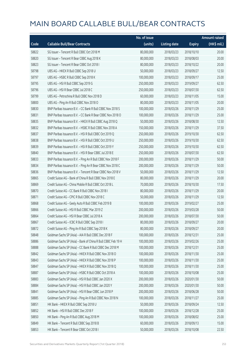|       |                                                              | No. of issue |                     |               | <b>Amount raised</b>  |
|-------|--------------------------------------------------------------|--------------|---------------------|---------------|-----------------------|
| Code  | <b>Callable Bull/Bear Contracts</b>                          | (units)      | <b>Listing date</b> | <b>Expiry</b> | $(HK\frac{1}{2}mil.)$ |
| 58822 | SG Issuer - Tencent R Bull CBBC Oct 2018 M                   | 80,000,000   | 2018/03/23          | 2018/10/10    | 20.00                 |
| 58820 | SG Issuer - Tencent R Bear CBBC Aug 2018 K                   | 80,000,000   | 2018/03/23          | 2018/08/03    | 20.00                 |
| 58823 | SG Issuer - Tencent R Bear CBBC Oct 2018 I                   | 80,000,000   | 2018/03/23          | 2018/10/22    | 20.00                 |
| 58798 | UBS AG - HKEX R Bull CBBC Sep 2018 U                         | 50,000,000   | 2018/03/23          | 2018/09/27    | 12.50                 |
| 58797 | UBS AG - HSBC R Bull CBBC Sep 2018 K                         | 100,000,000  | 2018/03/23          | 2018/09/17    | 25.00                 |
| 58795 | UBS AG - HSI R Bull CBBC Sep 2019 G                          | 250,000,000  | 2018/03/23          | 2019/09/27    | 62.50                 |
| 58796 | UBS AG - HSI R Bear CBBC Jul 2018 C                          | 250,000,000  | 2018/03/23          | 2018/07/30    | 62.50                 |
| 58799 | UBS AG - Petrochina R Bull CBBC Nov 2018 D                   | 60,000,000   | 2018/03/23          | 2018/11/05    | 15.00                 |
| 58800 | UBS AG - Ping An R Bull CBBC Nov 2018 O                      | 80,000,000   | 2018/03/23          | 2018/11/05    | 20.00                 |
| 58830 | BNP Paribas Issuance B.V. - CC Bank R Bull CBBC Nov 2018 S   | 100,000,000  | 2018/03/26          | 2018/11/29    | 25.00                 |
| 58831 | BNP Paribas Issuance B.V. - CC Bank R Bear CBBC Nov 2018 O   | 100,000,000  | 2018/03/26          | 2018/11/29    | 25.00                 |
| 58835 | BNP Paribas Issuance B.V. - HKEX R Bull CBBC Aug 2018 Q      | 50,000,000   | 2018/03/26          | 2018/08/30    | 12.50                 |
| 58832 | BNP Paribas Issuance B.V. - HSBC R Bull CBBC Nov 2018 A      | 150,000,000  | 2018/03/26          | 2018/11/29    | 37.50                 |
| 58837 | BNP Paribas Issuance B.V. - HSI R Bull CBBC Oct 2019 Q       | 250,000,000  | 2018/03/26          | 2019/10/30    | 62.50                 |
| 58838 | BNP Paribas Issuance B.V. - HSI R Bull CBBC Oct 2019 U       | 250,000,000  | 2018/03/26          | 2019/10/30    | 62.50                 |
| 58839 | BNP Paribas Issuance B.V. - HSI R Bull CBBC Oct 2019 Y       | 250,000,000  | 2018/03/26          | 2019/10/30    | 62.50                 |
| 58840 | BNP Paribas Issuance B.V. - HSI R Bear CBBC Jul 2018 E       | 250,000,000  | 2018/03/26          | 2018/07/30    | 62.50                 |
| 58833 | BNP Paribas Issuance B.V. - Ping An R Bull CBBC Nov 2018 F   | 200,000,000  | 2018/03/26          | 2018/11/29    | 50.00                 |
| 58834 | BNP Paribas Issuance B.V. - Ping An R Bear CBBC Nov 2018 C   | 200,000,000  | 2018/03/26          | 2018/11/29    | 50.00                 |
| 58836 | BNP Paribas Issuance B.V. - Tencent R Bear CBBC Nov 2018 V   | 50,000,000   | 2018/03/26          | 2018/11/29    | 12.50                 |
| 58865 | Credit Suisse AG - Bank of China R Bull CBBC Nov 2018 E      | 80,000,000   | 2018/03/26          | 2018/11/29    | 20.00                 |
| 58869 | Credit Suisse AG - China Mobile R Bull CBBC Oct 2018 L       | 70,000,000   | 2018/03/26          | 2018/10/30    | 17.50                 |
| 58870 | Credit Suisse AG - CC Bank R Bull CBBC Nov 2018 I            | 80,000,000   | 2018/03/26          | 2018/11/29    | 20.00                 |
| 58871 | Credit Suisse AG - CPIC R Bull CBBC Nov 2018 C               | 50,000,000   | 2018/03/26          | 2018/11/29    | 12.50                 |
| 58868 | Credit Suisse AG - Geely Auto R Bull CBBC Feb 2019 B         | 100,000,000  | 2018/03/26          | 2019/02/27    | 25.00                 |
| 58866 | Credit Suisse AG - HSI R Bull CBBC Mar 2019 Z                | 200,000,000  | 2018/03/26          | 2019/03/28    | 50.00                 |
| 58864 | Credit Suisse AG - HSI R Bear CBBC Jul 2018 A                | 200,000,000  | 2018/03/26          | 2018/07/30    | 50.00                 |
| 58867 | Credit Suisse AG - ICBC R Bull CBBC Sep 2018 I               | 80,000,000   | 2018/03/26          | 2018/09/27    | 20.00                 |
| 58872 | Credit Suisse AG - Ping An R Bull CBBC Sep 2018 K            | 80,000,000   | 2018/03/26          | 2018/09/27    | 20.00                 |
| 58848 | Goldman Sachs SP (Asia) - AIA R Bull CBBC Dec 2018 F         | 100,000,000  | 2018/03/26          | 2018/12/31    | 25.00                 |
| 58886 | Goldman Sachs SP (Asia) - Bank of China R Bull CBBC Feb 19 H | 100,000,000  | 2018/03/26          | 2019/02/26    | 25.00                 |
| 58888 | Goldman Sachs SP (Asia) - CC Bank R Bull CBBC Dec 2018 M     | 100,000,000  | 2018/03/26          | 2018/12/31    | 25.00                 |
| 58842 | Goldman Sachs SP (Asia) - HKEX R Bull CBBC Nov 2018 O        | 100,000,000  | 2018/03/26          | 2018/11/30    | 25.00                 |
| 58843 | Goldman Sachs SP (Asia) - HKEX R Bull CBBC Nov 2018 P        | 100,000,000  | 2018/03/26          | 2018/11/30    | 25.00                 |
| 58847 | Goldman Sachs SP (Asia) - HKEX R Bull CBBC Nov 2018 Q        | 100,000,000  | 2018/03/26          | 2018/11/30    | 25.00                 |
| 58887 | Goldman Sachs SP (Asia) - HSBC R Bull CBBC Oct 2018 A        | 100,000,000  | 2018/03/26          | 2018/10/08    | 25.00                 |
| 58883 | Goldman Sachs SP (Asia) - HSI R Bull CBBC Jan 2020 X         | 200,000,000  | 2018/03/26          | 2020/01/30    | 50.00                 |
| 58884 | Goldman Sachs SP (Asia) - HSI R Bull CBBC Jan 2020 Y         | 200,000,000  | 2018/03/26          | 2020/01/30    | 50.00                 |
| 58841 | Goldman Sachs SP (Asia) - HSI R Bear CBBC Jun 2018 P         | 200,000,000  | 2018/03/26          | 2018/06/28    | 50.00                 |
| 58885 | Goldman Sachs SP (Asia) - Ping An R Bull CBBC Nov 2018 N     | 100,000,000  | 2018/03/26          | 2018/11/27    | 25.00                 |
| 58851 | HK Bank - HKEX R Bull CBBC Sep 2018 U                        | 50,000,000   | 2018/03/26          | 2018/09/24    | 12.50                 |
| 58852 | HK Bank - HSI R Bull CBBC Dec 2018 F                         | 100,000,000  | 2018/03/26          | 2018/12/28    | 25.00                 |
| 58850 | HK Bank - Ping An R Bull CBBC Aug 2018 M                     | 100,000,000  | 2018/03/26          | 2018/08/02    | 25.00                 |
| 58849 | HK Bank - Tencent R Bull CBBC Sep 2018 B                     | 60,000,000   | 2018/03/26          | 2018/09/13    | 15.00                 |
| 58853 | HK Bank - Tencent R Bear CBBC Oct 2018 I                     | 50,000,000   | 2018/03/26          | 2018/10/08    | 22.50                 |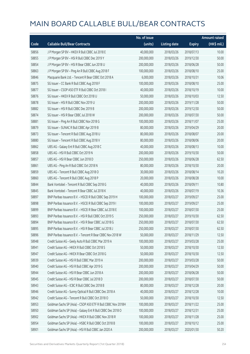|       |                                                              | No. of issue |                     |               | <b>Amount raised</b>  |
|-------|--------------------------------------------------------------|--------------|---------------------|---------------|-----------------------|
| Code  | <b>Callable Bull/Bear Contracts</b>                          | (units)      | <b>Listing date</b> | <b>Expiry</b> | $(HK\frac{1}{2}mil.)$ |
| 58856 | J P Morgan SP BV - HKEX R Bull CBBC Jul 2018 E               | 40,000,000   | 2018/03/26          | 2018/07/13    | 10.00                 |
| 58855 | J P Morgan SP BV - HSI R Bull CBBC Dec 2019 Y                | 200,000,000  | 2018/03/26          | 2019/12/30    | 50.00                 |
| 58854 | J P Morgan SP BV - HSI R Bear CBBC Jun 2018 U                | 200,000,000  | 2018/03/26          | 2018/06/28    | 50.00                 |
| 58863 | J P Morgan SP BV - Ping An R Bull CBBC Aug 2018 F            | 100,000,000  | 2018/03/26          | 2018/08/10    | 25.00                 |
| 58846 | Macquarie Bank Ltd. - Tencent R Bear CBBC Oct 2018 A         | 6,000,000    | 2018/03/26          | 2018/10/31    | 10.06                 |
| 58875 | SG Issuer - CC Bank R Bull CBBC Aug 2018 F                   | 100,000,000  | 2018/03/26          | 2018/08/10    | 25.00                 |
| 58877 | SG Issuer - CSOP A50 ETF R Bull CBBC Oct 2018 I              | 40,000,000   | 2018/03/26          | 2018/10/19    | 10.00                 |
| 58876 | SG Issuer - HKEX R Bull CBBC Oct 2018 U                      | 50,000,000   | 2018/03/26          | 2018/10/03    | 12.50                 |
| 58878 | SG Issuer - HSI R Bull CBBC Nov 2019 U                       | 200,000,000  | 2018/03/26          | 2019/11/28    | 50.00                 |
| 58882 | SG Issuer - HSI R Bull CBBC Dec 2019 B                       | 200,000,000  | 2018/03/26          | 2019/12/30    | 50.00                 |
| 58874 | SG Issuer - HSI R Bear CBBC Jul 2018 W                       | 200,000,000  | 2018/03/26          | 2018/07/30    | 50.00                 |
| 58881 | SG Issuer - Ping An R Bull CBBC Nov 2018 G                   | 100,000,000  | 2018/03/26          | 2018/11/07    | 25.00                 |
| 58879 | SG Issuer - SUNAC R Bull CBBC Apr 2019 B                     | 80,000,000   | 2018/03/26          | 2019/04/29    | 20.00                 |
| 58873 | SG Issuer - Tencent R Bull CBBC Aug 2018 U                   | 80,000,000   | 2018/03/26          | 2018/08/07    | 20.00                 |
| 58880 | SG Issuer - Tencent R Bull CBBC Aug 2018 V                   | 80,000,000   | 2018/03/26          | 2018/08/06    | 20.00                 |
| 58862 | UBS AG - Galaxy Ent R Bull CBBC Aug 2018 C                   | 40,000,000   | 2018/03/26          | 2018/08/13    | 10.00                 |
| 58858 | UBS AG - HSI R Bull CBBC Oct 2019 N                          | 200,000,000  | 2018/03/26          | 2019/10/30    | 50.00                 |
| 58857 | UBS AG - HSI R Bear CBBC Jun 2018 D                          | 250,000,000  | 2018/03/26          | 2018/06/28    | 62.50                 |
| 58861 | UBS AG - Ping An R Bull CBBC Oct 2018 N                      | 80,000,000   | 2018/03/26          | 2018/10/30    | 20.00                 |
| 58859 | UBS AG - Tencent R Bull CBBC Aug 2018 O                      | 30,000,000   | 2018/03/26          | 2018/08/14    | 10.20                 |
| 58860 | UBS AG - Tencent R Bull CBBC Aug 2018 P                      | 20,000,000   | 2018/03/26          | 2018/08/28    | 10.00                 |
| 58844 | Bank Vontobel - Tencent R Bull CBBC Sep 2018 G               | 40,000,000   | 2018/03/26          | 2018/09/11    | 10.80                 |
| 58845 | Bank Vontobel - Tencent R Bear CBBC Jul 2018 K               | 40,000,000   | 2018/03/26          | 2018/07/19    | 10.36                 |
| 58897 | BNP Paribas Issuance B.V. - HSCEI R Bull CBBC Sep 2019 H     | 100,000,000  | 2018/03/27          | 2019/09/27    | 25.00                 |
| 58898 | BNP Paribas Issuance B.V. - HSCEI R Bull CBBC Sep 2019 I     | 100,000,000  | 2018/03/27          | 2019/09/27    | 25.00                 |
| 58899 | BNP Paribas Issuance B.V. - HSCEI R Bear CBBC Jul 2018 E     | 100,000,000  | 2018/03/27          | 2018/07/30    | 25.00                 |
| 58893 | BNP Paribas Issuance B.V. - HSI R Bull CBBC Oct 2019 S       | 250,000,000  | 2018/03/27          | 2019/10/30    | 62.50                 |
| 58894 | BNP Paribas Issuance B.V. - HSI R Bear CBBC Jul 2018 G       | 250,000,000  | 2018/03/27          | 2018/07/30    | 62.50                 |
| 58895 | BNP Paribas Issuance B.V. - HSI R Bear CBBC Jul 2018 J       | 250,000,000  | 2018/03/27          | 2018/07/30    | 62.50                 |
| 58896 | BNP Paribas Issuance B.V. - Tencent R Bear CBBC Nov 2018 W   | 50,000,000   | 2018/03/27          | 2018/11/29    | 12.50                 |
| 58948 | Credit Suisse AG - Geely Auto R Bull CBBC Mar 2019 A         | 100,000,000  | 2018/03/27          | 2019/03/28    | 25.00                 |
| 58941 | Credit Suisse AG - HKEX R Bull CBBC Oct 2018 S               | 50,000,000   | 2018/03/27          | 2018/10/30    | 12.50                 |
| 58947 | Credit Suisse AG - HKEX R Bear CBBC Oct 2018 G               | 50,000,000   | 2018/03/27          | 2018/10/30    | 12.50                 |
| 58939 | Credit Suisse AG - HSI R Bull CBBC Mar 2019 A                | 200,000,000  | 2018/03/27          | 2019/03/28    | 50.00                 |
| 58940 | Credit Suisse AG - HSI R Bull CBBC Apr 2019 G                | 200,000,000  | 2018/03/27          | 2019/04/29    | 50.00                 |
| 58944 | Credit Suisse AG - HSI R Bear CBBC Jun 2018 A                | 200,000,000  | 2018/03/27          | 2018/06/28    | 50.00                 |
| 58945 | Credit Suisse AG - HSI R Bear CBBC Jul 2018 D                | 200,000,000  | 2018/03/27          | 2018/07/30    | 50.00                 |
| 58943 | Credit Suisse AG - ICBC R Bull CBBC Dec 2018 B               | 80,000,000   | 2018/03/27          | 2018/12/28    | 20.00                 |
| 58946 | Credit Suisse AG - Sunny Optical R Bull CBBC Dec 2018 A      | 40,000,000   | 2018/03/27          | 2018/12/28    | 10.00                 |
| 58942 | Credit Suisse AG - Tencent R Bull CBBC Oct 2018 O            | 50,000,000   | 2018/03/27          | 2018/10/30    | 12.50                 |
| 58953 | Goldman Sachs SP (Asia) - CSOP A50 ETF R Bull CBBC Nov 2018H | 100,000,000  | 2018/03/27          | 2018/11/22    | 25.00                 |
| 58950 | Goldman Sachs SP (Asia) - Galaxy Ent R Bull CBBC Dec 2018 O  | 100,000,000  | 2018/03/27          | 2018/12/31    | 25.00                 |
| 58902 | Goldman Sachs SP (Asia) - HKEX R Bull CBBC Nov 2018 R        | 100,000,000  | 2018/03/27          | 2018/11/28    | 25.00                 |
| 58954 | Goldman Sachs SP (Asia) - HSBC R Bull CBBC Oct 2018 B        | 100,000,000  | 2018/03/27          | 2018/10/12    | 25.00                 |
| 58901 | Goldman Sachs SP (Asia) - HSI R Bull CBBC Jan 2020 A         | 200,000,000  | 2018/03/27          | 2020/01/30    | 50.20                 |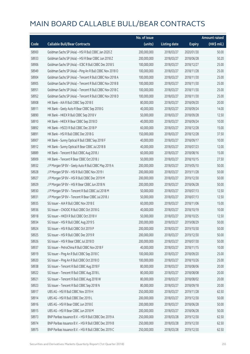|       |                                                          | No. of issue |                     |               | <b>Amount raised</b>  |
|-------|----------------------------------------------------------|--------------|---------------------|---------------|-----------------------|
| Code  | <b>Callable Bull/Bear Contracts</b>                      | (units)      | <b>Listing date</b> | <b>Expiry</b> | $(HK\frac{1}{2}mil.)$ |
| 58900 | Goldman Sachs SP (Asia) - HSI R Bull CBBC Jan 2020 Z     | 200,000,000  | 2018/03/27          | 2020/01/30    | 50.00                 |
| 58933 | Goldman Sachs SP (Asia) - HSI R Bear CBBC Jun 2018 Z     | 200,000,000  | 2018/03/27          | 2018/06/28    | 50.20                 |
| 58906 | Goldman Sachs SP (Asia) - ICBC R Bull CBBC Dec 2018 S    | 100,000,000  | 2018/03/27          | 2018/12/27    | 25.00                 |
| 58949 | Goldman Sachs SP (Asia) - Ping An R Bull CBBC Nov 2018 O | 100,000,000  | 2018/03/27          | 2018/11/28    | 25.00                 |
| 58904 | Goldman Sachs SP (Asia) - Tencent R Bull CBBC Nov 2018 A | 100,000,000  | 2018/03/27          | 2018/11/30    | 25.00                 |
| 58905 | Goldman Sachs SP (Asia) - Tencent R Bull CBBC Nov 2018 B | 100,000,000  | 2018/03/27          | 2018/11/30    | 25.00                 |
| 58951 | Goldman Sachs SP (Asia) - Tencent R Bull CBBC Nov 2018 C | 100,000,000  | 2018/03/27          | 2018/11/30    | 25.00                 |
| 58952 | Goldman Sachs SP (Asia) - Tencent R Bull CBBC Nov 2018 D | 100,000,000  | 2018/03/27          | 2018/11/30    | 25.00                 |
| 58908 | HK Bank - AIA R Bull CBBC Sep 2018 E                     | 80,000,000   | 2018/03/27          | 2018/09/20    | 20.00                 |
| 58911 | HK Bank - Geely Auto R Bear CBBC Sep 2018 G              | 40,000,000   | 2018/03/27          | 2018/09/24    | 14.00                 |
| 58890 | HK Bank - HKEX R Bull CBBC Sep 2018 V                    | 50,000,000   | 2018/03/27          | 2018/09/28    | 12.50                 |
| 58910 | HK Bank - HKEX R Bear CBBC Sep 2018 D                    | 40,000,000   | 2018/03/27          | 2018/09/24    | 10.00                 |
| 58892 | HK Bank - HSCEI R Bull CBBC Dec 2018 P                   | 60,000,000   | 2018/03/27          | 2018/12/28    | 15.00                 |
| 58891 | HK Bank - HSI R Bull CBBC Dec 2018 G                     | 150,000,000  | 2018/03/27          | 2018/12/28    | 37.50                 |
| 58907 | HK Bank - Sunny Optical R Bull CBBC Sep 2018 F           | 40,000,000   | 2018/03/27          | 2018/09/17    | 10.00                 |
| 58912 | HK Bank - Sunny Optical R Bear CBBC Jul 2018 B           | 40,000,000   | 2018/03/27          | 2018/07/23    | 12.00                 |
| 58889 | HK Bank - Tencent R Bull CBBC Aug 2018 J                 | 60,000,000   | 2018/03/27          | 2018/08/16    | 15.00                 |
| 58909 | HK Bank - Tencent R Bear CBBC Oct 2018 J                 | 50,000,000   | 2018/03/27          | 2018/10/15    | 27.50                 |
| 58932 | J P Morgan SP BV - Geely Auto R Bull CBBC May 2019 A     | 200,000,000  | 2018/03/27          | 2019/05/10    | 50.00                 |
| 58928 | J P Morgan SP BV - HSI R Bull CBBC Nov 2019 I            | 200,000,000  | 2018/03/27          | 2019/11/28    | 50.00                 |
| 58927 | J P Morgan SP BV - HSI R Bull CBBC Dec 2019 M            | 200,000,000  | 2018/03/27          | 2019/12/30    | 50.00                 |
| 58929 | J P Morgan SP BV - HSI R Bear CBBC Jun 2018 N            | 200,000,000  | 2018/03/27          | 2018/06/28    | 50.00                 |
| 58930 | J P Morgan SP BV - Tencent R Bull CBBC Jul 2018 M        | 50,000,000   | 2018/03/27          | 2018/07/13    | 12.50                 |
| 58931 | J P Morgan SP BV - Tencent R Bear CBBC Jul 2018 J        | 50,000,000   | 2018/03/27          | 2018/07/13    | 12.50                 |
| 58935 | SG Issuer - AIA R Bull CBBC Nov 2018 E                   | 60,000,000   | 2018/03/27          | 2018/11/06    | 15.00                 |
| 58936 | SG Issuer - CNOOC R Bull CBBC Oct 2018 G                 | 40,000,000   | 2018/03/27          | 2018/10/19    | 10.00                 |
| 58918 | SG Issuer - HKEX R Bull CBBC Oct 2018 V                  | 50,000,000   | 2018/03/27          | 2018/10/25    | 12.50                 |
| 58934 | SG Issuer - HSI R Bull CBBC Aug 2019 S                   | 200,000,000  | 2018/03/27          | 2019/08/29    | 50.00                 |
| 58924 | SG Issuer - HSI R Bull CBBC Oct 2019 P                   | 200,000,000  | 2018/03/27          | 2019/10/30    | 50.00                 |
| 58925 | SG Issuer - HSI R Bull CBBC Dec 2019 R                   | 200,000,000  | 2018/03/27          | 2019/12/30    | 50.00                 |
| 58926 | SG Issuer - HSI R Bear CBBC Jul 2018 D                   | 200,000,000  | 2018/03/27          | 2018/07/30    | 50.00                 |
| 58937 | SG Issuer - PetroChina R Bull CBBC Nov 2018 F            | 40,000,000   | 2018/03/27          | 2018/11/15    | 10.00                 |
| 58919 | SG Issuer - Ping An R Bull CBBC Sep 2018 C               | 100,000,000  | 2018/03/27          | 2018/09/20    | 25.00                 |
| 58920 | SG Issuer - Ping An R Bull CBBC Oct 2018 O               | 100,000,000  | 2018/03/27          | 2018/10/26    | 25.00                 |
| 58938 | SG Issuer - Tencent R Bull CBBC Aug 2018 F               | 80,000,000   | 2018/03/27          | 2018/08/06    | 20.00                 |
| 58922 | SG Issuer - Tencent R Bull CBBC Aug 2018 L               | 80,000,000   | 2018/03/27          | 2018/08/08    | 20.00                 |
| 58921 | SG Issuer - Tencent R Bull CBBC Aug 2018 W               | 80,000,000   | 2018/03/27          | 2018/08/02    | 20.00                 |
| 58923 | SG Issuer - Tencent R Bull CBBC Sep 2018 N               | 80,000,000   | 2018/03/27          | 2018/09/18    | 20.00                 |
| 58917 | UBS AG - HSI R Bull CBBC Nov 2019 H                      | 250,000,000  | 2018/03/27          | 2019/11/28    | 62.50                 |
| 58914 | UBS AG - HSI R Bull CBBC Dec 2019 L                      | 200,000,000  | 2018/03/27          | 2019/12/30    | 50.00                 |
| 58916 | UBS AG - HSI R Bear CBBC Jun 2018 E                      | 200,000,000  | 2018/03/27          | 2018/06/28    | 50.00                 |
| 58915 | UBS AG - HSI R Bear CBBC Jun 2018 M                      | 200,000,000  | 2018/03/27          | 2018/06/28    | 50.00                 |
| 58973 | BNP Paribas Issuance B.V. - HSI R Bull CBBC Dec 2019 A   | 250,000,000  | 2018/03/28          | 2019/12/30    | 62.50                 |
| 58974 | BNP Paribas Issuance B.V. - HSI R Bull CBBC Dec 2019 B   | 250,000,000  | 2018/03/28          | 2019/12/30    | 62.50                 |
| 58975 | BNP Paribas Issuance B.V. - HSI R Bull CBBC Dec 2019 C   | 250,000,000  | 2018/03/28          | 2019/12/30    | 62.50                 |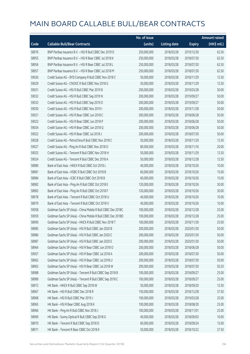|       |                                                              | No. of issue |                     |               | <b>Amount raised</b>  |
|-------|--------------------------------------------------------------|--------------|---------------------|---------------|-----------------------|
| Code  | <b>Callable Bull/Bear Contracts</b>                          | (units)      | <b>Listing date</b> | <b>Expiry</b> | $(HK\frac{1}{2}mil.)$ |
| 58976 | BNP Paribas Issuance B.V. - HSI R Bull CBBC Dec 2019 D       | 250,000,000  | 2018/03/28          | 2019/12/30    | 62.50                 |
| 58955 | BNP Paribas Issuance B.V. - HSI R Bear CBBC Jul 2018 K       | 250,000,000  | 2018/03/28          | 2018/07/30    | 62.50                 |
| 58956 | BNP Paribas Issuance B.V. - HSI R Bear CBBC Jul 2018 L       | 250,000,000  | 2018/03/28          | 2018/07/30    | 62.50                 |
| 58957 | BNP Paribas Issuance B.V. - HSI R Bear CBBC Jul 2018 M       | 250,000,000  | 2018/03/28          | 2018/07/30    | 62.50                 |
| 59026 | Credit Suisse AG - BYD Company R Bull CBBC Nov 2018 C        | 50,000,000   | 2018/03/28          | 2018/11/29    | 12.50                 |
| 59029 | Credit Suisse AG - CNOOC R Bull CBBC Nov 2018 G              | 50,000,000   | 2018/03/28          | 2018/11/29    | 12.50                 |
| 59031 | Credit Suisse AG - HSI R Bull CBBC Mar 2019 B                | 200,000,000  | 2018/03/28          | 2019/03/28    | 50.00                 |
| 59032 | Credit Suisse AG - HSI R Bull CBBC Sep 2019 N                | 200,000,000  | 2018/03/28          | 2019/09/27    | 50.00                 |
| 59033 | Credit Suisse AG - HSI R Bull CBBC Sep 2019 O                | 200,000,000  | 2018/03/28          | 2019/09/27    | 50.00                 |
| 59030 | Credit Suisse AG - HSI R Bull CBBC Nov 2019 I                | 200,000,000  | 2018/03/28          | 2019/11/28    | 50.00                 |
| 59021 | Credit Suisse AG - HSI R Bear CBBC Jun 2018 C                | 200,000,000  | 2018/03/28          | 2018/06/28    | 50.00                 |
| 59023 | Credit Suisse AG - HSI R Bear CBBC Jun 2018 P                | 200,000,000  | 2018/03/28          | 2018/06/28    | 50.00                 |
| 59034 | Credit Suisse AG - HSI R Bear CBBC Jun 2018 Q                | 200,000,000  | 2018/03/28          | 2018/06/28    | 50.00                 |
| 59022 | Credit Suisse AG - HSI R Bear CBBC Jul 2018 J                | 200,000,000  | 2018/03/28          | 2018/07/30    | 50.00                 |
| 59028 | Credit Suisse AG - PetroChina R Bull CBBC Nov 2018 C         | 50,000,000   | 2018/03/28          | 2018/11/29    | 12.50                 |
| 59027 | Credit Suisse AG - Ping An R Bull CBBC Nov 2018 O            | 80,000,000   | 2018/03/28          | 2018/11/16    | 20.00                 |
| 59025 | Credit Suisse AG - Tencent R Bull CBBC Nov 2018 H            | 50,000,000   | 2018/03/28          | 2018/11/29    | 12.50                 |
| 59024 | Credit Suisse AG - Tencent R Bull CBBC Dec 2018 A            | 50,000,000   | 2018/03/28          | 2018/12/28    | 12.50                 |
| 58980 | Bank of East Asia - HKEX R Bull CBBC Oct 2018 L              | 40,000,000   | 2018/03/28          | 2018/10/26    | 10.00                 |
| 58981 | Bank of East Asia - HSBC R Bull CBBC Oct 2018 B              | 60,000,000   | 2018/03/28          | 2018/10/26    | 15.00                 |
| 58984 | Bank of East Asia - ICBC R Bull CBBC Oct 2018 B              | 60,000,000   | 2018/03/28          | 2018/10/26    | 15.00                 |
| 58982 | Bank of East Asia - Ping An R Bull CBBC Oct 2018 E           | 120,000,000  | 2018/03/28          | 2018/10/26    | 30.00                 |
| 58983 | Bank of East Asia - Ping An R Bull CBBC Oct 2018 F           | 120,000,000  | 2018/03/28          | 2018/10/26    | 30.00                 |
| 58978 | Bank of East Asia - Tencent R Bull CBBC Oct 2018 U           | 40,000,000   | 2018/03/28          | 2018/10/26    | 10.00                 |
| 58979 | Bank of East Asia - Tencent R Bull CBBC Oct 2018 V           | 40,000,000   | 2018/03/28          | 2018/10/26    | 10.00                 |
| 59058 | Goldman Sachs SP (Asia) - China Mobile R Bull CBBC Dec 2018C | 100,000,000  | 2018/03/28          | 2018/12/28    | 25.00                 |
| 59059 | Goldman Sachs SP (Asia) - China Mobile R Bull CBBC Dec 2018D | 100,000,000  | 2018/03/28          | 2018/12/28    | 25.00                 |
| 58990 | Goldman Sachs SP (Asia) - HKEX R Bull CBBC Nov 2018 T        | 100,000,000  | 2018/03/28          | 2018/11/30    | 25.00                 |
| 58985 | Goldman Sachs SP (Asia) - HSI R Bull CBBC Jan 2020 B         | 200,000,000  | 2018/03/28          | 2020/01/30    | 50.00                 |
| 58986 | Goldman Sachs SP (Asia) - HSI R Bull CBBC Jan 2020 C         | 200,000,000  | 2018/03/28          | 2020/01/30    | 50.00                 |
| 58987 | Goldman Sachs SP (Asia) - HSI R Bull CBBC Jan 2020 E         | 200,000,000  | 2018/03/28          | 2020/01/30    | 50.00                 |
| 58964 | Goldman Sachs SP (Asia) - HSI R Bear CBBC Jun 2018 O         | 200,000,000  | 2018/03/28          | 2018/06/28    | 50.00                 |
| 59057 | Goldman Sachs SP (Asia) - HSI R Bear CBBC Jul 2018 A         | 200,000,000  | 2018/03/28          | 2018/07/30    | 50.00                 |
| 58962 | Goldman Sachs SP (Asia) - HSI R Bear CBBC Jul 2018 U         | 200,000,000  | 2018/03/28          | 2018/07/30    | 50.00                 |
| 58963 | Goldman Sachs SP (Asia) - HSI R Bear CBBC Jul 2018 W         | 200,000,000  | 2018/03/28          | 2018/07/30    | 50.20                 |
| 58988 | Goldman Sachs SP (Asia) - Tencent R Bull CBBC Sep 2018 B     | 100,000,000  | 2018/03/28          | 2018/09/27    | 25.00                 |
| 58989 | Goldman Sachs SP (Asia) - Tencent R Bull CBBC Sep 2018 C     | 100,000,000  | 2018/03/28          | 2018/09/27    | 25.00                 |
| 58972 | HK Bank - HKEX R Bull CBBC Sep 2018 W                        | 50,000,000   | 2018/03/28          | 2018/09/20    | 12.50                 |
| 58967 | HK Bank - HSI R Bull CBBC Dec 2018 R                         | 150,000,000  | 2018/03/28          | 2018/12/28    | 37.50                 |
| 58968 | HK Bank - HSI R Bull CBBC Mar 2019 J                         | 100,000,000  | 2018/03/28          | 2019/03/28    | 25.00                 |
| 58965 | HK Bank - HSI R Bear CBBC Aug 2018 K                         | 100,000,000  | 2018/03/28          | 2018/08/30    | 25.00                 |
| 58966 | HK Bank - Ping An R Bull CBBC Nov 2018 J                     | 100,000,000  | 2018/03/28          | 2018/11/01    | 25.00                 |
| 58969 | HK Bank - Sunny Optical R Bull CBBC Sep 2018 G               | 40,000,000   | 2018/03/28          | 2018/09/03    | 10.00                 |
| 58970 | HK Bank - Tencent R Bull CBBC Sep 2018 D                     | 60,000,000   | 2018/03/28          | 2018/09/24    | 15.00                 |
| 58971 | HK Bank - Tencent R Bear CBBC Oct 2018 K                     | 50,000,000   | 2018/03/28          | 2018/10/22    | 27.50                 |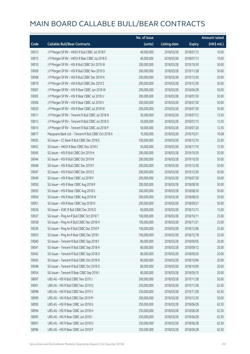|       |                                                      | No. of issue |                     |               | <b>Amount raised</b> |
|-------|------------------------------------------------------|--------------|---------------------|---------------|----------------------|
| Code  | <b>Callable Bull/Bear Contracts</b>                  | (units)      | <b>Listing date</b> | <b>Expiry</b> | (HK\$ mil.)          |
| 59013 | J P Morgan SP BV - HKEX R Bull CBBC Jul 2018 F       | 40,000,000   | 2018/03/28          | 2018/07/13    | 10.00                |
| 59015 | J P Morgan SP BV - HKEX R Bear CBBC Jul 2018 D       | 40,000,000   | 2018/03/28          | 2018/07/13    | 10.00                |
| 59010 | J P Morgan SP BV - HSI R Bull CBBC Oct 2019 W        | 200,000,000  | 2018/03/28          | 2019/10/30    | 50.00                |
| 59009 | J P Morgan SP BV - HSI R Bull CBBC Nov 2019 D        | 200,000,000  | 2018/03/28          | 2019/11/28    | 50.00                |
| 59008 | J P Morgan SP BV - HSI R Bull CBBC Dec 2019 N        | 200,000,000  | 2018/03/28          | 2019/12/30    | 50.00                |
| 59019 | J P Morgan SP BV - HSI R Bull CBBC Dec 2019 Z        | 200,000,000  | 2018/03/28          | 2019/12/30    | 50.00                |
| 59007 | J P Morgan SP BV - HSI R Bear CBBC Jun 2018 W        | 200,000,000  | 2018/03/28          | 2018/06/28    | 50.00                |
| 59005 | J P Morgan SP BV - HSI R Bear CBBC Jul 2018 U        | 200,000,000  | 2018/03/28          | 2018/07/30    | 50.00                |
| 59006 | J P Morgan SP BV - HSI R Bear CBBC Jul 2018 V        | 200,000,000  | 2018/03/28          | 2018/07/30    | 50.00                |
| 59020 | J P Morgan SP BV - HSI R Bear CBBC Jul 2018 W        | 200,000,000  | 2018/03/28          | 2018/07/30    | 50.00                |
| 59011 | J P Morgan SP BV - Tencent R Bull CBBC Jul 2018 N    | 50,000,000   | 2018/03/28          | 2018/07/13    | 12.50                |
| 59012 | J P Morgan SP BV - Tencent R Bull CBBC Jul 2018 O    | 50,000,000   | 2018/03/28          | 2018/07/13    | 12.50                |
| 59014 | J P Morgan SP BV - Tencent R Bull CBBC Jul 2018 P    | 50,000,000   | 2018/03/28          | 2018/07/20    | 12.50                |
| 58977 | Macquarie Bank Ltd. - Tencent R Bull CBBC Oct 2018 A | 10,500,000   | 2018/03/28          | 2018/10/31    | 10.08                |
| 59035 | SG Issuer - CC Bank R Bull CBBC Dec 2018 E           | 100,000,000  | 2018/03/28          | 2018/12/10    | 25.00                |
| 59052 | SG Issuer - HKEX R Bear CBBC Nov 2018 C              | 50,000,000   | 2018/03/28          | 2018/11/19    | 12.50                |
| 59045 | SG Issuer - HSI R Bull CBBC Oct 2019 H               | 200,000,000  | 2018/03/28          | 2019/10/30    | 50.00                |
| 59044 | SG Issuer - HSI R Bull CBBC Oct 2019 R               | 200,000,000  | 2018/03/28          | 2019/10/30    | 50.00                |
| 59046 | SG Issuer - HSI R Bull CBBC Dec 2019 F               | 200,000,000  | 2018/03/28          | 2019/12/30    | 50.00                |
| 59047 | SG Issuer - HSI R Bull CBBC Dec 2019 Z               | 200,000,000  | 2018/03/28          | 2019/12/30    | 50.00                |
| 59049 | SG Issuer - HSI R Bear CBBC Jul 2018 F               | 200,000,000  | 2018/03/28          | 2018/07/30    | 50.00                |
| 59050 | SG Issuer - HSI R Bear CBBC Aug 2018 R               | 200,000,000  | 2018/03/28          | 2018/08/30    | 50.00                |
| 59055 | SG Issuer - HSI R Bear CBBC Aug 2018 S               | 200,000,000  | 2018/03/28          | 2018/08/30    | 50.00                |
| 59056 | SG Issuer - HSI R Bear CBBC Aug 2018 W               | 200,000,000  | 2018/03/28          | 2018/08/30    | 50.00                |
| 59051 | SG Issuer - HSI R Bear CBBC Sep 2018 N               | 200,000,000  | 2018/03/28          | 2018/09/27    | 50.00                |
| 59036 | SG Issuer - ICBC R Bull CBBC Dec 2018 D              | 60,000,000   | 2018/03/28          | 2018/12/13    | 15.00                |
| 59037 | SG Issuer - Ping An R Bull CBBC Oct 2018 T           | 100,000,000  | 2018/03/28          | 2018/10/11    | 25.00                |
| 59038 | SG Issuer - Ping An R Bull CBBC Nov 2018 H           | 100,000,000  | 2018/03/28          | 2018/11/21    | 25.00                |
| 59039 | SG Issuer - Ping An R Bull CBBC Dec 2018 P           | 100,000,000  | 2018/03/28          | 2018/12/06    | 25.00                |
| 59053 | SG Issuer - Ping An R Bear CBBC Dec 2018 I           | 100,000,000  | 2018/03/28          | 2018/12/18    | 25.00                |
| 59040 | SG Issuer - Tencent R Bull CBBC Sep 2018 F           | 80,000,000   | 2018/03/28          | 2018/09/05    | 20.00                |
| 59041 | SG Issuer - Tencent R Bull CBBC Sep 2018 H           | 80,000,000   | 2018/03/28          | 2018/09/12    | 20.00                |
| 59042 | SG Issuer - Tencent R Bull CBBC Sep 2018 O           | 80,000,000   | 2018/03/28          | 2018/09/20    | 20.00                |
| 59043 | SG Issuer - Tencent R Bull CBBC Oct 2018 N           | 80,000,000   | 2018/03/28          | 2018/10/04    | 20.00                |
| 59048 | SG Issuer - Tencent R Bull CBBC Oct 2018 O           | 80,000,000   | 2018/03/28          | 2018/10/09    | 20.00                |
| 59054 | SG Issuer - Tencent R Bear CBBC Sep 2018 I           | 80,000,000   | 2018/03/28          | 2018/09/10    | 20.00                |
| 58997 | UBS AG - HSI R Bull CBBC Nov 2019 J                  | 200,000,000  | 2018/03/28          | 2019/11/28    | 50.00                |
| 59001 | UBS AG - HSI R Bull CBBC Nov 2019 Q                  | 250,000,000  | 2018/03/28          | 2019/11/28    | 62.50                |
| 58998 | UBS AG - HSI R Bull CBBC Nov 2019 V                  | 250,000,000  | 2018/03/28          | 2019/11/28    | 62.50                |
| 58999 | UBS AG - HSI R Bull CBBC Dec 2019 M                  | 200,000,000  | 2018/03/28          | 2019/12/30    | 50.00                |
| 58993 | UBS AG - HSI R Bear CBBC Jun 2018 G                  | 250,000,000  | 2018/03/28          | 2018/06/28    | 62.50                |
| 58994 | UBS AG - HSI R Bear CBBC Jun 2018 H                  | 250,000,000  | 2018/03/28          | 2018/06/28    | 62.50                |
| 58995 | UBS AG - HSI R Bear CBBC Jun 2018 I                  | 250,000,000  | 2018/03/28          | 2018/06/28    | 62.50                |
| 58991 | UBS AG - HSI R Bear CBBC Jun 2018 O                  | 250,000,000  | 2018/03/28          | 2018/06/28    | 62.50                |
| 58996 | UBS AG - HSI R Bear CBBC Jun 2018 P                  | 250,000,000  | 2018/03/28          | 2018/06/28    | 62.50                |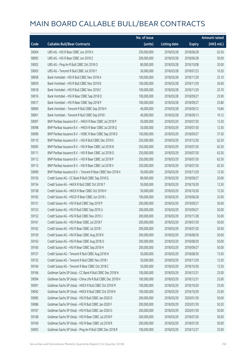|       |                                                             | No. of issue |                     |               | <b>Amount raised</b> |
|-------|-------------------------------------------------------------|--------------|---------------------|---------------|----------------------|
| Code  | <b>Callable Bull/Bear Contracts</b>                         | (units)      | <b>Listing date</b> | <b>Expiry</b> | (HK\$ mil.)          |
| 59004 | UBS AG - HSI R Bear CBBC Jun 2018 X                         | 250,000,000  | 2018/03/28          | 2018/06/28    | 62.50                |
| 58992 | UBS AG - HSI R Bear CBBC Jun 2018 Z                         | 200,000,000  | 2018/03/28          | 2018/06/28    | 50.00                |
| 59002 | UBS AG - Ping An R Bull CBBC Oct 2018 O                     | 80,000,000   | 2018/03/28          | 2018/10/08    | 20.00                |
| 59003 | UBS AG - Tencent R Bull CBBC Jul 2018 Y                     | 30,000,000   | 2018/03/28          | 2018/07/23    | 10.20                |
| 58958 | Bank Vontobel - HSI R Bull CBBC Nov 2018 A                  | 100,000,000  | 2018/03/28          | 2018/11/29    | 25.10                |
| 58959 | Bank Vontobel - HSI R Bull CBBC Nov 2018 B                  | 100,000,000  | 2018/03/28          | 2018/11/29    | 26.00                |
| 59018 | Bank Vontobel - HSI R Bull CBBC Nov 2018 C                  | 100,000,000  | 2018/03/28          | 2018/11/29    | 25.70                |
| 59016 | Bank Vontobel - HSI R Bear CBBC Sep 2018 O                  | 100,000,000  | 2018/03/28          | 2018/09/27    | 25.90                |
| 59017 | Bank Vontobel - HSI R Bear CBBC Sep 2018 P                  | 100,000,000  | 2018/03/28          | 2018/09/27    | 25.80                |
| 58960 | Bank Vontobel - Tencent R Bull CBBC Sep 2018 H              | 40,000,000   | 2018/03/28          | 2018/09/12    | 10.84                |
| 58961 | Bank Vontobel - Tencent R Bull CBBC Sep 2018 I              | 40,000,000   | 2018/03/28          | 2018/09/13    | 10.12                |
| 59097 | BNP Paribas Issuance B.V. - HKEX R Bear CBBC Jul 2018 P     | 50,000,000   | 2018/03/29          | 2018/07/30    | 12.50                |
| 59098 | BNP Paribas Issuance B.V. - HKEX R Bear CBBC Jul 2018 O     | 50,000,000   | 2018/03/29          | 2018/07/30    | 12.50                |
| 59096 | BNP Paribas Issuance B.V. - HSBC R Bear CBBC Sep 2018 D     | 150,000,000  | 2018/03/29          | 2018/09/27    | 37.50                |
| 59110 | BNP Paribas Issuance B.V. - HSI R Bull CBBC Dec 2019 E      | 250,000,000  | 2018/03/29          | 2019/12/30    | 62.50                |
| 59095 | BNP Paribas Issuance B.V. - HSI R Bear CBBC Jul 2018 N      | 250,000,000  | 2018/03/29          | 2018/07/30    | 62.50                |
| 59111 | BNP Paribas Issuance B.V. - HSI R Bear CBBC Jul 2018 O      | 250,000,000  | 2018/03/29          | 2018/07/30    | 62.50                |
| 59112 | BNP Paribas Issuance B.V. - HSI R Bear CBBC Jul 2018 P      | 250,000,000  | 2018/03/29          | 2018/07/30    | 62.50                |
| 59113 | BNP Paribas Issuance B.V. - HSI R Bear CBBC Jul 2018 V      | 250,000,000  | 2018/03/29          | 2018/07/30    | 62.50                |
| 59099 | BNP Paribas Issuance B.V. - Tencent R Bear CBBC Nov 2018 X  | 50,000,000   | 2018/03/29          | 2018/11/29    | 12.50                |
| 59156 | Credit Suisse AG - CC Bank R Bull CBBC Sep 2018 Q           | 80,000,000   | 2018/03/29          | 2018/09/27    | 20.00                |
| 59154 | Credit Suisse AG - HKEX R Bull CBBC Oct 2018 T              | 50,000,000   | 2018/03/29          | 2018/10/30    | 12.50                |
| 59158 | Credit Suisse AG - HKEX R Bear CBBC Oct 2018 H              | 50,000,000   | 2018/03/29          | 2018/10/30    | 12.50                |
| 59165 | Credit Suisse AG - HSCEI R Bear CBBC Jun 2018 L             | 100,000,000  | 2018/03/29          | 2018/06/28    | 25.00                |
| 59151 | Credit Suisse AG - HSI R Bull CBBC Sep 2019 P               | 200,000,000  | 2018/03/29          | 2019/09/27    | 50.00                |
| 59153 | Credit Suisse AG - HSI R Bull CBBC Sep 2019 U               | 200,000,000  | 2018/03/29          | 2019/09/27    | 50.00                |
| 59152 | Credit Suisse AG - HSI R Bull CBBC Nov 2019 J               | 200,000,000  | 2018/03/29          | 2019/11/28    | 50.00                |
| 59161 | Credit Suisse AG - HSI R Bear CBBC Jul 2018 F               | 200,000,000  | 2018/03/29          | 2018/07/30    | 50.00                |
| 59162 | Credit Suisse AG - HSI R Bear CBBC Jul 2018 I               | 200,000,000  | 2018/03/29          | 2018/07/30    | 50.00                |
| 59159 | Credit Suisse AG - HSI R Bear CBBC Aug 2018 K               | 200,000,000  | 2018/03/29          | 2018/08/30    | 50.00                |
| 59163 | Credit Suisse AG - HSI R Bear CBBC Aug 2018 O               | 200,000,000  | 2018/03/29          | 2018/08/30    | 50.00                |
| 59160 | Credit Suisse AG - HSI R Bear CBBC Sep 2018 H               | 200,000,000  | 2018/03/29          | 2018/09/27    | 50.00                |
| 59157 | Credit Suisse AG - Tencent R Bull CBBC Aug 2018 N           | 50,000,000   | 2018/03/29          | 2018/08/30    | 13.50                |
| 59155 | Credit Suisse AG - Tencent R Bull CBBC Nov 2018 I           | 50,000,000   | 2018/03/29          | 2018/11/29    | 12.50                |
| 59164 | Credit Suisse AG - Tencent R Bear CBBC Oct 2018 C           | 50,000,000   | 2018/03/29          | 2018/10/30    | 12.50                |
| 59166 | Goldman Sachs SP (Asia) - CC Bank R Bull CBBC Dec 2018 N    | 100,000,000  | 2018/03/29          | 2018/12/31    | 25.00                |
| 59094 | Goldman Sachs SP (Asia) - China Life R Bull CBBC Dec 2018 H | 100,000,000  | 2018/03/29          | 2018/12/31    | 25.00                |
| 59091 | Goldman Sachs SP (Asia) - HKEX R Bull CBBC Oct 2018 M       | 100,000,000  | 2018/03/29          | 2018/10/29    | 25.00                |
| 59092 | Goldman Sachs SP (Asia) - HKEX R Bull CBBC Oct 2018 N       | 100,000,000  | 2018/03/29          | 2018/10/29    | 25.00                |
| 59085 | Goldman Sachs SP (Asia) - HSI R Bull CBBC Jan 2020 D        | 200,000,000  | 2018/03/29          | 2020/01/30    | 50.00                |
| 59086 | Goldman Sachs SP (Asia) - HSI R Bull CBBC Jan 2020 F        | 200,000,000  | 2018/03/29          | 2020/01/30    | 50.20                |
| 59167 | Goldman Sachs SP (Asia) - HSI R Bull CBBC Jan 2020 G        | 200,000,000  | 2018/03/29          | 2020/01/30    | 50.00                |
| 59168 | Goldman Sachs SP (Asia) - HSI R Bear CBBC Jul 2018 P        | 200,000,000  | 2018/03/29          | 2018/07/30    | 50.00                |
| 59169 | Goldman Sachs SP (Asia) - HSI R Bear CBBC Jul 2018 R        | 200,000,000  | 2018/03/29          | 2018/07/30    | 50.00                |
| 59093 | Goldman Sachs SP (Asia) - Ping An R Bull CBBC Dec 2018 R    | 100,000,000  | 2018/03/29          | 2018/12/27    | 25.00                |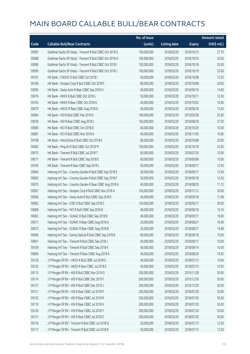|       |                                                           | No. of issue |                     |               | <b>Amount raised</b> |
|-------|-----------------------------------------------------------|--------------|---------------------|---------------|----------------------|
| Code  | <b>Callable Bull/Bear Contracts</b>                       | (units)      | <b>Listing date</b> | <b>Expiry</b> | (HK\$ mil.)          |
| 59087 | Goldman Sachs SP (Asia) - Tencent R Bull CBBC Oct 2018 G  | 100,000,000  | 2018/03/29          | 2018/10/15    | 27.70                |
| 59088 | Goldman Sachs SP (Asia) - Tencent R Bull CBBC Oct 2018 H  | 100,000,000  | 2018/03/29          | 2018/10/16    | 25.00                |
| 59089 | Goldman Sachs SP (Asia) - Tencent R Bull CBBC Oct 2018 I  | 100,000,000  | 2018/03/29          | 2018/10/18    | 25.00                |
| 59090 | Goldman Sachs SP (Asia) - Tencent R Bull CBBC Oct 2018 J  | 100,000,000  | 2018/03/29          | 2018/10/19    | 25.00                |
| 59107 | HK Bank - CNOOC R Bull CBBC Oct 2018 I                    | 50,000,000   | 2018/03/29          | 2018/10/08    | 12.50                |
| 59106 | HK Bank - Sinopec Corp R Bull CBBC Oct 2018 F             | 80,000,000   | 2018/03/29          | 2018/10/08    | 20.00                |
| 59083 | HK Bank - Geely Auto R Bear CBBC Sep 2018 H               | 40,000,000   | 2018/03/29          | 2018/09/10    | 14.00                |
| 59076 | HK Bank - HKEX R Bull CBBC Oct 2018 L                     | 50,000,000   | 2018/03/29          | 2018/10/11    | 12.50                |
| 59105 | HK Bank - HKEX R Bear CBBC Oct 2018 G                     | 40,000,000   | 2018/03/29          | 2018/10/02    | 10.00                |
| 59079 | HK Bank - HSCEI R Bear CBBC Aug 2018 D                    | 50,000,000   | 2018/03/29          | 2018/08/30    | 12.50                |
| 59084 | HK Bank - HSI R Bull CBBC Mar 2019 K                      | 100,000,000  | 2018/03/29          | 2019/03/28    | 25.00                |
| 59078 | HK Bank - HSI R Bear CBBC Aug 2018 L                      | 150,000,000  | 2018/03/29          | 2018/08/30    | 37.50                |
| 59080 | HK Bank - NCI R Bull CBBC Oct 2018 D                      | 40,000,000   | 2018/03/29          | 2018/10/29    | 10.00                |
| 59081 | HK Bank - NCI R Bull CBBC Nov 2018 A                      | 40,000,000   | 2018/03/29          | 2018/11/05    | 10.00                |
| 59108 | HK Bank - PetroChina R Bull CBBC Oct 2018 K               | 80,000,000   | 2018/03/29          | 2018/10/08    | 20.00                |
| 59082 | HK Bank - Ping An R Bull CBBC Oct 2018 M                  | 100,000,000  | 2018/03/29          | 2018/10/18    | 25.00                |
| 59075 | HK Bank - Tencent R Bull CBBC Jul 2018 T                  | 60,000,000   | 2018/03/29          | 2018/07/30    | 15.00                |
| 59077 | HK Bank - Tencent R Bull CBBC Sep 2018 E                  | 60,000,000   | 2018/03/29          | 2018/09/06    | 15.00                |
| 59104 | HK Bank - Tencent R Bear CBBC Sep 2018 L                  | 50,000,000   | 2018/03/29          | 2018/09/17    | 12.50                |
| 59064 | Haitong Int'l Sec - Country Garden R Bull CBBC Sep 2018 E | 50,000,000   | 2018/03/29          | 2018/09/17    | 12.50                |
| 59065 | Haitong Int'l Sec - Country Garden R Bull CBBC Sep 2018 F | 50,000,000   | 2018/03/29          | 2018/09/18    | 12.50                |
| 59070 | Haitong Int'l Sec - Country Garden R Bear CBBC Aug 2018 A | 40,000,000   | 2018/03/29          | 2018/08/20    | 11.12                |
| 59067 | Haitong Int'l Sec - Sinopec Corp R Bull CBBC Nov 2018 A   | 120,000,000  | 2018/03/29          | 2018/11/12    | 30.00                |
| 59060 | Haitong Int'l Sec - Geely Auto R Bull CBBC Sep 2018 E     | 40,000,000   | 2018/03/29          | 2018/09/18    | 11.08                |
| 59062 | Haitong Int'l Sec - ICBC R Bull CBBC Sep 2018 C           | 120,000,000  | 2018/03/29          | 2018/09/17    | 30.00                |
| 59068 | Haitong Int'l Sec - NCI R Bull CBBC Sep 2018 B            | 40,000,000   | 2018/03/29          | 2018/09/18    | 15.16                |
| 59063 | Haitong Int'l Sec - SUNAC R Bull CBBC Sep 2018 B          | 40,000,000   | 2018/03/29          | 2018/09/17    | 19.00                |
| 59071 | Haitong Int'l Sec - SUNAC R Bear CBBC Aug 2018 A          | 20,000,000   | 2018/03/29          | 2018/08/21    | 10.40                |
| 59072 | Haitong Int'l Sec - SUNAC R Bear CBBC Aug 2018 B          | 20,000,000   | 2018/03/29          | 2018/08/21    | 14.48                |
| 59066 | Haitong Int'l Sec - Sunny Optical R Bull CBBC Sep 2018 B  | 60,000,000   | 2018/03/29          | 2018/09/18    | 15.00                |
| 59061 | Haitong Int'l Sec - Tencent R Bull CBBC Sep 2018 J        | 40,000,000   | 2018/03/29          | 2018/09/17    | 10.00                |
| 59109 | Haitong Int'l Sec - Tencent R Bull CBBC Sep 2018 K        | 40,000,000   | 2018/03/29          | 2018/09/14    | 10.00                |
| 59069 | Haitong Int'l Sec - Tencent R Bear CBBC Aug 2018 A        | 40,000,000   | 2018/03/29          | 2018/08/20    | 14.92                |
| 59126 | J P Morgan SP BV - HKEX R Bull CBBC Jul 2018 G            | 40,000,000   | 2018/03/29          | 2018/07/13    | 10.00                |
| 59125 | J P Morgan SP BV - HKEX R Bear CBBC Jul 2018 E            | 40,000,000   | 2018/03/29          | 2018/07/13    | 10.00                |
| 59115 | J P Morgan SP BV - HSI R Bull CBBC Nov 2019 G             | 200,000,000  | 2018/03/29          | 2019/11/28    | 50.00                |
| 59114 | J P Morgan SP BV - HSI R Bull CBBC Dec 2019 F             | 200,000,000  | 2018/03/29          | 2019/12/30    | 50.00                |
| 59127 | J P Morgan SP BV - HSI R Bull CBBC Dec 2019 J             | 200,000,000  | 2018/03/29          | 2019/12/30    | 50.00                |
| 59121 | J P Morgan SP BV - HSI R Bear CBBC Jul 2018 P             | 200,000,000  | 2018/03/29          | 2018/07/30    | 50.00                |
| 59132 | J P Morgan SP BV - HSI R Bear CBBC Jul 2018 R             | 200,000,000  | 2018/03/29          | 2018/07/30    | 50.00                |
| 59119 | J P Morgan SP BV - HSI R Bear CBBC Jul 2018 X             | 200,000,000  | 2018/03/29          | 2018/07/30    | 50.00                |
| 59120 | J P Morgan SP BV - HSI R Bear CBBC Jul 2018 Y             | 200,000,000  | 2018/03/29          | 2018/07/30    | 50.00                |
| 59131 | J P Morgan SP BV - HSI R Bear CBBC Jul 2018 Z             | 200,000,000  | 2018/03/29          | 2018/07/30    | 50.00                |
| 59116 | J P Morgan SP BV - Tencent R Bull CBBC Jul 2018 Q         | 50,000,000   | 2018/03/29          | 2018/07/13    | 12.50                |
| 59117 | J P Morgan SP BV - Tencent R Bull CBBC Jul 2018 R         | 50,000,000   | 2018/03/29          | 2018/07/13    | 12.50                |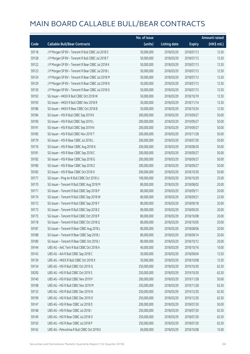|       |                                                   | No. of issue |                     |               | <b>Amount raised</b> |
|-------|---------------------------------------------------|--------------|---------------------|---------------|----------------------|
| Code  | <b>Callable Bull/Bear Contracts</b>               | (units)      | <b>Listing date</b> | <b>Expiry</b> | (HK\$ mil.)          |
| 59118 | J P Morgan SP BV - Tencent R Bull CBBC Jul 2018 S | 50,000,000   | 2018/03/29          | 2018/07/13    | 12.50                |
| 59128 | J P Morgan SP BV - Tencent R Bull CBBC Jul 2018 T | 50,000,000   | 2018/03/29          | 2018/07/13    | 12.50                |
| 59122 | J P Morgan SP BV - Tencent R Bear CBBC Jul 2018 K | 50,000,000   | 2018/03/29          | 2018/07/13    | 12.50                |
| 59123 | J P Morgan SP BV - Tencent R Bear CBBC Jul 2018 L | 50,000,000   | 2018/03/29          | 2018/07/13    | 12.50                |
| 59124 | J P Morgan SP BV - Tencent R Bear CBBC Jul 2018 M | 50,000,000   | 2018/03/29          | 2018/07/13    | 12.50                |
| 59129 | J P Morgan SP BV - Tencent R Bear CBBC Jul 2018 N | 50,000,000   | 2018/03/29          | 2018/07/13    | 12.50                |
| 59130 | J P Morgan SP BV - Tencent R Bear CBBC Jul 2018 O | 50,000,000   | 2018/03/29          | 2018/07/13    | 12.50                |
| 59192 | SG Issuer - HKEX R Bull CBBC Oct 2018 W           | 50,000,000   | 2018/03/29          | 2018/10/19    | 12.50                |
| 59193 | SG Issuer - HKEX R Bull CBBC Nov 2018 R           | 50,000,000   | 2018/03/29          | 2018/11/14    | 12.50                |
| 59186 | SG Issuer - HKEX R Bear CBBC Oct 2018 B           | 50,000,000   | 2018/03/29          | 2018/10/24    | 12.50                |
| 59184 | SG Issuer - HSI R Bull CBBC Sep 2019 K            | 200,000,000  | 2018/03/29          | 2019/09/27    | 50.00                |
| 59190 | SG Issuer - HSI R Bull CBBC Sep 2019 L            | 200,000,000  | 2018/03/29          | 2019/09/27    | 50.00                |
| 59191 | SG Issuer - HSI R Bull CBBC Sep 2019 N            | 200,000,000  | 2018/03/29          | 2019/09/27    | 50.00                |
| 59185 | SG Issuer - HSI R Bull CBBC Nov 2019 T            | 200,000,000  | 2018/03/29          | 2019/11/28    | 50.00                |
| 59179 | SG Issuer - HSI R Bear CBBC Jul 2018 L            | 200,000,000  | 2018/03/29          | 2018/07/30    | 50.00                |
| 59176 | SG Issuer - HSI R Bear CBBC Aug 2018 N            | 200,000,000  | 2018/03/29          | 2018/08/30    | 50.00                |
| 59181 | SG Issuer - HSI R Bear CBBC Sep 2018 C            | 200,000,000  | 2018/03/29          | 2018/09/27    | 50.00                |
| 59182 | SG Issuer - HSI R Bear CBBC Sep 2018 G            | 200,000,000  | 2018/03/29          | 2018/09/27    | 50.00                |
| 59180 | SG Issuer - HSI R Bear CBBC Sep 2018 Z            | 200,000,000  | 2018/03/29          | 2018/09/27    | 50.00                |
| 59183 | SG Issuer - HSI R Bear CBBC Oct 2018 X            | 200,000,000  | 2018/03/29          | 2018/10/30    | 50.00                |
| 59177 | SG Issuer - Ping An R Bull CBBC Oct 2018 U        | 100,000,000  | 2018/03/29          | 2018/10/29    | 25.00                |
| 59170 | SG Issuer - Tencent R Bull CBBC Aug 2018 M        | 80,000,000   | 2018/03/29          | 2018/08/02    | 20.00                |
| 59171 | SG Issuer - Tencent R Bull CBBC Sep 2018 P        | 80,000,000   | 2018/03/29          | 2018/09/11    | 20.00                |
| 59174 | SG Issuer - Tencent R Bull CBBC Sep 2018 W        | 80,000,000   | 2018/03/29          | 2018/09/21    | 22.00                |
| 59172 | SG Issuer - Tencent R Bull CBBC Sep 2018 Y        | 80,000,000   | 2018/03/29          | 2018/09/18    | 20.00                |
| 59173 | SG Issuer - Tencent R Bull CBBC Sep 2018 Z        | 80,000,000   | 2018/03/29          | 2018/09/20    | 20.00                |
| 59175 | SG Issuer - Tencent R Bull CBBC Oct 2018 P        | 80,000,000   | 2018/03/29          | 2018/10/08    | 20.00                |
| 59178 | SG Issuer - Tencent R Bull CBBC Oct 2018 Q        | 80,000,000   | 2018/03/29          | 2018/10/05    | 20.00                |
| 59187 | SG Issuer - Tencent R Bear CBBC Aug 2018 L        | 80,000,000   | 2018/03/29          | 2018/08/06    | 20.00                |
| 59188 | SG Issuer - Tencent R Bear CBBC Sep 2018 J        | 80,000,000   | 2018/03/29          | 2018/09/14    | 20.00                |
| 59189 | SG Issuer - Tencent R Bear CBBC Oct 2018 J        | 80,000,000   | 2018/03/29          | 2018/10/12    | 20.00                |
| 59144 | UBS AG - AAC Tech R Bull CBBC Oct 2018 A          | 40,000,000   | 2018/03/29          | 2018/10/16    | 10.00                |
| 59143 | UBS AG - AIA R Bull CBBC Sep 2018 C               | 50,000,000   | 2018/03/29          | 2018/09/04    | 12.50                |
| 59139 | UBS AG - HKEX R Bull CBBC Oct 2018 X              | 50,000,000   | 2018/03/29          | 2018/10/08    | 12.50                |
| 59134 | UBS AG - HSI R Bull CBBC Oct 2019 Q               | 250,000,000  | 2018/03/29          | 2019/10/30    | 62.50                |
| 59200 | UBS AG - HSI R Bull CBBC Oct 2019 S               | 250,000,000  | 2018/03/29          | 2019/10/30    | 62.50                |
| 59140 | UBS AG - HSI R Bull CBBC Nov 2019 F               | 200,000,000  | 2018/03/29          | 2019/11/28    | 50.00                |
| 59198 | UBS AG - HSI R Bull CBBC Nov 2019 M               | 250,000,000  | 2018/03/29          | 2019/11/28    | 62.50                |
| 59133 | UBS AG - HSI R Bull CBBC Dec 2019 N               | 250,000,000  | 2018/03/29          | 2019/12/30    | 62.50                |
| 59199 | UBS AG - HSI R Bull CBBC Dec 2019 O               | 250,000,000  | 2018/03/29          | 2019/12/30    | 62.50                |
| 59147 | UBS AG - HSI R Bear CBBC Jul 2018 D               | 200,000,000  | 2018/03/29          | 2018/07/30    | 50.00                |
| 59148 | UBS AG - HSI R Bear CBBC Jul 2018 I               | 250,000,000  | 2018/03/29          | 2018/07/30    | 62.50                |
| 59149 | UBS AG - HSI R Bear CBBC Jul 2018 O               | 250,000,000  | 2018/03/29          | 2018/07/30    | 62.50                |
| 59150 | UBS AG - HSI R Bear CBBC Jul 2018 P               | 250,000,000  | 2018/03/29          | 2018/07/30    | 62.50                |
| 59142 | UBS AG - Petrochina R Bull CBBC Oct 2018 E        | 60,000,000   | 2018/03/29          | 2018/10/08    | 15.00                |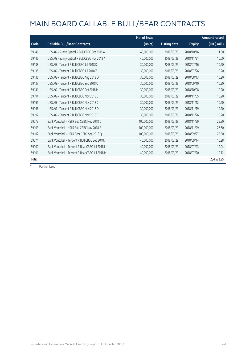|       |                                                | No. of issue |                     |               | <b>Amount raised</b> |
|-------|------------------------------------------------|--------------|---------------------|---------------|----------------------|
| Code  | <b>Callable Bull/Bear Contracts</b>            | (units)      | <b>Listing date</b> | <b>Expiry</b> | $(HK\$ mil.)         |
| 59146 | UBS AG - Sunny Optical R Bull CBBC Oct 2018 A  | 40,000,000   | 2018/03/29          | 2018/10/16    | 11.60                |
| 59145 | UBS AG - Sunny Optical R Bull CBBC Nov 2018 A  | 40,000,000   | 2018/03/29          | 2018/11/21    | 10.00                |
| 59138 | UBS AG - Tencent R Bull CBBC Jul 2018 D        | 30,000,000   | 2018/03/29          | 2018/07/16    | 10.20                |
| 59135 | UBS AG - Tencent R Bull CBBC Jul 2018 Z        | 30,000,000   | 2018/03/29          | 2018/07/26    | 10.20                |
| 59136 | UBS AG - Tencent R Bull CBBC Aug 2018 Q        | 30,000,000   | 2018/03/29          | 2018/08/13    | 10.20                |
| 59137 | UBS AG - Tencent R Bull CBBC Sep 2018 U        | 30,000,000   | 2018/03/29          | 2018/09/10    | 10.20                |
| 59141 | UBS AG - Tencent R Bull CBBC Oct 2018 M        | 30,000,000   | 2018/03/29          | 2018/10/08    | 10.20                |
| 59194 | UBS AG - Tencent R Bull CBBC Nov 2018 B        | 30,000,000   | 2018/03/29          | 2018/11/05    | 10.20                |
| 59195 | UBS AG - Tencent R Bull CBBC Nov 2018 C        | 30,000,000   | 2018/03/29          | 2018/11/12    | 10.20                |
| 59196 | UBS AG - Tencent R Bull CBBC Nov 2018 D        | 30,000,000   | 2018/03/29          | 2018/11/19    | 10.20                |
| 59197 | UBS AG - Tencent R Bull CBBC Nov 2018 E        | 30,000,000   | 2018/03/29          | 2018/11/26    | 10.20                |
| 59073 | Bank Vontobel - HSI R Bull CBBC Nov 2018 D     | 100,000,000  | 2018/03/29          | 2018/11/29    | 25.90                |
| 59103 | Bank Vontobel - HSI R Bull CBBC Nov 2018 E     | 100,000,000  | 2018/03/29          | 2018/11/29    | 27.60                |
| 59102 | Bank Vontobel - HSI R Bear CBBC Sep 2018 Q     | 100,000,000  | 2018/03/29          | 2018/09/27    | 25.50                |
| 59074 | Bank Vontobel - Tencent R Bull CBBC Sep 2018 J | 40,000,000   | 2018/03/29          | 2018/09/14    | 10.28                |
| 59100 | Bank Vontobel - Tencent R Bear CBBC Jul 2018 L | 40,000,000   | 2018/03/29          | 2018/07/23    | 10.04                |
| 59101 | Bank Vontobel - Tencent R Bear CBBC Jul 2018 M | 40,000,000   | 2018/03/29          | 2018/07/20    | 10.12                |
| Total |                                                |              |                     |               | 234,572.95           |

 $#$  Further issue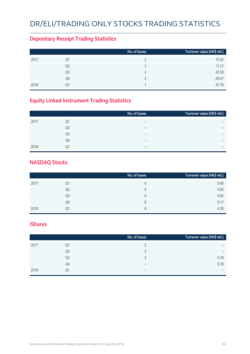# DR/ELI/TRADING ONLY STOCKS TRADING STATISTICS

### **Depositary Receipt Trading Statistics**

|      |                | No. of issues | Turnover value (HK\$ mil.) |
|------|----------------|---------------|----------------------------|
| 2017 | Q1             |               | 15.32                      |
|      | Q <sub>2</sub> |               | 11.27                      |
|      | Q3             |               | 20.30                      |
|      | Q4             |               | 69.47                      |
| 2018 | 01             |               | 47.76                      |

### **Equity Linked Instrument Trading Statistics**

|      |                | No. of issues            | Turnover value (HK\$ mil.) <sup> </sup> |
|------|----------------|--------------------------|-----------------------------------------|
| 2017 | Q1             | -                        |                                         |
|      | Q <sub>2</sub> | $\overline{\phantom{0}}$ | $\overline{\phantom{0}}$                |
|      | Q <sub>3</sub> | $\overline{\phantom{0}}$ | $\overline{\phantom{0}}$                |
|      | Q4             | $\overline{\phantom{0}}$ |                                         |
| 2018 | 01             | $\overline{\phantom{0}}$ | $\overline{\phantom{0}}$                |

#### **NASDAQ Stocks**

|      |    | No. of issues | Turnover value (HK\$ mil.) |
|------|----|---------------|----------------------------|
| 2017 | Q1 | 6             | 0.00                       |
|      | Q2 | 6             | 0.05                       |
|      | Q3 | 6             | 0.05                       |
|      | Q4 | 6             | 0.11                       |
| 2018 | 01 | 6             | 4.30                       |

#### **iShares**

|      |                | No. of issues            | Turnover value (HK\$ mil.) |
|------|----------------|--------------------------|----------------------------|
| 2017 | Q1             |                          | $\overline{\phantom{0}}$   |
|      | Q <sub>2</sub> |                          | $\overline{\phantom{0}}$   |
|      | Q <sub>3</sub> |                          | 0.18                       |
|      | Q4             | $\overline{\phantom{0}}$ | 0.18                       |
| 2018 | 01             | -                        | $\overline{\phantom{0}}$   |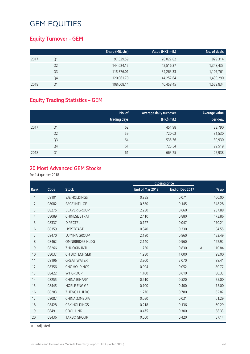### **Equity Turnover – GEM**

|      |    | Share (Mil. shs) | Value (HK\$ mil.) | No. of deals |
|------|----|------------------|-------------------|--------------|
| 2017 | Q1 | 97,529.59        | 28,022.82         | 829,314      |
|      | Q2 | 144,624.15       | 42,516.37         | 1,348,433    |
|      | Q3 | 115,376.01       | 34,263.33         | 1,107,761    |
|      | Q4 | 120,061.70       | 44,257.64         | 1,499,290    |
| 2018 | Q1 | 108,008.14       | 40,458.45         | 1,559,834    |

### **Equity Trading Statistics – GEM**

|      |                | No. of<br>trading days | <b>Average daily turnover</b><br>(HK\$ mil.) | Average value<br>per deal |
|------|----------------|------------------------|----------------------------------------------|---------------------------|
| 2017 | Q1             | 62                     | 451.98                                       | 33,790                    |
|      | Q <sub>2</sub> | 59                     | 720.62                                       | 31,530                    |
|      | Q <sub>3</sub> | 64                     | 535.36                                       | 30,930                    |
|      | Q4             | 61                     | 725.54                                       | 29,519                    |
| 2018 | Q1             | 61                     | 663.25                                       | 25,938                    |

### **20 Most Advanced GEM Stocks**

for 1st quarter 2018

|                |       |                        |                 | <b>Closing price</b> |                |        |
|----------------|-------|------------------------|-----------------|----------------------|----------------|--------|
| Rank           | Code  | <b>Stock</b>           | End of Mar 2018 | End of Dec 2017      |                | $%$ up |
| 1              | 08101 | <b>EJE HOLDINGS</b>    | 0.355           | 0.071                |                | 400.00 |
| $\overline{2}$ | 08082 | <b>SAGE INT'L GP</b>   | 0.650           | 0.145                |                | 348.28 |
| 3              | 08275 | <b>BEAVER GROUP</b>    | 2.230           | 0.660                |                | 237.88 |
| 4              | 08089 | <b>CHINESE STRAT</b>   | 2.410           | 0.880                |                | 173.86 |
| 5              | 08337 | <b>DIRECTEL</b>        | 0.127           | 0.047                |                | 170.21 |
| 6              | 08359 | <b>HYPEBEAST</b>       | 0.840           | 0.330                |                | 154.55 |
| 7              | 08470 | <b>LUMINA GROUP</b>    | 2.180           | 0.860                |                | 153.49 |
| 8              | 08462 | <b>OMNIBRIDGE HLDG</b> | 2.140           | 0.960                |                | 122.92 |
| 9              | 08266 | <b>ZHUOXIN INTL</b>    | 1.750           | 0.830                | $\overline{A}$ | 110.84 |
| 10             | 08037 | <b>CH BIOTECH SER</b>  | 1.980           | 1.000                |                | 98.00  |
| 11             | 08196 | <b>GREAT WATER</b>     | 3.900           | 2.070                |                | 88.41  |
| 12             | 08356 | <b>CNC HOLDINGS</b>    | 0.094           | 0.052                |                | 80.77  |
| 13             | 08422 | <b>WT GROUP</b>        | 1.100           | 0.610                |                | 80.33  |
| 14             | 08255 | <b>CHINA BINARY</b>    | 0.910           | 0.520                |                | 75.00  |
| 15             | 08445 | NOBLE ENG GP           | 0.700           | 0.400                |                | 75.00  |
| 16             | 08283 | ZHENG LI HLDG          | 1.270           | 0.780                |                | 62.82  |
| 17             | 08087 | CHINA 33MEDIA          | 0.050           | 0.031                |                | 61.29  |
| 18             | 08428 | <b>CBK HOLDINGS</b>    | 0.218           | 0.136                |                | 60.29  |
| 19             | 08491 | <b>COOL LINK</b>       | 0.475           | 0.300                |                | 58.33  |
| 20             | 08436 | <b>TAKBO GROUP</b>     | 0.660           | 0.420                |                | 57.14  |

A Adjusted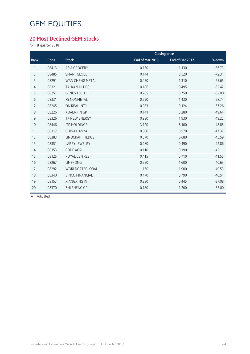### **20 Most Declined GEM Stocks**

for 1st quarter 2018

| % down   |
|----------|
| $-86.73$ |
| $-72.31$ |
| $-65.65$ |
| $-62.42$ |
| $-62.00$ |
| $-58.74$ |
| $-57.26$ |
| $-49.64$ |
| $-49.22$ |
| $-48.85$ |
| $-47.37$ |
| $-45.59$ |
| $-42.86$ |
| $-42.11$ |
| $-41.55$ |
| $-40.63$ |
| $-40.53$ |
| $-40.51$ |
| $-37.08$ |
| $-35.00$ |
|          |

A Adjusted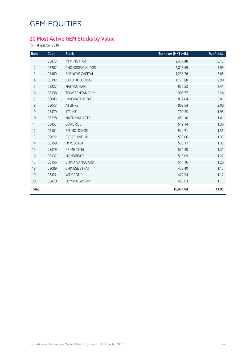### **20 Most Active GEM Stocks by Value**

for 1st quarter 2018

| Rank           | Code  | <b>Stock</b>           | Turnover (HK\$ mil.) | % of total |
|----------------|-------|------------------------|----------------------|------------|
| 1              | 08473 | MI MING MART           | 2,477.48             | 6.12       |
| $\overline{2}$ | 08207 | <b>CHONGSING HLDGS</b> | 2,018.59             | 4.99       |
| 3              | 08469 | <b>SHENGYE CAPITAL</b> | 1,233.76             | 3.05       |
| $\overline{4}$ | 08392 | <b>SATU HOLDINGS</b>   | 1,171.88             | 2.90       |
| 5              | 08227 | <b>HAITIANTIAN</b>     | 976.53               | 2.41       |
| $\sqrt{6}$     | 08138 | TONGRENTANGCM          | 906.77               | 2.24       |
| $\overline{7}$ | 08083 | INNOVATIONPAY          | 812.04               | 2.01       |
| $\,8\,$        | 08043 | <b>ATLINKS</b>         | 808.54               | 2.00       |
| $\mathsf 9$    | 08479 | <b>JTF INTL</b>        | 790.55               | 1.95       |
| 10             | 08228 | <b>NATIONAL ARTS</b>   | 651.10               | 1.61       |
| 11             | 08457 | <b>GOAL RISE</b>       | 549.14               | 1.36       |
| 12             | 08101 | <b>EJE HOLDINGS</b>    | 544.21               | 1.35       |
| 13             | 08022 | <b>EVERSHINE GP</b>    | 539.06               | 1.33       |
| 14             | 08359 | <b>HYPEBEAST</b>       | 535.17               | 1.32       |
| 15             | 08379 | PRIME INTEL            | 531.20               | 1.31       |
| 16             | 08137 | <b>HONBRIDGE</b>       | 513.09               | 1.27       |
| 17             | 08156 | <b>CHINA VANGUARD</b>  | 511.16               | 1.26       |
| 18             | 08089 | <b>CHINESE STRAT</b>   | 473.40               | 1.17       |
| 19             | 08422 | <b>WT GROUP</b>        | 472.54               | 1.17       |
| 20             | 08470 | <b>LUMINA GROUP</b>    | 455.63               | 1.13       |
| <b>Total</b>   |       |                        | 16,971.84            | 41.95      |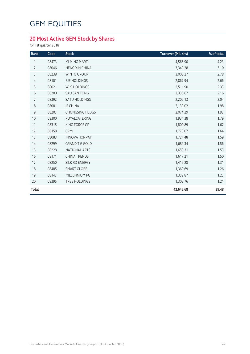### **20 Most Active GEM Stock by Shares**

for 1st quarter 2018

| Rank           | Code  | <b>Stock</b>           | Turnover (Mil. shs) | % of total |
|----------------|-------|------------------------|---------------------|------------|
| 1              | 08473 | MI MING MART           | 4,565.90            | 4.23       |
| $\overline{2}$ | 08046 | <b>HENG XIN CHINA</b>  | 3,349.28            | 3.10       |
| 3              | 08238 | <b>WINTO GROUP</b>     | 3,006.27            | 2.78       |
| $\overline{4}$ | 08101 | <b>EJE HOLDINGS</b>    | 2,867.94            | 2.66       |
| 5              | 08021 | <b>WLS HOLDINGS</b>    | 2,511.90            | 2.33       |
| $6\,$          | 08200 | <b>SAU SAN TONG</b>    | 2,330.67            | 2.16       |
| 7              | 08392 | SATU HOLDINGS          | 2,202.13            | 2.04       |
| $\,8\,$        | 08081 | <b>IE CHINA</b>        | 2,139.02            | 1.98       |
| $\mathsf 9$    | 08207 | <b>CHONGSING HLDGS</b> | 2,074.29            | 1.92       |
| 10             | 08300 | <b>ROYALCATERING</b>   | 1,931.38            | 1.79       |
| 11             | 08315 | KING FORCE GP          | 1,800.89            | 1.67       |
| 12             | 08158 | CRMI                   | 1,773.07            | 1.64       |
| 13             | 08083 | <b>INNOVATIONPAY</b>   | 1,721.48            | 1.59       |
| 14             | 08299 | <b>GRAND T G GOLD</b>  | 1,689.34            | 1.56       |
| 15             | 08228 | NATIONAL ARTS          | 1,653.31            | 1.53       |
| 16             | 08171 | <b>CHINA TRENDS</b>    | 1,617.21            | 1.50       |
| 17             | 08250 | SILK RD ENERGY         | 1,415.28            | 1.31       |
| 18             | 08485 | <b>SMART GLOBE</b>     | 1,360.69            | 1.26       |
| 19             | 08147 | MILLENNIUM PG          | 1,332.87            | 1.23       |
| 20             | 08395 | <b>TREE HOLDINGS</b>   | 1,302.76            | 1.21       |
| <b>Total</b>   |       |                        | 42,645.68           | 39.48      |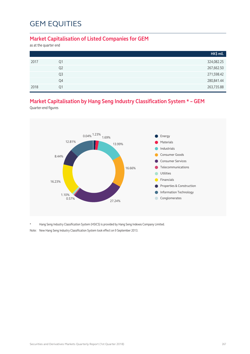#### **Market Capitalisation of Listed Companies for GEM**

as at the quarter end

|                | HK\$ mil.  |
|----------------|------------|
| Q1             | 324,082.25 |
| Q <sub>2</sub> | 267,662.50 |
| Q <sub>3</sub> | 271,598.42 |
| Q4             | 280,841.44 |
| O <sub>1</sub> | 263,735.88 |
|                |            |

### **Market Capitalisation by Hang Seng Industry Classification System \* – GEM**

Quarter-end figures



Hang Seng Industry Classification System (HSICS) is provided by Hang Seng Indexes Company Limited.

Note: New Hang Seng Industry Classification System took effect on 9 September 2013.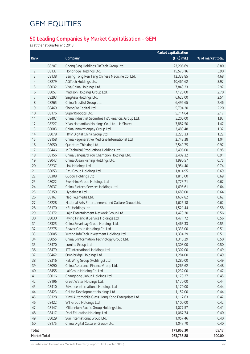### **50 Leading Companies by Market Capitalisation – GEM**

as at the 1st quarter end 2018

|                |       |                                                        | <b>Market capitalisation</b> |                   |
|----------------|-------|--------------------------------------------------------|------------------------------|-------------------|
| Rank           |       | Company                                                | (HK\$ mil.)                  | % of market total |
| 1              | 08207 | Chong Sing Holdings FinTech Group Ltd.                 | 23,206.69                    | 8.80              |
| $\overline{2}$ | 08137 | Honbridge Holdings Ltd.                                | 15,570.16                    | 5.90              |
| 3              | 08138 | Beijing Tong Ren Tang Chinese Medicine Co. Ltd.        | 12,338.85                    | 4.68              |
| 4              | 08279 | AGTech Holdings Ltd.                                   | 10,461.62                    | 3.97              |
| 5              | 08032 | Viva China Holdings Ltd.                               | 7,843.23                     | 2.97              |
| 6              | 08057 | Madison Holdings Group Ltd.                            | 7,120.00                     | 2.70              |
| $\overline{7}$ | 08293 | SingAsia Holdings Ltd.                                 | 6,625.00                     | 2.51              |
| 8              | 08265 | China Trustful Group Ltd.                              | 6,496.65                     | 2.46              |
| 9              | 08469 | Sheng Ye Capital Ltd.                                  | 5,794.20                     | 2.20              |
| 10             | 08176 | SuperRobotics Ltd.                                     | 5,714.64                     | 2.17              |
| 11             | 08407 | China Industrial Securities Int'l Financial Group Ltd. | 5,200.00                     | 1.97              |
| 12             | 08227 | Xi'an Haitiantian Holdings Co., Ltd. - H Shares        | 3,887.50                     | 1.47              |
| 13             | 08083 | China Innovationpay Group Ltd.                         | 3,489.48                     | 1.32              |
| 14             | 08078 | HMV Digital China Group Ltd.                           | 3,225.33                     | 1.22              |
| 15             | 08158 | China Regenerative Medicine International Ltd.         | 2,743.38                     | 1.04              |
| 16             | 08050 | Quantum Thinking Ltd.                                  | 2,549.75                     | 0.97              |
| 17             | 08446 | In Technical Productions Holdings Ltd.                 | 2,496.00                     | 0.95              |
| 18             | 08156 | China Vanguard You Champion Holdings Ltd.              | 2,402.32                     | 0.91              |
| 19             | 08047 | China Ocean Fishing Holdings Ltd.                      | 1,990.57                     | 0.75              |
| 20             | 08237 | Link Holdings Ltd.                                     | 1,954.40                     | 0.74              |
| 21             | 08053 | Pizu Group Holdings Ltd.                               | 1,814.95                     | 0.69              |
| 22             | 08308 | Gudou Holdings Ltd.                                    | 1,813.00                     | 0.69              |
| 23             | 08022 | Evershine Group Holdings Ltd.                          | 1,773.71                     | 0.67              |
| 24             | 08037 | China Biotech Services Holdings Ltd.                   | 1,695.61                     | 0.64              |
| 25             | 08359 | Hypebeast Ltd.                                         | 1,680.00                     | 0.64              |
| 26             | 08167 | Neo Telemedia Ltd.                                     | 1,637.82                     | 0.62              |
| 27             | 08228 | National Arts Entertainment and Culture Group Ltd.     | 1,626.18                     | 0.62              |
| 28             | 08170 | KSL Holdings Ltd.                                      | 1,521.44                     | 0.58              |
| 29             | 08172 | Lajin Entertainment Network Group Ltd.                 | 1,473.20                     | 0.56              |
| 30             | 08030 | Flying Financial Service Holdings Ltd.                 | 1,471.72                     | 0.56              |
| 31             | 08325 | China Smartpay Group Holdings Ltd.                     | 1,463.33                     | 0.55              |
| 32             | 08275 | Beaver Group (Holding) Co. Ltd.                        | 1,338.00                     | 0.51              |
| 33             | 08005 | Yuxing InfoTech Investment Holdings Ltd.               | 1,334.29                     | 0.51              |
| 34             | 08055 | China E-Information Technology Group Ltd.              | 1,310.29                     | 0.50              |
| 35             | 08470 | Lumina Group Ltd.                                      | 1,308.00                     | 0.50              |
| 36             | 08479 | JTF International Holdings Ltd.                        | 1,302.00                     | 0.49              |
| 37             | 08462 | Omnibridge Holdings Ltd.                               | 1,284.00                     | 0.49              |
| 38             | 08316 | Pak Wing Group (Holdings) Ltd.                         | 1,280.00                     | 0.49              |
| 39             | 08090 | China Assurance Finance Group Ltd.                     | 1,265.62                     | 0.48              |
| 40             | 08455 | Lai Group Holding Co. Ltd.                             | 1,232.00                     | 0.47              |
| 41             | 08016 | Changhong Jiahua Holdings Ltd.                         | 1,178.27                     | 0.45              |
| 42             | 08196 | Great Water Holdings Ltd.                              | 1,170.00                     | 0.44              |
| 43             | 08410 | Edvance International Holdings Ltd.                    | 1,170.00                     | 0.44              |
| 44             | 08423 | Chi Ho Development Holdings Ltd.                       | 1,152.00                     | 0.44              |
| 45             | 08328 | Xinyi Automobile Glass Hong Kong Enterprises Ltd.      | 1,112.63                     | 0.42              |
| 46             | 08422 | WT Group Holdings Ltd.                                 | 1,100.00                     | 0.42              |
| 47             | 08147 | Millennium Pacific Group Holdings Ltd.                 | 1,077.57                     | 0.41              |
| 48             | 08417 | Dadi Education Holdings Ltd.                           | 1,067.74                     | 0.40              |
| 49             | 08029 | Sun International Group Ltd.                           | 1,057.46                     | 0.40              |
| 50             | 08175 | China Digital Culture (Group) Ltd.                     | 1,047.70                     | 0.40              |
| <b>Total</b>   |       |                                                        | 171,868.30                   | 65.17             |
| Market Total   |       |                                                        | 263,735.88                   | 100.00            |

Securities and Derivatives Markets Quarterly Report (1st Quarter 2018) 268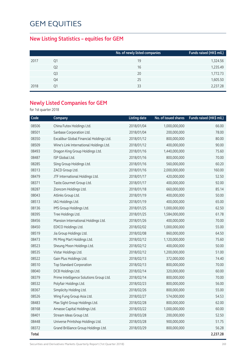### **New Listing Statistics – equities for GEM**

|      |                | No. of newly listed companies | Funds raised (HK\$ mil.) |
|------|----------------|-------------------------------|--------------------------|
| 2017 | Q1             | 19                            | 1,324.56                 |
|      | Q <sub>2</sub> | 16                            | 1,235.49                 |
|      | Q3             | 20                            | 1,772.73                 |
|      | Q4             | 25                            | 1,605.50                 |
| 2018 | Q1             | 33                            | 2,237.28                 |

### **Newly Listed Companies for GEM**

for 1st quarter 2018

| Code         | Company                                  | <b>Listing date</b> | No. of issued shares | Funds raised (HK\$ mil.) |
|--------------|------------------------------------------|---------------------|----------------------|--------------------------|
| 08506        | China Futex Holdings Ltd.                | 2018/01/04          | 1,000,000,000        | 66.00                    |
| 08501        | Sanbase Corporation Ltd.                 | 2018/01/04          | 200,000,000          | 78.00                    |
| 08350        | Excalibur Global Financial Holdings Ltd. | 2018/01/12          | 800,000,000          | 80.00                    |
| 08509        | Wine's Link International Holdings Ltd.  | 2018/01/12          | 400,000,000          | 90.00                    |
| 08493        | Dragon King Group Holdings Ltd.          | 2018/01/16          | 1,440,000,000        | 75.60                    |
| 08487        | ISP Global Ltd.                          | 2018/01/16          | 800,000,000          | 70.00                    |
| 08285        | Sling Group Holdings Ltd.                | 2018/01/16          | 560,000,000          | 60.20                    |
| 08313        | ZACD Group Ltd.                          | 2018/01/16          | 2,000,000,000        | 160.00                   |
| 08479        | JTF International Holdings Ltd.          | 2018/01/17          | 420,000,000          | 52.50                    |
| 08371        | Taste.Gourmet Group Ltd.                 | 2018/01/17          | 400,000,000          | 92.00                    |
| 08287        | Zioncom Holdings Ltd.                    | 2018/01/18          | 660,000,000          | 85.14                    |
| 08043        | Atlinks Group Ltd.                       | 2018/01/19          | 400,000,000          | 50.00                    |
| 08513        | IAG Holdings Ltd.                        | 2018/01/19          | 400,000,000          | 65.00                    |
| 08136        | IMS Group Holdings Ltd.                  | 2018/01/25          | 1,000,000,000        | 62.50                    |
| 08395        | Tree Holdings Ltd.                       | 2018/01/25          | 1,584,000,000        | 61.78                    |
| 08456        | Mansion International Holdings Ltd.      | 2018/01/26          | 400,000,000          | 70.00                    |
| 08450        | EDICO Holdings Ltd.                      | 2018/02/02          | 1,000,000,000        | 55.00                    |
| 08519        | Jia Group Holdings Ltd.                  | 2018/02/08          | 860,000,000          | 64.50                    |
| 08473        | Mi Ming Mart Holdings Ltd.               | 2018/02/12          | 1,120,000,000        | 75.60                    |
| 08523        | Sheung Moon Holdings Ltd.                | 2018/02/12          | 400,000,000          | 50.00                    |
| 08535        | Vistar Holdings Ltd.                     | 2018/02/12          | 1,200,000,000        | 51.00                    |
| 08522        | Gain Plus Holdings Ltd.                  | 2018/02/13          | 372,000,000          | 74.40                    |
| 08510        | <b>Top Standard Corporation</b>          | 2018/02/13          | 800,000,000          | 70.00                    |
| 08040        | DCB Holdings Ltd.                        | 2018/02/14          | 320,000,000          | 60.00                    |
| 08379        | Prime Intelligence Solutions Group Ltd.  | 2018/02/14          | 800,000,000          | 70.00                    |
| 08532        | Polyfair Holdings Ltd.                   | 2018/02/23          | 800,000,000          | 56.00                    |
| 08367        | Simplicity Holding Ltd.                  | 2018/02/26          | 800,000,000          | 55.00                    |
| 08526        | Wing Fung Group Asia Ltd.                | 2018/02/27          | 574,000,000          | 54.53                    |
| 08483        | Max Sight Group Holdings Ltd.            | 2018/02/28          | 800,000,000          | 62.00                    |
| 08168        | Amasse Capital Holdings Ltd.             | 2018/03/22          | 1,000,000,000        | 60.00                    |
| 08401        | Stream Ideas Group Ltd.                  | 2018/03/28          | 200,000,000          | 52.50                    |
| 08448        | Universe Printshop Holdings Ltd.         | 2018/03/28          | 900,000,000          | 51.75                    |
| 08372        | Grand Brilliance Group Holdings Ltd.     | 2018/03/29          | 800,000,000          | 56.28                    |
| <b>Total</b> |                                          |                     |                      | 2,237.28                 |

Securities and Derivatives Markets Quarterly Report (1st Quarter 2018)<br>
269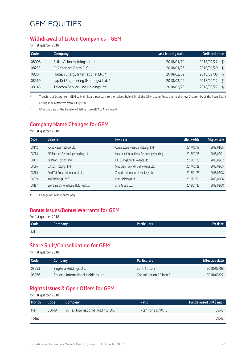#### **Withdrawal of Listed Companies – GEM**

for 1st quarter 2018

| Code  | <b>Company</b>                        | Last trading date | <b>Delisted date</b> |
|-------|---------------------------------------|-------------------|----------------------|
| 08008 | SUNeVision Holdings Ltd. *            | 2018/01/19        | 2018/01/22<br>δ      |
| 08233 | CIG Yangtze Ports PLC *               | 2018/01/26        | 2018/01/29<br>ξ      |
| 08261 | Haitian Energy International Ltd. *   | 2018/02/02        | 2018/02/05<br>ξ      |
| 08369 | Lap Kei Engineering (Holdings) Ltd. * | 2018/02/09        | 2018/02/12<br>ξ      |
| 08145 | Telecom Service One Holdings Ltd. *   | 2018/03/26        | 2018/03/27<br>ξ      |

\* Transfers of listing from GEM to Main Board pursuant to the revised Rule 9.24 of the GEM Listing Rules and to the new Chapter 9A of the Main Board Listing Rules effective from 1 July 2008.

§ Effective date of the transfer of listing from GEM to Main Board.

#### **Company Name Changes for GEM**

for 1st quarter 2018

| Code  | Old name                               | New name                                        | <b>Effective date</b> | <b>Adoption date</b> |
|-------|----------------------------------------|-------------------------------------------------|-----------------------|----------------------|
| 08112 | Focus Media Network Ltd.               | Cornerstone Financial Holdings Ltd.             | 2017/12/18            | 2018/01/25           |
| 08088 | AID Partners Technology Holdings Ltd.  | Healthoo International Technology Holdings Ltd. | 2017/12/15            | 2018/02/01           |
| 08101 | Jia Meng Holdings Ltd.                 | EJE (Hong Kong) Holdings Ltd.                   | 2018/01/03            | 2018/02/02           |
| 08086 | DX.com Holdings Ltd.                   | Sino Vision Worldwide Holdings Ltd.             | 2017/12/29            | 2018/02/05           |
| 08266 | Gold Tat Group International Ltd.      | Zhuoxin International Holdings Ltd.             | 2018/01/25            | 2018/02/28           |
| 08039 | KNK Holdings Ltd.#                     | KNK Holdings Ltd.                               | 2018/02/01            | 2018/03/06           |
| 08187 | Ever Smart International Holdings Ltd. | Jimu Group Ltd.                                 | 2018/01/26            | 2018/03/08           |
|       |                                        |                                                 |                       |                      |

# Change of Chinese name only

### **Bonus Issues/Bonus Warrants for GEM**

for 1st quarter 2018

| Code | <b>Company</b> | Particulars | Ex-date |
|------|----------------|-------------|---------|
| Nil  |                |             |         |

#### **Share Split/Consolidation for GEM**

for 1st quarter 2018

| Code <sup>1</sup> | Company                             | <b>Particulars</b>      | <b>Effective date</b> |
|-------------------|-------------------------------------|-------------------------|-----------------------|
| 08293             | SingAsia Holdings Ltd.              | Split 1 into 5          | 2018/03/08            |
| 08266             | Zhuoxin International Holdings Ltd. | Consolidation 10 into 1 | 2018/03/27            |

### **Rights Issues & Open Offers for GEM**

for 1st quarter 2018

| Month | Code  | Company                            | Ratio               | Funds raised (HK\$ mil.) |
|-------|-------|------------------------------------|---------------------|--------------------------|
| Mar   | 08048 | Yu Tak International Holdings Ltd. | Rts 1 for 2 @\$0.10 | 59.42                    |
| Total |       |                                    |                     | 59.42                    |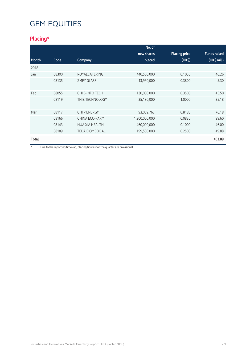### **Placing\***

|              |       |                        | No. of        |                      |                     |
|--------------|-------|------------------------|---------------|----------------------|---------------------|
|              |       |                        | new shares    | <b>Placing price</b> | <b>Funds raised</b> |
| <b>Month</b> | Code  | Company                | placed        | $(HK\$               | (HK\$ mil.)         |
| 2018         |       |                        |               |                      |                     |
| Jan          | 08300 | <b>ROYALCATERING</b>   | 440,560,000   | 0.1050               | 46.26               |
|              | 08135 | <b>ZMFY GLASS</b>      | 13,950,000    | 0.3800               | 5.30                |
|              |       |                        |               |                      |                     |
| Feb          | 08055 | CHI E-INFO TECH        | 130,000,000   | 0.3500               | 45.50               |
|              | 08119 | <b>THIZ TECHNOLOGY</b> | 35,180,000    | 1.0000               | 35.18               |
|              |       |                        |               |                      |                     |
| Mar          | 08117 | <b>CHI P ENERGY</b>    | 93,089,767    | 0.8183               | 76.18               |
|              | 08166 | CHINA ECO-FARM         | 1,200,000,000 | 0.0830               | 99.60               |
|              | 08143 | <b>HUA XIA HEALTH</b>  | 460,000,000   | 0.1000               | 46.00               |
|              | 08189 | <b>TEDA BIOMEDICAL</b> | 199,500,000   | 0.2500               | 49.88               |
| Total        |       |                        |               |                      | 403.89              |

\* Due to the reporting time-lag, placing figures for the quarter are provisional.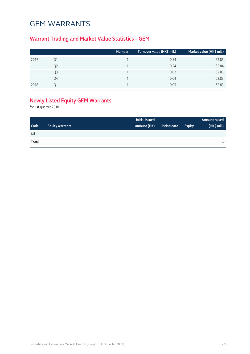### GEM WARRANTS

### **Warrant Trading and Market Value Statistics – GEM**

|    | Number | Turnover value (HK\$ mil.) | Market value (HK\$ mil.) |
|----|--------|----------------------------|--------------------------|
| Q1 |        | 0.54                       | 62.85                    |
| Q2 |        | 0.24                       | 62.84                    |
| Q3 |        | 0.02                       | 62.83                    |
| Q4 |        | 0.04                       | 62.83                    |
| า1 |        | 0.05                       | 62.83                    |
|    |        |                            |                          |

### **Newly Listed Equity GEM Warrants**

for 1st quarter 2018

|             |                        | Initial issued |              |               | Amount raised |
|-------------|------------------------|----------------|--------------|---------------|---------------|
| <b>Code</b> | <b>Equity warrants</b> | amount (HK)    | Listing date | <b>Expiry</b> | (HK\$ mil.)   |
| Nil         |                        |                |              |               |               |
| Total       |                        |                |              |               | -             |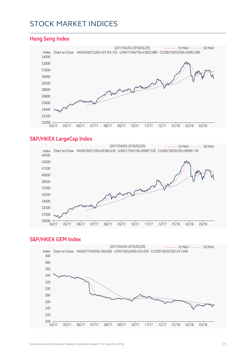### STOCK MARKET INDICES

#### **Hang Seng Index**



#### **S&P/HKEX LargeCap Index**



#### **S&P/HKEX GEM Index**

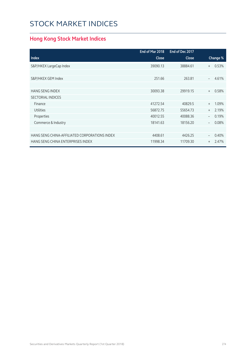## STOCK MARKET INDICES

### **Hong Kong Stock Market Indices**

|                                               | End of Mar 2018 | End of Dec 2017 |                                   |
|-----------------------------------------------|-----------------|-----------------|-----------------------------------|
| <b>Index</b>                                  | <b>Close</b>    | <b>Close</b>    | Change %                          |
| S&P/HKEX LargeCap Index                       | 39090.13        | 38884.61        | 0.53%<br>$+$                      |
|                                               |                 |                 |                                   |
| S&P/HKEX GEM Index                            | 251.66          | 263.81          | 4.61%<br>$\overline{\phantom{a}}$ |
|                                               |                 |                 |                                   |
| <b>HANG SENG INDEX</b>                        | 30093.38        | 29919.15        | 0.58%<br>$+$                      |
| <b>SECTORIAL INDICES</b>                      |                 |                 |                                   |
| Finance                                       | 41272.54        | 40829.5         | 1.09%<br>$+$                      |
| <b>Utilities</b>                              | 56872.75        | 55654.73        | 2.19%<br>$^{+}$                   |
| Properties                                    | 40012.55        | 40088.36        | 0.19%                             |
| Commerce & Industry                           | 18141.63        | 18156.20        | 0.08%<br>$\overline{\phantom{m}}$ |
|                                               |                 |                 |                                   |
| HANG SENG CHINA-AFFILIATED CORPORATIONS INDEX | 4408.61         | 4426.25         | 0.40%<br>$\overline{\phantom{0}}$ |
| HANG SENG CHINA ENTERPRISES INDEX             | 11998.34        | 11709.30        | 2.47%<br>$^{+}$                   |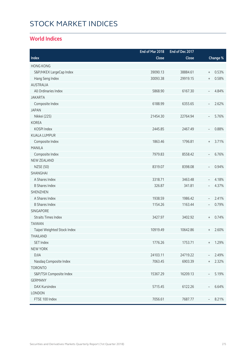# STOCK MARKET INDICES

### **World Indices**

|                             | End of Mar 2018 | End of Dec 2017 |                                  |          |
|-----------------------------|-----------------|-----------------|----------------------------------|----------|
| Index                       | Close           | Close           |                                  | Change % |
| <b>HONG KONG</b>            |                 |                 |                                  |          |
| S&P/HKEX LargeCap Index     | 39090.13        | 38884.61        | $\begin{array}{c} + \end{array}$ | 0.53%    |
| Hang Seng Index             | 30093.38        | 29919.15        | $\begin{array}{c} + \end{array}$ | 0.58%    |
| <b>AUSTRALIA</b>            |                 |                 |                                  |          |
| All Ordinaries Index        | 5868.90         | 6167.30         | $\overline{\phantom{a}}$         | 4.84%    |
| <b>JAKARTA</b>              |                 |                 |                                  |          |
| Composite Index             | 6188.99         | 6355.65         | $\overline{\phantom{a}}$         | 2.62%    |
| <b>JAPAN</b>                |                 |                 |                                  |          |
| Nikkei (225)                | 21454.30        | 22764.94        | $\overline{\phantom{a}}$         | 5.76%    |
| <b>KOREA</b>                |                 |                 |                                  |          |
| KOSPI Index                 | 2445.85         | 2467.49         | $\overline{\phantom{a}}$         | 0.88%    |
| <b>KUALA LUMPUR</b>         |                 |                 |                                  |          |
| Composite Index             | 1863.46         | 1796.81         | $\begin{array}{c} + \end{array}$ | 3.71%    |
| <b>MANILA</b>               |                 |                 |                                  |          |
| Composite Index             | 7979.83         | 8558.42         | $\overline{\phantom{a}}$         | 6.76%    |
| <b>NEW ZEALAND</b>          |                 |                 |                                  |          |
| <b>NZSE (50)</b>            | 8319.07         | 8398.08         | $\overline{\phantom{a}}$         | 0.94%    |
| SHANGHAI                    |                 |                 |                                  |          |
| A Shares Index              | 3318.71         | 3463.48         | $\overline{\phantom{a}}$         | 4.18%    |
| <b>B Shares Index</b>       | 326.87          | 341.81          | $\overline{\phantom{a}}$         | 4.37%    |
| <b>SHENZHEN</b>             |                 |                 |                                  |          |
| A Shares Index              | 1938.59         | 1986.42         | $\overline{\phantom{a}}$         | 2.41%    |
| <b>B Shares Index</b>       | 1154.26         | 1163.44         | $\overline{\phantom{a}}$         | 0.79%    |
| <b>SINGAPORE</b>            |                 |                 |                                  |          |
| <b>Straits Times Index</b>  | 3427.97         | 3402.92         | $\begin{array}{c} + \end{array}$ | 0.74%    |
| <b>TAIWAN</b>               |                 |                 |                                  |          |
| Taipei Weighted Stock Index | 10919.49        | 10642.86        | $^{+}$                           | 2.60%    |
| THAILAND                    |                 |                 |                                  |          |
| SET Index                   | 1776.26         | 1753.71         | $^{+}$                           | 1.29%    |
| <b>NEW YORK</b>             |                 |                 |                                  |          |
| <b>DJIA</b>                 | 24103.11        | 24719.22        |                                  | 2.49%    |
| Nasdaq Composite Index      | 7063.45         | 6903.39         | $^{+}$                           | 2.32%    |
| <b>TORONTO</b>              |                 |                 |                                  |          |
| S&P/TSX Composite Index     | 15367.29        | 16209.13        | $\overline{\phantom{a}}$         | 5.19%    |
| <b>GERMANY</b>              |                 |                 |                                  |          |
| DAX Kursindex               | 5715.45         | 6122.26         | $\overline{\phantom{a}}$         | 6.64%    |
| LONDON                      |                 |                 |                                  |          |
| FTSE 100 Index              | 7056.61         | 7687.77         |                                  | 8.21%    |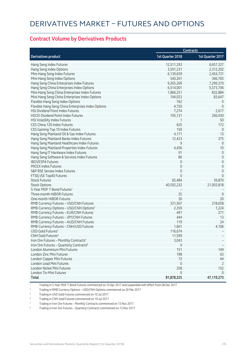#### **Contract Volume by Derivatives Products**

|                                                     |                  | <b>Contracts</b>    |
|-----------------------------------------------------|------------------|---------------------|
| <b>Derivatives product</b>                          | 1st Quarter 2018 | 1st Quarter 2017    |
| Hang Seng Index Futures                             | 12,511,293       | 6,657,327           |
| Hang Seng Index Options                             | 3,591,231        | 2,312,202           |
| Mini-Hang Seng Index Futures                        | 6,139,659        | 2,454,731           |
| Mini-Hang Seng Index Options                        | 540,261          | 366,765             |
| Hang Seng China Enterprises Index Futures           | 9,265,269        | 7,299,370           |
| Hang Seng China Enterprises Index Options           | 6,514,001        | 5,573,706           |
| Mini-Hang Seng China Enterprises Index Futures      | 1,866,251        | 832,884             |
| Mini-Hang Seng China Enterprises Index Options      | 194,023          | 83,647              |
| Flexible Hang Seng Index Options                    | 762              | $\overline{0}$      |
| Flexible Hang Seng China Enterprises Index Options  | 4,750            | $\overline{0}$      |
| HSI Dividend Point Index Futures                    | 7,274            | 2,677               |
| <b>HSCEI Dividend Point Index Futures</b>           | 105,131          | 266,930             |
| HSI Volatility Index Futures                        | 1                | 50                  |
| CES China 120 Index Futures                         | 625              | 172                 |
| CES Gaming Top 10 Index Futures                     | 150              | $\mathsf{O}\xspace$ |
| Hang Seng Mainland Oil & Gas Index Futures          | 4,171            | 13                  |
| Hang Seng Mainland Banks Index Futures              | 12,423           | 375                 |
| Hang Seng Mainland Healthcare Index Futures         | 9                | $\theta$            |
| Hang Seng Mainland Properties Index Futures         | 4,456            | 10                  |
| Hang Seng IT Hardware Index Futures                 | 91               | 0                   |
| Hang Seng Software & Services Index Futures         | 86               | $\mathbf 0$         |
| <b>IBOVESPA Futures</b>                             | $\mathbf 0$      | $\mathbf 0$         |
| <b>MICEX Index Futures</b>                          | $\mathbf 0$      | $\mathbf 0$         |
| S&P BSE Sensex Index Futures                        | $\mathbf 0$      | $\mathbf 0$         |
| FTSE/JSE Top40 Futures                              | $\Omega$         | $\Omega$            |
| <b>Stock Futures</b>                                | 65,484           | 39,870              |
| <b>Stock Options</b>                                | 40,592,232       | 21,003,818          |
| 5-Year MOF T-Bond Futures <sup>1</sup>              |                  |                     |
| Three-month HIBOR Futures                           | 25               | $\mathbf 0$         |
| One-month HIBOR Futures                             | 30               | 20                  |
| RMB Currency Futures - USD/CNH Futures              | 321,567          | 218,658             |
| RMB Currency Options - USD/CNH Options <sup>2</sup> | 2,359            | 1,224               |
| RMB Currency Futures - EUR/CNH Futures              | 491              | 271                 |
| RMB Currency Futures - JPY/CNH Futures              | 444              | 13                  |
| RMB Currency Futures - AUD/CNH Futures              | 119              | 24                  |
| RMB Currency Futures - CNH/USD Futures              | 1,661            | 4,106               |
| USD Gold Futures <sup>3</sup>                       | 116,674          |                     |
| CNH Gold Futures <sup>4</sup>                       | 11,599           |                     |
| Iron Ore Futures - Monthly Contracts <sup>5</sup>   | 3,043            |                     |
| Iron Ore Futures - Quarterly Contracts <sup>6</sup> | 0                |                     |
| London Aluminium Mini Futures                       | 151              | 149                 |
| London Zinc Mini Futures                            | 198              | 63                  |
| London Copper Mini Futures                          | 73               | 44                  |
| London Lead Mini Futures                            | $\mathbf 0$      | $\overline{2}$      |
| London Nickel Mini Futures                          | 258              | 152                 |
| London Tin Mini Futures                             | $\mathbf 0$      | $\mathbf{0}$        |
| <b>Total</b>                                        | 81,878,325       | 47,119,273          |

1 Trading in 5-Year MOF T-Bond Futures commenced on 10 Apr 2017 and suspended with effect from 08 Dec 2017

2 Trading in RMB Currency Options – USD/CNH Options commenced on 20 Mar 2017

3 Trading in USD Gold Futures commenced on 10 Jul 2017

4 Trading in CNH Gold Futures commenced on 10 Jul 2017

5 Trading in Iron Ore Futures – Monthly Contracts commenced on 13 Nov 2017

6 Trading in Iron Ore Futures – Quarterly Contracts commenced on 13 Nov 2017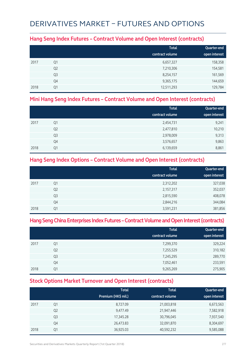## DERIVATIVES MARKET – FUTURES AND OPTIONS

#### **Hang Seng Index Futures – Contract Volume and Open Interest (contracts)**

|      |                | <b>Total</b><br>contract volume | Quarter-end<br>open interest |
|------|----------------|---------------------------------|------------------------------|
| 2017 | Q1             | 6,657,327                       | 158,358                      |
|      | Q <sub>2</sub> | 7,210,306                       | 154,581                      |
|      | Q <sub>3</sub> | 8,254,157                       | 161,569                      |
|      | Q4             | 9,365,175                       | 144,659                      |
| 2018 | Q1             | 12,511,293                      | 129,784                      |

#### **Mini Hang Seng Index Futures – Contract Volume and Open Interest (contracts)**

|      |                | <b>Total</b>    | Quarter-end   |
|------|----------------|-----------------|---------------|
|      |                | contract volume | open interest |
| 2017 | Q1             | 2,454,731       | 9,241         |
|      | Q <sub>2</sub> | 2,477,810       | 10,210        |
|      | Q <sub>3</sub> | 2,978,009       | 9,313         |
|      | Q4             | 3,576,657       | 9,863         |
| 2018 | Q1             | 6,139,659       | 8,861         |

### **Hang Seng Index Options – Contract Volume and Open Interest (contracts)**

|      |                | <b>Total</b>    | Quarter-end   |
|------|----------------|-----------------|---------------|
|      |                | contract volume | open interest |
| 2017 | Q1             | 2,312,202       | 327,038       |
|      | Q <sub>2</sub> | 2,157,317       | 352,037       |
|      | Q <sub>3</sub> | 2,815,590       | 408,078       |
|      | Q4             | 2,844,216       | 344,084       |
| 2018 | Q1             | 3,591,231       | 381,856       |

### **Hang Seng China Enterprises Index Futures – Contract Volume and Open Interest (contracts)**

|      |                | <b>Total</b><br>contract volume | Quarter-end<br>open interest |
|------|----------------|---------------------------------|------------------------------|
| 2017 | Q1             | 7,299,370                       | 329,224                      |
|      | Q <sub>2</sub> | 7,255,529                       | 310,182                      |
|      | Q <sub>3</sub> | 7,245,295                       | 289,770                      |
|      | Q4             | 7,052,461                       | 233,591                      |
| 2018 | 01             | 9,265,269                       | 275,905                      |

### **Stock Options Market Turnover and Open Interest (contracts)**

|      |                | <b>Total</b><br>Premium (HK\$ mil.) | <b>Total</b><br>contract volume | Quarter-end<br>open interest |
|------|----------------|-------------------------------------|---------------------------------|------------------------------|
| 2017 | Q1             | 8,727.09                            | 21,003,818                      | 6,673,563                    |
|      | Q <sub>2</sub> | 9,477.49                            | 21,947,446                      | 7,582,918                    |
|      | Q <sub>3</sub> | 17,345.28                           | 30,796,045                      | 7,937,540                    |
|      | Q4             | 26,473.83                           | 32,091,870                      | 8,304,697                    |
| 2018 | Q1             | 36,925.03                           | 40,592,232                      | 9,585,088                    |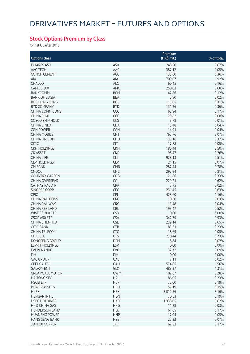### **Stock Options Premium by Class**

for 1st Quarter 2018

|                        |            | Premium     |            |
|------------------------|------------|-------------|------------|
| <b>Options class</b>   |            | (HK\$ mil.) | % of total |
| <b>ISHARES A50</b>     | A50        | 248.20      | 0.67%      |
| AAC TECH               | AAC        | 387.12      | 1.05%      |
| <b>CONCH CEMENT</b>    | ACC        | 133.60      | 0.36%      |
| AIA                    | AIA        | 709.07      | 1.92%      |
| <b>CHALCO</b>          | ALC        | 60.45       | 0.16%      |
| CAM CSI300             | AMC        | 250.03      | 0.68%      |
|                        |            |             |            |
| <b>BANKCOMM</b>        | <b>BCM</b> | 42.86       | 0.12%      |
| <b>BANK OF E ASIA</b>  | <b>BEA</b> | 5.90        | 0.02%      |
| <b>BOC HONG KONG</b>   | <b>BOC</b> | 113.85      | 0.31%      |
| <b>BYD COMPANY</b>     | <b>BYD</b> | 131.26      | 0.36%      |
| <b>CHINA COMM CONS</b> | CCC        | 62.94       | 0.17%      |
| CHINA COAL             | CCE        | 29.82       | 0.08%      |
| <b>COSCO SHIP HOLD</b> | CCS        | 3.78        | 0.01%      |
| CHINA CINDA            | CDA        | 13.48       | 0.04%      |
| <b>CGN POWER</b>       | <b>CGN</b> | 14.91       | 0.04%      |
| <b>CHINA MOBILE</b>    | <b>CHT</b> | 765.76      | 2.07%      |
| <b>CHINA UNICOM</b>    | <b>CHU</b> | 135.16      | 0.37%      |
| <b>CITIC</b>           | <b>CIT</b> | 17.88       | 0.05%      |
| <b>CKH HOLDINGS</b>    | <b>CKH</b> | 186.44      | 0.50%      |
| <b>CK ASSET</b>        | <b>CKP</b> | 96.47       | 0.26%      |
| <b>CHINA LIFE</b>      | <b>CLI</b> | 928.13      | 2.51%      |
| <b>CLP HOLDINGS</b>    | <b>CLP</b> | 24.15       | 0.07%      |
| <b>CM BANK</b>         | <b>CMB</b> | 287.44      | 0.78%      |
| <b>CNOOC</b>           | <b>CNC</b> | 297.94      | 0.81%      |
| <b>COUNTRY GARDEN</b>  | COG        | 121.86      | 0.33%      |
| <b>CHINA OVERSEAS</b>  | COL        | 229.21      | 0.62%      |
| CATHAY PAC AIR         | CPA        | 7.75        | 0.02%      |
| SINOPEC CORP           | <b>CPC</b> | 231.45      | 0.63%      |
| <b>CPIC</b>            | CPI        | 428.60      | 1.16%      |
| <b>CHINA RAIL CONS</b> | CRC        | 10.50       | 0.03%      |
| <b>CHINA RAILWAY</b>   | CRG        | 13.48       | 0.04%      |
| <b>CHINA RES LAND</b>  | CRL        | 193.47      | 0.52%      |
| WISE CSI300 ETF        | CS3        | 0.00        | 0.00%      |
| CSOP A50 ETF           | <b>CSA</b> | 342.79      | 0.93%      |
| CHINA SHENHUA          | <b>CSE</b> | 239.14      | 0.65%      |
| <b>CITIC BANK</b>      | <b>CTB</b> | 83.31       | 0.23%      |
| CHINA TELECOM          | CTC        | 18.69       | 0.05%      |
| <b>CITIC SEC</b>       | <b>CTS</b> | 270.44      | 0.73%      |
| DONGFENG GROUP         | DFM        | 8.84        | 0.02%      |
| <b>ESPRIT HOLDINGS</b> | <b>ESP</b> | 0.00        | 0.00%      |
| EVERGRANDE             | EVG        | 32.72       | 0.09%      |
| <b>FIH</b>             | <b>FIH</b> | 0.00        | 0.00%      |
| <b>GAC GROUP</b>       | GAC        | 7.11        | 0.02%      |
| <b>GEELY AUTO</b>      | GAH        | 574.85      | 1.56%      |
| <b>GALAXY ENT</b>      | GLX        | 483.37      | 1.31%      |
| <b>GREATWALL MOTOR</b> | <b>GWM</b> | 102.67      | 0.28%      |
| <b>HAITONG SEC</b>     | HAI        | 86.05       | 0.23%      |
| <b>HSCEI ETF</b>       | <b>HCF</b> | 72.00       | 0.19%      |
| POWER ASSETS           | <b>HEH</b> | 57.19       | 0.15%      |
| <b>HKEX</b>            | <b>HEX</b> | 3,012.56    | 8.16%      |
| <b>HENGAN INT'L</b>    | <b>HGN</b> | 70.53       | 0.19%      |
| <b>HSBC HOLDINGS</b>   | <b>HKB</b> | 1,338.05    | 3.62%      |
| HK & CHINA GAS         | <b>HKG</b> | 11.28       | 0.03%      |
| <b>HENDERSON LAND</b>  | <b>HLD</b> | 61.65       | 0.17%      |
| <b>HUANENG POWER</b>   | <b>HNP</b> | 17.04       | 0.05%      |
| <b>HANG SENG BANK</b>  | <b>HSB</b> | 25.32       | 0.07%      |
| <b>JIANGXI COPPER</b>  | <b>JXC</b> | 62.33       | 0.17%      |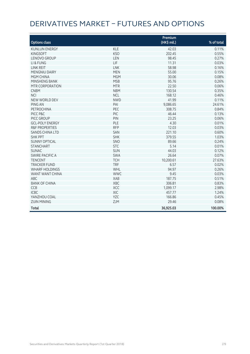## DERIVATIVES MARKET – FUTURES AND OPTIONS

| <b>Options class</b>      |            | Premium<br>(HK\$ mil.) | % of total |
|---------------------------|------------|------------------------|------------|
| <b>KUNLUN ENERGY</b>      | <b>KLE</b> | 42.03                  | 0.11%      |
| <b>KINGSOFT</b>           | <b>KSO</b> | 202.45                 | 0.55%      |
| <b>LENOVO GROUP</b>       | LEN        | 98.45                  | 0.27%      |
| LI & FUNG                 | LIF        | 11.31                  | 0.03%      |
| <b>LINK REIT</b>          | <b>LNK</b> | 58.98                  | 0.16%      |
| <b>MENGNIU DAIRY</b>      | <b>MEN</b> | 55.00                  | 0.15%      |
| MGM CHINA                 | <b>MGM</b> | 30.06                  | 0.08%      |
| <b>MINSHENG BANK</b>      | <b>MSB</b> | 95.76                  | 0.26%      |
| MTR CORPORATION           | <b>MTR</b> | 22.50                  | 0.06%      |
| <b>CNBM</b>               | <b>NBM</b> | 130.54                 | 0.35%      |
| <b>NCI</b>                | <b>NCL</b> | 168.12                 | 0.46%      |
| <b>NEW WORLD DEV</b>      | <b>NWD</b> | 41.99                  | 0.11%      |
| PING AN                   | PAI        | 9,086.65               | 24.61%     |
| PETROCHINA                | PEC        | 308.75                 | 0.84%      |
| PICC P&C                  | PIC        | 46.44                  | 0.13%      |
| PICC GROUP                | PIN        | 23.25                  | 0.06%      |
| <b>GCL-POLY ENERGY</b>    | PLE        | 4.30                   | 0.01%      |
| <b>R&amp;F PROPERTIES</b> | <b>RFP</b> | 12.03                  | 0.03%      |
| <b>SANDS CHINA LTD</b>    | SAN        | 221.10                 | 0.60%      |
| <b>SHK PPT</b>            | <b>SHK</b> | 379.55                 | 1.03%      |
| <b>SUNNY OPTICAL</b>      | SNO        | 89.66                  | 0.24%      |
| <b>STANCHART</b>          | <b>STC</b> | 5.14                   | 0.01%      |
| <b>SUNAC</b>              | SUN        | 44.03                  | 0.12%      |
| SWIRE PACIFIC A           | <b>SWA</b> | 26.64                  | 0.07%      |
| <b>TENCENT</b>            | <b>TCH</b> | 10,200.61              | 27.63%     |
| <b>TRACKER FUND</b>       | <b>TRF</b> | 6.57                   | 0.02%      |
| <b>WHARF HOLDINGS</b>     | <b>WHL</b> | 94.97                  | 0.26%      |
| <b>WANT WANT CHINA</b>    | <b>WWC</b> | 9.45                   | 0.03%      |
| ABC                       | <b>XAB</b> | 187.75                 | 0.51%      |
| <b>BANK OF CHINA</b>      | XBC        | 306.81                 | 0.83%      |
| CCB                       | XCC        | 1,099.17               | 2.98%      |
| <b>ICBC</b>               | XIC        | 457.77                 | 1.24%      |
| YANZHOU COAL              | YZC        | 166.86                 | 0.45%      |
| <b>ZIJIN MINING</b>       | ZJM        | 29.46                  | 0.08%      |
| Total                     |            | 36,925.03              | 100.00%    |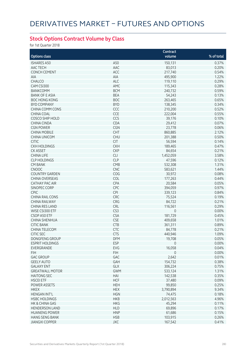### **Stock Options Contract Volume by Class**

for 1st Quarter 2018

|                        |            | Contract       |            |
|------------------------|------------|----------------|------------|
| <b>Options class</b>   |            | volume         | % of total |
| <b>ISHARES A50</b>     | A50        | 150,131        | 0.37%      |
| AAC TECH               | AAC        | 83,013         | 0.20%      |
| <b>CONCH CEMENT</b>    | ACC        | 217,740        | 0.54%      |
| <b>AIA</b>             | AIA        | 495,900        | 1.22%      |
| CHALCO                 | ALC        | 119,110        | 0.29%      |
| CAM CSI300             | AMC        | 115,343        | 0.28%      |
| <b>BANKCOMM</b>        | <b>BCM</b> | 240,732        | 0.59%      |
| <b>BANK OF E ASIA</b>  | <b>BEA</b> | 54,243         | 0.13%      |
| <b>BOC HONG KONG</b>   | <b>BOC</b> | 263,465        | 0.65%      |
| <b>BYD COMPANY</b>     | <b>BYD</b> | 138,345        | 0.34%      |
| CHINA COMM CONS        | CCC        | 210,200        | 0.52%      |
| <b>CHINA COAL</b>      | CCE        | 222,004        | 0.55%      |
| <b>COSCO SHIP HOLD</b> | CCS        | 39,176         | 0.10%      |
| <b>CHINA CINDA</b>     | CDA        | 29,412         | 0.07%      |
| <b>CGN POWER</b>       | CGN        | 23,778         | 0.06%      |
| <b>CHINA MOBILE</b>    | CHT        | 860,885        | 2.12%      |
|                        | <b>CHU</b> |                | 0.50%      |
| <b>CHINA UNICOM</b>    | <b>CIT</b> | 201,388        |            |
| <b>CITIC</b>           |            | 56,594         | 0.14%      |
| <b>CKH HOLDINGS</b>    | <b>CKH</b> | 189,465        | 0.47%      |
| <b>CK ASSET</b>        | <b>CKP</b> | 84,654         | 0.21%      |
| <b>CHINA LIFE</b>      | <b>CLI</b> | 1,452,059      | 3.58%      |
| <b>CLP HOLDINGS</b>    | <b>CLP</b> | 47,596         | 0.12%      |
| <b>CM BANK</b>         | CMB        | 532,308        | 1.31%      |
| <b>CNOOC</b>           | <b>CNC</b> | 583,621        | 1.44%      |
| <b>COUNTRY GARDEN</b>  | COG        | 30,972         | 0.08%      |
| <b>CHINA OVERSEAS</b>  | COL        | 177,263        | 0.44%      |
| <b>CATHAY PAC AIR</b>  | CPA        | 20,584         | 0.05%      |
| SINOPEC CORP           | CPC        | 394,059        | 0.97%      |
| CPIC                   | CPI        | 339,123        | 0.84%      |
| <b>CHINA RAIL CONS</b> | CRC        | 75,524         | 0.19%      |
| <b>CHINA RAILWAY</b>   | CRG        | 84,722         | 0.21%      |
| <b>CHINA RES LAND</b>  | CRL        | 116,561        | 0.29%      |
| WISE CSI300 ETF        | CS3        | 0              | 0.00%      |
| CSOP A50 ETF           | <b>CSA</b> | 181,729        | 0.45%      |
| CHINA SHENHUA          | <b>CSE</b> | 409,658        | 1.01%      |
| <b>CITIC BANK</b>      | <b>CTB</b> | 361,311        | 0.89%      |
| CHINA TELECOM          | CTC        | 84,778         | 0.21%      |
| <b>CITIC SEC</b>       | <b>CTS</b> | 440,946        | 1.09%      |
| DONGFENG GROUP         | DFM.       | 19,708         | $0.05\%$   |
| <b>ESPRIT HOLDINGS</b> | <b>ESP</b> | $\overline{0}$ | 0.00%      |
| EVERGRANDE             | EVG        | 16,058         | 0.04%      |
| <b>FIH</b>             | <b>FIH</b> | $\mathbf{0}$   | 0.00%      |
| <b>GAC GROUP</b>       | GAC        | 2,642          | 0.01%      |
| <b>GEELY AUTO</b>      | GAH        | 154,732        | 0.38%      |
| <b>GALAXY ENT</b>      | GLX        | 306,224        | 0.75%      |
| <b>GREATWALL MOTOR</b> | <b>GWM</b> | 533,124        | 1.31%      |
| <b>HAITONG SEC</b>     | HAI        | 142,538        | 0.35%      |
| <b>HSCEI ETF</b>       | <b>HCF</b> | 37,480         | 0.09%      |
| <b>POWER ASSETS</b>    | <b>HEH</b> | 99,850         | 0.25%      |
| <b>HKEX</b>            | <b>HEX</b> | 3,790,894      | 9.34%      |
| <b>HENGAN INT'L</b>    | <b>HGN</b> | 74,475         | 0.18%      |
| <b>HSBC HOLDINGS</b>   | <b>HKB</b> | 2,012,563      | 4.96%      |
| HK & CHINA GAS         | <b>HKG</b> | 45,294         | 0.11%      |
| <b>HENDERSON LAND</b>  | <b>HLD</b> | 69,896         | 0.17%      |
| <b>HUANENG POWER</b>   | <b>HNP</b> | 61,686         | 0.15%      |
| <b>HANG SENG BANK</b>  | <b>HSB</b> | 103,915        | 0.26%      |
| <b>JIANGXI COPPER</b>  | JXC        | 167,542        | 0.41%      |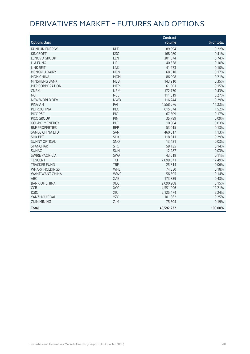## DERIVATIVES MARKET – FUTURES AND OPTIONS

| <b>Options class</b>      |            | Contract<br>volume | % of total |
|---------------------------|------------|--------------------|------------|
|                           |            |                    |            |
| <b>KUNLUN ENERGY</b>      | <b>KLE</b> | 89,594             | 0.22%      |
| <b>KINGSOFT</b>           | <b>KSO</b> | 168,080            | 0.41%      |
| <b>LENOVO GROUP</b>       | LEN        | 301,874            | 0.74%      |
| LI & FUNG                 | LIF        | 40,558             | 0.10%      |
| <b>LINK REIT</b>          | <b>LNK</b> | 41,973             | 0.10%      |
| <b>MENGNIU DAIRY</b>      | <b>MEN</b> | 68,518             | 0.17%      |
| MGM CHINA                 | <b>MGM</b> | 86,998             | 0.21%      |
| MINSHENG BANK             | <b>MSB</b> | 143,910            | 0.35%      |
| MTR CORPORATION           | <b>MTR</b> | 61,001             | 0.15%      |
| <b>CNBM</b>               | <b>NBM</b> | 172,770            | 0.43%      |
| <b>NCI</b>                | <b>NCL</b> | 111,519            | 0.27%      |
| NEW WORLD DEV             | <b>NWD</b> | 116,244            | 0.29%      |
| PING AN                   | PAI        | 4,558,676          | 11.23%     |
| <b>PETROCHINA</b>         | PEC        | 615,374            | 1.52%      |
| PICC P&C                  | PIC        | 67,509             | 0.17%      |
| PICC GROUP                | PIN        | 35,799             | 0.09%      |
| <b>GCL-POLY ENERGY</b>    | PLE        | 10,304             | 0.03%      |
| <b>R&amp;F PROPERTIES</b> | <b>RFP</b> | 53,015             | 0.13%      |
| <b>SANDS CHINA LTD</b>    | SAN        | 460,617            | 1.13%      |
| <b>SHK PPT</b>            | <b>SHK</b> | 118,611            | 0.29%      |
| <b>SUNNY OPTICAL</b>      | <b>SNO</b> | 13.421             | 0.03%      |
| <b>STANCHART</b>          | <b>STC</b> | 58,135             | 0.14%      |
| <b>SUNAC</b>              | <b>SUN</b> | 12,287             | 0.03%      |
| <b>SWIRE PACIFIC A</b>    | <b>SWA</b> | 43,619             | 0.11%      |
| <b>TENCENT</b>            | <b>TCH</b> | 7,099,071          | 17.49%     |
| <b>TRACKER FUND</b>       | <b>TRF</b> | 25,814             | 0.06%      |
| <b>WHARF HOLDINGS</b>     | WHL        | 74,550             | 0.18%      |
| WANT WANT CHINA           | <b>WWC</b> | 56,895             | 0.14%      |
| <b>ABC</b>                | <b>XAB</b> | 173,839            | 0.43%      |
| <b>BANK OF CHINA</b>      | XBC        | 2,090,208          | 5.15%      |
| <b>CCB</b>                | XCC        | 4,551,996          | 11.21%     |
|                           | XIC        |                    | 5.24%      |
| <b>ICBC</b>               |            | 2,125,474          |            |
| YANZHOU COAL              | YZC        | 101,362            | 0.25%      |
| <b>ZIJIN MINING</b>       | ZJM        | 75,604             | 0.19%      |
| <b>Total</b>              |            | 40,592,232         | 100.00%    |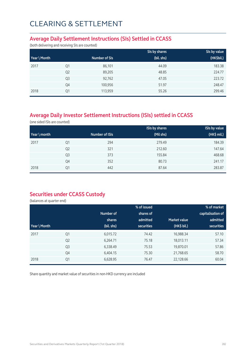#### **Average Daily Settlement Instructions (SIs) Settled in CCASS**

(both delivering and receiving SIs are counted)

|              |                |               | SIs by shares | SIs by value |
|--------------|----------------|---------------|---------------|--------------|
| Year \ Month |                | Number of SIs | (bil. shs)    | (HK\$bil.)   |
| 2017         | Q1             | 86,101        | 44.09         | 183.38       |
|              | Q <sub>2</sub> | 89,205        | 48.85         | 224.77       |
|              | Q <sub>3</sub> | 92,762        | 47.05         | 223.72       |
|              | Q4             | 100,956       | 51.97         | 248.47       |
| 2018         | Q1             | 113,959       | 55.26         | 299.46       |

### **Average Daily Investor Settlement Instructions (ISIs) settled in CCASS**

(one sided ISIs are counted)

|              |                |                | <b>ISIs by shares</b> | <b>ISIs by value</b> |
|--------------|----------------|----------------|-----------------------|----------------------|
| Year \ month |                | Number of ISIs | (Mil shs)             | $(HK$$ mil.)         |
| 2017         | Q1             | 294            | 279.49                | 184.39               |
|              | Q <sub>2</sub> | 321            | 212.60                | 147.64               |
|              | Q <sub>3</sub> | 373            | 155.84                | 468.68               |
|              | Q4             | 352            | 80.73                 | 241.17               |
| 2018         | Q1             | 442            | 87.64                 | 283.87               |

### **Securities under CCASS Custody**

(balances at quarter end)

|              |                |            | % of issued       | % of market  |                   |  |
|--------------|----------------|------------|-------------------|--------------|-------------------|--|
|              |                | Number of  | shares of         |              | capitalisation of |  |
|              |                | shares     | admitted          | Market value | admitted          |  |
| Year \ Month |                | (bil. shs) | <b>securities</b> | (HK\$ bil.)  | <b>securities</b> |  |
| 2017         | Q1             | 6,015.72   | 74.42             | 16,988.34    | 57.10             |  |
|              | Q <sub>2</sub> | 6,264.71   | 75.18             | 18,013.11    | 57.34             |  |
|              | Q <sub>3</sub> | 6,338.49   | 75.53             | 19,870.01    | 57.86             |  |
|              | Q4             | 6,404.15   | 75.30             | 21,768.65    | 58.70             |  |
| 2018         | Q1             | 6,628.95   | 76.47             | 22,128.66    | 60.04             |  |

Share quantity and market value of securities in non-HKD currency are included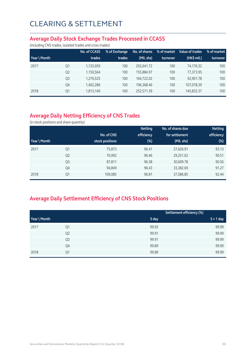#### **Average Daily Stock Exchange Trades Processed in CCASS**

(including CNS trades, isolated trades and cross trades)

|              |                | No. of CCASS | % of Exchange | No. of shares | % of market | Value of trades | % of market |
|--------------|----------------|--------------|---------------|---------------|-------------|-----------------|-------------|
| Year \ Month |                | trades       | trades        | (Mil. shs)    | turnover    | (HK\$ mil.)     | turnover    |
| 2017         | Q1             | 1,125,959    | 100           | 202.641.72    | 100         | 74.176.32       | 100         |
|              | Q <sub>2</sub> | 1,150,564    | 100           | 155.884.97    | 100         | 77.373.95       | 100         |
|              | Q <sub>3</sub> | 1,276,525    | 100           | 164.722.02    | 100         | 92.901.78       | 100         |
|              | Q4             | 1,402,286    | 100           | 196.368.46    | 100         | 107,078.39      | 100         |
| 2018         | Q1             | 1,813,140    | 100           | 252,571.39    | 100         | 145,832.37      | 100         |

### **Average Daily Netting Efficiency of CNS Trades**

(in stock positions and share quantity)

|              |                |                 | <b>Netting</b> | No. of shares due | <b>Netting</b> |
|--------------|----------------|-----------------|----------------|-------------------|----------------|
|              |                | No. of CNS      | efficiency     | for settlement    | efficiency     |
| Year \ Month |                | stock positions | $(\%)$         | (Mil. shs)        | $(\%)$         |
| 2017         | Q1             | 75,873          | 96.41          | 27,626.91         | 93.13          |
|              | Q <sub>2</sub> | 76,992          | 96.46          | 29,251.62         | 90.51          |
|              | Q <sub>3</sub> | 87,811          | 96.38          | 30,609.78         | 90.56          |
|              | Q4             | 94,849          | 96.43          | 33,382.69         | 91.27          |
| 2018         | Q1             | 109,085         | 96.81          | 37,586.85         | 92.44          |

### **Average Daily Settlement Efficiency of CNS Stock Positions**

|              |                |       | Settlement efficiency (%) |
|--------------|----------------|-------|---------------------------|
| Year \ Month |                | S day | $S + 1$ day               |
| 2017         | Q1             | 99.92 | 99.99                     |
|              | Q <sub>2</sub> | 99.91 | 99.99                     |
|              | Q3             | 99.91 | 99.99                     |
|              | Q4             | 99.89 | 99.99                     |
| 2018         | Q1             | 99.89 | 99.99                     |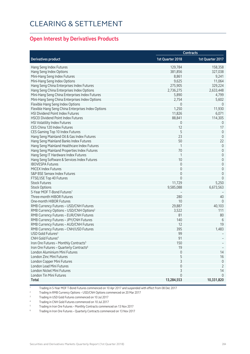#### **Open Interest by Derivatives Products**

|                                                     | <b>Contracts</b>    |                  |  |
|-----------------------------------------------------|---------------------|------------------|--|
| <b>Derivatives product</b>                          | 1st Quarter 2018    | 1st Quarter 2017 |  |
| Hang Seng Index Futures                             | 129,784             | 158,358          |  |
| Hang Seng Index Options                             | 381,856             | 327,038          |  |
| Mini-Hang Seng Index Futures                        | 8,861               | 9,241            |  |
| Mini-Hang Seng Index Options                        | 9,625               | 11,064           |  |
| Hang Seng China Enterprises Index Futures           | 275,905             | 329,224          |  |
| Hang Seng China Enterprises Index Options           | 2,736,275           | 2,633,448        |  |
| Mini-Hang Seng China Enterprises Index Futures      | 5,890               | 4,799            |  |
| Mini-Hang Seng China Enterprises Index Options      | 2,754               | 5,602            |  |
| Flexible Hang Seng Index Options                    | 0                   | $\overline{0}$   |  |
| Flexible Hang Seng China Enterprises Index Options  | 1,250               | 11,930           |  |
| HSI Dividend Point Index Futures                    | 11,826              | 6,071            |  |
| <b>HSCEI Dividend Point Index Futures</b>           | 88,841              | 114,305          |  |
| HSI Volatility Index Futures                        | $\mathbf 0$         | 0                |  |
| CES China 120 Index Futures                         | 12                  | 17               |  |
| CES Gaming Top 10 Index Futures                     | 5                   | $\mathbf 0$      |  |
| Hang Seng Mainland Oil & Gas Index Futures          | 23                  | $\overline{0}$   |  |
| Hang Seng Mainland Banks Index Futures              | 50                  | 22               |  |
| Hang Seng Mainland Healthcare Index Futures         | $\mathbf 1$         | $\theta$         |  |
| Hang Seng Mainland Properties Index Futures         | 70                  | $\mathbf 0$      |  |
| Hang Seng IT Hardware Index Futures                 | 1                   | $\mathbf 0$      |  |
| Hang Seng Software & Services Index Futures         | 10                  | $\mathbf 0$      |  |
| <b>IBOVESPA Futures</b>                             | $\mathbf 0$         | $\mathbf 0$      |  |
| <b>MICEX Index Futures</b>                          | $\mathbf 0$         | $\mathbf 0$      |  |
| S&P BSE Sensex Index Futures                        | $\mathbf 0$         | $\mathbf 0$      |  |
| FTSE/JSE Top 40 Futures                             | $\mathbf 0$         | $\mathbf{0}$     |  |
| <b>Stock Futures</b>                                | 11,729              | 5,250            |  |
| <b>Stock Options</b>                                | 9,585,088           | 6,673,563        |  |
| 5-Year MOF T-Bond Futures <sup>1</sup>              |                     |                  |  |
| Three-month HIBOR Futures                           | 280                 | 40               |  |
| One-month HIBOR Futures                             | 10                  | $\overline{0}$   |  |
|                                                     |                     |                  |  |
| RMB Currency Futures - USD/CNH Futures              | 29,887              | 40,103           |  |
| RMB Currency Options - USD/CNH Options <sup>2</sup> | 3,522               | 111              |  |
| RMB Currency Futures - EUR/CNH Futures              | 81                  | 80               |  |
| RMB Currency Futures - JPY/CNH Futures              | 140                 | 6                |  |
| RMB Currency Futures - AUD/CNH Futures              | 12                  | 19               |  |
| RMB Currency Futures - CNH/USD Futures              | 395                 | 1,483            |  |
| USD Gold Futures <sup>3</sup>                       | 99                  |                  |  |
| CNH Gold Futures <sup>4</sup>                       | 91                  |                  |  |
| Iron Ore Futures - Monthly Contracts <sup>5</sup>   | 150                 |                  |  |
| Iron Ore Futures - Quarterly Contracts <sup>6</sup> | 19                  |                  |  |
| London Aluminium Mini Futures                       | $\mathbf 0$         | 14               |  |
| London Zinc Mini Futures                            | 5                   | 16               |  |
| London Copper Mini Futures                          | 3                   | $\mathbb O$      |  |
| London Lead Mini Futures                            | $\mathsf{O}\xspace$ | $\overline{2}$   |  |
| London Nickel Mini Futures                          | 3                   | 14               |  |
| London Tin Mini Futures                             | $\Omega$            | $\Omega$         |  |
| Total                                               | 13,284,553          | 10,331,820       |  |

1 Trading in 5-Year MOF T-Bond Futures commenced on 10 Apr 2017 and suspended with effect from 08 Dec 2017

2 Trading in RMB Currency Options – USD/CNH Options commenced on 20 Mar 2017

3 Trading in USD Gold Futures commenced on 10 Jul 2017

4 Trading in CNH Gold Futures commenced on 10 Jul 2017

5 Trading in Iron Ore Futures – Monthly Contracts commenced on 13 Nov 2017

6 Trading in Iron Ore Futures – Quarterly Contracts commenced on 13 Nov 2017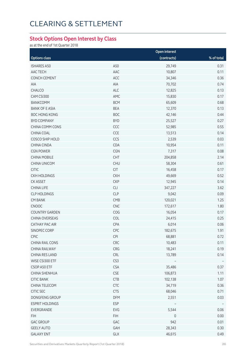#### **Stock Options Open Interest by Class**

as at the end of 1st Quarter 2018

|                        | Open interest |              |            |  |
|------------------------|---------------|--------------|------------|--|
| <b>Options class</b>   |               | (contracts)  | % of total |  |
| <b>ISHARES A50</b>     | A50           | 29,749       | 0.31       |  |
| AAC TECH               | AAC           | 10,807       | 0.11       |  |
| <b>CONCH CEMENT</b>    | ACC           | 34,346       | 0.36       |  |
| AIA                    | AIA           | 70,702       | 0.74       |  |
| CHALCO                 | ALC           | 12,825       | 0.13       |  |
| CAM CSI300             | AMC           | 15,830       | 0.17       |  |
| <b>BANKCOMM</b>        | <b>BCM</b>    | 65,609       | 0.68       |  |
| <b>BANK OF E ASIA</b>  | <b>BEA</b>    | 12,370       | 0.13       |  |
| <b>BOC HONG KONG</b>   | <b>BOC</b>    | 42,146       | 0.44       |  |
| <b>BYD COMPANY</b>     | <b>BYD</b>    | 25,527       | 0.27       |  |
| CHINA COMM CONS        | CCC           | 52,985       | 0.55       |  |
| CHINA COAL             | CCE           | 13,513       | 0.14       |  |
| COSCO SHIP HOLD        | CCS           | 2,539        | 0.03       |  |
| <b>CHINA CINDA</b>     | CDA           | 10,954       | 0.11       |  |
| <b>CGN POWER</b>       | CGN           | 7,317        | 0.08       |  |
| <b>CHINA MOBILE</b>    | CHT           | 204,858      | 2.14       |  |
| CHINA UNICOM           | <b>CHU</b>    | 58,304       | 0.61       |  |
| <b>CITIC</b>           | CIT           | 16,458       | 0.17       |  |
| <b>CKH HOLDINGS</b>    | <b>CKH</b>    | 49,669       | 0.52       |  |
| CK ASSET               | <b>CKP</b>    | 12,945       | 0.14       |  |
| <b>CHINA LIFE</b>      | CLI           | 347,227      | 3.62       |  |
| <b>CLP HOLDINGS</b>    | <b>CLP</b>    | 9,042        | 0.09       |  |
| <b>CM BANK</b>         | CMB           | 120,021      | 1.25       |  |
| CNOOC                  | CNC           | 172,617      | 1.80       |  |
| <b>COUNTRY GARDEN</b>  | COG           | 16,054       | 0.17       |  |
| CHINA OVERSEAS         | COL           | 24,415       | 0.25       |  |
| CATHAY PAC AIR         | CPA           | 6,014        | 0.06       |  |
| SINOPEC CORP           | CPC           | 182,675      | 1.91       |  |
| CPIC.                  | <b>CPI</b>    | 68,881       | 0.72       |  |
| CHINA RAIL CONS        | CRC           | 10,483       | 0.11       |  |
| CHINA RAILWAY          | CRG           | 18,241       | 0.19       |  |
| CHINA RES LAND         | CRL           | 13,789       | 0.14       |  |
| WISE CSI300 ETF        | CS3           |              |            |  |
| CSOP A50 ETF           | <b>CSA</b>    | 35,486       | 0.37       |  |
| <b>CHINA SHENHUA</b>   | <b>CSE</b>    | 106,873      | 1.11       |  |
| <b>CITIC BANK</b>      | CTB           | 102,138      | 1.07       |  |
| CHINA TELECOM          | <b>CTC</b>    | 34,719       | 0.36       |  |
| CITIC SEC              | <b>CTS</b>    | 68,046       | 0.71       |  |
| DONGFENG GROUP         | <b>DFM</b>    | 2,551        | 0.03       |  |
| <b>ESPRIT HOLDINGS</b> | ESP           |              |            |  |
| EVERGRANDE             | EVG           | 5,544        | 0.06       |  |
| <b>FIH</b>             | <b>FIH</b>    | $\mathsf{O}$ | 0.00       |  |
| <b>GAC GROUP</b>       | GAC           | 942          | 0.01       |  |
| <b>GEELY AUTO</b>      | GAH           | 28,343       | 0.30       |  |
| <b>GALAXY ENT</b>      | GLX           | 46,615       | 0.49       |  |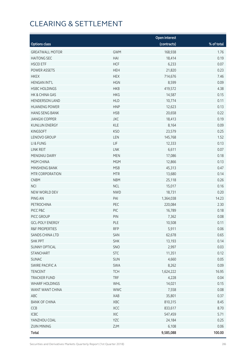|                           |            | <b>Open interest</b> |            |
|---------------------------|------------|----------------------|------------|
| <b>Options class</b>      |            | (contracts)          | % of total |
| <b>GREATWALL MOTOR</b>    | <b>GWM</b> | 168,938              | 1.76       |
| <b>HAITONG SEC</b>        | HAI        | 18,414               | 0.19       |
| <b>HSCEI ETF</b>          | <b>HCF</b> | 6,233                | 0.07       |
| POWER ASSETS              | <b>HEH</b> | 21,820               | 0.23       |
| <b>HKEX</b>               | <b>HEX</b> | 714,676              | 7.46       |
| <b>HENGAN INT'L</b>       | <b>HGN</b> | 8,599                | 0.09       |
| <b>HSBC HOLDINGS</b>      | <b>HKB</b> | 419,572              | 4.38       |
| HK & CHINA GAS            | <b>HKG</b> | 14,587               | 0.15       |
| <b>HENDERSON LAND</b>     | <b>HLD</b> | 10,774               | 0.11       |
| <b>HUANENG POWER</b>      | <b>HNP</b> | 12,623               | 0.13       |
| <b>HANG SENG BANK</b>     | <b>HSB</b> | 20,658               | 0.22       |
| <b>JIANGXI COPPER</b>     | JXC        | 18,413               | 0.19       |
| <b>KUNLUN ENERGY</b>      | KLE        | 8,164                | 0.09       |
| <b>KINGSOFT</b>           | <b>KSO</b> | 23,579               | 0.25       |
| LENOVO GROUP              | LEN        | 145,768              | 1.52       |
| LI & FUNG                 | LIF        | 12,333               | 0.13       |
| LINK REIT                 | LNK        | 6,611                | 0.07       |
| MENGNIU DAIRY             | <b>MEN</b> | 17,086               | 0.18       |
| MGM CHINA                 | <b>MGM</b> | 12,866               | 0.13       |
| MINSHENG BANK             | <b>MSB</b> | 45,313               | 0.47       |
| MTR CORPORATION           | <b>MTR</b> | 13,680               | 0.14       |
| <b>CNBM</b>               | <b>NBM</b> | 25,118               | 0.26       |
| <b>NCI</b>                | <b>NCL</b> | 15,017               | 0.16       |
| NEW WORLD DEV             | <b>NWD</b> | 18,731               | 0.20       |
| PING AN                   | PAI        | 1,364,038            | 14.23      |
| PETROCHINA                | PEC        | 220,084              | 2.30       |
| PICC P&C                  | PIC        | 16,789               | 0.18       |
| PICC GROUP                | PIN        | 7,362                | 0.08       |
| <b>GCL-POLY ENERGY</b>    | PLE        | 10,508               | 0.11       |
| <b>R&amp;F PROPERTIES</b> | <b>RFP</b> | 5,911                | 0.06       |
| SANDS CHINA LTD           | SAN        | 62,678               | 0.65       |
| <b>SHK PPT</b>            | <b>SHK</b> | 13,193               | 0.14       |
| <b>SUNNY OPTICAL</b>      | SNO        | 2,997                | 0.03       |
| STANCHART                 | <b>STC</b> | 11,351               | 0.12       |
| <b>SUNAC</b>              | SUN        | 4,660                | 0.05       |
| <b>SWIRE PACIFIC A</b>    | SWA        | 8,262                | 0.09       |
| <b>TENCENT</b>            | <b>TCH</b> | 1,624,222            | 16.95      |
| TRACKER FUND              | <b>TRF</b> | 4,228                | 0.04       |
| <b>WHARF HOLDINGS</b>     | WHL        | 14,021               | 0.15       |
| WANT WANT CHINA           | <b>WWC</b> | 7,558                | 0.08       |
| ABC                       | XAB        | 35,801               | 0.37       |
| <b>BANK OF CHINA</b>      | XBC        | 810,315              | 8.45       |
| CCB                       | XCC        | 833,617              | 8.70       |
| ICBC                      | XIC        | 547,459              | 5.71       |
| YANZHOU COAL              | YZC        | 24,184               | 0.25       |
| <b>ZIJIN MINING</b>       | ZJM        | 6,108                | 0.06       |
| <b>Total</b>              |            | 9,585,088            | 100.00     |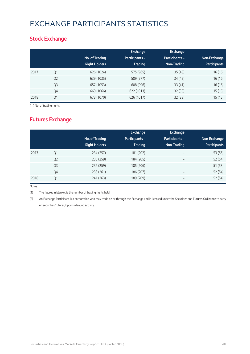## EXCHANGE PARTICIPANTS STATISTICS

### **Stock Exchange**

|      |                | No. of Trading<br><b>Right Holders</b> | Exchange<br>Participants -<br><b>Trading</b> | <b>Exchange</b><br><b>Participants -</b><br>Non-Trading | Non-Exchange<br><b>Participants</b> |
|------|----------------|----------------------------------------|----------------------------------------------|---------------------------------------------------------|-------------------------------------|
| 2017 | Q1             | 626 (1024)                             | 575 (965)                                    | 35(43)                                                  | 16 (16)                             |
|      | Q <sub>2</sub> | 639 (1035)                             | 589 (977)                                    | 34(42)                                                  | 16 (16)                             |
|      | Q <sub>3</sub> | 657 (1053)                             | 608 (996)                                    | 33(41)                                                  | 16 (16)                             |
|      | Q4             | 669 (1066)                             | 622 (1013)                                   | 32(38)                                                  | 15(15)                              |
| 2018 | Q1             | 673 (1070)                             | 626 (1017)                                   | 32(38)                                                  | 15(15)                              |

( ) No. of trading rights

### **Futures Exchange**

|      |                | No. of Trading<br><b>Right Holders</b> | Exchange<br><b>Participants -</b><br><b>Trading</b> | <b>Exchange</b><br>Participants -<br>Non-Trading | Non-Exchange<br><b>Participants</b> |
|------|----------------|----------------------------------------|-----------------------------------------------------|--------------------------------------------------|-------------------------------------|
| 2017 | Q <sub>1</sub> | 234 (257)                              | 181 (202)                                           | $\overline{\phantom{m}}$                         | 53 (55)                             |
|      | Q <sub>2</sub> | 236 (259)                              | 184 (205)                                           | $\overline{\phantom{a}}$                         | 52 (54)                             |
|      | Q <sub>3</sub> | 236 (259)                              | 185 (206)                                           | $\overline{\phantom{a}}$                         | 51(53)                              |
|      | Q4             | 238 (261)                              | 186 (207)                                           | $\overline{\phantom{a}}$                         | 52 (54)                             |
| 2018 | Q1             | 241 (263)                              | 189 (209)                                           |                                                  | 52 (54)                             |

Notes:

(1) The figures in blanket is the number of trading rights held.

(2) An Exchange Participant is a corporation who may trade on or through the Exchange and is licensed under the Securities and Futures Ordinance to carry on securities/futures/options dealing activity.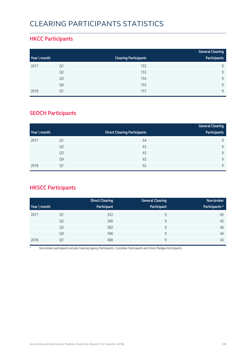# CLEARING PARTICIPANTS STATISTICS

#### **HKCC Participants**

|              |                |                              | <b>General Clearing</b> |
|--------------|----------------|------------------------------|-------------------------|
| Year \ month |                | <b>Clearing Participants</b> | Participants            |
| 2017         | Q1             | 152                          | $\mathsf{Q}$            |
|              | Q <sub>2</sub> | 153                          | $\mathsf{Q}$            |
|              | Q <sub>3</sub> | 154                          | $\mathsf{Q}$            |
|              | Q4             | 155                          | $\mathsf{Q}$            |
| 2018         | Q1             | 157                          | $\mathsf{Q}$            |

### **SEOCH Participants**

|              |                |                                     | <b>General Clearing</b> |
|--------------|----------------|-------------------------------------|-------------------------|
| Year \ month |                | <b>Direct Clearing Participants</b> | Participants            |
| 2017         | Q1             | 64                                  | 9                       |
|              | Q <sub>2</sub> | 63                                  | 9                       |
|              | Q <sub>3</sub> | 63                                  | 9                       |
|              | Q4             | 62                                  | 9                       |
| 2018         | Q1             | 62                                  | 9                       |

### **HKSCC Participants**

|              |                | <b>Direct Clearing</b> | <b>General Clearing</b> | Non-broker     |
|--------------|----------------|------------------------|-------------------------|----------------|
| Year \ month |                | Participant            | Participant             | Participants * |
| 2017         | Q1             | 552                    | 9                       | 45             |
|              | Q <sub>2</sub> | 566                    | 9                       | 45             |
|              | Q <sub>3</sub> | 582                    | 9                       | 46             |
|              | Q4             | 596                    | 9                       | 44             |
| 2018         | Q1             | 600                    | 9                       | 43             |

\* Non-broker participants include Clearing Agency Participants, Custodian Participants and Stock Pledgee Participants.